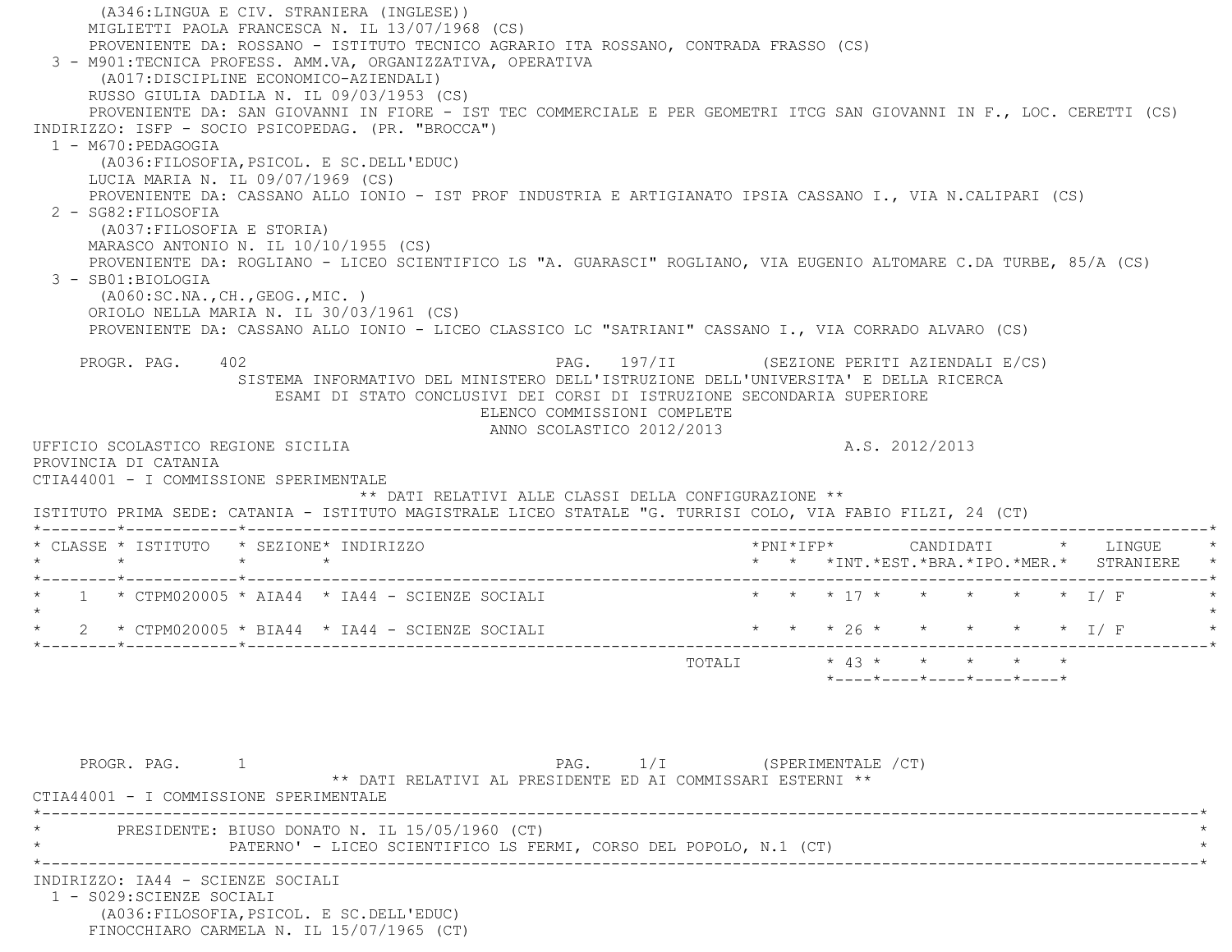(A346:LINGUA E CIV. STRANIERA (INGLESE)) MIGLIETTI PAOLA FRANCESCA N. IL 13/07/1968 (CS) PROVENIENTE DA: ROSSANO - ISTITUTO TECNICO AGRARIO ITA ROSSANO, CONTRADA FRASSO (CS) 3 - M901:TECNICA PROFESS. AMM.VA, ORGANIZZATIVA, OPERATIVA (A017:DISCIPLINE ECONOMICO-AZIENDALI) RUSSO GIULIA DADILA N. IL 09/03/1953 (CS) PROVENIENTE DA: SAN GIOVANNI IN FIORE - IST TEC COMMERCIALE E PER GEOMETRI ITCG SAN GIOVANNI IN F., LOC. CERETTI (CS) INDIRIZZO: ISFP - SOCIO PSICOPEDAG. (PR. "BROCCA") 1 - M670:PEDAGOGIA (A036:FILOSOFIA,PSICOL. E SC.DELL'EDUC) LUCIA MARIA N. IL 09/07/1969 (CS) PROVENIENTE DA: CASSANO ALLO IONIO - IST PROF INDUSTRIA E ARTIGIANATO IPSIA CASSANO I., VIA N.CALIPARI (CS) 2 - SG82:FILOSOFIA (A037:FILOSOFIA E STORIA) MARASCO ANTONIO N. IL 10/10/1955 (CS) PROVENIENTE DA: ROGLIANO - LICEO SCIENTIFICO LS "A. GUARASCI" ROGLIANO, VIA EUGENIO ALTOMARE C.DA TURBE, 85/A (CS) 3 - SB01:BIOLOGIA (A060:SC.NA.,CH.,GEOG.,MIC. ) ORIOLO NELLA MARIA N. IL 30/03/1961 (CS) PROVENIENTE DA: CASSANO ALLO IONIO - LICEO CLASSICO LC "SATRIANI" CASSANO I., VIA CORRADO ALVARO (CS) PROGR. PAG. 402 PAG. PAG. 197/II (SEZIONE PERITI AZIENDALI E/CS) SISTEMA INFORMATIVO DEL MINISTERO DELL'ISTRUZIONE DELL'UNIVERSITA' E DELLA RICERCA ESAMI DI STATO CONCLUSIVI DEI CORSI DI ISTRUZIONE SECONDARIA SUPERIORE ELENCO COMMISSIONI COMPLETE ANNO SCOLASTICO 2012/2013 UFFICIO SCOLASTICO REGIONE SICILIA A.S. 2012/2013 PROVINCIA DI CATANIA CTIA44001 - I COMMISSIONE SPERIMENTALE \*\* DATI RELATIVI ALLE CLASSI DELLA CONFIGURAZIONE \*\* ISTITUTO PRIMA SEDE: CATANIA - ISTITUTO MAGISTRALE LICEO STATALE "G. TURRISI COLO, VIA FABIO FILZI, 24 (CT) \*--------\*------------\*-------------------------------------------------------------------------------------------------------\* \* CLASSE \* ISTITUTO \* SEZIONE\* INDIRIZZO \*PNI\*IFP\* CANDIDATI \* LINGUE \* \* \* \* \* \* \* \*INT.\*EST.\*BRA.\*IPO.\*MER.\* STRANIERE \* \*--------\*------------\*-------------------------------------------------------------------------------------------------------\*1 \* CTPM020005 \* AIA44 \* IA44 - SCIENZE SOCIALI \* \* \* \* \* \* \* \* \* \* \* \* \* \* 1/ F  $\star$ 2 \* CTPM020005 \* BIA44 \* IA44 - SCIENZE SOCIALI \* \* \* \* 26 \* \* \* \* \* \* \* I/ F \*--------\*------------\*-------------------------------------------------------------------------------------------------------\*TOTALI  $\star$  43  $\star$   $\star$   $\star$   $\star$   $\star$  \*----\*----\*----\*----\*----\*PROGR. PAG. 1 1 2 PAG. 2/I (SPERIMENTALE / CT) \*\* DATI RELATIVI AL PRESIDENTE ED AI COMMISSARI ESTERNI \*\* CTIA44001 - I COMMISSIONE SPERIMENTALE \*----------------------------------------------------------------------------------------------------------------------------\*PRESIDENTE: BIUSO DONATO N. IL 15/05/1960 (CT) PATERNO' - LICEO SCIENTIFICO LS FERMI, CORSO DEL POPOLO, N.1 (CT) \*----------------------------------------------------------------------------------------------------------------------------\* INDIRIZZO: IA44 - SCIENZE SOCIALI 1 - S029:SCIENZE SOCIALI (A036:FILOSOFIA,PSICOL. E SC.DELL'EDUC) FINOCCHIARO CARMELA N. IL 15/07/1965 (CT)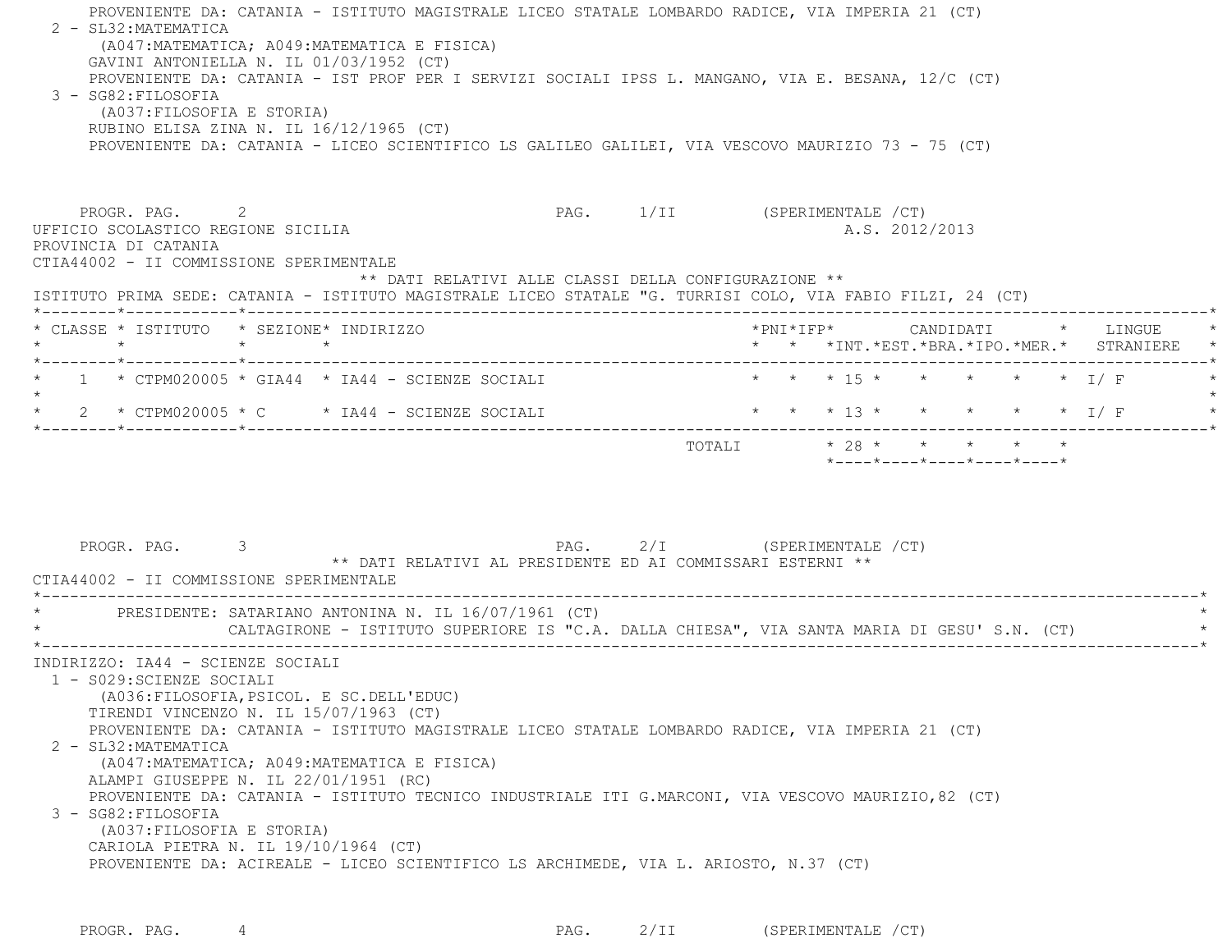PROVENIENTE DA: CATANIA - ISTITUTO MAGISTRALE LICEO STATALE LOMBARDO RADICE, VIA IMPERIA 21 (CT) 2 - SL32:MATEMATICA (A047:MATEMATICA; A049:MATEMATICA E FISICA) GAVINI ANTONIELLA N. IL 01/03/1952 (CT) PROVENIENTE DA: CATANIA - IST PROF PER I SERVIZI SOCIALI IPSS L. MANGANO, VIA E. BESANA, 12/C (CT) 3 - SG82:FILOSOFIA (A037:FILOSOFIA E STORIA) RUBINO ELISA ZINA N. IL 16/12/1965 (CT) PROVENIENTE DA: CATANIA - LICEO SCIENTIFICO LS GALILEO GALILEI, VIA VESCOVO MAURIZIO 73 - 75 (CT) PROGR. PAG. 2 PAG. 1/II (SPERIMENTALE /CT) UFFICIO SCOLASTICO REGIONE SICILIA A.S. 2012/2013 PROVINCIA DI CATANIA CTIA44002 - II COMMISSIONE SPERIMENTALE \*\* DATI RELATIVI ALLE CLASSI DELLA CONFIGURAZIONE \*\* ISTITUTO PRIMA SEDE: CATANIA - ISTITUTO MAGISTRALE LICEO STATALE "G. TURRISI COLO, VIA FABIO FILZI, 24 (CT) \*--------\*------------\*-------------------------------------------------------------------------------------------------------\* \* CLASSE \* ISTITUTO \* SEZIONE\* INDIRIZZO \*PNI\*IFP\* CANDIDATI \* LINGUE \* \* \* \* \* \* \* \*INT.\*EST.\*BRA.\*IPO.\*MER.\* STRANIERE \* \*--------\*------------\*-------------------------------------------------------------------------------------------------------\*1 \* CTPM020005 \* GIA44 \* IA44 - SCIENZE SOCIALI \* \* \* \* 15 \* \* \* \* \* \* \* I/ F  $\star$ \* 2 \* CTPM020005 \* C \* IA44 - SCIENZE SOCIALI \* \* \* \* 13 \* \* \* \* \* \* \* \* I/ F \*--------\*------------\*-------------------------------------------------------------------------------------------------------\*TOTALI  $* 28 * * * * * * * * *$  \*----\*----\*----\*----\*----\*PROGR. PAG. 3 3 2/I (SPERIMENTALE /CT) \*\* DATI RELATIVI AL PRESIDENTE ED AI COMMISSARI ESTERNI \*\* CTIA44002 - II COMMISSIONE SPERIMENTALE \*----------------------------------------------------------------------------------------------------------------------------\*PRESIDENTE: SATARIANO ANTONINA N. IL 16/07/1961 (CT) CALTAGIRONE - ISTITUTO SUPERIORE IS "C.A. DALLA CHIESA", VIA SANTA MARIA DI GESU' S.N. (CT) \*----------------------------------------------------------------------------------------------------------------------------\* INDIRIZZO: IA44 - SCIENZE SOCIALI 1 - S029:SCIENZE SOCIALI (A036:FILOSOFIA,PSICOL. E SC.DELL'EDUC) TIRENDI VINCENZO N. IL 15/07/1963 (CT) PROVENIENTE DA: CATANIA - ISTITUTO MAGISTRALE LICEO STATALE LOMBARDO RADICE, VIA IMPERIA 21 (CT) 2 - SL32:MATEMATICA (A047:MATEMATICA; A049:MATEMATICA E FISICA) ALAMPI GIUSEPPE N. IL 22/01/1951 (RC) PROVENIENTE DA: CATANIA - ISTITUTO TECNICO INDUSTRIALE ITI G.MARCONI, VIA VESCOVO MAURIZIO,82 (CT) 3 - SG82:FILOSOFIA (A037:FILOSOFIA E STORIA) CARIOLA PIETRA N. IL 19/10/1964 (CT) PROVENIENTE DA: ACIREALE - LICEO SCIENTIFICO LS ARCHIMEDE, VIA L. ARIOSTO, N.37 (CT)

PROGR. PAG. 4 4 2/II (SPERIMENTALE /CT)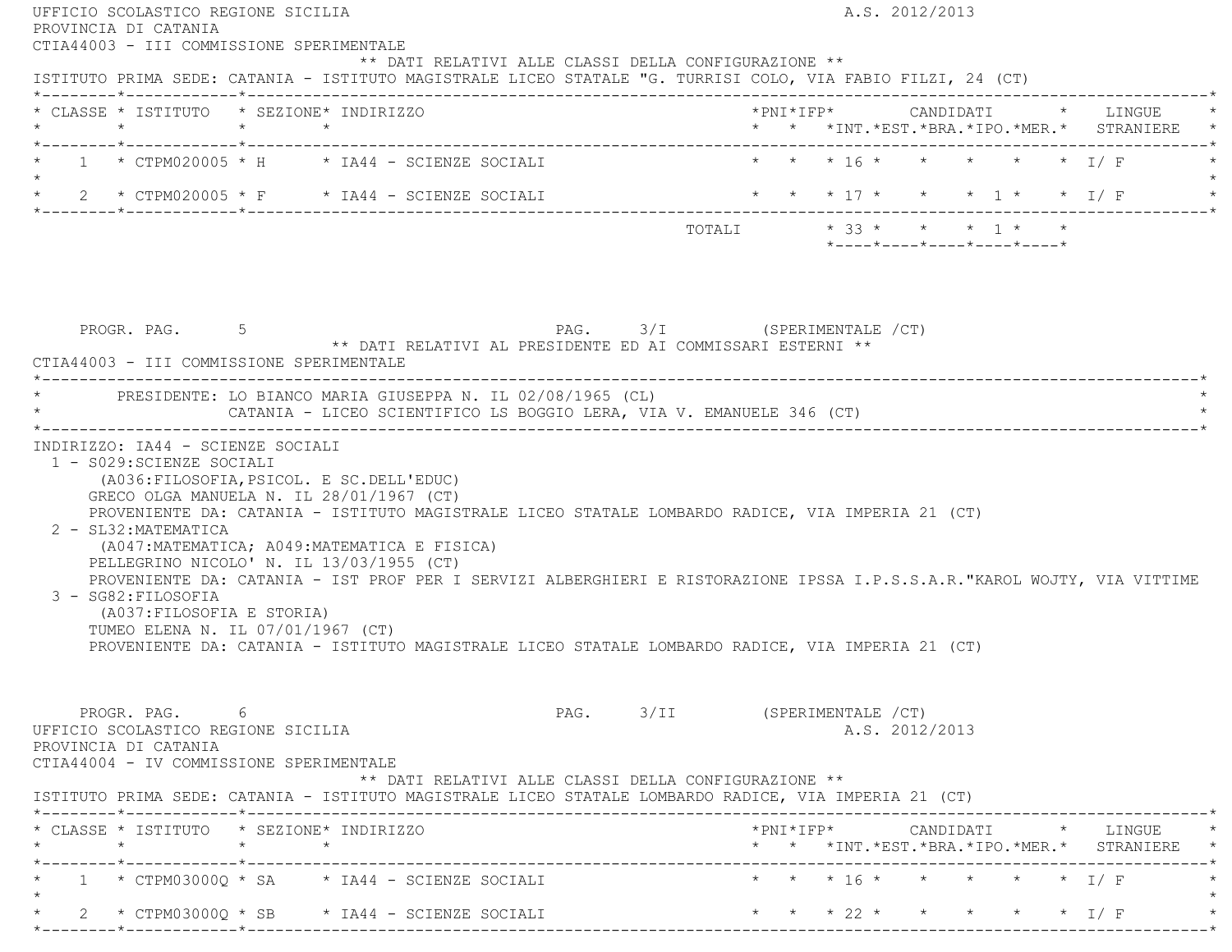|           | PROVINCIA DI CATANIA<br>CTIA44003 - III COMMISSIONE SPERIMENTALE                                                       | UFFICIO SCOLASTICO REGIONE SICILIA<br>** DATI RELATIVI ALLE CLASSI DELLA CONFIGURAZIONE **                                                                                                                                                                                                                                                                                                                                                                                                                             |                              |  | A.S. 2012/2013 |                            |  |                                                                                            |  |
|-----------|------------------------------------------------------------------------------------------------------------------------|------------------------------------------------------------------------------------------------------------------------------------------------------------------------------------------------------------------------------------------------------------------------------------------------------------------------------------------------------------------------------------------------------------------------------------------------------------------------------------------------------------------------|------------------------------|--|----------------|----------------------------|--|--------------------------------------------------------------------------------------------|--|
|           |                                                                                                                        | ISTITUTO PRIMA SEDE: CATANIA - ISTITUTO MAGISTRALE LICEO STATALE "G. TURRISI COLO, VIA FABIO FILZI, 24 (CT)<br>* CLASSE * ISTITUTO * SEZIONE* INDIRIZZO                                                                                                                                                                                                                                                                                                                                                                |                              |  |                |                            |  | *PNI*IFP* CANDIDATI * LINGUE<br>* * *INT. *EST. *BRA. *IPO. *MER. * STRANIERE *            |  |
|           |                                                                                                                        | * $1$ * CTPM020005 * H * IA44 - SCIENZE SOCIALI                                                                                                                                                                                                                                                                                                                                                                                                                                                                        | * * * 16 * * * * * * I/F     |  |                |                            |  |                                                                                            |  |
| $\star$ . |                                                                                                                        | * 2 * CTPM020005 * F * IA44 - SCIENZE SOCIALI                                                                                                                                                                                                                                                                                                                                                                                                                                                                          |                              |  |                |                            |  |                                                                                            |  |
|           |                                                                                                                        |                                                                                                                                                                                                                                                                                                                                                                                                                                                                                                                        |                              |  |                | *----*----*----*----*----* |  |                                                                                            |  |
|           | CTIA44003 - III COMMISSIONE SPERIMENTALE                                                                               | PROGR. PAG. 5 5 PAG. 3/I (SPERIMENTALE / CT)<br>** DATI RELATIVI AL PRESIDENTE ED AI COMMISSARI ESTERNI **<br>* PRESIDENTE: LO BIANCO MARIA GIUSEPPA N. IL 02/08/1965 (CL)<br>CATANIA - LICEO SCIENTIFICO LS BOGGIO LERA, VIA V. EMANUELE 346 (CT)                                                                                                                                                                                                                                                                     |                              |  |                |                            |  |                                                                                            |  |
|           | INDIRIZZO: IA44 - SCIENZE SOCIALI<br>1 - S029: SCIENZE SOCIALI                                                         |                                                                                                                                                                                                                                                                                                                                                                                                                                                                                                                        |                              |  |                |                            |  |                                                                                            |  |
|           | 2 - SL32: MATEMATICA<br>3 - SG82: FILOSOFIA<br>(A037: FILOSOFIA E STORIA)<br>TUMEO ELENA N. IL 07/01/1967 (CT)         | (A036: FILOSOFIA, PSICOL. E SC. DELL'EDUC)<br>GRECO OLGA MANUELA N. IL 28/01/1967 (CT)<br>PROVENIENTE DA: CATANIA - ISTITUTO MAGISTRALE LICEO STATALE LOMBARDO RADICE, VIA IMPERIA 21 (CT)<br>(A047: MATEMATICA; A049: MATEMATICA E FISICA)<br>PELLEGRINO NICOLO' N. IL 13/03/1955 (CT)<br>PROVENIENTE DA: CATANIA - IST PROF PER I SERVIZI ALBERGHIERI E RISTORAZIONE IPSSA I.P.S.S.A.R."KAROL WOJTY, VIA VITTIME<br>PROVENIENTE DA: CATANIA - ISTITUTO MAGISTRALE LICEO STATALE LOMBARDO RADICE, VIA IMPERIA 21 (CT) |                              |  |                |                            |  |                                                                                            |  |
|           | PROGR. PAG. 6<br>UFFICIO SCOLASTICO REGIONE SICILIA<br>PROVINCIA DI CATANIA<br>CTIA44004 - IV COMMISSIONE SPERIMENTALE | ** DATI RELATIVI ALLE CLASSI DELLA CONFIGURAZIONE **                                                                                                                                                                                                                                                                                                                                                                                                                                                                   | PAG. 3/II (SPERIMENTALE /CT) |  |                | A.S. 2012/2013             |  |                                                                                            |  |
|           |                                                                                                                        | ISTITUTO PRIMA SEDE: CATANIA - ISTITUTO MAGISTRALE LICEO STATALE LOMBARDO RADICE, VIA IMPERIA 21 (CT)                                                                                                                                                                                                                                                                                                                                                                                                                  |                              |  |                |                            |  |                                                                                            |  |
|           |                                                                                                                        | * CLASSE * ISTITUTO * SEZIONE* INDIRIZZO                                                                                                                                                                                                                                                                                                                                                                                                                                                                               |                              |  |                |                            |  | $*$ PNI $*$ IFP $*$ CANDIDATI $*$ LINGUE $*$<br>* * *INT.*EST.*BRA.*IPO.*MER.* STRANIERE * |  |
| $\star$   |                                                                                                                        | 1 * CTPM03000Q * SA * IA44 - SCIENZE SOCIALI * * * * 16 * * * * * * * * I/ F                                                                                                                                                                                                                                                                                                                                                                                                                                           |                              |  |                |                            |  |                                                                                            |  |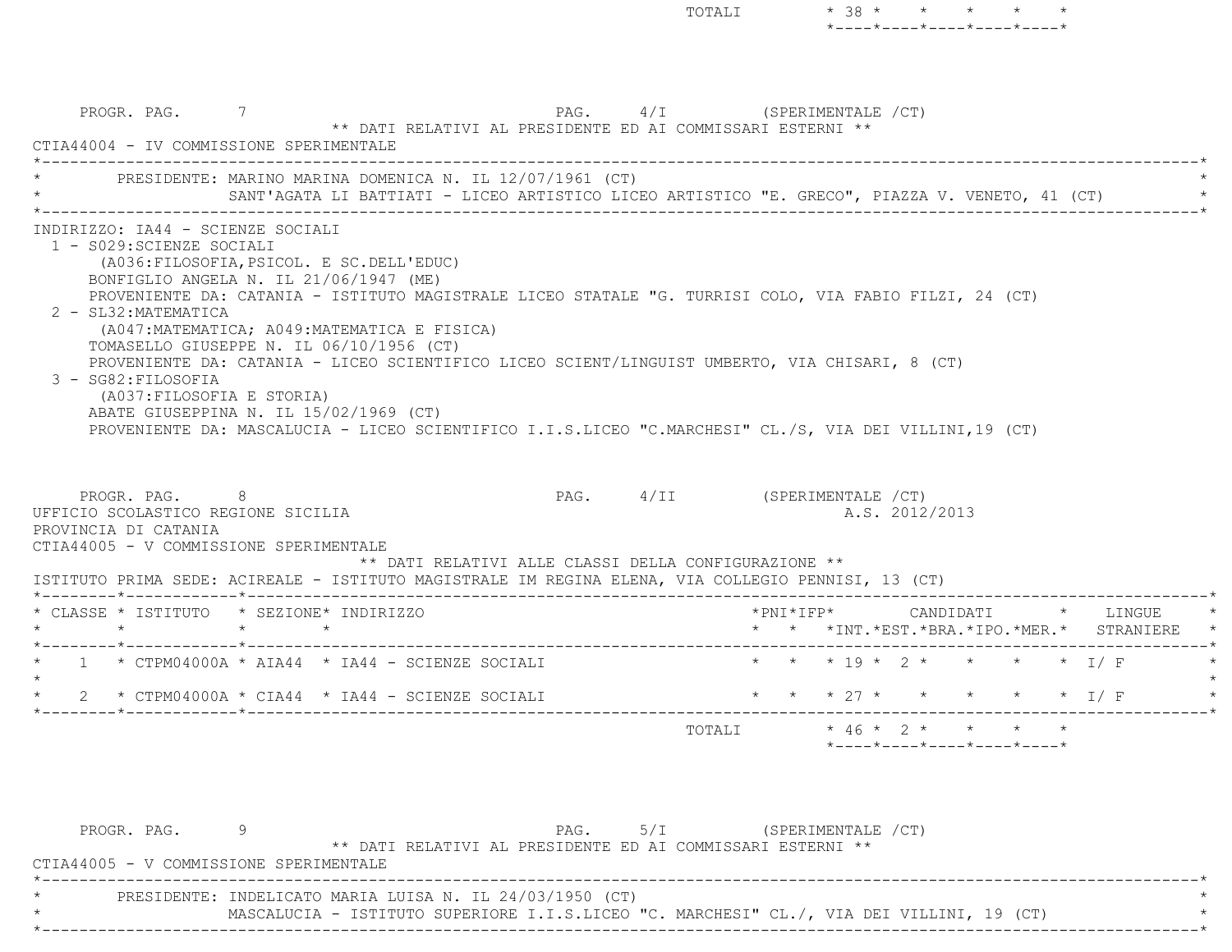TOTALI  $* 38 * * * * * * * *$  $*$ ---- $*$ ---- $*$ ---- $*$ ---- $*$ PROGR. PAG. 7 7 2000 7 PAG. 4/I (SPERIMENTALE / CT) \*\* DATI RELATIVI AL PRESIDENTE ED AI COMMISSARI ESTERNI \*\* CTIA44004 - IV COMMISSIONE SPERIMENTALE \*----------------------------------------------------------------------------------------------------------------------------\*PRESIDENTE: MARINO MARINA DOMENICA N. IL 12/07/1961 (CT) SANT'AGATA LI BATTIATI - LICEO ARTISTICO LICEO ARTISTICO "E. GRECO", PIAZZA V. VENETO, 41 (CT) \*----------------------------------------------------------------------------------------------------------------------------\* INDIRIZZO: IA44 - SCIENZE SOCIALI 1 - S029:SCIENZE SOCIALI (A036:FILOSOFIA,PSICOL. E SC.DELL'EDUC) BONFIGLIO ANGELA N. IL 21/06/1947 (ME) PROVENIENTE DA: CATANIA - ISTITUTO MAGISTRALE LICEO STATALE "G. TURRISI COLO, VIA FABIO FILZI, 24 (CT) 2 - SL32:MATEMATICA (A047:MATEMATICA; A049:MATEMATICA E FISICA) TOMASELLO GIUSEPPE N. IL 06/10/1956 (CT) PROVENIENTE DA: CATANIA - LICEO SCIENTIFICO LICEO SCIENT/LINGUIST UMBERTO, VIA CHISARI, 8 (CT) 3 - SG82:FILOSOFIA (A037:FILOSOFIA E STORIA) ABATE GIUSEPPINA N. IL 15/02/1969 (CT) PROVENIENTE DA: MASCALUCIA - LICEO SCIENTIFICO I.I.S.LICEO "C.MARCHESI" CL./S, VIA DEI VILLINI,19 (CT) PROGR. PAG. 8 PAG. 4/II (SPERIMENTALE /CT) UFFICIO SCOLASTICO REGIONE SICILIA A.S. 2012/2013 PROVINCIA DI CATANIA CTIA44005 - V COMMISSIONE SPERIMENTALE \*\* DATI RELATIVI ALLE CLASSI DELLA CONFIGURAZIONE \*\* ISTITUTO PRIMA SEDE: ACIREALE - ISTITUTO MAGISTRALE IM REGINA ELENA, VIA COLLEGIO PENNISI, 13 (CT) \*--------\*------------\*-------------------------------------------------------------------------------------------------------\* \* CLASSE \* ISTITUTO \* SEZIONE\* INDIRIZZO \*PNI\*IFP\* CANDIDATI \* LINGUE \* \* \* \* \* \* \* \*INT.\*EST.\*BRA.\*IPO.\*MER.\* STRANIERE \* \*--------\*------------\*-------------------------------------------------------------------------------------------------------\*1 \* CTPM04000A \* AIA44 \* IA44 - SCIENZE SOCIALI \* \* \* \* 19 \* 2 \* \* \* \* \* 1/ F  $\star$ 2 \* CTPM04000A \* CIA44 \* IA44 - SCIENZE SOCIALI \* \* \* \* \* 27 \* \* \* \* \* \* \* 1/ F \*--------\*------------\*-------------------------------------------------------------------------------------------------------\*TOTALI  $* 46 * 2 * * * * * *$  \*----\*----\*----\*----\*----\*PROGR. PAG. 9 PAG. 5/I (SPERIMENTALE /CT)

 \*\* DATI RELATIVI AL PRESIDENTE ED AI COMMISSARI ESTERNI \*\*CTIA44005 - V COMMISSIONE SPERIMENTALE

 \*----------------------------------------------------------------------------------------------------------------------------\*PRESIDENTE: INDELICATO MARIA LUISA N. IL 24/03/1950 (CT) MASCALUCIA - ISTITUTO SUPERIORE I.I.S.LICEO "C. MARCHESI" CL./, VIA DEI VILLINI, 19 (CT)

\*----------------------------------------------------------------------------------------------------------------------------\*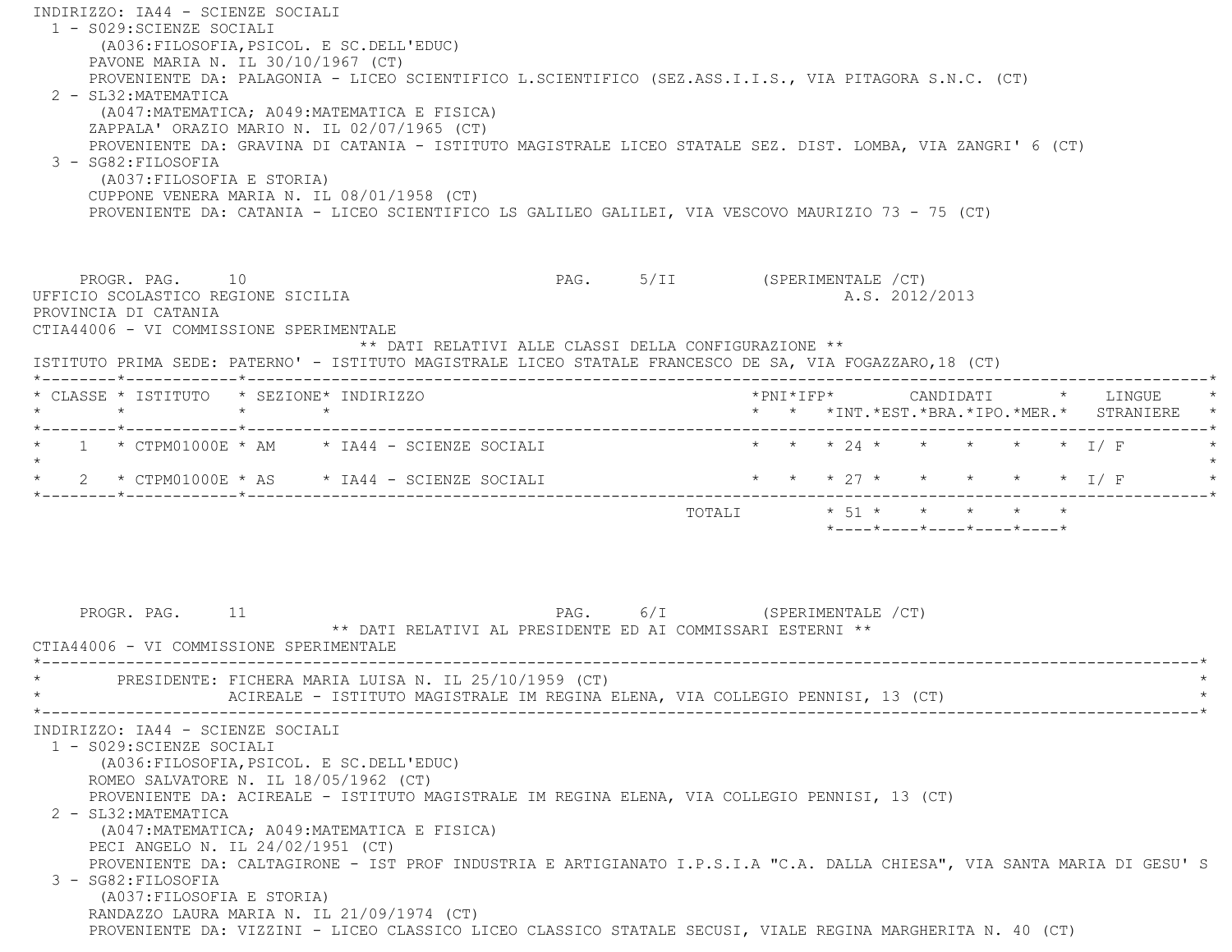INDIRIZZO: IA44 - SCIENZE SOCIALI 1 - S029:SCIENZE SOCIALI (A036:FILOSOFIA,PSICOL. E SC.DELL'EDUC) PAVONE MARIA N. IL 30/10/1967 (CT) PROVENIENTE DA: PALAGONIA - LICEO SCIENTIFICO L.SCIENTIFICO (SEZ.ASS.I.I.S., VIA PITAGORA S.N.C. (CT) 2 - SL32:MATEMATICA (A047:MATEMATICA; A049:MATEMATICA E FISICA) ZAPPALA' ORAZIO MARIO N. IL 02/07/1965 (CT) PROVENIENTE DA: GRAVINA DI CATANIA - ISTITUTO MAGISTRALE LICEO STATALE SEZ. DIST. LOMBA, VIA ZANGRI' 6 (CT) 3 - SG82:FILOSOFIA (A037:FILOSOFIA E STORIA) CUPPONE VENERA MARIA N. IL 08/01/1958 (CT) PROVENIENTE DA: CATANIA - LICEO SCIENTIFICO LS GALILEO GALILEI, VIA VESCOVO MAURIZIO 73 - 75 (CT) PROGR. PAG. 10 **PAG.** PAG. 5/II (SPERIMENTALE /CT) UFFICIO SCOLASTICO REGIONE SICILIA A.S. 2012/2013 PROVINCIA DI CATANIA CTIA44006 - VI COMMISSIONE SPERIMENTALE \*\* DATI RELATIVI ALLE CLASSI DELLA CONFIGURAZIONE \*\* ISTITUTO PRIMA SEDE: PATERNO' - ISTITUTO MAGISTRALE LICEO STATALE FRANCESCO DE SA, VIA FOGAZZARO,18 (CT) \*--------\*------------\*-------------------------------------------------------------------------------------------------------\* \* CLASSE \* ISTITUTO \* SEZIONE\* INDIRIZZO \*PNI\*IFP\* CANDIDATI \* LINGUE \* \* \* \* \* \* \* \*INT.\*EST.\*BRA.\*IPO.\*MER.\* STRANIERE \* \*--------\*------------\*-------------------------------------------------------------------------------------------------------\*1 \* CTPM01000E \* AM \* IA44 - SCIENZE SOCIALI \* \* \* \* 24 \* \* \* \* \* \* \* I/ F  $\star$ \* 2 \* CTPM01000E \* AS \* IA44 - SCIENZE SOCIALI \* \* \* \* 27 \* \* \* \* \* \* \* I/ F \*--------\*------------\*-------------------------------------------------------------------------------------------------------\* TOTALI \* 51 \* \* \* \* \* \*----\*----\*----\*----\*----\*PROGR. PAG. 11 1 PAG. 6/I (SPERIMENTALE /CT) \*\* DATI RELATIVI AL PRESIDENTE ED AI COMMISSARI ESTERNI \*\* CTIA44006 - VI COMMISSIONE SPERIMENTALE \*----------------------------------------------------------------------------------------------------------------------------\*PRESIDENTE: FICHERA MARIA LUISA N. IL 25/10/1959 (CT) ACIREALE - ISTITUTO MAGISTRALE IM REGINA ELENA, VIA COLLEGIO PENNISI, 13 (CT) \*----------------------------------------------------------------------------------------------------------------------------\* INDIRIZZO: IA44 - SCIENZE SOCIALI 1 - S029:SCIENZE SOCIALI (A036:FILOSOFIA,PSICOL. E SC.DELL'EDUC) ROMEO SALVATORE N. IL 18/05/1962 (CT) PROVENIENTE DA: ACIREALE - ISTITUTO MAGISTRALE IM REGINA ELENA, VIA COLLEGIO PENNISI, 13 (CT) 2 - SL32:MATEMATICA (A047:MATEMATICA; A049:MATEMATICA E FISICA) PECI ANGELO N. IL 24/02/1951 (CT) PROVENIENTE DA: CALTAGIRONE - IST PROF INDUSTRIA E ARTIGIANATO I.P.S.I.A "C.A. DALLA CHIESA", VIA SANTA MARIA DI GESU' S 3 - SG82:FILOSOFIA (A037:FILOSOFIA E STORIA) RANDAZZO LAURA MARIA N. IL 21/09/1974 (CT) PROVENIENTE DA: VIZZINI - LICEO CLASSICO LICEO CLASSICO STATALE SECUSI, VIALE REGINA MARGHERITA N. 40 (CT)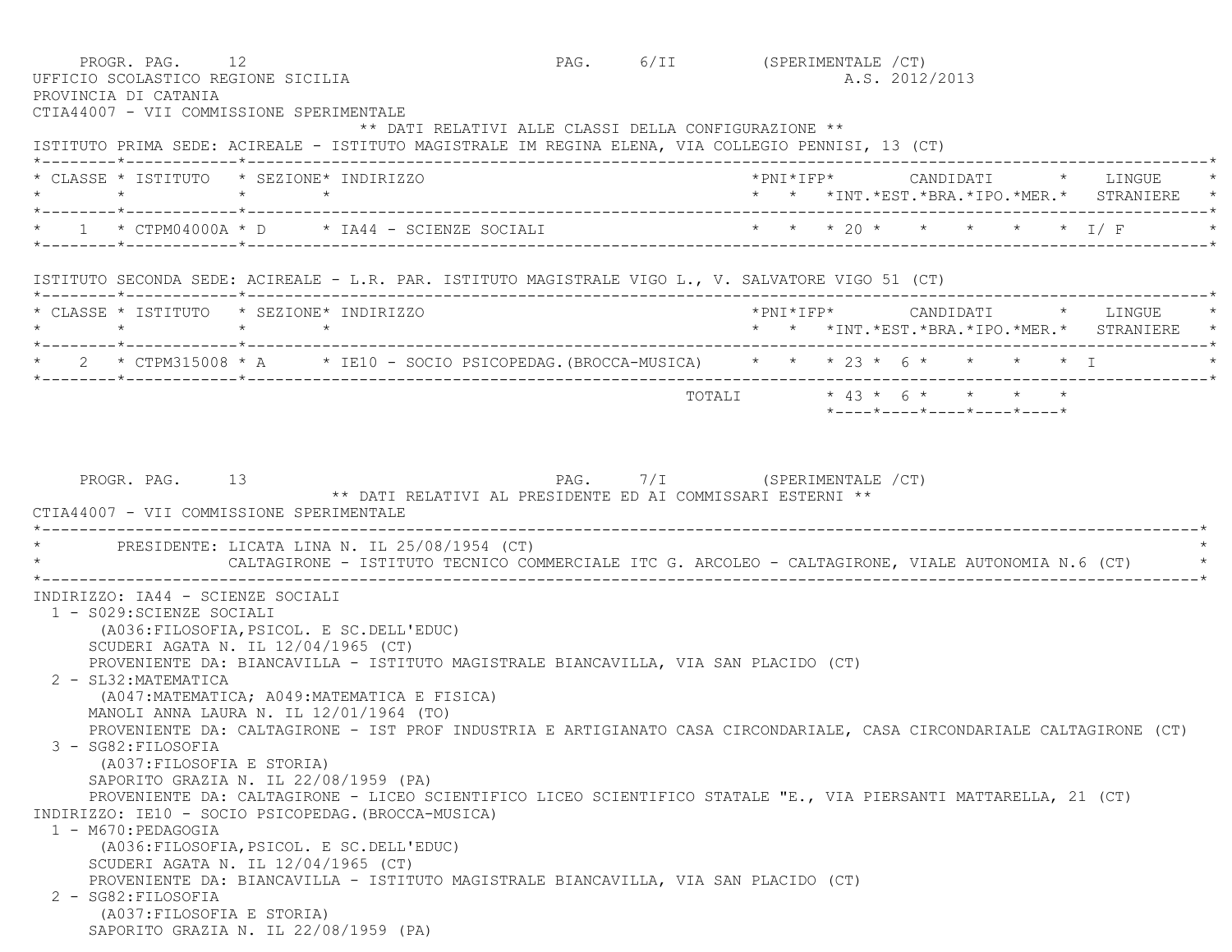| CTIA44007 - VII COMMISSIONE SPERIMENTALE                       | PROGR. PAG. 12<br>UFFICIO SCOLASTICO REGIONE SICILIA                                                                                                       | PAG. 6/II (SPERIMENTALE /CT)<br>A.S. 2012/2013                                                    |
|----------------------------------------------------------------|------------------------------------------------------------------------------------------------------------------------------------------------------------|---------------------------------------------------------------------------------------------------|
|                                                                | ** DATI RELATIVI ALLE CLASSI DELLA CONFIGURAZIONE **<br>ISTITUTO PRIMA SEDE: ACIREALE - ISTITUTO MAGISTRALE IM REGINA ELENA, VIA COLLEGIO PENNISI, 13 (CT) |                                                                                                   |
| * CLASSE * ISTITUTO * SEZIONE* INDIRIZZO<br>$\star$            | $\star$ $\star$                                                                                                                                            | *PNI*IFP*     CANDIDATI    *   LINGUE<br>* * *INT. *EST. *BRA. *IPO. *MER. * STRANIERE *          |
|                                                                |                                                                                                                                                            | 1 * CTPM04000A * D * IA44 - SCIENZE SOCIALI * * * * 20 * * * * * * * I/F                          |
|                                                                | ISTITUTO SECONDA SEDE: ACIREALE - L.R. PAR. ISTITUTO MAGISTRALE VIGO L., V. SALVATORE VIGO 51 (CT)                                                         |                                                                                                   |
| * CLASSE * ISTITUTO * SEZIONE* INDIRIZZO<br>$\star$ $\star$    | $\star$ $\star$                                                                                                                                            | * * *INT. *EST. *BRA. *IPO. *MER. * STRANIERE                                                     |
|                                                                |                                                                                                                                                            | * 2 * CTPM315008 * A * IE10 - SOCIO PSICOPEDAG. (BROCCA-MUSICA) * * * 23 * 6 * * * * * T          |
|                                                                |                                                                                                                                                            | TOTALI * 43 * 6 * * * * *<br>$*$ ---- $*$ ---- $*$ ---- $*$ ---- $*$ ---- $*$                     |
|                                                                | PRESIDENTE: LICATA LINA N. IL 25/08/1954 (CT)                                                                                                              | CALTAGIRONE - ISTITUTO TECNICO COMMERCIALE ITC G. ARCOLEO - CALTAGIRONE, VIALE AUTONOMIA N.6 (CT) |
| INDIRIZZO: IA44 - SCIENZE SOCIALI<br>1 - S029: SCIENZE SOCIALI | (A036: FILOSOFIA, PSICOL. E SC. DELL'EDUC)                                                                                                                 |                                                                                                   |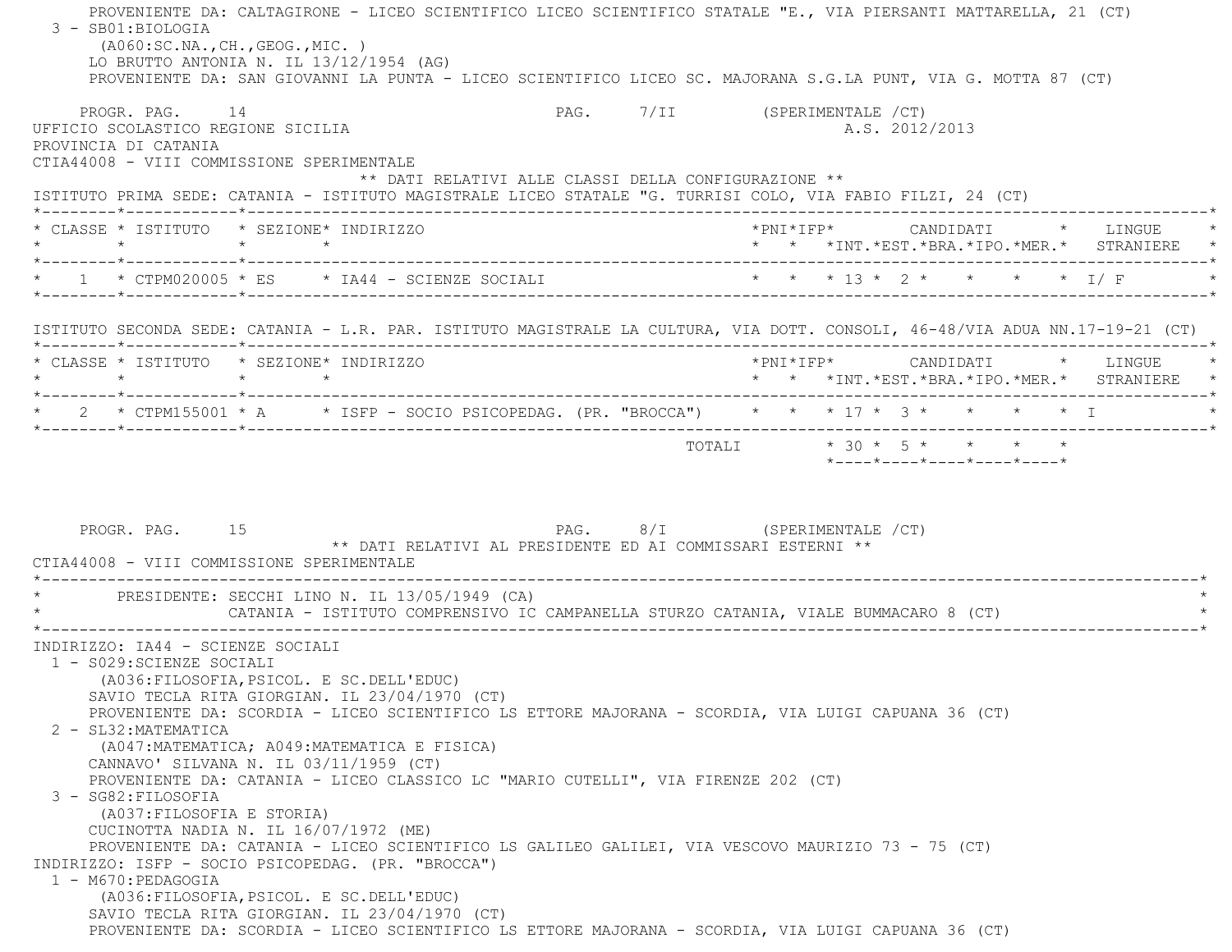PROVENIENTE DA: CALTAGIRONE - LICEO SCIENTIFICO LICEO SCIENTIFICO STATALE "E., VIA PIERSANTI MATTARELLA, 21 (CT) 3 - SB01:BIOLOGIA (A060:SC.NA.,CH.,GEOG.,MIC. ) LO BRUTTO ANTONIA N. IL 13/12/1954 (AG) PROVENIENTE DA: SAN GIOVANNI LA PUNTA - LICEO SCIENTIFICO LICEO SC. MAJORANA S.G.LA PUNT, VIA G. MOTTA 87 (CT) PROGR. PAG. 14 PAG. PAG. 7/II (SPERIMENTALE /CT) UFFICIO SCOLASTICO REGIONE SICILIA A.S. 2012/2013 PROVINCIA DI CATANIA CTIA44008 - VIII COMMISSIONE SPERIMENTALE \*\* DATI RELATIVI ALLE CLASSI DELLA CONFIGURAZIONE \*\* ISTITUTO PRIMA SEDE: CATANIA - ISTITUTO MAGISTRALE LICEO STATALE "G. TURRISI COLO, VIA FABIO FILZI, 24 (CT) \*--------\*------------\*-------------------------------------------------------------------------------------------------------\* \* CLASSE \* ISTITUTO \* SEZIONE\* INDIRIZZO \*PNI\*IFP\* CANDIDATI \* LINGUE \* \* \* \* \* \* \* \*INT.\*EST.\*BRA.\*IPO.\*MER.\* STRANIERE \* \*--------\*------------\*-------------------------------------------------------------------------------------------------------\*\* 1 \* CTPM020005 \* ES \* IA44 - SCIENZE SOCIALI \* \* \* \* 13 \* 2 \* \* \* \* \* \* I/ F \* \* \* \*--------\*------------\*-------------------------------------------------------------------------------------------------------\* ISTITUTO SECONDA SEDE: CATANIA - L.R. PAR. ISTITUTO MAGISTRALE LA CULTURA, VIA DOTT. CONSOLI, 46-48/VIA ADUA NN.17-19-21 (CT) \*--------\*------------\*-------------------------------------------------------------------------------------------------------\* \* CLASSE \* ISTITUTO \* SEZIONE\* INDIRIZZO \*PNI\*IFP\* CANDIDATI \* LINGUE \* \* \* \* \* \* \* \*INT.\*EST.\*BRA.\*IPO.\*MER.\* STRANIERE \* \*--------\*------------\*-------------------------------------------------------------------------------------------------------\*\* 2 \* CTPM155001 \* A \* ISFP - SOCIO PSICOPEDAG. (PR. "BROCCA") \* \* \* 17 \* 3 \* \* \* \* \* 1 \*--------\*------------\*-------------------------------------------------------------------------------------------------------\* $\texttt{TOTAL} \qquad \qquad \star\;\; \texttt{30}\; \star\;\; \texttt{5}\; \star\; \qquad \star\; \qquad \star\; \qquad \star\; \qquad \star\; \qquad \star$  \*----\*----\*----\*----\*----\*PROGR. PAG. 15 15 PAG. 8/I (SPERIMENTALE /CT) \*\* DATI RELATIVI AL PRESIDENTE ED AI COMMISSARI ESTERNI \*\* CTIA44008 - VIII COMMISSIONE SPERIMENTALE \*----------------------------------------------------------------------------------------------------------------------------\*PRESIDENTE: SECCHI LINO N. IL 13/05/1949 (CA) CATANIA - ISTITUTO COMPRENSIVO IC CAMPANELLA STURZO CATANIA, VIALE BUMMACARO 8 (CT) \*----------------------------------------------------------------------------------------------------------------------------\* INDIRIZZO: IA44 - SCIENZE SOCIALI 1 - S029:SCIENZE SOCIALI (A036:FILOSOFIA,PSICOL. E SC.DELL'EDUC) SAVIO TECLA RITA GIORGIAN. IL 23/04/1970 (CT) PROVENIENTE DA: SCORDIA - LICEO SCIENTIFICO LS ETTORE MAJORANA - SCORDIA, VIA LUIGI CAPUANA 36 (CT) 2 - SL32:MATEMATICA (A047:MATEMATICA; A049:MATEMATICA E FISICA) CANNAVO' SILVANA N. IL 03/11/1959 (CT) PROVENIENTE DA: CATANIA - LICEO CLASSICO LC "MARIO CUTELLI", VIA FIRENZE 202 (CT) 3 - SG82:FILOSOFIA (A037:FILOSOFIA E STORIA) CUCINOTTA NADIA N. IL 16/07/1972 (ME) PROVENIENTE DA: CATANIA - LICEO SCIENTIFICO LS GALILEO GALILEI, VIA VESCOVO MAURIZIO 73 - 75 (CT) INDIRIZZO: ISFP - SOCIO PSICOPEDAG. (PR. "BROCCA") 1 - M670:PEDAGOGIA (A036:FILOSOFIA,PSICOL. E SC.DELL'EDUC) SAVIO TECLA RITA GIORGIAN. IL 23/04/1970 (CT) PROVENIENTE DA: SCORDIA - LICEO SCIENTIFICO LS ETTORE MAJORANA - SCORDIA, VIA LUIGI CAPUANA 36 (CT)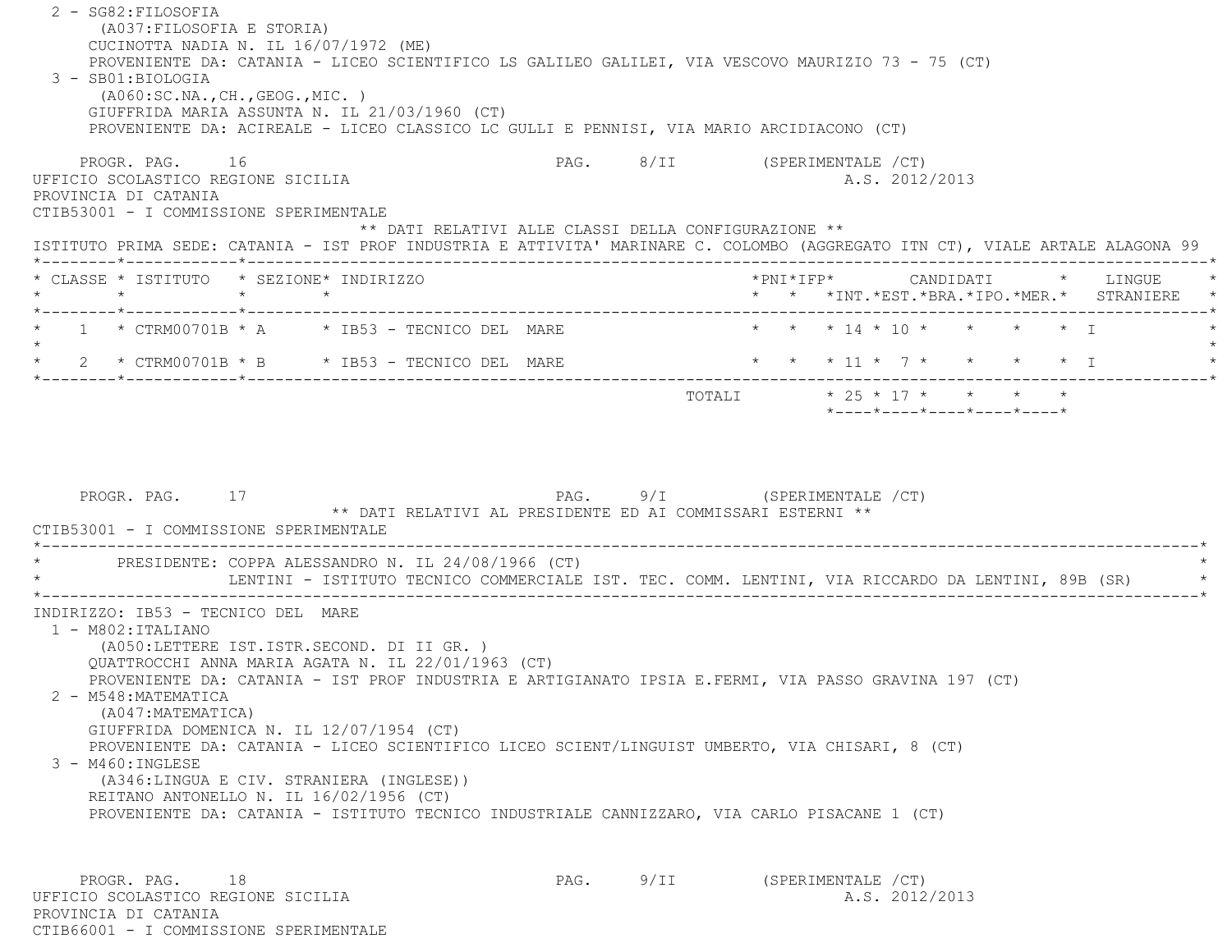2 - SG82:FILOSOFIA (A037:FILOSOFIA E STORIA) CUCINOTTA NADIA N. IL 16/07/1972 (ME) PROVENIENTE DA: CATANIA - LICEO SCIENTIFICO LS GALILEO GALILEI, VIA VESCOVO MAURIZIO 73 - 75 (CT) 3 - SB01:BIOLOGIA (A060:SC.NA.,CH.,GEOG.,MIC. ) GIUFFRIDA MARIA ASSUNTA N. IL 21/03/1960 (CT) PROVENIENTE DA: ACIREALE - LICEO CLASSICO LC GULLI E PENNISI, VIA MARIO ARCIDIACONO (CT) PROGR. PAG. 16 CHA 16 PAG. PAG. 8/II (SPERIMENTALE /CT) UFFICIO SCOLASTICO REGIONE SICILIA A.S. 2012/2013 PROVINCIA DI CATANIA CTIB53001 - I COMMISSIONE SPERIMENTALE \*\* DATI RELATIVI ALLE CLASSI DELLA CONFIGURAZIONE \*\* ISTITUTO PRIMA SEDE: CATANIA - IST PROF INDUSTRIA E ATTIVITA' MARINARE C. COLOMBO (AGGREGATO ITN CT), VIALE ARTALE ALAGONA 99 \*--------\*------------\*-------------------------------------------------------------------------------------------------------\*\* CLASSE \* ISTITUTO \* SEZIONE\* INDIRIZZO \* \* \* \* \* \* \* \* \* \* \* \* \* \* \* \* \* LINGUE \* \* \* \* \* \* \*INT.\*EST.\*BRA.\*IPO.\*MER.\* STRANIERE \* \*--------\*------------\*-------------------------------------------------------------------------------------------------------\* $1 * CTRM00701B * A * IBS3 - TECNICO DEL MARE$  \* \* \* 14 \* 10 \* \* \* \* \* I  $\star$ 2 \* CTRM00701B \* B \* IB53 - TECNICO DEL MARE \* \* \* \* 11 \* 7 \* \* \* \* \* \* I \*--------\*------------\*-------------------------------------------------------------------------------------------------------\* TOTALI \* 25 \* 17 \* \* \* \* \*----\*----\*----\*----\*----\*PROGR. PAG. 17 17 2009 12:30 PAG. 9/I (SPERIMENTALE / CT) \*\* DATI RELATIVI AL PRESIDENTE ED AI COMMISSARI ESTERNI \*\* CTIB53001 - I COMMISSIONE SPERIMENTALE \*----------------------------------------------------------------------------------------------------------------------------\*PRESIDENTE: COPPA ALESSANDRO N. IL 24/08/1966 (CT) LENTINI - ISTITUTO TECNICO COMMERCIALE IST. TEC. COMM. LENTINI, VIA RICCARDO DA LENTINI, 89B (SR) \*----------------------------------------------------------------------------------------------------------------------------\* INDIRIZZO: IB53 - TECNICO DEL MARE 1 - M802:ITALIANO (A050:LETTERE IST.ISTR.SECOND. DI II GR. ) QUATTROCCHI ANNA MARIA AGATA N. IL 22/01/1963 (CT) PROVENIENTE DA: CATANIA - IST PROF INDUSTRIA E ARTIGIANATO IPSIA E.FERMI, VIA PASSO GRAVINA 197 (CT) 2 - M548:MATEMATICA (A047:MATEMATICA) GIUFFRIDA DOMENICA N. IL 12/07/1954 (CT) PROVENIENTE DA: CATANIA - LICEO SCIENTIFICO LICEO SCIENT/LINGUIST UMBERTO, VIA CHISARI, 8 (CT) 3 - M460:INGLESE (A346:LINGUA E CIV. STRANIERA (INGLESE)) REITANO ANTONELLO N. IL 16/02/1956 (CT) PROVENIENTE DA: CATANIA - ISTITUTO TECNICO INDUSTRIALE CANNIZZARO, VIA CARLO PISACANE 1 (CT) PROGR. PAG. 18 18 PAG. PAG. 9/II (SPERIMENTALE /CT) UFFICIO SCOLASTICO REGIONE SICILIA A.S. 2012/2013

 PROVINCIA DI CATANIACTIB66001 - I COMMISSIONE SPERIMENTALE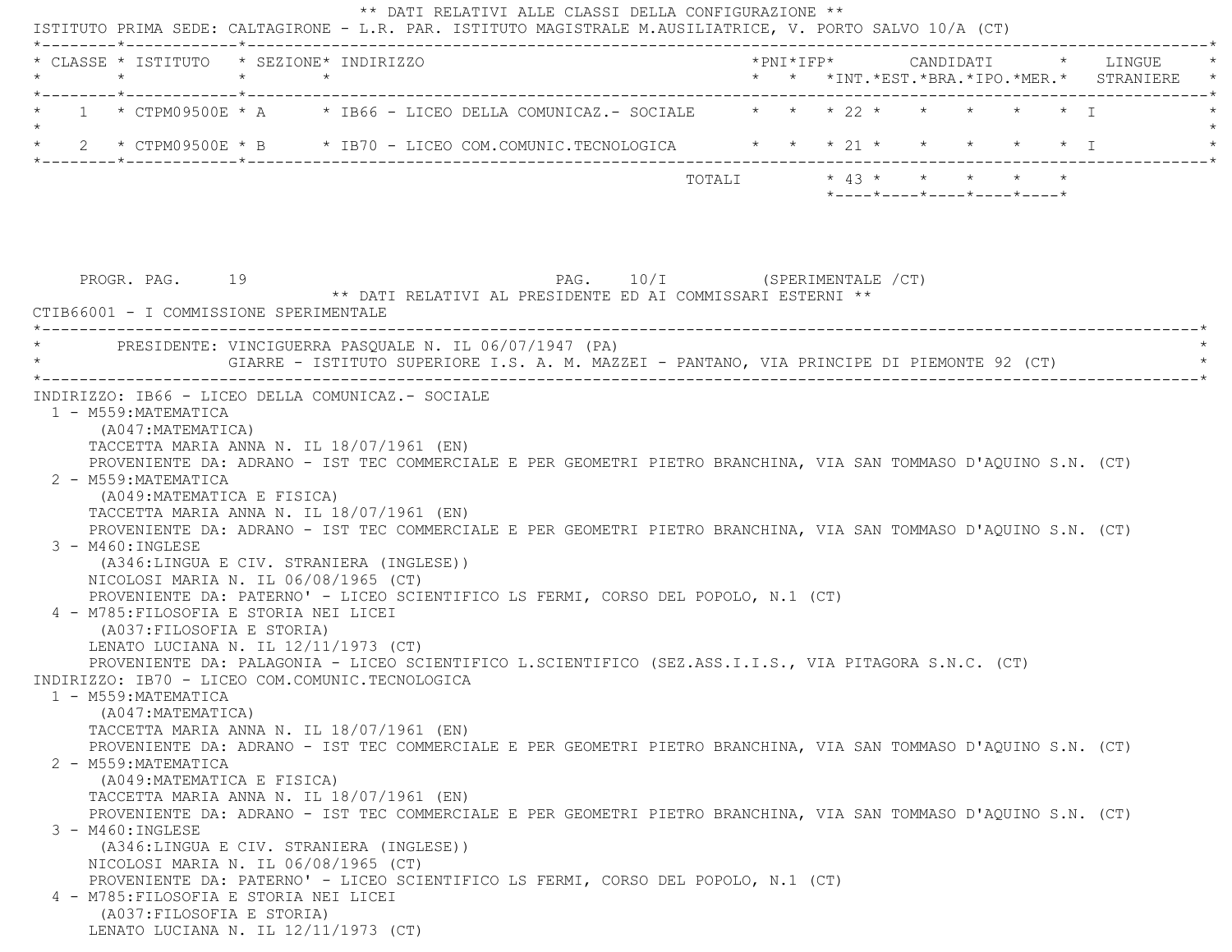ISTITUTO PRIMA SEDE: CALTAGIRONE - L.R. PAR. ISTITUTO MAGISTRALE M.AUSILIATRICE, V. PORTO SALVO 10/A (CT) \*--------\*------------\*-------------------------------------------------------------------------------------------------------\* \* CLASSE \* ISTITUTO \* SEZIONE\* INDIRIZZO \*PNI\*IFP\* CANDIDATI \* LINGUE \* \* \* \* \* \* \* \*INT.\*EST.\*BRA.\*IPO.\*MER.\* STRANIERE \* \*--------\*------------\*-------------------------------------------------------------------------------------------------------\*1 \* CTPM09500E \* A \* IB66 - LICEO DELLA COMUNICAZ.- SOCIALE \* \* \* \* 22 \* \* \* \* \* \* \* I  $\star$ \* 2 \* CTPM09500E \* B \* IB70 - LICEO COM.COMUNIC.TECNOLOGICA \* \* \* 21 \* \* \* \* \* \* \* I \*--------\*------------\*-------------------------------------------------------------------------------------------------------\* TOTALI \* 43 \* \* \* \* \* \*----\*----\*----\*----\*----\*PROGR. PAG. 19 19 2010 11 PAG. 10/I (SPERIMENTALE /CT) \*\* DATI RELATIVI AL PRESIDENTE ED AI COMMISSARI ESTERNI \*\* CTIB66001 - I COMMISSIONE SPERIMENTALE \*----------------------------------------------------------------------------------------------------------------------------\*PRESIDENTE: VINCIGUERRA PASOUALE N. IL 06/07/1947 (PA) GIARRE - ISTITUTO SUPERIORE I.S. A. M. MAZZEI - PANTANO, VIA PRINCIPE DI PIEMONTE 92 (CT) \*----------------------------------------------------------------------------------------------------------------------------\* INDIRIZZO: IB66 - LICEO DELLA COMUNICAZ.- SOCIALE 1 - M559:MATEMATICA (A047:MATEMATICA) TACCETTA MARIA ANNA N. IL 18/07/1961 (EN) PROVENIENTE DA: ADRANO - IST TEC COMMERCIALE E PER GEOMETRI PIETRO BRANCHINA, VIA SAN TOMMASO D'AQUINO S.N. (CT) 2 - M559:MATEMATICA (A049:MATEMATICA E FISICA) TACCETTA MARIA ANNA N. IL 18/07/1961 (EN) PROVENIENTE DA: ADRANO - IST TEC COMMERCIALE E PER GEOMETRI PIETRO BRANCHINA, VIA SAN TOMMASO D'AQUINO S.N. (CT) 3 - M460:INGLESE (A346:LINGUA E CIV. STRANIERA (INGLESE)) NICOLOSI MARIA N. IL 06/08/1965 (CT) PROVENIENTE DA: PATERNO' - LICEO SCIENTIFICO LS FERMI, CORSO DEL POPOLO, N.1 (CT) 4 - M785:FILOSOFIA E STORIA NEI LICEI (A037:FILOSOFIA E STORIA) LENATO LUCIANA N. IL 12/11/1973 (CT) PROVENIENTE DA: PALAGONIA - LICEO SCIENTIFICO L.SCIENTIFICO (SEZ.ASS.I.I.S., VIA PITAGORA S.N.C. (CT) INDIRIZZO: IB70 - LICEO COM.COMUNIC.TECNOLOGICA 1 - M559:MATEMATICA (A047:MATEMATICA) TACCETTA MARIA ANNA N. IL 18/07/1961 (EN) PROVENIENTE DA: ADRANO - IST TEC COMMERCIALE E PER GEOMETRI PIETRO BRANCHINA, VIA SAN TOMMASO D'AQUINO S.N. (CT) 2 - M559:MATEMATICA (A049:MATEMATICA E FISICA) TACCETTA MARIA ANNA N. IL 18/07/1961 (EN) PROVENIENTE DA: ADRANO - IST TEC COMMERCIALE E PER GEOMETRI PIETRO BRANCHINA, VIA SAN TOMMASO D'AQUINO S.N. (CT) 3 - M460:INGLESE (A346:LINGUA E CIV. STRANIERA (INGLESE)) NICOLOSI MARIA N. IL 06/08/1965 (CT) PROVENIENTE DA: PATERNO' - LICEO SCIENTIFICO LS FERMI, CORSO DEL POPOLO, N.1 (CT) 4 - M785:FILOSOFIA E STORIA NEI LICEI (A037:FILOSOFIA E STORIA) LENATO LUCIANA N. IL 12/11/1973 (CT)

\*\* DATI RELATIVI ALLE CLASSI DELLA CONFIGURAZIONE \*\*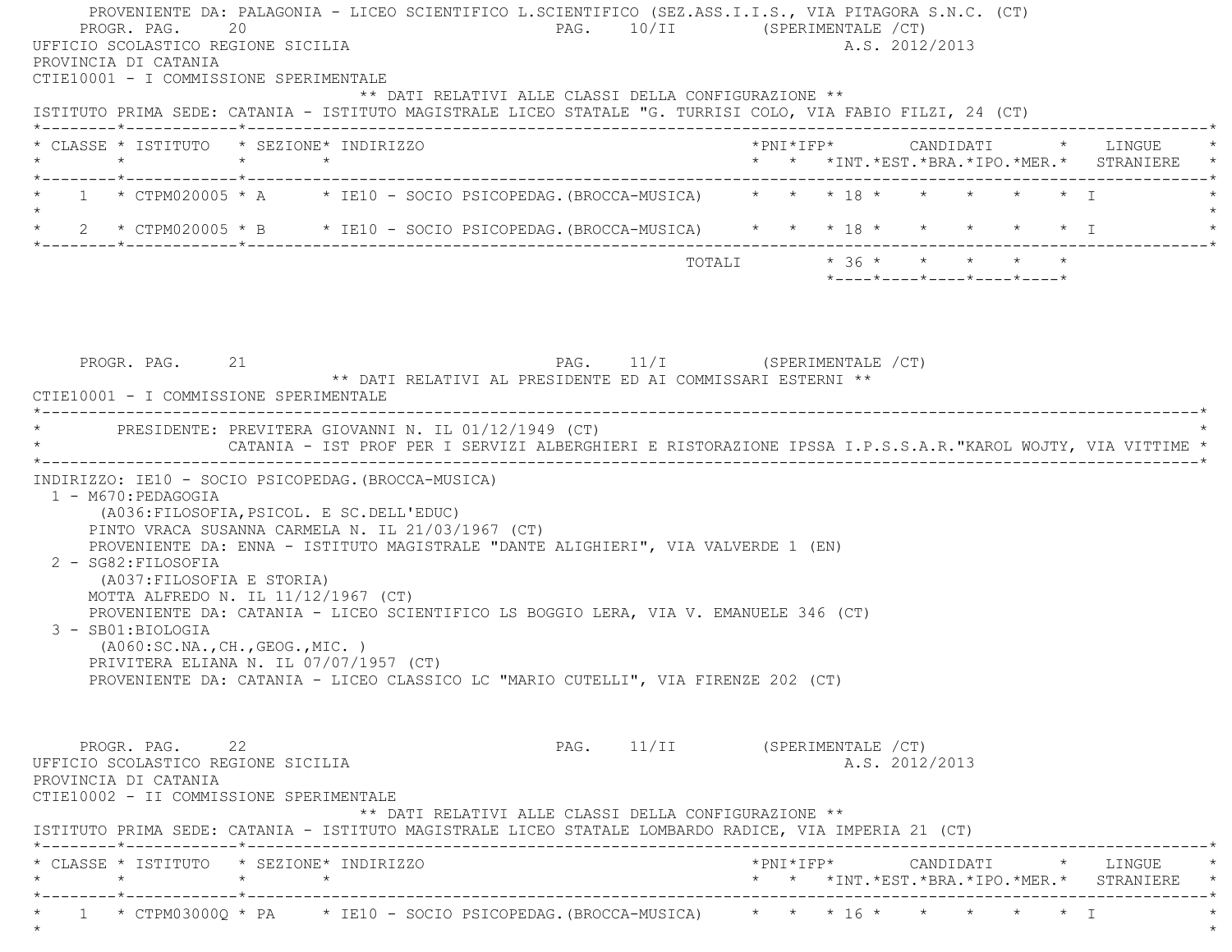PROVENIENTE DA: PALAGONIA - LICEO SCIENTIFICO L.SCIENTIFICO (SEZ.ASS.I.I.S., VIA PITAGORA S.N.C. (CT) PROGR. PAG. 20 20 PAG. 10/II (SPERIMENTALE /CT) UFFICIO SCOLASTICO REGIONE SICILIA A.S. 2012/2013 PROVINCIA DI CATANIA CTIE10001 - I COMMISSIONE SPERIMENTALE \*\* DATI RELATIVI ALLE CLASSI DELLA CONFIGURAZIONE \*\* ISTITUTO PRIMA SEDE: CATANIA - ISTITUTO MAGISTRALE LICEO STATALE "G. TURRISI COLO, VIA FABIO FILZI, 24 (CT) \*--------\*------------\*-------------------------------------------------------------------------------------------------------\* \* CLASSE \* ISTITUTO \* SEZIONE\* INDIRIZZO \*PNI\*IFP\* CANDIDATI \* LINGUE \* \* \* \* \* \* \* \*INT.\*EST.\*BRA.\*IPO.\*MER.\* STRANIERE \* \*--------\*------------\*-------------------------------------------------------------------------------------------------------\*1 \* CTPM020005 \* A \* IE10 - SOCIO PSICOPEDAG.(BROCCA-MUSICA) \* \* \* 18 \* \* \* \* \* \* \* T  $\star$ \* 2 \* CTPM020005 \* B \* IE10 - SOCIO PSICOPEDAG. (BROCCA-MUSICA) \* \* \* 18 \* \* \* \* \* \* \* I \*--------\*------------\*-------------------------------------------------------------------------------------------------------\*TOTALI  $* 36 * * * * * * * * * *$  \*----\*----\*----\*----\*----\*PROGR. PAG. 21 21 PAG. 11/I (SPERIMENTALE / CT) \*\* DATI RELATIVI AL PRESIDENTE ED AI COMMISSARI ESTERNI \*\* CTIE10001 - I COMMISSIONE SPERIMENTALE \*----------------------------------------------------------------------------------------------------------------------------\*PRESIDENTE: PREVITERA GIOVANNI N. IL 01/12/1949 (CT) \* CATANIA - IST PROF PER I SERVIZI ALBERGHIERI E RISTORAZIONE IPSSA I.P.S.S.A.R."KAROL WOJTY, VIA VITTIME \* \*----------------------------------------------------------------------------------------------------------------------------\* INDIRIZZO: IE10 - SOCIO PSICOPEDAG.(BROCCA-MUSICA) 1 - M670:PEDAGOGIA (A036:FILOSOFIA,PSICOL. E SC.DELL'EDUC) PINTO VRACA SUSANNA CARMELA N. IL 21/03/1967 (CT) PROVENIENTE DA: ENNA - ISTITUTO MAGISTRALE "DANTE ALIGHIERI", VIA VALVERDE 1 (EN) 2 - SG82:FILOSOFIA (A037:FILOSOFIA E STORIA) MOTTA ALFREDO N. IL 11/12/1967 (CT) PROVENIENTE DA: CATANIA - LICEO SCIENTIFICO LS BOGGIO LERA, VIA V. EMANUELE 346 (CT) 3 - SB01:BIOLOGIA (A060:SC.NA.,CH.,GEOG.,MIC. ) PRIVITERA ELIANA N. IL 07/07/1957 (CT) PROVENIENTE DA: CATANIA - LICEO CLASSICO LC "MARIO CUTELLI", VIA FIRENZE 202 (CT) PROGR. PAG. 22 22 PAG. 11/II (SPERIMENTALE /CT) UFFICIO SCOLASTICO REGIONE SICILIA A.S. 2012/2013 PROVINCIA DI CATANIA CTIE10002 - II COMMISSIONE SPERIMENTALE \*\* DATI RELATIVI ALLE CLASSI DELLA CONFIGURAZIONE \*\* ISTITUTO PRIMA SEDE: CATANIA - ISTITUTO MAGISTRALE LICEO STATALE LOMBARDO RADICE, VIA IMPERIA 21 (CT) \*--------\*------------\*-------------------------------------------------------------------------------------------------------\* \* CLASSE \* ISTITUTO \* SEZIONE\* INDIRIZZO \*PNI\*IFP\* CANDIDATI \* LINGUE \* \* \* \* \* \* \* \*INT.\*EST.\*BRA.\*IPO.\*MER.\* STRANIERE \* \*--------\*------------\*-------------------------------------------------------------------------------------------------------\* $*$  1  $*$  CTPM03000Q  $*$  PA  $*$  IE10 - SOCIO PSICOPEDAG.(BROCCA-MUSICA)  $*$   $*$   $*$  16  $*$   $*$   $*$   $*$   $*$   $*$  I

 $\star$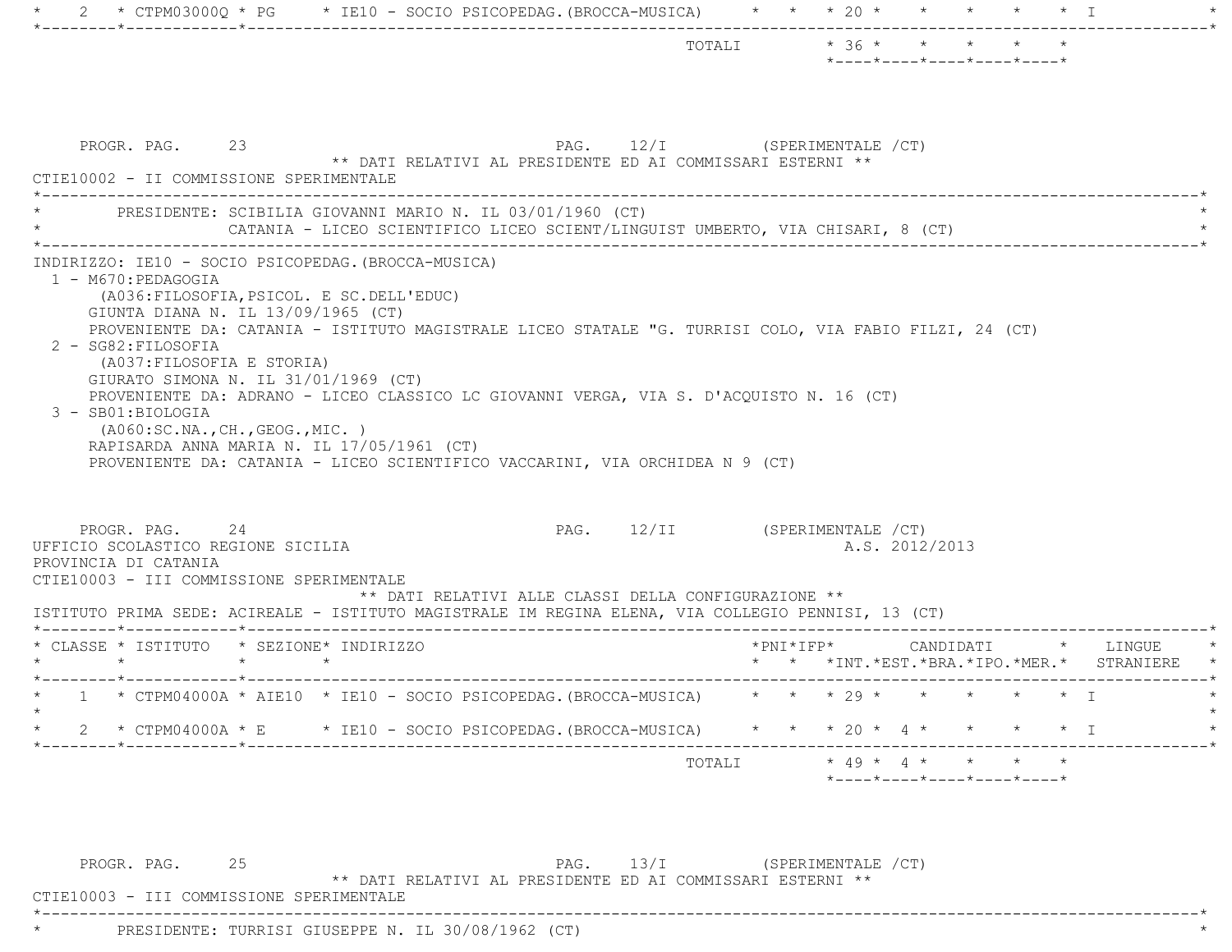|                                                                                                                                                                                                                                                                                                                                                                                                                                                                                                                                                                                                                                                            |  |  |                                                                                            |                     |  |                | *----*----*----*----*----*               |  |                                 |
|------------------------------------------------------------------------------------------------------------------------------------------------------------------------------------------------------------------------------------------------------------------------------------------------------------------------------------------------------------------------------------------------------------------------------------------------------------------------------------------------------------------------------------------------------------------------------------------------------------------------------------------------------------|--|--|--------------------------------------------------------------------------------------------|---------------------|--|----------------|------------------------------------------|--|---------------------------------|
| PROGR. PAG. 23<br>CTIE10002 - II COMMISSIONE SPERIMENTALE                                                                                                                                                                                                                                                                                                                                                                                                                                                                                                                                                                                                  |  |  | PAG. 12/I (SPERIMENTALE /CT)<br>** DATI RELATIVI AL PRESIDENTE ED AI COMMISSARI ESTERNI ** |                     |  |                |                                          |  |                                 |
| PRESIDENTE: SCIBILIA GIOVANNI MARIO N. IL 03/01/1960 (CT)                                                                                                                                                                                                                                                                                                                                                                                                                                                                                                                                                                                                  |  |  | CATANIA - LICEO SCIENTIFICO LICEO SCIENT/LINGUIST UMBERTO, VIA CHISARI, 8 (CT)             |                     |  |                |                                          |  |                                 |
| GIUNTA DIANA N. IL 13/09/1965 (CT)<br>PROVENIENTE DA: CATANIA - ISTITUTO MAGISTRALE LICEO STATALE "G. TURRISI COLO, VIA FABIO FILZI, 24 (CT)<br>2 - SG82: FILOSOFIA<br>(A037: FILOSOFIA E STORIA)<br>GIURATO SIMONA N. IL $31/01/1969$ (CT)<br>PROVENIENTE DA: ADRANO - LICEO CLASSICO LC GIOVANNI VERGA, VIA S. D'ACQUISTO N. 16 (CT)<br>3 - SB01:BIOLOGIA<br>( A060:SC.NA., CH., GEOG., MIC. )<br>RAPISARDA ANNA MARIA N. IL 17/05/1961 (CT)<br>PROVENIENTE DA: CATANIA - LICEO SCIENTIFICO VACCARINI, VIA ORCHIDEA N 9 (CT)<br>PROGR. PAG. 24<br>UFFICIO SCOLASTICO REGIONE SICILIA<br>PROVINCIA DI CATANIA<br>CTIE10003 - III COMMISSIONE SPERIMENTALE |  |  | PAG. 12/II (SPERIMENTALE /CT)<br>** DATI RELATIVI ALLE CLASSI DELLA CONFIGURAZIONE **      |                     |  | A.S. 2012/2013 |                                          |  |                                 |
| ISTITUTO PRIMA SEDE: ACIREALE - ISTITUTO MAGISTRALE IM REGINA ELENA, VIA COLLEGIO PENNISI, 13 (CT)                                                                                                                                                                                                                                                                                                                                                                                                                                                                                                                                                         |  |  |                                                                                            |                     |  |                |                                          |  |                                 |
| * CLASSE * ISTITUTO * SEZIONE* INDIRIZZO                                                                                                                                                                                                                                                                                                                                                                                                                                                                                                                                                                                                                   |  |  |                                                                                            | $*$ PNI $*$ IFP $*$ |  |                | * * * INT. * EST. * BRA. * IPO. * MER. * |  | CANDIDATI * LINGUE<br>STRANIERE |
| * 1 * CTPM04000A * AIE10 * IE10 - SOCIO PSICOPEDAG. (BROCCA-MUSICA) * * * * 29 * * * * * * * I                                                                                                                                                                                                                                                                                                                                                                                                                                                                                                                                                             |  |  |                                                                                            |                     |  |                |                                          |  |                                 |
| * CTPM04000A * E * IE10 - SOCIO PSICOPEDAG.(BROCCA-MUSICA) * * * 20 * 4 * * * * * * I                                                                                                                                                                                                                                                                                                                                                                                                                                                                                                                                                                      |  |  |                                                                                            |                     |  |                |                                          |  |                                 |
|                                                                                                                                                                                                                                                                                                                                                                                                                                                                                                                                                                                                                                                            |  |  |                                                                                            |                     |  |                |                                          |  |                                 |

PROGR. PAG. 25 25 PAG. 13/I (SPERIMENTALE /CT) \*\* DATI RELATIVI AL PRESIDENTE ED AI COMMISSARI ESTERNI \*\*

\*----------------------------------------------------------------------------------------------------------------------------\*

CTIE10003 - III COMMISSIONE SPERIMENTALE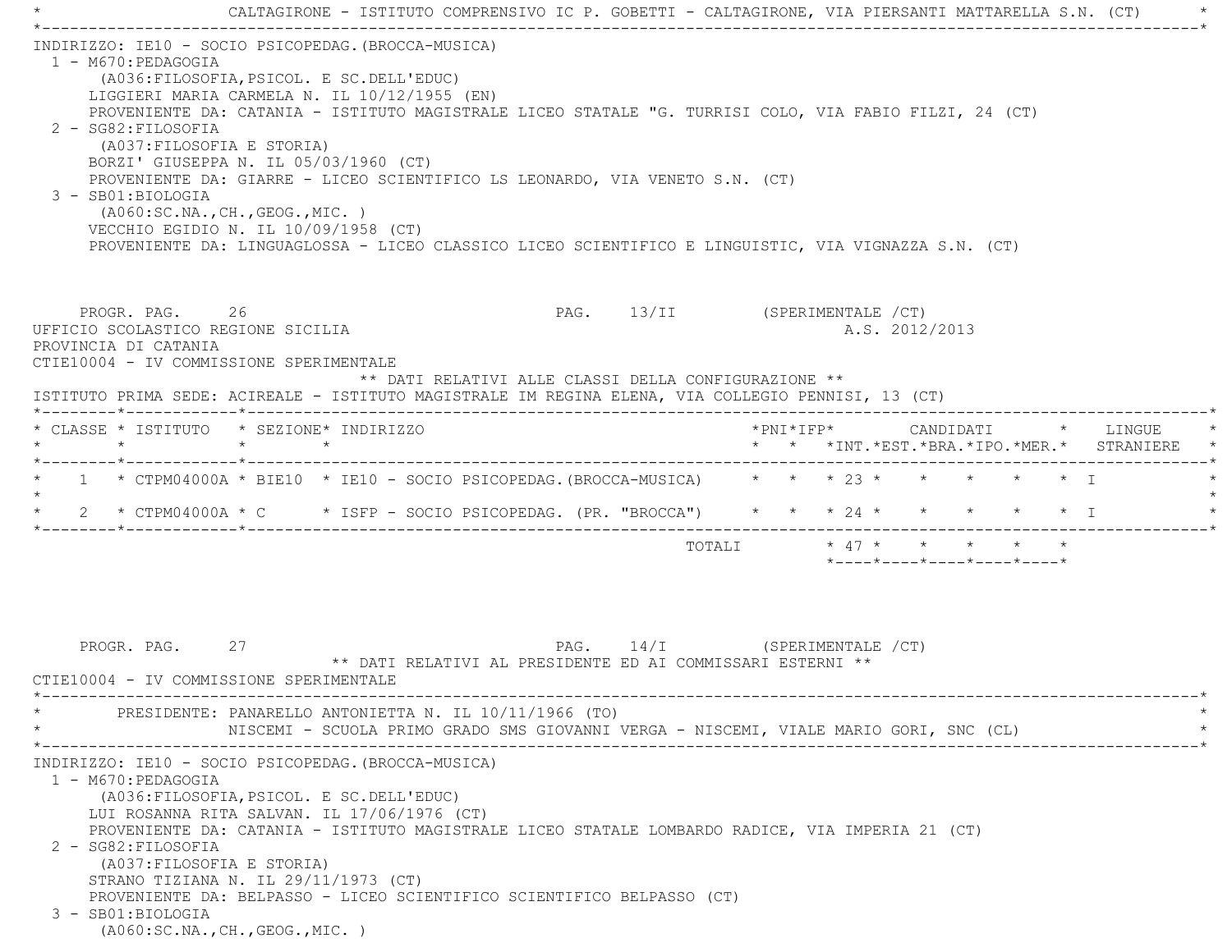|                                                                 | CALTAGIRONE - ISTITUTO COMPRENSIVO IC P. GOBETTI - CALTAGIRONE, VIA PIERSANTI MATTARELLA S.N. (CT)                                                                                                                                                                                                                                                                                                                                                                                                                                                                                                      |
|-----------------------------------------------------------------|---------------------------------------------------------------------------------------------------------------------------------------------------------------------------------------------------------------------------------------------------------------------------------------------------------------------------------------------------------------------------------------------------------------------------------------------------------------------------------------------------------------------------------------------------------------------------------------------------------|
| 1 - M670: PEDAGOGIA<br>2 - SG82: FILOSOFIA<br>3 - SB01:BIOLOGIA | INDIRIZZO: IE10 - SOCIO PSICOPEDAG. (BROCCA-MUSICA)<br>(A036: FILOSOFIA, PSICOL. E SC. DELL'EDUC)<br>LIGGIERI MARIA CARMELA N. IL 10/12/1955 (EN)<br>PROVENIENTE DA: CATANIA - ISTITUTO MAGISTRALE LICEO STATALE "G. TURRISI COLO, VIA FABIO FILZI, 24 (CT)<br>(A037: FILOSOFIA E STORIA)<br>BORZI' GIUSEPPA N. IL 05/03/1960 (CT)<br>PROVENIENTE DA: GIARRE - LICEO SCIENTIFICO LS LEONARDO, VIA VENETO S.N. (CT)<br>( A060:SC.NA., CH., GEOG., MIC. )<br>VECCHIO EGIDIO N. IL 10/09/1958 (CT)<br>PROVENIENTE DA: LINGUAGLOSSA - LICEO CLASSICO LICEO SCIENTIFICO E LINGUISTIC, VIA VIGNAZZA S.N. (CT) |
| PROVINCIA DI CATANIA                                            | PAG. 13/II (SPERIMENTALE / CT)<br>PROGR. PAG. 26<br>A.S. 2012/2013<br>UFFICIO SCOLASTICO REGIONE SICILIA<br>CTIE10004 - IV COMMISSIONE SPERIMENTALE<br>** DATI RELATIVI ALLE CLASSI DELLA CONFIGURAZIONE **<br>ISTITUTO PRIMA SEDE: ACIREALE - ISTITUTO MAGISTRALE IM REGINA ELENA, VIA COLLEGIO PENNISI, 13 (CT)                                                                                                                                                                                                                                                                                       |
| $\star$                                                         | * CLASSE * ISTITUTO * SEZIONE* INDIRIZZO<br>$*$ PNI $*$ IFP $*$<br>CANDIDATI * LINGUE<br>$\star$<br>* * *INT. *EST. *BRA. *IPO. *MER. * STRANIERE<br>$\star$                                                                                                                                                                                                                                                                                                                                                                                                                                            |
|                                                                 | 1 * CTPM04000A * BIE10 * IE10 - SOCIO PSICOPEDAG. (BROCCA-MUSICA) * * * * 23 *<br>$\star$ $\star$ $\star$ $\star$ T<br>2 * CTPM04000A * C * ISFP - SOCIO PSICOPEDAG. (PR. "BROCCA") * * * 24 * * * * * * * I<br>TOTALI * 47 * * * * *<br>$*$ ---- $*$ ---- $*$ ---- $*$ ---- $*$ ---- $*$                                                                                                                                                                                                                                                                                                               |
| PROGR. PAG.                                                     | PAG. 14/I (SPERIMENTALE /CT)<br>27<br>** DATI RELATIVI AL PRESIDENTE ED AI COMMISSARI ESTERNI **<br>CTIE10004 - IV COMMISSIONE SPERIMENTALE<br>PRESIDENTE: PANARELLO ANTONIETTA N. IL 10/11/1966 (TO)<br>NISCEMI - SCUOLA PRIMO GRADO SMS GIOVANNI VERGA - NISCEMI, VIALE MARIO GORI, SNC (CL)                                                                                                                                                                                                                                                                                                          |
| 1 - M670:PEDAGOGIA<br>2 - SG82: FILOSOFIA<br>3 - SB01:BIOLOGIA  | INDIRIZZO: IE10 - SOCIO PSICOPEDAG. (BROCCA-MUSICA)<br>(A036: FILOSOFIA, PSICOL. E SC. DELL'EDUC)<br>LUI ROSANNA RITA SALVAN. IL 17/06/1976 (CT)<br>PROVENIENTE DA: CATANIA - ISTITUTO MAGISTRALE LICEO STATALE LOMBARDO RADICE, VIA IMPERIA 21 (CT)<br>(A037: FILOSOFIA E STORIA)<br>STRANO TIZIANA N. IL 29/11/1973 (CT)<br>PROVENIENTE DA: BELPASSO - LICEO SCIENTIFICO SCIENTIFICO BELPASSO (CT)<br>( A060:SC.NA., CH., GEOG., MIC. )                                                                                                                                                               |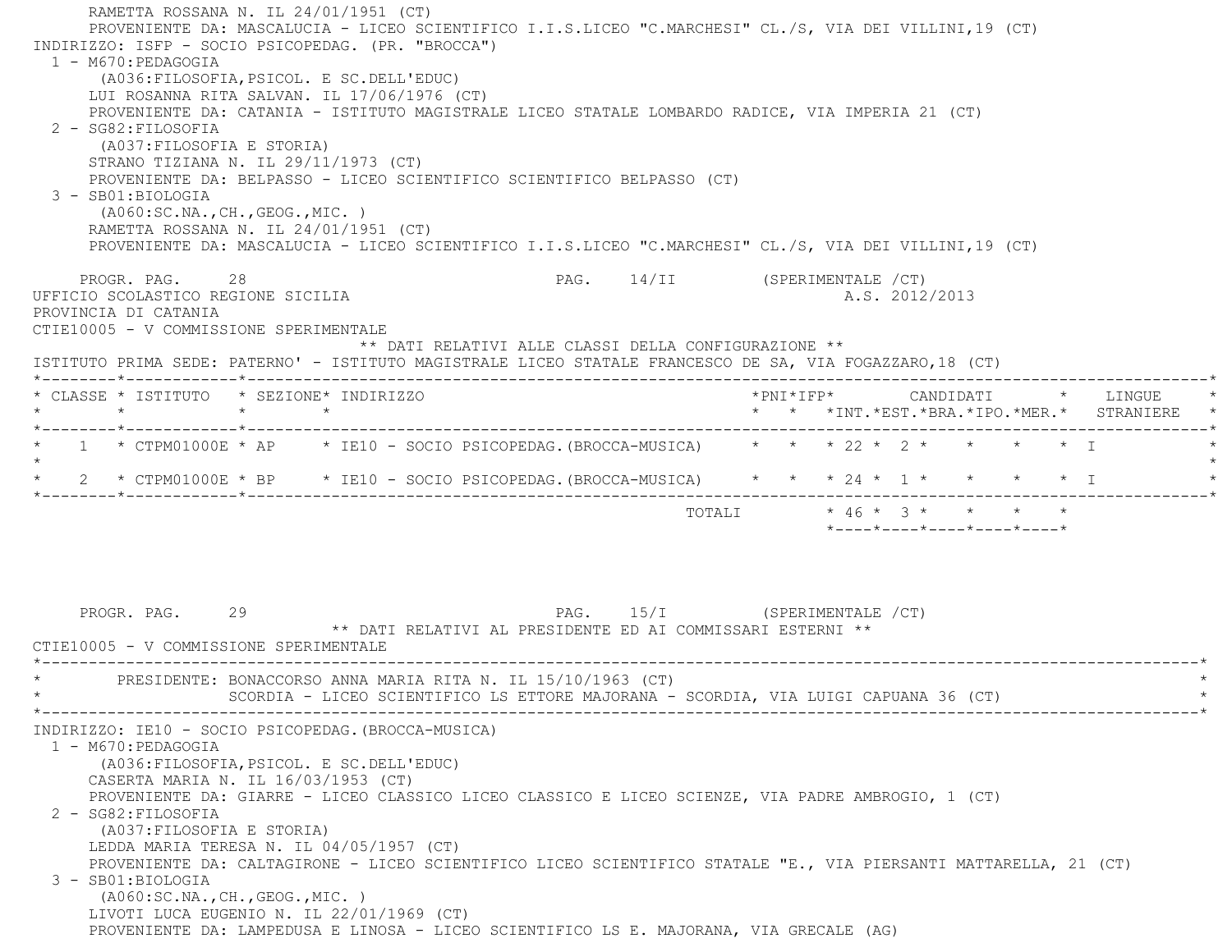RAMETTA ROSSANA N. IL 24/01/1951 (CT) PROVENIENTE DA: MASCALUCIA - LICEO SCIENTIFICO I.I.S.LICEO "C.MARCHESI" CL./S, VIA DEI VILLINI,19 (CT) INDIRIZZO: ISFP - SOCIO PSICOPEDAG. (PR. "BROCCA") 1 - M670:PEDAGOGIA (A036:FILOSOFIA,PSICOL. E SC.DELL'EDUC) LUI ROSANNA RITA SALVAN. IL 17/06/1976 (CT) PROVENIENTE DA: CATANIA - ISTITUTO MAGISTRALE LICEO STATALE LOMBARDO RADICE, VIA IMPERIA 21 (CT) 2 - SG82:FILOSOFIA (A037:FILOSOFIA E STORIA) STRANO TIZIANA N. IL 29/11/1973 (CT) PROVENIENTE DA: BELPASSO - LICEO SCIENTIFICO SCIENTIFICO BELPASSO (CT) 3 - SB01:BIOLOGIA (A060:SC.NA.,CH.,GEOG.,MIC. ) RAMETTA ROSSANA N. IL 24/01/1951 (CT) PROVENIENTE DA: MASCALUCIA - LICEO SCIENTIFICO I.I.S.LICEO "C.MARCHESI" CL./S, VIA DEI VILLINI,19 (CT) PROGR. PAG. 28 28 PAG. 14/II (SPERIMENTALE /CT) UFFICIO SCOLASTICO REGIONE SICILIA A.S. 2012/2013 PROVINCIA DI CATANIA CTIE10005 - V COMMISSIONE SPERIMENTALE \*\* DATI RELATIVI ALLE CLASSI DELLA CONFIGURAZIONE \*\* ISTITUTO PRIMA SEDE: PATERNO' - ISTITUTO MAGISTRALE LICEO STATALE FRANCESCO DE SA, VIA FOGAZZARO,18 (CT) \*--------\*------------\*-------------------------------------------------------------------------------------------------------\* \* CLASSE \* ISTITUTO \* SEZIONE\* INDIRIZZO \*PNI\*IFP\* CANDIDATI \* LINGUE \* \* \* \* \* \* \* \*INT.\*EST.\*BRA.\*IPO.\*MER.\* STRANIERE \* \*--------\*------------\*-------------------------------------------------------------------------------------------------------\*1 \* CTPM01000E \* AP \* IE10 - SOCIO PSICOPEDAG. (BROCCA-MUSICA) \* \* \* 22 \* 2 \* \* \* \* \* \* I  $\star$  $*$  2  $*$  CTPM01000E  $*$  BP  $*$  IE10 - SOCIO PSICOPEDAG. (BROCCA-MUSICA)  $*$   $*$   $*$   $24$   $*$  1  $*$   $*$   $*$   $*$  I \*--------\*------------\*-------------------------------------------------------------------------------------------------------\* TOTALI \* 46 \* 3 \* \* \* \* \*----\*----\*----\*----\*----\*PROGR. PAG. 29 29 PAG. 15/I (SPERIMENTALE / CT) \*\* DATI RELATIVI AL PRESIDENTE ED AI COMMISSARI ESTERNI \*\* CTIE10005 - V COMMISSIONE SPERIMENTALE \*----------------------------------------------------------------------------------------------------------------------------\*PRESIDENTE: BONACCORSO ANNA MARIA RITA N. IL 15/10/1963 (CT) SCORDIA - LICEO SCIENTIFICO LS ETTORE MAJORANA - SCORDIA, VIA LUIGI CAPUANA 36 (CT) \*----------------------------------------------------------------------------------------------------------------------------\* INDIRIZZO: IE10 - SOCIO PSICOPEDAG.(BROCCA-MUSICA) 1 - M670:PEDAGOGIA (A036:FILOSOFIA,PSICOL. E SC.DELL'EDUC) CASERTA MARIA N. IL 16/03/1953 (CT) PROVENIENTE DA: GIARRE - LICEO CLASSICO LICEO CLASSICO E LICEO SCIENZE, VIA PADRE AMBROGIO, 1 (CT) 2 - SG82:FILOSOFIA (A037:FILOSOFIA E STORIA) LEDDA MARIA TERESA N. IL 04/05/1957 (CT) PROVENIENTE DA: CALTAGIRONE - LICEO SCIENTIFICO LICEO SCIENTIFICO STATALE "E., VIA PIERSANTI MATTARELLA, 21 (CT) 3 - SB01:BIOLOGIA (A060:SC.NA.,CH.,GEOG.,MIC. ) LIVOTI LUCA EUGENIO N. IL 22/01/1969 (CT) PROVENIENTE DA: LAMPEDUSA E LINOSA - LICEO SCIENTIFICO LS E. MAJORANA, VIA GRECALE (AG)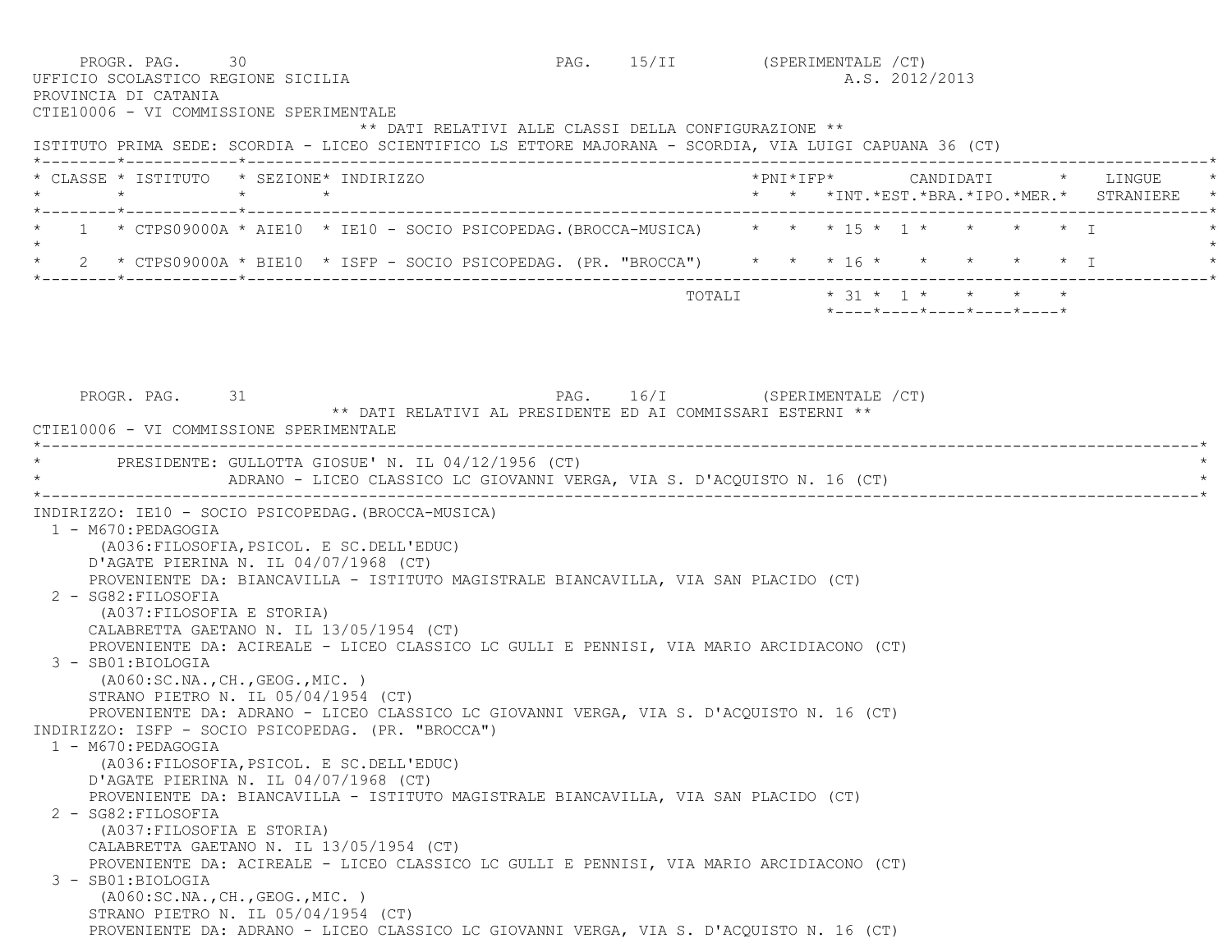PROGR. PAG. 30 30 PAG. 15/II (SPERIMENTALE /CT) UFFICIO SCOLASTICO REGIONE SICILIA A.S. 2012/2013 PROVINCIA DI CATANIA CTIE10006 - VI COMMISSIONE SPERIMENTALE \*\* DATI RELATIVI ALLE CLASSI DELLA CONFIGURAZIONE \*\* ISTITUTO PRIMA SEDE: SCORDIA - LICEO SCIENTIFICO LS ETTORE MAJORANA - SCORDIA, VIA LUIGI CAPUANA 36 (CT) \*--------\*------------\*-------------------------------------------------------------------------------------------------------\* \* CLASSE \* ISTITUTO \* SEZIONE\* INDIRIZZO \*PNI\*IFP\* CANDIDATI \* LINGUE \* \* \* \* \* \* \* \*INT.\*EST.\*BRA.\*IPO.\*MER.\* STRANIERE \* \*--------\*------------\*-------------------------------------------------------------------------------------------------------\*1 \* CTPS09000A \* AIE10 \* IE10 - SOCIO PSICOPEDAG.(BROCCA-MUSICA) \* \* \* 15 \* 1 \* \* \* \* \* \* I  $\star$ 2 \* CTPS09000A \* BIE10 \* ISFP - SOCIO PSICOPEDAG. (PR. "BROCCA") \* \* \* 16 \* \* \* \* \* \* \* \* I \*--------\*------------\*-------------------------------------------------------------------------------------------------------\* $\texttt{TOTAL} \qquad \qquad \star \quad 31 \; \star \quad \ 1 \; \star \qquad \star \qquad \star \qquad \star \qquad \star$  \*----\*----\*----\*----\*----\*PROGR. PAG. 31 31 PAG. 16/I (SPERIMENTALE /CT) \*\* DATI RELATIVI AL PRESIDENTE ED AI COMMISSARI ESTERNI \*\* CTIE10006 - VI COMMISSIONE SPERIMENTALE \*----------------------------------------------------------------------------------------------------------------------------\*PRESIDENTE: GULLOTTA GIOSUE' N. IL 04/12/1956 (CT) ADRANO - LICEO CLASSICO LC GIOVANNI VERGA, VIA S. D'ACOUISTO N. 16 (CT) \*----------------------------------------------------------------------------------------------------------------------------\* INDIRIZZO: IE10 - SOCIO PSICOPEDAG.(BROCCA-MUSICA) 1 - M670:PEDAGOGIA (A036:FILOSOFIA,PSICOL. E SC.DELL'EDUC) D'AGATE PIERINA N. IL 04/07/1968 (CT) PROVENIENTE DA: BIANCAVILLA - ISTITUTO MAGISTRALE BIANCAVILLA, VIA SAN PLACIDO (CT) 2 - SG82:FILOSOFIA (A037:FILOSOFIA E STORIA) CALABRETTA GAETANO N. IL 13/05/1954 (CT) PROVENIENTE DA: ACIREALE - LICEO CLASSICO LC GULLI E PENNISI, VIA MARIO ARCIDIACONO (CT) 3 - SB01:BIOLOGIA (A060:SC.NA.,CH.,GEOG.,MIC. ) STRANO PIETRO N. IL 05/04/1954 (CT) PROVENIENTE DA: ADRANO - LICEO CLASSICO LC GIOVANNI VERGA, VIA S. D'ACQUISTO N. 16 (CT) INDIRIZZO: ISFP - SOCIO PSICOPEDAG. (PR. "BROCCA") 1 - M670:PEDAGOGIA (A036:FILOSOFIA,PSICOL. E SC.DELL'EDUC) D'AGATE PIERINA N. IL 04/07/1968 (CT) PROVENIENTE DA: BIANCAVILLA - ISTITUTO MAGISTRALE BIANCAVILLA, VIA SAN PLACIDO (CT) 2 - SG82:FILOSOFIA (A037:FILOSOFIA E STORIA) CALABRETTA GAETANO N. IL 13/05/1954 (CT) PROVENIENTE DA: ACIREALE - LICEO CLASSICO LC GULLI E PENNISI, VIA MARIO ARCIDIACONO (CT) 3 - SB01:BIOLOGIA (A060:SC.NA.,CH.,GEOG.,MIC. ) STRANO PIETRO N. IL 05/04/1954 (CT) PROVENIENTE DA: ADRANO - LICEO CLASSICO LC GIOVANNI VERGA, VIA S. D'ACQUISTO N. 16 (CT)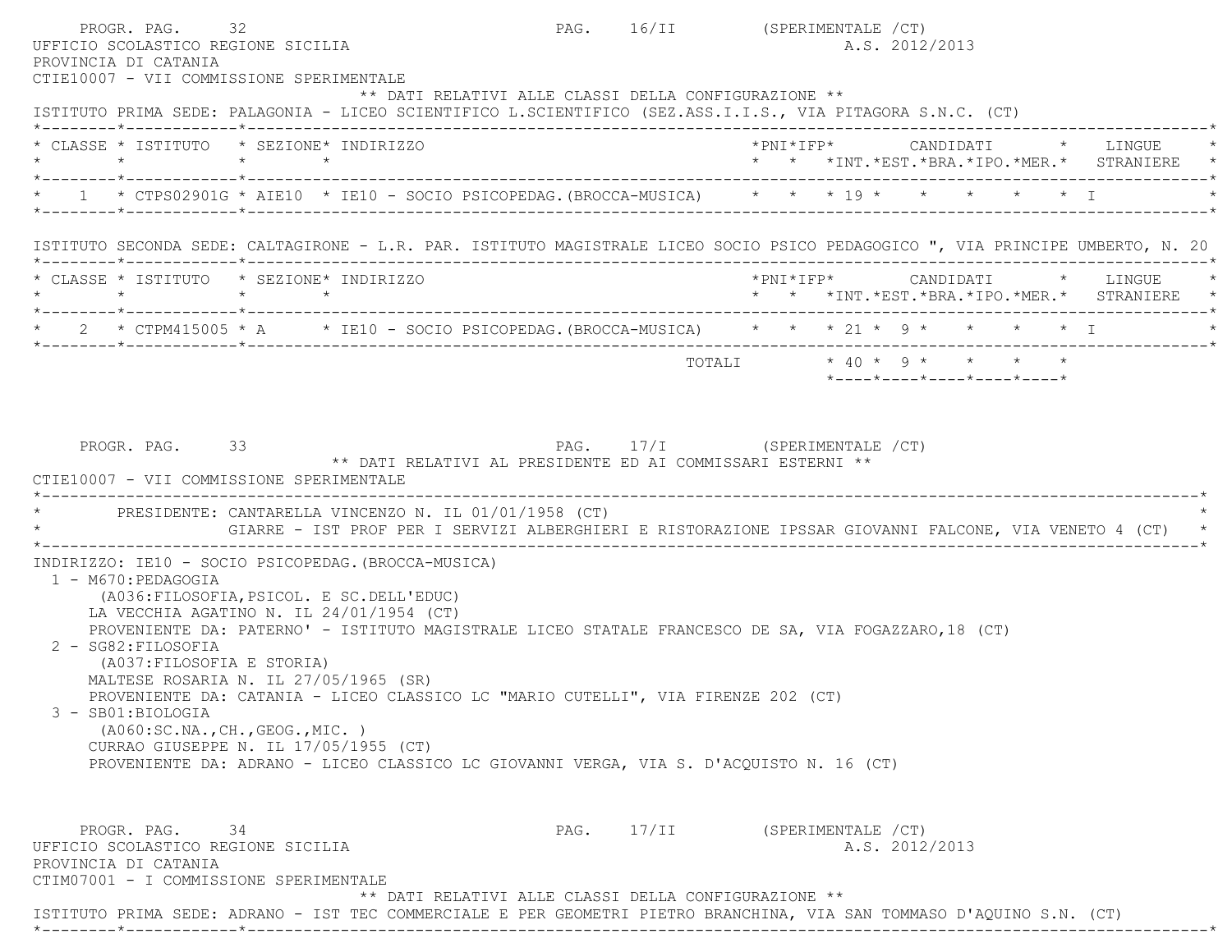PROGR. PAG. 32 32 PAG. 16/II (SPERIMENTALE /CT) UFFICIO SCOLASTICO REGIONE SICILIA A.S. 2012/2013 PROVINCIA DI CATANIA CTIE10007 - VII COMMISSIONE SPERIMENTALE \*\* DATI RELATIVI ALLE CLASSI DELLA CONFIGURAZIONE \*\* ISTITUTO PRIMA SEDE: PALAGONIA - LICEO SCIENTIFICO L.SCIENTIFICO (SEZ.ASS.I.I.S., VIA PITAGORA S.N.C. (CT) \*--------\*------------\*-------------------------------------------------------------------------------------------------------\* \* CLASSE \* ISTITUTO \* SEZIONE\* INDIRIZZO \*PNI\*IFP\* CANDIDATI \* LINGUE \* \* \* \* \* \* \* \*INT.\*EST.\*BRA.\*IPO.\*MER.\* STRANIERE \* \*--------\*------------\*-------------------------------------------------------------------------------------------------------\* \* 1 \* CTPS02901G \* AIE10 \* IE10 - SOCIO PSICOPEDAG.(BROCCA-MUSICA) \* \* \* 19 \* \* \* \* \* I \* \*--------\*------------\*-------------------------------------------------------------------------------------------------------\* ISTITUTO SECONDA SEDE: CALTAGIRONE - L.R. PAR. ISTITUTO MAGISTRALE LICEO SOCIO PSICO PEDAGOGICO ", VIA PRINCIPE UMBERTO, N. 20 \*--------\*------------\*-------------------------------------------------------------------------------------------------------\* \* CLASSE \* ISTITUTO \* SEZIONE\* INDIRIZZO \*PNI\*IFP\* CANDIDATI \* LINGUE \* \* \* \* \* \* \* \*INT.\*EST.\*BRA.\*IPO.\*MER.\* STRANIERE \* \*--------\*------------\*-------------------------------------------------------------------------------------------------------\* \* 2 \* CTPM415005 \* A \* IE10 - SOCIO PSICOPEDAG.(BROCCA-MUSICA) \* \* \* 21 \* 9 \* \* \* \* I \* \*--------\*------------\*-------------------------------------------------------------------------------------------------------\* ${\tt TOTALI} \qquad \qquad \star \;\; 40 \;\star\;\; 9 \;\star\;\; \quad \star\;\; \quad \star\;\; \quad \star\;\; \quad \star\;\; \quad \star\;\; \quad \star$  \*----\*----\*----\*----\*----\*PROGR. PAG. 33 3 2 2 2 2 2 2 2 2 2 2 2 2 2 2 2 2 3 2 2 3 2 2 2 2 3 2 2 3 2 2 3 2 2 3 2 2 3 2 2 3 2 2 3 2 2 3 2 3 2 3 2 3 2 3 2 3 2 3 2 3 2 3 2 3 2 3 2 3 2 3 2 3 2 3 2 3 3 2 3 2 3 2 3 3 2 3 3 2 3 3 2 3 3 3 3 3 3 3 3 3 3 3 3 \*\* DATI RELATIVI AL PRESIDENTE ED AI COMMISSARI ESTERNI \*\* CTIE10007 - VII COMMISSIONE SPERIMENTALE \*----------------------------------------------------------------------------------------------------------------------------\*PRESIDENTE: CANTARELLA VINCENZO N. IL 01/01/1958 (CT) \* GIARRE - IST PROF PER I SERVIZI ALBERGHIERI E RISTORAZIONE IPSSAR GIOVANNI FALCONE, VIA VENETO 4 (CT) \* \*----------------------------------------------------------------------------------------------------------------------------\* INDIRIZZO: IE10 - SOCIO PSICOPEDAG.(BROCCA-MUSICA) 1 - M670:PEDAGOGIA (A036:FILOSOFIA,PSICOL. E SC.DELL'EDUC) LA VECCHIA AGATINO N. IL 24/01/1954 (CT) PROVENIENTE DA: PATERNO' - ISTITUTO MAGISTRALE LICEO STATALE FRANCESCO DE SA, VIA FOGAZZARO,18 (CT) 2 - SG82:FILOSOFIA (A037:FILOSOFIA E STORIA) MALTESE ROSARIA N. IL 27/05/1965 (SR) PROVENIENTE DA: CATANIA - LICEO CLASSICO LC "MARIO CUTELLI", VIA FIRENZE 202 (CT) 3 - SB01:BIOLOGIA (A060:SC.NA.,CH.,GEOG.,MIC. ) CURRAO GIUSEPPE N. IL 17/05/1955 (CT) PROVENIENTE DA: ADRANO - LICEO CLASSICO LC GIOVANNI VERGA, VIA S. D'ACQUISTO N. 16 (CT) PROGR. PAG. 34 34 PAG. 17/II (SPERIMENTALE / CT) UFFICIO SCOLASTICO REGIONE SICILIA A.S. 2012/2013 PROVINCIA DI CATANIA CTIM07001 - I COMMISSIONE SPERIMENTALE \*\* DATI RELATIVI ALLE CLASSI DELLA CONFIGURAZIONE \*\*ISTITUTO PRIMA SEDE: ADRANO - IST TEC COMMERCIALE E PER GEOMETRI PIETRO BRANCHINA, VIA SAN TOMMASO D'AQUINO S.N. (CT)

\*--------\*------------\*-------------------------------------------------------------------------------------------------------\*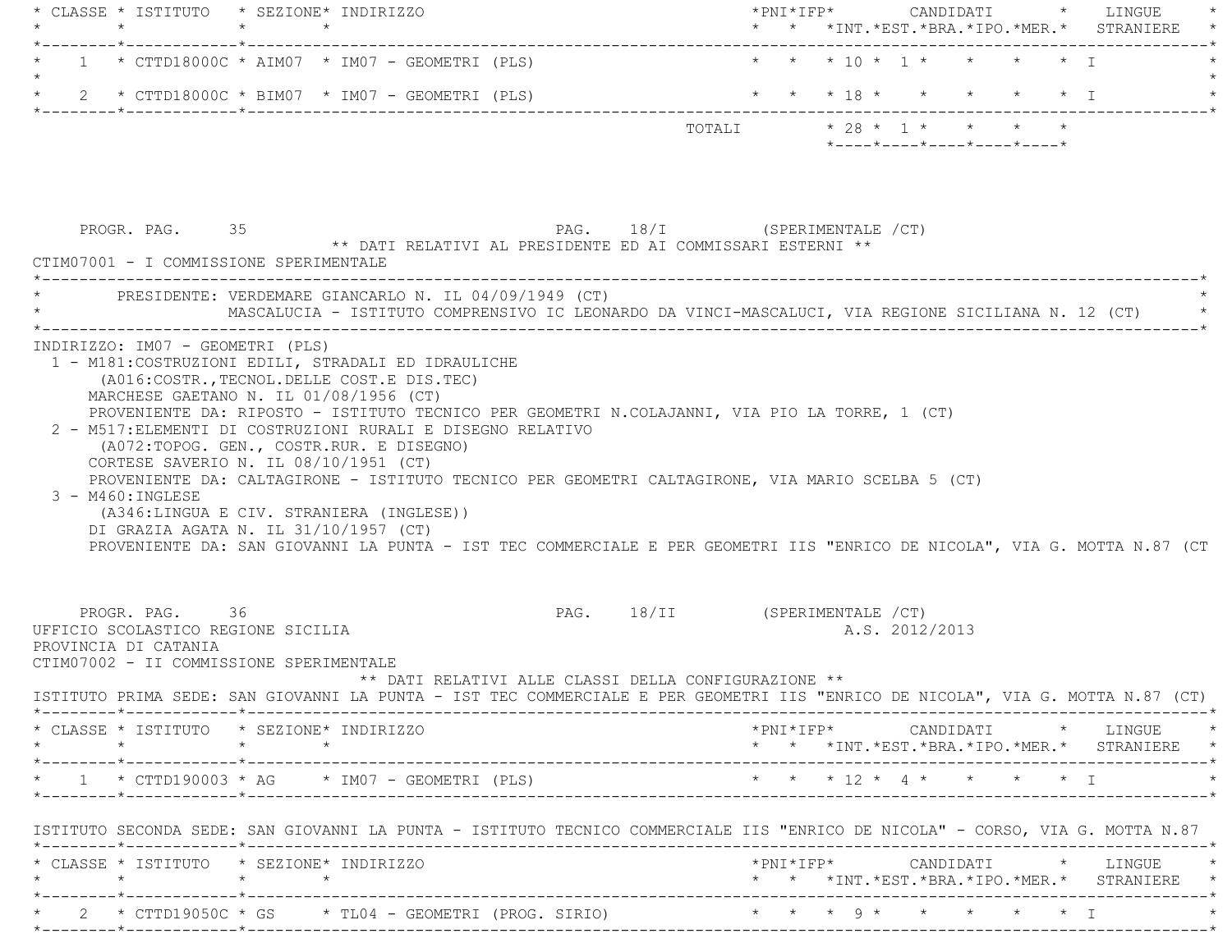|                                                                                                                                                                                                                                                                                                                                                                                                                                                                                                                                                                                                                                          |                                                                                            |                                               |  | * * *INT. *EST. *BRA. *IPO. *MER. * STRANIERE                                                                                                                           |
|------------------------------------------------------------------------------------------------------------------------------------------------------------------------------------------------------------------------------------------------------------------------------------------------------------------------------------------------------------------------------------------------------------------------------------------------------------------------------------------------------------------------------------------------------------------------------------------------------------------------------------------|--------------------------------------------------------------------------------------------|-----------------------------------------------|--|-------------------------------------------------------------------------------------------------------------------------------------------------------------------------|
| $1 * CTTD18000C * AIM07 * IM07 - GEDMETRI (PLS)$                                                                                                                                                                                                                                                                                                                                                                                                                                                                                                                                                                                         |                                                                                            | * * * 10 * 1 * * * * * 1                      |  |                                                                                                                                                                         |
| 2 * CTTD18000C * BIM07 * IM07 - GEOMETRI (PLS)                                                                                                                                                                                                                                                                                                                                                                                                                                                                                                                                                                                           |                                                                                            | * * * 18 * * * * * * I                        |  |                                                                                                                                                                         |
|                                                                                                                                                                                                                                                                                                                                                                                                                                                                                                                                                                                                                                          |                                                                                            | $*$ ---- $*$ ---- $*$ ---- $*$ ---- $*$ ----* |  |                                                                                                                                                                         |
| PROGR. PAG. 35<br>CTIM07001 - I COMMISSIONE SPERIMENTALE                                                                                                                                                                                                                                                                                                                                                                                                                                                                                                                                                                                 | PAG. 18/I (SPERIMENTALE /CT)<br>** DATI RELATIVI AL PRESIDENTE ED AI COMMISSARI ESTERNI ** |                                               |  |                                                                                                                                                                         |
| * PRESIDENTE: VERDEMARE GIANCARLO N. IL 04/09/1949 (CT)<br>MASCALUCIA - ISTITUTO COMPRENSIVO IC LEONARDO DA VINCI-MASCALUCI, VIA REGIONE SICILIANA N. 12 (CT)                                                                                                                                                                                                                                                                                                                                                                                                                                                                            |                                                                                            |                                               |  |                                                                                                                                                                         |
| MARCHESE GAETANO N. IL 01/08/1956 (CT)<br>PROVENIENTE DA: RIPOSTO - ISTITUTO TECNICO PER GEOMETRI N.COLAJANNI, VIA PIO LA TORRE, 1 (CT)<br>2 - M517: ELEMENTI DI COSTRUZIONI RURALI E DISEGNO RELATIVO<br>(A072:TOPOG. GEN., COSTR.RUR. E DISEGNO)<br>CORTESE SAVERIO N. IL 08/10/1951 (CT)<br>PROVENIENTE DA: CALTAGIRONE - ISTITUTO TECNICO PER GEOMETRI CALTAGIRONE, VIA MARIO SCELBA 5 (CT)<br>$3 - M460$ : INGLESE<br>(A346:LINGUA E CIV. STRANIERA (INGLESE))<br>DI GRAZIA AGATA N. IL 31/10/1957 (CT)<br>PROVENIENTE DA: SAN GIOVANNI LA PUNTA - IST TEC COMMERCIALE E PER GEOMETRI IIS "ENRICO DE NICOLA", VIA G. MOTTA N.87 (CT |                                                                                            |                                               |  |                                                                                                                                                                         |
|                                                                                                                                                                                                                                                                                                                                                                                                                                                                                                                                                                                                                                          |                                                                                            |                                               |  |                                                                                                                                                                         |
| PROGR. PAG. 36                                                                                                                                                                                                                                                                                                                                                                                                                                                                                                                                                                                                                           | PAG. 18/II (SPERIMENTALE /CT)<br>** DATI RELATIVI ALLE CLASSI DELLA CONFIGURAZIONE **      | A.S. 2012/2013                                |  |                                                                                                                                                                         |
| $\star$                                                                                                                                                                                                                                                                                                                                                                                                                                                                                                                                                                                                                                  |                                                                                            |                                               |  |                                                                                                                                                                         |
| UFFICIO SCOLASTICO REGIONE SICILIA<br>PROVINCIA DI CATANIA<br>CTIM07002 - II COMMISSIONE SPERIMENTALE<br>ISTITUTO PRIMA SEDE: SAN GIOVANNI LA PUNTA - IST TEC COMMERCIALE E PER GEOMETRI IIS "ENRICO DE NICOLA", VIA G. MOTTA N.87 (CT)<br>* CLASSE * ISTITUTO * SEZIONE* INDIRIZZO<br>$\star$ 1 $\star$ CTTD190003 $\star$ AG $\star$ IM07 - GEOMETRI (PLS)                                                                                                                                                                                                                                                                             |                                                                                            | * * * 12 * 4 * * * * * I                      |  | $\star \texttt{PNI*IFP*} \qquad \qquad \texttt{CANDIDATI} \qquad \qquad \star \qquad \texttt{LINGUE} \qquad \qquad \star$<br>* * *INT.*EST.*BRA.*IPO.*MER.* STRANIERE * |
|                                                                                                                                                                                                                                                                                                                                                                                                                                                                                                                                                                                                                                          |                                                                                            |                                               |  |                                                                                                                                                                         |
| ISTITUTO SECONDA SEDE: SAN GIOVANNI LA PUNTA - ISTITUTO TECNICO COMMERCIALE IIS "ENRICO DE NICOLA" - CORSO, VIA G. MOTTA N.87<br>* CLASSE * ISTITUTO * SEZIONE* INDIRIZZO<br>$\star \qquad \qquad \star \qquad \qquad \star \qquad \qquad \star$                                                                                                                                                                                                                                                                                                                                                                                         |                                                                                            |                                               |  | * * *INT.*EST.*BRA.*IPO.*MER.* STRANIERE *                                                                                                                              |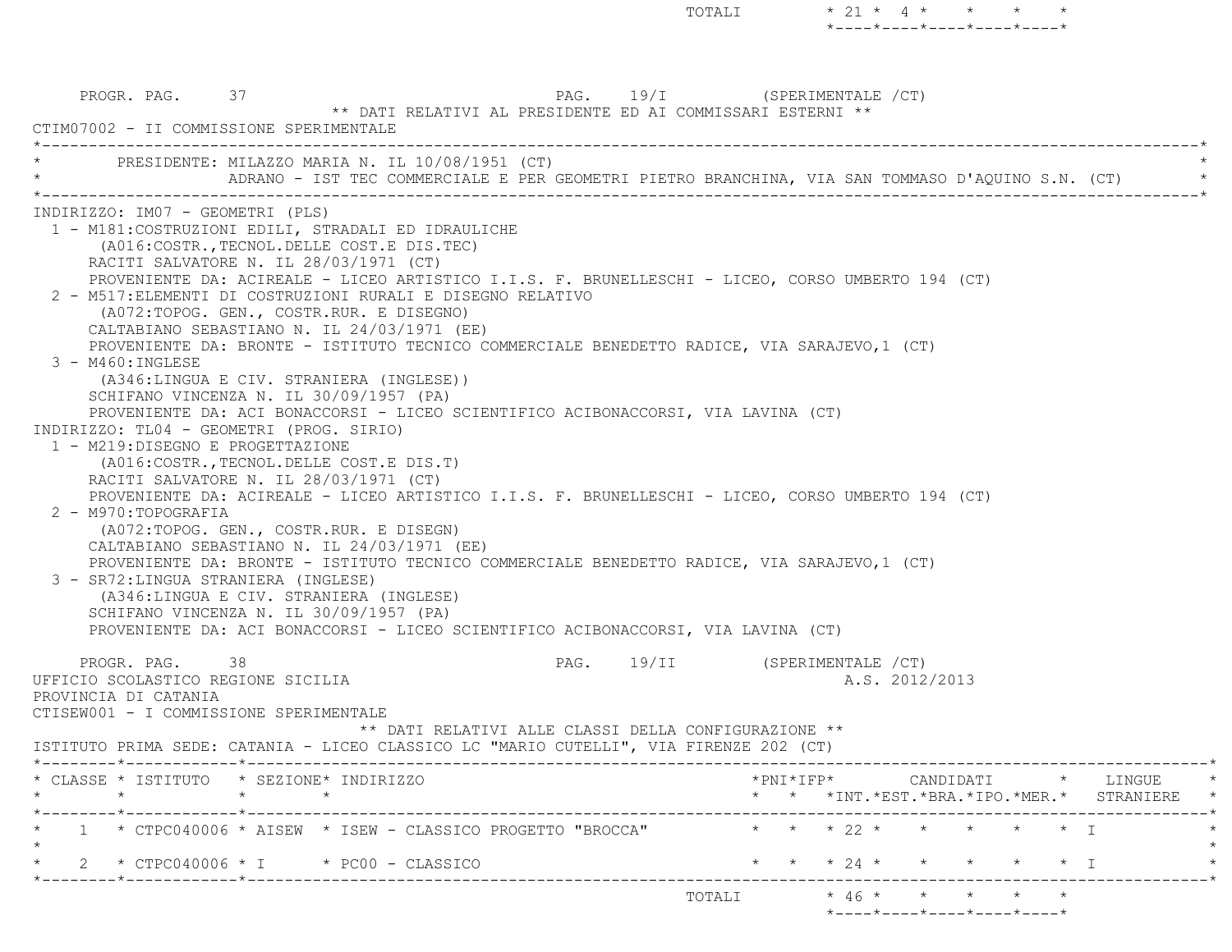PROGR. PAG. 37  $\begin{array}{c} \text{PAG.} \\ \text{PAG.} \end{array}$  19/I (SPERIMENTALE /CT) \*\* DATI RELATIVI AL PRESIDENTE ED AI COMMISSARI ESTERNI \*\* CTIM07002 - II COMMISSIONE SPERIMENTALE \*----------------------------------------------------------------------------------------------------------------------------\*PRESIDENTE: MILAZZO MARIA N. IL 10/08/1951 (CT) ADRANO - IST TEC COMMERCIALE E PER GEOMETRI PIETRO BRANCHINA, VIA SAN TOMMASO D'AQUINO S.N. (CT) \*----------------------------------------------------------------------------------------------------------------------------\* INDIRIZZO: IM07 - GEOMETRI (PLS) 1 - M181:COSTRUZIONI EDILI, STRADALI ED IDRAULICHE (A016:COSTR.,TECNOL.DELLE COST.E DIS.TEC) RACITI SALVATORE N. IL 28/03/1971 (CT) PROVENIENTE DA: ACIREALE - LICEO ARTISTICO I.I.S. F. BRUNELLESCHI - LICEO, CORSO UMBERTO 194 (CT) 2 - M517:ELEMENTI DI COSTRUZIONI RURALI E DISEGNO RELATIVO (A072:TOPOG. GEN., COSTR.RUR. E DISEGNO) CALTABIANO SEBASTIANO N. IL 24/03/1971 (EE) PROVENIENTE DA: BRONTE - ISTITUTO TECNICO COMMERCIALE BENEDETTO RADICE, VIA SARAJEVO,1 (CT) 3 - M460:INGLESE (A346:LINGUA E CIV. STRANIERA (INGLESE)) SCHIFANO VINCENZA N. IL 30/09/1957 (PA) PROVENIENTE DA: ACI BONACCORSI - LICEO SCIENTIFICO ACIBONACCORSI, VIA LAVINA (CT) INDIRIZZO: TL04 - GEOMETRI (PROG. SIRIO) 1 - M219:DISEGNO E PROGETTAZIONE (A016:COSTR.,TECNOL.DELLE COST.E DIS.T) RACITI SALVATORE N. IL 28/03/1971 (CT) PROVENIENTE DA: ACIREALE - LICEO ARTISTICO I.I.S. F. BRUNELLESCHI - LICEO, CORSO UMBERTO 194 (CT) 2 - M970:TOPOGRAFIA (A072:TOPOG. GEN., COSTR.RUR. E DISEGN) CALTABIANO SEBASTIANO N. IL 24/03/1971 (EE) PROVENIENTE DA: BRONTE - ISTITUTO TECNICO COMMERCIALE BENEDETTO RADICE, VIA SARAJEVO,1 (CT) 3 - SR72:LINGUA STRANIERA (INGLESE) (A346:LINGUA E CIV. STRANIERA (INGLESE) SCHIFANO VINCENZA N. IL 30/09/1957 (PA) PROVENIENTE DA: ACI BONACCORSI - LICEO SCIENTIFICO ACIBONACCORSI, VIA LAVINA (CT) PROGR. PAG. 38 38 PAG. 19/II (SPERIMENTALE /CT) UFFICIO SCOLASTICO REGIONE SICILIA A.S. 2012/2013 PROVINCIA DI CATANIA CTISEW001 - I COMMISSIONE SPERIMENTALE \*\* DATI RELATIVI ALLE CLASSI DELLA CONFIGURAZIONE \*\* ISTITUTO PRIMA SEDE: CATANIA - LICEO CLASSICO LC "MARIO CUTELLI", VIA FIRENZE 202 (CT) \*--------\*------------\*-------------------------------------------------------------------------------------------------------\* \* CLASSE \* ISTITUTO \* SEZIONE\* INDIRIZZO \*PNI\*IFP\* CANDIDATI \* LINGUE \* \* \* \* \* \* \* \*INT.\*EST.\*BRA.\*IPO.\*MER.\* STRANIERE \* \*--------\*------------\*-------------------------------------------------------------------------------------------------------\*\* 1 \* CTPC040006 \* AISEW \* ISEW - CLASSICO PROGETTO "BROCCA" \* \* \* 22 \* \* \* \* \* \* \* T  $\star$ 2 \* CTPC040006 \* I \* PC00 - CLASSICO \* \* \* \* \* 24 \* \* \* \* \* \* \* T \*--------\*------------\*-------------------------------------------------------------------------------------------------------\* $\text{TOTALI} \qquad \qquad \star \quad \text{46} \; \star \qquad \star \qquad \star \qquad \star \qquad \star \qquad \star$ \*----\*----\*----\*----\*----\*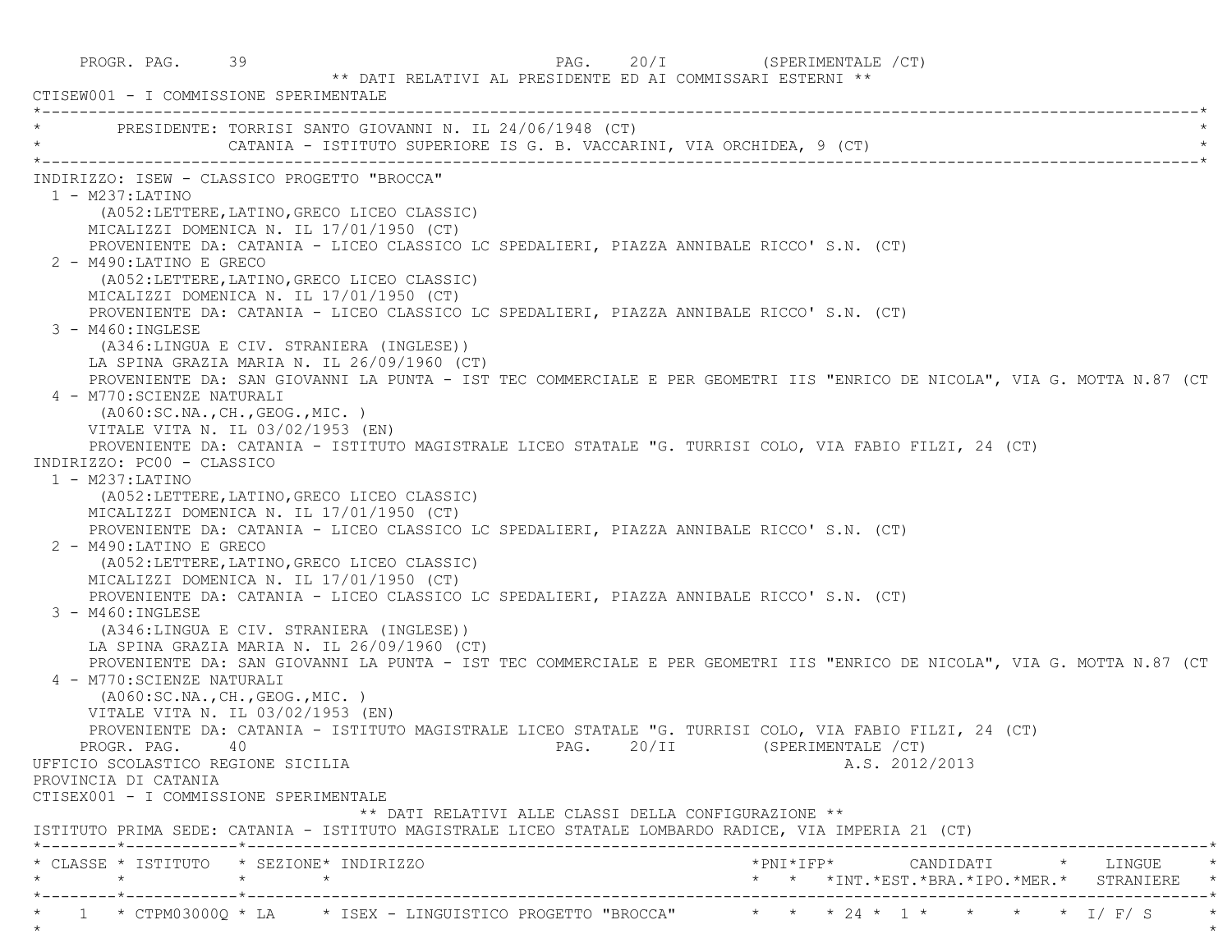PROGR. PAG. 39 39 PAG. 20/I (SPERIMENTALE /CT) \*\* DATI RELATIVI AL PRESIDENTE ED AI COMMISSARI ESTERNI \*\* CTISEW001 - I COMMISSIONE SPERIMENTALE \*----------------------------------------------------------------------------------------------------------------------------\*PRESIDENTE: TORRISI SANTO GIOVANNI N. IL 24/06/1948 (CT) CATANIA - ISTITUTO SUPERIORE IS G. B. VACCARINI, VIA ORCHIDEA, 9 (CT) \*----------------------------------------------------------------------------------------------------------------------------\* INDIRIZZO: ISEW - CLASSICO PROGETTO "BROCCA" 1 - M237:LATINO (A052:LETTERE,LATINO,GRECO LICEO CLASSIC) MICALIZZI DOMENICA N. IL 17/01/1950 (CT) PROVENIENTE DA: CATANIA - LICEO CLASSICO LC SPEDALIERI, PIAZZA ANNIBALE RICCO' S.N. (CT) 2 - M490:LATINO E GRECO (A052:LETTERE,LATINO,GRECO LICEO CLASSIC) MICALIZZI DOMENICA N. IL 17/01/1950 (CT) PROVENIENTE DA: CATANIA - LICEO CLASSICO LC SPEDALIERI, PIAZZA ANNIBALE RICCO' S.N. (CT) 3 - M460:INGLESE (A346:LINGUA E CIV. STRANIERA (INGLESE)) LA SPINA GRAZIA MARIA N. IL 26/09/1960 (CT) PROVENIENTE DA: SAN GIOVANNI LA PUNTA - IST TEC COMMERCIALE E PER GEOMETRI IIS "ENRICO DE NICOLA", VIA G. MOTTA N.87 (CT 4 - M770:SCIENZE NATURALI (A060:SC.NA.,CH.,GEOG.,MIC. ) VITALE VITA N. IL 03/02/1953 (EN) PROVENIENTE DA: CATANIA - ISTITUTO MAGISTRALE LICEO STATALE "G. TURRISI COLO, VIA FABIO FILZI, 24 (CT) INDIRIZZO: PC00 - CLASSICO 1 - M237:LATINO (A052:LETTERE,LATINO,GRECO LICEO CLASSIC) MICALIZZI DOMENICA N. IL 17/01/1950 (CT) PROVENIENTE DA: CATANIA - LICEO CLASSICO LC SPEDALIERI, PIAZZA ANNIBALE RICCO' S.N. (CT) 2 - M490:LATINO E GRECO (A052:LETTERE,LATINO,GRECO LICEO CLASSIC) MICALIZZI DOMENICA N. IL 17/01/1950 (CT) PROVENIENTE DA: CATANIA - LICEO CLASSICO LC SPEDALIERI, PIAZZA ANNIBALE RICCO' S.N. (CT) 3 - M460:INGLESE (A346:LINGUA E CIV. STRANIERA (INGLESE)) LA SPINA GRAZIA MARIA N. IL 26/09/1960 (CT) PROVENIENTE DA: SAN GIOVANNI LA PUNTA - IST TEC COMMERCIALE E PER GEOMETRI IIS "ENRICO DE NICOLA", VIA G. MOTTA N.87 (CT 4 - M770:SCIENZE NATURALI (A060:SC.NA.,CH.,GEOG.,MIC. ) VITALE VITA N. IL 03/02/1953 (EN) PROVENIENTE DA: CATANIA - ISTITUTO MAGISTRALE LICEO STATALE "G. TURRISI COLO, VIA FABIO FILZI, 24 (CT) PROGR. PAG. 40 20/II (SPERIMENTALE /CT) UFFICIO SCOLASTICO REGIONE SICILIA A.S. 2012/2013 PROVINCIA DI CATANIA CTISEX001 - I COMMISSIONE SPERIMENTALE \*\* DATI RELATIVI ALLE CLASSI DELLA CONFIGURAZIONE \*\* ISTITUTO PRIMA SEDE: CATANIA - ISTITUTO MAGISTRALE LICEO STATALE LOMBARDO RADICE, VIA IMPERIA 21 (CT) \*--------\*------------\*-------------------------------------------------------------------------------------------------------\* \* CLASSE \* ISTITUTO \* SEZIONE\* INDIRIZZO \*PNI\*IFP\* CANDIDATI \* LINGUE \* \* \* \* \* \* \* \*INT.\*EST.\*BRA.\*IPO.\*MER.\* STRANIERE \* \*--------\*------------\*-------------------------------------------------------------------------------------------------------\*\* 1 \* CTPM03000Q \* LA \* ISEX - LINGUISTICO PROGETTO "BROCCA" \* \* \* 24 \* 1 \* \* \* \* \* \* I/ F/ S

 $\star$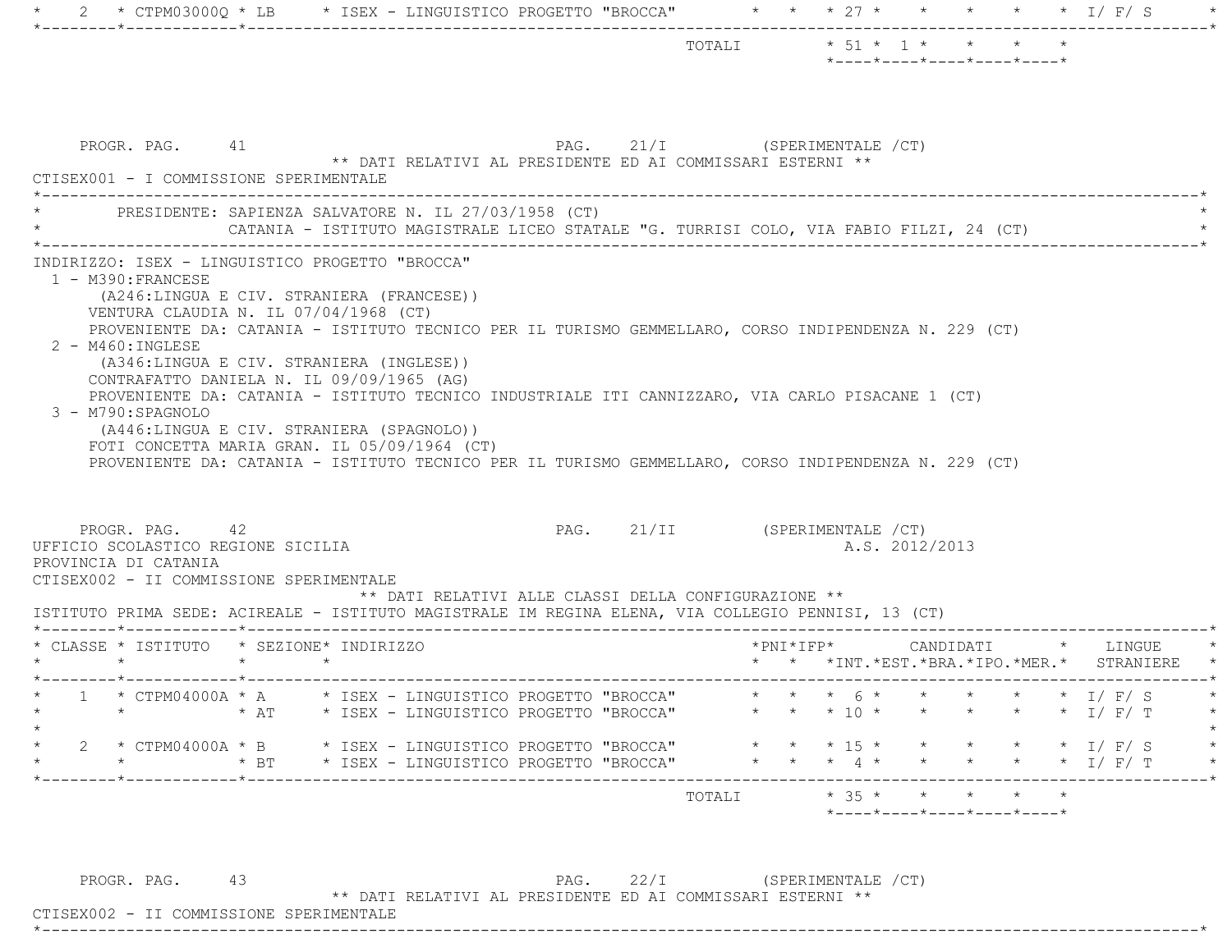|                                                                                                                                                                                                                                                                                                                                                                                                                                                                                                                                                |            |  |                                                                                        |  |                               |  |                           | $*$ ---- $*$ ---- $*$ ---- $*$ ---- $*$ ---- $*$ |  |                       |               |           |  |
|------------------------------------------------------------------------------------------------------------------------------------------------------------------------------------------------------------------------------------------------------------------------------------------------------------------------------------------------------------------------------------------------------------------------------------------------------------------------------------------------------------------------------------------------|------------|--|----------------------------------------------------------------------------------------|--|-------------------------------|--|---------------------------|--------------------------------------------------|--|-----------------------|---------------|-----------|--|
| PROGR. PAG. 41<br>CTISEX001 - I COMMISSIONE SPERIMENTALE                                                                                                                                                                                                                                                                                                                                                                                                                                                                                       |            |  | ** DATI RELATIVI AL PRESIDENTE ED AI COMMISSARI ESTERNI **                             |  | PAG. 21/I (SPERIMENTALE / CT) |  |                           |                                                  |  |                       |               |           |  |
| PRESIDENTE: SAPIENZA SALVATORE N. IL 27/03/1958 (CT)                                                                                                                                                                                                                                                                                                                                                                                                                                                                                           |            |  | CATANIA - ISTITUTO MAGISTRALE LICEO STATALE "G. TURRISI COLO, VIA FABIO FILZI, 24 (CT) |  |                               |  |                           |                                                  |  |                       |               |           |  |
| (A246:LINGUA E CIV. STRANIERA (FRANCESE))<br>VENTURA CLAUDIA N. IL 07/04/1968 (CT)<br>PROVENIENTE DA: CATANIA - ISTITUTO TECNICO PER IL TURISMO GEMMELLARO, CORSO INDIPENDENZA N. 229 (CT)<br>$2 - M460$ : INGLESE                                                                                                                                                                                                                                                                                                                             |            |  |                                                                                        |  |                               |  |                           |                                                  |  |                       |               |           |  |
| (A346:LINGUA E CIV. STRANIERA (INGLESE))<br>CONTRAFATTO DANIELA N. IL 09/09/1965 (AG)<br>PROVENIENTE DA: CATANIA - ISTITUTO TECNICO INDUSTRIALE ITI CANNIZZARO, VIA CARLO PISACANE 1 (CT)<br>3 - M790:SPAGNOLO<br>(A446:LINGUA E CIV. STRANIERA (SPAGNOLO))<br>FOTI CONCETTA MARIA GRAN. IL 05/09/1964 (CT)<br>PROVENIENTE DA: CATANIA - ISTITUTO TECNICO PER IL TURISMO GEMMELLARO, CORSO INDIPENDENZA N. 229 (CT)<br>PROGR. PAG. 42<br>UFFICIO SCOLASTICO REGIONE SICILIA<br>PROVINCIA DI CATANIA<br>CTISEX002 - II COMMISSIONE SPERIMENTALE |            |  | ** DATI RELATIVI ALLE CLASSI DELLA CONFIGURAZIONE **                                   |  | PAG. 21/II (SPERIMENTALE /CT) |  |                           | A.S. 2012/2013                                   |  |                       |               |           |  |
| ISTITUTO PRIMA SEDE: ACIREALE - ISTITUTO MAGISTRALE IM REGINA ELENA, VIA COLLEGIO PENNISI, 13 (CT)<br>* CLASSE * ISTITUTO * SEZIONE* INDIRIZZO                                                                                                                                                                                                                                                                                                                                                                                                 |            |  |                                                                                        |  |                               |  |                           | * * *INT. *EST. *BRA. *IPO. *MER. *              |  |                       |               | STRANIERE |  |
| * 1 * CTPM04000A * A * ISEX - LINGUISTICO PROGETTO "BROCCA" * * * 6 * * * * * * * I/ F/ S<br>$\star$                                                                                                                                                                                                                                                                                                                                                                                                                                           | $\star$ AT |  | * ISEX - LINGUISTICO PROGETTO "BROCCA"                                                 |  |                               |  |                           | * * * 10 * * * * * * I/ F/ T                     |  |                       |               |           |  |
| 2 * CTPM04000A * B * ISEX - LINGUISTICO PROGETTO "BROCCA"                                                                                                                                                                                                                                                                                                                                                                                                                                                                                      | $*$ BT     |  | * ISEX - LINGUISTICO PROGETTO "BROCCA"                                                 |  |                               |  | $\star$ $\star$ 4 $\star$ | $\star$ $\star$ $\star$ 15 $\star$ $\star$       |  | $\star$ $\star$ I/F/S | $\star$ I/F/T |           |  |

PROGR. PAG. 43 PAG. 22/I (SPERIMENTALE /CT)

\*\* DATI RELATIVI AL PRESIDENTE ED AI COMMISSARI ESTERNI \*\*

 CTISEX002 - II COMMISSIONE SPERIMENTALE\*----------------------------------------------------------------------------------------------------------------------------\*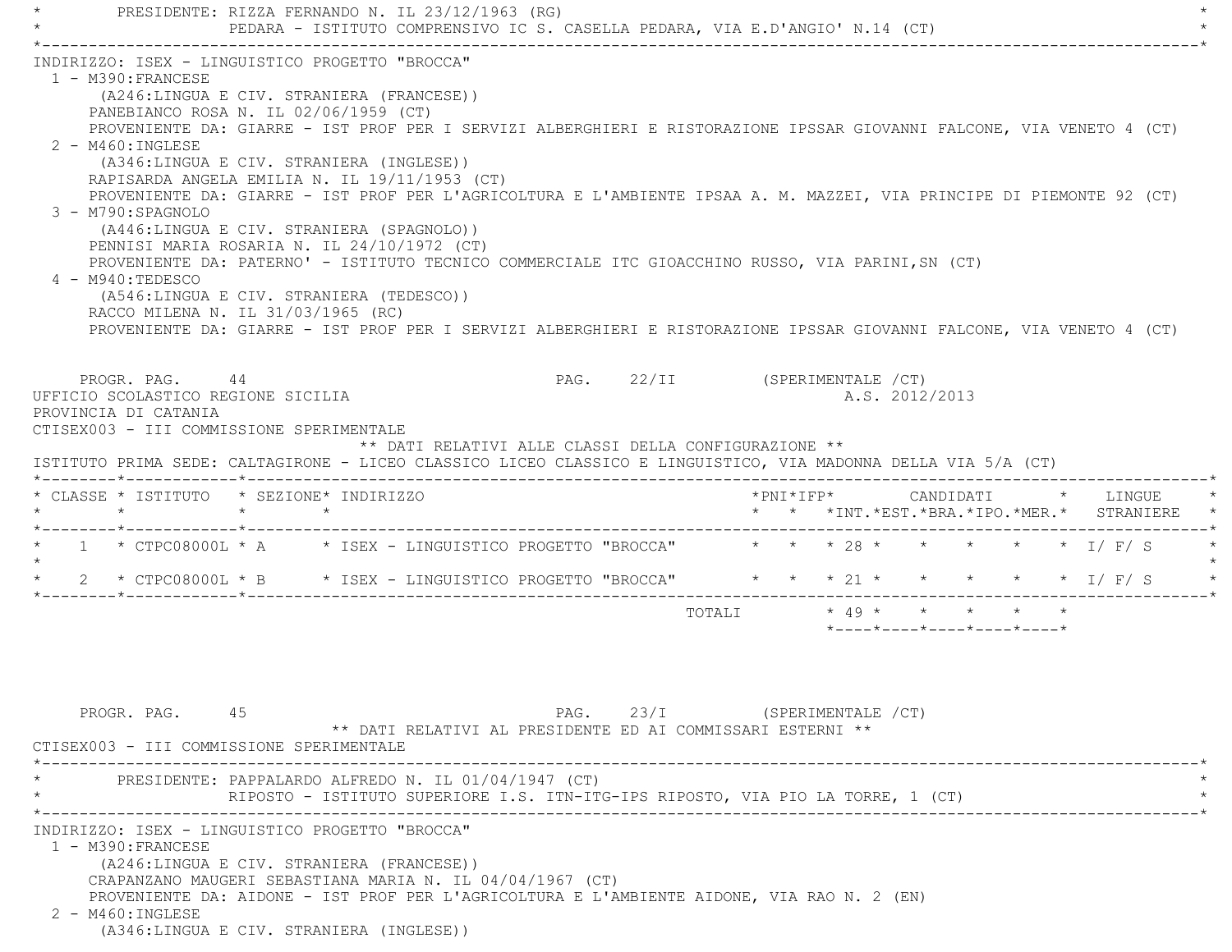PRESIDENTE: RIZZA FERNANDO N. IL 23/12/1963 (RG) PEDARA - ISTITUTO COMPRENSIVO IC S. CASELLA PEDARA, VIA E.D'ANGIO' N.14 (CT) \*----------------------------------------------------------------------------------------------------------------------------\* INDIRIZZO: ISEX - LINGUISTICO PROGETTO "BROCCA" 1 - M390:FRANCESE (A246:LINGUA E CIV. STRANIERA (FRANCESE)) PANEBIANCO ROSA N. IL 02/06/1959 (CT) PROVENIENTE DA: GIARRE - IST PROF PER I SERVIZI ALBERGHIERI E RISTORAZIONE IPSSAR GIOVANNI FALCONE, VIA VENETO 4 (CT) 2 - M460:INGLESE (A346:LINGUA E CIV. STRANIERA (INGLESE)) RAPISARDA ANGELA EMILIA N. IL 19/11/1953 (CT) PROVENIENTE DA: GIARRE - IST PROF PER L'AGRICOLTURA E L'AMBIENTE IPSAA A. M. MAZZEI, VIA PRINCIPE DI PIEMONTE 92 (CT) 3 - M790:SPAGNOLO (A446:LINGUA E CIV. STRANIERA (SPAGNOLO)) PENNISI MARIA ROSARIA N. IL 24/10/1972 (CT) PROVENIENTE DA: PATERNO' - ISTITUTO TECNICO COMMERCIALE ITC GIOACCHINO RUSSO, VIA PARINI,SN (CT) 4 - M940:TEDESCO (A546:LINGUA E CIV. STRANIERA (TEDESCO)) RACCO MILENA N. IL 31/03/1965 (RC) PROVENIENTE DA: GIARRE - IST PROF PER I SERVIZI ALBERGHIERI E RISTORAZIONE IPSSAR GIOVANNI FALCONE, VIA VENETO 4 (CT) PROGR. PAG. 44 PAG. 22/II (SPERIMENTALE /CT) UFFICIO SCOLASTICO REGIONE SICILIA A.S. 2012/2013 PROVINCIA DI CATANIA CTISEX003 - III COMMISSIONE SPERIMENTALE \*\* DATI RELATIVI ALLE CLASSI DELLA CONFIGURAZIONE \*\* ISTITUTO PRIMA SEDE: CALTAGIRONE - LICEO CLASSICO LICEO CLASSICO E LINGUISTICO, VIA MADONNA DELLA VIA 5/A (CT) \*--------\*------------\*-------------------------------------------------------------------------------------------------------\* \* CLASSE \* ISTITUTO \* SEZIONE\* INDIRIZZO \*PNI\*IFP\* CANDIDATI \* LINGUE \* \* \* \* \* \* \* \*INT.\*EST.\*BRA.\*IPO.\*MER.\* STRANIERE \* \*--------\*------------\*-------------------------------------------------------------------------------------------------------\* $1$  \* CTPC08000L \* A  $\qquad$  \* ISEX - LINGUISTICO PROGETTO "BROCCA"  $\qquad$  \* \* \* 28 \* \* \* \* \* \* \* I/ F/ S  $\star$ \* 2 \* CTPC08000L \* B \* ISEX - LINGUISTICO PROGETTO "BROCCA" \* \* \* 21 \* \* \* \* \* \* \* I/ F/ S \* \*--------\*------------\*-------------------------------------------------------------------------------------------------------\* $\text{TOTAIT} \times 49 \times \times \times \times \times \times \times$  \*----\*----\*----\*----\*----\*PROGR. PAG. 45 45 PAG. 23/I (SPERIMENTALE / CT) \*\* DATI RELATIVI AL PRESIDENTE ED AI COMMISSARI ESTERNI \*\* CTISEX003 - III COMMISSIONE SPERIMENTALE \*----------------------------------------------------------------------------------------------------------------------------\*PRESIDENTE: PAPPALARDO ALFREDO N. IL 01/04/1947 (CT) RIPOSTO - ISTITUTO SUPERIORE I.S. ITN-ITG-IPS RIPOSTO, VIA PIO LA TORRE, 1 (CT) \*----------------------------------------------------------------------------------------------------------------------------\* INDIRIZZO: ISEX - LINGUISTICO PROGETTO "BROCCA" 1 - M390:FRANCESE (A246:LINGUA E CIV. STRANIERA (FRANCESE)) CRAPANZANO MAUGERI SEBASTIANA MARIA N. IL 04/04/1967 (CT) PROVENIENTE DA: AIDONE - IST PROF PER L'AGRICOLTURA E L'AMBIENTE AIDONE, VIA RAO N. 2 (EN) 2 - M460:INGLESE(A346:LINGUA E CIV. STRANIERA (INGLESE))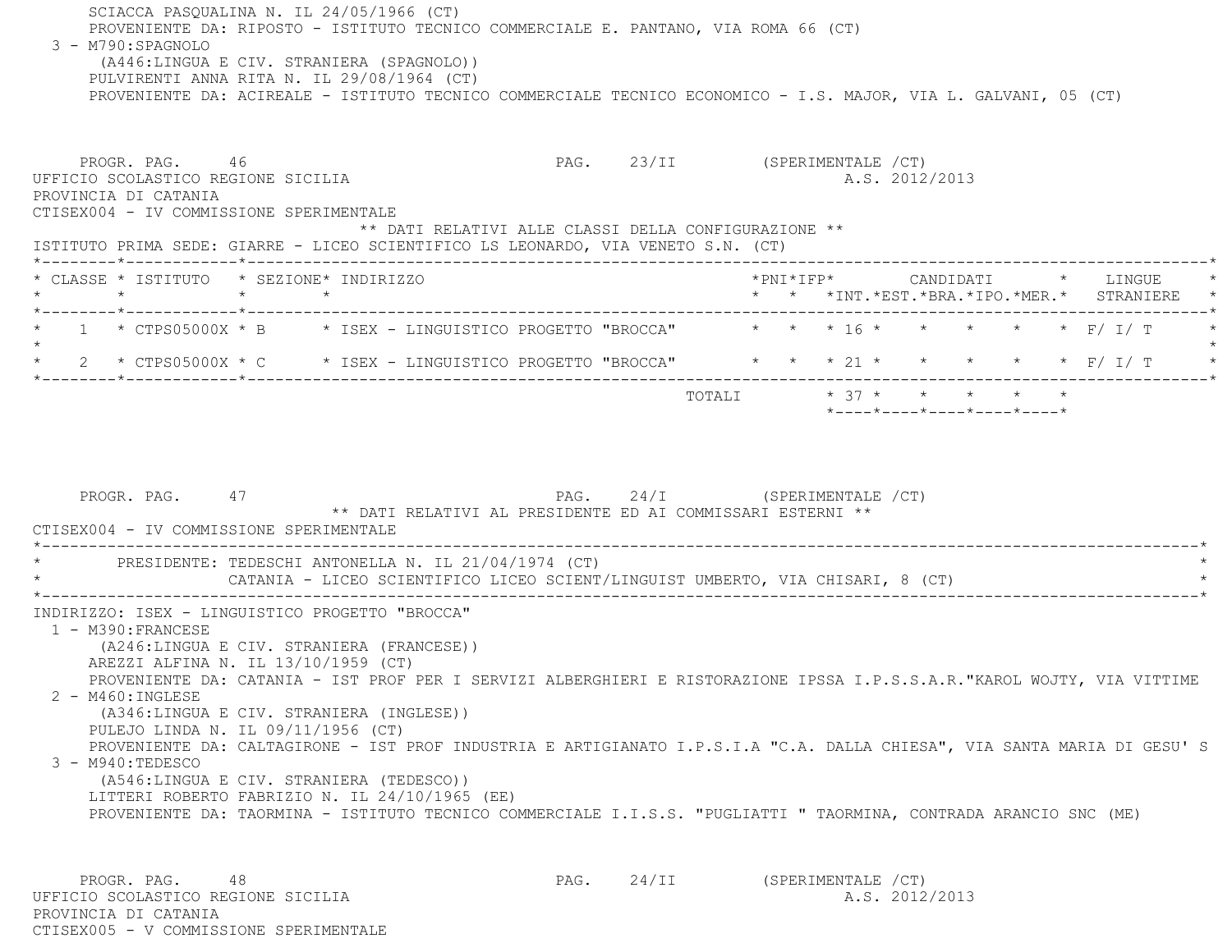SCIACCA PASQUALINA N. IL 24/05/1966 (CT) PROVENIENTE DA: RIPOSTO - ISTITUTO TECNICO COMMERCIALE E. PANTANO, VIA ROMA 66 (CT) 3 - M790:SPAGNOLO (A446:LINGUA E CIV. STRANIERA (SPAGNOLO)) PULVIRENTI ANNA RITA N. IL 29/08/1964 (CT) PROVENIENTE DA: ACIREALE - ISTITUTO TECNICO COMMERCIALE TECNICO ECONOMICO - I.S. MAJOR, VIA L. GALVANI, 05 (CT) PROGR. PAG. 46 ARC 23/II (SPERIMENTALE /CT) UFFICIO SCOLASTICO REGIONE SICILIA A.S. 2012/2013 PROVINCIA DI CATANIA CTISEX004 - IV COMMISSIONE SPERIMENTALE \*\* DATI RELATIVI ALLE CLASSI DELLA CONFIGURAZIONE \*\* ISTITUTO PRIMA SEDE: GIARRE - LICEO SCIENTIFICO LS LEONARDO, VIA VENETO S.N. (CT) \*--------\*------------\*-------------------------------------------------------------------------------------------------------\* \* CLASSE \* ISTITUTO \* SEZIONE\* INDIRIZZO \*PNI\*IFP\* CANDIDATI \* LINGUE \* \* \* \* \* \* \* \*INT.\*EST.\*BRA.\*IPO.\*MER.\* STRANIERE \* \*--------\*------------\*-------------------------------------------------------------------------------------------------------\*1 \* CTPS05000X \* B \* ISEX - LINGUISTICO PROGETTO "BROCCA" \* \* \* 16 \* \* \* \* \* \* \* F/ I/ T  $\star$ \* 2 \* CTPS05000X \* C \* ISEX - LINGUISTICO PROGETTO "BROCCA" \* \* \* 21 \* \* \* \* \* \* \* F/ I/ T \* \*--------\*------------\*-------------------------------------------------------------------------------------------------------\*TOTALI  $* 37 * * * * * * * * *$  \*----\*----\*----\*----\*----\*PROGR. PAG. 47 PAG. 24/I (SPERIMENTALE /CT) \*\* DATI RELATIVI AL PRESIDENTE ED AI COMMISSARI ESTERNI \*\* CTISEX004 - IV COMMISSIONE SPERIMENTALE \*----------------------------------------------------------------------------------------------------------------------------\*PRESIDENTE: TEDESCHI ANTONELLA N. IL 21/04/1974 (CT) CATANIA - LICEO SCIENTIFICO LICEO SCIENT/LINGUIST UMBERTO, VIA CHISARI, 8 (CT) \*----------------------------------------------------------------------------------------------------------------------------\* INDIRIZZO: ISEX - LINGUISTICO PROGETTO "BROCCA" 1 - M390:FRANCESE (A246:LINGUA E CIV. STRANIERA (FRANCESE)) AREZZI ALFINA N. IL 13/10/1959 (CT) PROVENIENTE DA: CATANIA - IST PROF PER I SERVIZI ALBERGHIERI E RISTORAZIONE IPSSA I.P.S.S.A.R."KAROL WOJTY, VIA VITTIME 2 - M460:INGLESE (A346:LINGUA E CIV. STRANIERA (INGLESE)) PULEJO LINDA N. IL 09/11/1956 (CT) PROVENIENTE DA: CALTAGIRONE - IST PROF INDUSTRIA E ARTIGIANATO I.P.S.I.A "C.A. DALLA CHIESA", VIA SANTA MARIA DI GESU' S 3 - M940:TEDESCO (A546:LINGUA E CIV. STRANIERA (TEDESCO)) LITTERI ROBERTO FABRIZIO N. IL 24/10/1965 (EE) PROVENIENTE DA: TAORMINA - ISTITUTO TECNICO COMMERCIALE I.I.S.S. "PUGLIATTI " TAORMINA, CONTRADA ARANCIO SNC (ME) PROGR. PAG. 48 APA PAG. 24/II (SPERIMENTALE /CT)

 PROVINCIA DI CATANIACTISEX005 - V COMMISSIONE SPERIMENTALE

UFFICIO SCOLASTICO REGIONE SICILIA A.S. 2012/2013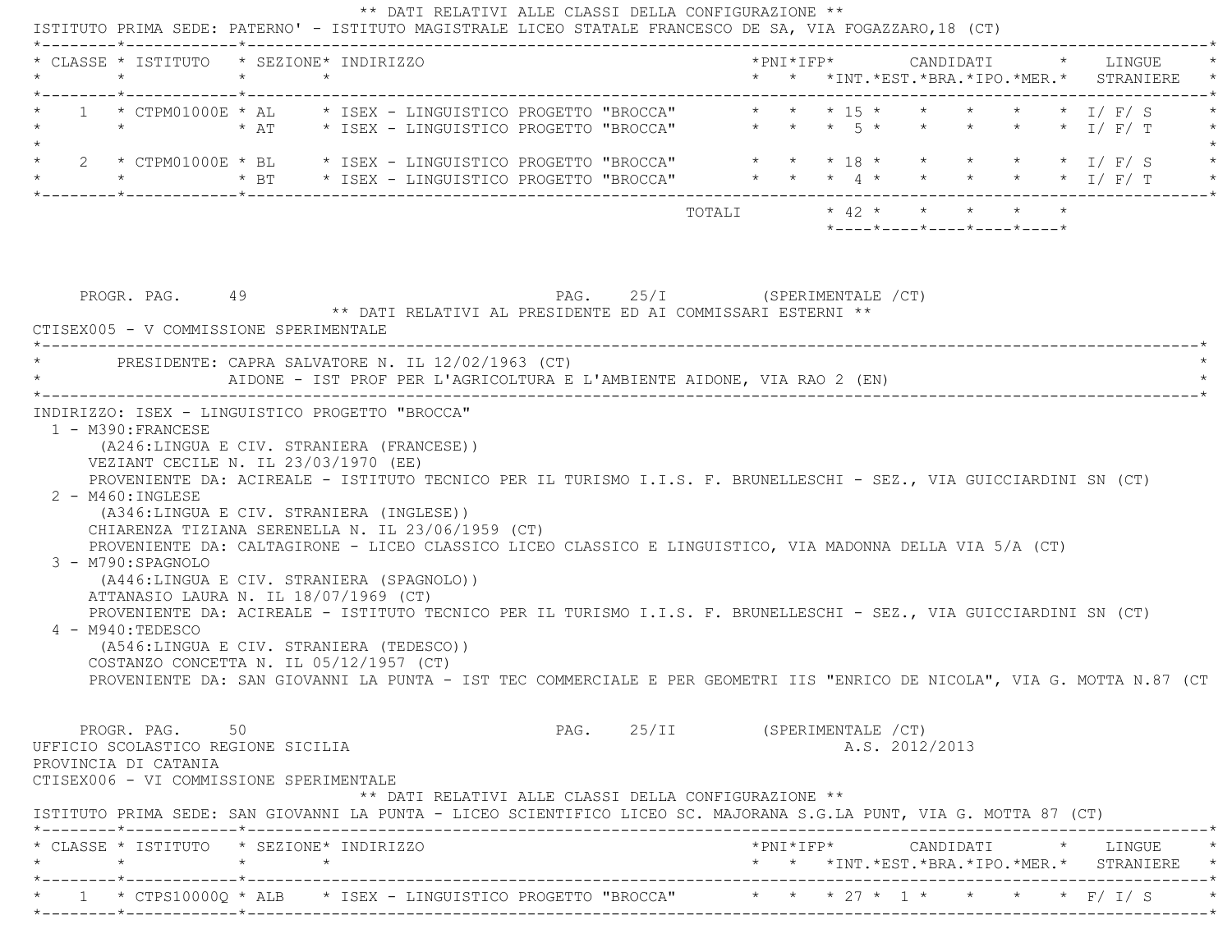| $\star$                                                                                                                                                                                                                                                                                                                                                                                                                                                                                                                                                                           | $\star$ | * CLASSE * ISTITUTO * SEZIONE* INDIRIZZO |  |                                                                                            |                       |  |  | * * *INT.*EST.*BRA.*IPO.*MER.* STRANIERE |  |  |  |
|-----------------------------------------------------------------------------------------------------------------------------------------------------------------------------------------------------------------------------------------------------------------------------------------------------------------------------------------------------------------------------------------------------------------------------------------------------------------------------------------------------------------------------------------------------------------------------------|---------|------------------------------------------|--|--------------------------------------------------------------------------------------------|-----------------------|--|--|------------------------------------------|--|--|--|
| $1 * CTPM01000E * AL$<br>$\star$                                                                                                                                                                                                                                                                                                                                                                                                                                                                                                                                                  |         |                                          |  | * ISEX - LINGUISTICO PROGETTO "BROCCA" * * * 15 *                                          |                       |  |  |                                          |  |  |  |
| 2 * CTPM01000E * BL                                                                                                                                                                                                                                                                                                                                                                                                                                                                                                                                                               |         |                                          |  |                                                                                            |                       |  |  |                                          |  |  |  |
|                                                                                                                                                                                                                                                                                                                                                                                                                                                                                                                                                                                   |         |                                          |  |                                                                                            | TOTALI * 42 * * * * * |  |  | *----*----*----*----*----*               |  |  |  |
| PROGR. PAG. 49<br>CTISEX005 - V COMMISSIONE SPERIMENTALE                                                                                                                                                                                                                                                                                                                                                                                                                                                                                                                          |         |                                          |  | PAG. 25/I (SPERIMENTALE /CT)<br>** DATI RELATIVI AL PRESIDENTE ED AI COMMISSARI ESTERNI ** |                       |  |  |                                          |  |  |  |
| PRESIDENTE: CAPRA SALVATORE N. IL 12/02/1963 (CT)<br>AIDONE - IST PROF PER L'AGRICOLTURA E L'AMBIENTE AIDONE, VIA RAO 2 (EN)                                                                                                                                                                                                                                                                                                                                                                                                                                                      |         |                                          |  |                                                                                            |                       |  |  |                                          |  |  |  |
| (A346:LINGUA E CIV. STRANIERA (INGLESE))<br>CHIARENZA TIZIANA SERENELLA N. IL 23/06/1959 (CT)                                                                                                                                                                                                                                                                                                                                                                                                                                                                                     |         |                                          |  |                                                                                            |                       |  |  |                                          |  |  |  |
| PROVENIENTE DA: CALTAGIRONE - LICEO CLASSICO LICEO CLASSICO E LINGUISTICO, VIA MADONNA DELLA VIA 5/A (CT)<br>3 - M790:SPAGNOLO<br>(A446:LINGUA E CIV. STRANIERA (SPAGNOLO))<br>ATTANASIO LAURA N. IL 18/07/1969 (CT)<br>PROVENIENTE DA: ACIREALE - ISTITUTO TECNICO PER IL TURISMO I.I.S. F. BRUNELLESCHI - SEZ., VIA GUICCIARDINI SN (CT)<br>4 - M940:TEDESCO<br>(A546:LINGUA E CIV. STRANIERA (TEDESCO))<br>COSTANZO CONCETTA N. IL 05/12/1957 (CT)<br>PROVENIENTE DA: SAN GIOVANNI LA PUNTA - IST TEC COMMERCIALE E PER GEOMETRI IIS "ENRICO DE NICOLA", VIA G. MOTTA N.87 (CT |         |                                          |  |                                                                                            |                       |  |  |                                          |  |  |  |
| PROGR. PAG. 50<br>UFFICIO SCOLASTICO REGIONE SICILIA<br>PROVINCIA DI CATANIA<br>CTISEX006 - VI COMMISSIONE SPERIMENTALE<br>ISTITUTO PRIMA SEDE: SAN GIOVANNI LA PUNTA - LICEO SCIENTIFICO LICEO SC. MAJORANA S.G.LA PUNT, VIA G. MOTTA 87 (CT)                                                                                                                                                                                                                                                                                                                                    |         |                                          |  | PAG. 25/II (SPERIMENTALE /CT)<br>** DATI RELATIVI ALLE CLASSI DELLA CONFIGURAZIONE **      |                       |  |  | A.S. 2012/2013                           |  |  |  |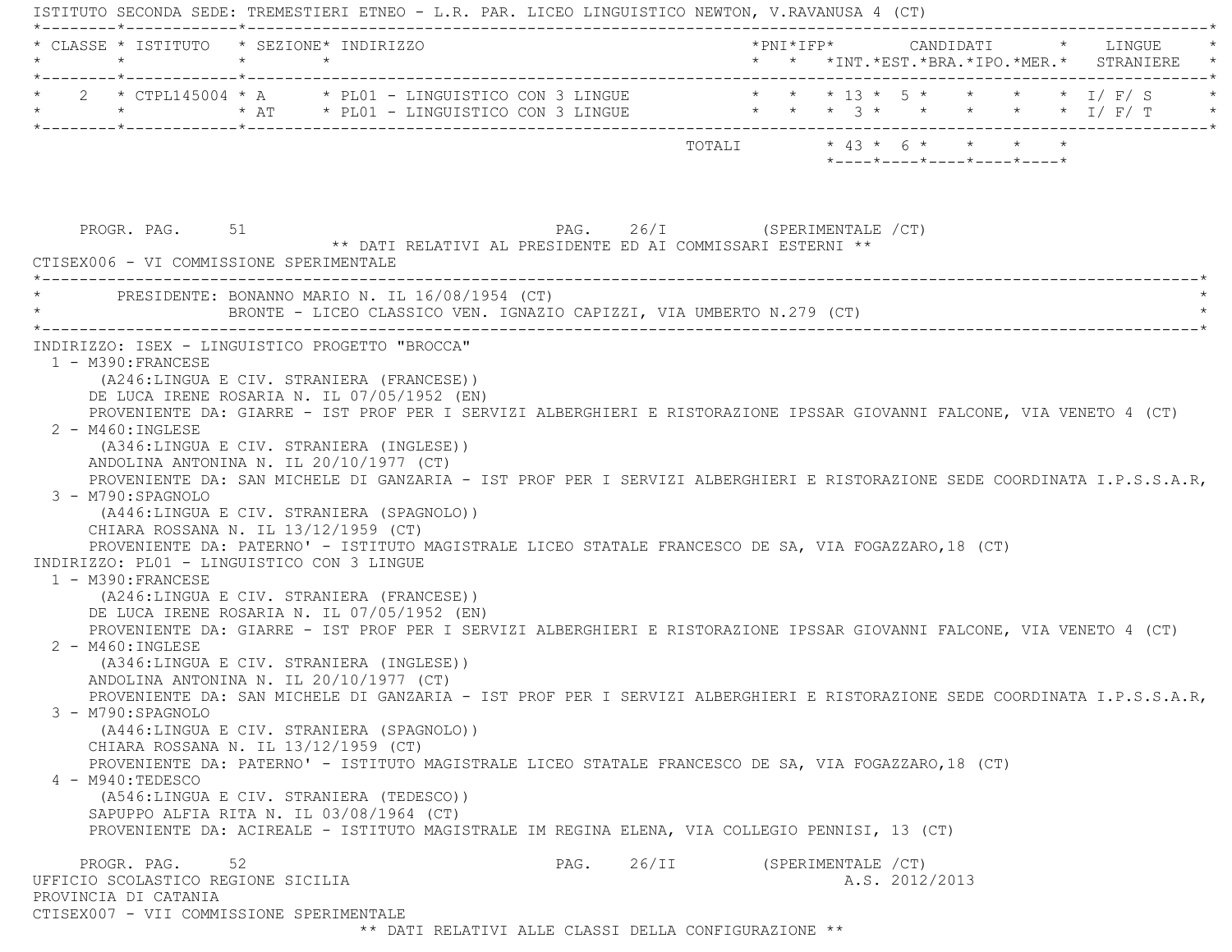ISTITUTO SECONDA SEDE: TREMESTIERI ETNEO - L.R. PAR. LICEO LINGUISTICO NEWTON, V.RAVANUSA 4 (CT) \*--------\*------------\*-------------------------------------------------------------------------------------------------------\* \* CLASSE \* ISTITUTO \* SEZIONE\* INDIRIZZO \*PNI\*IFP\* CANDIDATI \* LINGUE \* \* \* \* \* \* \* \*INT.\*EST.\*BRA.\*IPO.\*MER.\* STRANIERE \* \*--------\*------------\*-------------------------------------------------------------------------------------------------------\*2 \* CTPL145004 \* A \* PL01 - LINGUISTICO CON 3 LINGUE \* \* \* \* 13 \* 5 \* \* \* \* \* \* 1/ F/ S \* \* \* AT \* PL01 - LINGUISTICO CON 3 LINGUE \* \* \* 3 \* \* \* \* \* I/ F/ T \* \*--------\*------------\*-------------------------------------------------------------------------------------------------------\* TOTALI \* 43 \* 6 \* \* \* \* \*----\*----\*----\*----\*----\*PROGR. PAG. 51 51 PAG. 26/I (SPERIMENTALE /CT) \*\* DATI RELATIVI AL PRESIDENTE ED AI COMMISSARI ESTERNI \*\* CTISEX006 - VI COMMISSIONE SPERIMENTALE \*----------------------------------------------------------------------------------------------------------------------------\*PRESIDENTE: BONANNO MARIO N. IL 16/08/1954 (CT) BRONTE - LICEO CLASSICO VEN. IGNAZIO CAPIZZI, VIA UMBERTO N.279 (CT) \*----------------------------------------------------------------------------------------------------------------------------\* INDIRIZZO: ISEX - LINGUISTICO PROGETTO "BROCCA" 1 - M390:FRANCESE (A246:LINGUA E CIV. STRANIERA (FRANCESE)) DE LUCA IRENE ROSARIA N. IL 07/05/1952 (EN) PROVENIENTE DA: GIARRE - IST PROF PER I SERVIZI ALBERGHIERI E RISTORAZIONE IPSSAR GIOVANNI FALCONE, VIA VENETO 4 (CT) 2 - M460:INGLESE (A346:LINGUA E CIV. STRANIERA (INGLESE)) ANDOLINA ANTONINA N. IL 20/10/1977 (CT) PROVENIENTE DA: SAN MICHELE DI GANZARIA - IST PROF PER I SERVIZI ALBERGHIERI E RISTORAZIONE SEDE COORDINATA I.P.S.S.A.R, 3 - M790:SPAGNOLO (A446:LINGUA E CIV. STRANIERA (SPAGNOLO)) CHIARA ROSSANA N. IL 13/12/1959 (CT) PROVENIENTE DA: PATERNO' - ISTITUTO MAGISTRALE LICEO STATALE FRANCESCO DE SA, VIA FOGAZZARO,18 (CT) INDIRIZZO: PL01 - LINGUISTICO CON 3 LINGUE 1 - M390:FRANCESE (A246:LINGUA E CIV. STRANIERA (FRANCESE)) DE LUCA IRENE ROSARIA N. IL 07/05/1952 (EN) PROVENIENTE DA: GIARRE - IST PROF PER I SERVIZI ALBERGHIERI E RISTORAZIONE IPSSAR GIOVANNI FALCONE, VIA VENETO 4 (CT) 2 - M460:INGLESE (A346:LINGUA E CIV. STRANIERA (INGLESE)) ANDOLINA ANTONINA N. IL 20/10/1977 (CT) PROVENIENTE DA: SAN MICHELE DI GANZARIA - IST PROF PER I SERVIZI ALBERGHIERI E RISTORAZIONE SEDE COORDINATA I.P.S.S.A.R, 3 - M790:SPAGNOLO (A446:LINGUA E CIV. STRANIERA (SPAGNOLO)) CHIARA ROSSANA N. IL 13/12/1959 (CT) PROVENIENTE DA: PATERNO' - ISTITUTO MAGISTRALE LICEO STATALE FRANCESCO DE SA, VIA FOGAZZARO,18 (CT) 4 - M940:TEDESCO (A546:LINGUA E CIV. STRANIERA (TEDESCO)) SAPUPPO ALFIA RITA N. IL 03/08/1964 (CT) PROVENIENTE DA: ACIREALE - ISTITUTO MAGISTRALE IM REGINA ELENA, VIA COLLEGIO PENNISI, 13 (CT) PROGR. PAG. 52 52 PAG. 26/II (SPERIMENTALE /CT) UFFICIO SCOLASTICO REGIONE SICILIA A.S. 2012/2013 PROVINCIA DI CATANIA CTISEX007 - VII COMMISSIONE SPERIMENTALE\*\* DATI RELATIVI ALLE CLASSI DELLA CONFIGURAZIONE \*\*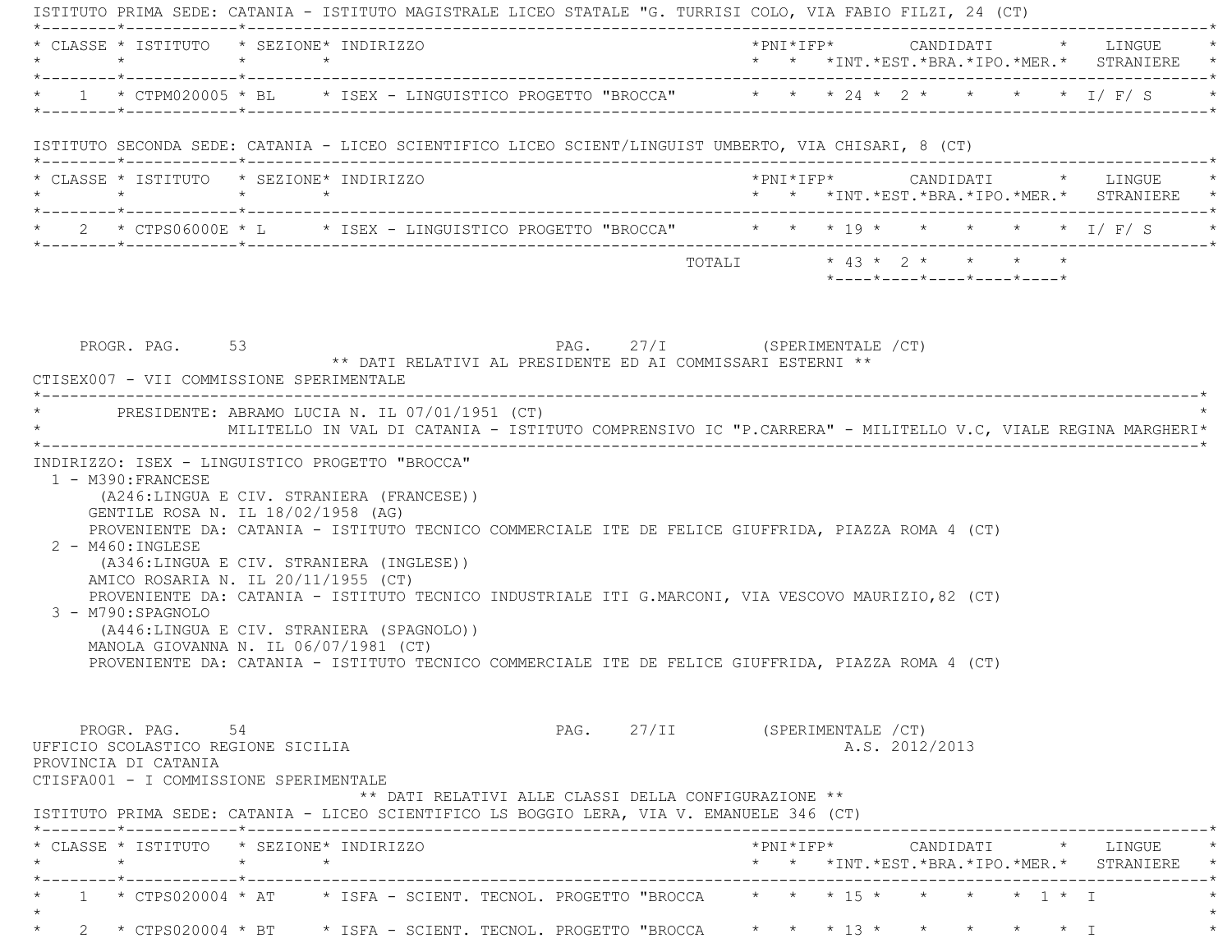|                 | * CLASSE * ISTITUTO * SEZIONE* INDIRIZZO                                                                               |                 |                                                                                                                                                  |                                                                                                                                                   |                               |  |  |                |                            |  | *PNI*IFP* CANDIDATI * LINGUE<br>* * *INT.*EST.*BRA.*IPO.*MER.* STRANIERE * |
|-----------------|------------------------------------------------------------------------------------------------------------------------|-----------------|--------------------------------------------------------------------------------------------------------------------------------------------------|---------------------------------------------------------------------------------------------------------------------------------------------------|-------------------------------|--|--|----------------|----------------------------|--|----------------------------------------------------------------------------|
|                 |                                                                                                                        |                 |                                                                                                                                                  | * 1 * CTPM020005 * BL * ISEX - LINGUISTICO PROGETTO "BROCCA" * * * 24 * 2 * * * * * 1/ F/ S                                                       |                               |  |  |                |                            |  |                                                                            |
|                 |                                                                                                                        |                 |                                                                                                                                                  | ISTITUTO SECONDA SEDE: CATANIA - LICEO SCIENTIFICO LICEO SCIENT/LINGUIST UMBERTO, VIA CHISARI, 8 (CT)                                             |                               |  |  |                |                            |  |                                                                            |
| $\star$ $\star$ | * CLASSE * ISTITUTO * SEZIONE* INDIRIZZO                                                                               | $\star$ $\star$ |                                                                                                                                                  |                                                                                                                                                   |                               |  |  |                |                            |  | * * *INT.*EST.*BRA.*IPO.*MER.* STRANIERE *                                 |
|                 |                                                                                                                        |                 |                                                                                                                                                  | * 2 * CTPS06000E * L * ISEX - LINGUISTICO PROGETTO "BROCCA" * * * 19 * * * * * * * I/ F/ S                                                        |                               |  |  |                |                            |  |                                                                            |
|                 |                                                                                                                        |                 |                                                                                                                                                  |                                                                                                                                                   |                               |  |  |                | *----*----*----*----*----* |  |                                                                            |
|                 | PROGR. PAG. 53<br>CTISEX007 - VII COMMISSIONE SPERIMENTALE                                                             |                 |                                                                                                                                                  | PAG. 27/I (SPERIMENTALE / CT)<br>** DATI RELATIVI AL PRESIDENTE ED AI COMMISSARI ESTERNI **                                                       |                               |  |  |                |                            |  |                                                                            |
|                 |                                                                                                                        |                 | * PRESIDENTE: ABRAMO LUCIA N. IL 07/01/1951 (CT)                                                                                                 | MILITELLO IN VAL DI CATANIA - ISTITUTO COMPRENSIVO IC "P.CARRERA" - MILITELLO V.C, VIALE REGINA MARGHERI*                                         |                               |  |  |                |                            |  |                                                                            |
|                 | 1 - M390: FRANCESE<br>GENTILE ROSA N. IL 18/02/1958 (AG)<br>2 - M460: INGLESE                                          |                 | INDIRIZZO: ISEX - LINGUISTICO PROGETTO "BROCCA"<br>(A246:LINGUA E CIV. STRANIERA (FRANCESE))<br>(A346:LINGUA E CIV. STRANIERA (INGLESE))         | PROVENIENTE DA: CATANIA - ISTITUTO TECNICO COMMERCIALE ITE DE FELICE GIUFFRIDA, PIAZZA ROMA 4 (CT)                                                |                               |  |  |                |                            |  |                                                                            |
|                 | AMICO ROSARIA N. IL 20/11/1955 (CT)<br>3 - M790:SPAGNOLO<br>MANOLA GIOVANNA N. IL 06/07/1981 (CT)                      |                 | PROVENIENTE DA: CATANIA - ISTITUTO TECNICO INDUSTRIALE ITI G.MARCONI, VIA VESCOVO MAURIZIO, 82 (CT)<br>(A446:LINGUA E CIV. STRANIERA (SPAGNOLO)) | PROVENIENTE DA: CATANIA - ISTITUTO TECNICO COMMERCIALE ITE DE FELICE GIUFFRIDA, PIAZZA ROMA 4 (CT)                                                |                               |  |  |                |                            |  |                                                                            |
|                 | PROGR. PAG. 54<br>UFFICIO SCOLASTICO REGIONE SICILIA<br>PROVINCIA DI CATANIA<br>CTISFA001 - I COMMISSIONE SPERIMENTALE |                 |                                                                                                                                                  | ** DATI RELATIVI ALLE CLASSI DELLA CONFIGURAZIONE **<br>ISTITUTO PRIMA SEDE: CATANIA - LICEO SCIENTIFICO LS BOGGIO LERA, VIA V. EMANUELE 346 (CT) | PAG. 27/II (SPERIMENTALE /CT) |  |  | A.S. 2012/2013 |                            |  |                                                                            |
|                 | * CLASSE * ISTITUTO * SEZIONE* INDIRIZZO<br>$\star$ $\star$                                                            | $\star$         |                                                                                                                                                  |                                                                                                                                                   |                               |  |  |                |                            |  | * * *INT. *EST. *BRA. *IPO. *MER. * STRANIERE *                            |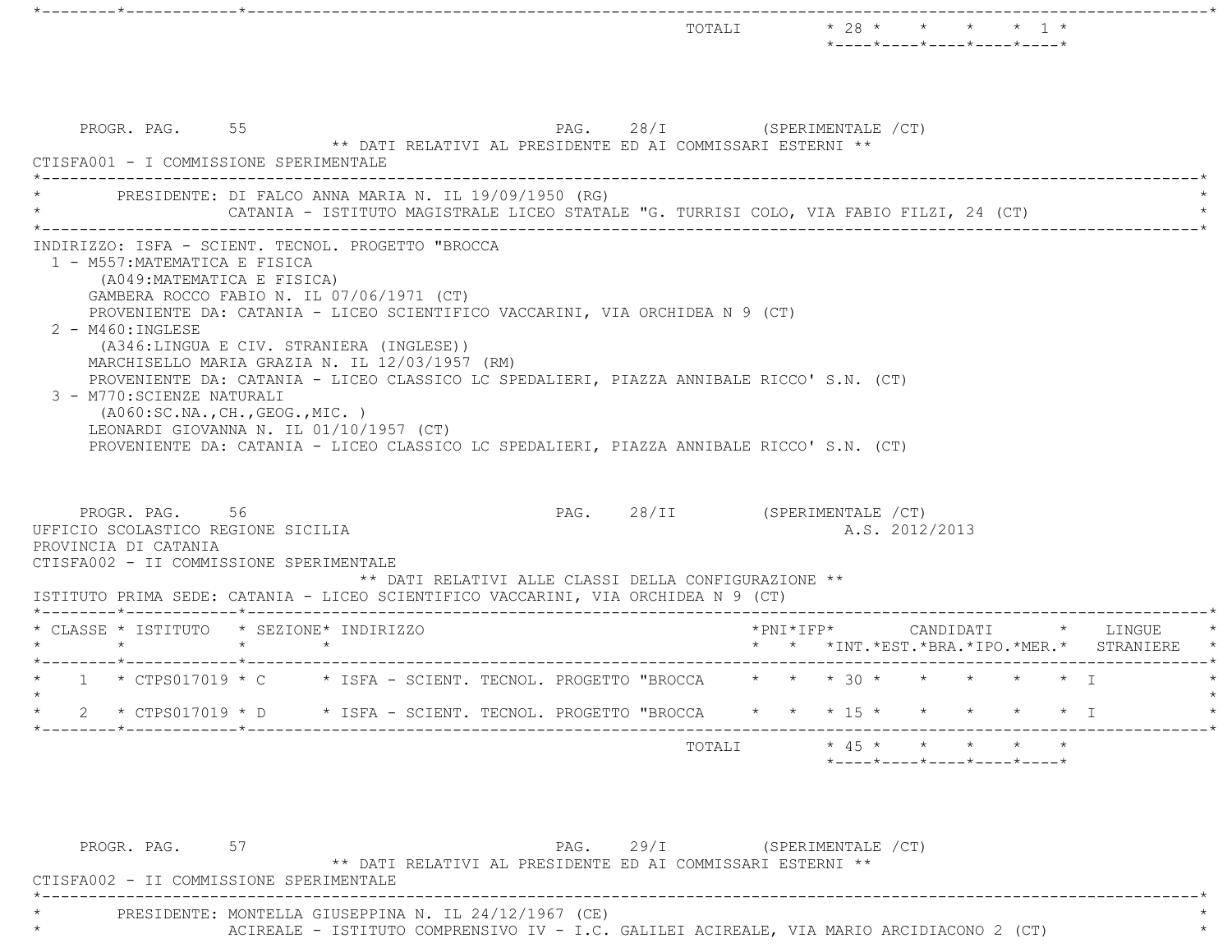|                                                                                                                                                                                                                                                                   |                                                                                                                                                                                                                                                                                                                                                                                                                                                                                                 |                                                            | TOTALI                        | $* 28 * * * * * * 1 *$ |            | *----*----*----*----*----*                                                          |                   |                                                                     |
|-------------------------------------------------------------------------------------------------------------------------------------------------------------------------------------------------------------------------------------------------------------------|-------------------------------------------------------------------------------------------------------------------------------------------------------------------------------------------------------------------------------------------------------------------------------------------------------------------------------------------------------------------------------------------------------------------------------------------------------------------------------------------------|------------------------------------------------------------|-------------------------------|------------------------|------------|-------------------------------------------------------------------------------------|-------------------|---------------------------------------------------------------------|
| PROGR. PAG. 55<br>CTISFA001 - I COMMISSIONE SPERIMENTALE                                                                                                                                                                                                          |                                                                                                                                                                                                                                                                                                                                                                                                                                                                                                 | ** DATI RELATIVI AL PRESIDENTE ED AI COMMISSARI ESTERNI ** | PAG. 28/I (SPERIMENTALE /CT)  |                        |            |                                                                                     |                   |                                                                     |
|                                                                                                                                                                                                                                                                   | PRESIDENTE: DI FALCO ANNA MARIA N. IL 19/09/1950 (RG)<br>CATANIA - ISTITUTO MAGISTRALE LICEO STATALE "G. TURRISI COLO, VIA FABIO FILZI, 24 (CT)                                                                                                                                                                                                                                                                                                                                                 |                                                            |                               |                        |            |                                                                                     |                   |                                                                     |
| 2 - M460: INGLESE<br>3 - M770: SCIENZE NATURALI                                                                                                                                                                                                                   | GAMBERA ROCCO FABIO N. IL 07/06/1971 (CT)<br>PROVENIENTE DA: CATANIA - LICEO SCIENTIFICO VACCARINI, VIA ORCHIDEA N 9 (CT)<br>(A346:LINGUA E CIV. STRANIERA (INGLESE))<br>MARCHISELLO MARIA GRAZIA N. IL 12/03/1957 (RM)<br>PROVENIENTE DA: CATANIA - LICEO CLASSICO LC SPEDALIERI, PIAZZA ANNIBALE RICCO' S.N. (CT)<br>( A060:SC.NA., CH., GEOG., MIC. )<br>LEONARDI GIOVANNA N. IL 01/10/1957 (CT)<br>PROVENIENTE DA: CATANIA - LICEO CLASSICO LC SPEDALIERI, PIAZZA ANNIBALE RICCO' S.N. (CT) |                                                            |                               |                        |            |                                                                                     |                   |                                                                     |
|                                                                                                                                                                                                                                                                   |                                                                                                                                                                                                                                                                                                                                                                                                                                                                                                 |                                                            |                               |                        |            |                                                                                     |                   |                                                                     |
| PROGR. PAG. 56<br>UFFICIO SCOLASTICO REGIONE SICILIA<br>PROVINCIA DI CATANIA                                                                                                                                                                                      |                                                                                                                                                                                                                                                                                                                                                                                                                                                                                                 |                                                            | PAG. 28/II (SPERIMENTALE /CT) |                        |            | A.S. 2012/2013                                                                      |                   |                                                                     |
|                                                                                                                                                                                                                                                                   |                                                                                                                                                                                                                                                                                                                                                                                                                                                                                                 | ** DATI RELATIVI ALLE CLASSI DELLA CONFIGURAZIONE **       |                               |                        |            |                                                                                     |                   |                                                                     |
| $\star$                                                                                                                                                                                                                                                           | $\star$                                                                                                                                                                                                                                                                                                                                                                                                                                                                                         |                                                            |                               | $*$ PNI $*$ I F P $*$  |            |                                                                                     |                   | CANDIDATI * LINGUE<br>* * *INT. *EST. *BRA. *IPO. *MER. * STRANIERE |
|                                                                                                                                                                                                                                                                   |                                                                                                                                                                                                                                                                                                                                                                                                                                                                                                 |                                                            |                               |                        |            |                                                                                     |                   |                                                                     |
| * CTPS017019 * D                                                                                                                                                                                                                                                  |                                                                                                                                                                                                                                                                                                                                                                                                                                                                                                 | * ISFA - SCIENT. TECNOL. PROGETTO "BROCCA                  |                               |                        | $*$ 15 $*$ |                                                                                     | $\star$ $\star$ T |                                                                     |
| CTISFA002 - II COMMISSIONE SPERIMENTALE<br>ISTITUTO PRIMA SEDE: CATANIA - LICEO SCIENTIFICO VACCARINI, VIA ORCHIDEA N 9 (CT)<br>* CLASSE * ISTITUTO * SEZIONE* INDIRIZZO<br>* 1 * CTPS017019 * C * ISFA - SCIENT. TECNOL. PROGETTO "BROCCA * * * 30 * * * * * * I |                                                                                                                                                                                                                                                                                                                                                                                                                                                                                                 |                                                            | TOTALI                        |                        |            | * 45 * * * * * *<br>$*$ - - - - $*$ - - - - $*$ - - - - $*$ - - - - $*$ - - - - $*$ |                   |                                                                     |

PROGR. PAG. 57 ST 29/I (SPERIMENTALE /CT) \*\* DATI RELATIVI AL PRESIDENTE ED AI COMMISSARI ESTERNI \*\* CTISFA002 - II COMMISSIONE SPERIMENTALE \*----------------------------------------------------------------------------------------------------------------------------\* \* PRESIDENTE: MONTELLA GIUSEPPINA N. IL 24/12/1967 (CE) \* \* \* \* \* ACIREALE - ISTITUTO COMPRENSIVO IV - I.C. GALILEI ACIREALE, VIA MARIO ARCIDIACONO 2 (CT) \* \*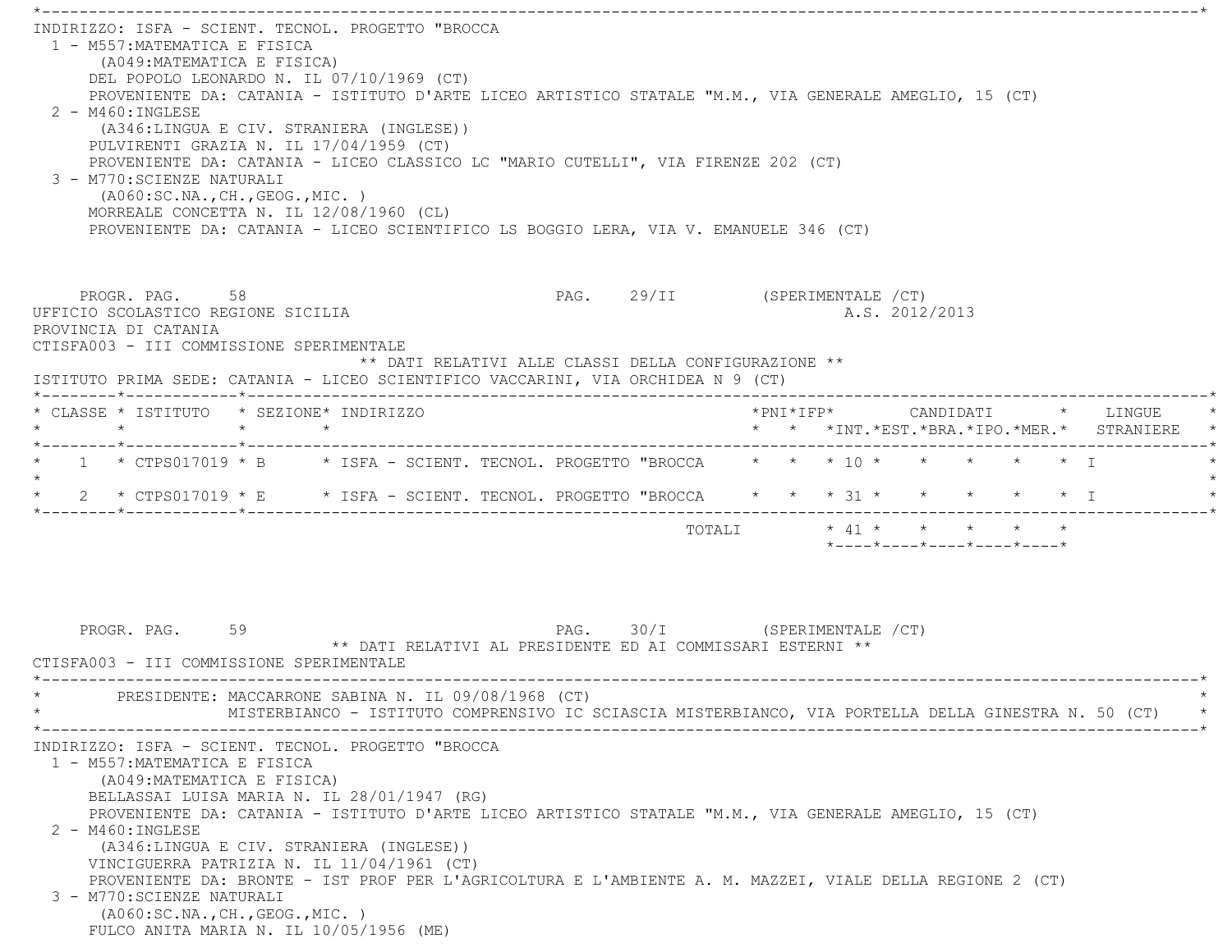\*----------------------------------------------------------------------------------------------------------------------------\* INDIRIZZO: ISFA - SCIENT. TECNOL. PROGETTO "BROCCA 1 - M557:MATEMATICA E FISICA (A049:MATEMATICA E FISICA) DEL POPOLO LEONARDO N. IL 07/10/1969 (CT) PROVENIENTE DA: CATANIA - ISTITUTO D'ARTE LICEO ARTISTICO STATALE "M.M., VIA GENERALE AMEGLIO, 15 (CT)  $2 - M460 \cdot INGIERSE$  (A346:LINGUA E CIV. STRANIERA (INGLESE)) PULVIRENTI GRAZIA N. IL 17/04/1959 (CT) PROVENIENTE DA: CATANIA - LICEO CLASSICO LC "MARIO CUTELLI", VIA FIRENZE 202 (CT) 3 - M770:SCIENZE NATURALI (A060:SC.NA.,CH.,GEOG.,MIC. ) MORREALE CONCETTA N. IL 12/08/1960 (CL) PROVENIENTE DA: CATANIA - LICEO SCIENTIFICO LS BOGGIO LERA, VIA V. EMANUELE 346 (CT) PROGR. PAG. 58 58 PAG. 29/II (SPERIMENTALE /CT) UFFICIO SCOLASTICO REGIONE SICILIA A.S. 2012/2013 PROVINCIA DI CATANIA CTISFA003 - III COMMISSIONE SPERIMENTALE \*\* DATI RELATIVI ALLE CLASSI DELLA CONFIGURAZIONE \*\* ISTITUTO PRIMA SEDE: CATANIA - LICEO SCIENTIFICO VACCARINI, VIA ORCHIDEA N 9 (CT) \*--------\*------------\*-------------------------------------------------------------------------------------------------------\* \* CLASSE \* ISTITUTO \* SEZIONE\* INDIRIZZO \*PNI\*IFP\* CANDIDATI \* LINGUE \* \* \* \* \* \* \* \*INT.\*EST.\*BRA.\*IPO.\*MER.\* STRANIERE \* \*--------\*------------\*-------------------------------------------------------------------------------------------------------\*\* 1 \* CTPS017019 \* B \* ISFA - SCIENT. TECNOL. PROGETTO "BROCCA \* \* \* 10 \* \* \* \* \* \* \* I  $\star$ \* 2 \* CTPS017019 \* E \* ISFA - SCIENT. TECNOL. PROGETTO "BROCCA \* \* \* 31 \* \* \* \* \* \* \* I \*--------\*------------\*-------------------------------------------------------------------------------------------------------\*TOTALI  $* 41 * * * * * * * * *$  \*----\*----\*----\*----\*----\*PROGR. PAG. 59 59 PAG. PAG. 30/I (SPERIMENTALE /CT) \*\* DATI RELATIVI AL PRESIDENTE ED AI COMMISSARI ESTERNI \*\* CTISFA003 - III COMMISSIONE SPERIMENTALE \*----------------------------------------------------------------------------------------------------------------------------\*PRESIDENTE: MACCARRONE SABINA N. IL 09/08/1968 (CT) \* MISTERBIANCO - ISTITUTO COMPRENSIVO IC SCIASCIA MISTERBIANCO, VIA PORTELLA DELLA GINESTRA N. 50 (CT) \* \*----------------------------------------------------------------------------------------------------------------------------\* INDIRIZZO: ISFA - SCIENT. TECNOL. PROGETTO "BROCCA 1 - M557:MATEMATICA E FISICA (A049:MATEMATICA E FISICA) BELLASSAI LUISA MARIA N. IL 28/01/1947 (RG) PROVENIENTE DA: CATANIA - ISTITUTO D'ARTE LICEO ARTISTICO STATALE "M.M., VIA GENERALE AMEGLIO, 15 (CT) 2 - M460:INGLESE (A346:LINGUA E CIV. STRANIERA (INGLESE)) VINCIGUERRA PATRIZIA N. IL 11/04/1961 (CT) PROVENIENTE DA: BRONTE - IST PROF PER L'AGRICOLTURA E L'AMBIENTE A. M. MAZZEI, VIALE DELLA REGIONE 2 (CT) 3 - M770:SCIENZE NATURALI (A060:SC.NA.,CH.,GEOG.,MIC. ) FULCO ANITA MARIA N. IL 10/05/1956 (ME)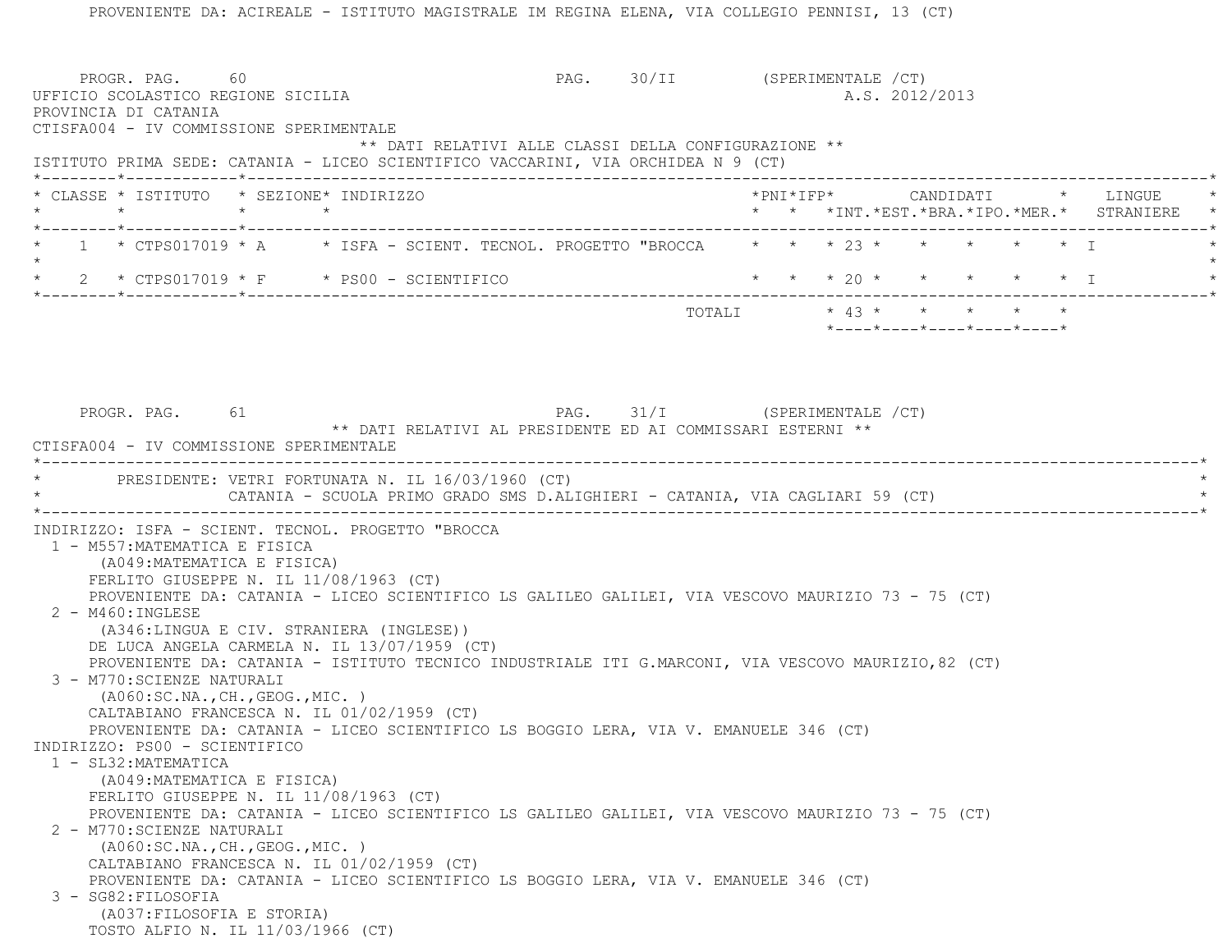PROVENIENTE DA: ACIREALE - ISTITUTO MAGISTRALE IM REGINA ELENA, VIA COLLEGIO PENNISI, 13 (CT) PROGR. PAG. 60 60 PAG. PAG. 30/II (SPERIMENTALE /CT) UFFICIO SCOLASTICO REGIONE SICILIA A.S. 2012/2013 PROVINCIA DI CATANIA CTISFA004 - IV COMMISSIONE SPERIMENTALE \*\* DATI RELATIVI ALLE CLASSI DELLA CONFIGURAZIONE \*\* ISTITUTO PRIMA SEDE: CATANIA - LICEO SCIENTIFICO VACCARINI, VIA ORCHIDEA N 9 (CT) \*--------\*------------\*-------------------------------------------------------------------------------------------------------\* \* CLASSE \* ISTITUTO \* SEZIONE\* INDIRIZZO \*PNI\*IFP\* CANDIDATI \* LINGUE \* \* \* \* \* \* \* \*INT.\*EST.\*BRA.\*IPO.\*MER.\* STRANIERE \* \*--------\*------------\*-------------------------------------------------------------------------------------------------------\*1 \* CTPS017019 \* A \* ISFA - SCIENT. TECNOL. PROGETTO "BROCCA \* \* \* 23 \* \* \* \* \* \* \* T  $\star$ 2 \* CTPS017019 \* F \* PS00 - SCIENTIFICO \* \* \* \* 20 \* \* \* \* \* \* \* I \*--------\*------------\*-------------------------------------------------------------------------------------------------------\* TOTALI \* 43 \* \* \* \* \* \*----\*----\*----\*----\*----\*PROGR. PAG. 61 61 PAG. 31/I (SPERIMENTALE / CT) \*\* DATI RELATIVI AL PRESIDENTE ED AI COMMISSARI ESTERNI \*\* CTISFA004 - IV COMMISSIONE SPERIMENTALE \*----------------------------------------------------------------------------------------------------------------------------\*PRESIDENTE: VETRI FORTUNATA N. IL 16/03/1960 (CT) CATANIA - SCUOLA PRIMO GRADO SMS D.ALIGHIERI - CATANIA, VIA CAGLIARI 59 (CT) \*----------------------------------------------------------------------------------------------------------------------------\* INDIRIZZO: ISFA - SCIENT. TECNOL. PROGETTO "BROCCA 1 - M557:MATEMATICA E FISICA (A049:MATEMATICA E FISICA) FERLITO GIUSEPPE N. IL 11/08/1963 (CT) PROVENIENTE DA: CATANIA - LICEO SCIENTIFICO LS GALILEO GALILEI, VIA VESCOVO MAURIZIO 73 - 75 (CT) 2 - M460:INGLESE (A346:LINGUA E CIV. STRANIERA (INGLESE)) DE LUCA ANGELA CARMELA N. IL 13/07/1959 (CT) PROVENIENTE DA: CATANIA - ISTITUTO TECNICO INDUSTRIALE ITI G.MARCONI, VIA VESCOVO MAURIZIO,82 (CT) 3 - M770:SCIENZE NATURALI (A060:SC.NA.,CH.,GEOG.,MIC. ) CALTABIANO FRANCESCA N. IL 01/02/1959 (CT) PROVENIENTE DA: CATANIA - LICEO SCIENTIFICO LS BOGGIO LERA, VIA V. EMANUELE 346 (CT) INDIRIZZO: PS00 - SCIENTIFICO 1 - SL32:MATEMATICA (A049:MATEMATICA E FISICA) FERLITO GIUSEPPE N. IL 11/08/1963 (CT) PROVENIENTE DA: CATANIA - LICEO SCIENTIFICO LS GALILEO GALILEI, VIA VESCOVO MAURIZIO 73 - 75 (CT) 2 - M770:SCIENZE NATURALI (A060:SC.NA.,CH.,GEOG.,MIC. ) CALTABIANO FRANCESCA N. IL 01/02/1959 (CT) PROVENIENTE DA: CATANIA - LICEO SCIENTIFICO LS BOGGIO LERA, VIA V. EMANUELE 346 (CT) 3 - SG82:FILOSOFIA (A037:FILOSOFIA E STORIA) TOSTO ALFIO N. IL 11/03/1966 (CT)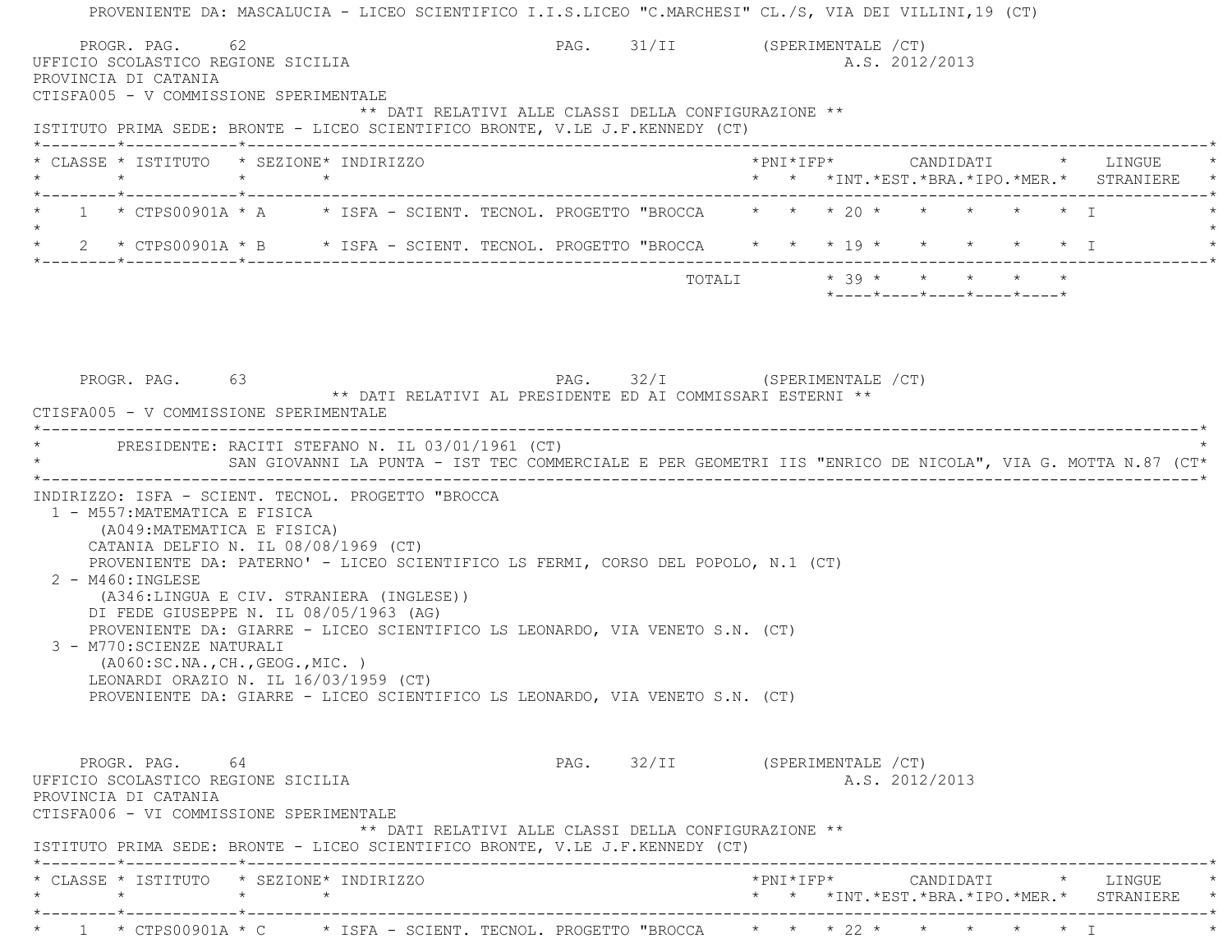PROVENIENTE DA: MASCALUCIA - LICEO SCIENTIFICO I.I.S.LICEO "C.MARCHESI" CL./S, VIA DEI VILLINI,19 (CT) PROGR. PAG. 62 62 PAG. 91/II (SPERIMENTALE /CT) UFFICIO SCOLASTICO REGIONE SICILIA A.S. 2012/2013 PROVINCIA DI CATANIA CTISFA005 - V COMMISSIONE SPERIMENTALE \*\* DATI RELATIVI ALLE CLASSI DELLA CONFIGURAZIONE \*\* ISTITUTO PRIMA SEDE: BRONTE - LICEO SCIENTIFICO BRONTE, V.LE J.F.KENNEDY (CT) \*--------\*------------\*-------------------------------------------------------------------------------------------------------\* \* CLASSE \* ISTITUTO \* SEZIONE\* INDIRIZZO \*PNI\*IFP\* CANDIDATI \* LINGUE \* \* \* \* \* \* \* \*INT.\*EST.\*BRA.\*IPO.\*MER.\* STRANIERE \* \*--------\*------------\*-------------------------------------------------------------------------------------------------------\* $1$  \* CTPS00901A \* A  $\quad$  \* ISFA - SCIENT. TECNOL. PROGETTO "BROCCA  $\quad$  \* \* \* 20 \* \* \* \* \* \* \* \*  $\star$ \* 2 \* CTPS00901A \* B \* ISFA - SCIENT. TECNOL. PROGETTO "BROCCA \* \* \* 19 \* \* \* \* \* \* \* I \*--------\*------------\*-------------------------------------------------------------------------------------------------------\* $\texttt{TOTALI} \qquad \qquad \star \quad \texttt{39} \; \star \qquad \star \qquad \star \qquad \star \qquad \star \qquad \star \qquad \star$  \*----\*----\*----\*----\*----\*PROGR. PAG. 63 63 PAG. 32/I (SPERIMENTALE / CT) \*\* DATI RELATIVI AL PRESIDENTE ED AI COMMISSARI ESTERNI \*\* CTISFA005 - V COMMISSIONE SPERIMENTALE \*----------------------------------------------------------------------------------------------------------------------------\*PRESIDENTE: RACITI STEFANO N. IL 03/01/1961 (CT) SAN GIOVANNI LA PUNTA - IST TEC COMMERCIALE E PER GEOMETRI IIS "ENRICO DE NICOLA", VIA G. MOTTA N.87 (CT\* \*----------------------------------------------------------------------------------------------------------------------------\* INDIRIZZO: ISFA - SCIENT. TECNOL. PROGETTO "BROCCA 1 - M557:MATEMATICA E FISICA (A049:MATEMATICA E FISICA) CATANIA DELFIO N. IL 08/08/1969 (CT) PROVENIENTE DA: PATERNO' - LICEO SCIENTIFICO LS FERMI, CORSO DEL POPOLO, N.1 (CT) 2 - M460:INGLESE (A346:LINGUA E CIV. STRANIERA (INGLESE)) DI FEDE GIUSEPPE N. IL 08/05/1963 (AG) PROVENIENTE DA: GIARRE - LICEO SCIENTIFICO LS LEONARDO, VIA VENETO S.N. (CT) 3 - M770:SCIENZE NATURALI (A060:SC.NA.,CH.,GEOG.,MIC. ) LEONARDI ORAZIO N. IL 16/03/1959 (CT) PROVENIENTE DA: GIARRE - LICEO SCIENTIFICO LS LEONARDO, VIA VENETO S.N. (CT) PROGR. PAG. 64 64 PAG. 32/II (SPERIMENTALE /CT) UFFICIO SCOLASTICO REGIONE SICILIA A.S. 2012/2013 PROVINCIA DI CATANIA CTISFA006 - VI COMMISSIONE SPERIMENTALE \*\* DATI RELATIVI ALLE CLASSI DELLA CONFIGURAZIONE \*\* ISTITUTO PRIMA SEDE: BRONTE - LICEO SCIENTIFICO BRONTE, V.LE J.F.KENNEDY (CT) \*--------\*------------\*-------------------------------------------------------------------------------------------------------\* \* CLASSE \* ISTITUTO \* SEZIONE\* INDIRIZZO \*PNI\*IFP\* CANDIDATI \* LINGUE \* \* \* \* \* \* \* \*INT.\*EST.\*BRA.\*IPO.\*MER.\* STRANIERE \* \*--------\*------------\*-------------------------------------------------------------------------------------------------------\*\* 1 \* CTPS00901A \* C \* ISFA - SCIENT. TECNOL. PROGETTO "BROCCA \* \* \* 22 \* \* \* \* \* \* \* T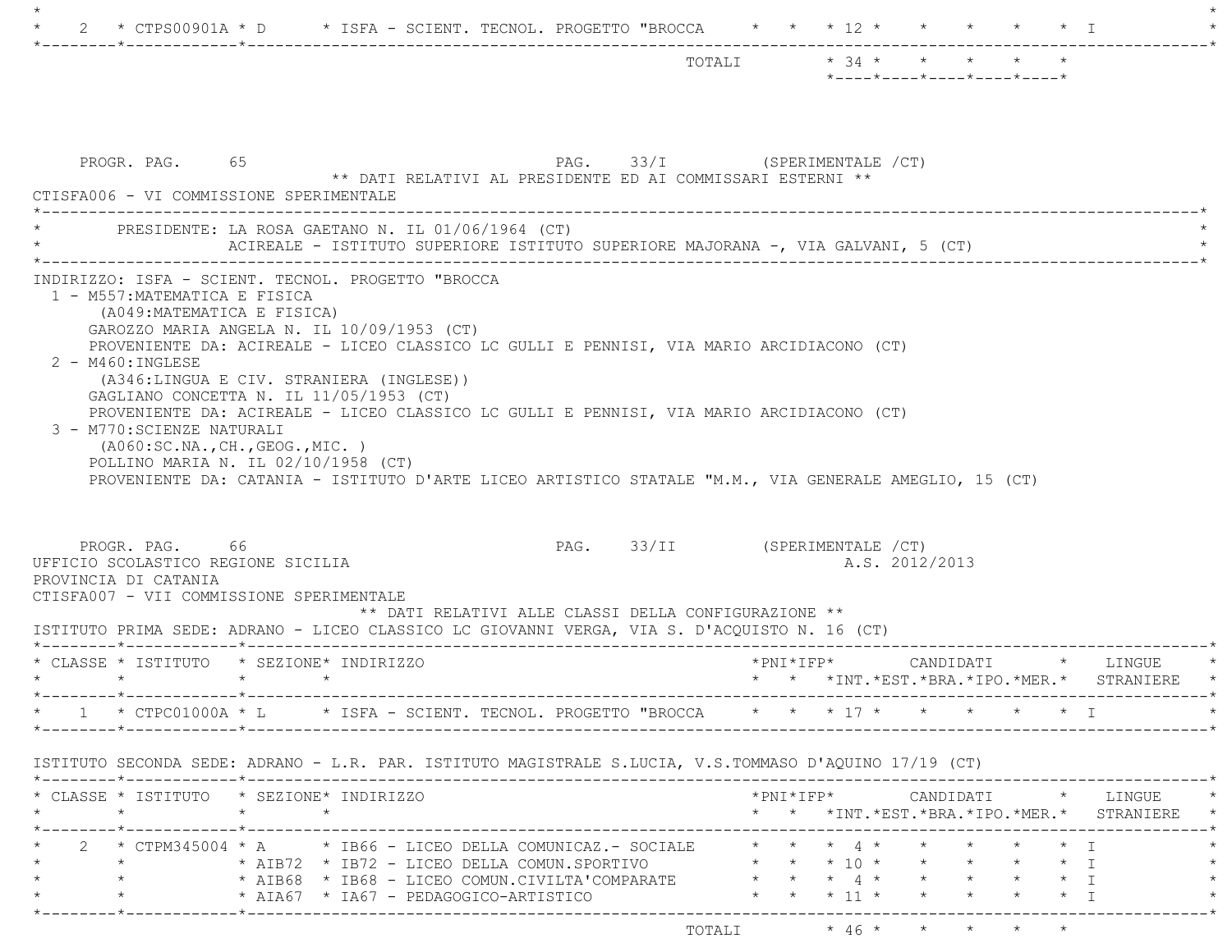|                                                                                                                    |                                                                                                                                                                                                                                                                                                                                                                                                                                                                                                                 | TOTALI * 34 * * * * *  |  | *----*----*----*----*----*                           |                   |                                                                                     |
|--------------------------------------------------------------------------------------------------------------------|-----------------------------------------------------------------------------------------------------------------------------------------------------------------------------------------------------------------------------------------------------------------------------------------------------------------------------------------------------------------------------------------------------------------------------------------------------------------------------------------------------------------|------------------------|--|------------------------------------------------------|-------------------|-------------------------------------------------------------------------------------|
|                                                                                                                    |                                                                                                                                                                                                                                                                                                                                                                                                                                                                                                                 |                        |  |                                                      |                   |                                                                                     |
| PROGR. PAG. 65<br>CTISFA006 - VI COMMISSIONE SPERIMENTALE                                                          | PAG. 33/I (SPERIMENTALE / CT)<br>** DATI RELATIVI AL PRESIDENTE ED AI COMMISSARI ESTERNI **                                                                                                                                                                                                                                                                                                                                                                                                                     |                        |  |                                                      |                   |                                                                                     |
|                                                                                                                    | PRESIDENTE: LA ROSA GAETANO N. IL 01/06/1964 (CT)<br>ACIREALE - ISTITUTO SUPERIORE ISTITUTO SUPERIORE MAJORANA -, VIA GALVANI, 5 (CT)                                                                                                                                                                                                                                                                                                                                                                           |                        |  |                                                      |                   |                                                                                     |
| 1 - M557: MATEMATICA E FISICA<br>(A049: MATEMATICA E FISICA)<br>$2 - M460$ : INGLESE<br>3 - M770: SCIENZE NATURALI | GAROZZO MARIA ANGELA N. IL 10/09/1953 (CT)<br>PROVENIENTE DA: ACIREALE - LICEO CLASSICO LC GULLI E PENNISI, VIA MARIO ARCIDIACONO (CT)<br>(A346:LINGUA E CIV. STRANIERA (INGLESE))<br>GAGLIANO CONCETTA N. IL 11/05/1953 (CT)<br>PROVENIENTE DA: ACIREALE - LICEO CLASSICO LC GULLI E PENNISI, VIA MARIO ARCIDIACONO (CT)<br>( A060:SC.NA., CH., GEOG., MIC. )<br>POLLINO MARIA N. IL 02/10/1958 (CT)<br>PROVENIENTE DA: CATANIA - ISTITUTO D'ARTE LICEO ARTISTICO STATALE "M.M., VIA GENERALE AMEGLIO, 15 (CT) |                        |  |                                                      |                   |                                                                                     |
| PROGR. PAG. 66<br>UFFICIO SCOLASTICO REGIONE SICILIA<br>PROVINCIA DI CATANIA                                       | PAG. 33/II (SPERIMENTALE /CT)<br>CTISFA007 - VII COMMISSIONE SPERIMENTALE<br>** DATI RELATIVI ALLE CLASSI DELLA CONFIGURAZIONE **                                                                                                                                                                                                                                                                                                                                                                               |                        |  | A.S. 2012/2013                                       |                   |                                                                                     |
| $\star$ $\star$                                                                                                    | ISTITUTO PRIMA SEDE: ADRANO - LICEO CLASSICO LC GIOVANNI VERGA, VIA S. D'ACQUISTO N. 16 (CT)<br>* CLASSE * ISTITUTO * SEZIONE* INDIRIZZO<br>$\star$ $\star$                                                                                                                                                                                                                                                                                                                                                     |                        |  |                                                      |                   | * * *INT.*EST.*BRA.*IPO.*MER.* STRANIERE *                                          |
|                                                                                                                    | * 1 * CTPC01000A * L * ISFA - SCIENT. TECNOL. PROGETTO "BROCCA * * * 17 * * * * * * * I                                                                                                                                                                                                                                                                                                                                                                                                                         |                        |  |                                                      |                   |                                                                                     |
|                                                                                                                    | ISTITUTO SECONDA SEDE: ADRANO - L.R. PAR. ISTITUTO MAGISTRALE S.LUCIA, V.S.TOMMASO D'AOUINO 17/19 (CT)                                                                                                                                                                                                                                                                                                                                                                                                          |                        |  |                                                      |                   |                                                                                     |
| $\star$                                                                                                            | * CLASSE * ISTITUTO * SEZIONE* INDIRIZZO<br>$\star$ $\star$                                                                                                                                                                                                                                                                                                                                                                                                                                                     |                        |  |                                                      |                   | *PNI*IFP*     CANDIDATI    *   LINGUE<br>* * *INT.*EST.*BRA.*IPO.*MER.* STRANIERE * |
| *--------*------------*------------<br>$\star$<br>$\star$<br>$\star$                                               | 2 * CTPM345004 * A * IB66 - LICEO DELLA COMUNICAZ.- SOCIALE<br>* AIA67 * IA67 - PEDAGOGICO-ARTISTICO                                                                                                                                                                                                                                                                                                                                                                                                            | * * * 11 * * * * * * I |  | $\star$ $\star$ $\star$ $\downarrow$ $\star$ $\star$ | $\star$ $\star$ T |                                                                                     |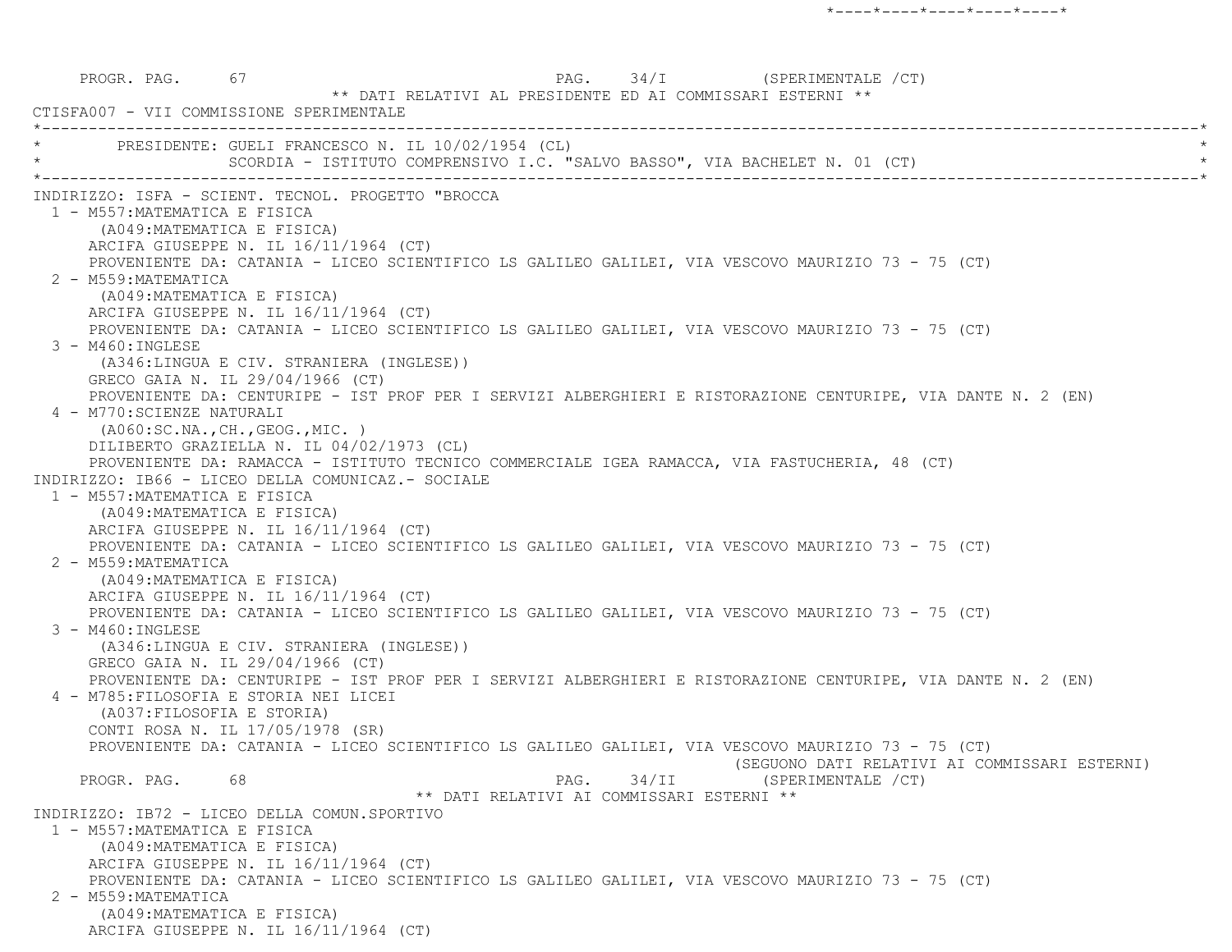PROGR. PAG. 67 67 PAG. PAG. 34/I (SPERIMENTALE / CT) \*\* DATI RELATIVI AL PRESIDENTE ED AI COMMISSARI ESTERNI \*\* CTISFA007 - VII COMMISSIONE SPERIMENTALE \*----------------------------------------------------------------------------------------------------------------------------\*PRESIDENTE: GUELI FRANCESCO N. IL 10/02/1954 (CL) SCORDIA - ISTITUTO COMPRENSIVO I.C. "SALVO BASSO", VIA BACHELET N. 01 (CT) \*----------------------------------------------------------------------------------------------------------------------------\* INDIRIZZO: ISFA - SCIENT. TECNOL. PROGETTO "BROCCA 1 - M557:MATEMATICA E FISICA (A049:MATEMATICA E FISICA) ARCIFA GIUSEPPE N. IL 16/11/1964 (CT) PROVENIENTE DA: CATANIA - LICEO SCIENTIFICO LS GALILEO GALILEI, VIA VESCOVO MAURIZIO 73 - 75 (CT) 2 - M559:MATEMATICA (A049:MATEMATICA E FISICA) ARCIFA GIUSEPPE N. IL 16/11/1964 (CT) PROVENIENTE DA: CATANIA - LICEO SCIENTIFICO LS GALILEO GALILEI, VIA VESCOVO MAURIZIO 73 - 75 (CT) 3 - M460:INGLESE (A346:LINGUA E CIV. STRANIERA (INGLESE)) GRECO GAIA N. IL 29/04/1966 (CT) PROVENIENTE DA: CENTURIPE - IST PROF PER I SERVIZI ALBERGHIERI E RISTORAZIONE CENTURIPE, VIA DANTE N. 2 (EN) 4 - M770:SCIENZE NATURALI (A060:SC.NA.,CH.,GEOG.,MIC. ) DILIBERTO GRAZIELLA N. IL 04/02/1973 (CL) PROVENIENTE DA: RAMACCA - ISTITUTO TECNICO COMMERCIALE IGEA RAMACCA, VIA FASTUCHERIA, 48 (CT) INDIRIZZO: IB66 - LICEO DELLA COMUNICAZ.- SOCIALE 1 - M557:MATEMATICA E FISICA (A049:MATEMATICA E FISICA) ARCIFA GIUSEPPE N. IL 16/11/1964 (CT) PROVENIENTE DA: CATANIA - LICEO SCIENTIFICO LS GALILEO GALILEI, VIA VESCOVO MAURIZIO 73 - 75 (CT) 2 - M559:MATEMATICA (A049:MATEMATICA E FISICA) ARCIFA GIUSEPPE N. IL 16/11/1964 (CT) PROVENIENTE DA: CATANIA - LICEO SCIENTIFICO LS GALILEO GALILEI, VIA VESCOVO MAURIZIO 73 - 75 (CT) 3 - M460:INGLESE (A346:LINGUA E CIV. STRANIERA (INGLESE)) GRECO GAIA N. IL 29/04/1966 (CT) PROVENIENTE DA: CENTURIPE - IST PROF PER I SERVIZI ALBERGHIERI E RISTORAZIONE CENTURIPE, VIA DANTE N. 2 (EN) 4 - M785:FILOSOFIA E STORIA NEI LICEI (A037:FILOSOFIA E STORIA) CONTI ROSA N. IL 17/05/1978 (SR) PROVENIENTE DA: CATANIA - LICEO SCIENTIFICO LS GALILEO GALILEI, VIA VESCOVO MAURIZIO 73 - 75 (CT) (SEGUONO DATI RELATIVI AI COMMISSARI ESTERNI) PROGR. PAG. 68 68 PAG. 34/II (SPERIMENTALE /CT) \*\* DATI RELATIVI AI COMMISSARI ESTERNI \*\* INDIRIZZO: IB72 - LICEO DELLA COMUN.SPORTIVO 1 - M557:MATEMATICA E FISICA (A049:MATEMATICA E FISICA) ARCIFA GIUSEPPE N. IL 16/11/1964 (CT) PROVENIENTE DA: CATANIA - LICEO SCIENTIFICO LS GALILEO GALILEI, VIA VESCOVO MAURIZIO 73 - 75 (CT) 2 - M559:MATEMATICA (A049:MATEMATICA E FISICA) ARCIFA GIUSEPPE N. IL 16/11/1964 (CT)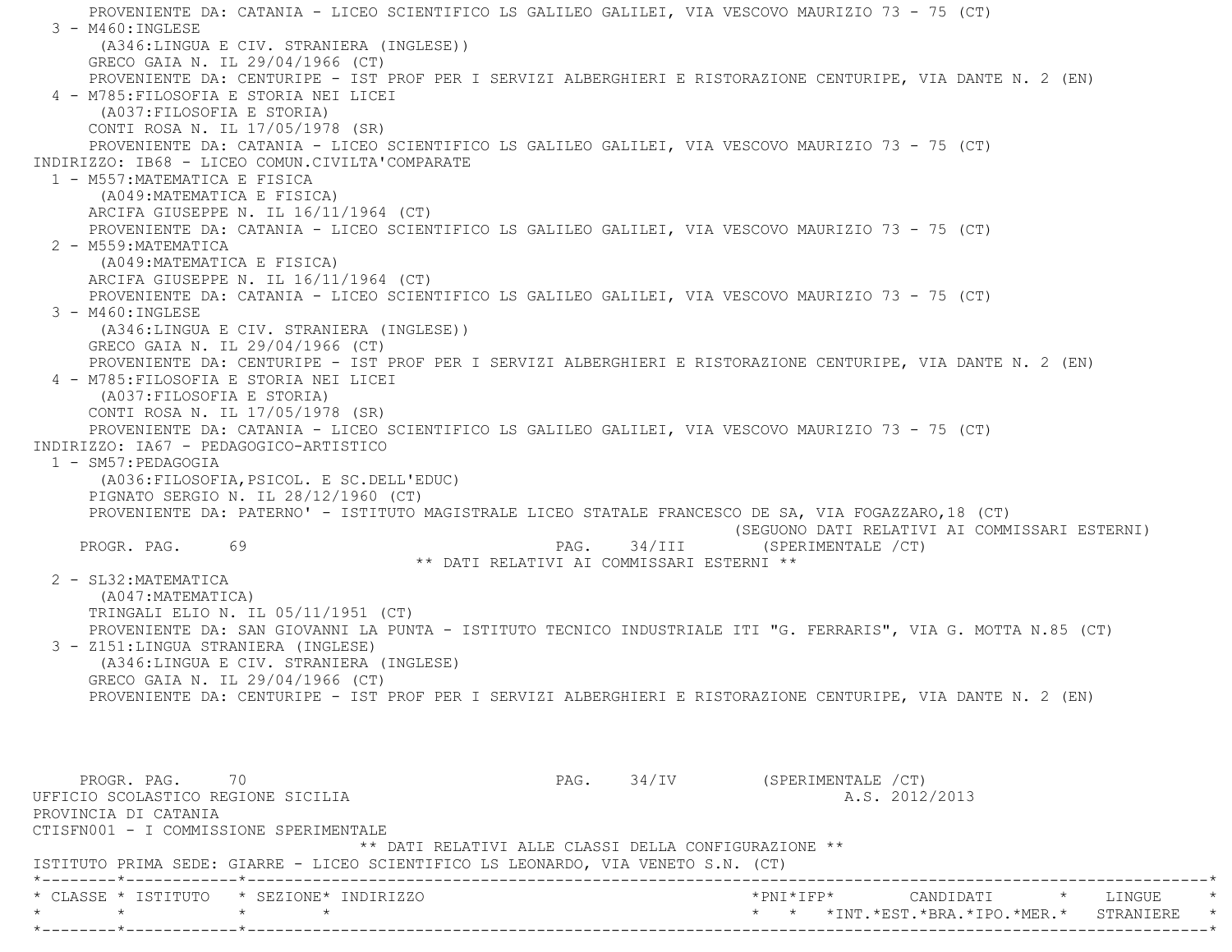PROVENIENTE DA: CATANIA - LICEO SCIENTIFICO LS GALILEO GALILEI, VIA VESCOVO MAURIZIO 73 - 75 (CT) 3 - M460:INGLESE (A346:LINGUA E CIV. STRANIERA (INGLESE)) GRECO GAIA N. IL 29/04/1966 (CT) PROVENIENTE DA: CENTURIPE - IST PROF PER I SERVIZI ALBERGHIERI E RISTORAZIONE CENTURIPE, VIA DANTE N. 2 (EN) 4 - M785:FILOSOFIA E STORIA NEI LICEI (A037:FILOSOFIA E STORIA) CONTI ROSA N. IL 17/05/1978 (SR) PROVENIENTE DA: CATANIA - LICEO SCIENTIFICO LS GALILEO GALILEI, VIA VESCOVO MAURIZIO 73 - 75 (CT) INDIRIZZO: IB68 - LICEO COMUN.CIVILTA'COMPARATE 1 - M557:MATEMATICA E FISICA (A049:MATEMATICA E FISICA) ARCIFA GIUSEPPE N. IL 16/11/1964 (CT) PROVENIENTE DA: CATANIA - LICEO SCIENTIFICO LS GALILEO GALILEI, VIA VESCOVO MAURIZIO 73 - 75 (CT) 2 - M559:MATEMATICA (A049:MATEMATICA E FISICA) ARCIFA GIUSEPPE N. IL 16/11/1964 (CT) PROVENIENTE DA: CATANIA - LICEO SCIENTIFICO LS GALILEO GALILEI, VIA VESCOVO MAURIZIO 73 - 75 (CT) 3 - M460:INGLESE (A346:LINGUA E CIV. STRANIERA (INGLESE)) GRECO GAIA N. IL 29/04/1966 (CT) PROVENIENTE DA: CENTURIPE - IST PROF PER I SERVIZI ALBERGHIERI E RISTORAZIONE CENTURIPE, VIA DANTE N. 2 (EN) 4 - M785:FILOSOFIA E STORIA NEI LICEI (A037:FILOSOFIA E STORIA) CONTI ROSA N. IL 17/05/1978 (SR) PROVENIENTE DA: CATANIA - LICEO SCIENTIFICO LS GALILEO GALILEI, VIA VESCOVO MAURIZIO 73 - 75 (CT) INDIRIZZO: IA67 - PEDAGOGICO-ARTISTICO 1 - SM57:PEDAGOGIA (A036:FILOSOFIA,PSICOL. E SC.DELL'EDUC) PIGNATO SERGIO N. IL 28/12/1960 (CT) PROVENIENTE DA: PATERNO' - ISTITUTO MAGISTRALE LICEO STATALE FRANCESCO DE SA, VIA FOGAZZARO,18 (CT) (SEGUONO DATI RELATIVI AI COMMISSARI ESTERNI) PROGR. PAG. 69 69 PAG. 94/III (SPERIMENTALE /CT) \*\* DATI RELATIVI AI COMMISSARI ESTERNI \*\* 2 - SL32:MATEMATICA (A047:MATEMATICA) TRINGALI ELIO N. IL 05/11/1951 (CT) PROVENIENTE DA: SAN GIOVANNI LA PUNTA - ISTITUTO TECNICO INDUSTRIALE ITI "G. FERRARIS", VIA G. MOTTA N.85 (CT) 3 - Z151:LINGUA STRANIERA (INGLESE) (A346:LINGUA E CIV. STRANIERA (INGLESE) GRECO GAIA N. IL 29/04/1966 (CT) PROVENIENTE DA: CENTURIPE - IST PROF PER I SERVIZI ALBERGHIERI E RISTORAZIONE CENTURIPE, VIA DANTE N. 2 (EN) PROGR. PAG. 70 70 PAG. PAG. 34/IV (SPERIMENTALE /CT) UFFICIO SCOLASTICO REGIONE SICILIA A.S. 2012/2013 PROVINCIA DI CATANIA CTISFN001 - I COMMISSIONE SPERIMENTALE \*\* DATI RELATIVI ALLE CLASSI DELLA CONFIGURAZIONE \*\* ISTITUTO PRIMA SEDE: GIARRE - LICEO SCIENTIFICO LS LEONARDO, VIA VENETO S.N. (CT) \*--------\*------------\*-------------------------------------------------------------------------------------------------------\*\* CLASSE \* ISTITUTO \* SEZIONE\* INDIRIZZO \*PNI\*IFP\* CANDIDATI \* LINGUE \*

 \* \* \* \* \* \* \*INT.\*EST.\*BRA.\*IPO.\*MER.\* STRANIERE \* \*--------\*------------\*-------------------------------------------------------------------------------------------------------\*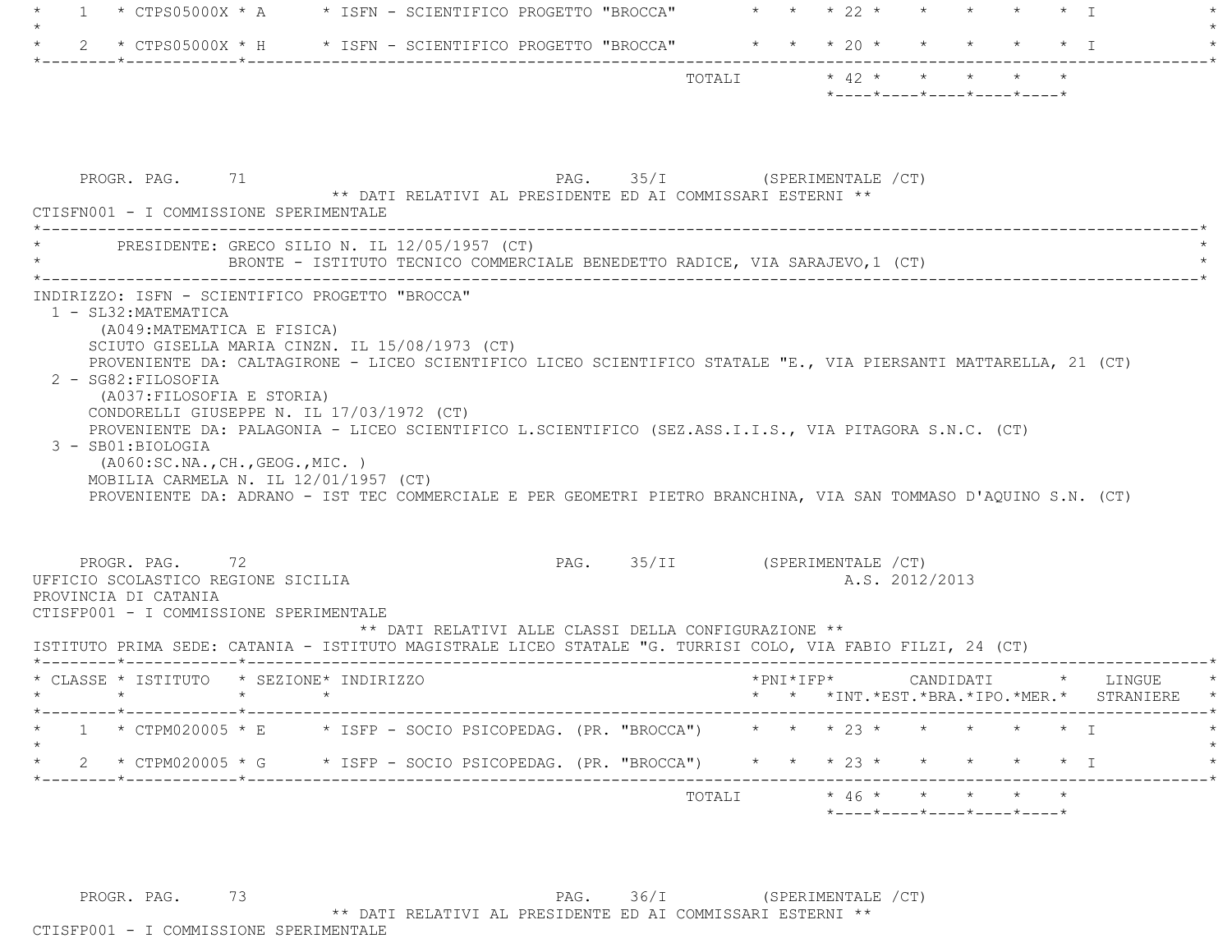| 1                                                                                                                      | * CTPS05000X * A $\quad$ * ISFN - SCIENTIFICO PROGETTO "BROCCA" $\quad$ * * * 22 * *                                                                                                                                            | $\star$ $\star$ $\star$ T                                                                                                                                                                                                            |
|------------------------------------------------------------------------------------------------------------------------|---------------------------------------------------------------------------------------------------------------------------------------------------------------------------------------------------------------------------------|--------------------------------------------------------------------------------------------------------------------------------------------------------------------------------------------------------------------------------------|
|                                                                                                                        | 2 * CTPS05000X * H * ISFN - SCIENTIFICO PROGETTO "BROCCA" * * * 20 *                                                                                                                                                            | $\star$ T                                                                                                                                                                                                                            |
|                                                                                                                        |                                                                                                                                                                                                                                 | $*$ - - - - $*$ - - - - $*$ - - - - $*$ - - - - $*$ - - - - $*$                                                                                                                                                                      |
| PROGR. PAG. 71<br>CTISFN001 - I COMMISSIONE SPERIMENTALE                                                               | ** DATI RELATIVI AL PRESIDENTE ED AI COMMISSARI ESTERNI **                                                                                                                                                                      | PAG. 35/I (SPERIMENTALE /CT)                                                                                                                                                                                                         |
|                                                                                                                        | PRESIDENTE: GRECO SILIO N. IL 12/05/1957 (CT)<br>BRONTE - ISTITUTO TECNICO COMMERCIALE BENEDETTO RADICE, VIA SARAJEVO, 1 (CT)                                                                                                   |                                                                                                                                                                                                                                      |
| 2 - SG82: FILOSOFIA<br>(A037: FILOSOFIA E STORIA)<br>3 - SB01:BIOLOGIA                                                 | CONDORELLI GIUSEPPE N. IL 17/03/1972 (CT)<br>PROVENIENTE DA: PALAGONIA - LICEO SCIENTIFICO L.SCIENTIFICO (SEZ.ASS.I.I.S., VIA PITAGORA S.N.C. (CT)<br>(AO60:SC.NA., CH., GEOG., MIC. )<br>MOBILIA CARMELA N. IL 12/01/1957 (CT) | PROVENIENTE DA: CALTAGIRONE - LICEO SCIENTIFICO LICEO SCIENTIFICO STATALE "E., VIA PIERSANTI MATTARELLA, 21 (CT)<br>PROVENIENTE DA: ADRANO - IST TEC COMMERCIALE E PER GEOMETRI PIETRO BRANCHINA, VIA SAN TOMMASO D'AQUINO S.N. (CT) |
| PROGR. PAG. 72<br>UFFICIO SCOLASTICO REGIONE SICILIA<br>PROVINCIA DI CATANIA<br>CTISFP001 - I COMMISSIONE SPERIMENTALE | ** DATI RELATIVI ALLE CLASSI DELLA CONFIGURAZIONE **<br>ISTITUTO PRIMA SEDE: CATANIA - ISTITUTO MAGISTRALE LICEO STATALE "G. TURRISI COLO, VIA FABIO FILZI, 24 (CT)                                                             | PAG. 35/II (SPERIMENTALE /CT)<br>A.S. 2012/2013                                                                                                                                                                                      |
|                                                                                                                        | * CLASSE * ISTITUTO * SEZIONE* INDIRIZZO                                                                                                                                                                                        | *PNI*IFP*<br>CANDIDATI * LINGUE<br>* * * *INT. *EST. *BRA. *IPO. *MER. * STRANIERE                                                                                                                                                   |
|                                                                                                                        |                                                                                                                                                                                                                                 | * CTPM020005 * E * ISFP - SOCIO PSICOPEDAG. (PR. "BROCCA") * * * 23 * * * * * * * I                                                                                                                                                  |
| ._____*____________*______________                                                                                     | 2 * CTPM020005 * G * ISFP - SOCIO PSICOPEDAG. (PR. "BROCCA")                                                                                                                                                                    | $\star$ $\star$ $\star$ 23 $\star$<br>$\star$ T                                                                                                                                                                                      |
|                                                                                                                        |                                                                                                                                                                                                                                 | $*$ 46 * * *<br>TOTALI                                                                                                                                                                                                               |

PROGR. PAG. 73 73 PAG. 36/I (SPERIMENTALE /CT) \*\* DATI RELATIVI AL PRESIDENTE ED AI COMMISSARI ESTERNI \*\* CTISFP001 - I COMMISSIONE SPERIMENTALE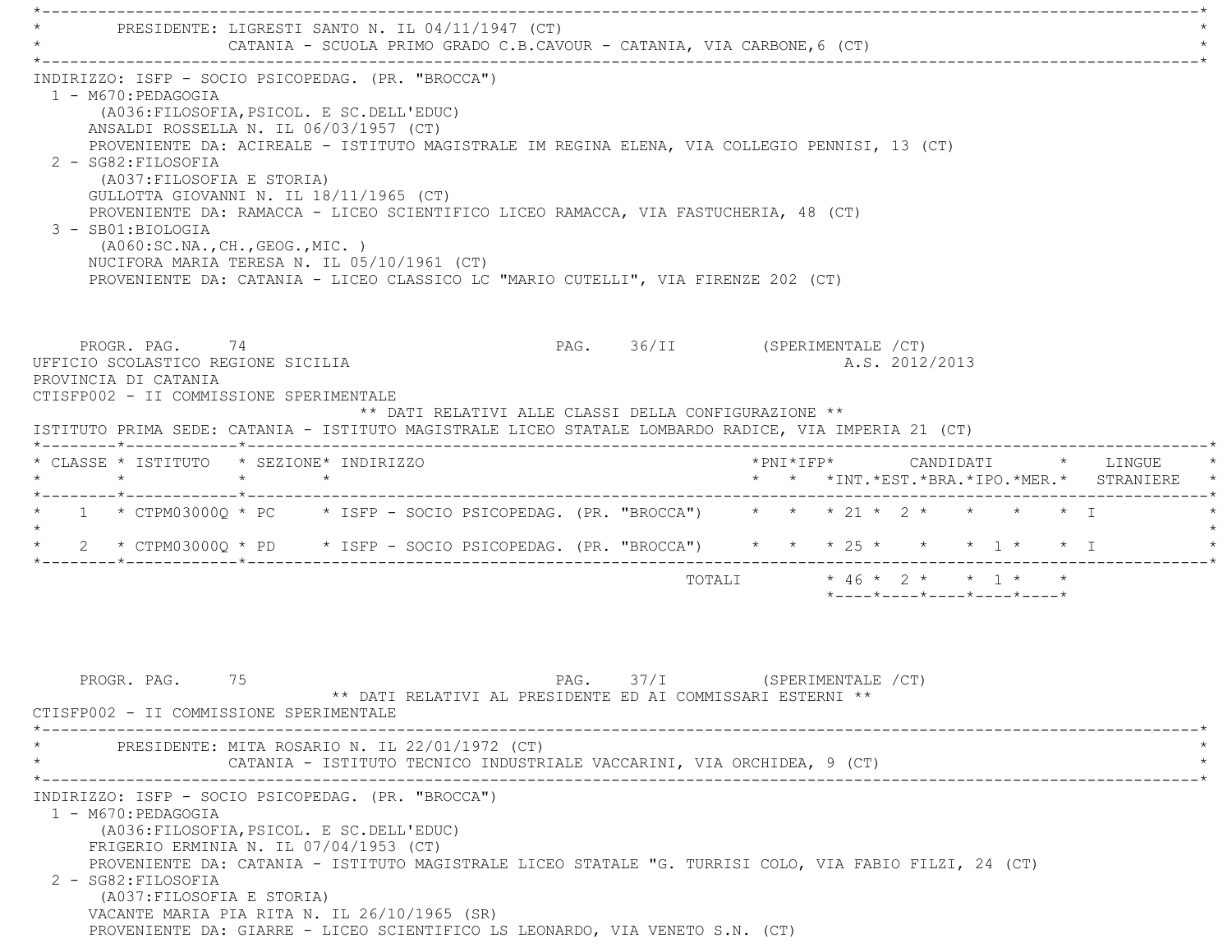\*----------------------------------------------------------------------------------------------------------------------------\*PRESIDENTE: LIGRESTI SANTO N. IL 04/11/1947 (CT) CATANIA - SCUOLA PRIMO GRADO C.B.CAVOUR - CATANIA, VIA CARBONE, 6 (CT) \*----------------------------------------------------------------------------------------------------------------------------\* INDIRIZZO: ISFP - SOCIO PSICOPEDAG. (PR. "BROCCA") 1 - M670:PEDAGOGIA (A036:FILOSOFIA,PSICOL. E SC.DELL'EDUC) ANSALDI ROSSELLA N. IL 06/03/1957 (CT) PROVENIENTE DA: ACIREALE - ISTITUTO MAGISTRALE IM REGINA ELENA, VIA COLLEGIO PENNISI, 13 (CT) 2 - SG82:FILOSOFIA (A037:FILOSOFIA E STORIA) GULLOTTA GIOVANNI N. IL 18/11/1965 (CT) PROVENIENTE DA: RAMACCA - LICEO SCIENTIFICO LICEO RAMACCA, VIA FASTUCHERIA, 48 (CT) 3 - SB01:BIOLOGIA (A060:SC.NA.,CH.,GEOG.,MIC. ) NUCIFORA MARIA TERESA N. IL 05/10/1961 (CT) PROVENIENTE DA: CATANIA - LICEO CLASSICO LC "MARIO CUTELLI", VIA FIRENZE 202 (CT) PROGR. PAG. 74 PAG. PAG. 36/II (SPERIMENTALE /CT) UFFICIO SCOLASTICO REGIONE SICILIA A.S. 2012/2013 PROVINCIA DI CATANIA CTISFP002 - II COMMISSIONE SPERIMENTALE \*\* DATI RELATIVI ALLE CLASSI DELLA CONFIGURAZIONE \*\* ISTITUTO PRIMA SEDE: CATANIA - ISTITUTO MAGISTRALE LICEO STATALE LOMBARDO RADICE, VIA IMPERIA 21 (CT) \*--------\*------------\*-------------------------------------------------------------------------------------------------------\* \* CLASSE \* ISTITUTO \* SEZIONE\* INDIRIZZO \*PNI\*IFP\* CANDIDATI \* LINGUE \* \* \* \* \* \* \* \*INT.\*EST.\*BRA.\*IPO.\*MER.\* STRANIERE \* \*--------\*------------\*-------------------------------------------------------------------------------------------------------\* \* 1 \* CTPM03000Q \* PC \* ISFP - SOCIO PSICOPEDAG. (PR. "BROCCA") \* \* \* 21 \* 2 \* \* \* \* I \*  $\star$ 2 \* CTPM03000Q \* PD \* ISFP - SOCIO PSICOPEDAG. (PR. "BROCCA") \* \* \* 25 \* \* \* \* \* I \* \* I \*--------\*------------\*-------------------------------------------------------------------------------------------------------\*TOTALI  $* 46 * 2 * * 1 * * *$ \*----\*----\*----\*----\*----\*

PROGR. PAG. 75 75 PAG. 37/I (SPERIMENTALE / CT) \*\* DATI RELATIVI AL PRESIDENTE ED AI COMMISSARI ESTERNI \*\* CTISFP002 - II COMMISSIONE SPERIMENTALE \*----------------------------------------------------------------------------------------------------------------------------\*PRESIDENTE: MITA ROSARIO N. IL 22/01/1972 (CT) CATANIA - ISTITUTO TECNICO INDUSTRIALE VACCARINI, VIA ORCHIDEA, 9 (CT) \*----------------------------------------------------------------------------------------------------------------------------\* INDIRIZZO: ISFP - SOCIO PSICOPEDAG. (PR. "BROCCA") 1 - M670:PEDAGOGIA (A036:FILOSOFIA,PSICOL. E SC.DELL'EDUC) FRIGERIO ERMINIA N. IL 07/04/1953 (CT) PROVENIENTE DA: CATANIA - ISTITUTO MAGISTRALE LICEO STATALE "G. TURRISI COLO, VIA FABIO FILZI, 24 (CT) 2 - SG82:FILOSOFIA (A037:FILOSOFIA E STORIA) VACANTE MARIA PIA RITA N. IL 26/10/1965 (SR) PROVENIENTE DA: GIARRE - LICEO SCIENTIFICO LS LEONARDO, VIA VENETO S.N. (CT)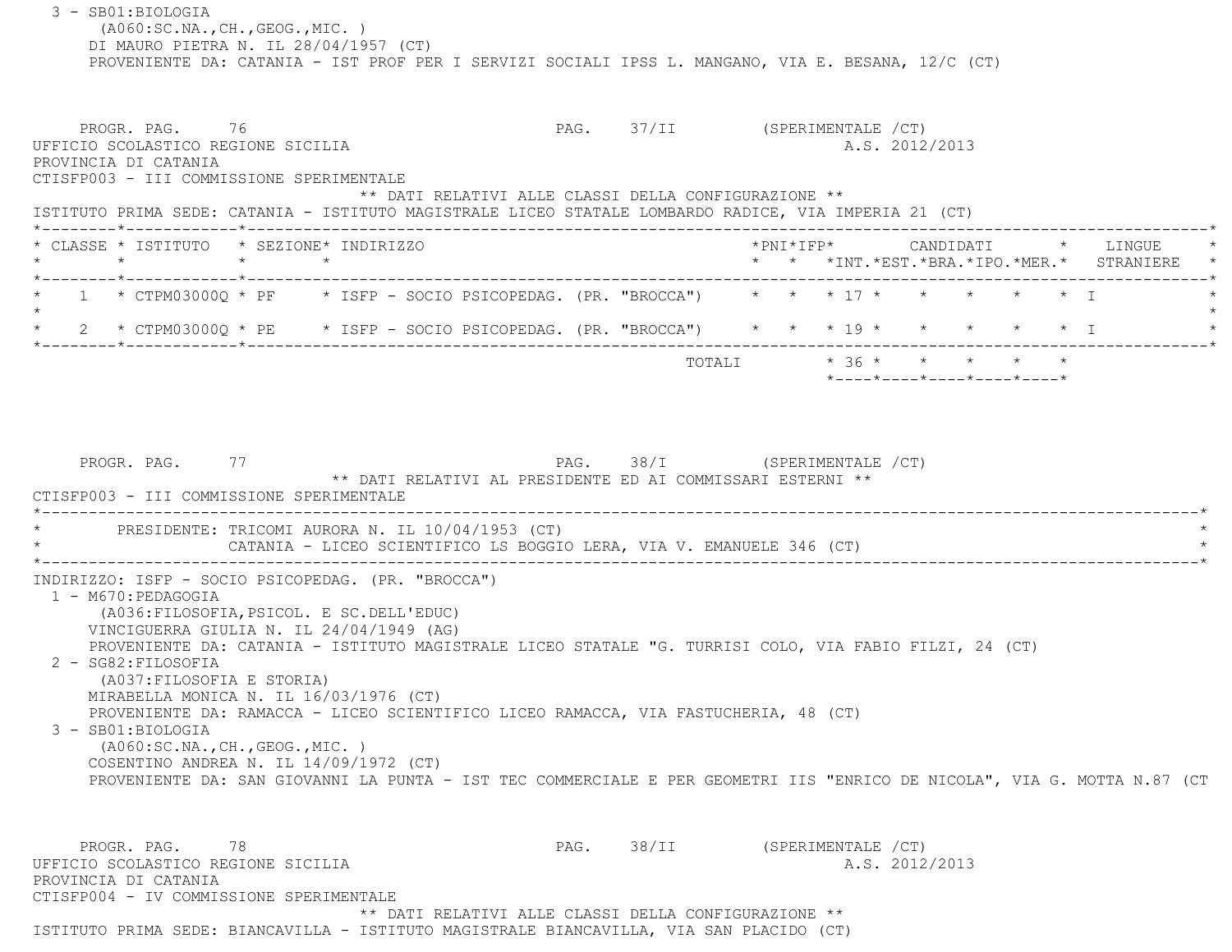3 - SB01:BIOLOGIA (A060:SC.NA.,CH.,GEOG.,MIC. ) DI MAURO PIETRA N. IL 28/04/1957 (CT) PROVENIENTE DA: CATANIA - IST PROF PER I SERVIZI SOCIALI IPSS L. MANGANO, VIA E. BESANA, 12/C (CT) PROGR. PAG. 76 76 PROGR. PAG. 37/II (SPERIMENTALE /CT) UFFICIO SCOLASTICO REGIONE SICILIA A.S. 2012/2013 PROVINCIA DI CATANIA CTISFP003 - III COMMISSIONE SPERIMENTALE \*\* DATI RELATIVI ALLE CLASSI DELLA CONFIGURAZIONE \*\* ISTITUTO PRIMA SEDE: CATANIA - ISTITUTO MAGISTRALE LICEO STATALE LOMBARDO RADICE, VIA IMPERIA 21 (CT) \*--------\*------------\*-------------------------------------------------------------------------------------------------------\*CLASSE \* ISTITUTO \* SEZIONE\* INDIRIZZO \*PNI\*IFP\* \* PNI\*IFP\* CANDIDATI \* LINGUE \* LINGUE \* \* LINGUE \* \* LINGUE \* \* \* \* \* \* \*INT.\*EST.\*BRA.\*IPO.\*MER.\* STRANIERE \* \*--------\*------------\*-------------------------------------------------------------------------------------------------------\* $1$  \* CTPM03000Q \* PF  $\rightarrow$  ISFP - SOCIO PSICOPEDAG. (PR. "BROCCA")  $\rightarrow$  \* \* \* 17 \* \* \* \* \* \* \* I  $\star$ 2 \* CTPM03000Q \* PE \* ISFP - SOCIO PSICOPEDAG. (PR. "BROCCA") \* \* \* 19 \* \* \* \* \* \* \* I \*--------\*------------\*-------------------------------------------------------------------------------------------------------\*TOTALI  $* 36 * * * * * * * * * *$  \*----\*----\*----\*----\*----\*PROGR. PAG. 77 PAG. 38/I (SPERIMENTALE /CT) \*\* DATI RELATIVI AL PRESIDENTE ED AI COMMISSARI ESTERNI \*\* CTISFP003 - III COMMISSIONE SPERIMENTALE \*----------------------------------------------------------------------------------------------------------------------------\*PRESIDENTE: TRICOMI AURORA N. IL 10/04/1953 (CT) CATANIA - LICEO SCIENTIFICO LS BOGGIO LERA, VIA V. EMANUELE 346 (CT) \*----------------------------------------------------------------------------------------------------------------------------\* INDIRIZZO: ISFP - SOCIO PSICOPEDAG. (PR. "BROCCA") 1 - M670:PEDAGOGIA (A036:FILOSOFIA,PSICOL. E SC.DELL'EDUC) VINCIGUERRA GIULIA N. IL 24/04/1949 (AG) PROVENIENTE DA: CATANIA - ISTITUTO MAGISTRALE LICEO STATALE "G. TURRISI COLO, VIA FABIO FILZI, 24 (CT) 2 - SG82:FILOSOFIA (A037:FILOSOFIA E STORIA) MIRABELLA MONICA N. IL 16/03/1976 (CT) PROVENIENTE DA: RAMACCA - LICEO SCIENTIFICO LICEO RAMACCA, VIA FASTUCHERIA, 48 (CT) 3 - SB01:BIOLOGIA (A060:SC.NA.,CH.,GEOG.,MIC. ) COSENTINO ANDREA N. IL 14/09/1972 (CT) PROVENIENTE DA: SAN GIOVANNI LA PUNTA - IST TEC COMMERCIALE E PER GEOMETRI IIS "ENRICO DE NICOLA", VIA G. MOTTA N.87 (CT PROGR. PAG. 78 78 PAG. 98/II (SPERIMENTALE /CT) UFFICIO SCOLASTICO REGIONE SICILIA A.S. 2012/2013 PROVINCIA DI CATANIA CTISFP004 - IV COMMISSIONE SPERIMENTALE\*\* DATI RELATIVI ALLE CLASSI DELLA CONFIGURAZIONE \*\*

ISTITUTO PRIMA SEDE: BIANCAVILLA - ISTITUTO MAGISTRALE BIANCAVILLA, VIA SAN PLACIDO (CT)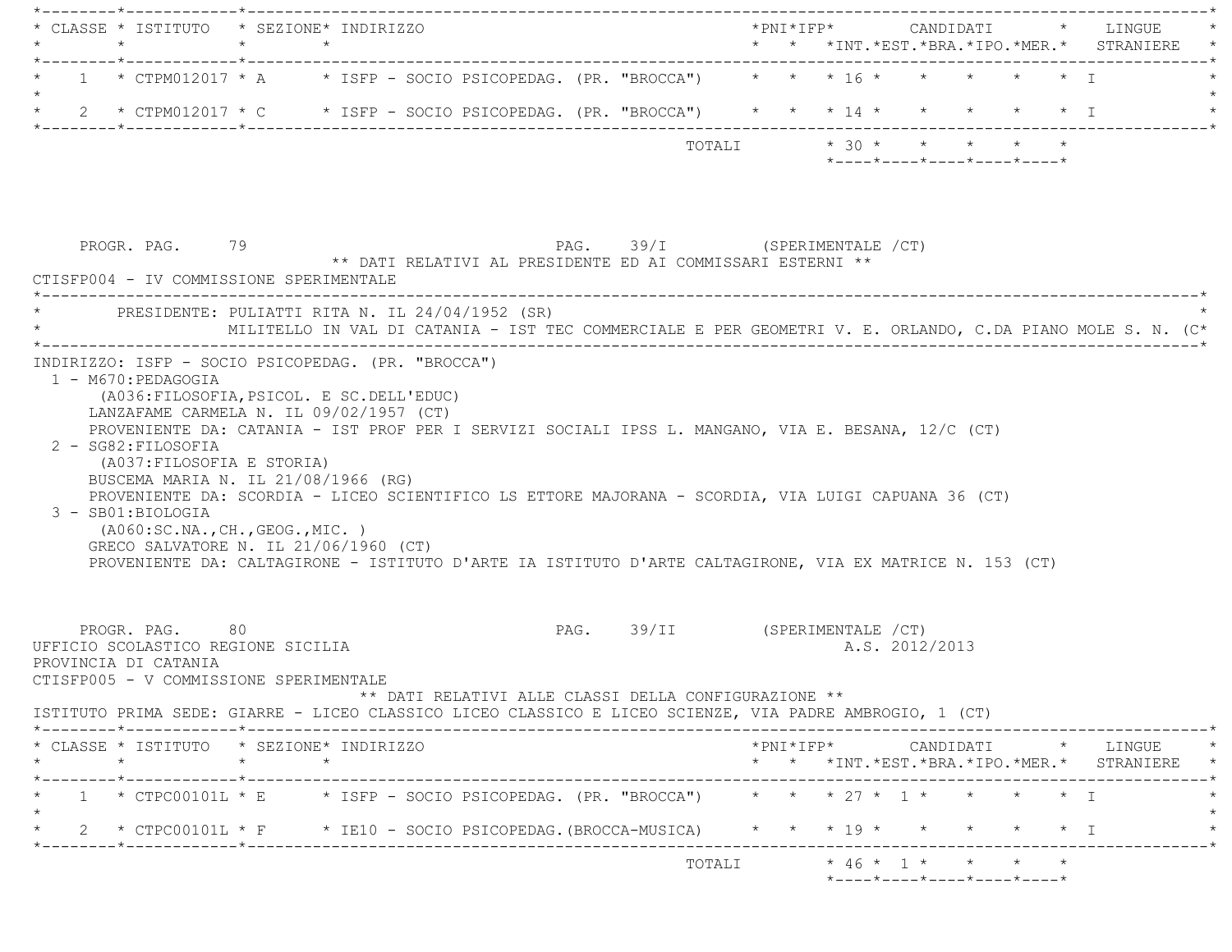|                                                                                                         | * CLASSE * ISTITUTO * SEZIONE* INDIRIZZO                                                                                                                                                                                                                                                                                                                                                                                                                                                                            |                    |  |                                                            |                               |                         |  |                |                                                  |  | *PNI*IFP*     CANDIDATI    *   LINGUE                                                                                                         |
|---------------------------------------------------------------------------------------------------------|---------------------------------------------------------------------------------------------------------------------------------------------------------------------------------------------------------------------------------------------------------------------------------------------------------------------------------------------------------------------------------------------------------------------------------------------------------------------------------------------------------------------|--------------------|--|------------------------------------------------------------|-------------------------------|-------------------------|--|----------------|--------------------------------------------------|--|-----------------------------------------------------------------------------------------------------------------------------------------------|
|                                                                                                         | 1 * CTPM012017 * A * ISFP - SOCIO PSICOPEDAG. (PR. "BROCCA") * * * 16 * * * * * * * T                                                                                                                                                                                                                                                                                                                                                                                                                               |                    |  |                                                            |                               |                         |  |                |                                                  |  |                                                                                                                                               |
|                                                                                                         | * 2 * CTPM012017 * C * ISFP - SOCIO PSICOPEDAG. (PR. "BROCCA") * * * 14 * * * * * * * I                                                                                                                                                                                                                                                                                                                                                                                                                             |                    |  |                                                            |                               |                         |  |                |                                                  |  |                                                                                                                                               |
|                                                                                                         |                                                                                                                                                                                                                                                                                                                                                                                                                                                                                                                     |                    |  |                                                            |                               | TOTALI * 30 * * * * * * |  |                | $*$ ---- $*$ ---- $*$ ---- $*$ ---- $*$ ---- $*$ |  |                                                                                                                                               |
|                                                                                                         | PROGR. PAG. 79<br>CTISFP004 - IV COMMISSIONE SPERIMENTALE                                                                                                                                                                                                                                                                                                                                                                                                                                                           |                    |  | ** DATI RELATIVI AL PRESIDENTE ED AI COMMISSARI ESTERNI ** | PAG. 39/I (SPERIMENTALE /CT)  |                         |  |                |                                                  |  |                                                                                                                                               |
|                                                                                                         | * PRESIDENTE: PULIATTI RITA N. IL 24/04/1952 (SR)                                                                                                                                                                                                                                                                                                                                                                                                                                                                   |                    |  |                                                            |                               |                         |  |                |                                                  |  | MILITELLO IN VAL DI CATANIA - IST TEC COMMERCIALE E PER GEOMETRI V. E. ORLANDO, C.DA PIANO MOLE S. N. (C*                                     |
|                                                                                                         | PROVENIENTE DA: CATANIA - IST PROF PER I SERVIZI SOCIALI IPSS L. MANGANO, VIA E. BESANA, 12/C (CT)<br>2 - SG82: FILOSOFIA<br>(A037:FILOSOFIA E STORIA)<br>BUSCEMA MARIA N. IL 21/08/1966 (RG)<br>PROVENIENTE DA: SCORDIA - LICEO SCIENTIFICO LS ETTORE MAJORANA - SCORDIA, VIA LUIGI CAPUANA 36 (CT)<br>3 - SB01:BIOLOGIA<br>( A060:SC.NA., CH., GEOG., MIC. )<br>GRECO SALVATORE N. IL 21/06/1960 (CT)<br>PROVENIENTE DA: CALTAGIRONE - ISTITUTO D'ARTE IA ISTITUTO D'ARTE CALTAGIRONE, VIA EX MATRICE N. 153 (CT) |                    |  |                                                            |                               |                         |  |                |                                                  |  |                                                                                                                                               |
|                                                                                                         | PROGR. PAG. 80<br>UFFICIO SCOLASTICO REGIONE SICILIA<br>PROVINCIA DI CATANIA<br>CTISFP005 - V COMMISSIONE SPERIMENTALE                                                                                                                                                                                                                                                                                                                                                                                              |                    |  | ** DATI RELATIVI ALLE CLASSI DELLA CONFIGURAZIONE **       | PAG. 39/II (SPERIMENTALE /CT) |                         |  | A.S. 2012/2013 |                                                  |  |                                                                                                                                               |
|                                                                                                         |                                                                                                                                                                                                                                                                                                                                                                                                                                                                                                                     |                    |  |                                                            |                               |                         |  |                |                                                  |  |                                                                                                                                               |
| ISTITUTO PRIMA SEDE: GIARRE - LICEO CLASSICO LICEO CLASSICO E LICEO SCIENZE, VIA PADRE AMBROGIO, 1 (CT) |                                                                                                                                                                                                                                                                                                                                                                                                                                                                                                                     |                    |  |                                                            |                               |                         |  |                |                                                  |  |                                                                                                                                               |
|                                                                                                         | * CLASSE * ISTITUTO * SEZIONE* INDIRIZZO<br>$\star$                                                                                                                                                                                                                                                                                                                                                                                                                                                                 | $\star$<br>$\star$ |  |                                                            |                               |                         |  |                |                                                  |  |                                                                                                                                               |
|                                                                                                         | 1 * CTPC00101L * E * ISFP - SOCIO PSICOPEDAG. (PR. "BROCCA") * * * 27 * 1 * * * * * * I                                                                                                                                                                                                                                                                                                                                                                                                                             |                    |  |                                                            |                               |                         |  |                |                                                  |  |                                                                                                                                               |
|                                                                                                         | 2 * CTPC00101L * F * IE10 - SOCIO PSICOPEDAG. (BROCCA-MUSICA) * * * * 19 * * * * * * * I                                                                                                                                                                                                                                                                                                                                                                                                                            |                    |  |                                                            |                               |                         |  |                |                                                  |  | $*PNI*IFP* \qquad \qquad \text{CANDIDATI} \qquad \qquad * \qquad \text{LINGUE} \qquad \qquad *$<br>* * *INT.*EST.*BRA.*IPO.*MER.* STRANIERE * |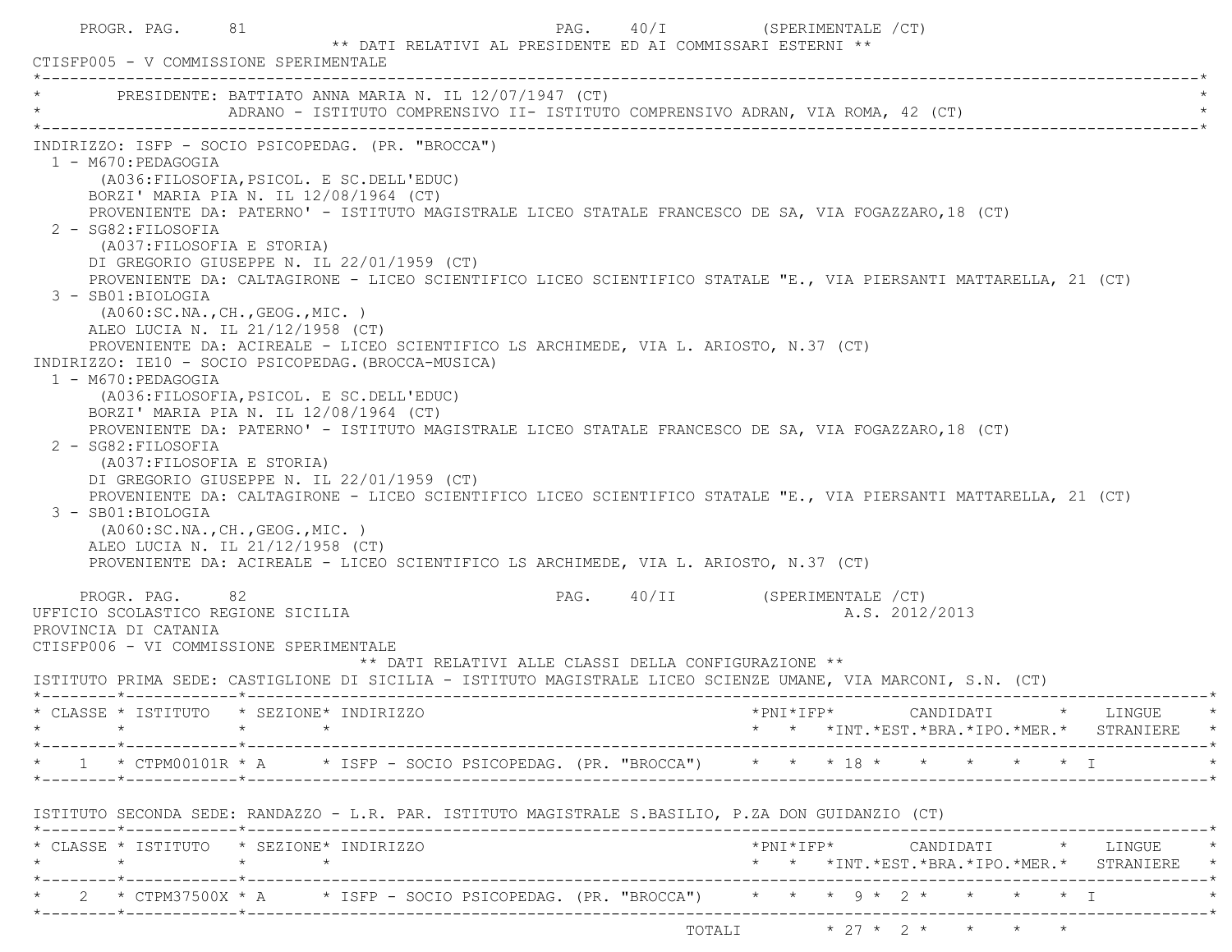| PROGR. PAG.<br>CTISFP005 - V COMMISSIONE SPERIMENTALE                                                                                                                                          | 81                                                                                                                                                                                                                                                                                                                                                                                                                                                                                                                                                                                                                                                                                                                     | ** DATI RELATIVI AL PRESIDENTE ED AI COMMISSARI ESTERNI ** | PAG. 40/I (SPERIMENTALE /CT)                                                                                                                                                                                                                                                                                                                                                                                                                         |
|------------------------------------------------------------------------------------------------------------------------------------------------------------------------------------------------|------------------------------------------------------------------------------------------------------------------------------------------------------------------------------------------------------------------------------------------------------------------------------------------------------------------------------------------------------------------------------------------------------------------------------------------------------------------------------------------------------------------------------------------------------------------------------------------------------------------------------------------------------------------------------------------------------------------------|------------------------------------------------------------|------------------------------------------------------------------------------------------------------------------------------------------------------------------------------------------------------------------------------------------------------------------------------------------------------------------------------------------------------------------------------------------------------------------------------------------------------|
|                                                                                                                                                                                                | PRESIDENTE: BATTIATO ANNA MARIA N. IL 12/07/1947 (CT)<br>ADRANO - ISTITUTO COMPRENSIVO II- ISTITUTO COMPRENSIVO ADRAN, VIA ROMA, 42 (CT)                                                                                                                                                                                                                                                                                                                                                                                                                                                                                                                                                                               |                                                            |                                                                                                                                                                                                                                                                                                                                                                                                                                                      |
| 1 - M670: PEDAGOGIA<br>2 - SG82: FILOSOFIA<br>(A037: FILOSOFIA E STORIA)<br>3 - SB01:BIOLOGIA<br>1 - M670: PEDAGOGIA<br>2 - SG82: FILOSOFIA<br>(A037: FILOSOFIA E STORIA)<br>3 - SB01:BIOLOGIA | INDIRIZZO: ISFP - SOCIO PSICOPEDAG. (PR. "BROCCA")<br>(A036: FILOSOFIA, PSICOL. E SC. DELL'EDUC)<br>BORZI' MARIA PIA N. IL 12/08/1964 (CT)<br>DI GREGORIO GIUSEPPE N. IL 22/01/1959 (CT)<br>( A060:SC.NA., CH., GEOG., MIC. )<br>ALEO LUCIA N. IL 21/12/1958 (CT)<br>PROVENIENTE DA: ACIREALE - LICEO SCIENTIFICO LS ARCHIMEDE, VIA L. ARIOSTO, N.37 (CT)<br>INDIRIZZO: IE10 - SOCIO PSICOPEDAG. (BROCCA-MUSICA)<br>(A036: FILOSOFIA, PSICOL. E SC. DELL'EDUC)<br>BORZI' MARIA PIA N. IL 12/08/1964 (CT)<br>DI GREGORIO GIUSEPPE N. IL 22/01/1959 (CT)<br>(AO60:SC.NA., CH., GEOG., MIC. )<br>ALEO LUCIA N. IL 21/12/1958 (CT)<br>PROVENIENTE DA: ACIREALE - LICEO SCIENTIFICO LS ARCHIMEDE, VIA L. ARIOSTO, N.37 (CT) |                                                            | PROVENIENTE DA: PATERNO' - ISTITUTO MAGISTRALE LICEO STATALE FRANCESCO DE SA, VIA FOGAZZARO, 18 (CT)<br>PROVENIENTE DA: CALTAGIRONE - LICEO SCIENTIFICO LICEO SCIENTIFICO STATALE "E., VIA PIERSANTI MATTARELLA, 21 (CT)<br>PROVENIENTE DA: PATERNO' - ISTITUTO MAGISTRALE LICEO STATALE FRANCESCO DE SA, VIA FOGAZZARO, 18 (CT)<br>PROVENIENTE DA: CALTAGIRONE - LICEO SCIENTIFICO LICEO SCIENTIFICO STATALE "E., VIA PIERSANTI MATTARELLA, 21 (CT) |
| PROGR. PAG. 82<br>UFFICIO SCOLASTICO REGIONE SICILIA<br>PROVINCIA DI CATANIA                                                                                                                   |                                                                                                                                                                                                                                                                                                                                                                                                                                                                                                                                                                                                                                                                                                                        |                                                            | PAG. 40/II (SPERIMENTALE / CT)<br>A.S. 2012/2013                                                                                                                                                                                                                                                                                                                                                                                                     |
| CTISFP006 - VI COMMISSIONE SPERIMENTALE                                                                                                                                                        |                                                                                                                                                                                                                                                                                                                                                                                                                                                                                                                                                                                                                                                                                                                        | ** DATI RELATIVI ALLE CLASSI DELLA CONFIGURAZIONE **       | ISTITUTO PRIMA SEDE: CASTIGLIONE DI SICILIA - ISTITUTO MAGISTRALE LICEO SCIENZE UMANE, VIA MARCONI, S.N. (CT)                                                                                                                                                                                                                                                                                                                                        |
|                                                                                                                                                                                                | * CLASSE * ISTITUTO * SEZIONE* INDIRIZZO<br>$\star$                                                                                                                                                                                                                                                                                                                                                                                                                                                                                                                                                                                                                                                                    |                                                            | *PNI*IFP* CANDIDATI * LINGUE *<br>* * *INT.*EST.*BRA.*IPO.*MER.* STRANIERE *                                                                                                                                                                                                                                                                                                                                                                         |
|                                                                                                                                                                                                |                                                                                                                                                                                                                                                                                                                                                                                                                                                                                                                                                                                                                                                                                                                        |                                                            | 1 * CTPM00101R * A $\quad$ * ISFP - SOCIO PSICOPEDAG. (PR. "BROCCA") $\quad$ * * * 18 * * * * * * * * I                                                                                                                                                                                                                                                                                                                                              |
|                                                                                                                                                                                                | ISTITUTO SECONDA SEDE: RANDAZZO - L.R. PAR. ISTITUTO MAGISTRALE S.BASILIO, P.ZA DON GUIDANZIO (CT)                                                                                                                                                                                                                                                                                                                                                                                                                                                                                                                                                                                                                     |                                                            |                                                                                                                                                                                                                                                                                                                                                                                                                                                      |
| $\star$                                                                                                                                                                                        | * CLASSE * ISTITUTO * SEZIONE* INDIRIZZO<br>$\star$ $\star$                                                                                                                                                                                                                                                                                                                                                                                                                                                                                                                                                                                                                                                            |                                                            | * * *INT.*EST.*BRA.*IPO.*MER.* STRANIERE *                                                                                                                                                                                                                                                                                                                                                                                                           |
|                                                                                                                                                                                                |                                                                                                                                                                                                                                                                                                                                                                                                                                                                                                                                                                                                                                                                                                                        |                                                            | * 2 * CTPM37500X * A * ISFP - SOCIO PSICOPEDAG. (PR. "BROCCA") * * * 9 * 2 * * * * * I                                                                                                                                                                                                                                                                                                                                                               |
|                                                                                                                                                                                                |                                                                                                                                                                                                                                                                                                                                                                                                                                                                                                                                                                                                                                                                                                                        |                                                            | TOTALI * 27 * 2 * * * * *                                                                                                                                                                                                                                                                                                                                                                                                                            |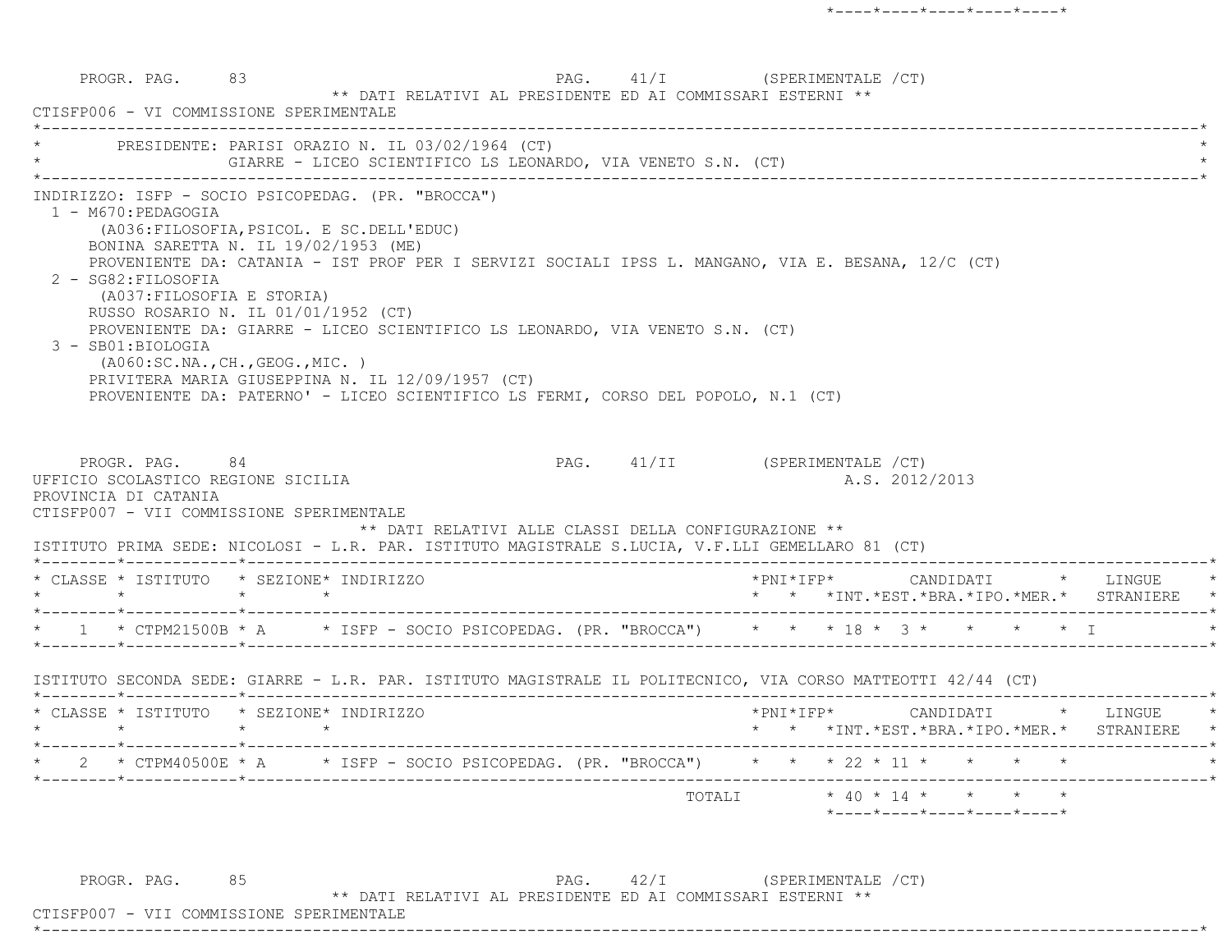PROGR. PAG. 83 PAG. 41/I (SPERIMENTALE /CT) \*\* DATI RELATIVI AL PRESIDENTE ED AI COMMISSARI ESTERNI \*\* CTISFP006 - VI COMMISSIONE SPERIMENTALE \*----------------------------------------------------------------------------------------------------------------------------\*PRESIDENTE: PARISI ORAZIO N. IL 03/02/1964 (CT) GIARRE - LICEO SCIENTIFICO LS LEONARDO, VIA VENETO S.N. (CT) \*----------------------------------------------------------------------------------------------------------------------------\* INDIRIZZO: ISFP - SOCIO PSICOPEDAG. (PR. "BROCCA") 1 - M670:PEDAGOGIA (A036:FILOSOFIA,PSICOL. E SC.DELL'EDUC) BONINA SARETTA N. IL 19/02/1953 (ME) PROVENIENTE DA: CATANIA - IST PROF PER I SERVIZI SOCIALI IPSS L. MANGANO, VIA E. BESANA, 12/C (CT) 2 - SG82:FILOSOFIA (A037:FILOSOFIA E STORIA) RUSSO ROSARIO N. IL 01/01/1952 (CT) PROVENIENTE DA: GIARRE - LICEO SCIENTIFICO LS LEONARDO, VIA VENETO S.N. (CT) 3 - SB01:BIOLOGIA (A060:SC.NA.,CH.,GEOG.,MIC. ) PRIVITERA MARIA GIUSEPPINA N. IL 12/09/1957 (CT) PROVENIENTE DA: PATERNO' - LICEO SCIENTIFICO LS FERMI, CORSO DEL POPOLO, N.1 (CT) PROGR. PAG. 84 84 PAG. 41/II (SPERIMENTALE /CT) UFFICIO SCOLASTICO REGIONE SICILIA A.S. 2012/2013 PROVINCIA DI CATANIA CTISFP007 - VII COMMISSIONE SPERIMENTALE \*\* DATI RELATIVI ALLE CLASSI DELLA CONFIGURAZIONE \*\* ISTITUTO PRIMA SEDE: NICOLOSI - L.R. PAR. ISTITUTO MAGISTRALE S.LUCIA, V.F.LLI GEMELLARO 81 (CT) \*--------\*------------\*-------------------------------------------------------------------------------------------------------\* \* CLASSE \* ISTITUTO \* SEZIONE\* INDIRIZZO \*PNI\*IFP\* CANDIDATI \* LINGUE \* \* \* \* \* \* \* \*INT.\*EST.\*BRA.\*IPO.\*MER.\* STRANIERE \* \*--------\*------------\*-------------------------------------------------------------------------------------------------------\*\* 1 \* CTPM21500B \* A \* ISFP - SOCIO PSICOPEDAG. (PR. "BROCCA") \* \* \* 18 \* 3 \* \* \* \* \* \* T \*--------\*------------\*-------------------------------------------------------------------------------------------------------\* ISTITUTO SECONDA SEDE: GIARRE - L.R. PAR. ISTITUTO MAGISTRALE IL POLITECNICO, VIA CORSO MATTEOTTI 42/44 (CT) \*--------\*------------\*-------------------------------------------------------------------------------------------------------\* \* CLASSE \* ISTITUTO \* SEZIONE\* INDIRIZZO \*PNI\*IFP\* CANDIDATI \* LINGUE \* \* \* \* \* \* \* \*INT.\*EST.\*BRA.\*IPO.\*MER.\* STRANIERE \* \*--------\*------------\*-------------------------------------------------------------------------------------------------------\*\* 2 \* CTPM40500E \* A \* ISFP - SOCIO PSICOPEDAG. (PR. "BROCCA") \* \* \* 22 \* 11 \* \* \* \* \* \*--------\*------------\*-------------------------------------------------------------------------------------------------------\* $\texttt{TOTAL} \qquad \qquad \star \; \; 40 \; \star \; \; 14 \; \star \qquad \star \qquad \star \qquad \star \qquad \star$ \*----\*----\*----\*----\*----\*

PROGR. PAG. 85 85 PAG. 42/I (SPERIMENTALE / CT)

\*\* DATI RELATIVI AL PRESIDENTE ED AI COMMISSARI ESTERNI \*\*

\*----------------------------------------------------------------------------------------------------------------------------\*

CTISFP007 - VII COMMISSIONE SPERIMENTALE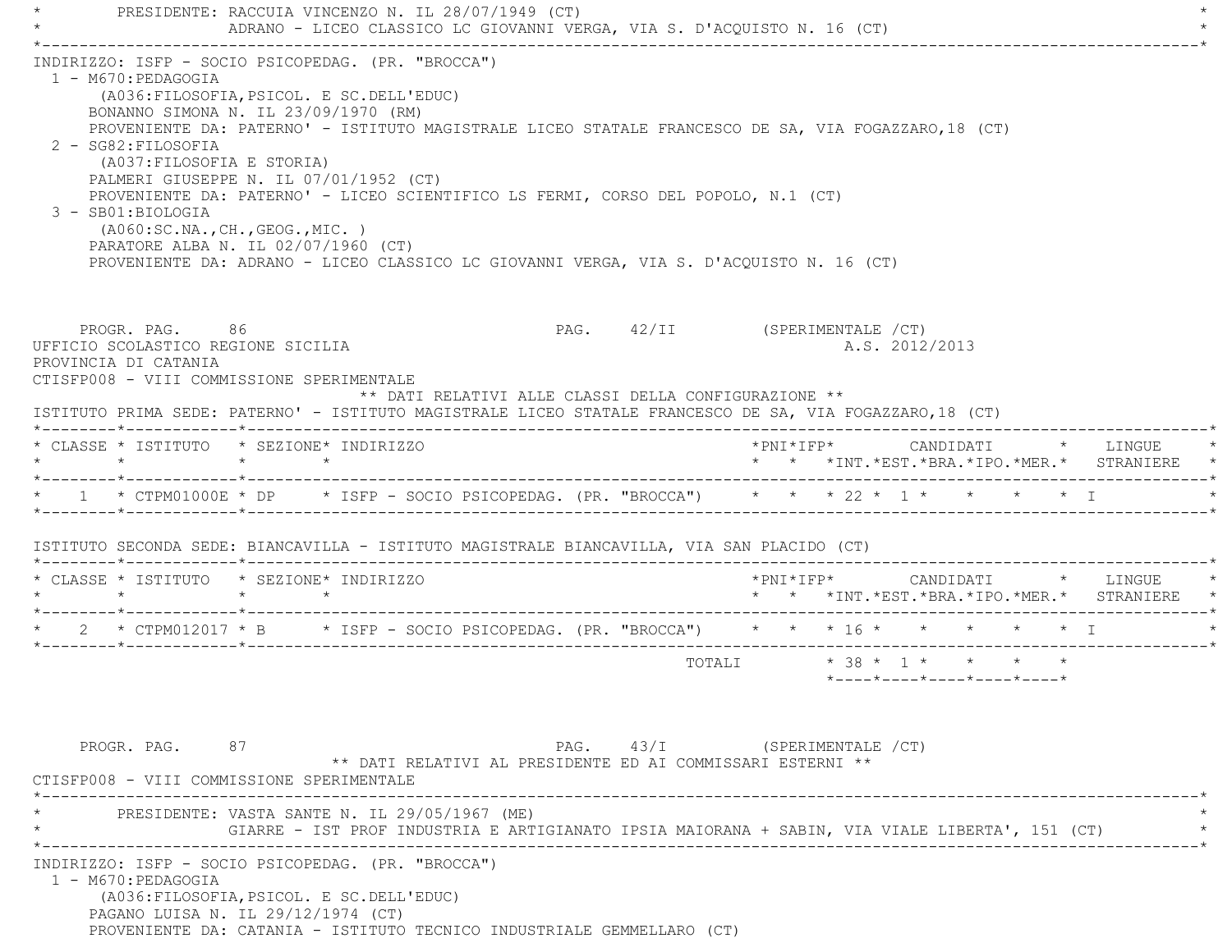PRESIDENTE: RACCUIA VINCENZO N. IL 28/07/1949 (CT) ADRANO - LICEO CLASSICO LC GIOVANNI VERGA, VIA S. D'ACQUISTO N. 16 (CT) \*----------------------------------------------------------------------------------------------------------------------------\* INDIRIZZO: ISFP - SOCIO PSICOPEDAG. (PR. "BROCCA") 1 - M670:PEDAGOGIA (A036:FILOSOFIA,PSICOL. E SC.DELL'EDUC) BONANNO SIMONA N. IL 23/09/1970 (RM) PROVENIENTE DA: PATERNO' - ISTITUTO MAGISTRALE LICEO STATALE FRANCESCO DE SA, VIA FOGAZZARO,18 (CT) 2 - SG82:FILOSOFIA (A037:FILOSOFIA E STORIA) PALMERI GIUSEPPE N. IL 07/01/1952 (CT) PROVENIENTE DA: PATERNO' - LICEO SCIENTIFICO LS FERMI, CORSO DEL POPOLO, N.1 (CT) 3 - SB01:BIOLOGIA (A060:SC.NA.,CH.,GEOG.,MIC. ) PARATORE ALBA N. IL 02/07/1960 (CT) PROVENIENTE DA: ADRANO - LICEO CLASSICO LC GIOVANNI VERGA, VIA S. D'ACQUISTO N. 16 (CT) PROGR. PAG. 86 PAG. 42/II (SPERIMENTALE /CT) UFFICIO SCOLASTICO REGIONE SICILIA A.S. 2012/2013 PROVINCIA DI CATANIA CTISFP008 - VIII COMMISSIONE SPERIMENTALE \*\* DATI RELATIVI ALLE CLASSI DELLA CONFIGURAZIONE \*\* ISTITUTO PRIMA SEDE: PATERNO' - ISTITUTO MAGISTRALE LICEO STATALE FRANCESCO DE SA, VIA FOGAZZARO,18 (CT) \*--------\*------------\*-------------------------------------------------------------------------------------------------------\* \* CLASSE \* ISTITUTO \* SEZIONE\* INDIRIZZO \*PNI\*IFP\* CANDIDATI \* LINGUE \* \* \* \* \* \* \* \*INT.\*EST.\*BRA.\*IPO.\*MER.\* STRANIERE \* \*--------\*------------\*-------------------------------------------------------------------------------------------------------\*1 \* CTPM01000E \* DP \* ISFP - SOCIO PSICOPEDAG. (PR. "BROCCA") \* \* \* 22 \* 1 \* \* \* \* \* \* I \*--------\*------------\*-------------------------------------------------------------------------------------------------------\* ISTITUTO SECONDA SEDE: BIANCAVILLA - ISTITUTO MAGISTRALE BIANCAVILLA, VIA SAN PLACIDO (CT) \*--------\*------------\*-------------------------------------------------------------------------------------------------------\* \* CLASSE \* ISTITUTO \* SEZIONE\* INDIRIZZO \*PNI\*IFP\* CANDIDATI \* LINGUE \* \* \* \* \* \* \* \*INT.\*EST.\*BRA.\*IPO.\*MER.\* STRANIERE \* \*--------\*------------\*-------------------------------------------------------------------------------------------------------\*2 \* CTPM012017 \* B \* ISFP - SOCIO PSICOPEDAG. (PR. "BROCCA") \* \* \* 16 \* \* \* \* \* \* \* \* \* \*--------\*------------\*-------------------------------------------------------------------------------------------------------\*TOTALI  $* 38 * 1 * * * * * * *$  \*----\*----\*----\*----\*----\*PROGR. PAG. 87 87 PAG. 43/I (SPERIMENTALE 2T) \*\* DATI RELATIVI AL PRESIDENTE ED AI COMMISSARI ESTERNI \*\* CTISFP008 - VIII COMMISSIONE SPERIMENTALE \*----------------------------------------------------------------------------------------------------------------------------\*PRESIDENTE: VASTA SANTE N. IL 29/05/1967 (ME) \* GIARRE - IST PROF INDUSTRIA E ARTIGIANATO IPSIA MAIORANA + SABIN, VIA VIALE LIBERTA', 151 (CT) \* \*----------------------------------------------------------------------------------------------------------------------------\* INDIRIZZO: ISFP - SOCIO PSICOPEDAG. (PR. "BROCCA") 1 - M670:PEDAGOGIA (A036:FILOSOFIA,PSICOL. E SC.DELL'EDUC) PAGANO LUISA N. IL 29/12/1974 (CT) PROVENIENTE DA: CATANIA - ISTITUTO TECNICO INDUSTRIALE GEMMELLARO (CT)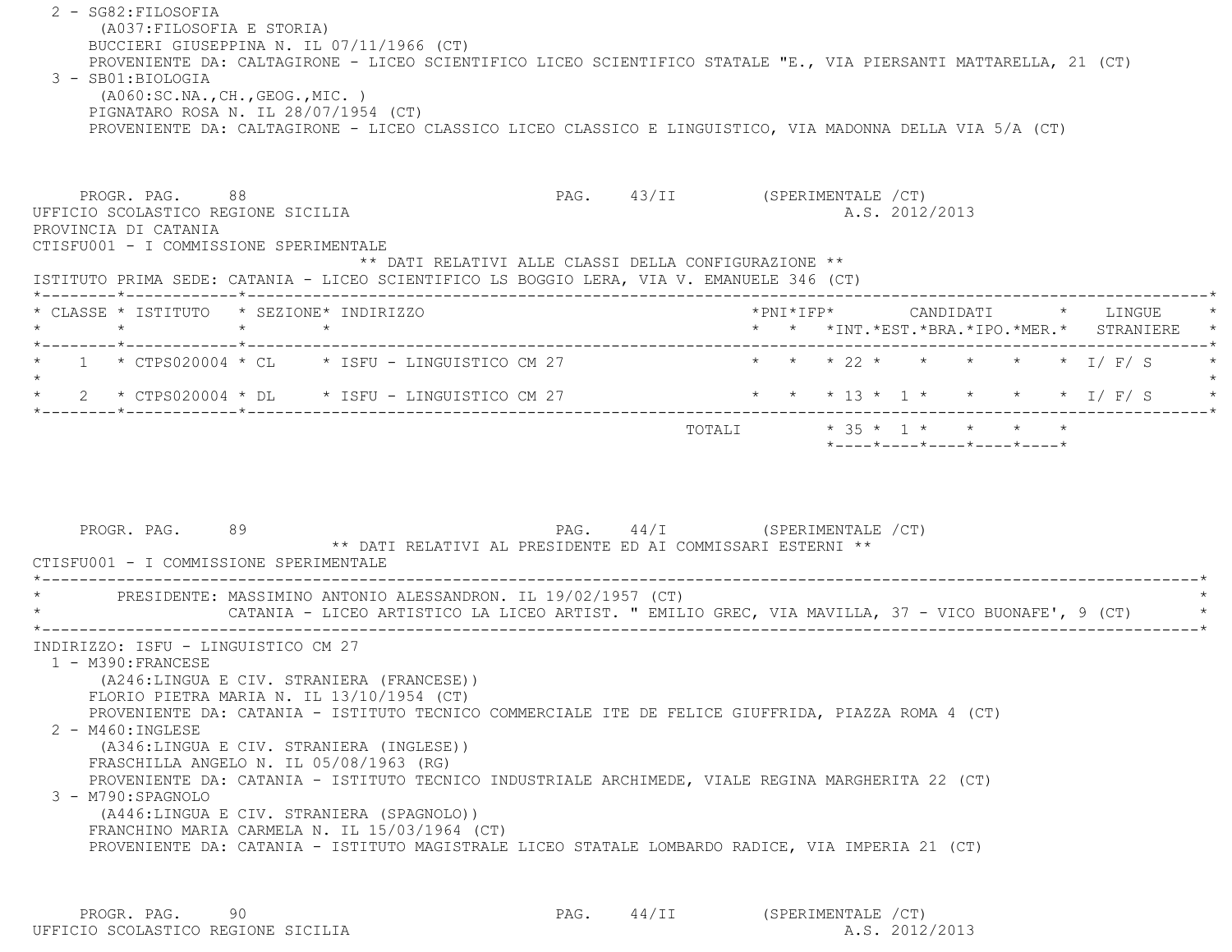2 - SG82:FILOSOFIA (A037:FILOSOFIA E STORIA) BUCCIERI GIUSEPPINA N. IL 07/11/1966 (CT) PROVENIENTE DA: CALTAGIRONE - LICEO SCIENTIFICO LICEO SCIENTIFICO STATALE "E., VIA PIERSANTI MATTARELLA, 21 (CT) 3 - SB01:BIOLOGIA (A060:SC.NA.,CH.,GEOG.,MIC. ) PIGNATARO ROSA N. IL 28/07/1954 (CT) PROVENIENTE DA: CALTAGIRONE - LICEO CLASSICO LICEO CLASSICO E LINGUISTICO, VIA MADONNA DELLA VIA 5/A (CT) PROGR. PAG. 88 8 PAG. 43/II (SPERIMENTALE /CT) UFFICIO SCOLASTICO REGIONE SICILIA A.S. 2012/2013 PROVINCIA DI CATANIA CTISFU001 - I COMMISSIONE SPERIMENTALE \*\* DATI RELATIVI ALLE CLASSI DELLA CONFIGURAZIONE \*\* ISTITUTO PRIMA SEDE: CATANIA - LICEO SCIENTIFICO LS BOGGIO LERA, VIA V. EMANUELE 346 (CT) \*--------\*------------\*-------------------------------------------------------------------------------------------------------\* \* CLASSE \* ISTITUTO \* SEZIONE\* INDIRIZZO \*PNI\*IFP\* CANDIDATI \* LINGUE \* \* \* \* \* \* \* \*INT.\*EST.\*BRA.\*IPO.\*MER.\* STRANIERE \* \*--------\*------------\*-------------------------------------------------------------------------------------------------------\*1 \* CTPS020004 \* CL \* ISFU - LINGUISTICO CM 27 \* \* \* \* 22 \* \* \* \* \* \* \* 1/ F/ S  $\star$ \* 2 \* CTPS020004 \* DL \* ISFU - LINGUISTICO CM 27 \* \* \* \* 13 \* 1 \* \* \* \* \* \* \* I/ F/ S \*--------\*------------\*-------------------------------------------------------------------------------------------------------\*TOTALI  $* 35 * 1 * * * * * * * *$  \*----\*----\*----\*----\*----\*PROGR. PAG. 89 88 PAG. 44/I (SPERIMENTALE /CT) \*\* DATI RELATIVI AL PRESIDENTE ED AI COMMISSARI ESTERNI \*\* CTISFU001 - I COMMISSIONE SPERIMENTALE \*----------------------------------------------------------------------------------------------------------------------------\*PRESIDENTE: MASSIMINO ANTONIO ALESSANDRON. IL 19/02/1957 (CT) CATANIA - LICEO ARTISTICO LA LICEO ARTIST. " EMILIO GREC, VIA MAVILLA, 37 - VICO BUONAFE', 9 (CT) \*----------------------------------------------------------------------------------------------------------------------------\* INDIRIZZO: ISFU - LINGUISTICO CM 27 1 - M390:FRANCESE (A246:LINGUA E CIV. STRANIERA (FRANCESE)) FLORIO PIETRA MARIA N. IL 13/10/1954 (CT) PROVENIENTE DA: CATANIA - ISTITUTO TECNICO COMMERCIALE ITE DE FELICE GIUFFRIDA, PIAZZA ROMA 4 (CT) 2 - M460:INGLESE (A346:LINGUA E CIV. STRANIERA (INGLESE)) FRASCHILLA ANGELO N. IL 05/08/1963 (RG) PROVENIENTE DA: CATANIA - ISTITUTO TECNICO INDUSTRIALE ARCHIMEDE, VIALE REGINA MARGHERITA 22 (CT) 3 - M790:SPAGNOLO (A446:LINGUA E CIV. STRANIERA (SPAGNOLO)) FRANCHINO MARIA CARMELA N. IL 15/03/1964 (CT) PROVENIENTE DA: CATANIA - ISTITUTO MAGISTRALE LICEO STATALE LOMBARDO RADICE, VIA IMPERIA 21 (CT)

PROGR. PAG. 90 90 PAG. 44/II (SPERIMENTALE /CT) UFFICIO SCOLASTICO REGIONE SICILIA A.S. 2012/2013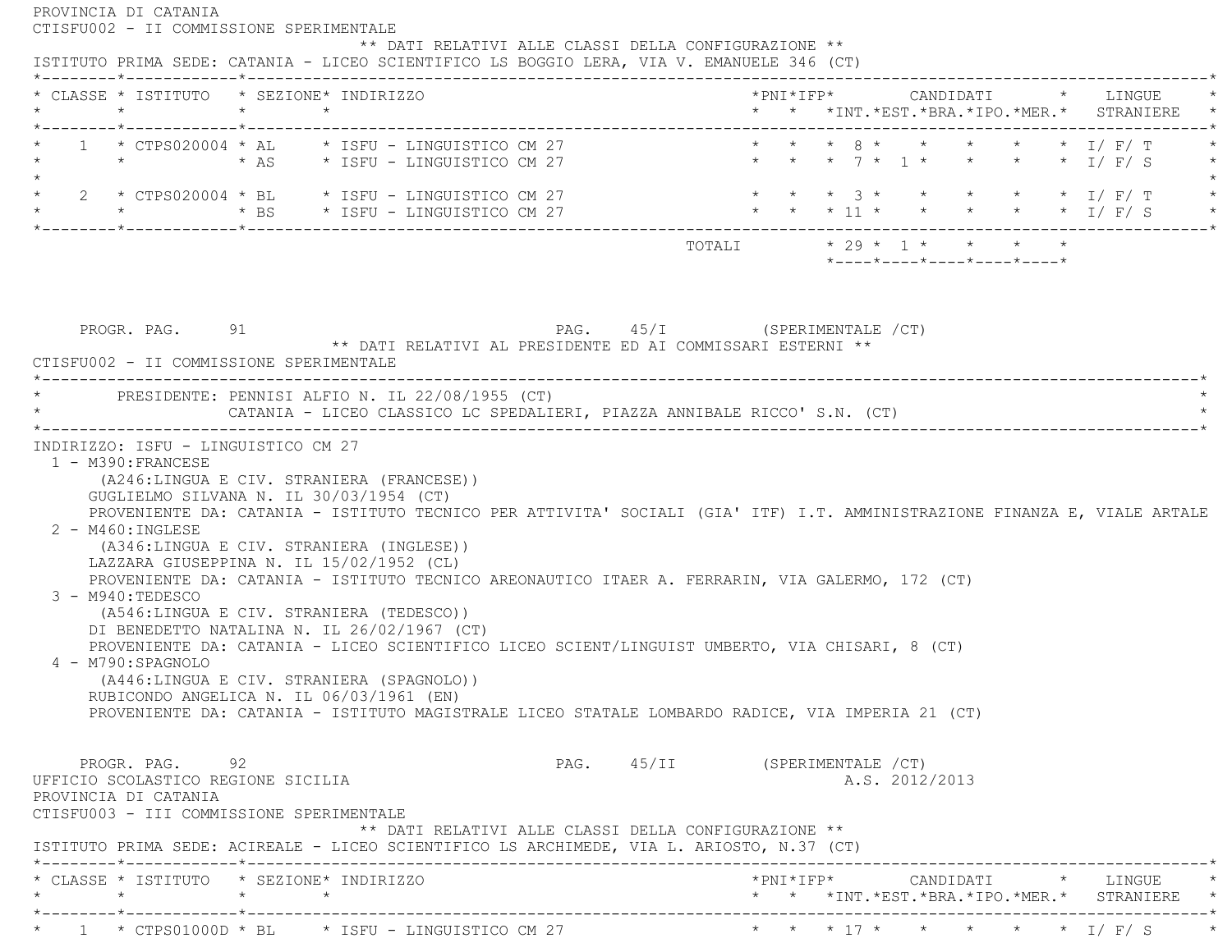| * CLASSE * ISTITUTO * SEZIONE* INDIRIZZO<br>$\star$ $\qquad$ $\star$<br>$\star$                                                                                                                                                                                                                               | * * *INT. *EST. *BRA. *IPO. *MER. * STRANIERE                                                                                                                                                                               |
|---------------------------------------------------------------------------------------------------------------------------------------------------------------------------------------------------------------------------------------------------------------------------------------------------------------|-----------------------------------------------------------------------------------------------------------------------------------------------------------------------------------------------------------------------------|
| $1 \times CTPS020004 \times AL \times ISFU - LINGUISTICO CM 27$                                                                                                                                                                                                                                               | * * * 8 * * * * * * I/ F/ T<br>* * * 7 * 1 * * * * * I/F/S                                                                                                                                                                  |
| 2 * CTPS020004 * BL     * ISFU - LINGUISTICO CM 27                                                                                                                                                                                                                                                            | * * * 3 * * * * * * I/F/T<br>* * * 11 * * * * * * 1/ F/ S                                                                                                                                                                   |
|                                                                                                                                                                                                                                                                                                               | TOTALI * 29 * 1 * * * * *<br>*----*----*----*----*----*                                                                                                                                                                     |
| CATANIA - LICEO CLASSICO LC SPEDALIERI, PIAZZA ANNIBALE RICCO' S.N. (CT)                                                                                                                                                                                                                                      |                                                                                                                                                                                                                             |
| (A246:LINGUA E CIV. STRANIERA (FRANCESE))<br>GUGLIELMO SILVANA N. IL 30/03/1954 (CT)                                                                                                                                                                                                                          |                                                                                                                                                                                                                             |
| (A346:LINGUA E CIV. STRANIERA (INGLESE))<br>LAZZARA GIUSEPPINA N. IL 15/02/1952 (CL)                                                                                                                                                                                                                          | PROVENIENTE DA: CATANIA - ISTITUTO TECNICO PER ATTIVITA' SOCIALI (GIA' ITF) I.T. AMMINISTRAZIONE FINANZA E, VIALE ARTALE<br>PROVENIENTE DA: CATANIA - ISTITUTO TECNICO AREONAUTICO ITAER A. FERRARIN, VIA GALERMO, 172 (CT) |
| (A546:LINGUA E CIV. STRANIERA (TEDESCO))<br>DI BENEDETTO NATALINA N. IL 26/02/1967 (CT)<br>PROVENIENTE DA: CATANIA - LICEO SCIENTIFICO LICEO SCIENT/LINGUIST UMBERTO, VIA CHISARI, 8 (CT)<br>(A446:LINGUA E CIV. STRANIERA (SPAGNOLO))<br>RUBICONDO ANGELICA N. IL 06/03/1961 (EN)                            | PROVENIENTE DA: CATANIA - ISTITUTO MAGISTRALE LICEO STATALE LOMBARDO RADICE, VIA IMPERIA 21 (CT)                                                                                                                            |
| * PRESIDENTE: PENNISI ALFIO N. IL 22/08/1955 (CT)<br>INDIRIZZO: ISFU - LINGUISTICO CM 27<br>1 - M390: FRANCESE<br>$2 - M460$ : INGLESE<br>3 - M940: TEDESCO<br>4 - M790: SPAGNOLO<br>PROGR. PAG. 92<br>UFFICIO SCOLASTICO REGIONE SICILIA<br>PROVINCIA DI CATANIA<br>CTISFU003 - III COMMISSIONE SPERIMENTALE | PAG. 45/II (SPERIMENTALE / CT)<br>A.S. 2012/2013<br>** DATI RELATIVI ALLE CLASSI DELLA CONFIGURAZIONE **                                                                                                                    |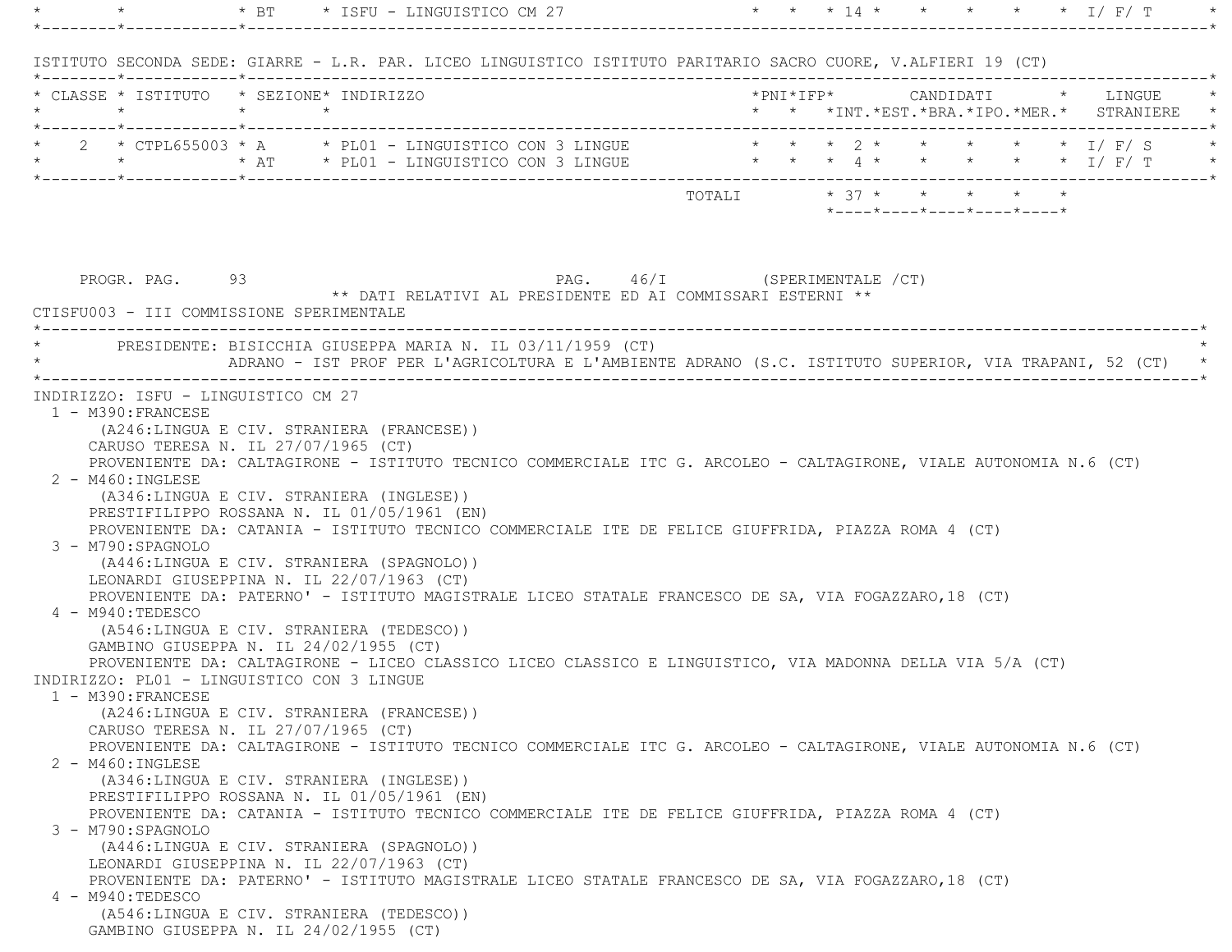| $\star$ $\star$ |                                                                                                                                                                                                                                                                                                                                                |         |         | * BT * ISFU - LINGUISTICO CM 27 |                                                                                                         |                             |                            |  |  | * * * 14 * * * * * * 1/ F/ T                                                  |
|-----------------|------------------------------------------------------------------------------------------------------------------------------------------------------------------------------------------------------------------------------------------------------------------------------------------------------------------------------------------------|---------|---------|---------------------------------|---------------------------------------------------------------------------------------------------------|-----------------------------|----------------------------|--|--|-------------------------------------------------------------------------------|
|                 | ISTITUTO SECONDA SEDE: GIARRE - L.R. PAR. LICEO LINGUISTICO ISTITUTO PARITARIO SACRO CUORE, V.ALFIERI 19 (CT)                                                                                                                                                                                                                                  |         |         |                                 |                                                                                                         |                             |                            |  |  |                                                                               |
|                 | * CLASSE * ISTITUTO * SEZIONE* INDIRIZZO<br>$\star$ $\sim$                                                                                                                                                                                                                                                                                     | $\star$ | $\star$ |                                 |                                                                                                         |                             |                            |  |  | *PNI*IFP* CANDIDATI * LINGUE<br>* * *INT. *EST. *BRA. *IPO. *MER. * STRANIERE |
|                 | 2 * CTPL655003 * A * PL01 - LINGUISTICO CON 3 LINGUE<br>* * * * AT * PLO1 - LINGUISTICO CON 3 LINGUE * * * 4 * * * * * * * I/ F/ T                                                                                                                                                                                                             |         |         |                                 |                                                                                                         |                             |                            |  |  | * * * 2 * * * * * * I/F/S                                                     |
|                 |                                                                                                                                                                                                                                                                                                                                                |         |         |                                 |                                                                                                         | TOTALI $* 37 * * * * * * *$ | *----*----*----*----*----* |  |  |                                                                               |
|                 | PROGR. PAG. 93<br>CTISFU003 - III COMMISSIONE SPERIMENTALE<br>PRESIDENTE: BISICCHIA GIUSEPPA MARIA N. IL 03/11/1959 (CT)                                                                                                                                                                                                                       |         |         |                                 | PAG. 46/I (SPERIMENTALE /CT)<br>** DATI RELATIVI AL PRESIDENTE ED AI COMMISSARI ESTERNI **              |                             |                            |  |  |                                                                               |
|                 |                                                                                                                                                                                                                                                                                                                                                |         |         |                                 | ADRANO - IST PROF PER L'AGRICOLTURA E L'AMBIENTE ADRANO (S.C. ISTITUTO SUPERIOR, VIA TRAPANI, 52 (CT) * |                             |                            |  |  |                                                                               |
|                 | PROVENIENTE DA: CATANIA - ISTITUTO TECNICO COMMERCIALE ITE DE FELICE GIUFFRIDA, PIAZZA ROMA 4 (CT)<br>3 - M790: SPAGNOLO<br>(A446:LINGUA E CIV. STRANIERA (SPAGNOLO))<br>LEONARDI GIUSEPPINA N. IL 22/07/1963 (CT)<br>PROVENIENTE DA: PATERNO' - ISTITUTO MAGISTRALE LICEO STATALE FRANCESCO DE SA, VIA FOGAZZARO, 18 (CT)<br>4 - M940:TEDESCO |         |         |                                 |                                                                                                         |                             |                            |  |  |                                                                               |
|                 | (A546:LINGUA E CIV. STRANIERA (TEDESCO))<br>GAMBINO GIUSEPPA N. IL 24/02/1955 (CT)<br>PROVENIENTE DA: CALTAGIRONE - LICEO CLASSICO LICEO CLASSICO E LINGUISTICO, VIA MADONNA DELLA VIA 5/A (CT)<br>INDIRIZZO: PL01 - LINGUISTICO CON 3 LINGUE                                                                                                  |         |         |                                 |                                                                                                         |                             |                            |  |  |                                                                               |
|                 | 1 - M390:FRANCESE<br>(A246:LINGUA E CIV. STRANIERA (FRANCESE))<br>CARUSO TERESA N. IL 27/07/1965 (CT)<br>PROVENIENTE DA: CALTAGIRONE - ISTITUTO TECNICO COMMERCIALE ITC G. ARCOLEO - CALTAGIRONE, VIALE AUTONOMIA N.6 (CT)                                                                                                                     |         |         |                                 |                                                                                                         |                             |                            |  |  |                                                                               |
|                 | 2 - M460: INGLESE<br>(A346:LINGUA E CIV. STRANIERA (INGLESE))<br>PRESTIFILIPPO ROSSANA N. IL 01/05/1961 (EN)<br>PROVENIENTE DA: CATANIA - ISTITUTO TECNICO COMMERCIALE ITE DE FELICE GIUFFRIDA, PIAZZA ROMA 4 (CT)                                                                                                                             |         |         |                                 |                                                                                                         |                             |                            |  |  |                                                                               |
|                 | 3 - M790:SPAGNOLO<br>(A446:LINGUA E CIV. STRANIERA (SPAGNOLO))<br>LEONARDI GIUSEPPINA N. IL 22/07/1963 (CT)<br>PROVENIENTE DA: PATERNO' - ISTITUTO MAGISTRALE LICEO STATALE FRANCESCO DE SA, VIA FOGAZZARO, 18 (CT)                                                                                                                            |         |         |                                 |                                                                                                         |                             |                            |  |  |                                                                               |
|                 | 4 - M940:TEDESCO<br>(A546:LINGUA E CIV. STRANIERA (TEDESCO))<br>GAMBINO GIUSEPPA N. IL 24/02/1955 (CT)                                                                                                                                                                                                                                         |         |         |                                 |                                                                                                         |                             |                            |  |  |                                                                               |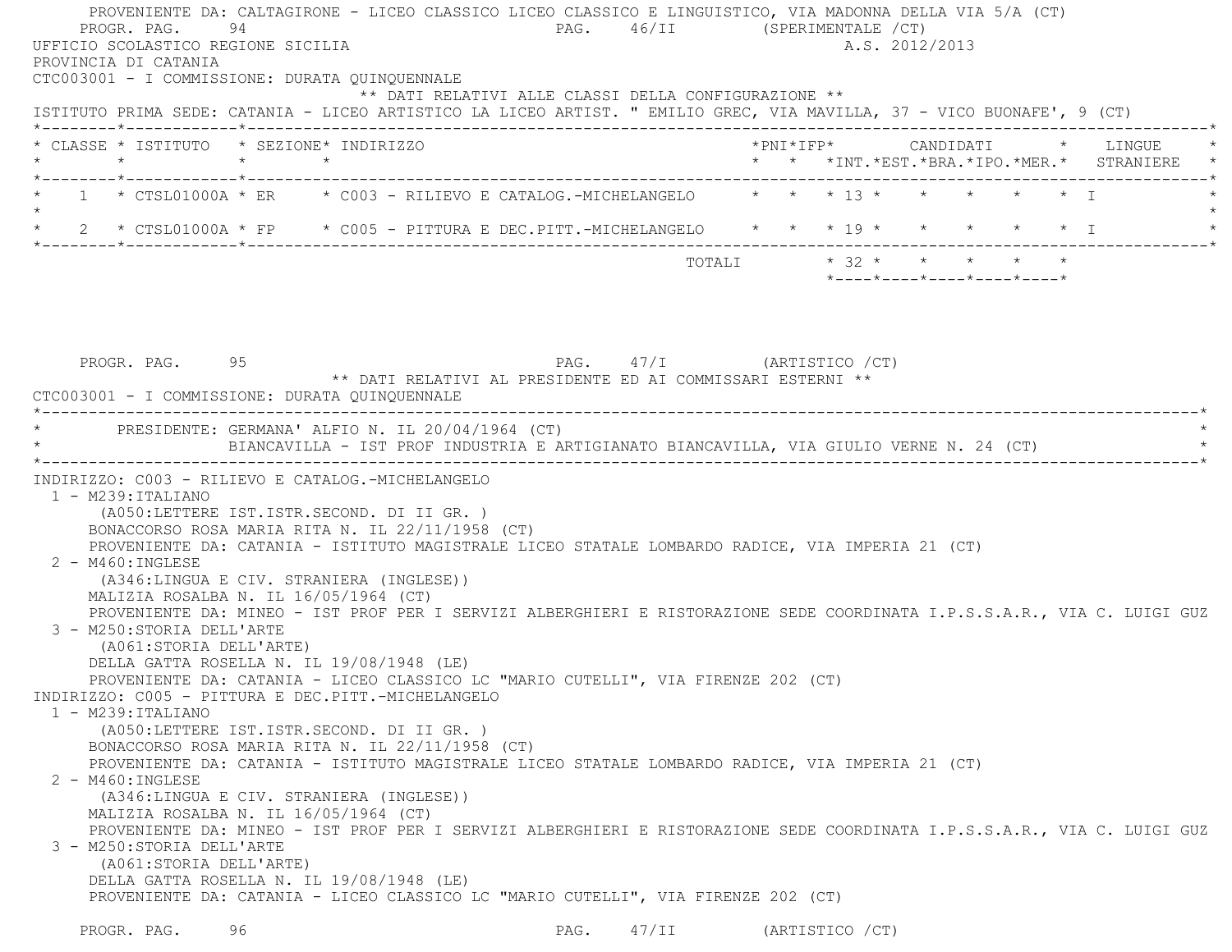PROVENIENTE DA: CALTAGIRONE - LICEO CLASSICO LICEO CLASSICO E LINGUISTICO, VIA MADONNA DELLA VIA 5/A (CT) PROGR. PAG. 94 94 PAG. 46/II (SPERIMENTALE /CT) UFFICIO SCOLASTICO REGIONE SICILIA A.S. 2012/2013 PROVINCIA DI CATANIA CTC003001 - I COMMISSIONE: DURATA QUINQUENNALE \*\* DATI RELATIVI ALLE CLASSI DELLA CONFIGURAZIONE \*\* ISTITUTO PRIMA SEDE: CATANIA - LICEO ARTISTICO LA LICEO ARTIST. " EMILIO GREC, VIA MAVILLA, 37 - VICO BUONAFE', 9 (CT) \*--------\*------------\*-------------------------------------------------------------------------------------------------------\* \* CLASSE \* ISTITUTO \* SEZIONE\* INDIRIZZO \*PNI\*IFP\* CANDIDATI \* LINGUE \* \* \* \* \* \* \* \*INT.\*EST.\*BRA.\*IPO.\*MER.\* STRANIERE \* \*--------\*------------\*-------------------------------------------------------------------------------------------------------\* $1$  \* CTSL01000A \* ER \* C003 - RILIEVO E CATALOG.-MICHELANGELO \* \* \* 13 \* \* \* \* \* \* \* I  $\star$ 2 \* CTSL01000A \* FP \* C005 - PITTURA E DEC.PITT.-MICHELANGELO \* \* \* 19 \* \* \* \* \* \* \* I \*--------\*------------\*-------------------------------------------------------------------------------------------------------\*TOTALI  $* 32 * * * * * * * * *$  \*----\*----\*----\*----\*----\*PROGR. PAG. 95 95 PAG. 47/I (ARTISTICO / CT) \*\* DATI RELATIVI AL PRESIDENTE ED AI COMMISSARI ESTERNI \*\*

 CTC003001 - I COMMISSIONE: DURATA QUINQUENNALE \*----------------------------------------------------------------------------------------------------------------------------\*PRESIDENTE: GERMANA' ALFIO N. IL 20/04/1964 (CT) \* BIANCAVILLA - IST PROF INDUSTRIA E ARTIGIANATO BIANCAVILLA, VIA GIULIO VERNE N. 24 (CT) \* \*----------------------------------------------------------------------------------------------------------------------------\* INDIRIZZO: C003 - RILIEVO E CATALOG.-MICHELANGELO 1 - M239:ITALIANO (A050:LETTERE IST.ISTR.SECOND. DI II GR. ) BONACCORSO ROSA MARIA RITA N. IL 22/11/1958 (CT) PROVENIENTE DA: CATANIA - ISTITUTO MAGISTRALE LICEO STATALE LOMBARDO RADICE, VIA IMPERIA 21 (CT) 2 - M460:INGLESE (A346:LINGUA E CIV. STRANIERA (INGLESE)) MALIZIA ROSALBA N. IL 16/05/1964 (CT) PROVENIENTE DA: MINEO - IST PROF PER I SERVIZI ALBERGHIERI E RISTORAZIONE SEDE COORDINATA I.P.S.S.A.R., VIA C. LUIGI GUZ 3 - M250:STORIA DELL'ARTE (A061:STORIA DELL'ARTE) DELLA GATTA ROSELLA N. IL 19/08/1948 (LE) PROVENIENTE DA: CATANIA - LICEO CLASSICO LC "MARIO CUTELLI", VIA FIRENZE 202 (CT) INDIRIZZO: C005 - PITTURA E DEC.PITT.-MICHELANGELO 1 - M239:ITALIANO (A050:LETTERE IST.ISTR.SECOND. DI II GR. ) BONACCORSO ROSA MARIA RITA N. IL 22/11/1958 (CT) PROVENIENTE DA: CATANIA - ISTITUTO MAGISTRALE LICEO STATALE LOMBARDO RADICE, VIA IMPERIA 21 (CT) 2 - M460:INGLESE (A346:LINGUA E CIV. STRANIERA (INGLESE)) MALIZIA ROSALBA N. IL 16/05/1964 (CT) PROVENIENTE DA: MINEO - IST PROF PER I SERVIZI ALBERGHIERI E RISTORAZIONE SEDE COORDINATA I.P.S.S.A.R., VIA C. LUIGI GUZ 3 - M250:STORIA DELL'ARTE (A061:STORIA DELL'ARTE) DELLA GATTA ROSELLA N. IL 19/08/1948 (LE) PROVENIENTE DA: CATANIA - LICEO CLASSICO LC "MARIO CUTELLI", VIA FIRENZE 202 (CT) PROGR. PAG. 96 96 PAG. 47/II (ARTISTICO / CT)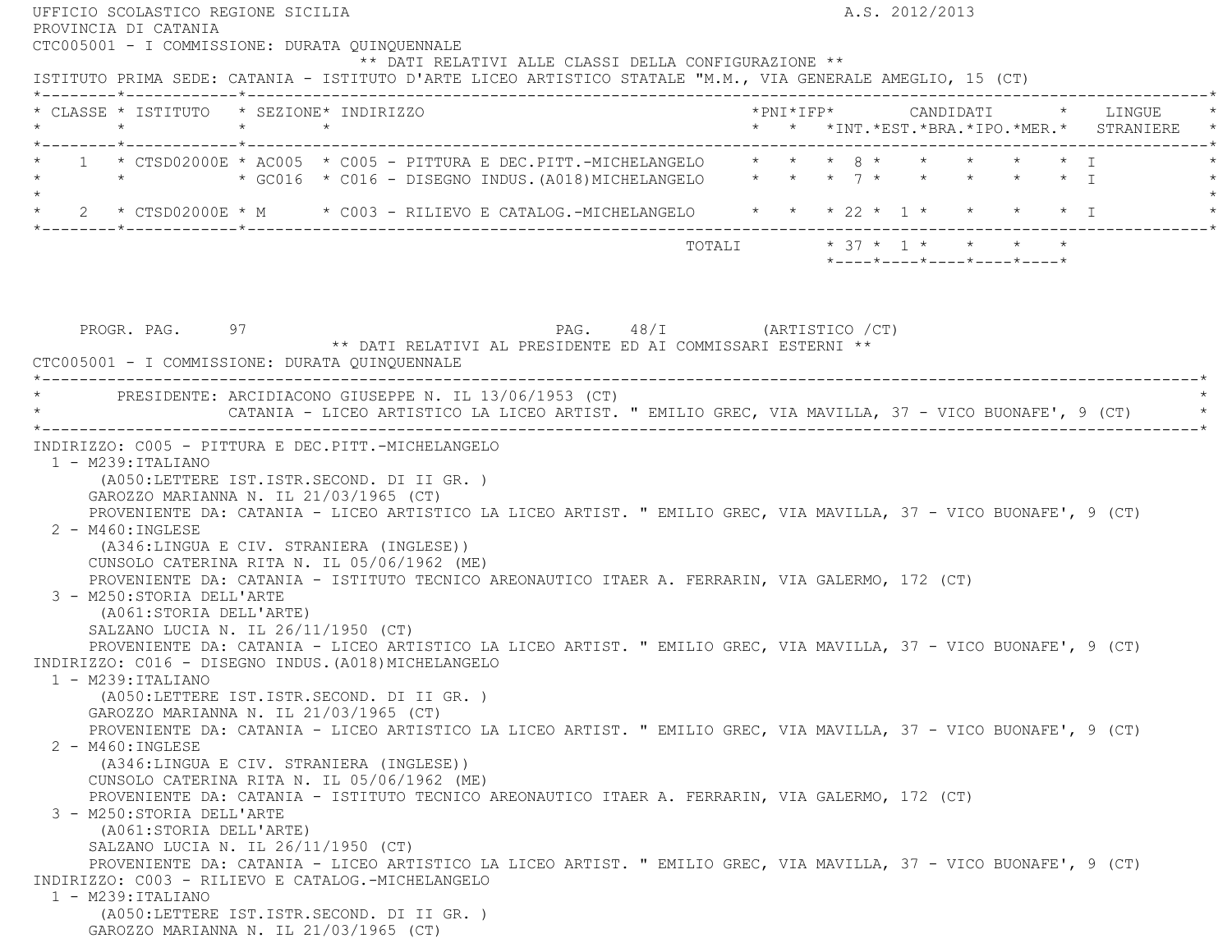| PROVINCIA DI CATANIA                                                                                                            | A.S. 2012/2013                                                                            |
|---------------------------------------------------------------------------------------------------------------------------------|-------------------------------------------------------------------------------------------|
| CTC005001 - I COMMISSIONE: DURATA QUINQUENNALE                                                                                  |                                                                                           |
| ** DATI RELATIVI ALLE CLASSI DELLA CONFIGURAZIONE **                                                                            |                                                                                           |
| ISTITUTO PRIMA SEDE: CATANIA - ISTITUTO D'ARTE LICEO ARTISTICO STATALE "M.M., VIA GENERALE AMEGLIO, 15 (CT)                     |                                                                                           |
| * CLASSE * ISTITUTO * SEZIONE* INDIRIZZO                                                                                        |                                                                                           |
| $\star$<br>$\star$ $\star$                                                                                                      | * * *INT. *EST. *BRA. *IPO. *MER. * STRANIERE                                             |
| *--------*------------*--------------                                                                                           |                                                                                           |
| 1 * CTSD02000E * AC005 * C005 - PITTURA E DEC.PITT.-MICHELANGELO                                                                | $\star$ $\star$ $\star$ $\upbeta$ $\star$ $\star$ $\star$ $\star$ $\downarrow$ $\uparrow$ |
|                                                                                                                                 |                                                                                           |
| * 2 * CTSD02000E * M * C003 - RILIEVO E CATALOG.-MICHELANGELO * * * 22 * 1 * * * * * * I                                        |                                                                                           |
|                                                                                                                                 | TOTALI * 37 * 1 * * * * *                                                                 |
|                                                                                                                                 | $*$ - - - - $*$ - - - - $*$ - - - - $*$ - - - - $*$ - - - - $*$                           |
|                                                                                                                                 |                                                                                           |
|                                                                                                                                 |                                                                                           |
|                                                                                                                                 |                                                                                           |
| PAG. 48/I (ARTISTICO / CT)<br>PROGR. PAG. 97                                                                                    |                                                                                           |
| ** DATI RELATIVI AL PRESIDENTE ED AI COMMISSARI ESTERNI **                                                                      |                                                                                           |
| CTC005001 - I COMMISSIONE: DURATA QUINQUENNALE                                                                                  |                                                                                           |
|                                                                                                                                 |                                                                                           |
| PRESIDENTE: ARCIDIACONO GIUSEPPE N. IL 13/06/1953 (CT)                                                                          |                                                                                           |
| CATANIA - LICEO ARTISTICO LA LICEO ARTIST. " EMILIO GREC, VIA MAVILLA, 37 - VICO BUONAFE', 9 (CT)                               |                                                                                           |
|                                                                                                                                 |                                                                                           |
| INDIRIZZO: C005 - PITTURA E DEC.PITT.-MICHELANGELO                                                                              |                                                                                           |
| $1 - M239:ITALIANO$                                                                                                             |                                                                                           |
|                                                                                                                                 |                                                                                           |
|                                                                                                                                 |                                                                                           |
| (A050;LETTERE IST.ISTR.SECOND. DI II GR. )                                                                                      |                                                                                           |
| GAROZZO MARIANNA N. IL 21/03/1965 (CT)                                                                                          |                                                                                           |
| PROVENIENTE DA: CATANIA - LICEO ARTISTICO LA LICEO ARTIST. " EMILIO GREC, VIA MAVILLA, 37 - VICO BUONAFE', 9 (CT)               |                                                                                           |
| $2 - M460$ : INGLESE                                                                                                            |                                                                                           |
| (A346:LINGUA E CIV. STRANIERA (INGLESE))                                                                                        |                                                                                           |
| CUNSOLO CATERINA RITA N. IL 05/06/1962 (ME)                                                                                     |                                                                                           |
| PROVENIENTE DA: CATANIA - ISTITUTO TECNICO AREONAUTICO ITAER A. FERRARIN, VIA GALERMO, 172 (CT)                                 |                                                                                           |
| 3 - M250: STORIA DELL'ARTE                                                                                                      |                                                                                           |
| (A061:STORIA DELL'ARTE)                                                                                                         |                                                                                           |
| SALZANO LUCIA N. IL 26/11/1950 (CT)                                                                                             |                                                                                           |
| PROVENIENTE DA: CATANIA - LICEO ARTISTICO LA LICEO ARTIST. " EMILIO GREC, VIA MAVILLA, 37 - VICO BUONAFE', 9 (CT)               |                                                                                           |
|                                                                                                                                 |                                                                                           |
| 1 - M239:ITALIANO                                                                                                               |                                                                                           |
| (A050:LETTERE IST.ISTR.SECOND. DI II GR. )                                                                                      |                                                                                           |
| GAROZZO MARIANNA N. IL 21/03/1965 (CT)                                                                                          |                                                                                           |
| PROVENIENTE DA: CATANIA - LICEO ARTISTICO LA LICEO ARTIST. " EMILIO GREC, VIA MAVILLA, 37 - VICO BUONAFE', 9 (CT)               |                                                                                           |
| 2 - M460: INGLESE                                                                                                               |                                                                                           |
| (A346:LINGUA E CIV. STRANIERA (INGLESE))                                                                                        |                                                                                           |
| CUNSOLO CATERINA RITA N. IL 05/06/1962 (ME)                                                                                     |                                                                                           |
| PROVENIENTE DA: CATANIA - ISTITUTO TECNICO AREONAUTICO ITAER A. FERRARIN, VIA GALERMO, 172 (CT)                                 |                                                                                           |
| 3 - M250: STORIA DELL'ARTE                                                                                                      |                                                                                           |
| (A061:STORIA DELL'ARTE)                                                                                                         |                                                                                           |
| SALZANO LUCIA N. IL $26/11/1950$ (CT)                                                                                           |                                                                                           |
| PROVENIENTE DA: CATANIA - LICEO ARTISTICO LA LICEO ARTIST. " EMILIO GREC, VIA MAVILLA, 37 - VICO BUONAFE', 9 (CT)               |                                                                                           |
|                                                                                                                                 |                                                                                           |
| INDIRIZZO: C016 - DISEGNO INDUS. (A018) MICHELANGELO<br>INDIRIZZO: C003 - RILIEVO E CATALOG.-MICHELANGELO<br>1 - M239: ITALIANO |                                                                                           |
| (A050:LETTERE IST.ISTR.SECOND. DI II GR. )<br>GAROZZO MARIANNA N. IL 21/03/1965 (CT)                                            |                                                                                           |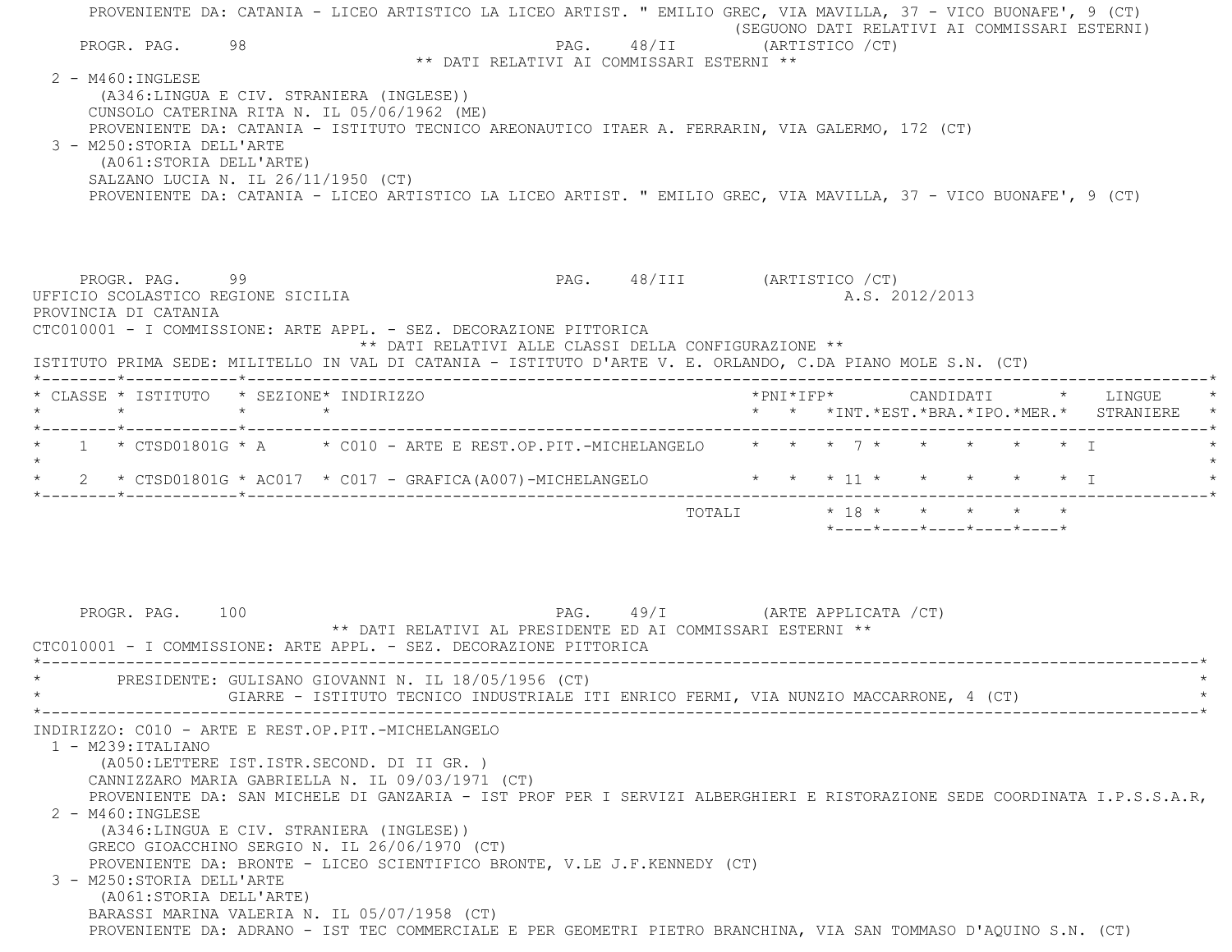PROVENIENTE DA: CATANIA - LICEO ARTISTICO LA LICEO ARTIST. " EMILIO GREC, VIA MAVILLA, 37 - VICO BUONAFE', 9 (CT) (SEGUONO DATI RELATIVI AI COMMISSARI ESTERNI) PROGR. PAG. 98 98 PAG. 48/II (ARTISTICO / CT) \*\* DATI RELATIVI AI COMMISSARI ESTERNI \*\* 2 - M460:INGLESE (A346:LINGUA E CIV. STRANIERA (INGLESE)) CUNSOLO CATERINA RITA N. IL 05/06/1962 (ME) PROVENIENTE DA: CATANIA - ISTITUTO TECNICO AREONAUTICO ITAER A. FERRARIN, VIA GALERMO, 172 (CT) 3 - M250:STORIA DELL'ARTE (A061:STORIA DELL'ARTE) SALZANO LUCIA N. IL 26/11/1950 (CT) PROVENIENTE DA: CATANIA - LICEO ARTISTICO LA LICEO ARTIST. " EMILIO GREC, VIA MAVILLA, 37 - VICO BUONAFE', 9 (CT) PROGR. PAG. 99 PAG. 48/III (ARTISTICO /CT) UFFICIO SCOLASTICO REGIONE SICILIA A.S. 2012/2013 PROVINCIA DI CATANIA CTC010001 - I COMMISSIONE: ARTE APPL. - SEZ. DECORAZIONE PITTORICA \*\* DATI RELATIVI ALLE CLASSI DELLA CONFIGURAZIONE \*\* ISTITUTO PRIMA SEDE: MILITELLO IN VAL DI CATANIA - ISTITUTO D'ARTE V. E. ORLANDO, C.DA PIANO MOLE S.N. (CT) \*--------\*------------\*-------------------------------------------------------------------------------------------------------\* \* CLASSE \* ISTITUTO \* SEZIONE\* INDIRIZZO \*PNI\*IFP\* CANDIDATI \* LINGUE \* \* \* \* \* \* \* \*INT.\*EST.\*BRA.\*IPO.\*MER.\* STRANIERE \* \*--------\*------------\*-------------------------------------------------------------------------------------------------------\*1 \* CTSD01801G \* A \* C010 - ARTE E REST.OP.PIT.-MICHELANGELO \* \* \* 7 \* \* \* \* \* \* \* \*  $\star$ \* 2 \* CTSD01801G \* AC017 \* C017 - GRAFICA(A007)-MICHELANGELO \* \* \* 11 \* \* \* \* \* \* \* T \*--------\*------------\*-------------------------------------------------------------------------------------------------------\*TOTALI  $* 18 * * * * * * * * *$  \*----\*----\*----\*----\*----\*PROGR. PAG. 100 **PAG.** PAG. 49/I (ARTE APPLICATA /CT) \*\* DATI RELATIVI AL PRESIDENTE ED AI COMMISSARI ESTERNI \*\* CTC010001 - I COMMISSIONE: ARTE APPL. - SEZ. DECORAZIONE PITTORICA \*----------------------------------------------------------------------------------------------------------------------------\*PRESIDENTE: GULISANO GIOVANNI N. IL 18/05/1956 (CT) GIARRE - ISTITUTO TECNICO INDUSTRIALE ITI ENRICO FERMI, VIA NUNZIO MACCARRONE, 4 (CT) \*----------------------------------------------------------------------------------------------------------------------------\* INDIRIZZO: C010 - ARTE E REST.OP.PIT.-MICHELANGELO 1 - M239:ITALIANO (A050:LETTERE IST.ISTR.SECOND. DI II GR. ) CANNIZZARO MARIA GABRIELLA N. IL 09/03/1971 (CT) PROVENIENTE DA: SAN MICHELE DI GANZARIA - IST PROF PER I SERVIZI ALBERGHIERI E RISTORAZIONE SEDE COORDINATA I.P.S.S.A.R, 2 - M460:INGLESE (A346:LINGUA E CIV. STRANIERA (INGLESE)) GRECO GIOACCHINO SERGIO N. IL 26/06/1970 (CT) PROVENIENTE DA: BRONTE - LICEO SCIENTIFICO BRONTE, V.LE J.F.KENNEDY (CT) 3 - M250:STORIA DELL'ARTE (A061:STORIA DELL'ARTE) BARASSI MARINA VALERIA N. IL 05/07/1958 (CT) PROVENIENTE DA: ADRANO - IST TEC COMMERCIALE E PER GEOMETRI PIETRO BRANCHINA, VIA SAN TOMMASO D'AQUINO S.N. (CT)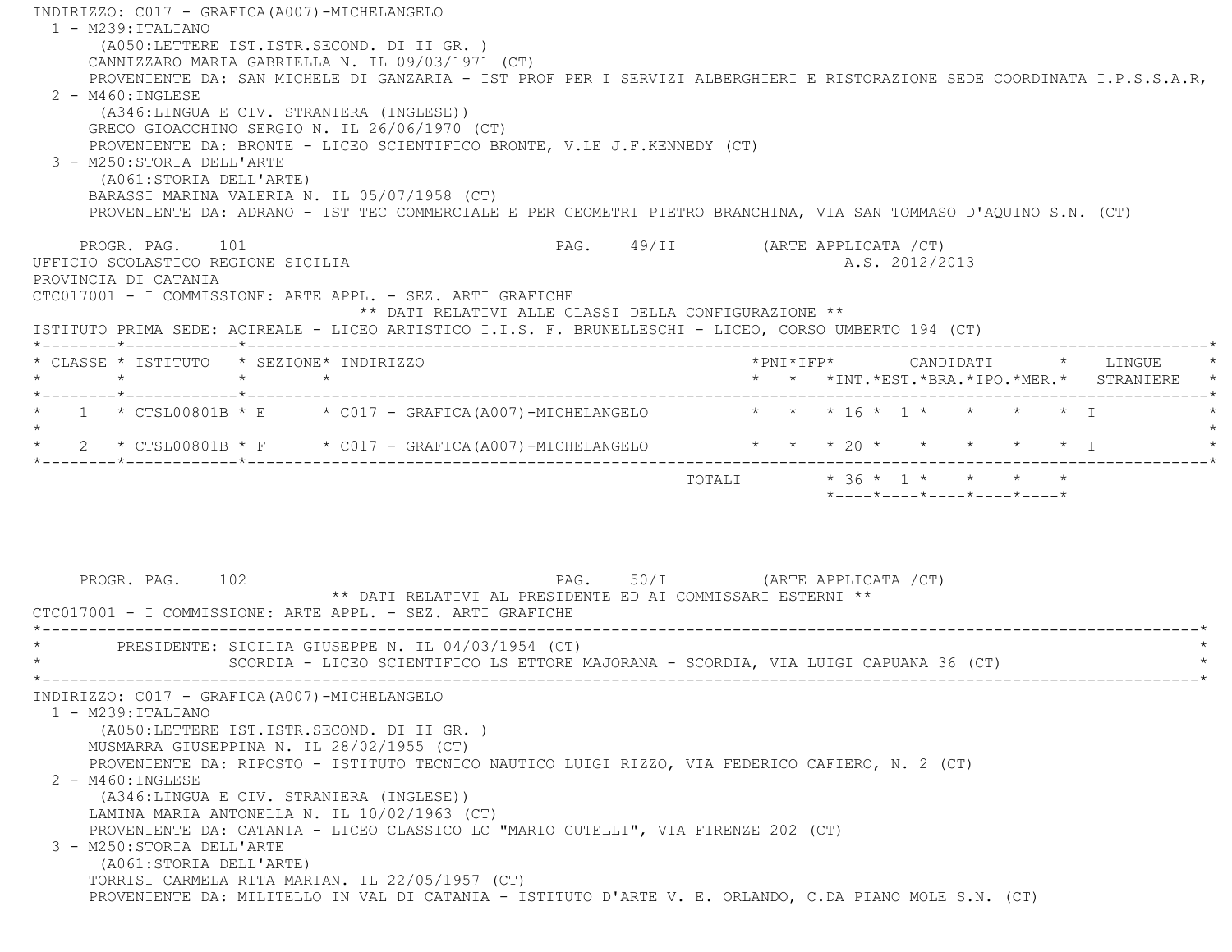INDIRIZZO: C017 - GRAFICA(A007)-MICHELANGELO 1 - M239:ITALIANO (A050:LETTERE IST.ISTR.SECOND. DI II GR. ) CANNIZZARO MARIA GABRIELLA N. IL 09/03/1971 (CT) PROVENIENTE DA: SAN MICHELE DI GANZARIA - IST PROF PER I SERVIZI ALBERGHIERI E RISTORAZIONE SEDE COORDINATA I.P.S.S.A.R,  $2 - M460$ : INGLESE (A346:LINGUA E CIV. STRANIERA (INGLESE)) GRECO GIOACCHINO SERGIO N. IL 26/06/1970 (CT) PROVENIENTE DA: BRONTE - LICEO SCIENTIFICO BRONTE, V.LE J.F.KENNEDY (CT) 3 - M250:STORIA DELL'ARTE (A061:STORIA DELL'ARTE) BARASSI MARINA VALERIA N. IL 05/07/1958 (CT) PROVENIENTE DA: ADRANO - IST TEC COMMERCIALE E PER GEOMETRI PIETRO BRANCHINA, VIA SAN TOMMASO D'AQUINO S.N. (CT) PROGR. PAG. 101 **PAG.** PAG. 49/II (ARTE APPLICATA /CT) UFFICIO SCOLASTICO REGIONE SICILIA and a series of the series of the series of the series of the series of the series of the series of the series of the series of the series of the series of the series of the series of the PROVINCIA DI CATANIA CTC017001 - I COMMISSIONE: ARTE APPL. - SEZ. ARTI GRAFICHE \*\* DATI RELATIVI ALLE CLASSI DELLA CONFIGURAZIONE \*\* ISTITUTO PRIMA SEDE: ACIREALE - LICEO ARTISTICO I.I.S. F. BRUNELLESCHI - LICEO, CORSO UMBERTO 194 (CT) \*--------\*------------\*-------------------------------------------------------------------------------------------------------\* \* CLASSE \* ISTITUTO \* SEZIONE\* INDIRIZZO \*PNI\*IFP\* CANDIDATI \* LINGUE \* \* \* \* \* \* \* \*INT.\*EST.\*BRA.\*IPO.\*MER.\* STRANIERE \* \*--------\*------------\*-------------------------------------------------------------------------------------------------------\* \* 1 \* CTSL00801B \* E \* C017 - GRAFICA(A007)-MICHELANGELO \* \* \* 16 \* 1 \* \* \* \* I \*  $\star$ \* 2 \* CTSL00801B \* F \* C017 - GRAFICA(A007)-MICHELANGELO \* \* \* \* 20 \* \* \* \* \* \* \* I \*--------\*------------\*-------------------------------------------------------------------------------------------------------\*TOTALI  $* 36 * 1 * * * * * * *$  \*----\*----\*----\*----\*----\* PROGR. PAG. 102 PAG. 50/I (ARTE APPLICATA /CT) \*\* DATI RELATIVI AL PRESIDENTE ED AI COMMISSARI ESTERNI \*\* CTC017001 - I COMMISSIONE: ARTE APPL. - SEZ. ARTI GRAFICHE \*----------------------------------------------------------------------------------------------------------------------------\*PRESIDENTE: SICILIA GIUSEPPE N. IL 04/03/1954 (CT) SCORDIA - LICEO SCIENTIFICO LS ETTORE MAJORANA - SCORDIA, VIA LUIGI CAPUANA 36 (CT) \*----------------------------------------------------------------------------------------------------------------------------\* INDIRIZZO: C017 - GRAFICA(A007)-MICHELANGELO 1 - M239:ITALIANO (A050:LETTERE IST.ISTR.SECOND. DI II GR. ) MUSMARRA GIUSEPPINA N. IL 28/02/1955 (CT) PROVENIENTE DA: RIPOSTO - ISTITUTO TECNICO NAUTICO LUIGI RIZZO, VIA FEDERICO CAFIERO, N. 2 (CT) 2 - M460:INGLESE (A346:LINGUA E CIV. STRANIERA (INGLESE)) LAMINA MARIA ANTONELLA N. IL 10/02/1963 (CT) PROVENIENTE DA: CATANIA - LICEO CLASSICO LC "MARIO CUTELLI", VIA FIRENZE 202 (CT) 3 - M250:STORIA DELL'ARTE (A061:STORIA DELL'ARTE) TORRISI CARMELA RITA MARIAN. IL 22/05/1957 (CT) PROVENIENTE DA: MILITELLO IN VAL DI CATANIA - ISTITUTO D'ARTE V. E. ORLANDO, C.DA PIANO MOLE S.N. (CT)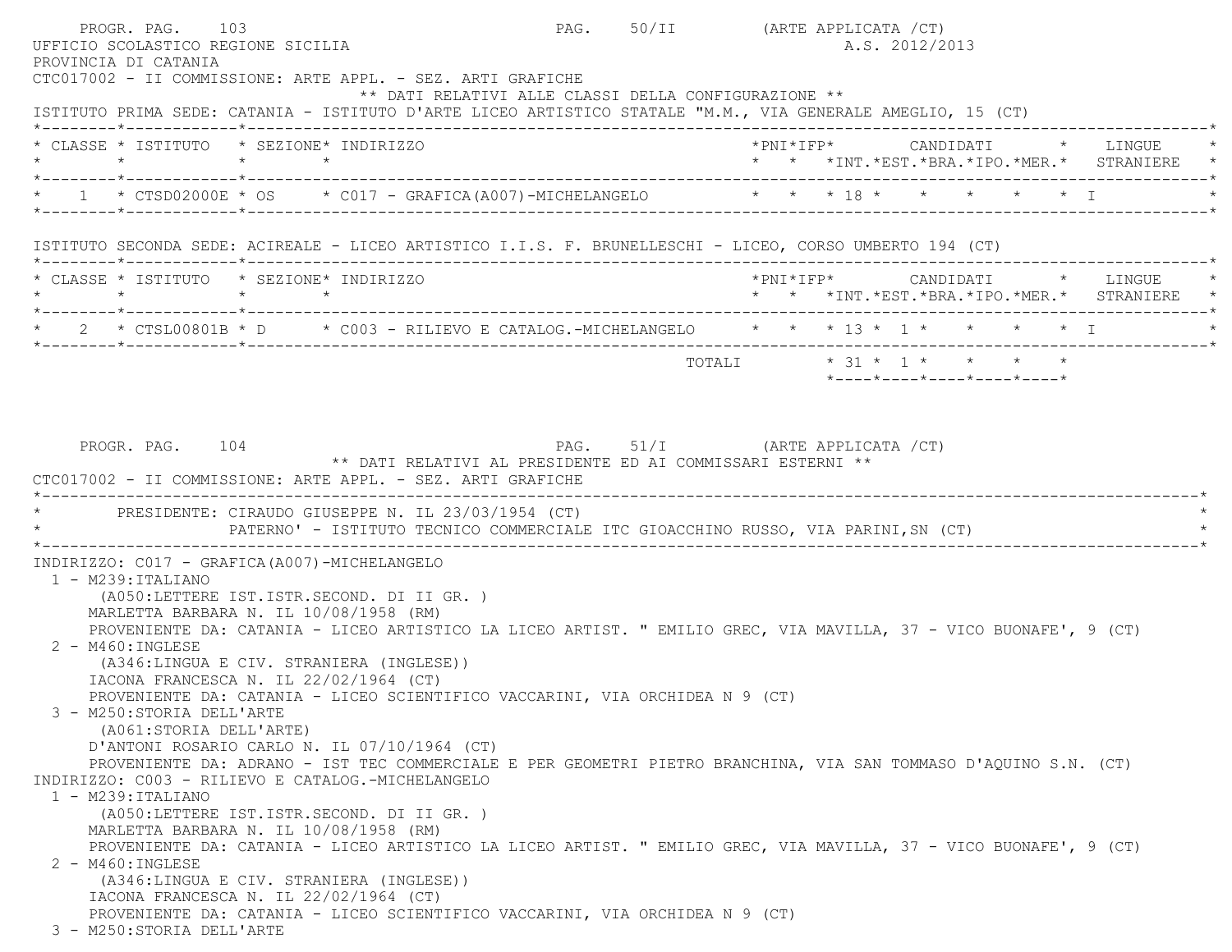PROGR. PAG. 103 PAG. 50/II (ARTE APPLICATA /CT) UFFICIO SCOLASTICO REGIONE SICILIA A.S. 2012/2013 PROVINCIA DI CATANIA CTC017002 - II COMMISSIONE: ARTE APPL. - SEZ. ARTI GRAFICHE \*\* DATI RELATIVI ALLE CLASSI DELLA CONFIGURAZIONE \*\* ISTITUTO PRIMA SEDE: CATANIA - ISTITUTO D'ARTE LICEO ARTISTICO STATALE "M.M., VIA GENERALE AMEGLIO, 15 (CT) \*--------\*------------\*-------------------------------------------------------------------------------------------------------\* \* CLASSE \* ISTITUTO \* SEZIONE\* INDIRIZZO \*PNI\*IFP\* CANDIDATI \* LINGUE \* \* \* \* \* \* \* \*INT.\*EST.\*BRA.\*IPO.\*MER.\* STRANIERE \* \*--------\*------------\*-------------------------------------------------------------------------------------------------------\* $1$  \* CTSD02000E \* OS \* C017 - GRAFICA(A007)-MICHELANGELO \* \* \* \* 18 \* \* \* \* \* \* \* I \*--------\*------------\*-------------------------------------------------------------------------------------------------------\* ISTITUTO SECONDA SEDE: ACIREALE - LICEO ARTISTICO I.I.S. F. BRUNELLESCHI - LICEO, CORSO UMBERTO 194 (CT) \*--------\*------------\*-------------------------------------------------------------------------------------------------------\* \* CLASSE \* ISTITUTO \* SEZIONE\* INDIRIZZO \*PNI\*IFP\* CANDIDATI \* LINGUE \* \* \* \* \* \* \* \*INT.\*EST.\*BRA.\*IPO.\*MER.\* STRANIERE \* \*--------\*------------\*-------------------------------------------------------------------------------------------------------\*2 \* CTSL00801B \* D \* C003 - RILIEVO E CATALOG.-MICHELANGELO \* \* \* 13 \* 1 \* \* \* \* \* I \*--------\*------------\*-------------------------------------------------------------------------------------------------------\* TOTALI \* 31 \* 1 \* \* \* \* \*----\*----\*----\*----\*----\*PROGR. PAG. 104 **PAG.** PAG. 51/I (ARTE APPLICATA /CT) \*\* DATI RELATIVI AL PRESIDENTE ED AI COMMISSARI ESTERNI \*\* CTC017002 - II COMMISSIONE: ARTE APPL. - SEZ. ARTI GRAFICHE \*----------------------------------------------------------------------------------------------------------------------------\*PRESIDENTE: CIRAUDO GIUSEPPE N. IL 23/03/1954 (CT) PATERNO' - ISTITUTO TECNICO COMMERCIALE ITC GIOACCHINO RUSSO, VIA PARINI,SN (CT) \*----------------------------------------------------------------------------------------------------------------------------\* INDIRIZZO: C017 - GRAFICA(A007)-MICHELANGELO 1 - M239:ITALIANO (A050:LETTERE IST.ISTR.SECOND. DI II GR. ) MARLETTA BARBARA N. IL 10/08/1958 (RM) PROVENIENTE DA: CATANIA - LICEO ARTISTICO LA LICEO ARTIST. " EMILIO GREC, VIA MAVILLA, 37 - VICO BUONAFE', 9 (CT) 2 - M460:INGLESE (A346:LINGUA E CIV. STRANIERA (INGLESE)) IACONA FRANCESCA N. IL 22/02/1964 (CT) PROVENIENTE DA: CATANIA - LICEO SCIENTIFICO VACCARINI, VIA ORCHIDEA N 9 (CT) 3 - M250:STORIA DELL'ARTE (A061:STORIA DELL'ARTE) D'ANTONI ROSARIO CARLO N. IL 07/10/1964 (CT) PROVENIENTE DA: ADRANO - IST TEC COMMERCIALE E PER GEOMETRI PIETRO BRANCHINA, VIA SAN TOMMASO D'AQUINO S.N. (CT) INDIRIZZO: C003 - RILIEVO E CATALOG.-MICHELANGELO 1 - M239:ITALIANO (A050:LETTERE IST.ISTR.SECOND. DI II GR. ) MARLETTA BARBARA N. IL 10/08/1958 (RM) PROVENIENTE DA: CATANIA - LICEO ARTISTICO LA LICEO ARTIST. " EMILIO GREC, VIA MAVILLA, 37 - VICO BUONAFE', 9 (CT) 2 - M460:INGLESE (A346:LINGUA E CIV. STRANIERA (INGLESE)) IACONA FRANCESCA N. IL 22/02/1964 (CT) PROVENIENTE DA: CATANIA - LICEO SCIENTIFICO VACCARINI, VIA ORCHIDEA N 9 (CT) 3 - M250:STORIA DELL'ARTE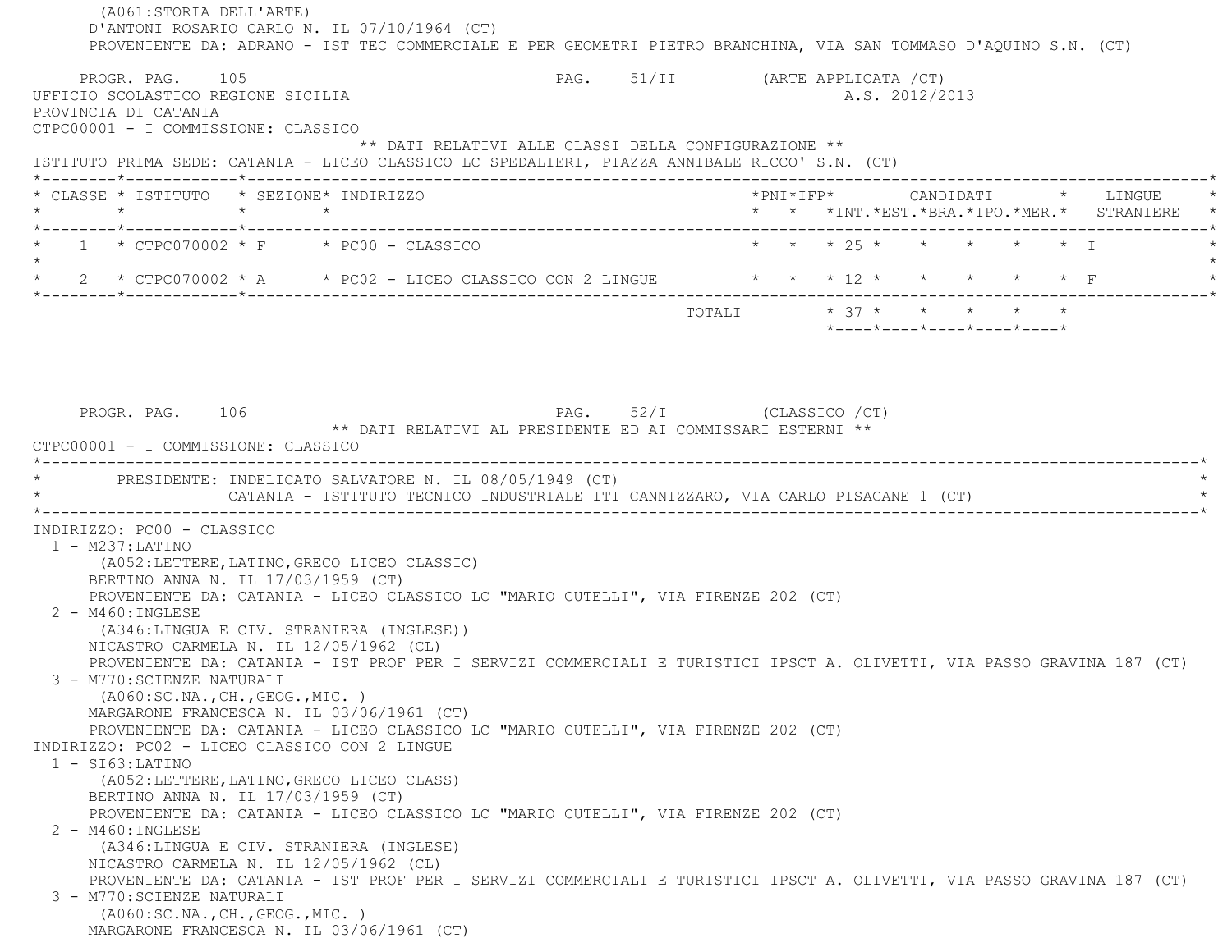(A061:STORIA DELL'ARTE) D'ANTONI ROSARIO CARLO N. IL 07/10/1964 (CT) PROVENIENTE DA: ADRANO - IST TEC COMMERCIALE E PER GEOMETRI PIETRO BRANCHINA, VIA SAN TOMMASO D'AQUINO S.N. (CT) PROGR. PAG. 105 PAG. 51/II (ARTE APPLICATA /CT) UFFICIO SCOLASTICO REGIONE SICILIA A.S. 2012/2013 PROVINCIA DI CATANIA CTPC00001 - I COMMISSIONE: CLASSICO \*\* DATI RELATIVI ALLE CLASSI DELLA CONFIGURAZIONE \*\* ISTITUTO PRIMA SEDE: CATANIA - LICEO CLASSICO LC SPEDALIERI, PIAZZA ANNIBALE RICCO' S.N. (CT) \*--------\*------------\*-------------------------------------------------------------------------------------------------------\* \* CLASSE \* ISTITUTO \* SEZIONE\* INDIRIZZO \*PNI\*IFP\* CANDIDATI \* LINGUE \* \* \* \* \* \* \* \*INT.\*EST.\*BRA.\*IPO.\*MER.\* STRANIERE \* \*--------\*------------\*-------------------------------------------------------------------------------------------------------\*1 \* CTPC070002 \* F \* PC00 - CLASSICO \* \* \* \* \* \* \* \* \* \* \* \* \* \* \* I  $\star$ \* 2 \* CTPC070002 \* A \* PC02 - LICEO CLASSICO CON 2 LINGUE \* \* \* 12 \* \* \* \* \* \* \* F \*--------\*------------\*-------------------------------------------------------------------------------------------------------\*TOTALI  $* 37 * * * * * * * * * *$  \*----\*----\*----\*----\*----\*PROGR. PAG. 106 PAG. 52/I (CLASSICO /CT) \*\* DATI RELATIVI AL PRESIDENTE ED AI COMMISSARI ESTERNI \*\* CTPC00001 - I COMMISSIONE: CLASSICO \*----------------------------------------------------------------------------------------------------------------------------\*PRESIDENTE: INDELICATO SALVATORE N. IL 08/05/1949 (CT) CATANIA - ISTITUTO TECNICO INDUSTRIALE ITI CANNIZZARO, VIA CARLO PISACANE 1 (CT) \*----------------------------------------------------------------------------------------------------------------------------\* INDIRIZZO: PC00 - CLASSICO 1 - M237:LATINO (A052:LETTERE,LATINO,GRECO LICEO CLASSIC) BERTINO ANNA N. IL 17/03/1959 (CT) PROVENIENTE DA: CATANIA - LICEO CLASSICO LC "MARIO CUTELLI", VIA FIRENZE 202 (CT) 2 - M460:INGLESE (A346:LINGUA E CIV. STRANIERA (INGLESE)) NICASTRO CARMELA N. IL 12/05/1962 (CL) PROVENIENTE DA: CATANIA - IST PROF PER I SERVIZI COMMERCIALI E TURISTICI IPSCT A. OLIVETTI, VIA PASSO GRAVINA 187 (CT) 3 - M770:SCIENZE NATURALI (A060:SC.NA.,CH.,GEOG.,MIC. ) MARGARONE FRANCESCA N. IL 03/06/1961 (CT) PROVENIENTE DA: CATANIA - LICEO CLASSICO LC "MARIO CUTELLI", VIA FIRENZE 202 (CT) INDIRIZZO: PC02 - LICEO CLASSICO CON 2 LINGUE 1 - SI63:LATINO (A052:LETTERE,LATINO,GRECO LICEO CLASS) BERTINO ANNA N. IL 17/03/1959 (CT) PROVENIENTE DA: CATANIA - LICEO CLASSICO LC "MARIO CUTELLI", VIA FIRENZE 202 (CT) 2 - M460:INGLESE (A346:LINGUA E CIV. STRANIERA (INGLESE) NICASTRO CARMELA N. IL 12/05/1962 (CL) PROVENIENTE DA: CATANIA - IST PROF PER I SERVIZI COMMERCIALI E TURISTICI IPSCT A. OLIVETTI, VIA PASSO GRAVINA 187 (CT) 3 - M770:SCIENZE NATURALI (A060:SC.NA.,CH.,GEOG.,MIC. ) MARGARONE FRANCESCA N. IL 03/06/1961 (CT)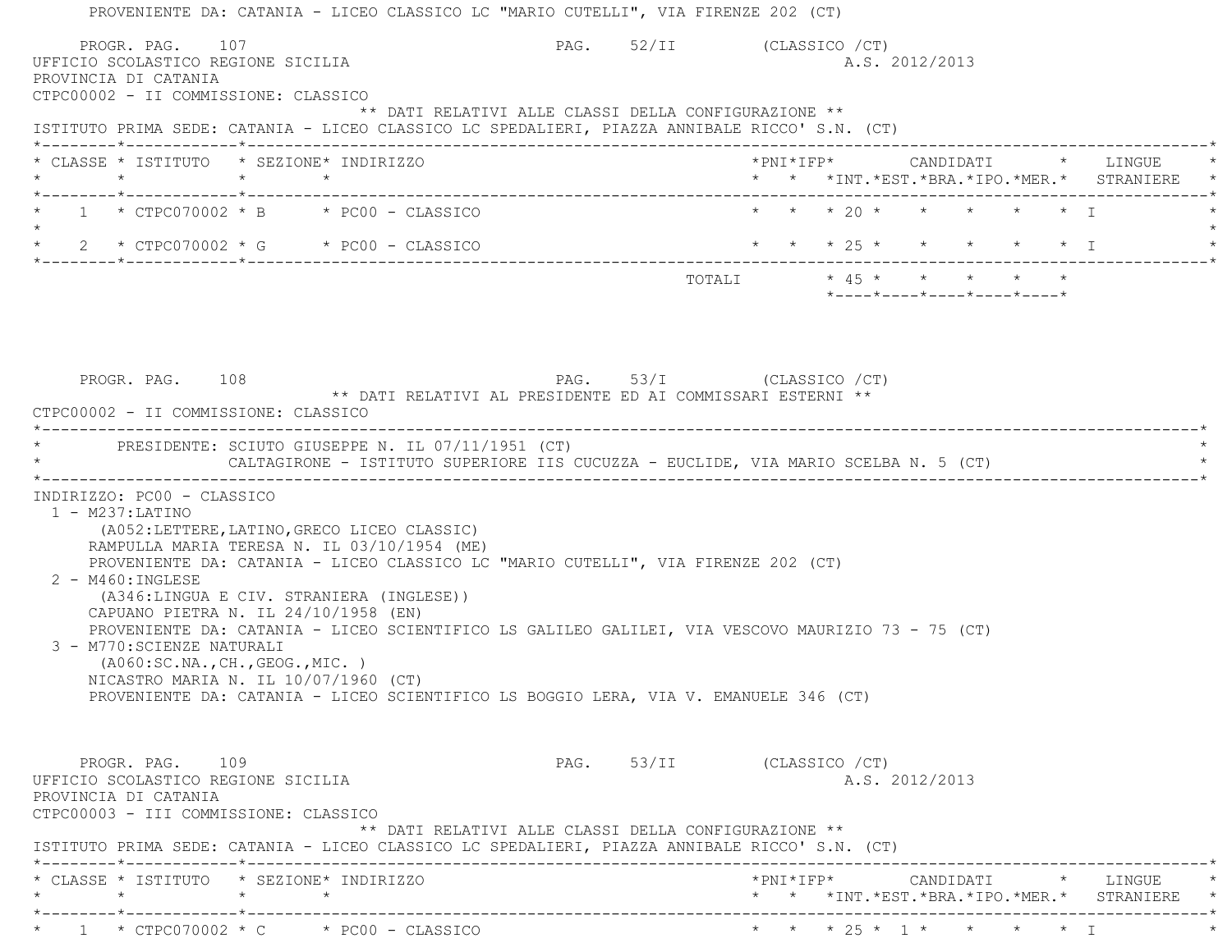| PROVENIENTE DA: CATANIA - LICEO CLASSICO LC "MARIO CUTELLI", VIA FIRENZE 202 (CT)<br>PROGR. PAG. 107                                      |                                                      |                         |  |                |  |                                         |                                                                                 |  |
|-------------------------------------------------------------------------------------------------------------------------------------------|------------------------------------------------------|-------------------------|--|----------------|--|-----------------------------------------|---------------------------------------------------------------------------------|--|
| UFFICIO SCOLASTICO REGIONE SICILIA<br>PROVINCIA DI CATANIA<br>CTPC00002 - II COMMISSIONE: CLASSICO                                        | PAG. 52/II (CLASSICO / CT)                           |                         |  | A.S. 2012/2013 |  |                                         |                                                                                 |  |
| ISTITUTO PRIMA SEDE: CATANIA - LICEO CLASSICO LC SPEDALIERI, PIAZZA ANNIBALE RICCO' S.N. (CT)                                             | ** DATI RELATIVI ALLE CLASSI DELLA CONFIGURAZIONE ** |                         |  |                |  |                                         |                                                                                 |  |
| * CLASSE * ISTITUTO * SEZIONE* INDIRIZZO                                                                                                  |                                                      |                         |  |                |  |                                         | * * *INT.*EST.*BRA.*IPO.*MER.* STRANIERE *                                      |  |
| $\star$ 1 $\star$ CTPC070002 $\star$ B $\star$ PC00 - CLASSICO                                                                            |                                                      | * * * 20 * * * * * * I  |  |                |  |                                         |                                                                                 |  |
| * 2 * CTPC070002 * G * PC00 - CLASSICO                                                                                                    |                                                      |                         |  |                |  |                                         | * * * 25 * * * * * * I                                                          |  |
|                                                                                                                                           |                                                      | TOTALI * 45 * * * * * * |  |                |  | $*$ ---- $*$ ---- $*$ ---- $*$ ---- $*$ |                                                                                 |  |
|                                                                                                                                           |                                                      |                         |  |                |  |                                         |                                                                                 |  |
| PROGR. PAG. 108<br>** DATI RELATIVI AL PRESIDENTE ED AI COMMISSARI ESTERNI **<br>CTPC00002 - II COMMISSIONE: CLASSICO                     | PAG. 53/I (CLASSICO / CT)                            |                         |  |                |  |                                         |                                                                                 |  |
| * PRESIDENTE: SCIUTO GIUSEPPE N. IL 07/11/1951 (CT)                                                                                       |                                                      |                         |  |                |  |                                         |                                                                                 |  |
| CALTAGIRONE - ISTITUTO SUPERIORE IIS CUCUZZA - EUCLIDE, VIA MARIO SCELBA N. 5 (CT)                                                        |                                                      |                         |  |                |  |                                         |                                                                                 |  |
| INDIRIZZO: PC00 - CLASSICO                                                                                                                |                                                      |                         |  |                |  |                                         |                                                                                 |  |
| $1 - M237$ : LATINO<br>(A052:LETTERE, LATINO, GRECO LICEO CLASSIC)                                                                        |                                                      |                         |  |                |  |                                         |                                                                                 |  |
| RAMPULLA MARIA TERESA N. IL 03/10/1954 (ME)<br>PROVENIENTE DA: CATANIA - LICEO CLASSICO LC "MARIO CUTELLI", VIA FIRENZE 202 (CT)          |                                                      |                         |  |                |  |                                         |                                                                                 |  |
| $2 - M460$ : INGLESE<br>(A346:LINGUA E CIV. STRANIERA (INGLESE))                                                                          |                                                      |                         |  |                |  |                                         |                                                                                 |  |
| CAPUANO PIETRA N. IL 24/10/1958 (EN)<br>PROVENIENTE DA: CATANIA - LICEO SCIENTIFICO LS GALILEO GALILEI, VIA VESCOVO MAURIZIO 73 - 75 (CT) |                                                      |                         |  |                |  |                                         |                                                                                 |  |
| 3 - M770: SCIENZE NATURALI                                                                                                                |                                                      |                         |  |                |  |                                         |                                                                                 |  |
| ( A060:SC.NA., CH., GEOG., MIC. )<br>NICASTRO MARIA N. IL 10/07/1960 (CT)                                                                 |                                                      |                         |  |                |  |                                         |                                                                                 |  |
| PROVENIENTE DA: CATANIA - LICEO SCIENTIFICO LS BOGGIO LERA, VIA V. EMANUELE 346 (CT)                                                      |                                                      |                         |  |                |  |                                         |                                                                                 |  |
| PROGR. PAG. 109                                                                                                                           | PAG. 53/II (CLASSICO / CT)                           |                         |  |                |  |                                         |                                                                                 |  |
| UFFICIO SCOLASTICO REGIONE SICILIA<br>PROVINCIA DI CATANIA                                                                                |                                                      |                         |  | A.S. 2012/2013 |  |                                         |                                                                                 |  |
| CTPC00003 - III COMMISSIONE: CLASSICO                                                                                                     |                                                      |                         |  |                |  |                                         |                                                                                 |  |
| ISTITUTO PRIMA SEDE: CATANIA - LICEO CLASSICO LC SPEDALIERI, PIAZZA ANNIBALE RICCO' S.N. (CT)                                             | ** DATI RELATIVI ALLE CLASSI DELLA CONFIGURAZIONE ** |                         |  |                |  |                                         |                                                                                 |  |
| * CLASSE * ISTITUTO * SEZIONE* INDIRIZZO                                                                                                  |                                                      |                         |  |                |  |                                         | *PNI*IFP* CANDIDATI * LINGUE<br>* * *INT. *EST. *BRA. *IPO. *MER. * STRANIERE * |  |
| _________*_____________*_______<br>$\star$ 1 $\star$ CTPC070002 $\star$ C $\star$ PC00 - CLASSICO                                         |                                                      |                         |  |                |  |                                         | * * * 25 * 1 * * * * * I                                                        |  |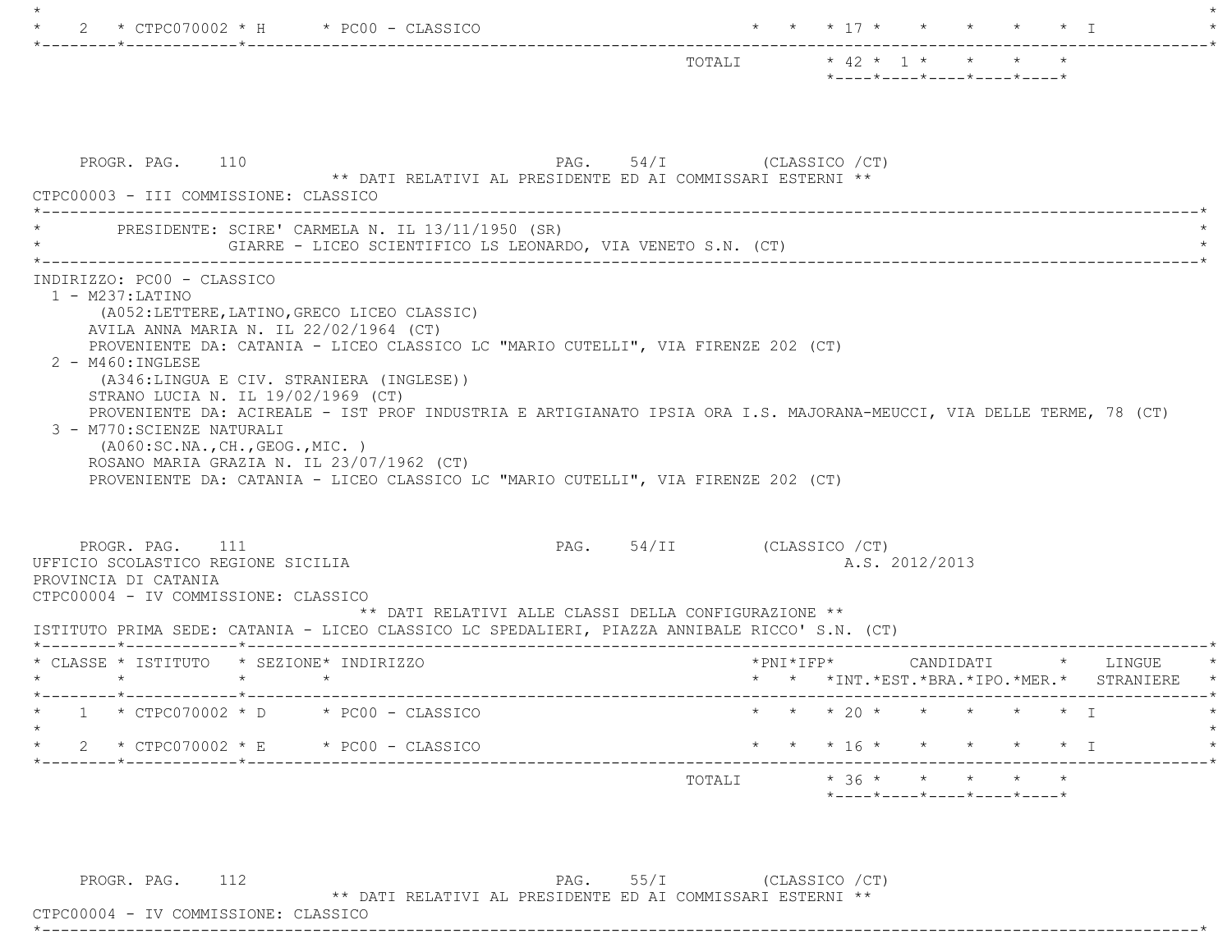|                                                                                                                                                                                                                                                                                                                                                                 |                            | TOTALI * 42 * 1 * * * * |                        | *----*----*----*----*----* |         |                                      |                                                                               |
|-----------------------------------------------------------------------------------------------------------------------------------------------------------------------------------------------------------------------------------------------------------------------------------------------------------------------------------------------------------------|----------------------------|-------------------------|------------------------|----------------------------|---------|--------------------------------------|-------------------------------------------------------------------------------|
|                                                                                                                                                                                                                                                                                                                                                                 |                            |                         |                        |                            |         |                                      |                                                                               |
| PAG. 54/I (CLASSICO / CT)<br>PROGR. PAG. 110<br>** DATI RELATIVI AL PRESIDENTE ED AI COMMISSARI ESTERNI **<br>CTPC00003 - III COMMISSIONE: CLASSICO                                                                                                                                                                                                             |                            |                         |                        |                            |         |                                      |                                                                               |
| PRESIDENTE: SCIRE' CARMELA N. IL 13/11/1950 (SR)<br>GIARRE - LICEO SCIENTIFICO LS LEONARDO, VIA VENETO S.N. (CT)                                                                                                                                                                                                                                                |                            |                         |                        |                            |         |                                      |                                                                               |
| PROVENIENTE DA: CATANIA - LICEO CLASSICO LC "MARIO CUTELLI", VIA FIRENZE 202 (CT)<br>$2 - M460$ : INGLESE<br>(A346:LINGUA E CIV. STRANIERA (INGLESE))                                                                                                                                                                                                           |                            |                         |                        |                            |         |                                      |                                                                               |
| STRANO LUCIA N. IL 19/02/1969 (CT)<br>PROVENIENTE DA: ACIREALE - IST PROF INDUSTRIA E ARTIGIANATO IPSIA ORA I.S. MAJORANA-MEUCCI, VIA DELLE TERME, 78 (CT)<br>3 - M770: SCIENZE NATURALI<br>( A060:SC.NA., CH., GEOG., MIC. )<br>ROSANO MARIA GRAZIA N. IL 23/07/1962 (CT)<br>PROVENIENTE DA: CATANIA - LICEO CLASSICO LC "MARIO CUTELLI", VIA FIRENZE 202 (CT) |                            |                         |                        |                            |         |                                      |                                                                               |
| PROGR. PAG. 111<br>** DATI RELATIVI ALLE CLASSI DELLA CONFIGURAZIONE **                                                                                                                                                                                                                                                                                         | PAG. 54/II (CLASSICO / CT) |                         |                        | A.S. 2012/2013             |         |                                      |                                                                               |
| $\star$ $\star$                                                                                                                                                                                                                                                                                                                                                 |                            |                         |                        |                            |         |                                      | *PNI*IFP* CANDIDATI * LINGUE<br>* * *INT. *EST. *BRA. *IPO. *MER. * STRANIERE |
| UFFICIO SCOLASTICO REGIONE SICILIA<br>PROVINCIA DI CATANIA<br>CTPC00004 - IV COMMISSIONE: CLASSICO<br>ISTITUTO PRIMA SEDE: CATANIA - LICEO CLASSICO LC SPEDALIERI, PIAZZA ANNIBALE RICCO' S.N. (CT)<br>* CLASSE * ISTITUTO * SEZIONE* INDIRIZZO<br>$\star$ $\star$<br>$1 * CTPC070002 * D * PC00 - CLASSICO$<br>$\star$                                         |                            |                         | * * * 20 * * * * * * I |                            |         |                                      |                                                                               |
| 2 * CTPC070002 * E * PC00 - CLASSICO                                                                                                                                                                                                                                                                                                                            |                            |                         |                        | $\star$ $\star$ 16 $\star$ | $\star$ | $\star$ $\star$ $\star$ $\downarrow$ |                                                                               |

PROGR. PAG. 112 PAG. 55/I (CLASSICO /CT)

\*\* DATI RELATIVI AL PRESIDENTE ED AI COMMISSARI ESTERNI \*\*

 CTPC00004 - IV COMMISSIONE: CLASSICO \*----------------------------------------------------------------------------------------------------------------------------\*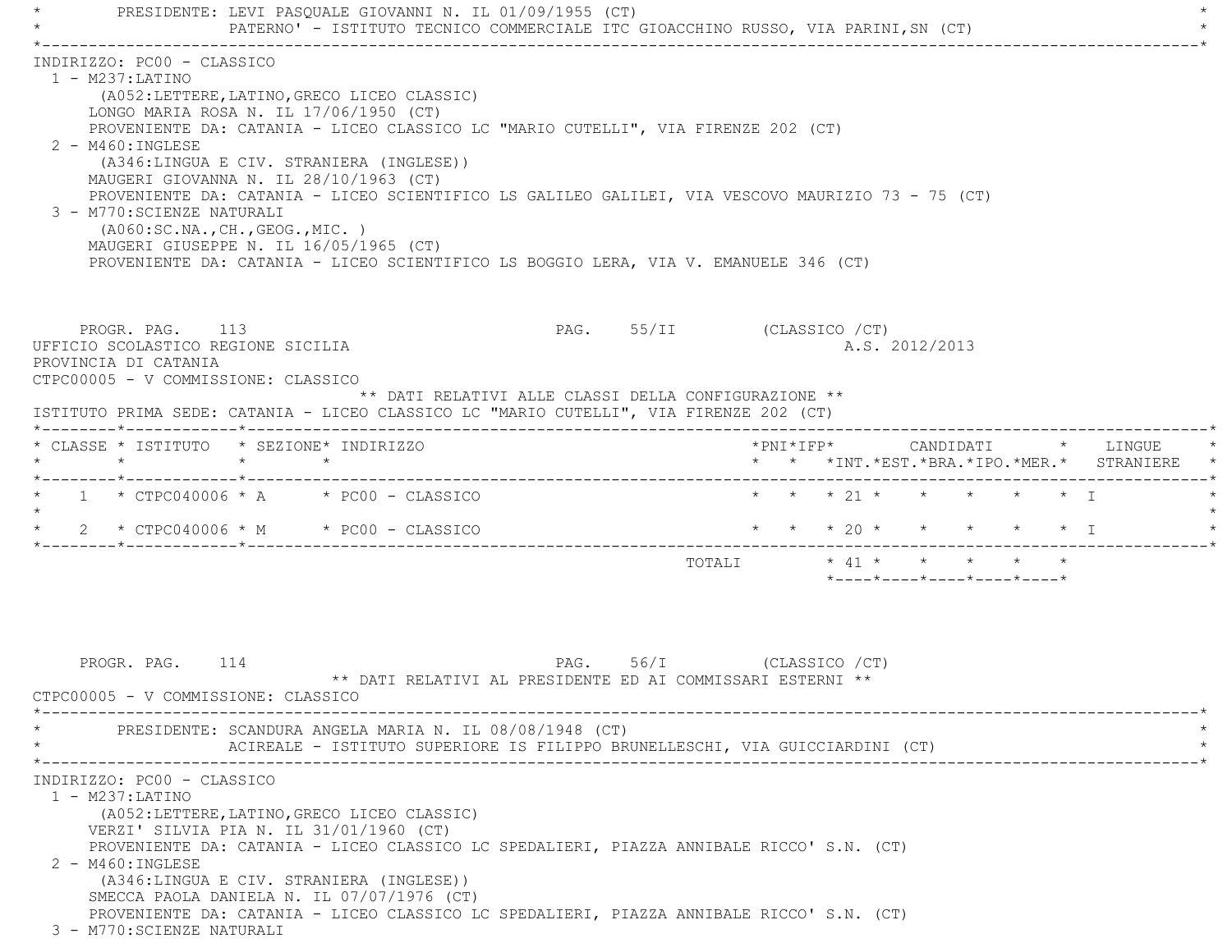PRESIDENTE: LEVI PASOUALE GIOVANNI N. IL 01/09/1955 (CT) PATERNO' - ISTITUTO TECNICO COMMERCIALE ITC GIOACCHINO RUSSO, VIA PARINI,SN (CT) \*----------------------------------------------------------------------------------------------------------------------------\* INDIRIZZO: PC00 - CLASSICO 1 - M237:LATINO (A052:LETTERE,LATINO,GRECO LICEO CLASSIC) LONGO MARIA ROSA N. IL 17/06/1950 (CT) PROVENIENTE DA: CATANIA - LICEO CLASSICO LC "MARIO CUTELLI", VIA FIRENZE 202 (CT) 2 - M460:INGLESE (A346:LINGUA E CIV. STRANIERA (INGLESE)) MAUGERI GIOVANNA N. IL 28/10/1963 (CT) PROVENIENTE DA: CATANIA - LICEO SCIENTIFICO LS GALILEO GALILEI, VIA VESCOVO MAURIZIO 73 - 75 (CT) 3 - M770:SCIENZE NATURALI (A060:SC.NA.,CH.,GEOG.,MIC. ) MAUGERI GIUSEPPE N. IL 16/05/1965 (CT) PROVENIENTE DA: CATANIA - LICEO SCIENTIFICO LS BOGGIO LERA, VIA V. EMANUELE 346 (CT) PROGR. PAG. 113 PAG. 55/II (CLASSICO /CT) UFFICIO SCOLASTICO REGIONE SICILIA A.S. 2012/2013 PROVINCIA DI CATANIA CTPC00005 - V COMMISSIONE: CLASSICO \*\* DATI RELATIVI ALLE CLASSI DELLA CONFIGURAZIONE \*\* ISTITUTO PRIMA SEDE: CATANIA - LICEO CLASSICO LC "MARIO CUTELLI", VIA FIRENZE 202 (CT) \*--------\*------------\*-------------------------------------------------------------------------------------------------------\* \* CLASSE \* ISTITUTO \* SEZIONE\* INDIRIZZO \*PNI\*IFP\* CANDIDATI \* LINGUE \* \* \* \* \* \* \* \*INT.\*EST.\*BRA.\*IPO.\*MER.\* STRANIERE \* \*--------\*------------\*-------------------------------------------------------------------------------------------------------\*1 \* CTPC040006 \* A \* PC00 - CLASSICO \* \* \* \* 21 \* \* \* \* \* \* \* I  $\star$ \* 2 \* CTPC040006 \* M \* PC00 - CLASSICO \* \* \* \* 20 \* \* \* \* \* \* \* T \*--------\*------------\*-------------------------------------------------------------------------------------------------------\* TOTALI \* 41 \* \* \* \* \* \*----\*----\*----\*----\*----\*PROGR. PAG. 114 **PAG.** 56/I (CLASSICO /CT) \*\* DATI RELATIVI AL PRESIDENTE ED AI COMMISSARI ESTERNI \*\* CTPC00005 - V COMMISSIONE: CLASSICO \*----------------------------------------------------------------------------------------------------------------------------\*PRESIDENTE: SCANDURA ANGELA MARIA N. IL 08/08/1948 (CT) ACIREALE - ISTITUTO SUPERIORE IS FILIPPO BRUNELLESCHI, VIA GUICCIARDINI (CT) \*----------------------------------------------------------------------------------------------------------------------------\* INDIRIZZO: PC00 - CLASSICO 1 - M237:LATINO (A052:LETTERE,LATINO,GRECO LICEO CLASSIC) VERZI' SILVIA PIA N. IL 31/01/1960 (CT) PROVENIENTE DA: CATANIA - LICEO CLASSICO LC SPEDALIERI, PIAZZA ANNIBALE RICCO' S.N. (CT) 2 - M460:INGLESE (A346:LINGUA E CIV. STRANIERA (INGLESE)) SMECCA PAOLA DANIELA N. IL 07/07/1976 (CT) PROVENIENTE DA: CATANIA - LICEO CLASSICO LC SPEDALIERI, PIAZZA ANNIBALE RICCO' S.N. (CT) 3 - M770:SCIENZE NATURALI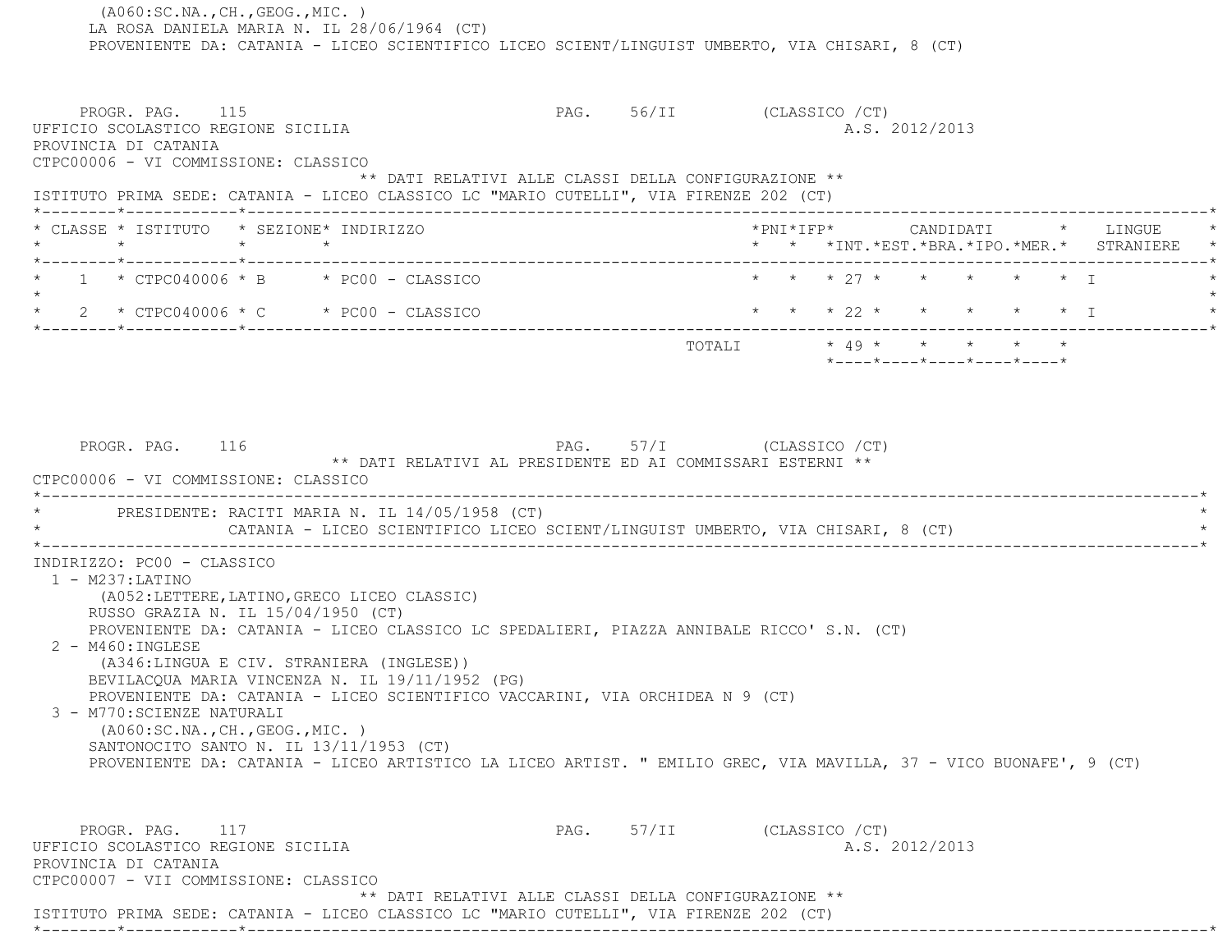(A060:SC.NA.,CH.,GEOG.,MIC. ) LA ROSA DANIELA MARIA N. IL 28/06/1964 (CT) PROVENIENTE DA: CATANIA - LICEO SCIENTIFICO LICEO SCIENT/LINGUIST UMBERTO, VIA CHISARI, 8 (CT) PROGR. PAG. 115 PAG. 56/II (CLASSICO /CT) UFFICIO SCOLASTICO REGIONE SICILIA A.S. 2012/2013 PROVINCIA DI CATANIA CTPC00006 - VI COMMISSIONE: CLASSICO \*\* DATI RELATIVI ALLE CLASSI DELLA CONFIGURAZIONE \*\* ISTITUTO PRIMA SEDE: CATANIA - LICEO CLASSICO LC "MARIO CUTELLI", VIA FIRENZE 202 (CT) \*--------\*------------\*-------------------------------------------------------------------------------------------------------\* \* CLASSE \* ISTITUTO \* SEZIONE\* INDIRIZZO \*PNI\*IFP\* CANDIDATI \* LINGUE \* \* \* \* \* \* \* \*INT.\*EST.\*BRA.\*IPO.\*MER.\* STRANIERE \* \*--------\*------------\*-------------------------------------------------------------------------------------------------------\*1 \* CTPC040006 \* B \* PC00 - CLASSICO \* \* \* \* 27 \* \* \* \* \* \* \* I  $\star$ \* 2 \* CTPC040006 \* C \* PC00 - CLASSICO \* \* \* \* 22 \* \* \* \* \* \* \* I \*--------\*------------\*-------------------------------------------------------------------------------------------------------\* TOTALI \* 49 \* \* \* \* \* \*----\*----\*----\*----\*----\*PROGR. PAG. 116 PAG. 57/I (CLASSICO /CT) \*\* DATI RELATIVI AL PRESIDENTE ED AI COMMISSARI ESTERNI \*\* CTPC00006 - VI COMMISSIONE: CLASSICO \*----------------------------------------------------------------------------------------------------------------------------\*PRESIDENTE: RACITI MARIA N. IL 14/05/1958 (CT) CATANIA - LICEO SCIENTIFICO LICEO SCIENT/LINGUIST UMBERTO, VIA CHISARI, 8 (CT) \*----------------------------------------------------------------------------------------------------------------------------\* INDIRIZZO: PC00 - CLASSICO 1 - M237:LATINO (A052:LETTERE,LATINO,GRECO LICEO CLASSIC) RUSSO GRAZIA N. IL 15/04/1950 (CT) PROVENIENTE DA: CATANIA - LICEO CLASSICO LC SPEDALIERI, PIAZZA ANNIBALE RICCO' S.N. (CT) 2 - M460:INGLESE (A346:LINGUA E CIV. STRANIERA (INGLESE)) BEVILACQUA MARIA VINCENZA N. IL 19/11/1952 (PG) PROVENIENTE DA: CATANIA - LICEO SCIENTIFICO VACCARINI, VIA ORCHIDEA N 9 (CT) 3 - M770:SCIENZE NATURALI (A060:SC.NA.,CH.,GEOG.,MIC. ) SANTONOCITO SANTO N. IL 13/11/1953 (CT) PROVENIENTE DA: CATANIA - LICEO ARTISTICO LA LICEO ARTIST. " EMILIO GREC, VIA MAVILLA, 37 - VICO BUONAFE', 9 (CT) PROGR. PAG. 117 CLASSICO / CT) UFFICIO SCOLASTICO REGIONE SICILIA A.S. 2012/2013 PROVINCIA DI CATANIA CTPC00007 - VII COMMISSIONE: CLASSICO \*\* DATI RELATIVI ALLE CLASSI DELLA CONFIGURAZIONE \*\*ISTITUTO PRIMA SEDE: CATANIA - LICEO CLASSICO LC "MARIO CUTELLI", VIA FIRENZE 202 (CT)

\*--------\*------------\*-------------------------------------------------------------------------------------------------------\*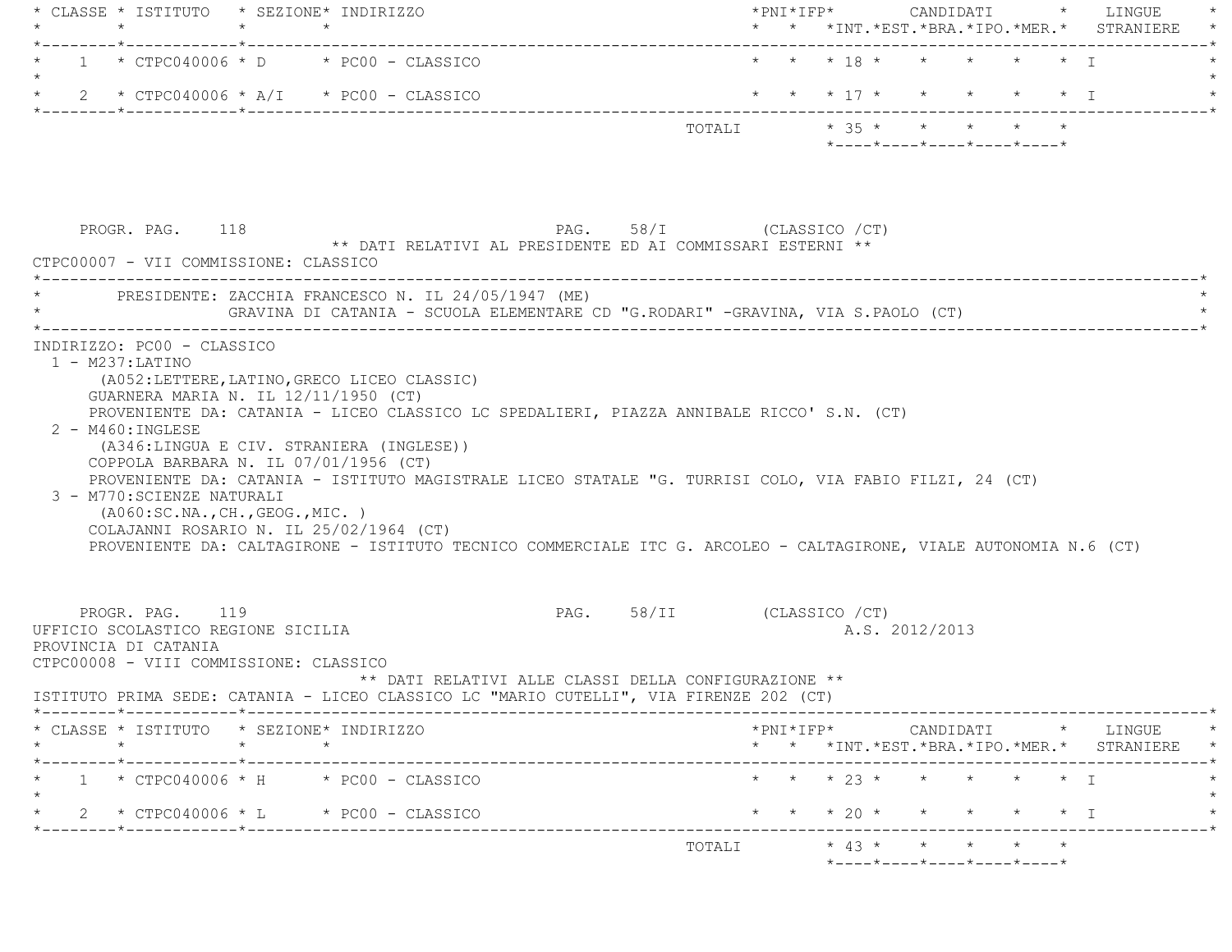|                                                                                                                         | $\star$ $\star$                                                                                                                                                                                                                                                                                                                                                                                  |                                                                                         |                |                                                       | * * *INT. *EST. *BRA. *IPO. *MER. * STRANIERE                                              |
|-------------------------------------------------------------------------------------------------------------------------|--------------------------------------------------------------------------------------------------------------------------------------------------------------------------------------------------------------------------------------------------------------------------------------------------------------------------------------------------------------------------------------------------|-----------------------------------------------------------------------------------------|----------------|-------------------------------------------------------|--------------------------------------------------------------------------------------------|
|                                                                                                                         | $1 * CTPC040006 * D * PC00 - CLASSICO$                                                                                                                                                                                                                                                                                                                                                           |                                                                                         |                | * * * 18 * * * * * * I                                |                                                                                            |
|                                                                                                                         | $2 * CTPC040006 * A/I * PC00 - CLASSICO$                                                                                                                                                                                                                                                                                                                                                         |                                                                                         |                | * * * 17 * * * * * * T                                |                                                                                            |
|                                                                                                                         |                                                                                                                                                                                                                                                                                                                                                                                                  |                                                                                         |                | TOTALI * 35 * * * * * *<br>*----*----*----*----*----* |                                                                                            |
| PROGR. PAG. 118                                                                                                         |                                                                                                                                                                                                                                                                                                                                                                                                  | PAG. 58/I (CLASSICO / CT)<br>** DATI RELATIVI AL PRESIDENTE ED AI COMMISSARI ESTERNI ** |                |                                                       |                                                                                            |
| CTPC00007 - VII COMMISSIONE: CLASSICO                                                                                   |                                                                                                                                                                                                                                                                                                                                                                                                  |                                                                                         |                |                                                       |                                                                                            |
|                                                                                                                         | * PRESIDENTE: ZACCHIA FRANCESCO N. IL 24/05/1947 (ME)<br>GRAVINA DI CATANIA - SCUOLA ELEMENTARE CD "G.RODARI" -GRAVINA, VIA S.PAOLO (CT)                                                                                                                                                                                                                                                         |                                                                                         |                |                                                       |                                                                                            |
| $2 - M460 : INGLESE$<br>3 - M770: SCIENZE NATURALI                                                                      | (A346:LINGUA E CIV. STRANIERA (INGLESE))<br>COPPOLA BARBARA N. IL 07/01/1956 (CT)<br>PROVENIENTE DA: CATANIA - ISTITUTO MAGISTRALE LICEO STATALE "G. TURRISI COLO, VIA FABIO FILZI, 24 (CT)<br>( A060:SC.NA., CH., GEOG., MIC. )<br>COLAJANNI ROSARIO N. IL 25/02/1964 (CT)<br>PROVENIENTE DA: CALTAGIRONE - ISTITUTO TECNICO COMMERCIALE ITC G. ARCOLEO - CALTAGIRONE, VIALE AUTONOMIA N.6 (CT) |                                                                                         |                |                                                       |                                                                                            |
|                                                                                                                         |                                                                                                                                                                                                                                                                                                                                                                                                  |                                                                                         |                |                                                       |                                                                                            |
| PROGR. PAG. 119<br>UFFICIO SCOLASTICO REGIONE SICILIA<br>PROVINCIA DI CATANIA<br>CTPC00008 - VIII COMMISSIONE: CLASSICO |                                                                                                                                                                                                                                                                                                                                                                                                  | PAG. 58/II (CLASSICO / CT)<br>** DATI RELATIVI ALLE CLASSI DELLA CONFIGURAZIONE **      | A.S. 2012/2013 |                                                       |                                                                                            |
|                                                                                                                         | ISTITUTO PRIMA SEDE: CATANIA - LICEO CLASSICO LC "MARIO CUTELLI", VIA FIRENZE 202 (CT)                                                                                                                                                                                                                                                                                                           |                                                                                         |                |                                                       |                                                                                            |
| $\star$                                                                                                                 | * CLASSE * ISTITUTO * SEZIONE* INDIRIZZO<br>$\star$                                                                                                                                                                                                                                                                                                                                              |                                                                                         |                |                                                       |                                                                                            |
| . _ _ _ _ _ * _ _ _ _ _ _ _ _ _ _ _ _ * _ _ _ _ _ _ _ _ _                                                               | $1 * CTPC040006 * H * PC00 - CLASSICO$                                                                                                                                                                                                                                                                                                                                                           |                                                                                         |                | * * * 23 * * * * * * I                                |                                                                                            |
|                                                                                                                         | $2 * CTPC040006 * L * PC00 - CLASSICO$                                                                                                                                                                                                                                                                                                                                                           |                                                                                         |                | * * * 20 * * * * * * I                                | $*$ PNI $*$ IFP $*$ CANDIDATI $*$ LINGUE $*$<br>* * *INT.*EST.*BRA.*IPO.*MER.* STRANIERE * |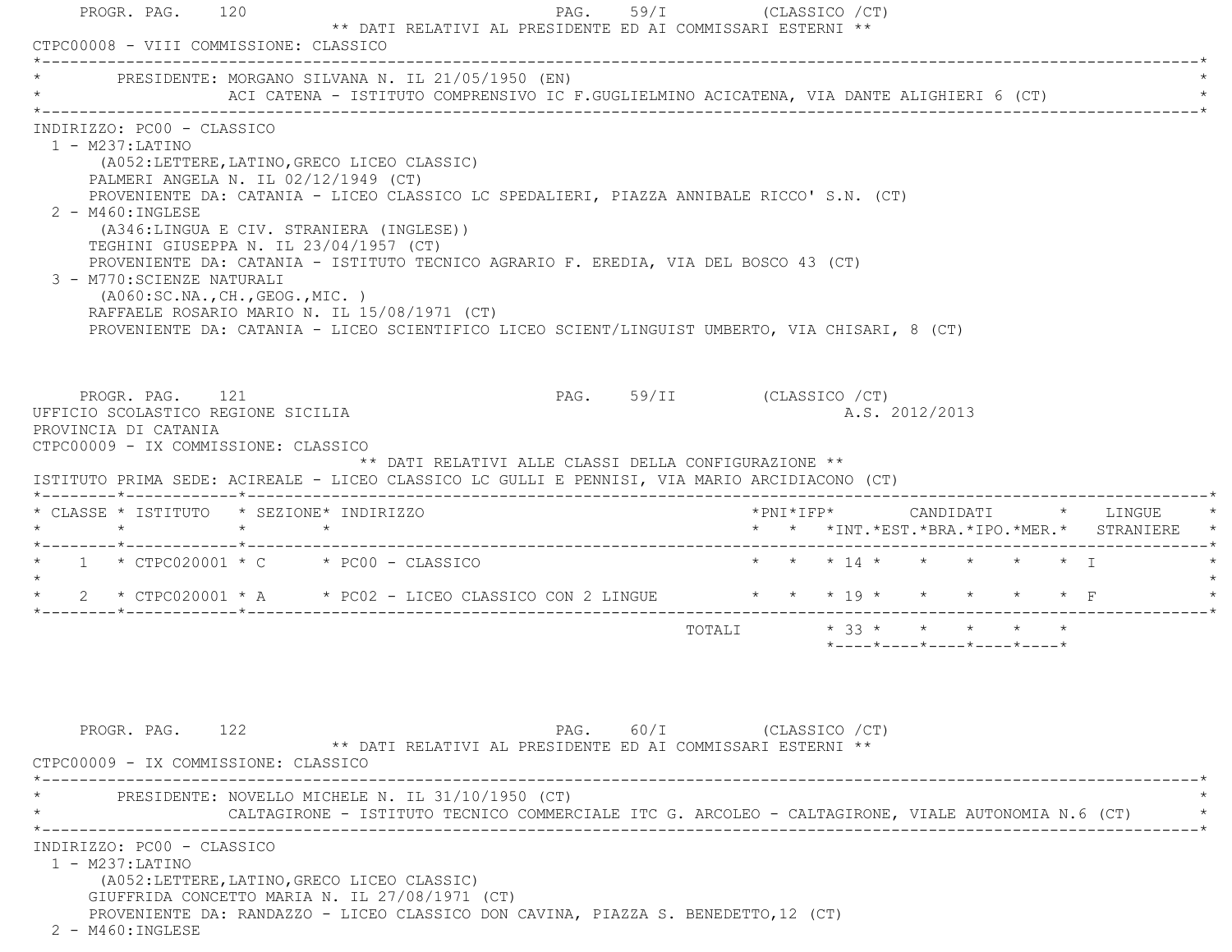| * PRESIDENTE: MORGANO SILVANA N. IL 21/05/1950 (EN)                                                                                                                                                                                                                                                                                                                                                                                                                                                                                                            | ACI CATENA - ISTITUTO COMPRENSIVO IC F.GUGLIELMINO ACICATENA, VIA DANTE ALIGHIERI 6 (CT) |                                                      |                            |                         |  |                |                                                                 |  |                                               |  |
|----------------------------------------------------------------------------------------------------------------------------------------------------------------------------------------------------------------------------------------------------------------------------------------------------------------------------------------------------------------------------------------------------------------------------------------------------------------------------------------------------------------------------------------------------------------|------------------------------------------------------------------------------------------|------------------------------------------------------|----------------------------|-------------------------|--|----------------|-----------------------------------------------------------------|--|-----------------------------------------------|--|
| INDIRIZZO: PC00 - CLASSICO<br>$1 - M237: LATINO$<br>PALMERI ANGELA N. IL 02/12/1949 (CT)<br>PROVENIENTE DA: CATANIA - LICEO CLASSICO LC SPEDALIERI, PIAZZA ANNIBALE RICCO' S.N. (CT)<br>2 - M460: INGLESE<br>TEGHINI GIUSEPPA N. IL 23/04/1957 (CT)<br>PROVENIENTE DA: CATANIA - ISTITUTO TECNICO AGRARIO F. EREDIA, VIA DEL BOSCO 43 (CT)<br>3 - M770: SCIENZE NATURALI<br>(AO60:SC.NA., CH., GEOG., MIC. )<br>RAFFAELE ROSARIO MARIO N. IL 15/08/1971 (CT)<br>PROVENIENTE DA: CATANIA - LICEO SCIENTIFICO LICEO SCIENT/LINGUIST UMBERTO, VIA CHISARI, 8 (CT) | (A052:LETTERE, LATINO, GRECO LICEO CLASSIC)<br>(A346:LINGUA E CIV. STRANIERA (INGLESE))  |                                                      |                            |                         |  |                |                                                                 |  |                                               |  |
| PROGR. PAG. 121<br>UFFICIO SCOLASTICO REGIONE SICILIA<br>PROVINCIA DI CATANIA<br>CTPC00009 - IX COMMISSIONE: CLASSICO                                                                                                                                                                                                                                                                                                                                                                                                                                          |                                                                                          |                                                      | PAG. 59/II (CLASSICO / CT) |                         |  | A.S. 2012/2013 |                                                                 |  |                                               |  |
| ISTITUTO PRIMA SEDE: ACIREALE - LICEO CLASSICO LC GULLI E PENNISI, VIA MARIO ARCIDIACONO (CT)                                                                                                                                                                                                                                                                                                                                                                                                                                                                  |                                                                                          | ** DATI RELATIVI ALLE CLASSI DELLA CONFIGURAZIONE ** |                            |                         |  |                |                                                                 |  |                                               |  |
|                                                                                                                                                                                                                                                                                                                                                                                                                                                                                                                                                                |                                                                                          |                                                      |                            |                         |  |                |                                                                 |  | * * *INT. *EST. *BRA. *IPO. *MER. * STRANIERE |  |
|                                                                                                                                                                                                                                                                                                                                                                                                                                                                                                                                                                |                                                                                          |                                                      |                            |                         |  |                | * * * 14 * * * * * * T                                          |  |                                               |  |
| 2 * CTPC020001 * A * PC02 - LICEO CLASSICO CON 2 LINGUE * * * 19 * * * * * * * F                                                                                                                                                                                                                                                                                                                                                                                                                                                                               |                                                                                          |                                                      |                            |                         |  |                |                                                                 |  |                                               |  |
| * CLASSE * ISTITUTO * SEZIONE* INDIRIZZO<br>$\star$ $\star$ $\star$ $\star$<br>$*$ 1 $*$ CTPC020001 $*$ C $*$ PC00 - CLASSICO<br>$\star$                                                                                                                                                                                                                                                                                                                                                                                                                       |                                                                                          |                                                      |                            | TOTALI * 33 * * * * * * |  |                | $*$ - - - - $*$ - - - - $*$ - - - - $*$ - - - - $*$ - - - - $*$ |  |                                               |  |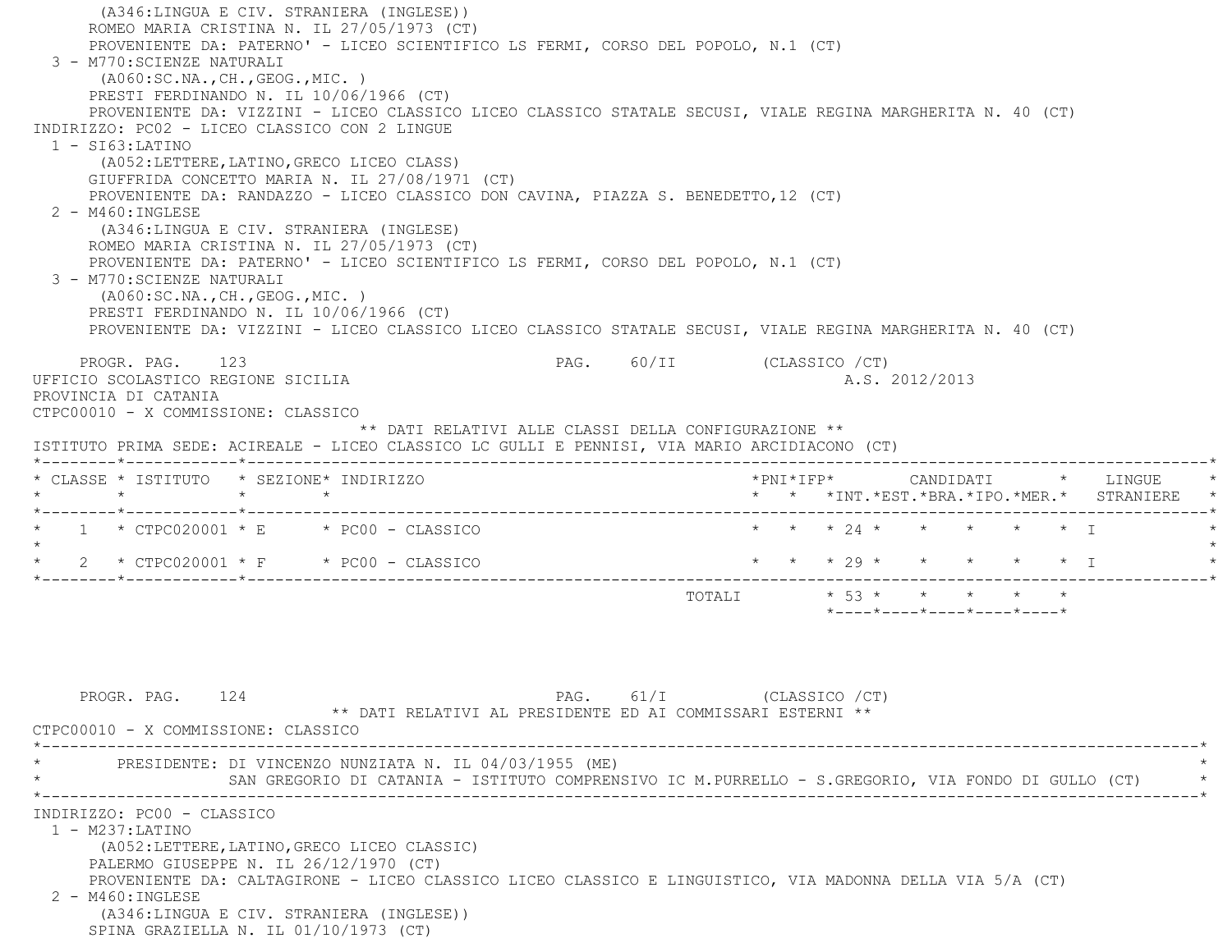(A346:LINGUA E CIV. STRANIERA (INGLESE)) ROMEO MARIA CRISTINA N. IL 27/05/1973 (CT) PROVENIENTE DA: PATERNO' - LICEO SCIENTIFICO LS FERMI, CORSO DEL POPOLO, N.1 (CT) 3 - M770:SCIENZE NATURALI (A060:SC.NA.,CH.,GEOG.,MIC. ) PRESTI FERDINANDO N. IL 10/06/1966 (CT) PROVENIENTE DA: VIZZINI - LICEO CLASSICO LICEO CLASSICO STATALE SECUSI, VIALE REGINA MARGHERITA N. 40 (CT) INDIRIZZO: PC02 - LICEO CLASSICO CON 2 LINGUE 1 - SI63:LATINO (A052:LETTERE,LATINO,GRECO LICEO CLASS) GIUFFRIDA CONCETTO MARIA N. IL 27/08/1971 (CT) PROVENIENTE DA: RANDAZZO - LICEO CLASSICO DON CAVINA, PIAZZA S. BENEDETTO,12 (CT) 2 - M460:INGLESE (A346:LINGUA E CIV. STRANIERA (INGLESE) ROMEO MARIA CRISTINA N. IL 27/05/1973 (CT) PROVENIENTE DA: PATERNO' - LICEO SCIENTIFICO LS FERMI, CORSO DEL POPOLO, N.1 (CT) 3 - M770:SCIENZE NATURALI (A060:SC.NA.,CH.,GEOG.,MIC. ) PRESTI FERDINANDO N. IL 10/06/1966 (CT) PROVENIENTE DA: VIZZINI - LICEO CLASSICO LICEO CLASSICO STATALE SECUSI, VIALE REGINA MARGHERITA N. 40 (CT) PROGR. PAG. 123 PAG. 60/II (CLASSICO /CT) UFFICIO SCOLASTICO REGIONE SICILIA A.S. 2012/2013 PROVINCIA DI CATANIA CTPC00010 - X COMMISSIONE: CLASSICO \*\* DATI RELATIVI ALLE CLASSI DELLA CONFIGURAZIONE \*\* ISTITUTO PRIMA SEDE: ACIREALE - LICEO CLASSICO LC GULLI E PENNISI, VIA MARIO ARCIDIACONO (CT) \*--------\*------------\*-------------------------------------------------------------------------------------------------------\* \* CLASSE \* ISTITUTO \* SEZIONE\* INDIRIZZO \*PNI\*IFP\* CANDIDATI \* LINGUE \* \* \* \* \* \* \* \*INT.\*EST.\*BRA.\*IPO.\*MER.\* STRANIERE \* \*--------\*------------\*-------------------------------------------------------------------------------------------------------\* $1 * CTPC020001 * E * PC00 - CLASSICO$  \* \* \* \* 24 \* \* \* \* \* \* T  $\star$ 2 \* CTPC020001 \* F \* PC00 - CLASSICO \* \* \* \* \* 29 \* \* \* \* \* \* \* I \*--------\*------------\*-------------------------------------------------------------------------------------------------------\* $\text{TOTAL}$   $\qquad \qquad \star \quad \text{53} \; \star \quad \qquad \star \quad \qquad \star \quad \qquad \star \quad \qquad \star \quad \qquad \star$ \*----\*----\*----\*----\*----\*

PROGR. PAG. 124 **PAG.** 61/I (CLASSICO /CT) \*\* DATI RELATIVI AL PRESIDENTE ED AI COMMISSARI ESTERNI \*\* CTPC00010 - X COMMISSIONE: CLASSICO \*----------------------------------------------------------------------------------------------------------------------------\*PRESIDENTE: DI VINCENZO NUNZIATA N. IL 04/03/1955 (ME) SAN GREGORIO DI CATANIA - ISTITUTO COMPRENSIVO IC M.PURRELLO - S.GREGORIO, VIA FONDO DI GULLO (CT) \*----------------------------------------------------------------------------------------------------------------------------\* INDIRIZZO: PC00 - CLASSICO 1 - M237:LATINO (A052:LETTERE,LATINO,GRECO LICEO CLASSIC) PALERMO GIUSEPPE N. IL 26/12/1970 (CT) PROVENIENTE DA: CALTAGIRONE - LICEO CLASSICO LICEO CLASSICO E LINGUISTICO, VIA MADONNA DELLA VIA 5/A (CT) 2 - M460:INGLESE (A346:LINGUA E CIV. STRANIERA (INGLESE)) SPINA GRAZIELLA N. IL 01/10/1973 (CT)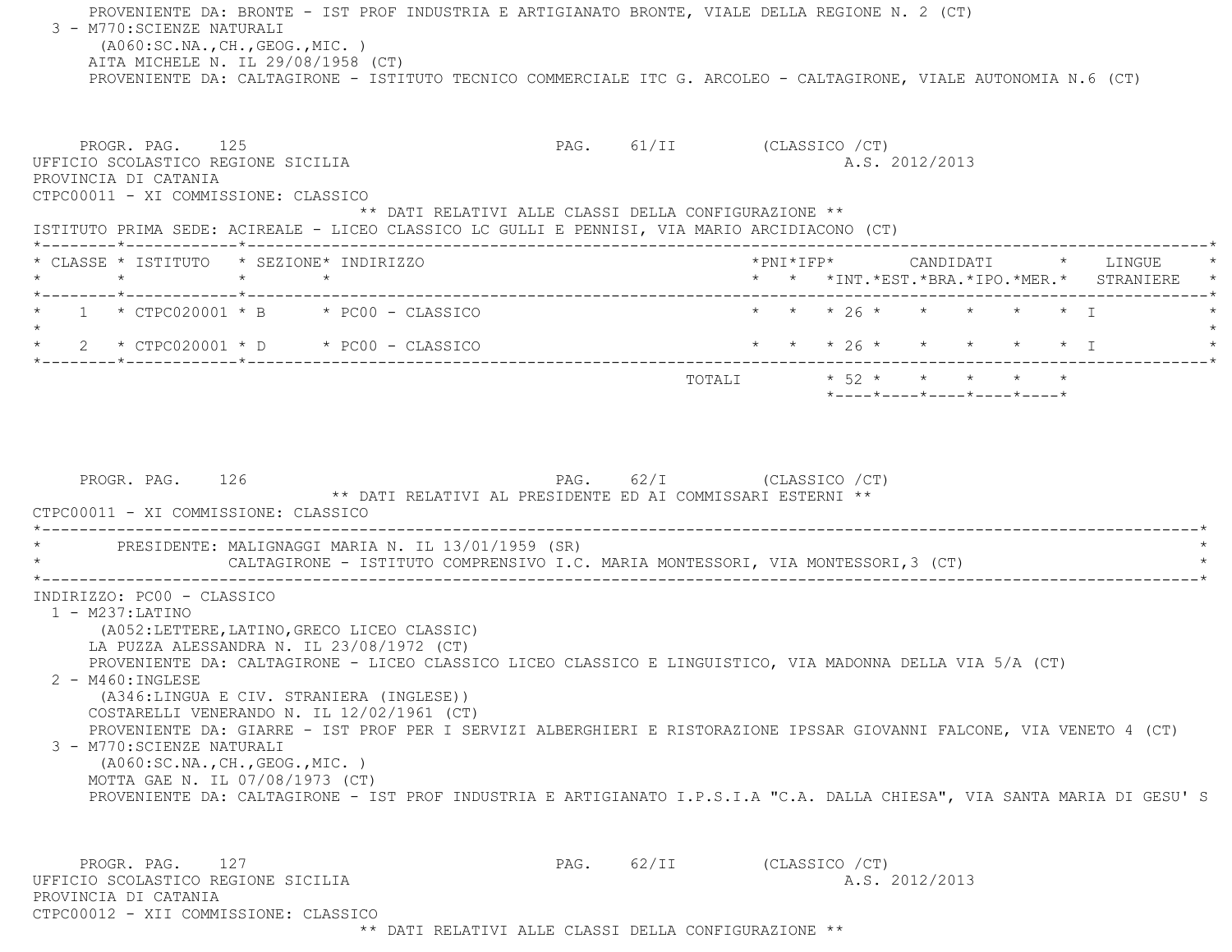PROVENIENTE DA: BRONTE - IST PROF INDUSTRIA E ARTIGIANATO BRONTE, VIALE DELLA REGIONE N. 2 (CT) 3 - M770:SCIENZE NATURALI (A060:SC.NA.,CH.,GEOG.,MIC. ) AITA MICHELE N. IL 29/08/1958 (CT) PROVENIENTE DA: CALTAGIRONE - ISTITUTO TECNICO COMMERCIALE ITC G. ARCOLEO - CALTAGIRONE, VIALE AUTONOMIA N.6 (CT) PROGR. PAG. 125 PAG. 61/II (CLASSICO /CT) UFFICIO SCOLASTICO REGIONE SICILIA A.S. 2012/2013 PROVINCIA DI CATANIA CTPC00011 - XI COMMISSIONE: CLASSICO \*\* DATI RELATIVI ALLE CLASSI DELLA CONFIGURAZIONE \*\* ISTITUTO PRIMA SEDE: ACIREALE - LICEO CLASSICO LC GULLI E PENNISI, VIA MARIO ARCIDIACONO (CT) \*--------\*------------\*-------------------------------------------------------------------------------------------------------\* \* CLASSE \* ISTITUTO \* SEZIONE\* INDIRIZZO \*PNI\*IFP\* CANDIDATI \* LINGUE \* \* \* \* \* \* \* \*INT.\*EST.\*BRA.\*IPO.\*MER.\* STRANIERE \* \*--------\*------------\*-------------------------------------------------------------------------------------------------------\*\* 1 \* CTPC020001 \* B \* PC00 - CLASSICO \* \* \* \* 26 \* \* \* \* \* \* \* T  $\star$  \* 2 \* CTPC020001 \* D \* PC00 - CLASSICO \* \* \* 26 \* \* \* \* \* I \* \*--------\*------------\*-------------------------------------------------------------------------------------------------------\* $\texttt{TOTALI} \qquad \qquad \star \quad 52 \; \star \qquad \star \qquad \star \qquad \star \qquad \star \qquad \star$  \*----\*----\*----\*----\*----\*PROGR. PAG. 126 PAG. 62/I (CLASSICO /CT) \*\* DATI RELATIVI AL PRESIDENTE ED AI COMMISSARI ESTERNI \*\* CTPC00011 - XI COMMISSIONE: CLASSICO $\star$ PRESIDENTE: MALIGNAGGI MARIA N. IL 13/01/1959 (SR) CALTAGIRONE - ISTITUTO COMPRENSIVO I.C. MARIA MONTESSORI, VIA MONTESSORI, 3 (CT) \*----------------------------------------------------------------------------------------------------------------------------\* INDIRIZZO: PC00 - CLASSICO 1 - M237:LATINO (A052:LETTERE,LATINO,GRECO LICEO CLASSIC) LA PUZZA ALESSANDRA N. IL 23/08/1972 (CT) PROVENIENTE DA: CALTAGIRONE - LICEO CLASSICO LICEO CLASSICO E LINGUISTICO, VIA MADONNA DELLA VIA 5/A (CT) 2 - M460:INGLESE (A346:LINGUA E CIV. STRANIERA (INGLESE)) COSTARELLI VENERANDO N. IL 12/02/1961 (CT) PROVENIENTE DA: GIARRE - IST PROF PER I SERVIZI ALBERGHIERI E RISTORAZIONE IPSSAR GIOVANNI FALCONE, VIA VENETO 4 (CT) 3 - M770:SCIENZE NATURALI (A060:SC.NA.,CH.,GEOG.,MIC. ) MOTTA GAE N. IL 07/08/1973 (CT) PROVENIENTE DA: CALTAGIRONE - IST PROF INDUSTRIA E ARTIGIANATO I.P.S.I.A "C.A. DALLA CHIESA", VIA SANTA MARIA DI GESU' S PROGR. PAG. 127 CLASSICO / CT) UFFICIO SCOLASTICO REGIONE SICILIA A.S. 2012/2013 PROVINCIA DI CATANIACTPC00012 - XII COMMISSIONE: CLASSICO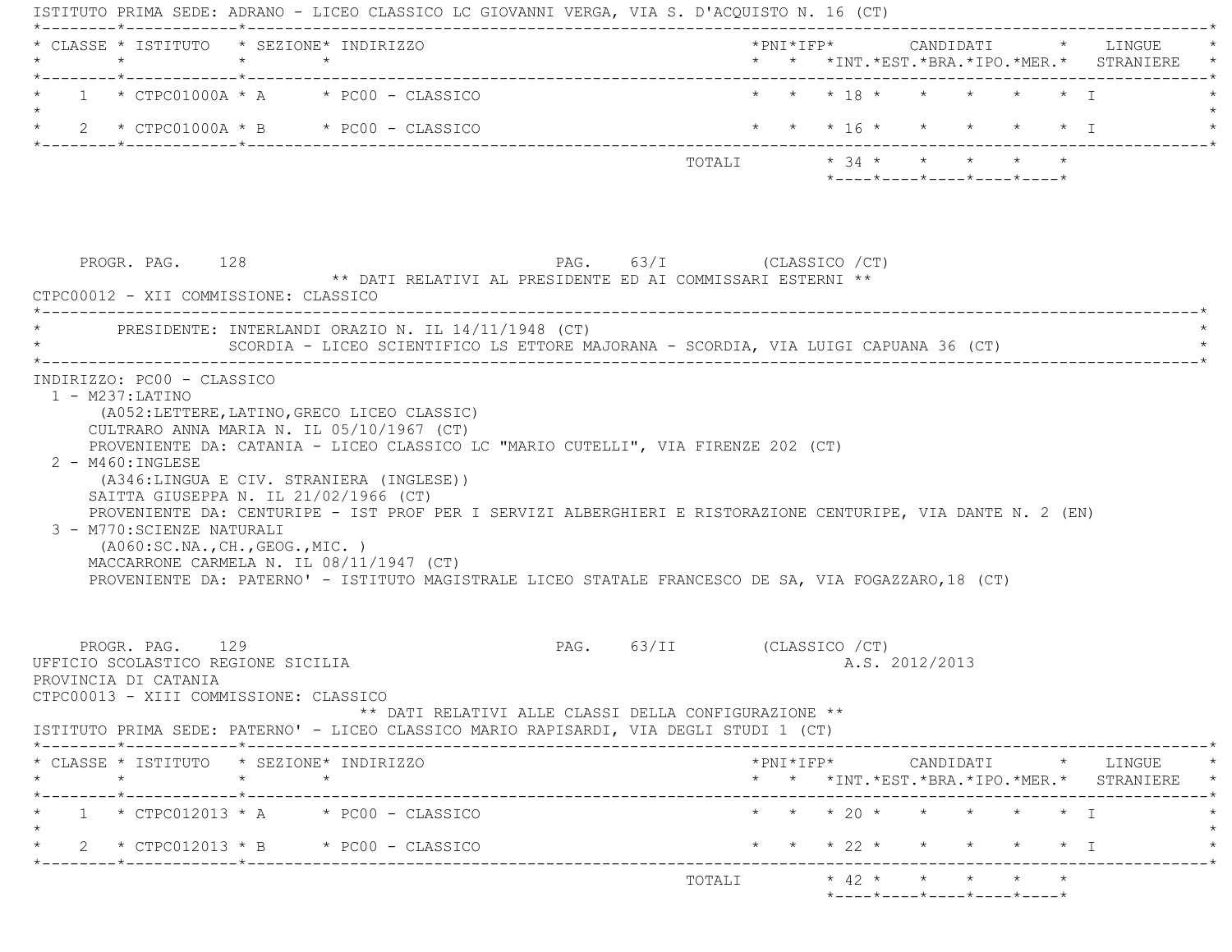ISTITUTO PRIMA SEDE: ADRANO - LICEO CLASSICO LC GIOVANNI VERGA, VIA S. D'ACQUISTO N. 16 (CT) \*--------\*------------\*-------------------------------------------------------------------------------------------------------\* \* CLASSE \* ISTITUTO \* SEZIONE\* INDIRIZZO \*PNI\*IFP\* CANDIDATI \* LINGUE \* \* \* \* \* \* \* \*INT.\*EST.\*BRA.\*IPO.\*MER.\* STRANIERE \* \*--------\*------------\*-------------------------------------------------------------------------------------------------------\*1 \* CTPC01000A \* A \* PC00 - CLASSICO \* \* \* \* 18 \* \* \* \* \* \* \* T  $\star$ \* 2 \* CTPC01000A \* B \* PC00 - CLASSICO \* \* \* \* 16 \* \* \* \* \* \* \* \* I \*--------\*------------\*-------------------------------------------------------------------------------------------------------\* TOTALI \* 34 \* \* \* \* \* \*----\*----\*----\*----\*----\* PROGR. PAG. 128 PAG. 63/I (CLASSICO /CT) \*\* DATI RELATIVI AL PRESIDENTE ED AI COMMISSARI ESTERNI \*\* CTPC00012 - XII COMMISSIONE: CLASSICO \*----------------------------------------------------------------------------------------------------------------------------\*PRESIDENTE: INTERLANDI ORAZIO N. IL 14/11/1948 (CT) SCORDIA - LICEO SCIENTIFICO LS ETTORE MAJORANA - SCORDIA, VIA LUIGI CAPUANA 36 (CT) \*----------------------------------------------------------------------------------------------------------------------------\* INDIRIZZO: PC00 - CLASSICO 1 - M237:LATINO (A052:LETTERE,LATINO,GRECO LICEO CLASSIC) CULTRARO ANNA MARIA N. IL 05/10/1967 (CT) PROVENIENTE DA: CATANIA - LICEO CLASSICO LC "MARIO CUTELLI", VIA FIRENZE 202 (CT) 2 - M460:INGLESE (A346:LINGUA E CIV. STRANIERA (INGLESE)) SAITTA GIUSEPPA N. IL 21/02/1966 (CT) PROVENIENTE DA: CENTURIPE - IST PROF PER I SERVIZI ALBERGHIERI E RISTORAZIONE CENTURIPE, VIA DANTE N. 2 (EN) 3 - M770:SCIENZE NATURALI (A060:SC.NA.,CH.,GEOG.,MIC. ) MACCARRONE CARMELA N. IL 08/11/1947 (CT) PROVENIENTE DA: PATERNO' - ISTITUTO MAGISTRALE LICEO STATALE FRANCESCO DE SA, VIA FOGAZZARO,18 (CT) PROGR. PAG. 129 PAG. 63/II (CLASSICO /CT) UFFICIO SCOLASTICO REGIONE SICILIA A.S. 2012/2013 PROVINCIA DI CATANIA CTPC00013 - XIII COMMISSIONE: CLASSICO \*\* DATI RELATIVI ALLE CLASSI DELLA CONFIGURAZIONE \*\* ISTITUTO PRIMA SEDE: PATERNO' - LICEO CLASSICO MARIO RAPISARDI, VIA DEGLI STUDI 1 (CT) \*--------\*------------\*-------------------------------------------------------------------------------------------------------\* \* CLASSE \* ISTITUTO \* SEZIONE\* INDIRIZZO \*PNI\*IFP\* CANDIDATI \* LINGUE \* \* \* \* \* \* \* \*INT.\*EST.\*BRA.\*IPO.\*MER.\* STRANIERE \* \*--------\*------------\*-------------------------------------------------------------------------------------------------------\*1 \* CTPC012013 \* A \* PC00 - CLASSICO \* \* \* \* 20 \* \* \* \* \* \* \* I  $\star$  \* 2 \* CTPC012013 \* B \* PC00 - CLASSICO \* \* \* 22 \* \* \* \* \* I \* \*--------\*------------\*-------------------------------------------------------------------------------------------------------\* TOTALI \* 42 \* \* \* \* \*\*----\*----\*----\*----\*----\*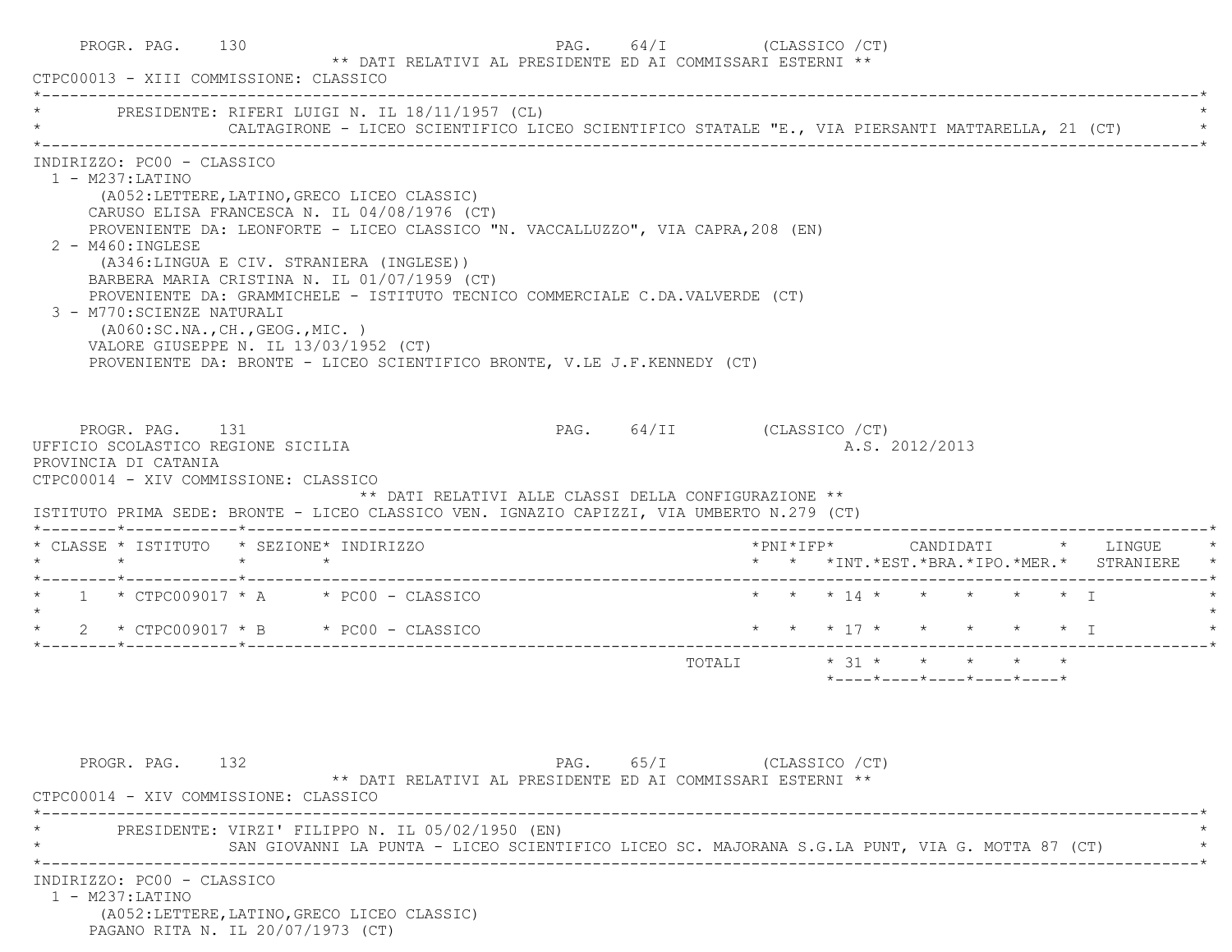| * PRESIDENTE: RIFERI LUIGI N. IL 18/11/1957 (CL)                                                                                                                                                                    |                 | CALTAGIRONE - LICEO SCIENTIFICO LICEO SCIENTIFICO STATALE "E., VIA PIERSANTI MATTARELLA, 21 (CT)                                                                                                                                                                                                                                                                                                                                         |                            |                           |                        |  |  |                |                                                  |  |                                                                          |
|---------------------------------------------------------------------------------------------------------------------------------------------------------------------------------------------------------------------|-----------------|------------------------------------------------------------------------------------------------------------------------------------------------------------------------------------------------------------------------------------------------------------------------------------------------------------------------------------------------------------------------------------------------------------------------------------------|----------------------------|---------------------------|------------------------|--|--|----------------|--------------------------------------------------|--|--------------------------------------------------------------------------|
| INDIRIZZO: PC00 - CLASSICO<br>$1 - M237$ : LATINO<br>$2 - M460$ : INGLESE<br>3 - M770: SCIENZE NATURALI<br>( A060:SC.NA., CH., GEOG., MIC. )<br>VALORE GIUSEPPE N. IL 13/03/1952 (CT)                               |                 | (A052:LETTERE, LATINO, GRECO LICEO CLASSIC)<br>CARUSO ELISA FRANCESCA N. IL 04/08/1976 (CT)<br>PROVENIENTE DA: LEONFORTE - LICEO CLASSICO "N. VACCALLUZZO", VIA CAPRA, 208 (EN)<br>(A346:LINGUA E CIV. STRANIERA (INGLESE))<br>BARBERA MARIA CRISTINA N. IL 01/07/1959 (CT)<br>PROVENIENTE DA: GRAMMICHELE - ISTITUTO TECNICO COMMERCIALE C.DA.VALVERDE (CT)<br>PROVENIENTE DA: BRONTE - LICEO SCIENTIFICO BRONTE, V.LE J.F.KENNEDY (CT) |                            |                           |                        |  |  |                |                                                  |  |                                                                          |
|                                                                                                                                                                                                                     |                 |                                                                                                                                                                                                                                                                                                                                                                                                                                          |                            |                           |                        |  |  |                |                                                  |  |                                                                          |
| PROGR. PAG. 131<br>UFFICIO SCOLASTICO REGIONE SICILIA<br>PROVINCIA DI CATANIA<br>CTPC00014 - XIV COMMISSIONE: CLASSICO<br>ISTITUTO PRIMA SEDE: BRONTE - LICEO CLASSICO VEN. IGNAZIO CAPIZZI, VIA UMBERTO N.279 (CT) |                 | ** DATI RELATIVI ALLE CLASSI DELLA CONFIGURAZIONE **                                                                                                                                                                                                                                                                                                                                                                                     | PAG. 64/II (CLASSICO / CT) |                           |                        |  |  | A.S. 2012/2013 |                                                  |  |                                                                          |
| * CLASSE * ISTITUTO * SEZIONE* INDIRIZZO<br>$\star$                                                                                                                                                                 | $\star$ $\star$ |                                                                                                                                                                                                                                                                                                                                                                                                                                          |                            |                           |                        |  |  |                |                                                  |  | *PNI*IFP* CANDIDATI * LINGUE<br>* * *INT.*EST.*BRA.*IPO.*MER.* STRANIERE |
| $1 \times$ CTPC009017 $\star$ A $\star$ PC00 - CLASSICO                                                                                                                                                             |                 |                                                                                                                                                                                                                                                                                                                                                                                                                                          |                            |                           |                        |  |  |                | * * * 14 * * * * * * T                           |  |                                                                          |
| * 2 * CTPC009017 * B * PC00 - CLASSICO                                                                                                                                                                              |                 |                                                                                                                                                                                                                                                                                                                                                                                                                                          |                            |                           | * * * 17 * * * * * * T |  |  |                |                                                  |  |                                                                          |
|                                                                                                                                                                                                                     |                 |                                                                                                                                                                                                                                                                                                                                                                                                                                          |                            |                           |                        |  |  |                | $*$ ---- $*$ ---- $*$ ---- $*$ ---- $*$ ---- $*$ |  |                                                                          |
| PROGR. PAG. 132<br>CTPC00014 - XIV COMMISSIONE: CLASSICO                                                                                                                                                            |                 | ** DATI RELATIVI AL PRESIDENTE ED AI COMMISSARI ESTERNI **                                                                                                                                                                                                                                                                                                                                                                               |                            | PAG. 65/I (CLASSICO / CT) |                        |  |  |                |                                                  |  |                                                                          |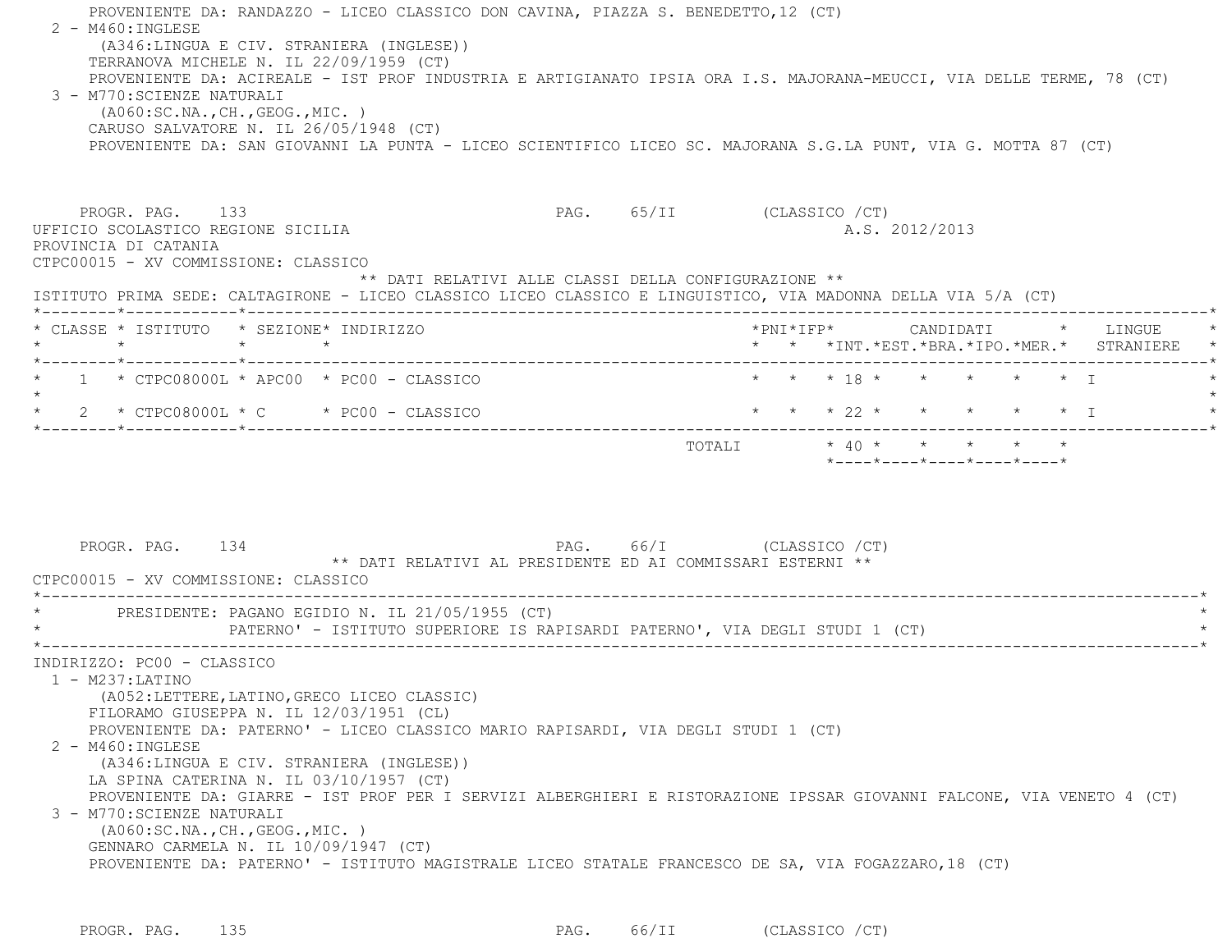| 2 - M460: INGLESE                        | 3 - M770: SCIENZE NATURALI<br>( A060:SC.NA., CH., GEOG., MIC. )                                                                                                                                       | PROVENIENTE DA: RANDAZZO - LICEO CLASSICO DON CAVINA, PIAZZA S. BENEDETTO, 12 (CT)<br>(A346:LINGUA E CIV. STRANIERA (INGLESE))<br>TERRANOVA MICHELE N. IL 22/09/1959 (CT)<br>PROVENIENTE DA: ACIREALE - IST PROF INDUSTRIA E ARTIGIANATO IPSIA ORA I.S. MAJORANA-MEUCCI, VIA DELLE TERME, 78 (CT)<br>CARUSO SALVATORE N. IL 26/05/1948 (CT)<br>PROVENIENTE DA: SAN GIOVANNI LA PUNTA - LICEO SCIENTIFICO LICEO SC. MAJORANA S.G.LA PUNT, VIA G. MOTTA 87 (CT) |                                                            |                            |  |                        |  |  |                                            |
|------------------------------------------|-------------------------------------------------------------------------------------------------------------------------------------------------------------------------------------------------------|---------------------------------------------------------------------------------------------------------------------------------------------------------------------------------------------------------------------------------------------------------------------------------------------------------------------------------------------------------------------------------------------------------------------------------------------------------------|------------------------------------------------------------|----------------------------|--|------------------------|--|--|--------------------------------------------|
|                                          | PROGR. PAG. 133<br>UFFICIO SCOLASTICO REGIONE SICILIA<br>PROVINCIA DI CATANIA<br>CTPC00015 - XV COMMISSIONE: CLASSICO                                                                                 |                                                                                                                                                                                                                                                                                                                                                                                                                                                               | ** DATI RELATIVI ALLE CLASSI DELLA CONFIGURAZIONE **       | PAG. 65/II (CLASSICO / CT) |  | A.S. 2012/2013         |  |  |                                            |
|                                          |                                                                                                                                                                                                       | ISTITUTO PRIMA SEDE: CALTAGIRONE - LICEO CLASSICO LICEO CLASSICO E LINGUISTICO, VIA MADONNA DELLA VIA 5/A (CT)<br>* CLASSE * ISTITUTO * SEZIONE* INDIRIZZO                                                                                                                                                                                                                                                                                                    |                                                            |                            |  |                        |  |  |                                            |
|                                          |                                                                                                                                                                                                       |                                                                                                                                                                                                                                                                                                                                                                                                                                                               |                                                            |                            |  |                        |  |  | * * *INT.*EST.*BRA.*IPO.*MER.* STRANIERE * |
|                                          |                                                                                                                                                                                                       | $\star$ 1 $\star$ CTPC08000L $\star$ APC00 $\star$ PC00 - CLASSICO                                                                                                                                                                                                                                                                                                                                                                                            |                                                            |                            |  | * * * 18 * * * * * * I |  |  |                                            |
|                                          |                                                                                                                                                                                                       |                                                                                                                                                                                                                                                                                                                                                                                                                                                               |                                                            |                            |  |                        |  |  |                                            |
|                                          | PROGR. PAG. 134<br>CTPC00015 - XV COMMISSIONE: CLASSICO                                                                                                                                               | PAG. 66/I (CLASSICO / CT)                                                                                                                                                                                                                                                                                                                                                                                                                                     | ** DATI RELATIVI AL PRESIDENTE ED AI COMMISSARI ESTERNI ** |                            |  |                        |  |  |                                            |
|                                          |                                                                                                                                                                                                       | * PRESIDENTE: PAGANO EGIDIO N. IL 21/05/1955 (CT)<br>PATERNO' - ISTITUTO SUPERIORE IS RAPISARDI PATERNO', VIA DEGLI STUDI 1 (CT)                                                                                                                                                                                                                                                                                                                              |                                                            |                            |  |                        |  |  |                                            |
| $1 - M237$ : LATINO<br>2 - M460: INGLESE | INDIRIZZO: PC00 - CLASSICO<br>3 - M770: SCIENZE NATURALI<br>( A060:SC.NA., CH., GEOG., MIC. )<br>PROVENIENTE DA: PATERNO' - ISTITUTO MAGISTRALE LICEO STATALE FRANCESCO DE SA, VIA FOGAZZARO, 18 (CT) | (A052:LETTERE, LATINO, GRECO LICEO CLASSIC)<br>FILORAMO GIUSEPPA N. IL 12/03/1951 (CL)<br>PROVENIENTE DA: PATERNO' - LICEO CLASSICO MARIO RAPISARDI, VIA DEGLI STUDI 1 (CT)<br>(A346:LINGUA E CIV. STRANIERA (INGLESE))<br>LA SPINA CATERINA N. IL 03/10/1957 (CT)<br>PROVENIENTE DA: GIARRE - IST PROF PER I SERVIZI ALBERGHIERI E RISTORAZIONE IPSSAR GIOVANNI FALCONE, VIA VENETO 4 (CT)<br>GENNARO CARMELA N. IL 10/09/1947 (CT)                          |                                                            |                            |  |                        |  |  |                                            |

PROGR. PAG. 135 PAG. 66/II (CLASSICO /CT)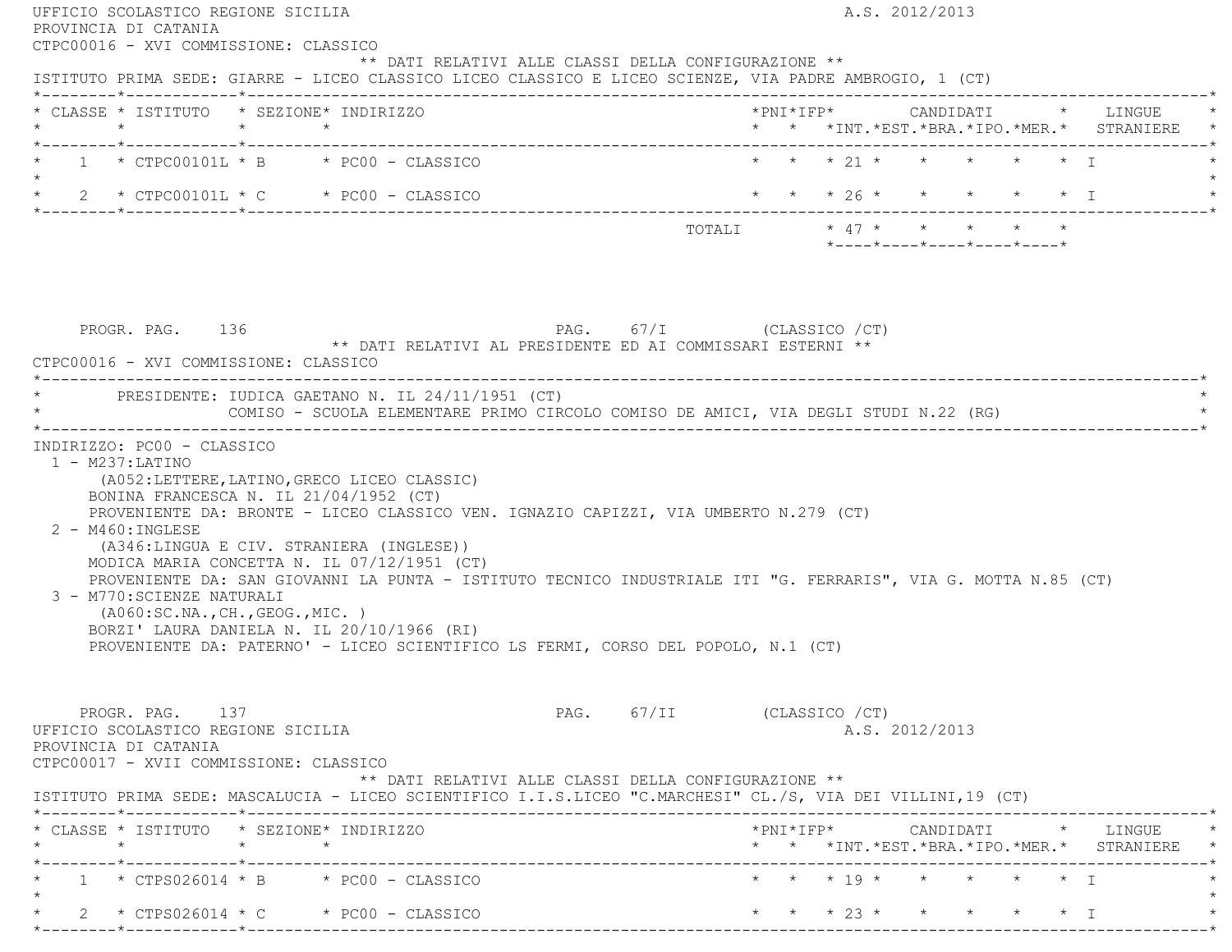|                                                                                                                                             | ISTITUTO PRIMA SEDE: GIARRE - LICEO CLASSICO LICEO CLASSICO E LICEO SCIENZE, VIA PADRE AMBROGIO, 1 (CT)                                                                                                                                                                                                                                                                                                                                                                                                                       |                            |  |                                                                 |  |                                                                                            |
|---------------------------------------------------------------------------------------------------------------------------------------------|-------------------------------------------------------------------------------------------------------------------------------------------------------------------------------------------------------------------------------------------------------------------------------------------------------------------------------------------------------------------------------------------------------------------------------------------------------------------------------------------------------------------------------|----------------------------|--|-----------------------------------------------------------------|--|--------------------------------------------------------------------------------------------|
| * CLASSE * ISTITUTO * SEZIONE* INDIRIZZO                                                                                                    |                                                                                                                                                                                                                                                                                                                                                                                                                                                                                                                               |                            |  |                                                                 |  | *PNI*IFP*      CANDIDATI    *   LINGUE<br>* * * INT. *EST. *BRA. *IPO. *MER. * STRANIERE * |
|                                                                                                                                             | $*$ 1 $*$ CTPC00101L $*$ B $*$ PC00 - CLASSICO                                                                                                                                                                                                                                                                                                                                                                                                                                                                                | * * * 21 * * * * * * T     |  |                                                                 |  |                                                                                            |
| $\star$ 2 $\star$ CTPC00101L $\star$ C $\star$ PC00 - CLASSICO                                                                              |                                                                                                                                                                                                                                                                                                                                                                                                                                                                                                                               |                            |  | * * * 26 * * * * * * I                                          |  |                                                                                            |
|                                                                                                                                             |                                                                                                                                                                                                                                                                                                                                                                                                                                                                                                                               |                            |  | $*$ - - - - $*$ - - - - $*$ - - - - $*$ - - - - $*$ - - - - $*$ |  |                                                                                            |
| PROGR. PAG. 136<br>CTPC00016 - XVI COMMISSIONE: CLASSICO                                                                                    | $PAG.$ 67/I (CLASSICO / CT)<br>** DATI RELATIVI AL PRESIDENTE ED AI COMMISSARI ESTERNI **<br>* PRESIDENTE: IUDICA GAETANO N. IL 24/11/1951 (CT)                                                                                                                                                                                                                                                                                                                                                                               |                            |  |                                                                 |  |                                                                                            |
|                                                                                                                                             | COMISO - SCUOLA ELEMENTARE PRIMO CIRCOLO COMISO DE AMICI, VIA DEGLI STUDI N.22 (RG)                                                                                                                                                                                                                                                                                                                                                                                                                                           |                            |  |                                                                 |  |                                                                                            |
|                                                                                                                                             |                                                                                                                                                                                                                                                                                                                                                                                                                                                                                                                               |                            |  |                                                                 |  |                                                                                            |
| INDIRIZZO: PC00 - CLASSICO<br>$1 - M237: LATINO$<br>$2 - M460$ : INGLESE<br>3 - M770: SCIENZE NATURALI<br>( A060:SC.NA., CH., GEOG., MIC. ) | (A052:LETTERE, LATINO, GRECO LICEO CLASSIC)<br>BONINA FRANCESCA N. IL 21/04/1952 (CT)<br>PROVENIENTE DA: BRONTE - LICEO CLASSICO VEN. IGNAZIO CAPIZZI, VIA UMBERTO N.279 (CT)<br>(A346:LINGUA E CIV. STRANIERA (INGLESE))<br>MODICA MARIA CONCETTA N. IL 07/12/1951 (CT)<br>PROVENIENTE DA: SAN GIOVANNI LA PUNTA - ISTITUTO TECNICO INDUSTRIALE ITI "G. FERRARIS", VIA G. MOTTA N.85 (CT)<br>BORZI' LAURA DANIELA N. IL 20/10/1966 (RI)<br>PROVENIENTE DA: PATERNO' - LICEO SCIENTIFICO LS FERMI, CORSO DEL POPOLO, N.1 (CT) |                            |  |                                                                 |  |                                                                                            |
| PROGR. PAG. 137<br>UFFICIO SCOLASTICO REGIONE SICILIA<br>PROVINCIA DI CATANIA<br>CTPC00017 - XVII COMMISSIONE: CLASSICO                     | ** DATI RELATIVI ALLE CLASSI DELLA CONFIGURAZIONE **                                                                                                                                                                                                                                                                                                                                                                                                                                                                          | PAG. 67/II (CLASSICO / CT) |  | A.S. 2012/2013                                                  |  |                                                                                            |
|                                                                                                                                             | ISTITUTO PRIMA SEDE: MASCALUCIA - LICEO SCIENTIFICO I.I.S.LICEO "C.MARCHESI" CL./S, VIA DEI VILLINI, 19 (CT)                                                                                                                                                                                                                                                                                                                                                                                                                  |                            |  |                                                                 |  |                                                                                            |
| * CLASSE * ISTITUTO * SEZIONE* INDIRIZZO                                                                                                    |                                                                                                                                                                                                                                                                                                                                                                                                                                                                                                                               |                            |  |                                                                 |  | * * *INT. *EST. *BRA. *IPO. *MER. * STRANIERE *                                            |
|                                                                                                                                             | $1 * CTPS026014 * B * PC00 - CLASSICO$                                                                                                                                                                                                                                                                                                                                                                                                                                                                                        | * * * 19 * * * * * * I     |  |                                                                 |  |                                                                                            |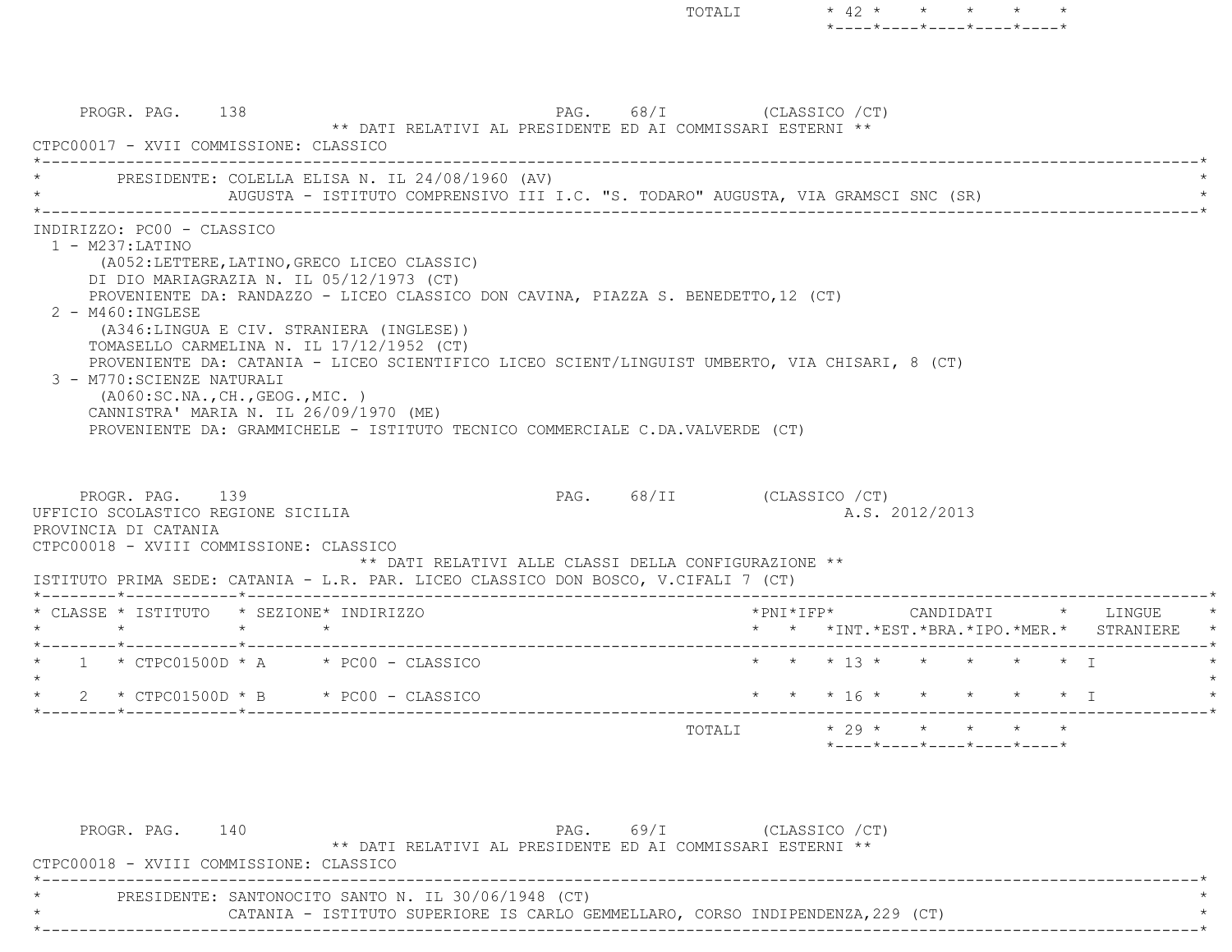PROGR. PAG. 138 PAG. 68/I (CLASSICO /CT) \*\* DATI RELATIVI AL PRESIDENTE ED AI COMMISSARI ESTERNI \*\* CTPC00017 - XVII COMMISSIONE: CLASSICO $\mathcal{L}^{\mathcal{L}}(\mathcal{L}^{\mathcal{L}}(\mathcal{L}^{\mathcal{L}}(\mathcal{L}^{\mathcal{L}}(\mathcal{L}^{\mathcal{L}}(\mathcal{L}^{\mathcal{L}}(\mathcal{L}^{\mathcal{L}}(\mathcal{L}^{\mathcal{L}}(\mathcal{L}^{\mathcal{L}}(\mathcal{L}^{\mathcal{L}}(\mathcal{L}^{\mathcal{L}}(\mathcal{L}^{\mathcal{L}}(\mathcal{L}^{\mathcal{L}}(\mathcal{L}^{\mathcal{L}}(\mathcal{L}^{\mathcal{L}}(\mathcal{L}^{\mathcal{L}}(\mathcal{L}^{\mathcal{L$ PRESIDENTE: COLELLA ELISA N. IL 24/08/1960 (AV) AUGUSTA - ISTITUTO COMPRENSIVO III I.C. "S. TODARO" AUGUSTA, VIA GRAMSCI SNC (SR) \*----------------------------------------------------------------------------------------------------------------------------\* INDIRIZZO: PC00 - CLASSICO 1 - M237:LATINO (A052:LETTERE,LATINO,GRECO LICEO CLASSIC) DI DIO MARIAGRAZIA N. IL 05/12/1973 (CT) PROVENIENTE DA: RANDAZZO - LICEO CLASSICO DON CAVINA, PIAZZA S. BENEDETTO,12 (CT) 2 - M460:INGLESE (A346:LINGUA E CIV. STRANIERA (INGLESE)) TOMASELLO CARMELINA N. IL 17/12/1952 (CT) PROVENIENTE DA: CATANIA - LICEO SCIENTIFICO LICEO SCIENT/LINGUIST UMBERTO, VIA CHISARI, 8 (CT) 3 - M770:SCIENZE NATURALI (A060:SC.NA.,CH.,GEOG.,MIC. ) CANNISTRA' MARIA N. IL 26/09/1970 (ME) PROVENIENTE DA: GRAMMICHELE - ISTITUTO TECNICO COMMERCIALE C.DA.VALVERDE (CT) PROGR. PAG. 139 PAG. 68/II (CLASSICO /CT) UFFICIO SCOLASTICO REGIONE SICILIA A.S. 2012/2013 PROVINCIA DI CATANIA CTPC00018 - XVIII COMMISSIONE: CLASSICO \*\* DATI RELATIVI ALLE CLASSI DELLA CONFIGURAZIONE \*\* ISTITUTO PRIMA SEDE: CATANIA - L.R. PAR. LICEO CLASSICO DON BOSCO, V.CIFALI 7 (CT) \*--------\*------------\*-------------------------------------------------------------------------------------------------------\* \* CLASSE \* ISTITUTO \* SEZIONE\* INDIRIZZO \*PNI\*IFP\* CANDIDATI \* LINGUE \* \* \* \* \* \* \* \*INT.\*EST.\*BRA.\*IPO.\*MER.\* STRANIERE \* \*--------\*------------\*-------------------------------------------------------------------------------------------------------\*\* 1 \* CTPC01500D \* A \* PC00 - CLASSICO \* \* \* \* 13 \* \* \* \* \* \* \* T  $\star$ \* 2 \* CTPC01500D \* B \* PC00 - CLASSICO \* \* \* \* 16 \* \* \* \* \* \* \* \* I \*--------\*------------\*-------------------------------------------------------------------------------------------------------\*TOTALI  $* 29 * * * * * * * * *$ \*----\*----\*----\*----\*----\*

TOTALI  $* 42 * * * * * * * * *$ 

\*----\*----\*----\*----\*----\*

| PROGR. PAG. | 140                                                 |  | $PAG.$ 69/I                                                                    |  | (CLASSICO /CT) |  |  |
|-------------|-----------------------------------------------------|--|--------------------------------------------------------------------------------|--|----------------|--|--|
|             |                                                     |  | ** DATI RELATIVI AL PRESIDENTE ED AI COMMISSARI ESTERNI **                     |  |                |  |  |
|             | CTPC00018 - XVIII COMMISSIONE: CLASSICO             |  |                                                                                |  |                |  |  |
|             |                                                     |  |                                                                                |  |                |  |  |
|             | PRESIDENTE: SANTONOCITO SANTO N. IL 30/06/1948 (CT) |  |                                                                                |  |                |  |  |
|             |                                                     |  | CATANIA - ISTITUTO SUPERIORE IS CARLO GEMMELLARO, CORSO INDIPENDENZA, 229 (CT) |  |                |  |  |
|             |                                                     |  |                                                                                |  |                |  |  |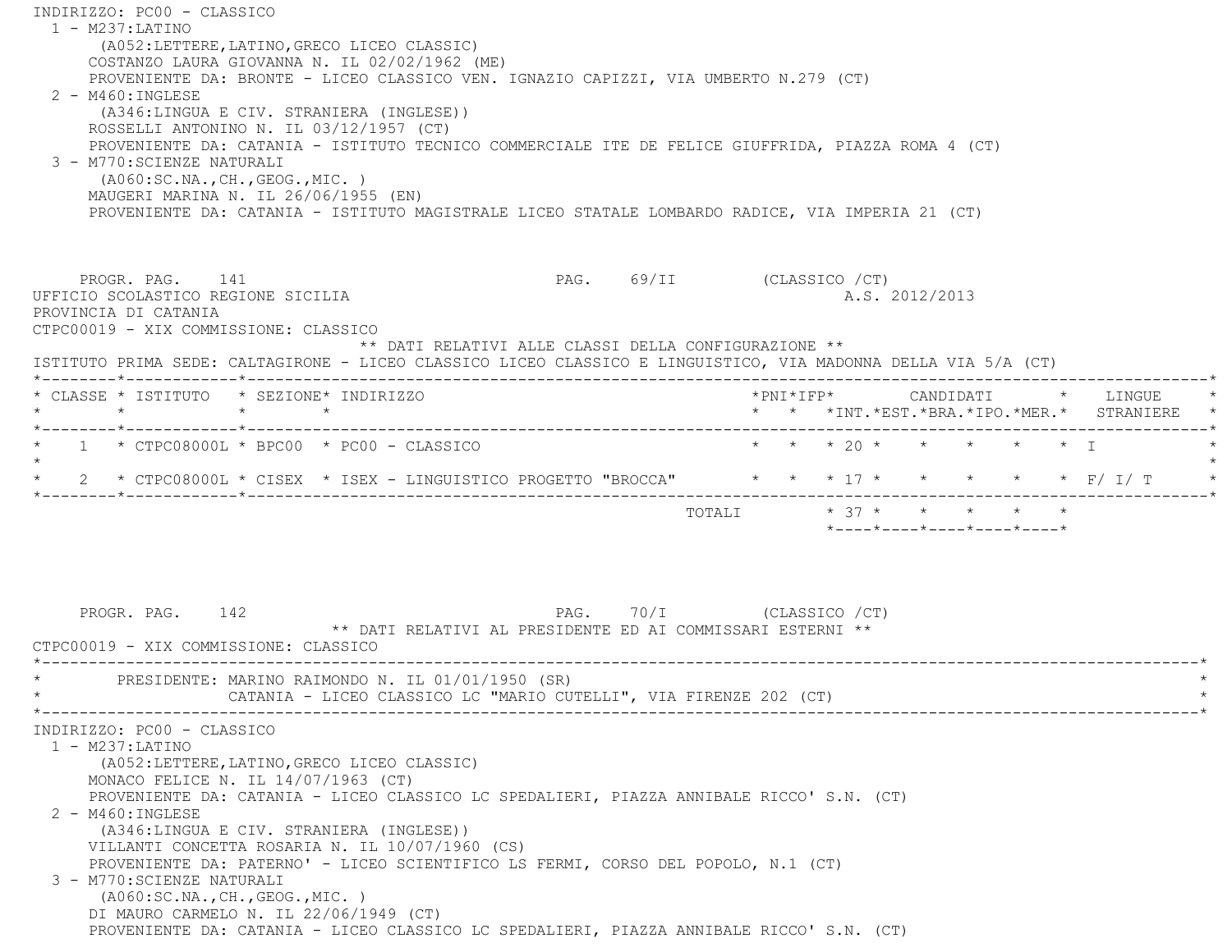INDIRIZZO: PC00 - CLASSICO 1 - M237:LATINO (A052:LETTERE,LATINO,GRECO LICEO CLASSIC) COSTANZO LAURA GIOVANNA N. IL 02/02/1962 (ME) PROVENIENTE DA: BRONTE - LICEO CLASSICO VEN. IGNAZIO CAPIZZI, VIA UMBERTO N.279 (CT) 2 - M460:INGLESE (A346:LINGUA E CIV. STRANIERA (INGLESE)) ROSSELLI ANTONINO N. IL 03/12/1957 (CT) PROVENIENTE DA: CATANIA - ISTITUTO TECNICO COMMERCIALE ITE DE FELICE GIUFFRIDA, PIAZZA ROMA 4 (CT) 3 - M770:SCIENZE NATURALI (A060:SC.NA.,CH.,GEOG.,MIC. ) MAUGERI MARINA N. IL 26/06/1955 (EN) PROVENIENTE DA: CATANIA - ISTITUTO MAGISTRALE LICEO STATALE LOMBARDO RADICE, VIA IMPERIA 21 (CT) PROGR. PAG. 141 PAG. 69/II (CLASSICO /CT) UFFICIO SCOLASTICO REGIONE SICILIA A.S. 2012/2013 PROVINCIA DI CATANIA CTPC00019 - XIX COMMISSIONE: CLASSICO \*\* DATI RELATIVI ALLE CLASSI DELLA CONFIGURAZIONE \*\* ISTITUTO PRIMA SEDE: CALTAGIRONE - LICEO CLASSICO LICEO CLASSICO E LINGUISTICO, VIA MADONNA DELLA VIA 5/A (CT) \*--------\*------------\*-------------------------------------------------------------------------------------------------------\* \* CLASSE \* ISTITUTO \* SEZIONE\* INDIRIZZO \*PNI\*IFP\* CANDIDATI \* LINGUE \* \* \* \* \* \* \* \*INT.\*EST.\*BRA.\*IPO.\*MER.\* STRANIERE \* \*--------\*------------\*-------------------------------------------------------------------------------------------------------\*1 \* CTPC08000L \* BPC00 \* PC00 - CLASSICO \* \* \* \* \* 20 \* \* \* \* \* \* \* I  $\star$ \* 2 \* CTPC08000L \* CISEX \* ISEX - LINGUISTICO PROGETTO "BROCCA" \* \* \* 17 \* \* \* \* \* \* \* F/ I/ T \* \*--------\*------------\*-------------------------------------------------------------------------------------------------------\*TOTALI  $* 37 * * * * * * * * *$  \*----\*----\*----\*----\*----\*PROGR. PAG. 142 **PAG.** 70/I (CLASSICO /CT) \*\* DATI RELATIVI AL PRESIDENTE ED AI COMMISSARI ESTERNI \*\* CTPC00019 - XIX COMMISSIONE: CLASSICO \*----------------------------------------------------------------------------------------------------------------------------\*PRESIDENTE: MARINO RAIMONDO N. IL 01/01/1950 (SR) CATANIA - LICEO CLASSICO LC "MARIO CUTELLI", VIA FIRENZE 202 (CT) \*----------------------------------------------------------------------------------------------------------------------------\* INDIRIZZO: PC00 - CLASSICO 1 - M237:LATINO (A052:LETTERE,LATINO,GRECO LICEO CLASSIC) MONACO FELICE N. IL 14/07/1963 (CT) PROVENIENTE DA: CATANIA - LICEO CLASSICO LC SPEDALIERI, PIAZZA ANNIBALE RICCO' S.N. (CT) 2 - M460:INGLESE (A346:LINGUA E CIV. STRANIERA (INGLESE)) VILLANTI CONCETTA ROSARIA N. IL 10/07/1960 (CS) PROVENIENTE DA: PATERNO' - LICEO SCIENTIFICO LS FERMI, CORSO DEL POPOLO, N.1 (CT) 3 - M770:SCIENZE NATURALI (A060:SC.NA.,CH.,GEOG.,MIC. ) DI MAURO CARMELO N. IL 22/06/1949 (CT) PROVENIENTE DA: CATANIA - LICEO CLASSICO LC SPEDALIERI, PIAZZA ANNIBALE RICCO' S.N. (CT)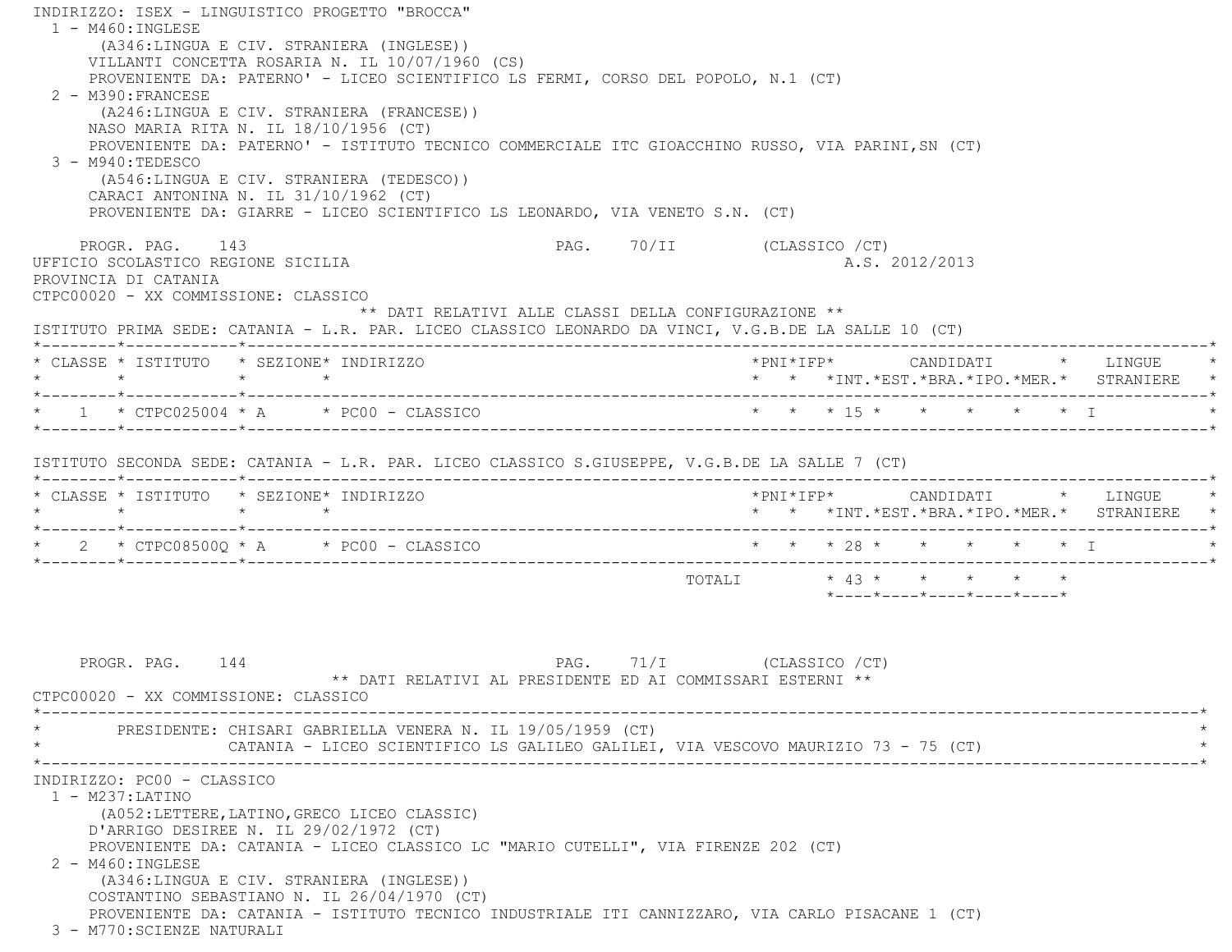INDIRIZZO: ISEX - LINGUISTICO PROGETTO "BROCCA" 1 - M460:INGLESE (A346:LINGUA E CIV. STRANIERA (INGLESE)) VILLANTI CONCETTA ROSARIA N. IL 10/07/1960 (CS) PROVENIENTE DA: PATERNO' - LICEO SCIENTIFICO LS FERMI, CORSO DEL POPOLO, N.1 (CT) 2 - M390:FRANCESE (A246:LINGUA E CIV. STRANIERA (FRANCESE)) NASO MARIA RITA N. IL 18/10/1956 (CT) PROVENIENTE DA: PATERNO' - ISTITUTO TECNICO COMMERCIALE ITC GIOACCHINO RUSSO, VIA PARINI,SN (CT) 3 - M940:TEDESCO (A546:LINGUA E CIV. STRANIERA (TEDESCO)) CARACI ANTONINA N. IL 31/10/1962 (CT) PROVENIENTE DA: GIARRE - LICEO SCIENTIFICO LS LEONARDO, VIA VENETO S.N. (CT) PROGR. PAG. 143 PAG. 70/II (CLASSICO /CT) UFFICIO SCOLASTICO REGIONE SICILIA A.S. 2012/2013 PROVINCIA DI CATANIA CTPC00020 - XX COMMISSIONE: CLASSICO \*\* DATI RELATIVI ALLE CLASSI DELLA CONFIGURAZIONE \*\* ISTITUTO PRIMA SEDE: CATANIA - L.R. PAR. LICEO CLASSICO LEONARDO DA VINCI, V.G.B.DE LA SALLE 10 (CT) \*--------\*------------\*-------------------------------------------------------------------------------------------------------\* \* CLASSE \* ISTITUTO \* SEZIONE\* INDIRIZZO \*PNI\*IFP\* CANDIDATI \* LINGUE \* \* \* \* \* \* \* \*INT.\*EST.\*BRA.\*IPO.\*MER.\* STRANIERE \* \*--------\*------------\*-------------------------------------------------------------------------------------------------------\* \* 1 \* CTPC025004 \* A \* PC00 - CLASSICO \* \* \* 15 \* \* \* \* \* I \* \*--------\*------------\*-------------------------------------------------------------------------------------------------------\* ISTITUTO SECONDA SEDE: CATANIA - L.R. PAR. LICEO CLASSICO S.GIUSEPPE, V.G.B.DE LA SALLE 7 (CT) \*--------\*------------\*-------------------------------------------------------------------------------------------------------\* \* CLASSE \* ISTITUTO \* SEZIONE\* INDIRIZZO \*PNI\*IFP\* CANDIDATI \* LINGUE \* \* \* \* \* \* \* \*INT.\*EST.\*BRA.\*IPO.\*MER.\* STRANIERE \* \*--------\*------------\*-------------------------------------------------------------------------------------------------------\*\* 2 \* CTPC08500Q \* A \* PC00 - CLASSICO \* \* \* \* 28 \* \* \* \* \* \* \* I \*--------\*------------\*-------------------------------------------------------------------------------------------------------\* $\texttt{TOTAL} \qquad \qquad \star \; \; \; 43 \; \star \qquad \star \qquad \star \qquad \star \qquad \star \qquad \star$  \*----\*----\*----\*----\*----\*PROGR. PAG. 144 **PAG.** 71/I (CLASSICO /CT) \*\* DATI RELATIVI AL PRESIDENTE ED AI COMMISSARI ESTERNI \*\* CTPC00020 - XX COMMISSIONE: CLASSICO \*----------------------------------------------------------------------------------------------------------------------------\*PRESIDENTE: CHISARI GABRIELLA VENERA N. IL 19/05/1959 (CT) CATANIA - LICEO SCIENTIFICO LS GALILEO GALILEI, VIA VESCOVO MAURIZIO 73 - 75 (CT) \*----------------------------------------------------------------------------------------------------------------------------\* INDIRIZZO: PC00 - CLASSICO 1 - M237:LATINO (A052:LETTERE,LATINO,GRECO LICEO CLASSIC) D'ARRIGO DESIREE N. IL 29/02/1972 (CT) PROVENIENTE DA: CATANIA - LICEO CLASSICO LC "MARIO CUTELLI", VIA FIRENZE 202 (CT) 2 - M460:INGLESE (A346:LINGUA E CIV. STRANIERA (INGLESE)) COSTANTINO SEBASTIANO N. IL 26/04/1970 (CT) PROVENIENTE DA: CATANIA - ISTITUTO TECNICO INDUSTRIALE ITI CANNIZZARO, VIA CARLO PISACANE 1 (CT) 3 - M770:SCIENZE NATURALI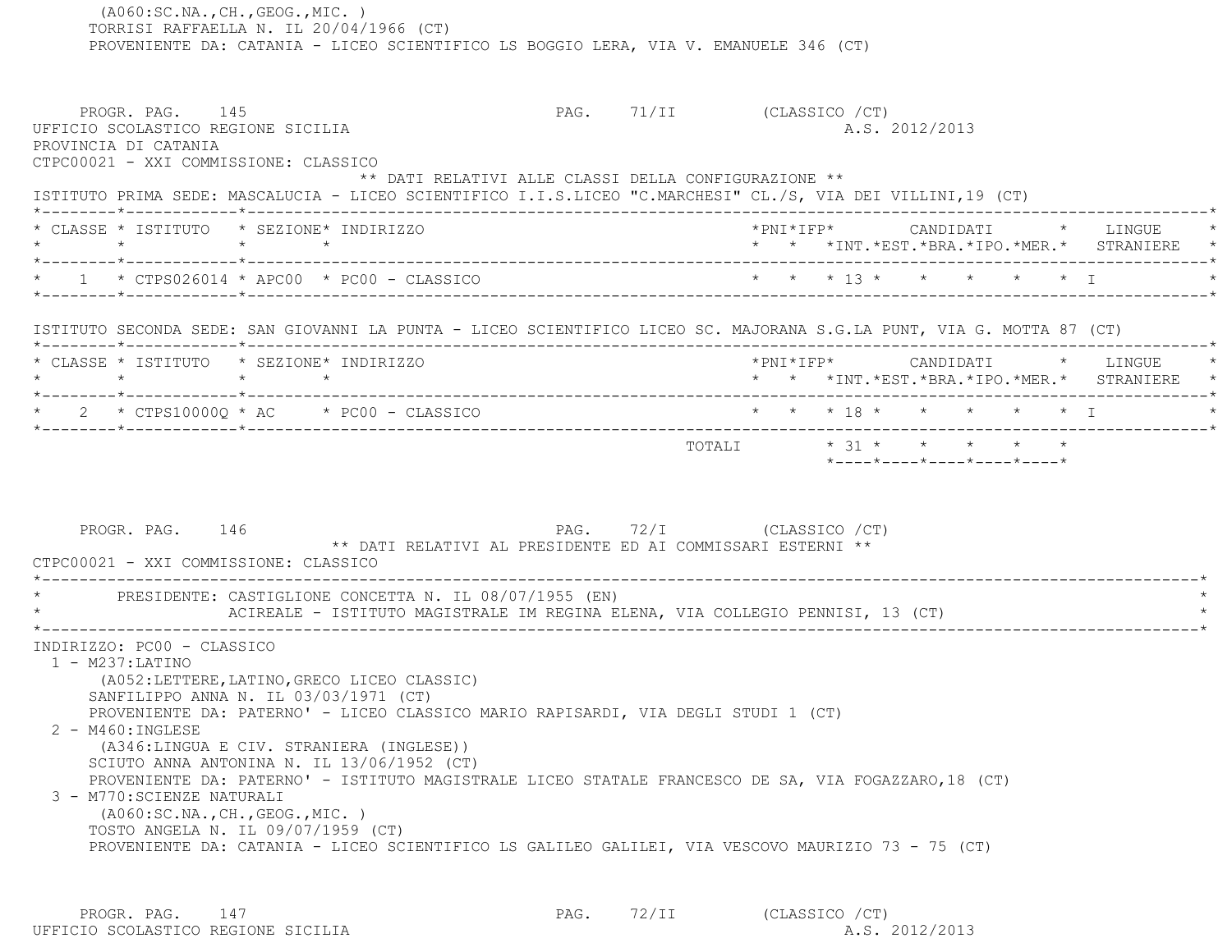TORRISI RAFFAELLA N. IL 20/04/1966 (CT) PROVENIENTE DA: CATANIA - LICEO SCIENTIFICO LS BOGGIO LERA, VIA V. EMANUELE 346 (CT) PROGR. PAG. 145 PAG. 71/II (CLASSICO /CT) UFFICIO SCOLASTICO REGIONE SICILIA A.S. 2012/2013 PROVINCIA DI CATANIA CTPC00021 - XXI COMMISSIONE: CLASSICO \*\* DATI RELATIVI ALLE CLASSI DELLA CONFIGURAZIONE \*\* ISTITUTO PRIMA SEDE: MASCALUCIA - LICEO SCIENTIFICO I.I.S.LICEO "C.MARCHESI" CL./S, VIA DEI VILLINI,19 (CT) \*--------\*------------\*-------------------------------------------------------------------------------------------------------\* \* CLASSE \* ISTITUTO \* SEZIONE\* INDIRIZZO \*PNI\*IFP\* CANDIDATI \* LINGUE \* \* \* \* \* \* \* \*INT.\*EST.\*BRA.\*IPO.\*MER.\* STRANIERE \* \*--------\*------------\*-------------------------------------------------------------------------------------------------------\*\* 1 \* CTPS026014 \* APC00 \* PC00 - CLASSICO \* \* \* \* 13 \* \* \* \* \* \* \* \* I \*--------\*------------\*-------------------------------------------------------------------------------------------------------\* ISTITUTO SECONDA SEDE: SAN GIOVANNI LA PUNTA - LICEO SCIENTIFICO LICEO SC. MAJORANA S.G.LA PUNT, VIA G. MOTTA 87 (CT) \*--------\*------------\*-------------------------------------------------------------------------------------------------------\* \* CLASSE \* ISTITUTO \* SEZIONE\* INDIRIZZO \*PNI\*IFP\* CANDIDATI \* LINGUE \* \* \* \* \* \* \* \*INT.\*EST.\*BRA.\*IPO.\*MER.\* STRANIERE \* \*--------\*------------\*-------------------------------------------------------------------------------------------------------\* \* 2 \* CTPS10000Q \* AC \* PC00 - CLASSICO \* \* \* 18 \* \* \* \* \* I \* \*--------\*------------\*-------------------------------------------------------------------------------------------------------\* TOTALI \* 31 \* \* \* \* \* \*----\*----\*----\*----\*----\*PROGR. PAG. 146 PAG. 72/I (CLASSICO /CT) \*\* DATI RELATIVI AL PRESIDENTE ED AI COMMISSARI ESTERNI \*\* CTPC00021 - XXI COMMISSIONE: CLASSICO \*----------------------------------------------------------------------------------------------------------------------------\*PRESIDENTE: CASTIGLIONE CONCETTA N. IL 08/07/1955 (EN) ACIREALE - ISTITUTO MAGISTRALE IM REGINA ELENA, VIA COLLEGIO PENNISI, 13 (CT) \*----------------------------------------------------------------------------------------------------------------------------\* INDIRIZZO: PC00 - CLASSICO 1 - M237:LATINO (A052:LETTERE,LATINO,GRECO LICEO CLASSIC) SANFILIPPO ANNA N. IL 03/03/1971 (CT) PROVENIENTE DA: PATERNO' - LICEO CLASSICO MARIO RAPISARDI, VIA DEGLI STUDI 1 (CT) 2 - M460:INGLESE (A346:LINGUA E CIV. STRANIERA (INGLESE)) SCIUTO ANNA ANTONINA N. IL 13/06/1952 (CT) PROVENIENTE DA: PATERNO' - ISTITUTO MAGISTRALE LICEO STATALE FRANCESCO DE SA, VIA FOGAZZARO,18 (CT) 3 - M770:SCIENZE NATURALI (A060:SC.NA.,CH.,GEOG.,MIC. ) TOSTO ANGELA N. IL 09/07/1959 (CT) PROVENIENTE DA: CATANIA - LICEO SCIENTIFICO LS GALILEO GALILEI, VIA VESCOVO MAURIZIO 73 - 75 (CT)

PROGR. PAG. 147 PAG. 72/II (CLASSICO / CT) UFFICIO SCOLASTICO REGIONE SICILIA A.S. 2012/2013

(A060:SC.NA.,CH.,GEOG.,MIC. )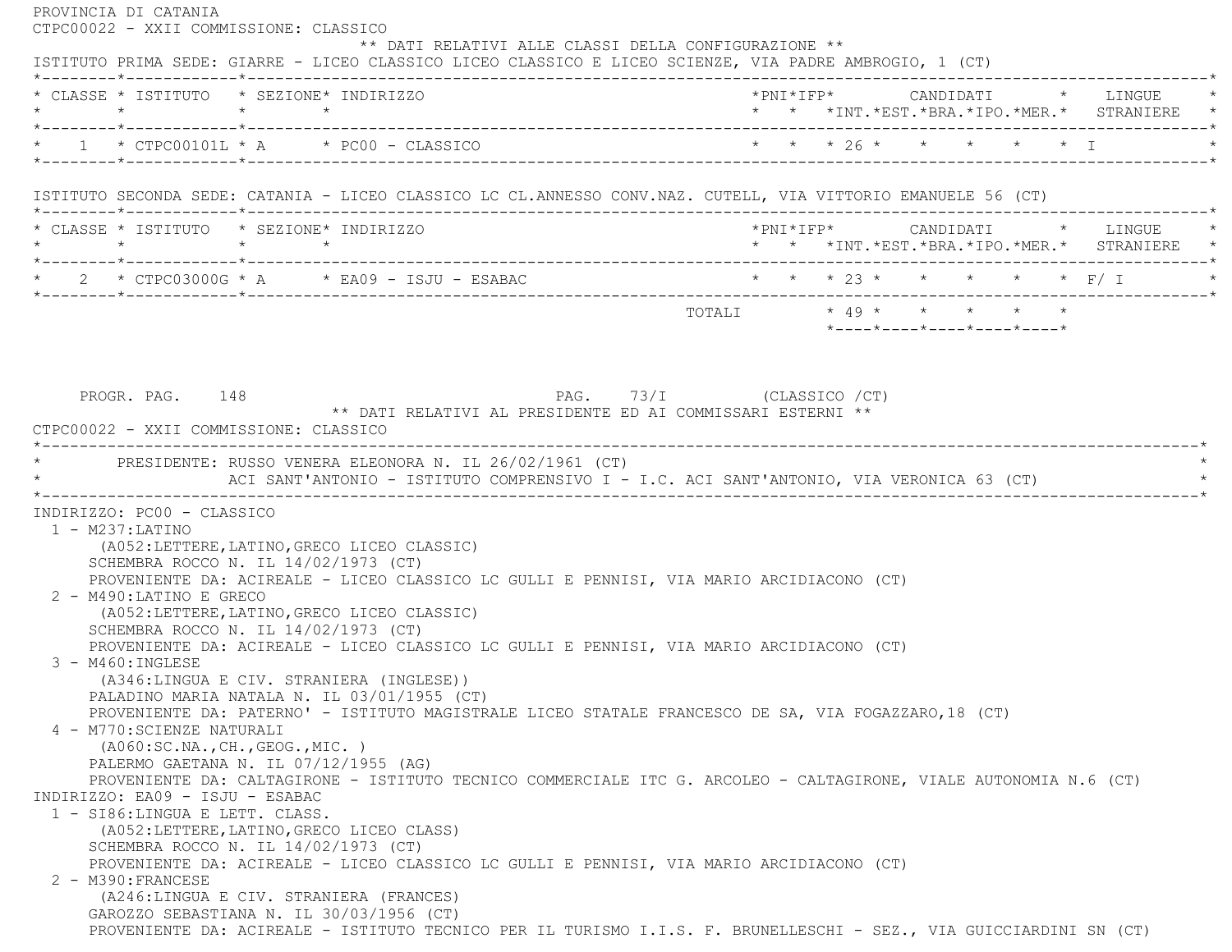PROVINCIA DI CATANIA CTPC00022 - XXII COMMISSIONE: CLASSICO \*\* DATI RELATIVI ALLE CLASSI DELLA CONFIGURAZIONE \*\* ISTITUTO PRIMA SEDE: GIARRE - LICEO CLASSICO LICEO CLASSICO E LICEO SCIENZE, VIA PADRE AMBROGIO, 1 (CT) \*--------\*------------\*-------------------------------------------------------------------------------------------------------\* \* CLASSE \* ISTITUTO \* SEZIONE\* INDIRIZZO \*PNI\*IFP\* CANDIDATI \* LINGUE \* \* \* \* \* \* \* \*INT.\*EST.\*BRA.\*IPO.\*MER.\* STRANIERE \* \*--------\*------------\*-------------------------------------------------------------------------------------------------------\* \* 1 \* CTPC00101L \* A \* PC00 - CLASSICO \* \* \* 26 \* \* \* \* \* I \* \*--------\*------------\*-------------------------------------------------------------------------------------------------------\* ISTITUTO SECONDA SEDE: CATANIA - LICEO CLASSICO LC CL.ANNESSO CONV.NAZ. CUTELL, VIA VITTORIO EMANUELE 56 (CT) \*--------\*------------\*-------------------------------------------------------------------------------------------------------\* \* CLASSE \* ISTITUTO \* SEZIONE\* INDIRIZZO \*PNI\*IFP\* CANDIDATI \* LINGUE \* \* \* \* \* \* \* \*INT.\*EST.\*BRA.\*IPO.\*MER.\* STRANIERE \* \*--------\*------------\*-------------------------------------------------------------------------------------------------------\*2 \* CTPC03000G \* A \* EA09 - ISJU - ESABAC \* \* \* \* \* 23 \* \* \* \* \* \* \* F/ I \*--------\*------------\*-------------------------------------------------------------------------------------------------------\* TOTALI \* 49 \* \* \* \* \* \*----\*----\*----\*----\*----\*PROGR. PAG. 148 PAG. 73/I (CLASSICO /CT) \*\* DATI RELATIVI AL PRESIDENTE ED AI COMMISSARI ESTERNI \*\* CTPC00022 - XXII COMMISSIONE: CLASSICO \*----------------------------------------------------------------------------------------------------------------------------\*PRESIDENTE: RUSSO VENERA ELEONORA N. IL 26/02/1961 (CT) ACI SANT'ANTONIO - ISTITUTO COMPRENSIVO I - I.C. ACI SANT'ANTONIO, VIA VERONICA 63 (CT) \*----------------------------------------------------------------------------------------------------------------------------\* INDIRIZZO: PC00 - CLASSICO 1 - M237:LATINO (A052:LETTERE,LATINO,GRECO LICEO CLASSIC) SCHEMBRA ROCCO N. IL 14/02/1973 (CT) PROVENIENTE DA: ACIREALE - LICEO CLASSICO LC GULLI E PENNISI, VIA MARIO ARCIDIACONO (CT) 2 - M490:LATINO E GRECO (A052:LETTERE,LATINO,GRECO LICEO CLASSIC) SCHEMBRA ROCCO N. IL 14/02/1973 (CT) PROVENIENTE DA: ACIREALE - LICEO CLASSICO LC GULLI E PENNISI, VIA MARIO ARCIDIACONO (CT) 3 - M460:INGLESE (A346:LINGUA E CIV. STRANIERA (INGLESE)) PALADINO MARIA NATALA N. IL 03/01/1955 (CT) PROVENIENTE DA: PATERNO' - ISTITUTO MAGISTRALE LICEO STATALE FRANCESCO DE SA, VIA FOGAZZARO,18 (CT) 4 - M770:SCIENZE NATURALI (A060:SC.NA.,CH.,GEOG.,MIC. ) PALERMO GAETANA N. IL 07/12/1955 (AG) PROVENIENTE DA: CALTAGIRONE - ISTITUTO TECNICO COMMERCIALE ITC G. ARCOLEO - CALTAGIRONE, VIALE AUTONOMIA N.6 (CT) INDIRIZZO: EA09 - ISJU - ESABAC 1 - SI86:LINGUA E LETT. CLASS. (A052:LETTERE,LATINO,GRECO LICEO CLASS) SCHEMBRA ROCCO N. IL 14/02/1973 (CT) PROVENIENTE DA: ACIREALE - LICEO CLASSICO LC GULLI E PENNISI, VIA MARIO ARCIDIACONO (CT) 2 - M390:FRANCESE (A246:LINGUA E CIV. STRANIERA (FRANCES) GAROZZO SEBASTIANA N. IL 30/03/1956 (CT) PROVENIENTE DA: ACIREALE - ISTITUTO TECNICO PER IL TURISMO I.I.S. F. BRUNELLESCHI - SEZ., VIA GUICCIARDINI SN (CT)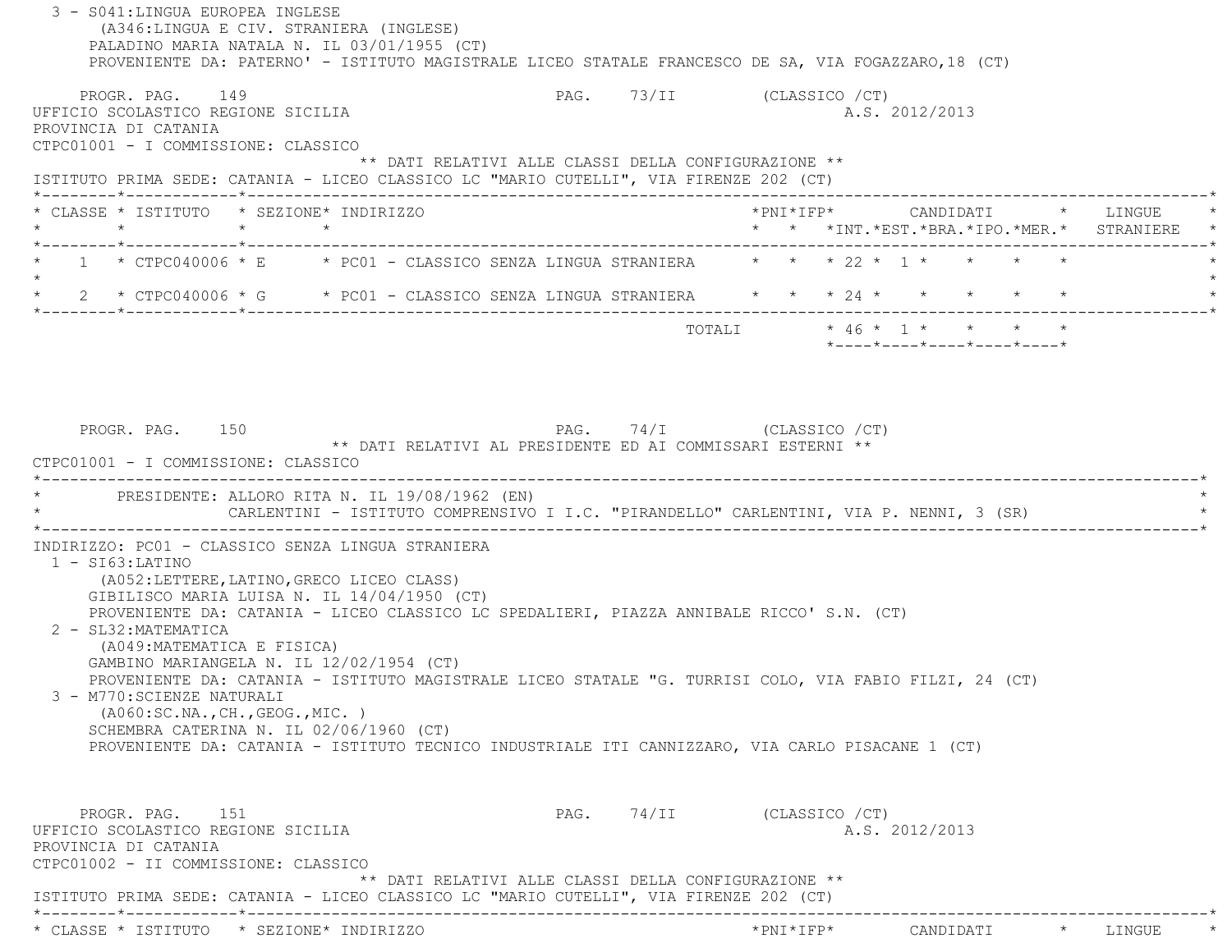3 - S041:LINGUA EUROPEA INGLESE (A346:LINGUA E CIV. STRANIERA (INGLESE) PALADINO MARIA NATALA N. IL 03/01/1955 (CT) PROVENIENTE DA: PATERNO' - ISTITUTO MAGISTRALE LICEO STATALE FRANCESCO DE SA, VIA FOGAZZARO,18 (CT) PROGR. PAG. 149 PAG. 73/II (CLASSICO / CT) UFFICIO SCOLASTICO REGIONE SICILIA A.S. 2012/2013 PROVINCIA DI CATANIA CTPC01001 - I COMMISSIONE: CLASSICO \*\* DATI RELATIVI ALLE CLASSI DELLA CONFIGURAZIONE \*\* ISTITUTO PRIMA SEDE: CATANIA - LICEO CLASSICO LC "MARIO CUTELLI", VIA FIRENZE 202 (CT) \*--------\*------------\*-------------------------------------------------------------------------------------------------------\* \* CLASSE \* ISTITUTO \* SEZIONE\* INDIRIZZO \*PNI\*IFP\* CANDIDATI \* LINGUE \* \* \* \* \* \* \* \*INT.\*EST.\*BRA.\*IPO.\*MER.\* STRANIERE \* \*--------\*------------\*-------------------------------------------------------------------------------------------------------\* $1 * CTPC040006 * E * PC01 - CLASSICO SENZA LINGUA STRANIERA * * 22 * 1 * * * * * *$  $\star$ 2 \* CTPC040006 \* G \* PC01 - CLASSICO SENZA LINGUA STRANIERA \* \* \* 24 \* \* \* \* \* \* \* \*--------\*------------\*-------------------------------------------------------------------------------------------------------\* TOTALI \* 46 \* 1 \* \* \* \* \*----\*----\*----\*----\*----\*PROGR. PAG. 150 PAG. PAG. 74/I (CLASSICO /CT) \*\* DATI RELATIVI AL PRESIDENTE ED AI COMMISSARI ESTERNI \*\* CTPC01001 - I COMMISSIONE: CLASSICO \*----------------------------------------------------------------------------------------------------------------------------\*PRESIDENTE: ALLORO RITA N. IL 19/08/1962 (EN) CARLENTINI - ISTITUTO COMPRENSIVO I I.C. "PIRANDELLO" CARLENTINI, VIA P. NENNI, 3 (SR) \*----------------------------------------------------------------------------------------------------------------------------\* INDIRIZZO: PC01 - CLASSICO SENZA LINGUA STRANIERA 1 - SI63:LATINO (A052:LETTERE,LATINO,GRECO LICEO CLASS) GIBILISCO MARIA LUISA N. IL 14/04/1950 (CT) PROVENIENTE DA: CATANIA - LICEO CLASSICO LC SPEDALIERI, PIAZZA ANNIBALE RICCO' S.N. (CT) 2 - SL32:MATEMATICA (A049:MATEMATICA E FISICA) GAMBINO MARIANGELA N. IL 12/02/1954 (CT) PROVENIENTE DA: CATANIA - ISTITUTO MAGISTRALE LICEO STATALE "G. TURRISI COLO, VIA FABIO FILZI, 24 (CT) 3 - M770:SCIENZE NATURALI (A060:SC.NA.,CH.,GEOG.,MIC. ) SCHEMBRA CATERINA N. IL 02/06/1960 (CT) PROVENIENTE DA: CATANIA - ISTITUTO TECNICO INDUSTRIALE ITI CANNIZZARO, VIA CARLO PISACANE 1 (CT) PROGR. PAG. 151 PAG. 74/II (CLASSICO /CT) UFFICIO SCOLASTICO REGIONE SICILIA A.S. 2012/2013 PROVINCIA DI CATANIA CTPC01002 - II COMMISSIONE: CLASSICO \*\* DATI RELATIVI ALLE CLASSI DELLA CONFIGURAZIONE \*\* ISTITUTO PRIMA SEDE: CATANIA - LICEO CLASSICO LC "MARIO CUTELLI", VIA FIRENZE 202 (CT) \*--------\*------------\*-------------------------------------------------------------------------------------------------------\*\* CLASSE \* ISTITUTO \* SEZIONE\* INDIRIZZO \*PNI\*IFP\* CANDIDATI \* LINGUE \*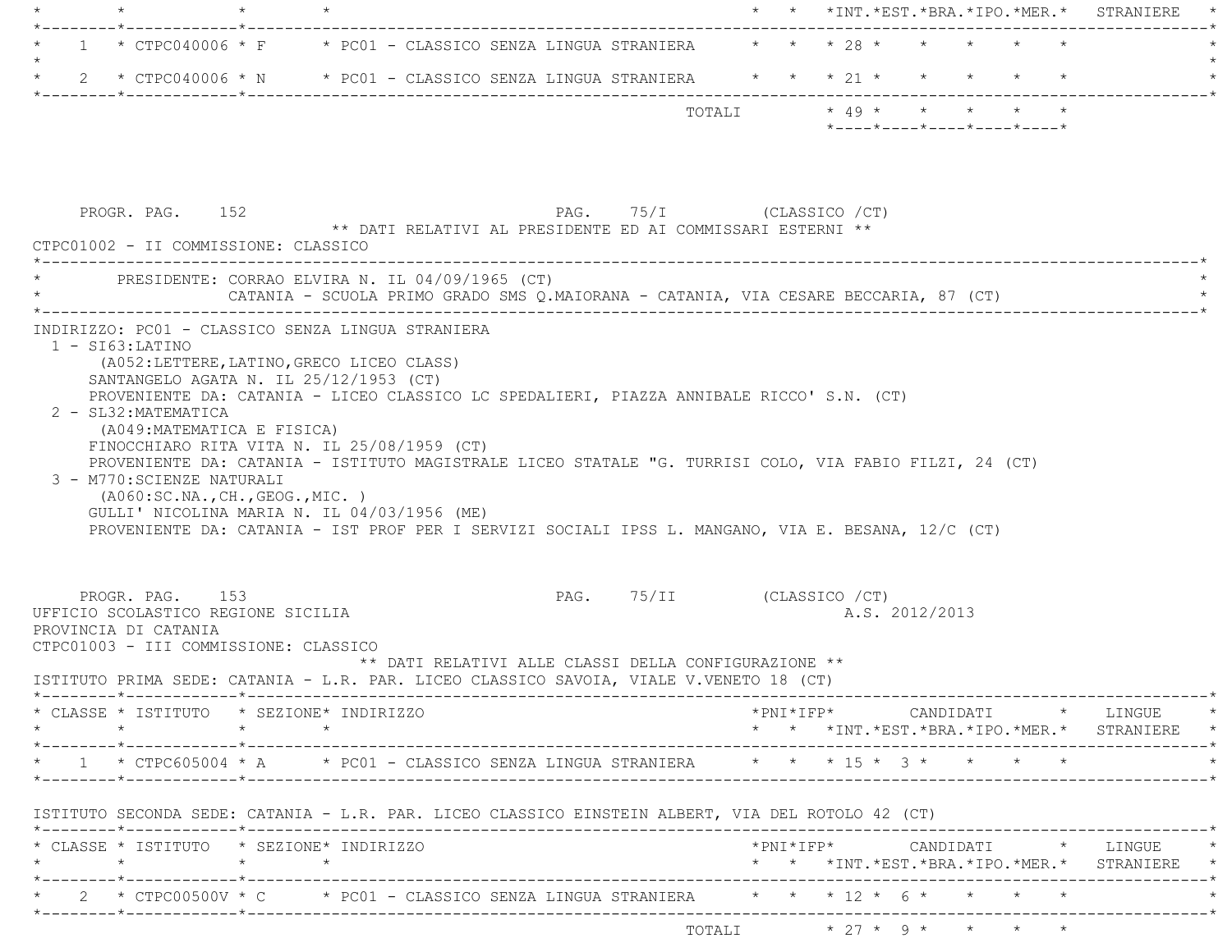|         |                                                                                                                        |                                                                                                                                                                                                                                                                               |                                                      |                            |  | * * *INT. *EST. *BRA. *IPO. *MER. * STRANIERE                                                                                                                                                                |  |
|---------|------------------------------------------------------------------------------------------------------------------------|-------------------------------------------------------------------------------------------------------------------------------------------------------------------------------------------------------------------------------------------------------------------------------|------------------------------------------------------|----------------------------|--|--------------------------------------------------------------------------------------------------------------------------------------------------------------------------------------------------------------|--|
|         |                                                                                                                        |                                                                                                                                                                                                                                                                               |                                                      |                            |  | 1 * CTPC040006 * F * PC01 - CLASSICO SENZA LINGUA STRANIERA * * * 28 * * * * * * *                                                                                                                           |  |
| $\star$ |                                                                                                                        |                                                                                                                                                                                                                                                                               |                                                      |                            |  | 2 * CTPC040006 * N * PC01 - CLASSICO SENZA LINGUA STRANIERA * * * 21 * * * * * * *                                                                                                                           |  |
|         |                                                                                                                        |                                                                                                                                                                                                                                                                               |                                                      |                            |  | TOTALI * 49 * * * * * *<br>$*$ ---- $*$ ---- $*$ ---- $*$ ---- $*$ ---- $*$                                                                                                                                  |  |
|         | PROGR. PAG. 152<br>CTPC01002 - II COMMISSIONE: CLASSICO                                                                | ** DATI RELATIVI AL PRESIDENTE ED AI COMMISSARI ESTERNI **                                                                                                                                                                                                                    | PAG. 75/I (CLASSICO / CT)                            |                            |  |                                                                                                                                                                                                              |  |
|         |                                                                                                                        | PRESIDENTE: CORRAO ELVIRA N. IL 04/09/1965 (CT)                                                                                                                                                                                                                               |                                                      |                            |  | CATANIA - SCUOLA PRIMO GRADO SMS Q.MAIORANA - CATANIA, VIA CESARE BECCARIA, 87 (CT)                                                                                                                          |  |
|         | 2 - SL32: MATEMATICA<br>(A049: MATEMATICA E FISICA)<br>3 - M770: SCIENZE NATURALI<br>(AO60:SC.NA., CH., GEOG., MIC. )  | (A052:LETTERE, LATINO, GRECO LICEO CLASS)<br>SANTANGELO AGATA N. IL 25/12/1953 (CT)<br>PROVENIENTE DA: CATANIA - LICEO CLASSICO LC SPEDALIERI, PIAZZA ANNIBALE RICCO' S.N. (CT)<br>FINOCCHIARO RITA VITA N. IL 25/08/1959 (CT)<br>GULLI' NICOLINA MARIA N. IL 04/03/1956 (ME) |                                                      |                            |  | PROVENIENTE DA: CATANIA - ISTITUTO MAGISTRALE LICEO STATALE "G. TURRISI COLO, VIA FABIO FILZI, 24 (CT)<br>PROVENIENTE DA: CATANIA - IST PROF PER I SERVIZI SOCIALI IPSS L. MANGANO, VIA E. BESANA, 12/C (CT) |  |
|         |                                                                                                                        |                                                                                                                                                                                                                                                                               |                                                      |                            |  |                                                                                                                                                                                                              |  |
|         | PROGR. PAG. 153<br>UFFICIO SCOLASTICO REGIONE SICILIA<br>PROVINCIA DI CATANIA<br>CTPC01003 - III COMMISSIONE: CLASSICO |                                                                                                                                                                                                                                                                               |                                                      | PAG. 75/II (CLASSICO / CT) |  | A.S. 2012/2013                                                                                                                                                                                               |  |
|         |                                                                                                                        | ISTITUTO PRIMA SEDE: CATANIA - L.R. PAR. LICEO CLASSICO SAVOIA, VIALE V.VENETO 18 (CT)                                                                                                                                                                                        | ** DATI RELATIVI ALLE CLASSI DELLA CONFIGURAZIONE ** |                            |  |                                                                                                                                                                                                              |  |
|         | $\star \qquad \qquad \star \qquad \qquad \star \qquad \qquad \star$                                                    | * CLASSE * ISTITUTO * SEZIONE* INDIRIZZO                                                                                                                                                                                                                                      |                                                      |                            |  | $*PNI*IFP* \qquad \qquad \text{CANDIDATT} \qquad \qquad * \qquad \text{LINGUE} \qquad \qquad *$<br>* * *INT. *EST. *BRA. *IPO. *MER. * STRANIERE *                                                           |  |
|         |                                                                                                                        |                                                                                                                                                                                                                                                                               |                                                      |                            |  | * 1 * CTPC605004 * A * PC01 - CLASSICO SENZA LINGUA STRANIERA * * * 15 * 3 * * * * *                                                                                                                         |  |
|         |                                                                                                                        | ISTITUTO SECONDA SEDE: CATANIA - L.R. PAR. LICEO CLASSICO EINSTEIN ALBERT, VIA DEL ROTOLO 42 (CT)                                                                                                                                                                             |                                                      |                            |  |                                                                                                                                                                                                              |  |
|         | $\star \qquad \qquad \star \qquad \qquad \star \qquad \qquad \star$                                                    | * CLASSE * ISTITUTO * SEZIONE* INDIRIZZO                                                                                                                                                                                                                                      |                                                      |                            |  |                                                                                                                                                                                                              |  |
|         |                                                                                                                        |                                                                                                                                                                                                                                                                               |                                                      |                            |  | * * *INT. *EST. *BRA. *IPO. *MER. * STRANIERE *                                                                                                                                                              |  |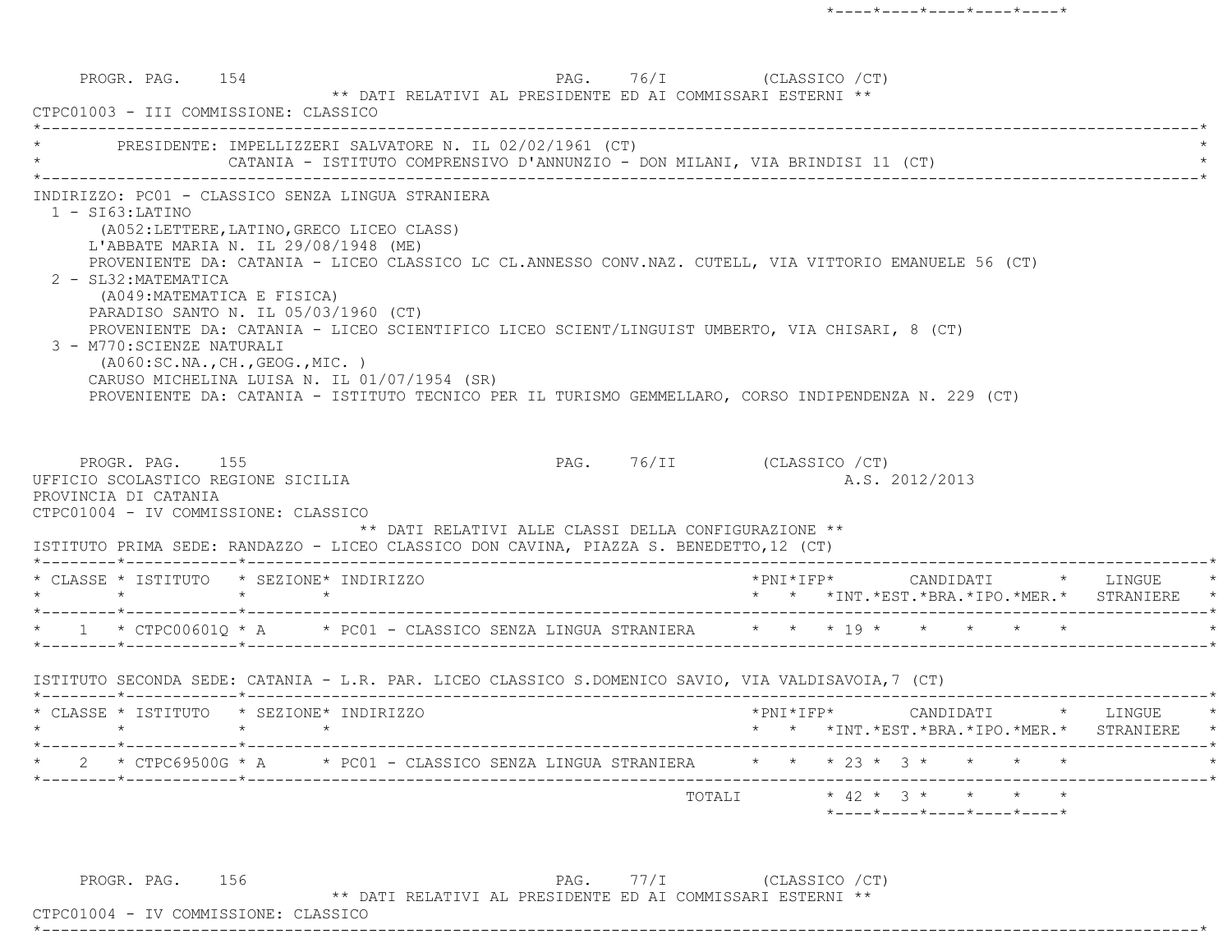PROGR. PAG. 154 PAG. 76/I (CLASSICO / CT) \*\* DATI RELATIVI AL PRESIDENTE ED AI COMMISSARI ESTERNI \*\* CTPC01003 - III COMMISSIONE: CLASSICO \*----------------------------------------------------------------------------------------------------------------------------\*PRESIDENTE: IMPELLIZZERI SALVATORE N. IL 02/02/1961 (CT) CATANIA - ISTITUTO COMPRENSIVO D'ANNUNZIO - DON MILANI, VIA BRINDISI 11 (CT) \*----------------------------------------------------------------------------------------------------------------------------\* INDIRIZZO: PC01 - CLASSICO SENZA LINGUA STRANIERA 1 - SI63:LATINO (A052:LETTERE,LATINO,GRECO LICEO CLASS) L'ABBATE MARIA N. IL 29/08/1948 (ME) PROVENIENTE DA: CATANIA - LICEO CLASSICO LC CL.ANNESSO CONV.NAZ. CUTELL, VIA VITTORIO EMANUELE 56 (CT) 2 - SL32:MATEMATICA (A049:MATEMATICA E FISICA) PARADISO SANTO N. IL 05/03/1960 (CT) PROVENIENTE DA: CATANIA - LICEO SCIENTIFICO LICEO SCIENT/LINGUIST UMBERTO, VIA CHISARI, 8 (CT) 3 - M770:SCIENZE NATURALI (A060:SC.NA.,CH.,GEOG.,MIC. ) CARUSO MICHELINA LUISA N. IL 01/07/1954 (SR) PROVENIENTE DA: CATANIA - ISTITUTO TECNICO PER IL TURISMO GEMMELLARO, CORSO INDIPENDENZA N. 229 (CT) PROGR. PAG. 155 PAG. 76/II (CLASSICO /CT) UFFICIO SCOLASTICO REGIONE SICILIA A.S. 2012/2013 PROVINCIA DI CATANIA CTPC01004 - IV COMMISSIONE: CLASSICO \*\* DATI RELATIVI ALLE CLASSI DELLA CONFIGURAZIONE \*\* ISTITUTO PRIMA SEDE: RANDAZZO - LICEO CLASSICO DON CAVINA, PIAZZA S. BENEDETTO,12 (CT) \*--------\*------------\*-------------------------------------------------------------------------------------------------------\* \* CLASSE \* ISTITUTO \* SEZIONE\* INDIRIZZO \*PNI\*IFP\* CANDIDATI \* LINGUE \* \* \* \* \* \* \* \*INT.\*EST.\*BRA.\*IPO.\*MER.\* STRANIERE \* \*--------\*------------\*-------------------------------------------------------------------------------------------------------\*\* 1 \* CTPC00601Q \* A \* PC01 - CLASSICO SENZA LINGUA STRANIERA \* \* \* 19 \* \* \* \* \* \* \*--------\*------------\*-------------------------------------------------------------------------------------------------------\* ISTITUTO SECONDA SEDE: CATANIA - L.R. PAR. LICEO CLASSICO S.DOMENICO SAVIO, VIA VALDISAVOIA,7 (CT) \*--------\*------------\*-------------------------------------------------------------------------------------------------------\* \* CLASSE \* ISTITUTO \* SEZIONE\* INDIRIZZO \*PNI\*IFP\* CANDIDATI \* LINGUE \* \* \* \* \* \* \* \*INT.\*EST.\*BRA.\*IPO.\*MER.\* STRANIERE \* \*--------\*------------\*-------------------------------------------------------------------------------------------------------\*\* 2 \* CTPC69500G \* A \* PC01 - CLASSICO SENZA LINGUA STRANIERA \* \* \* 23 \* 3 \* \* \* \* \* \*--------\*------------\*-------------------------------------------------------------------------------------------------------\* TOTALI \* 42 \* 3 \* \* \* \*\*----\*----\*----\*----\*----\*

PROGR. PAG. 156 PAG. 77/I (CLASSICO /CT) \*\* DATI RELATIVI AL PRESIDENTE ED AI COMMISSARI ESTERNI \*\*

\*----------------------------------------------------------------------------------------------------------------------------\*

CTPC01004 - IV COMMISSIONE: CLASSICO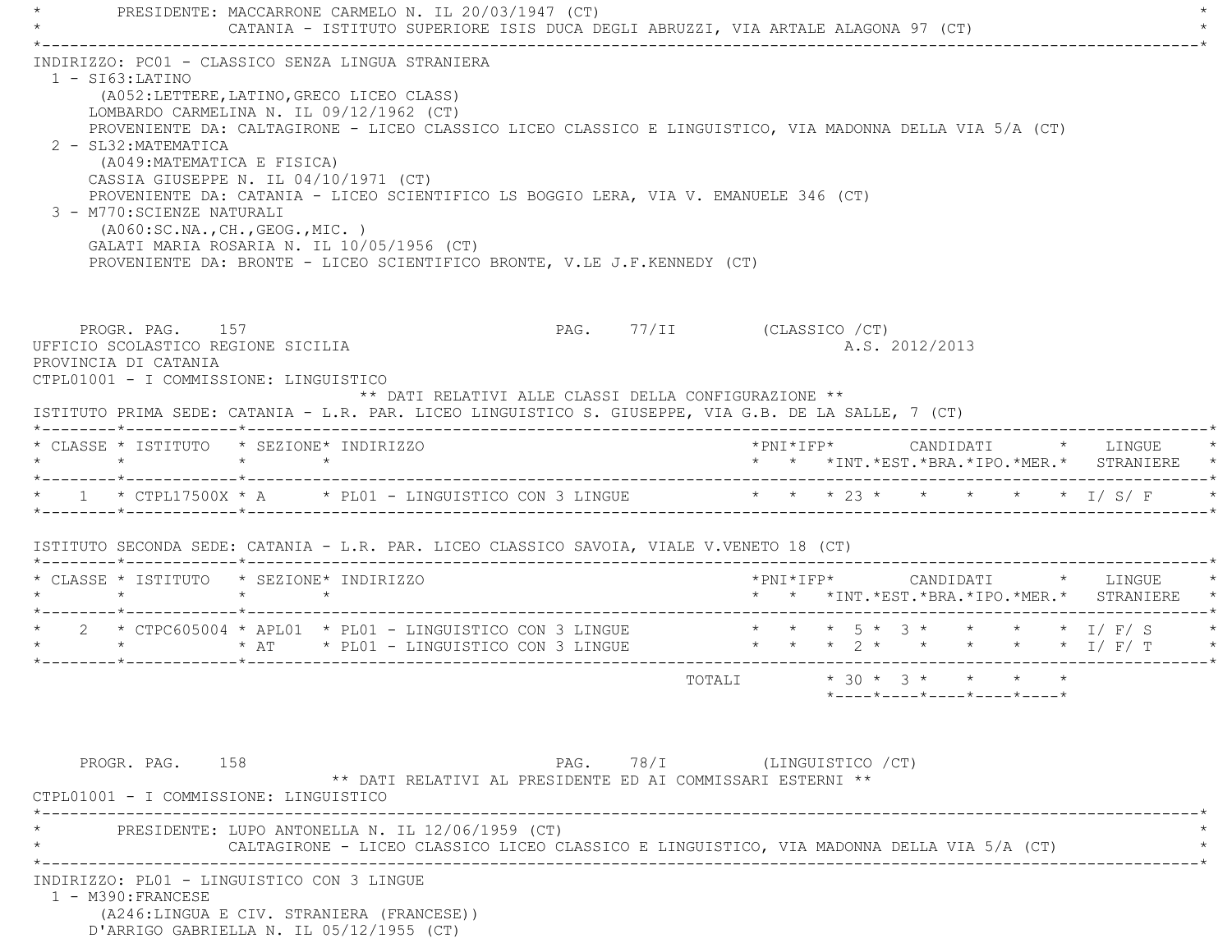PRESIDENTE: MACCARRONE CARMELO N. IL 20/03/1947 (CT) CATANIA - ISTITUTO SUPERIORE ISIS DUCA DEGLI ABRUZZI, VIA ARTALE ALAGONA 97 (CT) \*----------------------------------------------------------------------------------------------------------------------------\* INDIRIZZO: PC01 - CLASSICO SENZA LINGUA STRANIERA 1 - SI63:LATINO (A052:LETTERE,LATINO,GRECO LICEO CLASS) LOMBARDO CARMELINA N. IL 09/12/1962 (CT) PROVENIENTE DA: CALTAGIRONE - LICEO CLASSICO LICEO CLASSICO E LINGUISTICO, VIA MADONNA DELLA VIA 5/A (CT) 2 - SL32:MATEMATICA (A049:MATEMATICA E FISICA) CASSIA GIUSEPPE N. IL 04/10/1971 (CT) PROVENIENTE DA: CATANIA - LICEO SCIENTIFICO LS BOGGIO LERA, VIA V. EMANUELE 346 (CT) 3 - M770:SCIENZE NATURALI (A060:SC.NA.,CH.,GEOG.,MIC. ) GALATI MARIA ROSARIA N. IL 10/05/1956 (CT) PROVENIENTE DA: BRONTE - LICEO SCIENTIFICO BRONTE, V.LE J.F.KENNEDY (CT) PROGR. PAG. 157 PAG. PAG. 77/II (CLASSICO / CT) UFFICIO SCOLASTICO REGIONE SICILIA A.S. 2012/2013 PROVINCIA DI CATANIA CTPL01001 - I COMMISSIONE: LINGUISTICO \*\* DATI RELATIVI ALLE CLASSI DELLA CONFIGURAZIONE \*\* ISTITUTO PRIMA SEDE: CATANIA - L.R. PAR. LICEO LINGUISTICO S. GIUSEPPE, VIA G.B. DE LA SALLE, 7 (CT) \*--------\*------------\*-------------------------------------------------------------------------------------------------------\* \* CLASSE \* ISTITUTO \* SEZIONE\* INDIRIZZO \*PNI\*IFP\* CANDIDATI \* LINGUE \* \* \* \* \* \* \* \*INT.\*EST.\*BRA.\*IPO.\*MER.\* STRANIERE \* \*--------\*------------\*-------------------------------------------------------------------------------------------------------\*1 \* CTPL17500X \* A \* PL01 - LINGUISTICO CON 3 LINGUE \* \* \* \* 23 \* \* \* \* \* \* \* I/ S/ F \*--------\*------------\*-------------------------------------------------------------------------------------------------------\* ISTITUTO SECONDA SEDE: CATANIA - L.R. PAR. LICEO CLASSICO SAVOIA, VIALE V.VENETO 18 (CT) \*--------\*------------\*-------------------------------------------------------------------------------------------------------\* \* CLASSE \* ISTITUTO \* SEZIONE\* INDIRIZZO \*PNI\*IFP\* CANDIDATI \* LINGUE \* \* \* \* \* \* \* \*INT.\*EST.\*BRA.\*IPO.\*MER.\* STRANIERE \* \*--------\*------------\*-------------------------------------------------------------------------------------------------------\* \* 2 \* CTPC605004 \* APL01 \* PL01 - LINGUISTICO CON 3 LINGUE \* \* \* 5 \* 3 \* \* \* \* I/ F/ S \* \* \* \* AT \* PL01 - LINGUISTICO CON 3 LINGUE \* \* \* 2 \* \* \* \* \* I/ F/ T \* \*--------\*------------\*-------------------------------------------------------------------------------------------------------\* $\texttt{TOTAL} \qquad \qquad \star\quad 30\;\star\quad 3\;\star\quad\quad \star\quad\quad \star\quad\quad \star$  \*----\*----\*----\*----\*----\*PROGR. PAG. 158 PAG. PAG. 78/I (LINGUISTICO / CT) \*\* DATI RELATIVI AL PRESIDENTE ED AI COMMISSARI ESTERNI \*\* CTPL01001 - I COMMISSIONE: LINGUISTICO--------------------------------------PRESIDENTE: LUPO ANTONELLA N. IL 12/06/1959 (CT) CALTAGIRONE - LICEO CLASSICO LICEO CLASSICO E LINGUISTICO, VIA MADONNA DELLA VIA 5/A (CT) \*----------------------------------------------------------------------------------------------------------------------------\* INDIRIZZO: PL01 - LINGUISTICO CON 3 LINGUE 1 - M390:FRANCESE (A246:LINGUA E CIV. STRANIERA (FRANCESE)) D'ARRIGO GABRIELLA N. IL 05/12/1955 (CT)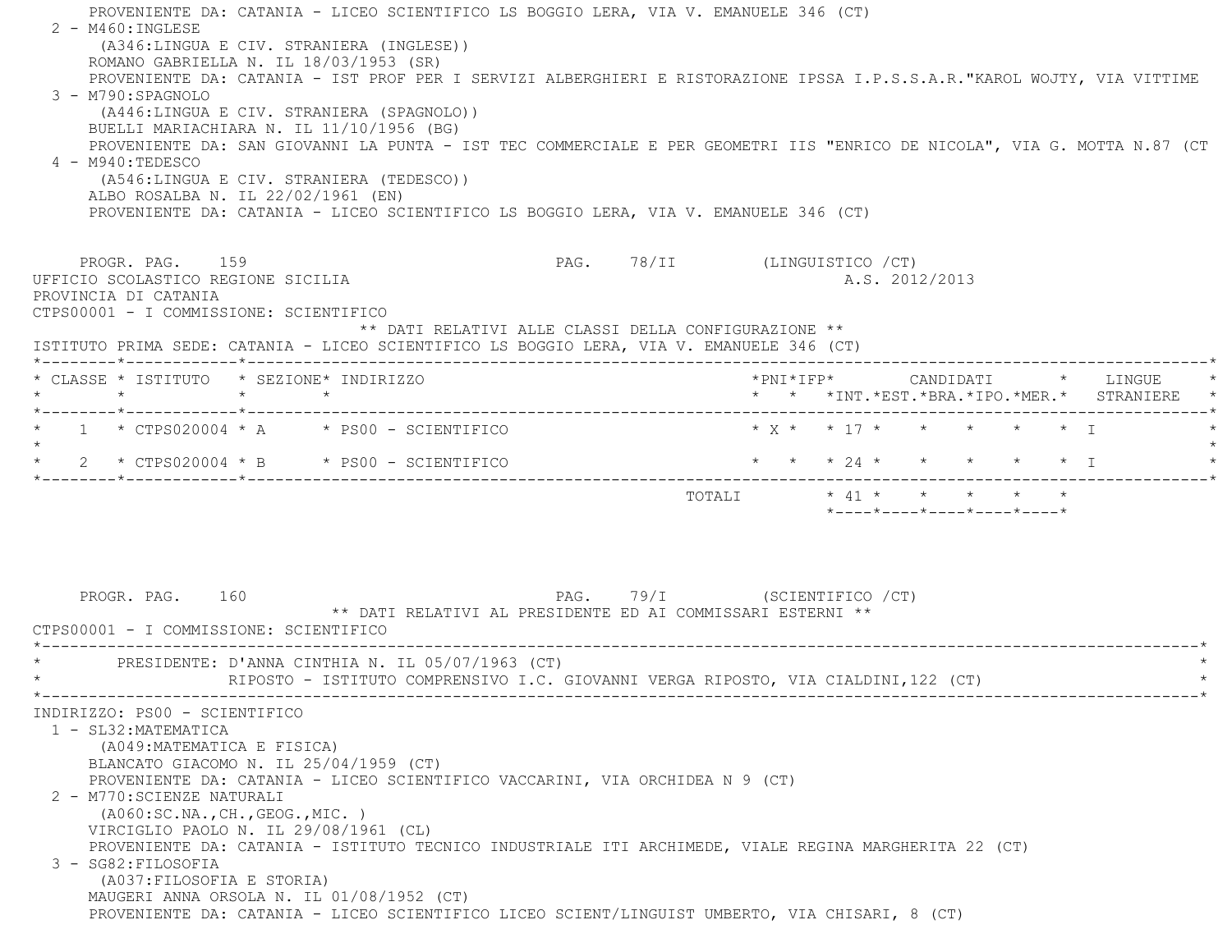PROVENIENTE DA: CATANIA - LICEO SCIENTIFICO LS BOGGIO LERA, VIA V. EMANUELE 346 (CT)  $2 - M460$ : INGLESE (A346:LINGUA E CIV. STRANIERA (INGLESE)) ROMANO GABRIELLA N. IL 18/03/1953 (SR) PROVENIENTE DA: CATANIA - IST PROF PER I SERVIZI ALBERGHIERI E RISTORAZIONE IPSSA I.P.S.S.A.R."KAROL WOJTY, VIA VITTIM E 3 - M790:SPAGNOLO (A446:LINGUA E CIV. STRANIERA (SPAGNOLO)) BUELLI MARIACHIARA N. IL 11/10/1956 (BG) PROVENIENTE DA: SAN GIOVANNI LA PUNTA - IST TEC COMMERCIALE E PER GEOMETRI IIS "ENRICO DE NICOLA", VIA G. MOTTA N.87 (CT  $4 - M940 \cdot TEDESCO$  (A546:LINGUA E CIV. STRANIERA (TEDESCO)) ALBO ROSALBA N. IL 22/02/1961 (EN) PROVENIENTE DA: CATANIA - LICEO SCIENTIFICO LS BOGGIO LERA, VIA V. EMANUELE 346 (CT) PROGR. PAG. 159 PROGR. PAG. 159 UFFICIO SCOLASTICO REGIONE SICILIA A.S. 2012/2013 PROVINCIA DI CATANIA CTPS00001 - I COMMISSIONE: SCIENTIFICO \*\* DATI RELATIVI ALLE CLASSI DELLA CONFIGURAZIONE \*\* ISTITUTO PRIMA SEDE: CATANIA - LICEO SCIENTIFICO LS BOGGIO LERA, VIA V. EMANUELE 346 (CT) \*--------\*------------\*-------------------------------------------------------------------------------------------------------\* \* CLASSE \* ISTITUTO \* SEZIONE\* INDIRIZZO \*PNI\*IFP\* CANDIDATI \* LINGUE \* \* \* \* \* \* \* \*INT.\*EST.\*BRA.\*IPO.\*MER.\* STRANIERE \* \*--------\*------------\*-------------------------------------------------------------------------------------------------------\* \* 1 \* CTPS020004 \* A \* PS00 - SCIENTIFICO \* X \* \* 17 \* \* \* \* \* I \* $\star$  \* 2 \* CTPS020004 \* B \* PS00 - SCIENTIFICO \* \* \* 24 \* \* \* \* \* I \* \*--------\*------------\*-------------------------------------------------------------------------------------------------------\*TOTALI  $* 41 * * * * * * * * *$  \*----\*----\*----\*----\*----\*PROGR. PAG. 160 PAG. PAG. 79/I (SCIENTIFICO / CT) \*\* DATI RELATIVI AL PRESIDENTE ED AI COMMISSARI ESTERNI \*\* CTPS00001 - I COMMISSIONE: SCIENTIFICO \*----------------------------------------------------------------------------------------------------------------------------\*PRESIDENTE: D'ANNA CINTHIA N. IL 05/07/1963 (CT) RIPOSTO - ISTITUTO COMPRENSIVO I.C. GIOVANNI VERGA RIPOSTO, VIA CIALDINI,122 (CT) \*----------------------------------------------------------------------------------------------------------------------------\* INDIRIZZO: PS00 - SCIENTIFICO 1 - SL32:MATEMATICA (A049:MATEMATICA E FISICA) BLANCATO GIACOMO N. IL 25/04/1959 (CT) PROVENIENTE DA: CATANIA - LICEO SCIENTIFICO VACCARINI, VIA ORCHIDEA N 9 (CT) 2 - M770:SCIENZE NATURALI (A060:SC.NA.,CH.,GEOG.,MIC. ) VIRCIGLIO PAOLO N. IL 29/08/1961 (CL) PROVENIENTE DA: CATANIA - ISTITUTO TECNICO INDUSTRIALE ITI ARCHIMEDE, VIALE REGINA MARGHERITA 22 (CT) 3 - SG82:FILOSOFIA (A037:FILOSOFIA E STORIA) MAUGERI ANNA ORSOLA N. IL 01/08/1952 (CT) PROVENIENTE DA: CATANIA - LICEO SCIENTIFICO LICEO SCIENT/LINGUIST UMBERTO, VIA CHISARI, 8 (CT)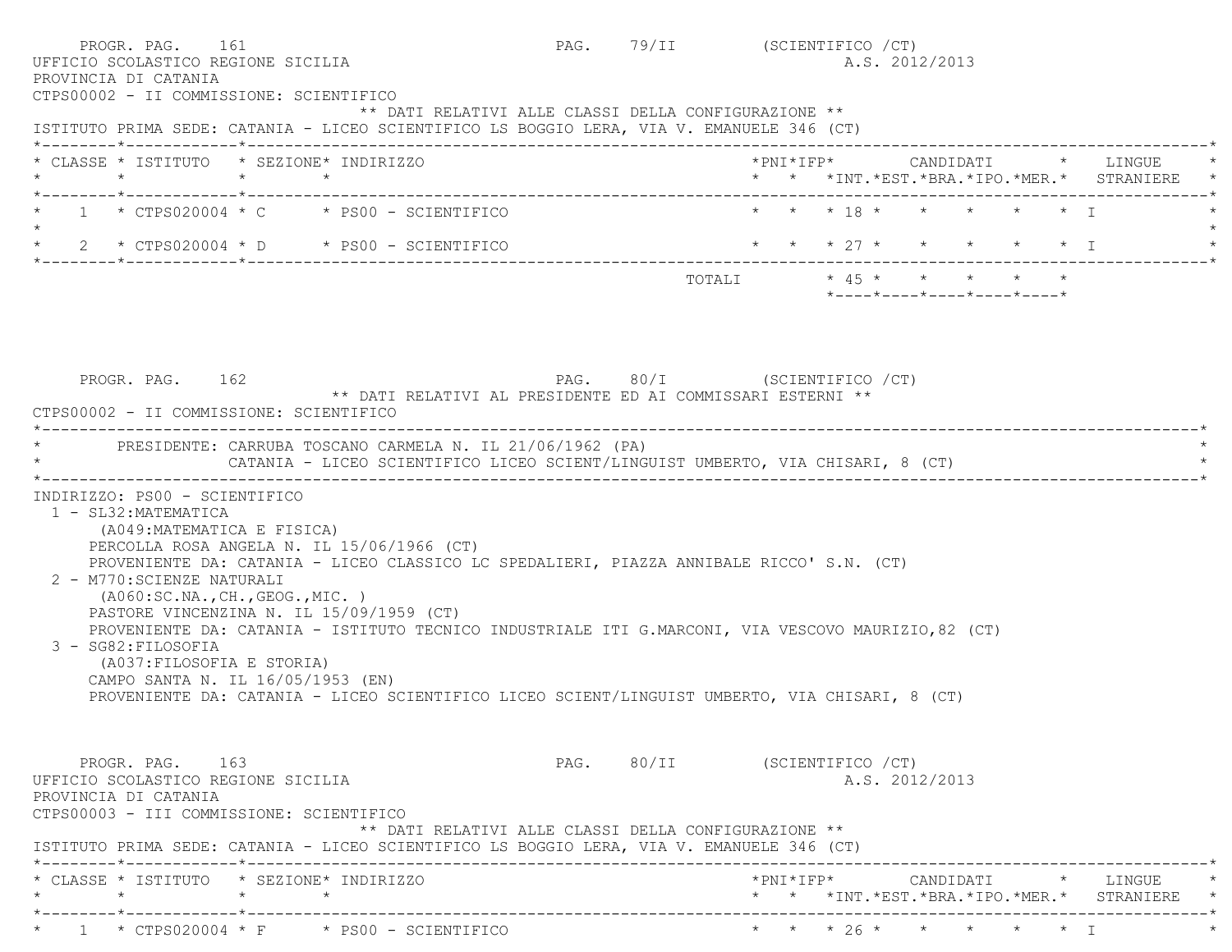|         | PROGR. PAG. 161<br>UFFICIO SCOLASTICO REGIONE SICILIA<br>PROVINCIA DI CATANIA<br>CTPS00002 - II COMMISSIONE: SCIENTIFICO                                                                                         |                                                                                                                                                                                                                                                                                                                                                                                             |                                                      | PAG. 79/II (SCIENTIFICO /CT)  |  | A.S. 2012/2013                                                               |  |                                                 |
|---------|------------------------------------------------------------------------------------------------------------------------------------------------------------------------------------------------------------------|---------------------------------------------------------------------------------------------------------------------------------------------------------------------------------------------------------------------------------------------------------------------------------------------------------------------------------------------------------------------------------------------|------------------------------------------------------|-------------------------------|--|------------------------------------------------------------------------------|--|-------------------------------------------------|
|         |                                                                                                                                                                                                                  | ISTITUTO PRIMA SEDE: CATANIA - LICEO SCIENTIFICO LS BOGGIO LERA, VIA V. EMANUELE 346 (CT)                                                                                                                                                                                                                                                                                                   | ** DATI RELATIVI ALLE CLASSI DELLA CONFIGURAZIONE ** |                               |  |                                                                              |  |                                                 |
|         | * CLASSE * ISTITUTO * SEZIONE* INDIRIZZO                                                                                                                                                                         |                                                                                                                                                                                                                                                                                                                                                                                             |                                                      |                               |  |                                                                              |  | * * *INT. *EST. *BRA. *IPO. *MER. * STRANIERE * |
| $\star$ |                                                                                                                                                                                                                  | $1 \times CTPS020004 \times C \times PS00 - SCIENTIFICO$                                                                                                                                                                                                                                                                                                                                    |                                                      |                               |  | $\star$ $\star$ $\star$ 18 $\star$ $\star$ $\star$ $\star$ $\star$ $\star$ T |  |                                                 |
|         |                                                                                                                                                                                                                  | * $2$ * CTPS020004 * D * PS00 - SCIENTIFICO                                                                                                                                                                                                                                                                                                                                                 |                                                      |                               |  | * * * 27 * * * * * * I                                                       |  |                                                 |
|         |                                                                                                                                                                                                                  |                                                                                                                                                                                                                                                                                                                                                                                             |                                                      |                               |  | TOTALI * 45 * * * * * *<br>$*$ ---- $*$ ---- $*$ ---- $*$ ---- $*$ ---- $*$  |  |                                                 |
|         | PROGR. PAG. 162<br>CTPS00002 - II COMMISSIONE: SCIENTIFICO                                                                                                                                                       | PAG. 80/I (SCIENTIFICO / CT)<br>** DATI RELATIVI AL PRESIDENTE ED AI COMMISSARI ESTERNI **<br>* PRESIDENTE: CARRUBA TOSCANO CARMELA N. IL 21/06/1962 (PA)<br>CATANIA - LICEO SCIENTIFICO LICEO SCIENT/LINGUIST UMBERTO, VIA CHISARI, 8 (CT)                                                                                                                                                 |                                                      |                               |  |                                                                              |  |                                                 |
|         | 1 - SL32: MATEMATICA<br>(A049: MATEMATICA E FISICA)<br>2 - M770: SCIENZE NATURALI<br>( A060:SC.NA., CH., GEOG., MIC. )<br>3 - SG82: FILOSOFIA<br>(A037: FILOSOFIA E STORIA)<br>CAMPO SANTA N. IL 16/05/1953 (EN) | PERCOLLA ROSA ANGELA N. IL 15/06/1966 (CT)<br>PROVENIENTE DA: CATANIA - LICEO CLASSICO LC SPEDALIERI, PIAZZA ANNIBALE RICCO' S.N. (CT)<br>PASTORE VINCENZINA N. IL 15/09/1959 (CT)<br>PROVENIENTE DA: CATANIA - ISTITUTO TECNICO INDUSTRIALE ITI G.MARCONI, VIA VESCOVO MAURIZIO, 82 (CT)<br>PROVENIENTE DA: CATANIA - LICEO SCIENTIFICO LICEO SCIENT/LINGUIST UMBERTO, VIA CHISARI, 8 (CT) |                                                      |                               |  |                                                                              |  |                                                 |
|         | PROGR. PAG. 163<br>UFFICIO SCOLASTICO REGIONE SICILIA<br>PROVINCIA DI CATANIA<br>CTPS00003 - III COMMISSIONE: SCIENTIFICO                                                                                        | ISTITUTO PRIMA SEDE: CATANIA - LICEO SCIENTIFICO LS BOGGIO LERA, VIA V. EMANUELE 346 (CT)                                                                                                                                                                                                                                                                                                   | ** DATI RELATIVI ALLE CLASSI DELLA CONFIGURAZIONE ** | PAG. 80/II (SCIENTIFICO / CT) |  | A.S. 2012/2013                                                               |  |                                                 |
| $\star$ | * CLASSE * ISTITUTO * SEZIONE* INDIRIZZO                                                                                                                                                                         |                                                                                                                                                                                                                                                                                                                                                                                             |                                                      |                               |  |                                                                              |  |                                                 |
|         |                                                                                                                                                                                                                  |                                                                                                                                                                                                                                                                                                                                                                                             |                                                      |                               |  |                                                                              |  | * * *INT. *EST. *BRA. *IPO. *MER. * STRANIERE * |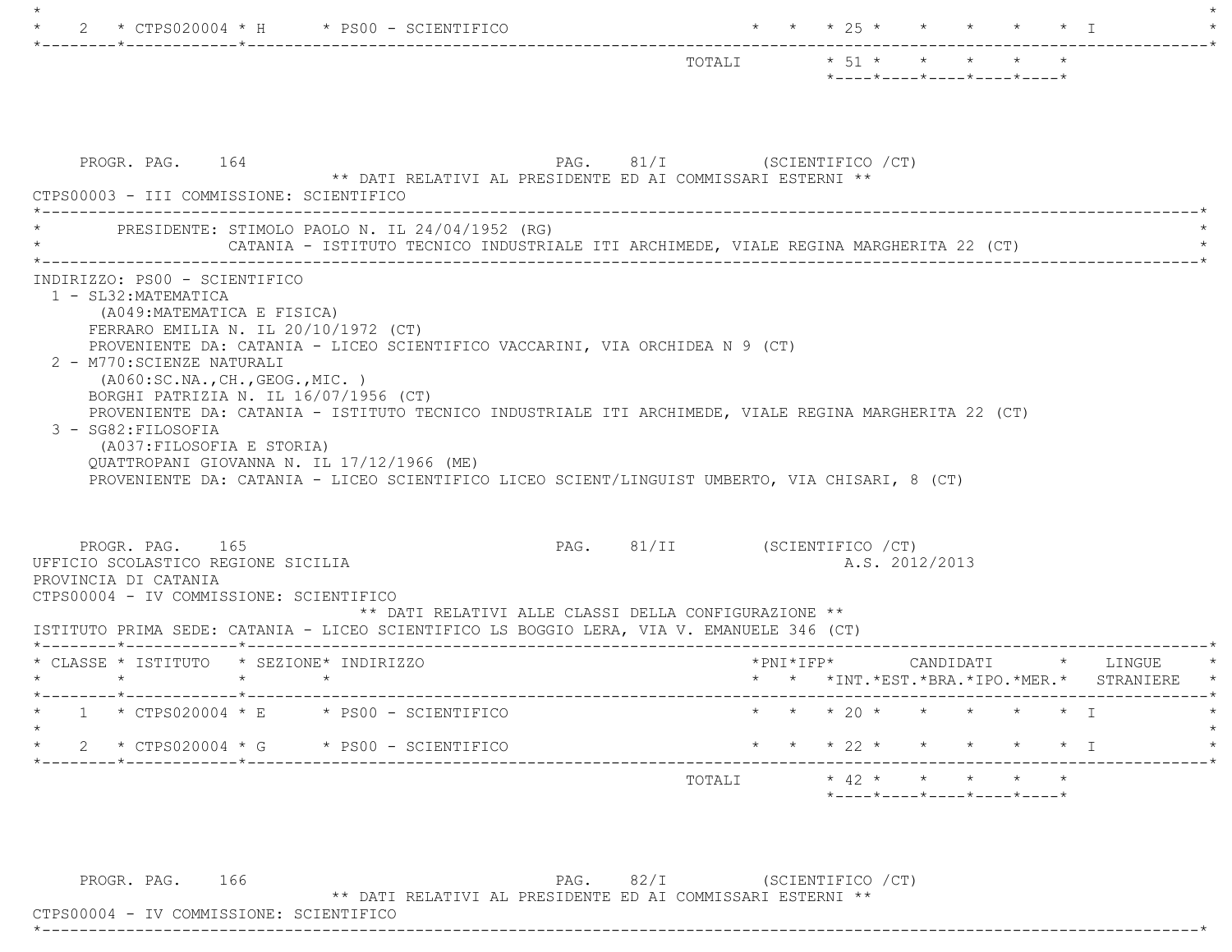|                                                                                                                                                                                                                                                                                                            | $*$ ---- $*$ ---- $*$ ---- $*$ ---- $*$          |
|------------------------------------------------------------------------------------------------------------------------------------------------------------------------------------------------------------------------------------------------------------------------------------------------------------|--------------------------------------------------|
| PROGR. PAG. 164<br>** DATI RELATIVI AL PRESIDENTE ED AI COMMISSARI ESTERNI **<br>CTPS00003 - III COMMISSIONE: SCIENTIFICO                                                                                                                                                                                  | PAG. 81/I (SCIENTIFICO / CT)                     |
| PRESIDENTE: STIMOLO PAOLO N. IL 24/04/1952 (RG)<br>CATANIA - ISTITUTO TECNICO INDUSTRIALE ITI ARCHIMEDE, VIALE REGINA MARGHERITA 22 (CT)                                                                                                                                                                   |                                                  |
| 1 - SL32: MATEMATICA<br>(A049:MATEMATICA E FISICA)<br>FERRARO EMILIA N. IL $20/10/1972$ (CT)<br>PROVENIENTE DA: CATANIA - LICEO SCIENTIFICO VACCARINI, VIA ORCHIDEA N 9 (CT)<br>2 - M770: SCIENZE NATURALI<br>( A060:SC.NA., CH., GEOG., MIC. )<br>BORGHI PATRIZIA N. IL 16/07/1956 (CT)                   |                                                  |
| PROVENIENTE DA: CATANIA - ISTITUTO TECNICO INDUSTRIALE ITI ARCHIMEDE, VIALE REGINA MARGHERITA 22 (CT)<br>3 - SG82: FILOSOFIA<br>(A037: FILOSOFIA E STORIA)<br>OUATTROPANI GIOVANNA N. IL 17/12/1966 (ME)<br>PROVENIENTE DA: CATANIA - LICEO SCIENTIFICO LICEO SCIENT/LINGUIST UMBERTO, VIA CHISARI, 8 (CT) |                                                  |
| PROGR. PAG. 165<br>** DATI RELATIVI ALLE CLASSI DELLA CONFIGURAZIONE **                                                                                                                                                                                                                                    | PAG. 81/II (SCIENTIFICO / CT)<br>A.S. 2012/2013  |
| UFFICIO SCOLASTICO REGIONE SICILIA<br>PROVINCIA DI CATANIA<br>CTPS00004 - IV COMMISSIONE: SCIENTIFICO<br>ISTITUTO PRIMA SEDE: CATANIA - LICEO SCIENTIFICO LS BOGGIO LERA, VIA V. EMANUELE 346 (CT)<br>* CLASSE * ISTITUTO * SEZIONE* INDIRIZZO                                                             |                                                  |
| $\star$ $\star$<br>$\star$                                                                                                                                                                                                                                                                                 | * * *INT.*EST.*BRA.*IPO.*MER.* STRANIERE         |
| $1 * CTPS020004 * E * PS00 - SCIENTIFICO$<br>* $2$ * CTPS020004 * G * PS00 - SCIENTIFICO                                                                                                                                                                                                                   | * * * 20 * * * * * * T<br>* * * 22 * * * * * * I |

PROGR. PAG. 166 PAG. 82/I (SCIENTIFICO / CT) \*\* DATI RELATIVI AL PRESIDENTE ED AI COMMISSARI ESTERNI \*\*

 CTPS00004 - IV COMMISSIONE: SCIENTIFICO \*----------------------------------------------------------------------------------------------------------------------------\*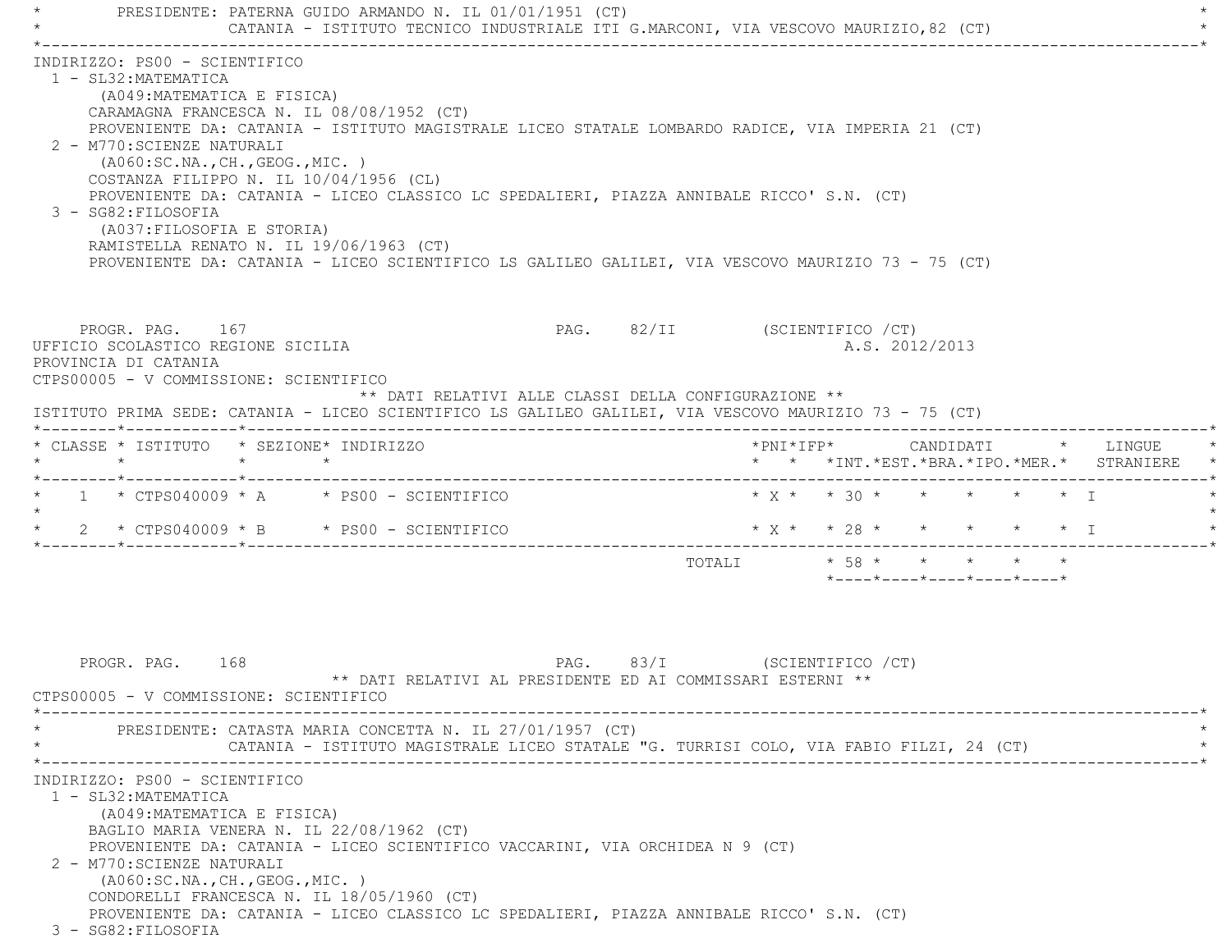PRESIDENTE: PATERNA GUIDO ARMANDO N. IL 01/01/1951 (CT) CATANIA - ISTITUTO TECNICO INDUSTRIALE ITI G.MARCONI, VIA VESCOVO MAURIZIO,82 (CT) \*----------------------------------------------------------------------------------------------------------------------------\* INDIRIZZO: PS00 - SCIENTIFICO 1 - SL32:MATEMATICA (A049:MATEMATICA E FISICA) CARAMAGNA FRANCESCA N. IL 08/08/1952 (CT) PROVENIENTE DA: CATANIA - ISTITUTO MAGISTRALE LICEO STATALE LOMBARDO RADICE, VIA IMPERIA 21 (CT) 2 - M770:SCIENZE NATURALI (A060:SC.NA.,CH.,GEOG.,MIC. ) COSTANZA FILIPPO N. IL 10/04/1956 (CL) PROVENIENTE DA: CATANIA - LICEO CLASSICO LC SPEDALIERI, PIAZZA ANNIBALE RICCO' S.N. (CT) 3 - SG82:FILOSOFIA (A037:FILOSOFIA E STORIA) RAMISTELLA RENATO N. IL 19/06/1963 (CT) PROVENIENTE DA: CATANIA - LICEO SCIENTIFICO LS GALILEO GALILEI, VIA VESCOVO MAURIZIO 73 - 75 (CT) PROGR. PAG. 167 PROGR. PAG. 82/II (SCIENTIFICO / CT) UFFICIO SCOLASTICO REGIONE SICILIA A.S. 2012/2013 PROVINCIA DI CATANIA CTPS00005 - V COMMISSIONE: SCIENTIFICO \*\* DATI RELATIVI ALLE CLASSI DELLA CONFIGURAZIONE \*\* ISTITUTO PRIMA SEDE: CATANIA - LICEO SCIENTIFICO LS GALILEO GALILEI, VIA VESCOVO MAURIZIO 73 - 75 (CT) \*--------\*------------\*-------------------------------------------------------------------------------------------------------\* \* CLASSE \* ISTITUTO \* SEZIONE\* INDIRIZZO \*PNI\*IFP\* CANDIDATI \* LINGUE \* \* \* \* \* \* \* \*INT.\*EST.\*BRA.\*IPO.\*MER.\* STRANIERE \* \*--------\*------------\*-------------------------------------------------------------------------------------------------------\*1 \* CTPS040009 \* A \* PS00 - SCIENTIFICO \* X \* \* 30 \* \* \* \* \* \* I  $\star$ \* 2 \* CTPS040009 \* B \* PS00 - SCIENTIFICO \* \* \* \* \* \* \* \* \* \* \* \* I \*--------\*------------\*-------------------------------------------------------------------------------------------------------\*TOTALI  $\star$  58 \* \* \* \* \* \*----\*----\*----\*----\*----\* PROGR. PAG. 168 PAG. 83/I (SCIENTIFICO /CT) \*\* DATI RELATIVI AL PRESIDENTE ED AI COMMISSARI ESTERNI \*\* CTPS00005 - V COMMISSIONE: SCIENTIFICO \*----------------------------------------------------------------------------------------------------------------------------\*PRESIDENTE: CATASTA MARIA CONCETTA N. IL 27/01/1957 (CT) CATANIA - ISTITUTO MAGISTRALE LICEO STATALE "G. TURRISI COLO, VIA FABIO FILZI, 24 (CT) \*----------------------------------------------------------------------------------------------------------------------------\* INDIRIZZO: PS00 - SCIENTIFICO 1 - SL32:MATEMATICA (A049:MATEMATICA E FISICA) BAGLIO MARIA VENERA N. IL 22/08/1962 (CT) PROVENIENTE DA: CATANIA - LICEO SCIENTIFICO VACCARINI, VIA ORCHIDEA N 9 (CT) 2 - M770:SCIENZE NATURALI (A060:SC.NA.,CH.,GEOG.,MIC. ) CONDORELLI FRANCESCA N. IL 18/05/1960 (CT) PROVENIENTE DA: CATANIA - LICEO CLASSICO LC SPEDALIERI, PIAZZA ANNIBALE RICCO' S.N. (CT) 3 - SG82:FILOSOFIA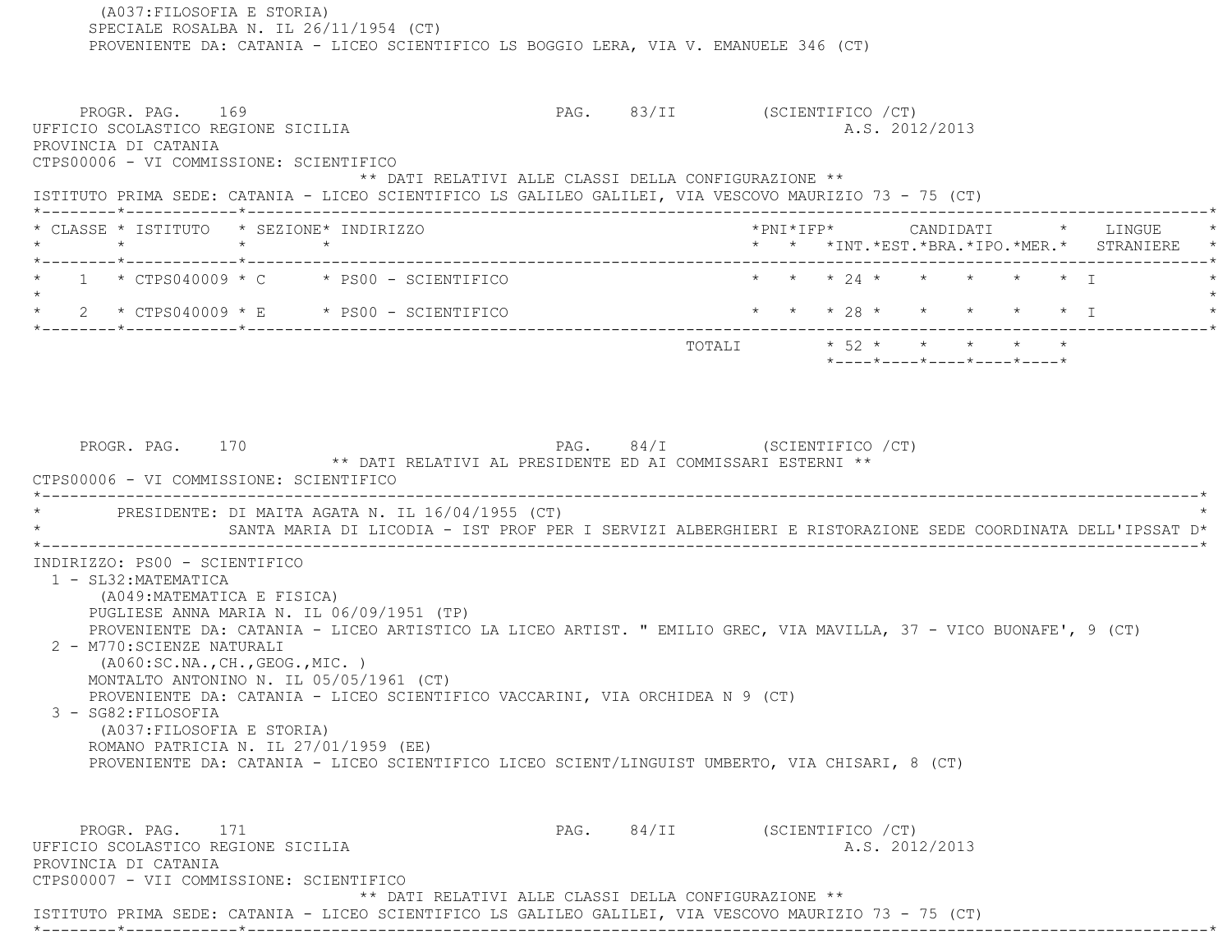(A037:FILOSOFIA E STORIA) SPECIALE ROSALBA N. IL 26/11/1954 (CT) PROVENIENTE DA: CATANIA - LICEO SCIENTIFICO LS BOGGIO LERA, VIA V. EMANUELE 346 (CT) PROGR. PAG. 169 PAG. 83/II (SCIENTIFICO /CT) UFFICIO SCOLASTICO REGIONE SICILIA A.S. 2012/2013 PROVINCIA DI CATANIA CTPS00006 - VI COMMISSIONE: SCIENTIFICO \*\* DATI RELATIVI ALLE CLASSI DELLA CONFIGURAZIONE \*\* ISTITUTO PRIMA SEDE: CATANIA - LICEO SCIENTIFICO LS GALILEO GALILEI, VIA VESCOVO MAURIZIO 73 - 75 (CT) \*--------\*------------\*-------------------------------------------------------------------------------------------------------\* \* CLASSE \* ISTITUTO \* SEZIONE\* INDIRIZZO \*PNI\*IFP\* CANDIDATI \* LINGUE \* \* \* \* \* \* \* \*INT.\*EST.\*BRA.\*IPO.\*MER.\* STRANIERE \* \*--------\*------------\*-------------------------------------------------------------------------------------------------------\*1 \* CTPS040009 \* C \* PS00 - SCIENTIFICO \* \* \* \* 24 \* \* \* \* \* \* \* \* \* I  $\star$ \* 2 \* CTPS040009 \* E \* PS00 - SCIENTIFICO \* \* \* \* 28 \* \* \* \* \* \* \* I \*--------\*------------\*-------------------------------------------------------------------------------------------------------\* TOTALI \* 52 \* \* \* \* \* \*----\*----\*----\*----\*----\*PROGR. PAG. 170 **PAG. 24/I** (SCIENTIFICO /CT) \*\* DATI RELATIVI AL PRESIDENTE ED AI COMMISSARI ESTERNI \*\* CTPS00006 - VI COMMISSIONE: SCIENTIFICO \*----------------------------------------------------------------------------------------------------------------------------\*PRESIDENTE: DI MAITA AGATA N. IL 16/04/1955 (CT) \* SANTA MARIA DI LICODIA - IST PROF PER I SERVIZI ALBERGHIERI E RISTORAZIONE SEDE COORDINATA DELL'IPSSAT D\* \*----------------------------------------------------------------------------------------------------------------------------\* INDIRIZZO: PS00 - SCIENTIFICO 1 - SL32:MATEMATICA (A049:MATEMATICA E FISICA) PUGLIESE ANNA MARIA N. IL 06/09/1951 (TP) PROVENIENTE DA: CATANIA - LICEO ARTISTICO LA LICEO ARTIST. " EMILIO GREC, VIA MAVILLA, 37 - VICO BUONAFE', 9 (CT) 2 - M770:SCIENZE NATURALI (A060:SC.NA.,CH.,GEOG.,MIC. ) MONTALTO ANTONINO N. IL 05/05/1961 (CT) PROVENIENTE DA: CATANIA - LICEO SCIENTIFICO VACCARINI, VIA ORCHIDEA N 9 (CT) 3 - SG82:FILOSOFIA (A037:FILOSOFIA E STORIA) ROMANO PATRICIA N. IL 27/01/1959 (EE) PROVENIENTE DA: CATANIA - LICEO SCIENTIFICO LICEO SCIENT/LINGUIST UMBERTO, VIA CHISARI, 8 (CT) PROGR. PAG. 171 PAG. 84/II (SCIENTIFICO / CT) UFFICIO SCOLASTICO REGIONE SICILIA A.S. 2012/2013 PROVINCIA DI CATANIA CTPS00007 - VII COMMISSIONE: SCIENTIFICO\*\* DATI RELATIVI ALLE CLASSI DELLA CONFIGURAZIONE \*\*

\*--------\*------------\*-------------------------------------------------------------------------------------------------------\*

ISTITUTO PRIMA SEDE: CATANIA - LICEO SCIENTIFICO LS GALILEO GALILEI, VIA VESCOVO MAURIZIO 73 - 75 (CT)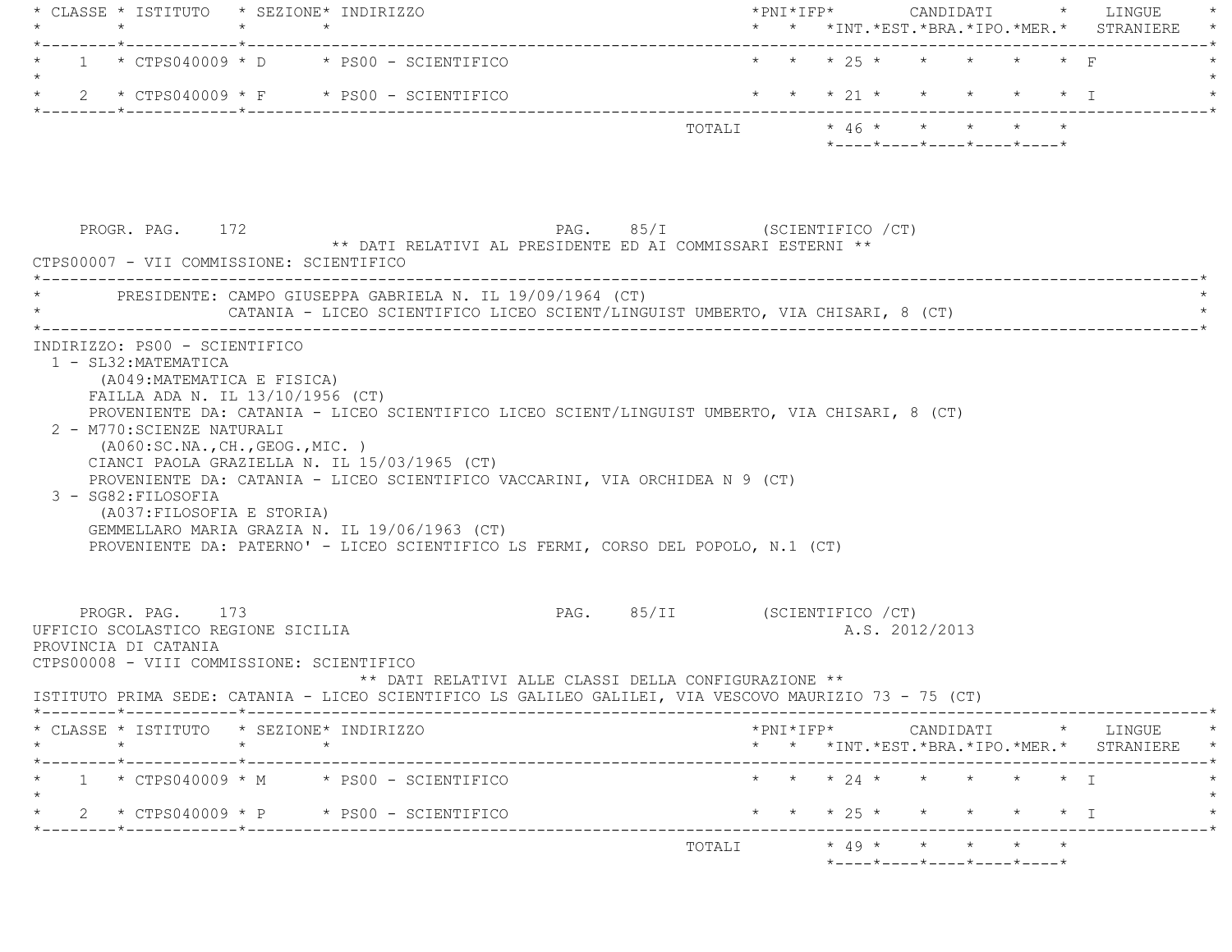| * * * 25 * * * * * * F<br>$1 * CTPS040009 * D * PS00 - SCIENTIFICO$<br>* * * 21 * * * * * * I<br>2 * CTPS040009 * F * PS00 - SCIENTIFICO<br>TOTALI * 46 * * * * * *<br>$*$ ---- $*$ ---- $*$ ---- $*$ ---- $*$ ---- $*$<br>PAG. 85/I (SCIENTIFICO / CT)<br>PROGR. PAG. 172<br>** DATI RELATIVI AL PRESIDENTE ED AI COMMISSARI ESTERNI **<br>CTPS00007 - VII COMMISSIONE: SCIENTIFICO<br>PRESIDENTE: CAMPO GIUSEPPA GABRIELA N. IL 19/09/1964 (CT)<br>CATANIA - LICEO SCIENTIFICO LICEO SCIENT/LINGUIST UMBERTO, VIA CHISARI, 8 (CT)<br>INDIRIZZO: PS00 - SCIENTIFICO<br>1 - SL32: MATEMATICA<br>(A049: MATEMATICA E FISICA)<br>FAILLA ADA N. IL 13/10/1956 (CT)<br>PROVENIENTE DA: CATANIA - LICEO SCIENTIFICO LICEO SCIENT/LINGUIST UMBERTO, VIA CHISARI, 8 (CT)<br>2 - M770: SCIENZE NATURALI<br>( A060:SC.NA., CH., GEOG., MIC. )<br>CIANCI PAOLA GRAZIELLA N. IL 15/03/1965 (CT)<br>PROVENIENTE DA: CATANIA - LICEO SCIENTIFICO VACCARINI, VIA ORCHIDEA N 9 (CT)<br>3 - SG82: FILOSOFIA<br>(A037: FILOSOFIA E STORIA)<br>GEMMELLARO MARIA GRAZIA N. IL 19/06/1963 (CT)<br>PROVENIENTE DA: PATERNO' - LICEO SCIENTIFICO LS FERMI, CORSO DEL POPOLO, N.1 (CT)<br>PAG. 85/II (SCIENTIFICO / CT)<br>PROGR. PAG. 173<br>UFFICIO SCOLASTICO REGIONE SICILIA<br>A.S. 2012/2013<br>PROVINCIA DI CATANIA<br>CTPS00008 - VIII COMMISSIONE: SCIENTIFICO<br>** DATI RELATIVI ALLE CLASSI DELLA CONFIGURAZIONE **<br>ISTITUTO PRIMA SEDE: CATANIA - LICEO SCIENTIFICO LS GALILEO GALILEI, VIA VESCOVO MAURIZIO 73 - 75 (CT)<br>CLASSE * ISTITUTO * SEZIONE* INDIRIZZO<br>$\star$<br>* * *INT. *EST. *BRA. *IPO. *MER. * STRANIERE *<br>$\star$<br>* * * 24 * * * * * * I<br>$1 * CTPS040009 * M * PS00 - SCIENTIFICO$<br>* * * 25 * *<br>2 * $CTPS040009$ * P * PS00 - SCIENTIFICO<br>$\star$ $\star$ $\star$ $\perp$<br>$*$ 49 * * * * * *<br>TOTALI | * CLASSE * ISTITUTO * SEZIONE* INDIRIZZO<br>$\star$<br>.______*____________*_______ |  | -------------------------------- |  |  |  |  |  |  | * * *INT. *EST. *BRA. *IPO. *MER. * STRANIERE |
|----------------------------------------------------------------------------------------------------------------------------------------------------------------------------------------------------------------------------------------------------------------------------------------------------------------------------------------------------------------------------------------------------------------------------------------------------------------------------------------------------------------------------------------------------------------------------------------------------------------------------------------------------------------------------------------------------------------------------------------------------------------------------------------------------------------------------------------------------------------------------------------------------------------------------------------------------------------------------------------------------------------------------------------------------------------------------------------------------------------------------------------------------------------------------------------------------------------------------------------------------------------------------------------------------------------------------------------------------------------------------------------------------------------------------------------------------------------------------------------------------------------------------------------------------------------------------------------------------------------------------------------------------------------------------------------------------------------------------------------------------------------------------------------------------------------------------------------------|-------------------------------------------------------------------------------------|--|----------------------------------|--|--|--|--|--|--|-----------------------------------------------|
|                                                                                                                                                                                                                                                                                                                                                                                                                                                                                                                                                                                                                                                                                                                                                                                                                                                                                                                                                                                                                                                                                                                                                                                                                                                                                                                                                                                                                                                                                                                                                                                                                                                                                                                                                                                                                                              |                                                                                     |  |                                  |  |  |  |  |  |  |                                               |
|                                                                                                                                                                                                                                                                                                                                                                                                                                                                                                                                                                                                                                                                                                                                                                                                                                                                                                                                                                                                                                                                                                                                                                                                                                                                                                                                                                                                                                                                                                                                                                                                                                                                                                                                                                                                                                              |                                                                                     |  |                                  |  |  |  |  |  |  |                                               |
|                                                                                                                                                                                                                                                                                                                                                                                                                                                                                                                                                                                                                                                                                                                                                                                                                                                                                                                                                                                                                                                                                                                                                                                                                                                                                                                                                                                                                                                                                                                                                                                                                                                                                                                                                                                                                                              |                                                                                     |  |                                  |  |  |  |  |  |  |                                               |
|                                                                                                                                                                                                                                                                                                                                                                                                                                                                                                                                                                                                                                                                                                                                                                                                                                                                                                                                                                                                                                                                                                                                                                                                                                                                                                                                                                                                                                                                                                                                                                                                                                                                                                                                                                                                                                              |                                                                                     |  |                                  |  |  |  |  |  |  |                                               |
|                                                                                                                                                                                                                                                                                                                                                                                                                                                                                                                                                                                                                                                                                                                                                                                                                                                                                                                                                                                                                                                                                                                                                                                                                                                                                                                                                                                                                                                                                                                                                                                                                                                                                                                                                                                                                                              |                                                                                     |  |                                  |  |  |  |  |  |  |                                               |
|                                                                                                                                                                                                                                                                                                                                                                                                                                                                                                                                                                                                                                                                                                                                                                                                                                                                                                                                                                                                                                                                                                                                                                                                                                                                                                                                                                                                                                                                                                                                                                                                                                                                                                                                                                                                                                              |                                                                                     |  |                                  |  |  |  |  |  |  |                                               |
|                                                                                                                                                                                                                                                                                                                                                                                                                                                                                                                                                                                                                                                                                                                                                                                                                                                                                                                                                                                                                                                                                                                                                                                                                                                                                                                                                                                                                                                                                                                                                                                                                                                                                                                                                                                                                                              |                                                                                     |  |                                  |  |  |  |  |  |  |                                               |
|                                                                                                                                                                                                                                                                                                                                                                                                                                                                                                                                                                                                                                                                                                                                                                                                                                                                                                                                                                                                                                                                                                                                                                                                                                                                                                                                                                                                                                                                                                                                                                                                                                                                                                                                                                                                                                              |                                                                                     |  |                                  |  |  |  |  |  |  |                                               |
|                                                                                                                                                                                                                                                                                                                                                                                                                                                                                                                                                                                                                                                                                                                                                                                                                                                                                                                                                                                                                                                                                                                                                                                                                                                                                                                                                                                                                                                                                                                                                                                                                                                                                                                                                                                                                                              |                                                                                     |  |                                  |  |  |  |  |  |  |                                               |
|                                                                                                                                                                                                                                                                                                                                                                                                                                                                                                                                                                                                                                                                                                                                                                                                                                                                                                                                                                                                                                                                                                                                                                                                                                                                                                                                                                                                                                                                                                                                                                                                                                                                                                                                                                                                                                              |                                                                                     |  |                                  |  |  |  |  |  |  |                                               |
|                                                                                                                                                                                                                                                                                                                                                                                                                                                                                                                                                                                                                                                                                                                                                                                                                                                                                                                                                                                                                                                                                                                                                                                                                                                                                                                                                                                                                                                                                                                                                                                                                                                                                                                                                                                                                                              |                                                                                     |  |                                  |  |  |  |  |  |  |                                               |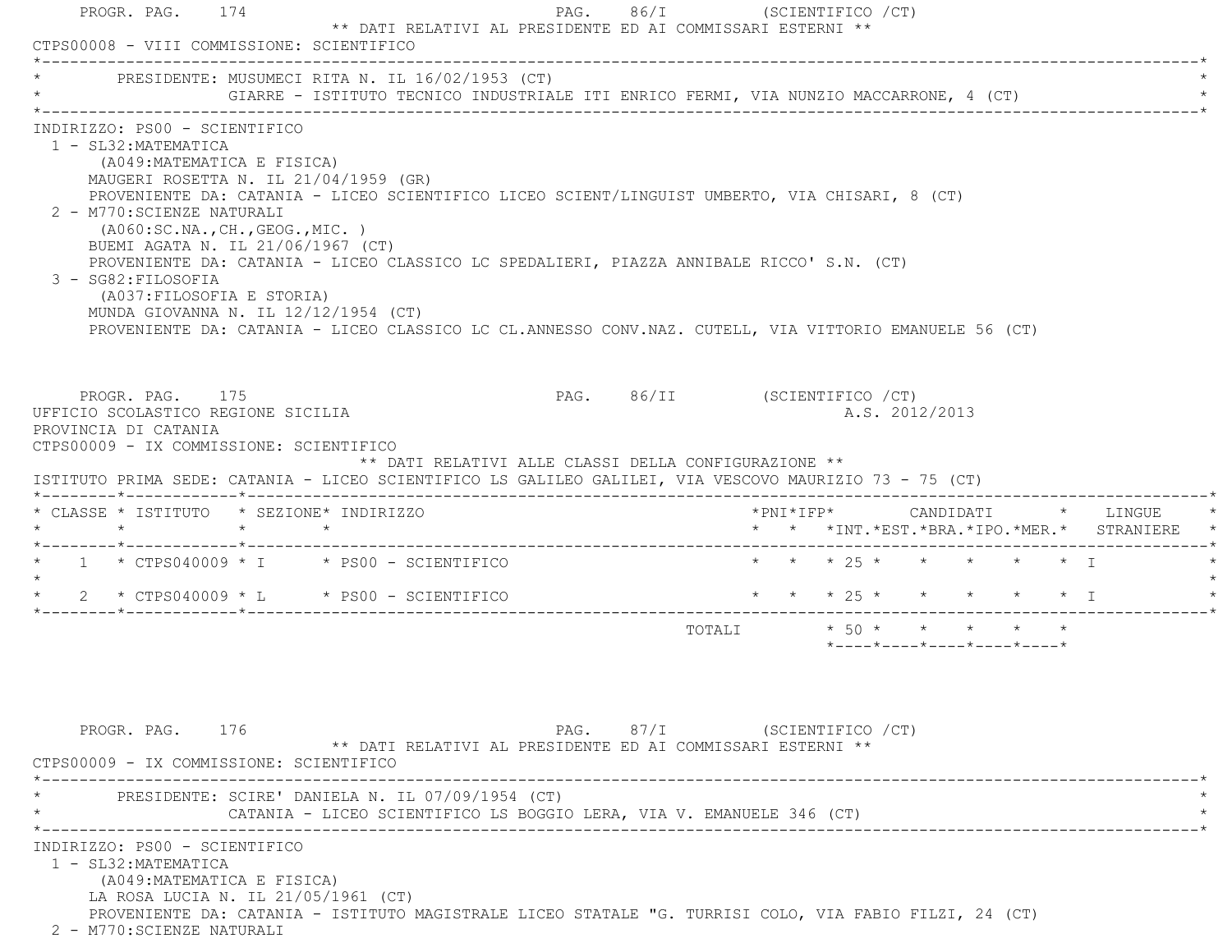| PROGR. PAG. 174<br>CTPS00008 - VIII COMMISSIONE: SCIENTIFICO                                                                                                                                                                                                                                  |                                                                                                                                                                             | ** DATI RELATIVI AL PRESIDENTE ED AI COMMISSARI ESTERNI **                                                                                                                                                                                                                                                                                    |                                                            | PAG. 86/I (SCIENTIFICO / CT)  |  |                                                                    |  |  |                                            |  |
|-----------------------------------------------------------------------------------------------------------------------------------------------------------------------------------------------------------------------------------------------------------------------------------------------|-----------------------------------------------------------------------------------------------------------------------------------------------------------------------------|-----------------------------------------------------------------------------------------------------------------------------------------------------------------------------------------------------------------------------------------------------------------------------------------------------------------------------------------------|------------------------------------------------------------|-------------------------------|--|--------------------------------------------------------------------|--|--|--------------------------------------------|--|
|                                                                                                                                                                                                                                                                                               |                                                                                                                                                                             | PRESIDENTE: MUSUMECI RITA N. IL 16/02/1953 (CT)<br>GIARRE - ISTITUTO TECNICO INDUSTRIALE ITI ENRICO FERMI, VIA NUNZIO MACCARRONE, 4 (CT)                                                                                                                                                                                                      |                                                            |                               |  |                                                                    |  |  |                                            |  |
| INDIRIZZO: PS00 - SCIENTIFICO<br>1 - SL32: MATEMATICA<br>2 - M770: SCIENZE NATURALI<br>3 - SG82: FILOSOFIA                                                                                                                                                                                    | (A049: MATEMATICA E FISICA)<br>( A060:SC.NA., CH., GEOG., MIC. )<br>BUEMI AGATA N. IL 21/06/1967 (CT)<br>(A037: FILOSOFIA E STORIA)<br>MUNDA GIOVANNA N. IL 12/12/1954 (CT) | MAUGERI ROSETTA N. IL 21/04/1959 (GR)<br>PROVENIENTE DA: CATANIA - LICEO SCIENTIFICO LICEO SCIENT/LINGUIST UMBERTO, VIA CHISARI, 8 (CT)<br>PROVENIENTE DA: CATANIA - LICEO CLASSICO LC SPEDALIERI, PIAZZA ANNIBALE RICCO' S.N. (CT)<br>PROVENIENTE DA: CATANIA - LICEO CLASSICO LC CL.ANNESSO CONV.NAZ. CUTELL, VIA VITTORIO EMANUELE 56 (CT) |                                                            |                               |  |                                                                    |  |  |                                            |  |
| PROGR. PAG. 175<br>UFFICIO SCOLASTICO REGIONE SICILIA<br>PROVINCIA DI CATANIA                                                                                                                                                                                                                 |                                                                                                                                                                             |                                                                                                                                                                                                                                                                                                                                               |                                                            | PAG. 86/II (SCIENTIFICO / CT) |  | A.S. 2012/2013                                                     |  |  |                                            |  |
|                                                                                                                                                                                                                                                                                               |                                                                                                                                                                             |                                                                                                                                                                                                                                                                                                                                               | ** DATI RELATIVI ALLE CLASSI DELLA CONFIGURAZIONE **       |                               |  |                                                                    |  |  |                                            |  |
| $\star$ $\star$ $\star$                                                                                                                                                                                                                                                                       |                                                                                                                                                                             |                                                                                                                                                                                                                                                                                                                                               |                                                            |                               |  |                                                                    |  |  | * * *INT.*EST.*BRA.*IPO.*MER.* STRANIERE * |  |
|                                                                                                                                                                                                                                                                                               |                                                                                                                                                                             |                                                                                                                                                                                                                                                                                                                                               |                                                            |                               |  | * * * 25 * * * * * * I                                             |  |  |                                            |  |
|                                                                                                                                                                                                                                                                                               |                                                                                                                                                                             |                                                                                                                                                                                                                                                                                                                                               |                                                            |                               |  |                                                                    |  |  |                                            |  |
|                                                                                                                                                                                                                                                                                               |                                                                                                                                                                             |                                                                                                                                                                                                                                                                                                                                               |                                                            |                               |  | TOTALI * 50 * * * * * *<br>$*$ ---- $*$ ---- $*$ ---- $*$ ---- $*$ |  |  |                                            |  |
| PROGR. PAG. 176                                                                                                                                                                                                                                                                               |                                                                                                                                                                             |                                                                                                                                                                                                                                                                                                                                               | ** DATI RELATIVI AL PRESIDENTE ED AI COMMISSARI ESTERNI ** | PAG. 87/I (SCIENTIFICO / CT)  |  |                                                                    |  |  |                                            |  |
| CTPS00009 - IX COMMISSIONE: SCIENTIFICO<br>ISTITUTO PRIMA SEDE: CATANIA - LICEO SCIENTIFICO LS GALILEO GALILEI, VIA VESCOVO MAURIZIO 73 - 75 (CT)<br>* CLASSE * ISTITUTO * SEZIONE* INDIRIZZO<br>$*$ 1 $*$ CTPS040009 $*$ I $*$ PS00 - SCIENTIFICO<br>CTPS00009 - IX COMMISSIONE: SCIENTIFICO |                                                                                                                                                                             | PRESIDENTE: SCIRE' DANIELA N. IL 07/09/1954 (CT)<br>CATANIA - LICEO SCIENTIFICO LS BOGGIO LERA, VIA V. EMANUELE 346 (CT)                                                                                                                                                                                                                      |                                                            |                               |  |                                                                    |  |  |                                            |  |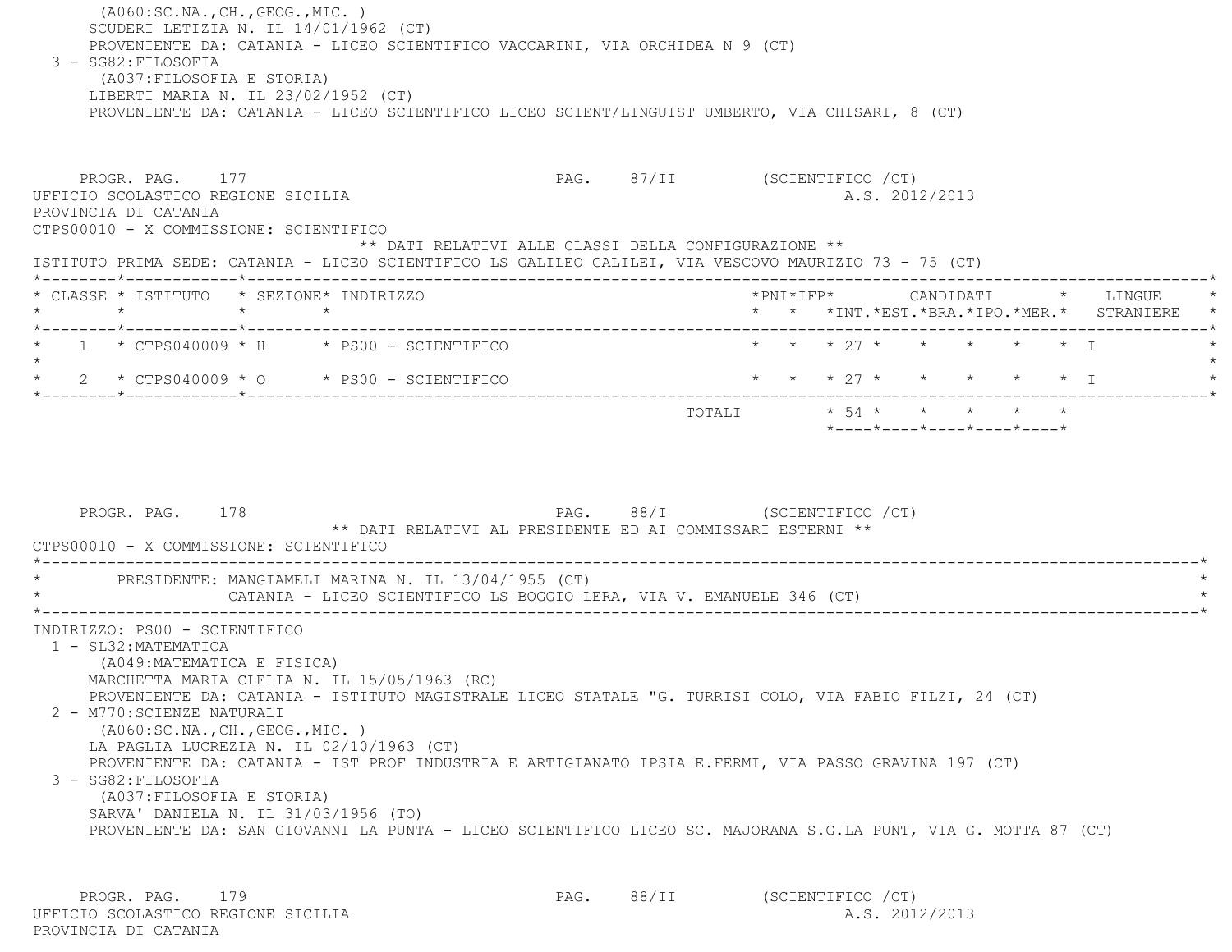(A060:SC.NA.,CH.,GEOG.,MIC. ) SCUDERI LETIZIA N. IL 14/01/1962 (CT) PROVENIENTE DA: CATANIA - LICEO SCIENTIFICO VACCARINI, VIA ORCHIDEA N 9 (CT) 3 - SG82:FILOSOFIA (A037:FILOSOFIA E STORIA) LIBERTI MARIA N. IL 23/02/1952 (CT) PROVENIENTE DA: CATANIA - LICEO SCIENTIFICO LICEO SCIENT/LINGUIST UMBERTO, VIA CHISARI, 8 (CT) PROGR. PAG. 177 PROGR. PAG. 87/II (SCIENTIFICO / CT) UFFICIO SCOLASTICO REGIONE SICILIA A.S. 2012/2013 PROVINCIA DI CATANIA CTPS00010 - X COMMISSIONE: SCIENTIFICO \*\* DATI RELATIVI ALLE CLASSI DELLA CONFIGURAZIONE \*\* ISTITUTO PRIMA SEDE: CATANIA - LICEO SCIENTIFICO LS GALILEO GALILEI, VIA VESCOVO MAURIZIO 73 - 75 (CT) \*--------\*------------\*-------------------------------------------------------------------------------------------------------\* \* CLASSE \* ISTITUTO \* SEZIONE\* INDIRIZZO \*PNI\*IFP\* CANDIDATI \* LINGUE \* \* \* \* \* \* \* \*INT.\*EST.\*BRA.\*IPO.\*MER.\* STRANIERE \* \*--------\*------------\*-------------------------------------------------------------------------------------------------------\*1 \* CTPS040009 \* H \* PS00 - SCIENTIFICO \* \* \* \* 27 \* \* \* \* \* \* \* \* I  $\star$ \* 2 \* CTPS040009 \* O \* PS00 - SCIENTIFICO \* \* \* \* 27 \* \* \* \* \* \* \* \* I \*--------\*------------\*-------------------------------------------------------------------------------------------------------\*TOTALI  $\star$  54  $\star$   $\star$   $\star$   $\star$   $\star$  \*----\*----\*----\*----\*----\*PROGR. PAG. 178 PAG. BAG. 88/I (SCIENTIFICO / CT) \*\* DATI RELATIVI AL PRESIDENTE ED AI COMMISSARI ESTERNI \*\* CTPS00010 - X COMMISSIONE: SCIENTIFICO-----------------------------PRESIDENTE: MANGIAMELI MARINA N. IL 13/04/1955 (CT) CATANIA - LICEO SCIENTIFICO LS BOGGIO LERA, VIA V. EMANUELE 346 (CT) \*----------------------------------------------------------------------------------------------------------------------------\* INDIRIZZO: PS00 - SCIENTIFICO 1 - SL32:MATEMATICA (A049:MATEMATICA E FISICA) MARCHETTA MARIA CLELIA N. IL 15/05/1963 (RC) PROVENIENTE DA: CATANIA - ISTITUTO MAGISTRALE LICEO STATALE "G. TURRISI COLO, VIA FABIO FILZI, 24 (CT) 2 - M770:SCIENZE NATURALI (A060:SC.NA.,CH.,GEOG.,MIC. ) LA PAGLIA LUCREZIA N. IL 02/10/1963 (CT) PROVENIENTE DA: CATANIA - IST PROF INDUSTRIA E ARTIGIANATO IPSIA E.FERMI, VIA PASSO GRAVINA 197 (CT) 3 - SG82:FILOSOFIA (A037:FILOSOFIA E STORIA) SARVA' DANIELA N. IL 31/03/1956 (TO) PROVENIENTE DA: SAN GIOVANNI LA PUNTA - LICEO SCIENTIFICO LICEO SC. MAJORANA S.G.LA PUNT, VIA G. MOTTA 87 (CT)

PROGR. PAG. 179 PAG. 88/II (SCIENTIFICO / CT) UFFICIO SCOLASTICO REGIONE SICILIA A.S. 2012/2013 PROVINCIA DI CATANIA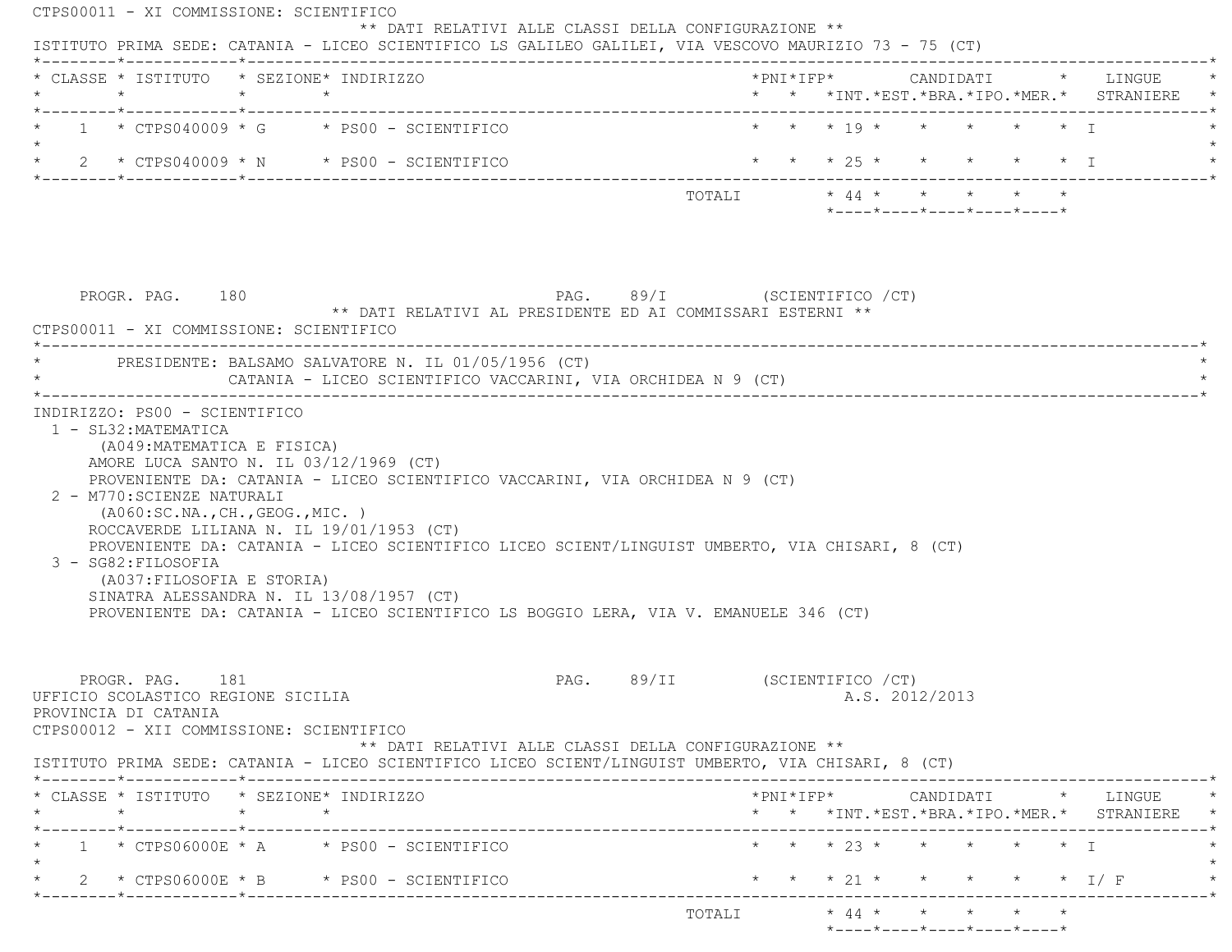| *--------*------------*------------<br>* * * 19 * * * * * * T<br>$1 \times CTPS040009 \times G \times PS00 - SCIENTIFICO$<br>* * * 25 * * * * * * I<br>$\star$ 2 $\star$ CTPS040009 $\star$ N $\star$ PS00 - SCIENTIFICO<br>$*$ ---- $*$ ---- $*$ ---- $*$ ---- $*$ ---- $*$<br>PAG. 89/I (SCIENTIFICO / CT)<br>PROGR. PAG. 180<br>** DATI RELATIVI AL PRESIDENTE ED AI COMMISSARI ESTERNI **<br>CTPS00011 - XI COMMISSIONE: SCIENTIFICO<br>------------------------------------<br>PRESIDENTE: BALSAMO SALVATORE N. IL 01/05/1956 (CT)<br>CATANIA - LICEO SCIENTIFICO VACCARINI, VIA ORCHIDEA N 9 (CT)<br>INDIRIZZO: PS00 - SCIENTIFICO<br>1 - SL32: MATEMATICA<br>(A049: MATEMATICA E FISICA)<br>AMORE LUCA SANTO N. IL 03/12/1969 (CT)<br>PROVENIENTE DA: CATANIA - LICEO SCIENTIFICO VACCARINI, VIA ORCHIDEA N 9 (CT)<br>2 - M770: SCIENZE NATURALI<br>( A060:SC.NA., CH., GEOG., MIC. )<br>ROCCAVERDE LILIANA N. IL 19/01/1953 (CT)<br>PROVENIENTE DA: CATANIA - LICEO SCIENTIFICO LICEO SCIENT/LINGUIST UMBERTO, VIA CHISARI, 8 (CT)<br>3 - SG82:FILOSOFIA<br>(A037: FILOSOFIA E STORIA)<br>SINATRA ALESSANDRA N. IL 13/08/1957 (CT)<br>PROVENIENTE DA: CATANIA - LICEO SCIENTIFICO LS BOGGIO LERA, VIA V. EMANUELE 346 (CT)<br>PAG. 89/II (SCIENTIFICO / CT)<br>PROGR. PAG. 181<br>A.S. 2012/2013<br>UFFICIO SCOLASTICO REGIONE SICILIA<br>PROVINCIA DI CATANIA<br>CTPS00012 - XII COMMISSIONE: SCIENTIFICO<br>** DATI RELATIVI ALLE CLASSI DELLA CONFIGURAZIONE **<br>ISTITUTO PRIMA SEDE: CATANIA - LICEO SCIENTIFICO LICEO SCIENT/LINGUIST UMBERTO, VIA CHISARI, 8 (CT)<br>* CLASSE * ISTITUTO * SEZIONE* INDIRIZZO<br>$\star$ $\star$<br>$\star$<br>* * *INT.*EST.*BRA.*IPO.*MER.* STRANIERE *<br>'_________*_____________*_______<br>--------------------------<br>$\star$ $\star$ $\star$ $\frac{23}{1}$ $\star$ $\star$ $\star$ $\star$ $\star$ $\star$ $\top$<br>$1 * CTPS06000E * A * PS00 - SCIENTIFICO$<br>* * * 21 * * * * * * I/F<br>* 2 * CTPS06000E * B * PS00 - SCIENTIFICO<br>______*____________*__________ | * CLASSE * ISTITUTO * SEZIONE* INDIRIZZO |  |  |  |  |  |  | * * *INT. *EST. *BRA. *IPO. *MER. * STRANIERE |
|--------------------------------------------------------------------------------------------------------------------------------------------------------------------------------------------------------------------------------------------------------------------------------------------------------------------------------------------------------------------------------------------------------------------------------------------------------------------------------------------------------------------------------------------------------------------------------------------------------------------------------------------------------------------------------------------------------------------------------------------------------------------------------------------------------------------------------------------------------------------------------------------------------------------------------------------------------------------------------------------------------------------------------------------------------------------------------------------------------------------------------------------------------------------------------------------------------------------------------------------------------------------------------------------------------------------------------------------------------------------------------------------------------------------------------------------------------------------------------------------------------------------------------------------------------------------------------------------------------------------------------------------------------------------------------------------------------------------------------------------------------------------------------------------------------------------------------------------------------------------------------------------------------------------------------------------------------------------------------------------------------------------------------------|------------------------------------------|--|--|--|--|--|--|-----------------------------------------------|
|                                                                                                                                                                                                                                                                                                                                                                                                                                                                                                                                                                                                                                                                                                                                                                                                                                                                                                                                                                                                                                                                                                                                                                                                                                                                                                                                                                                                                                                                                                                                                                                                                                                                                                                                                                                                                                                                                                                                                                                                                                      |                                          |  |  |  |  |  |  |                                               |
|                                                                                                                                                                                                                                                                                                                                                                                                                                                                                                                                                                                                                                                                                                                                                                                                                                                                                                                                                                                                                                                                                                                                                                                                                                                                                                                                                                                                                                                                                                                                                                                                                                                                                                                                                                                                                                                                                                                                                                                                                                      |                                          |  |  |  |  |  |  |                                               |
|                                                                                                                                                                                                                                                                                                                                                                                                                                                                                                                                                                                                                                                                                                                                                                                                                                                                                                                                                                                                                                                                                                                                                                                                                                                                                                                                                                                                                                                                                                                                                                                                                                                                                                                                                                                                                                                                                                                                                                                                                                      |                                          |  |  |  |  |  |  |                                               |
|                                                                                                                                                                                                                                                                                                                                                                                                                                                                                                                                                                                                                                                                                                                                                                                                                                                                                                                                                                                                                                                                                                                                                                                                                                                                                                                                                                                                                                                                                                                                                                                                                                                                                                                                                                                                                                                                                                                                                                                                                                      |                                          |  |  |  |  |  |  |                                               |
|                                                                                                                                                                                                                                                                                                                                                                                                                                                                                                                                                                                                                                                                                                                                                                                                                                                                                                                                                                                                                                                                                                                                                                                                                                                                                                                                                                                                                                                                                                                                                                                                                                                                                                                                                                                                                                                                                                                                                                                                                                      |                                          |  |  |  |  |  |  |                                               |
|                                                                                                                                                                                                                                                                                                                                                                                                                                                                                                                                                                                                                                                                                                                                                                                                                                                                                                                                                                                                                                                                                                                                                                                                                                                                                                                                                                                                                                                                                                                                                                                                                                                                                                                                                                                                                                                                                                                                                                                                                                      |                                          |  |  |  |  |  |  |                                               |
|                                                                                                                                                                                                                                                                                                                                                                                                                                                                                                                                                                                                                                                                                                                                                                                                                                                                                                                                                                                                                                                                                                                                                                                                                                                                                                                                                                                                                                                                                                                                                                                                                                                                                                                                                                                                                                                                                                                                                                                                                                      |                                          |  |  |  |  |  |  |                                               |
|                                                                                                                                                                                                                                                                                                                                                                                                                                                                                                                                                                                                                                                                                                                                                                                                                                                                                                                                                                                                                                                                                                                                                                                                                                                                                                                                                                                                                                                                                                                                                                                                                                                                                                                                                                                                                                                                                                                                                                                                                                      |                                          |  |  |  |  |  |  |                                               |
|                                                                                                                                                                                                                                                                                                                                                                                                                                                                                                                                                                                                                                                                                                                                                                                                                                                                                                                                                                                                                                                                                                                                                                                                                                                                                                                                                                                                                                                                                                                                                                                                                                                                                                                                                                                                                                                                                                                                                                                                                                      |                                          |  |  |  |  |  |  |                                               |
|                                                                                                                                                                                                                                                                                                                                                                                                                                                                                                                                                                                                                                                                                                                                                                                                                                                                                                                                                                                                                                                                                                                                                                                                                                                                                                                                                                                                                                                                                                                                                                                                                                                                                                                                                                                                                                                                                                                                                                                                                                      |                                          |  |  |  |  |  |  |                                               |
|                                                                                                                                                                                                                                                                                                                                                                                                                                                                                                                                                                                                                                                                                                                                                                                                                                                                                                                                                                                                                                                                                                                                                                                                                                                                                                                                                                                                                                                                                                                                                                                                                                                                                                                                                                                                                                                                                                                                                                                                                                      |                                          |  |  |  |  |  |  |                                               |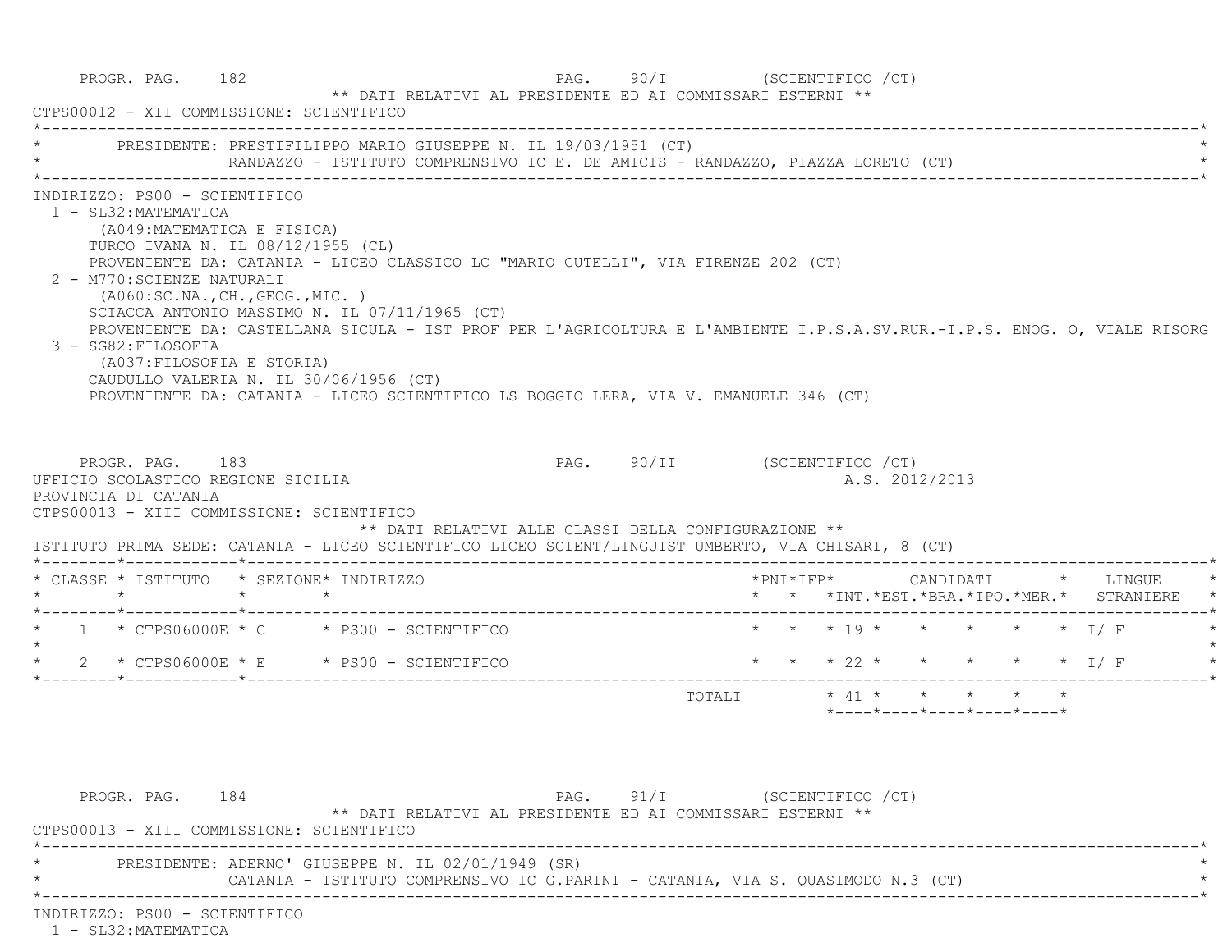| CTPS00012 - XII COMMISSIONE: SCIENTIFICO                                                                                                                                                                                                               |                                  |  |                                               |                                                                                                                                                                                                                                                                                                       |                                                                                                                          |  |  |                                                                 |  |                                                                                         |
|--------------------------------------------------------------------------------------------------------------------------------------------------------------------------------------------------------------------------------------------------------|----------------------------------|--|-----------------------------------------------|-------------------------------------------------------------------------------------------------------------------------------------------------------------------------------------------------------------------------------------------------------------------------------------------------------|--------------------------------------------------------------------------------------------------------------------------|--|--|-----------------------------------------------------------------|--|-----------------------------------------------------------------------------------------|
|                                                                                                                                                                                                                                                        |                                  |  |                                               | PRESIDENTE: PRESTIFILIPPO MARIO GIUSEPPE N. IL 19/03/1951 (CT)                                                                                                                                                                                                                                        |                                                                                                                          |  |  |                                                                 |  |                                                                                         |
| INDIRIZZO: PS00 - SCIENTIFICO<br>1 - SL32: MATEMATICA<br>(A049: MATEMATICA E FISICA)<br>TURCO IVANA N. IL 08/12/1955 (CL)<br>2 - M770: SCIENZE NATURALI<br>3 - SG82: FILOSOFIA<br>(A037: FILOSOFIA E STORIA)<br>CAUDULLO VALERIA N. IL 30/06/1956 (CT) | (AO60:SC.NA., CH., GEOG., MIC. ) |  | SCIACCA ANTONIO MASSIMO N. IL 07/11/1965 (CT) | PROVENIENTE DA: CATANIA - LICEO CLASSICO LC "MARIO CUTELLI", VIA FIRENZE 202 (CT)<br>PROVENIENTE DA: CASTELLANA SICULA - IST PROF PER L'AGRICOLTURA E L'AMBIENTE I.P.S.A.SV.RUR.-I.P.S. ENOG. O, VIALE RISORG<br>PROVENIENTE DA: CATANIA - LICEO SCIENTIFICO LS BOGGIO LERA, VIA V. EMANUELE 346 (CT) |                                                                                                                          |  |  |                                                                 |  |                                                                                         |
| PROGR. PAG. 183<br>UFFICIO SCOLASTICO REGIONE SICILIA<br>PROVINCIA DI CATANIA                                                                                                                                                                          |                                  |  |                                               | PAG. 90/II (SCIENTIFICO / CT)                                                                                                                                                                                                                                                                         |                                                                                                                          |  |  | A.S. 2012/2013                                                  |  |                                                                                         |
| CTPS00013 - XIII COMMISSIONE: SCIENTIFICO<br>ISTITUTO PRIMA SEDE: CATANIA - LICEO SCIENTIFICO LICEO SCIENT/LINGUIST UMBERTO, VIA CHISARI, 8 (CT)                                                                                                       |                                  |  |                                               | ** DATI RELATIVI ALLE CLASSI DELLA CONFIGURAZIONE **                                                                                                                                                                                                                                                  |                                                                                                                          |  |  |                                                                 |  |                                                                                         |
| * CLASSE * ISTITUTO * SEZIONE* INDIRIZZO                                                                                                                                                                                                               |                                  |  |                                               |                                                                                                                                                                                                                                                                                                       |                                                                                                                          |  |  |                                                                 |  | *PNI*IFP*      CANDIDATI    *   LINGUE<br>* * *INT. *EST. *BRA. *IPO. *MER. * STRANIERE |
|                                                                                                                                                                                                                                                        |                                  |  |                                               |                                                                                                                                                                                                                                                                                                       |                                                                                                                          |  |  | * * * 19 * * * * * * I/ F                                       |  |                                                                                         |
|                                                                                                                                                                                                                                                        |                                  |  |                                               |                                                                                                                                                                                                                                                                                                       |                                                                                                                          |  |  |                                                                 |  | * * * 22 * * * * * * I/F                                                                |
| $*$ 1 $*$ CTPS06000E $*$ C $*$ PS00 - SCIENTIFICO<br>$\star$ 2 $\star$ CTPS06000E $\star$ E $\star$ PS00 - SCIENTIFICO                                                                                                                                 |                                  |  |                                               |                                                                                                                                                                                                                                                                                                       | $\texttt{TOTAL} \qquad \qquad * \ \ 41 \ \ * \qquad \  * \qquad \  * \qquad \  * \qquad \  * \qquad \  * \qquad \  * \\$ |  |  |                                                                 |  |                                                                                         |
|                                                                                                                                                                                                                                                        |                                  |  |                                               |                                                                                                                                                                                                                                                                                                       |                                                                                                                          |  |  | $*$ - - - - $*$ - - - - $*$ - - - - $*$ - - - - $*$ - - - - $*$ |  |                                                                                         |
|                                                                                                                                                                                                                                                        |                                  |  |                                               |                                                                                                                                                                                                                                                                                                       |                                                                                                                          |  |  |                                                                 |  |                                                                                         |
| PROGR. PAG. 184<br>CTPS00013 - XIII COMMISSIONE: SCIENTIFICO                                                                                                                                                                                           |                                  |  |                                               | PAG. 91/I (SCIENTIFICO / CT)<br>** DATI RELATIVI AL PRESIDENTE ED AI COMMISSARI ESTERNI **                                                                                                                                                                                                            |                                                                                                                          |  |  |                                                                 |  |                                                                                         |

1 - SL32:MATEMATICA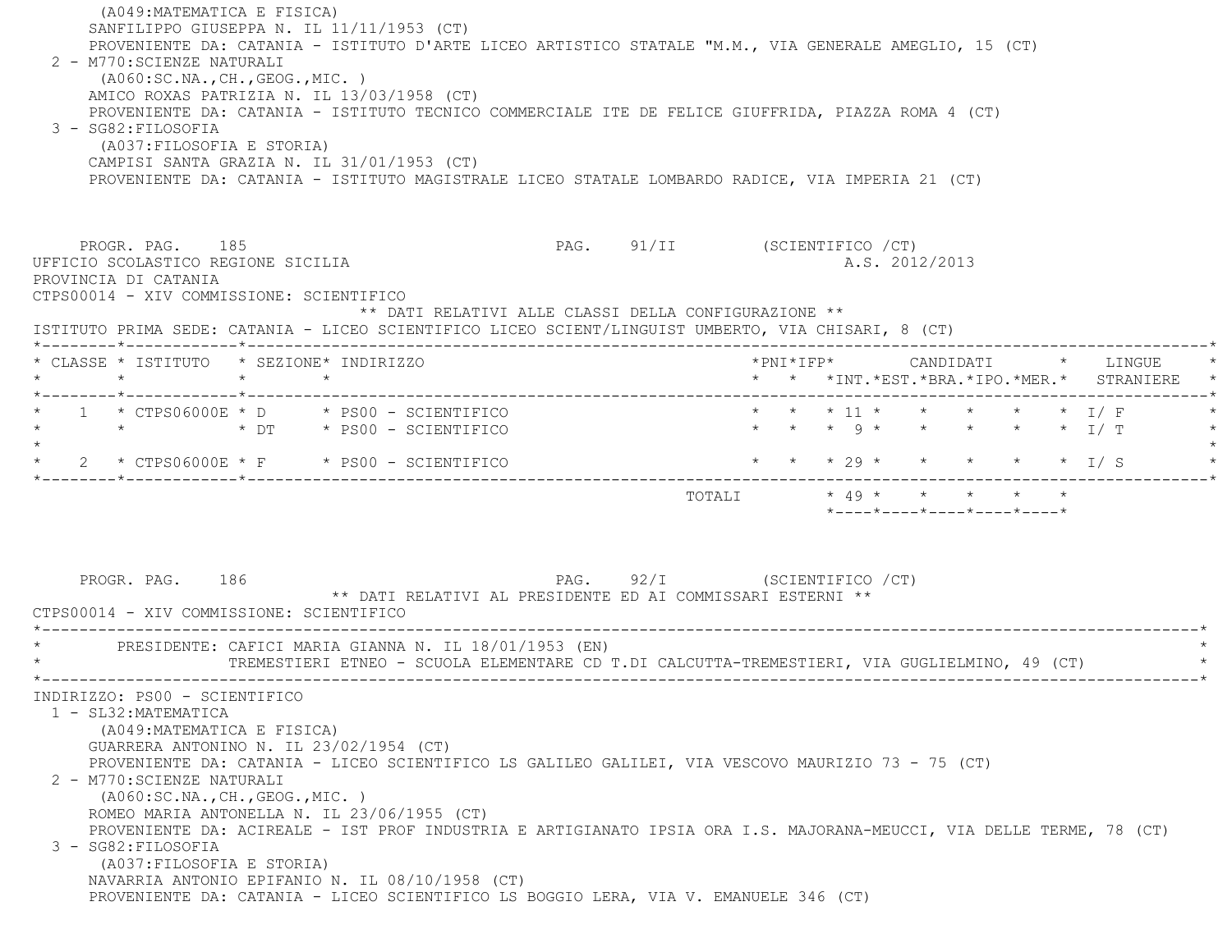(A049:MATEMATICA E FISICA) SANFILIPPO GIUSEPPA N. IL 11/11/1953 (CT) PROVENIENTE DA: CATANIA - ISTITUTO D'ARTE LICEO ARTISTICO STATALE "M.M., VIA GENERALE AMEGLIO, 15 (CT) 2 - M770:SCIENZE NATURALI (A060:SC.NA.,CH.,GEOG.,MIC. ) AMICO ROXAS PATRIZIA N. IL 13/03/1958 (CT) PROVENIENTE DA: CATANIA - ISTITUTO TECNICO COMMERCIALE ITE DE FELICE GIUFFRIDA, PIAZZA ROMA 4 (CT) 3 - SG82:FILOSOFIA (A037:FILOSOFIA E STORIA) CAMPISI SANTA GRAZIA N. IL 31/01/1953 (CT) PROVENIENTE DA: CATANIA - ISTITUTO MAGISTRALE LICEO STATALE LOMBARDO RADICE, VIA IMPERIA 21 (CT) PROGR. PAG. 185 PAG. 91/II (SCIENTIFICO / CT) UFFICIO SCOLASTICO REGIONE SICILIA A.S. 2012/2013 PROVINCIA DI CATANIA CTPS00014 - XIV COMMISSIONE: SCIENTIFICO \*\* DATI RELATIVI ALLE CLASSI DELLA CONFIGURAZIONE \*\* ISTITUTO PRIMA SEDE: CATANIA - LICEO SCIENTIFICO LICEO SCIENT/LINGUIST UMBERTO, VIA CHISARI, 8 (CT) \*--------\*------------\*-------------------------------------------------------------------------------------------------------\* \* CLASSE \* ISTITUTO \* SEZIONE\* INDIRIZZO \*PNI\*IFP\* CANDIDATI \* LINGUE \* \* \* \* \* \* \* \*INT.\*EST.\*BRA.\*IPO.\*MER.\* STRANIERE \* \*--------\*------------\*-------------------------------------------------------------------------------------------------------\*1 \* CTPS06000E \* D \* PS00 - SCIENTIFICO \* \* \* \* 11 \* \* \* \* \* \* \* I/ F \* \* \* DT \* PS00 - SCIENTIFICO \* \* \* 9 \* \* \* \* \* I/ T \*  $\star$ \* 2 \* CTPS06000E \* F \* PS00 - SCIENTIFICO \* \* \* \* 29 \* \* \* \* \* \* \* I/ S \*--------\*------------\*-------------------------------------------------------------------------------------------------------\* TOTALI \* 49 \* \* \* \* \* \*----\*----\*----\*----\*----\*PROGR. PAG. 186 PROGR. PAG. 92/I (SCIENTIFICO / CT) \*\* DATI RELATIVI AL PRESIDENTE ED AI COMMISSARI ESTERNI \*\* CTPS00014 - XIV COMMISSIONE: SCIENTIFICO \*----------------------------------------------------------------------------------------------------------------------------\*PRESIDENTE: CAFICI MARIA GIANNA N. IL 18/01/1953 (EN) \* TREMESTIERI ETNEO - SCUOLA ELEMENTARE CD T.DI CALCUTTA-TREMESTIERI, VIA GUGLIELMINO, 49 (CT) \* \*----------------------------------------------------------------------------------------------------------------------------\* INDIRIZZO: PS00 - SCIENTIFICO 1 - SL32:MATEMATICA (A049:MATEMATICA E FISICA) GUARRERA ANTONINO N. IL 23/02/1954 (CT) PROVENIENTE DA: CATANIA - LICEO SCIENTIFICO LS GALILEO GALILEI, VIA VESCOVO MAURIZIO 73 - 75 (CT) 2 - M770:SCIENZE NATURALI (A060:SC.NA.,CH.,GEOG.,MIC. ) ROMEO MARIA ANTONELLA N. IL 23/06/1955 (CT) PROVENIENTE DA: ACIREALE - IST PROF INDUSTRIA E ARTIGIANATO IPSIA ORA I.S. MAJORANA-MEUCCI, VIA DELLE TERME, 78 (CT) 3 - SG82:FILOSOFIA (A037:FILOSOFIA E STORIA) NAVARRIA ANTONIO EPIFANIO N. IL 08/10/1958 (CT) PROVENIENTE DA: CATANIA - LICEO SCIENTIFICO LS BOGGIO LERA, VIA V. EMANUELE 346 (CT)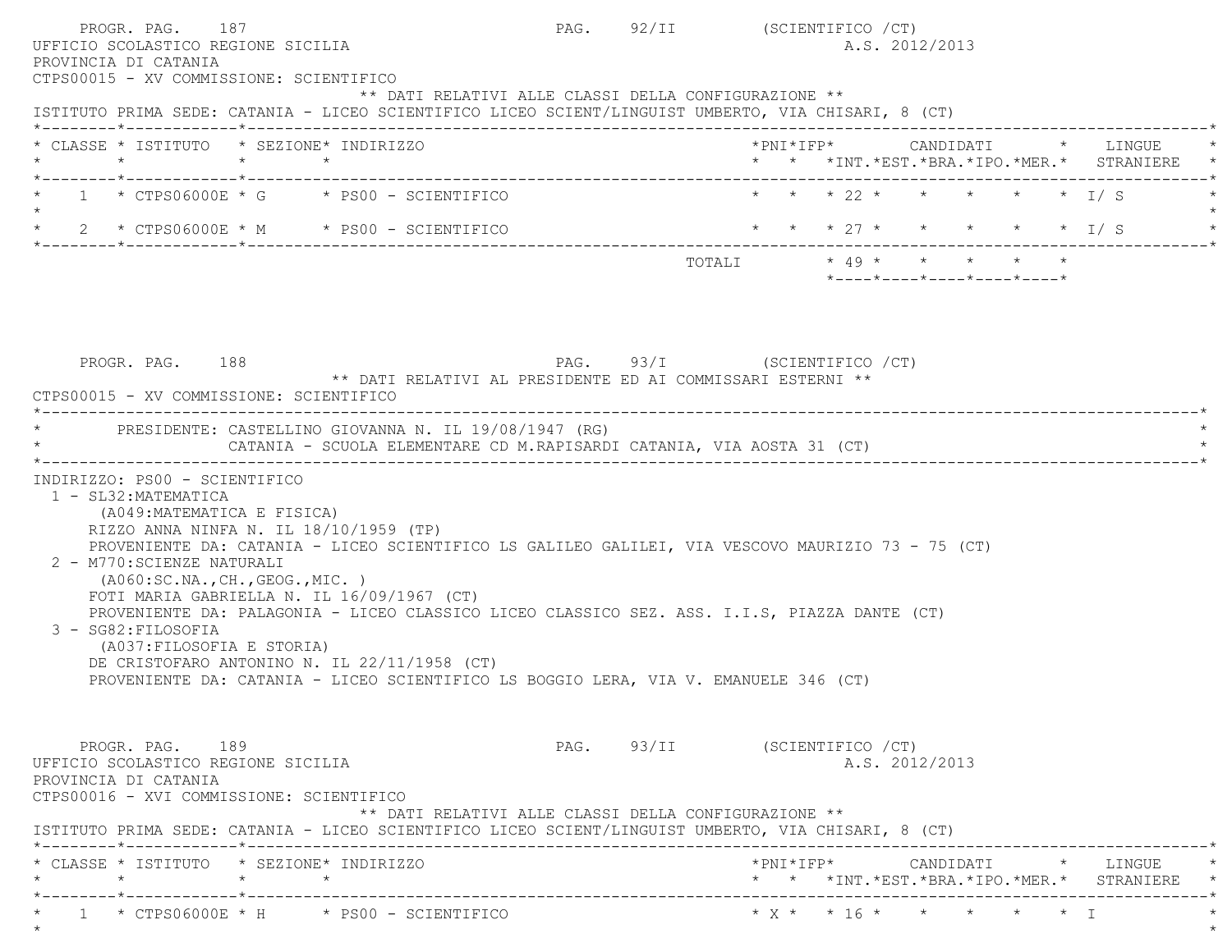| PROGR. PAG. 187<br>UFFICIO SCOLASTICO REGIONE SICILIA<br>PROVINCIA DI CATANIA<br>CTPS00015 - XV COMMISSIONE: SCIENTIFICO                                                                                                                                                                                                                                                                                                                                                                                                                                                                                           | PAG. 92/II (SCIENTIFICO / CT) |                       |  | A.S. 2012/2013 |                            |                                         |                           |                                          |
|--------------------------------------------------------------------------------------------------------------------------------------------------------------------------------------------------------------------------------------------------------------------------------------------------------------------------------------------------------------------------------------------------------------------------------------------------------------------------------------------------------------------------------------------------------------------------------------------------------------------|-------------------------------|-----------------------|--|----------------|----------------------------|-----------------------------------------|---------------------------|------------------------------------------|
| ** DATI RELATIVI ALLE CLASSI DELLA CONFIGURAZIONE **<br>ISTITUTO PRIMA SEDE: CATANIA - LICEO SCIENTIFICO LICEO SCIENT/LINGUIST UMBERTO, VIA CHISARI, 8 (CT)                                                                                                                                                                                                                                                                                                                                                                                                                                                        |                               |                       |  |                |                            |                                         |                           |                                          |
| * CLASSE * ISTITUTO * SEZIONE* INDIRIZZO<br>$\star$<br>$\star$ $\star$                                                                                                                                                                                                                                                                                                                                                                                                                                                                                                                                             |                               |                       |  |                |                            |                                         |                           | * * *INT.*EST.*BRA.*IPO.*MER.* STRANIERE |
| $1 \times CTPS06000E \times G \times PS00 - SCIENTIFICO$                                                                                                                                                                                                                                                                                                                                                                                                                                                                                                                                                           |                               |                       |  |                |                            |                                         | * * * 22 * * * * * * I/S  |                                          |
| $2 * CTPS06000E * M * PS00 - SCIENTIFICO$                                                                                                                                                                                                                                                                                                                                                                                                                                                                                                                                                                          |                               |                       |  |                |                            |                                         | * * * 27 * * * * * * I/ S |                                          |
|                                                                                                                                                                                                                                                                                                                                                                                                                                                                                                                                                                                                                    |                               | TOTALI * 49 * * * * * |  |                |                            | $*$ ---- $*$ ---- $*$ ---- $*$ ---- $*$ |                           |                                          |
|                                                                                                                                                                                                                                                                                                                                                                                                                                                                                                                                                                                                                    |                               |                       |  |                |                            |                                         |                           |                                          |
| PROGR. PAG. 188<br>** DATI RELATIVI AL PRESIDENTE ED AI COMMISSARI ESTERNI **<br>CTPS00015 - XV COMMISSIONE: SCIENTIFICO                                                                                                                                                                                                                                                                                                                                                                                                                                                                                           | PAG. 93/I (SCIENTIFICO / CT)  |                       |  |                |                            |                                         |                           |                                          |
| PRESIDENTE: CASTELLINO GIOVANNA N. IL 19/08/1947 (RG)<br>CATANIA - SCUOLA ELEMENTARE CD M.RAPISARDI CATANIA, VIA AOSTA 31 (CT)                                                                                                                                                                                                                                                                                                                                                                                                                                                                                     |                               |                       |  |                |                            |                                         |                           |                                          |
| 1 - SL32: MATEMATICA<br>(A049: MATEMATICA E FISICA)<br>RIZZO ANNA NINFA N. IL 18/10/1959 (TP)<br>PROVENIENTE DA: CATANIA - LICEO SCIENTIFICO LS GALILEO GALILEI, VIA VESCOVO MAURIZIO 73 - 75 (CT)<br>2 - M770: SCIENZE NATURALI<br>( A060:SC.NA., CH., GEOG., MIC. )<br>FOTI MARIA GABRIELLA N. IL $16/09/1967$ (CT)<br>PROVENIENTE DA: PALAGONIA - LICEO CLASSICO LICEO CLASSICO SEZ. ASS. I.I.S, PIAZZA DANTE (CT)<br>3 - SG82: FILOSOFIA<br>(A037: FILOSOFIA E STORIA)<br>DE CRISTOFARO ANTONINO N. IL 22/11/1958 (CT)<br>PROVENIENTE DA: CATANIA - LICEO SCIENTIFICO LS BOGGIO LERA, VIA V. EMANUELE 346 (CT) |                               |                       |  |                |                            |                                         |                           |                                          |
| PROGR. PAG. 189<br>UFFICIO SCOLASTICO REGIONE SICILIA<br>PROVINCIA DI CATANIA<br>CTPS00016 - XVI COMMISSIONE: SCIENTIFICO<br>** DATI RELATIVI ALLE CLASSI DELLA CONFIGURAZIONE **<br>ISTITUTO PRIMA SEDE: CATANIA - LICEO SCIENTIFICO LICEO SCIENT/LINGUIST UMBERTO, VIA CHISARI, 8 (CT)                                                                                                                                                                                                                                                                                                                           | PAG. 93/II (SCIENTIFICO / CT) |                       |  | A.S. 2012/2013 |                            |                                         |                           |                                          |
| * CLASSE * ISTITUTO * SEZIONE* INDIRIZZO<br>$\star$<br>$\star$<br>$\star$                                                                                                                                                                                                                                                                                                                                                                                                                                                                                                                                          |                               |                       |  |                |                            |                                         |                           | * * *INT.*EST.*BRA.*IPO.*MER.* STRANIERE |
| _______*_____________*________<br>$1 \times CTPS06000E \times H \times PS00 - SCIENTIFICO$                                                                                                                                                                                                                                                                                                                                                                                                                                                                                                                         |                               |                       |  |                | * $X$ * * 16 * * * * * * 1 |                                         |                           |                                          |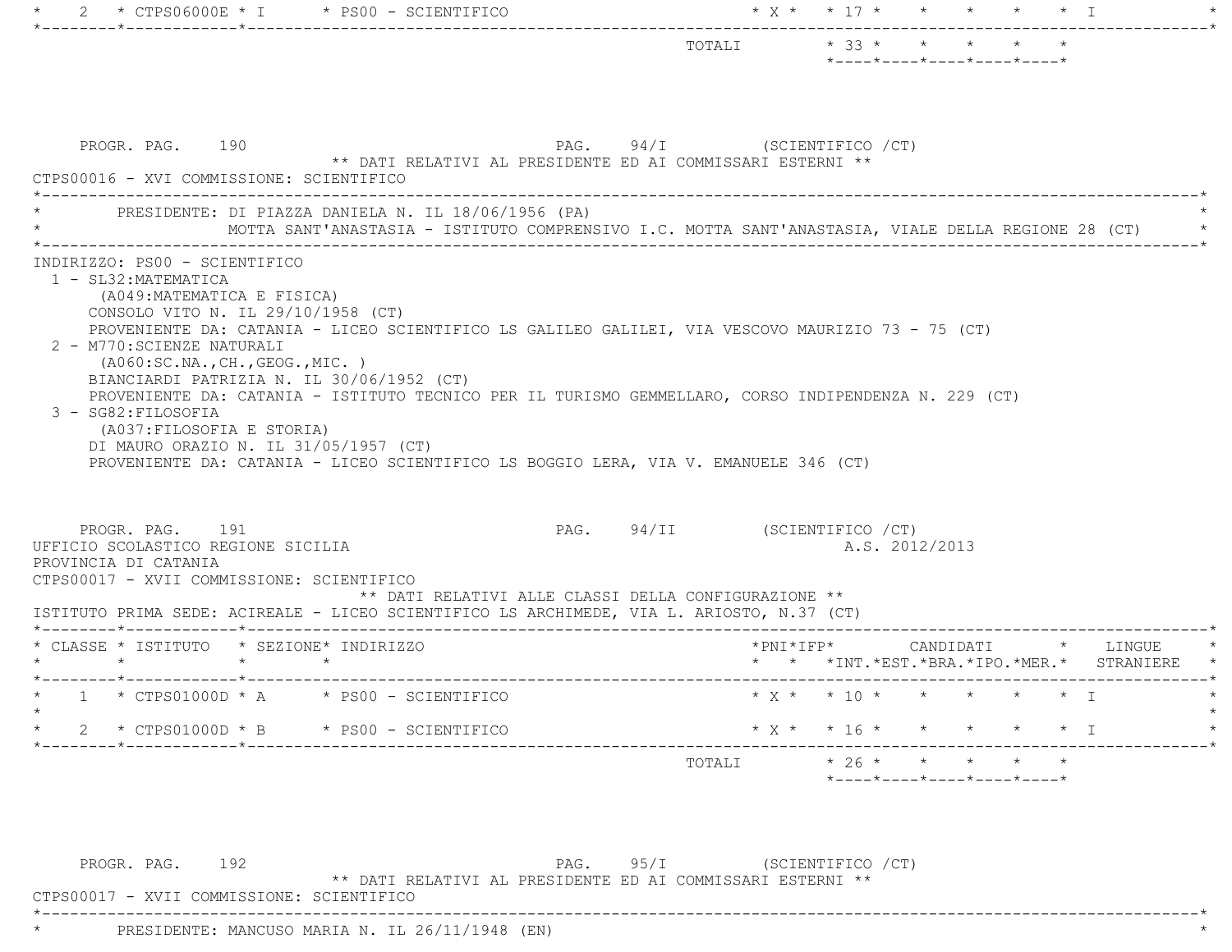|                                                                                                                                                                                                                                                                                                 |                                                            |                               | $*$ ---- $*$ ---- $*$ ---- $*$ ---- $*$ ---- $*$                                                   |           |
|-------------------------------------------------------------------------------------------------------------------------------------------------------------------------------------------------------------------------------------------------------------------------------------------------|------------------------------------------------------------|-------------------------------|----------------------------------------------------------------------------------------------------|-----------|
|                                                                                                                                                                                                                                                                                                 |                                                            |                               |                                                                                                    |           |
|                                                                                                                                                                                                                                                                                                 |                                                            |                               |                                                                                                    |           |
|                                                                                                                                                                                                                                                                                                 |                                                            |                               |                                                                                                    |           |
| PROGR. PAG. 190                                                                                                                                                                                                                                                                                 |                                                            | PAG. 94/I (SCIENTIFICO / CT)  |                                                                                                    |           |
|                                                                                                                                                                                                                                                                                                 | ** DATI RELATIVI AL PRESIDENTE ED AI COMMISSARI ESTERNI ** |                               |                                                                                                    |           |
| CTPS00016 - XVI COMMISSIONE: SCIENTIFICO                                                                                                                                                                                                                                                        |                                                            |                               |                                                                                                    |           |
| PRESIDENTE: DI PIAZZA DANIELA N. IL 18/06/1956 (PA)                                                                                                                                                                                                                                             |                                                            |                               |                                                                                                    |           |
|                                                                                                                                                                                                                                                                                                 |                                                            |                               | MOTTA SANT'ANASTASIA - ISTITUTO COMPRENSIVO I.C. MOTTA SANT'ANASTASIA, VIALE DELLA REGIONE 28 (CT) |           |
| INDIRIZZO: PS00 - SCIENTIFICO                                                                                                                                                                                                                                                                   |                                                            |                               |                                                                                                    |           |
| 1 - SL32: MATEMATICA                                                                                                                                                                                                                                                                            |                                                            |                               |                                                                                                    |           |
| (A049: MATEMATICA E FISICA)                                                                                                                                                                                                                                                                     |                                                            |                               |                                                                                                    |           |
| CONSOLO VITO N. IL 29/10/1958 (CT)<br>PROVENIENTE DA: CATANIA - LICEO SCIENTIFICO LS GALILEO GALILEI, VIA VESCOVO MAURIZIO 73 - 75 (CT)                                                                                                                                                         |                                                            |                               |                                                                                                    |           |
| 2 - M770: SCIENZE NATURALI                                                                                                                                                                                                                                                                      |                                                            |                               |                                                                                                    |           |
| ( A060:SC.NA., CH., GEOG., MIC. )                                                                                                                                                                                                                                                               |                                                            |                               |                                                                                                    |           |
| BIANCIARDI PATRIZIA N. IL 30/06/1952 (CT)                                                                                                                                                                                                                                                       |                                                            |                               |                                                                                                    |           |
|                                                                                                                                                                                                                                                                                                 |                                                            |                               |                                                                                                    |           |
| PROVENIENTE DA: CATANIA - ISTITUTO TECNICO PER IL TURISMO GEMMELLARO, CORSO INDIPENDENZA N. 229 (CT)                                                                                                                                                                                            |                                                            |                               |                                                                                                    |           |
| 3 - SG82: FILOSOFIA                                                                                                                                                                                                                                                                             |                                                            |                               |                                                                                                    |           |
| (A037: FILOSOFIA E STORIA)<br>DI MAURO ORAZIO N. IL 31/05/1957 (CT)                                                                                                                                                                                                                             |                                                            |                               |                                                                                                    |           |
| PROVENIENTE DA: CATANIA - LICEO SCIENTIFICO LS BOGGIO LERA, VIA V. EMANUELE 346 (CT)                                                                                                                                                                                                            |                                                            |                               |                                                                                                    |           |
|                                                                                                                                                                                                                                                                                                 |                                                            |                               |                                                                                                    |           |
|                                                                                                                                                                                                                                                                                                 |                                                            |                               |                                                                                                    |           |
| PROGR. PAG. 191                                                                                                                                                                                                                                                                                 |                                                            | PAG. 94/II (SCIENTIFICO / CT) |                                                                                                    |           |
|                                                                                                                                                                                                                                                                                                 |                                                            |                               | A.S. 2012/2013                                                                                     |           |
|                                                                                                                                                                                                                                                                                                 |                                                            |                               |                                                                                                    |           |
|                                                                                                                                                                                                                                                                                                 | ** DATI RELATIVI ALLE CLASSI DELLA CONFIGURAZIONE **       |                               |                                                                                                    |           |
|                                                                                                                                                                                                                                                                                                 |                                                            |                               |                                                                                                    |           |
|                                                                                                                                                                                                                                                                                                 |                                                            |                               | $*$ PNI $*$ IFP $*$<br>CANDIDATI * LINGUE                                                          |           |
| $\star$ $\star$<br>$\star$                                                                                                                                                                                                                                                                      |                                                            |                               | * * * INT. * EST. * BRA. * IPO. * MER. *                                                           |           |
|                                                                                                                                                                                                                                                                                                 |                                                            |                               |                                                                                                    |           |
|                                                                                                                                                                                                                                                                                                 |                                                            |                               | * $X$ * * 10 * * * * * * I                                                                         |           |
| $*$ CTPS01000D $*$ B $*$ PS00 - SCIENTIFICO                                                                                                                                                                                                                                                     |                                                            |                               | * X * * 16 * * * * * * I                                                                           | STRANIERE |
| UFFICIO SCOLASTICO REGIONE SICILIA<br>PROVINCIA DI CATANIA<br>CTPS00017 - XVII COMMISSIONE: SCIENTIFICO<br>ISTITUTO PRIMA SEDE: ACIREALE - LICEO SCIENTIFICO LS ARCHIMEDE, VIA L. ARIOSTO, N.37 (CT)<br>* CLASSE * ISTITUTO * SEZIONE* INDIRIZZO<br>* $1$ * CTPS01000D * A * PS00 - SCIENTIFICO |                                                            |                               |                                                                                                    |           |
|                                                                                                                                                                                                                                                                                                 |                                                            | TOTALI                        | $* 26 * * * * *$                                                                                   |           |
|                                                                                                                                                                                                                                                                                                 |                                                            |                               | *----*----*----*----*----*                                                                         |           |

PROGR. PAG. 192 PAG. 95/I (SCIENTIFICO / CT) \*\* DATI RELATIVI AL PRESIDENTE ED AI COMMISSARI ESTERNI \*\*

\*----------------------------------------------------------------------------------------------------------------------------\*

CTPS00017 - XVII COMMISSIONE: SCIENTIFICO

\* PRESIDENTE: MANCUSO MARIA N. IL 26/11/1948 (EN) \*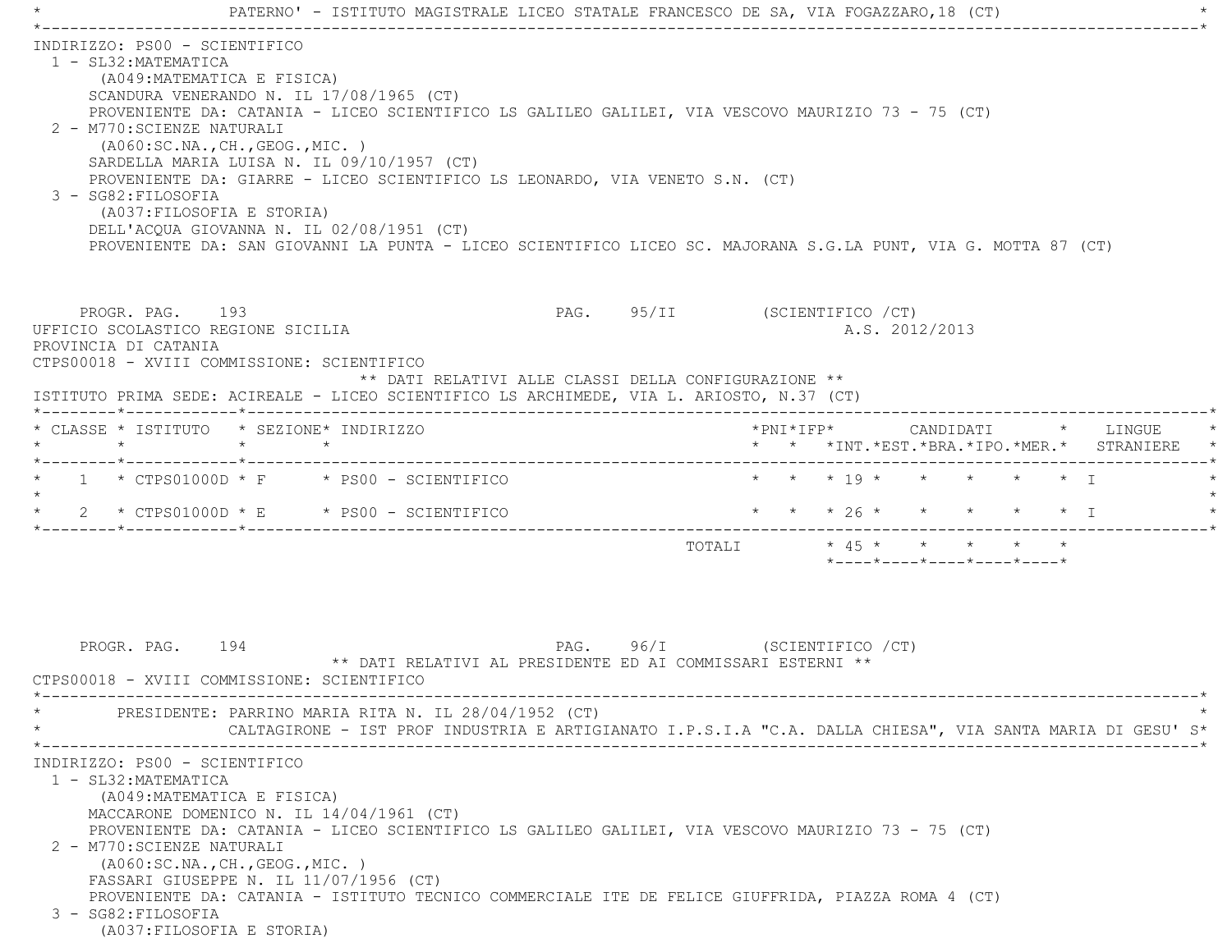|                                             |                                                                                                                                                                                                                                                     | PATERNO' - ISTITUTO MAGISTRALE LICEO STATALE FRANCESCO DE SA, VIA FOGAZZARO, 18 (CT)                                                                                                                                                                                                                                                                                                           |                               |                                    |                                                                          |                   |  |
|---------------------------------------------|-----------------------------------------------------------------------------------------------------------------------------------------------------------------------------------------------------------------------------------------------------|------------------------------------------------------------------------------------------------------------------------------------------------------------------------------------------------------------------------------------------------------------------------------------------------------------------------------------------------------------------------------------------------|-------------------------------|------------------------------------|--------------------------------------------------------------------------|-------------------|--|
| 1 - SL32: MATEMATICA<br>3 - SG82: FILOSOFIA | INDIRIZZO: PS00 - SCIENTIFICO<br>(A049: MATEMATICA E FISICA)<br>SCANDURA VENERANDO N. IL 17/08/1965 (CT)<br>2 - M770: SCIENZE NATURALI<br>( A060:SC.NA., CH., GEOG., MIC. )<br>(A037: FILOSOFIA E STORIA)                                           | PROVENIENTE DA: CATANIA - LICEO SCIENTIFICO LS GALILEO GALILEI, VIA VESCOVO MAURIZIO 73 - 75 (CT)<br>SARDELLA MARIA LUISA N. IL 09/10/1957 (CT)<br>PROVENIENTE DA: GIARRE - LICEO SCIENTIFICO LS LEONARDO, VIA VENETO S.N. (CT)<br>DELL'ACQUA GIOVANNA N. IL 02/08/1951 (CT)<br>PROVENIENTE DA: SAN GIOVANNI LA PUNTA - LICEO SCIENTIFICO LICEO SC. MAJORANA S.G.LA PUNT, VIA G. MOTTA 87 (CT) |                               |                                    |                                                                          |                   |  |
| PROVINCIA DI CATANIA                        | PROGR. PAG. 193<br>UFFICIO SCOLASTICO REGIONE SICILIA<br>CTPS00018 - XVIII COMMISSIONE: SCIENTIFICO                                                                                                                                                 | ** DATI RELATIVI ALLE CLASSI DELLA CONFIGURAZIONE **<br>ISTITUTO PRIMA SEDE: ACIREALE - LICEO SCIENTIFICO LS ARCHIMEDE, VIA L. ARIOSTO, N.37 (CT)                                                                                                                                                                                                                                              | PAG. 95/II (SCIENTIFICO / CT) |                                    | A.S. 2012/2013                                                           |                   |  |
| $\star$                                     | * CLASSE * ISTITUTO * SEZIONE* INDIRIZZO<br>$\star$                                                                                                                                                                                                 | $\star$                                                                                                                                                                                                                                                                                                                                                                                        |                               |                                    | *PNI*IFP* CANDIDATI * LINGUE<br>* * *INT.*EST.*BRA.*IPO.*MER.* STRANIERE |                   |  |
|                                             |                                                                                                                                                                                                                                                     | $1$ * CTPS01000D * F $\qquad$ * PS00 - SCIENTIFICO                                                                                                                                                                                                                                                                                                                                             |                               | $\star$ $\star$ $\star$ 19 $\star$ | $\star$ $\star$                                                          | $\star$ $\star$ T |  |
|                                             |                                                                                                                                                                                                                                                     | $2 * CTPS01000D * E * PS00 - SCIENTIFICO$                                                                                                                                                                                                                                                                                                                                                      |                               |                                    | * * * 26 * * * * * * I                                                   |                   |  |
|                                             |                                                                                                                                                                                                                                                     |                                                                                                                                                                                                                                                                                                                                                                                                |                               |                                    | TOTALI * 45 * * * * *<br>*----*----*----*----*----*                      |                   |  |
|                                             | PROGR. PAG. 194<br>CTPS00018 - XVIII COMMISSIONE: SCIENTIFICO                                                                                                                                                                                       | ** DATI RELATIVI AL PRESIDENTE ED AI COMMISSARI ESTERNI **                                                                                                                                                                                                                                                                                                                                     | PAG. 96/I (SCIENTIFICO / CT)  |                                    |                                                                          |                   |  |
|                                             |                                                                                                                                                                                                                                                     | PRESIDENTE: PARRINO MARIA RITA N. IL 28/04/1952 (CT)<br>CALTAGIRONE - IST PROF INDUSTRIA E ARTIGIANATO I.P.S.I.A "C.A. DALLA CHIESA", VIA SANTA MARIA DI GESU' S*                                                                                                                                                                                                                              |                               |                                    |                                                                          |                   |  |
| 1 - SL32: MATEMATICA<br>3 - SG82: FILOSOFIA | INDIRIZZO: PS00 - SCIENTIFICO<br>(A049: MATEMATICA E FISICA)<br>MACCARONE DOMENICO N. IL 14/04/1961 (CT)<br>2 - M770: SCIENZE NATURALI<br>( A060:SC.NA., CH., GEOG., MIC. )<br>FASSARI GIUSEPPE N. IL 11/07/1956 (CT)<br>(A037: FILOSOFIA E STORIA) | PROVENIENTE DA: CATANIA - LICEO SCIENTIFICO LS GALILEO GALILEI, VIA VESCOVO MAURIZIO 73 - 75 (CT)<br>PROVENIENTE DA: CATANIA - ISTITUTO TECNICO COMMERCIALE ITE DE FELICE GIUFFRIDA, PIAZZA ROMA 4 (CT)                                                                                                                                                                                        |                               |                                    |                                                                          |                   |  |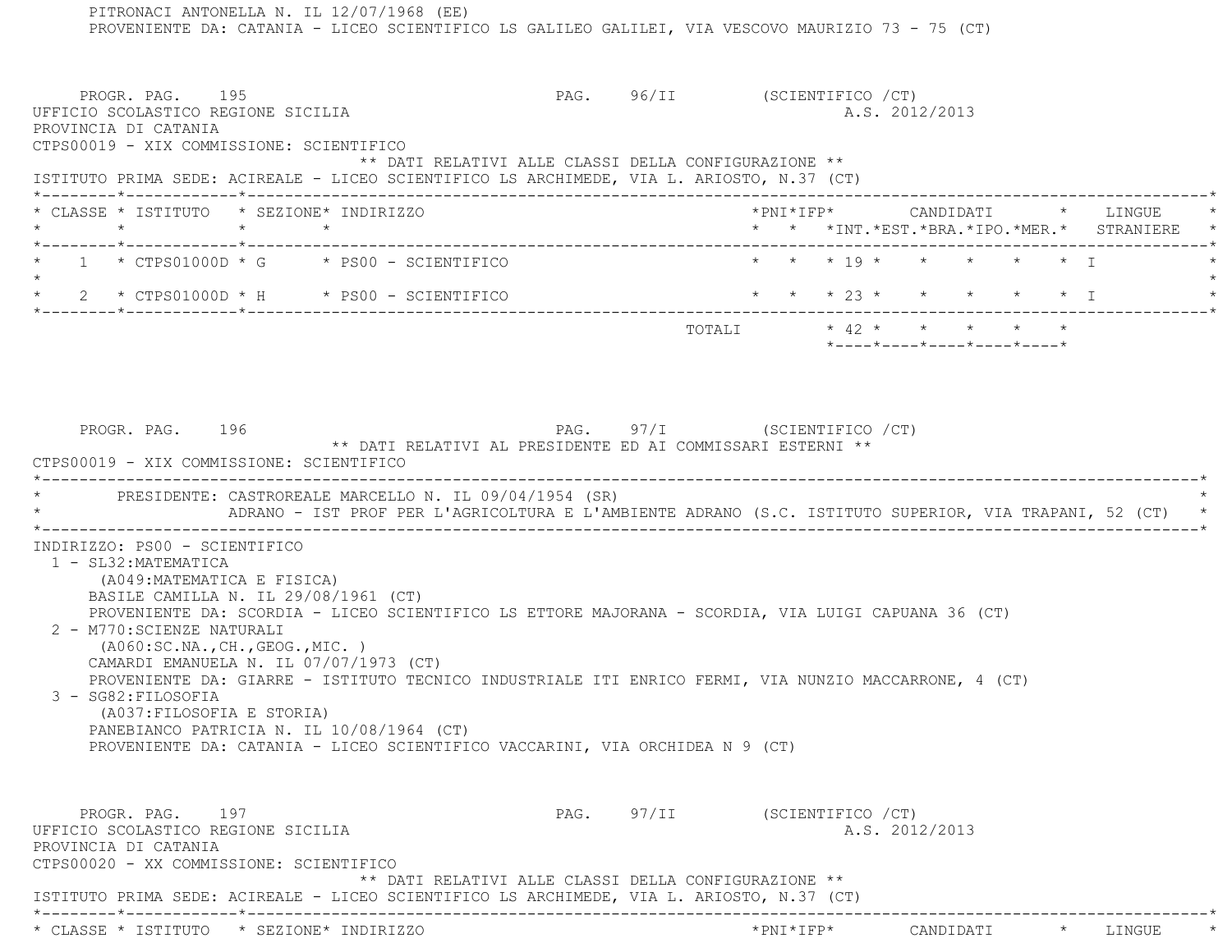PITRONACI ANTONELLA N. IL 12/07/1968 (EE) PROVENIENTE DA: CATANIA - LICEO SCIENTIFICO LS GALILEO GALILEI, VIA VESCOVO MAURIZIO 73 - 75 (CT) PROGR. PAG. 195 PROGR. PAG. 96/II (SCIENTIFICO / CT) UFFICIO SCOLASTICO REGIONE SICILIA A.S. 2012/2013 PROVINCIA DI CATANIA CTPS00019 - XIX COMMISSIONE: SCIENTIFICO \*\* DATI RELATIVI ALLE CLASSI DELLA CONFIGURAZIONE \*\* ISTITUTO PRIMA SEDE: ACIREALE - LICEO SCIENTIFICO LS ARCHIMEDE, VIA L. ARIOSTO, N.37 (CT) \*--------\*------------\*-------------------------------------------------------------------------------------------------------\* \* CLASSE \* ISTITUTO \* SEZIONE\* INDIRIZZO \*PNI\*IFP\* CANDIDATI \* LINGUE \* \* \* \* \* \* \* \*INT.\*EST.\*BRA.\*IPO.\*MER.\* STRANIERE \* \*--------\*------------\*-------------------------------------------------------------------------------------------------------\* $1 \times CTPS01000D \times G$   $\star$  PS00 - SCIENTIFICO  $\star$   $\star$   $\star$   $\star$  19  $\star$   $\star$   $\star$   $\star$   $\star$   $\star$   $\star$  I  $\star$  \* 2 \* CTPS01000D \* H \* PS00 - SCIENTIFICO \* \* \* 23 \* \* \* \* \* I \* \*--------\*------------\*-------------------------------------------------------------------------------------------------------\*TOTALI  $* 42 * * * * * * * * * *$  \*----\*----\*----\*----\*----\* PROGR. PAG. 196 PAG. 97/I (SCIENTIFICO /CT) \*\* DATI RELATIVI AL PRESIDENTE ED AI COMMISSARI ESTERNI \*\* CTPS00019 - XIX COMMISSIONE: SCIENTIFICO \*----------------------------------------------------------------------------------------------------------------------------\*PRESIDENTE: CASTROREALE MARCELLO N. IL 09/04/1954 (SR) \* ADRANO - IST PROF PER L'AGRICOLTURA E L'AMBIENTE ADRANO (S.C. ISTITUTO SUPERIOR, VIA TRAPANI, 52 (CT) \* \*----------------------------------------------------------------------------------------------------------------------------\* INDIRIZZO: PS00 - SCIENTIFICO 1 - SL32:MATEMATICA (A049:MATEMATICA E FISICA) BASILE CAMILLA N. IL 29/08/1961 (CT) PROVENIENTE DA: SCORDIA - LICEO SCIENTIFICO LS ETTORE MAJORANA - SCORDIA, VIA LUIGI CAPUANA 36 (CT) 2 - M770:SCIENZE NATURALI (A060:SC.NA.,CH.,GEOG.,MIC. ) CAMARDI EMANUELA N. IL 07/07/1973 (CT) PROVENIENTE DA: GIARRE - ISTITUTO TECNICO INDUSTRIALE ITI ENRICO FERMI, VIA NUNZIO MACCARRONE, 4 (CT) 3 - SG82:FILOSOFIA (A037:FILOSOFIA E STORIA) PANEBIANCO PATRICIA N. IL 10/08/1964 (CT) PROVENIENTE DA: CATANIA - LICEO SCIENTIFICO VACCARINI, VIA ORCHIDEA N 9 (CT) PROGR. PAG. 197 PAG. 97/II (SCIENTIFICO / CT) UFFICIO SCOLASTICO REGIONE SICILIA A.S. 2012/2013 PROVINCIA DI CATANIA CTPS00020 - XX COMMISSIONE: SCIENTIFICO \*\* DATI RELATIVI ALLE CLASSI DELLA CONFIGURAZIONE \*\* ISTITUTO PRIMA SEDE: ACIREALE - LICEO SCIENTIFICO LS ARCHIMEDE, VIA L. ARIOSTO, N.37 (CT) \*--------\*------------\*-------------------------------------------------------------------------------------------------------\*\* CLASSE \* ISTITUTO \* SEZIONE\* INDIRIZZO \*PNI\*IFP\* CANDIDATI \* LINGUE \*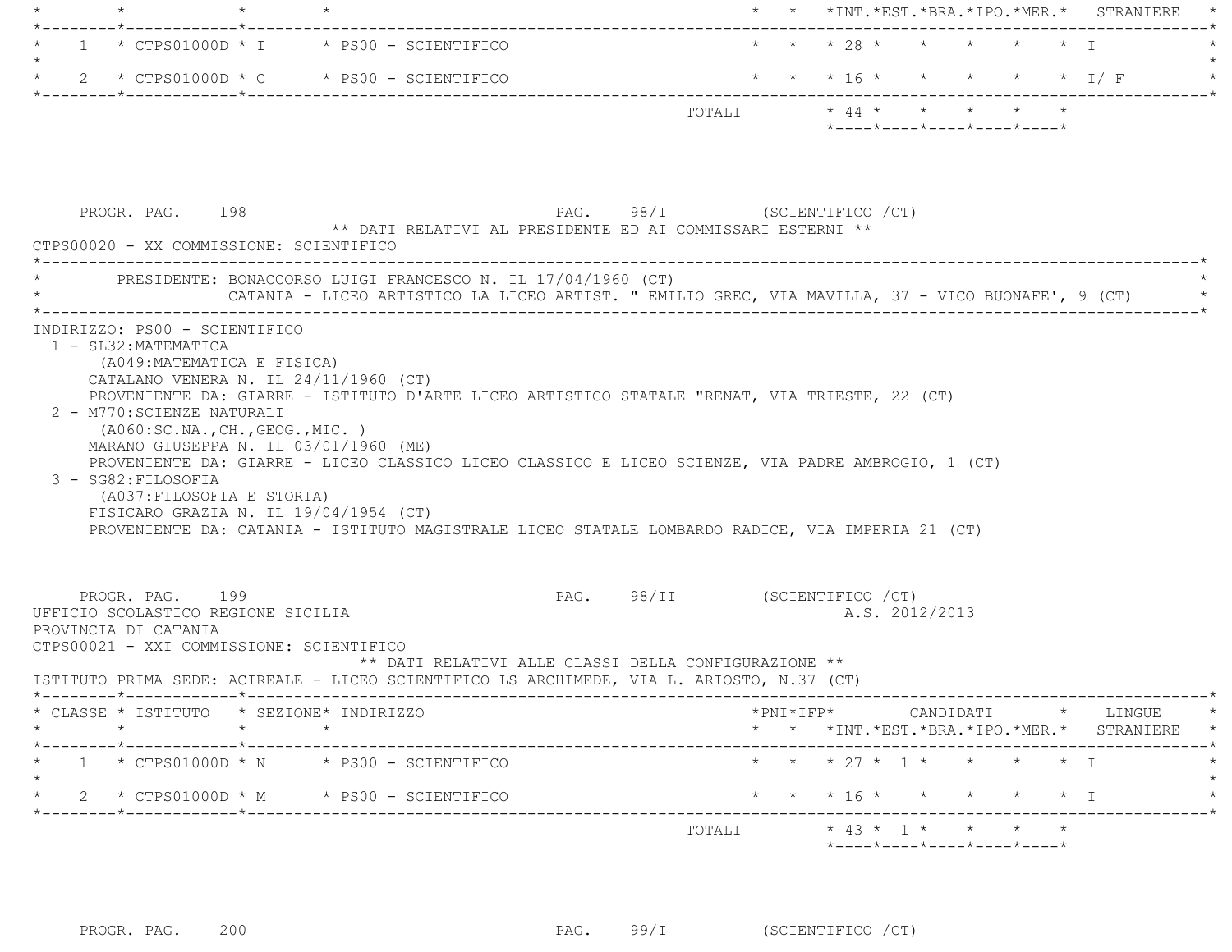| $\star$                                                                                                                                            | $\star$ |                                                                                                                                                                                                                                                                                                                                                                                                                                    |        |  | * * *INT.*EST.*BRA.*IPO.*MER.* STRANIERE *                                                                                                                                                                                                                                                                                                                                                                                                      |
|----------------------------------------------------------------------------------------------------------------------------------------------------|---------|------------------------------------------------------------------------------------------------------------------------------------------------------------------------------------------------------------------------------------------------------------------------------------------------------------------------------------------------------------------------------------------------------------------------------------|--------|--|-------------------------------------------------------------------------------------------------------------------------------------------------------------------------------------------------------------------------------------------------------------------------------------------------------------------------------------------------------------------------------------------------------------------------------------------------|
|                                                                                                                                                    |         | $1 * CTPS01000D * I * PS00 - SCIENTIFICO$                                                                                                                                                                                                                                                                                                                                                                                          |        |  | * * * 28 * * * * * * I                                                                                                                                                                                                                                                                                                                                                                                                                          |
|                                                                                                                                                    |         |                                                                                                                                                                                                                                                                                                                                                                                                                                    |        |  | * 2 * CTPS01000D * C * PS00 - SCIENTIFICO * * * * 16 * * * * * * * * * * * I / F                                                                                                                                                                                                                                                                                                                                                                |
|                                                                                                                                                    |         |                                                                                                                                                                                                                                                                                                                                                                                                                                    |        |  | $\texttt{TOTALI}\qquad \qquad \star\;\; 44\;\star\qquad \star\qquad \star\qquad \star\qquad \star\qquad \star$<br>*----*----*----*----*----*                                                                                                                                                                                                                                                                                                    |
| PROGR. PAG. 198<br>CTPS00020 - XX COMMISSIONE: SCIENTIFICO                                                                                         |         | PAG. 98/I (SCIENTIFICO / CT)<br>** DATI RELATIVI AL PRESIDENTE ED AI COMMISSARI ESTERNI **                                                                                                                                                                                                                                                                                                                                         |        |  |                                                                                                                                                                                                                                                                                                                                                                                                                                                 |
|                                                                                                                                                    |         | * PRESIDENTE: BONACCORSO LUIGI FRANCESCO N. IL 17/04/1960 (CT)                                                                                                                                                                                                                                                                                                                                                                     |        |  | CATANIA - LICEO ARTISTICO LA LICEO ARTIST. " EMILIO GREC, VIA MAVILLA, 37 - VICO BUONAFE', 9 (CT)                                                                                                                                                                                                                                                                                                                                               |
| (A049: MATEMATICA E FISICA)<br>2 - M770: SCIENZE NATURALI<br>(AO60:SC.NA., CH., GEOG., MIC. )<br>3 - SG82: FILOSOFIA<br>(A037: FILOSOFIA E STORIA) |         | CATALANO VENERA N. IL 24/11/1960 (CT)<br>PROVENIENTE DA: GIARRE - ISTITUTO D'ARTE LICEO ARTISTICO STATALE "RENAT, VIA TRIESTE, 22 (CT)<br>MARANO GIUSEPPA N. IL 03/01/1960 (ME)<br>PROVENIENTE DA: GIARRE - LICEO CLASSICO LICEO CLASSICO E LICEO SCIENZE, VIA PADRE AMBROGIO, 1 (CT)<br>FISICARO GRAZIA N. IL 19/04/1954 (CT)<br>PROVENIENTE DA: CATANIA - ISTITUTO MAGISTRALE LICEO STATALE LOMBARDO RADICE, VIA IMPERIA 21 (CT) |        |  |                                                                                                                                                                                                                                                                                                                                                                                                                                                 |
| PROGR. PAG. 199<br>UFFICIO SCOLASTICO REGIONE SICILIA<br>PROVINCIA DI CATANIA<br>CTPS00021 - XXI COMMISSIONE: SCIENTIFICO                          |         | ** DATI RELATIVI ALLE CLASSI DELLA CONFIGURAZIONE **<br>ISTITUTO PRIMA SEDE: ACIREALE - LICEO SCIENTIFICO LS ARCHIMEDE, VIA L. ARIOSTO, N.37 (CT)                                                                                                                                                                                                                                                                                  |        |  | PAG. 98/II (SCIENTIFICO / CT)<br>A.S. 2012/2013                                                                                                                                                                                                                                                                                                                                                                                                 |
| * CLASSE * ISTITUTO * SEZIONE* INDIRIZZO<br>$\star$ $\star$ $\star$                                                                                |         |                                                                                                                                                                                                                                                                                                                                                                                                                                    |        |  | $\texttt{\char'{134}thm} \texttt{\char'{134}thm} \texttt{\char'{134}thm} \texttt{\char'{134}thm} \texttt{\char'{134}thm} \texttt{\char'{134}thm} \texttt{\char'{134}thm} \texttt{\char'{134}thm} \texttt{\char'{134}thm} \texttt{\char'{134}thm} \texttt{\char'{134}thm} \texttt{\char'{134}thm} \texttt{\char'{134}thm} \texttt{\char'{134}thm} \texttt{\char'{134}thm} \texttt{\char'{134$<br>* * *INT. *EST. *BRA. *IPO. *MER. * STRANIERE * |
|                                                                                                                                                    |         | $1 \times CTPS01000D \times N \times PS00 - SCIENTIFICO$                                                                                                                                                                                                                                                                                                                                                                           |        |  | * * * 27 * 1 * * * * * I                                                                                                                                                                                                                                                                                                                                                                                                                        |
|                                                                                                                                                    |         | $2 * CTPS01000D * M * PS00 - SCIENTIFICO$                                                                                                                                                                                                                                                                                                                                                                                          |        |  | * * * 16 * * * * * * I                                                                                                                                                                                                                                                                                                                                                                                                                          |
|                                                                                                                                                    |         |                                                                                                                                                                                                                                                                                                                                                                                                                                    | TOTALI |  | $* 43 * 1 * * * * * * * *$                                                                                                                                                                                                                                                                                                                                                                                                                      |
|                                                                                                                                                    |         |                                                                                                                                                                                                                                                                                                                                                                                                                                    |        |  | *----*----*----*----*----*                                                                                                                                                                                                                                                                                                                                                                                                                      |

PROGR. PAG. 200 200 PAG. 99/I (SCIENTIFICO / CT)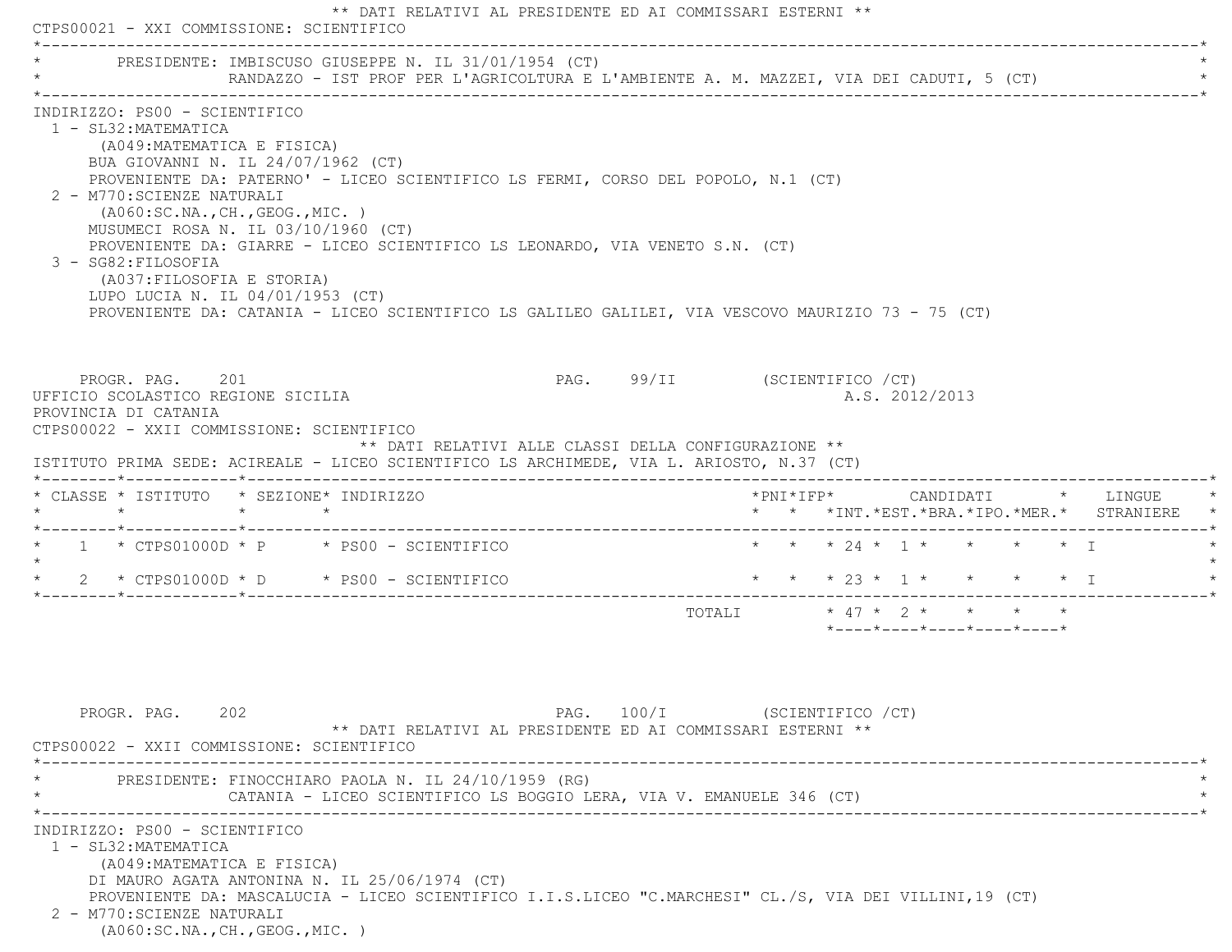|                                                                                                                                                                                                                                                                                                                                                                                                                                                                                                                                                                                                        | CTPS00021 - XXI COMMISSIONE: SCIENTIFICO |                                                                                         |                               |                           |  |                                                  |                |  |                                               |
|--------------------------------------------------------------------------------------------------------------------------------------------------------------------------------------------------------------------------------------------------------------------------------------------------------------------------------------------------------------------------------------------------------------------------------------------------------------------------------------------------------------------------------------------------------------------------------------------------------|------------------------------------------|-----------------------------------------------------------------------------------------|-------------------------------|---------------------------|--|--------------------------------------------------|----------------|--|-----------------------------------------------|
| PRESIDENTE: IMBISCUSO GIUSEPPE N. IL 31/01/1954 (CT)                                                                                                                                                                                                                                                                                                                                                                                                                                                                                                                                                   |                                          | RANDAZZO - IST PROF PER L'AGRICOLTURA E L'AMBIENTE A. M. MAZZEI, VIA DEI CADUTI, 5 (CT) |                               |                           |  |                                                  |                |  |                                               |
| INDIRIZZO: PS00 - SCIENTIFICO<br>1 - SL32: MATEMATICA<br>(A049: MATEMATICA E FISICA)<br>BUA GIOVANNI N. IL 24/07/1962 (CT)<br>PROVENIENTE DA: PATERNO' - LICEO SCIENTIFICO LS FERMI, CORSO DEL POPOLO, N.1 (CT)<br>2 - M770: SCIENZE NATURALI<br>(AO60:SC.NA., CH., GEOG., MIC. )<br>MUSUMECI ROSA N. IL 03/10/1960 (CT)<br>PROVENIENTE DA: GIARRE - LICEO SCIENTIFICO LS LEONARDO, VIA VENETO S.N. (CT)<br>3 - SG82: FILOSOFIA<br>(A037: FILOSOFIA E STORIA)<br>LUPO LUCIA N. IL 04/01/1953 (CT)<br>PROVENIENTE DA: CATANIA - LICEO SCIENTIFICO LS GALILEO GALILEI, VIA VESCOVO MAURIZIO 73 - 75 (CT) |                                          |                                                                                         |                               |                           |  |                                                  |                |  |                                               |
| PROGR. PAG. 201<br>UFFICIO SCOLASTICO REGIONE SICILIA<br>PROVINCIA DI CATANIA<br>CTPS00022 - XXII COMMISSIONE: SCIENTIFICO                                                                                                                                                                                                                                                                                                                                                                                                                                                                             |                                          | ** DATI RELATIVI ALLE CLASSI DELLA CONFIGURAZIONE **                                    | PAG. 99/II (SCIENTIFICO / CT) |                           |  |                                                  | A.S. 2012/2013 |  |                                               |
| ISTITUTO PRIMA SEDE: ACIREALE - LICEO SCIENTIFICO LS ARCHIMEDE, VIA L. ARIOSTO, N.37 (CT)<br>* CLASSE * ISTITUTO * SEZIONE* INDIRIZZO                                                                                                                                                                                                                                                                                                                                                                                                                                                                  |                                          |                                                                                         |                               |                           |  |                                                  |                |  | *PNI*IFP*     CANDIDATI    *   LINGUE         |
|                                                                                                                                                                                                                                                                                                                                                                                                                                                                                                                                                                                                        |                                          |                                                                                         |                               |                           |  |                                                  |                |  | * * *INT. *EST. *BRA. *IPO. *MER. * STRANIERE |
| $\star$ 1 $\star$ CTPS01000D $\star$ P $\star$ PS00 - SCIENTIFICO<br>$\star$                                                                                                                                                                                                                                                                                                                                                                                                                                                                                                                           |                                          |                                                                                         |                               |                           |  | * * * 24 * 1 * * * * * T                         |                |  |                                               |
| $\star$ 2 $\star$ CTPS01000D $\star$ D $\star$ PS00 - SCIENTIFICO                                                                                                                                                                                                                                                                                                                                                                                                                                                                                                                                      |                                          |                                                                                         |                               | * * * 23 * 1 * * * * * I  |  |                                                  |                |  |                                               |
|                                                                                                                                                                                                                                                                                                                                                                                                                                                                                                                                                                                                        |                                          |                                                                                         |                               | TOTALI * 47 * 2 * * * * * |  | $*$ ---- $*$ ---- $*$ ---- $*$ ---- $*$ ---- $*$ |                |  |                                               |

(A060:SC.NA.,CH.,GEOG.,MIC. )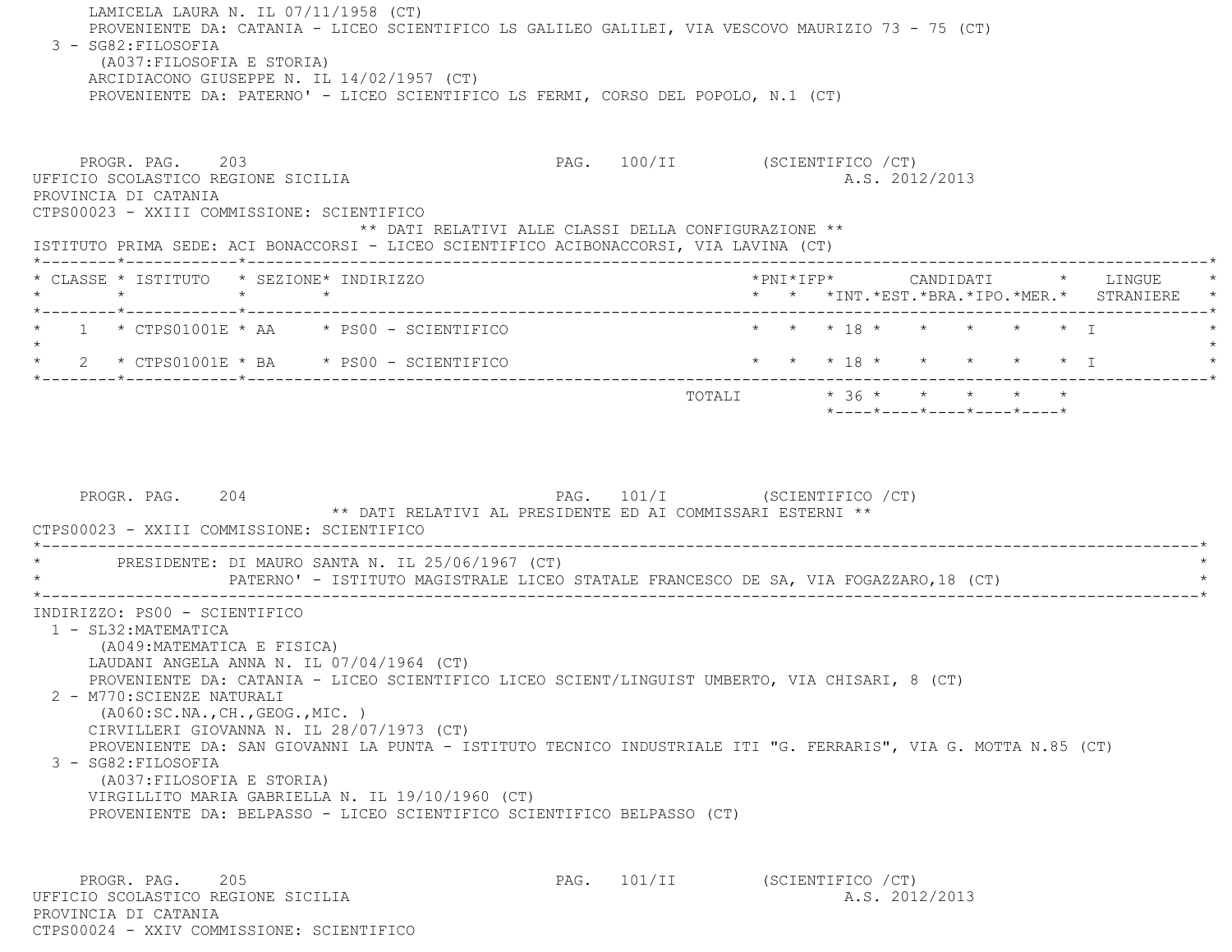LAMICELA LAURA N. IL 07/11/1958 (CT) PROVENIENTE DA: CATANIA - LICEO SCIENTIFICO LS GALILEO GALILEI, VIA VESCOVO MAURIZIO 73 - 75 (CT) 3 - SG82:FILOSOFIA (A037:FILOSOFIA E STORIA) ARCIDIACONO GIUSEPPE N. IL 14/02/1957 (CT) PROVENIENTE DA: PATERNO' - LICEO SCIENTIFICO LS FERMI, CORSO DEL POPOLO, N.1 (CT) PROGR. PAG. 203 203 PAG. 100/II (SCIENTIFICO /CT) UFFICIO SCOLASTICO REGIONE SICILIA A.S. 2012/2013 PROVINCIA DI CATANIA CTPS00023 - XXIII COMMISSIONE: SCIENTIFICO \*\* DATI RELATIVI ALLE CLASSI DELLA CONFIGURAZIONE \*\* ISTITUTO PRIMA SEDE: ACI BONACCORSI - LICEO SCIENTIFICO ACIBONACCORSI, VIA LAVINA (CT) \*--------\*------------\*-------------------------------------------------------------------------------------------------------\* \* CLASSE \* ISTITUTO \* SEZIONE\* INDIRIZZO \*PNI\*IFP\* CANDIDATI \* LINGUE \* \* \* \* \* \* \* \*INT.\*EST.\*BRA.\*IPO.\*MER.\* STRANIERE \* \*--------\*------------\*-------------------------------------------------------------------------------------------------------\*1 \* CTPS01001E \* AA \* PS00 - SCIENTIFICO \* \* \* \* 18 \* \* \* \* \* \* \* \* I  $\star$  \* 2 \* CTPS01001E \* BA \* PS00 - SCIENTIFICO \* \* \* 18 \* \* \* \* \* I \* \*--------\*------------\*-------------------------------------------------------------------------------------------------------\*TOTALI  $* 36 * * * * * * * * *$  \*----\*----\*----\*----\*----\*PROGR. PAG. 204 204 PAG. 101/I (SCIENTIFICO / CT) \*\* DATI RELATIVI AL PRESIDENTE ED AI COMMISSARI ESTERNI \*\* CTPS00023 - XXIII COMMISSIONE: SCIENTIFICO \*----------------------------------------------------------------------------------------------------------------------------\*PRESIDENTE: DI MAURO SANTA N. IL 25/06/1967 (CT) \* PATERNO' - ISTITUTO MAGISTRALE LICEO STATALE FRANCESCO DE SA, VIA FOGAZZARO,18 (CT) \* \*----------------------------------------------------------------------------------------------------------------------------\* INDIRIZZO: PS00 - SCIENTIFICO 1 - SL32:MATEMATICA (A049:MATEMATICA E FISICA) LAUDANI ANGELA ANNA N. IL 07/04/1964 (CT) PROVENIENTE DA: CATANIA - LICEO SCIENTIFICO LICEO SCIENT/LINGUIST UMBERTO, VIA CHISARI, 8 (CT) 2 - M770:SCIENZE NATURALI (A060:SC.NA.,CH.,GEOG.,MIC. ) CIRVILLERI GIOVANNA N. IL 28/07/1973 (CT) PROVENIENTE DA: SAN GIOVANNI LA PUNTA - ISTITUTO TECNICO INDUSTRIALE ITI "G. FERRARIS", VIA G. MOTTA N.85 (CT) 3 - SG82:FILOSOFIA (A037:FILOSOFIA E STORIA) VIRGILLITO MARIA GABRIELLA N. IL 19/10/1960 (CT) PROVENIENTE DA: BELPASSO - LICEO SCIENTIFICO SCIENTIFICO BELPASSO (CT) PROGR. PAG. 205 205 PAG. 101/II (SCIENTIFICO / CT)

 UFFICIO SCOLASTICO REGIONE SICILIA A.S. 2012/2013 PROVINCIA DI CATANIACTPS00024 - XXIV COMMISSIONE: SCIENTIFICO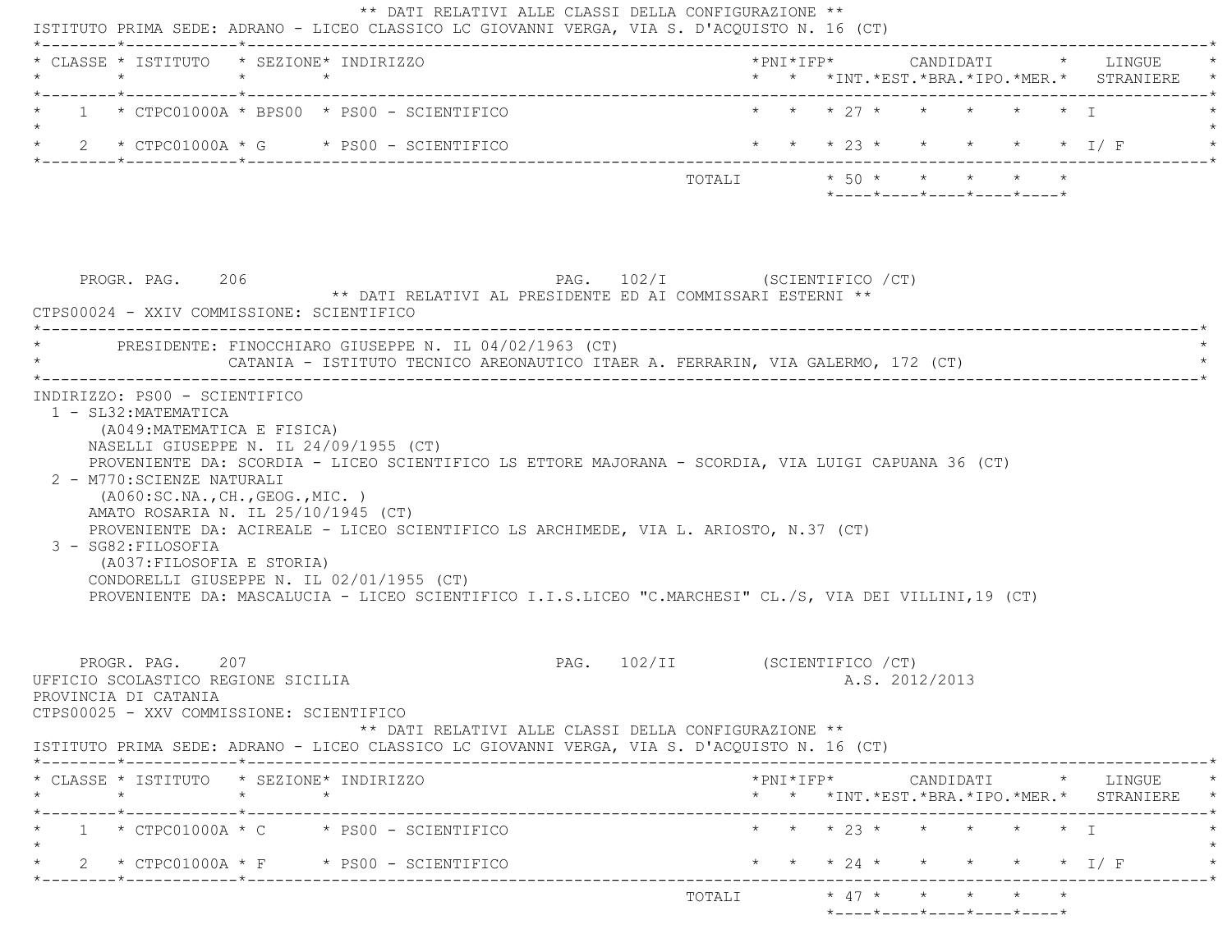| * CLASSE * ISTITUTO * SEZIONE* INDIRIZZO<br>$\star$                                                                                                       | $\star$ $\star$               |                                                                                                                                                                                                                                                                                                                                                    |                                |  |                                         |  | *PNI*IFP* CANDIDATI * LINGUE<br>* * *INT. *EST. *BRA. *IPO. *MER. * STRANIERE                   |
|-----------------------------------------------------------------------------------------------------------------------------------------------------------|-------------------------------|----------------------------------------------------------------------------------------------------------------------------------------------------------------------------------------------------------------------------------------------------------------------------------------------------------------------------------------------------|--------------------------------|--|-----------------------------------------|--|-------------------------------------------------------------------------------------------------|
|                                                                                                                                                           |                               | $1 * CTPC01000A * BPS00 * PS00 - SCIENTIFICO$                                                                                                                                                                                                                                                                                                      |                                |  | * * * 27 * * * * * * I                  |  |                                                                                                 |
|                                                                                                                                                           |                               | $2 * CTPC01000A * G * PS00 - SCIENTIFICO$                                                                                                                                                                                                                                                                                                          |                                |  | * * * 23 * * * * * * I/F                |  |                                                                                                 |
|                                                                                                                                                           |                               |                                                                                                                                                                                                                                                                                                                                                    |                                |  | $*$ ---- $*$ ---- $*$ ---- $*$ ---- $*$ |  |                                                                                                 |
| PROGR. PAG. 206<br>CTPS00024 - XXIV COMMISSIONE: SCIENTIFICO                                                                                              |                               | ** DATI RELATIVI AL PRESIDENTE ED AI COMMISSARI ESTERNI **                                                                                                                                                                                                                                                                                         | PAG. 102/I (SCIENTIFICO / CT)  |  |                                         |  |                                                                                                 |
|                                                                                                                                                           |                               | PRESIDENTE: FINOCCHIARO GIUSEPPE N. IL 04/02/1963 (CT)<br>CATANIA - ISTITUTO TECNICO AREONAUTICO ITAER A. FERRARIN, VIA GALERMO, 172 (CT)                                                                                                                                                                                                          |                                |  |                                         |  |                                                                                                 |
| 1 - SL32: MATEMATICA<br>(A049: MATEMATICA E FISICA)                                                                                                       | INDIRIZZO: PS00 - SCIENTIFICO | NASELLI GIUSEPPE N. IL 24/09/1955 (CT)                                                                                                                                                                                                                                                                                                             |                                |  |                                         |  |                                                                                                 |
| 2 - M770: SCIENZE NATURALI<br>(AO60:SC.NA., CH., GEOG., MIC. )<br>AMATO ROSARIA N. IL 25/10/1945 (CT)<br>3 - SG82: FILOSOFIA<br>(A037:FILOSOFIA E STORIA) |                               | PROVENIENTE DA: SCORDIA - LICEO SCIENTIFICO LS ETTORE MAJORANA - SCORDIA, VIA LUIGI CAPUANA 36 (CT)<br>PROVENIENTE DA: ACIREALE - LICEO SCIENTIFICO LS ARCHIMEDE, VIA L. ARIOSTO, N.37 (CT)<br>CONDORELLI GIUSEPPE N. IL 02/01/1955 (CT)<br>PROVENIENTE DA: MASCALUCIA - LICEO SCIENTIFICO I.I.S.LICEO "C.MARCHESI" CL./S, VIA DEI VILLINI,19 (CT) |                                |  |                                         |  |                                                                                                 |
| PROGR. PAG. 207<br>UFFICIO SCOLASTICO REGIONE SICILIA<br>PROVINCIA DI CATANIA<br>CTPS00025 - XXV COMMISSIONE: SCIENTIFICO                                 |                               | ** DATI RELATIVI ALLE CLASSI DELLA CONFIGURAZIONE **                                                                                                                                                                                                                                                                                               | PAG. 102/II (SCIENTIFICO / CT) |  | A.S. 2012/2013                          |  |                                                                                                 |
| * CLASSE * ISTITUTO * SEZIONE* INDIRIZZO                                                                                                                  |                               | ISTITUTO PRIMA SEDE: ADRANO - LICEO CLASSICO LC GIOVANNI VERGA, VIA S. D'ACQUISTO N. 16 (CT)                                                                                                                                                                                                                                                       |                                |  |                                         |  | $*PNI*IFP* \qquad \qquad \text{CANDIDATI} \qquad \qquad * \qquad \text{LINGUE} \qquad \qquad *$ |
| $\star$                                                                                                                                                   | $\star$ $\star$               |                                                                                                                                                                                                                                                                                                                                                    |                                |  |                                         |  | * * *INT.*EST.*BRA.*IPO.*MER.* STRANIERE *                                                      |
|                                                                                                                                                           |                               | $1 * CTPC01000A * C * PS00 - SCIENTIFICO$<br>2 * CTPC01000A * F * PS00 - SCIENTIFICO                                                                                                                                                                                                                                                               |                                |  | * * * 23 * * * * * * I                  |  | * * * 24 * * * * * * I/F                                                                        |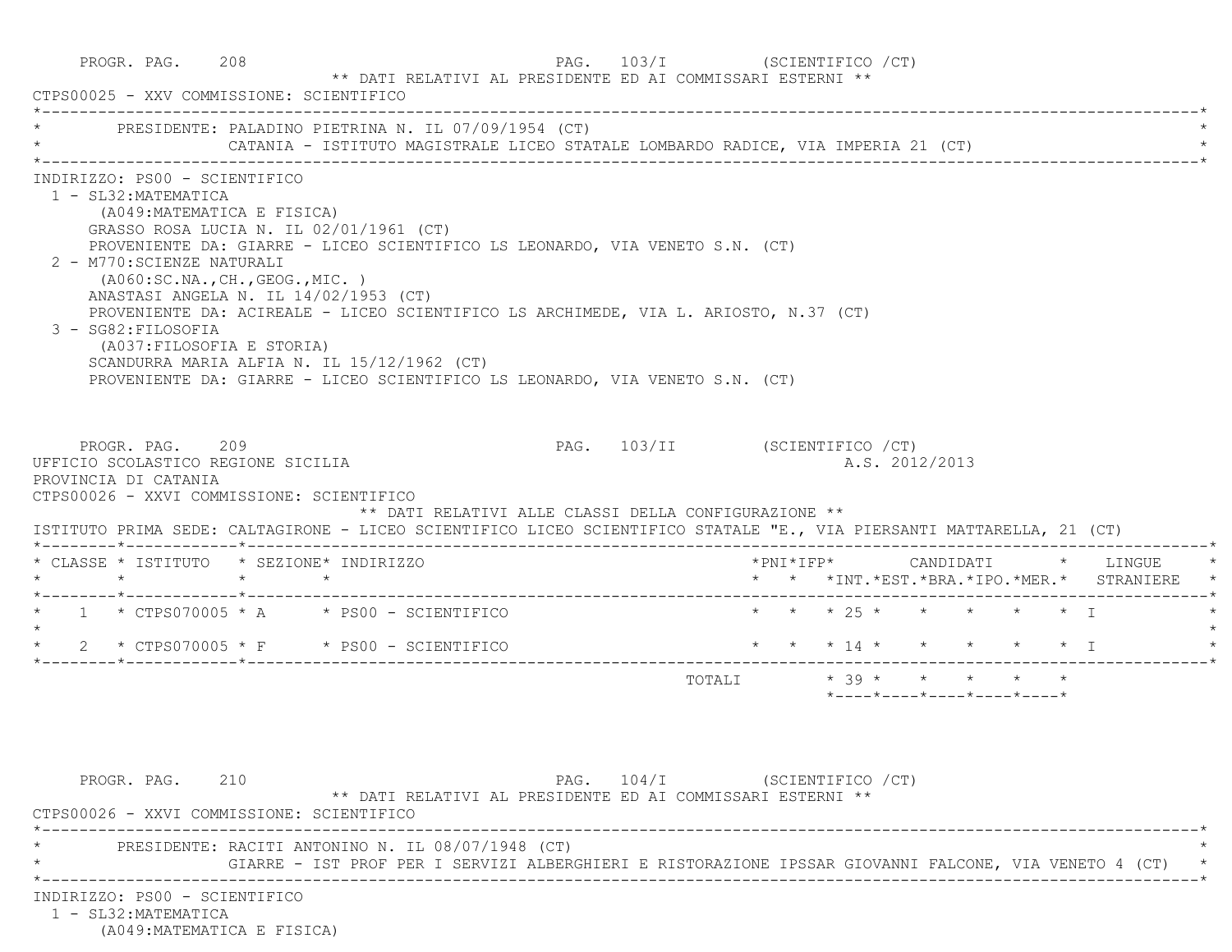| CTPS00025 - XXV COMMISSIONE: SCIENTIFICO                                                                                                                                      |                                                                                               | ** DATI RELATIVI AL PRESIDENTE ED AI COMMISSARI ESTERNI **                                                                                                                                                                                                                                                                                                                              |                               |                                                                                        |                                                                 |  |  |
|-------------------------------------------------------------------------------------------------------------------------------------------------------------------------------|-----------------------------------------------------------------------------------------------|-----------------------------------------------------------------------------------------------------------------------------------------------------------------------------------------------------------------------------------------------------------------------------------------------------------------------------------------------------------------------------------------|-------------------------------|----------------------------------------------------------------------------------------|-----------------------------------------------------------------|--|--|
|                                                                                                                                                                               |                                                                                               | PRESIDENTE: PALADINO PIETRINA N. IL 07/09/1954 (CT)<br>CATANIA - ISTITUTO MAGISTRALE LICEO STATALE LOMBARDO RADICE, VIA IMPERIA 21 (CT)                                                                                                                                                                                                                                                 |                               |                                                                                        |                                                                 |  |  |
| INDIRIZZO: PS00 - SCIENTIFICO<br>1 - SL32: MATEMATICA<br>2 - M770: SCIENZE NATURALI<br>3 - SG82: FILOSOFIA                                                                    | (A049: MATEMATICA E FISICA)<br>(AO60:SC.NA., CH., GEOG., MIC. )<br>(A037: FILOSOFIA E STORIA) | GRASSO ROSA LUCIA N. IL 02/01/1961 (CT)<br>PROVENIENTE DA: GIARRE - LICEO SCIENTIFICO LS LEONARDO, VIA VENETO S.N. (CT)<br>ANASTASI ANGELA N. IL 14/02/1953 (CT)<br>PROVENIENTE DA: ACIREALE - LICEO SCIENTIFICO LS ARCHIMEDE, VIA L. ARIOSTO, N.37 (CT)<br>SCANDURRA MARIA ALFIA N. IL 15/12/1962 (CT)<br>PROVENIENTE DA: GIARRE - LICEO SCIENTIFICO LS LEONARDO, VIA VENETO S.N. (CT) |                               |                                                                                        |                                                                 |  |  |
| PROGR. PAG. 209<br>UFFICIO SCOLASTICO REGIONE SICILIA                                                                                                                         |                                                                                               |                                                                                                                                                                                                                                                                                                                                                                                         | PAG. 103/II (SCIENTIFICO /CT) |                                                                                        | A.S. 2012/2013                                                  |  |  |
|                                                                                                                                                                               |                                                                                               | ** DATI RELATIVI ALLE CLASSI DELLA CONFIGURAZIONE **<br>ISTITUTO PRIMA SEDE: CALTAGIRONE - LICEO SCIENTIFICO LICEO SCIENTIFICO STATALE "E., VIA PIERSANTI MATTARELLA, 21 (CT)                                                                                                                                                                                                           |                               |                                                                                        |                                                                 |  |  |
|                                                                                                                                                                               |                                                                                               |                                                                                                                                                                                                                                                                                                                                                                                         |                               | *PNI*IFP*     CANDIDATI    *   LINGUE<br>* * *INT. *EST. *BRA. *IPO. *MER. * STRANIERE |                                                                 |  |  |
|                                                                                                                                                                               |                                                                                               | $\star$ 1 $\star$ CTPS070005 $\star$ A $\star$ PS00 - SCIENTIFICO                                                                                                                                                                                                                                                                                                                       |                               | * * * 25 * * * * * * T                                                                 |                                                                 |  |  |
|                                                                                                                                                                               |                                                                                               | $\star$ 2 $\star$ CTPS070005 $\star$ F $\star$ PS00 - SCIENTIFICO                                                                                                                                                                                                                                                                                                                       |                               | * * * 14 * * * * * * I                                                                 |                                                                 |  |  |
|                                                                                                                                                                               |                                                                                               |                                                                                                                                                                                                                                                                                                                                                                                         |                               | TOTALI * 39 * * * * * *                                                                | $*$ - - - - $*$ - - - - $*$ - - - - $*$ - - - - $*$ - - - - $*$ |  |  |
| PROVINCIA DI CATANIA<br>CTPS00026 - XXVI COMMISSIONE: SCIENTIFICO<br>* CLASSE * ISTITUTO * SEZIONE* INDIRIZZO<br>PROGR. PAG. 210<br>CTPS00026 - XXVI COMMISSIONE: SCIENTIFICO |                                                                                               | ** DATI RELATIVI AL PRESIDENTE ED AI COMMISSARI ESTERNI **                                                                                                                                                                                                                                                                                                                              | PAG. 104/I (SCIENTIFICO / CT) |                                                                                        |                                                                 |  |  |
|                                                                                                                                                                               |                                                                                               | PRESIDENTE: RACITI ANTONINO N. IL 08/07/1948 (CT)<br>GIARRE - IST PROF PER I SERVIZI ALBERGHIERI E RISTORAZIONE IPSSAR GIOVANNI FALCONE, VIA VENETO 4 (CT) *                                                                                                                                                                                                                            |                               |                                                                                        |                                                                 |  |  |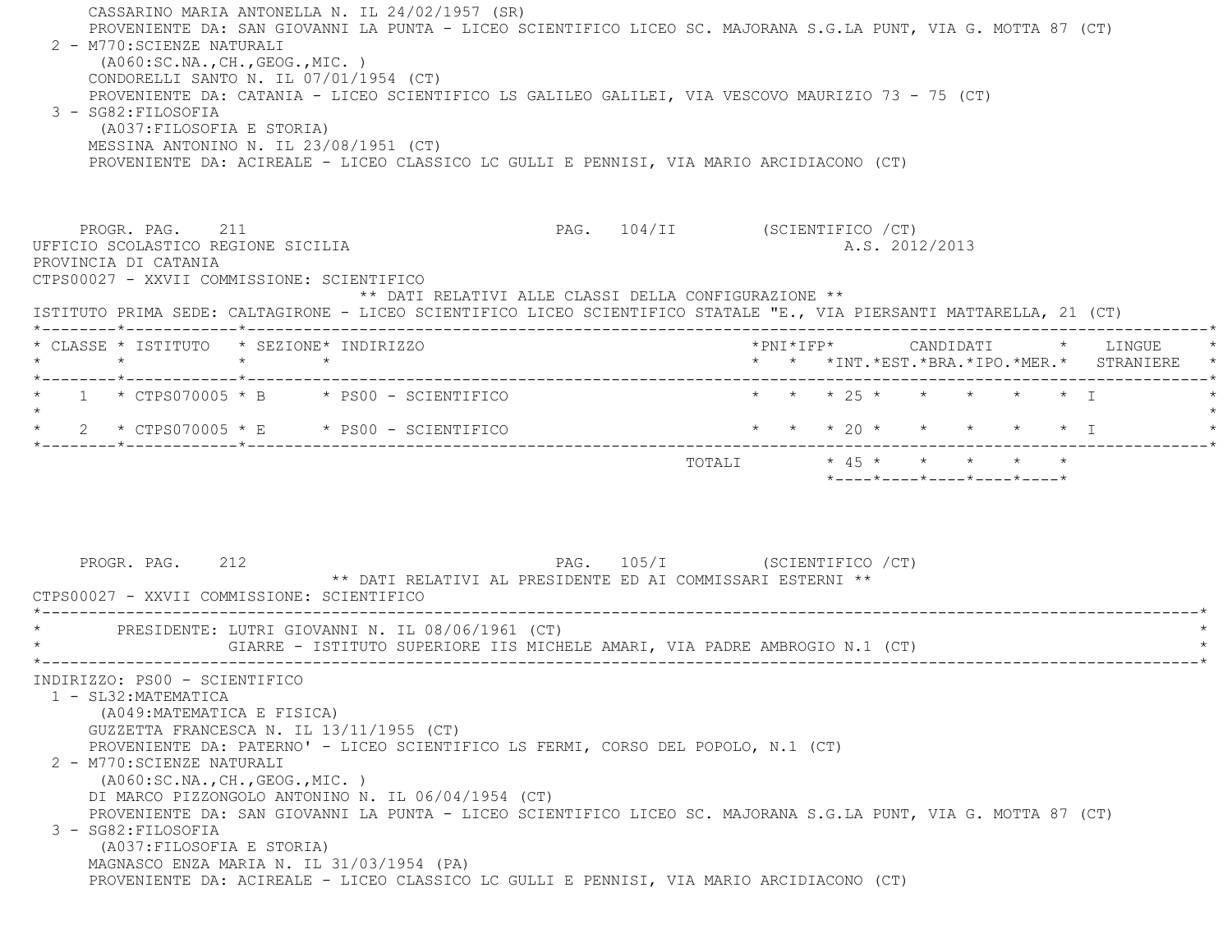CASSARINO MARIA ANTONELLA N. IL 24/02/1957 (SR) PROVENIENTE DA: SAN GIOVANNI LA PUNTA - LICEO SCIENTIFICO LICEO SC. MAJORANA S.G.LA PUNT, VIA G. MOTTA 87 (CT) 2 - M770:SCIENZE NATURALI (A060:SC.NA.,CH.,GEOG.,MIC. ) CONDORELLI SANTO N. IL 07/01/1954 (CT) PROVENIENTE DA: CATANIA - LICEO SCIENTIFICO LS GALILEO GALILEI, VIA VESCOVO MAURIZIO 73 - 75 (CT) 3 - SG82:FILOSOFIA (A037:FILOSOFIA E STORIA) MESSINA ANTONINO N. IL 23/08/1951 (CT) PROVENIENTE DA: ACIREALE - LICEO CLASSICO LC GULLI E PENNISI, VIA MARIO ARCIDIACONO (CT) PROGR. PAG. 211 PAG. 104/II (SCIENTIFICO /CT) UFFICIO SCOLASTICO REGIONE SICILIA A.S. 2012/2013 PROVINCIA DI CATANIA CTPS00027 - XXVII COMMISSIONE: SCIENTIFICO \*\* DATI RELATIVI ALLE CLASSI DELLA CONFIGURAZIONE \*\* ISTITUTO PRIMA SEDE: CALTAGIRONE - LICEO SCIENTIFICO LICEO SCIENTIFICO STATALE "E., VIA PIERSANTI MATTARELLA, 21 (CT) \*--------\*------------\*-------------------------------------------------------------------------------------------------------\* \* CLASSE \* ISTITUTO \* SEZIONE\* INDIRIZZO \*PNI\*IFP\* CANDIDATI \* LINGUE \* \* \* \* \* \* \* \*INT.\*EST.\*BRA.\*IPO.\*MER.\* STRANIERE \* \*--------\*------------\*-------------------------------------------------------------------------------------------------------\*1 \* CTPS070005 \* B \* PS00 - SCIENTIFICO \* \* \* \* 25 \* \* \* \* \* \* \* T  $\star$ \* 2 \* CTPS070005 \* E \* PS00 - SCIENTIFICO \* \* \* \* 20 \* \* \* \* \* \* \* I \*--------\*------------\*-------------------------------------------------------------------------------------------------------\* $\text{TOTAT}$ .  $\uparrow$   $\downarrow$  45 \* \* \* \* \* \*----\*----\*----\*----\*----\*PROGR. PAG. 212 **PAG. 212** PAG. 105/I (SCIENTIFICO /CT) \*\* DATI RELATIVI AL PRESIDENTE ED AI COMMISSARI ESTERNI \*\* CTPS00027 - XXVII COMMISSIONE: SCIENTIFICO------------------------------------- \* PRESIDENTE: LUTRI GIOVANNI N. IL 08/06/1961 (CT) \* GIARRE - ISTITUTO SUPERIORE IIS MICHELE AMARI, VIA PADRE AMBROGIO N.1 (CT) \*----------------------------------------------------------------------------------------------------------------------------\* INDIRIZZO: PS00 - SCIENTIFICO 1 - SL32:MATEMATICA (A049:MATEMATICA E FISICA) GUZZETTA FRANCESCA N. IL 13/11/1955 (CT) PROVENIENTE DA: PATERNO' - LICEO SCIENTIFICO LS FERMI, CORSO DEL POPOLO, N.1 (CT) 2 - M770:SCIENZE NATURALI (A060:SC.NA.,CH.,GEOG.,MIC. ) DI MARCO PIZZONGOLO ANTONINO N. IL 06/04/1954 (CT) PROVENIENTE DA: SAN GIOVANNI LA PUNTA - LICEO SCIENTIFICO LICEO SC. MAJORANA S.G.LA PUNT, VIA G. MOTTA 87 (CT) 3 - SG82:FILOSOFIA (A037:FILOSOFIA E STORIA) MAGNASCO ENZA MARIA N. IL 31/03/1954 (PA) PROVENIENTE DA: ACIREALE - LICEO CLASSICO LC GULLI E PENNISI, VIA MARIO ARCIDIACONO (CT)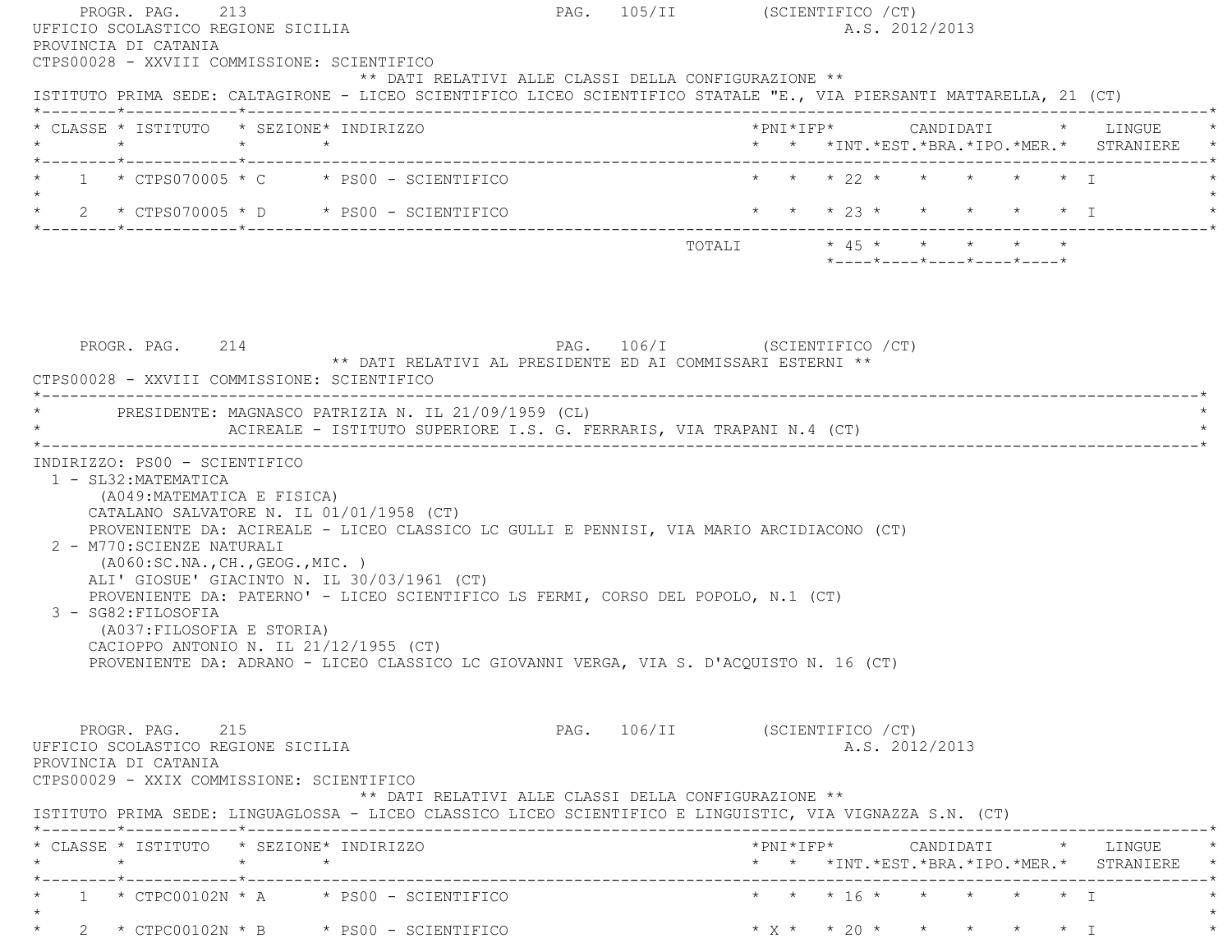| * * * 22 * * * * * * I<br>$\star$ 1 $\star$ CTPS070005 $\star$ C $\star$ PS00 - SCIENTIFICO<br>TOTALI * 45 * * * * * *<br>*----*----*----*----*----*<br>PAG. 106/I (SCIENTIFICO / CT)<br>PROGR. PAG. 214<br>** DATI RELATIVI AL PRESIDENTE ED AI COMMISSARI ESTERNI **<br>CTPS00028 - XXVIII COMMISSIONE: SCIENTIFICO<br>* PRESIDENTE: MAGNASCO PATRIZIA N. IL 21/09/1959 (CL)<br>ACIREALE - ISTITUTO SUPERIORE I.S. G. FERRARIS, VIA TRAPANI N.4 (CT)<br>INDIRIZZO: PS00 - SCIENTIFICO<br>1 - SL32: MATEMATICA<br>(A049: MATEMATICA E FISICA)<br>CATALANO SALVATORE N. IL 01/01/1958 (CT)<br>PROVENIENTE DA: ACIREALE - LICEO CLASSICO LC GULLI E PENNISI, VIA MARIO ARCIDIACONO (CT)<br>2 - M770: SCIENZE NATURALI<br>(AO60:SC.NA., CH., GEOG., MIC. )<br>ALI' GIOSUE' GIACINTO N. IL 30/03/1961 (CT)<br>PROVENIENTE DA: PATERNO' - LICEO SCIENTIFICO LS FERMI, CORSO DEL POPOLO, N.1 (CT)<br>3 - SG82: FILOSOFIA<br>(A037: FILOSOFIA E STORIA)<br>CACIOPPO ANTONIO N. IL 21/12/1955 (CT)<br>PROVENIENTE DA: ADRANO - LICEO CLASSICO LC GIOVANNI VERGA, VIA S. D'ACQUISTO N. 16 (CT)<br>PROGR. PAG. 215<br>PAG. 106/II (SCIENTIFICO / CT)<br>A.S. 2012/2013<br>UFFICIO SCOLASTICO REGIONE SICILIA<br>PROVINCIA DI CATANIA<br>CTPS00029 - XXIX COMMISSIONE: SCIENTIFICO<br>** DATI RELATIVI ALLE CLASSI DELLA CONFIGURAZIONE **<br>ISTITUTO PRIMA SEDE: LINGUAGLOSSA - LICEO CLASSICO LICEO SCIENTIFICO E LINGUISTIC, VIA VIGNAZZA S.N. (CT)<br>* CLASSE * ISTITUTO * SEZIONE* INDIRIZZO<br>*PNI*IFP*      CANDIDATI     *   LINGUE<br>* * *INT. *EST. *BRA. *IPO. *MER. * STRANIERE *<br>* * * 16 * * * * * * I<br>$1 * CTPCO0102N * A * PS00 - SCIENTIFICO$ | * CLASSE * ISTITUTO * SEZIONE* INDIRIZZO |  |  | *PNI*IFP* CANDIDATI * LINGUE<br>* * *INT.*EST.*BRA.*IPO.*MER.* STRANIERE * |  |
|----------------------------------------------------------------------------------------------------------------------------------------------------------------------------------------------------------------------------------------------------------------------------------------------------------------------------------------------------------------------------------------------------------------------------------------------------------------------------------------------------------------------------------------------------------------------------------------------------------------------------------------------------------------------------------------------------------------------------------------------------------------------------------------------------------------------------------------------------------------------------------------------------------------------------------------------------------------------------------------------------------------------------------------------------------------------------------------------------------------------------------------------------------------------------------------------------------------------------------------------------------------------------------------------------------------------------------------------------------------------------------------------------------------------------------------------------------------------------------------------------------------------------------------------------------------------------------------------------------------------------------------------------------------|------------------------------------------|--|--|----------------------------------------------------------------------------|--|
|                                                                                                                                                                                                                                                                                                                                                                                                                                                                                                                                                                                                                                                                                                                                                                                                                                                                                                                                                                                                                                                                                                                                                                                                                                                                                                                                                                                                                                                                                                                                                                                                                                                                |                                          |  |  |                                                                            |  |
|                                                                                                                                                                                                                                                                                                                                                                                                                                                                                                                                                                                                                                                                                                                                                                                                                                                                                                                                                                                                                                                                                                                                                                                                                                                                                                                                                                                                                                                                                                                                                                                                                                                                |                                          |  |  |                                                                            |  |
|                                                                                                                                                                                                                                                                                                                                                                                                                                                                                                                                                                                                                                                                                                                                                                                                                                                                                                                                                                                                                                                                                                                                                                                                                                                                                                                                                                                                                                                                                                                                                                                                                                                                |                                          |  |  |                                                                            |  |
|                                                                                                                                                                                                                                                                                                                                                                                                                                                                                                                                                                                                                                                                                                                                                                                                                                                                                                                                                                                                                                                                                                                                                                                                                                                                                                                                                                                                                                                                                                                                                                                                                                                                |                                          |  |  |                                                                            |  |
|                                                                                                                                                                                                                                                                                                                                                                                                                                                                                                                                                                                                                                                                                                                                                                                                                                                                                                                                                                                                                                                                                                                                                                                                                                                                                                                                                                                                                                                                                                                                                                                                                                                                |                                          |  |  |                                                                            |  |
|                                                                                                                                                                                                                                                                                                                                                                                                                                                                                                                                                                                                                                                                                                                                                                                                                                                                                                                                                                                                                                                                                                                                                                                                                                                                                                                                                                                                                                                                                                                                                                                                                                                                |                                          |  |  |                                                                            |  |
|                                                                                                                                                                                                                                                                                                                                                                                                                                                                                                                                                                                                                                                                                                                                                                                                                                                                                                                                                                                                                                                                                                                                                                                                                                                                                                                                                                                                                                                                                                                                                                                                                                                                |                                          |  |  |                                                                            |  |
|                                                                                                                                                                                                                                                                                                                                                                                                                                                                                                                                                                                                                                                                                                                                                                                                                                                                                                                                                                                                                                                                                                                                                                                                                                                                                                                                                                                                                                                                                                                                                                                                                                                                |                                          |  |  |                                                                            |  |
|                                                                                                                                                                                                                                                                                                                                                                                                                                                                                                                                                                                                                                                                                                                                                                                                                                                                                                                                                                                                                                                                                                                                                                                                                                                                                                                                                                                                                                                                                                                                                                                                                                                                |                                          |  |  |                                                                            |  |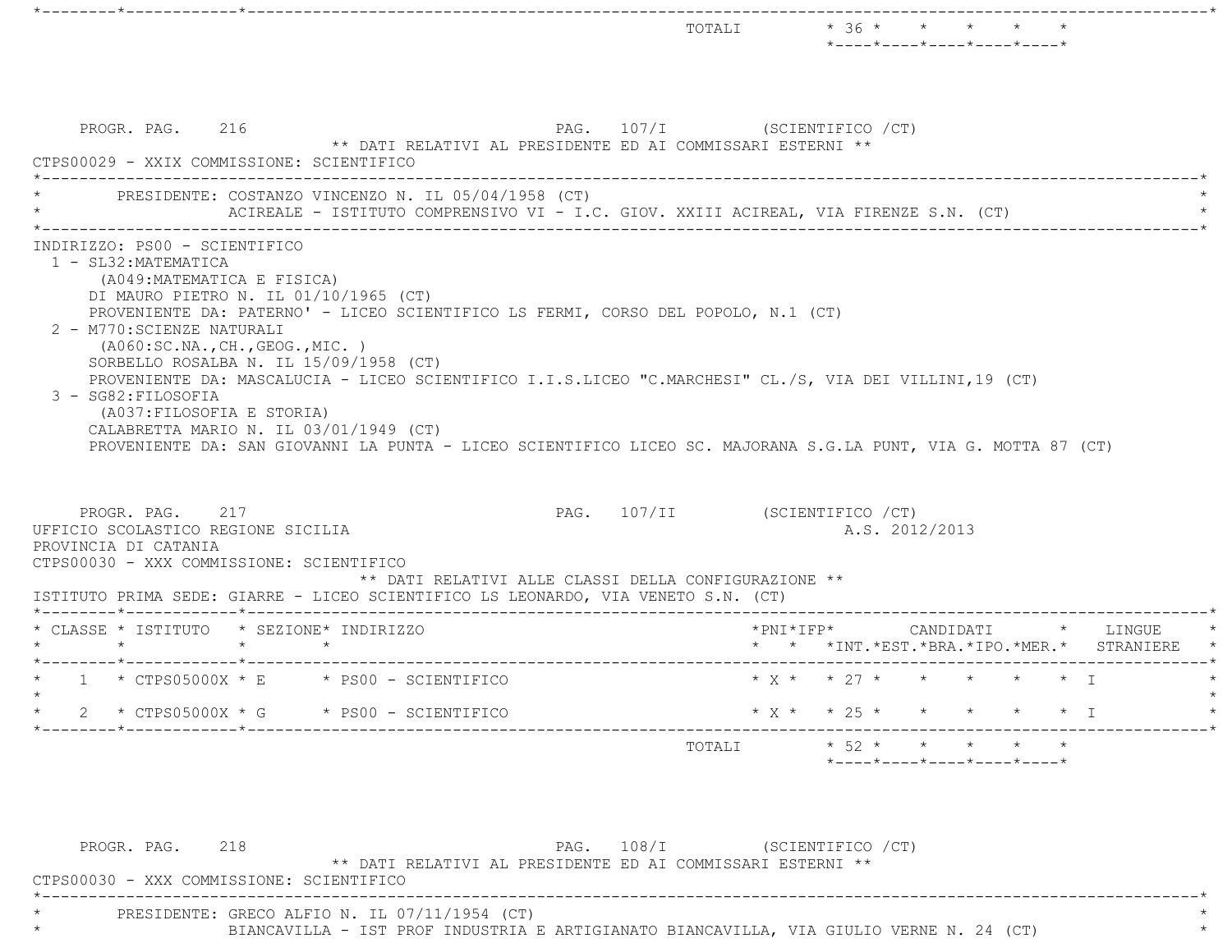|                                                                                                                                                                                                                                                                                                                                                                                                                                                                                                                                                                                                    | TOTALI $* 36 * * * * * *$<br>*----*----*----*----*----*                              |
|----------------------------------------------------------------------------------------------------------------------------------------------------------------------------------------------------------------------------------------------------------------------------------------------------------------------------------------------------------------------------------------------------------------------------------------------------------------------------------------------------------------------------------------------------------------------------------------------------|--------------------------------------------------------------------------------------|
| PAG. 107/I (SCIENTIFICO / CT)<br>PROGR. PAG. 216<br>** DATI RELATIVI AL PRESIDENTE ED AI COMMISSARI ESTERNI **<br>CTPS00029 - XXIX COMMISSIONE: SCIENTIFICO                                                                                                                                                                                                                                                                                                                                                                                                                                        |                                                                                      |
| PRESIDENTE: COSTANZO VINCENZO N. IL 05/04/1958 (CT)<br>ACIREALE - ISTITUTO COMPRENSIVO VI - I.C. GIOV. XXIII ACIREAL, VIA FIRENZE S.N. (CT)                                                                                                                                                                                                                                                                                                                                                                                                                                                        |                                                                                      |
| (A049: MATEMATICA E FISICA)<br>DI MAURO PIETRO N. IL 01/10/1965 (CT)<br>PROVENIENTE DA: PATERNO' - LICEO SCIENTIFICO LS FERMI, CORSO DEL POPOLO, N.1 (CT)<br>2 - M770: SCIENZE NATURALI<br>( A060:SC.NA., CH., GEOG., MIC. )<br>SORBELLO ROSALBA N. IL 15/09/1958 (CT)<br>PROVENIENTE DA: MASCALUCIA - LICEO SCIENTIFICO I.I.S.LICEO "C.MARCHESI" CL./S, VIA DEI VILLINI, 19 (CT)<br>3 - SG82: FILOSOFIA<br>(A037: FILOSOFIA E STORIA)<br>CALABRETTA MARIO N. IL 03/01/1949 (CT)<br>PROVENIENTE DA: SAN GIOVANNI LA PUNTA - LICEO SCIENTIFICO LICEO SC. MAJORANA S.G.LA PUNT, VIA G. MOTTA 87 (CT) |                                                                                      |
| PROGR. PAG. 217<br>UFFICIO SCOLASTICO REGIONE SICILIA<br>PROVINCIA DI CATANIA<br>CTPS00030 - XXX COMMISSIONE: SCIENTIFICO<br>** DATI RELATIVI ALLE CLASSI DELLA CONFIGURAZIONE **<br>ISTITUTO PRIMA SEDE: GIARRE - LICEO SCIENTIFICO LS LEONARDO, VIA VENETO S.N. (CT)                                                                                                                                                                                                                                                                                                                             | PAG. 107/II (SCIENTIFICO /CT)<br>A.S. 2012/2013                                      |
| * CLASSE * ISTITUTO * SEZIONE* INDIRIZZO<br>$\star$<br>$\star$ $\star$                                                                                                                                                                                                                                                                                                                                                                                                                                                                                                                             | * * *INT. *EST. *BRA. *IPO. *MER. * STRANIERE                                        |
| $1 * CTPS05000X * E * PS00 - SCIENTIFICO$                                                                                                                                                                                                                                                                                                                                                                                                                                                                                                                                                          | $\star$ $\chi$ $\star$ $\star$ $\gamma$ $\star$ $\star$ $\star$<br>$\star$ $\star$ T |
| * $CTPS05000X * G$ * PS00 - SCIENTIFICO                                                                                                                                                                                                                                                                                                                                                                                                                                                                                                                                                            | * X * * 25 * * * * * * I                                                             |
| ___________                                                                                                                                                                                                                                                                                                                                                                                                                                                                                                                                                                                        | $* 52 * * * * * * * * * *$<br>TOTALI<br>$*$ ---- $*$ ---- $*$ ---- $*$ ---- $*$      |
| PROGR. PAG. 218<br>** DATI RELATIVI AL PRESIDENTE ED AI COMMISSARI ESTERNI **<br>CTPS00030 - XXX COMMISSIONE: SCIENTIFICO                                                                                                                                                                                                                                                                                                                                                                                                                                                                          | PAG. 108/I (SCIENTIFICO / CT)                                                        |

 \*----------------------------------------------------------------------------------------------------------------------------\*PRESIDENTE: GRECO ALFIO N. IL 07/11/1954 (CT)  $\star$ \* BIANCAVILLA - IST PROF INDUSTRIA E ARTIGIANATO BIANCAVILLA, VIA GIULIO VERNE N. 24 (CT) \*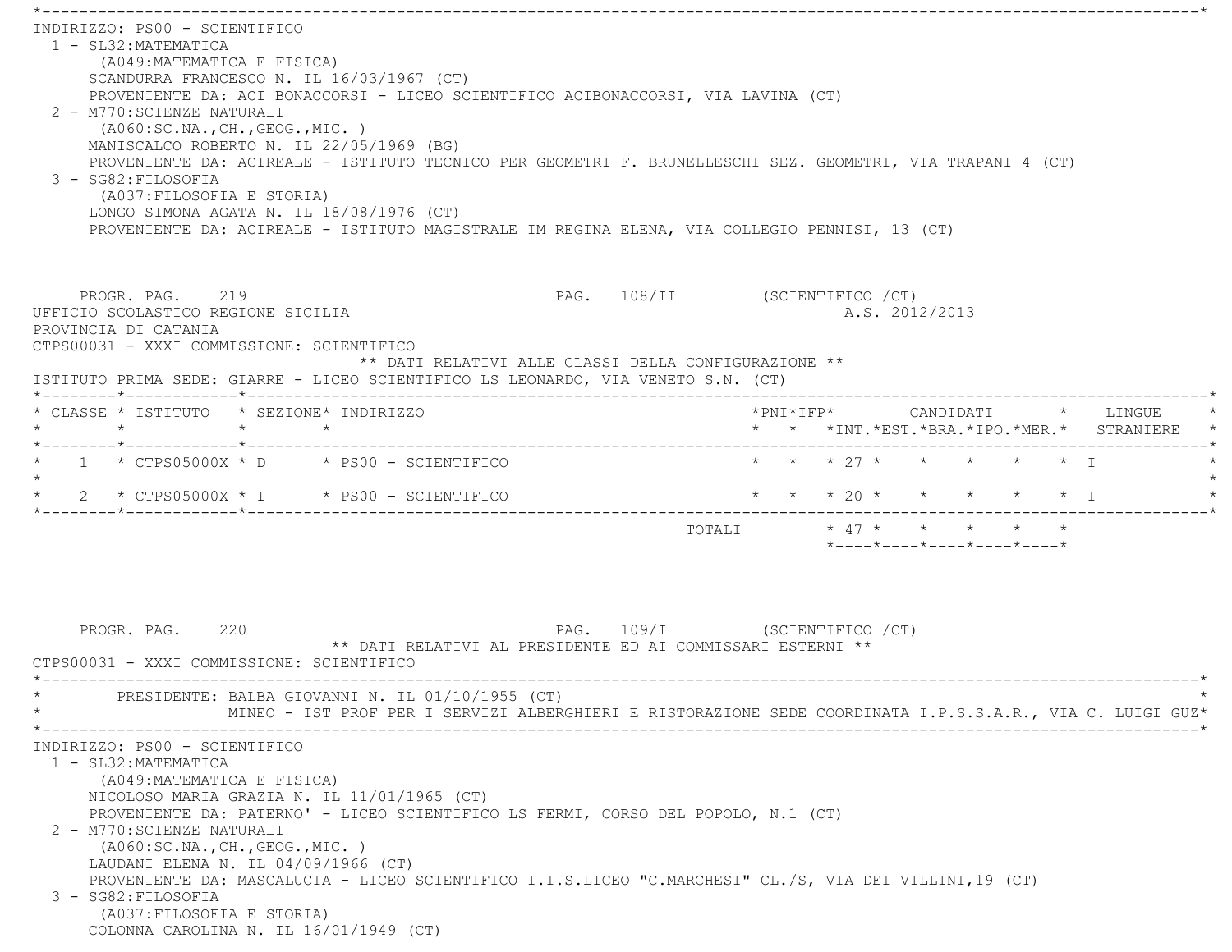\*----------------------------------------------------------------------------------------------------------------------------\* INDIRIZZO: PS00 - SCIENTIFICO 1 - SL32:MATEMATICA (A049:MATEMATICA E FISICA) SCANDURRA FRANCESCO N. IL 16/03/1967 (CT) PROVENIENTE DA: ACI BONACCORSI - LICEO SCIENTIFICO ACIBONACCORSI, VIA LAVINA (CT) 2 - M770:SCIENZE NATURALI (A060:SC.NA.,CH.,GEOG.,MIC. ) MANISCALCO ROBERTO N. IL 22/05/1969 (BG) PROVENIENTE DA: ACIREALE - ISTITUTO TECNICO PER GEOMETRI F. BRUNELLESCHI SEZ. GEOMETRI, VIA TRAPANI 4 (CT) 3 - SG82:FILOSOFIA (A037:FILOSOFIA E STORIA) LONGO SIMONA AGATA N. IL 18/08/1976 (CT) PROVENIENTE DA: ACIREALE - ISTITUTO MAGISTRALE IM REGINA ELENA, VIA COLLEGIO PENNISI, 13 (CT) PROGR. PAG. 219 2008 PAG. 108/II (SCIENTIFICO / CT) UFFICIO SCOLASTICO REGIONE SICILIA A.S. 2012/2013 PROVINCIA DI CATANIA CTPS00031 - XXXI COMMISSIONE: SCIENTIFICO \*\* DATI RELATIVI ALLE CLASSI DELLA CONFIGURAZIONE \*\* ISTITUTO PRIMA SEDE: GIARRE - LICEO SCIENTIFICO LS LEONARDO, VIA VENETO S.N. (CT) \*--------\*------------\*-------------------------------------------------------------------------------------------------------\* \* CLASSE \* ISTITUTO \* SEZIONE\* INDIRIZZO \*PNI\*IFP\* CANDIDATI \* LINGUE \* \* \* \* \* \* \* \*INT.\*EST.\*BRA.\*IPO.\*MER.\* STRANIERE \* \*--------\*------------\*-------------------------------------------------------------------------------------------------------\* \* 1 \* CTPS05000X \* D \* PS00 - SCIENTIFICO \* \* \* 27 \* \* \* \* \* I \* $\star$  \* 2 \* CTPS05000X \* I \* PS00 - SCIENTIFICO \* \* \* 20 \* \* \* \* \* I \* \*--------\*------------\*-------------------------------------------------------------------------------------------------------\*TOTALI  $* 47 * * * * * * * * * *$  \*----\*----\*----\*----\*----\*PROGR. PAG. 220 20 PAG. 109/I (SCIENTIFICO / CT) \*\* DATI RELATIVI AL PRESIDENTE ED AI COMMISSARI ESTERNI \*\* CTPS00031 - XXXI COMMISSIONE: SCIENTIFICO \*----------------------------------------------------------------------------------------------------------------------------\*PRESIDENTE: BALBA GIOVANNI N. IL 01/10/1955 (CT) \* MINEO - IST PROF PER I SERVIZI ALBERGHIERI E RISTORAZIONE SEDE COORDINATA I.P.S.S.A.R., VIA C. LUIGI GUZ\* \*----------------------------------------------------------------------------------------------------------------------------\* INDIRIZZO: PS00 - SCIENTIFICO 1 - SL32:MATEMATICA (A049:MATEMATICA E FISICA) NICOLOSO MARIA GRAZIA N. IL 11/01/1965 (CT) PROVENIENTE DA: PATERNO' - LICEO SCIENTIFICO LS FERMI, CORSO DEL POPOLO, N.1 (CT) 2 - M770:SCIENZE NATURALI (A060:SC.NA.,CH.,GEOG.,MIC. ) LAUDANI ELENA N. IL 04/09/1966 (CT) PROVENIENTE DA: MASCALUCIA - LICEO SCIENTIFICO I.I.S.LICEO "C.MARCHESI" CL./S, VIA DEI VILLINI,19 (CT) 3 - SG82:FILOSOFIA (A037:FILOSOFIA E STORIA) COLONNA CAROLINA N. IL 16/01/1949 (CT)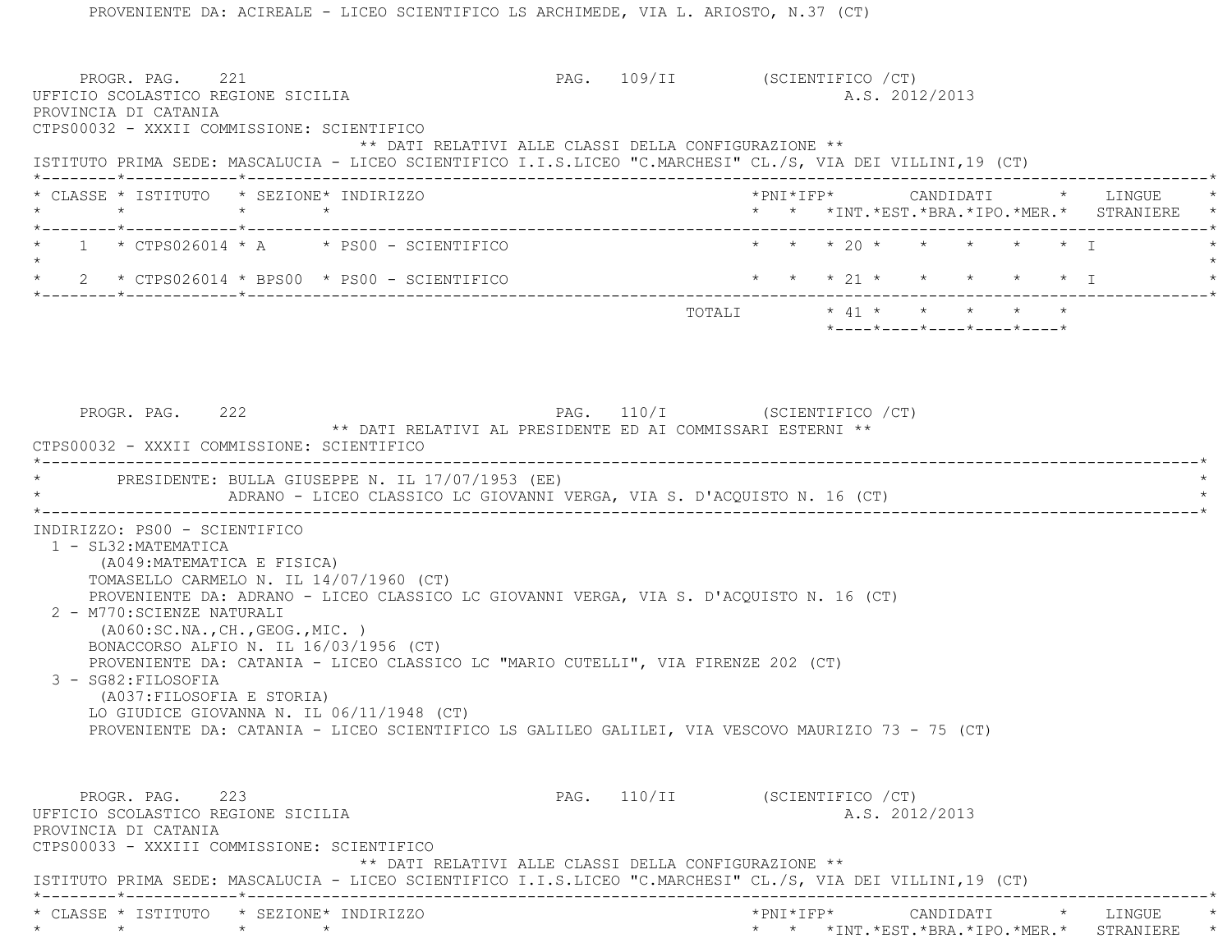PROGR. PAG. 221 PAG. 109/II (SCIENTIFICO /CT) UFFICIO SCOLASTICO REGIONE SICILIA A.S. 2012/2013 PROVINCIA DI CATANIA CTPS00032 - XXXII COMMISSIONE: SCIENTIFICO \*\* DATI RELATIVI ALLE CLASSI DELLA CONFIGURAZIONE \*\* ISTITUTO PRIMA SEDE: MASCALUCIA - LICEO SCIENTIFICO I.I.S.LICEO "C.MARCHESI" CL./S, VIA DEI VILLINI,19 (CT) \*--------\*------------\*-------------------------------------------------------------------------------------------------------\* \* CLASSE \* ISTITUTO \* SEZIONE\* INDIRIZZO \*PNI\*IFP\* CANDIDATI \* LINGUE \* \* \* \* \* \* \* \*INT.\*EST.\*BRA.\*IPO.\*MER.\* STRANIERE \* \*--------\*------------\*-------------------------------------------------------------------------------------------------------\* \* 1 \* CTPS026014 \* A \* PS00 - SCIENTIFICO \* \* \* 20 \* \* \* \* \* I \* $\star$ 2 \* CTPS026014 \* BPS00 \* PS00 - SCIENTIFICO \* \* \* \* 21 \* \* \* \* \* \* \* \* I \*--------\*------------\*-------------------------------------------------------------------------------------------------------\*TOTALI  $* 41 * * * * * * * * * *$  \*----\*----\*----\*----\*----\*PROGR. PAG. 222 PAG. 110/I (SCIENTIFICO /CT) \*\* DATI RELATIVI AL PRESIDENTE ED AI COMMISSARI ESTERNI \*\* CTPS00032 - XXXII COMMISSIONE: SCIENTIFICO \*----------------------------------------------------------------------------------------------------------------------------\* \* PRESIDENTE: BULLA GIUSEPPE N. IL 17/07/1953 (EE) \* ADRANO - LICEO CLASSICO LC GIOVANNI VERGA, VIA S. D'ACQUISTO N. 16 (CT) \*----------------------------------------------------------------------------------------------------------------------------\* INDIRIZZO: PS00 - SCIENTIFICO 1 - SL32:MATEMATICA (A049:MATEMATICA E FISICA) TOMASELLO CARMELO N. IL 14/07/1960 (CT) PROVENIENTE DA: ADRANO - LICEO CLASSICO LC GIOVANNI VERGA, VIA S. D'ACQUISTO N. 16 (CT) 2 - M770:SCIENZE NATURALI (A060:SC.NA.,CH.,GEOG.,MIC. ) BONACCORSO ALFIO N. IL 16/03/1956 (CT) PROVENIENTE DA: CATANIA - LICEO CLASSICO LC "MARIO CUTELLI", VIA FIRENZE 202 (CT) 3 - SG82:FILOSOFIA (A037:FILOSOFIA E STORIA) LO GIUDICE GIOVANNA N. IL 06/11/1948 (CT) PROVENIENTE DA: CATANIA - LICEO SCIENTIFICO LS GALILEO GALILEI, VIA VESCOVO MAURIZIO 73 - 75 (CT) PROGR. PAG. 223 23 PAG. 110/II (SCIENTIFICO /CT) UFFICIO SCOLASTICO REGIONE SICILIA A.S. 2012/2013 PROVINCIA DI CATANIA CTPS00033 - XXXIII COMMISSIONE: SCIENTIFICO \*\* DATI RELATIVI ALLE CLASSI DELLA CONFIGURAZIONE \*\* ISTITUTO PRIMA SEDE: MASCALUCIA - LICEO SCIENTIFICO I.I.S.LICEO "C.MARCHESI" CL./S, VIA DEI VILLINI,19 (CT) \*--------\*------------\*-------------------------------------------------------------------------------------------------------\* \* CLASSE \* ISTITUTO \* SEZIONE\* INDIRIZZO \*PNI\*IFP\* CANDIDATI \* LINGUE \*\* \* \* \* \* \* \*INT.\*EST.\*BRA.\*IPO.\*MER.\* STRANIERE \*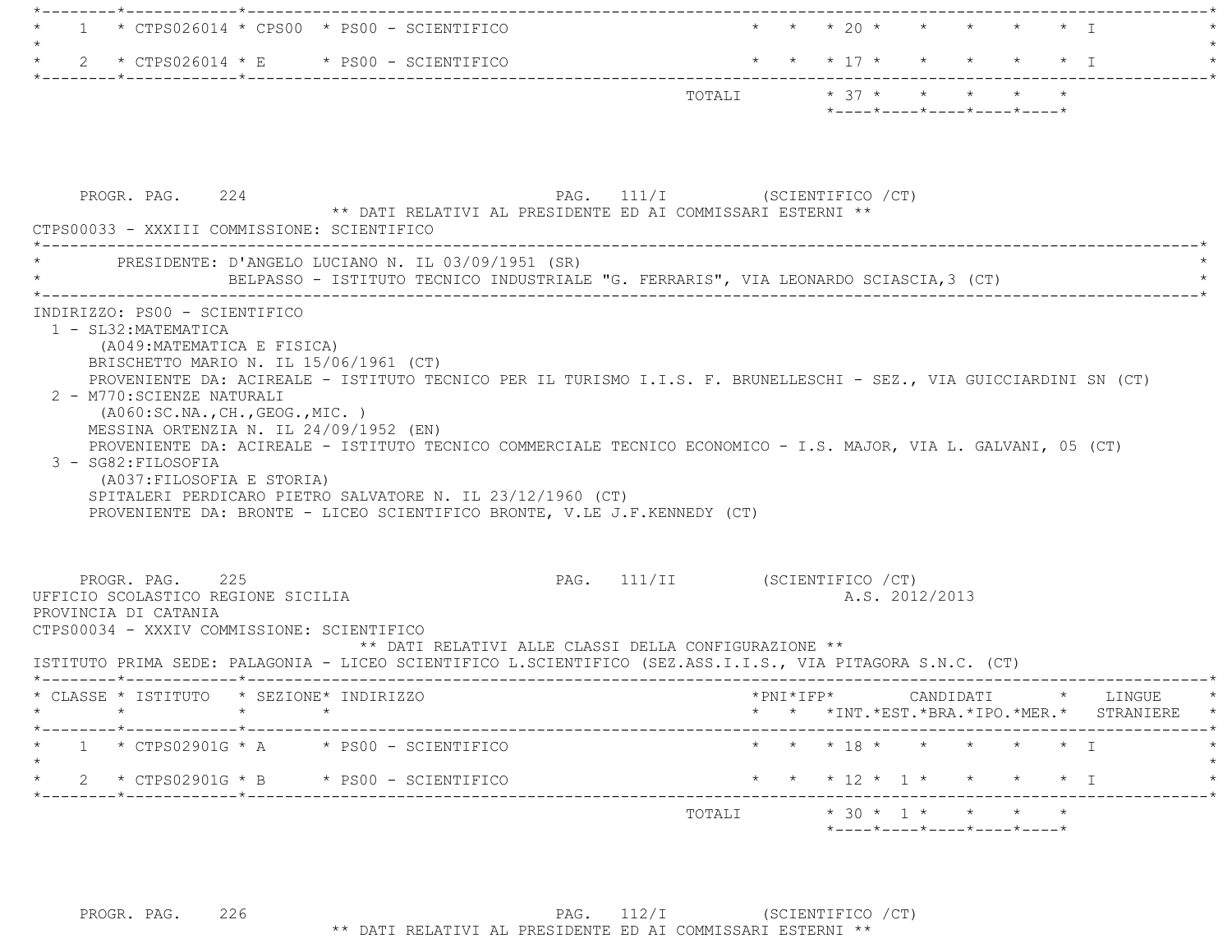| $\star$ CTPS026014 $\star$ CPS00 $\star$ PS00 - SCIENTIFICO                                                                                                                                                                                                                                                                                                                                                                                                                                                                                       |                                                                                        | * * * 20 * * * * * * I                         |                                                                                                                    |
|---------------------------------------------------------------------------------------------------------------------------------------------------------------------------------------------------------------------------------------------------------------------------------------------------------------------------------------------------------------------------------------------------------------------------------------------------------------------------------------------------------------------------------------------------|----------------------------------------------------------------------------------------|------------------------------------------------|--------------------------------------------------------------------------------------------------------------------|
| 2 * CTPS026014 * E * PS00 - SCIENTIFICO                                                                                                                                                                                                                                                                                                                                                                                                                                                                                                           |                                                                                        | * * * 17 * * * * * * I                         |                                                                                                                    |
|                                                                                                                                                                                                                                                                                                                                                                                                                                                                                                                                                   |                                                                                        | TOTALI * 37 * * * * * *                        |                                                                                                                    |
|                                                                                                                                                                                                                                                                                                                                                                                                                                                                                                                                                   |                                                                                        | *----*----*----*----*----*                     |                                                                                                                    |
|                                                                                                                                                                                                                                                                                                                                                                                                                                                                                                                                                   |                                                                                        |                                                |                                                                                                                    |
|                                                                                                                                                                                                                                                                                                                                                                                                                                                                                                                                                   |                                                                                        |                                                |                                                                                                                    |
| PROGR. PAG. 224<br>** DATI RELATIVI AL PRESIDENTE ED AI COMMISSARI ESTERNI **                                                                                                                                                                                                                                                                                                                                                                                                                                                                     | PAG. 111/I (SCIENTIFICO / CT)                                                          |                                                |                                                                                                                    |
| CTPS00033 - XXXIII COMMISSIONE: SCIENTIFICO                                                                                                                                                                                                                                                                                                                                                                                                                                                                                                       |                                                                                        |                                                |                                                                                                                    |
| * PRESIDENTE: D'ANGELO LUCIANO N. IL 03/09/1951 (SR)                                                                                                                                                                                                                                                                                                                                                                                                                                                                                              |                                                                                        |                                                |                                                                                                                    |
| BELPASSO - ISTITUTO TECNICO INDUSTRIALE "G. FERRARIS", VIA LEONARDO SCIASCIA,3 (CT)                                                                                                                                                                                                                                                                                                                                                                                                                                                               |                                                                                        |                                                |                                                                                                                    |
| PROVENIENTE DA: ACIREALE - ISTITUTO TECNICO PER IL TURISMO I.I.S. F. BRUNELLESCHI - SEZ., VIA GUICCIARDINI SN (CT)<br>2 - M770: SCIENZE NATURALI<br>( A060:SC.NA., CH., GEOG., MIC. )<br>MESSINA ORTENZIA N. IL 24/09/1952 (EN)<br>PROVENIENTE DA: ACIREALE - ISTITUTO TECNICO COMMERCIALE TECNICO ECONOMICO - I.S. MAJOR, VIA L. GALVANI, 05 (CT)<br>3 - SG82: FILOSOFIA<br>(A037: FILOSOFIA E STORIA)<br>SPITALERI PERDICARO PIETRO SALVATORE N. IL 23/12/1960 (CT)<br>PROVENIENTE DA: BRONTE - LICEO SCIENTIFICO BRONTE, V.LE J.F.KENNEDY (CT) |                                                                                        |                                                |                                                                                                                    |
| PROGR. PAG. 225<br>UFFICIO SCOLASTICO REGIONE SICILIA<br>PROVINCIA DI CATANIA<br>CTPS00034 - XXXIV COMMISSIONE: SCIENTIFICO<br>ISTITUTO PRIMA SEDE: PALAGONIA - LICEO SCIENTIFICO L.SCIENTIFICO (SEZ.ASS.I.I.S., VIA PITAGORA S.N.C. (CT)                                                                                                                                                                                                                                                                                                         | PAG. 111/II (SCIENTIFICO / CT)<br>** DATI RELATIVI ALLE CLASSI DELLA CONFIGURAZIONE ** | A.S. 2012/2013                                 |                                                                                                                    |
| CLASSE * ISTITUTO * SEZIONE* INDIRIZZO                                                                                                                                                                                                                                                                                                                                                                                                                                                                                                            |                                                                                        |                                                |                                                                                                                    |
| $\star$                                                                                                                                                                                                                                                                                                                                                                                                                                                                                                                                           |                                                                                        |                                                |                                                                                                                    |
|                                                                                                                                                                                                                                                                                                                                                                                                                                                                                                                                                   |                                                                                        | * * * INT. *EST. *BRA. *IPO. *MER. * STRANIERE | $\text{\tt *PNI*IFP*} \qquad \qquad \text{CANDIDATI} \qquad \text{\tt *} \qquad \text{LINGUE} \qquad \text{\tt *}$ |
| $1 \times CTPS02901G \times A \times PS00 - SCIENTIFICO$                                                                                                                                                                                                                                                                                                                                                                                                                                                                                          |                                                                                        | * * * 18 * * * * * * I                         |                                                                                                                    |
| 2 * CTPS02901G * B * PS00 - SCIENTIFICO                                                                                                                                                                                                                                                                                                                                                                                                                                                                                                           |                                                                                        | * * * 12 * 1 * * * * * I                       |                                                                                                                    |
|                                                                                                                                                                                                                                                                                                                                                                                                                                                                                                                                                   | TOTALI                                                                                 | $* 30 * 1 * * * * * * *$                       |                                                                                                                    |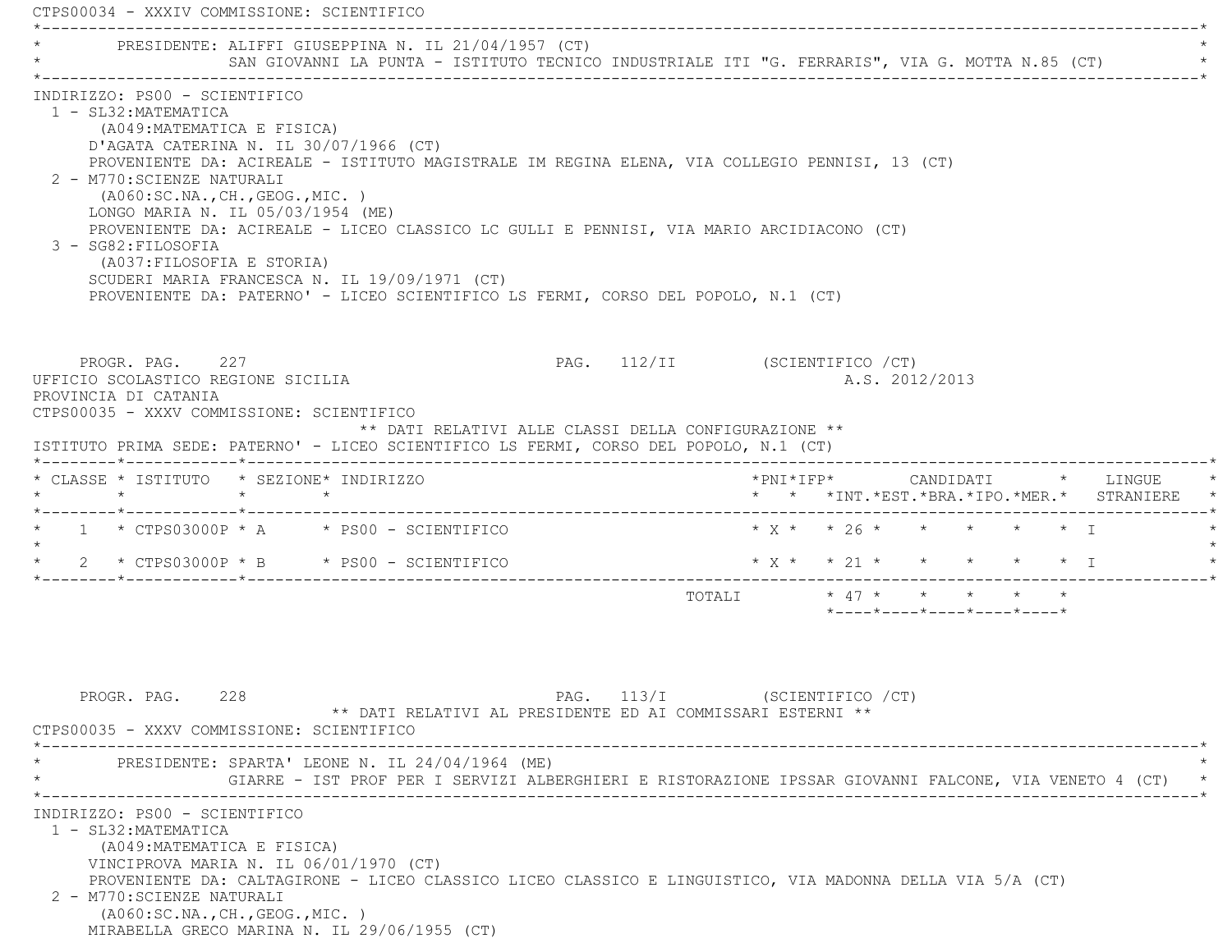CTPS00034 - XXXIV COMMISSIONE: SCIENTIFICO \*----------------------------------------------------------------------------------------------------------------------------\*PRESIDENTE: ALIFFI GIUSEPPINA N. IL 21/04/1957 (CT) SAN GIOVANNI LA PUNTA - ISTITUTO TECNICO INDUSTRIALE ITI "G. FERRARIS", VIA G. MOTTA N.85 (CT) \*----------------------------------------------------------------------------------------------------------------------------\* INDIRIZZO: PS00 - SCIENTIFICO 1 - SL32:MATEMATICA (A049:MATEMATICA E FISICA) D'AGATA CATERINA N. IL 30/07/1966 (CT) PROVENIENTE DA: ACIREALE - ISTITUTO MAGISTRALE IM REGINA ELENA, VIA COLLEGIO PENNISI, 13 (CT) 2 - M770:SCIENZE NATURALI (A060:SC.NA.,CH.,GEOG.,MIC. ) LONGO MARIA N. IL 05/03/1954 (ME) PROVENIENTE DA: ACIREALE - LICEO CLASSICO LC GULLI E PENNISI, VIA MARIO ARCIDIACONO (CT) 3 - SG82:FILOSOFIA (A037:FILOSOFIA E STORIA) SCUDERI MARIA FRANCESCA N. IL 19/09/1971 (CT) PROVENIENTE DA: PATERNO' - LICEO SCIENTIFICO LS FERMI, CORSO DEL POPOLO, N.1 (CT) PROGR. PAG. 227 27 PAG. 112/II (SCIENTIFICO / CT) UFFICIO SCOLASTICO REGIONE SICILIA A.S. 2012/2013 PROVINCIA DI CATANIA CTPS00035 - XXXV COMMISSIONE: SCIENTIFICO \*\* DATI RELATIVI ALLE CLASSI DELLA CONFIGURAZIONE \*\* ISTITUTO PRIMA SEDE: PATERNO' - LICEO SCIENTIFICO LS FERMI, CORSO DEL POPOLO, N.1 (CT) \*--------\*------------\*-------------------------------------------------------------------------------------------------------\* \* CLASSE \* ISTITUTO \* SEZIONE\* INDIRIZZO \*PNI\*IFP\* CANDIDATI \* LINGUE \* \* \* \* \* \* \* \*INT.\*EST.\*BRA.\*IPO.\*MER.\* STRANIERE \* \*--------\*------------\*-------------------------------------------------------------------------------------------------------\* $1 * CTPS03000P * A * PS00 - SCIENTIFICO * X * * 26 * * * * * * * T$  $\star$ 2 \* CTPS03000P \* B \* PS00 - SCIENTIFICO \* \* \* \* \* \* \* \* \* \* \* \* I \* \* \* \* I \* \* \* I \* \* \* I \* \* \* I \* \* I \* \* I \* \* I \* \* \* I \* \* \* I \* \* \* \* I \* \* \* \* I \* \* \* I \* \* \* \* I \* \* \* \* I \* \* \* I \* \* \* \* I \* \* \* \* I \* \* \* \* I \* \*--------\*------------\*-------------------------------------------------------------------------------------------------------\* TOTALI \* 47 \* \* \* \* \* \*----\*----\*----\*----\*----\*PROGR. PAG. 228 28 PAG. 113/I (SCIENTIFICO / CT) \*\* DATI RELATIVI AL PRESIDENTE ED AI COMMISSARI ESTERNI \*\* CTPS00035 - XXXV COMMISSIONE: SCIENTIFICO \*----------------------------------------------------------------------------------------------------------------------------\*PRESIDENTE: SPARTA' LEONE N. IL 24/04/1964 (ME) \* GIARRE - IST PROF PER I SERVIZI ALBERGHIERI E RISTORAZIONE IPSSAR GIOVANNI FALCONE, VIA VENETO 4 (CT) \* \*----------------------------------------------------------------------------------------------------------------------------\* INDIRIZZO: PS00 - SCIENTIFICO 1 - SL32:MATEMATICA (A049:MATEMATICA E FISICA) VINCIPROVA MARIA N. IL 06/01/1970 (CT)

PROVENIENTE DA: CALTAGIRONE - LICEO CLASSICO LICEO CLASSICO E LINGUISTICO, VIA MADONNA DELLA VIA 5/A (CT)

2 - M770:SCIENZE NATURALI

 (A060:SC.NA.,CH.,GEOG.,MIC. ) MIRABELLA GRECO MARINA N. IL 29/06/1955 (CT)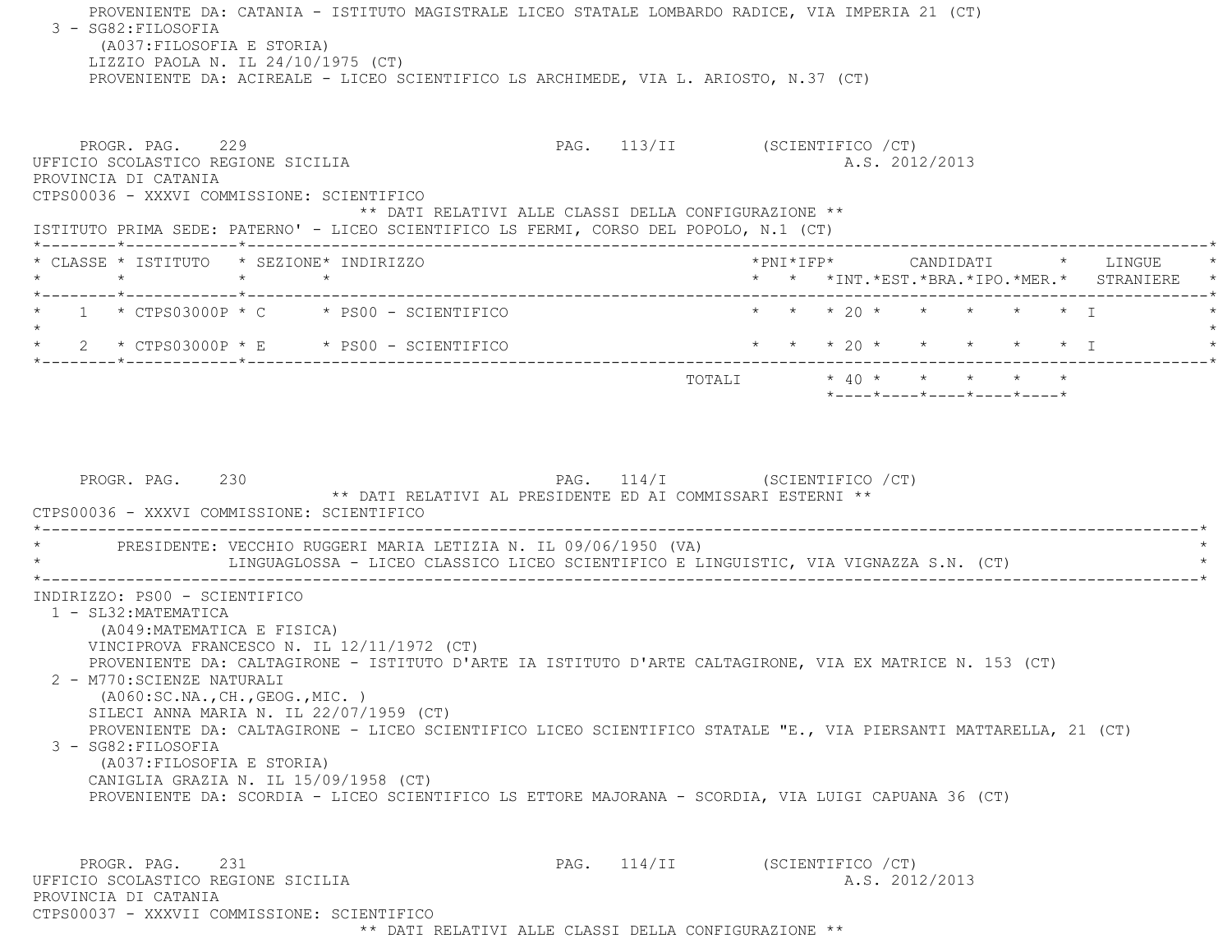PROVENIENTE DA: CATANIA - ISTITUTO MAGISTRALE LICEO STATALE LOMBARDO RADICE, VIA IMPERIA 21 (CT) 3 - SG82:FILOSOFIA (A037:FILOSOFIA E STORIA) LIZZIO PAOLA N. IL 24/10/1975 (CT) PROVENIENTE DA: ACIREALE - LICEO SCIENTIFICO LS ARCHIMEDE, VIA L. ARIOSTO, N.37 (CT) PROGR. PAG. 229 PAG. 113/II (SCIENTIFICO /CT) UFFICIO SCOLASTICO REGIONE SICILIA A.S. 2012/2013 PROVINCIA DI CATANIA CTPS00036 - XXXVI COMMISSIONE: SCIENTIFICO \*\* DATI RELATIVI ALLE CLASSI DELLA CONFIGURAZIONE \*\* ISTITUTO PRIMA SEDE: PATERNO' - LICEO SCIENTIFICO LS FERMI, CORSO DEL POPOLO, N.1 (CT) \*--------\*------------\*-------------------------------------------------------------------------------------------------------\* \* CLASSE \* ISTITUTO \* SEZIONE\* INDIRIZZO \*PNI\*IFP\* CANDIDATI \* LINGUE \* \* \* \* \* \* \* \*INT.\*EST.\*BRA.\*IPO.\*MER.\* STRANIERE \* \*--------\*------------\*-------------------------------------------------------------------------------------------------------\*1 \* CTPS03000P \* C \* PS00 - SCIENTIFICO \* \* \* \* 20 \* \* \* \* \* \* \* I  $\star$  \* 2 \* CTPS03000P \* E \* PS00 - SCIENTIFICO \* \* \* 20 \* \* \* \* \* I \* \*--------\*------------\*-------------------------------------------------------------------------------------------------------\*TOTALI  $* 40 * * * * * * * * *$  \*----\*----\*----\*----\*----\*PROGR. PAG. 230 230 PAG. 114/I (SCIENTIFICO / CT) \*\* DATI RELATIVI AL PRESIDENTE ED AI COMMISSARI ESTERNI \*\* CTPS00036 - XXXVI COMMISSIONE: SCIENTIFICO \*----------------------------------------------------------------------------------------------------------------------------\* \* PRESIDENTE: VECCHIO RUGGERI MARIA LETIZIA N. IL 09/06/1950 (VA) \* LINGUAGLOSSA - LICEO CLASSICO LICEO SCIENTIFICO E LINGUISTIC, VIA VIGNAZZA S.N. (CT) \*----------------------------------------------------------------------------------------------------------------------------\* INDIRIZZO: PS00 - SCIENTIFICO 1 - SL32:MATEMATICA (A049:MATEMATICA E FISICA) VINCIPROVA FRANCESCO N. IL 12/11/1972 (CT) PROVENIENTE DA: CALTAGIRONE - ISTITUTO D'ARTE IA ISTITUTO D'ARTE CALTAGIRONE, VIA EX MATRICE N. 153 (CT) 2 - M770:SCIENZE NATURALI (A060:SC.NA.,CH.,GEOG.,MIC. ) SILECI ANNA MARIA N. IL 22/07/1959 (CT) PROVENIENTE DA: CALTAGIRONE - LICEO SCIENTIFICO LICEO SCIENTIFICO STATALE "E., VIA PIERSANTI MATTARELLA, 21 (CT) 3 - SG82:FILOSOFIA (A037:FILOSOFIA E STORIA) CANIGLIA GRAZIA N. IL 15/09/1958 (CT) PROVENIENTE DA: SCORDIA - LICEO SCIENTIFICO LS ETTORE MAJORANA - SCORDIA, VIA LUIGI CAPUANA 36 (CT) PROGR. PAG. 231 231 PAG. 114/II (SCIENTIFICO / CT) UFFICIO SCOLASTICO REGIONE SICILIA A.S. 2012/2013 PROVINCIA DI CATANIACTPS00037 - XXXVII COMMISSIONE: SCIENTIFICO

\*\* DATI RELATIVI ALLE CLASSI DELLA CONFIGURAZIONE \*\*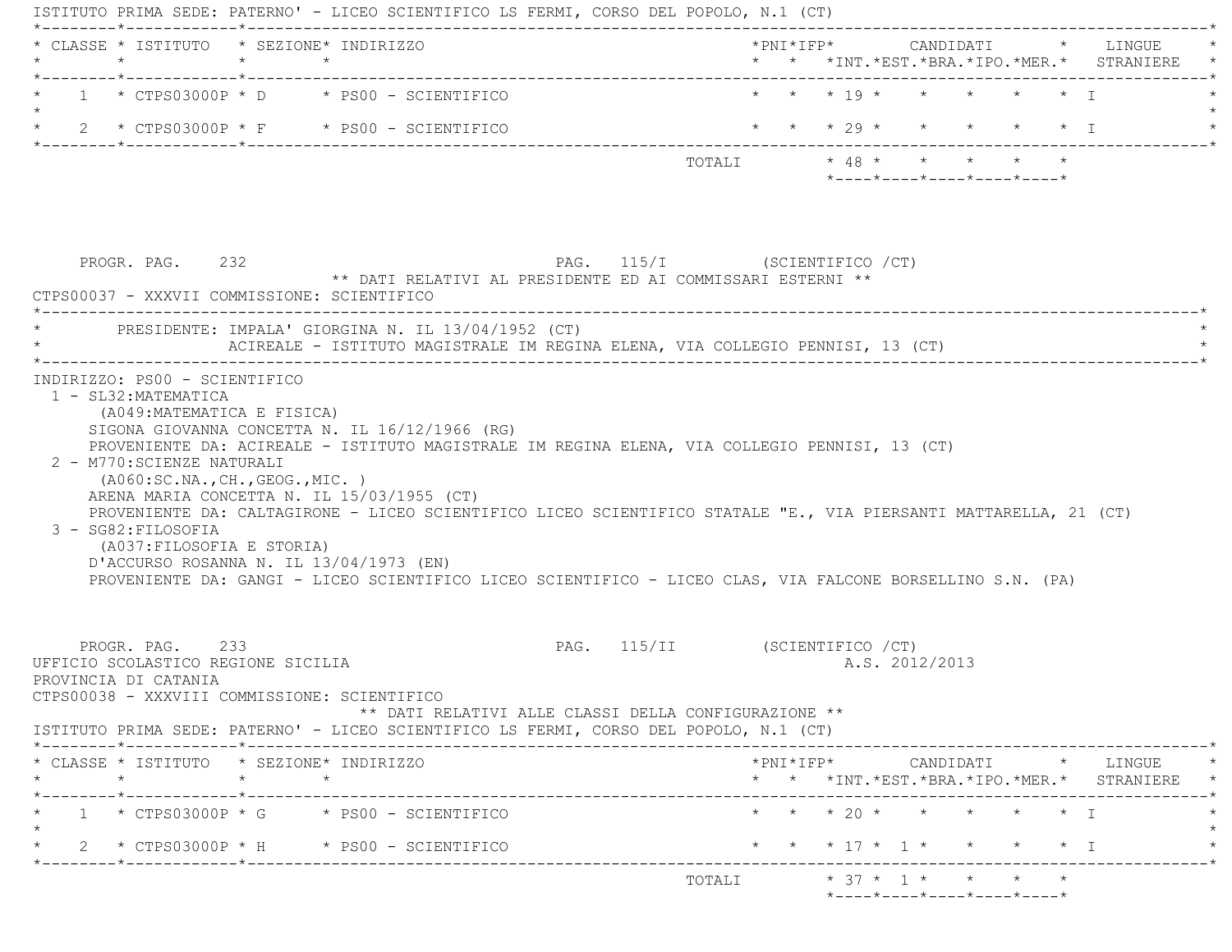| * CLASSE * ISTITUTO * SEZIONE* INDIRIZZO<br>$\star$                                   | $\star$ $\star$ |                                                                                                                                                                                                                                                                                                                         |                                                                                        |  |                |                                                                                            |                   | *PNI*IFP* CANDIDATI * LINGUE<br>* * *INT.*EST.*BRA.*IPO.*MER.* STRANIERE                        |
|---------------------------------------------------------------------------------------|-----------------|-------------------------------------------------------------------------------------------------------------------------------------------------------------------------------------------------------------------------------------------------------------------------------------------------------------------------|----------------------------------------------------------------------------------------|--|----------------|--------------------------------------------------------------------------------------------|-------------------|-------------------------------------------------------------------------------------------------|
|                                                                                       |                 | $1 * CTPS03000P * D * PS00 - SCIENTIFICO$                                                                                                                                                                                                                                                                               |                                                                                        |  |                | * * * 19 * * * * * * T                                                                     |                   |                                                                                                 |
|                                                                                       |                 | * $2$ * CTPS03000P * F * PS00 - SCIENTIFICO                                                                                                                                                                                                                                                                             |                                                                                        |  |                | * * * 29 * * * * * * I                                                                     |                   |                                                                                                 |
|                                                                                       |                 |                                                                                                                                                                                                                                                                                                                         |                                                                                        |  |                | TOTALI * 48 * * * * * *<br>$*$ - - - - $*$ - - - - $*$ - - - - $*$ - - - - $*$ - - - - $*$ |                   |                                                                                                 |
| PROGR. PAG. 232<br>CTPS00037 - XXXVII COMMISSIONE: SCIENTIFICO                        |                 | ** DATI RELATIVI AL PRESIDENTE ED AI COMMISSARI ESTERNI **                                                                                                                                                                                                                                                              | PAG. 115/I (SCIENTIFICO / CT)                                                          |  |                |                                                                                            |                   |                                                                                                 |
|                                                                                       |                 | PRESIDENTE: IMPALA' GIORGINA N. IL 13/04/1952 (CT)<br>ACIREALE - ISTITUTO MAGISTRALE IM REGINA ELENA, VIA COLLEGIO PENNISI, 13 (CT)                                                                                                                                                                                     |                                                                                        |  |                |                                                                                            |                   |                                                                                                 |
| (A049:MATEMATICA E FISICA)<br>2 - M770: SCIENZE NATURALI                              |                 | SIGONA GIOVANNA CONCETTA N. IL 16/12/1966 (RG)<br>PROVENIENTE DA: ACIREALE - ISTITUTO MAGISTRALE IM REGINA ELENA, VIA COLLEGIO PENNISI, 13 (CT)                                                                                                                                                                         |                                                                                        |  |                |                                                                                            |                   |                                                                                                 |
| (AO60:SC.NA., CH., GEOG., MIC. )<br>3 - SG82: FILOSOFIA<br>(A037: FILOSOFIA E STORIA) |                 | ARENA MARIA CONCETTA N. IL 15/03/1955 (CT)<br>PROVENIENTE DA: CALTAGIRONE - LICEO SCIENTIFICO LICEO SCIENTIFICO STATALE "E., VIA PIERSANTI MATTARELLA, 21 (CT)<br>D'ACCURSO ROSANNA N. IL 13/04/1973 (EN)<br>PROVENIENTE DA: GANGI - LICEO SCIENTIFICO LICEO SCIENTIFICO - LICEO CLAS, VIA FALCONE BORSELLINO S.N. (PA) |                                                                                        |  |                |                                                                                            |                   |                                                                                                 |
| PROGR. PAG. 233<br>UFFICIO SCOLASTICO REGIONE SICILIA<br>PROVINCIA DI CATANIA         |                 | CTPS00038 - XXXVIII COMMISSIONE: SCIENTIFICO<br>ISTITUTO PRIMA SEDE: PATERNO' - LICEO SCIENTIFICO LS FERMI, CORSO DEL POPOLO, N.1 (CT)                                                                                                                                                                                  | PAG. 115/II (SCIENTIFICO / CT)<br>** DATI RELATIVI ALLE CLASSI DELLA CONFIGURAZIONE ** |  | A.S. 2012/2013 |                                                                                            |                   |                                                                                                 |
| * CLASSE * ISTITUTO * SEZIONE* INDIRIZZO                                              |                 |                                                                                                                                                                                                                                                                                                                         |                                                                                        |  |                |                                                                                            |                   | $*PNI*IFP* \qquad \qquad \text{CANDIDATI} \qquad \qquad * \qquad \text{LINGUE} \qquad \qquad *$ |
| $\star$<br>._____*____________*___________                                            | $\star$         |                                                                                                                                                                                                                                                                                                                         |                                                                                        |  |                |                                                                                            |                   |                                                                                                 |
|                                                                                       |                 | $1 \times CTPS03000P \times G \times PS00 - SCIENTIFICO$<br>$2 * CTPS03000P * H * PS00 - SCIENTIFICO$                                                                                                                                                                                                                   |                                                                                        |  |                | * * * 20 * * * * * * T<br>* * * 17 * 1 * *                                                 | $\star$ $\star$ T | * * *INT. *EST. *BRA. *IPO. *MER. * STRANIERE *                                                 |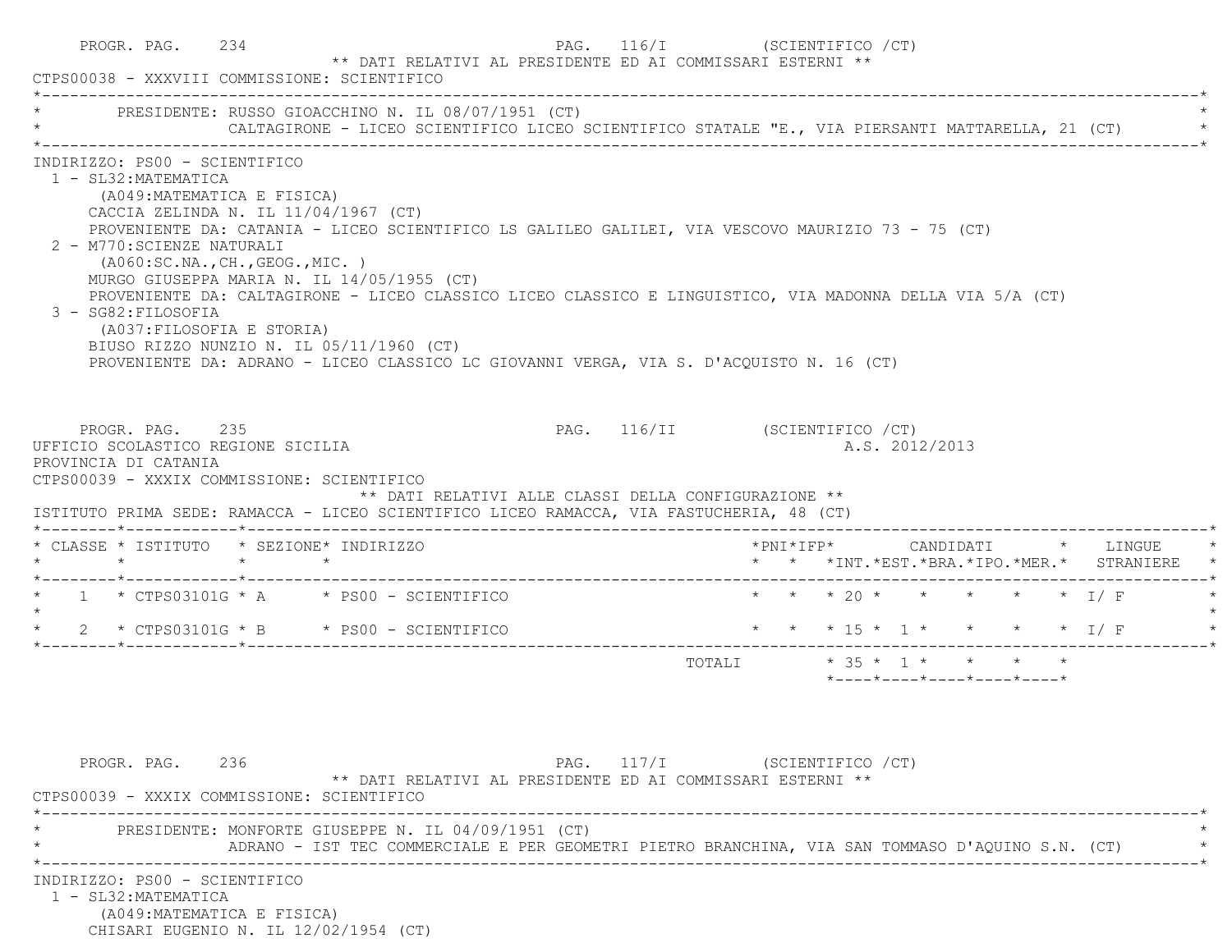|                                                                                                                                                                                                                                                      | * PRESIDENTE: RUSSO GIOACCHINO N. IL 08/07/1951 (CT)                                                                                                                                                                                                                                                                                                                                                |                               |  |  |                |                                                  |                                               |
|------------------------------------------------------------------------------------------------------------------------------------------------------------------------------------------------------------------------------------------------------|-----------------------------------------------------------------------------------------------------------------------------------------------------------------------------------------------------------------------------------------------------------------------------------------------------------------------------------------------------------------------------------------------------|-------------------------------|--|--|----------------|--------------------------------------------------|-----------------------------------------------|
|                                                                                                                                                                                                                                                      | CALTAGIRONE - LICEO SCIENTIFICO LICEO SCIENTIFICO STATALE "E., VIA PIERSANTI MATTARELLA, 21 (CT)                                                                                                                                                                                                                                                                                                    |                               |  |  |                |                                                  |                                               |
| INDIRIZZO: PS00 - SCIENTIFICO<br>1 - SL32: MATEMATICA<br>(A049: MATEMATICA E FISICA)<br>CACCIA ZELINDA N. IL $11/04/1967$ (CT)<br>2 - M770: SCIENZE NATURALI<br>(AO60:SC.NA., CH., GEOG., MIC. )<br>3 - SG82: FILOSOFIA<br>(A037:FILOSOFIA E STORIA) | PROVENIENTE DA: CATANIA - LICEO SCIENTIFICO LS GALILEO GALILEI, VIA VESCOVO MAURIZIO 73 - 75 (CT)<br>MURGO GIUSEPPA MARIA N. IL 14/05/1955 (CT)<br>PROVENIENTE DA: CALTAGIRONE - LICEO CLASSICO LICEO CLASSICO E LINGUISTICO, VIA MADONNA DELLA VIA 5/A (CT)<br>BIUSO RIZZO NUNZIO N. IL 05/11/1960 (CT)<br>PROVENIENTE DA: ADRANO - LICEO CLASSICO LC GIOVANNI VERGA, VIA S. D'ACQUISTO N. 16 (CT) |                               |  |  |                |                                                  |                                               |
| PROGR. PAG. 235<br>UFFICIO SCOLASTICO REGIONE SICILIA<br>PROVINCIA DI CATANIA<br>CTPS00039 - XXXIX COMMISSIONE: SCIENTIFICO<br>* CLASSE * ISTITUTO * SEZIONE* INDIRIZZO                                                                              | ** DATI RELATIVI ALLE CLASSI DELLA CONFIGURAZIONE **<br>ISTITUTO PRIMA SEDE: RAMACCA - LICEO SCIENTIFICO LICEO RAMACCA, VIA FASTUCHERIA, 48 (CT)                                                                                                                                                                                                                                                    | PAG. 116/II (SCIENTIFICO /CT) |  |  | A.S. 2012/2013 |                                                  |                                               |
|                                                                                                                                                                                                                                                      |                                                                                                                                                                                                                                                                                                                                                                                                     |                               |  |  |                |                                                  | * * *INT. *EST. *BRA. *IPO. *MER. * STRANIERE |
|                                                                                                                                                                                                                                                      |                                                                                                                                                                                                                                                                                                                                                                                                     |                               |  |  |                |                                                  |                                               |
|                                                                                                                                                                                                                                                      | $\star$ 1 $\star$ CTPS03101G $\star$ A $\star$ PS00 - SCIENTIFICO                                                                                                                                                                                                                                                                                                                                   | * * * 20 * * * * * * I/F      |  |  |                |                                                  |                                               |
|                                                                                                                                                                                                                                                      |                                                                                                                                                                                                                                                                                                                                                                                                     |                               |  |  |                |                                                  |                                               |
|                                                                                                                                                                                                                                                      |                                                                                                                                                                                                                                                                                                                                                                                                     | TOTALI * 35 * 1 * * * * *     |  |  |                | $*$ ---- $*$ ---- $*$ ---- $*$ ---- $*$ ---- $*$ |                                               |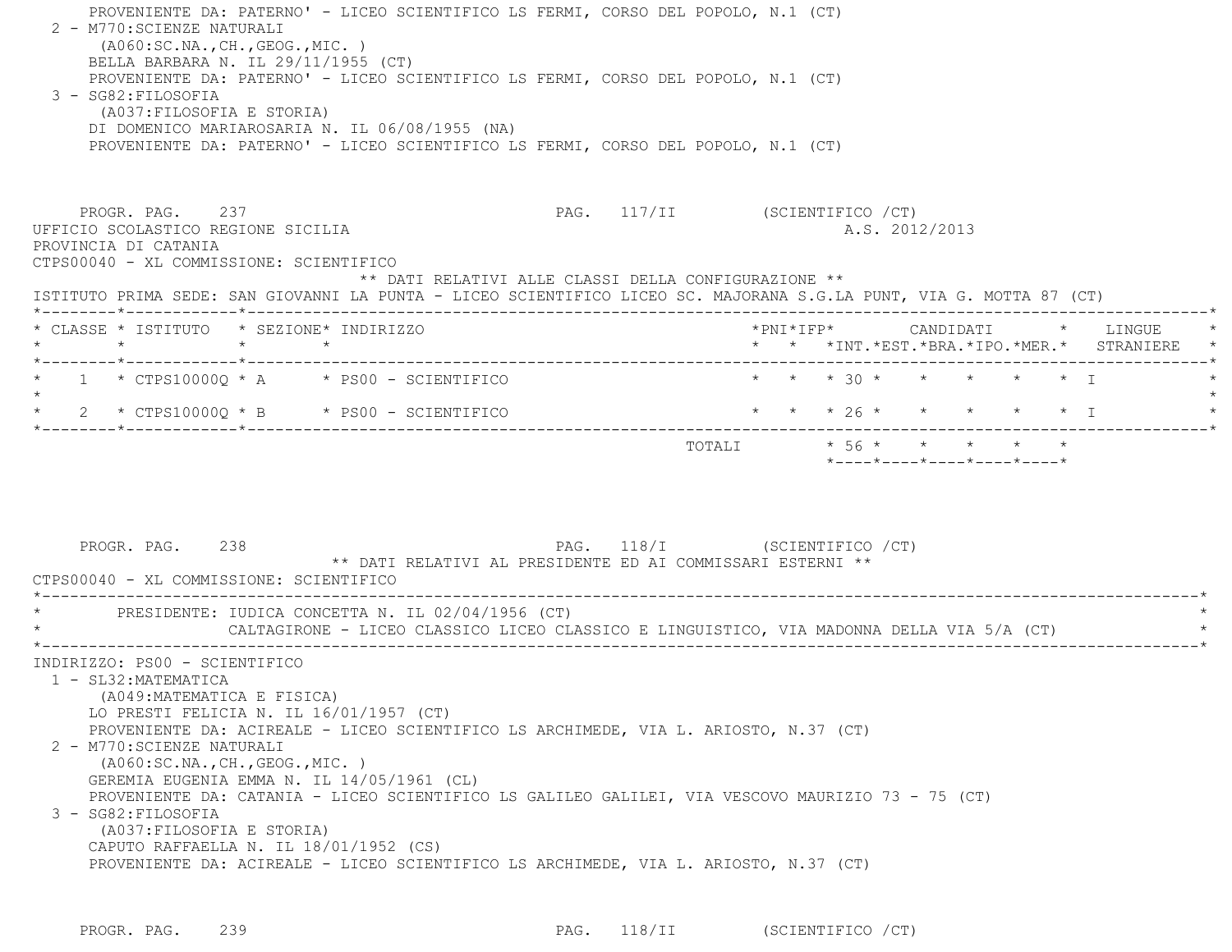| ( A060:SC.NA., CH., GEOG., MIC. )<br>BELLA BARBARA N. IL 29/11/1955 (CT)<br>PROVENIENTE DA: PATERNO' - LICEO SCIENTIFICO LS FERMI, CORSO DEL POPOLO, N.1 (CT)<br>3 - SG82: FILOSOFIA<br>(A037: FILOSOFIA E STORIA)<br>DI DOMENICO MARIAROSARIA N. IL 06/08/1955 (NA)<br>PROVENIENTE DA: PATERNO' - LICEO SCIENTIFICO LS FERMI, CORSO DEL POPOLO, N.1 (CT) | PROVENIENTE DA: PATERNO' - LICEO SCIENTIFICO LS FERMI, CORSO DEL POPOLO, N.1 (CT) |                                                  |  |  |                |                            |  |                                            |
|-----------------------------------------------------------------------------------------------------------------------------------------------------------------------------------------------------------------------------------------------------------------------------------------------------------------------------------------------------------|-----------------------------------------------------------------------------------|--------------------------------------------------|--|--|----------------|----------------------------|--|--------------------------------------------|
| PROGR. PAG. 237<br>UFFICIO SCOLASTICO REGIONE SICILIA<br>PROVINCIA DI CATANIA<br>CTPS00040 - XL COMMISSIONE: SCIENTIFICO<br>** DATI RELATIVI ALLE CLASSI DELLA CONFIGURAZIONE **<br>ISTITUTO PRIMA SEDE: SAN GIOVANNI LA PUNTA - LICEO SCIENTIFICO LICEO SC. MAJORANA S.G.LA PUNT, VIA G. MOTTA 87 (CT)                                                   | PAG. 117/II (SCIENTIFICO / CT)                                                    |                                                  |  |  | A.S. 2012/2013 |                            |  |                                            |
| * CLASSE * ISTITUTO * SEZIONE* INDIRIZZO                                                                                                                                                                                                                                                                                                                  |                                                                                   |                                                  |  |  |                |                            |  | * * *INT.*EST.*BRA.*IPO.*MER.* STRANIERE * |
| $\star$ 1 $\star$ CTPS10000Q $\star$ A $\star$ PS00 - SCIENTIFICO<br>$\star$<br>* $2$ * CTPS10000Q * B * PS00 - SCIENTIFICO                                                                                                                                                                                                                               |                                                                                   | * * * 30 * * * * * * I<br>* * * 26 * * * * * * I |  |  |                |                            |  |                                            |
|                                                                                                                                                                                                                                                                                                                                                           |                                                                                   | TOTALI * 56 * * * * * *                          |  |  |                | *----*----*----*----*----* |  |                                            |
| PAG. 118/I (SCIENTIFICO / CT)<br>PROGR. PAG. 238<br>** DATI RELATIVI AL PRESIDENTE ED AI COMMISSARI ESTERNI **<br>CTPS00040 - XL COMMISSIONE: SCIENTIFICO                                                                                                                                                                                                 |                                                                                   |                                                  |  |  |                |                            |  |                                            |

PROGR. PAG. 239 239 PAG. 118/II (SCIENTIFICO / CT)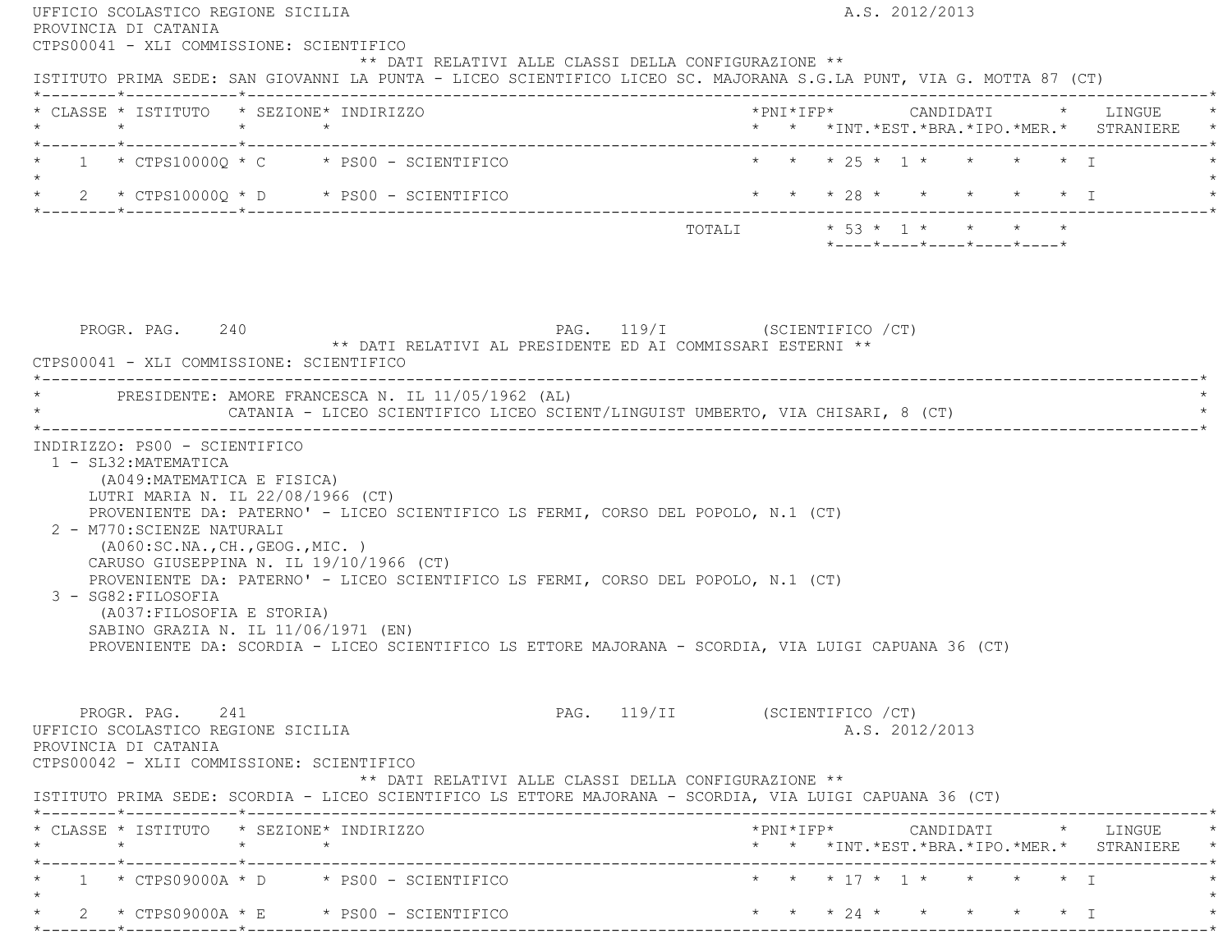| CTPS00041 - XLI COMMISSIONE: SCIENTIFICO                                                                                                                                                                                                                                                                                        |                                                  |
|---------------------------------------------------------------------------------------------------------------------------------------------------------------------------------------------------------------------------------------------------------------------------------------------------------------------------------|--------------------------------------------------|
| ** DATI RELATIVI ALLE CLASSI DELLA CONFIGURAZIONE **<br>ISTITUTO PRIMA SEDE: SAN GIOVANNI LA PUNTA - LICEO SCIENTIFICO LICEO SC. MAJORANA S.G.LA PUNT, VIA G. MOTTA 87 (CT)                                                                                                                                                     |                                                  |
| * CLASSE * ISTITUTO * SEZIONE* INDIRIZZO                                                                                                                                                                                                                                                                                        | * * *INT. *EST. *BRA. *IPO. *MER. * STRANIERE *  |
| $\star$ 1 $\star$ CTPS10000Q $\star$ C $\star$ PS00 - SCIENTIFICO<br>$\star$                                                                                                                                                                                                                                                    | * * * 25 * 1 * * * * * T                         |
| $\star$ 2 $\star$ CTPS10000Q $\star$ D $\star$ PS00 - SCIENTIFICO                                                                                                                                                                                                                                                               | * * * 28 * * * * * * I                           |
|                                                                                                                                                                                                                                                                                                                                 | *----*----*----*----*----*                       |
| PAG. 119/I (SCIENTIFICO / CT)<br>PROGR. PAG. 240<br>** DATI RELATIVI AL PRESIDENTE ED AI COMMISSARI ESTERNI **<br>CTPS00041 - XLI COMMISSIONE: SCIENTIFICO                                                                                                                                                                      |                                                  |
| * PRESIDENTE: AMORE FRANCESCA N. IL 11/05/1962 (AL)<br>CATANIA - LICEO SCIENTIFICO LICEO SCIENT/LINGUIST UMBERTO, VIA CHISARI, 8 (CT)                                                                                                                                                                                           |                                                  |
| 1 - SL32: MATEMATICA<br>(A049: MATEMATICA E FISICA)<br>LUTRI MARIA N. IL 22/08/1966 (CT)<br>PROVENIENTE DA: PATERNO' - LICEO SCIENTIFICO LS FERMI, CORSO DEL POPOLO, N.1 (CT)<br>2 - M770: SCIENZE NATURALI<br>(AO60:SC.NA., CH., GEOG., MIC. )                                                                                 |                                                  |
| CARUSO GIUSEPPINA N. IL 19/10/1966 (CT)<br>PROVENIENTE DA: PATERNO' - LICEO SCIENTIFICO LS FERMI, CORSO DEL POPOLO, N.1 (CT)<br>3 - SG82: FILOSOFIA<br>(A037: FILOSOFIA E STORIA)<br>SABINO GRAZIA N. IL 11/06/1971 (EN)<br>PROVENIENTE DA: SCORDIA - LICEO SCIENTIFICO LS ETTORE MAJORANA - SCORDIA, VIA LUIGI CAPUANA 36 (CT) |                                                  |
| PROGR. PAG. 241<br>UFFICIO SCOLASTICO REGIONE SICILIA<br>PROVINCIA DI CATANIA<br>CTPS00042 - XLII COMMISSIONE: SCIENTIFICO<br>** DATI RELATIVI ALLE CLASSI DELLA CONFIGURAZIONE **                                                                                                                                              | PAG. 119/II (SCIENTIFICO / CT)<br>A.S. 2012/2013 |
| ISTITUTO PRIMA SEDE: SCORDIA - LICEO SCIENTIFICO LS ETTORE MAJORANA - SCORDIA, VIA LUIGI CAPUANA 36 (CT)                                                                                                                                                                                                                        |                                                  |
| * CLASSE * ISTITUTO * SEZIONE* INDIRIZZO                                                                                                                                                                                                                                                                                        | * * *INT. *EST. *BRA. *IPO. *MER. * STRANIERE *  |
| 1 * CTPS09000A * D * PS00 - SCIENTIFICO                                                                                                                                                                                                                                                                                         | * * * 17 * 1 * * * * * I                         |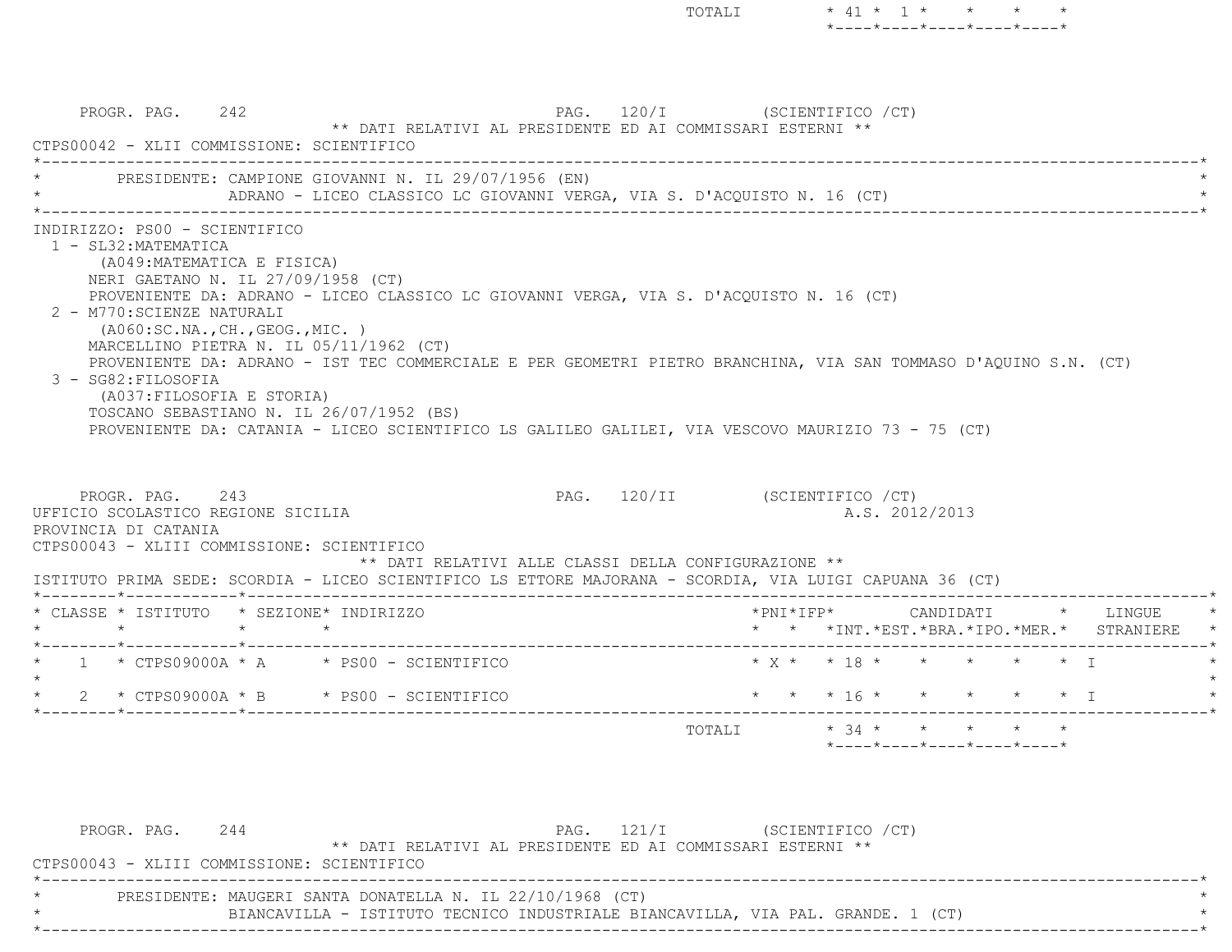TOTALI  $\star$  41  $\star$  1  $\star$   $\star$   $\star$  $*$ ---- $*$ ---- $*$ ---- $*$ ---- $*$ 

PROGR. PAG. 242 2007 PAG. 120/I (SCIENTIFICO / CT) \*\* DATI RELATIVI AL PRESIDENTE ED AI COMMISSARI ESTERNI \*\* CTPS00042 - XLII COMMISSIONE: SCIENTIFICO \*----------------------------------------------------------------------------------------------------------------------------\*PRESIDENTE: CAMPIONE GIOVANNI N. IL 29/07/1956 (EN) ADRANO - LICEO CLASSICO LC GIOVANNI VERGA, VIA S. D'ACQUISTO N. 16 (CT) \*----------------------------------------------------------------------------------------------------------------------------\* INDIRIZZO: PS00 - SCIENTIFICO 1 - SL32:MATEMATICA (A049:MATEMATICA E FISICA) NERI GAETANO N. IL 27/09/1958 (CT) PROVENIENTE DA: ADRANO - LICEO CLASSICO LC GIOVANNI VERGA, VIA S. D'ACQUISTO N. 16 (CT) 2 - M770:SCIENZE NATURALI (A060:SC.NA.,CH.,GEOG.,MIC. ) MARCELLINO PIETRA N. IL 05/11/1962 (CT) PROVENIENTE DA: ADRANO - IST TEC COMMERCIALE E PER GEOMETRI PIETRO BRANCHINA, VIA SAN TOMMASO D'AQUINO S.N. (CT) 3 - SG82:FILOSOFIA (A037:FILOSOFIA E STORIA) TOSCANO SEBASTIANO N. IL 26/07/1952 (BS) PROVENIENTE DA: CATANIA - LICEO SCIENTIFICO LS GALILEO GALILEI, VIA VESCOVO MAURIZIO 73 - 75 (CT) PROGR. PAG. 243 2001 2002 PAG. 120/II (SCIENTIFICO /CT) UFFICIO SCOLASTICO REGIONE SICILIA A.S. 2012/2013 PROVINCIA DI CATANIA CTPS00043 - XLIII COMMISSIONE: SCIENTIFICO \*\* DATI RELATIVI ALLE CLASSI DELLA CONFIGURAZIONE \*\* ISTITUTO PRIMA SEDE: SCORDIA - LICEO SCIENTIFICO LS ETTORE MAJORANA - SCORDIA, VIA LUIGI CAPUANA 36 (CT) \*--------\*------------\*-------------------------------------------------------------------------------------------------------\* \* CLASSE \* ISTITUTO \* SEZIONE\* INDIRIZZO \*PNI\*IFP\* CANDIDATI \* LINGUE \* \* \* \* \* \* \* \*INT.\*EST.\*BRA.\*IPO.\*MER.\* STRANIERE \* \*--------\*------------\*-------------------------------------------------------------------------------------------------------\* \* 1 \* CTPS09000A \* A \* PS00 - SCIENTIFICO \* X \* \* 18 \* \* \* \* \* I \* $\star$ 2 \* CTPS09000A \* B \* PS00 - SCIENTIFICO \* \* \* \* 16 \* \* \* \* \* \* \* \* I \*--------\*------------\*-------------------------------------------------------------------------------------------------------\*TOTALI  $\star$  34  $\star$   $\star$   $\star$   $\star$ 

\*----\*----\*----\*----\*----\*

PROGR. PAG. 244 244 PAG. 121/I (SCIENTIFICO / CT) \*\* DATI RELATIVI AL PRESIDENTE ED AI COMMISSARI ESTERNI \*\* CTPS00043 - XLIII COMMISSIONE: SCIENTIFICO \*----------------------------------------------------------------------------------------------------------------------------\*PRESIDENTE: MAUGERI SANTA DONATELLA N. IL 22/10/1968 (CT) BIANCAVILLA - ISTITUTO TECNICO INDUSTRIALE BIANCAVILLA, VIA PAL. GRANDE. 1 (CT) \*----------------------------------------------------------------------------------------------------------------------------\*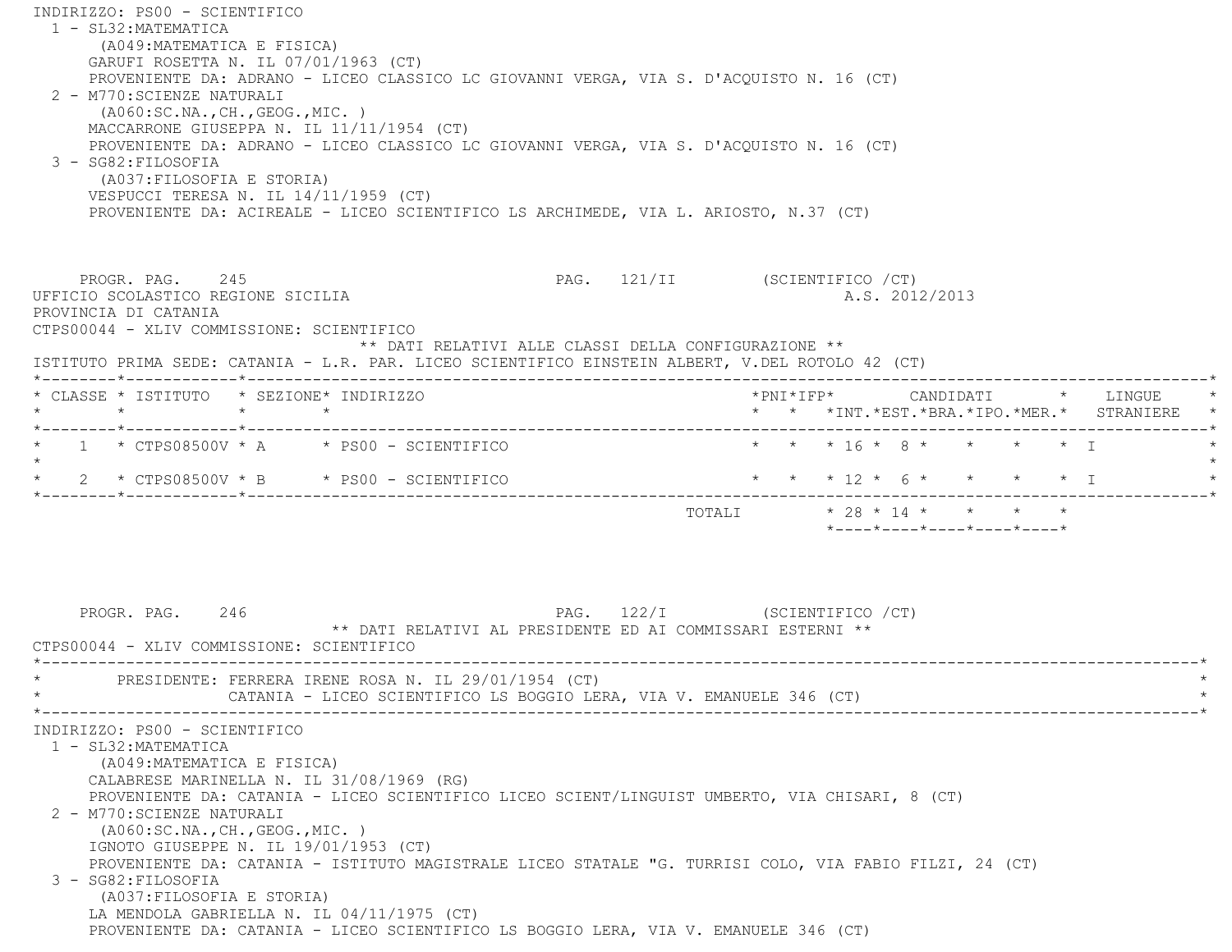INDIRIZZO: PS00 - SCIENTIFICO 1 - SL32:MATEMATICA (A049:MATEMATICA E FISICA) GARUFI ROSETTA N. IL 07/01/1963 (CT) PROVENIENTE DA: ADRANO - LICEO CLASSICO LC GIOVANNI VERGA, VIA S. D'ACQUISTO N. 16 (CT) 2 - M770:SCIENZE NATURALI (A060:SC.NA.,CH.,GEOG.,MIC. ) MACCARRONE GIUSEPPA N. IL 11/11/1954 (CT) PROVENIENTE DA: ADRANO - LICEO CLASSICO LC GIOVANNI VERGA, VIA S. D'ACQUISTO N. 16 (CT) 3 - SG82:FILOSOFIA (A037:FILOSOFIA E STORIA) VESPUCCI TERESA N. IL 14/11/1959 (CT) PROVENIENTE DA: ACIREALE - LICEO SCIENTIFICO LS ARCHIMEDE, VIA L. ARIOSTO, N.37 (CT) PROGR. PAG. 245 2009 PAG. 121/II (SCIENTIFICO / CT) UFFICIO SCOLASTICO REGIONE SICILIA A.S. 2012/2013 PROVINCIA DI CATANIA CTPS00044 - XLIV COMMISSIONE: SCIENTIFICO \*\* DATI RELATIVI ALLE CLASSI DELLA CONFIGURAZIONE \*\* ISTITUTO PRIMA SEDE: CATANIA - L.R. PAR. LICEO SCIENTIFICO EINSTEIN ALBERT, V.DEL ROTOLO 42 (CT) \*--------\*------------\*-------------------------------------------------------------------------------------------------------\* \* CLASSE \* ISTITUTO \* SEZIONE\* INDIRIZZO \*PNI\*IFP\* CANDIDATI \* LINGUE \* \* \* \* \* \* \* \*INT.\*EST.\*BRA.\*IPO.\*MER.\* STRANIERE \* \*--------\*------------\*-------------------------------------------------------------------------------------------------------\*1 \* CTPS08500V \* A \* PS00 - SCIENTIFICO \* \* \* \* 16 \* 8 \* \* \* \* \* \* I  $\star$ \* 2 \* CTPS08500V \* B \* PS00 - SCIENTIFICO \* \* \* \* 12 \* 6 \* \* \* \* \* I \*--------\*------------\*-------------------------------------------------------------------------------------------------------\*TOTALI \* 28 \* 14 \* \* \* \* \* \*----\*----\*----\*----\*----\*PROGR. PAG. 246 246 PAG. 122/I (SCIENTIFICO / CT) \*\* DATI RELATIVI AL PRESIDENTE ED AI COMMISSARI ESTERNI \*\* CTPS00044 - XLIV COMMISSIONE: SCIENTIFICO \*----------------------------------------------------------------------------------------------------------------------------\*PRESIDENTE: FERRERA IRENE ROSA N. IL 29/01/1954 (CT) CATANIA - LICEO SCIENTIFICO LS BOGGIO LERA, VIA V. EMANUELE 346 (CT) \*----------------------------------------------------------------------------------------------------------------------------\* INDIRIZZO: PS00 - SCIENTIFICO 1 - SL32:MATEMATICA (A049:MATEMATICA E FISICA) CALABRESE MARINELLA N. IL 31/08/1969 (RG) PROVENIENTE DA: CATANIA - LICEO SCIENTIFICO LICEO SCIENT/LINGUIST UMBERTO, VIA CHISARI, 8 (CT) 2 - M770:SCIENZE NATURALI (A060:SC.NA.,CH.,GEOG.,MIC. ) IGNOTO GIUSEPPE N. IL 19/01/1953 (CT) PROVENIENTE DA: CATANIA - ISTITUTO MAGISTRALE LICEO STATALE "G. TURRISI COLO, VIA FABIO FILZI, 24 (CT) 3 - SG82:FILOSOFIA (A037:FILOSOFIA E STORIA) LA MENDOLA GABRIELLA N. IL 04/11/1975 (CT) PROVENIENTE DA: CATANIA - LICEO SCIENTIFICO LS BOGGIO LERA, VIA V. EMANUELE 346 (CT)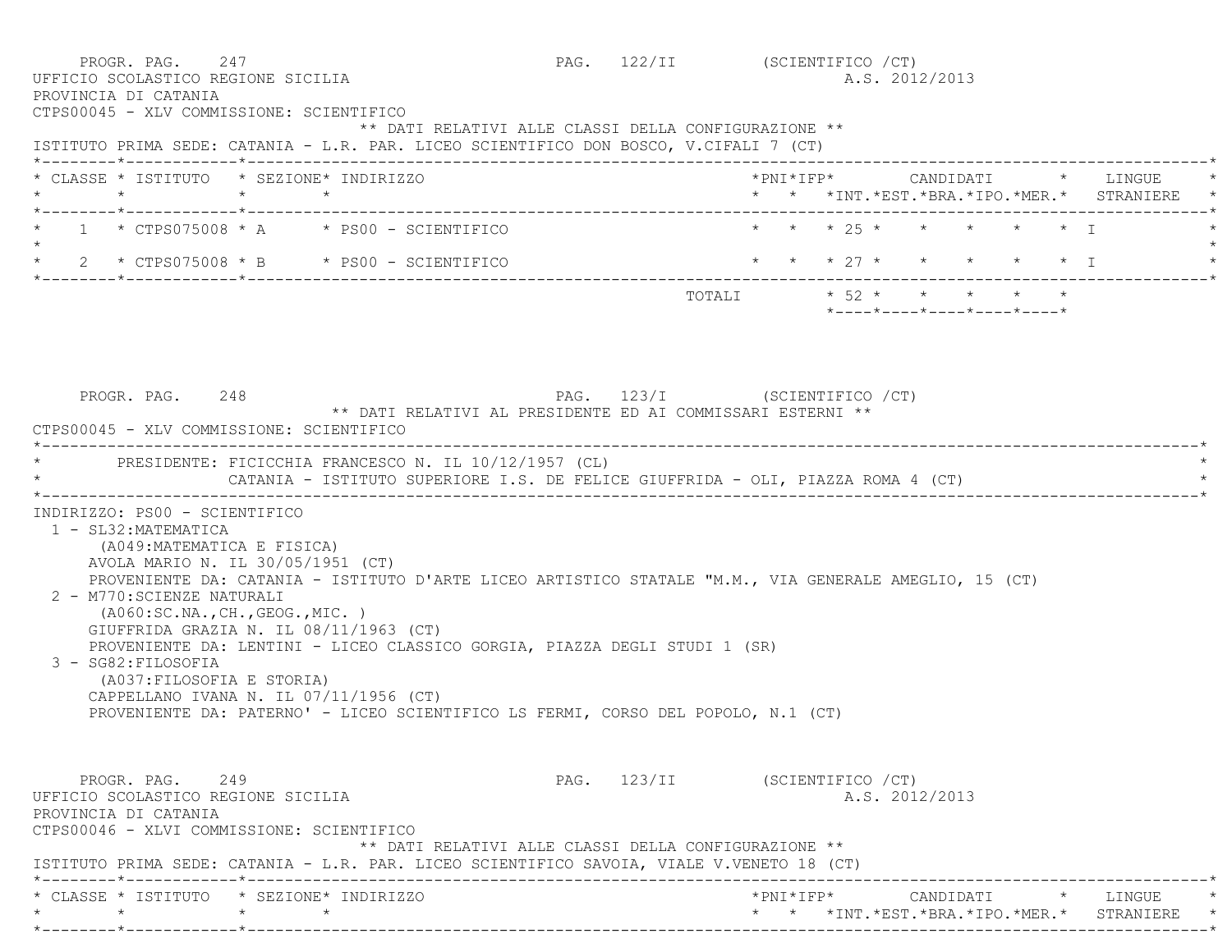PROGR. PAG. 247 PAG. 122/II (SCIENTIFICO /CT) UFFICIO SCOLASTICO REGIONE SICILIA A.S. 2012/2013 PROVINCIA DI CATANIA CTPS00045 - XLV COMMISSIONE: SCIENTIFICO \*\* DATI RELATIVI ALLE CLASSI DELLA CONFIGURAZIONE \*\* ISTITUTO PRIMA SEDE: CATANIA - L.R. PAR. LICEO SCIENTIFICO DON BOSCO, V.CIFALI 7 (CT) \*--------\*------------\*-------------------------------------------------------------------------------------------------------\* \* CLASSE \* ISTITUTO \* SEZIONE\* INDIRIZZO \*PNI\*IFP\* CANDIDATI \* LINGUE \* \* \* \* \* \* \* \*INT.\*EST.\*BRA.\*IPO.\*MER.\* STRANIERE \* \*--------\*------------\*-------------------------------------------------------------------------------------------------------\*1 \* CTPS075008 \* A \* PS00 - SCIENTIFICO \* \* \* \* \* 25 \* \* \* \* \* \* \* \* I  $\star$  \* 2 \* CTPS075008 \* B \* PS00 - SCIENTIFICO \* \* \* 27 \* \* \* \* \* I \* \*--------\*------------\*-------------------------------------------------------------------------------------------------------\* $\texttt{TOTAL} \qquad \qquad \star \quad 52 \qquad \star \qquad \star \qquad \star \qquad \star \qquad \star \qquad \star$  \*----\*----\*----\*----\*----\* PROGR. PAG. 248 PAG. 123/I (SCIENTIFICO /CT) \*\* DATI RELATIVI AL PRESIDENTE ED AI COMMISSARI ESTERNI \*\* CTPS00045 - XLV COMMISSIONE: SCIENTIFICO \*----------------------------------------------------------------------------------------------------------------------------\* \* PRESIDENTE: FICICCHIA FRANCESCO N. IL 10/12/1957 (CL) \* CATANIA - ISTITUTO SUPERIORE I.S. DE FELICE GIUFFRIDA - OLI, PIAZZA ROMA 4 (CT) \*----------------------------------------------------------------------------------------------------------------------------\* INDIRIZZO: PS00 - SCIENTIFICO 1 - SL32:MATEMATICA (A049:MATEMATICA E FISICA) AVOLA MARIO N. IL 30/05/1951 (CT) PROVENIENTE DA: CATANIA - ISTITUTO D'ARTE LICEO ARTISTICO STATALE "M.M., VIA GENERALE AMEGLIO, 15 (CT) 2 - M770:SCIENZE NATURALI (A060:SC.NA.,CH.,GEOG.,MIC. ) GIUFFRIDA GRAZIA N. IL 08/11/1963 (CT) PROVENIENTE DA: LENTINI - LICEO CLASSICO GORGIA, PIAZZA DEGLI STUDI 1 (SR) 3 - SG82:FILOSOFIA (A037:FILOSOFIA E STORIA) CAPPELLANO IVANA N. IL 07/11/1956 (CT) PROVENIENTE DA: PATERNO' - LICEO SCIENTIFICO LS FERMI, CORSO DEL POPOLO, N.1 (CT) PROGR. PAG. 249 2008 PAG. 123/II (SCIENTIFICO / CT) UFFICIO SCOLASTICO REGIONE SICILIA A.S. 2012/2013 PROVINCIA DI CATANIA CTPS00046 - XLVI COMMISSIONE: SCIENTIFICO \*\* DATI RELATIVI ALLE CLASSI DELLA CONFIGURAZIONE \*\* ISTITUTO PRIMA SEDE: CATANIA - L.R. PAR. LICEO SCIENTIFICO SAVOIA, VIALE V.VENETO 18 (CT) \*--------\*------------\*-------------------------------------------------------------------------------------------------------\* \* CLASSE \* ISTITUTO \* SEZIONE\* INDIRIZZO \*PNI\*IFP\* CANDIDATI \* LINGUE \*\* \* \* \* \* \* \*INT.\*EST.\*BRA.\*IPO.\*MER.\* STRANIERE \*

\*--------\*------------\*-------------------------------------------------------------------------------------------------------\*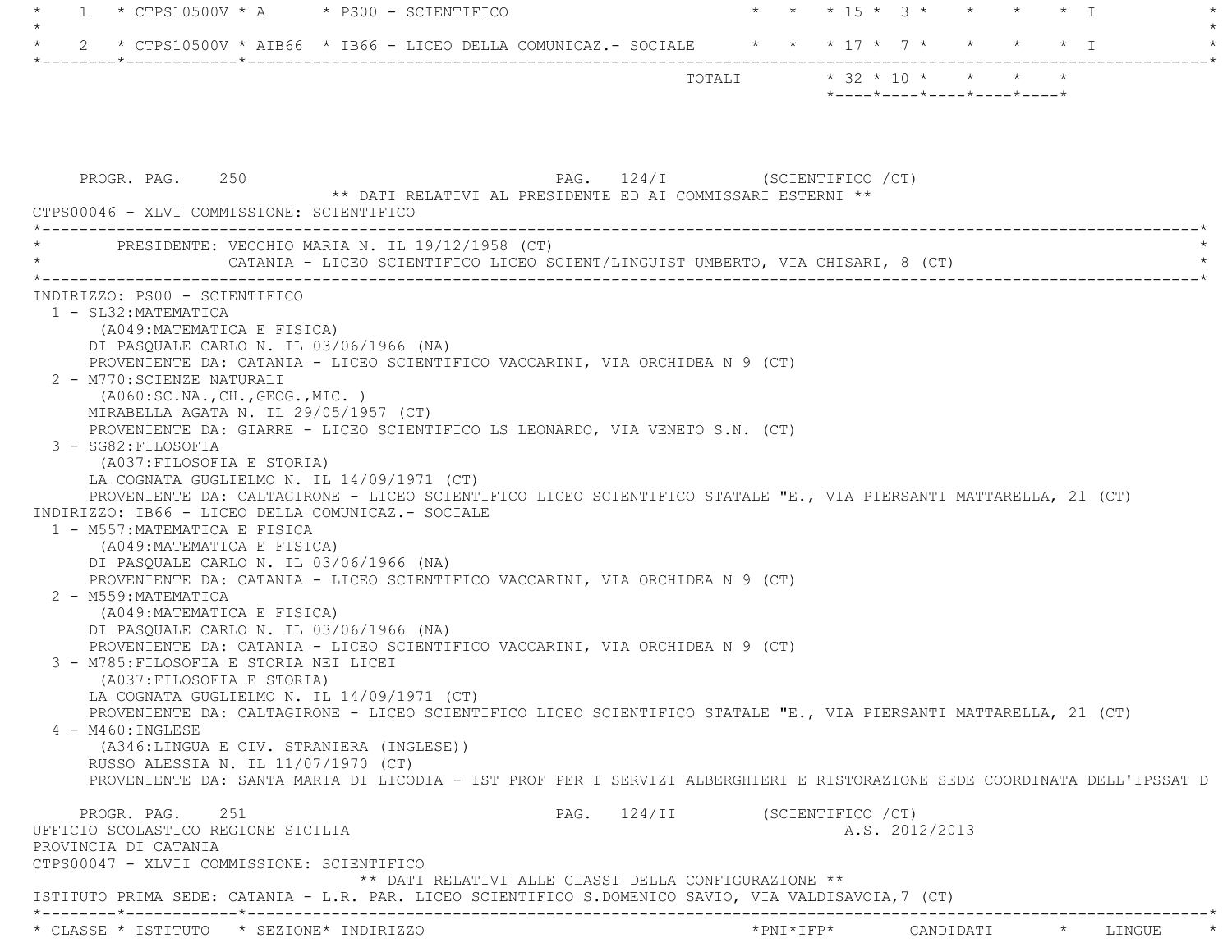| $*$ CTPS10500V $*$ A $*$ PS00 - SCIENTIFICO<br>1                                                                                                                                                                                                                                                                                                                                                                                                                                                                                                                                                                                                                                                                                                                                                                                                                                                                                                                                                                                                                                                                                                                                                                                                                                                                                                                                                                                                                                                                                        |                                |           | * * * 15 * 3 * * * * * I   |  |
|-----------------------------------------------------------------------------------------------------------------------------------------------------------------------------------------------------------------------------------------------------------------------------------------------------------------------------------------------------------------------------------------------------------------------------------------------------------------------------------------------------------------------------------------------------------------------------------------------------------------------------------------------------------------------------------------------------------------------------------------------------------------------------------------------------------------------------------------------------------------------------------------------------------------------------------------------------------------------------------------------------------------------------------------------------------------------------------------------------------------------------------------------------------------------------------------------------------------------------------------------------------------------------------------------------------------------------------------------------------------------------------------------------------------------------------------------------------------------------------------------------------------------------------------|--------------------------------|-----------|----------------------------|--|
| 2 * CTPS10500V * AIB66 * IB66 - LICEO DELLA COMUNICAZ.- SOCIALE * * * 17 * 7 * * * * * * I                                                                                                                                                                                                                                                                                                                                                                                                                                                                                                                                                                                                                                                                                                                                                                                                                                                                                                                                                                                                                                                                                                                                                                                                                                                                                                                                                                                                                                              |                                |           |                            |  |
|                                                                                                                                                                                                                                                                                                                                                                                                                                                                                                                                                                                                                                                                                                                                                                                                                                                                                                                                                                                                                                                                                                                                                                                                                                                                                                                                                                                                                                                                                                                                         | TOTALI * 32 * 10 * * * * *     |           | *----*----*----*----*----* |  |
| PAG. 124/I (SCIENTIFICO / CT)<br>PROGR. PAG. 250<br>** DATI RELATIVI AL PRESIDENTE ED AI COMMISSARI ESTERNI **                                                                                                                                                                                                                                                                                                                                                                                                                                                                                                                                                                                                                                                                                                                                                                                                                                                                                                                                                                                                                                                                                                                                                                                                                                                                                                                                                                                                                          |                                |           |                            |  |
| CTPS00046 - XLVI COMMISSIONE: SCIENTIFICO                                                                                                                                                                                                                                                                                                                                                                                                                                                                                                                                                                                                                                                                                                                                                                                                                                                                                                                                                                                                                                                                                                                                                                                                                                                                                                                                                                                                                                                                                               |                                |           |                            |  |
| PRESIDENTE: VECCHIO MARIA N. IL 19/12/1958 (CT)<br>CATANIA - LICEO SCIENTIFICO LICEO SCIENT/LINGUIST UMBERTO, VIA CHISARI, 8 (CT)                                                                                                                                                                                                                                                                                                                                                                                                                                                                                                                                                                                                                                                                                                                                                                                                                                                                                                                                                                                                                                                                                                                                                                                                                                                                                                                                                                                                       |                                |           |                            |  |
| 1 - SL32: MATEMATICA<br>(A049: MATEMATICA E FISICA)<br>DI PASQUALE CARLO N. IL 03/06/1966 (NA)<br>PROVENIENTE DA: CATANIA - LICEO SCIENTIFICO VACCARINI, VIA ORCHIDEA N 9 (CT)<br>2 - M770: SCIENZE NATURALI<br>( A060:SC.NA., CH., GEOG., MIC. )<br>MIRABELLA AGATA N. IL 29/05/1957 (CT)<br>PROVENIENTE DA: GIARRE - LICEO SCIENTIFICO LS LEONARDO, VIA VENETO S.N. (CT)<br>3 - SG82: FILOSOFIA<br>(A037: FILOSOFIA E STORIA)<br>LA COGNATA GUGLIELMO N. IL 14/09/1971 (CT)<br>PROVENIENTE DA: CALTAGIRONE - LICEO SCIENTIFICO LICEO SCIENTIFICO STATALE "E., VIA PIERSANTI MATTARELLA, 21 (CT)<br>INDIRIZZO: IB66 - LICEO DELLA COMUNICAZ.- SOCIALE<br>1 - M557: MATEMATICA E FISICA<br>(A049: MATEMATICA E FISICA)<br>DI PASQUALE CARLO N. IL 03/06/1966 (NA)<br>PROVENIENTE DA: CATANIA - LICEO SCIENTIFICO VACCARINI, VIA ORCHIDEA N 9 (CT)<br>2 - M559: MATEMATICA<br>(A049: MATEMATICA E FISICA)<br>DI PASQUALE CARLO N. IL 03/06/1966 (NA)<br>PROVENIENTE DA: CATANIA - LICEO SCIENTIFICO VACCARINI, VIA ORCHIDEA N 9 (CT)<br>3 - M785: FILOSOFIA E STORIA NEI LICEI<br>(A037: FILOSOFIA E STORIA)<br>LA COGNATA GUGLIELMO N. IL 14/09/1971 (CT)<br>PROVENIENTE DA: CALTAGIRONE - LICEO SCIENTIFICO LICEO SCIENTIFICO STATALE "E., VIA PIERSANTI MATTARELLA, 21 (CT)<br>4 - M460: INGLESE<br>(A346:LINGUA E CIV. STRANIERA (INGLESE))<br>RUSSO ALESSIA N. IL 11/07/1970 (CT)<br>PROVENIENTE DA: SANTA MARIA DI LICODIA - IST PROF PER I SERVIZI ALBERGHIERI E RISTORAZIONE SEDE COORDINATA DELL'IPSSAT D<br>251<br>PROGR. PAG. | PAG. 124/II (SCIENTIFICO / CT) |           |                            |  |
| UFFICIO SCOLASTICO REGIONE SICILIA<br>PROVINCIA DI CATANIA<br>CTPS00047 - XLVII COMMISSIONE: SCIENTIFICO                                                                                                                                                                                                                                                                                                                                                                                                                                                                                                                                                                                                                                                                                                                                                                                                                                                                                                                                                                                                                                                                                                                                                                                                                                                                                                                                                                                                                                |                                |           | A.S. 2012/2013             |  |
| ** DATI RELATIVI ALLE CLASSI DELLA CONFIGURAZIONE **<br>ISTITUTO PRIMA SEDE: CATANIA - L.R. PAR. LICEO SCIENTIFICO S.DOMENICO SAVIO, VIA VALDISAVOIA,7 (CT)                                                                                                                                                                                                                                                                                                                                                                                                                                                                                                                                                                                                                                                                                                                                                                                                                                                                                                                                                                                                                                                                                                                                                                                                                                                                                                                                                                             |                                |           |                            |  |
| * CLASSE * ISTITUTO * SEZIONE* INDIRIZZO                                                                                                                                                                                                                                                                                                                                                                                                                                                                                                                                                                                                                                                                                                                                                                                                                                                                                                                                                                                                                                                                                                                                                                                                                                                                                                                                                                                                                                                                                                |                                | *PNI*IFP* | CANDIDATI * LINGUE         |  |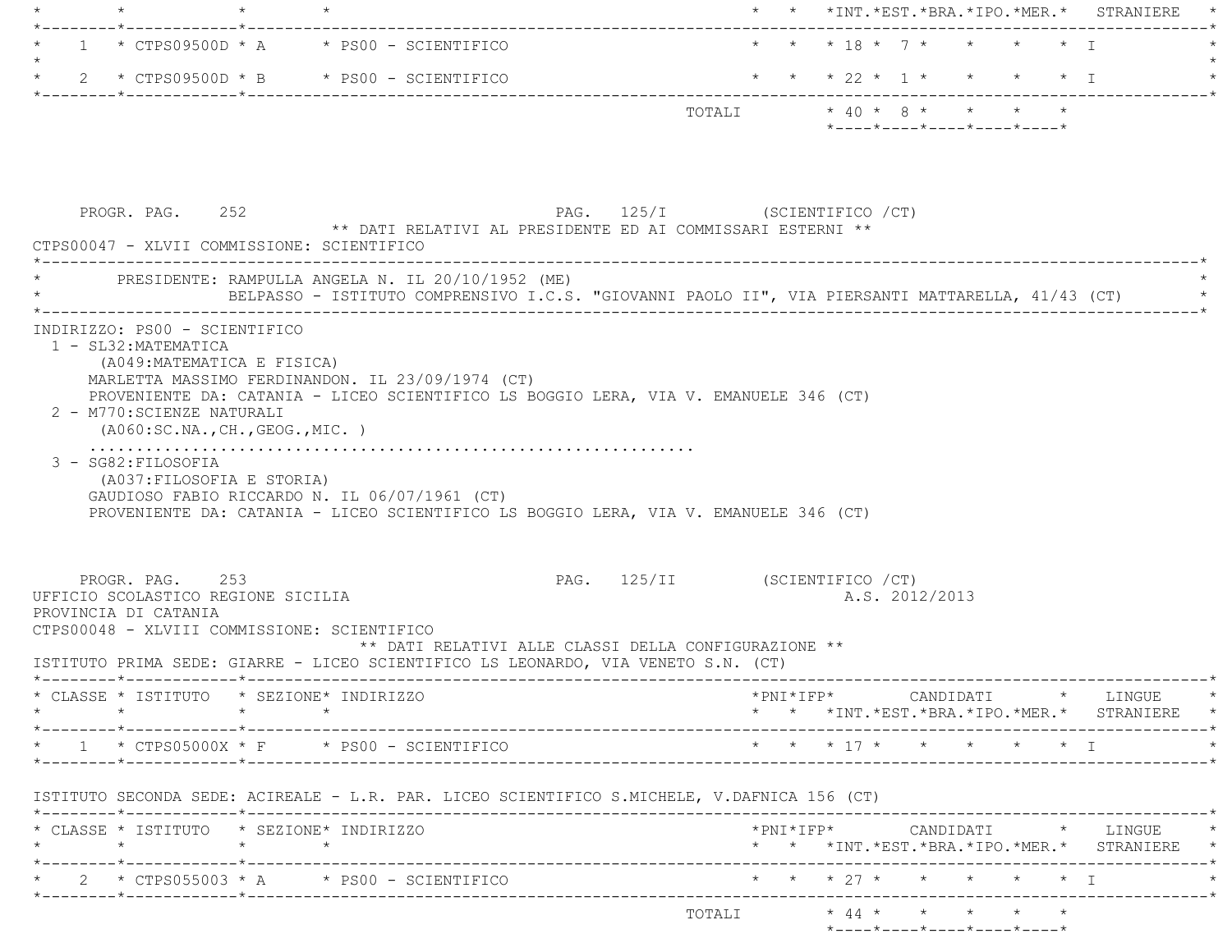|         |                                                                                        |                                                                                                                                                                                                                          |                                                      |                                |           |  |                |                                                  |  | * * *INT.*EST.*BRA.*IPO.*MER.* STRANIERE *                                                                                                                                                          |
|---------|----------------------------------------------------------------------------------------|--------------------------------------------------------------------------------------------------------------------------------------------------------------------------------------------------------------------------|------------------------------------------------------|--------------------------------|-----------|--|----------------|--------------------------------------------------|--|-----------------------------------------------------------------------------------------------------------------------------------------------------------------------------------------------------|
|         |                                                                                        | $1 \times CTPS09500D \times A \times PS00 - SCIENTIFICO$                                                                                                                                                                 |                                                      |                                |           |  |                | * * * 18 * 7 * * * * * T                         |  |                                                                                                                                                                                                     |
|         |                                                                                        | 2 * CTPS09500D * B * PS00 - SCIENTIFICO                                                                                                                                                                                  |                                                      |                                |           |  |                | * * * 22 * 1 * * * * * I                         |  |                                                                                                                                                                                                     |
|         |                                                                                        |                                                                                                                                                                                                                          |                                                      |                                |           |  |                | $*$ ---- $*$ ---- $*$ ---- $*$ ---- $*$ ---- $*$ |  |                                                                                                                                                                                                     |
|         | PROGR. PAG. 252<br>CTPS00047 - XLVII COMMISSIONE: SCIENTIFICO                          | ** DATI RELATIVI AL PRESIDENTE ED AI COMMISSARI ESTERNI **                                                                                                                                                               | PAG. 125/I (SCIENTIFICO / CT)                        |                                |           |  |                |                                                  |  |                                                                                                                                                                                                     |
|         |                                                                                        | PRESIDENTE: RAMPULLA ANGELA N. IL 20/10/1952 (ME)<br>BELPASSO - ISTITUTO COMPRENSIVO I.C.S. "GIOVANNI PAOLO II", VIA PIERSANTI MATTARELLA, 41/43 (CT)                                                                    |                                                      |                                |           |  |                |                                                  |  |                                                                                                                                                                                                     |
|         | 2 - M770: SCIENZE NATURALI<br>( A060:SC.NA., CH., GEOG., MIC. )<br>3 - SG82: FILOSOFIA | MARLETTA MASSIMO FERDINANDON. IL 23/09/1974 (CT)<br>PROVENIENTE DA: CATANIA - LICEO SCIENTIFICO LS BOGGIO LERA, VIA V. EMANUELE 346 (CT)                                                                                 |                                                      |                                |           |  |                |                                                  |  |                                                                                                                                                                                                     |
|         | (A037: FILOSOFIA E STORIA)                                                             | GAUDIOSO FABIO RICCARDO N. IL 06/07/1961 (CT)                                                                                                                                                                            |                                                      |                                |           |  |                |                                                  |  |                                                                                                                                                                                                     |
|         | PROGR. PAG. 253<br>UFFICIO SCOLASTICO REGIONE SICILIA<br>PROVINCIA DI CATANIA          | PROVENIENTE DA: CATANIA - LICEO SCIENTIFICO LS BOGGIO LERA, VIA V. EMANUELE 346 (CT)<br>CTPS00048 - XLVIII COMMISSIONE: SCIENTIFICO<br>ISTITUTO PRIMA SEDE: GIARRE - LICEO SCIENTIFICO LS LEONARDO, VIA VENETO S.N. (CT) | ** DATI RELATIVI ALLE CLASSI DELLA CONFIGURAZIONE ** | PAG. 125/II (SCIENTIFICO / CT) |           |  | A.S. 2012/2013 |                                                  |  |                                                                                                                                                                                                     |
|         |                                                                                        | * CLASSE * ISTITUTO * SEZIONE* INDIRIZZO                                                                                                                                                                                 |                                                      |                                | *PNI*IFP* |  |                | CANDIDATI                                        |  |                                                                                                                                                                                                     |
|         |                                                                                        | $*$ 1 $*$ CTPS05000X $*$ F $*$ PS00 - SCIENTIFICO                                                                                                                                                                        |                                                      |                                |           |  |                |                                                  |  |                                                                                                                                                                                                     |
|         |                                                                                        | ISTITUTO SECONDA SEDE: ACIREALE - L.R. PAR. LICEO SCIENTIFICO S.MICHELE, V.DAFNICA 156 (CT)                                                                                                                              |                                                      |                                |           |  |                |                                                  |  |                                                                                                                                                                                                     |
| $\star$ | * CLASSE * ISTITUTO * SEZIONE* INDIRIZZO                                               |                                                                                                                                                                                                                          |                                                      |                                |           |  |                |                                                  |  |                                                                                                                                                                                                     |
|         |                                                                                        | $2 * CTPS055003 * A * PS00 - SCIENTIFICO$                                                                                                                                                                                |                                                      |                                |           |  |                | * * * 27 * * * * * * I                           |  |                                                                                                                                                                                                     |
|         |                                                                                        |                                                                                                                                                                                                                          |                                                      |                                |           |  |                | *----*----*----*----*----*                       |  | * LINGUE<br>* * *INT.*EST.*BRA.*IPO.*MER.* STRANIERE *<br>* * * 17 * * * * * * I * *<br>$\verb+'PNI*IFP*~~\verb+'ANDIDATI~~*~~\verb+'INGUE~~*~~$<br>* * *INT. *EST. *BRA. *IPO. *MER. * STRANIERE * |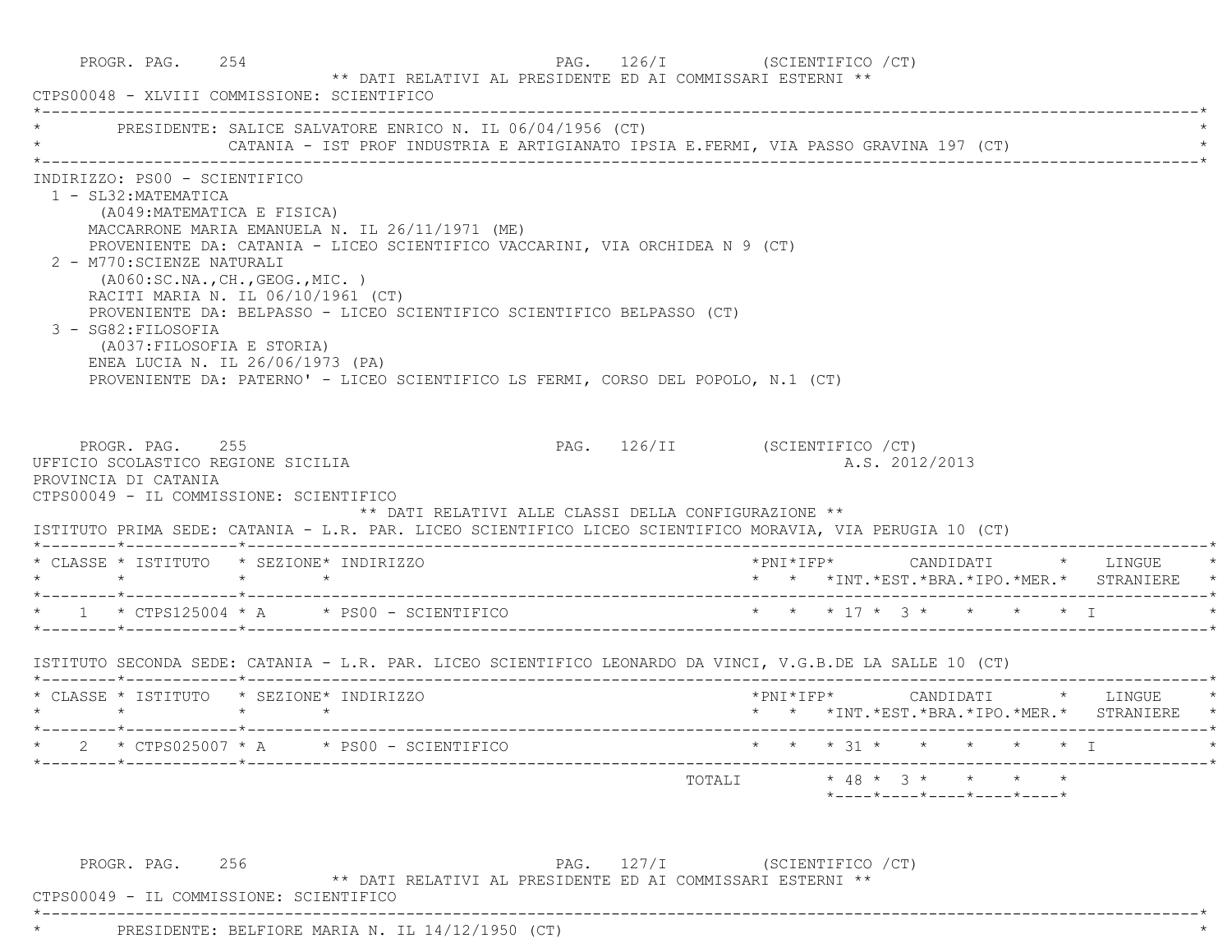|                      |                                                                                                                                                                                                                                                                                        | PRESIDENTE: SALICE SALVATORE ENRICO N. IL 06/04/1956 (CT)<br>CATANIA - IST PROF INDUSTRIA E ARTIGIANATO IPSIA E.FERMI, VIA PASSO GRAVINA 197 (CT)                                                                                                                                              |                                                      |                                |  |                |  |                                                                                         |
|----------------------|----------------------------------------------------------------------------------------------------------------------------------------------------------------------------------------------------------------------------------------------------------------------------------------|------------------------------------------------------------------------------------------------------------------------------------------------------------------------------------------------------------------------------------------------------------------------------------------------|------------------------------------------------------|--------------------------------|--|----------------|--|-----------------------------------------------------------------------------------------|
|                      | INDIRIZZO: PS00 - SCIENTIFICO<br>1 - SL32: MATEMATICA<br>(A049: MATEMATICA E FISICA)<br>2 - M770: SCIENZE NATURALI<br>( A060:SC.NA., CH., GEOG., MIC. )<br>RACITI MARIA N. IL 06/10/1961 (CT)<br>3 - SG82: FILOSOFIA<br>(A037: FILOSOFIA E STORIA)<br>ENEA LUCIA N. IL 26/06/1973 (PA) | MACCARRONE MARIA EMANUELA N. IL 26/11/1971 (ME)<br>PROVENIENTE DA: CATANIA - LICEO SCIENTIFICO VACCARINI, VIA ORCHIDEA N 9 (CT)<br>PROVENIENTE DA: BELPASSO - LICEO SCIENTIFICO SCIENTIFICO BELPASSO (CT)<br>PROVENIENTE DA: PATERNO' - LICEO SCIENTIFICO LS FERMI, CORSO DEL POPOLO, N.1 (CT) |                                                      |                                |  |                |  |                                                                                         |
| PROVINCIA DI CATANIA | PROGR. PAG. 255<br>UFFICIO SCOLASTICO REGIONE SICILIA<br>CTPS00049 - IL COMMISSIONE: SCIENTIFICO                                                                                                                                                                                       |                                                                                                                                                                                                                                                                                                | ** DATI RELATIVI ALLE CLASSI DELLA CONFIGURAZIONE ** | PAG. 126/II (SCIENTIFICO / CT) |  | A.S. 2012/2013 |  |                                                                                         |
|                      |                                                                                                                                                                                                                                                                                        | ISTITUTO PRIMA SEDE: CATANIA - L.R. PAR. LICEO SCIENTIFICO LICEO SCIENTIFICO MORAVIA, VIA PERUGIA 10 (CT)<br>* CLASSE * ISTITUTO * SEZIONE* INDIRIZZO                                                                                                                                          |                                                      |                                |  |                |  | *PNI*IFP*     CANDIDATI    *   LINGUE   *<br>* * *INT.*EST.*BRA.*IPO.*MER.* STRANIERE * |
|                      |                                                                                                                                                                                                                                                                                        | * 1 * CTPS125004 * A * PS00 - SCIENTIFICO * * * * 17 * 3 * * * * * * I                                                                                                                                                                                                                         |                                                      |                                |  |                |  |                                                                                         |
|                      |                                                                                                                                                                                                                                                                                        | ISTITUTO SECONDA SEDE: CATANIA - L.R. PAR. LICEO SCIENTIFICO LEONARDO DA VINCI, V.G.B.DE LA SALLE 10 (CT)                                                                                                                                                                                      |                                                      |                                |  |                |  |                                                                                         |
|                      |                                                                                                                                                                                                                                                                                        | * CLASSE * ISTITUTO * SEZIONE* INDIRIZZO                                                                                                                                                                                                                                                       |                                                      |                                |  |                |  | * * *INT.*EST.*BRA.*IPO.*MER.* STRANIERE *                                              |
|                      |                                                                                                                                                                                                                                                                                        | * 2 * CTPS025007 * A * PS00 - SCIENTIFICO * * * * 31 * * * * * * * I                                                                                                                                                                                                                           |                                                      |                                |  |                |  |                                                                                         |

 CTPS00049 - IL COMMISSIONE: SCIENTIFICO \*----------------------------------------------------------------------------------------------------------------------------\*

\* PRESIDENTE: BELFIORE MARIA N. IL 14/12/1950 (CT) \*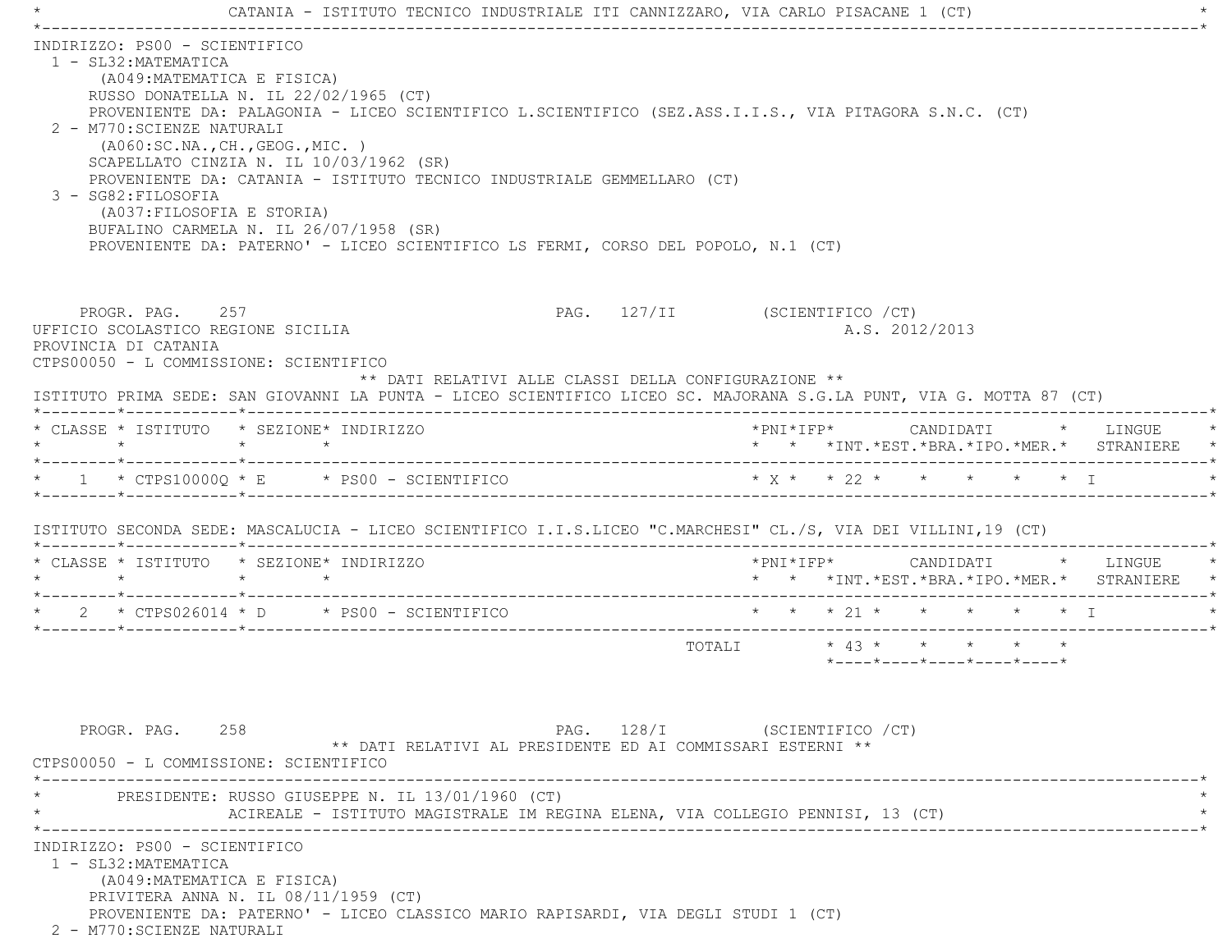| PROVENIENTE DA: PALAGONIA - LICEO SCIENTIFICO L.SCIENTIFICO (SEZ.ASS.I.I.S., VIA PITAGORA S.N.C. (CT)               |
|---------------------------------------------------------------------------------------------------------------------|
| ISTITUTO PRIMA SEDE: SAN GIOVANNI LA PUNTA - LICEO SCIENTIFICO LICEO SC. MAJORANA S.G.LA PUNT, VIA G. MOTTA 87 (CT) |
| * * *INT. *EST. *BRA. *IPO. *MER. * STRANIERE *                                                                     |
| $* x * x * 22 * * * * * * * T$                                                                                      |
| ISTITUTO SECONDA SEDE: MASCALUCIA - LICEO SCIENTIFICO I.I.S.LICEO "C.MARCHESI" CL./S, VIA DEI VILLINI,19 (CT)       |
| *PNI*IFP*     CANDIDATI    *   LINGUE<br>* * *INT.*EST.*BRA.*IPO.*MER.* STRANIERE *                                 |
| * * * 21 * * * * * * T                                                                                              |
| $\star$ 43 $\star$ $\star$ $\star$ $\star$ $\star$<br>$*$ ---- $*$ ---- $*$ ---- $*$ ---- $*$ ---- $*$              |
|                                                                                                                     |
|                                                                                                                     |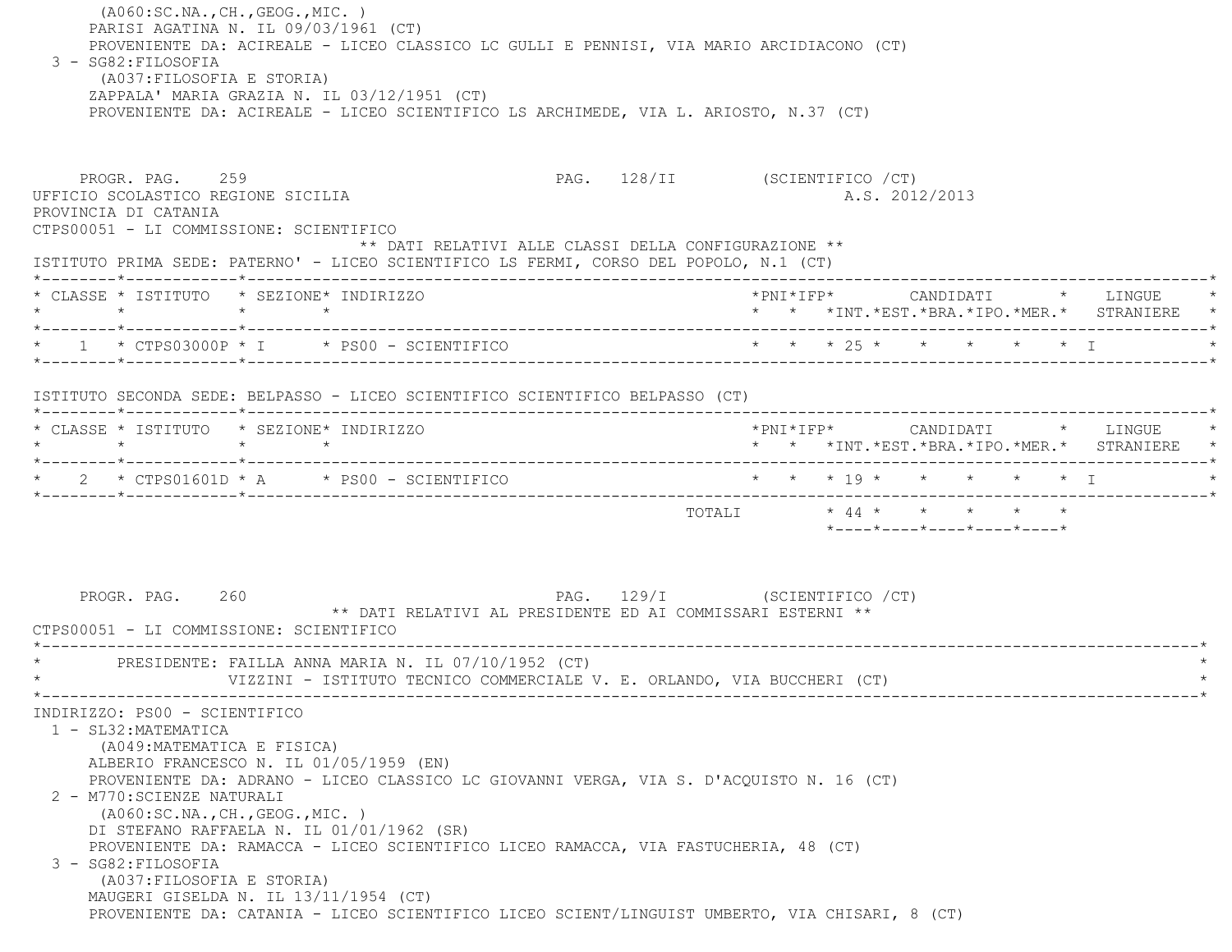(A060:SC.NA.,CH.,GEOG.,MIC. ) PARISI AGATINA N. IL 09/03/1961 (CT) PROVENIENTE DA: ACIREALE - LICEO CLASSICO LC GULLI E PENNISI, VIA MARIO ARCIDIACONO (CT) 3 - SG82:FILOSOFIA (A037:FILOSOFIA E STORIA) ZAPPALA' MARIA GRAZIA N. IL 03/12/1951 (CT) PROVENIENTE DA: ACIREALE - LICEO SCIENTIFICO LS ARCHIMEDE, VIA L. ARIOSTO, N.37 (CT) PROGR. PAG. 259 259 PAG. 128/II (SCIENTIFICO / CT) UFFICIO SCOLASTICO REGIONE SICILIA A.S. 2012/2013 PROVINCIA DI CATANIA CTPS00051 - LI COMMISSIONE: SCIENTIFICO \*\* DATI RELATIVI ALLE CLASSI DELLA CONFIGURAZIONE \*\* ISTITUTO PRIMA SEDE: PATERNO' - LICEO SCIENTIFICO LS FERMI, CORSO DEL POPOLO, N.1 (CT) \*--------\*------------\*-------------------------------------------------------------------------------------------------------\* \* CLASSE \* ISTITUTO \* SEZIONE\* INDIRIZZO \*PNI\*IFP\* CANDIDATI \* LINGUE \* \* \* \* \* \* \* \*INT.\*EST.\*BRA.\*IPO.\*MER.\* STRANIERE \* \*--------\*------------\*-------------------------------------------------------------------------------------------------------\* \* 1 \* CTPS03000P \* I \* PS00 - SCIENTIFICO \* \* \* 25 \* \* \* \* \* I \* \*--------\*------------\*-------------------------------------------------------------------------------------------------------\* ISTITUTO SECONDA SEDE: BELPASSO - LICEO SCIENTIFICO SCIENTIFICO BELPASSO (CT) \*--------\*------------\*-------------------------------------------------------------------------------------------------------\* \* CLASSE \* ISTITUTO \* SEZIONE\* INDIRIZZO \*PNI\*IFP\* CANDIDATI \* LINGUE \* \* \* \* \* \* \* \*INT.\*EST.\*BRA.\*IPO.\*MER.\* STRANIERE \* \*--------\*------------\*-------------------------------------------------------------------------------------------------------\* \* 2 \* CTPS01601D \* A \* PS00 - SCIENTIFICO \* \* \* 19 \* \* \* \* \* I \* \*--------\*------------\*-------------------------------------------------------------------------------------------------------\* TOTALI \* 44 \* \* \* \* \* \*----\*----\*----\*----\*----\*PROGR. PAG. 260 200 200 PAG. 129/I (SCIENTIFICO / CT) \*\* DATI RELATIVI AL PRESIDENTE ED AI COMMISSARI ESTERNI \*\* CTPS00051 - LI COMMISSIONE: SCIENTIFICO \*----------------------------------------------------------------------------------------------------------------------------\*PRESIDENTE: FAILLA ANNA MARIA N. IL 07/10/1952 (CT) VIZZINI - ISTITUTO TECNICO COMMERCIALE V. E. ORLANDO, VIA BUCCHERI (CT) \*----------------------------------------------------------------------------------------------------------------------------\* INDIRIZZO: PS00 - SCIENTIFICO 1 - SL32:MATEMATICA (A049:MATEMATICA E FISICA) ALBERIO FRANCESCO N. IL 01/05/1959 (EN) PROVENIENTE DA: ADRANO - LICEO CLASSICO LC GIOVANNI VERGA, VIA S. D'ACQUISTO N. 16 (CT) 2 - M770:SCIENZE NATURALI (A060:SC.NA.,CH.,GEOG.,MIC. ) DI STEFANO RAFFAELA N. IL 01/01/1962 (SR) PROVENIENTE DA: RAMACCA - LICEO SCIENTIFICO LICEO RAMACCA, VIA FASTUCHERIA, 48 (CT) 3 - SG82:FILOSOFIA (A037:FILOSOFIA E STORIA) MAUGERI GISELDA N. IL 13/11/1954 (CT) PROVENIENTE DA: CATANIA - LICEO SCIENTIFICO LICEO SCIENT/LINGUIST UMBERTO, VIA CHISARI, 8 (CT)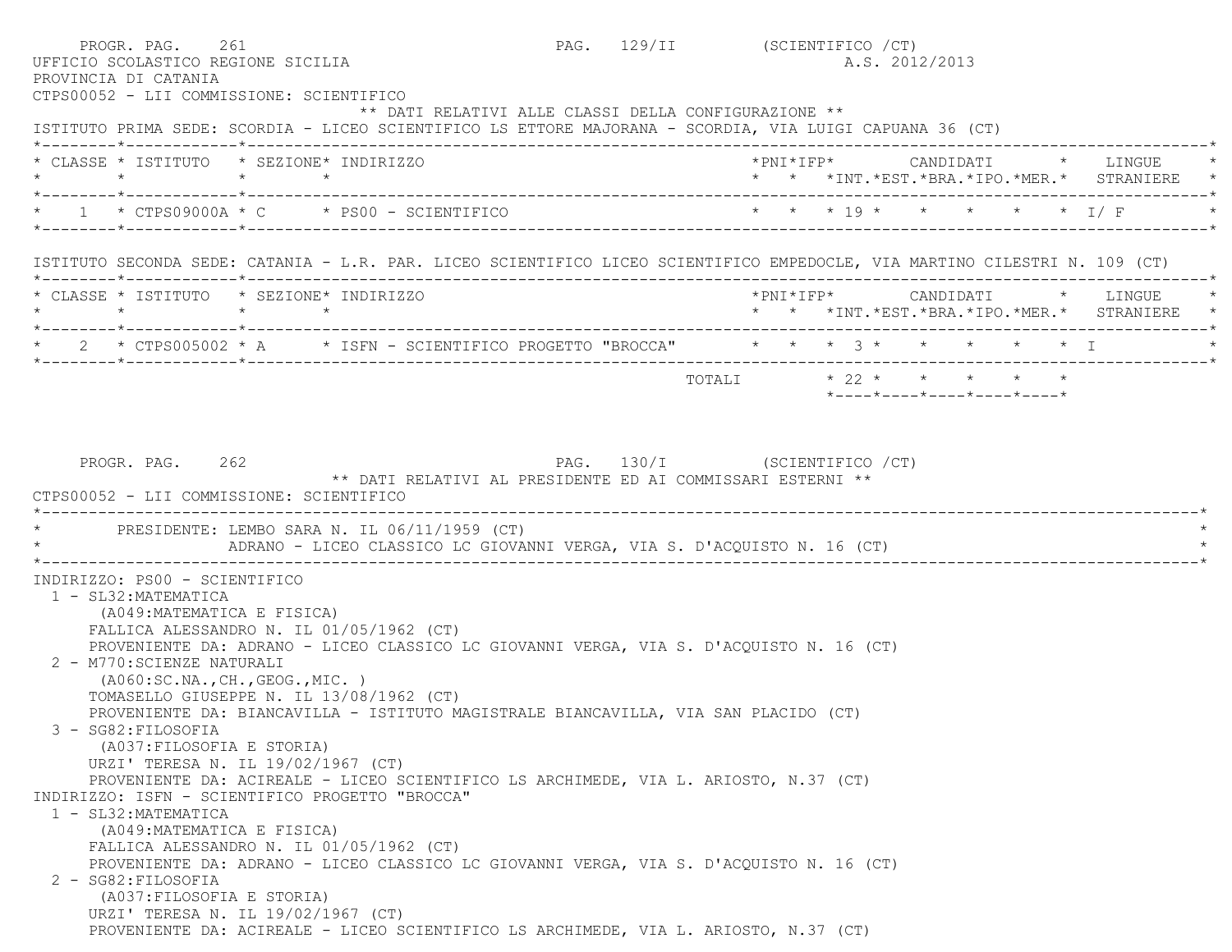| UFFICIO SCOLASTICO REGIONE SICILIA<br>PROVINCIA DI CATANIA<br>CTPS00052 - LII COMMISSIONE: SCIENTIFICO                     | PROGR. PAG. 261 |                 |                                                                                             |  | PAG. 129/II (SCIENTIFICO / CT) |  |  | A.S. 2012/2013          |  |                                                                            |
|----------------------------------------------------------------------------------------------------------------------------|-----------------|-----------------|---------------------------------------------------------------------------------------------|--|--------------------------------|--|--|-------------------------|--|----------------------------------------------------------------------------|
| ISTITUTO PRIMA SEDE: SCORDIA - LICEO SCIENTIFICO LS ETTORE MAJORANA - SCORDIA, VIA LUIGI CAPUANA 36 (CT)                   |                 |                 | ** DATI RELATIVI ALLE CLASSI DELLA CONFIGURAZIONE **                                        |  |                                |  |  |                         |  |                                                                            |
| * CLASSE * ISTITUTO * SEZIONE* INDIRIZZO                                                                                   |                 |                 |                                                                                             |  |                                |  |  |                         |  | *PNI*IFP* CANDIDATI * LINGUE<br>* * *INT.*EST.*BRA.*IPO.*MER.* STRANIERE * |
| $\star$ 1 $\star$ CTPS09000A $\star$ C $\star$ PS00 - SCIENTIFICO                                                          |                 |                 |                                                                                             |  |                                |  |  |                         |  | * * * 19 * * * * * * I/F                                                   |
| ISTITUTO SECONDA SEDE: CATANIA - L.R. PAR. LICEO SCIENTIFICO LICEO SCIENTIFICO EMPEDOCLE, VIA MARTINO CILESTRI N. 109 (CT) |                 |                 |                                                                                             |  |                                |  |  |                         |  |                                                                            |
| * CLASSE * ISTITUTO * SEZIONE* INDIRIZZO<br>$\star$                                                                        |                 | $\star$ $\star$ |                                                                                             |  |                                |  |  |                         |  | *PNI*IFP* CANDIDATI * LINGUE<br>* * *INT.*EST.*BRA.*IPO.*MER.* STRANIERE * |
| * 2 * CTPS005002 * A * ISFN - SCIENTIFICO PROGETTO "BROCCA" * * * 3 * * * * * * * I                                        |                 |                 |                                                                                             |  |                                |  |  |                         |  |                                                                            |
|                                                                                                                            |                 |                 |                                                                                             |  |                                |  |  | TOTALI * 22 * * * * * * |  |                                                                            |
| CTPS00052 - LII COMMISSIONE: SCIENTIFICO                                                                                   | PROGR. PAG. 262 |                 | PAG. 130/I (SCIENTIFICO / CT)<br>** DATI RELATIVI AL PRESIDENTE ED AI COMMISSARI ESTERNI ** |  |                                |  |  |                         |  |                                                                            |
| * PRESIDENTE: LEMBO SARA N. IL 06/11/1959 (CT)                                                                             |                 |                 | ADRANO - LICEO CLASSICO LC GIOVANNI VERGA, VIA S. D'ACQUISTO N. 16 (CT)                     |  |                                |  |  |                         |  |                                                                            |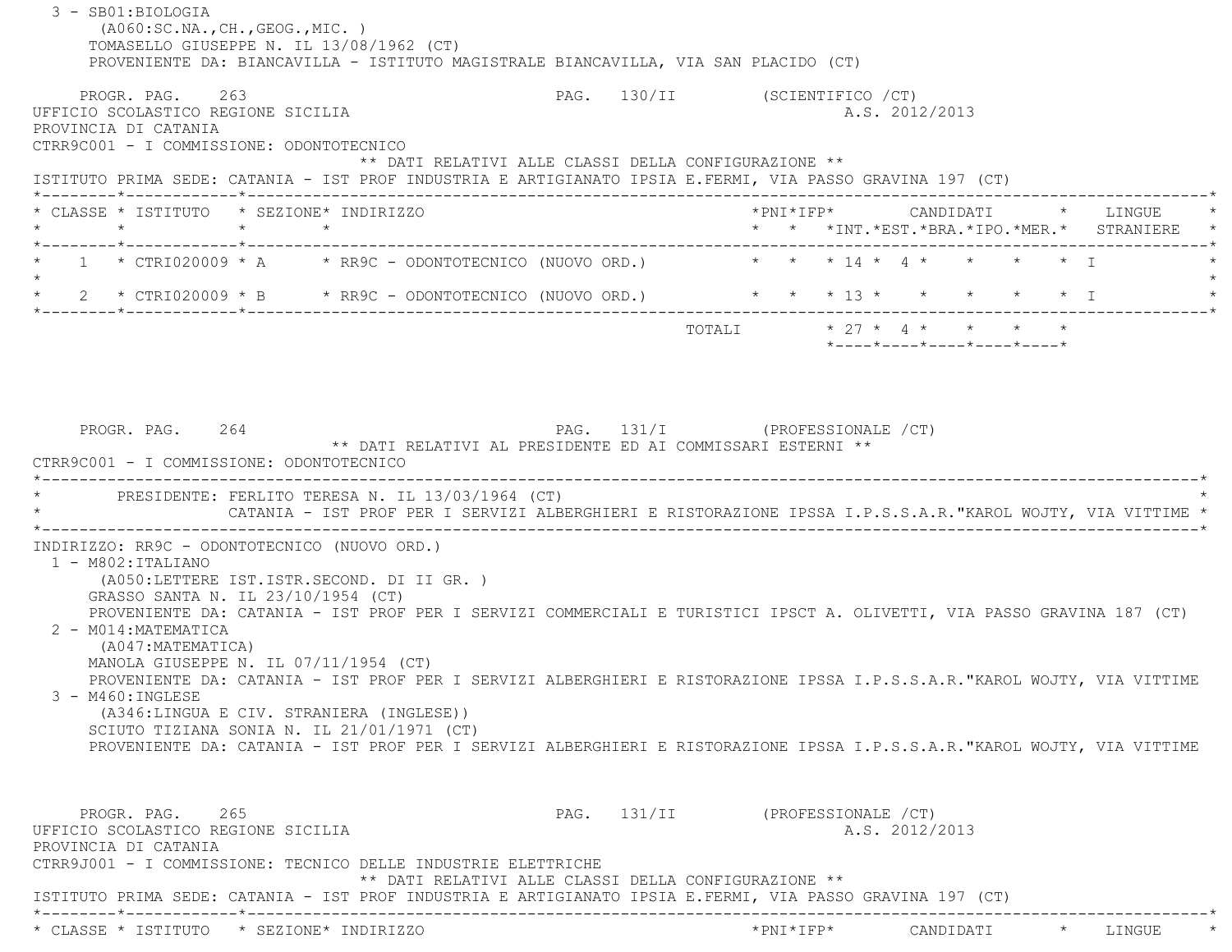3 - SB01:BIOLOGIA (A060:SC.NA.,CH.,GEOG.,MIC. ) TOMASELLO GIUSEPPE N. IL 13/08/1962 (CT) PROVENIENTE DA: BIANCAVILLA - ISTITUTO MAGISTRALE BIANCAVILLA, VIA SAN PLACIDO (CT) PROGR. PAG. 263 2009 PAG. 130/II (SCIENTIFICO / CT) UFFICIO SCOLASTICO REGIONE SICILIA A.S. 2012/2013 PROVINCIA DI CATANIA CTRR9C001 - I COMMISSIONE: ODONTOTECNICO \*\* DATI RELATIVI ALLE CLASSI DELLA CONFIGURAZIONE \*\* ISTITUTO PRIMA SEDE: CATANIA - IST PROF INDUSTRIA E ARTIGIANATO IPSIA E.FERMI, VIA PASSO GRAVINA 197 (CT) \*--------\*------------\*-------------------------------------------------------------------------------------------------------\* \* CLASSE \* ISTITUTO \* SEZIONE\* INDIRIZZO \*PNI\*IFP\* CANDIDATI \* LINGUE \* \* \* \* \* \* \* \*INT.\*EST.\*BRA.\*IPO.\*MER.\* STRANIERE \* \*--------\*------------\*-------------------------------------------------------------------------------------------------------\* $1 * \text{CFRI020009} * A \rightarrow \text{RRO}$  - ODONTOTECNICO (NUOVO ORD.)  $* * * 14 * 4 * * * * * 1$  $\star$ 2 \* CTRI020009 \* B \* RR9C - ODONTOTECNICO (NUOVO ORD.) \* \* \* \* 13 \* \* \* \* \* \* \* \* I \*--------\*------------\*-------------------------------------------------------------------------------------------------------\*TOTALI  $\star$  27  $\star$  4  $\star$   $\star$   $\star$  \*----\*----\*----\*----\*----\*PROGR. PAG. 264 2001 2002 PAG. 131/I (PROFESSIONALE / CT) \*\* DATI RELATIVI AL PRESIDENTE ED AI COMMISSARI ESTERNI \*\* CTRR9C001 - I COMMISSIONE: ODONTOTECNICO \*----------------------------------------------------------------------------------------------------------------------------\*PRESIDENTE: FERLITO TERESA N. IL 13/03/1964 (CT) \* CATANIA - IST PROF PER I SERVIZI ALBERGHIERI E RISTORAZIONE IPSSA I.P.S.S.A.R."KAROL WOJTY, VIA VITTIME \* \*----------------------------------------------------------------------------------------------------------------------------\* INDIRIZZO: RR9C - ODONTOTECNICO (NUOVO ORD.) 1 - M802:ITALIANO (A050:LETTERE IST.ISTR.SECOND. DI II GR. ) GRASSO SANTA N. IL 23/10/1954 (CT) PROVENIENTE DA: CATANIA - IST PROF PER I SERVIZI COMMERCIALI E TURISTICI IPSCT A. OLIVETTI, VIA PASSO GRAVINA 187 (CT) 2 - M014:MATEMATICA (A047:MATEMATICA) MANOLA GIUSEPPE N. IL 07/11/1954 (CT) PROVENIENTE DA: CATANIA - IST PROF PER I SERVIZI ALBERGHIERI E RISTORAZIONE IPSSA I.P.S.S.A.R."KAROL WOJTY, VIA VITTIME 3 - M460:INGLESE (A346:LINGUA E CIV. STRANIERA (INGLESE)) SCIUTO TIZIANA SONIA N. IL 21/01/1971 (CT) PROVENIENTE DA: CATANIA - IST PROF PER I SERVIZI ALBERGHIERI E RISTORAZIONE IPSSA I.P.S.S.A.R."KAROL WOJTY, VIA VITTIME PROGR. PAG. 265 2009 PAG. 131/II (PROFESSIONALE / CT) UFFICIO SCOLASTICO REGIONE SICILIA A.S. 2012/2013 PROVINCIA DI CATANIA CTRR9J001 - I COMMISSIONE: TECNICO DELLE INDUSTRIE ELETTRICHE \*\* DATI RELATIVI ALLE CLASSI DELLA CONFIGURAZIONE \*\* ISTITUTO PRIMA SEDE: CATANIA - IST PROF INDUSTRIA E ARTIGIANATO IPSIA E.FERMI, VIA PASSO GRAVINA 197 (CT) \*--------\*------------\*-------------------------------------------------------------------------------------------------------\*\* CLASSE \* ISTITUTO \* SEZIONE\* INDIRIZZO \*PNI\*IFP\* CANDIDATI \* LINGUE \*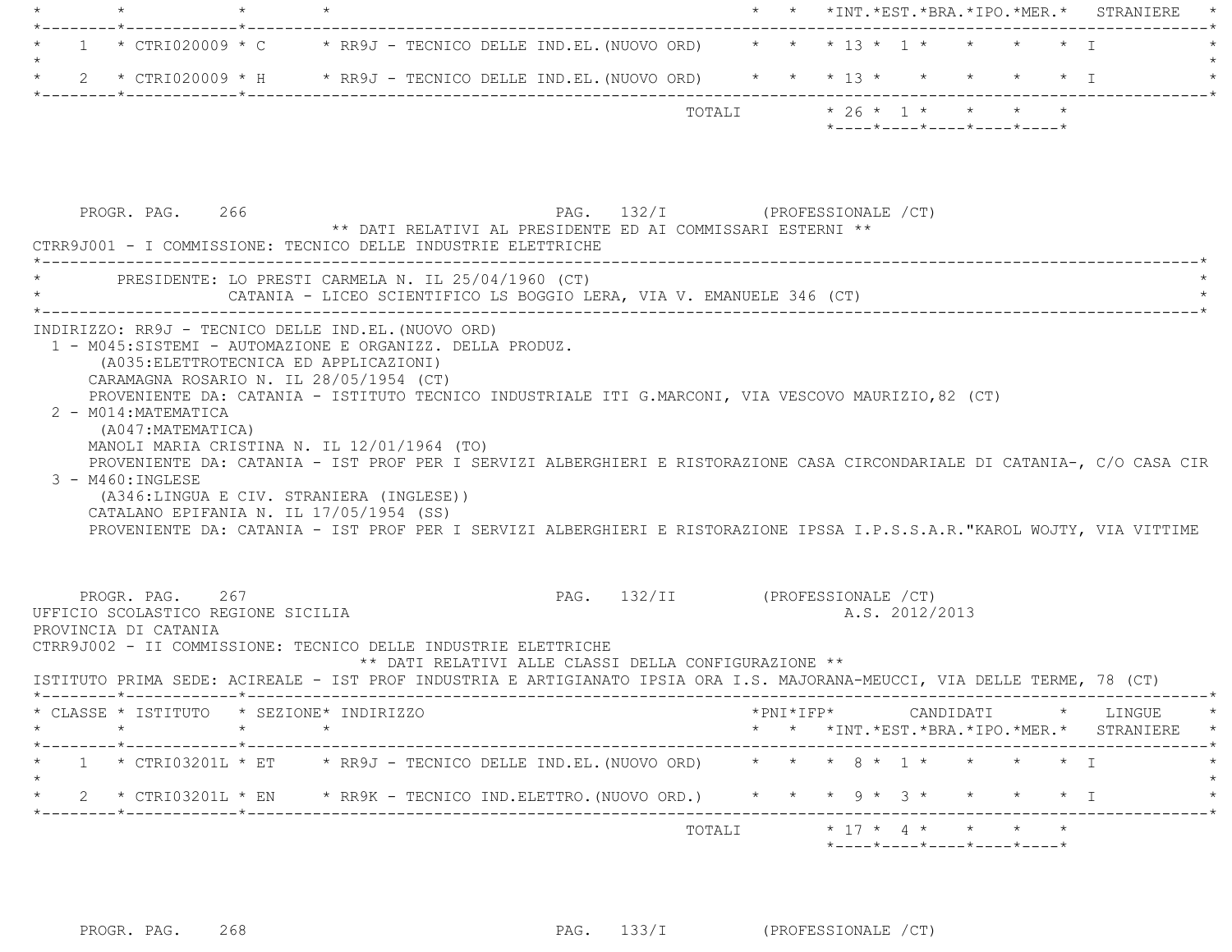|  |  |                                                                                         |  | $*$ - - - - $*$ - - - - $*$ - - - - $*$ - - - - $*$ - - - - $*$ |  |         |
|--|--|-----------------------------------------------------------------------------------------|--|-----------------------------------------------------------------|--|---------|
|  |  | TOTALI                                                                                  |  | $* 26 * 1 * * * * * * *$                                        |  |         |
|  |  | 2 * CTRI020009 * H * RR9J - TECNICO DELLE IND.EL. (NUOVO ORD)                           |  | * * * 13 * * * * * * T                                          |  |         |
|  |  |                                                                                         |  |                                                                 |  |         |
|  |  | $\star$ 1 $\star$ CTRI020009 $\star$ C $\star$ RR9J - TECNICO DELLE IND.EL. (NUOVO ORD) |  | * * * 13 * 1 * * * * * T                                        |  |         |
|  |  |                                                                                         |  |                                                                 |  |         |
|  |  |                                                                                         |  | * * *INT.*EST.*BRA.*IPO.*MER.* STRANIERE                        |  | $\star$ |

| PROGR. PAG. 266<br>** DATI RELATIVI AL PRESIDENTE ED AI COMMISSARI ESTERNI **<br>CTRR9J001 - I COMMISSIONE: TECNICO DELLE INDUSTRIE ELETTRICHE                                                                                                                                                                                                                                                                                                                                                                                                                                                                                                                                                                                                                               | PAG. 132/I (PROFESSIONALE /CT)                                                               |
|------------------------------------------------------------------------------------------------------------------------------------------------------------------------------------------------------------------------------------------------------------------------------------------------------------------------------------------------------------------------------------------------------------------------------------------------------------------------------------------------------------------------------------------------------------------------------------------------------------------------------------------------------------------------------------------------------------------------------------------------------------------------------|----------------------------------------------------------------------------------------------|
| PRESIDENTE: LO PRESTI CARMELA N. IL 25/04/1960 (CT)<br>CATANIA - LICEO SCIENTIFICO LS BOGGIO LERA, VIA V. EMANUELE 346 (CT)                                                                                                                                                                                                                                                                                                                                                                                                                                                                                                                                                                                                                                                  |                                                                                              |
| INDIRIZZO: RR9J - TECNICO DELLE IND.EL. (NUOVO ORD)<br>1 - M045:SISTEMI - AUTOMAZIONE E ORGANIZZ. DELLA PRODUZ.<br>(A035: ELETTROTECNICA ED APPLICAZIONI)<br>CARAMAGNA ROSARIO N. IL 28/05/1954 (CT)<br>PROVENIENTE DA: CATANIA - ISTITUTO TECNICO INDUSTRIALE ITI G.MARCONI, VIA VESCOVO MAURIZIO, 82 (CT)<br>2 - M014: MATEMATICA<br>(A047: MATEMATICA)<br>MANOLI MARIA CRISTINA N. IL 12/01/1964 (TO)<br>PROVENIENTE DA: CATANIA - IST PROF PER I SERVIZI ALBERGHIERI E RISTORAZIONE CASA CIRCONDARIALE DI CATANIA-, C/O CASA CIR<br>3 - M460: INGLESE<br>(A346:LINGUA E CIV. STRANIERA (INGLESE))<br>CATALANO EPIFANIA N. IL 17/05/1954 (SS)<br>PROVENIENTE DA: CATANIA - IST PROF PER I SERVIZI ALBERGHIERI E RISTORAZIONE IPSSA I.P.S.S.A.R. "KAROL WOJTY, VIA VITTIME |                                                                                              |
| PROGR. PAG. 267<br>UFFICIO SCOLASTICO REGIONE SICILIA<br>PROVINCIA DI CATANIA<br>CTRR9J002 - II COMMISSIONE: TECNICO DELLE INDUSTRIE ELETTRICHE<br>** DATI RELATIVI ALLE CLASSI DELLA CONFIGURAZIONE **<br>ISTITUTO PRIMA SEDE: ACIREALE - IST PROF INDUSTRIA E ARTIGIANATO IPSIA ORA I.S. MAJORANA-MEUCCI, VIA DELLE TERME, 78 (CT)                                                                                                                                                                                                                                                                                                                                                                                                                                         | PAG. 132/II (PROFESSIONALE /CT)<br>A.S. 2012/2013                                            |
| * CLASSE * ISTITUTO * SEZIONE* INDIRIZZO                                                                                                                                                                                                                                                                                                                                                                                                                                                                                                                                                                                                                                                                                                                                     | *PNI*IFP*     CANDIDATI    *   LINGUE<br>$\star$<br>* * *INT.*EST.*BRA.*IPO.*MER.* STRANIERE |
| * 1 * CTRI03201L * ET * RR9J - TECNICO DELLE IND.EL. (NUOVO ORD) * * * 8 * 1 * * * * * * I<br>$\star$<br>2 * CTRI03201L * EN * RR9K - TECNICO IND.ELETTRO. (NUOVO ORD.) * * * 9 * 3 * * * * * * I                                                                                                                                                                                                                                                                                                                                                                                                                                                                                                                                                                            |                                                                                              |
|                                                                                                                                                                                                                                                                                                                                                                                                                                                                                                                                                                                                                                                                                                                                                                              | TOTALI * 17 * 4 * * * *<br>*----*----*----*----*----*                                        |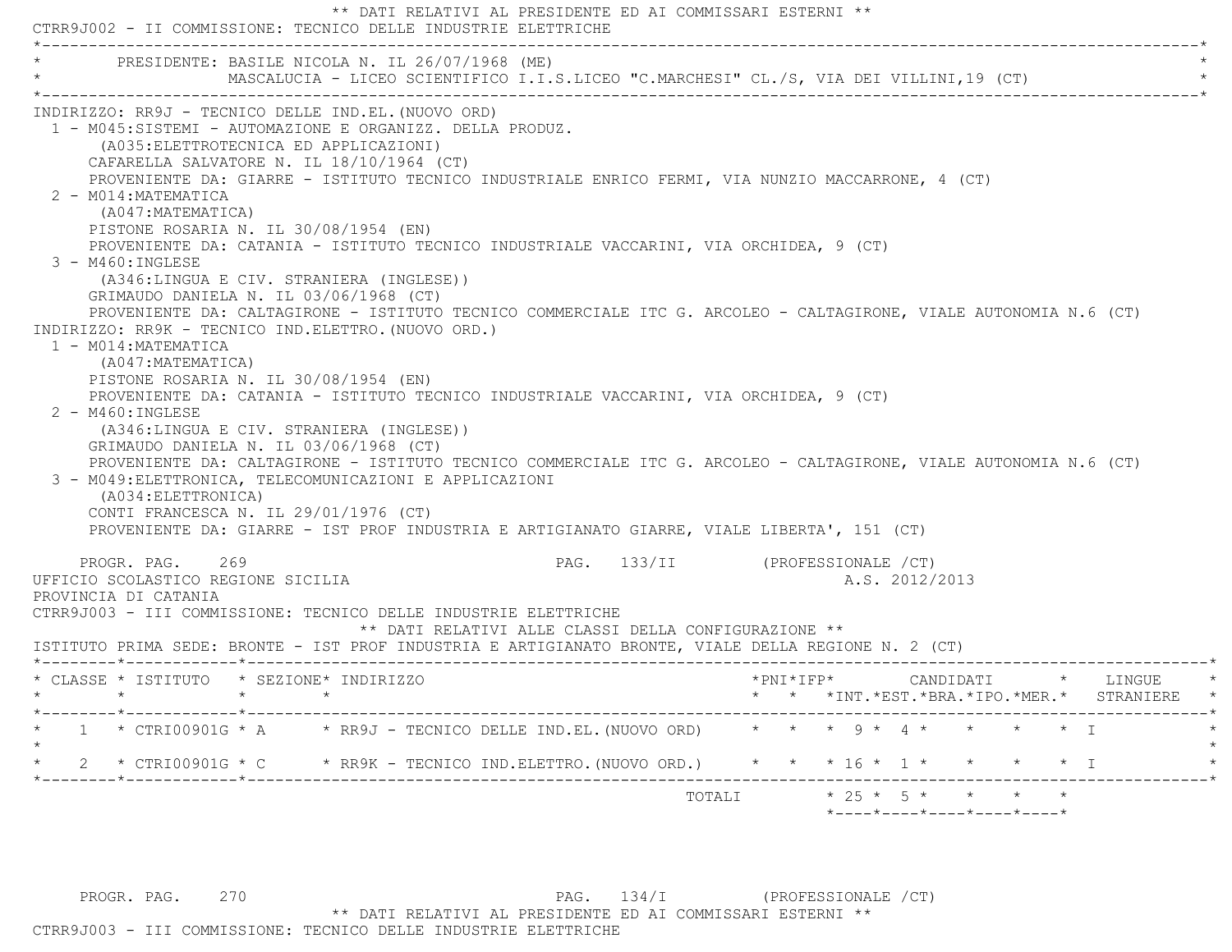\*\* DATI RELATIVI AL PRESIDENTE ED AI COMMISSARI ESTERNI \*\* CTRR9J002 - II COMMISSIONE: TECNICO DELLE INDUSTRIE ELETTRICHE \*----------------------------------------------------------------------------------------------------------------------------\*PRESIDENTE: BASILE NICOLA N. IL 26/07/1968 (ME) MASCALUCIA - LICEO SCIENTIFICO I.I.S.LICEO "C.MARCHESI" CL./S, VIA DEI VILLINI,19 (CT) \*----------------------------------------------------------------------------------------------------------------------------\* INDIRIZZO: RR9J - TECNICO DELLE IND.EL.(NUOVO ORD) 1 - M045:SISTEMI - AUTOMAZIONE E ORGANIZZ. DELLA PRODUZ. (A035:ELETTROTECNICA ED APPLICAZIONI) CAFARELLA SALVATORE N. IL 18/10/1964 (CT) PROVENIENTE DA: GIARRE - ISTITUTO TECNICO INDUSTRIALE ENRICO FERMI, VIA NUNZIO MACCARRONE, 4 (CT) 2 - M014:MATEMATICA (A047:MATEMATICA) PISTONE ROSARIA N. IL 30/08/1954 (EN) PROVENIENTE DA: CATANIA - ISTITUTO TECNICO INDUSTRIALE VACCARINI, VIA ORCHIDEA, 9 (CT) 3 - M460:INGLESE (A346:LINGUA E CIV. STRANIERA (INGLESE)) GRIMAUDO DANIELA N. IL 03/06/1968 (CT) PROVENIENTE DA: CALTAGIRONE - ISTITUTO TECNICO COMMERCIALE ITC G. ARCOLEO - CALTAGIRONE, VIALE AUTONOMIA N.6 (CT) INDIRIZZO: RR9K - TECNICO IND.ELETTRO.(NUOVO ORD.) 1 - M014:MATEMATICA (A047:MATEMATICA) PISTONE ROSARIA N. IL 30/08/1954 (EN) PROVENIENTE DA: CATANIA - ISTITUTO TECNICO INDUSTRIALE VACCARINI, VIA ORCHIDEA, 9 (CT) 2 - M460:INGLESE (A346:LINGUA E CIV. STRANIERA (INGLESE)) GRIMAUDO DANIELA N. IL 03/06/1968 (CT) PROVENIENTE DA: CALTAGIRONE - ISTITUTO TECNICO COMMERCIALE ITC G. ARCOLEO - CALTAGIRONE, VIALE AUTONOMIA N.6 (CT) 3 - M049:ELETTRONICA, TELECOMUNICAZIONI E APPLICAZIONI (A034:ELETTRONICA) CONTI FRANCESCA N. IL 29/01/1976 (CT) PROVENIENTE DA: GIARRE - IST PROF INDUSTRIA E ARTIGIANATO GIARRE, VIALE LIBERTA', 151 (CT) PROGR. PAG. 269 PAG. 133/II (PROFESSIONALE /CT) UFFICIO SCOLASTICO REGIONE SICILIA A.S. 2012/2013 PROVINCIA DI CATANIA CTRR9J003 - III COMMISSIONE: TECNICO DELLE INDUSTRIE ELETTRICHE \*\* DATI RELATIVI ALLE CLASSI DELLA CONFIGURAZIONE \*\* ISTITUTO PRIMA SEDE: BRONTE - IST PROF INDUSTRIA E ARTIGIANATO BRONTE, VIALE DELLA REGIONE N. 2 (CT) \*--------\*------------\*-------------------------------------------------------------------------------------------------------\* \* CLASSE \* ISTITUTO \* SEZIONE\* INDIRIZZO \*PNI\*IFP\* CANDIDATI \* LINGUE \* \* \* \* \* \* \* \*INT.\*EST.\*BRA.\*IPO.\*MER.\* STRANIERE \* \*--------\*------------\*-------------------------------------------------------------------------------------------------------\*1 \* CTRI00901G \* A \* RR9J - TECNICO DELLE IND.EL. (NUOVO ORD) \* \* \* 9 \* 4 \* \* \* \* \* \* T  $\star$ 2 \* CTRI00901G \* C \* RR9K - TECNICO IND.ELETTRO.(NUOVO ORD.) \* \* \* 16 \* 1 \* \* \* \* \* I  $\star$  +  $\star$  +  $\star$  +  $\star$  +  $\star$  +  $\star$  +  $\star$  +  $\star$  +  $\star$  +  $\star$  +  $\star$  +  $\star$  +  $\star$  +  $\star$  +  $\star$  +  $\star$  +  $\star$  +  $\star$  +  $\star$  +  $\star$  +  $\star$  +  $\star$  +  $\star$  +  $\star$  +  $\star$  +  $\star$  +  $\star$  +  $\star$  +  $\star$  +  $\star$  +  $\star$  +  $\star$ TOTALI  $* 25 * 5 * * * * * * * *$ \*----\*----\*----\*----\*----\*

PROGR. PAG. 270 2000 PAG. 134/I (PROFESSIONALE / CT) \*\* DATI RELATIVI AL PRESIDENTE ED AI COMMISSARI ESTERNI \*\*CTRR9J003 - III COMMISSIONE: TECNICO DELLE INDUSTRIE ELETTRICHE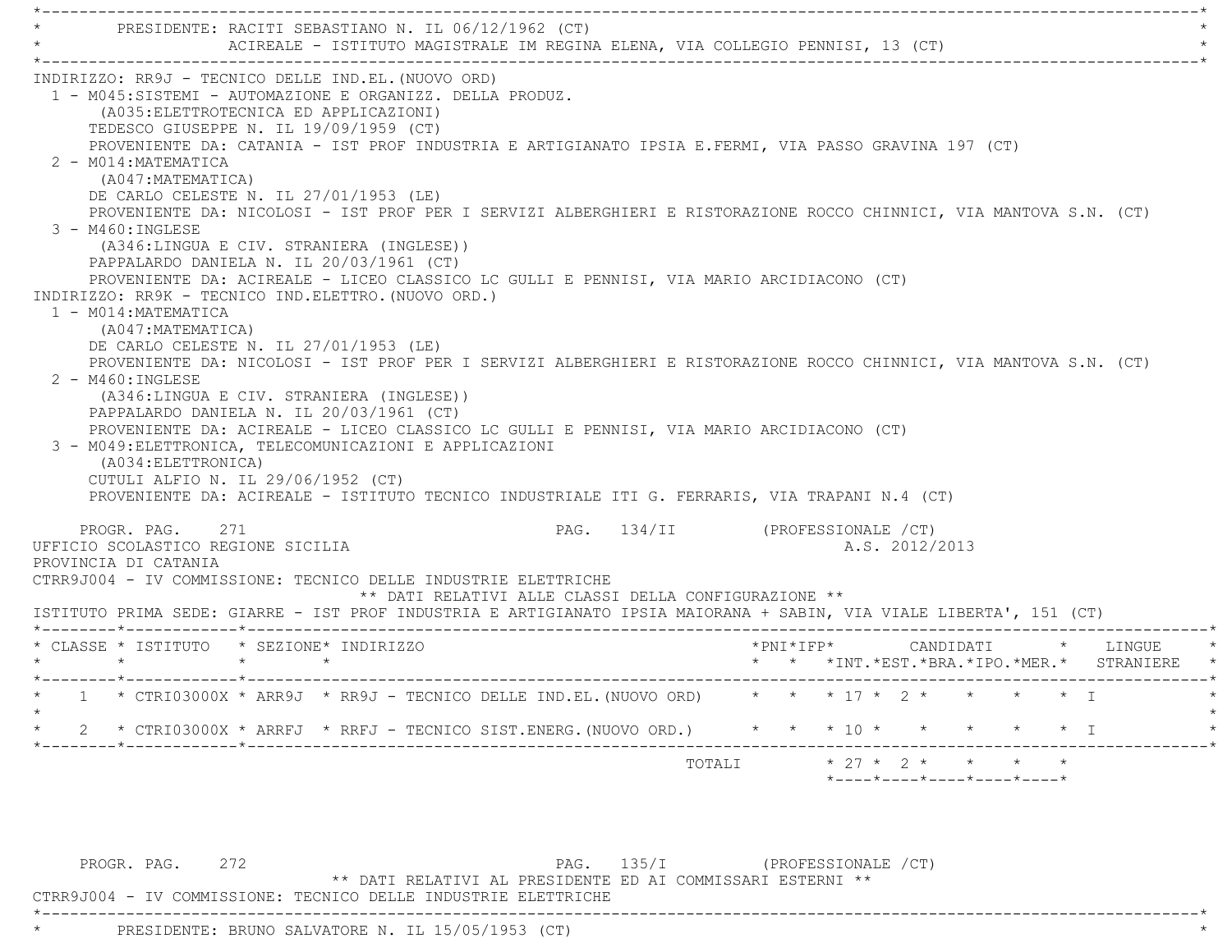\*----------------------------------------------------------------------------------------------------------------------------\*PRESIDENTE: RACITI SEBASTIANO N. IL 06/12/1962 (CT) ACIREALE - ISTITUTO MAGISTRALE IM REGINA ELENA, VIA COLLEGIO PENNISI, 13 (CT) \*----------------------------------------------------------------------------------------------------------------------------\* INDIRIZZO: RR9J - TECNICO DELLE IND.EL.(NUOVO ORD) 1 - M045:SISTEMI - AUTOMAZIONE E ORGANIZZ. DELLA PRODUZ. (A035:ELETTROTECNICA ED APPLICAZIONI) TEDESCO GIUSEPPE N. IL 19/09/1959 (CT) PROVENIENTE DA: CATANIA - IST PROF INDUSTRIA E ARTIGIANATO IPSIA E.FERMI, VIA PASSO GRAVINA 197 (CT) 2 - M014:MATEMATICA (A047:MATEMATICA) DE CARLO CELESTE N. IL 27/01/1953 (LE) PROVENIENTE DA: NICOLOSI - IST PROF PER I SERVIZI ALBERGHIERI E RISTORAZIONE ROCCO CHINNICI, VIA MANTOVA S.N. (CT) 3 - M460:INGLESE (A346:LINGUA E CIV. STRANIERA (INGLESE)) PAPPALARDO DANIELA N. IL 20/03/1961 (CT) PROVENIENTE DA: ACIREALE - LICEO CLASSICO LC GULLI E PENNISI, VIA MARIO ARCIDIACONO (CT) INDIRIZZO: RR9K - TECNICO IND.ELETTRO.(NUOVO ORD.) 1 - M014:MATEMATICA (A047:MATEMATICA) DE CARLO CELESTE N. IL 27/01/1953 (LE) PROVENIENTE DA: NICOLOSI - IST PROF PER I SERVIZI ALBERGHIERI E RISTORAZIONE ROCCO CHINNICI, VIA MANTOVA S.N. (CT) 2 - M460:INGLESE (A346:LINGUA E CIV. STRANIERA (INGLESE)) PAPPALARDO DANIELA N. IL 20/03/1961 (CT) PROVENIENTE DA: ACIREALE - LICEO CLASSICO LC GULLI E PENNISI, VIA MARIO ARCIDIACONO (CT) 3 - M049:ELETTRONICA, TELECOMUNICAZIONI E APPLICAZIONI (A034:ELETTRONICA) CUTULI ALFIO N. IL 29/06/1952 (CT) PROVENIENTE DA: ACIREALE - ISTITUTO TECNICO INDUSTRIALE ITI G. FERRARIS, VIA TRAPANI N.4 (CT) PROGR. PAG. 271 PAG. 134/II (PROFESSIONALE /CT) UFFICIO SCOLASTICO REGIONE SICILIA A.S. 2012/2013 PROVINCIA DI CATANIA CTRR9J004 - IV COMMISSIONE: TECNICO DELLE INDUSTRIE ELETTRICHE \*\* DATI RELATIVI ALLE CLASSI DELLA CONFIGURAZIONE \*\* ISTITUTO PRIMA SEDE: GIARRE - IST PROF INDUSTRIA E ARTIGIANATO IPSIA MAIORANA + SABIN, VIA VIALE LIBERTA', 151 (CT) \*--------\*------------\*-------------------------------------------------------------------------------------------------------\* \* CLASSE \* ISTITUTO \* SEZIONE\* INDIRIZZO \*PNI\*IFP\* CANDIDATI \* LINGUE \* \* \* \* \* \* \* \*INT.\*EST.\*BRA.\*IPO.\*MER.\* STRANIERE \* \*--------\*------------\*-------------------------------------------------------------------------------------------------------\*1 \* CTRI03000X \* ARR9J \* RR9J - TECNICO DELLE IND.EL. (NUOVO ORD) \* \* \* 17 \* 2 \* \* \* \* \* \* I  $\star$ \* 2 \* CTRI03000X \* ARRFJ \* RRFJ - TECNICO SIST.ENERG. (NUOVO ORD.) \* \* \* 10 \* \* \* \* \* \* \* I \*--------\*------------\*-------------------------------------------------------------------------------------------------------\*TOTALI  $* 27 * 2 * * * * * * * *$ \*----\*----\*----\*----\*----\*

PROGR. PAG. 272 PAG. 135/I (PROFESSIONALE / CT)

\*\* DATI RELATIVI AL PRESIDENTE ED AI COMMISSARI ESTERNI \*\*

CTRR9J004 - IV COMMISSIONE: TECNICO DELLE INDUSTRIE ELETTRICHE

\*----------------------------------------------------------------------------------------------------------------------------\*

PRESIDENTE: BRUNO SALVATORE N. IL 15/05/1953 (CT)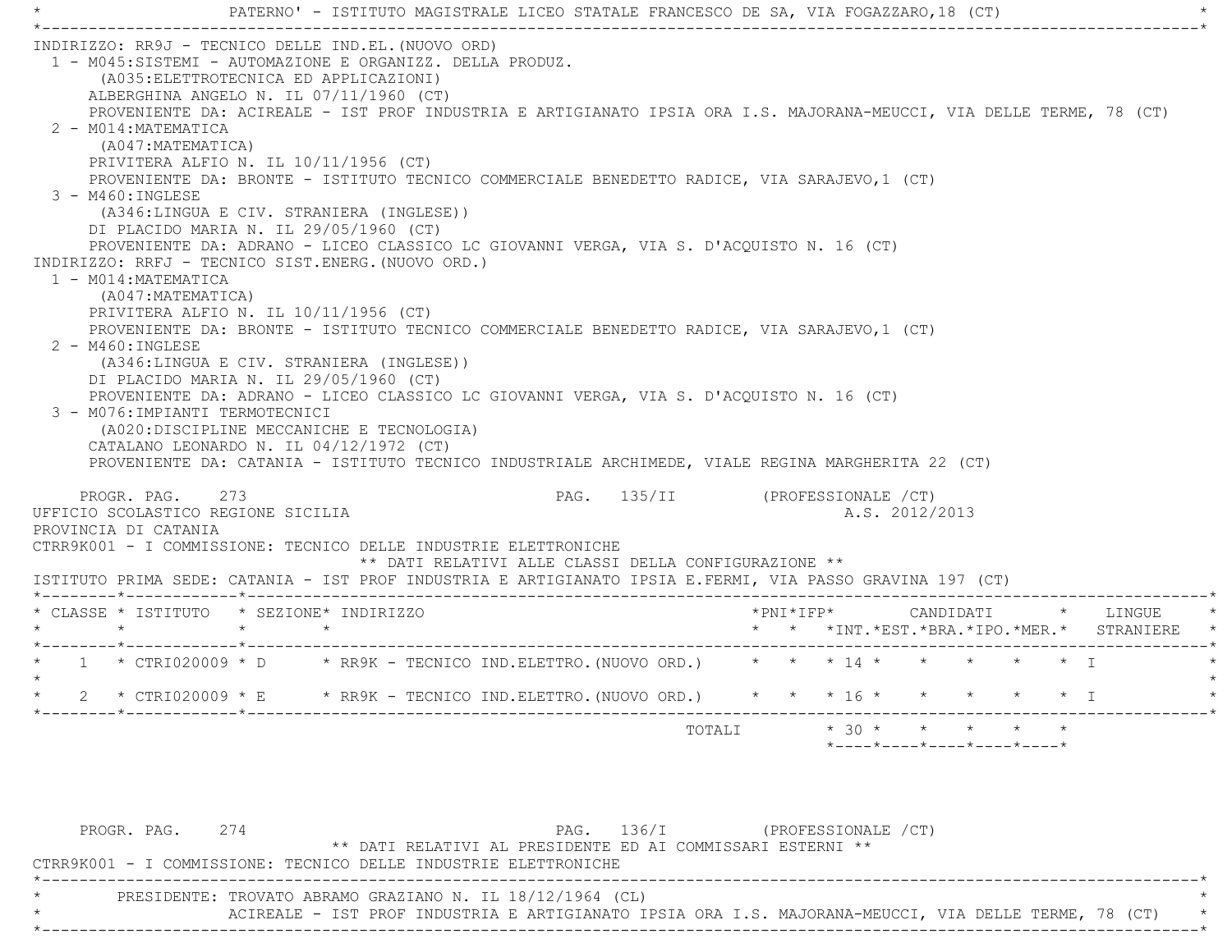\* PATERNO' - ISTITUTO MAGISTRALE LICEO STATALE FRANCESCO DE SA, VIA FOGAZZARO,18 (CT) \* \*----------------------------------------------------------------------------------------------------------------------------\* INDIRIZZO: RR9J - TECNICO DELLE IND.EL.(NUOVO ORD) 1 - M045:SISTEMI - AUTOMAZIONE E ORGANIZZ. DELLA PRODUZ. (A035:ELETTROTECNICA ED APPLICAZIONI) ALBERGHINA ANGELO N. IL 07/11/1960 (CT) PROVENIENTE DA: ACIREALE - IST PROF INDUSTRIA E ARTIGIANATO IPSIA ORA I.S. MAJORANA-MEUCCI, VIA DELLE TERME, 78 (CT) 2 - M014:MATEMATICA (A047:MATEMATICA) PRIVITERA ALFIO N. IL 10/11/1956 (CT) PROVENIENTE DA: BRONTE - ISTITUTO TECNICO COMMERCIALE BENEDETTO RADICE, VIA SARAJEVO,1 (CT) 3 - M460:INGLESE (A346:LINGUA E CIV. STRANIERA (INGLESE)) DI PLACIDO MARIA N. IL 29/05/1960 (CT) PROVENIENTE DA: ADRANO - LICEO CLASSICO LC GIOVANNI VERGA, VIA S. D'ACQUISTO N. 16 (CT) INDIRIZZO: RRFJ - TECNICO SIST.ENERG.(NUOVO ORD.) 1 - M014:MATEMATICA (A047:MATEMATICA) PRIVITERA ALFIO N. IL 10/11/1956 (CT) PROVENIENTE DA: BRONTE - ISTITUTO TECNICO COMMERCIALE BENEDETTO RADICE, VIA SARAJEVO,1 (CT) 2 - M460:INGLESE (A346:LINGUA E CIV. STRANIERA (INGLESE)) DI PLACIDO MARIA N. IL 29/05/1960 (CT) PROVENIENTE DA: ADRANO - LICEO CLASSICO LC GIOVANNI VERGA, VIA S. D'ACQUISTO N. 16 (CT) 3 - M076:IMPIANTI TERMOTECNICI (A020:DISCIPLINE MECCANICHE E TECNOLOGIA) CATALANO LEONARDO N. IL 04/12/1972 (CT) PROVENIENTE DA: CATANIA - ISTITUTO TECNICO INDUSTRIALE ARCHIMEDE, VIALE REGINA MARGHERITA 22 (CT) PROGR. PAG. 273 PAG. 135/II (PROFESSIONALE /CT) UFFICIO SCOLASTICO REGIONE SICILIA A.S. 2012/2013 PROVINCIA DI CATANIA CTRR9K001 - I COMMISSIONE: TECNICO DELLE INDUSTRIE ELETTRONICHE \*\* DATI RELATIVI ALLE CLASSI DELLA CONFIGURAZIONE \*\* ISTITUTO PRIMA SEDE: CATANIA - IST PROF INDUSTRIA E ARTIGIANATO IPSIA E.FERMI, VIA PASSO GRAVINA 197 (CT) \*--------\*------------\*-------------------------------------------------------------------------------------------------------\* \* CLASSE \* ISTITUTO \* SEZIONE\* INDIRIZZO \*PNI\*IFP\* CANDIDATI \* LINGUE \* \* \* \* \* \* \* \*INT.\*EST.\*BRA.\*IPO.\*MER.\* STRANIERE \* \*--------\*------------\*-------------------------------------------------------------------------------------------------------\*\* 1 \* CTRI020009 \* D \* RR9K - TECNICO IND.ELETTRO. (NUOVO ORD.) \* \* \* 14 \* \* \* \* \* \* \* I  $\star$ \* 2 \* CTRI020009 \* E \* RR9K - TECNICO IND.ELETTRO.(NUOVO ORD.) \* \* \* 16 \* \* \* \* \* \* \* I \*--------\*------------\*-------------------------------------------------------------------------------------------------------\*TOTALI  $* 30 * * * * * * * * * *$ \*----\*----\*----\*----\*----\*

| PROGR. PAG.                                                     | 274 |  |                                                           | PAG. 136/I | (PROFESSIONALE / CT)                                                                                 |  |  |  |
|-----------------------------------------------------------------|-----|--|-----------------------------------------------------------|------------|------------------------------------------------------------------------------------------------------|--|--|--|
|                                                                 |     |  |                                                           |            | ** DATI RELATIVI AL PRESIDENTE ED AI COMMISSARI ESTERNI **                                           |  |  |  |
| CTRR9K001 - I COMMISSIONE: TECNICO DELLE INDUSTRIE ELETTRONICHE |     |  |                                                           |            |                                                                                                      |  |  |  |
|                                                                 |     |  |                                                           |            |                                                                                                      |  |  |  |
|                                                                 |     |  | PRESIDENTE: TROVATO ABRAMO GRAZIANO N. IL 18/12/1964 (CL) |            |                                                                                                      |  |  |  |
|                                                                 |     |  |                                                           |            | ACIREALE - IST PROF INDUSTRIA E ARTIGIANATO IPSIA ORA I.S. MAJORANA-MEUCCI, VIA DELLE TERME, 78 (CT) |  |  |  |
|                                                                 |     |  |                                                           |            |                                                                                                      |  |  |  |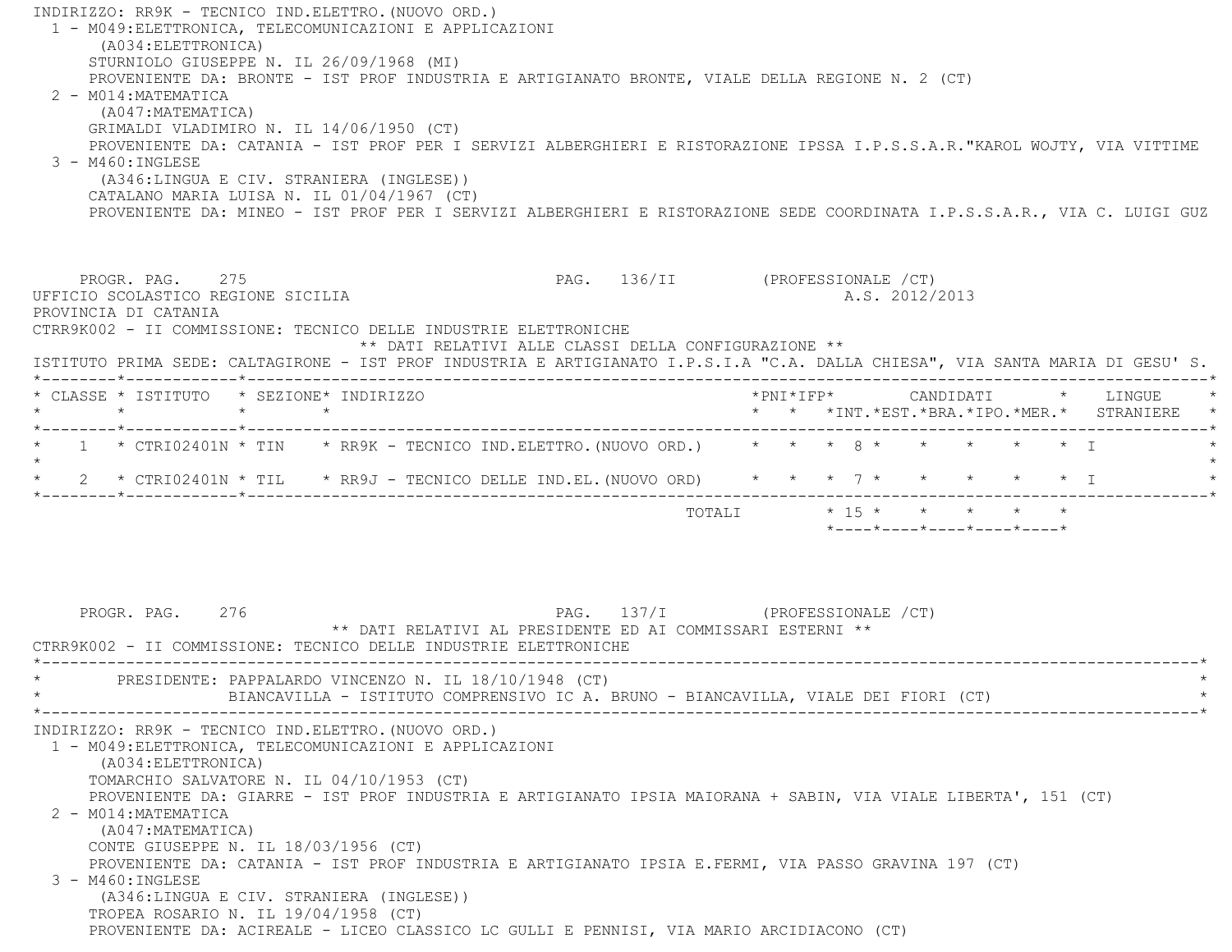INDIRIZZO: RR9K - TECNICO IND.ELETTRO.(NUOVO ORD.) 1 - M049:ELETTRONICA, TELECOMUNICAZIONI E APPLICAZIONI (A034:ELETTRONICA) STURNIOLO GIUSEPPE N. IL 26/09/1968 (MI) PROVENIENTE DA: BRONTE - IST PROF INDUSTRIA E ARTIGIANATO BRONTE, VIALE DELLA REGIONE N. 2 (CT) 2 - M014:MATEMATICA (A047:MATEMATICA) GRIMALDI VLADIMIRO N. IL 14/06/1950 (CT) PROVENIENTE DA: CATANIA - IST PROF PER I SERVIZI ALBERGHIERI E RISTORAZIONE IPSSA I.P.S.S.A.R."KAROL WOJTY, VIA VITTIM E $3 - M460 \cdot INGIERSE$  (A346:LINGUA E CIV. STRANIERA (INGLESE)) CATALANO MARIA LUISA N. IL 01/04/1967 (CT) PROVENIENTE DA: MINEO - IST PROF PER I SERVIZI ALBERGHIERI E RISTORAZIONE SEDE COORDINATA I.P.S.S.A.R., VIA C. LUIGI GUZ PROGR. PAG. 275 PAG. 136/II (PROFESSIONALE /CT) UFFICIO SCOLASTICO REGIONE SICILIA A.S. 2012/2013 PROVINCIA DI CATANIA CTRR9K002 - II COMMISSIONE: TECNICO DELLE INDUSTRIE ELETTRONICHE \*\* DATI RELATIVI ALLE CLASSI DELLA CONFIGURAZIONE \*\* ISTITUTO PRIMA SEDE: CALTAGIRONE - IST PROF INDUSTRIA E ARTIGIANATO I.P.S.I.A "C.A. DALLA CHIESA", VIA SANTA MARIA DI GESU' S. \*--------\*------------\*-------------------------------------------------------------------------------------------------------\* \* CLASSE \* ISTITUTO \* SEZIONE\* INDIRIZZO \*PNI\*IFP\* CANDIDATI \* LINGUE \* \* \* \* \* \* \* \*INT.\*EST.\*BRA.\*IPO.\*MER.\* STRANIERE \* \*--------\*------------\*-------------------------------------------------------------------------------------------------------\*1 \* CTRI02401N \* TIN \* RR9K - TECNICO IND.ELETTRO.(NUOVO ORD.) \* \* \* 8 \* \* \* \* \* \* \* \* \*  $\star$  \* 2 \* CTRI02401N \* TIL \* RR9J - TECNICO DELLE IND.EL.(NUOVO ORD) \* \* \* 7 \* \* \* \* \* I \* \*--------\*------------\*-------------------------------------------------------------------------------------------------------\*TOTALI  $* 15 * * * * * * * * * *$  \*----\*----\*----\*----\*----\*PROGR. PAG. 276 276 PAG. 137/I (PROFESSIONALE / CT) \*\* DATI RELATIVI AL PRESIDENTE ED AI COMMISSARI ESTERNI \*\* CTRR9K002 - II COMMISSIONE: TECNICO DELLE INDUSTRIE ELETTRONICHE \*----------------------------------------------------------------------------------------------------------------------------\*PRESIDENTE: PAPPALARDO VINCENZO N. IL 18/10/1948 (CT) BIANCAVILLA - ISTITUTO COMPRENSIVO IC A. BRUNO - BIANCAVILLA, VIALE DEI FIORI (CT) \*----------------------------------------------------------------------------------------------------------------------------\* INDIRIZZO: RR9K - TECNICO IND.ELETTRO.(NUOVO ORD.) 1 - M049:ELETTRONICA, TELECOMUNICAZIONI E APPLICAZIONI (A034:ELETTRONICA) TOMARCHIO SALVATORE N. IL 04/10/1953 (CT) PROVENIENTE DA: GIARRE - IST PROF INDUSTRIA E ARTIGIANATO IPSIA MAIORANA + SABIN, VIA VIALE LIBERTA', 151 (CT) 2 - M014:MATEMATICA (A047:MATEMATICA) CONTE GIUSEPPE N. IL 18/03/1956 (CT) PROVENIENTE DA: CATANIA - IST PROF INDUSTRIA E ARTIGIANATO IPSIA E.FERMI, VIA PASSO GRAVINA 197 (CT) 3 - M460:INGLESE (A346:LINGUA E CIV. STRANIERA (INGLESE)) TROPEA ROSARIO N. IL 19/04/1958 (CT) PROVENIENTE DA: ACIREALE - LICEO CLASSICO LC GULLI E PENNISI, VIA MARIO ARCIDIACONO (CT)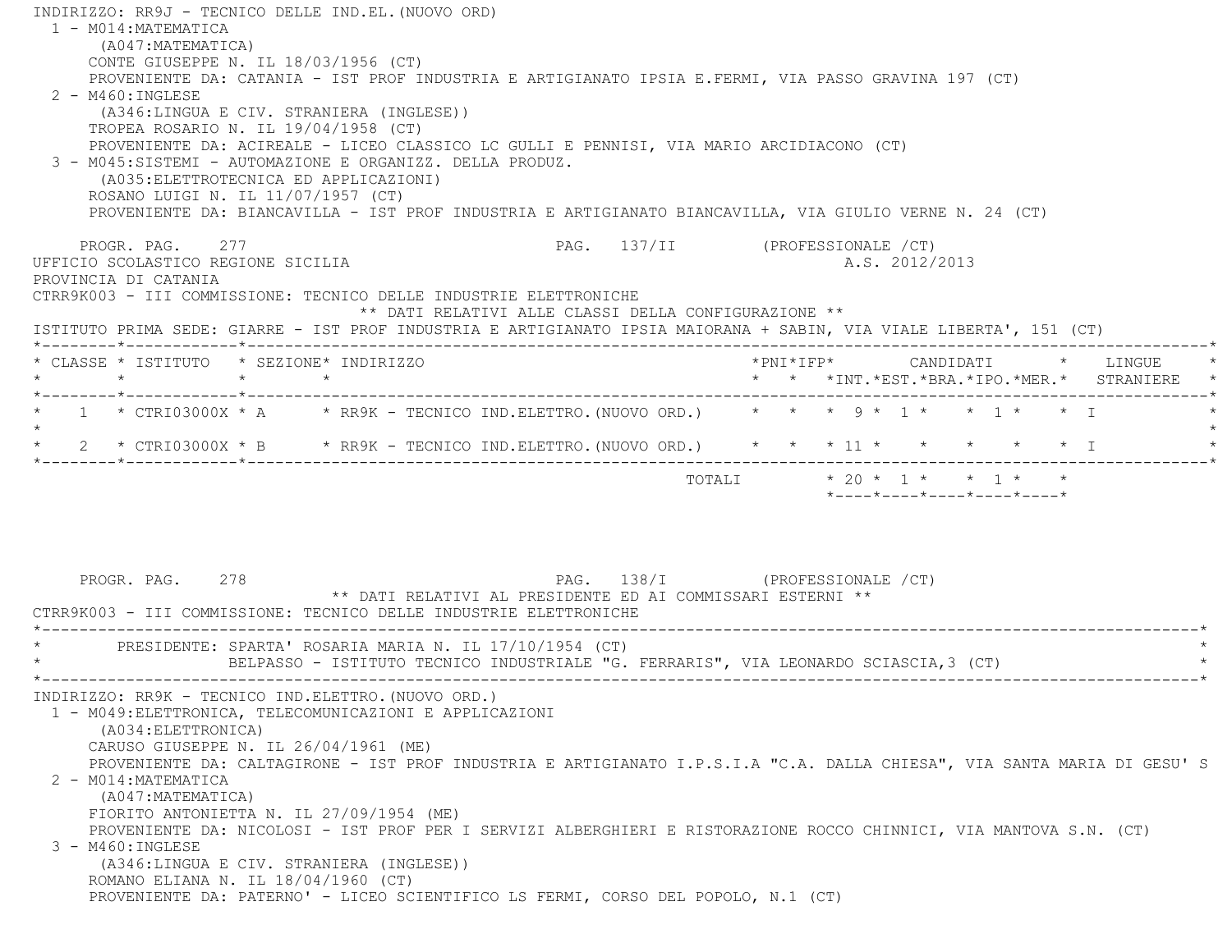INDIRIZZO: RR9J - TECNICO DELLE IND.EL.(NUOVO ORD) 1 - M014:MATEMATICA (A047:MATEMATICA) CONTE GIUSEPPE N. IL 18/03/1956 (CT) PROVENIENTE DA: CATANIA - IST PROF INDUSTRIA E ARTIGIANATO IPSIA E.FERMI, VIA PASSO GRAVINA 197 (CT)  $2 - M460 : INGIERSE$  (A346:LINGUA E CIV. STRANIERA (INGLESE)) TROPEA ROSARIO N. IL 19/04/1958 (CT) PROVENIENTE DA: ACIREALE - LICEO CLASSICO LC GULLI E PENNISI, VIA MARIO ARCIDIACONO (CT) 3 - M045:SISTEMI - AUTOMAZIONE E ORGANIZZ. DELLA PRODUZ. (A035:ELETTROTECNICA ED APPLICAZIONI) ROSANO LUIGI N. IL 11/07/1957 (CT) PROVENIENTE DA: BIANCAVILLA - IST PROF INDUSTRIA E ARTIGIANATO BIANCAVILLA, VIA GIULIO VERNE N. 24 (CT) PROGR. PAG. 277 PAG. 137/II (PROFESSIONALE /CT) UFFICIO SCOLASTICO REGIONE SICILIA and a series of the series of the series of the series of the series of the series of the series of the series of the series of the series of the series of the series of the series of the PROVINCIA DI CATANIA CTRR9K003 - III COMMISSIONE: TECNICO DELLE INDUSTRIE ELETTRONICHE \*\* DATI RELATIVI ALLE CLASSI DELLA CONFIGURAZIONE \*\* ISTITUTO PRIMA SEDE: GIARRE - IST PROF INDUSTRIA E ARTIGIANATO IPSIA MAIORANA + SABIN, VIA VIALE LIBERTA', 151 (CT) \*--------\*------------\*-------------------------------------------------------------------------------------------------------\* \* CLASSE \* ISTITUTO \* SEZIONE\* INDIRIZZO \*PNI\*IFP\* CANDIDATI \* LINGUE \* \* \* \* \* \* \* \*INT.\*EST.\*BRA.\*IPO.\*MER.\* STRANIERE \* \*--------\*------------\*-------------------------------------------------------------------------------------------------------\*\* 1 \* CTRI03000X \* A \* RR9K - TECNICO IND.ELETTRO.(NUOVO ORD.) \* \* \* 9 \* 1 \* \* 1 \* \* T  $\star$ \* 2 \* CTRI03000X \* B \* RR9K - TECNICO IND.ELETTRO.(NUOVO ORD.) \* \* \* 11 \* \* \* \* \* \* \* I \*--------\*------------\*-------------------------------------------------------------------------------------------------------\*TOTALI  $* 20 * 1 * * 1 * * 1 * * *$  \*----\*----\*----\*----\*----\*PROGR. PAG. 278 278 PAG. 138/I (PROFESSIONALE / CT) \*\* DATI RELATIVI AL PRESIDENTE ED AI COMMISSARI ESTERNI \*\* CTRR9K003 - III COMMISSIONE: TECNICO DELLE INDUSTRIE ELETTRONICHE \*----------------------------------------------------------------------------------------------------------------------------\*PRESIDENTE: SPARTA' ROSARIA MARIA N. IL 17/10/1954 (CT) BELPASSO - ISTITUTO TECNICO INDUSTRIALE "G. FERRARIS", VIA LEONARDO SCIASCIA,3 (CT) \*----------------------------------------------------------------------------------------------------------------------------\* INDIRIZZO: RR9K - TECNICO IND.ELETTRO.(NUOVO ORD.) 1 - M049:ELETTRONICA, TELECOMUNICAZIONI E APPLICAZIONI (A034:ELETTRONICA) CARUSO GIUSEPPE N. IL 26/04/1961 (ME) PROVENIENTE DA: CALTAGIRONE - IST PROF INDUSTRIA E ARTIGIANATO I.P.S.I.A "C.A. DALLA CHIESA", VIA SANTA MARIA DI GESU' S 2 - M014:MATEMATICA (A047:MATEMATICA) FIORITO ANTONIETTA N. IL 27/09/1954 (ME) PROVENIENTE DA: NICOLOSI - IST PROF PER I SERVIZI ALBERGHIERI E RISTORAZIONE ROCCO CHINNICI, VIA MANTOVA S.N. (CT) 3 - M460:INGLESE (A346:LINGUA E CIV. STRANIERA (INGLESE)) ROMANO ELIANA N. IL 18/04/1960 (CT) PROVENIENTE DA: PATERNO' - LICEO SCIENTIFICO LS FERMI, CORSO DEL POPOLO, N.1 (CT)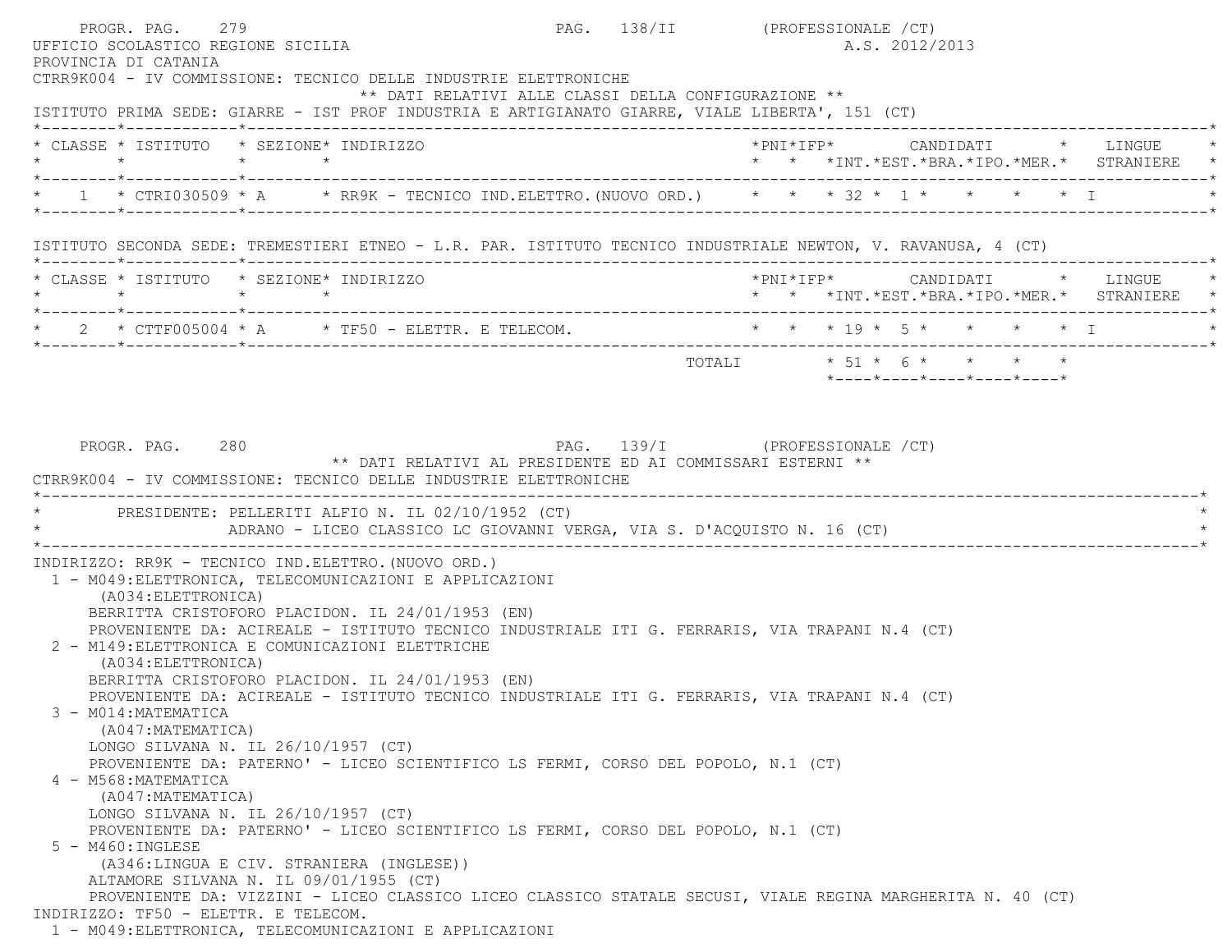PROGR. PAG. 279 PAG. 138/II (PROFESSIONALE /CT) UFFICIO SCOLASTICO REGIONE SICILIA A.S. 2012/2013 PROVINCIA DI CATANIA CTRR9K004 - IV COMMISSIONE: TECNICO DELLE INDUSTRIE ELETTRONICHE \*\* DATI RELATIVI ALLE CLASSI DELLA CONFIGURAZIONE \*\* ISTITUTO PRIMA SEDE: GIARRE - IST PROF INDUSTRIA E ARTIGIANATO GIARRE, VIALE LIBERTA', 151 (CT) \*--------\*------------\*-------------------------------------------------------------------------------------------------------\* \* CLASSE \* ISTITUTO \* SEZIONE\* INDIRIZZO \*PNI\*IFP\* CANDIDATI \* LINGUE \* \* \* \* \* \* \* \*INT.\*EST.\*BRA.\*IPO.\*MER.\* STRANIERE \* \*--------\*------------\*-------------------------------------------------------------------------------------------------------\* $1$  \* CTRI030509 \* A  $\qquad$  \* RR9K - TECNICO IND.ELETTRO.(NUOVO ORD.)  $\qquad$  \* \* \* 32 \* 1 \* \* \* \* \* I \*--------\*------------\*-------------------------------------------------------------------------------------------------------\* ISTITUTO SECONDA SEDE: TREMESTIERI ETNEO - L.R. PAR. ISTITUTO TECNICO INDUSTRIALE NEWTON, V. RAVANUSA, 4 (CT) \*--------\*------------\*-------------------------------------------------------------------------------------------------------\* \* CLASSE \* ISTITUTO \* SEZIONE\* INDIRIZZO \*PNI\*IFP\* CANDIDATI \* LINGUE \* \* \* \* \* \* \* \*INT.\*EST.\*BRA.\*IPO.\*MER.\* STRANIERE \* \*--------\*------------\*-------------------------------------------------------------------------------------------------------\*2 \* CTTF005004 \* A \* TF50 - ELETTR. E TELECOM.  $\star$  \* \* \* 19 \* 5 \* \* \* \* \* \* I \*--------\*------------\*-------------------------------------------------------------------------------------------------------\* $\texttt{TOTAL} \qquad \qquad \star \quad \texttt{51} \; \star \quad \texttt{6} \; \star \qquad \star \qquad \star \qquad \star \qquad \star$  \*----\*----\*----\*----\*----\*PROGR. PAG. 280 280 PAG. 139/I (PROFESSIONALE / CT) \*\* DATI RELATIVI AL PRESIDENTE ED AI COMMISSARI ESTERNI \*\* CTRR9K004 - IV COMMISSIONE: TECNICO DELLE INDUSTRIE ELETTRONICHE \*----------------------------------------------------------------------------------------------------------------------------\*PRESIDENTE: PELLERITI ALFIO N. IL 02/10/1952 (CT) ADRANO - LICEO CLASSICO LC GIOVANNI VERGA, VIA S. D'ACOUISTO N. 16 (CT) \*----------------------------------------------------------------------------------------------------------------------------\* INDIRIZZO: RR9K - TECNICO IND.ELETTRO.(NUOVO ORD.) 1 - M049:ELETTRONICA, TELECOMUNICAZIONI E APPLICAZIONI (A034:ELETTRONICA) BERRITTA CRISTOFORO PLACIDON. IL 24/01/1953 (EN) PROVENIENTE DA: ACIREALE - ISTITUTO TECNICO INDUSTRIALE ITI G. FERRARIS, VIA TRAPANI N.4 (CT) 2 - M149:ELETTRONICA E COMUNICAZIONI ELETTRICHE (A034:ELETTRONICA) BERRITTA CRISTOFORO PLACIDON. IL 24/01/1953 (EN) PROVENIENTE DA: ACIREALE - ISTITUTO TECNICO INDUSTRIALE ITI G. FERRARIS, VIA TRAPANI N.4 (CT) 3 - M014:MATEMATICA (A047:MATEMATICA) LONGO SILVANA N. IL 26/10/1957 (CT) PROVENIENTE DA: PATERNO' - LICEO SCIENTIFICO LS FERMI, CORSO DEL POPOLO, N.1 (CT) 4 - M568:MATEMATICA (A047:MATEMATICA) LONGO SILVANA N. IL 26/10/1957 (CT) PROVENIENTE DA: PATERNO' - LICEO SCIENTIFICO LS FERMI, CORSO DEL POPOLO, N.1 (CT) 5 - M460:INGLESE (A346:LINGUA E CIV. STRANIERA (INGLESE)) ALTAMORE SILVANA N. IL 09/01/1955 (CT) PROVENIENTE DA: VIZZINI - LICEO CLASSICO LICEO CLASSICO STATALE SECUSI, VIALE REGINA MARGHERITA N. 40 (CT) INDIRIZZO: TF50 - ELETTR. E TELECOM.1 - M049:ELETTRONICA, TELECOMUNICAZIONI E APPLICAZIONI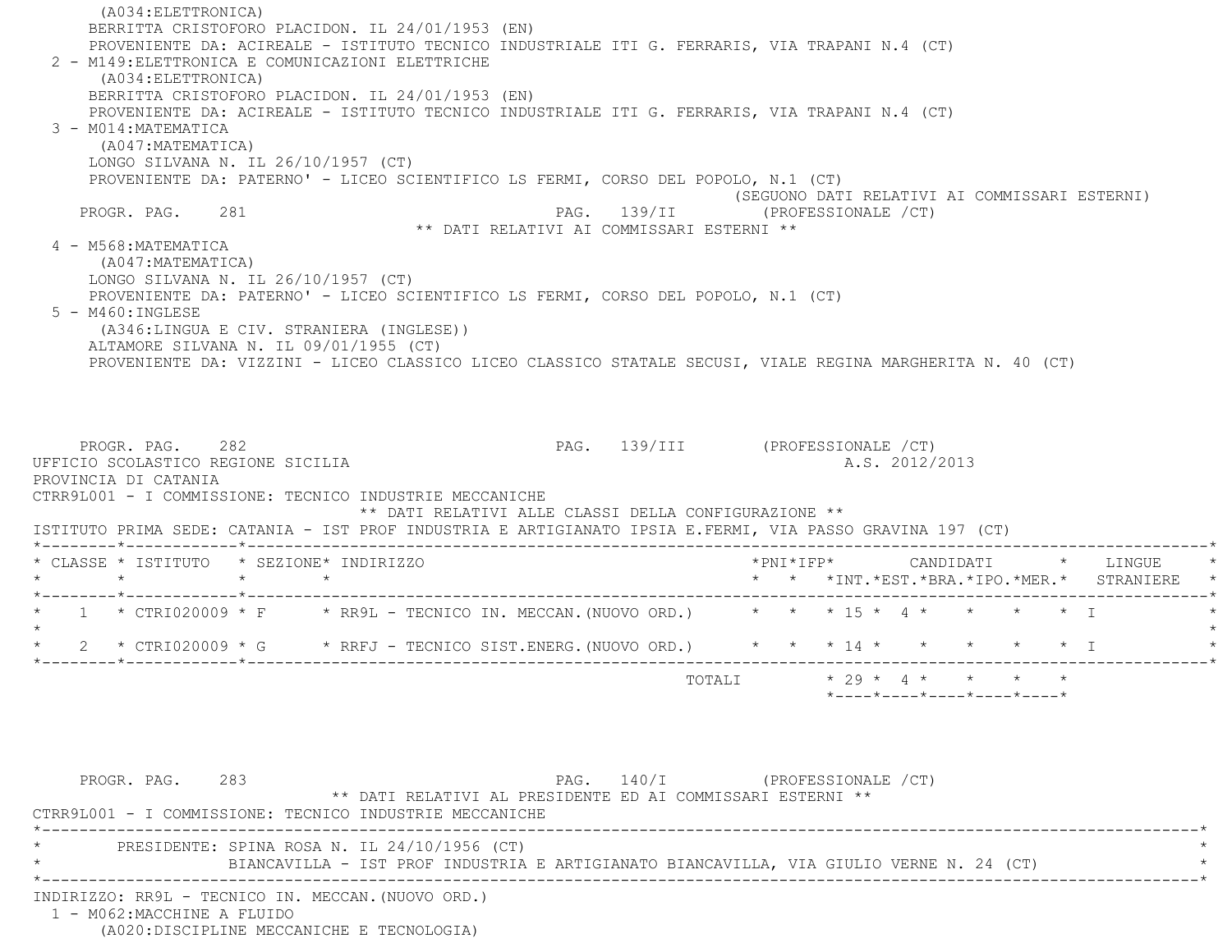(A034:ELETTRONICA) BERRITTA CRISTOFORO PLACIDON. IL 24/01/1953 (EN) PROVENIENTE DA: ACIREALE - ISTITUTO TECNICO INDUSTRIALE ITI G. FERRARIS, VIA TRAPANI N.4 (CT) 2 - M149:ELETTRONICA E COMUNICAZIONI ELETTRICHE (A034:ELETTRONICA) BERRITTA CRISTOFORO PLACIDON. IL 24/01/1953 (EN) PROVENIENTE DA: ACIREALE - ISTITUTO TECNICO INDUSTRIALE ITI G. FERRARIS, VIA TRAPANI N.4 (CT) 3 - M014:MATEMATICA (A047:MATEMATICA) LONGO SILVANA N. IL 26/10/1957 (CT) PROVENIENTE DA: PATERNO' - LICEO SCIENTIFICO LS FERMI, CORSO DEL POPOLO, N.1 (CT) (SEGUONO DATI RELATIVI AI COMMISSARI ESTERNI) PROGR. PAG. 281 PAG. 139/II (PROFESSIONALE /CT) \*\* DATI RELATIVI AI COMMISSARI ESTERNI \*\* 4 - M568:MATEMATICA (A047:MATEMATICA) LONGO SILVANA N. IL 26/10/1957 (CT) PROVENIENTE DA: PATERNO' - LICEO SCIENTIFICO LS FERMI, CORSO DEL POPOLO, N.1 (CT) 5 - M460:INGLESE (A346:LINGUA E CIV. STRANIERA (INGLESE)) ALTAMORE SILVANA N. IL 09/01/1955 (CT) PROVENIENTE DA: VIZZINI - LICEO CLASSICO LICEO CLASSICO STATALE SECUSI, VIALE REGINA MARGHERITA N. 40 (CT) PROGR. PAG. 282 282 PAG. 139/III (PROFESSIONALE /CT) UFFICIO SCOLASTICO REGIONE SICILIA A.S. 2012/2013 PROVINCIA DI CATANIA CTRR9L001 - I COMMISSIONE: TECNICO INDUSTRIE MECCANICHE \*\* DATI RELATIVI ALLE CLASSI DELLA CONFIGURAZIONE \*\* ISTITUTO PRIMA SEDE: CATANIA - IST PROF INDUSTRIA E ARTIGIANATO IPSIA E.FERMI, VIA PASSO GRAVINA 197 (CT) \*--------\*------------\*-------------------------------------------------------------------------------------------------------\* \* CLASSE \* ISTITUTO \* SEZIONE\* INDIRIZZO \*PNI\*IFP\* CANDIDATI \* LINGUE \* \* \* \* \* \* \* \*INT.\*EST.\*BRA.\*IPO.\*MER.\* STRANIERE \* \*--------\*------------\*-------------------------------------------------------------------------------------------------------\*1 \* CTRI020009 \* F \* RR9L - TECNICO IN. MECCAN. (NUOVO ORD.) \* \* \* 15 \* 4 \* \* \* \* \* \* T  $\star$ \* 2 \* CTRI020009 \* G \* RRFJ - TECNICO SIST.ENERG. (NUOVO ORD.) \* \* \* 14 \* \* \* \* \* \* \* I \*--------\*------------\*-------------------------------------------------------------------------------------------------------\*TOTALI  $* 29 * 4 * * * * * * * *$  \*----\*----\*----\*----\*----\*PROGR. PAG. 283 283 PAG. 140/I (PROFESSIONALE /CT) \*\* DATI RELATIVI AL PRESIDENTE ED AI COMMISSARI ESTERNI \*\* CTRR9L001 - I COMMISSIONE: TECNICO INDUSTRIE MECCANICHE \*----------------------------------------------------------------------------------------------------------------------------\*PRESIDENTE: SPINA ROSA N. IL 24/10/1956 (CT) \* BIANCAVILLA - IST PROF INDUSTRIA E ARTIGIANATO BIANCAVILLA, VIA GIULIO VERNE N. 24 (CT) \* \*----------------------------------------------------------------------------------------------------------------------------\* INDIRIZZO: RR9L - TECNICO IN. MECCAN.(NUOVO ORD.) 1 - M062:MACCHINE A FLUIDO

(A020:DISCIPLINE MECCANICHE E TECNOLOGIA)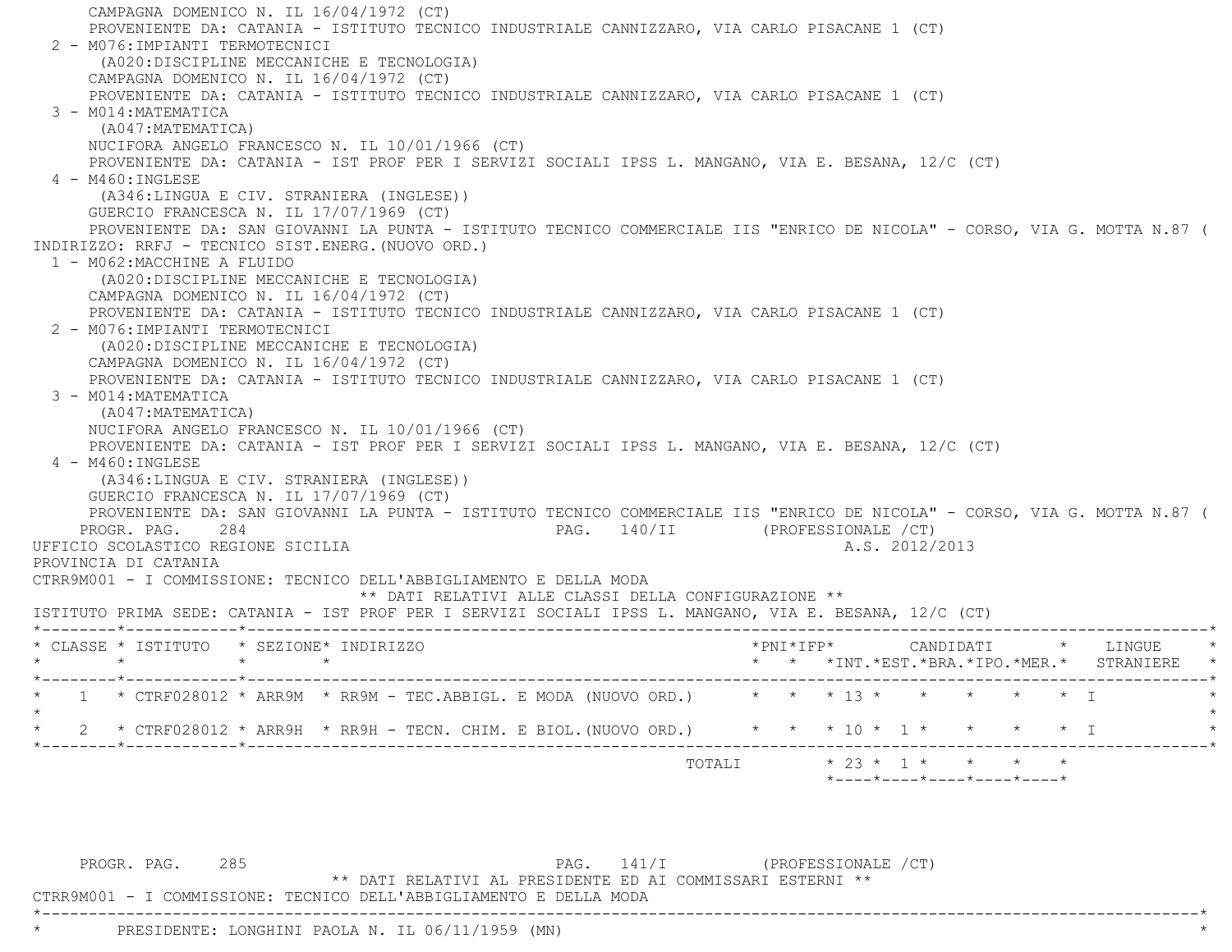CAMPAGNA DOMENICO N. IL 16/04/1972 (CT) PROVENIENTE DA: CATANIA - ISTITUTO TECNICO INDUSTRIALE CANNIZZARO, VIA CARLO PISACANE 1 (CT) 2 - M076:IMPIANTI TERMOTECNICI (A020:DISCIPLINE MECCANICHE E TECNOLOGIA) CAMPAGNA DOMENICO N. IL 16/04/1972 (CT) PROVENIENTE DA: CATANIA - ISTITUTO TECNICO INDUSTRIALE CANNIZZARO, VIA CARLO PISACANE 1 (CT) 3 - M014:MATEMATICA (A047:MATEMATICA) NUCIFORA ANGELO FRANCESCO N. IL 10/01/1966 (CT) PROVENIENTE DA: CATANIA - IST PROF PER I SERVIZI SOCIALI IPSS L. MANGANO, VIA E. BESANA, 12/C (CT) 4 - M460:INGLESE (A346:LINGUA E CIV. STRANIERA (INGLESE)) GUERCIO FRANCESCA N. IL 17/07/1969 (CT) PROVENIENTE DA: SAN GIOVANNI LA PUNTA - ISTITUTO TECNICO COMMERCIALE IIS "ENRICO DE NICOLA" - CORSO, VIA G. MOTTA N.87 ( INDIRIZZO: RRFJ - TECNICO SIST.ENERG.(NUOVO ORD.) 1 - M062:MACCHINE A FLUIDO (A020:DISCIPLINE MECCANICHE E TECNOLOGIA) CAMPAGNA DOMENICO N. IL 16/04/1972 (CT) PROVENIENTE DA: CATANIA - ISTITUTO TECNICO INDUSTRIALE CANNIZZARO, VIA CARLO PISACANE 1 (CT) 2 - M076:IMPIANTI TERMOTECNICI (A020:DISCIPLINE MECCANICHE E TECNOLOGIA) CAMPAGNA DOMENICO N. IL 16/04/1972 (CT) PROVENIENTE DA: CATANIA - ISTITUTO TECNICO INDUSTRIALE CANNIZZARO, VIA CARLO PISACANE 1 (CT) 3 - M014:MATEMATICA (A047:MATEMATICA) NUCIFORA ANGELO FRANCESCO N. IL 10/01/1966 (CT) PROVENIENTE DA: CATANIA - IST PROF PER I SERVIZI SOCIALI IPSS L. MANGANO, VIA E. BESANA, 12/C (CT) 4 - M460:INGLESE (A346:LINGUA E CIV. STRANIERA (INGLESE)) GUERCIO FRANCESCA N. IL 17/07/1969 (CT) PROVENIENTE DA: SAN GIOVANNI LA PUNTA - ISTITUTO TECNICO COMMERCIALE IIS "ENRICO DE NICOLA" - CORSO, VIA G. MOTTA N.87 ( PROGR. PAG. 284 284 PAG. 140/II (PROFESSIONALE /CT) UFFICIO SCOLASTICO REGIONE SICILIA A.S. 2012/2013 PROVINCIA DI CATANIA CTRR9M001 - I COMMISSIONE: TECNICO DELL'ABBIGLIAMENTO E DELLA MODA \*\* DATI RELATIVI ALLE CLASSI DELLA CONFIGURAZIONE \*\* ISTITUTO PRIMA SEDE: CATANIA - IST PROF PER I SERVIZI SOCIALI IPSS L. MANGANO, VIA E. BESANA, 12/C (CT) \*--------\*------------\*-------------------------------------------------------------------------------------------------------\* \* CLASSE \* ISTITUTO \* SEZIONE\* INDIRIZZO \*PNI\*IFP\* CANDIDATI \* LINGUE \* \* \* \* \* \* \* \*INT.\*EST.\*BRA.\*IPO.\*MER.\* STRANIERE \* \*--------\*------------\*-------------------------------------------------------------------------------------------------------\*1 \* CTRF028012 \* ARR9M \* RR9M - TEC.ABBIGL. E MODA (NUOVO ORD.) \* \* \* 13 \* \* \* \* \* \* \* \* I  $\star$  \* 2 \* CTRF028012 \* ARR9H \* RR9H - TECN. CHIM. E BIOL.(NUOVO ORD.) \* \* \* 10 \* 1 \* \* \* \* I \* \*--------\*------------\*-------------------------------------------------------------------------------------------------------\*TOTALI  $* 23 * 1 * * * * * * *$  $*$ ---- $*$ ---- $*$ ---- $*$ ---- $*$ ---- $*$ 

PROGR. PAG. 285 285 PAG. 141/I (PROFESSIONALE / CT)

\*\* DATI RELATIVI AL PRESIDENTE ED AI COMMISSARI ESTERNI \*\*

CTRR9M001 - I COMMISSIONE: TECNICO DELL'ABBIGLIAMENTO E DELLA MODA

 \*----------------------------------------------------------------------------------------------------------------------------\*PRESIDENTE: LONGHINI PAOLA N. IL 06/11/1959 (MN)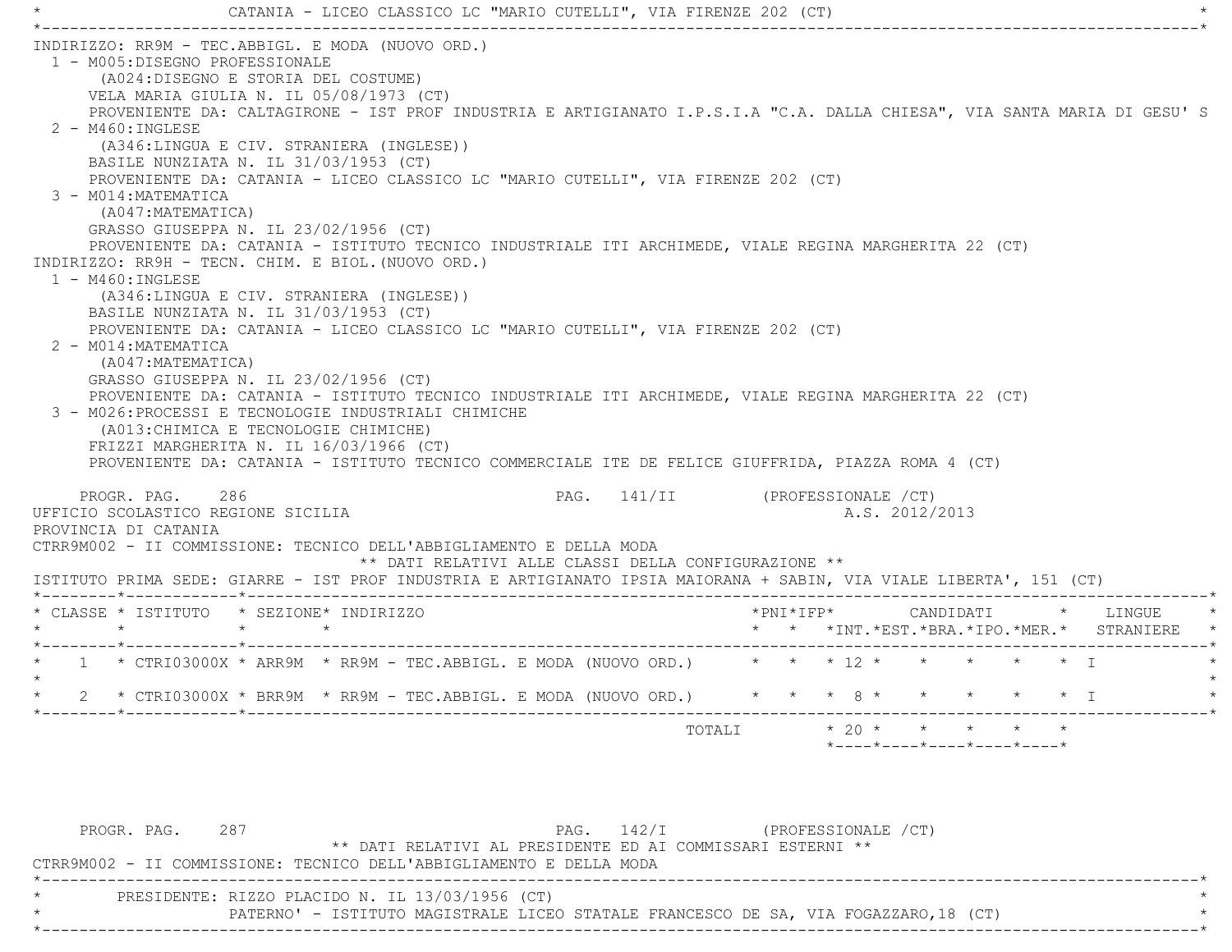CATANIA - LICEO CLASSICO LC "MARIO CUTELLI", VIA FIRENZE 202 (CT) \*----------------------------------------------------------------------------------------------------------------------------\* INDIRIZZO: RR9M - TEC.ABBIGL. E MODA (NUOVO ORD.) 1 - M005:DISEGNO PROFESSIONALE (A024:DISEGNO E STORIA DEL COSTUME) VELA MARIA GIULIA N. IL 05/08/1973 (CT) PROVENIENTE DA: CALTAGIRONE - IST PROF INDUSTRIA E ARTIGIANATO I.P.S.I.A "C.A. DALLA CHIESA", VIA SANTA MARIA DI GESU' S 2 - M460:INGLESE (A346:LINGUA E CIV. STRANIERA (INGLESE)) BASILE NUNZIATA N. IL 31/03/1953 (CT) PROVENIENTE DA: CATANIA - LICEO CLASSICO LC "MARIO CUTELLI", VIA FIRENZE 202 (CT) 3 - M014:MATEMATICA (A047:MATEMATICA) GRASSO GIUSEPPA N. IL 23/02/1956 (CT) PROVENIENTE DA: CATANIA - ISTITUTO TECNICO INDUSTRIALE ITI ARCHIMEDE, VIALE REGINA MARGHERITA 22 (CT) INDIRIZZO: RR9H - TECN. CHIM. E BIOL.(NUOVO ORD.) 1 - M460:INGLESE (A346:LINGUA E CIV. STRANIERA (INGLESE)) BASILE NUNZIATA N. IL 31/03/1953 (CT) PROVENIENTE DA: CATANIA - LICEO CLASSICO LC "MARIO CUTELLI", VIA FIRENZE 202 (CT) 2 - M014:MATEMATICA (A047:MATEMATICA) GRASSO GIUSEPPA N. IL 23/02/1956 (CT) PROVENIENTE DA: CATANIA - ISTITUTO TECNICO INDUSTRIALE ITI ARCHIMEDE, VIALE REGINA MARGHERITA 22 (CT) 3 - M026:PROCESSI E TECNOLOGIE INDUSTRIALI CHIMICHE (A013:CHIMICA E TECNOLOGIE CHIMICHE) FRIZZI MARGHERITA N. IL 16/03/1966 (CT) PROVENIENTE DA: CATANIA - ISTITUTO TECNICO COMMERCIALE ITE DE FELICE GIUFFRIDA, PIAZZA ROMA 4 (CT) PROGR. PAG. 286 286 PAG. 141/II (PROFESSIONALE / CT) UFFICIO SCOLASTICO REGIONE SICILIA A.S. 2012/2013 PROVINCIA DI CATANIA CTRR9M002 - II COMMISSIONE: TECNICO DELL'ABBIGLIAMENTO E DELLA MODA \*\* DATI RELATIVI ALLE CLASSI DELLA CONFIGURAZIONE \*\* ISTITUTO PRIMA SEDE: GIARRE - IST PROF INDUSTRIA E ARTIGIANATO IPSIA MAIORANA + SABIN, VIA VIALE LIBERTA', 151 (CT) \*--------\*------------\*-------------------------------------------------------------------------------------------------------\* \* CLASSE \* ISTITUTO \* SEZIONE\* INDIRIZZO \*PNI\*IFP\* CANDIDATI \* LINGUE \* \* \* \* \* \* \* \*INT.\*EST.\*BRA.\*IPO.\*MER.\* STRANIERE \* \*--------\*------------\*-------------------------------------------------------------------------------------------------------\*1 \* CTRI03000X \* ARR9M \* RR9M - TEC.ABBIGL. E MODA (NUOVO ORD.) \* \* \* 12 \* \* \* \* \* \* \* I  $\star$ \* 2 \* CTRI03000X \* BRR9M \* RR9M - TEC.ABBIGL. E MODA (NUOVO ORD.) \* \* \* 8 \* \* \* \* \* I \*

TOTALI  $\star$  20  $\star$   $\star$   $\star$   $\star$ 

\*----\*----\*----\*----\*----\*

PROGR. PAG. 287 287 PAG. 142/I (PROFESSIONALE / CT) \*\* DATI RELATIVI AL PRESIDENTE ED AI COMMISSARI ESTERNI \*\* CTRR9M002 - II COMMISSIONE: TECNICO DELL'ABBIGLIAMENTO E DELLA MODA \*----------------------------------------------------------------------------------------------------------------------------\*PRESIDENTE: RIZZO PLACIDO N. IL 13/03/1956 (CT) \* PATERNO' - ISTITUTO MAGISTRALE LICEO STATALE FRANCESCO DE SA, VIA FOGAZZARO,18 (CT) \* \*----------------------------------------------------------------------------------------------------------------------------\*

\*--------\*------------\*-------------------------------------------------------------------------------------------------------\*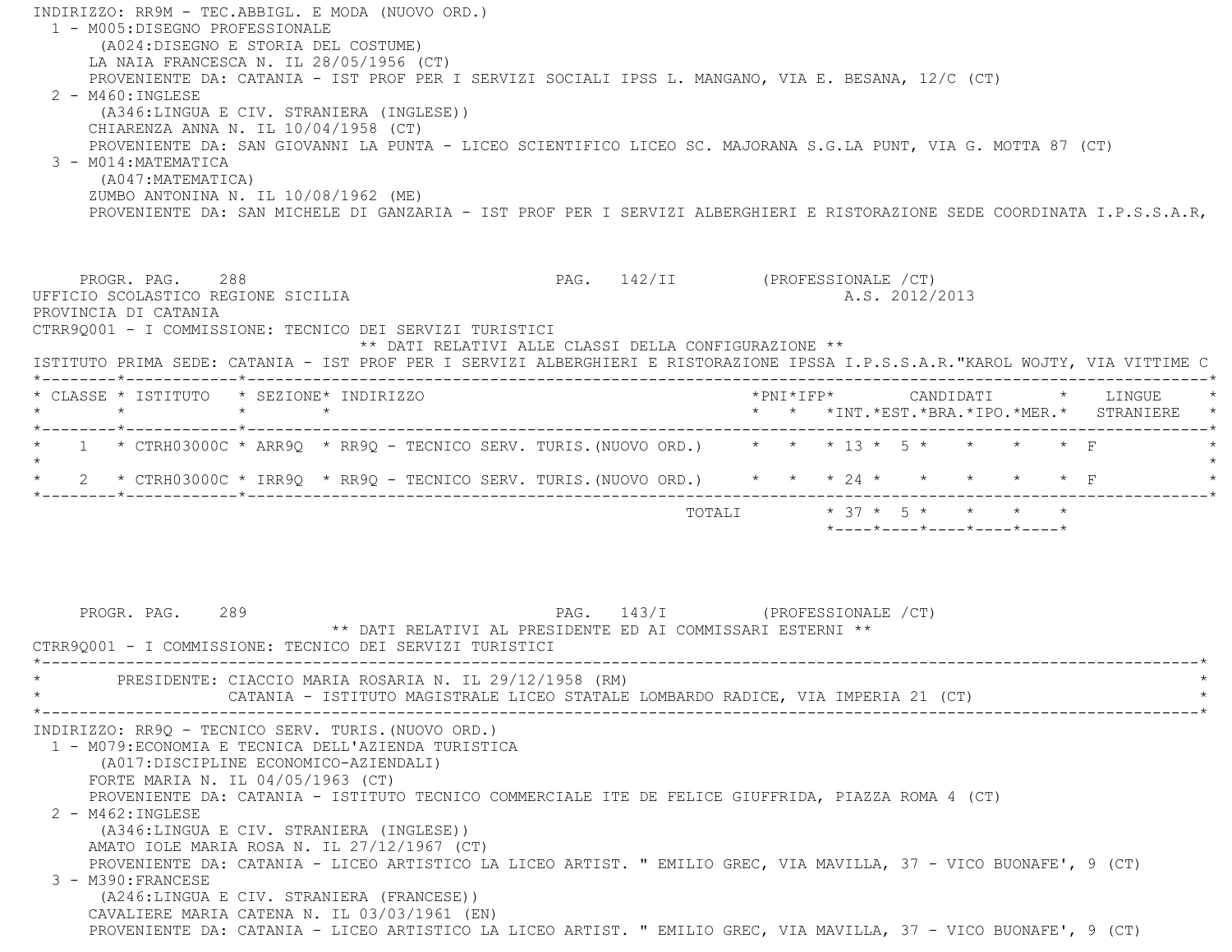INDIRIZZO: RR9M - TEC.ABBIGL. E MODA (NUOVO ORD.) 1 - M005:DISEGNO PROFESSIONALE (A024:DISEGNO E STORIA DEL COSTUME) LA NAIA FRANCESCA N. IL 28/05/1956 (CT) PROVENIENTE DA: CATANIA - IST PROF PER I SERVIZI SOCIALI IPSS L. MANGANO, VIA E. BESANA, 12/C (CT) 2 - M460:INGLESE (A346:LINGUA E CIV. STRANIERA (INGLESE)) CHIARENZA ANNA N. IL 10/04/1958 (CT) PROVENIENTE DA: SAN GIOVANNI LA PUNTA - LICEO SCIENTIFICO LICEO SC. MAJORANA S.G.LA PUNT, VIA G. MOTTA 87 (CT) 3 - M014:MATEMATICA (A047:MATEMATICA) ZUMBO ANTONINA N. IL 10/08/1962 (ME) PROVENIENTE DA: SAN MICHELE DI GANZARIA - IST PROF PER I SERVIZI ALBERGHIERI E RISTORAZIONE SEDE COORDINATA I.P.S.S.A.R, PROGR. PAG. 288 289 PAG. 142/II (PROFESSIONALE /CT) UFFICIO SCOLASTICO REGIONE SICILIA A.S. 2012/2013 PROVINCIA DI CATANIA CTRR9Q001 - I COMMISSIONE: TECNICO DEI SERVIZI TURISTICI \*\* DATI RELATIVI ALLE CLASSI DELLA CONFIGURAZIONE \*\* ISTITUTO PRIMA SEDE: CATANIA - IST PROF PER I SERVIZI ALBERGHIERI E RISTORAZIONE IPSSA I.P.S.S.A.R."KAROL WOJTY, VIA VITTIME C \*--------\*------------\*-------------------------------------------------------------------------------------------------------\* \* CLASSE \* ISTITUTO \* SEZIONE\* INDIRIZZO \*PNI\*IFP\* CANDIDATI \* LINGUE \* \* \* \* \* \* \* \*INT.\*EST.\*BRA.\*IPO.\*MER.\* STRANIERE \* \*--------\*------------\*-------------------------------------------------------------------------------------------------------\*1 \* CTRH03000C \* ARR9Q \* RR9Q - TECNICO SERV. TURIS. (NUOVO ORD.) \* \* \* 13 \* 5 \* \* \* \* \* \* F  $\star$  \* 2 \* CTRH03000C \* IRR9Q \* RR9Q - TECNICO SERV. TURIS.(NUOVO ORD.) \* \* \* 24 \* \* \* \* \* F \* \*--------\*------------\*-------------------------------------------------------------------------------------------------------\* TOTALI \* 37 \* 5 \* \* \* \* \*----\*----\*----\*----\*----\*PROGR. PAG. 289 289 PAG. 143/I (PROFESSIONALE / CT) \*\* DATI RELATIVI AL PRESIDENTE ED AI COMMISSARI ESTERNI \*\* CTRR9Q001 - I COMMISSIONE: TECNICO DEI SERVIZI TURISTICI \*----------------------------------------------------------------------------------------------------------------------------\*PRESIDENTE: CIACCIO MARIA ROSARIA N. IL 29/12/1958 (RM) CATANIA - ISTITUTO MAGISTRALE LICEO STATALE LOMBARDO RADICE, VIA IMPERIA 21 (CT) \*----------------------------------------------------------------------------------------------------------------------------\* INDIRIZZO: RR9Q - TECNICO SERV. TURIS.(NUOVO ORD.) 1 - M079:ECONOMIA E TECNICA DELL'AZIENDA TURISTICA (A017:DISCIPLINE ECONOMICO-AZIENDALI) FORTE MARIA N. IL 04/05/1963 (CT) PROVENIENTE DA: CATANIA - ISTITUTO TECNICO COMMERCIALE ITE DE FELICE GIUFFRIDA, PIAZZA ROMA 4 (CT) 2 - M462:INGLESE (A346:LINGUA E CIV. STRANIERA (INGLESE)) AMATO IOLE MARIA ROSA N. IL 27/12/1967 (CT) PROVENIENTE DA: CATANIA - LICEO ARTISTICO LA LICEO ARTIST. " EMILIO GREC, VIA MAVILLA, 37 - VICO BUONAFE', 9 (CT) 3 - M390:FRANCESE (A246:LINGUA E CIV. STRANIERA (FRANCESE)) CAVALIERE MARIA CATENA N. IL 03/03/1961 (EN) PROVENIENTE DA: CATANIA - LICEO ARTISTICO LA LICEO ARTIST. " EMILIO GREC, VIA MAVILLA, 37 - VICO BUONAFE', 9 (CT)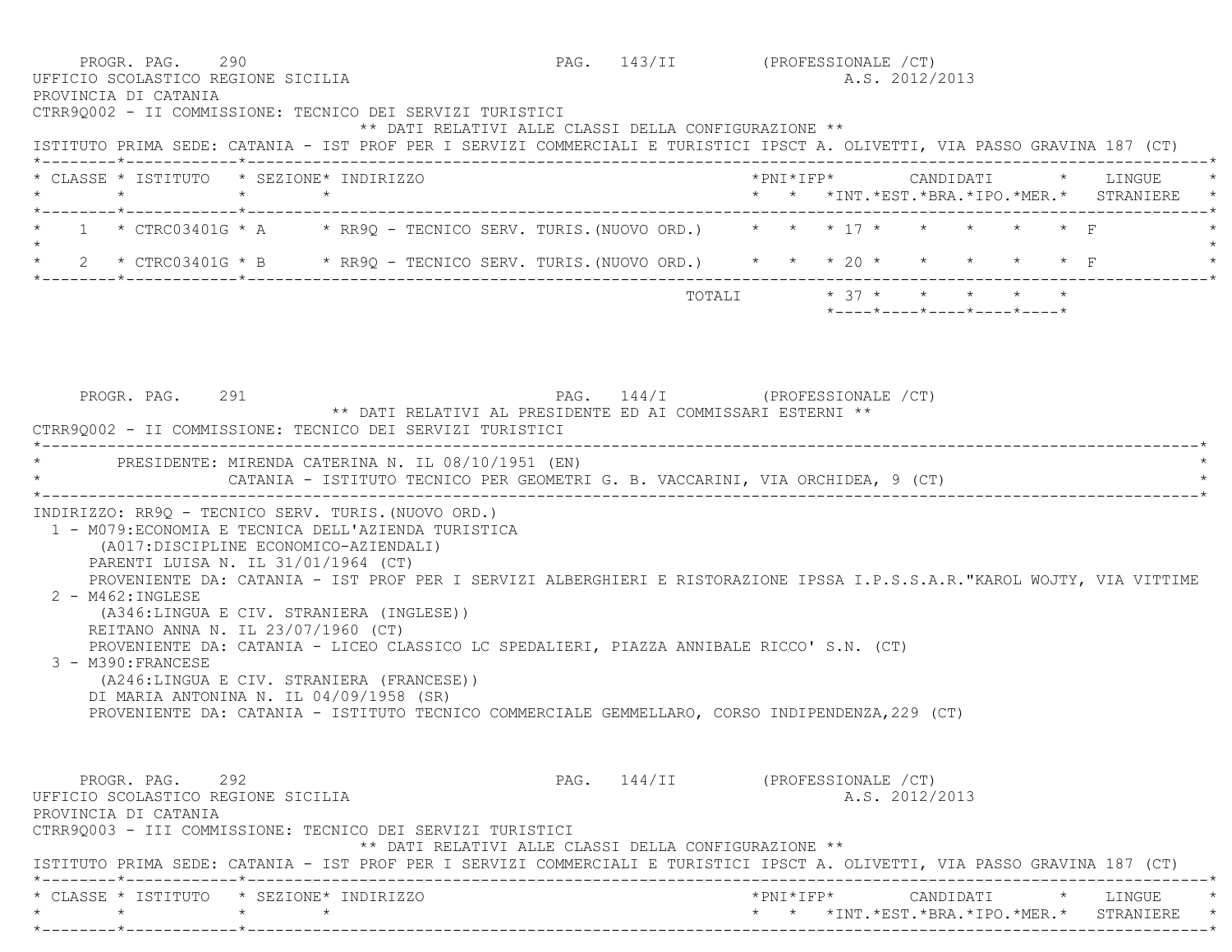|         | * CLASSE * ISTITUTO * SEZIONE* INDIRIZZO                                                                                                                                                                                                                                                                              |  |                                                                               |  |                                 |  |  |                            |  |  | * * *INT. *EST. *BRA. *IPO. *MER. * STRANIERE * |  |
|---------|-----------------------------------------------------------------------------------------------------------------------------------------------------------------------------------------------------------------------------------------------------------------------------------------------------------------------|--|-------------------------------------------------------------------------------|--|---------------------------------|--|--|----------------------------|--|--|-------------------------------------------------|--|
| $\star$ | * 1 * CTRC03401G * A * RR9Q - TECNICO SERV. TURIS. (NUOVO ORD.) * * * 17 * * * * * * * F                                                                                                                                                                                                                              |  |                                                                               |  |                                 |  |  |                            |  |  |                                                 |  |
|         | * 2 * CTRC03401G * B * RR9Q - TECNICO SERV. TURIS. (NUOVO ORD.) * * * 20 * * * * * * * F                                                                                                                                                                                                                              |  |                                                                               |  |                                 |  |  |                            |  |  |                                                 |  |
|         |                                                                                                                                                                                                                                                                                                                       |  |                                                                               |  | TOTALI $* 37 * * * * * * * * *$ |  |  | *----*----*----*----*----* |  |  |                                                 |  |
|         | CTRR90002 - II COMMISSIONE: TECNICO DEI SERVIZI TURISTICI<br>* PRESIDENTE: MIRENDA CATERINA N. IL 08/10/1951 (EN)                                                                                                                                                                                                     |  | ** DATI RELATIVI AL PRESIDENTE ED AI COMMISSARI ESTERNI **                    |  |                                 |  |  |                            |  |  |                                                 |  |
|         |                                                                                                                                                                                                                                                                                                                       |  | CATANIA - ISTITUTO TECNICO PER GEOMETRI G. B. VACCARINI, VIA ORCHIDEA, 9 (CT) |  |                                 |  |  |                            |  |  |                                                 |  |
|         |                                                                                                                                                                                                                                                                                                                       |  |                                                                               |  |                                 |  |  |                            |  |  |                                                 |  |
|         | INDIRIZZO: RR9Q - TECNICO SERV. TURIS. (NUOVO ORD.)<br>1 - M079: ECONOMIA E TECNICA DELL'AZIENDA TURISTICA<br>(A017:DISCIPLINE ECONOMICO-AZIENDALI)<br>PARENTI LUISA N. IL 31/01/1964 (CT)<br>PROVENIENTE DA: CATANIA - IST PROF PER I SERVIZI ALBERGHIERI E RISTORAZIONE IPSSA I.P.S.S.A.R."KAROL WOJTY, VIA VITTIME |  |                                                                               |  |                                 |  |  |                            |  |  |                                                 |  |
|         | 2 - M462: INGLESE<br>(A346:LINGUA E CIV. STRANIERA (INGLESE))<br>REITANO ANNA N. IL 23/07/1960 (CT)<br>PROVENIENTE DA: CATANIA - LICEO CLASSICO LC SPEDALIERI, PIAZZA ANNIBALE RICCO' S.N. (CT)                                                                                                                       |  |                                                                               |  |                                 |  |  |                            |  |  |                                                 |  |
|         | 3 - M390: FRANCESE<br>(A246:LINGUA E CIV. STRANIERA (FRANCESE))<br>DI MARIA ANTONINA N. IL 04/09/1958 (SR)<br>PROVENIENTE DA: CATANIA - ISTITUTO TECNICO COMMERCIALE GEMMELLARO, CORSO INDIPENDENZA, 229 (CT)                                                                                                         |  |                                                                               |  |                                 |  |  |                            |  |  |                                                 |  |
|         | PROGR. PAG. 292<br>UFFICIO SCOLASTICO REGIONE SICILIA<br>PROVINCIA DI CATANIA<br>CTRR9Q003 - III COMMISSIONE: TECNICO DEI SERVIZI TURISTICI                                                                                                                                                                           |  |                                                                               |  | PAG. 144/II (PROFESSIONALE /CT) |  |  | A.S. 2012/2013             |  |  |                                                 |  |
|         | ISTITUTO PRIMA SEDE: CATANIA - IST PROF PER I SERVIZI COMMERCIALI E TURISTICI IPSCT A. OLIVETTI, VIA PASSO GRAVINA 187 (CT)                                                                                                                                                                                           |  | ** DATI RELATIVI ALLE CLASSI DELLA CONFIGURAZIONE **                          |  |                                 |  |  |                            |  |  |                                                 |  |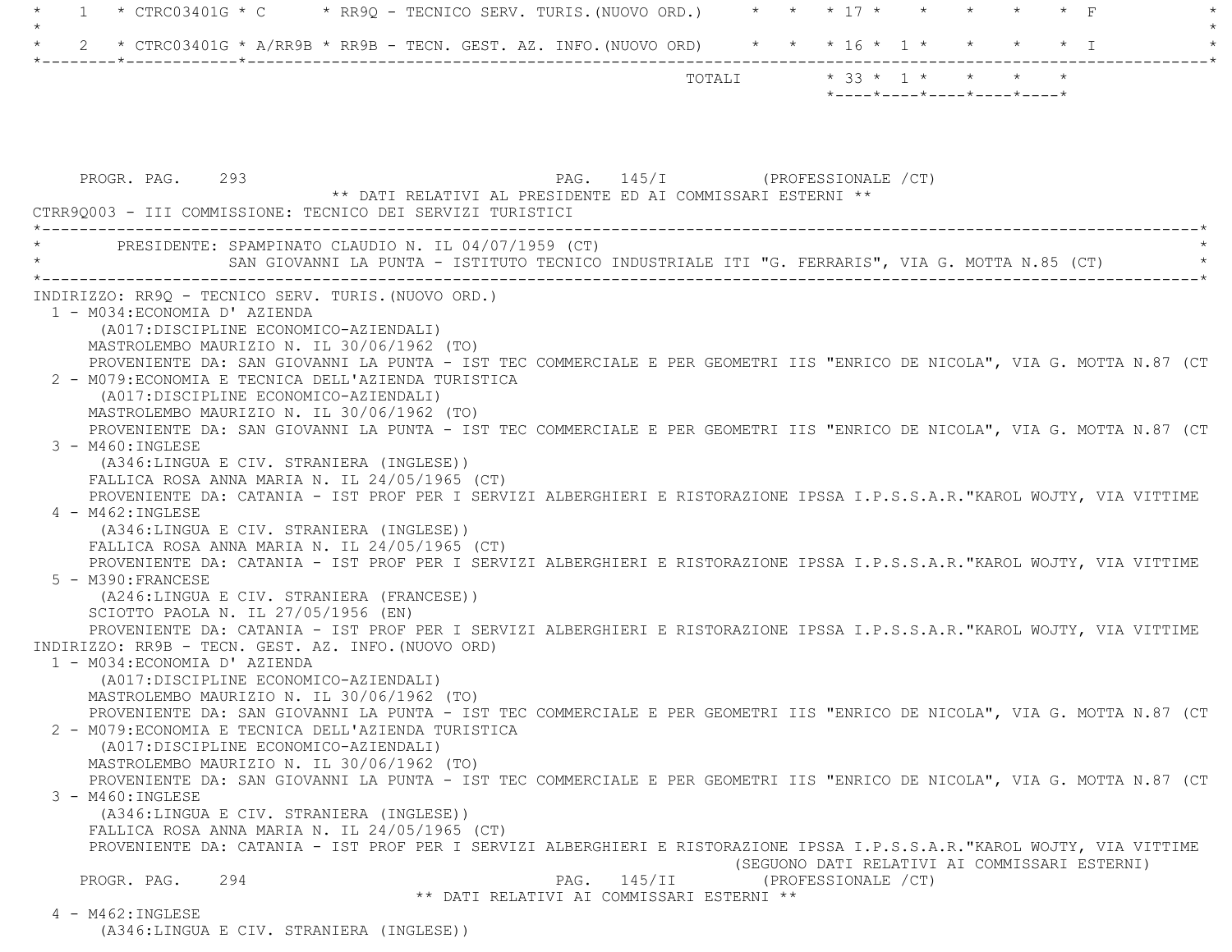| $\mathbf{1}$                                                                                | * CTRC03401G * C $\rightarrow$ RR9Q - TECNICO SERV. TURIS. (NUOVO ORD.) $\rightarrow$ * * 17 * * *                       |
|---------------------------------------------------------------------------------------------|--------------------------------------------------------------------------------------------------------------------------|
|                                                                                             | 2 * CTRC03401G * A/RR9B * RR9B - TECN. GEST. AZ. INFO. (NUOVO ORD) * * * 16 * 1 * * * * * * I                            |
|                                                                                             | TOTALI * 33 * 1 * * * * *<br>*----*----*----*----*----*                                                                  |
|                                                                                             |                                                                                                                          |
|                                                                                             |                                                                                                                          |
|                                                                                             |                                                                                                                          |
|                                                                                             |                                                                                                                          |
| PROGR. PAG. 293                                                                             | PAG. 145/I (PROFESSIONALE / CT)<br>** DATI RELATIVI AL PRESIDENTE ED AI COMMISSARI ESTERNI **                            |
| CTRR9Q003 - III COMMISSIONE: TECNICO DEI SERVIZI TURISTICI                                  |                                                                                                                          |
|                                                                                             |                                                                                                                          |
| * PRESIDENTE: SPAMPINATO CLAUDIO N. IL 04/07/1959 (CT)                                      |                                                                                                                          |
|                                                                                             | SAN GIOVANNI LA PUNTA - ISTITUTO TECNICO INDUSTRIALE ITI "G. FERRARIS", VIA G. MOTTA N.85 (CT)                           |
| INDIRIZZO: RR9Q - TECNICO SERV. TURIS. (NUOVO ORD.)                                         |                                                                                                                          |
| 1 - M034: ECONOMIA D' AZIENDA                                                               |                                                                                                                          |
| (A017:DISCIPLINE ECONOMICO-AZIENDALI)                                                       |                                                                                                                          |
| MASTROLEMBO MAURIZIO N. IL 30/06/1962 (TO)                                                  |                                                                                                                          |
|                                                                                             | PROVENIENTE DA: SAN GIOVANNI LA PUNTA - IST TEC COMMERCIALE E PER GEOMETRI IIS "ENRICO DE NICOLA", VIA G. MOTTA N.87 (CT |
| 2 - M079: ECONOMIA E TECNICA DELL'AZIENDA TURISTICA                                         |                                                                                                                          |
| (A017:DISCIPLINE ECONOMICO-AZIENDALI)                                                       |                                                                                                                          |
| MASTROLEMBO MAURIZIO N. IL 30/06/1962 (TO)                                                  |                                                                                                                          |
|                                                                                             | PROVENIENTE DA: SAN GIOVANNI LA PUNTA - IST TEC COMMERCIALE E PER GEOMETRI IIS "ENRICO DE NICOLA", VIA G. MOTTA N.87 (CT |
| 3 - M460: INGLESE                                                                           |                                                                                                                          |
| (A346:LINGUA E CIV. STRANIERA (INGLESE))<br>FALLICA ROSA ANNA MARIA N. IL $24/05/1965$ (CT) |                                                                                                                          |
|                                                                                             | PROVENIENTE DA: CATANIA - IST PROF PER I SERVIZI ALBERGHIERI E RISTORAZIONE IPSSA I.P.S.S.A.R. "KAROL WOJTY, VIA VITTIME |
| $4 - M462 : INGLESE$                                                                        |                                                                                                                          |
| (A346:LINGUA E CIV. STRANIERA (INGLESE))                                                    |                                                                                                                          |
| FALLICA ROSA ANNA MARIA N. IL $24/05/1965$ (CT)                                             |                                                                                                                          |
|                                                                                             | PROVENIENTE DA: CATANIA - IST PROF PER I SERVIZI ALBERGHIERI E RISTORAZIONE IPSSA I.P.S.S.A.R. "KAROL WOJTY, VIA VITTIME |
| 5 - M390: FRANCESE                                                                          |                                                                                                                          |
| (A246:LINGUA E CIV. STRANIERA (FRANCESE))                                                   |                                                                                                                          |
| SCIOTTO PAOLA N. IL 27/05/1956 (EN)                                                         |                                                                                                                          |
| INDIRIZZO: RR9B - TECN. GEST. AZ. INFO. (NUOVO ORD)                                         | PROVENIENTE DA: CATANIA - IST PROF PER I SERVIZI ALBERGHIERI E RISTORAZIONE IPSSA I.P.S.S.A.R."KAROL WOJTY, VIA VITTIME  |
| 1 - M034: ECONOMIA D' AZIENDA                                                               |                                                                                                                          |
| (A017: DISCIPLINE ECONOMICO-AZIENDALI)                                                      |                                                                                                                          |
| MASTROLEMBO MAURIZIO N. IL 30/06/1962 (TO)                                                  |                                                                                                                          |
|                                                                                             | PROVENIENTE DA: SAN GIOVANNI LA PUNTA - IST TEC COMMERCIALE E PER GEOMETRI IIS "ENRICO DE NICOLA", VIA G. MOTTA N.87 (CT |
| 2 - M079: ECONOMIA E TECNICA DELL'AZIENDA TURISTICA                                         |                                                                                                                          |
| (A017: DISCIPLINE ECONOMICO-AZIENDALI)                                                      |                                                                                                                          |
| MASTROLEMBO MAURIZIO N. IL 30/06/1962 (TO)                                                  |                                                                                                                          |
|                                                                                             | PROVENIENTE DA: SAN GIOVANNI LA PUNTA - IST TEC COMMERCIALE E PER GEOMETRI IIS "ENRICO DE NICOLA", VIA G. MOTTA N.87 (CT |
| $3 - M460$ : INGLESE                                                                        |                                                                                                                          |
| (A346:LINGUA E CIV. STRANIERA (INGLESE))<br>FALLICA ROSA ANNA MARIA N. IL $24/05/1965$ (CT) |                                                                                                                          |
|                                                                                             | PROVENIENTE DA: CATANIA - IST PROF PER I SERVIZI ALBERGHIERI E RISTORAZIONE IPSSA I.P.S.S.A.R."KAROL WOJTY, VIA VITTIME  |
|                                                                                             | (SEGUONO DATI RELATIVI AI COMMISSARI ESTERNI)                                                                            |
| PROGR. PAG.<br>294                                                                          | PAG. 145/II<br>(PROFESSIONALE / CT)                                                                                      |
|                                                                                             | ** DATI RELATIVI AI COMMISSARI ESTERNI **                                                                                |
| 4 - M462: INGLESE                                                                           |                                                                                                                          |
| (A346:LINGUA E CIV. STRANIERA (INGLESE))                                                    |                                                                                                                          |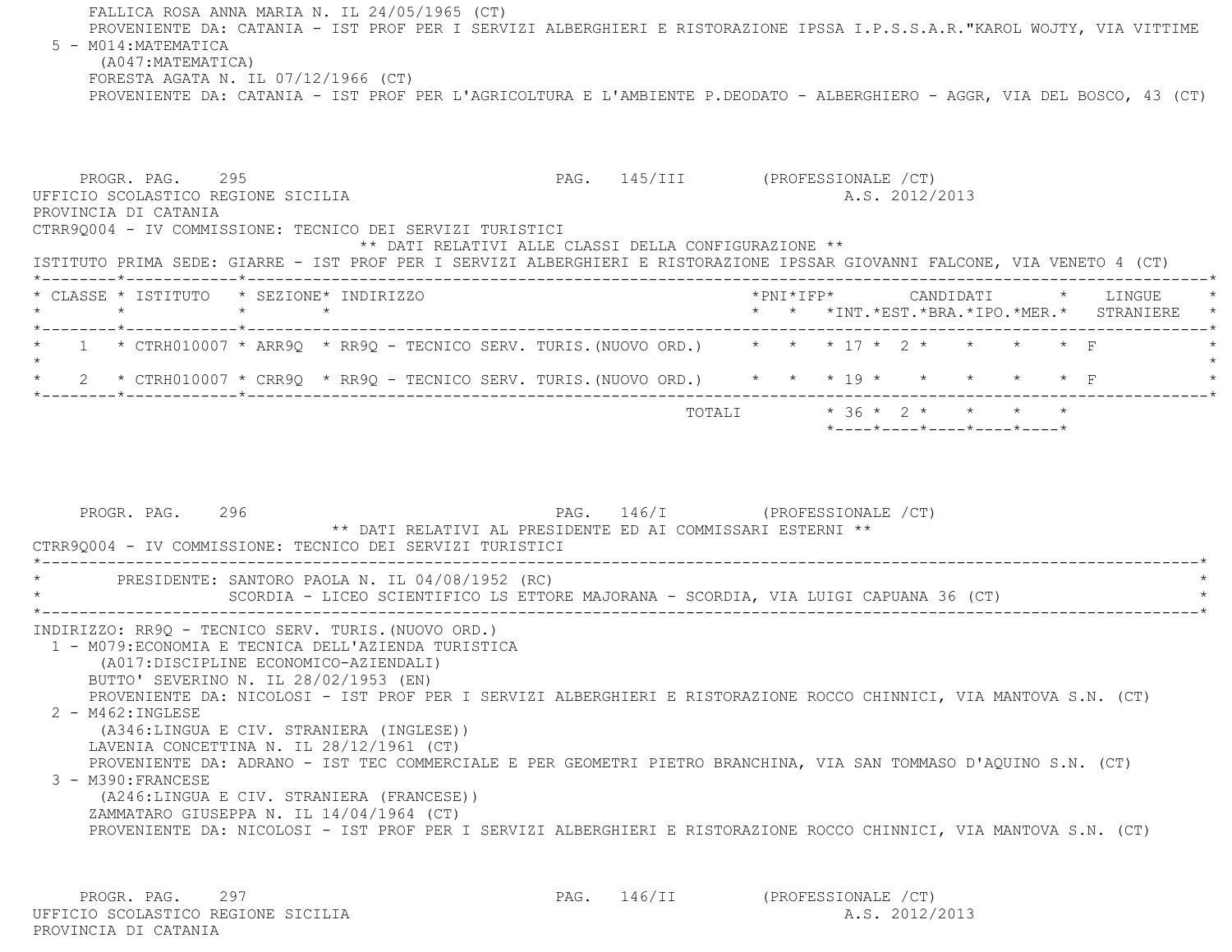FALLICA ROSA ANNA MARIA N. IL 24/05/1965 (CT) PROVENIENTE DA: CATANIA - IST PROF PER I SERVIZI ALBERGHIERI E RISTORAZIONE IPSSA I.P.S.S.A.R."KAROL WOJTY, VIA VITTIM E 5 - M014:MATEMATICA (A047:MATEMATICA) FORESTA AGATA N. IL 07/12/1966 (CT)

PROVENIENTE DA: CATANIA - IST PROF PER L'AGRICOLTURA E L'AMBIENTE P.DEODATO - ALBERGHIERO - AGGR, VIA DEL BOSCO, 43 (CT)

PROGR. PAG. 295 2009 PAG. 145/III (PROFESSIONALE / CT) UFFICIO SCOLASTICO REGIONE SICILIA A.S. 2012/2013 PROVINCIA DI CATANIA CTRR9Q004 - IV COMMISSIONE: TECNICO DEI SERVIZI TURISTICI \*\* DATI RELATIVI ALLE CLASSI DELLA CONFIGURAZIONE \*\* ISTITUTO PRIMA SEDE: GIARRE - IST PROF PER I SERVIZI ALBERGHIERI E RISTORAZIONE IPSSAR GIOVANNI FALCONE, VIA VENETO 4 (CT) \*--------\*------------\*-------------------------------------------------------------------------------------------------------\* \* CLASSE \* ISTITUTO \* SEZIONE\* INDIRIZZO \*PNI\*IFP\* CANDIDATI \* LINGUE \* \* \* \* \* \* \* \*INT.\*EST.\*BRA.\*IPO.\*MER.\* STRANIERE \* \*--------\*------------\*-------------------------------------------------------------------------------------------------------\*1 \* CTRH010007 \* ARR9Q \* RR9Q - TECNICO SERV. TURIS.(NUOVO ORD.) \* \* \* 17 \* 2 \* \* \* \* \* \* F  $\star$  \* 2 \* CTRH010007 \* CRR9Q \* RR9Q - TECNICO SERV. TURIS.(NUOVO ORD.) \* \* \* 19 \* \* \* \* \* F \* \*--------\*------------\*-------------------------------------------------------------------------------------------------------\*TOTALI  $* 36 * 2 * * * * * * * *$ 

PROGR. PAG. 296 296 PAG. 146/I (PROFESSIONALE / CT) \*\* DATI RELATIVI AL PRESIDENTE ED AI COMMISSARI ESTERNI \*\* CTRR9Q004 - IV COMMISSIONE: TECNICO DEI SERVIZI TURISTICI \*----------------------------------------------------------------------------------------------------------------------------\* \* PRESIDENTE: SANTORO PAOLA N. IL 04/08/1952 (RC) \* SCORDIA - LICEO SCIENTIFICO LS ETTORE MAJORANA - SCORDIA, VIA LUIGI CAPUANA 36 (CT) \*----------------------------------------------------------------------------------------------------------------------------\* INDIRIZZO: RR9Q - TECNICO SERV. TURIS.(NUOVO ORD.) 1 - M079:ECONOMIA E TECNICA DELL'AZIENDA TURISTICA (A017:DISCIPLINE ECONOMICO-AZIENDALI) BUTTO' SEVERINO N. IL 28/02/1953 (EN) PROVENIENTE DA: NICOLOSI - IST PROF PER I SERVIZI ALBERGHIERI E RISTORAZIONE ROCCO CHINNICI, VIA MANTOVA S.N. (CT) 2 - M462:INGLESE (A346:LINGUA E CIV. STRANIERA (INGLESE)) LAVENIA CONCETTINA N. IL 28/12/1961 (CT) PROVENIENTE DA: ADRANO - IST TEC COMMERCIALE E PER GEOMETRI PIETRO BRANCHINA, VIA SAN TOMMASO D'AQUINO S.N. (CT) 3 - M390:FRANCESE (A246:LINGUA E CIV. STRANIERA (FRANCESE)) ZAMMATARO GIUSEPPA N. IL 14/04/1964 (CT) PROVENIENTE DA: NICOLOSI - IST PROF PER I SERVIZI ALBERGHIERI E RISTORAZIONE ROCCO CHINNICI, VIA MANTOVA S.N. (CT)

PROGR. PAG. 297 297 PAG. 146/II (PROFESSIONALE /CT) UFFICIO SCOLASTICO REGIONE SICILIA A.S. 2012/2013 PROVINCIA DI CATANIA

\*----\*----\*----\*----\*----\*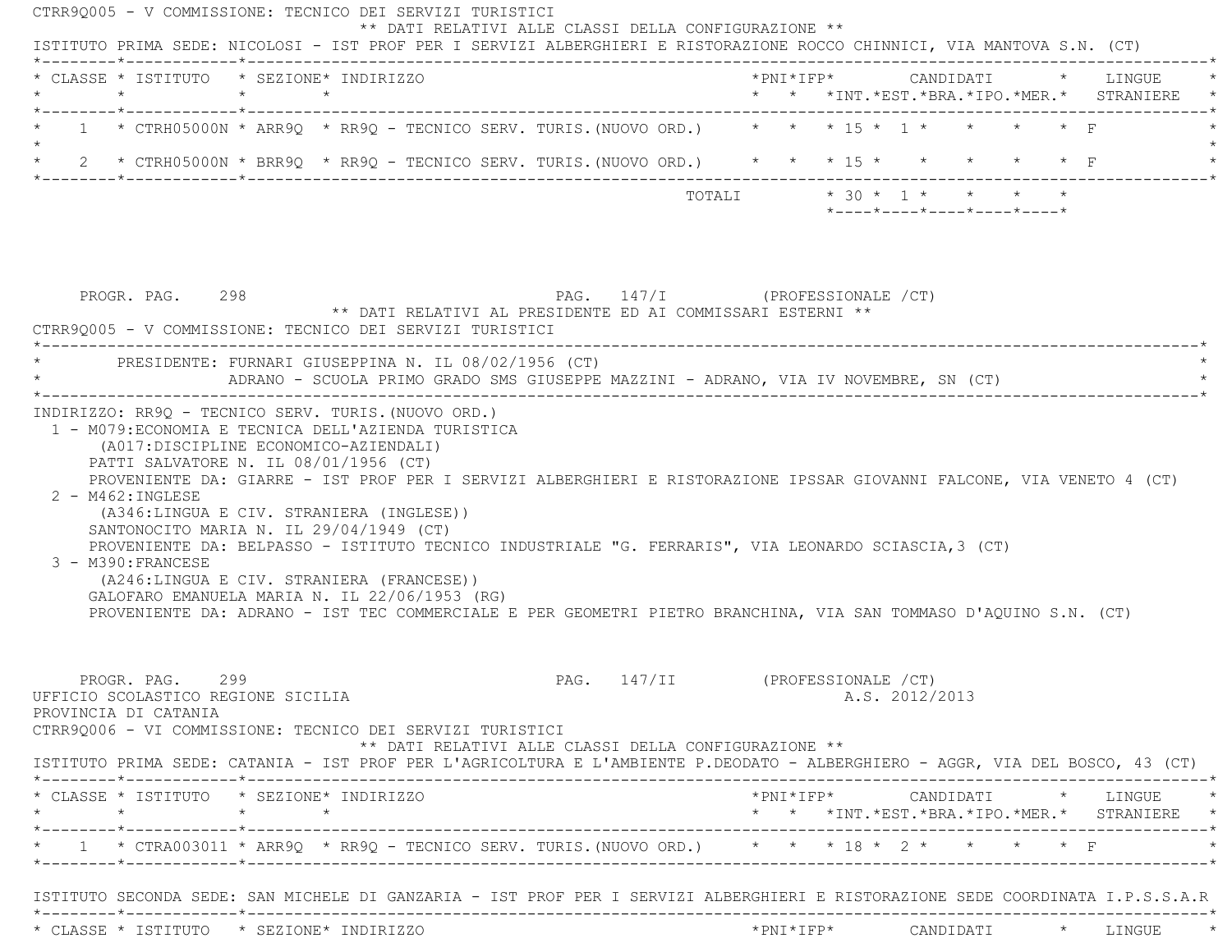| $\star$                                                                                                                                                                                                                                                                                                                                                                                                                             |                   | * CLASSE * ISTITUTO * SEZIONE* INDIRIZZO<br>$\star$ $\star$ |                                                                                     |  |                                                                                                                       |  |  |                |                            |  | * * *INT.*EST.*BRA.*IPO.*MER.* STRANIERE *                                                                                                    |  |
|-------------------------------------------------------------------------------------------------------------------------------------------------------------------------------------------------------------------------------------------------------------------------------------------------------------------------------------------------------------------------------------------------------------------------------------|-------------------|-------------------------------------------------------------|-------------------------------------------------------------------------------------|--|-----------------------------------------------------------------------------------------------------------------------|--|--|----------------|----------------------------|--|-----------------------------------------------------------------------------------------------------------------------------------------------|--|
| 1 * CTRH05000N * ARR9Q * RR9Q - TECNICO SERV. TURIS. (NUOVO ORD.) * * * 15 * 1 * * * * * * F                                                                                                                                                                                                                                                                                                                                        |                   |                                                             |                                                                                     |  |                                                                                                                       |  |  |                |                            |  |                                                                                                                                               |  |
|                                                                                                                                                                                                                                                                                                                                                                                                                                     |                   |                                                             |                                                                                     |  |                                                                                                                       |  |  |                |                            |  |                                                                                                                                               |  |
|                                                                                                                                                                                                                                                                                                                                                                                                                                     |                   |                                                             |                                                                                     |  |                                                                                                                       |  |  |                | *----*----*----*----*----* |  |                                                                                                                                               |  |
|                                                                                                                                                                                                                                                                                                                                                                                                                                     |                   |                                                             |                                                                                     |  |                                                                                                                       |  |  |                |                            |  |                                                                                                                                               |  |
| PROGR. PAG. 298<br>CTRR90005 - V COMMISSIONE: TECNICO DEI SERVIZI TURISTICI                                                                                                                                                                                                                                                                                                                                                         |                   |                                                             | ** DATI RELATIVI AL PRESIDENTE ED AI COMMISSARI ESTERNI **                          |  | PAG. 147/I (PROFESSIONALE /CT)                                                                                        |  |  |                |                            |  |                                                                                                                                               |  |
| * PRESIDENTE: FURNARI GIUSEPPINA N. IL 08/02/1956 (CT)                                                                                                                                                                                                                                                                                                                                                                              |                   |                                                             | ADRANO - SCUOLA PRIMO GRADO SMS GIUSEPPE MAZZINI - ADRANO, VIA IV NOVEMBRE, SN (CT) |  |                                                                                                                       |  |  |                |                            |  |                                                                                                                                               |  |
|                                                                                                                                                                                                                                                                                                                                                                                                                                     | 2 - M462: INGLESE |                                                             |                                                                                     |  | PROVENIENTE DA: GIARRE - IST PROF PER I SERVIZI ALBERGHIERI E RISTORAZIONE IPSSAR GIOVANNI FALCONE, VIA VENETO 4 (CT) |  |  |                |                            |  |                                                                                                                                               |  |
| (A346:LINGUA E CIV. STRANIERA (INGLESE))<br>SANTONOCITO MARIA N. IL 29/04/1949 (CT)<br>PROVENIENTE DA: BELPASSO - ISTITUTO TECNICO INDUSTRIALE "G. FERRARIS", VIA LEONARDO SCIASCIA, 3 (CT)<br>3 - M390: FRANCESE<br>(A246:LINGUA E CIV. STRANIERA (FRANCESE))<br>GALOFARO EMANUELA MARIA N. IL 22/06/1953 (RG)<br>PROVENIENTE DA: ADRANO - IST TEC COMMERCIALE E PER GEOMETRI PIETRO BRANCHINA, VIA SAN TOMMASO D'AQUINO S.N. (CT) |                   |                                                             |                                                                                     |  |                                                                                                                       |  |  |                |                            |  |                                                                                                                                               |  |
| PROGR. PAG. 299<br>UFFICIO SCOLASTICO REGIONE SICILIA<br>PROVINCIA DI CATANIA<br>CTRR90006 - VI COMMISSIONE: TECNICO DEI SERVIZI TURISTICI                                                                                                                                                                                                                                                                                          |                   |                                                             | ** DATI RELATIVI ALLE CLASSI DELLA CONFIGURAZIONE **                                |  | PAG. 147/II (PROFESSIONALE /CT)                                                                                       |  |  | A.S. 2012/2013 |                            |  |                                                                                                                                               |  |
| ISTITUTO PRIMA SEDE: CATANIA - IST PROF PER L'AGRICOLTURA E L'AMBIENTE P.DEODATO - ALBERGHIERO - AGGR, VIA DEL BOSCO, 43 (CT)                                                                                                                                                                                                                                                                                                       |                   |                                                             |                                                                                     |  |                                                                                                                       |  |  |                |                            |  |                                                                                                                                               |  |
| * CLASSE * ISTITUTO * SEZIONE* INDIRIZZO<br>$\star$                                                                                                                                                                                                                                                                                                                                                                                 |                   | $\star$ $\star$                                             |                                                                                     |  |                                                                                                                       |  |  |                |                            |  | $*PNI*IFP* \qquad \qquad \text{CANDIDATI} \qquad \qquad * \qquad \text{LINGUE} \qquad \qquad *$<br>* * *INT.*EST.*BRA.*IPO.*MER.* STRANIERE * |  |
| * 1 * CTRA003011 * ARR9Q * RR9Q - TECNICO SERV. TURIS. (NUOVO ORD.) * * * 18 * 2 * * * * * * F                                                                                                                                                                                                                                                                                                                                      |                   |                                                             |                                                                                     |  |                                                                                                                       |  |  |                |                            |  |                                                                                                                                               |  |
| ISTITUTO SECONDA SEDE: SAN MICHELE DI GANZARIA - IST PROF PER I SERVIZI ALBERGHIERI E RISTORAZIONE SEDE COORDINATA I.P.S.S.A.R                                                                                                                                                                                                                                                                                                      |                   |                                                             |                                                                                     |  |                                                                                                                       |  |  |                |                            |  |                                                                                                                                               |  |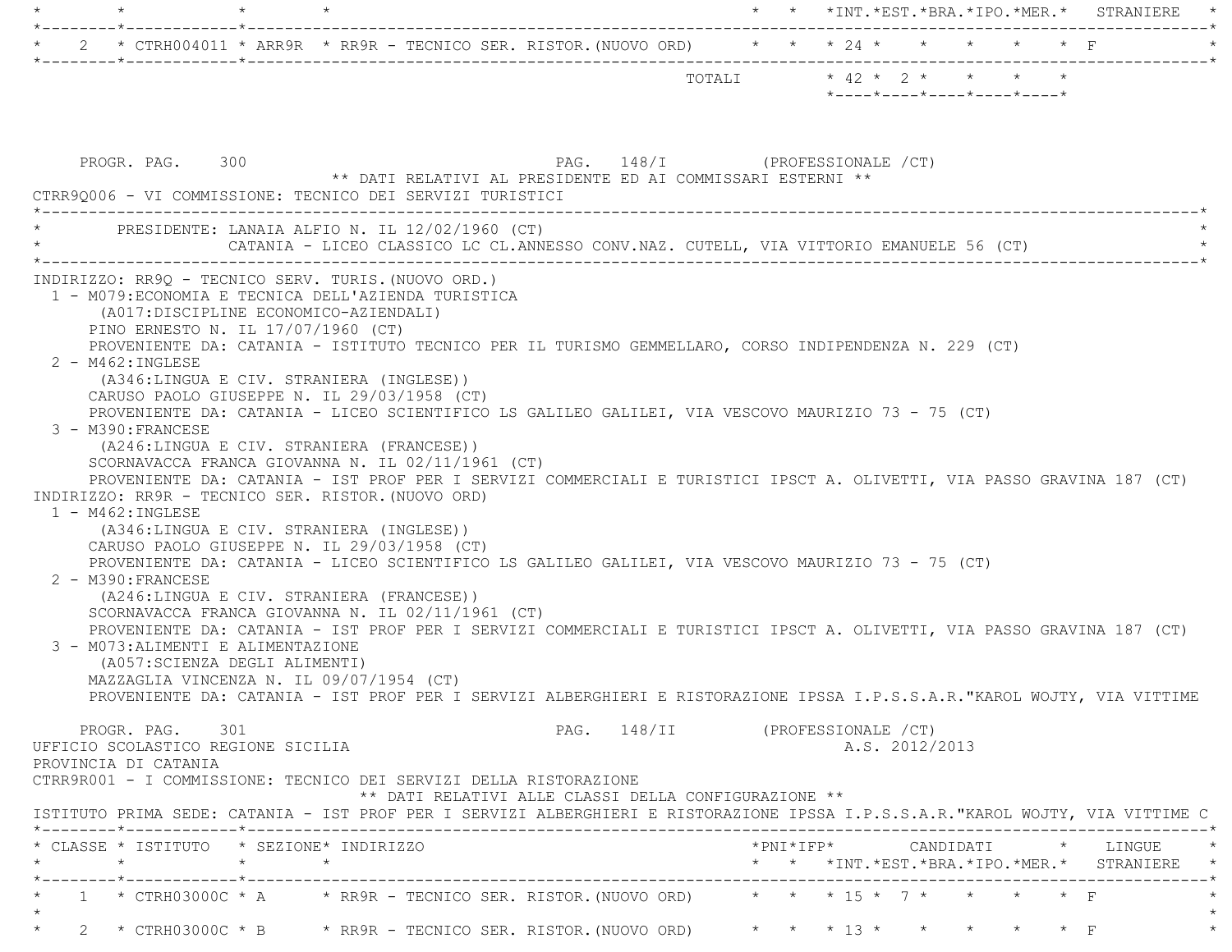|                                                                                                                                                                                                                                                                                                                                                                                                                                                                                                                                                                                                                                                                                                                                                                                                                                                                                                                                                                                                                                                                                                                                                                                                                                                                                                                                                                                                                               | $\star$ $\star$ $\star$ INT. $\star$ EST. $\star$ BRA. $\star$ IPO. $\star$ MER. $\star$ STRANIERE |
|-------------------------------------------------------------------------------------------------------------------------------------------------------------------------------------------------------------------------------------------------------------------------------------------------------------------------------------------------------------------------------------------------------------------------------------------------------------------------------------------------------------------------------------------------------------------------------------------------------------------------------------------------------------------------------------------------------------------------------------------------------------------------------------------------------------------------------------------------------------------------------------------------------------------------------------------------------------------------------------------------------------------------------------------------------------------------------------------------------------------------------------------------------------------------------------------------------------------------------------------------------------------------------------------------------------------------------------------------------------------------------------------------------------------------------|----------------------------------------------------------------------------------------------------|
| * CTRH004011 * ARR9R * RR9R - TECNICO SER. RISTOR. (NUOVO ORD) * * * 24 * * * * * * * * F                                                                                                                                                                                                                                                                                                                                                                                                                                                                                                                                                                                                                                                                                                                                                                                                                                                                                                                                                                                                                                                                                                                                                                                                                                                                                                                                     |                                                                                                    |
|                                                                                                                                                                                                                                                                                                                                                                                                                                                                                                                                                                                                                                                                                                                                                                                                                                                                                                                                                                                                                                                                                                                                                                                                                                                                                                                                                                                                                               | TOTALI * 42 * 2 * * * * *<br>*----*----*----*----*----*                                            |
| PAG. 148/I (PROFESSIONALE /CT)<br>PROGR. PAG. 300<br>** DATI RELATIVI AL PRESIDENTE ED AI COMMISSARI ESTERNI **<br>CTRR90006 - VI COMMISSIONE: TECNICO DEI SERVIZI TURISTICI<br>* PRESIDENTE: LANAIA ALFIO N. IL 12/02/1960 (CT)                                                                                                                                                                                                                                                                                                                                                                                                                                                                                                                                                                                                                                                                                                                                                                                                                                                                                                                                                                                                                                                                                                                                                                                              |                                                                                                    |
| CATANIA - LICEO CLASSICO LC CL.ANNESSO CONV.NAZ. CUTELL, VIA VITTORIO EMANUELE 56 (CT)                                                                                                                                                                                                                                                                                                                                                                                                                                                                                                                                                                                                                                                                                                                                                                                                                                                                                                                                                                                                                                                                                                                                                                                                                                                                                                                                        |                                                                                                    |
| INDIRIZZO: RR90 - TECNICO SERV. TURIS. (NUOVO ORD.)<br>1 - M079: ECONOMIA E TECNICA DELL'AZIENDA TURISTICA<br>(A017: DISCIPLINE ECONOMICO-AZIENDALI)<br>PINO ERNESTO N. IL 17/07/1960 (CT)<br>PROVENIENTE DA: CATANIA - ISTITUTO TECNICO PER IL TURISMO GEMMELLARO, CORSO INDIPENDENZA N. 229 (CT)<br>2 - M462: INGLESE<br>(A346:LINGUA E CIV. STRANIERA (INGLESE))<br>CARUSO PAOLO GIUSEPPE N. IL 29/03/1958 (CT)<br>PROVENIENTE DA: CATANIA - LICEO SCIENTIFICO LS GALILEO GALILEI, VIA VESCOVO MAURIZIO 73 - 75 (CT)<br>3 - M390: FRANCESE<br>(A246:LINGUA E CIV. STRANIERA (FRANCESE))<br>SCORNAVACCA FRANCA GIOVANNA N. IL 02/11/1961 (CT)<br>PROVENIENTE DA: CATANIA - IST PROF PER I SERVIZI COMMERCIALI E TURISTICI IPSCT A. OLIVETTI, VIA PASSO GRAVINA 187 (CT)<br>INDIRIZZO: RR9R - TECNICO SER. RISTOR. (NUOVO ORD)<br>$1 - M462$ : INGLESE<br>(A346:LINGUA E CIV. STRANIERA (INGLESE))<br>CARUSO PAOLO GIUSEPPE N. IL 29/03/1958 (CT)<br>PROVENIENTE DA: CATANIA - LICEO SCIENTIFICO LS GALILEO GALILEI, VIA VESCOVO MAURIZIO 73 - 75 (CT)<br>2 - M390: FRANCESE<br>(A246:LINGUA E CIV. STRANIERA (FRANCESE))<br>SCORNAVACCA FRANCA GIOVANNA N. IL 02/11/1961 (CT)<br>PROVENIENTE DA: CATANIA - IST PROF PER I SERVIZI COMMERCIALI E TURISTICI IPSCT A. OLIVETTI, VIA PASSO GRAVINA 187 (CT)<br>3 - M073: ALIMENTI E ALIMENTAZIONE<br>(A057: SCIENZA DEGLI ALIMENTI)<br>MAZZAGLIA VINCENZA N. IL 09/07/1954 (CT) |                                                                                                    |
| PROVENIENTE DA: CATANIA - IST PROF PER I SERVIZI ALBERGHIERI E RISTORAZIONE IPSSA I.P.S.S.A.R. "KAROL WOJTY, VIA VITTIME                                                                                                                                                                                                                                                                                                                                                                                                                                                                                                                                                                                                                                                                                                                                                                                                                                                                                                                                                                                                                                                                                                                                                                                                                                                                                                      |                                                                                                    |
| PROGR. PAG. 301<br>UFFICIO SCOLASTICO REGIONE SICILIA<br>PROVINCIA DI CATANIA<br>CTRR9R001 - I COMMISSIONE: TECNICO DEI SERVIZI DELLA RISTORAZIONE<br>** DATI RELATIVI ALLE CLASSI DELLA CONFIGURAZIONE **                                                                                                                                                                                                                                                                                                                                                                                                                                                                                                                                                                                                                                                                                                                                                                                                                                                                                                                                                                                                                                                                                                                                                                                                                    | PAG. 148/II (PROFESSIONALE /CT)<br>A.S. 2012/2013                                                  |
| ISTITUTO PRIMA SEDE: CATANIA - IST PROF PER I SERVIZI ALBERGHIERI E RISTORAZIONE IPSSA I.P.S.S.A.R. "KAROL WOJTY, VIA VITTIME C                                                                                                                                                                                                                                                                                                                                                                                                                                                                                                                                                                                                                                                                                                                                                                                                                                                                                                                                                                                                                                                                                                                                                                                                                                                                                               |                                                                                                    |
| * CLASSE * ISTITUTO * SEZIONE* INDIRIZZO                                                                                                                                                                                                                                                                                                                                                                                                                                                                                                                                                                                                                                                                                                                                                                                                                                                                                                                                                                                                                                                                                                                                                                                                                                                                                                                                                                                      | * * *INT. *EST. *BRA. *IPO. *MER. * STRANIERE *                                                    |
| 1 * CTRH03000C * A $\rightarrow$ RR9R - TECNICO SER. RISTOR. (NUOVO ORD) $\rightarrow$ * * * 15 * 7 * *                                                                                                                                                                                                                                                                                                                                                                                                                                                                                                                                                                                                                                                                                                                                                                                                                                                                                                                                                                                                                                                                                                                                                                                                                                                                                                                       | $\star$ $\star$ $\Gamma$                                                                           |
|                                                                                                                                                                                                                                                                                                                                                                                                                                                                                                                                                                                                                                                                                                                                                                                                                                                                                                                                                                                                                                                                                                                                                                                                                                                                                                                                                                                                                               | 2 * CTRH03000C * B * RR9R - TECNICO SER. RISTOR. (NUOVO ORD) * * * 13 * * * * * * * F              |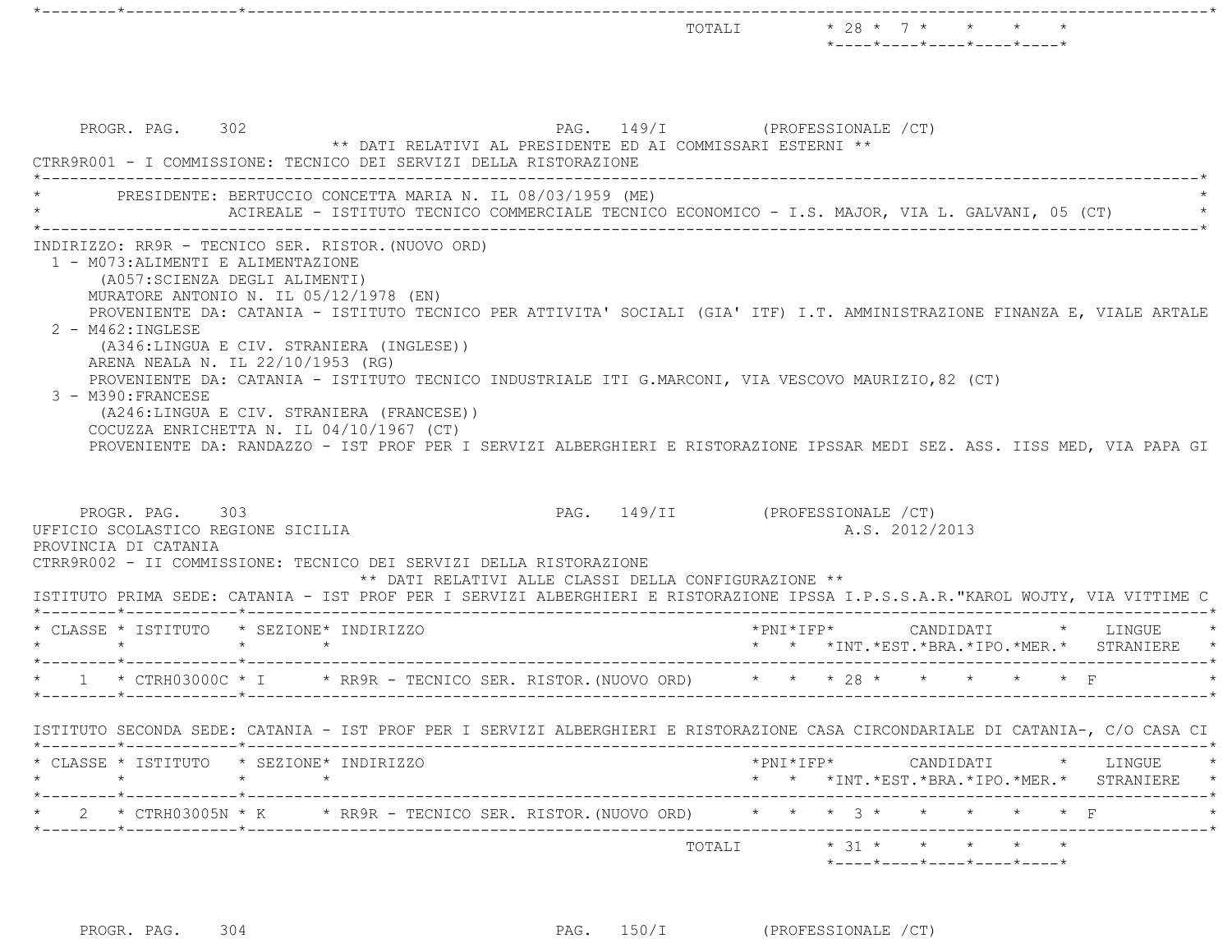| PROGR. PAG. 302<br>PAG. 149/I (PROFESSIONALE /CT)<br>** DATI RELATIVI AL PRESIDENTE ED AI COMMISSARI ESTERNI **<br>CTRR9R001 - I COMMISSIONE: TECNICO DEI SERVIZI DELLA RISTORAZIONE<br>PRESIDENTE: BERTUCCIO CONCETTA MARIA N. IL 08/03/1959 (ME)                                                                                                                                                                                                                                                                                                                                                                         |                                                                                                 |
|----------------------------------------------------------------------------------------------------------------------------------------------------------------------------------------------------------------------------------------------------------------------------------------------------------------------------------------------------------------------------------------------------------------------------------------------------------------------------------------------------------------------------------------------------------------------------------------------------------------------------|-------------------------------------------------------------------------------------------------|
|                                                                                                                                                                                                                                                                                                                                                                                                                                                                                                                                                                                                                            |                                                                                                 |
|                                                                                                                                                                                                                                                                                                                                                                                                                                                                                                                                                                                                                            | ACIREALE - ISTITUTO TECNICO COMMERCIALE TECNICO ECONOMICO - I.S. MAJOR, VIA L. GALVANI, 05 (CT) |
| MURATORE ANTONIO N. IL 05/12/1978 (EN)<br>PROVENIENTE DA: CATANIA - ISTITUTO TECNICO PER ATTIVITA' SOCIALI (GIA' ITF) I.T. AMMINISTRAZIONE FINANZA E, VIALE ARTALE<br>2 - M462: INGLESE<br>(A346:LINGUA E CIV. STRANIERA (INGLESE))<br>ARENA NEALA N. IL 22/10/1953 (RG)<br>PROVENIENTE DA: CATANIA - ISTITUTO TECNICO INDUSTRIALE ITI G.MARCONI, VIA VESCOVO MAURIZIO, 82 (CT)<br>3 - M390: FRANCESE<br>(A246:LINGUA E CIV. STRANIERA (FRANCESE))<br>COCUZZA ENRICHETTA N. IL 04/10/1967 (CT)<br>PROVENIENTE DA: RANDAZZO - IST PROF PER I SERVIZI ALBERGHIERI E RISTORAZIONE IPSSAR MEDI SEZ. ASS. IISS MED, VIA PAPA GI |                                                                                                 |
| PROGR. PAG. 303<br>UFFICIO SCOLASTICO REGIONE SICILIA<br>PROVINCIA DI CATANIA<br>CTRR9R002 - II COMMISSIONE: TECNICO DEI SERVIZI DELLA RISTORAZIONE<br>** DATI RELATIVI ALLE CLASSI DELLA CONFIGURAZIONE **                                                                                                                                                                                                                                                                                                                                                                                                                | PAG. 149/II (PROFESSIONALE /CT)<br>A.S. 2012/2013                                               |
| ISTITUTO PRIMA SEDE: CATANIA - IST PROF PER I SERVIZI ALBERGHIERI E RISTORAZIONE IPSSA I.P.S.S.A.R."KAROL WOJTY, VIA VITTIME C<br>* CLASSE * ISTITUTO * SEZIONE* INDIRIZZO                                                                                                                                                                                                                                                                                                                                                                                                                                                 | *PNI*IFP* CANDIDATI                                                                             |
|                                                                                                                                                                                                                                                                                                                                                                                                                                                                                                                                                                                                                            | $\star$ LINGUE $\star$<br>* * *INT.*EST.*BRA.*IPO.*MER.* STRANIERE *                            |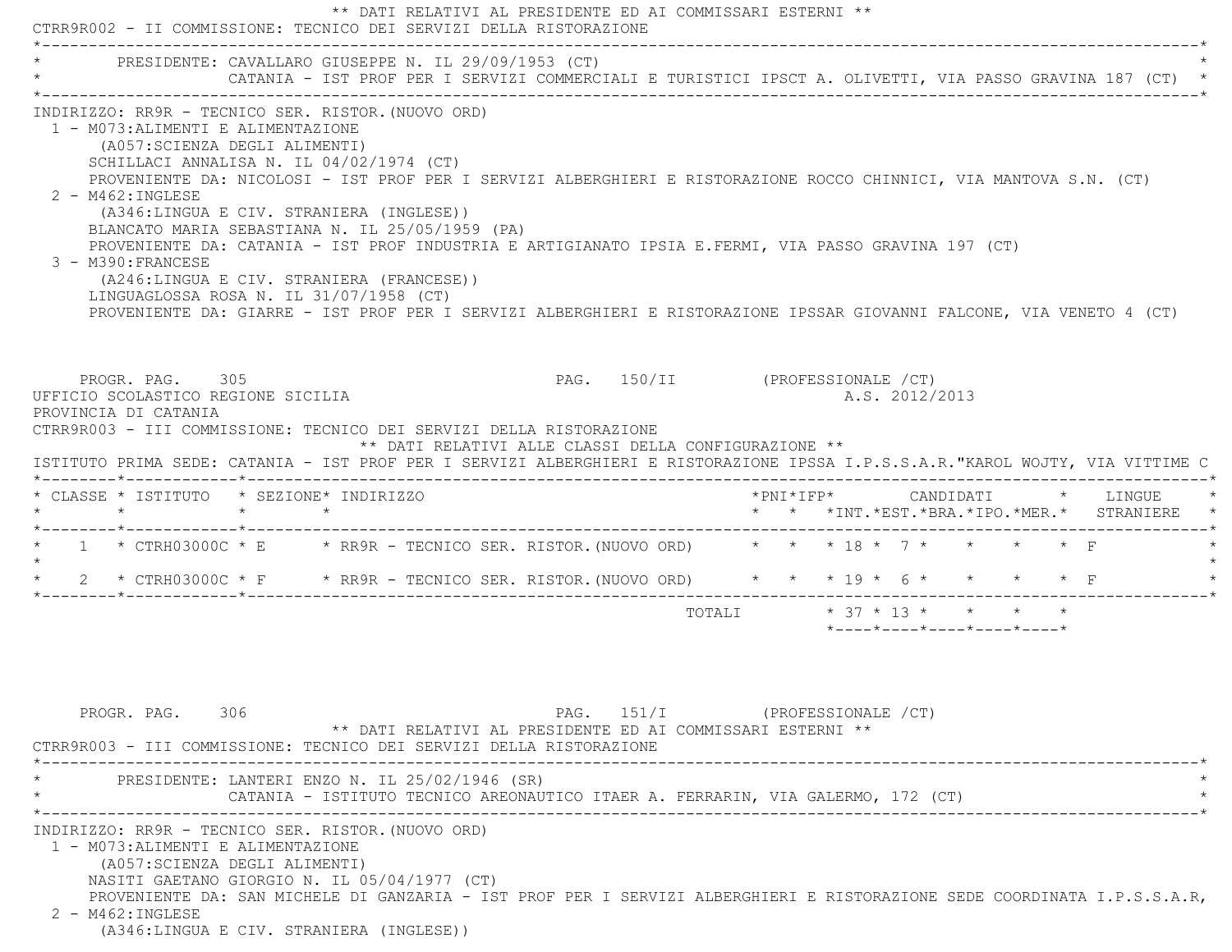| CTRR9R002 - II COMMISSIONE: TECNICO DEI SERVIZI DELLA RISTORAZIONE                                                                                                                                                                                                                                                                                                                                                                                                                                                                                                                                                                                                                                                                                                 |  | ** DATI RELATIVI AL PRESIDENTE ED AI COMMISSARI ESTERNI **                      |                                 |                            |  |  |  |                |                                         |                          |                                                                                                          |
|--------------------------------------------------------------------------------------------------------------------------------------------------------------------------------------------------------------------------------------------------------------------------------------------------------------------------------------------------------------------------------------------------------------------------------------------------------------------------------------------------------------------------------------------------------------------------------------------------------------------------------------------------------------------------------------------------------------------------------------------------------------------|--|---------------------------------------------------------------------------------|---------------------------------|----------------------------|--|--|--|----------------|-----------------------------------------|--------------------------|----------------------------------------------------------------------------------------------------------|
| PRESIDENTE: CAVALLARO GIUSEPPE N. IL 29/09/1953 (CT)                                                                                                                                                                                                                                                                                                                                                                                                                                                                                                                                                                                                                                                                                                               |  |                                                                                 |                                 |                            |  |  |  |                |                                         |                          | CATANIA - IST PROF PER I SERVIZI COMMERCIALI E TURISTICI IPSCT A. OLIVETTI, VIA PASSO GRAVINA 187 (CT) * |
| INDIRIZZO: RR9R - TECNICO SER. RISTOR. (NUOVO ORD)<br>1 - M073: ALIMENTI E ALIMENTAZIONE<br>(A057: SCIENZA DEGLI ALIMENTI)<br>SCHILLACI ANNALISA N. IL 04/02/1974 (CT)<br>PROVENIENTE DA: NICOLOSI - IST PROF PER I SERVIZI ALBERGHIERI E RISTORAZIONE ROCCO CHINNICI, VIA MANTOVA S.N. (CT)<br>$2 - M462 : INGLESE$<br>(A346:LINGUA E CIV. STRANIERA (INGLESE))<br>BLANCATO MARIA SEBASTIANA N. IL 25/05/1959 (PA)<br>PROVENIENTE DA: CATANIA - IST PROF INDUSTRIA E ARTIGIANATO IPSIA E.FERMI, VIA PASSO GRAVINA 197 (CT)<br>3 - M390: FRANCESE<br>(A246:LINGUA E CIV. STRANIERA (FRANCESE))<br>LINGUAGLOSSA ROSA N. IL 31/07/1958 (CT)<br>PROVENIENTE DA: GIARRE - IST PROF PER I SERVIZI ALBERGHIERI E RISTORAZIONE IPSSAR GIOVANNI FALCONE, VIA VENETO 4 (CT) |  |                                                                                 |                                 |                            |  |  |  |                |                                         |                          |                                                                                                          |
| PROGR. PAG. 305<br>UFFICIO SCOLASTICO REGIONE SICILIA<br>PROVINCIA DI CATANIA<br>CTRR9R003 - III COMMISSIONE: TECNICO DEI SERVIZI DELLA RISTORAZIONE<br>ISTITUTO PRIMA SEDE: CATANIA - IST PROF PER I SERVIZI ALBERGHIERI E RISTORAZIONE IPSSA I.P.S.S.A.R."KAROL WOJTY, VIA VITTIME C                                                                                                                                                                                                                                                                                                                                                                                                                                                                             |  | ** DATI RELATIVI ALLE CLASSI DELLA CONFIGURAZIONE **                            | PAG. 150/II (PROFESSIONALE /CT) |                            |  |  |  | A.S. 2012/2013 |                                         |                          |                                                                                                          |
| * CLASSE * ISTITUTO * SEZIONE* INDIRIZZO                                                                                                                                                                                                                                                                                                                                                                                                                                                                                                                                                                                                                                                                                                                           |  |                                                                                 |                                 |                            |  |  |  |                |                                         |                          | *PNI*IFP*     CANDIDATI    *   LINGUE<br>* * *INT. *EST. *BRA. *IPO. *MER. * STRANIERE                   |
| * 1 * CTRH03000C * E * RR9R - TECNICO SER. RISTOR. (NUOVO ORD) * * * 18 * 7 * *                                                                                                                                                                                                                                                                                                                                                                                                                                                                                                                                                                                                                                                                                    |  |                                                                                 |                                 |                            |  |  |  |                |                                         | $\star$ $\star$ $\Gamma$ |                                                                                                          |
| * 2 * CTRH03000C * F * RR9R - TECNICO SER. RISTOR. (NUOVO ORD) * * * 19 * 6 * * * * * F                                                                                                                                                                                                                                                                                                                                                                                                                                                                                                                                                                                                                                                                            |  |                                                                                 |                                 |                            |  |  |  |                |                                         |                          |                                                                                                          |
|                                                                                                                                                                                                                                                                                                                                                                                                                                                                                                                                                                                                                                                                                                                                                                    |  |                                                                                 |                                 | TOTALI * 37 * 13 * * * * * |  |  |  |                | $*$ ---- $*$ ---- $*$ ---- $*$ ---- $*$ |                          |                                                                                                          |
| PROGR. PAG. 306<br>CTRR9R003 - III COMMISSIONE: TECNICO DEI SERVIZI DELLA RISTORAZIONE                                                                                                                                                                                                                                                                                                                                                                                                                                                                                                                                                                                                                                                                             |  | ** DATI RELATIVI AL PRESIDENTE ED AI COMMISSARI ESTERNI **                      | PAG. $151/I$                    | (PROFESSIONALE /CT)        |  |  |  |                |                                         |                          |                                                                                                          |
| PRESIDENTE: LANTERI ENZO N. IL 25/02/1946 (SR)                                                                                                                                                                                                                                                                                                                                                                                                                                                                                                                                                                                                                                                                                                                     |  | CATANIA - ISTITUTO TECNICO AREONAUTICO ITAER A. FERRARIN, VIA GALERMO, 172 (CT) |                                 |                            |  |  |  |                |                                         |                          |                                                                                                          |
| INDIRIZZO: RR9R - TECNICO SER. RISTOR. (NUOVO ORD)<br>1 - M073: ALIMENTI E ALIMENTAZIONE                                                                                                                                                                                                                                                                                                                                                                                                                                                                                                                                                                                                                                                                           |  |                                                                                 |                                 |                            |  |  |  |                |                                         |                          |                                                                                                          |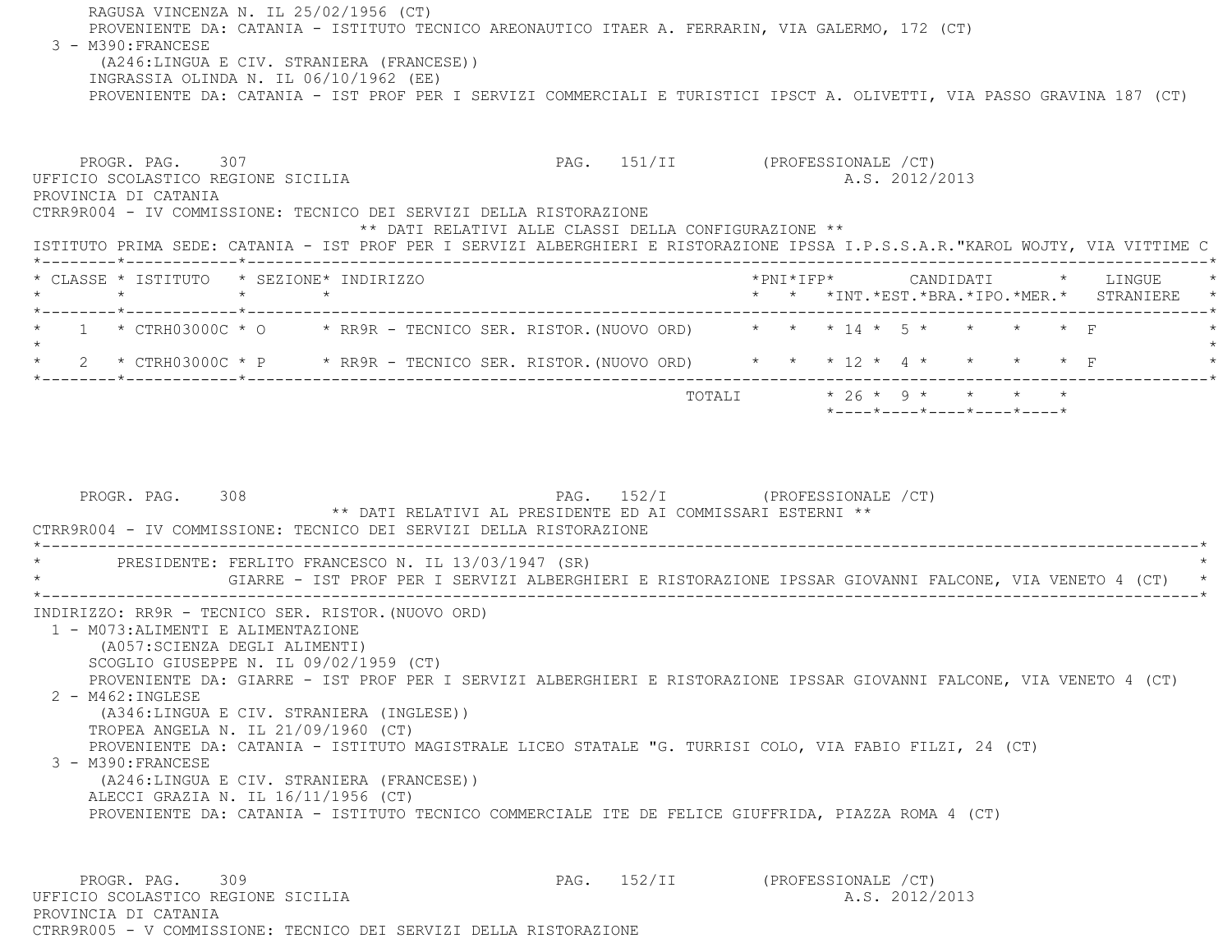RAGUSA VINCENZA N. IL 25/02/1956 (CT) PROVENIENTE DA: CATANIA - ISTITUTO TECNICO AREONAUTICO ITAER A. FERRARIN, VIA GALERMO, 172 (CT) 3 - M390:FRANCESE (A246:LINGUA E CIV. STRANIERA (FRANCESE)) INGRASSIA OLINDA N. IL 06/10/1962 (EE) PROVENIENTE DA: CATANIA - IST PROF PER I SERVIZI COMMERCIALI E TURISTICI IPSCT A. OLIVETTI, VIA PASSO GRAVINA 187 (CT)

PROGR. PAG. 307 **PAG.** 151/II (PROFESSIONALE /CT) UFFICIO SCOLASTICO REGIONE SICILIA A.S. 2012/2013 PROVINCIA DI CATANIA CTRR9R004 - IV COMMISSIONE: TECNICO DEI SERVIZI DELLA RISTORAZIONE \*\* DATI RELATIVI ALLE CLASSI DELLA CONFIGURAZIONE \*\* ISTITUTO PRIMA SEDE: CATANIA - IST PROF PER I SERVIZI ALBERGHIERI E RISTORAZIONE IPSSA I.P.S.S.A.R."KAROL WOJTY, VIA VITTIME C \*--------\*------------\*-------------------------------------------------------------------------------------------------------\* \* CLASSE \* ISTITUTO \* SEZIONE\* INDIRIZZO \*PNI\*IFP\* CANDIDATI \* LINGUE \* \* \* \* \* \* \* \*INT.\*EST.\*BRA.\*IPO.\*MER.\* STRANIERE \* \*--------\*------------\*-------------------------------------------------------------------------------------------------------\*1 \* CTRH03000C \* O \* RR9R - TECNICO SER. RISTOR. (NUOVO ORD) \* \* \* 14 \* 5 \* \* \* \* \* F  $\star$  \* 2 \* CTRH03000C \* P \* RR9R - TECNICO SER. RISTOR.(NUOVO ORD) \* \* \* 12 \* 4 \* \* \* \* F \* \*--------\*------------\*-------------------------------------------------------------------------------------------------------\*TOTALI  $* 26 * 9 * * * * * * * *$ \*----\*----\*----\*----\*----\*

PROGR. PAG. 308 PAG. 152/I (PROFESSIONALE / CT) \*\* DATI RELATIVI AL PRESIDENTE ED AI COMMISSARI ESTERNI \*\* CTRR9R004 - IV COMMISSIONE: TECNICO DEI SERVIZI DELLA RISTORAZIONE \*----------------------------------------------------------------------------------------------------------------------------\*PRESIDENTE: FERLITO FRANCESCO N. IL 13/03/1947 (SR) \* GIARRE - IST PROF PER I SERVIZI ALBERGHIERI E RISTORAZIONE IPSSAR GIOVANNI FALCONE, VIA VENETO 4 (CT) \* \*----------------------------------------------------------------------------------------------------------------------------\* INDIRIZZO: RR9R - TECNICO SER. RISTOR.(NUOVO ORD) 1 - M073:ALIMENTI E ALIMENTAZIONE (A057:SCIENZA DEGLI ALIMENTI) SCOGLIO GIUSEPPE N. IL 09/02/1959 (CT) PROVENIENTE DA: GIARRE - IST PROF PER I SERVIZI ALBERGHIERI E RISTORAZIONE IPSSAR GIOVANNI FALCONE, VIA VENETO 4 (CT) 2 - M462:INGLESE (A346:LINGUA E CIV. STRANIERA (INGLESE)) TROPEA ANGELA N. IL 21/09/1960 (CT) PROVENIENTE DA: CATANIA - ISTITUTO MAGISTRALE LICEO STATALE "G. TURRISI COLO, VIA FABIO FILZI, 24 (CT) 3 - M390:FRANCESE (A246:LINGUA E CIV. STRANIERA (FRANCESE)) ALECCI GRAZIA N. IL 16/11/1956 (CT) PROVENIENTE DA: CATANIA - ISTITUTO TECNICO COMMERCIALE ITE DE FELICE GIUFFRIDA, PIAZZA ROMA 4 (CT) PROGR. PAG. 309 PAG. 152/II (PROFESSIONALE /CT) UFFICIO SCOLASTICO REGIONE SICILIA A.S. 2012/2013

 PROVINCIA DI CATANIACTRR9R005 - V COMMISSIONE: TECNICO DEI SERVIZI DELLA RISTORAZIONE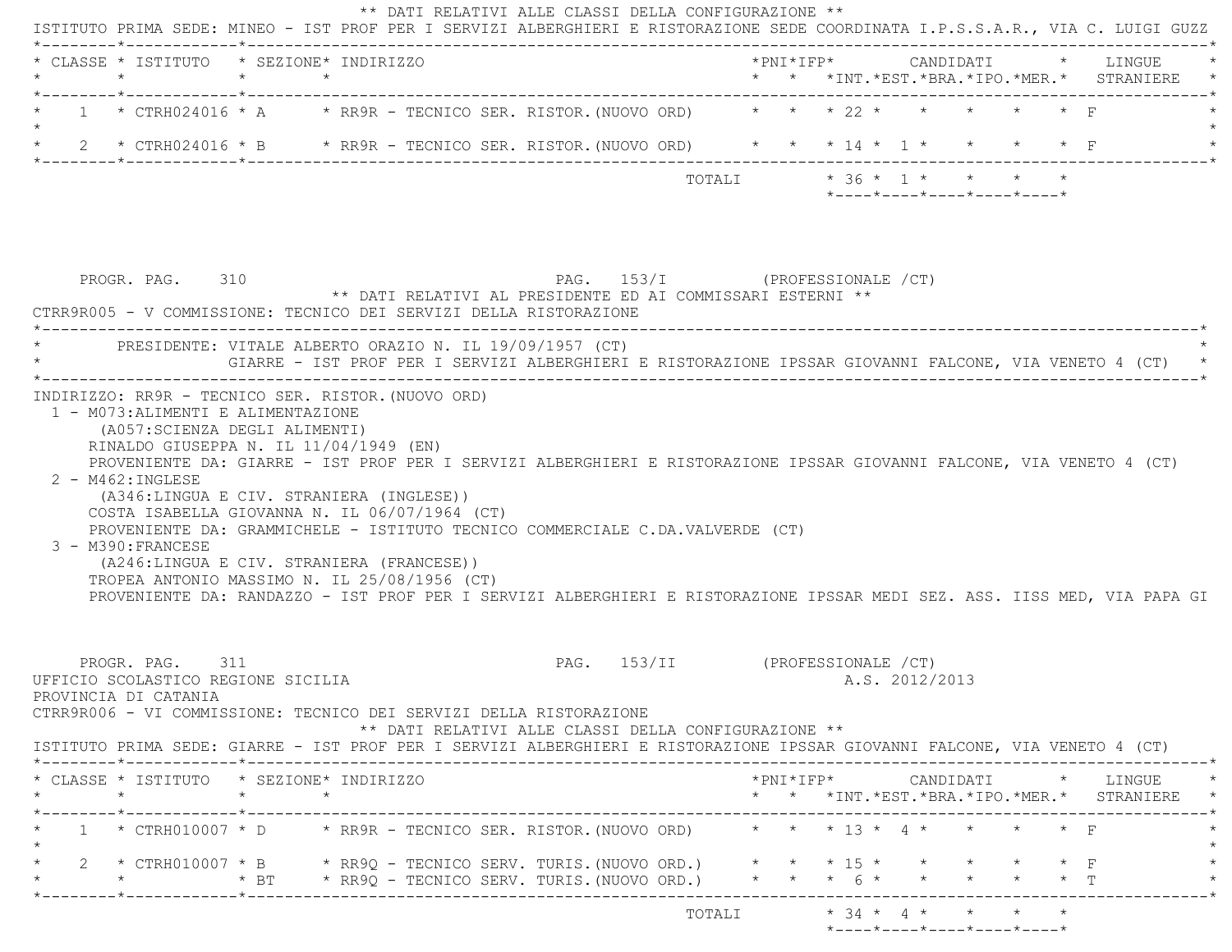| * CLASSE * ISTITUTO * SEZIONE* INDIRIZZO<br>$\star$                           | $\star$ $\star$ |                                                                                                                                                                                                                                                                                                                                                                                                     |                                 |        |  |  |                |                                                                            |                                                                      | * * *INT.*EST.*BRA.*IPO.*MER.* STRANIERE     |  |
|-------------------------------------------------------------------------------|-----------------|-----------------------------------------------------------------------------------------------------------------------------------------------------------------------------------------------------------------------------------------------------------------------------------------------------------------------------------------------------------------------------------------------------|---------------------------------|--------|--|--|----------------|----------------------------------------------------------------------------|----------------------------------------------------------------------|----------------------------------------------|--|
|                                                                               |                 | 1 * CTRH024016 * A * RR9R - TECNICO SER. RISTOR. (NUOVO ORD) * * * 22 * * *                                                                                                                                                                                                                                                                                                                         |                                 |        |  |  |                |                                                                            |                                                                      |                                              |  |
|                                                                               |                 | 2 * CTRH024016 * B * RR9R - TECNICO SER. RISTOR. (NUOVO ORD) * * * 14 * 1 * * *                                                                                                                                                                                                                                                                                                                     |                                 |        |  |  |                |                                                                            |                                                                      |                                              |  |
|                                                                               |                 |                                                                                                                                                                                                                                                                                                                                                                                                     |                                 | TOTALI |  |  |                | $* 36 * 1 * * * * * *$<br>$*$ ---- $*$ ---- $*$ ---- $*$ ---- $*$ ---- $*$ |                                                                      |                                              |  |
| PROGR. PAG. 310                                                               |                 | ** DATI RELATIVI AL PRESIDENTE ED AI COMMISSARI ESTERNI **<br>CTRR9R005 - V COMMISSIONE: TECNICO DEI SERVIZI DELLA RISTORAZIONE                                                                                                                                                                                                                                                                     | PAG. 153/I (PROFESSIONALE /CT)  |        |  |  |                |                                                                            |                                                                      |                                              |  |
|                                                                               |                 | PRESIDENTE: VITALE ALBERTO ORAZIO N. IL 19/09/1957 (CT)<br>GIARRE - IST PROF PER I SERVIZI ALBERGHIERI E RISTORAZIONE IPSSAR GIOVANNI FALCONE, VIA VENETO 4 (CT)                                                                                                                                                                                                                                    |                                 |        |  |  |                |                                                                            |                                                                      |                                              |  |
|                                                                               |                 | PROVENIENTE DA: GIARRE - IST PROF PER I SERVIZI ALBERGHIERI E RISTORAZIONE IPSSAR GIOVANNI FALCONE, VIA VENETO 4 (CT)                                                                                                                                                                                                                                                                               |                                 |        |  |  |                |                                                                            |                                                                      |                                              |  |
| $2 - M462 : INGLESE$<br>3 - M390: FRANCESE                                    |                 | (A346:LINGUA E CIV. STRANIERA (INGLESE))<br>COSTA ISABELLA GIOVANNA N. IL 06/07/1964 (CT)<br>PROVENIENTE DA: GRAMMICHELE - ISTITUTO TECNICO COMMERCIALE C.DA.VALVERDE (CT)<br>(A246:LINGUA E CIV. STRANIERA (FRANCESE))<br>TROPEA ANTONIO MASSIMO N. IL 25/08/1956 (CT)<br>PROVENIENTE DA: RANDAZZO - IST PROF PER I SERVIZI ALBERGHIERI E RISTORAZIONE IPSSAR MEDI SEZ. ASS. IISS MED, VIA PAPA GI |                                 |        |  |  |                |                                                                            |                                                                      |                                              |  |
| PROGR. PAG. 311<br>UFFICIO SCOLASTICO REGIONE SICILIA<br>PROVINCIA DI CATANIA |                 | CTRR9R006 - VI COMMISSIONE: TECNICO DEI SERVIZI DELLA RISTORAZIONE<br>** DATI RELATIVI ALLE CLASSI DELLA CONFIGURAZIONE **                                                                                                                                                                                                                                                                          | PAG. 153/II (PROFESSIONALE /CT) |        |  |  | A.S. 2012/2013 |                                                                            |                                                                      |                                              |  |
| * CLASSE * ISTITUTO * SEZIONE* INDIRIZZO<br>$\star$                           |                 | ISTITUTO PRIMA SEDE: GIARRE - IST PROF PER I SERVIZI ALBERGHIERI E RISTORAZIONE IPSSAR GIOVANNI FALCONE, VIA VENETO 4 (CT)                                                                                                                                                                                                                                                                          |                                 |        |  |  |                |                                                                            |                                                                      | $*$ PNI $*$ IFP $*$ CANDIDATI $*$ LINGUE $*$ |  |
|                                                                               | $\star$ $\star$ |                                                                                                                                                                                                                                                                                                                                                                                                     |                                 |        |  |  |                |                                                                            |                                                                      | * * *INT.*EST.*BRA.*IPO.*MER.* STRANIERE *   |  |
|                                                                               |                 | 1 * CTRH010007 * D * RR9R - TECNICO SER. RISTOR. (NUOVO ORD) * * * * 13 * 4 * * * * * F<br>2 * CTRH010007 * B * RR9Q - TECNICO SERV. TURIS.(NUOVO ORD.) * * * * 15 * *<br>* * FI * RR9Q - TECNICO SERV. TURIS. (NUOVO ORD.) * * * 6 * *                                                                                                                                                             |                                 |        |  |  |                |                                                                            | $\star$ $\star$ $\star$ $\text{F}$<br>$\star$ $\star$ $\star$ $\top$ |                                              |  |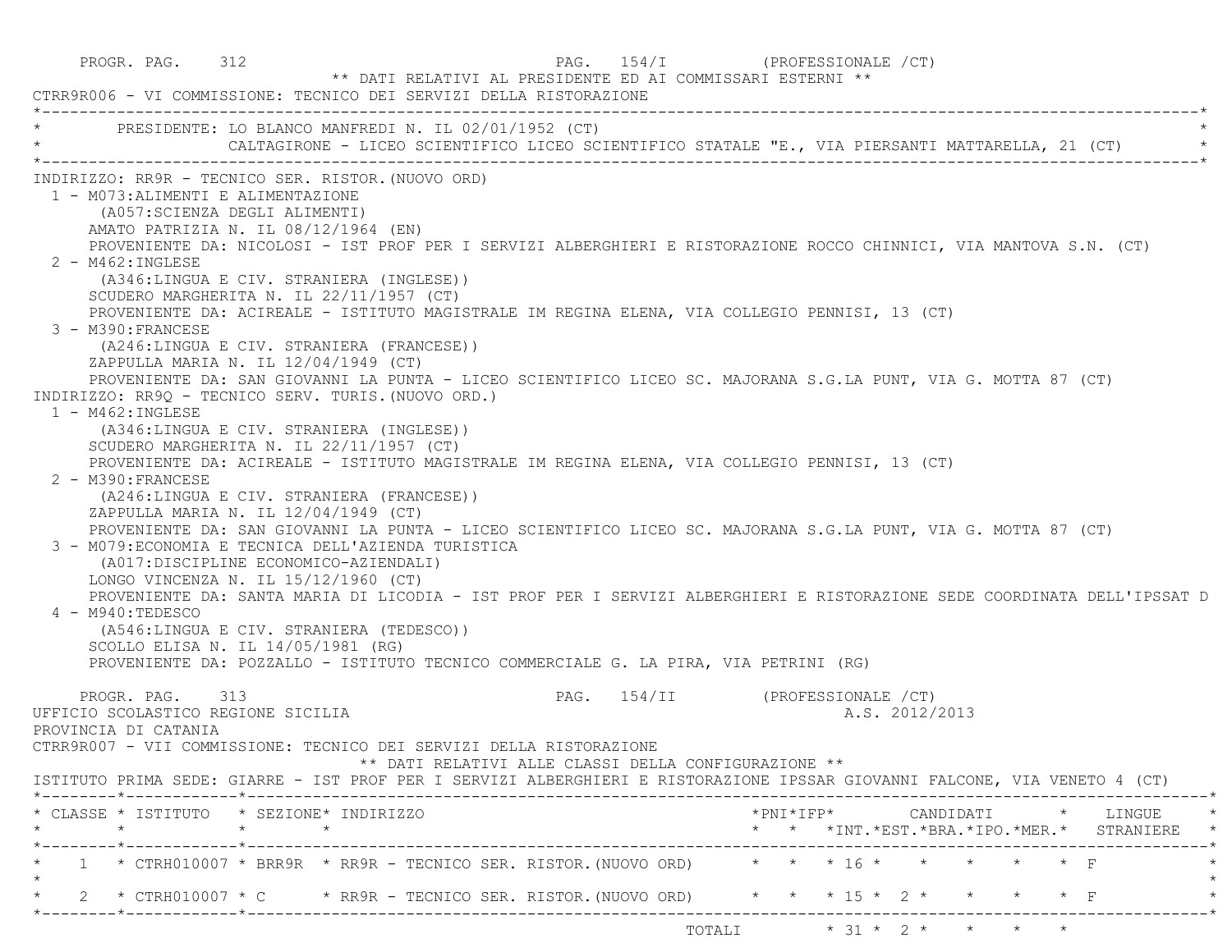PROGR. PAG. 312 **PAG.** 254/I (PROFESSIONALE /CT) \*\* DATI RELATIVI AL PRESIDENTE ED AI COMMISSARI ESTERNI \*\* CTRR9R006 - VI COMMISSIONE: TECNICO DEI SERVIZI DELLA RISTORAZIONE \*----------------------------------------------------------------------------------------------------------------------------\*PRESIDENTE: LO BLANCO MANFREDI N. IL 02/01/1952 (CT) CALTAGIRONE - LICEO SCIENTIFICO LICEO SCIENTIFICO STATALE "E., VIA PIERSANTI MATTARELLA, 21 (CT) \*----------------------------------------------------------------------------------------------------------------------------\* INDIRIZZO: RR9R - TECNICO SER. RISTOR.(NUOVO ORD) 1 - M073:ALIMENTI E ALIMENTAZIONE (A057:SCIENZA DEGLI ALIMENTI) AMATO PATRIZIA N. IL 08/12/1964 (EN) PROVENIENTE DA: NICOLOSI - IST PROF PER I SERVIZI ALBERGHIERI E RISTORAZIONE ROCCO CHINNICI, VIA MANTOVA S.N. (CT) 2 - M462:INGLESE (A346:LINGUA E CIV. STRANIERA (INGLESE)) SCUDERO MARGHERITA N. IL 22/11/1957 (CT) PROVENIENTE DA: ACIREALE - ISTITUTO MAGISTRALE IM REGINA ELENA, VIA COLLEGIO PENNISI, 13 (CT) 3 - M390:FRANCESE (A246:LINGUA E CIV. STRANIERA (FRANCESE)) ZAPPULLA MARIA N. IL 12/04/1949 (CT) PROVENIENTE DA: SAN GIOVANNI LA PUNTA - LICEO SCIENTIFICO LICEO SC. MAJORANA S.G.LA PUNT, VIA G. MOTTA 87 (CT) INDIRIZZO: RR9Q - TECNICO SERV. TURIS.(NUOVO ORD.) 1 - M462:INGLESE (A346:LINGUA E CIV. STRANIERA (INGLESE)) SCUDERO MARGHERITA N. IL 22/11/1957 (CT) PROVENIENTE DA: ACIREALE - ISTITUTO MAGISTRALE IM REGINA ELENA, VIA COLLEGIO PENNISI, 13 (CT) 2 - M390:FRANCESE (A246:LINGUA E CIV. STRANIERA (FRANCESE)) ZAPPULLA MARIA N. IL 12/04/1949 (CT) PROVENIENTE DA: SAN GIOVANNI LA PUNTA - LICEO SCIENTIFICO LICEO SC. MAJORANA S.G.LA PUNT, VIA G. MOTTA 87 (CT) 3 - M079:ECONOMIA E TECNICA DELL'AZIENDA TURISTICA (A017:DISCIPLINE ECONOMICO-AZIENDALI) LONGO VINCENZA N. IL 15/12/1960 (CT) PROVENIENTE DA: SANTA MARIA DI LICODIA - IST PROF PER I SERVIZI ALBERGHIERI E RISTORAZIONE SEDE COORDINATA DELL'IPSSAT D 4 - M940:TEDESCO (A546:LINGUA E CIV. STRANIERA (TEDESCO)) SCOLLO ELISA N. IL 14/05/1981 (RG) PROVENIENTE DA: POZZALLO - ISTITUTO TECNICO COMMERCIALE G. LA PIRA, VIA PETRINI (RG) PROGR. PAG. 313 PAG. 154/II (PROFESSIONALE /CT) UFFICIO SCOLASTICO REGIONE SICILIA A.S. 2012/2013 PROVINCIA DI CATANIA CTRR9R007 - VII COMMISSIONE: TECNICO DEI SERVIZI DELLA RISTORAZIONE \*\* DATI RELATIVI ALLE CLASSI DELLA CONFIGURAZIONE \*\* ISTITUTO PRIMA SEDE: GIARRE - IST PROF PER I SERVIZI ALBERGHIERI E RISTORAZIONE IPSSAR GIOVANNI FALCONE, VIA VENETO 4 (CT) \*--------\*------------\*-------------------------------------------------------------------------------------------------------\* \* CLASSE \* ISTITUTO \* SEZIONE\* INDIRIZZO \*PNI\*IFP\* CANDIDATI \* LINGUE \* \* \* \* \* \* \* \*INT.\*EST.\*BRA.\*IPO.\*MER.\* STRANIERE \* \*--------\*------------\*-------------------------------------------------------------------------------------------------------\* \* 1 \* CTRH010007 \* BRR9R \* RR9R - TECNICO SER. RISTOR.(NUOVO ORD) \* \* \* 16 \* \* \* \* \* F \*  $\star$  \* 2 \* CTRH010007 \* C \* RR9R - TECNICO SER. RISTOR.(NUOVO ORD) \* \* \* 15 \* 2 \* \* \* \* F \* \*--------\*------------\*-------------------------------------------------------------------------------------------------------\*TOTALI  $* 31 * 2 * * * * * * *$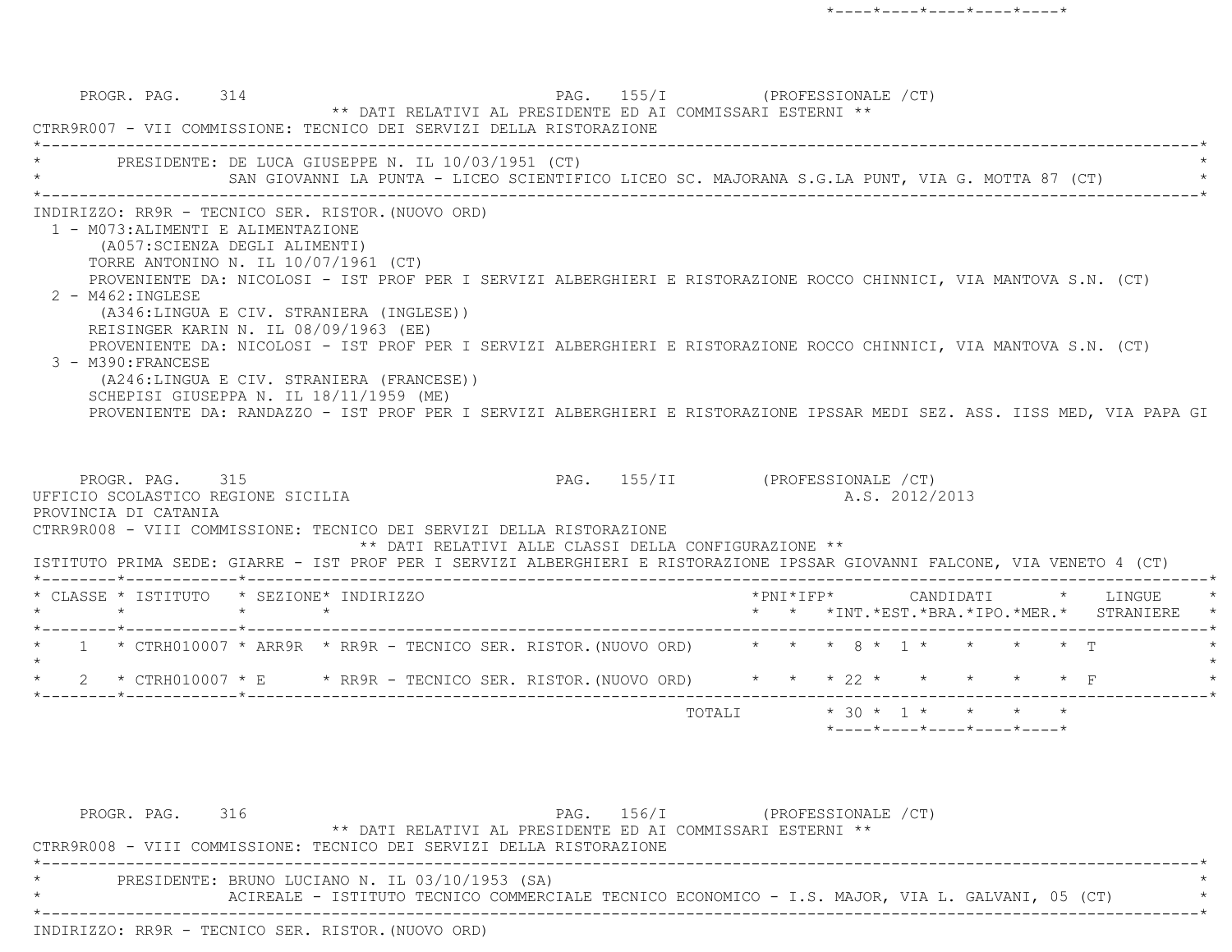|         | PROGR. PAG. 314                                                                                                 | ** DATI RELATIVI AL PRESIDENTE ED AI COMMISSARI ESTERNI **<br>CTRR9R007 - VII COMMISSIONE: TECNICO DEI SERVIZI DELLA RISTORAZIONE                                                                                                                                                                                                                                                                                                                                                                                                                                                                                                               |                                                      | PAG. 155/I (PROFESSIONALE /CT)  |        |                 |                                                                              |  |                                                                |
|---------|-----------------------------------------------------------------------------------------------------------------|-------------------------------------------------------------------------------------------------------------------------------------------------------------------------------------------------------------------------------------------------------------------------------------------------------------------------------------------------------------------------------------------------------------------------------------------------------------------------------------------------------------------------------------------------------------------------------------------------------------------------------------------------|------------------------------------------------------|---------------------------------|--------|-----------------|------------------------------------------------------------------------------|--|----------------------------------------------------------------|
|         |                                                                                                                 | * PRESIDENTE: DE LUCA GIUSEPPE N. IL 10/03/1951 (CT)<br>SAN GIOVANNI LA PUNTA - LICEO SCIENTIFICO LICEO SC. MAJORANA S.G.LA PUNT, VIA G. MOTTA 87 (CT)                                                                                                                                                                                                                                                                                                                                                                                                                                                                                          |                                                      |                                 |        |                 |                                                                              |  |                                                                |
|         | 1 - M073: ALIMENTI E ALIMENTAZIONE<br>(A057: SCIENZA DEGLI ALIMENTI)<br>2 - M462: INGLESE<br>3 - M390: FRANCESE | INDIRIZZO: RR9R - TECNICO SER. RISTOR. (NUOVO ORD)<br>TORRE ANTONINO N. IL 10/07/1961 (CT)<br>PROVENIENTE DA: NICOLOSI - IST PROF PER I SERVIZI ALBERGHIERI E RISTORAZIONE ROCCO CHINNICI, VIA MANTOVA S.N. (CT)<br>(A346:LINGUA E CIV. STRANIERA (INGLESE))<br>REISINGER KARIN N. IL 08/09/1963 (EE)<br>PROVENIENTE DA: NICOLOSI - IST PROF PER I SERVIZI ALBERGHIERI E RISTORAZIONE ROCCO CHINNICI, VIA MANTOVA S.N. (CT)<br>(A246:LINGUA E CIV. STRANIERA (FRANCESE))<br>SCHEPISI GIUSEPPA N. IL 18/11/1959 (ME)<br>PROVENIENTE DA: RANDAZZO - IST PROF PER I SERVIZI ALBERGHIERI E RISTORAZIONE IPSSAR MEDI SEZ. ASS. IISS MED, VIA PAPA GI |                                                      |                                 |        |                 |                                                                              |  |                                                                |
|         | PROGR. PAG. 315<br>UFFICIO SCOLASTICO REGIONE SICILIA<br>PROVINCIA DI CATANIA                                   | CTRR9R008 - VIII COMMISSIONE: TECNICO DEI SERVIZI DELLA RISTORAZIONE<br>ISTITUTO PRIMA SEDE: GIARRE - IST PROF PER I SERVIZI ALBERGHIERI E RISTORAZIONE IPSSAR GIOVANNI FALCONE, VIA VENETO 4 (CT)                                                                                                                                                                                                                                                                                                                                                                                                                                              | ** DATI RELATIVI ALLE CLASSI DELLA CONFIGURAZIONE ** | PAG. 155/II (PROFESSIONALE /CT) |        |                 | A.S. 2012/2013                                                               |  |                                                                |
|         |                                                                                                                 | * CLASSE * ISTITUTO * SEZIONE* INDIRIZZO                                                                                                                                                                                                                                                                                                                                                                                                                                                                                                                                                                                                        |                                                      |                                 |        | * PNT * T F P * |                                                                              |  | CANDIDATI * LINGUE<br>* * *INT.*EST.*BRA.*IPO.*MER.* STRANIERE |
| $\star$ |                                                                                                                 | * 1 * CTRH010007 * ARR9R * RR9R - TECNICO SER. RISTOR. (NUOVO ORD) * * * 8 * 1 * * * * * T<br>* 2 * CTRH010007 * E * RR9R - TECNICO SER. RISTOR. (NUOVO ORD) * * * 22 * * * * * * * F                                                                                                                                                                                                                                                                                                                                                                                                                                                           |                                                      |                                 |        |                 |                                                                              |  |                                                                |
|         |                                                                                                                 |                                                                                                                                                                                                                                                                                                                                                                                                                                                                                                                                                                                                                                                 |                                                      |                                 | TOTALI |                 | $* 30 * 1 * * * * * * *$<br>$*$ ---- $*$ ---- $*$ ---- $*$ ---- $*$ ---- $*$ |  |                                                                |

PROGR. PAG. 316 PAG. 156/I (PROFESSIONALE / CT) \*\* DATI RELATIVI AL PRESIDENTE ED AI COMMISSARI ESTERNI \*\* CTRR9R008 - VIII COMMISSIONE: TECNICO DEI SERVIZI DELLA RISTORAZIONE \*----------------------------------------------------------------------------------------------------------------------------\*PRESIDENTE: BRUNO LUCIANO N. IL 03/10/1953 (SA) \* The Sacies of the Commettale Tecnico Commetted Commetter Commeter of the Sacies of the L. GALVANI,  $\sim$  4  $^*$  \*----------------------------------------------------------------------------------------------------------------------------\*INDIRIZZO: RR9R - TECNICO SER. RISTOR.(NUOVO ORD)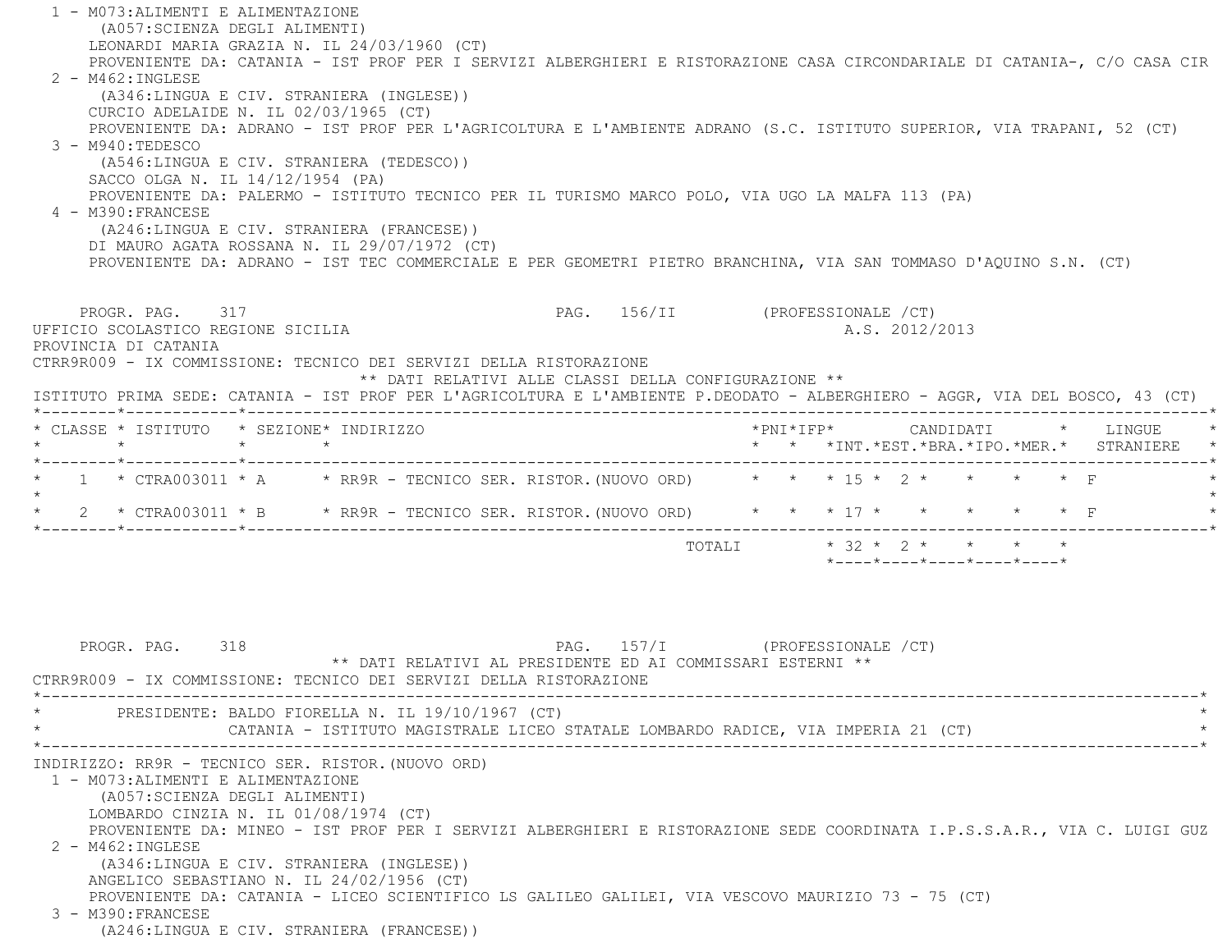1 - M073:ALIMENTI E ALIMENTAZIONE (A057:SCIENZA DEGLI ALIMENTI) LEONARDI MARIA GRAZIA N. IL 24/03/1960 (CT) PROVENIENTE DA: CATANIA - IST PROF PER I SERVIZI ALBERGHIERI E RISTORAZIONE CASA CIRCONDARIALE DI CATANIA-, C/O CASA CIR 2 - M462:INGLESE (A346:LINGUA E CIV. STRANIERA (INGLESE)) CURCIO ADELAIDE N. IL 02/03/1965 (CT) PROVENIENTE DA: ADRANO - IST PROF PER L'AGRICOLTURA E L'AMBIENTE ADRANO (S.C. ISTITUTO SUPERIOR, VIA TRAPANI, 52 (CT) 3 - M940:TEDESCO (A546:LINGUA E CIV. STRANIERA (TEDESCO)) SACCO OLGA N. IL 14/12/1954 (PA) PROVENIENTE DA: PALERMO - ISTITUTO TECNICO PER IL TURISMO MARCO POLO, VIA UGO LA MALFA 113 (PA) 4 - M390:FRANCESE (A246:LINGUA E CIV. STRANIERA (FRANCESE)) DI MAURO AGATA ROSSANA N. IL 29/07/1972 (CT) PROVENIENTE DA: ADRANO - IST TEC COMMERCIALE E PER GEOMETRI PIETRO BRANCHINA, VIA SAN TOMMASO D'AQUINO S.N. (CT) PROGR. PAG. 317 CHOROSES SURFERENT PAG. 156/II (PROFESSIONALE / CT) UFFICIO SCOLASTICO REGIONE SICILIA A.S. 2012/2013 PROVINCIA DI CATANIA CTRR9R009 - IX COMMISSIONE: TECNICO DEI SERVIZI DELLA RISTORAZIONE \*\* DATI RELATIVI ALLE CLASSI DELLA CONFIGURAZIONE \*\* ISTITUTO PRIMA SEDE: CATANIA - IST PROF PER L'AGRICOLTURA E L'AMBIENTE P.DEODATO - ALBERGHIERO - AGGR, VIA DEL BOSCO, 43 (CT) \*--------\*------------\*-------------------------------------------------------------------------------------------------------\* \* CLASSE \* ISTITUTO \* SEZIONE\* INDIRIZZO \*PNI\*IFP\* CANDIDATI \* LINGUE \* \* \* \* \* \* \* \*INT.\*EST.\*BRA.\*IPO.\*MER.\* STRANIERE \* \*--------\*------------\*-------------------------------------------------------------------------------------------------------\*1 \* CTRA003011 \* A \* RR9R - TECNICO SER. RISTOR.(NUOVO ORD) \* \* \* 15 \* 2 \* \* \* \* \* \* F  $\star$  \* 2 \* CTRA003011 \* B \* RR9R - TECNICO SER. RISTOR.(NUOVO ORD) \* \* \* 17 \* \* \* \* \* F \* \*--------\*------------\*-------------------------------------------------------------------------------------------------------\*TOTALI  $* 32 * 2 * * * * * * * *$  $*$ ---- $*$ ---- $*$ ---- $*$ ---- $*$ PROGR. PAG. 318 318 PAG. 157/I (PROFESSIONALE /CT) \*\* DATI RELATIVI AL PRESIDENTE ED AI COMMISSARI ESTERNI \*\* CTRR9R009 - IX COMMISSIONE: TECNICO DEI SERVIZI DELLA RISTORAZIONE \*----------------------------------------------------------------------------------------------------------------------------\*PRESIDENTE: BALDO FIORELLA N. IL 19/10/1967 (CT) CATANIA - ISTITUTO MAGISTRALE LICEO STATALE LOMBARDO RADICE, VIA IMPERIA 21 (CT) \*----------------------------------------------------------------------------------------------------------------------------\* INDIRIZZO: RR9R - TECNICO SER. RISTOR.(NUOVO ORD) 1 - M073:ALIMENTI E ALIMENTAZIONE (A057:SCIENZA DEGLI ALIMENTI) LOMBARDO CINZIA N. IL 01/08/1974 (CT) PROVENIENTE DA: MINEO - IST PROF PER I SERVIZI ALBERGHIERI E RISTORAZIONE SEDE COORDINATA I.P.S.S.A.R., VIA C. LUIGI GUZ 2 - M462:INGLESE (A346:LINGUA E CIV. STRANIERA (INGLESE)) ANGELICO SEBASTIANO N. IL 24/02/1956 (CT) PROVENIENTE DA: CATANIA - LICEO SCIENTIFICO LS GALILEO GALILEI, VIA VESCOVO MAURIZIO 73 - 75 (CT) 3 - M390:FRANCESE(A246:LINGUA E CIV. STRANIERA (FRANCESE))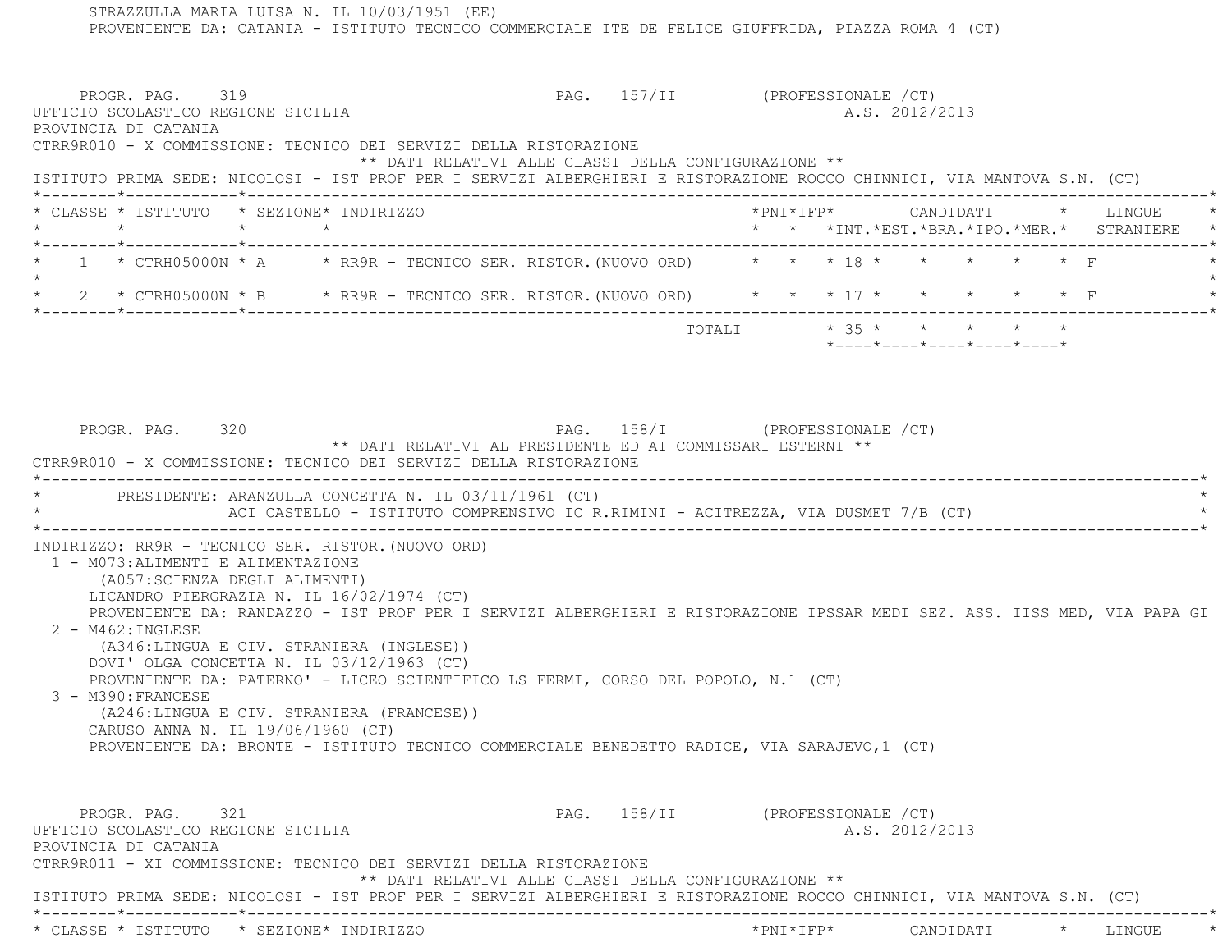STRAZZULLA MARIA LUISA N. IL 10/03/1951 (EE) PROVENIENTE DA: CATANIA - ISTITUTO TECNICO COMMERCIALE ITE DE FELICE GIUFFRIDA, PIAZZA ROMA 4 (CT) PROGR. PAG. 319 CHOROSTALE PAG. 157/II (PROFESSIONALE /CT) UFFICIO SCOLASTICO REGIONE SICILIA A.S. 2012/2013 PROVINCIA DI CATANIA CTRR9R010 - X COMMISSIONE: TECNICO DEI SERVIZI DELLA RISTORAZIONE \*\* DATI RELATIVI ALLE CLASSI DELLA CONFIGURAZIONE \*\* ISTITUTO PRIMA SEDE: NICOLOSI - IST PROF PER I SERVIZI ALBERGHIERI E RISTORAZIONE ROCCO CHINNICI, VIA MANTOVA S.N. (CT) \*--------\*------------\*-------------------------------------------------------------------------------------------------------\* \* CLASSE \* ISTITUTO \* SEZIONE\* INDIRIZZO \*PNI\*IFP\* CANDIDATI \* LINGUE \* \* \* \* \* \* \* \*INT.\*EST.\*BRA.\*IPO.\*MER.\* STRANIERE \* \*--------\*------------\*-------------------------------------------------------------------------------------------------------\* $1$  \* CTRH05000N \* A  $\qquad$  \* RR9R - TECNICO SER. RISTOR. (NUOVO ORD)  $\qquad$  \* \* \* \* \* \* \* \* \* \* F  $\star$  \* 2 \* CTRH05000N \* B \* RR9R - TECNICO SER. RISTOR.(NUOVO ORD) \* \* \* 17 \* \* \* \* \* F \* \*--------\*------------\*-------------------------------------------------------------------------------------------------------\*TOTALI  $\star$  35  $\star$   $\star$   $\star$   $\star$   $\star$  \*----\*----\*----\*----\*----\*PROGR. PAG. 320 CHASTERS PAG. 158/I (PROFESSIONALE /CT) \*\* DATI RELATIVI AL PRESIDENTE ED AI COMMISSARI ESTERNI \*\* CTRR9R010 - X COMMISSIONE: TECNICO DEI SERVIZI DELLA RISTORAZIONE \*----------------------------------------------------------------------------------------------------------------------------\*PRESIDENTE: ARANZULLA CONCETTA N. IL 03/11/1961 (CT) ACI CASTELLO - ISTITUTO COMPRENSIVO IC R.RIMINI - ACITREZZA, VIA DUSMET 7/B (CT)  $\star$  INDIRIZZO: RR9R - TECNICO SER. RISTOR.(NUOVO ORD) 1 - M073:ALIMENTI E ALIMENTAZIONE (A057:SCIENZA DEGLI ALIMENTI) LICANDRO PIERGRAZIA N. IL 16/02/1974 (CT) PROVENIENTE DA: RANDAZZO - IST PROF PER I SERVIZI ALBERGHIERI E RISTORAZIONE IPSSAR MEDI SEZ. ASS. IISS MED, VIA PAPA GI 2 - M462:INGLESE (A346:LINGUA E CIV. STRANIERA (INGLESE)) DOVI' OLGA CONCETTA N. IL 03/12/1963 (CT) PROVENIENTE DA: PATERNO' - LICEO SCIENTIFICO LS FERMI, CORSO DEL POPOLO, N.1 (CT) 3 - M390:FRANCESE (A246:LINGUA E CIV. STRANIERA (FRANCESE)) CARUSO ANNA N. IL 19/06/1960 (CT) PROVENIENTE DA: BRONTE - ISTITUTO TECNICO COMMERCIALE BENEDETTO RADICE, VIA SARAJEVO,1 (CT) PROGR. PAG. 321 CHAST PAG. 158/II (PROFESSIONALE /CT) UFFICIO SCOLASTICO REGIONE SICILIA A.S. 2012/2013 PROVINCIA DI CATANIA CTRR9R011 - XI COMMISSIONE: TECNICO DEI SERVIZI DELLA RISTORAZIONE \*\* DATI RELATIVI ALLE CLASSI DELLA CONFIGURAZIONE \*\* ISTITUTO PRIMA SEDE: NICOLOSI - IST PROF PER I SERVIZI ALBERGHIERI E RISTORAZIONE ROCCO CHINNICI, VIA MANTOVA S.N. (CT) \*--------\*------------\*-------------------------------------------------------------------------------------------------------\*\* CLASSE \* ISTITUTO \* SEZIONE\* INDIRIZZO \*PNI\*IFP\* CANDIDATI \* LINGUE \*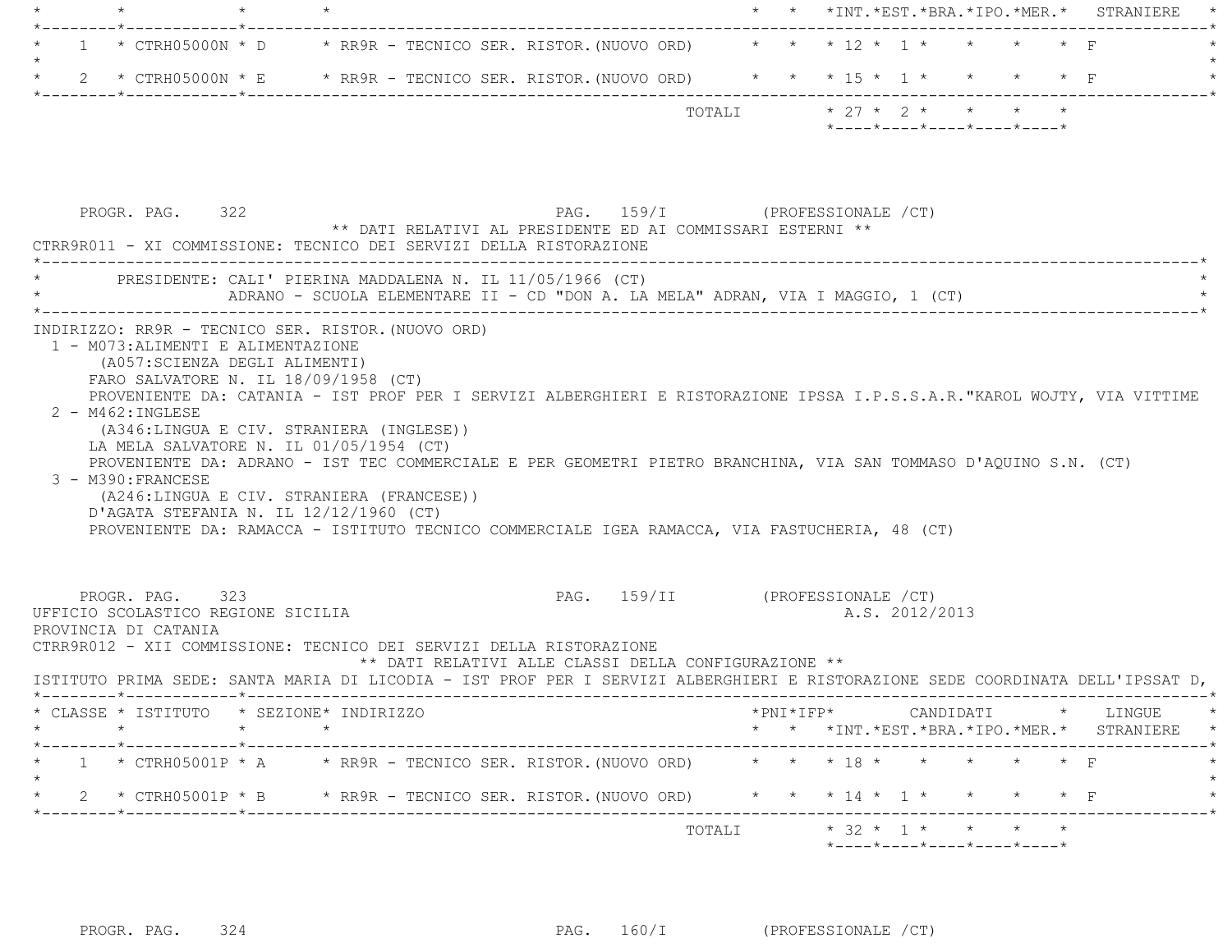|  |  |                                                                                        |  | $\star$ $\star$ $\star$ $\text{INT} \cdot \text{*EST} \cdot \text{*BRA} \cdot \text{*IPC} \cdot \text{*MER} \cdot \star$ STRANIERE $\star$ |  |  |
|--|--|----------------------------------------------------------------------------------------|--|--------------------------------------------------------------------------------------------------------------------------------------------|--|--|
|  |  |                                                                                        |  |                                                                                                                                            |  |  |
|  |  | $\star$ 1 $\star$ CTRH05000N $\star$ D $\star$ RR9R - TECNICO SER. RISTOR. (NUOVO ORD) |  | * * * 12 * 1 * * * * * F                                                                                                                   |  |  |
|  |  |                                                                                        |  |                                                                                                                                            |  |  |
|  |  | 2 * CTRH05000N * E       * RR9R - TECNICO SER. RISTOR. (NUOVO ORD)                     |  | * * * 15 * 1 * * * * F                                                                                                                     |  |  |
|  |  |                                                                                        |  |                                                                                                                                            |  |  |
|  |  | TOTALI                                                                                 |  | $* 27 * 2 * * * * * * *$                                                                                                                   |  |  |
|  |  |                                                                                        |  | $\star$ - - - - $\star$ - - - - $\star$ - - - - $\star$ - - - - $\star$ - - - - $\star$                                                    |  |  |

| PROGR. PAG. 322                                                               | CTRR9R011 - XI COMMISSIONE: TECNICO DEI SERVIZI DELLA RISTORAZIONE                                                                                                                                                                                                                                         | PAG. 159/I (PROFESSIONALE / CT)<br>** DATI RELATIVI AL PRESIDENTE ED AI COMMISSARI ESTERNI **                                                                                                                                                                                                                                                |  |                                                                                   |  |                                            |
|-------------------------------------------------------------------------------|------------------------------------------------------------------------------------------------------------------------------------------------------------------------------------------------------------------------------------------------------------------------------------------------------------|----------------------------------------------------------------------------------------------------------------------------------------------------------------------------------------------------------------------------------------------------------------------------------------------------------------------------------------------|--|-----------------------------------------------------------------------------------|--|--------------------------------------------|
|                                                                               | PRESIDENTE: CALI' PIERINA MADDALENA N. IL 11/05/1966 (CT)                                                                                                                                                                                                                                                  | ADRANO - SCUOLA ELEMENTARE II - CD "DON A. LA MELA" ADRAN, VIA I MAGGIO, 1 (CT)                                                                                                                                                                                                                                                              |  |                                                                                   |  |                                            |
| 1 - M073: ALIMENTI E ALIMENTAZIONE<br>2 - M462: INGLESE<br>3 - M390: FRANCESE | INDIRIZZO: RR9R - TECNICO SER. RISTOR. (NUOVO ORD)<br>(A057: SCIENZA DEGLI ALIMENTI)<br>FARO SALVATORE N. IL 18/09/1958 (CT)<br>(A346:LINGUA E CIV. STRANIERA (INGLESE))<br>LA MELA SALVATORE N. IL 01/05/1954 (CT)<br>(A246:LINGUA E CIV. STRANIERA (FRANCESE))<br>D'AGATA STEFANIA N. IL 12/12/1960 (CT) | PROVENIENTE DA: CATANIA - IST PROF PER I SERVIZI ALBERGHIERI E RISTORAZIONE IPSSA I.P.S.S.A.R."KAROL WOJTY, VIA VITTIME<br>PROVENIENTE DA: ADRANO - IST TEC COMMERCIALE E PER GEOMETRI PIETRO BRANCHINA, VIA SAN TOMMASO D'AOUINO S.N. (CT)<br>PROVENIENTE DA: RAMACCA - ISTITUTO TECNICO COMMERCIALE IGEA RAMACCA, VIA FASTUCHERIA, 48 (CT) |  |                                                                                   |  |                                            |
| PROGR. PAG. 323<br>UFFICIO SCOLASTICO REGIONE SICILIA<br>PROVINCIA DI CATANIA | CTRR9R012 - XII COMMISSIONE: TECNICO DEI SERVIZI DELLA RISTORAZIONE                                                                                                                                                                                                                                        | PAG. 159/II (PROFESSIONALE /CT)                                                                                                                                                                                                                                                                                                              |  | A.S. 2012/2013                                                                    |  |                                            |
|                                                                               |                                                                                                                                                                                                                                                                                                            | ** DATI RELATIVI ALLE CLASSI DELLA CONFIGURAZIONE **<br>ISTITUTO PRIMA SEDE: SANTA MARIA DI LICODIA - IST PROF PER I SERVIZI ALBERGHIERI E RISTORAZIONE SEDE COORDINATA DELL'IPSSAT D,                                                                                                                                                       |  |                                                                                   |  |                                            |
|                                                                               | * CLASSE * ISTITUTO * SEZIONE* INDIRIZZO                                                                                                                                                                                                                                                                   |                                                                                                                                                                                                                                                                                                                                              |  |                                                                                   |  | * * *INT.*EST.*BRA.*IPO.*MER.* STRANIERE * |
|                                                                               |                                                                                                                                                                                                                                                                                                            | * 1 * CTRH05001P * A * RR9R - TECNICO SER. RISTOR. (NUOVO ORD) * * * 18 * * * * * * * F                                                                                                                                                                                                                                                      |  |                                                                                   |  |                                            |
|                                                                               |                                                                                                                                                                                                                                                                                                            | 2 * CTRH05001P * B * RR9R - TECNICO SER. RISTOR. (NUOVO ORD) * * * 14 * 1 * * * * * F                                                                                                                                                                                                                                                        |  |                                                                                   |  |                                            |
|                                                                               |                                                                                                                                                                                                                                                                                                            |                                                                                                                                                                                                                                                                                                                                              |  | TOTALI $\star$ 32 $\star$ 1 $\star$ $\star$ $\star$<br>*----*----*----*----*----* |  |                                            |

PROGR. PAG. 324 PAG. 160/I (PROFESSIONALE /CT)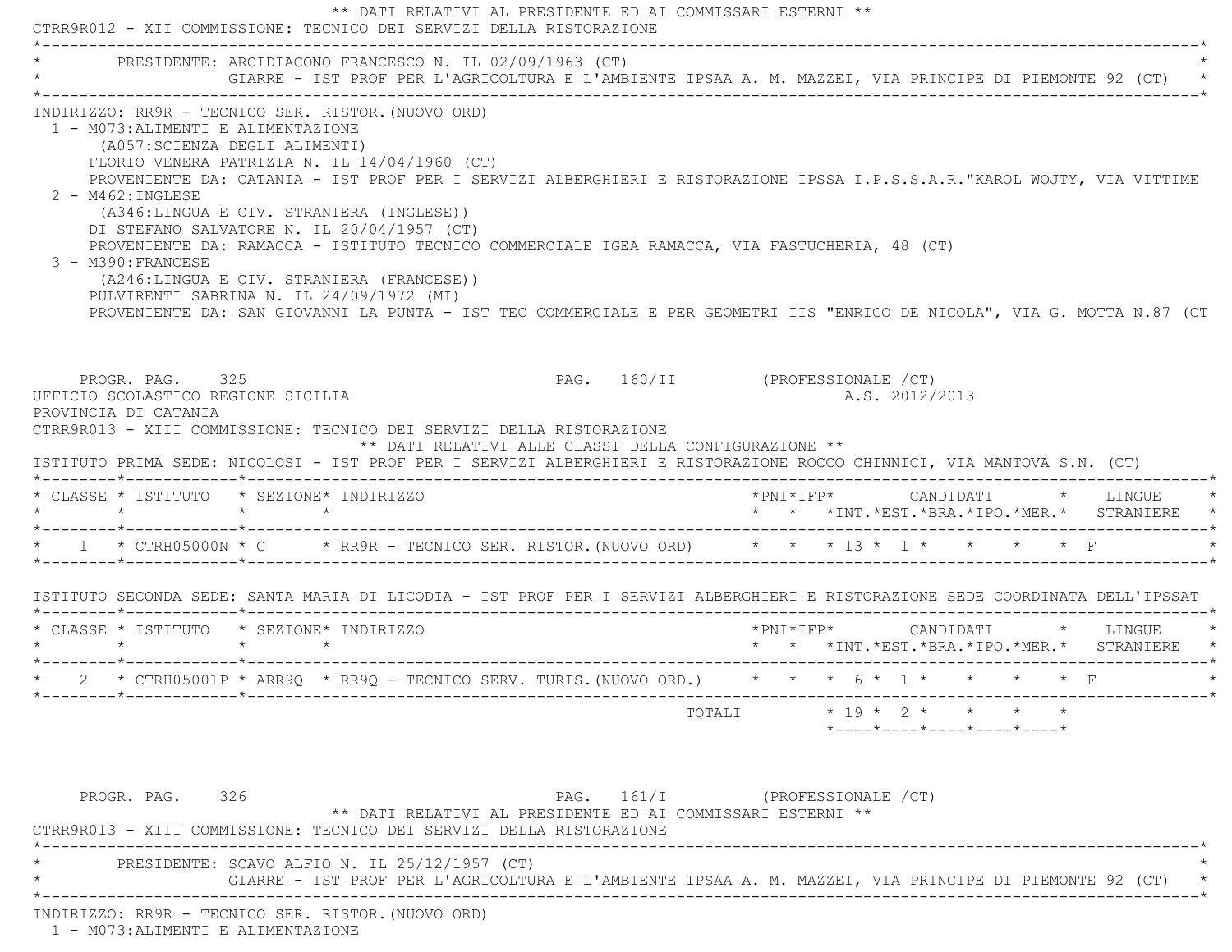\*\* DATI RELATIVI AL PRESIDENTE ED AI COMMISSARI ESTERNI \*\* CTRR9R012 - XII COMMISSIONE: TECNICO DEI SERVIZI DELLA RISTORAZIONE \*----------------------------------------------------------------------------------------------------------------------------\*PRESIDENTE: ARCIDIACONO FRANCESCO N. IL 02/09/1963 (CT) \* GIARRE - IST PROF PER L'AGRICOLTURA E L'AMBIENTE IPSAA A. M. MAZZEI, VIA PRINCIPE DI PIEMONTE 92 (CT) \* \*----------------------------------------------------------------------------------------------------------------------------\* INDIRIZZO: RR9R - TECNICO SER. RISTOR.(NUOVO ORD) 1 - M073:ALIMENTI E ALIMENTAZIONE (A057:SCIENZA DEGLI ALIMENTI) FLORIO VENERA PATRIZIA N. IL 14/04/1960 (CT) PROVENIENTE DA: CATANIA - IST PROF PER I SERVIZI ALBERGHIERI E RISTORAZIONE IPSSA I.P.S.S.A.R."KAROL WOJTY, VIA VITTIM E 2 - M462:INGLESE (A346:LINGUA E CIV. STRANIERA (INGLESE)) DI STEFANO SALVATORE N. IL 20/04/1957 (CT) PROVENIENTE DA: RAMACCA - ISTITUTO TECNICO COMMERCIALE IGEA RAMACCA, VIA FASTUCHERIA, 48 (CT) 3 - M390:FRANCESE (A246:LINGUA E CIV. STRANIERA (FRANCESE)) PULVIRENTI SABRINA N. IL 24/09/1972 (MI) PROVENIENTE DA: SAN GIOVANNI LA PUNTA - IST TEC COMMERCIALE E PER GEOMETRI IIS "ENRICO DE NICOLA", VIA G. MOTTA N.87 (CT PROGR. PAG. 325 PAG. 160/II (PROFESSIONALE /CT) UFFICIO SCOLASTICO REGIONE SICILIA A.S. 2012/2013 PROVINCIA DI CATANIA CTRR9R013 - XIII COMMISSIONE: TECNICO DEI SERVIZI DELLA RISTORAZIONE \*\* DATI RELATIVI ALLE CLASSI DELLA CONFIGURAZIONE \*\* ISTITUTO PRIMA SEDE: NICOLOSI - IST PROF PER I SERVIZI ALBERGHIERI E RISTORAZIONE ROCCO CHINNICI, VIA MANTOVA S.N. (CT) \*--------\*------------\*-------------------------------------------------------------------------------------------------------\* \* CLASSE \* ISTITUTO \* SEZIONE\* INDIRIZZO \*PNI\*IFP\* CANDIDATI \* LINGUE \* \* \* \* \* \* \* \*INT.\*EST.\*BRA.\*IPO.\*MER.\* STRANIERE \* \*--------\*------------\*-------------------------------------------------------------------------------------------------------\*\* 1 \* CTRH05000N \* C \* RR9R - TECNICO SER. RISTOR. (NUOVO ORD) \* \* \* 13 \* 1 \* \* \* \* \* F \*--------\*------------\*-------------------------------------------------------------------------------------------------------\* ISTITUTO SECONDA SEDE: SANTA MARIA DI LICODIA - IST PROF PER I SERVIZI ALBERGHIERI E RISTORAZIONE SEDE COORDINATA DELL'IPSSAT \*--------\*------------\*-------------------------------------------------------------------------------------------------------\* \* CLASSE \* ISTITUTO \* SEZIONE\* INDIRIZZO \*PNI\*IFP\* CANDIDATI \* LINGUE \* \* \* \* \* \* \* \*INT.\*EST.\*BRA.\*IPO.\*MER.\* STRANIERE \* \*--------\*------------\*-------------------------------------------------------------------------------------------------------\*\* 2 \* CTRH05001P \* ARR90 \* RR90 - TECNICO SERV. TURIS. (NUOVO ORD.) \* \* \* 6 \* 1 \* \* \* \* \* F \*--------\*------------\*-------------------------------------------------------------------------------------------------------\*TOTALI  $* 19 * 2 * * * * * * *$  \*----\*----\*----\*----\*----\*PROGR. PAG. 326 PAG. 161/I (PROFESSIONALE /CT) \*\* DATI RELATIVI AL PRESIDENTE ED AI COMMISSARI ESTERNI \*\* CTRR9R013 - XIII COMMISSIONE: TECNICO DEI SERVIZI DELLA RISTORAZIONE \*----------------------------------------------------------------------------------------------------------------------------\*PRESIDENTE: SCAVO ALFIO N. IL 25/12/1957 (CT) \* GIARRE - IST PROF PER L'AGRICOLTURA E L'AMBIENTE IPSAA A. M. MAZZEI, VIA PRINCIPE DI PIEMONTE 92 (CT) \* \*----------------------------------------------------------------------------------------------------------------------------\*

INDIRIZZO: RR9R - TECNICO SER. RISTOR.(NUOVO ORD)

1 - M073:ALIMENTI E ALIMENTAZIONE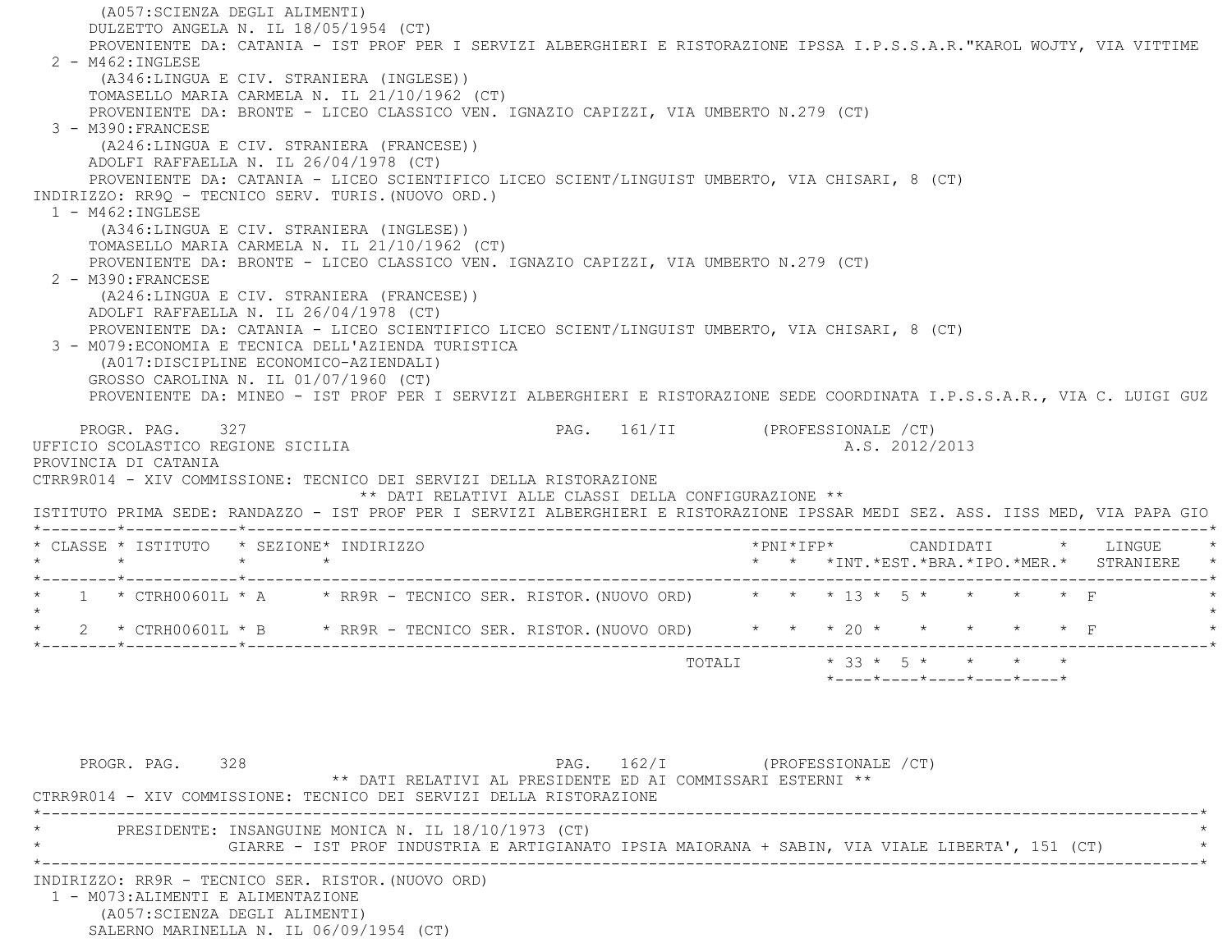(A057:SCIENZA DEGLI ALIMENTI) DULZETTO ANGELA N. IL 18/05/1954 (CT) PROVENIENTE DA: CATANIA - IST PROF PER I SERVIZI ALBERGHIERI E RISTORAZIONE IPSSA I.P.S.S.A.R."KAROL WOJTY, VIA VITTIME 2 - M462:INGLESE (A346:LINGUA E CIV. STRANIERA (INGLESE)) TOMASELLO MARIA CARMELA N. IL 21/10/1962 (CT) PROVENIENTE DA: BRONTE - LICEO CLASSICO VEN. IGNAZIO CAPIZZI, VIA UMBERTO N.279 (CT) 3 - M390:FRANCESE (A246:LINGUA E CIV. STRANIERA (FRANCESE)) ADOLFI RAFFAELLA N. IL 26/04/1978 (CT) PROVENIENTE DA: CATANIA - LICEO SCIENTIFICO LICEO SCIENT/LINGUIST UMBERTO, VIA CHISARI, 8 (CT) INDIRIZZO: RR9Q - TECNICO SERV. TURIS.(NUOVO ORD.) 1 - M462:INGLESE (A346:LINGUA E CIV. STRANIERA (INGLESE)) TOMASELLO MARIA CARMELA N. IL 21/10/1962 (CT) PROVENIENTE DA: BRONTE - LICEO CLASSICO VEN. IGNAZIO CAPIZZI, VIA UMBERTO N.279 (CT) 2 - M390:FRANCESE (A246:LINGUA E CIV. STRANIERA (FRANCESE)) ADOLFI RAFFAELLA N. IL 26/04/1978 (CT) PROVENIENTE DA: CATANIA - LICEO SCIENTIFICO LICEO SCIENT/LINGUIST UMBERTO, VIA CHISARI, 8 (CT) 3 - M079:ECONOMIA E TECNICA DELL'AZIENDA TURISTICA (A017:DISCIPLINE ECONOMICO-AZIENDALI) GROSSO CAROLINA N. IL 01/07/1960 (CT) PROVENIENTE DA: MINEO - IST PROF PER I SERVIZI ALBERGHIERI E RISTORAZIONE SEDE COORDINATA I.P.S.S.A.R., VIA C. LUIGI GUZ PROGR. PAG. 327 CHASE 2012 PAG. 161/II (PROFESSIONALE / CT) UFFICIO SCOLASTICO REGIONE SICILIA A.S. 2012/2013 PROVINCIA DI CATANIA CTRR9R014 - XIV COMMISSIONE: TECNICO DEI SERVIZI DELLA RISTORAZIONE \*\* DATI RELATIVI ALLE CLASSI DELLA CONFIGURAZIONE \*\* ISTITUTO PRIMA SEDE: RANDAZZO - IST PROF PER I SERVIZI ALBERGHIERI E RISTORAZIONE IPSSAR MEDI SEZ. ASS. IISS MED, VIA PAPA GIO \*--------\*------------\*-------------------------------------------------------------------------------------------------------\* \* CLASSE \* ISTITUTO \* SEZIONE\* INDIRIZZO \*PNI\*IFP\* CANDIDATI \* LINGUE \* \* \* \* \* \* \* \*INT.\*EST.\*BRA.\*IPO.\*MER.\* STRANIERE \* \*--------\*------------\*-------------------------------------------------------------------------------------------------------\* $1 * \text{CFRH00601L} * A * \text{RR9R - TECNICO SER. RISTOR. (NUOVO ORD) * * * 13 * 5 * * * * * * F$  $\star$  \* 2 \* CTRH00601L \* B \* RR9R - TECNICO SER. RISTOR.(NUOVO ORD) \* \* \* 20 \* \* \* \* \* F \* \*--------\*------------\*-------------------------------------------------------------------------------------------------------\*TOTALI  $* 33 * 5 * * * * * * * *$  \*----\*----\*----\*----\*----\*PROGR. PAG. 328 CHARGE 2015 PAG. 162/I (PROFESSIONALE / CT) \*\* DATI RELATIVI AL PRESIDENTE ED AI COMMISSARI ESTERNI \*\* CTRR9R014 - XIV COMMISSIONE: TECNICO DEI SERVIZI DELLA RISTORAZIONE \*----------------------------------------------------------------------------------------------------------------------------\*PRESIDENTE: INSANGUINE MONICA N. IL 18/10/1973 (CT) GIARRE - IST PROF INDUSTRIA E ARTIGIANATO IPSIA MAIORANA + SABIN, VIA VIALE LIBERTA', 151 (CT) \*----------------------------------------------------------------------------------------------------------------------------\* INDIRIZZO: RR9R - TECNICO SER. RISTOR.(NUOVO ORD) 1 - M073:ALIMENTI E ALIMENTAZIONE (A057:SCIENZA DEGLI ALIMENTI) SALERNO MARINELLA N. IL 06/09/1954 (CT)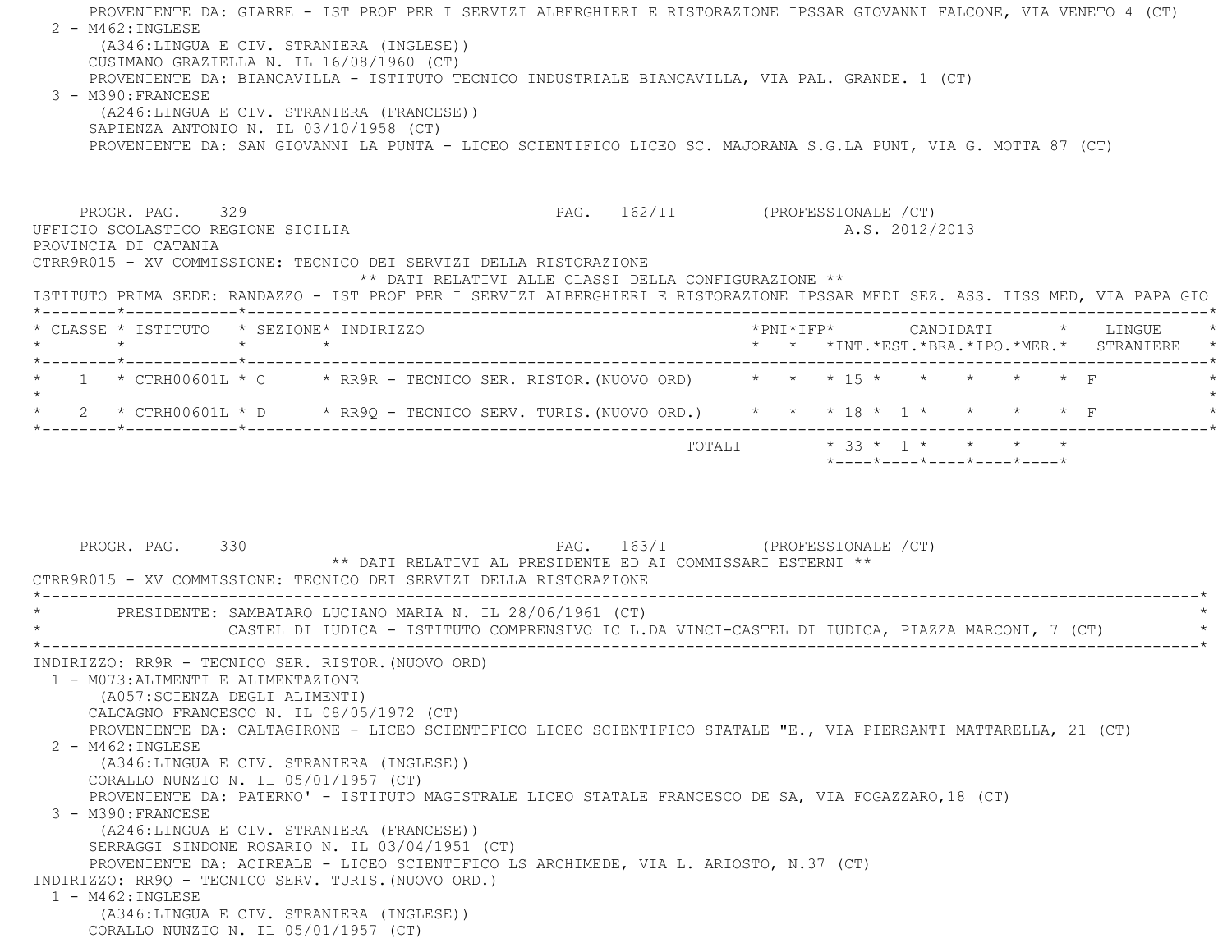PROVENIENTE DA: GIARRE - IST PROF PER I SERVIZI ALBERGHIERI E RISTORAZIONE IPSSAR GIOVANNI FALCONE, VIA VENETO 4 (CT) 2 - M462:INGLESE (A346:LINGUA E CIV. STRANIERA (INGLESE)) CUSIMANO GRAZIELLA N. IL 16/08/1960 (CT) PROVENIENTE DA: BIANCAVILLA - ISTITUTO TECNICO INDUSTRIALE BIANCAVILLA, VIA PAL. GRANDE. 1 (CT) 3 - M390:FRANCESE (A246:LINGUA E CIV. STRANIERA (FRANCESE)) SAPIENZA ANTONIO N. IL 03/10/1958 (CT) PROVENIENTE DA: SAN GIOVANNI LA PUNTA - LICEO SCIENTIFICO LICEO SC. MAJORANA S.G.LA PUNT, VIA G. MOTTA 87 (CT) PROGR. PAG. 329 PAG. 162/II (PROFESSIONALE / CT) UFFICIO SCOLASTICO REGIONE SICILIA A.S. 2012/2013 PROVINCIA DI CATANIA CTRR9R015 - XV COMMISSIONE: TECNICO DEI SERVIZI DELLA RISTORAZIONE \*\* DATI RELATIVI ALLE CLASSI DELLA CONFIGURAZIONE \*\* ISTITUTO PRIMA SEDE: RANDAZZO - IST PROF PER I SERVIZI ALBERGHIERI E RISTORAZIONE IPSSAR MEDI SEZ. ASS. IISS MED, VIA PAPA GIO \*--------\*------------\*-------------------------------------------------------------------------------------------------------\* \* CLASSE \* ISTITUTO \* SEZIONE\* INDIRIZZO \*PNI\*IFP\* CANDIDATI \* LINGUE \* \* \* \* \* \* \* \*INT.\*EST.\*BRA.\*IPO.\*MER.\* STRANIERE \* \*--------\*------------\*-------------------------------------------------------------------------------------------------------\*\* 1 \* CTRH00601L \* C \* RR9R - TECNICO SER. RISTOR. (NUOVO ORD) \* \* \* 15 \* \* \* \* \* \* \* F  $\star$  \* 2 \* CTRH00601L \* D \* RR9Q - TECNICO SERV. TURIS.(NUOVO ORD.) \* \* \* 18 \* 1 \* \* \* \* F \* \*--------\*------------\*-------------------------------------------------------------------------------------------------------\* $\texttt{TOTAL} \qquad \qquad \star \quad 33 \; \star \quad 1 \; \star \qquad \star \qquad \star \qquad \star$  \*----\*----\*----\*----\*----\*PROGR. PAG. 330 **PAG.** 163/I (PROFESSIONALE /CT) \*\* DATI RELATIVI AL PRESIDENTE ED AI COMMISSARI ESTERNI \*\* CTRR9R015 - XV COMMISSIONE: TECNICO DEI SERVIZI DELLA RISTORAZIONE \*----------------------------------------------------------------------------------------------------------------------------\*PRESIDENTE: SAMBATARO LUCIANO MARIA N. IL 28/06/1961 (CT) \* CASTEL DI IUDICA - ISTITUTO COMPRENSIVO IC L.DA VINCI-CASTEL DI IUDICA, PIAZZA MARCONI, 7 (CT) \* \*----------------------------------------------------------------------------------------------------------------------------\* INDIRIZZO: RR9R - TECNICO SER. RISTOR.(NUOVO ORD) 1 - M073:ALIMENTI E ALIMENTAZIONE (A057:SCIENZA DEGLI ALIMENTI) CALCAGNO FRANCESCO N. IL 08/05/1972 (CT) PROVENIENTE DA: CALTAGIRONE - LICEO SCIENTIFICO LICEO SCIENTIFICO STATALE "E., VIA PIERSANTI MATTARELLA, 21 (CT) 2 - M462:INGLESE (A346:LINGUA E CIV. STRANIERA (INGLESE)) CORALLO NUNZIO N. IL 05/01/1957 (CT) PROVENIENTE DA: PATERNO' - ISTITUTO MAGISTRALE LICEO STATALE FRANCESCO DE SA, VIA FOGAZZARO,18 (CT) 3 - M390:FRANCESE (A246:LINGUA E CIV. STRANIERA (FRANCESE)) SERRAGGI SINDONE ROSARIO N. IL 03/04/1951 (CT) PROVENIENTE DA: ACIREALE - LICEO SCIENTIFICO LS ARCHIMEDE, VIA L. ARIOSTO, N.37 (CT) INDIRIZZO: RR9Q - TECNICO SERV. TURIS.(NUOVO ORD.) 1 - M462:INGLESE (A346:LINGUA E CIV. STRANIERA (INGLESE)) CORALLO NUNZIO N. IL 05/01/1957 (CT)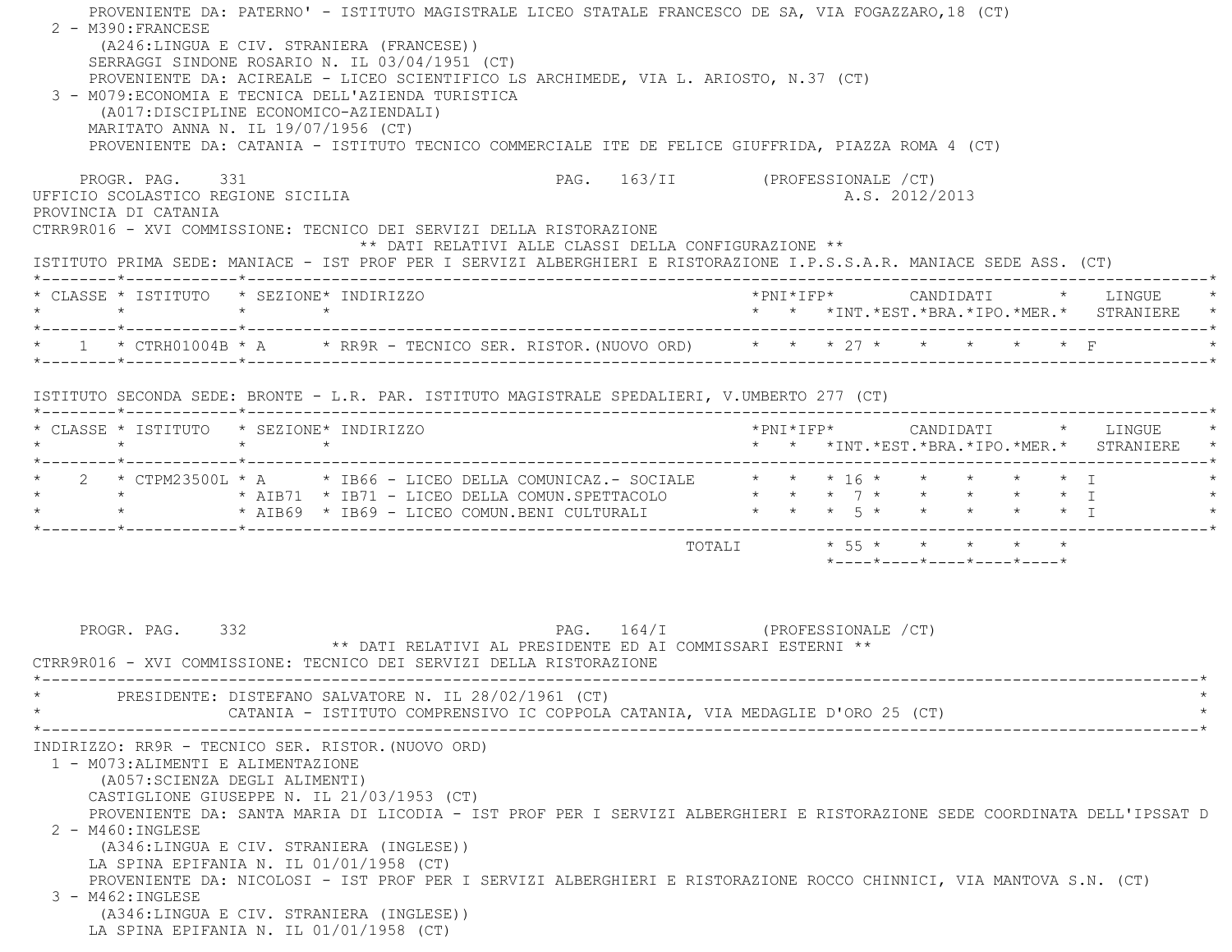| PROVENIENTE DA: CATANIA - ISTITUTO TECNICO COMMERCIALE ITE DE FELICE GIUFFRIDA, PIAZZA ROMA 4 (CT)<br>PROGR. PAG. 331                                                                       |                 |  | PAG. 163/II (PROFESSIONALE /CT)                                                              |                         |  |  |                |                            |  |                                                                                     |
|---------------------------------------------------------------------------------------------------------------------------------------------------------------------------------------------|-----------------|--|----------------------------------------------------------------------------------------------|-------------------------|--|--|----------------|----------------------------|--|-------------------------------------------------------------------------------------|
| UFFICIO SCOLASTICO REGIONE SICILIA<br>PROVINCIA DI CATANIA                                                                                                                                  |                 |  |                                                                                              |                         |  |  | A.S. 2012/2013 |                            |  |                                                                                     |
| CTRR9R016 - XVI COMMISSIONE: TECNICO DEI SERVIZI DELLA RISTORAZIONE<br>ISTITUTO PRIMA SEDE: MANIACE - IST PROF PER I SERVIZI ALBERGHIERI E RISTORAZIONE I.P.S.S.A.R. MANIACE SEDE ASS. (CT) |                 |  | ** DATI RELATIVI ALLE CLASSI DELLA CONFIGURAZIONE **                                         |                         |  |  |                |                            |  |                                                                                     |
| * CLASSE * ISTITUTO * SEZIONE* INDIRIZZO<br>$\star$ $\star$ $\star$ $\star$                                                                                                                 |                 |  |                                                                                              |                         |  |  |                |                            |  | *PNI*IFP*     CANDIDATI    *   LINGUE<br>* * *INT.*EST.*BRA.*IPO.*MER.* STRANIERE * |
| * 1 * CTRH01004B * A * RR9R - TECNICO SER. RISTOR. (NUOVO ORD) * * * 27 * * * * * * * F                                                                                                     |                 |  |                                                                                              |                         |  |  |                |                            |  |                                                                                     |
| ISTITUTO SECONDA SEDE: BRONTE - L.R. PAR. ISTITUTO MAGISTRALE SPEDALIERI, V.UMBERTO 277 (CT)                                                                                                |                 |  |                                                                                              |                         |  |  |                |                            |  |                                                                                     |
| * CLASSE * ISTITUTO * SEZIONE* INDIRIZZO<br>$\star$                                                                                                                                         | $\star$ $\star$ |  |                                                                                              |                         |  |  |                |                            |  | * * *INT.*EST.*BRA.*IPO.*MER.* STRANIERE *                                          |
| * 2 * CTPM23500L * A * IB66 - LICEO DELLA COMUNICAZ.- SOCIALE * * * 16 * * * * * * * T<br>* * * * AIB69 * IB69 - LICEO COMUN.BENI CULTURALI * * * 5 * * * * * * * I                         |                 |  |                                                                                              |                         |  |  |                |                            |  |                                                                                     |
|                                                                                                                                                                                             |                 |  |                                                                                              | TOTALI * 55 * * * * * * |  |  |                | *----*----*----*----*----* |  |                                                                                     |
|                                                                                                                                                                                             |                 |  | PAG. 164/I (PROFESSIONALE /CT)<br>** DATI RELATIVI AL PRESIDENTE ED AI COMMISSARI ESTERNI ** |                         |  |  |                |                            |  |                                                                                     |
| PROGR. PAG. 332<br>CTRR9R016 - XVI COMMISSIONE: TECNICO DEI SERVIZI DELLA RISTORAZIONE                                                                                                      |                 |  |                                                                                              |                         |  |  |                |                            |  |                                                                                     |
| PRESIDENTE: DISTEFANO SALVATORE N. IL 28/02/1961 (CT)                                                                                                                                       |                 |  | CATANIA - ISTITUTO COMPRENSIVO IC COPPOLA CATANIA, VIA MEDAGLIE D'ORO 25 (CT)                |                         |  |  |                |                            |  |                                                                                     |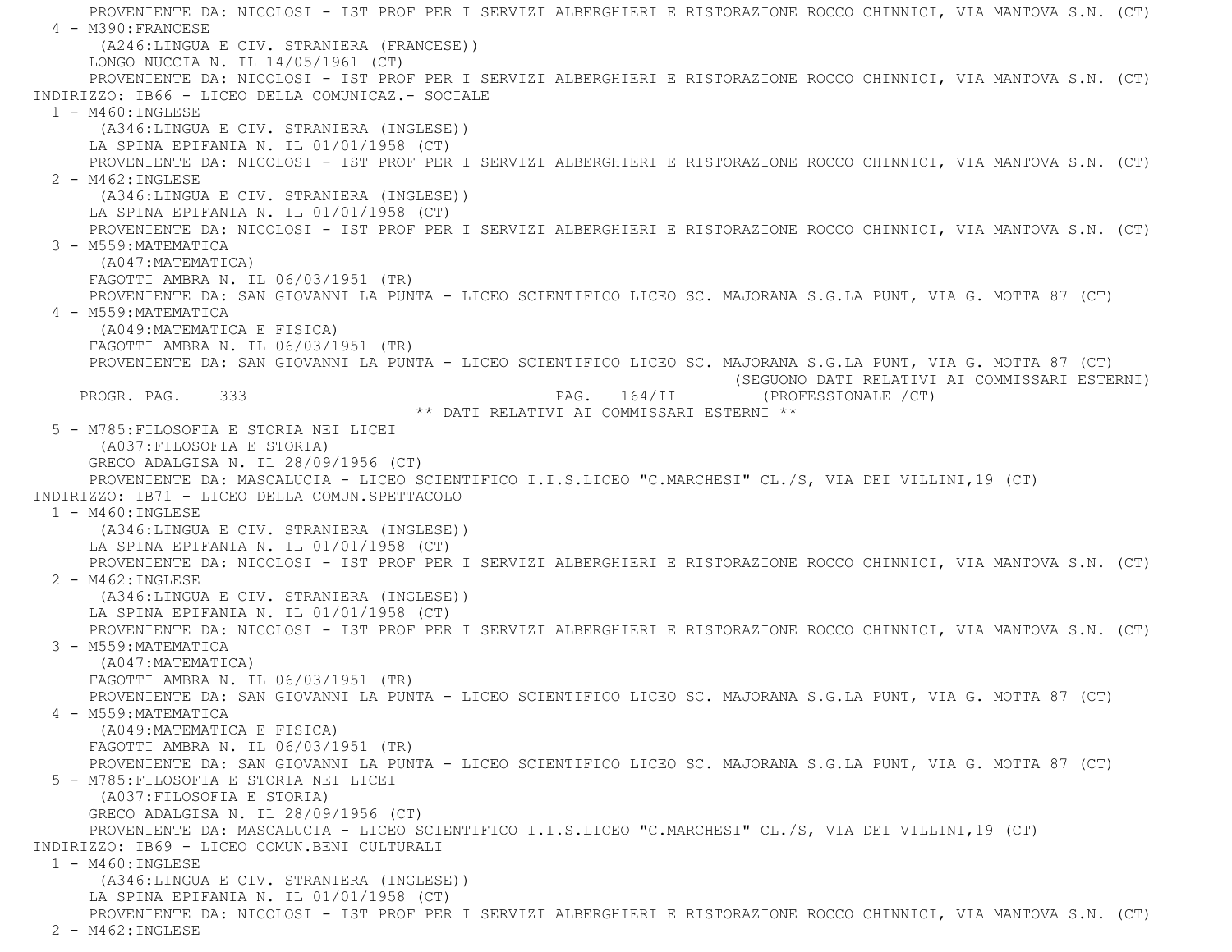PROVENIENTE DA: NICOLOSI - IST PROF PER I SERVIZI ALBERGHIERI E RISTORAZIONE ROCCO CHINNICI, VIA MANTOVA S.N. (CT) 4 - M390:FRANCESE (A246:LINGUA E CIV. STRANIERA (FRANCESE)) LONGO NUCCIA N. IL 14/05/1961 (CT) PROVENIENTE DA: NICOLOSI - IST PROF PER I SERVIZI ALBERGHIERI E RISTORAZIONE ROCCO CHINNICI, VIA MANTOVA S.N. (CT) INDIRIZZO: IB66 - LICEO DELLA COMUNICAZ.- SOCIALE $1 - M460 \cdot INGLESE$  (A346:LINGUA E CIV. STRANIERA (INGLESE)) LA SPINA EPIFANIA N. IL 01/01/1958 (CT) PROVENIENTE DA: NICOLOSI - IST PROF PER I SERVIZI ALBERGHIERI E RISTORAZIONE ROCCO CHINNICI, VIA MANTOVA S.N. (CT) 2 - M462:INGLESE (A346:LINGUA E CIV. STRANIERA (INGLESE)) LA SPINA EPIFANIA N. IL 01/01/1958 (CT) PROVENIENTE DA: NICOLOSI - IST PROF PER I SERVIZI ALBERGHIERI E RISTORAZIONE ROCCO CHINNICI, VIA MANTOVA S.N. (CT) 3 - M559:MATEMATICA (A047:MATEMATICA) FAGOTTI AMBRA N. IL 06/03/1951 (TR) PROVENIENTE DA: SAN GIOVANNI LA PUNTA - LICEO SCIENTIFICO LICEO SC. MAJORANA S.G.LA PUNT, VIA G. MOTTA 87 (CT) 4 - M559:MATEMATICA (A049:MATEMATICA E FISICA) FAGOTTI AMBRA N. IL 06/03/1951 (TR) PROVENIENTE DA: SAN GIOVANNI LA PUNTA - LICEO SCIENTIFICO LICEO SC. MAJORANA S.G.LA PUNT, VIA G. MOTTA 87 (CT) (SEGUONO DATI RELATIVI AI COMMISSARI ESTERNI) PROGR. PAG. 333 PAG. 164/II (PROFESSIONALE /CT) \*\* DATI RELATIVI AI COMMISSARI ESTERNI \*\* 5 - M785:FILOSOFIA E STORIA NEI LICEI (A037:FILOSOFIA E STORIA) GRECO ADALGISA N. IL 28/09/1956 (CT) PROVENIENTE DA: MASCALUCIA - LICEO SCIENTIFICO I.I.S.LICEO "C.MARCHESI" CL./S, VIA DEI VILLINI,19 (CT) INDIRIZZO: IB71 - LICEO DELLA COMUN.SPETTACOLO 1 - M460:INGLESE (A346:LINGUA E CIV. STRANIERA (INGLESE)) LA SPINA EPIFANIA N. IL 01/01/1958 (CT) PROVENIENTE DA: NICOLOSI - IST PROF PER I SERVIZI ALBERGHIERI E RISTORAZIONE ROCCO CHINNICI, VIA MANTOVA S.N. (CT) 2 - M462:INGLESE (A346:LINGUA E CIV. STRANIERA (INGLESE)) LA SPINA EPIFANIA N. IL 01/01/1958 (CT) PROVENIENTE DA: NICOLOSI - IST PROF PER I SERVIZI ALBERGHIERI E RISTORAZIONE ROCCO CHINNICI, VIA MANTOVA S.N. (CT) 3 - M559:MATEMATICA (A047:MATEMATICA) FAGOTTI AMBRA N. IL 06/03/1951 (TR) PROVENIENTE DA: SAN GIOVANNI LA PUNTA - LICEO SCIENTIFICO LICEO SC. MAJORANA S.G.LA PUNT, VIA G. MOTTA 87 (CT) 4 - M559:MATEMATICA (A049:MATEMATICA E FISICA) FAGOTTI AMBRA N. IL 06/03/1951 (TR) PROVENIENTE DA: SAN GIOVANNI LA PUNTA - LICEO SCIENTIFICO LICEO SC. MAJORANA S.G.LA PUNT, VIA G. MOTTA 87 (CT) 5 - M785:FILOSOFIA E STORIA NEI LICEI (A037:FILOSOFIA E STORIA) GRECO ADALGISA N. IL 28/09/1956 (CT) PROVENIENTE DA: MASCALUCIA - LICEO SCIENTIFICO I.I.S.LICEO "C.MARCHESI" CL./S, VIA DEI VILLINI,19 (CT) INDIRIZZO: IB69 - LICEO COMUN.BENI CULTURALI 1 - M460:INGLESE (A346:LINGUA E CIV. STRANIERA (INGLESE)) LA SPINA EPIFANIA N. IL 01/01/1958 (CT) PROVENIENTE DA: NICOLOSI - IST PROF PER I SERVIZI ALBERGHIERI E RISTORAZIONE ROCCO CHINNICI, VIA MANTOVA S.N. (CT) 2 - M462:INGLESE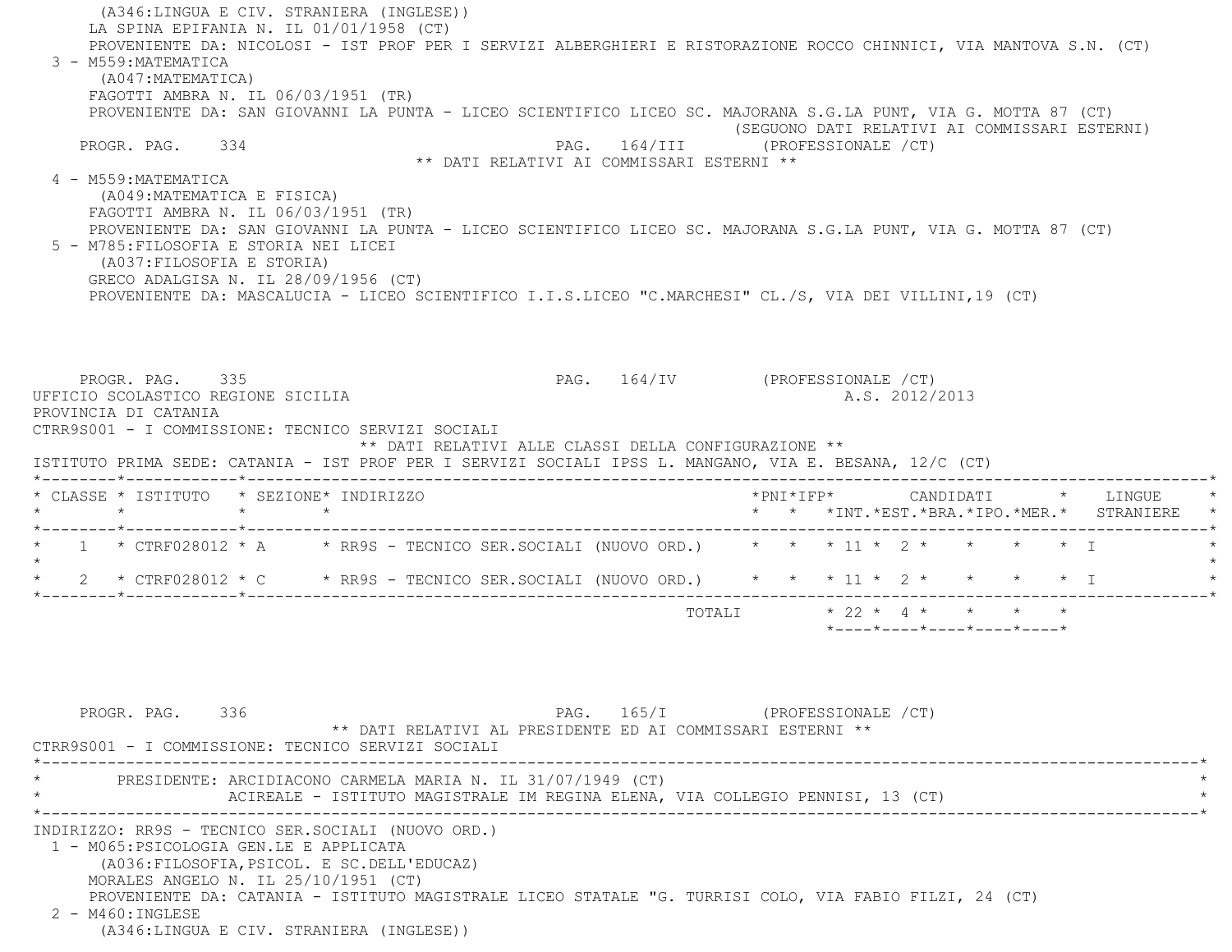(A346:LINGUA E CIV. STRANIERA (INGLESE)) LA SPINA EPIFANIA N. IL 01/01/1958 (CT) PROVENIENTE DA: NICOLOSI - IST PROF PER I SERVIZI ALBERGHIERI E RISTORAZIONE ROCCO CHINNICI, VIA MANTOVA S.N. (CT) 3 - M559:MATEMATICA (A047:MATEMATICA) FAGOTTI AMBRA N. IL 06/03/1951 (TR) PROVENIENTE DA: SAN GIOVANNI LA PUNTA - LICEO SCIENTIFICO LICEO SC. MAJORANA S.G.LA PUNT, VIA G. MOTTA 87 (CT) (SEGUONO DATI RELATIVI AI COMMISSARI ESTERNI) PROGR. PAG. 334 CHA PAG. 164/III (PROFESSIONALE /CT) \*\* DATI RELATIVI AI COMMISSARI ESTERNI \*\* 4 - M559:MATEMATICA (A049:MATEMATICA E FISICA) FAGOTTI AMBRA N. IL 06/03/1951 (TR) PROVENIENTE DA: SAN GIOVANNI LA PUNTA - LICEO SCIENTIFICO LICEO SC. MAJORANA S.G.LA PUNT, VIA G. MOTTA 87 (CT) 5 - M785:FILOSOFIA E STORIA NEI LICEI (A037:FILOSOFIA E STORIA) GRECO ADALGISA N. IL 28/09/1956 (CT) PROVENIENTE DA: MASCALUCIA - LICEO SCIENTIFICO I.I.S.LICEO "C.MARCHESI" CL./S, VIA DEI VILLINI,19 (CT) PROGR. PAG. 335 2007 PAG. 164/IV (PROFESSIONALE /CT) UFFICIO SCOLASTICO REGIONE SICILIA A.S. 2012/2013 PROVINCIA DI CATANIA CTRR9S001 - I COMMISSIONE: TECNICO SERVIZI SOCIALI \*\* DATI RELATIVI ALLE CLASSI DELLA CONFIGURAZIONE \*\* ISTITUTO PRIMA SEDE: CATANIA - IST PROF PER I SERVIZI SOCIALI IPSS L. MANGANO, VIA E. BESANA, 12/C (CT) \*--------\*------------\*-------------------------------------------------------------------------------------------------------\* \* CLASSE \* ISTITUTO \* SEZIONE\* INDIRIZZO \*PNI\*IFP\* CANDIDATI \* LINGUE \* \* \* \* \* \* \* \*INT.\*EST.\*BRA.\*IPO.\*MER.\* STRANIERE \* \*--------\*------------\*-------------------------------------------------------------------------------------------------------\*1 \* CTRF028012 \* A \* RR9S - TECNICO SER.SOCIALI (NUOVO ORD.) \* \* \* 11 \* 2 \* \* \*  $\star$ \* 2 \* CTRF028012 \* C \* RR9S - TECNICO SER. SOCIALI (NUOVO ORD.) \* \* \* 11 \* 2 \* \* \* \* \* I \*--------\*------------\*-------------------------------------------------------------------------------------------------------\*TOTALI  $\star$  22  $\star$  4  $\star$   $\star$   $\star$   $\star$  \*----\*----\*----\*----\*----\*PROGR. PAG. 336 PAG. 165/I (PROFESSIONALE / CT) \*\* DATI RELATIVI AL PRESIDENTE ED AI COMMISSARI ESTERNI \*\* CTRR9S001 - I COMMISSIONE: TECNICO SERVIZI SOCIALI \*----------------------------------------------------------------------------------------------------------------------------\*PRESIDENTE: ARCIDIACONO CARMELA MARIA N. IL 31/07/1949 (CT) ACIREALE - ISTITUTO MAGISTRALE IM REGINA ELENA, VIA COLLEGIO PENNISI, 13 (CT) \*----------------------------------------------------------------------------------------------------------------------------\* INDIRIZZO: RR9S - TECNICO SER.SOCIALI (NUOVO ORD.) 1 - M065:PSICOLOGIA GEN.LE E APPLICATA (A036:FILOSOFIA,PSICOL. E SC.DELL'EDUCAZ) MORALES ANGELO N. IL 25/10/1951 (CT) PROVENIENTE DA: CATANIA - ISTITUTO MAGISTRALE LICEO STATALE "G. TURRISI COLO, VIA FABIO FILZI, 24 (CT) 2 - M460:INGLESE

(A346:LINGUA E CIV. STRANIERA (INGLESE))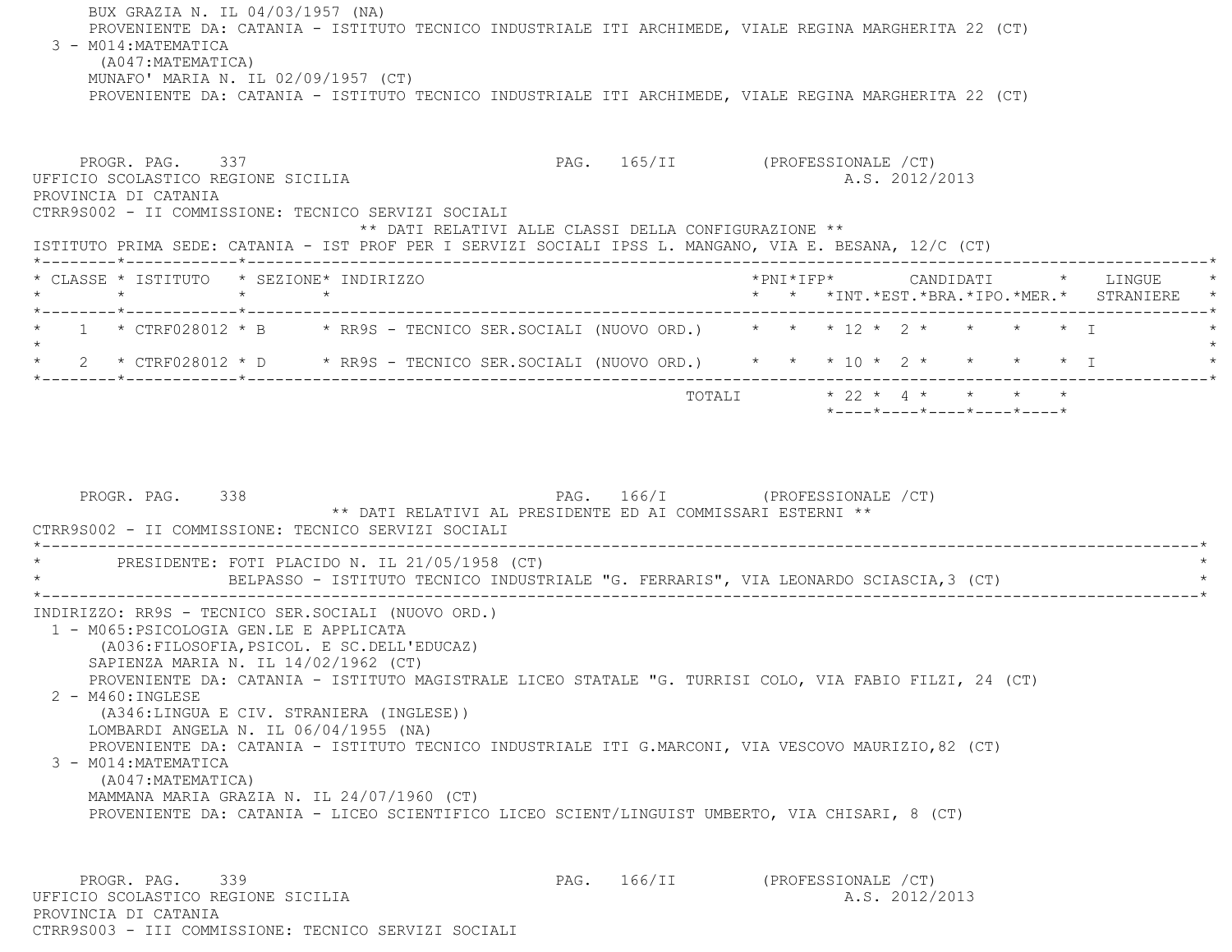BUX GRAZIA N. IL 04/03/1957 (NA) PROVENIENTE DA: CATANIA - ISTITUTO TECNICO INDUSTRIALE ITI ARCHIMEDE, VIALE REGINA MARGHERITA 22 (CT) 3 - M014:MATEMATICA (A047:MATEMATICA) MUNAFO' MARIA N. IL 02/09/1957 (CT) PROVENIENTE DA: CATANIA - ISTITUTO TECNICO INDUSTRIALE ITI ARCHIMEDE, VIALE REGINA MARGHERITA 22 (CT) PROGR. PAG. 337 PAG. 165/II (PROFESSIONALE /CT) UFFICIO SCOLASTICO REGIONE SICILIA A.S. 2012/2013 PROVINCIA DI CATANIA CTRR9S002 - II COMMISSIONE: TECNICO SERVIZI SOCIALI \*\* DATI RELATIVI ALLE CLASSI DELLA CONFIGURAZIONE \*\* ISTITUTO PRIMA SEDE: CATANIA - IST PROF PER I SERVIZI SOCIALI IPSS L. MANGANO, VIA E. BESANA, 12/C (CT) \*--------\*------------\*-------------------------------------------------------------------------------------------------------\* \* CLASSE \* ISTITUTO \* SEZIONE\* INDIRIZZO \*PNI\*IFP\* CANDIDATI \* LINGUE \* \* \* \* \* \* \* \*INT.\*EST.\*BRA.\*IPO.\*MER.\* STRANIERE \* \*--------\*------------\*-------------------------------------------------------------------------------------------------------\*1 \* CTRF028012 \* B \* RR9S - TECNICO SER.SOCIALI (NUOVO ORD.) \* \* \* 12 \* 2 \* \* \* \* \* \* T  $\star$ \* 2 \* CTRF028012 \* D \* RR9S - TECNICO SER.SOCIALI (NUOVO ORD.) \* \* \* 10 \* 2 \* \* \* \* \* \* I \*--------\*------------\*-------------------------------------------------------------------------------------------------------\* $\texttt{TOTAL} \qquad \qquad \star \quad 22 \; \star \; \; 4 \; \star \qquad \star \qquad \star \qquad \star \qquad \star$  \*----\*----\*----\*----\*----\*PROGR. PAG. 338 PAG. 166/I (PROFESSIONALE /CT) \*\* DATI RELATIVI AL PRESIDENTE ED AI COMMISSARI ESTERNI \*\* CTRR9S002 - II COMMISSIONE: TECNICO SERVIZI SOCIALI \*----------------------------------------------------------------------------------------------------------------------------\*PRESIDENTE: FOTI PLACIDO N. IL 21/05/1958 (CT) BELPASSO - ISTITUTO TECNICO INDUSTRIALE "G. FERRARIS", VIA LEONARDO SCIASCIA,3 (CT) \*----------------------------------------------------------------------------------------------------------------------------\* INDIRIZZO: RR9S - TECNICO SER.SOCIALI (NUOVO ORD.) 1 - M065:PSICOLOGIA GEN.LE E APPLICATA (A036:FILOSOFIA,PSICOL. E SC.DELL'EDUCAZ) SAPIENZA MARIA N. IL 14/02/1962 (CT) PROVENIENTE DA: CATANIA - ISTITUTO MAGISTRALE LICEO STATALE "G. TURRISI COLO, VIA FABIO FILZI, 24 (CT) 2 - M460:INGLESE

 (A346:LINGUA E CIV. STRANIERA (INGLESE)) LOMBARDI ANGELA N. IL 06/04/1955 (NA)

PROVENIENTE DA: CATANIA - ISTITUTO TECNICO INDUSTRIALE ITI G.MARCONI, VIA VESCOVO MAURIZIO,82 (CT)

3 - M014:MATEMATICA

 (A047:MATEMATICA) MAMMANA MARIA GRAZIA N. IL 24/07/1960 (CT) PROVENIENTE DA: CATANIA - LICEO SCIENTIFICO LICEO SCIENT/LINGUIST UMBERTO, VIA CHISARI, 8 (CT)

PROGR. PAG. 339 PAG. 166/II (PROFESSIONALE /CT) UFFICIO SCOLASTICO REGIONE SICILIA A.S. 2012/2013 PROVINCIA DI CATANIACTRR9S003 - III COMMISSIONE: TECNICO SERVIZI SOCIALI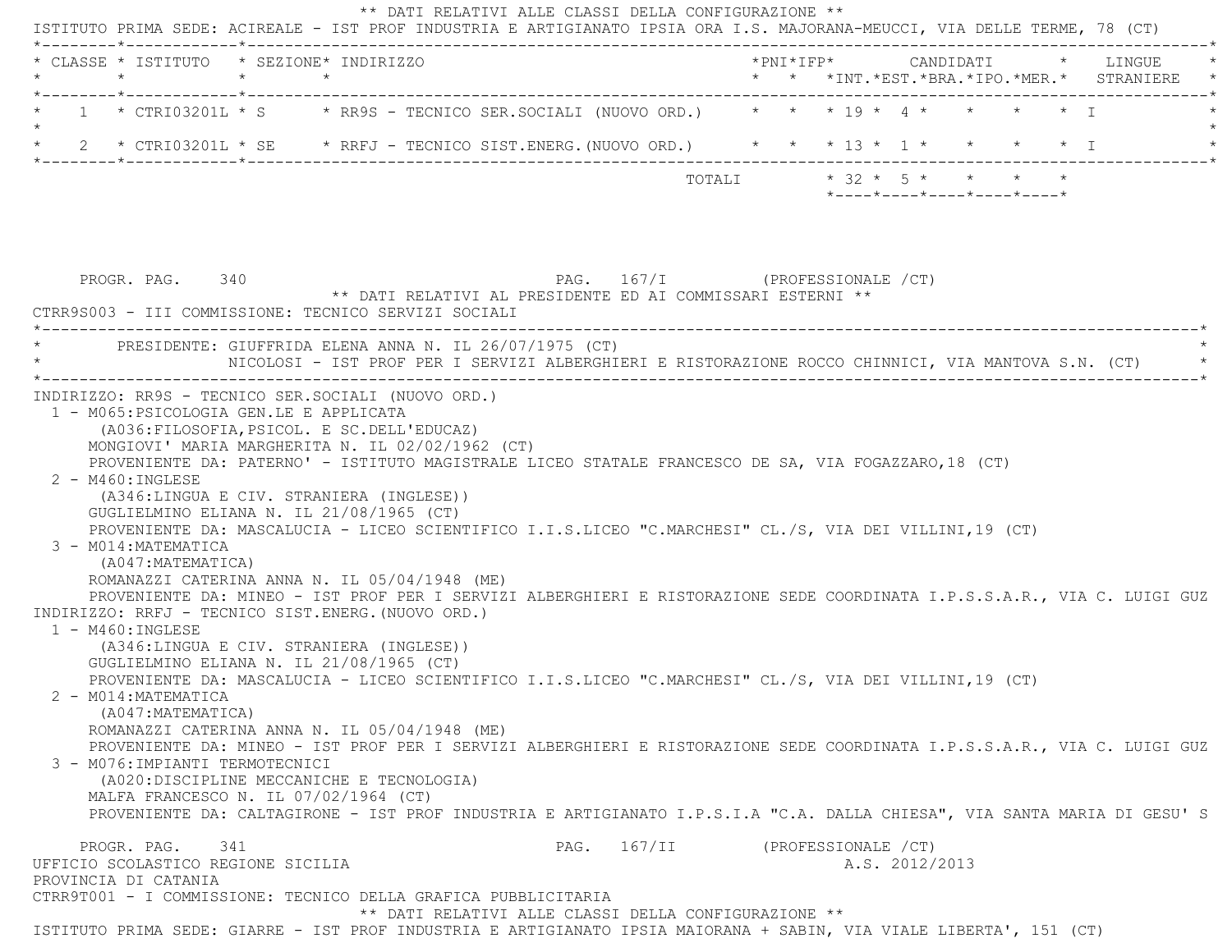| * CLASSE * ISTITUTO * SEZIONE* INDIRIZZO<br>$\star$                           | $\star$ $\star$ |                                                                                                                                                                                                                                                                                                                                                                                                                                    |                                |        |  |                                                                     |                   | * * *INT. *EST. *BRA. *IPO. *MER. * STRANIERE |
|-------------------------------------------------------------------------------|-----------------|------------------------------------------------------------------------------------------------------------------------------------------------------------------------------------------------------------------------------------------------------------------------------------------------------------------------------------------------------------------------------------------------------------------------------------|--------------------------------|--------|--|---------------------------------------------------------------------|-------------------|-----------------------------------------------|
|                                                                               |                 | 1 * CTRI03201L * S * RR9S - TECNICO SER.SOCIALI (NUOVO ORD.) * * * 19 * 4 *                                                                                                                                                                                                                                                                                                                                                        |                                |        |  |                                                                     | $\star$ $\star$ T |                                               |
|                                                                               |                 | 2 * CTRI03201L * SE * RRFJ - TECNICO SIST.ENERG. (NUOVO ORD.) * * * 13 * 1 * * * * * * I                                                                                                                                                                                                                                                                                                                                           |                                |        |  |                                                                     |                   |                                               |
|                                                                               |                 |                                                                                                                                                                                                                                                                                                                                                                                                                                    |                                | TOTALI |  | $* 32 * 5 * * * * * * *$<br>$*$ ---- $*$ ---- $*$ ---- $*$ ---- $*$ |                   |                                               |
| PROGR. PAG. 340                                                               |                 | ** DATI RELATIVI AL PRESIDENTE ED AI COMMISSARI ESTERNI **<br>CTRR9S003 - III COMMISSIONE: TECNICO SERVIZI SOCIALI                                                                                                                                                                                                                                                                                                                 | PAG. 167/I (PROFESSIONALE /CT) |        |  |                                                                     |                   |                                               |
|                                                                               |                 | PRESIDENTE: GIUFFRIDA ELENA ANNA N. IL 26/07/1975 (CT)<br>NICOLOSI - IST PROF PER I SERVIZI ALBERGHIERI E RISTORAZIONE ROCCO CHINNICI, VIA MANTOVA S.N. (CT)                                                                                                                                                                                                                                                                       |                                |        |  |                                                                     |                   |                                               |
| 1 - M065: PSICOLOGIA GEN.LE E APPLICATA<br>$2 - M460$ : INGLESE               |                 | INDIRIZZO: RR9S - TECNICO SER.SOCIALI (NUOVO ORD.)<br>(A036: FILOSOFIA, PSICOL. E SC. DELL'EDUCAZ)<br>MONGIOVI' MARIA MARGHERITA N. IL 02/02/1962 (CT)<br>PROVENIENTE DA: PATERNO' - ISTITUTO MAGISTRALE LICEO STATALE FRANCESCO DE SA, VIA FOGAZZARO, 18 (CT)<br>(A346:LINGUA E CIV. STRANIERA (INGLESE))                                                                                                                         |                                |        |  |                                                                     |                   |                                               |
| 3 - M014: MATEMATICA<br>(A047: MATEMATICA)<br>$1 - M460 : INGLESE$            |                 | GUGLIELMINO ELIANA N. IL 21/08/1965 (CT)<br>PROVENIENTE DA: MASCALUCIA - LICEO SCIENTIFICO I.I.S.LICEO "C.MARCHESI" CL./S, VIA DEI VILLINI, 19 (CT)<br>ROMANAZZI CATERINA ANNA N. IL 05/04/1948 (ME)<br>PROVENIENTE DA: MINEO - IST PROF PER I SERVIZI ALBERGHIERI E RISTORAZIONE SEDE COORDINATA I.P.S.S.A.R., VIA C. LUIGI GUZ<br>INDIRIZZO: RRFJ - TECNICO SIST.ENERG. (NUOVO ORD.)<br>(A346:LINGUA E CIV. STRANIERA (INGLESE)) |                                |        |  |                                                                     |                   |                                               |
| 2 - M014: MATEMATICA<br>(A047: MATEMATICA)<br>3 - M076: IMPIANTI TERMOTECNICI |                 | GUGLIELMINO ELIANA N. IL 21/08/1965 (CT)<br>PROVENIENTE DA: MASCALUCIA - LICEO SCIENTIFICO I.I.S.LICEO "C.MARCHESI" CL./S, VIA DEI VILLINI, 19 (CT)<br>ROMANAZZI CATERINA ANNA N. IL 05/04/1948 (ME)<br>PROVENIENTE DA: MINEO - IST PROF PER I SERVIZI ALBERGHIERI E RISTORAZIONE SEDE COORDINATA I.P.S.S.A.R., VIA C. LUIGI GUZ<br>(A020: DISCIPLINE MECCANICHE E TECNOLOGIA)                                                     |                                |        |  |                                                                     |                   |                                               |
| MALFA FRANCESCO N. IL 07/02/1964 (CT)                                         |                 | PROVENIENTE DA: CALTAGIRONE - IST PROF INDUSTRIA E ARTIGIANATO I.P.S.I.A "C.A. DALLA CHIESA", VIA SANTA MARIA DI GESU'S                                                                                                                                                                                                                                                                                                            |                                |        |  |                                                                     |                   |                                               |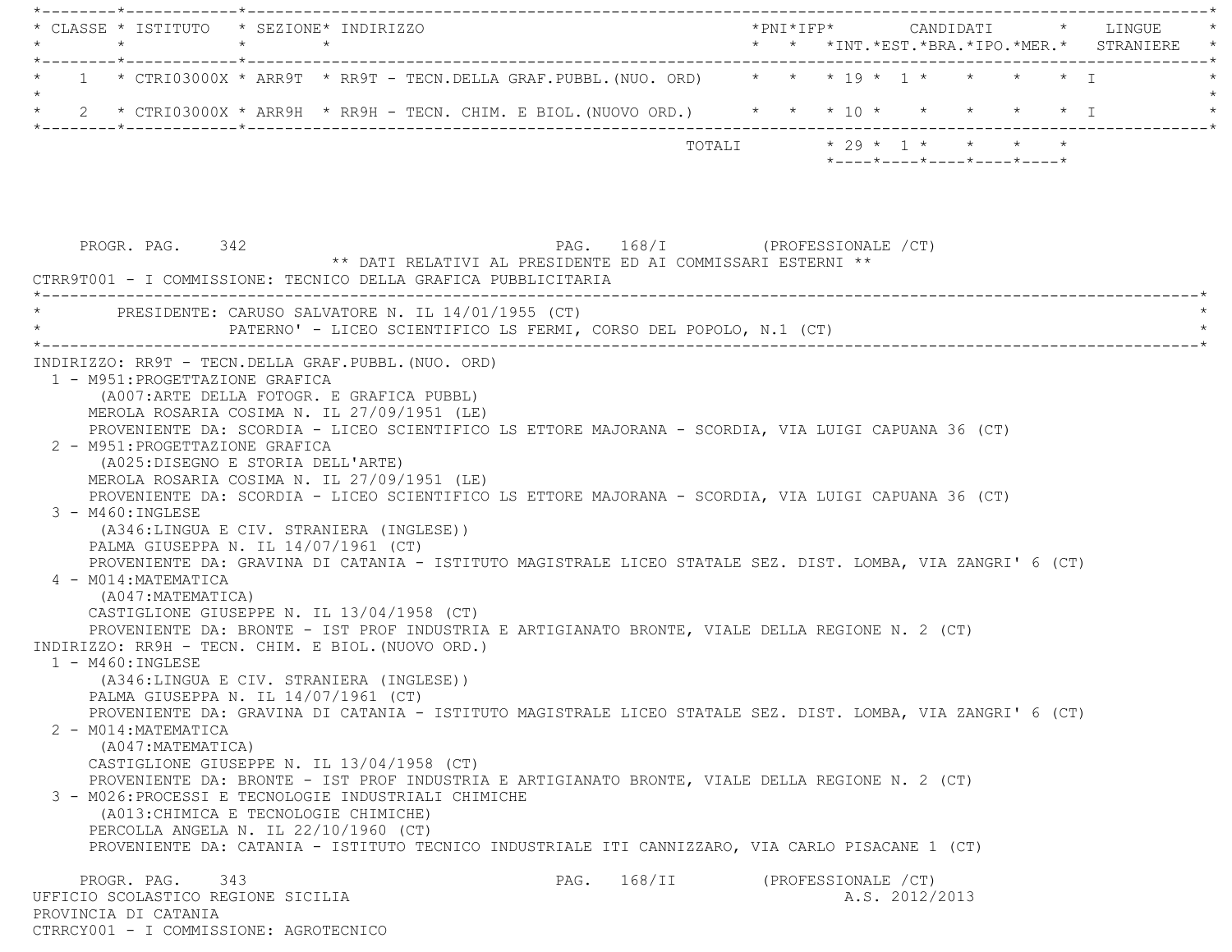\*--------\*------------\*-------------------------------------------------------------------------------------------------------\* \* CLASSE \* ISTITUTO \* SEZIONE\* INDIRIZZO \*PNI\*IFP\* CANDIDATI \* LINGUE \* \* \* \* \* \* \* \*INT.\*EST.\*BRA.\*IPO.\*MER.\* STRANIERE \* \*--------\*------------\*-------------------------------------------------------------------------------------------------------\* $1$  \* CTRI03000X \* ARR9T \* RR9T - TECN.DELLA GRAF.PUBBL.(NUO. ORD) \* \* \* 19 \*  $1$  \* \* \* \* \*  $\overline{1}$  $\star$  \* 2 \* CTRI03000X \* ARR9H \* RR9H - TECN. CHIM. E BIOL.(NUOVO ORD.) \* \* \* 10 \* \* \* \* \* I \* \*--------\*------------\*-------------------------------------------------------------------------------------------------------\*TOTALI  $* 29 * 1 * * * * * * * *$  \*----\*----\*----\*----\*----\*PROGR. PAG. 342 PAG. 168/I (PROFESSIONALE /CT) \*\* DATI RELATIVI AL PRESIDENTE ED AI COMMISSARI ESTERNI \*\* CTRR9T001 - I COMMISSIONE: TECNICO DELLA GRAFICA PUBBLICITARIA \*----------------------------------------------------------------------------------------------------------------------------\*PRESIDENTE: CARUSO SALVATORE N. IL 14/01/1955 (CT) PATERNO' - LICEO SCIENTIFICO LS FERMI, CORSO DEL POPOLO, N.1 (CT) \*----------------------------------------------------------------------------------------------------------------------------\* INDIRIZZO: RR9T - TECN.DELLA GRAF.PUBBL.(NUO. ORD) 1 - M951:PROGETTAZIONE GRAFICA (A007:ARTE DELLA FOTOGR. E GRAFICA PUBBL) MEROLA ROSARIA COSIMA N. IL 27/09/1951 (LE) PROVENIENTE DA: SCORDIA - LICEO SCIENTIFICO LS ETTORE MAJORANA - SCORDIA, VIA LUIGI CAPUANA 36 (CT) 2 - M951:PROGETTAZIONE GRAFICA (A025:DISEGNO E STORIA DELL'ARTE) MEROLA ROSARIA COSIMA N. IL 27/09/1951 (LE) PROVENIENTE DA: SCORDIA - LICEO SCIENTIFICO LS ETTORE MAJORANA - SCORDIA, VIA LUIGI CAPUANA 36 (CT) 3 - M460:INGLESE (A346:LINGUA E CIV. STRANIERA (INGLESE)) PALMA GIUSEPPA N. IL 14/07/1961 (CT) PROVENIENTE DA: GRAVINA DI CATANIA - ISTITUTO MAGISTRALE LICEO STATALE SEZ. DIST. LOMBA, VIA ZANGRI' 6 (CT) 4 - M014:MATEMATICA (A047:MATEMATICA) CASTIGLIONE GIUSEPPE N. IL 13/04/1958 (CT) PROVENIENTE DA: BRONTE - IST PROF INDUSTRIA E ARTIGIANATO BRONTE, VIALE DELLA REGIONE N. 2 (CT) INDIRIZZO: RR9H - TECN. CHIM. E BIOL.(NUOVO ORD.) 1 - M460:INGLESE (A346:LINGUA E CIV. STRANIERA (INGLESE)) PALMA GIUSEPPA N. IL 14/07/1961 (CT) PROVENIENTE DA: GRAVINA DI CATANIA - ISTITUTO MAGISTRALE LICEO STATALE SEZ. DIST. LOMBA, VIA ZANGRI' 6 (CT) 2 - M014:MATEMATICA (A047:MATEMATICA) CASTIGLIONE GIUSEPPE N. IL 13/04/1958 (CT) PROVENIENTE DA: BRONTE - IST PROF INDUSTRIA E ARTIGIANATO BRONTE, VIALE DELLA REGIONE N. 2 (CT) 3 - M026:PROCESSI E TECNOLOGIE INDUSTRIALI CHIMICHE (A013:CHIMICA E TECNOLOGIE CHIMICHE) PERCOLLA ANGELA N. IL 22/10/1960 (CT) PROVENIENTE DA: CATANIA - ISTITUTO TECNICO INDUSTRIALE ITI CANNIZZARO, VIA CARLO PISACANE 1 (CT) PROGR. PAG. 343 PAG. 168/II (PROFESSIONALE /CT) UFFICIO SCOLASTICO REGIONE SICILIA A.S. 2012/2013 PROVINCIA DI CATANIACTRRCY001 - I COMMISSIONE: AGROTECNICO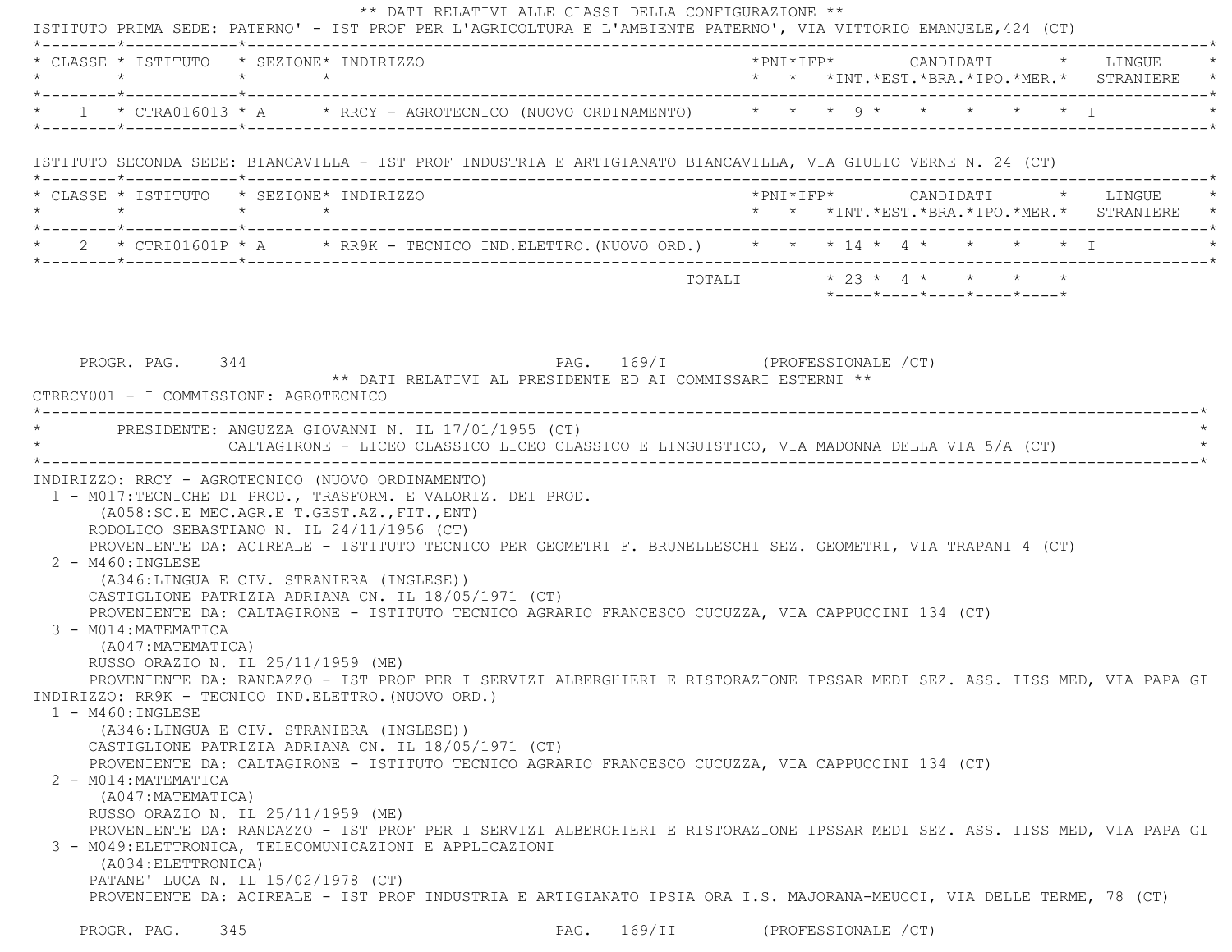| $\star \qquad \qquad \star \qquad \qquad \star \qquad \qquad \star$                    | * CLASSE * ISTITUTO * SEZIONE* INDIRIZZO                                                                                                                                                                                                                                                                                                                                                                                                                                                                                                                                                 |                                                            |  |                           |  |  |  |                                                                 | *PNI*IFP*     CANDIDATI    *   LINGUE<br>* * *INT.*EST.*BRA.*IPO.*MER.* STRANIERE * |
|----------------------------------------------------------------------------------------|------------------------------------------------------------------------------------------------------------------------------------------------------------------------------------------------------------------------------------------------------------------------------------------------------------------------------------------------------------------------------------------------------------------------------------------------------------------------------------------------------------------------------------------------------------------------------------------|------------------------------------------------------------|--|---------------------------|--|--|--|-----------------------------------------------------------------|-------------------------------------------------------------------------------------|
|                                                                                        | * 1 * CTRA016013 * A * RRCY - AGROTECNICO (NUOVO ORDINAMENTO) * * * 9 * * * * * * * I                                                                                                                                                                                                                                                                                                                                                                                                                                                                                                    |                                                            |  |                           |  |  |  |                                                                 |                                                                                     |
|                                                                                        | ISTITUTO SECONDA SEDE: BIANCAVILLA - IST PROF INDUSTRIA E ARTIGIANATO BIANCAVILLA, VIA GIULIO VERNE N. 24 (CT)                                                                                                                                                                                                                                                                                                                                                                                                                                                                           |                                                            |  |                           |  |  |  |                                                                 |                                                                                     |
|                                                                                        | * CLASSE * ISTITUTO * SEZIONE* INDIRIZZO                                                                                                                                                                                                                                                                                                                                                                                                                                                                                                                                                 |                                                            |  |                           |  |  |  |                                                                 | *PNI*IFP* CANDIDATI * LINGUE                                                        |
| $\star$                                                                                | $\star$ $\star$                                                                                                                                                                                                                                                                                                                                                                                                                                                                                                                                                                          |                                                            |  |                           |  |  |  |                                                                 | * * *INT.*EST.*BRA.*IPO.*MER.* STRANIERE *                                          |
|                                                                                        | * 2 * CTRI01601P * A * RR9K - TECNICO IND.ELETTRO. (NUOVO ORD.) * * * 14 * 4 * * * * * * I                                                                                                                                                                                                                                                                                                                                                                                                                                                                                               |                                                            |  |                           |  |  |  |                                                                 |                                                                                     |
|                                                                                        |                                                                                                                                                                                                                                                                                                                                                                                                                                                                                                                                                                                          |                                                            |  | TOTALI * 23 * 4 * * * * * |  |  |  | $*$ - - - - $*$ - - - - $*$ - - - - $*$ - - - - $*$ - - - - $*$ |                                                                                     |
|                                                                                        |                                                                                                                                                                                                                                                                                                                                                                                                                                                                                                                                                                                          |                                                            |  |                           |  |  |  |                                                                 |                                                                                     |
| PROGR. PAG. 344                                                                        |                                                                                                                                                                                                                                                                                                                                                                                                                                                                                                                                                                                          | PAG. 169/I (PROFESSIONALE /CT)                             |  |                           |  |  |  |                                                                 |                                                                                     |
|                                                                                        |                                                                                                                                                                                                                                                                                                                                                                                                                                                                                                                                                                                          | ** DATI RELATIVI AL PRESIDENTE ED AI COMMISSARI ESTERNI ** |  |                           |  |  |  |                                                                 |                                                                                     |
|                                                                                        | CTRRCY001 - I COMMISSIONE: AGROTECNICO                                                                                                                                                                                                                                                                                                                                                                                                                                                                                                                                                   |                                                            |  |                           |  |  |  |                                                                 |                                                                                     |
|                                                                                        | PRESIDENTE: ANGUZZA GIOVANNI N. IL 17/01/1955 (CT)                                                                                                                                                                                                                                                                                                                                                                                                                                                                                                                                       |                                                            |  |                           |  |  |  |                                                                 |                                                                                     |
|                                                                                        | CALTAGIRONE - LICEO CLASSICO LICEO CLASSICO E LINGUISTICO, VIA MADONNA DELLA VIA 5/A (CT)                                                                                                                                                                                                                                                                                                                                                                                                                                                                                                |                                                            |  |                           |  |  |  |                                                                 |                                                                                     |
|                                                                                        | (A058:SC.E MEC.AGR.E T.GEST.AZ., FIT., ENT)                                                                                                                                                                                                                                                                                                                                                                                                                                                                                                                                              | 1 - MO17:TECNICHE DI PROD., TRASFORM. E VALORIZ. DEI PROD. |  |                           |  |  |  |                                                                 |                                                                                     |
| $2 - M460$ : INGLESE<br>3 - M014: MATEMATICA<br>(A047:MATEMATICA)<br>1 - M460: INGLESE | RODOLICO SEBASTIANO N. IL 24/11/1956 (CT)<br>PROVENIENTE DA: ACIREALE - ISTITUTO TECNICO PER GEOMETRI F. BRUNELLESCHI SEZ. GEOMETRI, VIA TRAPANI 4 (CT)<br>(A346:LINGUA E CIV. STRANIERA (INGLESE))<br>CASTIGLIONE PATRIZIA ADRIANA CN. IL 18/05/1971 (CT)<br>PROVENIENTE DA: CALTAGIRONE - ISTITUTO TECNICO AGRARIO FRANCESCO CUCUZZA, VIA CAPPUCCINI 134 (CT)<br>RUSSO ORAZIO N. IL 25/11/1959 (ME)<br>PROVENIENTE DA: RANDAZZO - IST PROF PER I SERVIZI ALBERGHIERI E RISTORAZIONE IPSSAR MEDI SEZ. ASS. IISS MED, VIA PAPA GI<br>INDIRIZZO: RR9K - TECNICO IND.ELETTRO. (NUOVO ORD.) |                                                            |  |                           |  |  |  |                                                                 |                                                                                     |
| 2 - M014: MATEMATICA<br>(A047: MATEMATICA)                                             | (A346:LINGUA E CIV. STRANIERA (INGLESE))<br>CASTIGLIONE PATRIZIA ADRIANA CN. IL 18/05/1971 (CT)<br>PROVENIENTE DA: CALTAGIRONE - ISTITUTO TECNICO AGRARIO FRANCESCO CUCUZZA, VIA CAPPUCCINI 134 (CT)<br>RUSSO ORAZIO N. IL 25/11/1959 (ME)<br>PROVENIENTE DA: RANDAZZO - IST PROF PER I SERVIZI ALBERGHIERI E RISTORAZIONE IPSSAR MEDI SEZ. ASS. IISS MED, VIA PAPA GI                                                                                                                                                                                                                   |                                                            |  |                           |  |  |  |                                                                 |                                                                                     |
| (A034: ELETTRONICA)                                                                    | 3 - M049: ELETTRONICA, TELECOMUNICAZIONI E APPLICAZIONI<br>PATANE' LUCA N. IL 15/02/1978 (CT)<br>PROVENIENTE DA: ACIREALE - IST PROF INDUSTRIA E ARTIGIANATO IPSIA ORA I.S. MAJORANA-MEUCCI, VIA DELLE TERME, 78 (CT)                                                                                                                                                                                                                                                                                                                                                                    |                                                            |  |                           |  |  |  |                                                                 |                                                                                     |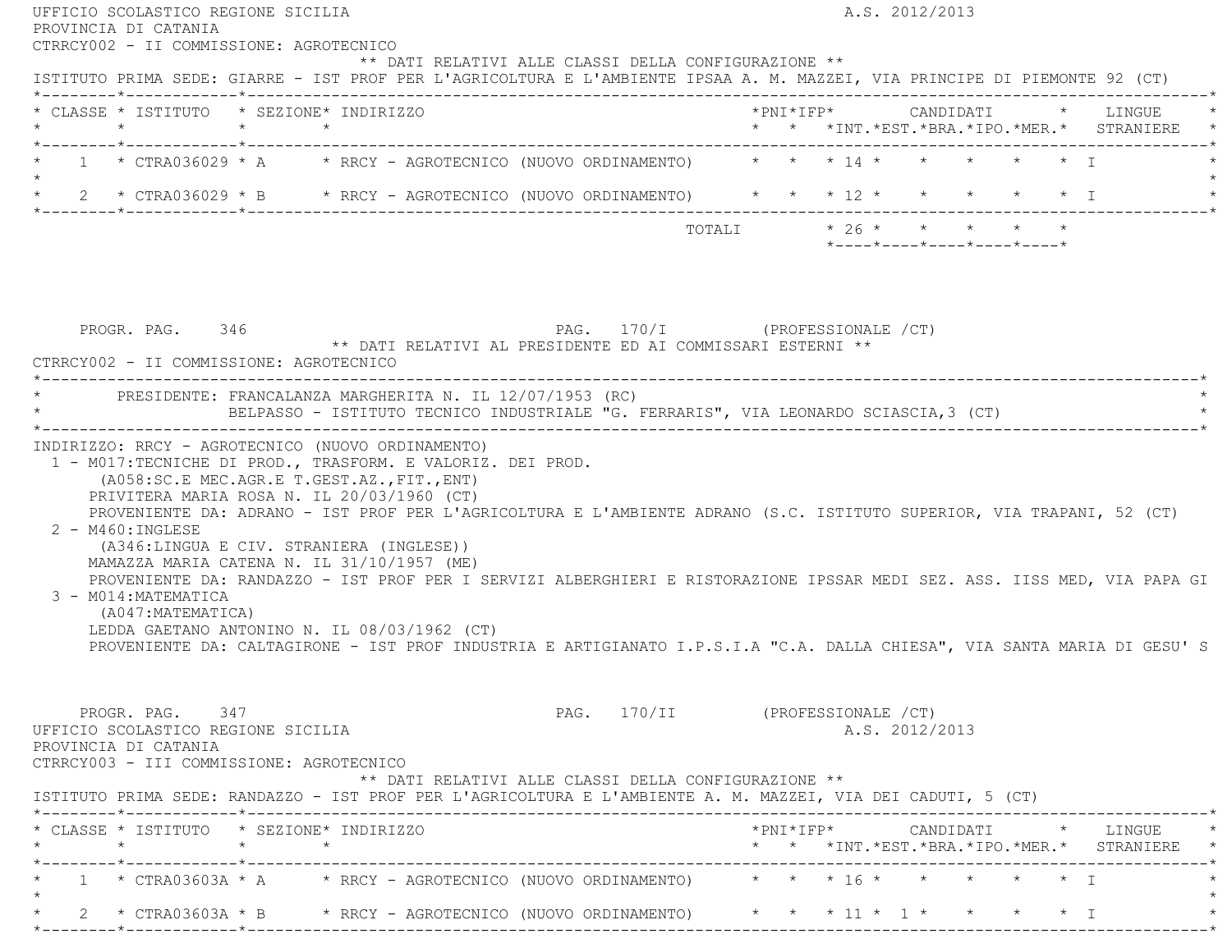| CTRRCY002 - II COMMISSIONE: AGROTECNICO                                                                                                                                                                                                                                                                                                                                                                                                                                                                                                                                                      |                                                                                 |
|----------------------------------------------------------------------------------------------------------------------------------------------------------------------------------------------------------------------------------------------------------------------------------------------------------------------------------------------------------------------------------------------------------------------------------------------------------------------------------------------------------------------------------------------------------------------------------------------|---------------------------------------------------------------------------------|
| ** DATI RELATIVI ALLE CLASSI DELLA CONFIGURAZIONE **<br>ISTITUTO PRIMA SEDE: GIARRE - IST PROF PER L'AGRICOLTURA E L'AMBIENTE IPSAA A. M. MAZZEI, VIA PRINCIPE DI PIEMONTE 92 (CT)                                                                                                                                                                                                                                                                                                                                                                                                           |                                                                                 |
| * CLASSE * ISTITUTO * SEZIONE* INDIRIZZO                                                                                                                                                                                                                                                                                                                                                                                                                                                                                                                                                     | * * *INT. *EST. *BRA. *IPO. *MER. * STRANIERE *                                 |
| * 1 * CTRA036029 * A * RRCY - AGROTECNICO (NUOVO ORDINAMENTO) * * * 14 * * * * * * * I<br>$\star$                                                                                                                                                                                                                                                                                                                                                                                                                                                                                            |                                                                                 |
| * 2 * CTRA036029 * B * RRCY - AGROTECNICO (NUOVO ORDINAMENTO) * * * 12 * * * * * * * I                                                                                                                                                                                                                                                                                                                                                                                                                                                                                                       |                                                                                 |
|                                                                                                                                                                                                                                                                                                                                                                                                                                                                                                                                                                                              | TOTALI * 26 * * * * * *<br>$*$ ---- $*$ ---- $*$ ---- $*$ ---- $*$ ---- $*$     |
| PAG. 170/I (PROFESSIONALE / CT)<br>PROGR. PAG. 346<br>** DATI RELATIVI AL PRESIDENTE ED AI COMMISSARI ESTERNI **<br>CTRRCY002 - II COMMISSIONE: AGROTECNICO                                                                                                                                                                                                                                                                                                                                                                                                                                  |                                                                                 |
| * PRESIDENTE: FRANCALANZA MARGHERITA N. IL 12/07/1953 (RC)<br>BELPASSO - ISTITUTO TECNICO INDUSTRIALE "G. FERRARIS", VIA LEONARDO SCIASCIA, 3 (CT)                                                                                                                                                                                                                                                                                                                                                                                                                                           |                                                                                 |
| 1 - M017:TECNICHE DI PROD., TRASFORM. E VALORIZ. DEI PROD.<br>(A058:SC.E MEC.AGR.E T.GEST.AZ., FIT., ENT)<br>PRIVITERA MARIA ROSA N. IL 20/03/1960 (CT)                                                                                                                                                                                                                                                                                                                                                                                                                                      |                                                                                 |
| PROVENIENTE DA: ADRANO - IST PROF PER L'AGRICOLTURA E L'AMBIENTE ADRANO (S.C. ISTITUTO SUPERIOR, VIA TRAPANI, 52 (CT)<br>$2 - M460$ : INGLESE<br>(A346:LINGUA E CIV. STRANIERA (INGLESE))<br>MAMAZZA MARIA CATENA N. IL 31/10/1957 (ME)<br>PROVENIENTE DA: RANDAZZO - IST PROF PER I SERVIZI ALBERGHIERI E RISTORAZIONE IPSSAR MEDI SEZ. ASS. IISS MED, VIA PAPA GI<br>3 - M014: MATEMATICA<br>(A047: MATEMATICA)<br>LEDDA GAETANO ANTONINO N. IL 08/03/1962 (CT)<br>PROVENIENTE DA: CALTAGIRONE - IST PROF INDUSTRIA E ARTIGIANATO I.P.S.I.A "C.A. DALLA CHIESA", VIA SANTA MARIA DI GESU'S |                                                                                 |
| PROGR. PAG. 347<br>UFFICIO SCOLASTICO REGIONE SICILIA<br>PROVINCIA DI CATANIA<br>CTRRCY003 - III COMMISSIONE: AGROTECNICO                                                                                                                                                                                                                                                                                                                                                                                                                                                                    | PAG. 170/II (PROFESSIONALE /CT)<br>A.S. 2012/2013                               |
| ** DATI RELATIVI ALLE CLASSI DELLA CONFIGURAZIONE **<br>ISTITUTO PRIMA SEDE: RANDAZZO - IST PROF PER L'AGRICOLTURA E L'AMBIENTE A. M. MAZZEI, VIA DEI CADUTI, 5 (CT)                                                                                                                                                                                                                                                                                                                                                                                                                         |                                                                                 |
| * CLASSE * ISTITUTO * SEZIONE* INDIRIZZO                                                                                                                                                                                                                                                                                                                                                                                                                                                                                                                                                     | *PNI*IFP* CANDIDATI * LINGUE<br>* * *INT. *EST. *BRA. *IPO. *MER. * STRANIERE * |
| 1 * CTRA03603A * A * RRCY - AGROTECNICO (NUOVO ORDINAMENTO) * * * 16 * * * * * * * *                                                                                                                                                                                                                                                                                                                                                                                                                                                                                                         |                                                                                 |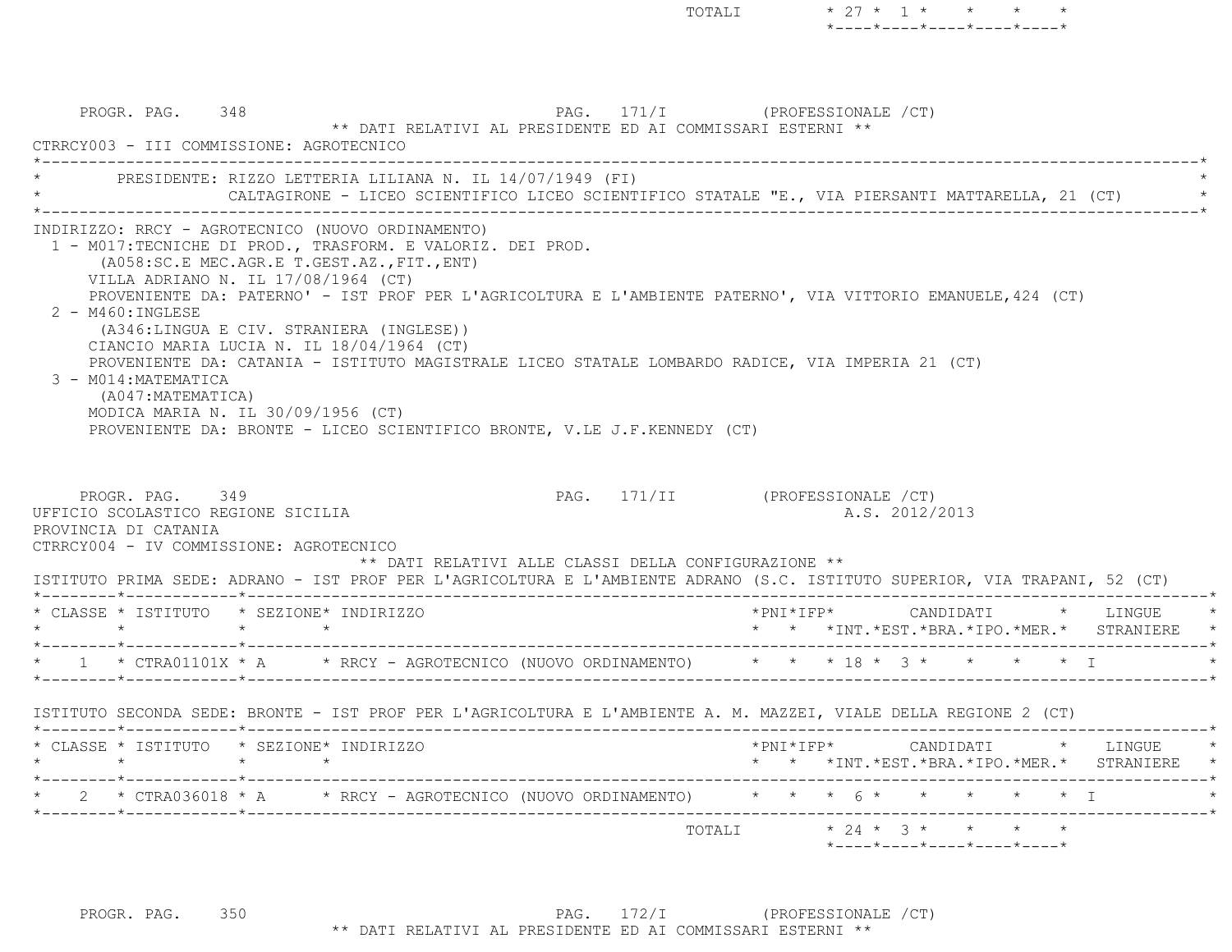PROGR. PAG. 348 348 PAG. 171/I (PROFESSIONALE / CT) \*\* DATI RELATIVI AL PRESIDENTE ED AI COMMISSARI ESTERNI \*\* CTRRCY003 - III COMMISSIONE: AGROTECNICO $\mathcal{L}^{\mathcal{L}}$ PRESIDENTE: RIZZO LETTERIA LILIANA N. IL 14/07/1949 (FI) CALTAGIRONE - LICEO SCIENTIFICO LICEO SCIENTIFICO STATALE "E., VIA PIERSANTI MATTARELLA, 21 (CT) \*----------------------------------------------------------------------------------------------------------------------------\* INDIRIZZO: RRCY - AGROTECNICO (NUOVO ORDINAMENTO) 1 - M017:TECNICHE DI PROD., TRASFORM. E VALORIZ. DEI PROD. (A058:SC.E MEC.AGR.E T.GEST.AZ.,FIT.,ENT) VILLA ADRIANO N. IL 17/08/1964 (CT) PROVENIENTE DA: PATERNO' - IST PROF PER L'AGRICOLTURA E L'AMBIENTE PATERNO', VIA VITTORIO EMANUELE,424 (CT) 2 - M460:INGLESE (A346:LINGUA E CIV. STRANIERA (INGLESE)) CIANCIO MARIA LUCIA N. IL 18/04/1964 (CT) PROVENIENTE DA: CATANIA - ISTITUTO MAGISTRALE LICEO STATALE LOMBARDO RADICE, VIA IMPERIA 21 (CT) 3 - M014:MATEMATICA (A047:MATEMATICA) MODICA MARIA N. IL 30/09/1956 (CT) PROVENIENTE DA: BRONTE - LICEO SCIENTIFICO BRONTE, V.LE J.F.KENNEDY (CT) PROGR. PAG. 349 PAG. 171/II (PROFESSIONALE /CT) UFFICIO SCOLASTICO REGIONE SICILIA A.S. 2012/2013 PROVINCIA DI CATANIA CTRRCY004 - IV COMMISSIONE: AGROTECNICO \*\* DATI RELATIVI ALLE CLASSI DELLA CONFIGURAZIONE \*\* ISTITUTO PRIMA SEDE: ADRANO - IST PROF PER L'AGRICOLTURA E L'AMBIENTE ADRANO (S.C. ISTITUTO SUPERIOR, VIA TRAPANI, 52 (CT) \*--------\*------------\*-------------------------------------------------------------------------------------------------------\* \* CLASSE \* ISTITUTO \* SEZIONE\* INDIRIZZO \*PNI\*IFP\* CANDIDATI \* LINGUE \* \* \* \* \* \* \* \*INT.\*EST.\*BRA.\*IPO.\*MER.\* STRANIERE \* \*--------\*------------\*-------------------------------------------------------------------------------------------------------\*\* 1 \* CTRA01101X \* A \* RRCY - AGROTECNICO (NUOVO ORDINAMENTO) \* \* \* 18 \* 3 \* \* \* \* \* I \*--------\*------------\*-------------------------------------------------------------------------------------------------------\* ISTITUTO SECONDA SEDE: BRONTE - IST PROF PER L'AGRICOLTURA E L'AMBIENTE A. M. MAZZEI, VIALE DELLA REGIONE 2 (CT) \*--------\*------------\*-------------------------------------------------------------------------------------------------------\* \* CLASSE \* ISTITUTO \* SEZIONE\* INDIRIZZO \*PNI\*IFP\* CANDIDATI \* LINGUE \* \* \* \* \* \* \* \*INT.\*EST.\*BRA.\*IPO.\*MER.\* STRANIERE \* \*--------\*------------\*-------------------------------------------------------------------------------------------------------\*2 \* CTRA036018 \* A \* RRCY - AGROTECNICO (NUOVO ORDINAMENTO) \* \* \* 6 \* \* \* \* \* \* \* I \*--------\*------------\*-------------------------------------------------------------------------------------------------------\* TOTALI \* 24 \* 3 \* \* \* \*\*----\*----\*----\*----\*----\*

TOTALI  $* 27 * 1 * * * * *$ 

\*----\*----\*----\*----\*----\*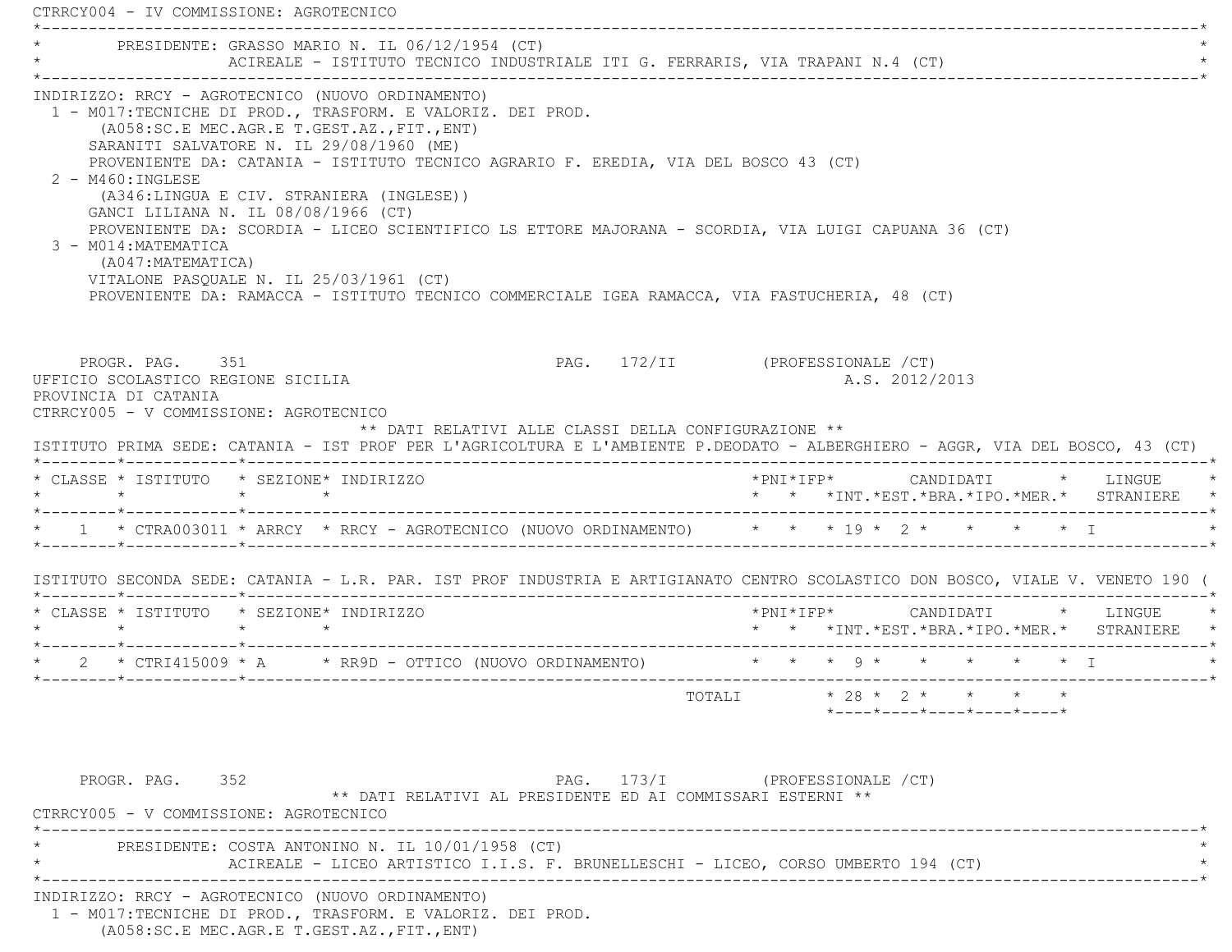CTRRCY004 - IV COMMISSIONE: AGROTECNICO \*----------------------------------------------------------------------------------------------------------------------------\*PRESIDENTE: GRASSO MARIO N. IL 06/12/1954 (CT) ACIREALE - ISTITUTO TECNICO INDUSTRIALE ITI G. FERRARIS, VIA TRAPANI N.4 (CT) \*----------------------------------------------------------------------------------------------------------------------------\* INDIRIZZO: RRCY - AGROTECNICO (NUOVO ORDINAMENTO) 1 - M017:TECNICHE DI PROD., TRASFORM. E VALORIZ. DEI PROD. (A058:SC.E MEC.AGR.E T.GEST.AZ.,FIT.,ENT) SARANITI SALVATORE N. IL 29/08/1960 (ME) PROVENIENTE DA: CATANIA - ISTITUTO TECNICO AGRARIO F. EREDIA, VIA DEL BOSCO 43 (CT) 2 - M460:INGLESE (A346:LINGUA E CIV. STRANIERA (INGLESE)) GANCI LILIANA N. IL 08/08/1966 (CT) PROVENIENTE DA: SCORDIA - LICEO SCIENTIFICO LS ETTORE MAJORANA - SCORDIA, VIA LUIGI CAPUANA 36 (CT) 3 - M014:MATEMATICA (A047:MATEMATICA) VITALONE PASQUALE N. IL 25/03/1961 (CT) PROVENIENTE DA: RAMACCA - ISTITUTO TECNICO COMMERCIALE IGEA RAMACCA, VIA FASTUCHERIA, 48 (CT) PROGR. PAG. 351 PAG. 272/II (PROFESSIONALE /CT) UFFICIO SCOLASTICO REGIONE SICILIA A.S. 2012/2013 PROVINCIA DI CATANIA CTRRCY005 - V COMMISSIONE: AGROTECNICO \*\* DATI RELATIVI ALLE CLASSI DELLA CONFIGURAZIONE \*\* ISTITUTO PRIMA SEDE: CATANIA - IST PROF PER L'AGRICOLTURA E L'AMBIENTE P.DEODATO - ALBERGHIERO - AGGR, VIA DEL BOSCO, 43 (CT) \*--------\*------------\*-------------------------------------------------------------------------------------------------------\* \* CLASSE \* ISTITUTO \* SEZIONE\* INDIRIZZO \*PNI\*IFP\* CANDIDATI \* LINGUE \* \* \* \* \* \* \* \*INT.\*EST.\*BRA.\*IPO.\*MER.\* STRANIERE \* \*--------\*------------\*-------------------------------------------------------------------------------------------------------\* \* 1 \* CTRA003011 \* ARRCY \* RRCY - AGROTECNICO (NUOVO ORDINAMENTO) \* \* \* 19 \* 2 \* \* \* \* I \* \*--------\*------------\*-------------------------------------------------------------------------------------------------------\* ISTITUTO SECONDA SEDE: CATANIA - L.R. PAR. IST PROF INDUSTRIA E ARTIGIANATO CENTRO SCOLASTICO DON BOSCO, VIALE V. VENETO 190 ( \*--------\*------------\*-------------------------------------------------------------------------------------------------------\* \* CLASSE \* ISTITUTO \* SEZIONE\* INDIRIZZO \*PNI\*IFP\* CANDIDATI \* LINGUE \* \* \* \* \* \* \* \*INT.\*EST.\*BRA.\*IPO.\*MER.\* STRANIERE \* \*--------\*------------\*-------------------------------------------------------------------------------------------------------\* \* 2 \* CTRI415009 \* A \* RR9D - OTTICO (NUOVO ORDINAMENTO) \* \* \* 9 \* \* \* \* \* I \* \*--------\*------------\*-------------------------------------------------------------------------------------------------------\*TOTALI  $* 28 * 2 * * * * * *$  \*----\*----\*----\*----\*----\*PROGR. PAG. 352 **PAG.** 173/I (PROFESSIONALE /CT) \*\* DATI RELATIVI AL PRESIDENTE ED AI COMMISSARI ESTERNI \*\* CTRRCY005 - V COMMISSIONE: AGROTECNICO \*----------------------------------------------------------------------------------------------------------------------------\*PRESIDENTE: COSTA ANTONINO N. IL 10/01/1958 (CT) ACIREALE - LICEO ARTISTICO I.I.S. F. BRUNELLESCHI - LICEO, CORSO UMBERTO 194 (CT) \*----------------------------------------------------------------------------------------------------------------------------\* INDIRIZZO: RRCY - AGROTECNICO (NUOVO ORDINAMENTO) 1 - M017:TECNICHE DI PROD., TRASFORM. E VALORIZ. DEI PROD.

(A058:SC.E MEC.AGR.E T.GEST.AZ.,FIT.,ENT)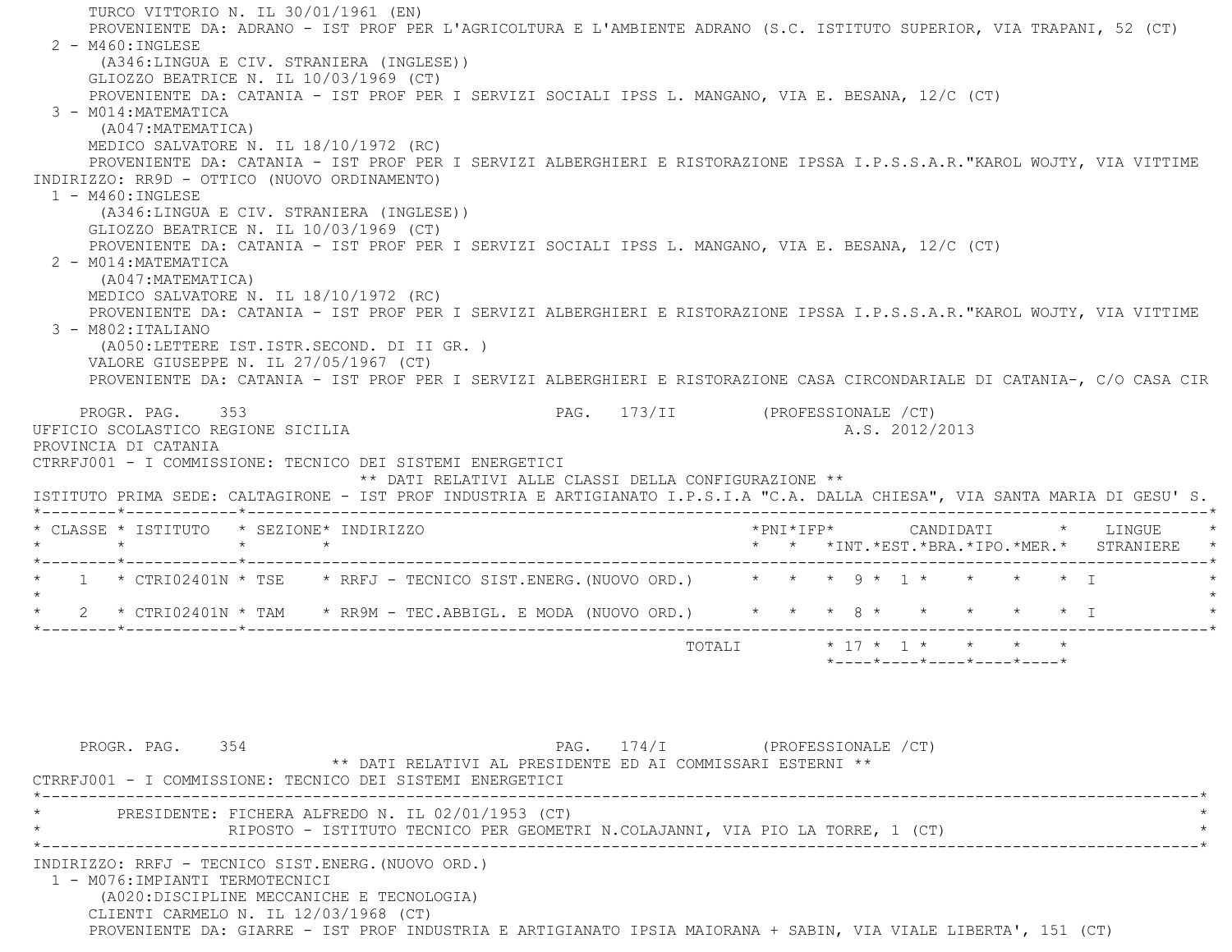TURCO VITTORIO N. IL 30/01/1961 (EN) PROVENIENTE DA: ADRANO - IST PROF PER L'AGRICOLTURA E L'AMBIENTE ADRANO (S.C. ISTITUTO SUPERIOR, VIA TRAPANI, 52 (CT) 2 - M460:INGLESE (A346:LINGUA E CIV. STRANIERA (INGLESE)) GLIOZZO BEATRICE N. IL 10/03/1969 (CT) PROVENIENTE DA: CATANIA - IST PROF PER I SERVIZI SOCIALI IPSS L. MANGANO, VIA E. BESANA, 12/C (CT) 3 - M014:MATEMATICA (A047:MATEMATICA) MEDICO SALVATORE N. IL 18/10/1972 (RC) PROVENIENTE DA: CATANIA - IST PROF PER I SERVIZI ALBERGHIERI E RISTORAZIONE IPSSA I.P.S.S.A.R."KAROL WOJTY, VIA VITTIME INDIRIZZO: RR9D - OTTICO (NUOVO ORDINAMENTO) 1 - M460:INGLESE (A346:LINGUA E CIV. STRANIERA (INGLESE)) GLIOZZO BEATRICE N. IL 10/03/1969 (CT) PROVENIENTE DA: CATANIA - IST PROF PER I SERVIZI SOCIALI IPSS L. MANGANO, VIA E. BESANA, 12/C (CT) 2 - M014:MATEMATICA (A047:MATEMATICA) MEDICO SALVATORE N. IL 18/10/1972 (RC) PROVENIENTE DA: CATANIA - IST PROF PER I SERVIZI ALBERGHIERI E RISTORAZIONE IPSSA I.P.S.S.A.R."KAROL WOJTY, VIA VITTIME 3 - M802:ITALIANO (A050:LETTERE IST.ISTR.SECOND. DI II GR. ) VALORE GIUSEPPE N. IL 27/05/1967 (CT) PROVENIENTE DA: CATANIA - IST PROF PER I SERVIZI ALBERGHIERI E RISTORAZIONE CASA CIRCONDARIALE DI CATANIA-, C/O CASA CIR PROGR. PAG. 353 PAG. 173/II (PROFESSIONALE /CT) UFFICIO SCOLASTICO REGIONE SICILIA A.S. 2012/2013 PROVINCIA DI CATANIA CTRRFJ001 - I COMMISSIONE: TECNICO DEI SISTEMI ENERGETICI \*\* DATI RELATIVI ALLE CLASSI DELLA CONFIGURAZIONE \*\* ISTITUTO PRIMA SEDE: CALTAGIRONE - IST PROF INDUSTRIA E ARTIGIANATO I.P.S.I.A "C.A. DALLA CHIESA", VIA SANTA MARIA DI GESU' S. \*--------\*------------\*-------------------------------------------------------------------------------------------------------\* \* CLASSE \* ISTITUTO \* SEZIONE\* INDIRIZZO \*PNI\*IFP\* CANDIDATI \* LINGUE \* \* \* \* \* \* \* \*INT.\*EST.\*BRA.\*IPO.\*MER.\* STRANIERE \* \*--------\*------------\*-------------------------------------------------------------------------------------------------------\*1 \* CTRI02401N \* TSE \* RRFJ - TECNICO SIST.ENERG.(NUOVO ORD.) \* \* \* 9 \* 1 \* \* \* \* \* \* T  $\star$  \* 2 \* CTRI02401N \* TAM \* RR9M - TEC.ABBIGL. E MODA (NUOVO ORD.) \* \* \* 8 \* \* \* \* \* I \* \*--------\*------------\*-------------------------------------------------------------------------------------------------------\* TOTALI \* 17 \* 1 \* \* \* \* \*----\*----\*----\*----\*----\*PROGR. PAG. 354 PAG. 174/I (PROFESSIONALE /CT) \*\* DATI RELATIVI AL PRESIDENTE ED AI COMMISSARI ESTERNI \*\* CTRRFJ001 - I COMMISSIONE: TECNICO DEI SISTEMI ENERGETICI \*----------------------------------------------------------------------------------------------------------------------------\*PRESIDENTE: FICHERA ALFREDO N. IL 02/01/1953 (CT) RIPOSTO - ISTITUTO TECNICO PER GEOMETRI N.COLAJANNI, VIA PIO LA TORRE, 1 (CT) \*----------------------------------------------------------------------------------------------------------------------------\* INDIRIZZO: RRFJ - TECNICO SIST.ENERG.(NUOVO ORD.) 1 - M076:IMPIANTI TERMOTECNICI (A020:DISCIPLINE MECCANICHE E TECNOLOGIA) CLIENTI CARMELO N. IL 12/03/1968 (CT) PROVENIENTE DA: GIARRE - IST PROF INDUSTRIA E ARTIGIANATO IPSIA MAIORANA + SABIN, VIA VIALE LIBERTA', 151 (CT)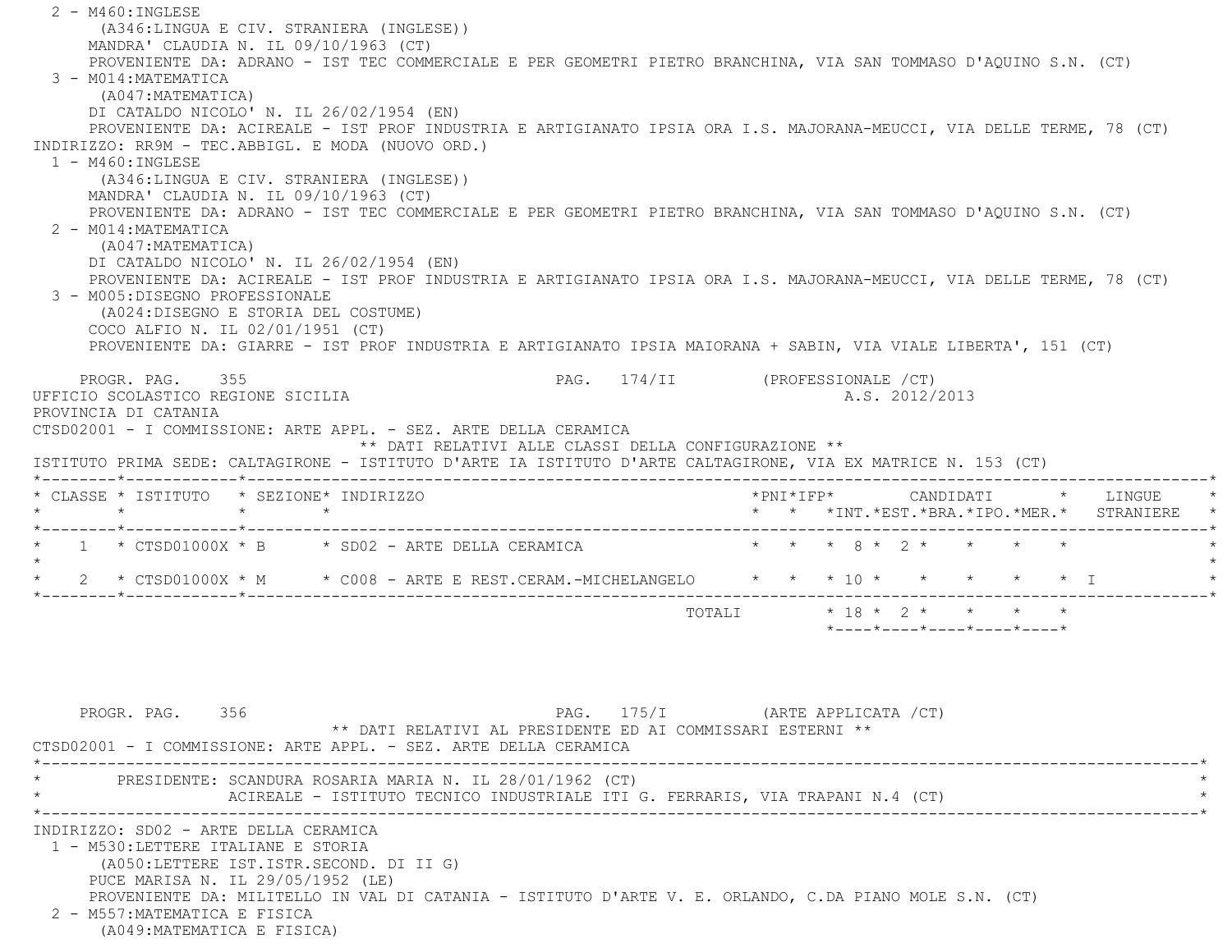2 - M460:INGLESE (A346:LINGUA E CIV. STRANIERA (INGLESE)) MANDRA' CLAUDIA N. IL 09/10/1963 (CT) PROVENIENTE DA: ADRANO - IST TEC COMMERCIALE E PER GEOMETRI PIETRO BRANCHINA, VIA SAN TOMMASO D'AQUINO S.N. (CT) 3 - M014:MATEMATICA (A047:MATEMATICA) DI CATALDO NICOLO' N. IL 26/02/1954 (EN) PROVENIENTE DA: ACIREALE - IST PROF INDUSTRIA E ARTIGIANATO IPSIA ORA I.S. MAJORANA-MEUCCI, VIA DELLE TERME, 78 (CT) INDIRIZZO: RR9M - TEC.ABBIGL. E MODA (NUOVO ORD.) 1 - M460:INGLESE (A346:LINGUA E CIV. STRANIERA (INGLESE)) MANDRA' CLAUDIA N. IL 09/10/1963 (CT) PROVENIENTE DA: ADRANO - IST TEC COMMERCIALE E PER GEOMETRI PIETRO BRANCHINA, VIA SAN TOMMASO D'AQUINO S.N. (CT) 2 - M014:MATEMATICA (A047:MATEMATICA) DI CATALDO NICOLO' N. IL 26/02/1954 (EN) PROVENIENTE DA: ACIREALE - IST PROF INDUSTRIA E ARTIGIANATO IPSIA ORA I.S. MAJORANA-MEUCCI, VIA DELLE TERME, 78 (CT) 3 - M005:DISEGNO PROFESSIONALE (A024:DISEGNO E STORIA DEL COSTUME) COCO ALFIO N. IL 02/01/1951 (CT) PROVENIENTE DA: GIARRE - IST PROF INDUSTRIA E ARTIGIANATO IPSIA MAIORANA + SABIN, VIA VIALE LIBERTA', 151 (CT) PROGR. PAG. 355 2007 PAG. 174/II (PROFESSIONALE / CT) UFFICIO SCOLASTICO REGIONE SICILIA A.S. 2012/2013 PROVINCIA DI CATANIA CTSD02001 - I COMMISSIONE: ARTE APPL. - SEZ. ARTE DELLA CERAMICA \*\* DATI RELATIVI ALLE CLASSI DELLA CONFIGURAZIONE \*\* ISTITUTO PRIMA SEDE: CALTAGIRONE - ISTITUTO D'ARTE IA ISTITUTO D'ARTE CALTAGIRONE, VIA EX MATRICE N. 153 (CT) \*--------\*------------\*-------------------------------------------------------------------------------------------------------\* \* CLASSE \* ISTITUTO \* SEZIONE\* INDIRIZZO \*PNI\*IFP\* CANDIDATI \* LINGUE \* \* \* \* \* \* \* \*INT.\*EST.\*BRA.\*IPO.\*MER.\* STRANIERE \* \*--------\*------------\*-------------------------------------------------------------------------------------------------------\* \* 1 \* CTSD01000X \* B \* SD02 - ARTE DELLA CERAMICA \* \* \* 8 \* 2 \* \* \* \* \* $\star$ \* 2 \* CTSD01000X \* M \* C008 - ARTE E REST.CERAM.-MICHELANGELO \* \* \* 10 \* \* \* \* \* \* \* T \*--------\*------------\*-------------------------------------------------------------------------------------------------------\*TOTALI  $* 18 * 2 * * * * * * * *$ \*----\*----\*----\*----\*----\*

PROGR. PAG. 356 PROGR. PAG. 175/I (ARTE APPLICATA /CT) \*\* DATI RELATIVI AL PRESIDENTE ED AI COMMISSARI ESTERNI \*\* CTSD02001 - I COMMISSIONE: ARTE APPL. - SEZ. ARTE DELLA CERAMICA \*----------------------------------------------------------------------------------------------------------------------------\* \* PRESIDENTE: SCANDURA ROSARIA MARIA N. IL 28/01/1962 (CT) \* ACIREALE - ISTITUTO TECNICO INDUSTRIALE ITI G. FERRARIS, VIA TRAPANI N.4 (CT) \*----------------------------------------------------------------------------------------------------------------------------\* INDIRIZZO: SD02 - ARTE DELLA CERAMICA 1 - M530:LETTERE ITALIANE E STORIA (A050:LETTERE IST.ISTR.SECOND. DI II G) PUCE MARISA N. IL 29/05/1952 (LE) PROVENIENTE DA: MILITELLO IN VAL DI CATANIA - ISTITUTO D'ARTE V. E. ORLANDO, C.DA PIANO MOLE S.N. (CT) 2 - M557:MATEMATICA E FISICA(A049:MATEMATICA E FISICA)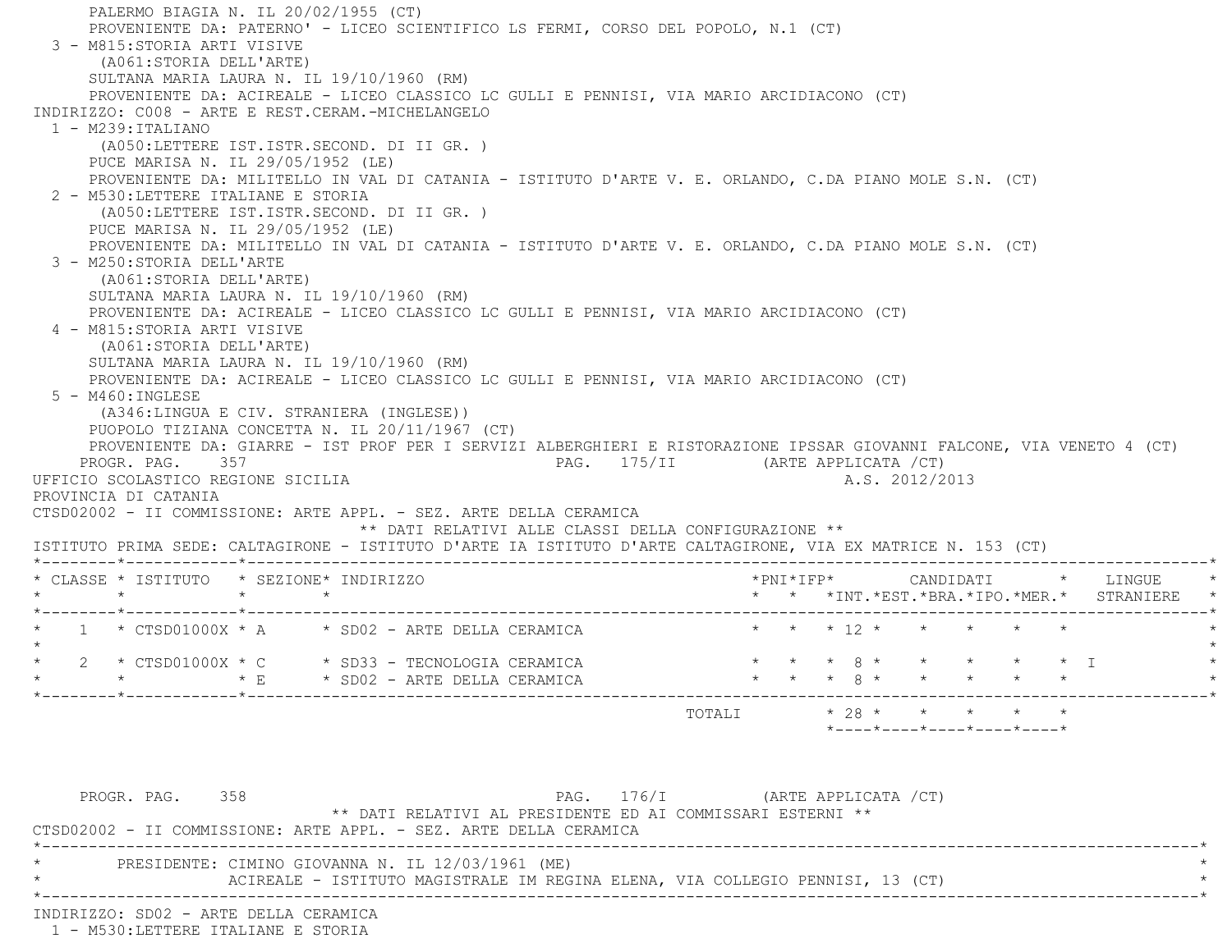PALERMO BIAGIA N. IL 20/02/1955 (CT) PROVENIENTE DA: PATERNO' - LICEO SCIENTIFICO LS FERMI, CORSO DEL POPOLO, N.1 (CT) 3 - M815:STORIA ARTI VISIVE (A061:STORIA DELL'ARTE) SULTANA MARIA LAURA N. IL 19/10/1960 (RM) PROVENIENTE DA: ACIREALE - LICEO CLASSICO LC GULLI E PENNISI, VIA MARIO ARCIDIACONO (CT) INDIRIZZO: C008 - ARTE E REST.CERAM.-MICHELANGELO 1 - M239:ITALIANO (A050:LETTERE IST.ISTR.SECOND. DI II GR. ) PUCE MARISA N. IL 29/05/1952 (LE) PROVENIENTE DA: MILITELLO IN VAL DI CATANIA - ISTITUTO D'ARTE V. E. ORLANDO, C.DA PIANO MOLE S.N. (CT) 2 - M530:LETTERE ITALIANE E STORIA (A050:LETTERE IST.ISTR.SECOND. DI II GR. ) PUCE MARISA N. IL 29/05/1952 (LE) PROVENIENTE DA: MILITELLO IN VAL DI CATANIA - ISTITUTO D'ARTE V. E. ORLANDO, C.DA PIANO MOLE S.N. (CT) 3 - M250:STORIA DELL'ARTE (A061:STORIA DELL'ARTE) SULTANA MARIA LAURA N. IL 19/10/1960 (RM) PROVENIENTE DA: ACIREALE - LICEO CLASSICO LC GULLI E PENNISI, VIA MARIO ARCIDIACONO (CT) 4 - M815:STORIA ARTI VISIVE (A061:STORIA DELL'ARTE) SULTANA MARIA LAURA N. IL 19/10/1960 (RM) PROVENIENTE DA: ACIREALE - LICEO CLASSICO LC GULLI E PENNISI, VIA MARIO ARCIDIACONO (CT) 5 - M460:INGLESE (A346:LINGUA E CIV. STRANIERA (INGLESE)) PUOPOLO TIZIANA CONCETTA N. IL 20/11/1967 (CT) PROVENIENTE DA: GIARRE - IST PROF PER I SERVIZI ALBERGHIERI E RISTORAZIONE IPSSAR GIOVANNI FALCONE, VIA VENETO 4 (CT) PROGR. PAG. 357 PAG. 175/II (ARTE APPLICATA /CT) UFFICIO SCOLASTICO REGIONE SICILIA A.S. 2012/2013 PROVINCIA DI CATANIA CTSD02002 - II COMMISSIONE: ARTE APPL. - SEZ. ARTE DELLA CERAMICA \*\* DATI RELATIVI ALLE CLASSI DELLA CONFIGURAZIONE \*\* ISTITUTO PRIMA SEDE: CALTAGIRONE - ISTITUTO D'ARTE IA ISTITUTO D'ARTE CALTAGIRONE, VIA EX MATRICE N. 153 (CT) \*--------\*------------\*-------------------------------------------------------------------------------------------------------\* \* CLASSE \* ISTITUTO \* SEZIONE\* INDIRIZZO \*PNI\*IFP\* CANDIDATI \* LINGUE \* \* \* \* \* \* \* \*INT.\*EST.\*BRA.\*IPO.\*MER.\* STRANIERE \* \*--------\*------------\*-------------------------------------------------------------------------------------------------------\*1 \* CTSD01000X \* A \* SD02 - ARTE DELLA CERAMICA \* \* \* \* 12 \* \* \* \* \* \*  $\star$  \* 2 \* CTSD01000X \* C \* SD33 - TECNOLOGIA CERAMICA \* \* \* 8 \* \* \* \* \* I \* \* \* \* E \* SD02 - ARTE DELLA CERAMICA \* \* \* 8 \* \* \* \* \* \* \*--------\*------------\*-------------------------------------------------------------------------------------------------------\*TOTALI  $* 28 * * * * * * * *$  \*----\*----\*----\*----\*----\*PROGR. PAG. 358 PAG. 176/I (ARTE APPLICATA /CT) \*\* DATI RELATIVI AL PRESIDENTE ED AI COMMISSARI ESTERNI \*\* CTSD02002 - II COMMISSIONE: ARTE APPL. - SEZ. ARTE DELLA CERAMICA

 \*----------------------------------------------------------------------------------------------------------------------------\*PRESIDENTE: CIMINO GIOVANNA N. IL 12/03/1961 (ME) ACIREALE - ISTITUTO MAGISTRALE IM REGINA ELENA, VIA COLLEGIO PENNISI, 13 (CT) \*----------------------------------------------------------------------------------------------------------------------------\*

INDIRIZZO: SD02 - ARTE DELLA CERAMICA

1 - M530:LETTERE ITALIANE E STORIA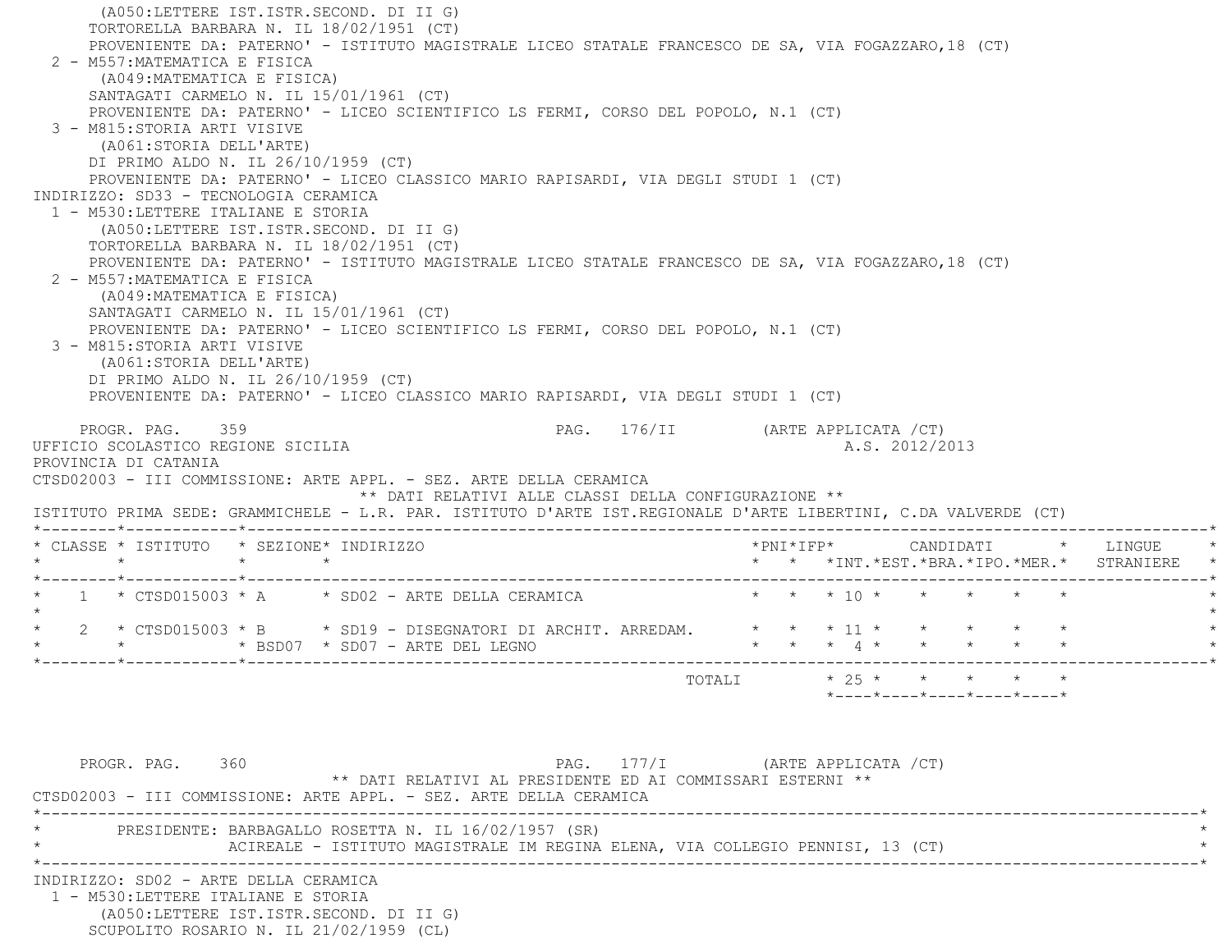(A050:LETTERE IST.ISTR.SECOND. DI II G) TORTORELLA BARBARA N. IL 18/02/1951 (CT) PROVENIENTE DA: PATERNO' - ISTITUTO MAGISTRALE LICEO STATALE FRANCESCO DE SA, VIA FOGAZZARO,18 (CT) 2 - M557:MATEMATICA E FISICA (A049:MATEMATICA E FISICA) SANTAGATI CARMELO N. IL 15/01/1961 (CT) PROVENIENTE DA: PATERNO' - LICEO SCIENTIFICO LS FERMI, CORSO DEL POPOLO, N.1 (CT) 3 - M815:STORIA ARTI VISIVE (A061:STORIA DELL'ARTE) DI PRIMO ALDO N. IL 26/10/1959 (CT) PROVENIENTE DA: PATERNO' - LICEO CLASSICO MARIO RAPISARDI, VIA DEGLI STUDI 1 (CT) INDIRIZZO: SD33 - TECNOLOGIA CERAMICA 1 - M530:LETTERE ITALIANE E STORIA (A050:LETTERE IST.ISTR.SECOND. DI II G) TORTORELLA BARBARA N. IL 18/02/1951 (CT) PROVENIENTE DA: PATERNO' - ISTITUTO MAGISTRALE LICEO STATALE FRANCESCO DE SA, VIA FOGAZZARO,18 (CT) 2 - M557:MATEMATICA E FISICA (A049:MATEMATICA E FISICA) SANTAGATI CARMELO N. IL 15/01/1961 (CT) PROVENIENTE DA: PATERNO' - LICEO SCIENTIFICO LS FERMI, CORSO DEL POPOLO, N.1 (CT) 3 - M815:STORIA ARTI VISIVE (A061:STORIA DELL'ARTE) DI PRIMO ALDO N. IL 26/10/1959 (CT) PROVENIENTE DA: PATERNO' - LICEO CLASSICO MARIO RAPISARDI, VIA DEGLI STUDI 1 (CT) PROGR. PAG. 359 PROGR. PAG. 176/II (ARTE APPLICATA /CT) UFFICIO SCOLASTICO REGIONE SICILIA A.S. 2012/2013 PROVINCIA DI CATANIA CTSD02003 - III COMMISSIONE: ARTE APPL. - SEZ. ARTE DELLA CERAMICA \*\* DATI RELATIVI ALLE CLASSI DELLA CONFIGURAZIONE \*\* ISTITUTO PRIMA SEDE: GRAMMICHELE - L.R. PAR. ISTITUTO D'ARTE IST.REGIONALE D'ARTE LIBERTINI, C.DA VALVERDE (CT) \*--------\*------------\*-------------------------------------------------------------------------------------------------------\* \* CLASSE \* ISTITUTO \* SEZIONE\* INDIRIZZO \*PNI\*IFP\* CANDIDATI \* LINGUE \* \* \* \* \* \* \* \*INT.\*EST.\*BRA.\*IPO.\*MER.\* STRANIERE \* \*--------\*------------\*-------------------------------------------------------------------------------------------------------\*1 \* CTSD015003 \* A \* \* SD02 - ARTE DELLA CERAMICA \* \* \* \* \* 10 \* \* \* \* \* \* \* \*  $\star$ 2 \* CTSD015003 \* B \* SD19 - DISEGNATORI DI ARCHIT. ARREDAM.  $* * * 11 * * * * *$ \* BSD07 \* SD07 - ARTE DEL LEGNO \* \* \* \* \* 4 \* \* \* \* \* \*--------\*------------\*-------------------------------------------------------------------------------------------------------\* $\texttt{TOTAL} \qquad \qquad \star \quad 25 \; \star \qquad \star \qquad \star \qquad \star \qquad \star$  \*----\*----\*----\*----\*----\*PROGR. PAG. 360 PAG. 177/I (ARTE APPLICATA /CT) \*\* DATI RELATIVI AL PRESIDENTE ED AI COMMISSARI ESTERNI \*\* CTSD02003 - III COMMISSIONE: ARTE APPL. - SEZ. ARTE DELLA CERAMICA \*----------------------------------------------------------------------------------------------------------------------------\*PRESIDENTE: BARBAGALLO ROSETTA N. IL 16/02/1957 (SR) ACIREALE - ISTITUTO MAGISTRALE IM REGINA ELENA, VIA COLLEGIO PENNISI, 13 (CT) \*----------------------------------------------------------------------------------------------------------------------------\* INDIRIZZO: SD02 - ARTE DELLA CERAMICA 1 - M530:LETTERE ITALIANE E STORIA (A050:LETTERE IST.ISTR.SECOND. DI II G) SCUPOLITO ROSARIO N. IL 21/02/1959 (CL)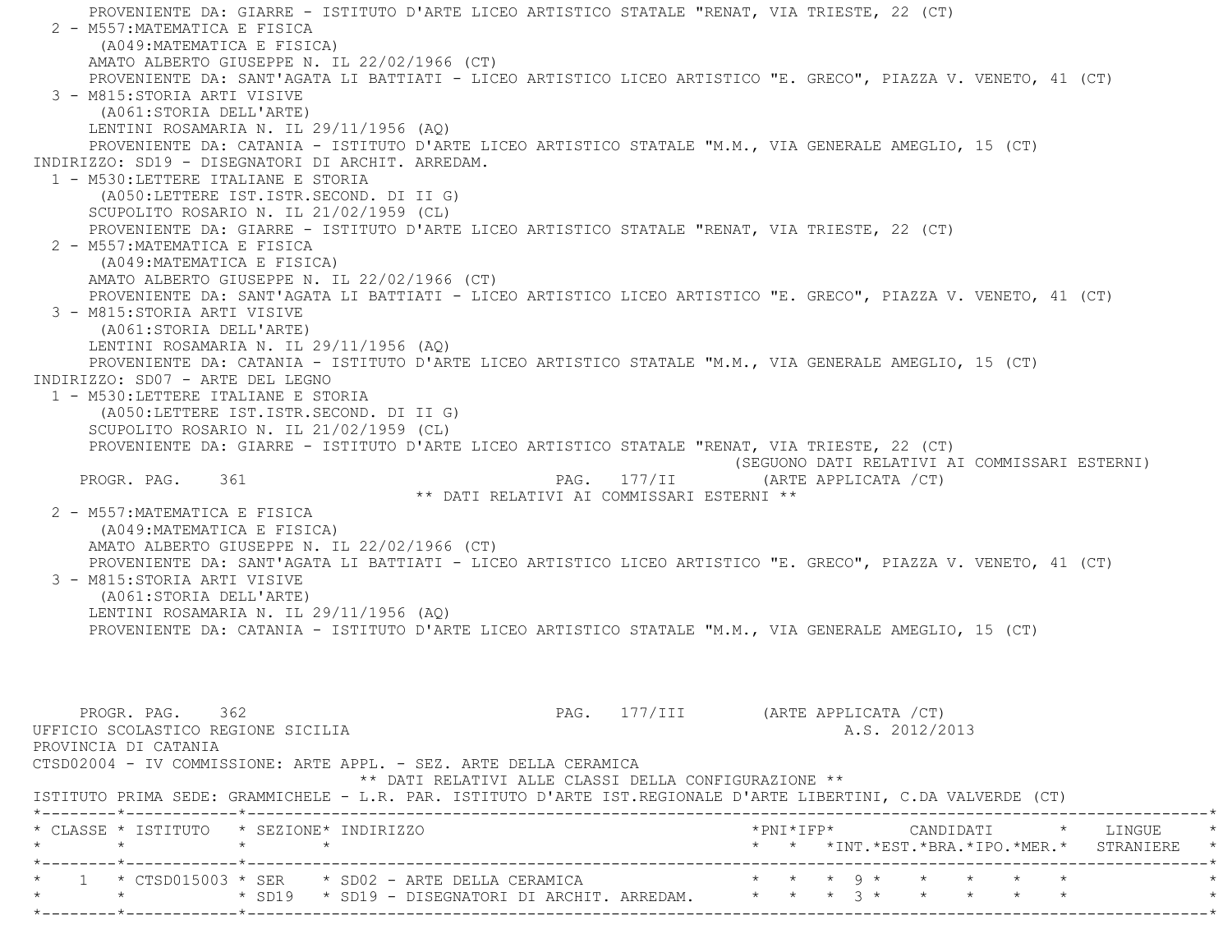PROVENIENTE DA: GIARRE - ISTITUTO D'ARTE LICEO ARTISTICO STATALE "RENAT, VIA TRIESTE, 22 (CT) 2 - M557:MATEMATICA E FISICA (A049:MATEMATICA E FISICA) AMATO ALBERTO GIUSEPPE N. IL 22/02/1966 (CT) PROVENIENTE DA: SANT'AGATA LI BATTIATI - LICEO ARTISTICO LICEO ARTISTICO "E. GRECO", PIAZZA V. VENETO, 41 (CT) 3 - M815:STORIA ARTI VISIVE (A061:STORIA DELL'ARTE) LENTINI ROSAMARIA N. IL 29/11/1956 (AQ) PROVENIENTE DA: CATANIA - ISTITUTO D'ARTE LICEO ARTISTICO STATALE "M.M., VIA GENERALE AMEGLIO, 15 (CT) INDIRIZZO: SD19 - DISEGNATORI DI ARCHIT. ARREDAM. 1 - M530:LETTERE ITALIANE E STORIA (A050:LETTERE IST.ISTR.SECOND. DI II G) SCUPOLITO ROSARIO N. IL 21/02/1959 (CL) PROVENIENTE DA: GIARRE - ISTITUTO D'ARTE LICEO ARTISTICO STATALE "RENAT, VIA TRIESTE, 22 (CT) 2 - M557:MATEMATICA E FISICA (A049:MATEMATICA E FISICA) AMATO ALBERTO GIUSEPPE N. IL 22/02/1966 (CT) PROVENIENTE DA: SANT'AGATA LI BATTIATI - LICEO ARTISTICO LICEO ARTISTICO "E. GRECO", PIAZZA V. VENETO, 41 (CT) 3 - M815:STORIA ARTI VISIVE (A061:STORIA DELL'ARTE) LENTINI ROSAMARIA N. IL 29/11/1956 (AQ) PROVENIENTE DA: CATANIA - ISTITUTO D'ARTE LICEO ARTISTICO STATALE "M.M., VIA GENERALE AMEGLIO, 15 (CT) INDIRIZZO: SD07 - ARTE DEL LEGNO 1 - M530:LETTERE ITALIANE E STORIA (A050:LETTERE IST.ISTR.SECOND. DI II G) SCUPOLITO ROSARIO N. IL 21/02/1959 (CL) PROVENIENTE DA: GIARRE - ISTITUTO D'ARTE LICEO ARTISTICO STATALE "RENAT, VIA TRIESTE, 22 (CT) (SEGUONO DATI RELATIVI AI COMMISSARI ESTERNI) PROGR. PAG. 361 PAG. 177/II (ARTE APPLICATA /CT) \*\* DATI RELATIVI AI COMMISSARI ESTERNI \*\* 2 - M557:MATEMATICA E FISICA (A049:MATEMATICA E FISICA) AMATO ALBERTO GIUSEPPE N. IL 22/02/1966 (CT) PROVENIENTE DA: SANT'AGATA LI BATTIATI - LICEO ARTISTICO LICEO ARTISTICO "E. GRECO", PIAZZA V. VENETO, 41 (CT) 3 - M815:STORIA ARTI VISIVE (A061:STORIA DELL'ARTE) LENTINI ROSAMARIA N. IL 29/11/1956 (AQ) PROVENIENTE DA: CATANIA - ISTITUTO D'ARTE LICEO ARTISTICO STATALE "M.M., VIA GENERALE AMEGLIO, 15 (CT) PROGR. PAG. 362 **PAG.** 277/III (ARTE APPLICATA /CT) UFFICIO SCOLASTICO REGIONE SICILIA A.S. 2012/2013 PROVINCIA DI CATANIA CTSD02004 - IV COMMISSIONE: ARTE APPL. - SEZ. ARTE DELLA CERAMICA \*\* DATI RELATIVI ALLE CLASSI DELLA CONFIGURAZIONE \*\* ISTITUTO PRIMA SEDE: GRAMMICHELE - L.R. PAR. ISTITUTO D'ARTE IST.REGIONALE D'ARTE LIBERTINI, C.DA VALVERDE (CT) \*--------\*------------\*-------------------------------------------------------------------------------------------------------\* \* CLASSE \* ISTITUTO \* SEZIONE\* INDIRIZZO \*PNI\*IFP\* CANDIDATI \* LINGUE \* \* \* \* \* \* \* \*INT.\*EST.\*BRA.\*IPO.\*MER.\* STRANIERE \* \*--------\*------------\*-------------------------------------------------------------------------------------------------------\* \* 1 \* CTSD015003 \* SER \* SD02 - ARTE DELLA CERAMICA \* \* \* 9 \* \* \* \* \* \*\* \* \* \* \* SD19 \* SD19 - DISEGNATORI DI ARCHIT. ARREDAM. \* \* \* \* \* \* \* \* \* \* \* \* \*

\*--------\*------------\*-------------------------------------------------------------------------------------------------------\*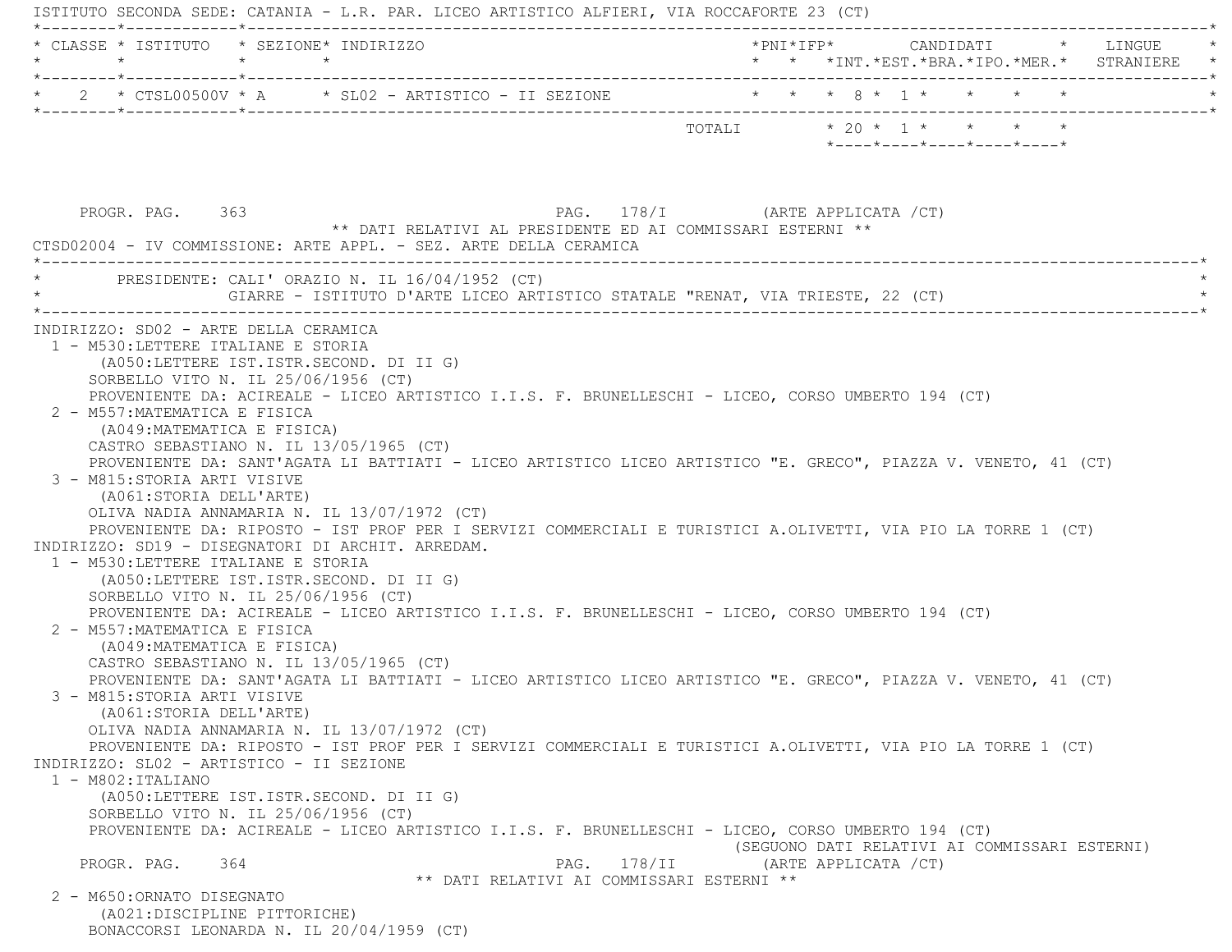ISTITUTO SECONDA SEDE: CATANIA - L.R. PAR. LICEO ARTISTICO ALFIERI, VIA ROCCAFORTE 23 (CT) \*--------\*------------\*-------------------------------------------------------------------------------------------------------\* \* CLASSE \* ISTITUTO \* SEZIONE\* INDIRIZZO \*PNI\*IFP\* CANDIDATI \* LINGUE \* \* \* \* \* \* \* \*INT.\*EST.\*BRA.\*IPO.\*MER.\* STRANIERE \* \*--------\*------------\*-------------------------------------------------------------------------------------------------------\*\* 2 \* CTSL00500V \* A \* SL02 - ARTISTICO - II SEZIONE \* \* \* \* 8 \* 1 \* \* \* \* \* \* \*--------\*------------\*-------------------------------------------------------------------------------------------------------\* TOTALI \* 20 \* 1 \* \* \* \* \*----\*----\*----\*----\*----\* PROGR. PAG. 363 PAG. 178/I (ARTE APPLICATA /CT) \*\* DATI RELATIVI AL PRESIDENTE ED AI COMMISSARI ESTERNI \*\* CTSD02004 - IV COMMISSIONE: ARTE APPL. - SEZ. ARTE DELLA CERAMICA \*----------------------------------------------------------------------------------------------------------------------------\*PRESIDENTE: CALI' ORAZIO N. IL  $16/04/1952$  (CT) GIARRE - ISTITUTO D'ARTE LICEO ARTISTICO STATALE "RENAT, VIA TRIESTE, 22 (CT) \*----------------------------------------------------------------------------------------------------------------------------\* INDIRIZZO: SD02 - ARTE DELLA CERAMICA 1 - M530:LETTERE ITALIANE E STORIA (A050:LETTERE IST.ISTR.SECOND. DI II G) SORBELLO VITO N. IL 25/06/1956 (CT) PROVENIENTE DA: ACIREALE - LICEO ARTISTICO I.I.S. F. BRUNELLESCHI - LICEO, CORSO UMBERTO 194 (CT) 2 - M557:MATEMATICA E FISICA (A049:MATEMATICA E FISICA) CASTRO SEBASTIANO N. IL 13/05/1965 (CT) PROVENIENTE DA: SANT'AGATA LI BATTIATI - LICEO ARTISTICO LICEO ARTISTICO "E. GRECO", PIAZZA V. VENETO, 41 (CT) 3 - M815:STORIA ARTI VISIVE (A061:STORIA DELL'ARTE) OLIVA NADIA ANNAMARIA N. IL 13/07/1972 (CT) PROVENIENTE DA: RIPOSTO - IST PROF PER I SERVIZI COMMERCIALI E TURISTICI A.OLIVETTI, VIA PIO LA TORRE 1 (CT) INDIRIZZO: SD19 - DISEGNATORI DI ARCHIT. ARREDAM. 1 - M530:LETTERE ITALIANE E STORIA (A050:LETTERE IST.ISTR.SECOND. DI II G) SORBELLO VITO N. IL 25/06/1956 (CT) PROVENIENTE DA: ACIREALE - LICEO ARTISTICO I.I.S. F. BRUNELLESCHI - LICEO, CORSO UMBERTO 194 (CT) 2 - M557:MATEMATICA E FISICA (A049:MATEMATICA E FISICA) CASTRO SEBASTIANO N. IL 13/05/1965 (CT) PROVENIENTE DA: SANT'AGATA LI BATTIATI - LICEO ARTISTICO LICEO ARTISTICO "E. GRECO", PIAZZA V. VENETO, 41 (CT) 3 - M815:STORIA ARTI VISIVE (A061:STORIA DELL'ARTE) OLIVA NADIA ANNAMARIA N. IL 13/07/1972 (CT) PROVENIENTE DA: RIPOSTO - IST PROF PER I SERVIZI COMMERCIALI E TURISTICI A.OLIVETTI, VIA PIO LA TORRE 1 (CT) INDIRIZZO: SL02 - ARTISTICO - II SEZIONE $1 - M802:ITALIANO$  (A050:LETTERE IST.ISTR.SECOND. DI II G) SORBELLO VITO N. IL 25/06/1956 (CT) PROVENIENTE DA: ACIREALE - LICEO ARTISTICO I.I.S. F. BRUNELLESCHI - LICEO, CORSO UMBERTO 194 (CT) (SEGUONO DATI RELATIVI AI COMMISSARI ESTERNI) PROGR. PAG. 364 PAG. 178/II (ARTE APPLICATA /CT) \*\* DATI RELATIVI AI COMMISSARI ESTERNI \*\* 2 - M650:ORNATO DISEGNATO (A021:DISCIPLINE PITTORICHE) BONACCORSI LEONARDA N. IL 20/04/1959 (CT)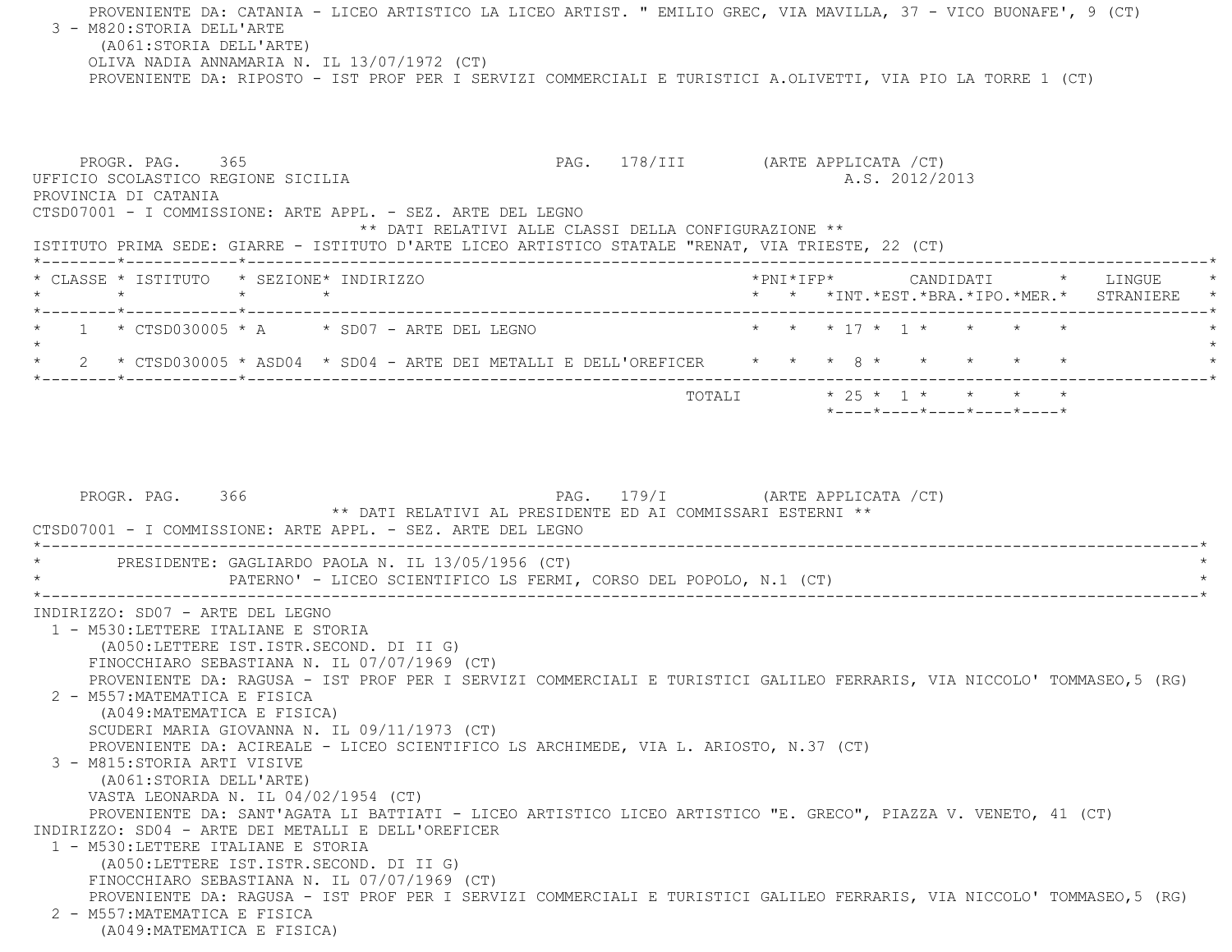PROVENIENTE DA: CATANIA - LICEO ARTISTICO LA LICEO ARTIST. " EMILIO GREC, VIA MAVILLA, 37 - VICO BUONAFE', 9 (CT) 3 - M820:STORIA DELL'ARTE (A061:STORIA DELL'ARTE) OLIVA NADIA ANNAMARIA N. IL 13/07/1972 (CT) PROVENIENTE DA: RIPOSTO - IST PROF PER I SERVIZI COMMERCIALI E TURISTICI A.OLIVETTI, VIA PIO LA TORRE 1 (CT) PROGR. PAG. 365 PAG. 178/III (ARTE APPLICATA /CT) UFFICIO SCOLASTICO REGIONE SICILIA A.S. 2012/2013 PROVINCIA DI CATANIA CTSD07001 - I COMMISSIONE: ARTE APPL. - SEZ. ARTE DEL LEGNO \*\* DATI RELATIVI ALLE CLASSI DELLA CONFIGURAZIONE \*\* ISTITUTO PRIMA SEDE: GIARRE - ISTITUTO D'ARTE LICEO ARTISTICO STATALE "RENAT, VIA TRIESTE, 22 (CT) \*--------\*------------\*-------------------------------------------------------------------------------------------------------\* \* CLASSE \* ISTITUTO \* SEZIONE\* INDIRIZZO \*PNI\*IFP\* CANDIDATI \* LINGUE \* \* \* \* \* \* \* \*INT.\*EST.\*BRA.\*IPO.\*MER.\* STRANIERE \* \*--------\*------------\*-------------------------------------------------------------------------------------------------------\* $1 \times CTSD030005 \times A \times SD07 - ARTE DEL LEGNO \times 10^{-4} \times 17 \times 10^{-4} \times 10^{-4} \times 10^{-4} \times 10^{-4} \times 10^{-4} \times 10^{-4} \times 10^{-4} \times 10^{-4} \times 10^{-4} \times 10^{-4} \times 10^{-4} \times 10^{-4} \times 10^{-4} \times 10^{-4} \times 10^{-4} \times 10^{-4} \times 10^{-4} \times 10^{-4} \times 10^{-4} \times 10^{-4} \times 10^{-4} \times 10^{-4} \times$  $\star$ \* 2 \* CTSD030005 \* ASD04 \* SD04 - ARTE DEI METALLI E DELL'OREFICER \* \* \* 8 \* \* \* \* \* \* \* \*--------\*------------\*-------------------------------------------------------------------------------------------------------\* $\texttt{TOTAL} \qquad \qquad \star \; \; 25 \; \star \; \; 1 \; \star \qquad \star \qquad \star \qquad \star \qquad \star$  \*----\*----\*----\*----\*----\*PROGR. PAG. 366 PAG. 179/I (ARTE APPLICATA /CT) \*\* DATI RELATIVI AL PRESIDENTE ED AI COMMISSARI ESTERNI \*\* CTSD07001 - I COMMISSIONE: ARTE APPL. - SEZ. ARTE DEL LEGNO \*----------------------------------------------------------------------------------------------------------------------------\*PRESIDENTE: GAGLIARDO PAOLA N. IL 13/05/1956 (CT) \* PATERNO' - LICEO SCIENTIFICO LS FERMI, CORSO DEL POPOLO, N.1 (CT) \* \*----------------------------------------------------------------------------------------------------------------------------\* INDIRIZZO: SD07 - ARTE DEL LEGNO 1 - M530:LETTERE ITALIANE E STORIA (A050:LETTERE IST.ISTR.SECOND. DI II G) FINOCCHIARO SEBASTIANA N. IL 07/07/1969 (CT) PROVENIENTE DA: RAGUSA - IST PROF PER I SERVIZI COMMERCIALI E TURISTICI GALILEO FERRARIS, VIA NICCOLO' TOMMASEO,5 (RG) 2 - M557:MATEMATICA E FISICA (A049:MATEMATICA E FISICA) SCUDERI MARIA GIOVANNA N. IL 09/11/1973 (CT) PROVENIENTE DA: ACIREALE - LICEO SCIENTIFICO LS ARCHIMEDE, VIA L. ARIOSTO, N.37 (CT) 3 - M815:STORIA ARTI VISIVE (A061:STORIA DELL'ARTE) VASTA LEONARDA N. IL 04/02/1954 (CT) PROVENIENTE DA: SANT'AGATA LI BATTIATI - LICEO ARTISTICO LICEO ARTISTICO "E. GRECO", PIAZZA V. VENETO, 41 (CT) INDIRIZZO: SD04 - ARTE DEI METALLI E DELL'OREFICER 1 - M530:LETTERE ITALIANE E STORIA (A050:LETTERE IST.ISTR.SECOND. DI II G) FINOCCHIARO SEBASTIANA N. IL 07/07/1969 (CT) PROVENIENTE DA: RAGUSA - IST PROF PER I SERVIZI COMMERCIALI E TURISTICI GALILEO FERRARIS, VIA NICCOLO' TOMMASEO,5 (RG) 2 - M557:MATEMATICA E FISICA

(A049:MATEMATICA E FISICA)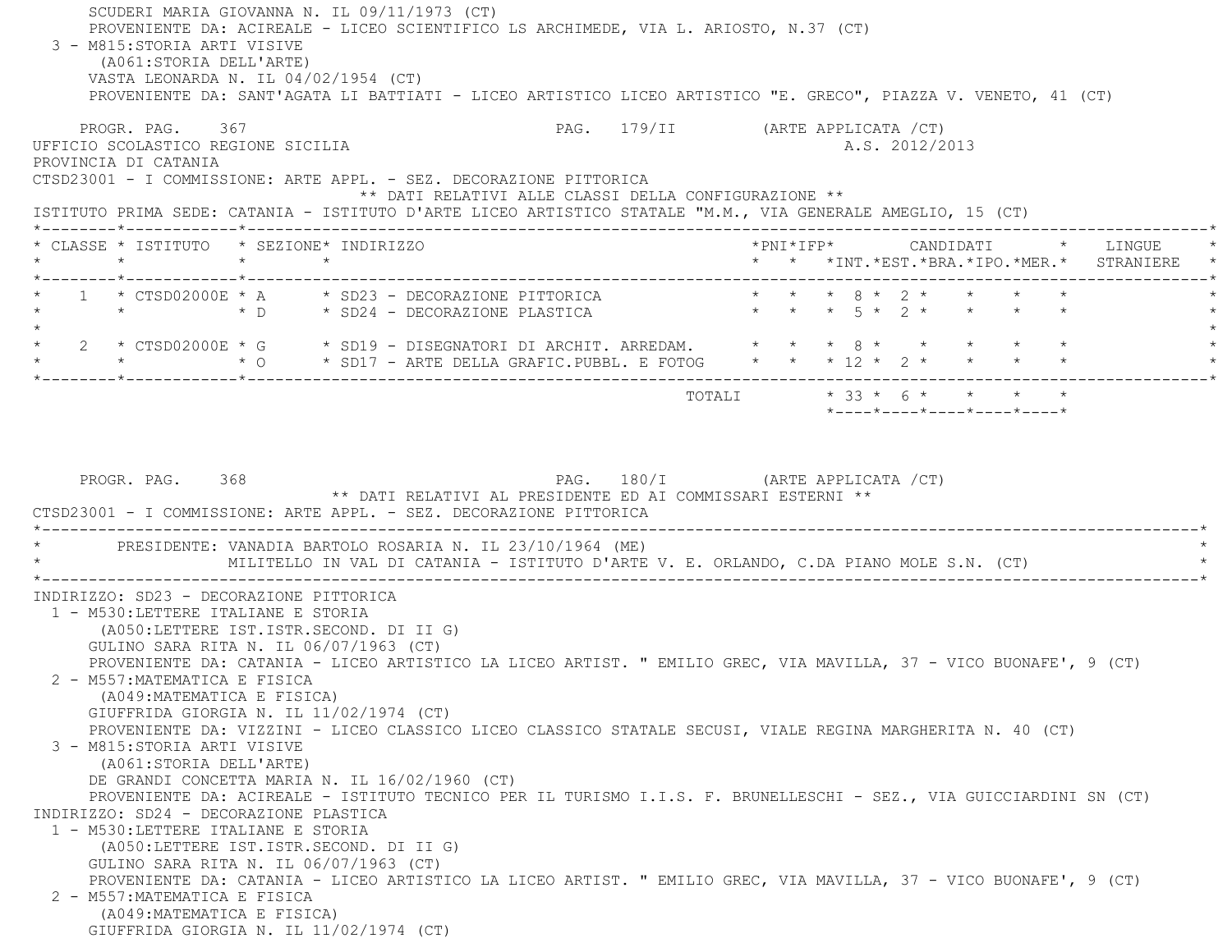SCUDERI MARIA GIOVANNA N. IL 09/11/1973 (CT) PROVENIENTE DA: ACIREALE - LICEO SCIENTIFICO LS ARCHIMEDE, VIA L. ARIOSTO, N.37 (CT) 3 - M815:STORIA ARTI VISIVE (A061:STORIA DELL'ARTE) VASTA LEONARDA N. IL 04/02/1954 (CT) PROVENIENTE DA: SANT'AGATA LI BATTIATI - LICEO ARTISTICO LICEO ARTISTICO "E. GRECO", PIAZZA V. VENETO, 41 (CT) PROGR. PAG. 367 PAG. 179/II (ARTE APPLICATA /CT) UFFICIO SCOLASTICO REGIONE SICILIA A.S. 2012/2013 PROVINCIA DI CATANIA CTSD23001 - I COMMISSIONE: ARTE APPL. - SEZ. DECORAZIONE PITTORICA \*\* DATI RELATIVI ALLE CLASSI DELLA CONFIGURAZIONE \*\* ISTITUTO PRIMA SEDE: CATANIA - ISTITUTO D'ARTE LICEO ARTISTICO STATALE "M.M., VIA GENERALE AMEGLIO, 15 (CT) \*--------\*------------\*-------------------------------------------------------------------------------------------------------\* \* CLASSE \* ISTITUTO \* SEZIONE\* INDIRIZZO \*PNI\*IFP\* CANDIDATI \* LINGUE \* \* \* \* \* \* \* \*INT.\*EST.\*BRA.\*IPO.\*MER.\* STRANIERE \* \*--------\*------------\*-------------------------------------------------------------------------------------------------------\* \* 1 \* CTSD02000E \* A \* SD23 - DECORAZIONE PITTORICA \* \* \* 8 \* 2 \* \* \* \* \* \* \* \* D \* SD24 - DECORAZIONE PLASTICA \* \* \* 5 \* 2 \* \* \* \* \* $\star$  \* 2 \* CTSD02000E \* G \* SD19 - DISEGNATORI DI ARCHIT. ARREDAM. \* \* \* 8 \* \* \* \* \* \* \* \* \* O \* SD17 - ARTE DELLA GRAFIC.PUBBL. E FOTOG \* \* \* 12 \* 2 \* \* \* \* \* \*--------\*------------\*-------------------------------------------------------------------------------------------------------\*TOTALI  $* 33 * 6 * * * * * * *$  \*----\*----\*----\*----\*----\*PROGR. PAG. 368 PAG. 180/I (ARTE APPLICATA /CT) \*\* DATI RELATIVI AL PRESIDENTE ED AI COMMISSARI ESTERNI \*\* CTSD23001 - I COMMISSIONE: ARTE APPL. - SEZ. DECORAZIONE PITTORICA \*----------------------------------------------------------------------------------------------------------------------------\*PRESIDENTE: VANADIA BARTOLO ROSARIA N. IL 23/10/1964 (ME) MILITELLO IN VAL DI CATANIA - ISTITUTO D'ARTE V. E. ORLANDO, C.DA PIANO MOLE S.N. (CT) \*----------------------------------------------------------------------------------------------------------------------------\* INDIRIZZO: SD23 - DECORAZIONE PITTORICA 1 - M530:LETTERE ITALIANE E STORIA (A050:LETTERE IST.ISTR.SECOND. DI II G) GULINO SARA RITA N. IL 06/07/1963 (CT) PROVENIENTE DA: CATANIA - LICEO ARTISTICO LA LICEO ARTIST. " EMILIO GREC, VIA MAVILLA, 37 - VICO BUONAFE', 9 (CT) 2 - M557:MATEMATICA E FISICA (A049:MATEMATICA E FISICA) GIUFFRIDA GIORGIA N. IL 11/02/1974 (CT) PROVENIENTE DA: VIZZINI - LICEO CLASSICO LICEO CLASSICO STATALE SECUSI, VIALE REGINA MARGHERITA N. 40 (CT) 3 - M815:STORIA ARTI VISIVE (A061:STORIA DELL'ARTE) DE GRANDI CONCETTA MARIA N. IL 16/02/1960 (CT) PROVENIENTE DA: ACIREALE - ISTITUTO TECNICO PER IL TURISMO I.I.S. F. BRUNELLESCHI - SEZ., VIA GUICCIARDINI SN (CT) INDIRIZZO: SD24 - DECORAZIONE PLASTICA 1 - M530:LETTERE ITALIANE E STORIA (A050:LETTERE IST.ISTR.SECOND. DI II G) GULINO SARA RITA N. IL 06/07/1963 (CT) PROVENIENTE DA: CATANIA - LICEO ARTISTICO LA LICEO ARTIST. " EMILIO GREC, VIA MAVILLA, 37 - VICO BUONAFE', 9 (CT) 2 - M557:MATEMATICA E FISICA (A049:MATEMATICA E FISICA) GIUFFRIDA GIORGIA N. IL 11/02/1974 (CT)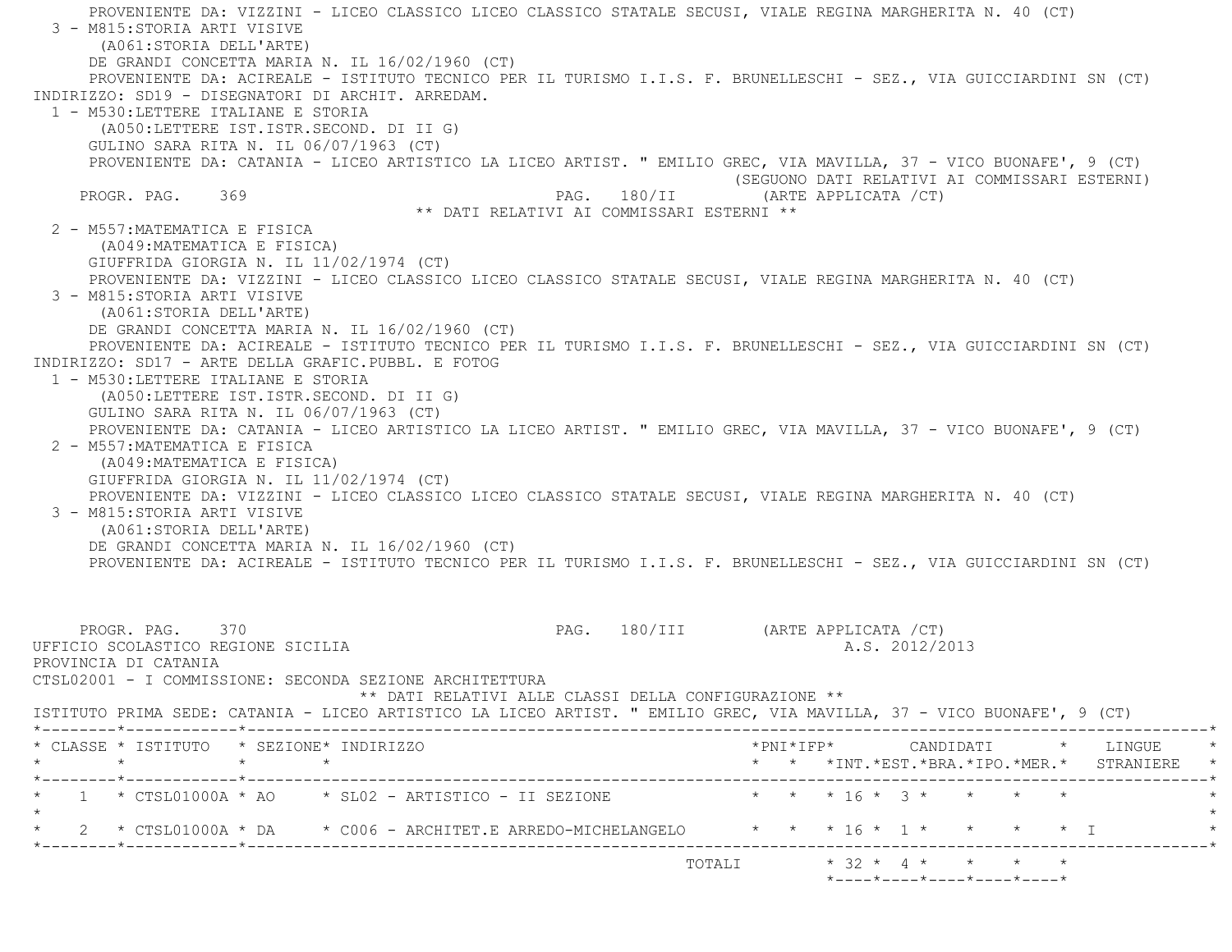PROVENIENTE DA: VIZZINI - LICEO CLASSICO LICEO CLASSICO STATALE SECUSI, VIALE REGINA MARGHERITA N. 40 (CT) 3 - M815:STORIA ARTI VISIVE (A061:STORIA DELL'ARTE) DE GRANDI CONCETTA MARIA N. IL 16/02/1960 (CT) PROVENIENTE DA: ACIREALE - ISTITUTO TECNICO PER IL TURISMO I.I.S. F. BRUNELLESCHI - SEZ., VIA GUICCIARDINI SN (CT) INDIRIZZO: SD19 - DISEGNATORI DI ARCHIT. ARREDAM. 1 - M530:LETTERE ITALIANE E STORIA (A050:LETTERE IST.ISTR.SECOND. DI II G) GULINO SARA RITA N. IL 06/07/1963 (CT) PROVENIENTE DA: CATANIA - LICEO ARTISTICO LA LICEO ARTIST. " EMILIO GREC, VIA MAVILLA, 37 - VICO BUONAFE', 9 (CT) (SEGUONO DATI RELATIVI AI COMMISSARI ESTERNI) PROGR. PAG. 369 PAG. 280/II (ARTE APPLICATA /CT) \*\* DATI RELATIVI AI COMMISSARI ESTERNI \*\* 2 - M557:MATEMATICA E FISICA (A049:MATEMATICA E FISICA) GIUFFRIDA GIORGIA N. IL 11/02/1974 (CT) PROVENIENTE DA: VIZZINI - LICEO CLASSICO LICEO CLASSICO STATALE SECUSI, VIALE REGINA MARGHERITA N. 40 (CT) 3 - M815:STORIA ARTI VISIVE (A061:STORIA DELL'ARTE) DE GRANDI CONCETTA MARIA N. IL 16/02/1960 (CT) PROVENIENTE DA: ACIREALE - ISTITUTO TECNICO PER IL TURISMO I.I.S. F. BRUNELLESCHI - SEZ., VIA GUICCIARDINI SN (CT) INDIRIZZO: SD17 - ARTE DELLA GRAFIC.PUBBL. E FOTOG 1 - M530:LETTERE ITALIANE E STORIA (A050:LETTERE IST.ISTR.SECOND. DI II G) GULINO SARA RITA N. IL 06/07/1963 (CT) PROVENIENTE DA: CATANIA - LICEO ARTISTICO LA LICEO ARTIST. " EMILIO GREC, VIA MAVILLA, 37 - VICO BUONAFE', 9 (CT) 2 - M557:MATEMATICA E FISICA (A049:MATEMATICA E FISICA) GIUFFRIDA GIORGIA N. IL 11/02/1974 (CT) PROVENIENTE DA: VIZZINI - LICEO CLASSICO LICEO CLASSICO STATALE SECUSI, VIALE REGINA MARGHERITA N. 40 (CT) 3 - M815:STORIA ARTI VISIVE (A061:STORIA DELL'ARTE) DE GRANDI CONCETTA MARIA N. IL 16/02/1960 (CT) PROVENIENTE DA: ACIREALE - ISTITUTO TECNICO PER IL TURISMO I.I.S. F. BRUNELLESCHI - SEZ., VIA GUICCIARDINI SN (CT) PROGR. PAG. 370 PAG. 180/III (ARTE APPLICATA /CT) UFFICIO SCOLASTICO REGIONE SICILIA A.S. 2012/2013 PROVINCIA DI CATANIA CTSL02001 - I COMMISSIONE: SECONDA SEZIONE ARCHITETTURA \*\* DATI RELATIVI ALLE CLASSI DELLA CONFIGURAZIONE \*\* ISTITUTO PRIMA SEDE: CATANIA - LICEO ARTISTICO LA LICEO ARTIST. " EMILIO GREC, VIA MAVILLA, 37 - VICO BUONAFE', 9 (CT) \*--------\*------------\*-------------------------------------------------------------------------------------------------------\* \* CLASSE \* ISTITUTO \* SEZIONE\* INDIRIZZO \*PNI\*IFP\* CANDIDATI \* LINGUE \* \* \* \* \* \* \* \*INT.\*EST.\*BRA.\*IPO.\*MER.\* STRANIERE \* \*--------\*------------\*-------------------------------------------------------------------------------------------------------\* $\star$  1  $\star$  CTSL01000A  $\star$  AO  $\star$  SL02 - ARTISTICO - II SEZIONE  $\star$   $\star$   $\star$   $\star$   $\uparrow$   $\uparrow$   $\uparrow$   $\uparrow$   $\star$   $\downarrow$   $\star$   $\downarrow$   $\star$   $\star$   $\star$   $\star$   $\star$   $\star$  $\star$ \* 2 \* CTSL01000A \* DA \* C006 - ARCHITET.E ARREDO-MICHELANGELO \* \* \* 16 \* 1 \* \* \* \* \* I \*--------\*------------\*-------------------------------------------------------------------------------------------------------\*TOTALI  $* 32 * 4 * * * * * * *$ \*----\*----\*----\*----\*----\*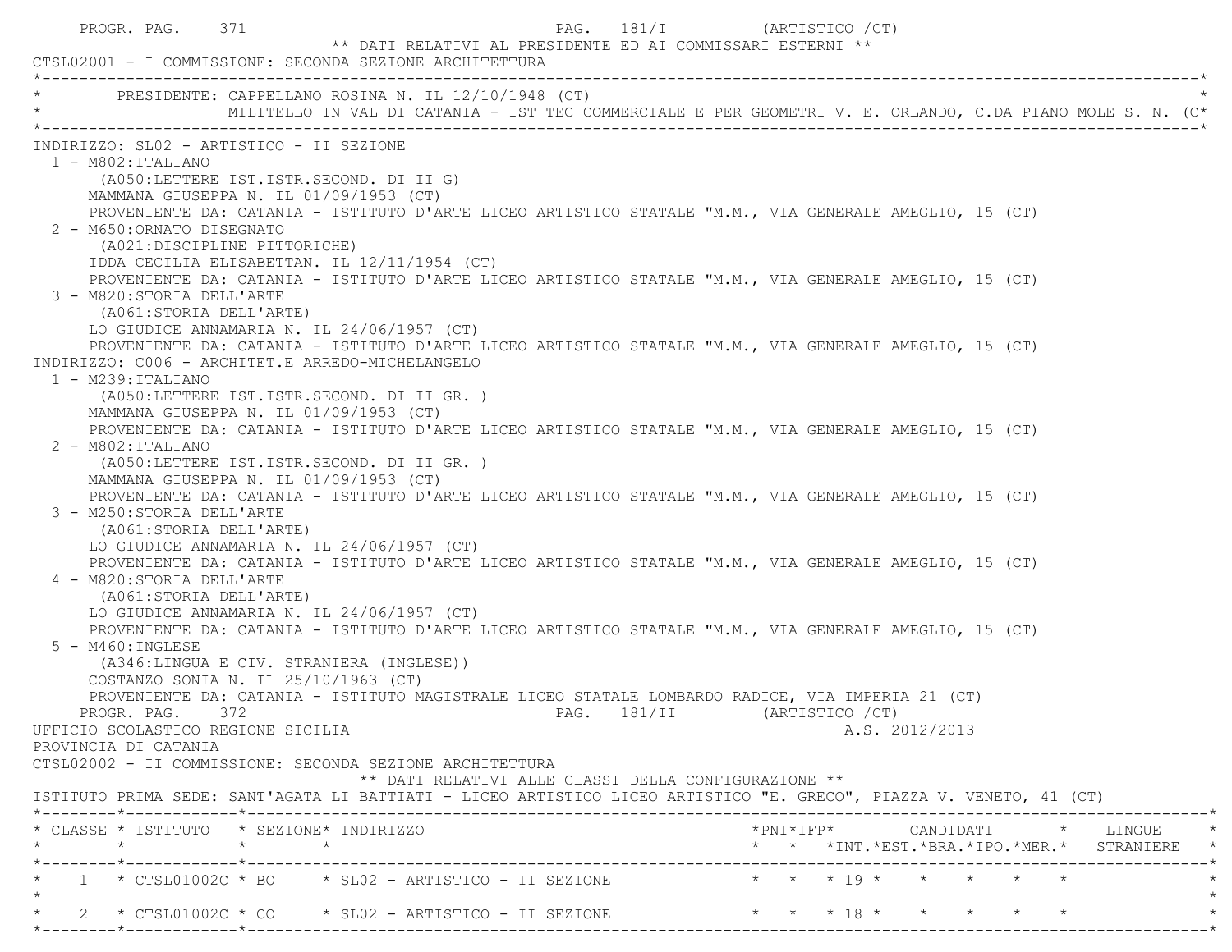| PROGR. PAG. 371<br>** DATI RELATIVI AL PRESIDENTE ED AI COMMISSARI ESTERNI **<br>CTSL02001 - I COMMISSIONE: SECONDA SEZIONE ARCHITETTURA                                                                                                               | PAG. 181/I (ARTISTICO / CT)                                                                                                                        |
|--------------------------------------------------------------------------------------------------------------------------------------------------------------------------------------------------------------------------------------------------------|----------------------------------------------------------------------------------------------------------------------------------------------------|
| PRESIDENTE: CAPPELLANO ROSINA N. IL 12/10/1948 (CT)<br>MILITELLO IN VAL DI CATANIA - IST TEC COMMERCIALE E PER GEOMETRI V. E. ORLANDO, C.DA PIANO MOLE S. N. (C*                                                                                       |                                                                                                                                                    |
| INDIRIZZO: SL02 - ARTISTICO - II SEZIONE<br>$1 - M802 : ITALIANO$<br>(A050:LETTERE IST.ISTR.SECOND. DI II G)<br>MAMMANA GIUSEPPA N. IL 01/09/1953 (CT)                                                                                                 |                                                                                                                                                    |
| PROVENIENTE DA: CATANIA - ISTITUTO D'ARTE LICEO ARTISTICO STATALE "M.M., VIA GENERALE AMEGLIO, 15 (CT)<br>2 - M650: ORNATO DISEGNATO<br>(A021:DISCIPLINE PITTORICHE)                                                                                   |                                                                                                                                                    |
| IDDA CECILIA ELISABETTAN. IL 12/11/1954 (CT)<br>PROVENIENTE DA: CATANIA - ISTITUTO D'ARTE LICEO ARTISTICO STATALE "M.M., VIA GENERALE AMEGLIO, 15 (CT)<br>3 - M820: STORIA DELL'ARTE<br>(A061:STORIA DELL'ARTE)                                        |                                                                                                                                                    |
| LO GIUDICE ANNAMARIA N. IL 24/06/1957 (CT)<br>PROVENIENTE DA: CATANIA - ISTITUTO D'ARTE LICEO ARTISTICO STATALE "M.M., VIA GENERALE AMEGLIO, 15 (CT)<br>INDIRIZZO: C006 - ARCHITET.E ARREDO-MICHELANGELO<br>$1 - M239:ITALIANO$                        |                                                                                                                                                    |
| (A050:LETTERE IST.ISTR.SECOND. DI II GR. )<br>MAMMANA GIUSEPPA N. IL 01/09/1953 (CT)<br>PROVENIENTE DA: CATANIA - ISTITUTO D'ARTE LICEO ARTISTICO STATALE "M.M., VIA GENERALE AMEGLIO, 15 (CT)                                                         |                                                                                                                                                    |
| 2 - M802: ITALIANO<br>(A050:LETTERE IST.ISTR.SECOND. DI II GR. )<br>MAMMANA GIUSEPPA N. IL 01/09/1953 (CT)<br>PROVENIENTE DA: CATANIA - ISTITUTO D'ARTE LICEO ARTISTICO STATALE "M.M., VIA GENERALE AMEGLIO, 15 (CT)                                   |                                                                                                                                                    |
| 3 - M250: STORIA DELL'ARTE<br>(A061:STORIA DELL'ARTE)<br>LO GIUDICE ANNAMARIA N. IL 24/06/1957 (CT)                                                                                                                                                    |                                                                                                                                                    |
| PROVENIENTE DA: CATANIA - ISTITUTO D'ARTE LICEO ARTISTICO STATALE "M.M., VIA GENERALE AMEGLIO, 15 (CT)<br>4 - M820: STORIA DELL'ARTE<br>(A061:STORIA DELL'ARTE)<br>LO GIUDICE ANNAMARIA N. IL 24/06/1957 (CT)                                          |                                                                                                                                                    |
| PROVENIENTE DA: CATANIA - ISTITUTO D'ARTE LICEO ARTISTICO STATALE "M.M., VIA GENERALE AMEGLIO, 15 (CT)<br>$5 - M460$ : INGLESE<br>(A346:LINGUA E CIV. STRANIERA (INGLESE))                                                                             |                                                                                                                                                    |
| COSTANZO SONIA N. IL 25/10/1963 (CT)<br>PROVENIENTE DA: CATANIA - ISTITUTO MAGISTRALE LICEO STATALE LOMBARDO RADICE, VIA IMPERIA 21 (CT)<br>PROGR. PAG. 372 PAG. 181/II (ARTISTICO / CT)<br>UFFICIO SCOLASTICO REGIONE SICILIA<br>PROVINCIA DI CATANIA | A.S. 2012/2013                                                                                                                                     |
| CTSL02002 - II COMMISSIONE: SECONDA SEZIONE ARCHITETTURA<br>** DATI RELATIVI ALLE CLASSI DELLA CONFIGURAZIONE **<br>ISTITUTO PRIMA SEDE: SANT'AGATA LI BATTIATI - LICEO ARTISTICO LICEO ARTISTICO "E. GRECO", PIAZZA V. VENETO, 41 (CT)                |                                                                                                                                                    |
| * CLASSE * ISTITUTO * SEZIONE* INDIRIZZO                                                                                                                                                                                                               | $*PNI*IFP* \qquad \qquad \text{CANDIDATI} \qquad \qquad * \qquad \text{LINGUE} \qquad \qquad *$<br>* * *INT. *EST. *BRA. *IPO. *MER. * STRANIERE * |
| 1 * CTSL01002C * BO * SL02 - ARTISTICO - II SEZIONE * * * * 19 * * * * * * *                                                                                                                                                                           |                                                                                                                                                    |
| 2 * CTSL01002C * CO * SL02 - ARTISTICO - II SEZIONE * * * * 18 * * * * * * *                                                                                                                                                                           |                                                                                                                                                    |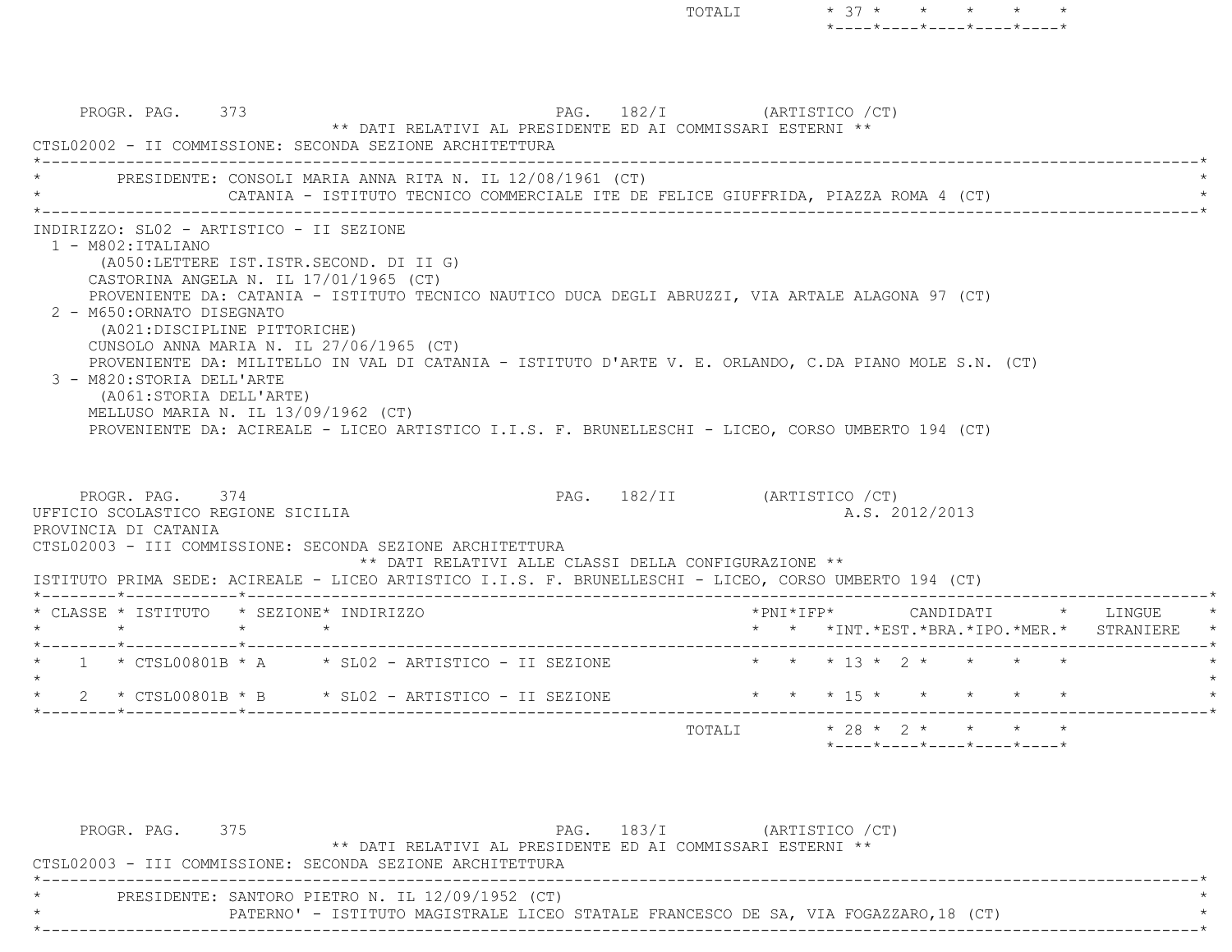PROGR. PAG. 373 PROGR. PAG. 182/I (ARTISTICO / CT) \*\* DATI RELATIVI AL PRESIDENTE ED AI COMMISSARI ESTERNI \*\* CTSL02002 - II COMMISSIONE: SECONDA SEZIONE ARCHITETTURA \*----------------------------------------------------------------------------------------------------------------------------\*PRESIDENTE: CONSOLI MARIA ANNA RITA N. IL 12/08/1961 (CT) CATANIA - ISTITUTO TECNICO COMMERCIALE ITE DE FELICE GIUFFRIDA, PIAZZA ROMA 4 (CT) \*----------------------------------------------------------------------------------------------------------------------------\* INDIRIZZO: SL02 - ARTISTICO - II SEZIONE 1 - M802:ITALIANO (A050:LETTERE IST.ISTR.SECOND. DI II G) CASTORINA ANGELA N. IL 17/01/1965 (CT) PROVENIENTE DA: CATANIA - ISTITUTO TECNICO NAUTICO DUCA DEGLI ABRUZZI, VIA ARTALE ALAGONA 97 (CT) 2 - M650:ORNATO DISEGNATO (A021:DISCIPLINE PITTORICHE) CUNSOLO ANNA MARIA N. IL 27/06/1965 (CT) PROVENIENTE DA: MILITELLO IN VAL DI CATANIA - ISTITUTO D'ARTE V. E. ORLANDO, C.DA PIANO MOLE S.N. (CT) 3 - M820:STORIA DELL'ARTE (A061:STORIA DELL'ARTE) MELLUSO MARIA N. IL 13/09/1962 (CT) PROVENIENTE DA: ACIREALE - LICEO ARTISTICO I.I.S. F. BRUNELLESCHI - LICEO, CORSO UMBERTO 194 (CT) PROGR. PAG. 374 PROGR. PAG. 282/II (ARTISTICO / CT) UFFICIO SCOLASTICO REGIONE SICILIA A.S. 2012/2013 PROVINCIA DI CATANIA CTSL02003 - III COMMISSIONE: SECONDA SEZIONE ARCHITETTURA \*\* DATI RELATIVI ALLE CLASSI DELLA CONFIGURAZIONE \*\* ISTITUTO PRIMA SEDE: ACIREALE - LICEO ARTISTICO I.I.S. F. BRUNELLESCHI - LICEO, CORSO UMBERTO 194 (CT) \*--------\*------------\*-------------------------------------------------------------------------------------------------------\* \* CLASSE \* ISTITUTO \* SEZIONE\* INDIRIZZO \*PNI\*IFP\* CANDIDATI \* LINGUE \* \* \* \* \* \* \* \*INT.\*EST.\*BRA.\*IPO.\*MER.\* STRANIERE \* \*--------\*------------\*-------------------------------------------------------------------------------------------------------\*\* 1 \* CTSL00801B \* A \* SL02 - ARTISTICO - II SEZIONE \* \* \* \* 13 \* 2 \* \* \* \* \* \*  $\star$ \* 2 \* CTSL00801B \* B \* SL02 - ARTISTICO - II SEZIONE \* \* \* \* 15 \* \* \* \* \* \* \* \*--------\*------------\*-------------------------------------------------------------------------------------------------------\*TOTALI  $* 28 * 2 * * * * * * * *$ \*----\*----\*----\*----\*----\*

TOTALI  $* 37 * * * * * * * *$ 

\*----\*----\*----\*----\*----\*

| PROGR. PAG. 375 |                                                                                      | PAG. 183/I | (ARTISTICO /CT) |  |
|-----------------|--------------------------------------------------------------------------------------|------------|-----------------|--|
|                 | ** DATI RELATIVI AL PRESIDENTE ED AI COMMISSARI ESTERNI **                           |            |                 |  |
|                 | CTSL02003 - III COMMISSIONE: SECONDA SEZIONE ARCHITETTURA                            |            |                 |  |
|                 |                                                                                      |            |                 |  |
|                 | PRESIDENTE: SANTORO PIETRO N. IL 12/09/1952 (CT)                                     |            |                 |  |
|                 | PATERNO' - ISTITUTO MAGISTRALE LICEO STATALE FRANCESCO DE SA, VIA FOGAZZARO, 18 (CT) |            |                 |  |
|                 |                                                                                      |            |                 |  |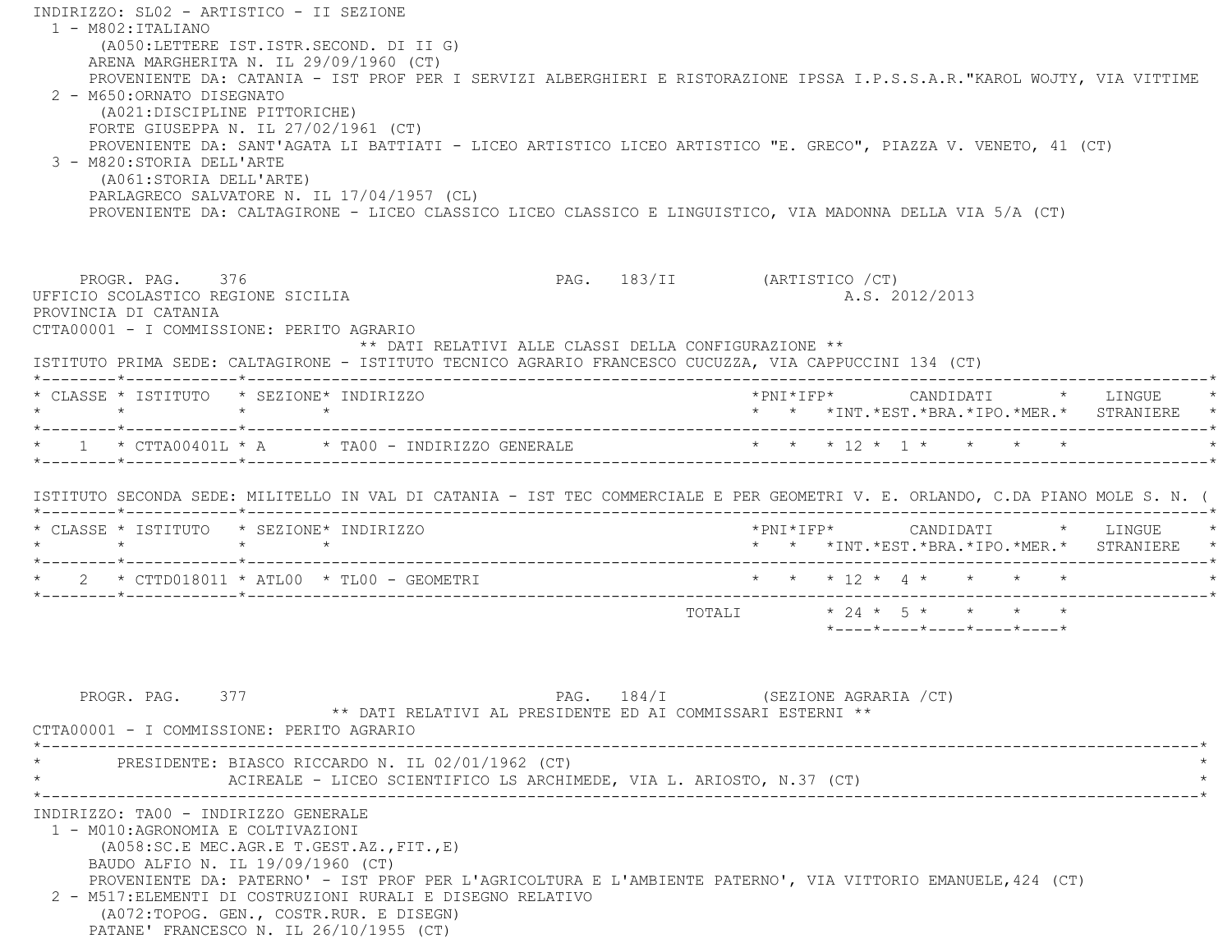INDIRIZZO: SL02 - ARTISTICO - II SEZIONE 1 - M802:ITALIANO (A050:LETTERE IST.ISTR.SECOND. DI II G) ARENA MARGHERITA N. IL 29/09/1960 (CT) PROVENIENTE DA: CATANIA - IST PROF PER I SERVIZI ALBERGHIERI E RISTORAZIONE IPSSA I.P.S.S.A.R."KAROL WOJTY, VIA VITTIME 2 - M650:ORNATO DISEGNATO (A021:DISCIPLINE PITTORICHE) FORTE GIUSEPPA N. IL 27/02/1961 (CT) PROVENIENTE DA: SANT'AGATA LI BATTIATI - LICEO ARTISTICO LICEO ARTISTICO "E. GRECO", PIAZZA V. VENETO, 41 (CT) 3 - M820:STORIA DELL'ARTE (A061:STORIA DELL'ARTE) PARLAGRECO SALVATORE N. IL 17/04/1957 (CL) PROVENIENTE DA: CALTAGIRONE - LICEO CLASSICO LICEO CLASSICO E LINGUISTICO, VIA MADONNA DELLA VIA 5/A (CT) PROGR. PAG. 376 PROGR. PAG. 183/II (ARTISTICO / CT) UFFICIO SCOLASTICO REGIONE SICILIA A.S. 2012/2013 PROVINCIA DI CATANIA CTTA00001 - I COMMISSIONE: PERITO AGRARIO \*\* DATI RELATIVI ALLE CLASSI DELLA CONFIGURAZIONE \*\* ISTITUTO PRIMA SEDE: CALTAGIRONE - ISTITUTO TECNICO AGRARIO FRANCESCO CUCUZZA, VIA CAPPUCCINI 134 (CT) \*--------\*------------\*-------------------------------------------------------------------------------------------------------\* \* CLASSE \* ISTITUTO \* SEZIONE\* INDIRIZZO \*PNI\*IFP\* CANDIDATI \* LINGUE \* \* \* \* \* \* \* \*INT.\*EST.\*BRA.\*IPO.\*MER.\* STRANIERE \* \*--------\*------------\*-------------------------------------------------------------------------------------------------------\*\* 1 \* CTTA00401L \* A \* TA00 - INDIRIZZO GENERALE \* \* \* \* 12 \* 1 \* \* \* \* \* \* \*--------\*------------\*-------------------------------------------------------------------------------------------------------\* ISTITUTO SECONDA SEDE: MILITELLO IN VAL DI CATANIA - IST TEC COMMERCIALE E PER GEOMETRI V. E. ORLANDO, C.DA PIANO MOLE S. N. ( \*--------\*------------\*-------------------------------------------------------------------------------------------------------\* \* CLASSE \* ISTITUTO \* SEZIONE\* INDIRIZZO \*PNI\*IFP\* CANDIDATI \* LINGUE \* \* \* \* \* \* \* \*INT.\*EST.\*BRA.\*IPO.\*MER.\* STRANIERE \* \*--------\*------------\*-------------------------------------------------------------------------------------------------------\* \* 2 \* CTTD018011 \* ATL00 \* TL00 - GEOMETRI \* \* \* 12 \* 4 \* \* \* \* \* \*--------\*------------\*-------------------------------------------------------------------------------------------------------\*TOTALI  $* 24 * 5 * * * * * * *$  \*----\*----\*----\*----\*----\*PROGR. PAG. 377 CHARGE 284/I (SEZIONE AGRARIA /CT) \*\* DATI RELATIVI AL PRESIDENTE ED AI COMMISSARI ESTERNI \*\* CTTA00001 - I COMMISSIONE: PERITO AGRARIO \*----------------------------------------------------------------------------------------------------------------------------\* \* PRESIDENTE: BIASCO RICCARDO N. IL 02/01/1962 (CT) \* ACIREALE - LICEO SCIENTIFICO LS ARCHIMEDE, VIA L. ARIOSTO, N.37 (CT) \*----------------------------------------------------------------------------------------------------------------------------\* INDIRIZZO: TA00 - INDIRIZZO GENERALE 1 - M010:AGRONOMIA E COLTIVAZIONI (A058:SC.E MEC.AGR.E T.GEST.AZ.,FIT.,E) BAUDO ALFIO N. IL 19/09/1960 (CT) PROVENIENTE DA: PATERNO' - IST PROF PER L'AGRICOLTURA E L'AMBIENTE PATERNO', VIA VITTORIO EMANUELE,424 (CT) 2 - M517:ELEMENTI DI COSTRUZIONI RURALI E DISEGNO RELATIVO (A072:TOPOG. GEN., COSTR.RUR. E DISEGN) PATANE' FRANCESCO N. IL 26/10/1955 (CT)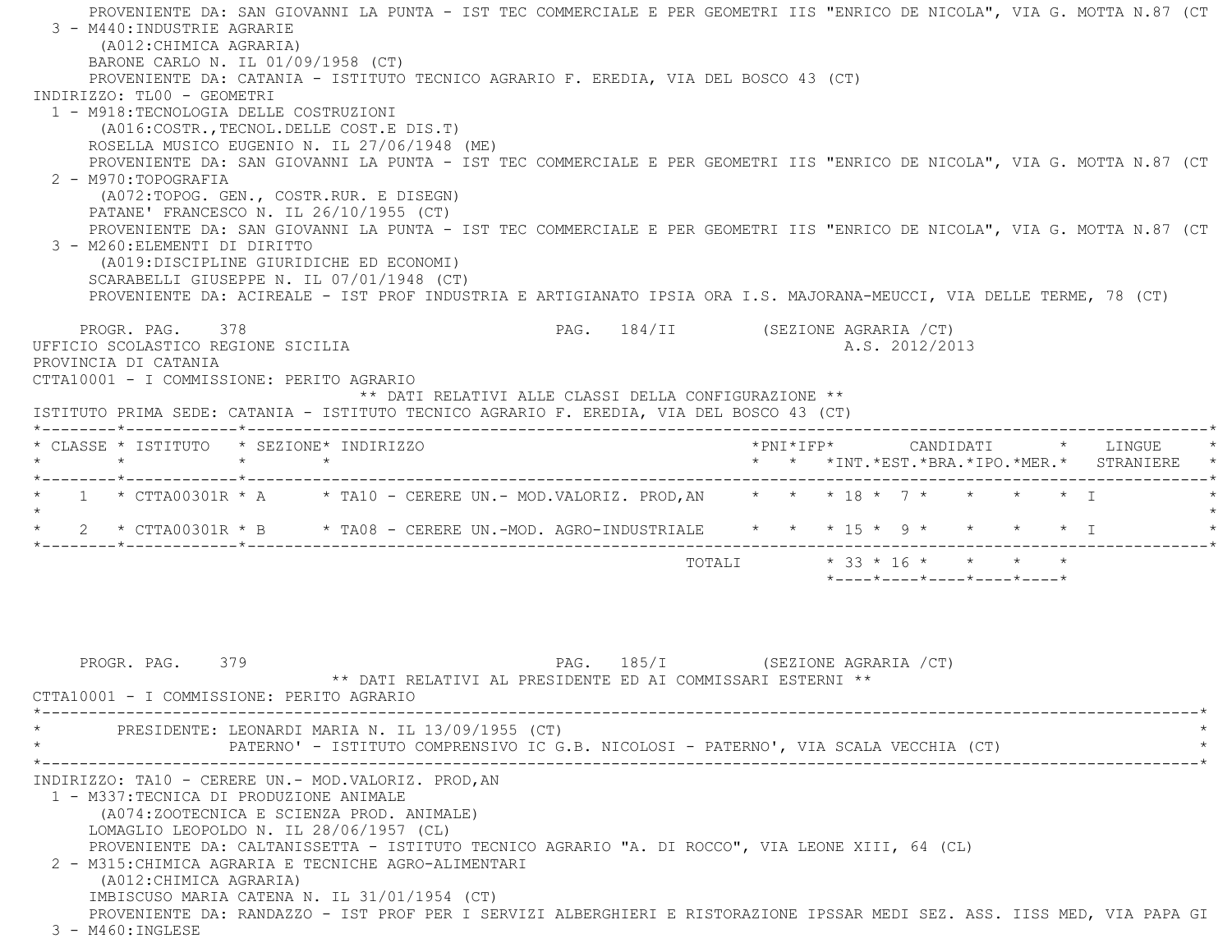PROVENIENTE DA: SAN GIOVANNI LA PUNTA - IST TEC COMMERCIALE E PER GEOMETRI IIS "ENRICO DE NICOLA", VIA G. MOTTA N.87 (CT 3 - M440:INDUSTRIE AGRARIE (A012:CHIMICA AGRARIA) BARONE CARLO N. IL 01/09/1958 (CT) PROVENIENTE DA: CATANIA - ISTITUTO TECNICO AGRARIO F. EREDIA, VIA DEL BOSCO 43 (CT) INDIRIZZO: TL00 - GEOMETRI 1 - M918:TECNOLOGIA DELLE COSTRUZIONI (A016:COSTR.,TECNOL.DELLE COST.E DIS.T) ROSELLA MUSICO EUGENIO N. IL 27/06/1948 (ME) PROVENIENTE DA: SAN GIOVANNI LA PUNTA - IST TEC COMMERCIALE E PER GEOMETRI IIS "ENRICO DE NICOLA", VIA G. MOTTA N.87 (CT 2 - M970:TOPOGRAFIA (A072:TOPOG. GEN., COSTR.RUR. E DISEGN) PATANE' FRANCESCO N. IL 26/10/1955 (CT) PROVENIENTE DA: SAN GIOVANNI LA PUNTA - IST TEC COMMERCIALE E PER GEOMETRI IIS "ENRICO DE NICOLA", VIA G. MOTTA N.87 (CT 3 - M260:ELEMENTI DI DIRITTO (A019:DISCIPLINE GIURIDICHE ED ECONOMI) SCARABELLI GIUSEPPE N. IL 07/01/1948 (CT) PROVENIENTE DA: ACIREALE - IST PROF INDUSTRIA E ARTIGIANATO IPSIA ORA I.S. MAJORANA-MEUCCI, VIA DELLE TERME, 78 (CT) PROGR. PAG. 378 PAG. 184/II (SEZIONE AGRARIA /CT) UFFICIO SCOLASTICO REGIONE SICILIA A.S. 2012/2013 PROVINCIA DI CATANIA CTTA10001 - I COMMISSIONE: PERITO AGRARIO \*\* DATI RELATIVI ALLE CLASSI DELLA CONFIGURAZIONE \*\* ISTITUTO PRIMA SEDE: CATANIA - ISTITUTO TECNICO AGRARIO F. EREDIA, VIA DEL BOSCO 43 (CT) \*--------\*------------\*-------------------------------------------------------------------------------------------------------\* \* CLASSE \* ISTITUTO \* SEZIONE\* INDIRIZZO \*PNI\*IFP\* CANDIDATI \* LINGUE \* \* \* \* \* \* \* \*INT.\*EST.\*BRA.\*IPO.\*MER.\* STRANIERE \* \*--------\*------------\*-------------------------------------------------------------------------------------------------------\*1 \* CTTA00301R \* A \* TA10 - CERERE UN.- MOD.VALORIZ. PROD, AN \* \* \* 18 \* 7 \* \* \* \* \* \* I  $\star$ \* 2 \* CTTA00301R \* B \* TA08 - CERERE UN.-MOD. AGRO-INDUSTRIALE \* \* \* 15 \* 9 \* \* \* \* \* T \*--------\*------------\*-------------------------------------------------------------------------------------------------------\*TOTALI \* 33 \* 16 \* \* \* \* \* \*----\*----\*----\*----\*----\* PROGR. PAG. 379 PAG. 185/I (SEZIONE AGRARIA /CT) \*\* DATI RELATIVI AL PRESIDENTE ED AI COMMISSARI ESTERNI \*\*CTTA10001 - I COMMISSIONE: PERITO AGRARIO

 \*----------------------------------------------------------------------------------------------------------------------------\*PRESIDENTE: LEONARDI MARIA N. IL 13/09/1955 (CT) PATERNO' - ISTITUTO COMPRENSIVO IC G.B. NICOLOSI - PATERNO', VIA SCALA VECCHIA (CT) \*----------------------------------------------------------------------------------------------------------------------------\* INDIRIZZO: TA10 - CERERE UN.- MOD.VALORIZ. PROD,AN 1 - M337:TECNICA DI PRODUZIONE ANIMALE (A074:ZOOTECNICA E SCIENZA PROD. ANIMALE) LOMAGLIO LEOPOLDO N. IL 28/06/1957 (CL) PROVENIENTE DA: CALTANISSETTA - ISTITUTO TECNICO AGRARIO "A. DI ROCCO", VIA LEONE XIII, 64 (CL) 2 - M315:CHIMICA AGRARIA E TECNICHE AGRO-ALIMENTARI (A012:CHIMICA AGRARIA) IMBISCUSO MARIA CATENA N. IL 31/01/1954 (CT) PROVENIENTE DA: RANDAZZO - IST PROF PER I SERVIZI ALBERGHIERI E RISTORAZIONE IPSSAR MEDI SEZ. ASS. IISS MED, VIA PAPA GI 3 - M460:INGLESE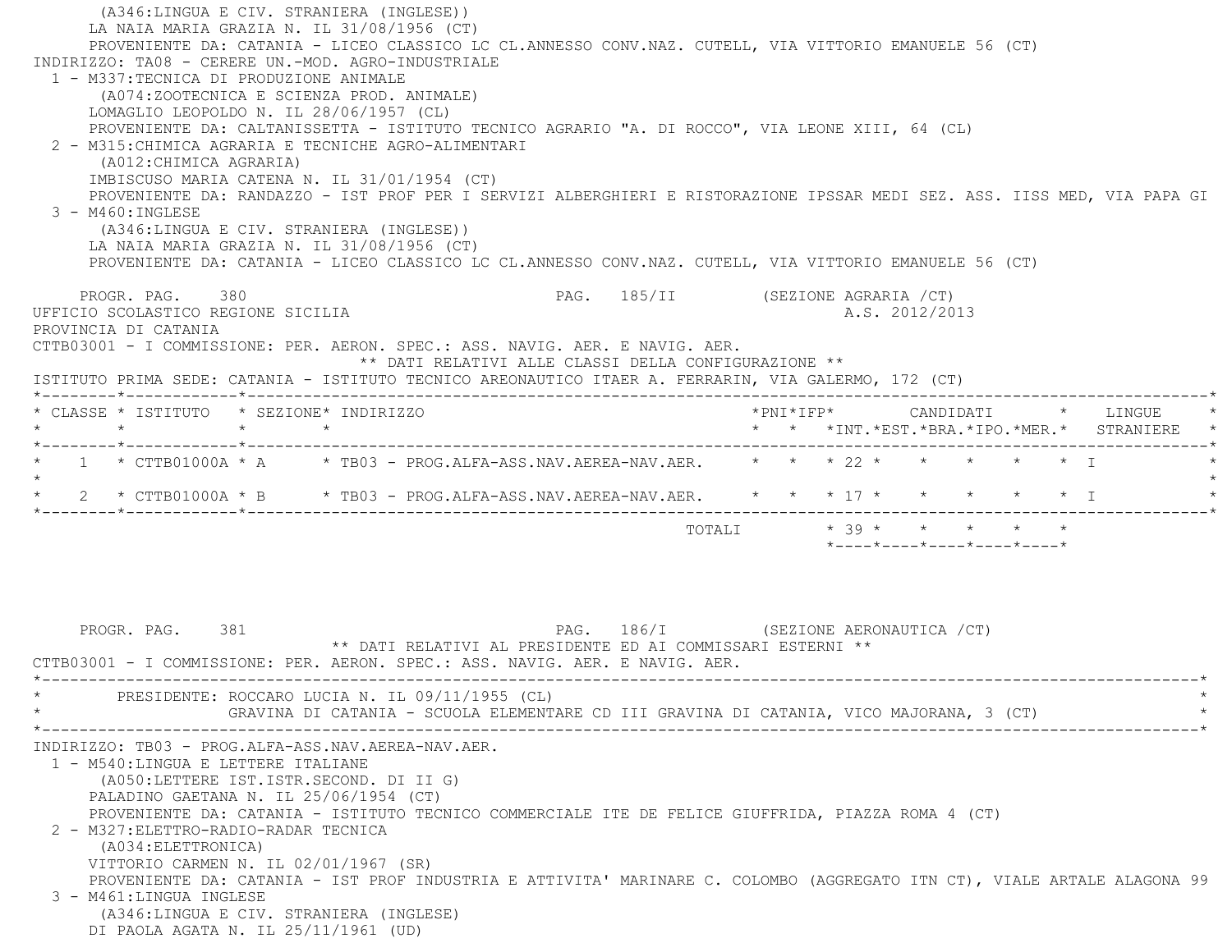(A346:LINGUA E CIV. STRANIERA (INGLESE)) LA NAIA MARIA GRAZIA N. IL 31/08/1956 (CT) PROVENIENTE DA: CATANIA - LICEO CLASSICO LC CL.ANNESSO CONV.NAZ. CUTELL, VIA VITTORIO EMANUELE 56 (CT) INDIRIZZO: TA08 - CERERE UN.-MOD. AGRO-INDUSTRIALE 1 - M337:TECNICA DI PRODUZIONE ANIMALE (A074:ZOOTECNICA E SCIENZA PROD. ANIMALE) LOMAGLIO LEOPOLDO N. IL 28/06/1957 (CL) PROVENIENTE DA: CALTANISSETTA - ISTITUTO TECNICO AGRARIO "A. DI ROCCO", VIA LEONE XIII, 64 (CL) 2 - M315:CHIMICA AGRARIA E TECNICHE AGRO-ALIMENTARI (A012:CHIMICA AGRARIA) IMBISCUSO MARIA CATENA N. IL 31/01/1954 (CT) PROVENIENTE DA: RANDAZZO - IST PROF PER I SERVIZI ALBERGHIERI E RISTORAZIONE IPSSAR MEDI SEZ. ASS. IISS MED, VIA PAPA GI 3 - M460:INGLESE (A346:LINGUA E CIV. STRANIERA (INGLESE)) LA NAIA MARIA GRAZIA N. IL 31/08/1956 (CT) PROVENIENTE DA: CATANIA - LICEO CLASSICO LC CL.ANNESSO CONV.NAZ. CUTELL, VIA VITTORIO EMANUELE 56 (CT) PROGR. PAG. 380 CHA SERVICE 2013 PAG. 185/II (SEZIONE AGRARIA / CT) UFFICIO SCOLASTICO REGIONE SICILIA A.S. 2012/2013 PROVINCIA DI CATANIA CTTB03001 - I COMMISSIONE: PER. AERON. SPEC.: ASS. NAVIG. AER. E NAVIG. AER. \*\* DATI RELATIVI ALLE CLASSI DELLA CONFIGURAZIONE \*\* ISTITUTO PRIMA SEDE: CATANIA - ISTITUTO TECNICO AREONAUTICO ITAER A. FERRARIN, VIA GALERMO, 172 (CT) \*--------\*------------\*-------------------------------------------------------------------------------------------------------\* \* CLASSE \* ISTITUTO \* SEZIONE\* INDIRIZZO \*PNI\*IFP\* CANDIDATI \* LINGUE \* \* \* \* \* \* \* \*INT.\*EST.\*BRA.\*IPO.\*MER.\* STRANIERE \* \*--------\*------------\*-------------------------------------------------------------------------------------------------------\*\* 1 \* CTTB01000A \* A \* TB03 - PROG.ALFA-ASS.NAV.AEREA-NAV.AER. \* \* \* 22 \* \* \* \* \* \* \* T  $\star$ \* 2 \* CTTB01000A \* B \* TB03 - PROG.ALFA-ASS.NAV.AEREA-NAV.AER. \* \* \* 17 \* \* \* \* \* \* \* I \*--------\*------------\*-------------------------------------------------------------------------------------------------------\* $\texttt{TOTALI} \qquad \qquad \star \quad \texttt{39} \star \qquad \star \qquad \star \qquad \star \qquad \star \qquad \star \qquad \star$  \*----\*----\*----\*----\*----\*PROGR. PAG. 381 **PAG.** 281 **PAG.** 286/I (SEZIONE AERONAUTICA / CT) \*\* DATI RELATIVI AL PRESIDENTE ED AI COMMISSARI ESTERNI \*\* CTTB03001 - I COMMISSIONE: PER. AERON. SPEC.: ASS. NAVIG. AER. E NAVIG. AER. \*----------------------------------------------------------------------------------------------------------------------------\*PRESIDENTE: ROCCARO LUCIA N. IL 09/11/1955 (CL) \* GRAVINA DI CATANIA - SCUOLA ELEMENTARE CD III GRAVINA DI CATANIA, VICO MAJORANA, 3 (CT) \* \*----------------------------------------------------------------------------------------------------------------------------\* INDIRIZZO: TB03 - PROG.ALFA-ASS.NAV.AEREA-NAV.AER. 1 - M540:LINGUA E LETTERE ITALIANE (A050:LETTERE IST.ISTR.SECOND. DI II G) PALADINO GAETANA N. IL 25/06/1954 (CT) PROVENIENTE DA: CATANIA - ISTITUTO TECNICO COMMERCIALE ITE DE FELICE GIUFFRIDA, PIAZZA ROMA 4 (CT) 2 - M327:ELETTRO-RADIO-RADAR TECNICA (A034:ELETTRONICA) VITTORIO CARMEN N. IL 02/01/1967 (SR) PROVENIENTE DA: CATANIA - IST PROF INDUSTRIA E ATTIVITA' MARINARE C. COLOMBO (AGGREGATO ITN CT), VIALE ARTALE ALAGONA 99 3 - M461:LINGUA INGLESE (A346:LINGUA E CIV. STRANIERA (INGLESE) DI PAOLA AGATA N. IL 25/11/1961 (UD)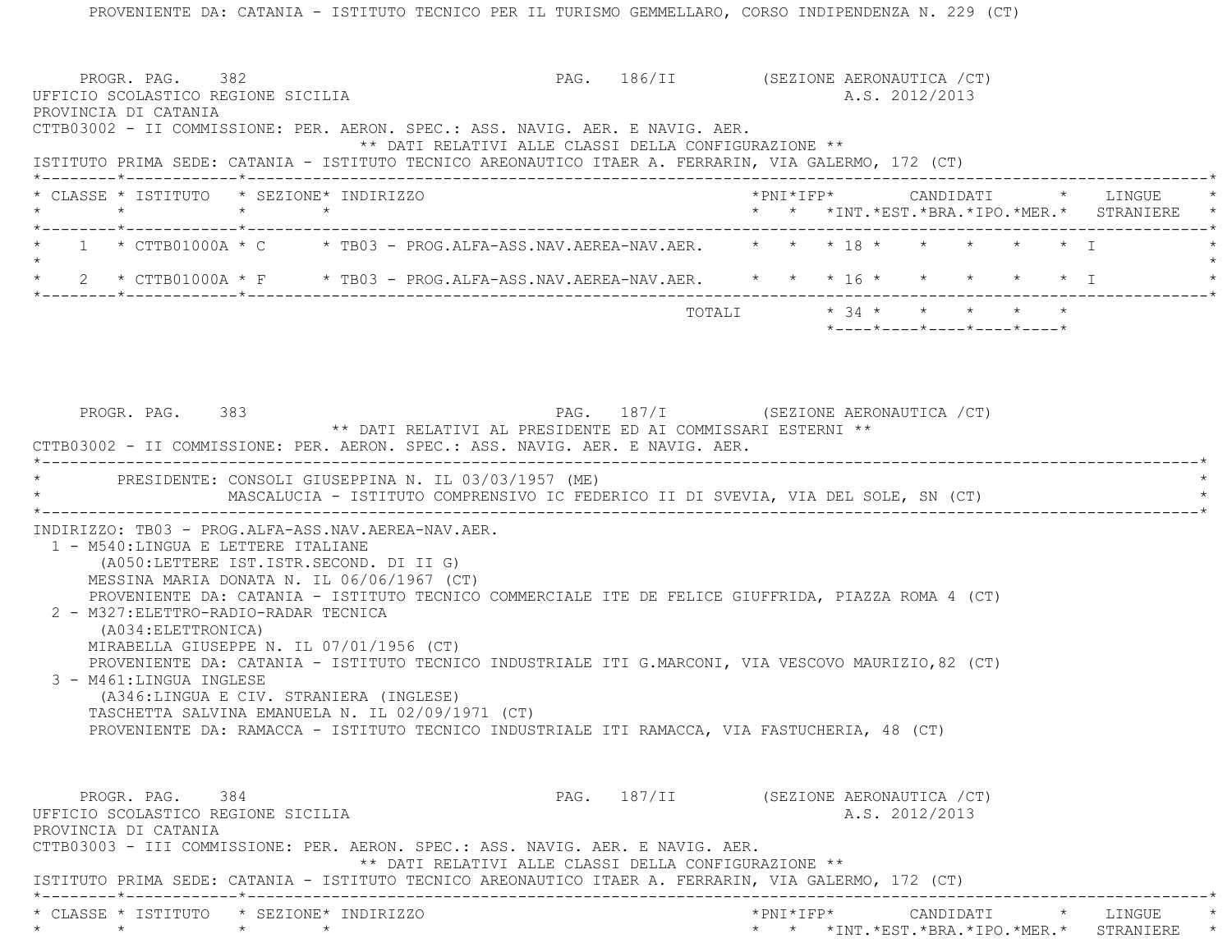PROVENIENTE DA: CATANIA - ISTITUTO TECNICO PER IL TURISMO GEMMELLARO, CORSO INDIPENDENZA N. 229 (CT) PROGR. PAG. 382 PAG. 186/II (SEZIONE AERONAUTICA /CT) UFFICIO SCOLASTICO REGIONE SICILIA A.S. 2012/2013 PROVINCIA DI CATANIA CTTB03002 - II COMMISSIONE: PER. AERON. SPEC.: ASS. NAVIG. AER. E NAVIG. AER. \*\* DATI RELATIVI ALLE CLASSI DELLA CONFIGURAZIONE \*\* ISTITUTO PRIMA SEDE: CATANIA - ISTITUTO TECNICO AREONAUTICO ITAER A. FERRARIN, VIA GALERMO, 172 (CT) \*--------\*------------\*-------------------------------------------------------------------------------------------------------\* \* CLASSE \* ISTITUTO \* SEZIONE\* INDIRIZZO \*PNI\*IFP\* CANDIDATI \* LINGUE \* \* \* \* \* \* \* \*INT.\*EST.\*BRA.\*IPO.\*MER.\* STRANIERE \* \*--------\*------------\*-------------------------------------------------------------------------------------------------------\* $1$  \* CTTB01000A \* C \* TB03 - PROG.ALFA-ASS.NAV.AEREA-NAV.AER. \* \* \* 18 \* \* \* \* \* \* \* \*  $\star$ \* 2 \* CTTB01000A \* F \* TB03 - PROG.ALFA-ASS.NAV.AEREA-NAV.AER. \* \* \* 16 \* \* \* \* \* \* \* I \*--------\*------------\*-------------------------------------------------------------------------------------------------------\*TOTALI  $* 34 * * * * * * * * *$  \*----\*----\*----\*----\*----\*PROGR. PAG. 383 PAG. 187/I (SEZIONE AERONAUTICA / CT) \*\* DATI RELATIVI AL PRESIDENTE ED AI COMMISSARI ESTERNI \*\* CTTB03002 - II COMMISSIONE: PER. AERON. SPEC.: ASS. NAVIG. AER. E NAVIG. AER. \*----------------------------------------------------------------------------------------------------------------------------\*PRESIDENTE: CONSOLI GIUSEPPINA N. IL 03/03/1957 (ME) MASCALUCIA - ISTITUTO COMPRENSIVO IC FEDERICO II DI SVEVIA, VIA DEL SOLE, SN (CT) \*----------------------------------------------------------------------------------------------------------------------------\* INDIRIZZO: TB03 - PROG.ALFA-ASS.NAV.AEREA-NAV.AER. 1 - M540:LINGUA E LETTERE ITALIANE (A050:LETTERE IST.ISTR.SECOND. DI II G) MESSINA MARIA DONATA N. IL 06/06/1967 (CT) PROVENIENTE DA: CATANIA - ISTITUTO TECNICO COMMERCIALE ITE DE FELICE GIUFFRIDA, PIAZZA ROMA 4 (CT) 2 - M327:ELETTRO-RADIO-RADAR TECNICA (A034:ELETTRONICA) MIRABELLA GIUSEPPE N. IL 07/01/1956 (CT) PROVENIENTE DA: CATANIA - ISTITUTO TECNICO INDUSTRIALE ITI G.MARCONI, VIA VESCOVO MAURIZIO,82 (CT) 3 - M461:LINGUA INGLESE (A346:LINGUA E CIV. STRANIERA (INGLESE) TASCHETTA SALVINA EMANUELA N. IL 02/09/1971 (CT) PROVENIENTE DA: RAMACCA - ISTITUTO TECNICO INDUSTRIALE ITI RAMACCA, VIA FASTUCHERIA, 48 (CT) PROGR. PAG. 384 384 PAG. 187/II (SEZIONE AERONAUTICA / CT) UFFICIO SCOLASTICO REGIONE SICILIA A.S. 2012/2013 PROVINCIA DI CATANIA CTTB03003 - III COMMISSIONE: PER. AERON. SPEC.: ASS. NAVIG. AER. E NAVIG. AER. \*\* DATI RELATIVI ALLE CLASSI DELLA CONFIGURAZIONE \*\* ISTITUTO PRIMA SEDE: CATANIA - ISTITUTO TECNICO AREONAUTICO ITAER A. FERRARIN, VIA GALERMO, 172 (CT) \*--------\*------------\*-------------------------------------------------------------------------------------------------------\*\* CLASSE \* ISTITUTO \* SEZIONE\* INDIRIZZO \*PNI\*IFP\* CANDIDATI \* LINGUE \*

\* \* \* \* \* \* \*INT.\*EST.\*BRA.\*IPO.\*MER.\* STRANIERE \*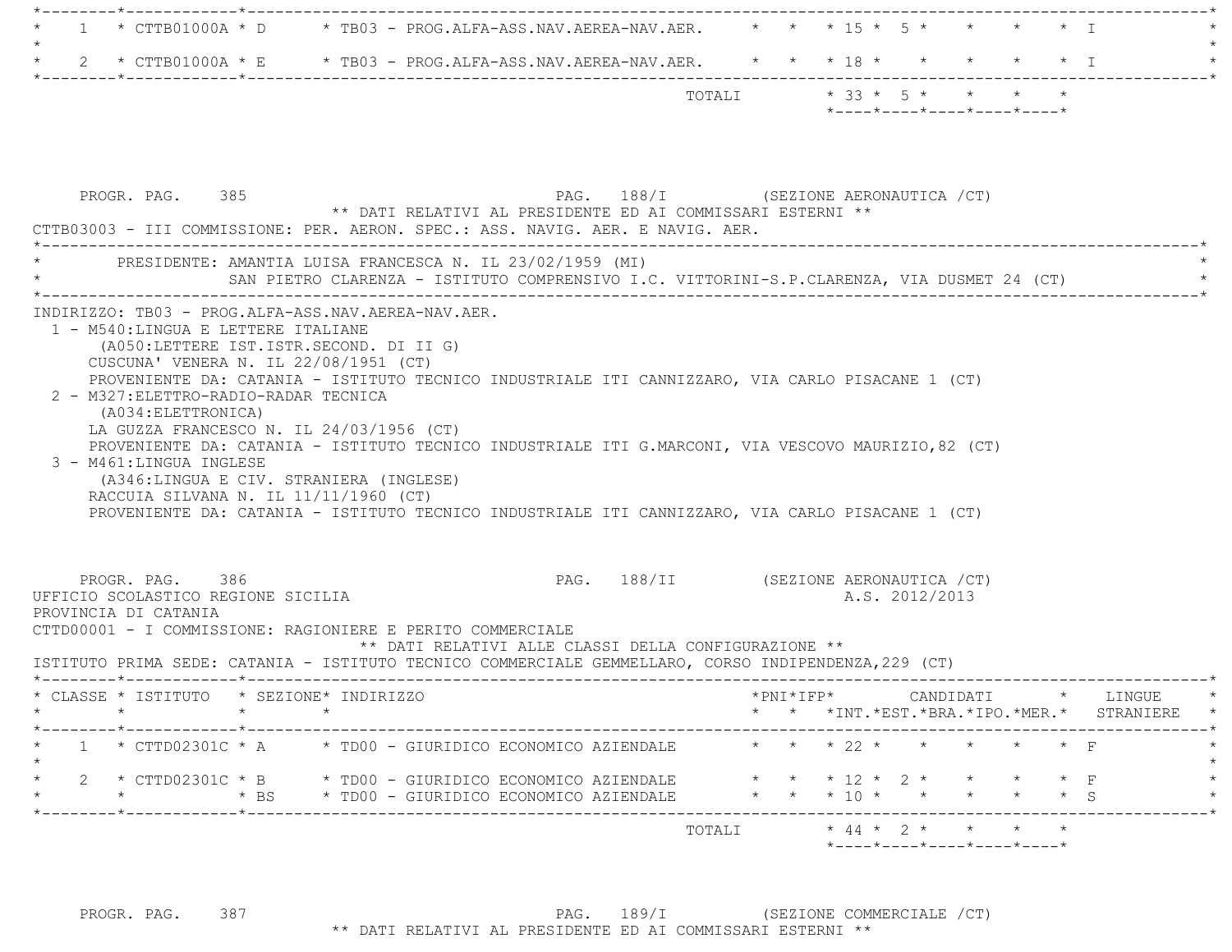|  |                                                                                         |  | $*$ - - - - $*$ - - - - $*$ - - - - $*$ - - - - $*$ - - - - $*$ |  |  |  |
|--|-----------------------------------------------------------------------------------------|--|-----------------------------------------------------------------|--|--|--|
|  | TOTAI.T                                                                                 |  | $*$ 33 $*$ 5 $*$ $*$ $*$ $*$                                    |  |  |  |
|  | * 2 * CTTB01000A * E * TB03 - PROG.ALFA-ASS.NAV.AEREA-NAV.AER. * * * 18 * * * * * * * T |  |                                                                 |  |  |  |
|  |                                                                                         |  |                                                                 |  |  |  |
|  | * 1 * CTTB01000A * D * TB03 - PROG.ALFA-ASS.NAV.AEREA-NAV.AER. * * * 15 * 5 * * * * * T |  |                                                                 |  |  |  |
|  |                                                                                         |  |                                                                 |  |  |  |

| PRESIDENTE: AMANTIA LUISA FRANCESCA N. IL 23/02/1959 (MI)                                                                                                                                                                                                                                                                                                                                                                                                                                                                                                                                                              |                 |  | SAN PIETRO CLARENZA - ISTITUTO COMPRENSIVO I.C. VITTORINI-S.P.CLARENZA, VIA DUSMET 24 (CT)     |  |                |  |  |                                               |
|------------------------------------------------------------------------------------------------------------------------------------------------------------------------------------------------------------------------------------------------------------------------------------------------------------------------------------------------------------------------------------------------------------------------------------------------------------------------------------------------------------------------------------------------------------------------------------------------------------------------|-----------------|--|------------------------------------------------------------------------------------------------|--|----------------|--|--|-----------------------------------------------|
| INDIRIZZO: TB03 - PROG.ALFA-ASS.NAV.AEREA-NAV.AER.<br>1 - M540:LINGUA E LETTERE ITALIANE<br>(A050:LETTERE IST.ISTR.SECOND. DI II G)<br>CUSCUNA' VENERA N. IL 22/08/1951 (CT)<br>PROVENIENTE DA: CATANIA - ISTITUTO TECNICO INDUSTRIALE ITI CANNIZZARO, VIA CARLO PISACANE 1 (CT)<br>2 - M327: ELETTRO-RADIO-RADAR TECNICA<br>(A034: ELETTRONICA)<br>LA GUZZA FRANCESCO N. IL 24/03/1956 (CT)                                                                                                                                                                                                                           |                 |  |                                                                                                |  |                |  |  |                                               |
| PROVENIENTE DA: CATANIA - ISTITUTO TECNICO INDUSTRIALE ITI G.MARCONI, VIA VESCOVO MAURIZIO, 82 (CT)<br>(A346:LINGUA E CIV. STRANIERA (INGLESE)<br>RACCUIA SILVANA N. IL 11/11/1960 (CT)<br>PROVENIENTE DA: CATANIA - ISTITUTO TECNICO INDUSTRIALE ITI CANNIZZARO, VIA CARLO PISACANE 1 (CT)                                                                                                                                                                                                                                                                                                                            |                 |  |                                                                                                |  |                |  |  |                                               |
| PROGR. PAG. 386                                                                                                                                                                                                                                                                                                                                                                                                                                                                                                                                                                                                        |                 |  | PAG. 188/II (SEZIONE AERONAUTICA / CT)<br>** DATI RELATIVI ALLE CLASSI DELLA CONFIGURAZIONE ** |  | A.S. 2012/2013 |  |  |                                               |
| $\star$                                                                                                                                                                                                                                                                                                                                                                                                                                                                                                                                                                                                                | $\star$ $\star$ |  |                                                                                                |  |                |  |  | *PNI*IFP* CANDIDATI * LINGUE                  |
|                                                                                                                                                                                                                                                                                                                                                                                                                                                                                                                                                                                                                        |                 |  |                                                                                                |  |                |  |  | * * *INT. *EST. *BRA. *IPO. *MER. * STRANIERE |
| 3 - M461:LINGUA INGLESE<br>UFFICIO SCOLASTICO REGIONE SICILIA<br>PROVINCIA DI CATANIA<br>CTTD00001 - I COMMISSIONE: RAGIONIERE E PERITO COMMERCIALE<br>ISTITUTO PRIMA SEDE: CATANIA - ISTITUTO TECNICO COMMERCIALE GEMMELLARO, CORSO INDIPENDENZA, 229 (CT)<br>* CLASSE * ISTITUTO * SEZIONE* INDIRIZZO<br>*--------*------------*-------------<br>1 * CTTD02301C * A * TD00 - GIURIDICO ECONOMICO AZIENDALE $\qquad$ * * * 22 * * * * * * * F<br>* 2 * CTTD02301C * B * TD00 - GIURIDICO ECONOMICO AZIENDALE * * * 12 * 2 * * * * * F<br>* * * * * BS * TD00 - GIURIDICO ECONOMICO AZIENDALE * * * 10 * * * * * * * S |                 |  |                                                                                                |  |                |  |  |                                               |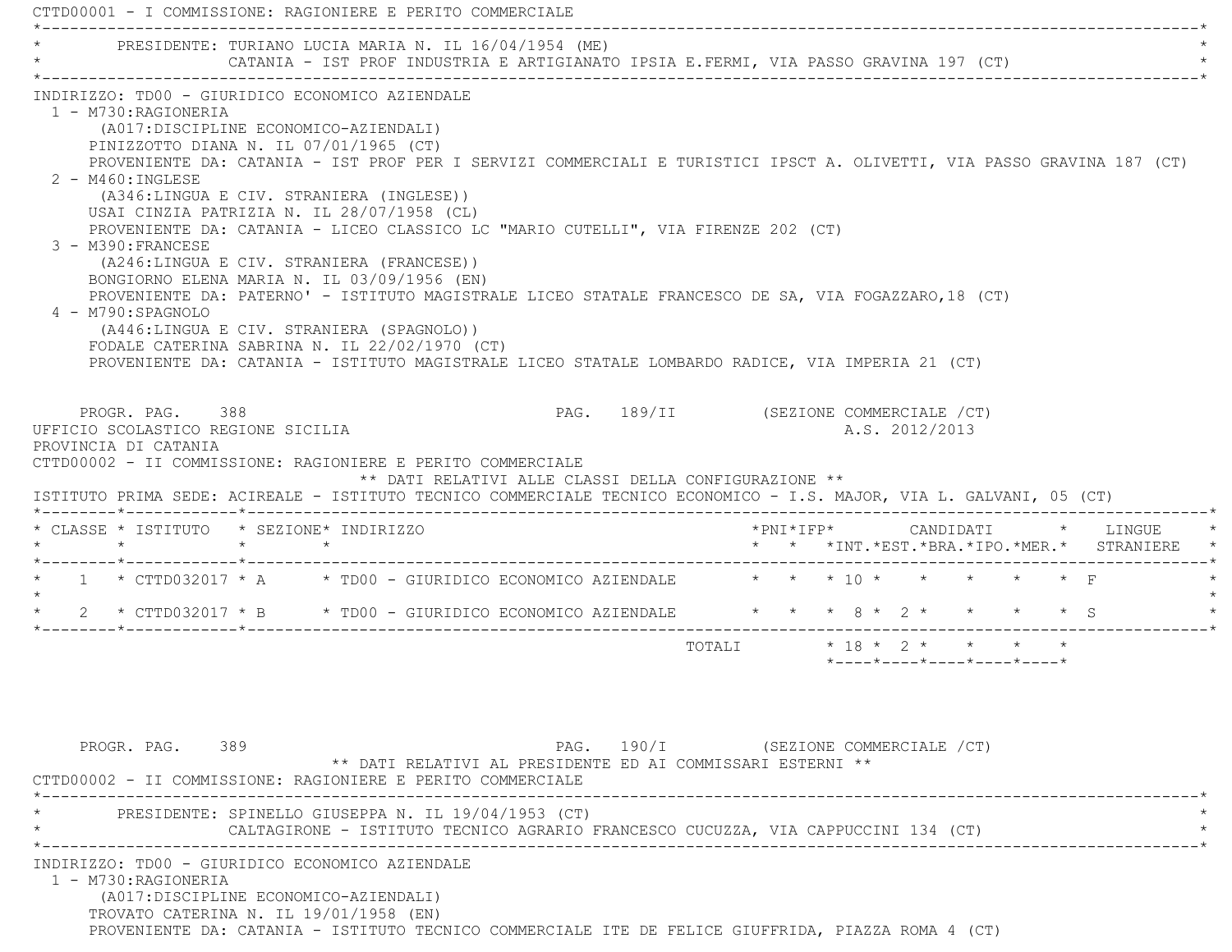CTTD00001 - I COMMISSIONE: RAGIONIERE E PERITO COMMERCIALE \*----------------------------------------------------------------------------------------------------------------------------\*PRESIDENTE: TURIANO LUCIA MARIA N. IL 16/04/1954 (ME) CATANIA - IST PROF INDUSTRIA E ARTIGIANATO IPSIA E.FERMI, VIA PASSO GRAVINA 197 (CT) \*----------------------------------------------------------------------------------------------------------------------------\* INDIRIZZO: TD00 - GIURIDICO ECONOMICO AZIENDALE 1 - M730:RAGIONERIA (A017:DISCIPLINE ECONOMICO-AZIENDALI) PINIZZOTTO DIANA N. IL 07/01/1965 (CT) PROVENIENTE DA: CATANIA - IST PROF PER I SERVIZI COMMERCIALI E TURISTICI IPSCT A. OLIVETTI, VIA PASSO GRAVINA 187 (CT) 2 - M460:INGLESE (A346:LINGUA E CIV. STRANIERA (INGLESE)) USAI CINZIA PATRIZIA N. IL 28/07/1958 (CL) PROVENIENTE DA: CATANIA - LICEO CLASSICO LC "MARIO CUTELLI", VIA FIRENZE 202 (CT) 3 - M390:FRANCESE (A246:LINGUA E CIV. STRANIERA (FRANCESE)) BONGIORNO ELENA MARIA N. IL 03/09/1956 (EN) PROVENIENTE DA: PATERNO' - ISTITUTO MAGISTRALE LICEO STATALE FRANCESCO DE SA, VIA FOGAZZARO,18 (CT) 4 - M790:SPAGNOLO (A446:LINGUA E CIV. STRANIERA (SPAGNOLO)) FODALE CATERINA SABRINA N. IL 22/02/1970 (CT) PROVENIENTE DA: CATANIA - ISTITUTO MAGISTRALE LICEO STATALE LOMBARDO RADICE, VIA IMPERIA 21 (CT) PROGR. PAG. 388 CHARGE 189/II (SEZIONE COMMERCIALE / CT) UFFICIO SCOLASTICO REGIONE SICILIA A.S. 2012/2013 PROVINCIA DI CATANIA CTTD00002 - II COMMISSIONE: RAGIONIERE E PERITO COMMERCIALE \*\* DATI RELATIVI ALLE CLASSI DELLA CONFIGURAZIONE \*\* ISTITUTO PRIMA SEDE: ACIREALE - ISTITUTO TECNICO COMMERCIALE TECNICO ECONOMICO - I.S. MAJOR, VIA L. GALVANI, 05 (CT) \*--------\*------------\*-------------------------------------------------------------------------------------------------------\* \* CLASSE \* ISTITUTO \* SEZIONE\* INDIRIZZO \*PNI\*IFP\* CANDIDATI \* LINGUE \* \* \* \* \* \* \* \*INT.\*EST.\*BRA.\*IPO.\*MER.\* STRANIERE \* \*--------\*------------\*-------------------------------------------------------------------------------------------------------\*1 \* CTTD032017 \* A \* TD00 - GIURIDICO ECONOMICO AZIENDALE  $\qquad$  \* \* \* 10 \* \* \* \* \* \* F  $\star$ 2 \* CTTD032017 \* B \* TD00 - GIURIDICO ECONOMICO AZIENDALE \* \* \* 8 \* 2 \* \* \* \* \* S ---------------------------------TOTALI  $* 18 * 2 *$  \*----\*----\*----\*----\*----\*PROGR. PAG. 389 CHAST SEZIONE COMMERCIALE (CT) \*\* DATI RELATIVI AL PRESIDENTE ED AI COMMISSARI ESTERNI \*\* CTTD00002 - II COMMISSIONE: RAGIONIERE E PERITO COMMERCIALE \*----------------------------------------------------------------------------------------------------------------------------\*PRESIDENTE: SPINELLO GIUSEPPA N. IL 19/04/1953 (CT) CALTAGIRONE - ISTITUTO TECNICO AGRARIO FRANCESCO CUCUZZA, VIA CAPPUCCINI 134 (CT) \*----------------------------------------------------------------------------------------------------------------------------\* INDIRIZZO: TD00 - GIURIDICO ECONOMICO AZIENDALE 1 - M730:RAGIONERIA (A017:DISCIPLINE ECONOMICO-AZIENDALI) TROVATO CATERINA N. IL 19/01/1958 (EN) PROVENIENTE DA: CATANIA - ISTITUTO TECNICO COMMERCIALE ITE DE FELICE GIUFFRIDA, PIAZZA ROMA 4 (CT)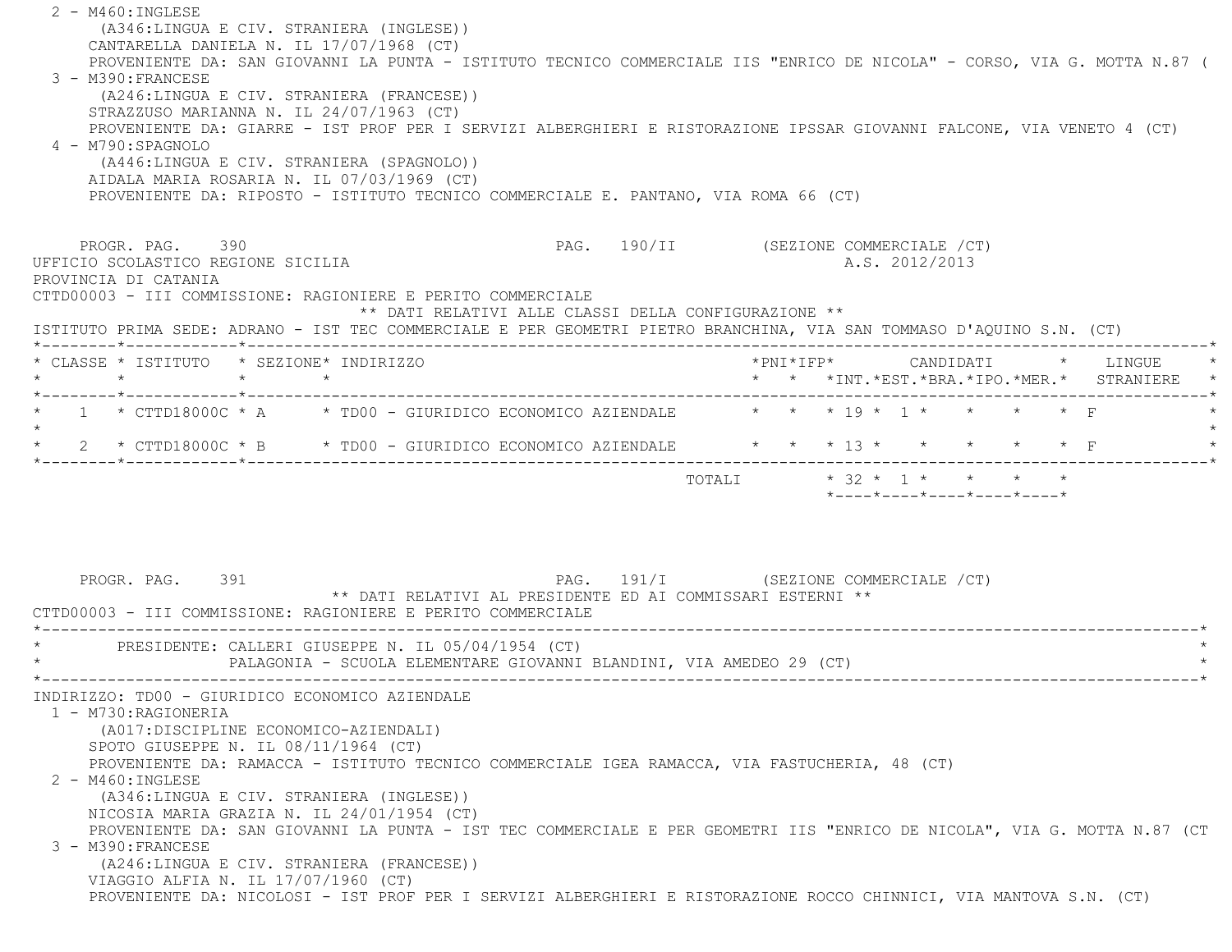2 - M460:INGLESE (A346:LINGUA E CIV. STRANIERA (INGLESE)) CANTARELLA DANIELA N. IL 17/07/1968 (CT) PROVENIENTE DA: SAN GIOVANNI LA PUNTA - ISTITUTO TECNICO COMMERCIALE IIS "ENRICO DE NICOLA" - CORSO, VIA G. MOTTA N.87 ( 3 - M390:FRANCESE (A246:LINGUA E CIV. STRANIERA (FRANCESE)) STRAZZUSO MARIANNA N. IL 24/07/1963 (CT) PROVENIENTE DA: GIARRE - IST PROF PER I SERVIZI ALBERGHIERI E RISTORAZIONE IPSSAR GIOVANNI FALCONE, VIA VENETO 4 (CT) 4 - M790:SPAGNOLO (A446:LINGUA E CIV. STRANIERA (SPAGNOLO)) AIDALA MARIA ROSARIA N. IL 07/03/1969 (CT) PROVENIENTE DA: RIPOSTO - ISTITUTO TECNICO COMMERCIALE E. PANTANO, VIA ROMA 66 (CT) PROGR. PAG. 390 COMMERCIALE (CT) UFFICIO SCOLASTICO REGIONE SICILIA A.S. 2012/2013 PROVINCIA DI CATANIA CTTD00003 - III COMMISSIONE: RAGIONIERE E PERITO COMMERCIALE \*\* DATI RELATIVI ALLE CLASSI DELLA CONFIGURAZIONE \*\* ISTITUTO PRIMA SEDE: ADRANO - IST TEC COMMERCIALE E PER GEOMETRI PIETRO BRANCHINA, VIA SAN TOMMASO D'AQUINO S.N. (CT) \*--------\*------------\*-------------------------------------------------------------------------------------------------------\* \* CLASSE \* ISTITUTO \* SEZIONE\* INDIRIZZO \*PNI\*IFP\* CANDIDATI \* LINGUE \* \* \* \* \* \* \* \*INT.\*EST.\*BRA.\*IPO.\*MER.\* STRANIERE \* \*--------\*------------\*-------------------------------------------------------------------------------------------------------\*\* 1 \* CTTD18000C \* A \* TD00 - GIURIDICO ECONOMICO AZIENDALE \* \* \* 19 \* 1 \* \* \* \* \* F  $\star$ \* 2 \* CTTD18000C \* B \* TD00 - GIURIDICO ECONOMICO AZIENDALE \* \* \* 13 \* \* \* \* \* \* \* F \*--------\*------------\*-------------------------------------------------------------------------------------------------------\*TOTALI  $* 32 * 1 * * * * * * *$  \*----\*----\*----\*----\*----\* PROGR. PAG. 391 PAG. 191/I (SEZIONE COMMERCIALE /CT) \*\* DATI RELATIVI AL PRESIDENTE ED AI COMMISSARI ESTERNI \*\* CTTD00003 - III COMMISSIONE: RAGIONIERE E PERITO COMMERCIALE \*----------------------------------------------------------------------------------------------------------------------------\*PRESIDENTE: CALLERI GIUSEPPE N. IL 05/04/1954 (CT) PALAGONIA - SCUOLA ELEMENTARE GIOVANNI BLANDINI, VIA AMEDEO 29 (CT) \*----------------------------------------------------------------------------------------------------------------------------\* INDIRIZZO: TD00 - GIURIDICO ECONOMICO AZIENDALE 1 - M730:RAGIONERIA (A017:DISCIPLINE ECONOMICO-AZIENDALI) SPOTO GIUSEPPE N. IL 08/11/1964 (CT) PROVENIENTE DA: RAMACCA - ISTITUTO TECNICO COMMERCIALE IGEA RAMACCA, VIA FASTUCHERIA, 48 (CT) 2 - M460:INGLESE (A346:LINGUA E CIV. STRANIERA (INGLESE)) NICOSIA MARIA GRAZIA N. IL 24/01/1954 (CT) PROVENIENTE DA: SAN GIOVANNI LA PUNTA - IST TEC COMMERCIALE E PER GEOMETRI IIS "ENRICO DE NICOLA", VIA G. MOTTA N.87 (CT 3 - M390:FRANCESE (A246:LINGUA E CIV. STRANIERA (FRANCESE)) VIAGGIO ALFIA N. IL 17/07/1960 (CT) PROVENIENTE DA: NICOLOSI - IST PROF PER I SERVIZI ALBERGHIERI E RISTORAZIONE ROCCO CHINNICI, VIA MANTOVA S.N. (CT)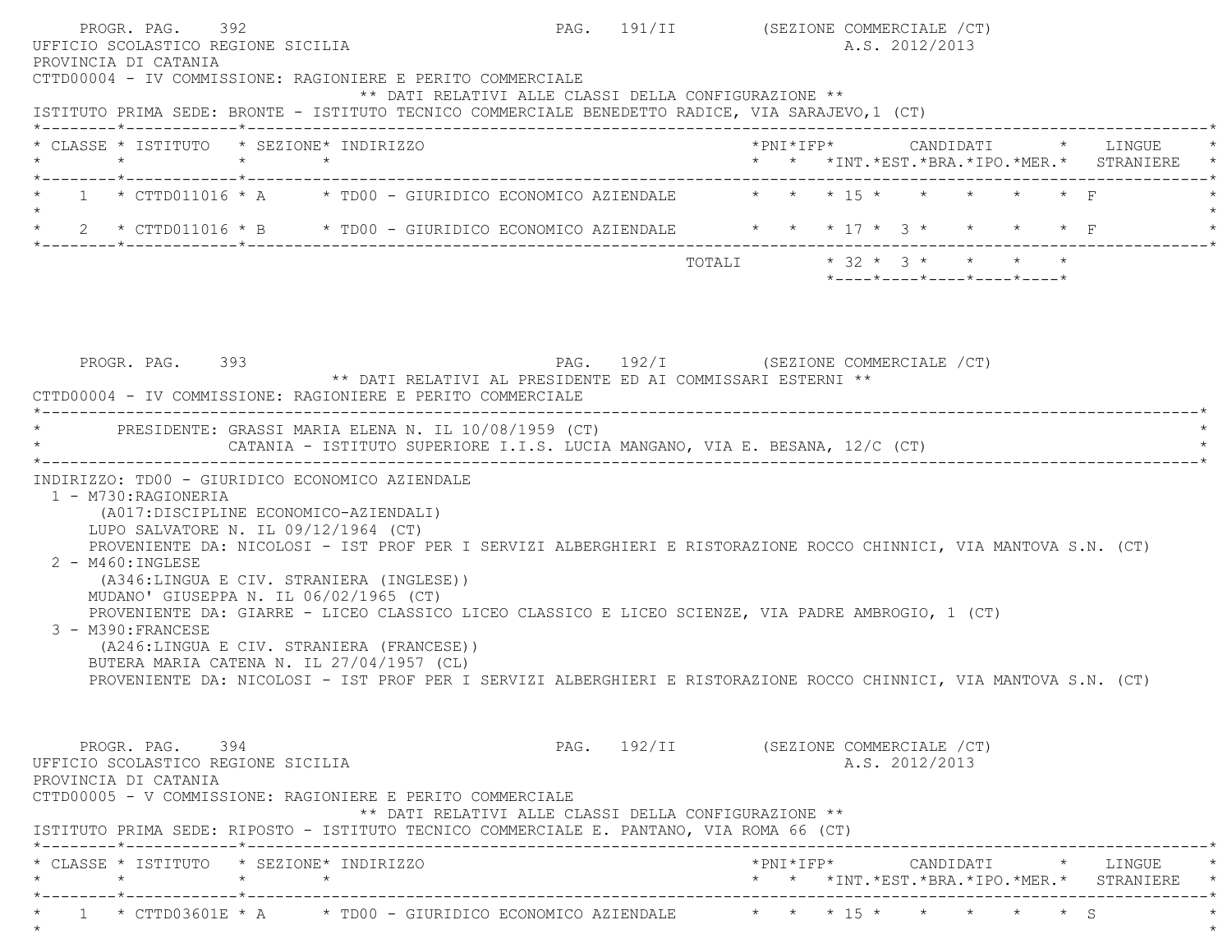| PROGR. PAG. 392<br>UFFICIO SCOLASTICO REGIONE SICILIA<br>PROVINCIA DI CATANIA<br>CTTD00004 - IV COMMISSIONE: RAGIONIERE E PERITO COMMERCIALE                                                                                   | PAG. 191/II (SEZIONE COMMERCIALE /CT)<br>** DATI RELATIVI ALLE CLASSI DELLA CONFIGURAZIONE ** |                         |  | A.S. 2012/2013 |                                                                 |  |                                                                                     |
|--------------------------------------------------------------------------------------------------------------------------------------------------------------------------------------------------------------------------------|-----------------------------------------------------------------------------------------------|-------------------------|--|----------------|-----------------------------------------------------------------|--|-------------------------------------------------------------------------------------|
| ISTITUTO PRIMA SEDE: BRONTE - ISTITUTO TECNICO COMMERCIALE BENEDETTO RADICE, VIA SARAJEVO, 1 (CT)                                                                                                                              |                                                                                               |                         |  |                |                                                                 |  |                                                                                     |
| * CLASSE * ISTITUTO * SEZIONE* INDIRIZZO                                                                                                                                                                                       |                                                                                               |                         |  |                |                                                                 |  | *PNI*IFP*     CANDIDATI    *   LINGUE<br>* * *INT.*EST.*BRA.*IPO.*MER.* STRANIERE * |
| * 1 * CTTD011016 * A * TD00 - GIURIDICO ECONOMICO AZIENDALE * * * 15 * * * * * * * F                                                                                                                                           |                                                                                               |                         |  |                |                                                                 |  |                                                                                     |
| 2 * CTTD011016 * B * TD00 - GIURIDICO ECONOMICO AZIENDALE * * * 17 * 3 * * * * * F                                                                                                                                             |                                                                                               |                         |  |                |                                                                 |  |                                                                                     |
|                                                                                                                                                                                                                                |                                                                                               | TOTALI * 32 * 3 * * * * |  |                | $*$ - - - - $*$ - - - - $*$ - - - - $*$ - - - - $*$ - - - - $*$ |  |                                                                                     |
|                                                                                                                                                                                                                                |                                                                                               |                         |  |                |                                                                 |  |                                                                                     |
| * PRESIDENTE: GRASSI MARIA ELENA N. IL 10/08/1959 (CT)<br>CATANIA - ISTITUTO SUPERIORE I.I.S. LUCIA MANGANO, VIA E. BESANA, 12/C (CT)                                                                                          |                                                                                               |                         |  |                |                                                                 |  |                                                                                     |
| INDIRIZZO: TD00 - GIURIDICO ECONOMICO AZIENDALE<br>1 - M730: RAGIONERIA<br>(A017:DISCIPLINE ECONOMICO-AZIENDALI)                                                                                                               |                                                                                               |                         |  |                |                                                                 |  |                                                                                     |
| LUPO SALVATORE N. IL 09/12/1964 (CT)<br>PROVENIENTE DA: NICOLOSI - IST PROF PER I SERVIZI ALBERGHIERI E RISTORAZIONE ROCCO CHINNICI, VIA MANTOVA S.N. (CT)<br>$2 - M460$ : INGLESE<br>(A346:LINGUA E CIV. STRANIERA (INGLESE)) |                                                                                               |                         |  |                |                                                                 |  |                                                                                     |
| MUDANO' GIUSEPPA N. IL 06/02/1965 (CT)<br>PROVENIENTE DA: GIARRE - LICEO CLASSICO LICEO CLASSICO E LICEO SCIENZE, VIA PADRE AMBROGIO, 1 (CT)<br>3 - M390: FRANCESE<br>(A246:LINGUA E CIV. STRANIERA (FRANCESE))                |                                                                                               |                         |  |                |                                                                 |  |                                                                                     |
| BUTERA MARIA CATENA N. IL 27/04/1957 (CL)<br>PROVENIENTE DA: NICOLOSI - IST PROF PER I SERVIZI ALBERGHIERI E RISTORAZIONE ROCCO CHINNICI, VIA MANTOVA S.N. (CT)                                                                |                                                                                               |                         |  |                |                                                                 |  |                                                                                     |
| PROGR. PAG. 394<br>UFFICIO SCOLASTICO REGIONE SICILIA<br>PROVINCIA DI CATANIA<br>CTTD00005 - V COMMISSIONE: RAGIONIERE E PERITO COMMERCIALE                                                                                    | PAG. 192/II (SEZIONE COMMERCIALE /CT)                                                         |                         |  | A.S. 2012/2013 |                                                                 |  |                                                                                     |

 \* CLASSE \* ISTITUTO \* SEZIONE\* INDIRIZZO \*PNI\*IFP\* CANDIDATI \* LINGUE \* \* \* \* \* \* \* \*INT.\*EST.\*BRA.\*IPO.\*MER.\* STRANIERE \* \*--------\*------------\*-------------------------------------------------------------------------------------------------------\*\* 1 \* CTTD03601E \* A \* TD00 - GIURIDICO ECONOMICO AZIENDALE \* \* \* \* 15 \* \* \* \* \* \* \* \* S \* \*  $\star$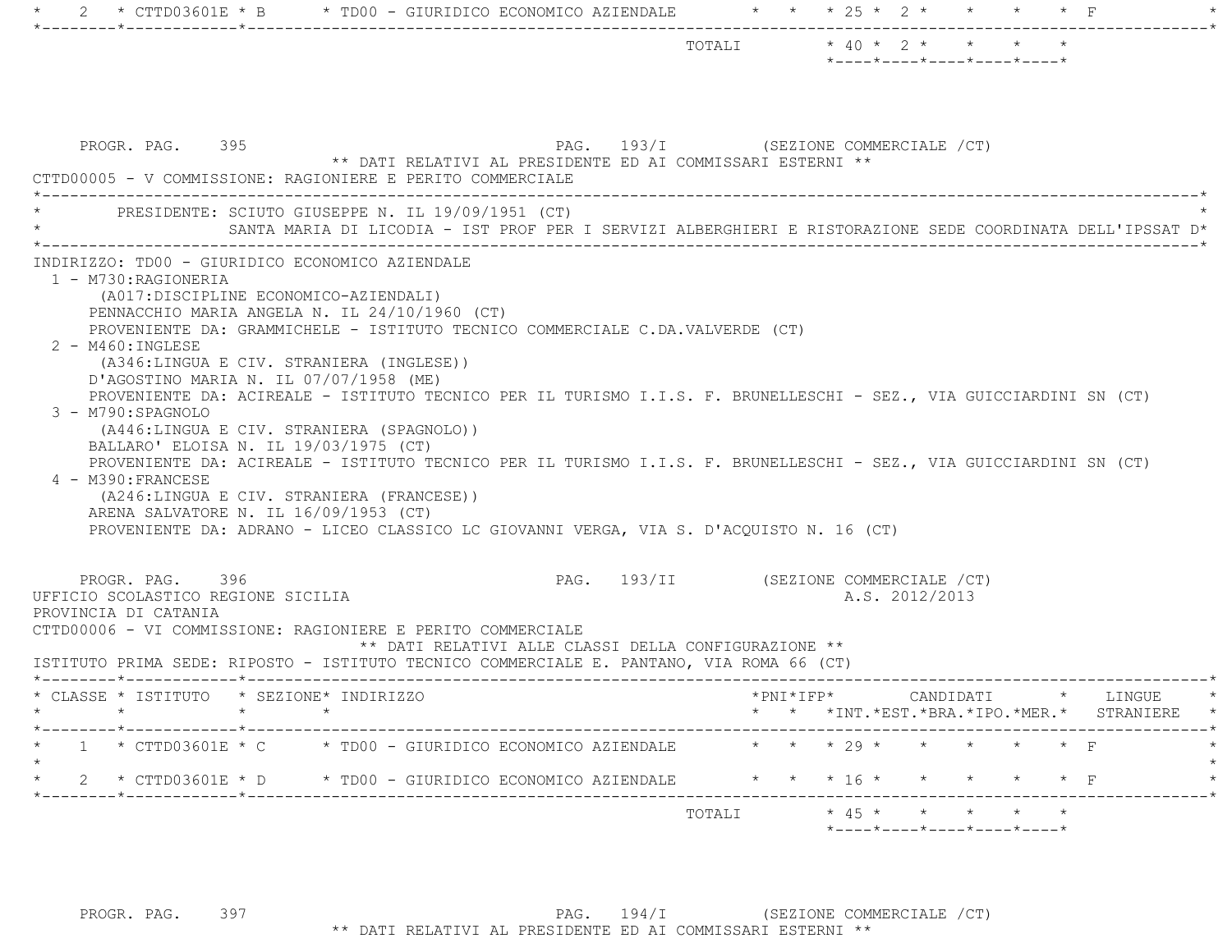| PAG. 193/I (SEZIONE COMMERCIALE /CT)<br>PROGR. PAG. 395<br>** DATI RELATIVI AL PRESIDENTE ED AI COMMISSARI ESTERNI **<br>CTTD00005 - V COMMISSIONE: RAGIONIERE E PERITO COMMERCIALE<br>_______________________________<br>PRESIDENTE: SCIUTO GIUSEPPE N. IL 19/09/1951 (CT)<br>SANTA MARIA DI LICODIA - IST PROF PER I SERVIZI ALBERGHIERI E RISTORAZIONE SEDE COORDINATA DELL'IPSSAT D*<br>INDIRIZZO: TD00 - GIURIDICO ECONOMICO AZIENDALE<br>1 - M730:RAGIONERIA<br>(A017:DISCIPLINE ECONOMICO-AZIENDALI)<br>PENNACCHIO MARIA ANGELA N. IL 24/10/1960 (CT)<br>PROVENIENTE DA: GRAMMICHELE - ISTITUTO TECNICO COMMERCIALE C.DA.VALVERDE (CT)<br>$2 - M460$ : INGLESE<br>(A346:LINGUA E CIV. STRANIERA (INGLESE))<br>D'AGOSTINO MARIA N. IL 07/07/1958 (ME)<br>PROVENIENTE DA: ACIREALE - ISTITUTO TECNICO PER IL TURISMO I.I.S. F. BRUNELLESCHI - SEZ., VIA GUICCIARDINI SN (CT)<br>3 - M790:SPAGNOLO<br>(A446:LINGUA E CIV. STRANIERA (SPAGNOLO))<br>BALLARO' ELOISA N. IL 19/03/1975 (CT)<br>PROVENIENTE DA: ACIREALE - ISTITUTO TECNICO PER IL TURISMO I.I.S. F. BRUNELLESCHI - SEZ., VIA GUICCIARDINI SN (CT)<br>4 - M390: FRANCESE<br>(A246:LINGUA E CIV. STRANIERA (FRANCESE))<br>ARENA SALVATORE N. IL 16/09/1953 (CT)<br>PROVENIENTE DA: ADRANO - LICEO CLASSICO LC GIOVANNI VERGA, VIA S. D'ACQUISTO N. 16 (CT)<br>PROGR. PAG. 396<br>PAG. 193/II (SEZIONE COMMERCIALE /CT)<br>UFFICIO SCOLASTICO REGIONE SICILIA<br>A.S. 2012/2013<br>PROVINCIA DI CATANIA<br>CTTD00006 - VI COMMISSIONE: RAGIONIERE E PERITO COMMERCIALE<br>** DATI RELATIVI ALLE CLASSI DELLA CONFIGURAZIONE **<br>ISTITUTO PRIMA SEDE: RIPOSTO - ISTITUTO TECNICO COMMERCIALE E. PANTANO, VIA ROMA 66 (CT)<br>* CLASSE * ISTITUTO * SEZIONE* INDIRIZZO<br>CANDIDATI<br>$\star$ LINGUE<br>*PNI*IFP*<br>$\star$<br>* * *INT.*EST.*BRA.*IPO.*MER.* STRANIERE *<br>* * * 29 * * * * * * F<br>1 * CTTD03601E * C * TD00 - GIURIDICO ECONOMICO AZIENDALE<br>2 * CTTD03601E * D * TD00 - GIURIDICO ECONOMICO AZIENDALE * * * * 16 * * * * * * F |  |  | $*$ ---- $*$ ---- $*$ ---- $*$ ---- $*$ ---- $*$ |  |  |  |
|------------------------------------------------------------------------------------------------------------------------------------------------------------------------------------------------------------------------------------------------------------------------------------------------------------------------------------------------------------------------------------------------------------------------------------------------------------------------------------------------------------------------------------------------------------------------------------------------------------------------------------------------------------------------------------------------------------------------------------------------------------------------------------------------------------------------------------------------------------------------------------------------------------------------------------------------------------------------------------------------------------------------------------------------------------------------------------------------------------------------------------------------------------------------------------------------------------------------------------------------------------------------------------------------------------------------------------------------------------------------------------------------------------------------------------------------------------------------------------------------------------------------------------------------------------------------------------------------------------------------------------------------------------------------------------------------------------------------------------------------------------------------------------------------------------------------------------------------------------------------------------------------------------------------------------------------------------------------------------------------------------------------|--|--|--------------------------------------------------|--|--|--|
|                                                                                                                                                                                                                                                                                                                                                                                                                                                                                                                                                                                                                                                                                                                                                                                                                                                                                                                                                                                                                                                                                                                                                                                                                                                                                                                                                                                                                                                                                                                                                                                                                                                                                                                                                                                                                                                                                                                                                                                                                        |  |  |                                                  |  |  |  |
|                                                                                                                                                                                                                                                                                                                                                                                                                                                                                                                                                                                                                                                                                                                                                                                                                                                                                                                                                                                                                                                                                                                                                                                                                                                                                                                                                                                                                                                                                                                                                                                                                                                                                                                                                                                                                                                                                                                                                                                                                        |  |  |                                                  |  |  |  |
|                                                                                                                                                                                                                                                                                                                                                                                                                                                                                                                                                                                                                                                                                                                                                                                                                                                                                                                                                                                                                                                                                                                                                                                                                                                                                                                                                                                                                                                                                                                                                                                                                                                                                                                                                                                                                                                                                                                                                                                                                        |  |  |                                                  |  |  |  |
|                                                                                                                                                                                                                                                                                                                                                                                                                                                                                                                                                                                                                                                                                                                                                                                                                                                                                                                                                                                                                                                                                                                                                                                                                                                                                                                                                                                                                                                                                                                                                                                                                                                                                                                                                                                                                                                                                                                                                                                                                        |  |  |                                                  |  |  |  |
|                                                                                                                                                                                                                                                                                                                                                                                                                                                                                                                                                                                                                                                                                                                                                                                                                                                                                                                                                                                                                                                                                                                                                                                                                                                                                                                                                                                                                                                                                                                                                                                                                                                                                                                                                                                                                                                                                                                                                                                                                        |  |  |                                                  |  |  |  |
|                                                                                                                                                                                                                                                                                                                                                                                                                                                                                                                                                                                                                                                                                                                                                                                                                                                                                                                                                                                                                                                                                                                                                                                                                                                                                                                                                                                                                                                                                                                                                                                                                                                                                                                                                                                                                                                                                                                                                                                                                        |  |  |                                                  |  |  |  |
|                                                                                                                                                                                                                                                                                                                                                                                                                                                                                                                                                                                                                                                                                                                                                                                                                                                                                                                                                                                                                                                                                                                                                                                                                                                                                                                                                                                                                                                                                                                                                                                                                                                                                                                                                                                                                                                                                                                                                                                                                        |  |  |                                                  |  |  |  |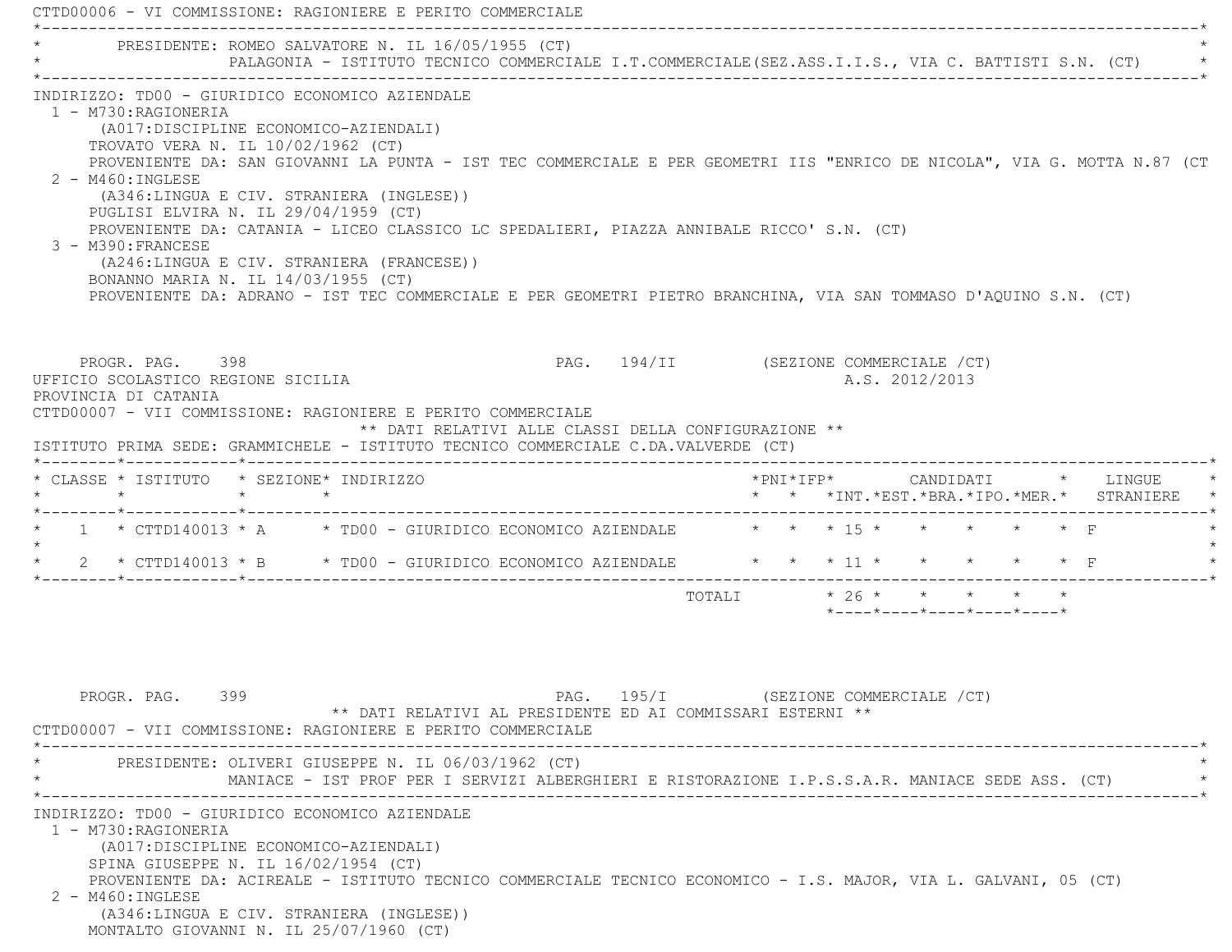CTTD00006 - VI COMMISSIONE: RAGIONIERE E PERITO COMMERCIALE \*----------------------------------------------------------------------------------------------------------------------------\*PRESIDENTE: ROMEO SALVATORE N. IL 16/05/1955 (CT) \* PALAGONIA - ISTITUTO TECNICO COMMERCIALE I.T.COMMERCIALE(SEZ.ASS.I.I.S., VIA C. BATTISTI S.N. (CT) \* \*----------------------------------------------------------------------------------------------------------------------------\* INDIRIZZO: TD00 - GIURIDICO ECONOMICO AZIENDALE 1 - M730:RAGIONERIA (A017:DISCIPLINE ECONOMICO-AZIENDALI) TROVATO VERA N. IL 10/02/1962 (CT) PROVENIENTE DA: SAN GIOVANNI LA PUNTA - IST TEC COMMERCIALE E PER GEOMETRI IIS "ENRICO DE NICOLA", VIA G. MOTTA N.87 (CT 2 - M460:INGLESE (A346:LINGUA E CIV. STRANIERA (INGLESE)) PUGLISI ELVIRA N. IL 29/04/1959 (CT) PROVENIENTE DA: CATANIA - LICEO CLASSICO LC SPEDALIERI, PIAZZA ANNIBALE RICCO' S.N. (CT) 3 - M390:FRANCESE (A246:LINGUA E CIV. STRANIERA (FRANCESE)) BONANNO MARIA N. IL 14/03/1955 (CT) PROVENIENTE DA: ADRANO - IST TEC COMMERCIALE E PER GEOMETRI PIETRO BRANCHINA, VIA SAN TOMMASO D'AQUINO S.N. (CT) PROGR. PAG. 398 PROGR. PAG. 194/II (SEZIONE COMMERCIALE / CT) UFFICIO SCOLASTICO REGIONE SICILIA A.S. 2012/2013 PROVINCIA DI CATANIA CTTD00007 - VII COMMISSIONE: RAGIONIERE E PERITO COMMERCIALE \*\* DATI RELATIVI ALLE CLASSI DELLA CONFIGURAZIONE \*\* ISTITUTO PRIMA SEDE: GRAMMICHELE - ISTITUTO TECNICO COMMERCIALE C.DA.VALVERDE (CT) \*--------\*------------\*-------------------------------------------------------------------------------------------------------\* \* CLASSE \* ISTITUTO \* SEZIONE\* INDIRIZZO \*PNI\*IFP\* CANDIDATI \* LINGUE \* \* \* \* \* \* \* \*INT.\*EST.\*BRA.\*IPO.\*MER.\* STRANIERE \* \*--------\*------------\*-------------------------------------------------------------------------------------------------------\*1 \* CTTD140013 \* A \* TD00 - GIURIDICO ECONOMICO AZIENDALE \* \* \* \* 15 \* \* \* \* \* \* F  $\star$ 2 \* CTTD140013 \* B \* TD00 - GIURIDICO ECONOMICO AZIENDALE \* \* \* 11 \* \* \* \* \* \* \* F \*--------\*------------\*-------------------------------------------------------------------------------------------------------\*TOTALI  $* 26 * * * * * * * * *$  \*----\*----\*----\*----\*----\*PROGR. PAG. 399 PAG. 195/I (SEZIONE COMMERCIALE / CT) \*\* DATI RELATIVI AL PRESIDENTE ED AI COMMISSARI ESTERNI \*\* CTTD00007 - VII COMMISSIONE: RAGIONIERE E PERITO COMMERCIALE \*----------------------------------------------------------------------------------------------------------------------------\* \* PRESIDENTE: OLIVERI GIUSEPPE N. IL 06/03/1962 (CT) \* \* MANIACE - IST PROF PER I SERVIZI ALBERGHIERI E RISTORAZIONE I.P.S.S.A.R. MANIACE SEDE ASS. (CT) \* \*----------------------------------------------------------------------------------------------------------------------------\* INDIRIZZO: TD00 - GIURIDICO ECONOMICO AZIENDALE 1 - M730:RAGIONERIA (A017:DISCIPLINE ECONOMICO-AZIENDALI) SPINA GIUSEPPE N. IL 16/02/1954 (CT) PROVENIENTE DA: ACIREALE - ISTITUTO TECNICO COMMERCIALE TECNICO ECONOMICO - I.S. MAJOR, VIA L. GALVANI, 05 (CT) 2 - M460:INGLESE

 (A346:LINGUA E CIV. STRANIERA (INGLESE)) MONTALTO GIOVANNI N. IL 25/07/1960 (CT)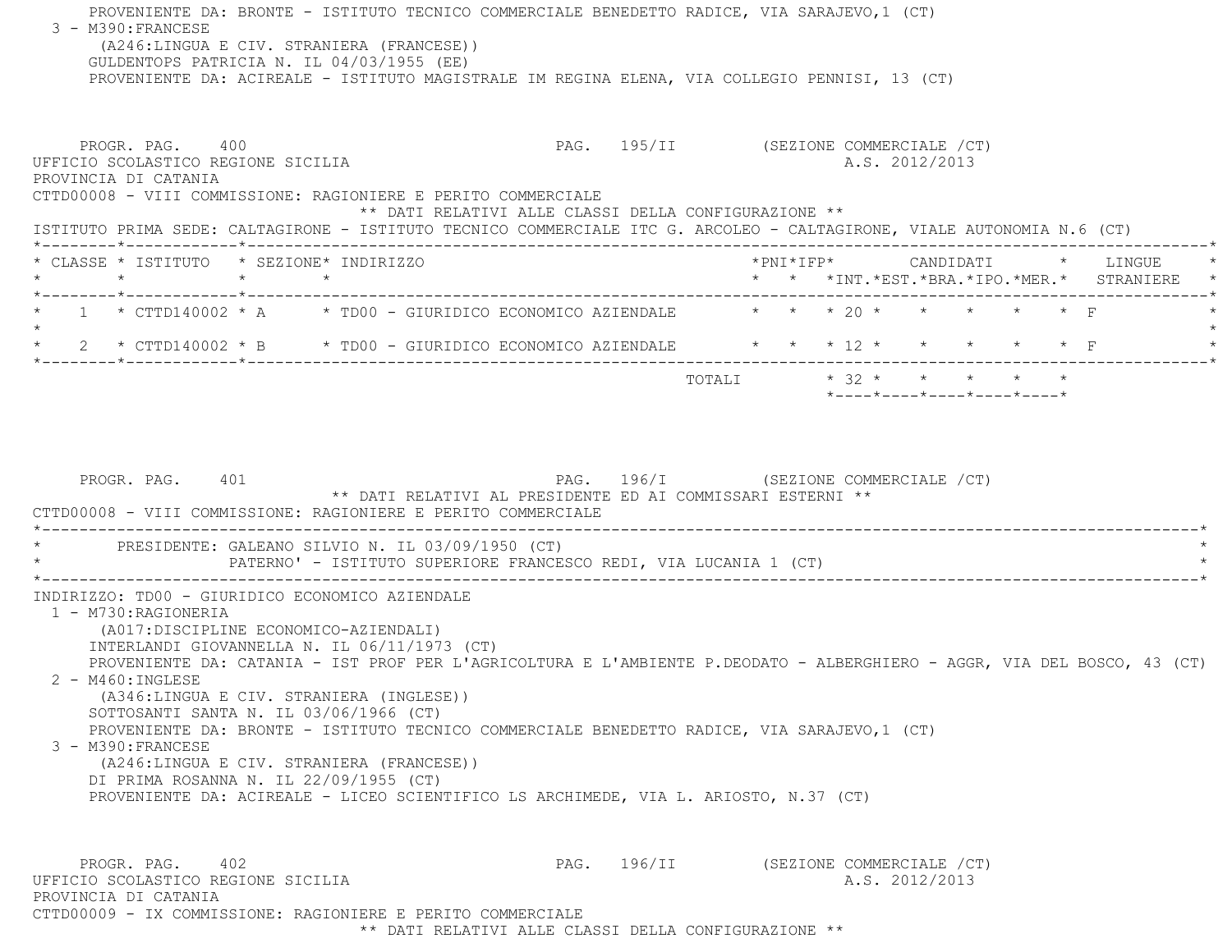PROVENIENTE DA: BRONTE - ISTITUTO TECNICO COMMERCIALE BENEDETTO RADICE, VIA SARAJEVO,1 (CT) 3 - M390:FRANCESE (A246:LINGUA E CIV. STRANIERA (FRANCESE)) GULDENTOPS PATRICIA N. IL 04/03/1955 (EE) PROVENIENTE DA: ACIREALE - ISTITUTO MAGISTRALE IM REGINA ELENA, VIA COLLEGIO PENNISI, 13 (CT) PROGR. PAG. 400 PAG. PAG. 195/II (SEZIONE COMMERCIALE /CT) UFFICIO SCOLASTICO REGIONE SICILIA A.S. 2012/2013 PROVINCIA DI CATANIA CTTD00008 - VIII COMMISSIONE: RAGIONIERE E PERITO COMMERCIALE \*\* DATI RELATIVI ALLE CLASSI DELLA CONFIGURAZIONE \*\* ISTITUTO PRIMA SEDE: CALTAGIRONE - ISTITUTO TECNICO COMMERCIALE ITC G. ARCOLEO - CALTAGIRONE, VIALE AUTONOMIA N.6 (CT) \*--------\*------------\*-------------------------------------------------------------------------------------------------------\* \* CLASSE \* ISTITUTO \* SEZIONE\* INDIRIZZO \*PNI\*IFP\* CANDIDATI \* LINGUE \* \* \* \* \* \* \* \*INT.\*EST.\*BRA.\*IPO.\*MER.\* STRANIERE \* \*--------\*------------\*-------------------------------------------------------------------------------------------------------\* $1$  \* CTTD140002 \* A  $\,$  \* TD00 - GIURIDICO ECONOMICO AZIENDALE  $\,$  \* \* \* 20 \* \* \* \* \* \* \* \*  $\star$  \* 2 \* CTTD140002 \* B \* TD00 - GIURIDICO ECONOMICO AZIENDALE \* \* \* 12 \* \* \* \* \* F \* \*--------\*------------\*-------------------------------------------------------------------------------------------------------\*TOTALI  $* 32 * * * * * * * * * *$  \*----\*----\*----\*----\*----\*PROGR. PAG. 401 **PAG.** PAG. 196/I (SEZIONE COMMERCIALE /CT) \*\* DATI RELATIVI AL PRESIDENTE ED AI COMMISSARI ESTERNI \*\* CTTD00008 - VIII COMMISSIONE: RAGIONIERE E PERITO COMMERCIALE $\mathcal{L}^{\mathcal{L}}$ PRESIDENTE: GALEANO SILVIO N. IL 03/09/1950 (CT) PATERNO' - ISTITUTO SUPERIORE FRANCESCO REDI, VIA LUCANIA 1 (CT) \*----------------------------------------------------------------------------------------------------------------------------\* INDIRIZZO: TD00 - GIURIDICO ECONOMICO AZIENDALE 1 - M730:RAGIONERIA (A017:DISCIPLINE ECONOMICO-AZIENDALI) INTERLANDI GIOVANNELLA N. IL 06/11/1973 (CT) PROVENIENTE DA: CATANIA - IST PROF PER L'AGRICOLTURA E L'AMBIENTE P.DEODATO - ALBERGHIERO - AGGR, VIA DEL BOSCO, 43 (CT) 2 - M460:INGLESE (A346:LINGUA E CIV. STRANIERA (INGLESE)) SOTTOSANTI SANTA N. IL 03/06/1966 (CT) PROVENIENTE DA: BRONTE - ISTITUTO TECNICO COMMERCIALE BENEDETTO RADICE, VIA SARAJEVO,1 (CT) 3 - M390:FRANCESE (A246:LINGUA E CIV. STRANIERA (FRANCESE)) DI PRIMA ROSANNA N. IL 22/09/1955 (CT) PROVENIENTE DA: ACIREALE - LICEO SCIENTIFICO LS ARCHIMEDE, VIA L. ARIOSTO, N.37 (CT) PROGR. PAG. 402 PAG. 196/II (SEZIONE COMMERCIALE /CT) UFFICIO SCOLASTICO REGIONE SICILIA A.S. 2012/2013 PROVINCIA DI CATANIACTTD00009 - IX COMMISSIONE: RAGIONIERE E PERITO COMMERCIALE

\*\* DATI RELATIVI ALLE CLASSI DELLA CONFIGURAZIONE \*\*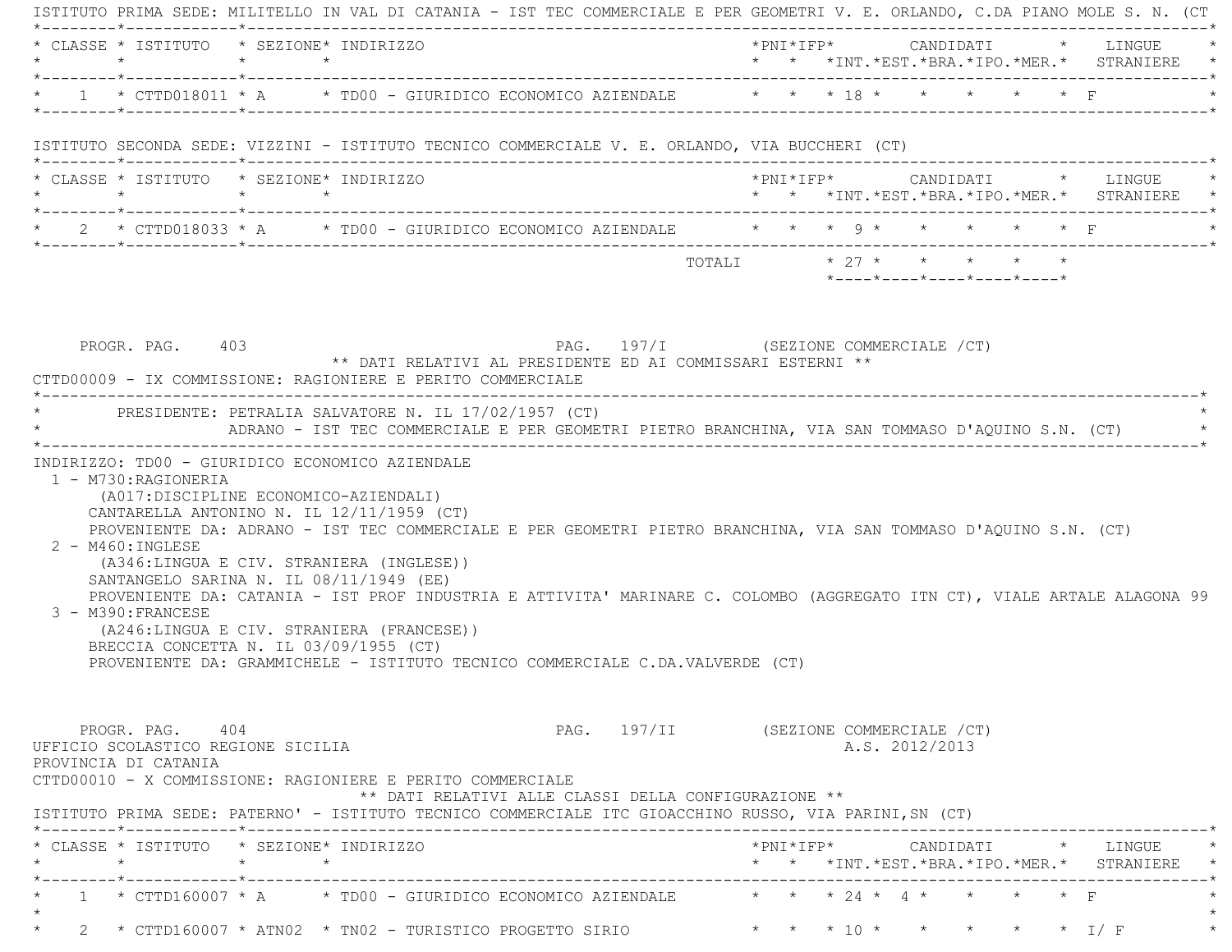| * CLASSE * ISTITUTO * SEZIONE* INDIRIZZO                                                                                                                                                                                                                                                                                                                                                                                                                                                                                                                                                                                                        |                 |                                                                                                     |  |                                       |  |  |                |                            |                          | $*PNI*IFP* \qquad \qquad \text{CANDIDATI} \qquad \qquad * \qquad \text{LINGUE} \qquad \qquad *$<br>* * *INT.*EST.*BRA.*IPO.*MER.* STRANIERE * |
|-------------------------------------------------------------------------------------------------------------------------------------------------------------------------------------------------------------------------------------------------------------------------------------------------------------------------------------------------------------------------------------------------------------------------------------------------------------------------------------------------------------------------------------------------------------------------------------------------------------------------------------------------|-----------------|-----------------------------------------------------------------------------------------------------|--|---------------------------------------|--|--|----------------|----------------------------|--------------------------|-----------------------------------------------------------------------------------------------------------------------------------------------|
| * 1 * CTTD018011 * A * TD00 - GIURIDICO ECONOMICO AZIENDALE * * * 18 * * * * * * * F                                                                                                                                                                                                                                                                                                                                                                                                                                                                                                                                                            |                 |                                                                                                     |  |                                       |  |  |                |                            |                          |                                                                                                                                               |
| ISTITUTO SECONDA SEDE: VIZZINI - ISTITUTO TECNICO COMMERCIALE V. E. ORLANDO, VIA BUCCHERI (CT)                                                                                                                                                                                                                                                                                                                                                                                                                                                                                                                                                  |                 |                                                                                                     |  |                                       |  |  |                |                            |                          |                                                                                                                                               |
| * CLASSE * ISTITUTO * SEZIONE* INDIRIZZO<br>$\star$                                                                                                                                                                                                                                                                                                                                                                                                                                                                                                                                                                                             | $\star$ $\star$ |                                                                                                     |  |                                       |  |  |                |                            |                          | * * *INT.*EST.*BRA.*IPO.*MER.* STRANIERE *                                                                                                    |
| * 2 * CTTD018033 * A * TD00 - GIURIDICO ECONOMICO AZIENDALE * * * * 9 * * * * * * F                                                                                                                                                                                                                                                                                                                                                                                                                                                                                                                                                             |                 |                                                                                                     |  |                                       |  |  |                |                            |                          |                                                                                                                                               |
|                                                                                                                                                                                                                                                                                                                                                                                                                                                                                                                                                                                                                                                 |                 |                                                                                                     |  | TOTALI * 27 * * * * * *               |  |  |                | *----*----*----*----*----* |                          |                                                                                                                                               |
| PROGR. PAG. 403<br>CTTD00009 - IX COMMISSIONE: RAGIONIERE E PERITO COMMERCIALE                                                                                                                                                                                                                                                                                                                                                                                                                                                                                                                                                                  |                 | PAG. 197/I (SEZIONE COMMERCIALE / CT)<br>** DATI RELATIVI AL PRESIDENTE ED AI COMMISSARI ESTERNI ** |  |                                       |  |  |                |                            |                          |                                                                                                                                               |
| * PRESIDENTE: PETRALIA SALVATORE N. IL 17/02/1957 (CT)                                                                                                                                                                                                                                                                                                                                                                                                                                                                                                                                                                                          |                 | ADRANO - IST TEC COMMERCIALE E PER GEOMETRI PIETRO BRANCHINA, VIA SAN TOMMASO D'AQUINO S.N. (CT)    |  |                                       |  |  |                |                            |                          |                                                                                                                                               |
| 1 - M730: RAGIONERIA                                                                                                                                                                                                                                                                                                                                                                                                                                                                                                                                                                                                                            |                 |                                                                                                     |  |                                       |  |  |                |                            |                          |                                                                                                                                               |
| (A017:DISCIPLINE ECONOMICO-AZIENDALI)<br>CANTARELLA ANTONINO N. IL 12/11/1959 (CT)<br>PROVENIENTE DA: ADRANO - IST TEC COMMERCIALE E PER GEOMETRI PIETRO BRANCHINA, VIA SAN TOMMASO D'AQUINO S.N. (CT)<br>$2 - M460$ : INGLESE<br>(A346:LINGUA E CIV. STRANIERA (INGLESE))<br>SANTANGELO SARINA N. IL 08/11/1949 (EE)<br>PROVENIENTE DA: CATANIA - IST PROF INDUSTRIA E ATTIVITA' MARINARE C. COLOMBO (AGGREGATO ITN CT), VIALE ARTALE ALAGONA 99<br>3 - M390: FRANCESE<br>(A246:LINGUA E CIV. STRANIERA (FRANCESE))<br>BRECCIA CONCETTA N. IL 03/09/1955 (CT)<br>PROVENIENTE DA: GRAMMICHELE - ISTITUTO TECNICO COMMERCIALE C.DA.VALVERDE (CT) |                 |                                                                                                     |  |                                       |  |  |                |                            |                          |                                                                                                                                               |
| PROGR. PAG. 404<br>UFFICIO SCOLASTICO REGIONE SICILIA<br>PROVINCIA DI CATANIA<br>CTTD00010 - X COMMISSIONE: RAGIONIERE E PERITO COMMERCIALE<br>ISTITUTO PRIMA SEDE: PATERNO' - ISTITUTO TECNICO COMMERCIALE ITC GIOACCHINO RUSSO, VIA PARINI, SN (CT)                                                                                                                                                                                                                                                                                                                                                                                           |                 | ** DATI RELATIVI ALLE CLASSI DELLA CONFIGURAZIONE **                                                |  | PAG. 197/II (SEZIONE COMMERCIALE /CT) |  |  | A.S. 2012/2013 |                            |                          |                                                                                                                                               |
| * CLASSE * ISTITUTO * SEZIONE* INDIRIZZO                                                                                                                                                                                                                                                                                                                                                                                                                                                                                                                                                                                                        |                 |                                                                                                     |  |                                       |  |  |                |                            |                          | * * *INT. *EST. *BRA. *IPO. *MER. * STRANIERE *                                                                                               |
| 1 * CTTD160007 * A $\qquad$ * TD00 - GIURIDICO ECONOMICO AZIENDALE $\qquad$ * * * 24 * 4 * *                                                                                                                                                                                                                                                                                                                                                                                                                                                                                                                                                    |                 |                                                                                                     |  |                                       |  |  |                |                            | $\star$ $\star$ $\vdash$ |                                                                                                                                               |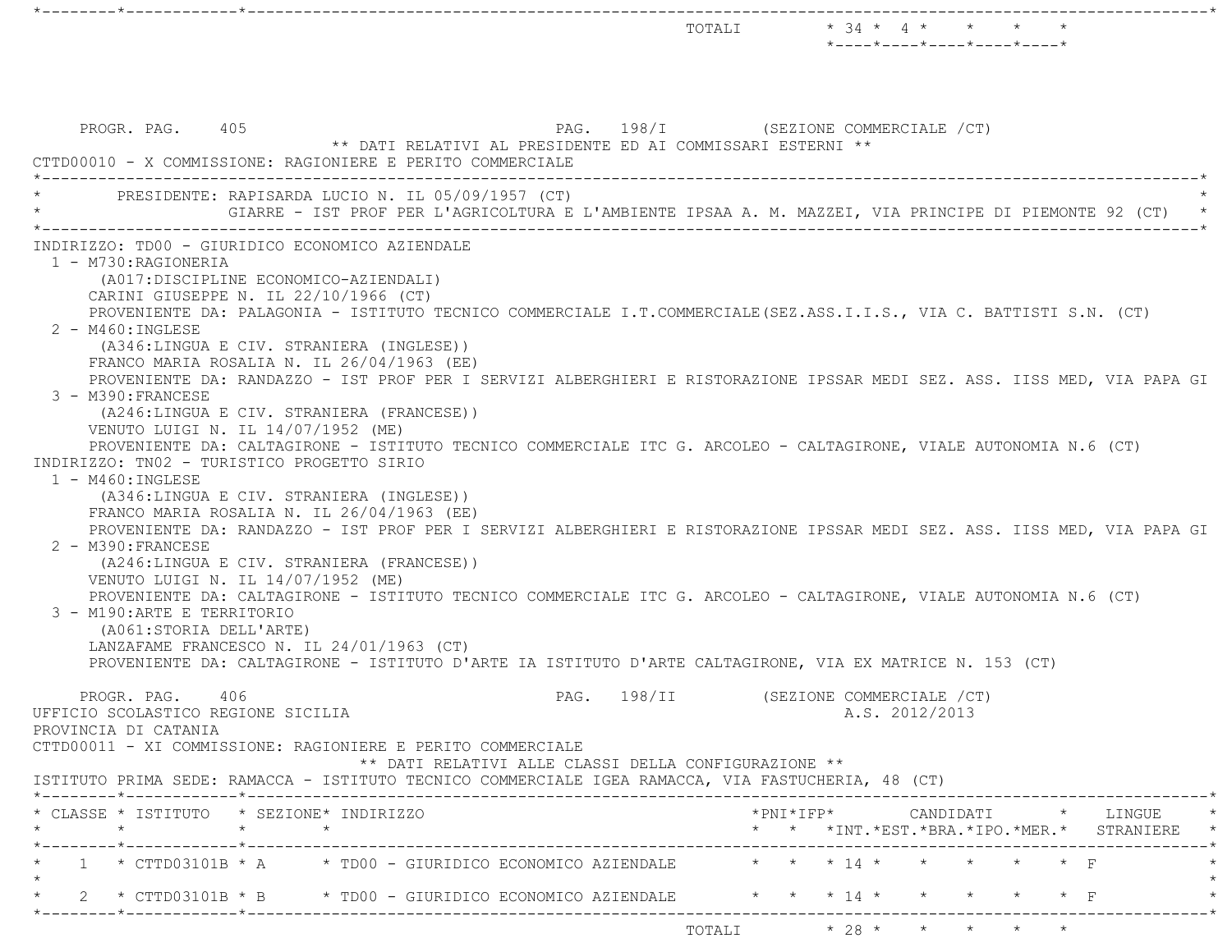$\texttt{TOTALI} \qquad \qquad \star \quad 34 \; \star \quad \ \, 4 \; \star \qquad \star \qquad \star \qquad \star \qquad \star$  \*----\*----\*----\*----\*----\*PROGR. PAG. 405 PAG. 298/I (SEZIONE COMMERCIALE / CT) \*\* DATI RELATIVI AL PRESIDENTE ED AI COMMISSARI ESTERNI \*\* CTTD00010 - X COMMISSIONE: RAGIONIERE E PERITO COMMERCIALE \*----------------------------------------------------------------------------------------------------------------------------\*PRESIDENTE: RAPISARDA LUCIO N. IL 05/09/1957 (CT) \* GIARRE - IST PROF PER L'AGRICOLTURA E L'AMBIENTE IPSAA A. M. MAZZEI, VIA PRINCIPE DI PIEMONTE 92 (CT) \* \*----------------------------------------------------------------------------------------------------------------------------\* INDIRIZZO: TD00 - GIURIDICO ECONOMICO AZIENDALE 1 - M730:RAGIONERIA (A017:DISCIPLINE ECONOMICO-AZIENDALI) CARINI GIUSEPPE N. IL 22/10/1966 (CT) PROVENIENTE DA: PALAGONIA - ISTITUTO TECNICO COMMERCIALE I.T.COMMERCIALE(SEZ.ASS.I.I.S., VIA C. BATTISTI S.N. (CT) 2 - M460:INGLESE (A346:LINGUA E CIV. STRANIERA (INGLESE)) FRANCO MARIA ROSALIA N. IL 26/04/1963 (EE) PROVENIENTE DA: RANDAZZO - IST PROF PER I SERVIZI ALBERGHIERI E RISTORAZIONE IPSSAR MEDI SEZ. ASS. IISS MED, VIA PAPA GI 3 - M390:FRANCESE (A246:LINGUA E CIV. STRANIERA (FRANCESE)) VENUTO LUIGI N. IL 14/07/1952 (ME) PROVENIENTE DA: CALTAGIRONE - ISTITUTO TECNICO COMMERCIALE ITC G. ARCOLEO - CALTAGIRONE, VIALE AUTONOMIA N.6 (CT) INDIRIZZO: TN02 - TURISTICO PROGETTO SIRIO 1 - M460:INGLESE (A346:LINGUA E CIV. STRANIERA (INGLESE)) FRANCO MARIA ROSALIA N. IL 26/04/1963 (EE) PROVENIENTE DA: RANDAZZO - IST PROF PER I SERVIZI ALBERGHIERI E RISTORAZIONE IPSSAR MEDI SEZ. ASS. IISS MED, VIA PAPA GI 2 - M390:FRANCESE (A246:LINGUA E CIV. STRANIERA (FRANCESE)) VENUTO LUIGI N. IL 14/07/1952 (ME) PROVENIENTE DA: CALTAGIRONE - ISTITUTO TECNICO COMMERCIALE ITC G. ARCOLEO - CALTAGIRONE, VIALE AUTONOMIA N.6 (CT) 3 - M190:ARTE E TERRITORIO (A061:STORIA DELL'ARTE) LANZAFAME FRANCESCO N. IL 24/01/1963 (CT) PROVENIENTE DA: CALTAGIRONE - ISTITUTO D'ARTE IA ISTITUTO D'ARTE CALTAGIRONE, VIA EX MATRICE N. 153 (CT) PROGR. PAG. 406 PAG. 298/II (SEZIONE COMMERCIALE /CT) UFFICIO SCOLASTICO REGIONE SICILIA A.S. 2012/2013 PROVINCIA DI CATANIA CTTD00011 - XI COMMISSIONE: RAGIONIERE E PERITO COMMERCIALE \*\* DATI RELATIVI ALLE CLASSI DELLA CONFIGURAZIONE \*\* ISTITUTO PRIMA SEDE: RAMACCA - ISTITUTO TECNICO COMMERCIALE IGEA RAMACCA, VIA FASTUCHERIA, 48 (CT) \*--------\*------------\*-------------------------------------------------------------------------------------------------------\* \* CLASSE \* ISTITUTO \* SEZIONE\* INDIRIZZO \*PNI\*IFP\* CANDIDATI \* LINGUE \* \* \* \* \* \* \* \*INT.\*EST.\*BRA.\*IPO.\*MER.\* STRANIERE \* \*--------\*------------\*-------------------------------------------------------------------------------------------------------\*1 \* CTTD03101B \* A \* TD00 - GIURIDICO ECONOMICO AZIENDALE \* \* \* \* 14 \* \*  $\star$ \* 2 \* CTTD03101B \* B \* TD00 - GIURIDICO ECONOMICO AZIENDALE \* \* \* 14 \* \* \* \* \* F \*--------\*------------\*-------------------------------------------------------------------------------------------------------\*TOTALI \* 28 \* \* \* \* \*

\*--------\*------------\*-------------------------------------------------------------------------------------------------------\*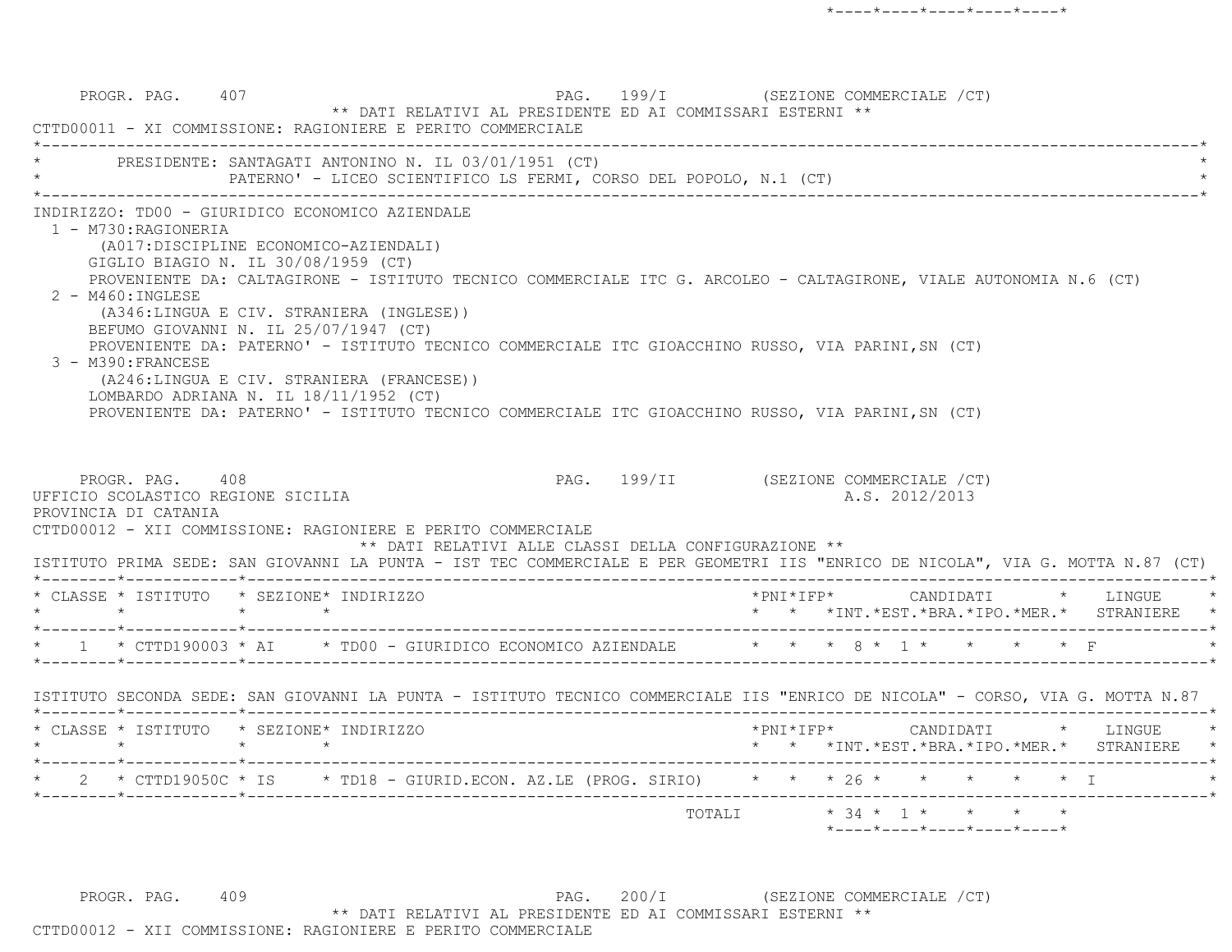PROGR. PAG. 407 CEZIONE COMMERCIALE (CT) \*\* DATI RELATIVI AL PRESIDENTE ED AI COMMISSARI ESTERNI \*\* CTTD00011 - XI COMMISSIONE: RAGIONIERE E PERITO COMMERCIALE \*----------------------------------------------------------------------------------------------------------------------------\*PRESIDENTE: SANTAGATI ANTONINO N. IL 03/01/1951 (CT) PATERNO' - LICEO SCIENTIFICO LS FERMI, CORSO DEL POPOLO, N.1 (CT) \*----------------------------------------------------------------------------------------------------------------------------\* INDIRIZZO: TD00 - GIURIDICO ECONOMICO AZIENDALE 1 - M730:RAGIONERIA (A017:DISCIPLINE ECONOMICO-AZIENDALI) GIGLIO BIAGIO N. IL 30/08/1959 (CT) PROVENIENTE DA: CALTAGIRONE - ISTITUTO TECNICO COMMERCIALE ITC G. ARCOLEO - CALTAGIRONE, VIALE AUTONOMIA N.6 (CT) 2 - M460:INGLESE (A346:LINGUA E CIV. STRANIERA (INGLESE)) BEFUMO GIOVANNI N. IL 25/07/1947 (CT) PROVENIENTE DA: PATERNO' - ISTITUTO TECNICO COMMERCIALE ITC GIOACCHINO RUSSO, VIA PARINI,SN (CT) 3 - M390:FRANCESE (A246:LINGUA E CIV. STRANIERA (FRANCESE)) LOMBARDO ADRIANA N. IL 18/11/1952 (CT) PROVENIENTE DA: PATERNO' - ISTITUTO TECNICO COMMERCIALE ITC GIOACCHINO RUSSO, VIA PARINI,SN (CT) PROGR. PAG. 408 PAG. 199/II (SEZIONE COMMERCIALE /CT) UFFICIO SCOLASTICO REGIONE SICILIA A.S. 2012/2013 PROVINCIA DI CATANIA CTTD00012 - XII COMMISSIONE: RAGIONIERE E PERITO COMMERCIALE \*\* DATI RELATIVI ALLE CLASSI DELLA CONFIGURAZIONE \*\* ISTITUTO PRIMA SEDE: SAN GIOVANNI LA PUNTA - IST TEC COMMERCIALE E PER GEOMETRI IIS "ENRICO DE NICOLA", VIA G. MOTTA N.87 (CT) \*--------\*------------\*-------------------------------------------------------------------------------------------------------\* \* CLASSE \* ISTITUTO \* SEZIONE\* INDIRIZZO \*PNI\*IFP\* CANDIDATI \* LINGUE \* \* \* \* \* \* \* \*INT.\*EST.\*BRA.\*IPO.\*MER.\* STRANIERE \* \*--------\*------------\*-------------------------------------------------------------------------------------------------------\* $1 \times$  CTTD190003 \* AI  $\rightarrow$  TD00 - GIURIDICO ECONOMICO AZIENDALE  $\rightarrow$  \* \* \* 8 \* 1 \* \*--------\*------------\*-------------------------------------------------------------------------------------------------------\* ISTITUTO SECONDA SEDE: SAN GIOVANNI LA PUNTA - ISTITUTO TECNICO COMMERCIALE IIS "ENRICO DE NICOLA" - CORSO, VIA G. MOTTA N.87 \*--------\*------------\*-------------------------------------------------------------------------------------------------------\* \* CLASSE \* ISTITUTO \* SEZIONE\* INDIRIZZO \*PNI\*IFP\* CANDIDATI \* LINGUE \* \* \* \* \* \* \* \*INT.\*EST.\*BRA.\*IPO.\*MER.\* STRANIERE \* \*--------\*------------\*-------------------------------------------------------------------------------------------------------\*2 \* CTTD19050C \* IS \* TD18 - GIURID.ECON. AZ.LE (PROG. SIRIO) \* \* \* 26 \* \* \* \* \* \* \* I \*--------\*------------\*-------------------------------------------------------------------------------------------------------\* TOTALI \* 34 \* 1 \* \* \* \* $*$ ---- $*$ ---- $*$ ---- $*$ ---- $*$ ---- $*$ 

PROGR. PAG. 409 PAG. 200/I (SEZIONE COMMERCIALE /CT) \*\* DATI RELATIVI AL PRESIDENTE ED AI COMMISSARI ESTERNI \*\*CTTD00012 - XII COMMISSIONE: RAGIONIERE E PERITO COMMERCIALE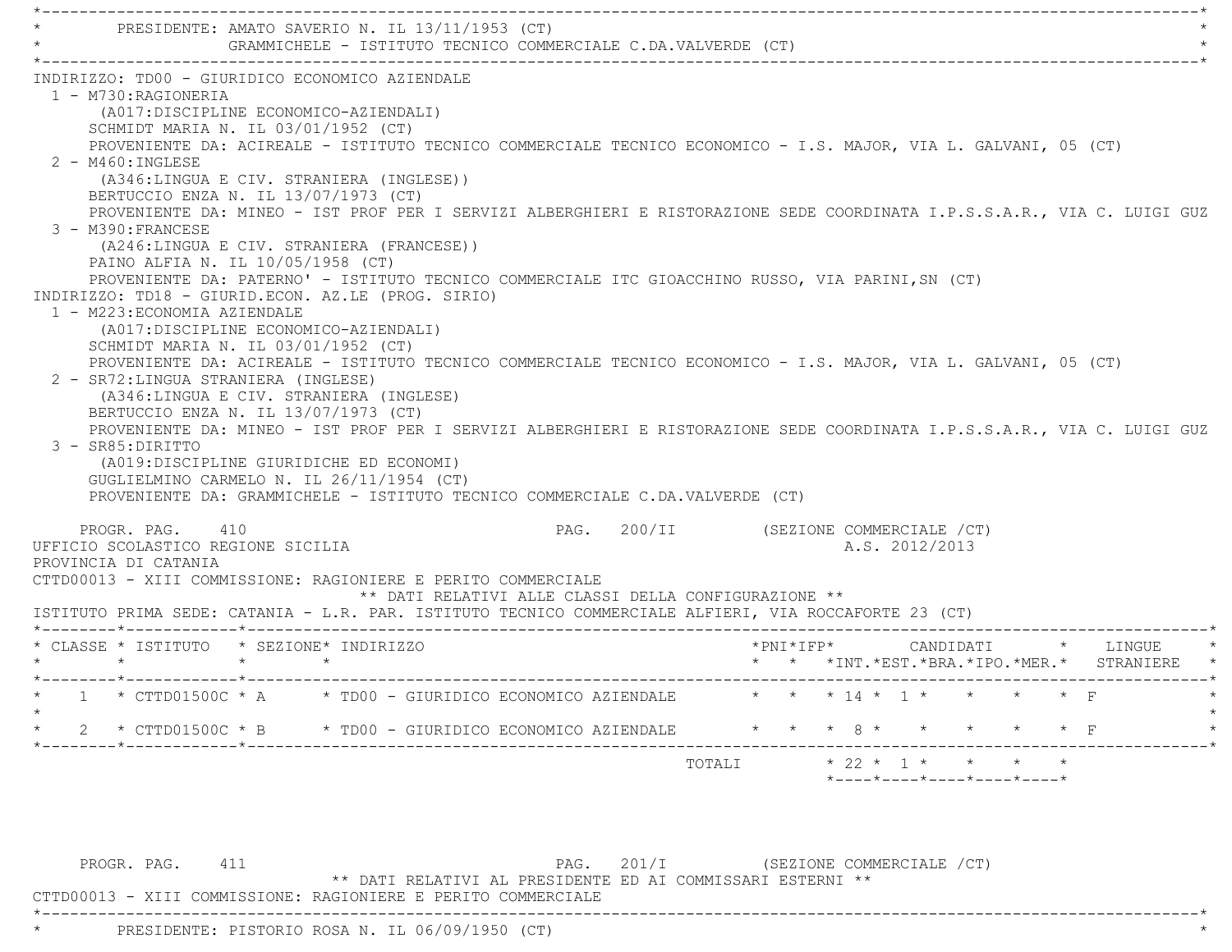|                                                                                                                                                                                                                                                                                                                                                                                                                                                                                                                                                                   |                 | PRESIDENTE: AMATO SAVERIO N. IL 13/11/1953 (CT)                                                                                                                                                                   | GRAMMICHELE - ISTITUTO TECNICO COMMERCIALE C.DA.VALVERDE (CT)                                                                                                                                                                                                                                                                                                                                                                                                                                                                                                                                                                                                                    |                                       |  |                                                                 |  |  |                    |  |
|-------------------------------------------------------------------------------------------------------------------------------------------------------------------------------------------------------------------------------------------------------------------------------------------------------------------------------------------------------------------------------------------------------------------------------------------------------------------------------------------------------------------------------------------------------------------|-----------------|-------------------------------------------------------------------------------------------------------------------------------------------------------------------------------------------------------------------|----------------------------------------------------------------------------------------------------------------------------------------------------------------------------------------------------------------------------------------------------------------------------------------------------------------------------------------------------------------------------------------------------------------------------------------------------------------------------------------------------------------------------------------------------------------------------------------------------------------------------------------------------------------------------------|---------------------------------------|--|-----------------------------------------------------------------|--|--|--------------------|--|
| INDIRIZZO: TD00 - GIURIDICO ECONOMICO AZIENDALE<br>1 - M730: RAGIONERIA<br>SCHMIDT MARIA N. IL 03/01/1952 (CT)<br>2 - M460: INGLESE<br>(A346:LINGUA E CIV. STRANIERA (INGLESE))<br>BERTUCCIO ENZA N. IL 13/07/1973 (CT)<br>3 - M390: FRANCESE<br>PAINO ALFIA N. IL 10/05/1958 (CT)<br>INDIRIZZO: TD18 - GIURID.ECON. AZ.LE (PROG. SIRIO)<br>1 - M223: ECONOMIA AZIENDALE<br>SCHMIDT MARIA N. IL 03/01/1952 (CT)<br>2 - SR72: LINGUA STRANIERA (INGLESE)<br>BERTUCCIO ENZA N. IL 13/07/1973 (CT)<br>3 - SR85: DIRITTO<br>GUGLIELMINO CARMELO N. IL 26/11/1954 (CT) |                 | (A017:DISCIPLINE ECONOMICO-AZIENDALI)<br>(A246:LINGUA E CIV. STRANIERA (FRANCESE))<br>(A017:DISCIPLINE ECONOMICO-AZIENDALI)<br>(A346:LINGUA E CIV. STRANIERA (INGLESE)<br>(A019:DISCIPLINE GIURIDICHE ED ECONOMI) | PROVENIENTE DA: ACIREALE - ISTITUTO TECNICO COMMERCIALE TECNICO ECONOMICO - I.S. MAJOR, VIA L. GALVANI, 05 (CT)<br>PROVENIENTE DA: MINEO - IST PROF PER I SERVIZI ALBERGHIERI E RISTORAZIONE SEDE COORDINATA I.P.S.S.A.R., VIA C. LUIGI GUZ<br>PROVENIENTE DA: PATERNO' - ISTITUTO TECNICO COMMERCIALE ITC GIOACCHINO RUSSO, VIA PARINI, SN (CT)<br>PROVENIENTE DA: ACIREALE - ISTITUTO TECNICO COMMERCIALE TECNICO ECONOMICO - I.S. MAJOR, VIA L. GALVANI, 05 (CT)<br>PROVENIENTE DA: MINEO - IST PROF PER I SERVIZI ALBERGHIERI E RISTORAZIONE SEDE COORDINATA I.P.S.S.A.R., VIA C. LUIGI GUZ<br>PROVENIENTE DA: GRAMMICHELE - ISTITUTO TECNICO COMMERCIALE C.DA.VALVERDE (CT) |                                       |  |                                                                 |  |  |                    |  |
| PROGR. PAG. 410<br>UFFICIO SCOLASTICO REGIONE SICILIA<br>PROVINCIA DI CATANIA                                                                                                                                                                                                                                                                                                                                                                                                                                                                                     |                 |                                                                                                                                                                                                                   | CTTD00013 - XIII COMMISSIONE: RAGIONIERE E PERITO COMMERCIALE<br>** DATI RELATIVI ALLE CLASSI DELLA CONFIGURAZIONE **<br>ISTITUTO PRIMA SEDE: CATANIA - L.R. PAR. ISTITUTO TECNICO COMMERCIALE ALFIERI, VIA ROCCAFORTE 23 (CT)                                                                                                                                                                                                                                                                                                                                                                                                                                                   | PAG. 200/II (SEZIONE COMMERCIALE /CT) |  | A.S. 2012/2013                                                  |  |  |                    |  |
| * CLASSE * ISTITUTO * SEZIONE* INDIRIZZO<br>$\star$                                                                                                                                                                                                                                                                                                                                                                                                                                                                                                               | $\star$ $\star$ |                                                                                                                                                                                                                   |                                                                                                                                                                                                                                                                                                                                                                                                                                                                                                                                                                                                                                                                                  |                                       |  | $*$ PNI $*$ IFP $*$<br>* * *INT.*EST.*BRA.*IPO.*MER.* STRANIERE |  |  | CANDIDATI * LINGUE |  |
|                                                                                                                                                                                                                                                                                                                                                                                                                                                                                                                                                                   |                 |                                                                                                                                                                                                                   | 1 * CTTD01500C * A * TD00 - GIURIDICO ECONOMICO AZIENDALE * * * 14 * 1 * *<br>* 2 * CTTD01500C * B * TD00 - GIURIDICO ECONOMICO AZIENDALE * * * * 8 * * * * * * * * F                                                                                                                                                                                                                                                                                                                                                                                                                                                                                                            |                                       |  |                                                                 |  |  |                    |  |
|                                                                                                                                                                                                                                                                                                                                                                                                                                                                                                                                                                   |                 |                                                                                                                                                                                                                   |                                                                                                                                                                                                                                                                                                                                                                                                                                                                                                                                                                                                                                                                                  |                                       |  | TOTALI * 22 * 1 * * * * *                                       |  |  |                    |  |

\*----------------------------------------------------------------------------------------------------------------------------\*

PROGR. PAG. 411 **PAG.** 201/I (SEZIONE COMMERCIALE /CT)

\*\* DATI RELATIVI AL PRESIDENTE ED AI COMMISSARI ESTERNI \*\*

CTTD00013 - XIII COMMISSIONE: RAGIONIERE E PERITO COMMERCIALE

\* PRESIDENTE: PISTORIO ROSA N. IL 06/09/1950 (CT) \*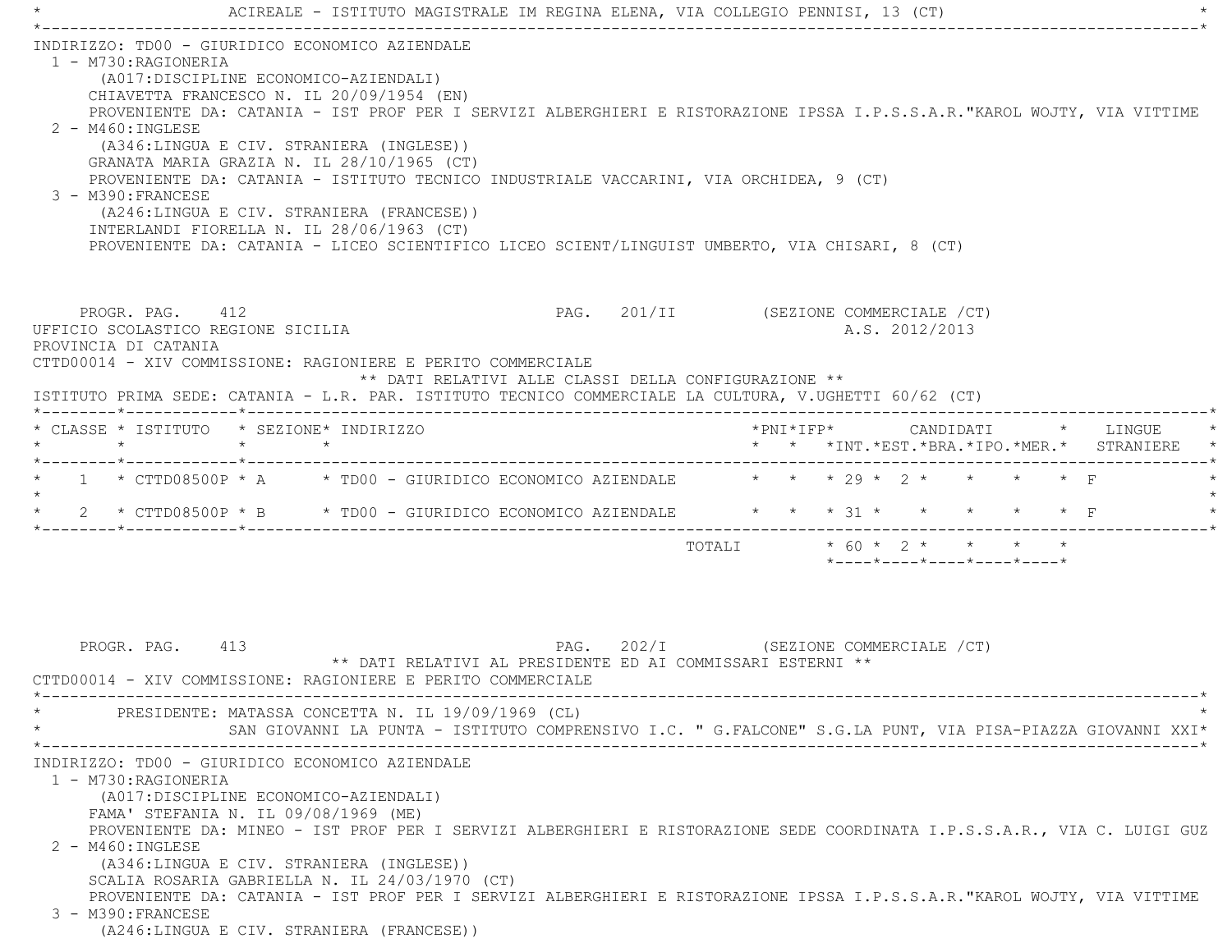|                                                                                                        |         | ACIREALE - ISTITUTO MAGISTRALE IM REGINA ELENA, VIA COLLEGIO PENNISI, 13 (CT)                                                        |                                                      |  |                                                         |                                                                 |           |
|--------------------------------------------------------------------------------------------------------|---------|--------------------------------------------------------------------------------------------------------------------------------------|------------------------------------------------------|--|---------------------------------------------------------|-----------------------------------------------------------------|-----------|
| INDIRIZZO: TD00 - GIURIDICO ECONOMICO AZIENDALE                                                        |         |                                                                                                                                      |                                                      |  |                                                         |                                                                 |           |
| 1 - M730:RAGIONERIA                                                                                    |         |                                                                                                                                      |                                                      |  |                                                         |                                                                 |           |
|                                                                                                        |         | (A017:DISCIPLINE ECONOMICO-AZIENDALI)<br>CHIAVETTA FRANCESCO N. IL 20/09/1954 (EN)                                                   |                                                      |  |                                                         |                                                                 |           |
|                                                                                                        |         | PROVENIENTE DA: CATANIA - IST PROF PER I SERVIZI ALBERGHIERI E RISTORAZIONE IPSSA I.P.S.S.A.R."KAROL WOJTY, VIA VITTIME              |                                                      |  |                                                         |                                                                 |           |
| $2 - M460$ : INGLESE                                                                                   |         |                                                                                                                                      |                                                      |  |                                                         |                                                                 |           |
|                                                                                                        |         | (A346:LINGUA E CIV. STRANIERA (INGLESE))                                                                                             |                                                      |  |                                                         |                                                                 |           |
|                                                                                                        |         | GRANATA MARIA GRAZIA N. IL 28/10/1965 (CT)<br>PROVENIENTE DA: CATANIA - ISTITUTO TECNICO INDUSTRIALE VACCARINI, VIA ORCHIDEA, 9 (CT) |                                                      |  |                                                         |                                                                 |           |
| 3 - M390: FRANCESE                                                                                     |         |                                                                                                                                      |                                                      |  |                                                         |                                                                 |           |
|                                                                                                        |         | (A246:LINGUA E CIV. STRANIERA (FRANCESE))                                                                                            |                                                      |  |                                                         |                                                                 |           |
|                                                                                                        |         | INTERLANDI FIORELLA N. IL 28/06/1963 (CT)                                                                                            |                                                      |  |                                                         |                                                                 |           |
|                                                                                                        |         | PROVENIENTE DA: CATANIA - LICEO SCIENTIFICO LICEO SCIENT/LINGUIST UMBERTO, VIA CHISARI, 8 (CT)                                       |                                                      |  |                                                         |                                                                 |           |
|                                                                                                        |         |                                                                                                                                      |                                                      |  |                                                         |                                                                 |           |
| PROGR. PAG. 412<br>UFFICIO SCOLASTICO REGIONE SICILIA                                                  |         |                                                                                                                                      |                                                      |  | PAG. 201/II (SEZIONE COMMERCIALE /CT)<br>A.S. 2012/2013 |                                                                 |           |
| PROVINCIA DI CATANIA                                                                                   |         |                                                                                                                                      |                                                      |  |                                                         |                                                                 |           |
| CTTD00014 - XIV COMMISSIONE: RAGIONIERE E PERITO COMMERCIALE                                           |         |                                                                                                                                      |                                                      |  |                                                         |                                                                 |           |
|                                                                                                        |         |                                                                                                                                      | ** DATI RELATIVI ALLE CLASSI DELLA CONFIGURAZIONE ** |  |                                                         |                                                                 |           |
| ISTITUTO PRIMA SEDE: CATANIA - L.R. PAR. ISTITUTO TECNICO COMMERCIALE LA CULTURA, V.UGHETTI 60/62 (CT) |         |                                                                                                                                      |                                                      |  |                                                         |                                                                 |           |
| * CLASSE * ISTITUTO * SEZIONE* INDIRIZZO                                                               |         |                                                                                                                                      |                                                      |  | $*$ PNI $*$ IFP $*$                                     | CANDIDATI * LINGUE                                              |           |
| $\star$                                                                                                | $\star$ | $\star$                                                                                                                              |                                                      |  |                                                         | * * *INT.*EST.*BRA.*IPO.*MER.* STRANIERE                        |           |
| * 1 * CTTD08500P * A * TD00 - GIURIDICO ECONOMICO AZIENDALE * * * 29 * 2 * * * * * F                   |         |                                                                                                                                      |                                                      |  |                                                         |                                                                 |           |
| $\star$                                                                                                |         |                                                                                                                                      |                                                      |  |                                                         |                                                                 |           |
| * 2 * CTTD08500P * B * TD00 - GIURIDICO ECONOMICO AZIENDALE * * * 31 * *                               |         |                                                                                                                                      |                                                      |  |                                                         |                                                                 | $\star$ F |
|                                                                                                        |         |                                                                                                                                      |                                                      |  |                                                         | TOTALI * 60 * 2 * * * * *                                       |           |
|                                                                                                        |         |                                                                                                                                      |                                                      |  |                                                         | $*$ - - - - $*$ - - - - $*$ - - - - $*$ - - - - $*$ - - - - $*$ |           |
|                                                                                                        |         |                                                                                                                                      |                                                      |  |                                                         |                                                                 |           |
|                                                                                                        |         |                                                                                                                                      |                                                      |  |                                                         |                                                                 |           |
|                                                                                                        |         |                                                                                                                                      |                                                      |  |                                                         |                                                                 |           |
| PROGR. PAG. 413                                                                                        |         | ** DATI RELATIVI AL PRESIDENTE ED AI COMMISSARI ESTERNI **                                                                           |                                                      |  | PAG. 202/I (SEZIONE COMMERCIALE /CT)                    |                                                                 |           |
| CTTD00014 - XIV COMMISSIONE: RAGIONIERE E PERITO COMMERCIALE                                           |         |                                                                                                                                      |                                                      |  |                                                         |                                                                 |           |
|                                                                                                        |         |                                                                                                                                      |                                                      |  |                                                         |                                                                 |           |
|                                                                                                        |         | PRESIDENTE: MATASSA CONCETTA N. IL 19/09/1969 (CL)                                                                                   |                                                      |  |                                                         |                                                                 |           |
|                                                                                                        |         | SAN GIOVANNI LA PUNTA - ISTITUTO COMPRENSIVO I.C. " G.FALCONE" S.G.LA PUNT, VIA PISA-PIAZZA GIOVANNI XXI*                            |                                                      |  |                                                         |                                                                 |           |
| INDIRIZZO: TD00 - GIURIDICO ECONOMICO AZIENDALE                                                        |         |                                                                                                                                      |                                                      |  |                                                         |                                                                 |           |
| 1 - M730: RAGIONERIA                                                                                   |         |                                                                                                                                      |                                                      |  |                                                         |                                                                 |           |
|                                                                                                        |         | (A017:DISCIPLINE ECONOMICO-AZIENDALI)                                                                                                |                                                      |  |                                                         |                                                                 |           |
| FAMA' STEFANIA N. IL 09/08/1969 (ME)                                                                   |         | PROVENIENTE DA: MINEO - IST PROF PER I SERVIZI ALBERGHIERI E RISTORAZIONE SEDE COORDINATA I.P.S.S.A.R., VIA C. LUIGI GUZ             |                                                      |  |                                                         |                                                                 |           |
| 2 - M460: INGLESE                                                                                      |         |                                                                                                                                      |                                                      |  |                                                         |                                                                 |           |
|                                                                                                        |         | (A346:LINGUA E CIV. STRANIERA (INGLESE))                                                                                             |                                                      |  |                                                         |                                                                 |           |
|                                                                                                        |         | SCALIA ROSARIA GABRIELLA N. IL 24/03/1970 (CT)                                                                                       |                                                      |  |                                                         |                                                                 |           |
| 3 - M390: FRANCESE                                                                                     |         | PROVENIENTE DA: CATANIA - IST PROF PER I SERVIZI ALBERGHIERI E RISTORAZIONE IPSSA I.P.S.S.A.R. "KAROL WOJTY, VIA VITTIME             |                                                      |  |                                                         |                                                                 |           |
|                                                                                                        |         | ACALITATION E CIVI CODANIEDA (EDANCECE))                                                                                             |                                                      |  |                                                         |                                                                 |           |

(A246:LINGUA E CIV. STRANIERA (FRANCESE))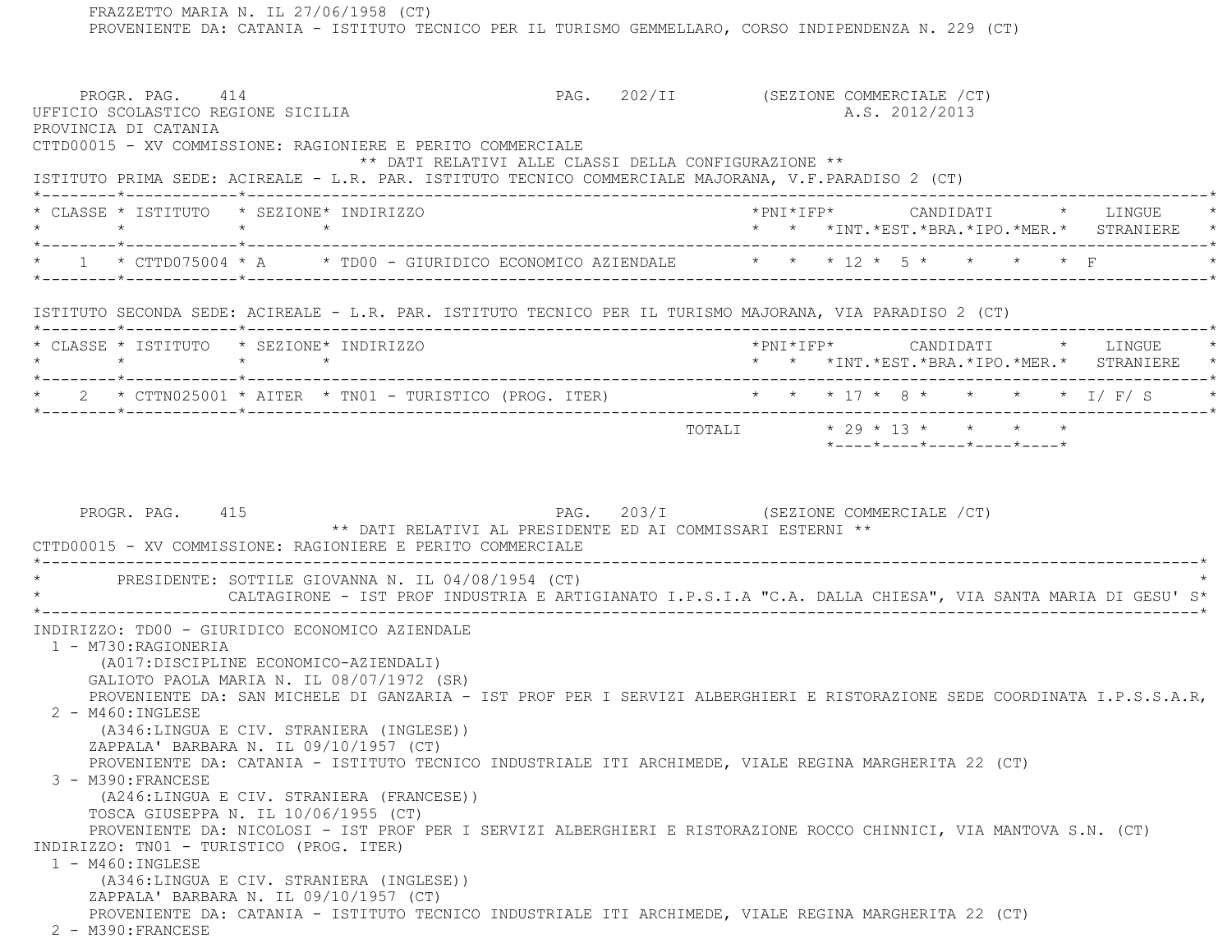FRAZZETTO MARIA N. IL 27/06/1958 (CT) PROVENIENTE DA: CATANIA - ISTITUTO TECNICO PER IL TURISMO GEMMELLARO, CORSO INDIPENDENZA N. 229 (CT) PROGR. PAG. 414 CHARGE 414 PAG. 202/II (SEZIONE COMMERCIALE / CT) UFFICIO SCOLASTICO REGIONE SICILIA A.S. 2012/2013 PROVINCIA DI CATANIA CTTD00015 - XV COMMISSIONE: RAGIONIERE E PERITO COMMERCIALE \*\* DATI RELATIVI ALLE CLASSI DELLA CONFIGURAZIONE \*\* ISTITUTO PRIMA SEDE: ACIREALE - L.R. PAR. ISTITUTO TECNICO COMMERCIALE MAJORANA, V.F.PARADISO 2 (CT) \*--------\*------------\*-------------------------------------------------------------------------------------------------------\* \* CLASSE \* ISTITUTO \* SEZIONE\* INDIRIZZO \*PNI\*IFP\* CANDIDATI \* LINGUE \* \* \* \* \* \* \* \*INT.\*EST.\*BRA.\*IPO.\*MER.\* STRANIERE \* \*--------\*------------\*-------------------------------------------------------------------------------------------------------\*\* 1 \* CTTD075004 \* A \* TD00 - GIURIDICO ECONOMICO AZIENDALE \* \* \* 12 \* 5 \* \* \* \* \* \* F \*--------\*------------\*-------------------------------------------------------------------------------------------------------\* ISTITUTO SECONDA SEDE: ACIREALE - L.R. PAR. ISTITUTO TECNICO PER IL TURISMO MAJORANA, VIA PARADISO 2 (CT) \*--------\*------------\*-------------------------------------------------------------------------------------------------------\* \* CLASSE \* ISTITUTO \* SEZIONE\* INDIRIZZO \*PNI\*IFP\* CANDIDATI \* LINGUE \* \* \* \* \* \* \* \*INT.\*EST.\*BRA.\*IPO.\*MER.\* STRANIERE \* \*--------\*------------\*-------------------------------------------------------------------------------------------------------\* \* 2 \* CTTN025001 \* AITER \* TN01 - TURISTICO (PROG. ITER) \* \* \* 17 \* 8 \* \* \* \* I/ F/ S \* \*--------\*------------\*-------------------------------------------------------------------------------------------------------\* TOTALI \* 29 \* 13 \* \* \* \* \*----\*----\*----\*----\*----\*PROGR. PAG. 415 And the set of the set of the page 203/I (SEZIONE COMMERCIALE / CT) \*\* DATI RELATIVI AL PRESIDENTE ED AI COMMISSARI ESTERNI \*\* CTTD00015 - XV COMMISSIONE: RAGIONIERE E PERITO COMMERCIALE \*----------------------------------------------------------------------------------------------------------------------------\*PRESIDENTE: SOTTILE GIOVANNA N. IL 04/08/1954 (CT) \* CALTAGIRONE - IST PROF INDUSTRIA E ARTIGIANATO I.P.S.I.A "C.A. DALLA CHIESA", VIA SANTA MARIA DI GESU' S\* \*----------------------------------------------------------------------------------------------------------------------------\* INDIRIZZO: TD00 - GIURIDICO ECONOMICO AZIENDALE 1 - M730:RAGIONERIA (A017:DISCIPLINE ECONOMICO-AZIENDALI) GALIOTO PAOLA MARIA N. IL 08/07/1972 (SR) PROVENIENTE DA: SAN MICHELE DI GANZARIA - IST PROF PER I SERVIZI ALBERGHIERI E RISTORAZIONE SEDE COORDINATA I.P.S.S.A.R, 2 - M460:INGLESE (A346:LINGUA E CIV. STRANIERA (INGLESE)) ZAPPALA' BARBARA N. IL 09/10/1957 (CT) PROVENIENTE DA: CATANIA - ISTITUTO TECNICO INDUSTRIALE ITI ARCHIMEDE, VIALE REGINA MARGHERITA 22 (CT) 3 - M390:FRANCESE (A246:LINGUA E CIV. STRANIERA (FRANCESE)) TOSCA GIUSEPPA N. IL 10/06/1955 (CT) PROVENIENTE DA: NICOLOSI - IST PROF PER I SERVIZI ALBERGHIERI E RISTORAZIONE ROCCO CHINNICI, VIA MANTOVA S.N. (CT) INDIRIZZO: TN01 - TURISTICO (PROG. ITER) 1 - M460:INGLESE (A346:LINGUA E CIV. STRANIERA (INGLESE)) ZAPPALA' BARBARA N. IL 09/10/1957 (CT) PROVENIENTE DA: CATANIA - ISTITUTO TECNICO INDUSTRIALE ITI ARCHIMEDE, VIALE REGINA MARGHERITA 22 (CT) 2 - M390:FRANCESE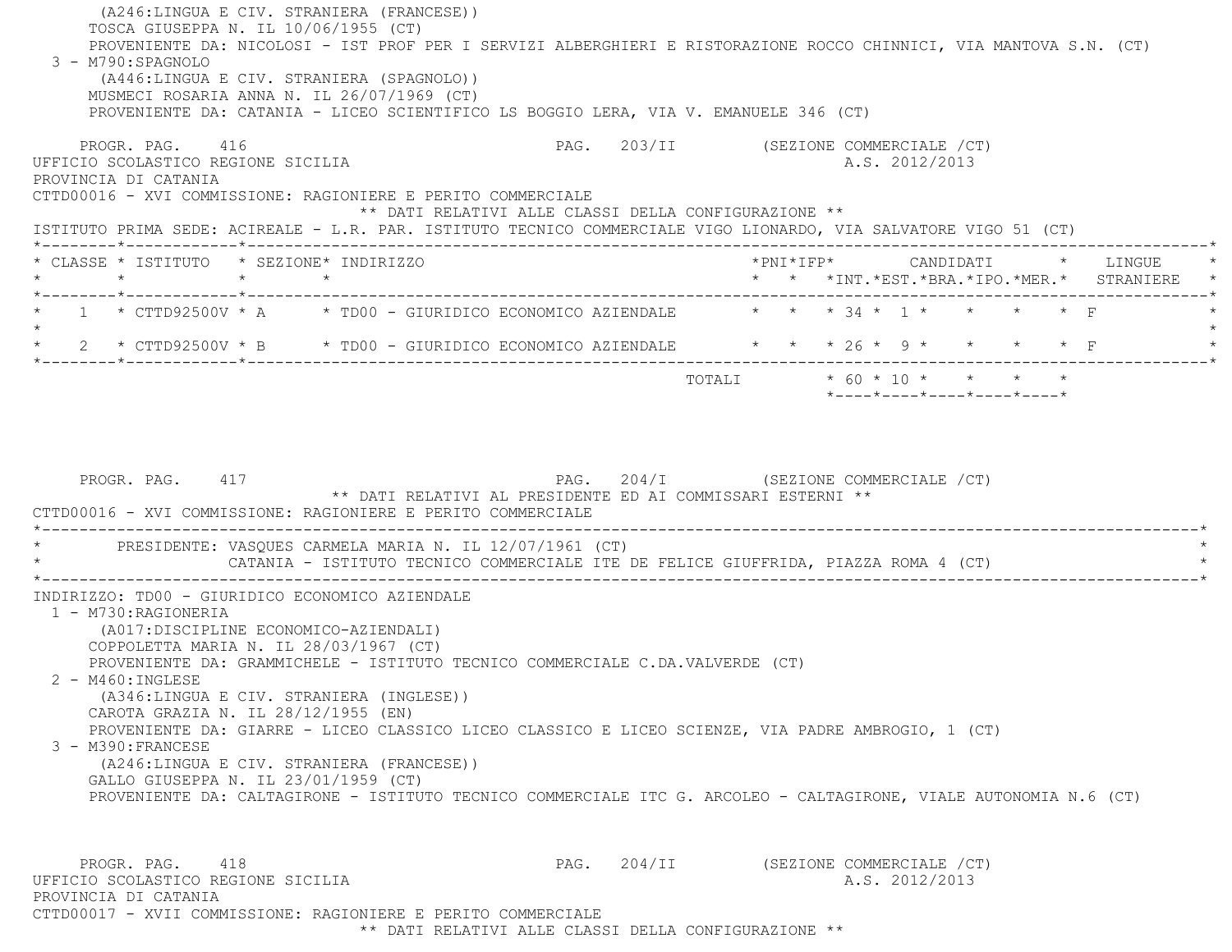(A246:LINGUA E CIV. STRANIERA (FRANCESE)) TOSCA GIUSEPPA N. IL 10/06/1955 (CT) PROVENIENTE DA: NICOLOSI - IST PROF PER I SERVIZI ALBERGHIERI E RISTORAZIONE ROCCO CHINNICI, VIA MANTOVA S.N. (CT) 3 - M790:SPAGNOLO (A446:LINGUA E CIV. STRANIERA (SPAGNOLO)) MUSMECI ROSARIA ANNA N. IL 26/07/1969 (CT) PROVENIENTE DA: CATANIA - LICEO SCIENTIFICO LS BOGGIO LERA, VIA V. EMANUELE 346 (CT) PROGR. PAG. 416 And the set of the set of the page 203/II (SEZIONE COMMERCIALE / CT) UFFICIO SCOLASTICO REGIONE SICILIA A.S. 2012/2013 PROVINCIA DI CATANIA CTTD00016 - XVI COMMISSIONE: RAGIONIERE E PERITO COMMERCIALE \*\* DATI RELATIVI ALLE CLASSI DELLA CONFIGURAZIONE \*\* ISTITUTO PRIMA SEDE: ACIREALE - L.R. PAR. ISTITUTO TECNICO COMMERCIALE VIGO LIONARDO, VIA SALVATORE VIGO 51 (CT) \*--------\*------------\*-------------------------------------------------------------------------------------------------------\* \* CLASSE \* ISTITUTO \* SEZIONE\* INDIRIZZO \*PNI\*IFP\* CANDIDATI \* LINGUE \* \* \* \* \* \* \* \*INT.\*EST.\*BRA.\*IPO.\*MER.\* STRANIERE \* \*--------\*------------\*-------------------------------------------------------------------------------------------------------\*1 \* CTTD92500V \* A  $\rightarrow$  TD00 - GIURIDICO ECONOMICO AZIENDALE  $\rightarrow$  \* \* \* 34 \* 1 \* \* \* \* \* F  $\star$ \* 2 \* CTTD92500V \* B \* TD00 - GIURIDICO ECONOMICO AZIENDALE \* \* \* 26 \* 9 \* \* \* \* \* F \*--------\*------------\*-------------------------------------------------------------------------------------------------------\* TOTALI \* 60 \* 10 \* \* \* \* \*----\*----\*----\*----\*----\*PROGR. PAG. 417 **PROGR. PAG. 204/I** (SEZIONE COMMERCIALE /CT) \*\* DATI RELATIVI AL PRESIDENTE ED AI COMMISSARI ESTERNI \*\* CTTD00016 - XVI COMMISSIONE: RAGIONIERE E PERITO COMMERCIALE $\mathcal{L}^{\mathcal{L}}(\mathcal{L}^{\mathcal{L}}(\mathcal{L}^{\mathcal{L}}(\mathcal{L}^{\mathcal{L}}(\mathcal{L}^{\mathcal{L}}(\mathcal{L}^{\mathcal{L}}(\mathcal{L}^{\mathcal{L}}(\mathcal{L}^{\mathcal{L}}(\mathcal{L}^{\mathcal{L}}(\mathcal{L}^{\mathcal{L}}(\mathcal{L}^{\mathcal{L}}(\mathcal{L}^{\mathcal{L}}(\mathcal{L}^{\mathcal{L}}(\mathcal{L}^{\mathcal{L}}(\mathcal{L}^{\mathcal{L}}(\mathcal{L}^{\mathcal{L}}(\mathcal{L}^{\mathcal{L$ PRESIDENTE: VASOUES CARMELA MARIA N. IL 12/07/1961 (CT) CATANIA - ISTITUTO TECNICO COMMERCIALE ITE DE FELICE GIUFFRIDA, PIAZZA ROMA 4 (CT) \*----------------------------------------------------------------------------------------------------------------------------\* INDIRIZZO: TD00 - GIURIDICO ECONOMICO AZIENDALE 1 - M730:RAGIONERIA (A017:DISCIPLINE ECONOMICO-AZIENDALI) COPPOLETTA MARIA N. IL 28/03/1967 (CT) PROVENIENTE DA: GRAMMICHELE - ISTITUTO TECNICO COMMERCIALE C.DA.VALVERDE (CT) 2 - M460:INGLESE (A346:LINGUA E CIV. STRANIERA (INGLESE)) CAROTA GRAZIA N. IL 28/12/1955 (EN) PROVENIENTE DA: GIARRE - LICEO CLASSICO LICEO CLASSICO E LICEO SCIENZE, VIA PADRE AMBROGIO, 1 (CT) 3 - M390:FRANCESE (A246:LINGUA E CIV. STRANIERA (FRANCESE)) GALLO GIUSEPPA N. IL 23/01/1959 (CT) PROVENIENTE DA: CALTAGIRONE - ISTITUTO TECNICO COMMERCIALE ITC G. ARCOLEO - CALTAGIRONE, VIALE AUTONOMIA N.6 (CT) PROGR. PAG. 418 PAG. 204/II (SEZIONE COMMERCIALE /CT) UFFICIO SCOLASTICO REGIONE SICILIA A.S. 2012/2013 PROVINCIA DI CATANIACTTD00017 - XVII COMMISSIONE: RAGIONIERE E PERITO COMMERCIALE

\*\* DATI RELATIVI ALLE CLASSI DELLA CONFIGURAZIONE \*\*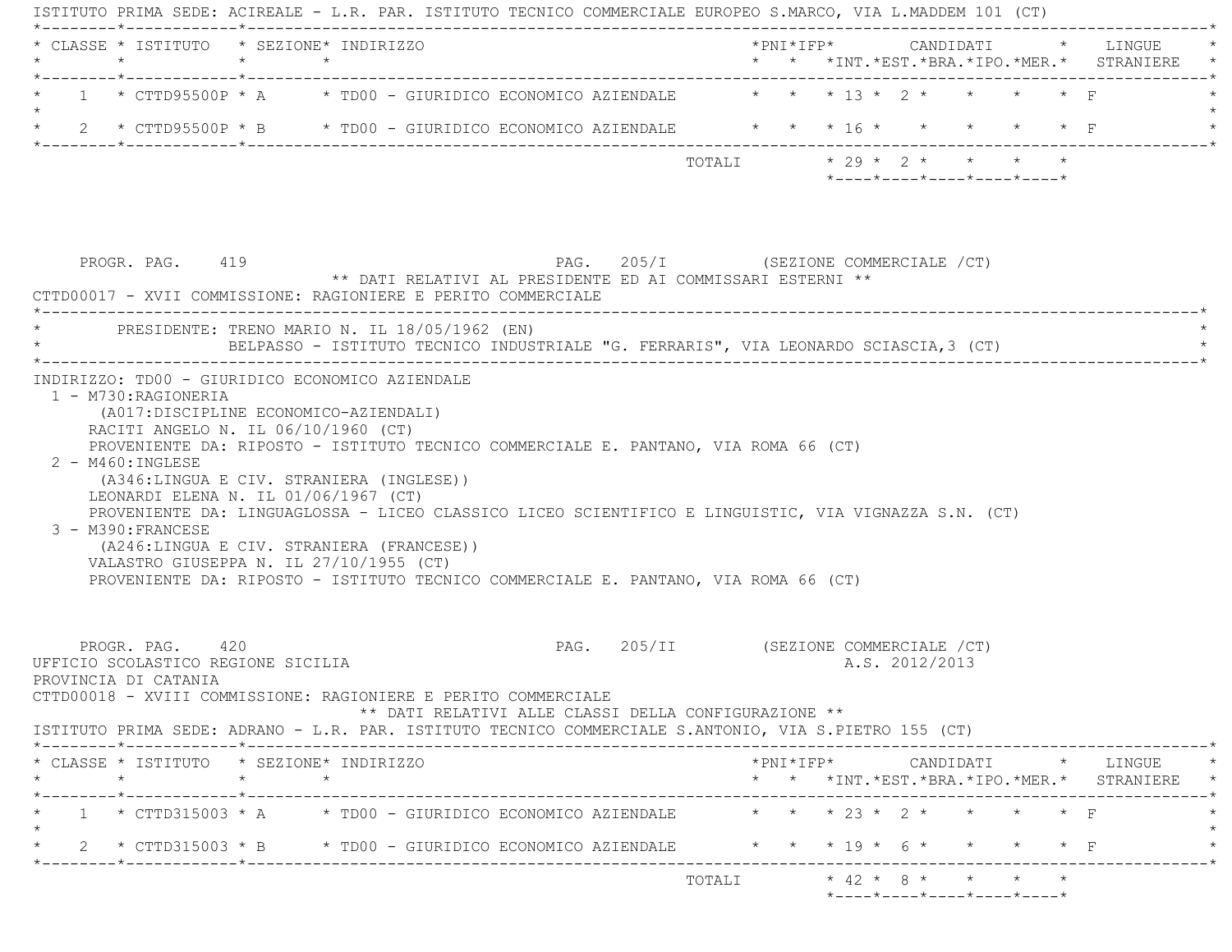| 1 * CTTD95500P * A * TD00 - GIURIDICO ECONOMICO AZIENDALE $\overline{1}$ * * * 13 * 2 * * * * * F<br>* 2 * CTTD95500P * B * TD00 - GIURIDICO ECONOMICO AZIENDALE * * * 16 * * * * * * * F<br>$* 29 * 2 * * * * * * *$<br>TOTALI<br>$*$ - - - - $*$ - - - - $*$ - - - - $*$ - - - - $*$ - - - - $*$<br>PAG. 205/I (SEZIONE COMMERCIALE /CT)<br>PROGR. PAG. 419<br>** DATI RELATIVI AL PRESIDENTE ED AI COMMISSARI ESTERNI **<br>CTTD00017 - XVII COMMISSIONE: RAGIONIERE E PERITO COMMERCIALE<br>PRESIDENTE: TRENO MARIO N. IL 18/05/1962 (EN)<br>BELPASSO - ISTITUTO TECNICO INDUSTRIALE "G. FERRARIS", VIA LEONARDO SCIASCIA,3 (CT)<br>INDIRIZZO: TD00 - GIURIDICO ECONOMICO AZIENDALE<br>1 - M730:RAGIONERIA<br>(A017: DISCIPLINE ECONOMICO-AZIENDALI)<br>RACITI ANGELO N. IL 06/10/1960 (CT)<br>PROVENIENTE DA: RIPOSTO - ISTITUTO TECNICO COMMERCIALE E. PANTANO, VIA ROMA 66 (CT)<br>2 - M460: INGLESE<br>(A346:LINGUA E CIV. STRANIERA (INGLESE))<br>LEONARDI ELENA N. IL 01/06/1967 (CT)<br>PROVENIENTE DA: LINGUAGLOSSA - LICEO CLASSICO LICEO SCIENTIFICO E LINGUISTIC, VIA VIGNAZZA S.N. (CT)<br>3 - M390: FRANCESE<br>(A246:LINGUA E CIV. STRANIERA (FRANCESE))<br>VALASTRO GIUSEPPA N. IL 27/10/1955 (CT)<br>PROVENIENTE DA: RIPOSTO - ISTITUTO TECNICO COMMERCIALE E. PANTANO, VIA ROMA 66 (CT)<br>PAG. 205/II (SEZIONE COMMERCIALE /CT)<br>PROGR. PAG. 420<br>UFFICIO SCOLASTICO REGIONE SICILIA<br>A.S. 2012/2013<br>PROVINCIA DI CATANIA<br>CTTD00018 - XVIII COMMISSIONE: RAGIONIERE E PERITO COMMERCIALE<br>** DATI RELATIVI ALLE CLASSI DELLA CONFIGURAZIONE **<br>ISTITUTO PRIMA SEDE: ADRANO - L.R. PAR. ISTITUTO TECNICO COMMERCIALE S.ANTONIO, VIA S.PIETRO 155 (CT)<br>* CLASSE * ISTITUTO * SEZIONE* INDIRIZZO<br>$*$ PNI $*$ IFP $*$ CANDIDATI $*$ LINGUE $*$<br>$\star$<br>$\star$<br>* * *INT.*EST.*BRA.*IPO.*MER.* STRANIERE *<br>$\star$ $\star$ $\star$ 23 $\star$ 2 $\star$<br>$1 * CTTD315003 * A * TDO0 - GIURIDICO ECONOMICO AZIENDALE$<br>$\star$<br>2 * CTTD315003 * B * TD00 - GIURIDICO ECONOMICO AZIENDALE * * * * 19 * 6 * |  | * CLASSE * ISTITUTO * SEZIONE* INDIRIZZO |  |  |  |  |  |
|---------------------------------------------------------------------------------------------------------------------------------------------------------------------------------------------------------------------------------------------------------------------------------------------------------------------------------------------------------------------------------------------------------------------------------------------------------------------------------------------------------------------------------------------------------------------------------------------------------------------------------------------------------------------------------------------------------------------------------------------------------------------------------------------------------------------------------------------------------------------------------------------------------------------------------------------------------------------------------------------------------------------------------------------------------------------------------------------------------------------------------------------------------------------------------------------------------------------------------------------------------------------------------------------------------------------------------------------------------------------------------------------------------------------------------------------------------------------------------------------------------------------------------------------------------------------------------------------------------------------------------------------------------------------------------------------------------------------------------------------------------------------------------------------------------------------------------------------------------------------------------------------------------------------------------------------------------------------------------------------------------------------------------------------------------------------|--|------------------------------------------|--|--|--|--|--|
|                                                                                                                                                                                                                                                                                                                                                                                                                                                                                                                                                                                                                                                                                                                                                                                                                                                                                                                                                                                                                                                                                                                                                                                                                                                                                                                                                                                                                                                                                                                                                                                                                                                                                                                                                                                                                                                                                                                                                                                                                                                                     |  |                                          |  |  |  |  |  |
|                                                                                                                                                                                                                                                                                                                                                                                                                                                                                                                                                                                                                                                                                                                                                                                                                                                                                                                                                                                                                                                                                                                                                                                                                                                                                                                                                                                                                                                                                                                                                                                                                                                                                                                                                                                                                                                                                                                                                                                                                                                                     |  |                                          |  |  |  |  |  |
|                                                                                                                                                                                                                                                                                                                                                                                                                                                                                                                                                                                                                                                                                                                                                                                                                                                                                                                                                                                                                                                                                                                                                                                                                                                                                                                                                                                                                                                                                                                                                                                                                                                                                                                                                                                                                                                                                                                                                                                                                                                                     |  |                                          |  |  |  |  |  |
|                                                                                                                                                                                                                                                                                                                                                                                                                                                                                                                                                                                                                                                                                                                                                                                                                                                                                                                                                                                                                                                                                                                                                                                                                                                                                                                                                                                                                                                                                                                                                                                                                                                                                                                                                                                                                                                                                                                                                                                                                                                                     |  |                                          |  |  |  |  |  |
|                                                                                                                                                                                                                                                                                                                                                                                                                                                                                                                                                                                                                                                                                                                                                                                                                                                                                                                                                                                                                                                                                                                                                                                                                                                                                                                                                                                                                                                                                                                                                                                                                                                                                                                                                                                                                                                                                                                                                                                                                                                                     |  |                                          |  |  |  |  |  |
|                                                                                                                                                                                                                                                                                                                                                                                                                                                                                                                                                                                                                                                                                                                                                                                                                                                                                                                                                                                                                                                                                                                                                                                                                                                                                                                                                                                                                                                                                                                                                                                                                                                                                                                                                                                                                                                                                                                                                                                                                                                                     |  |                                          |  |  |  |  |  |
|                                                                                                                                                                                                                                                                                                                                                                                                                                                                                                                                                                                                                                                                                                                                                                                                                                                                                                                                                                                                                                                                                                                                                                                                                                                                                                                                                                                                                                                                                                                                                                                                                                                                                                                                                                                                                                                                                                                                                                                                                                                                     |  |                                          |  |  |  |  |  |
|                                                                                                                                                                                                                                                                                                                                                                                                                                                                                                                                                                                                                                                                                                                                                                                                                                                                                                                                                                                                                                                                                                                                                                                                                                                                                                                                                                                                                                                                                                                                                                                                                                                                                                                                                                                                                                                                                                                                                                                                                                                                     |  |                                          |  |  |  |  |  |
|                                                                                                                                                                                                                                                                                                                                                                                                                                                                                                                                                                                                                                                                                                                                                                                                                                                                                                                                                                                                                                                                                                                                                                                                                                                                                                                                                                                                                                                                                                                                                                                                                                                                                                                                                                                                                                                                                                                                                                                                                                                                     |  |                                          |  |  |  |  |  |
|                                                                                                                                                                                                                                                                                                                                                                                                                                                                                                                                                                                                                                                                                                                                                                                                                                                                                                                                                                                                                                                                                                                                                                                                                                                                                                                                                                                                                                                                                                                                                                                                                                                                                                                                                                                                                                                                                                                                                                                                                                                                     |  |                                          |  |  |  |  |  |
|                                                                                                                                                                                                                                                                                                                                                                                                                                                                                                                                                                                                                                                                                                                                                                                                                                                                                                                                                                                                                                                                                                                                                                                                                                                                                                                                                                                                                                                                                                                                                                                                                                                                                                                                                                                                                                                                                                                                                                                                                                                                     |  |                                          |  |  |  |  |  |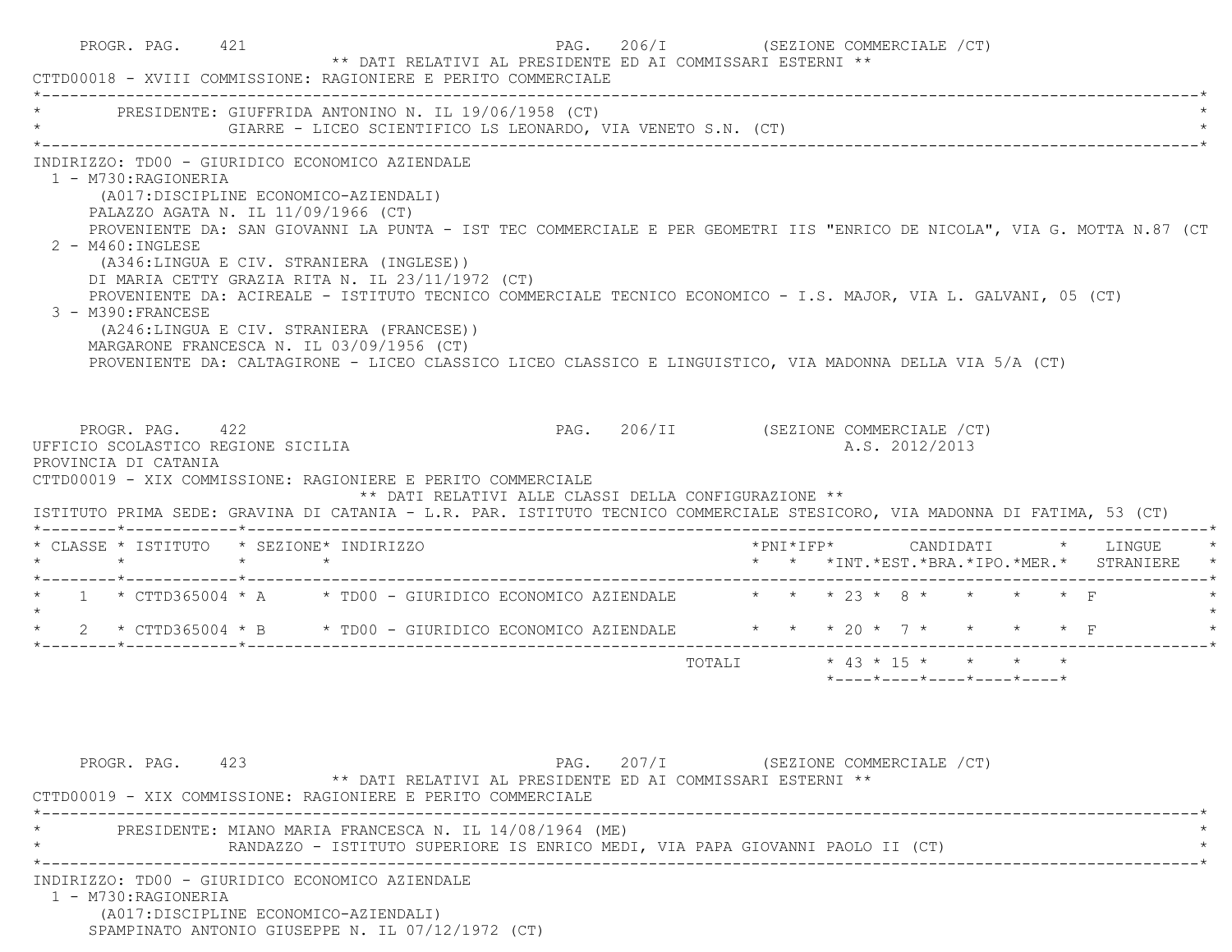| * PRESIDENTE: GIUFFRIDA ANTONINO N. IL 19/06/1958 (CT)<br>GIARRE - LICEO SCIENTIFICO LS LEONARDO, VIA VENETO S.N. (CT)                                                                                                                                                                                                                                                                                                                                                                                                                                                                                                                                                                                                                                      |                            |  |                                         |  |                                                                          |
|-------------------------------------------------------------------------------------------------------------------------------------------------------------------------------------------------------------------------------------------------------------------------------------------------------------------------------------------------------------------------------------------------------------------------------------------------------------------------------------------------------------------------------------------------------------------------------------------------------------------------------------------------------------------------------------------------------------------------------------------------------------|----------------------------|--|-----------------------------------------|--|--------------------------------------------------------------------------|
| INDIRIZZO: TD00 - GIURIDICO ECONOMICO AZIENDALE<br>1 - M730: RAGIONERIA<br>(A017:DISCIPLINE ECONOMICO-AZIENDALI)<br>PALAZZO AGATA N. IL 11/09/1966 (CT)<br>PROVENIENTE DA: SAN GIOVANNI LA PUNTA - IST TEC COMMERCIALE E PER GEOMETRI IIS "ENRICO DE NICOLA", VIA G. MOTTA N.87 (CT<br>$2 - M460$ : INGLESE<br>(A346:LINGUA E CIV. STRANIERA (INGLESE))<br>DI MARIA CETTY GRAZIA RITA N. IL 23/11/1972 (CT)<br>PROVENIENTE DA: ACIREALE - ISTITUTO TECNICO COMMERCIALE TECNICO ECONOMICO - I.S. MAJOR, VIA L. GALVANI, 05 (CT)<br>3 - M390: FRANCESE<br>(A246:LINGUA E CIV. STRANIERA (FRANCESE))<br>MARGARONE FRANCESCA N. IL 03/09/1956 (CT)<br>PROVENIENTE DA: CALTAGIRONE - LICEO CLASSICO LICEO CLASSICO E LINGUISTICO, VIA MADONNA DELLA VIA 5/A (CT) |                            |  |                                         |  |                                                                          |
|                                                                                                                                                                                                                                                                                                                                                                                                                                                                                                                                                                                                                                                                                                                                                             |                            |  |                                         |  |                                                                          |
| PROGR. PAG. 422<br>PAG. 206/II (SEZIONE COMMERCIALE /CT)<br>** DATI RELATIVI ALLE CLASSI DELLA CONFIGURAZIONE **                                                                                                                                                                                                                                                                                                                                                                                                                                                                                                                                                                                                                                            |                            |  | A.S. 2012/2013                          |  |                                                                          |
|                                                                                                                                                                                                                                                                                                                                                                                                                                                                                                                                                                                                                                                                                                                                                             |                            |  |                                         |  | *PNI*IFP* CANDIDATI * LINGUE<br>* * *INT.*EST.*BRA.*IPO.*MER.* STRANIERE |
|                                                                                                                                                                                                                                                                                                                                                                                                                                                                                                                                                                                                                                                                                                                                                             |                            |  |                                         |  |                                                                          |
|                                                                                                                                                                                                                                                                                                                                                                                                                                                                                                                                                                                                                                                                                                                                                             |                            |  |                                         |  |                                                                          |
| UFFICIO SCOLASTICO REGIONE SICILIA<br>PROVINCIA DI CATANIA<br>CTTD00019 - XIX COMMISSIONE: RAGIONIERE E PERITO COMMERCIALE<br>ISTITUTO PRIMA SEDE: GRAVINA DI CATANIA - L.R. PAR. ISTITUTO TECNICO COMMERCIALE STESICORO, VIA MADONNA DI FATIMA, 53 (CT)<br>* CLASSE * ISTITUTO * SEZIONE* INDIRIZZO<br>$\star$ $\star$ $\star$ $\star$<br>* 1 * CTTD365004 * A * TD00 - GIURIDICO ECONOMICO AZIENDALE * * * 23 * 8 * * * * * F<br>* 2 * CTTD365004 * B * TD00 - GIURIDICO ECONOMICO AZIENDALE * * * 20 * 7 * * * * * F                                                                                                                                                                                                                                     | TOTALI * 43 * 15 * * * * * |  |                                         |  |                                                                          |
| PAG. 207/I (SEZIONE COMMERCIALE /CT)<br>PROGR. PAG. 423<br>** DATI RELATIVI AL PRESIDENTE ED AI COMMISSARI ESTERNI **                                                                                                                                                                                                                                                                                                                                                                                                                                                                                                                                                                                                                                       |                            |  | $*$ ---- $*$ ---- $*$ ---- $*$ ---- $*$ |  |                                                                          |
| CTTD00019 - XIX COMMISSIONE: RAGIONIERE E PERITO COMMERCIALE<br>PRESIDENTE: MIANO MARIA FRANCESCA N. IL 14/08/1964 (ME)                                                                                                                                                                                                                                                                                                                                                                                                                                                                                                                                                                                                                                     |                            |  |                                         |  |                                                                          |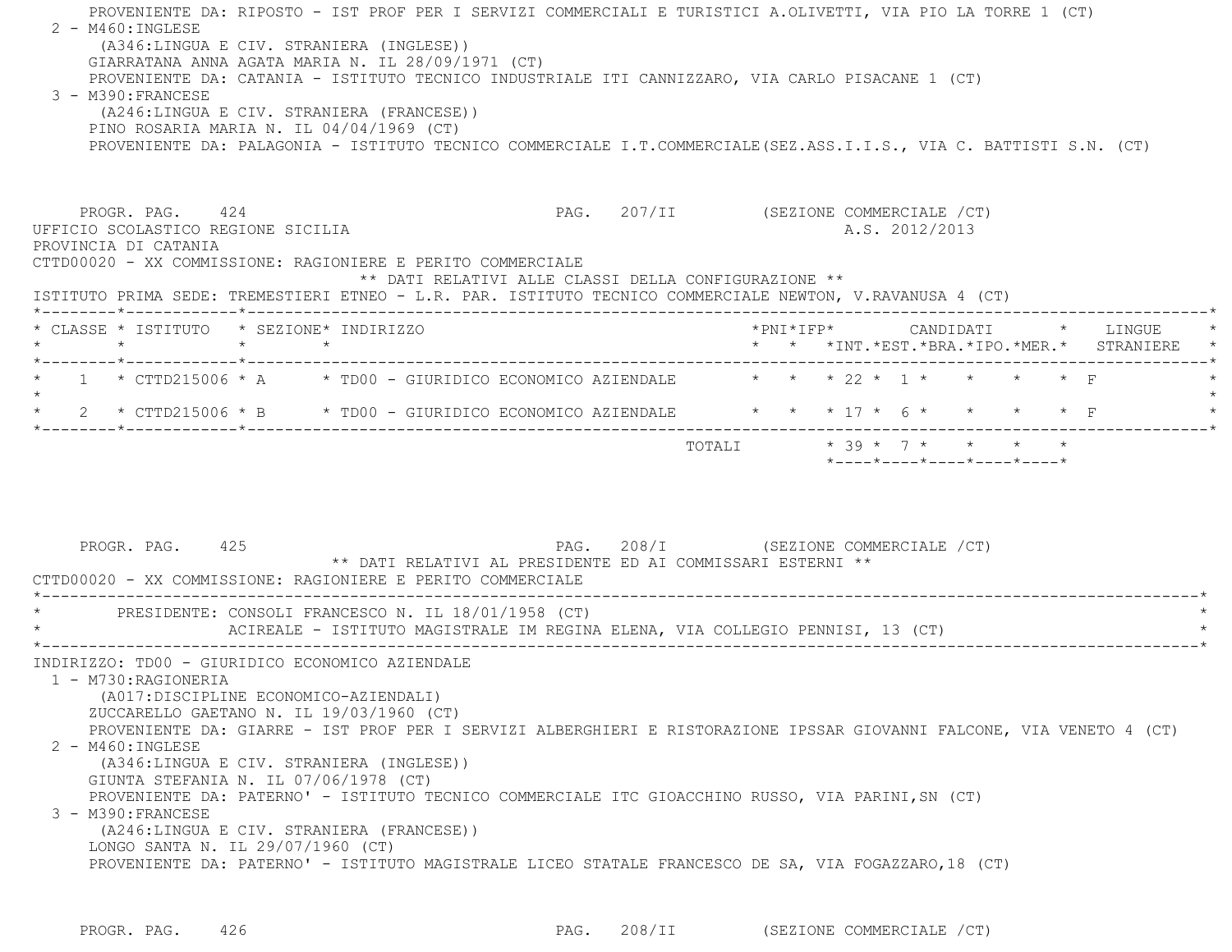PROVENIENTE DA: RIPOSTO - IST PROF PER I SERVIZI COMMERCIALI E TURISTICI A.OLIVETTI, VIA PIO LA TORRE 1 (CT) 2 - M460:INGLESE (A346:LINGUA E CIV. STRANIERA (INGLESE)) GIARRATANA ANNA AGATA MARIA N. IL 28/09/1971 (CT) PROVENIENTE DA: CATANIA - ISTITUTO TECNICO INDUSTRIALE ITI CANNIZZARO, VIA CARLO PISACANE 1 (CT) 3 - M390:FRANCESE (A246:LINGUA E CIV. STRANIERA (FRANCESE)) PINO ROSARIA MARIA N. IL 04/04/1969 (CT) PROVENIENTE DA: PALAGONIA - ISTITUTO TECNICO COMMERCIALE I.T.COMMERCIALE(SEZ.ASS.I.I.S., VIA C. BATTISTI S.N. (CT) PROGR. PAG. 424 CHEER COMMERCIALE (CT) UFFICIO SCOLASTICO REGIONE SICILIA A.S. 2012/2013 PROVINCIA DI CATANIA CTTD00020 - XX COMMISSIONE: RAGIONIERE E PERITO COMMERCIALE \*\* DATI RELATIVI ALLE CLASSI DELLA CONFIGURAZIONE \*\* ISTITUTO PRIMA SEDE: TREMESTIERI ETNEO - L.R. PAR. ISTITUTO TECNICO COMMERCIALE NEWTON, V.RAVANUSA 4 (CT) \*--------\*------------\*-------------------------------------------------------------------------------------------------------\* \* CLASSE \* ISTITUTO \* SEZIONE\* INDIRIZZO \*PNI\*IFP\* CANDIDATI \* LINGUE \* \* \* \* \* \* \* \*INT.\*EST.\*BRA.\*IPO.\*MER.\* STRANIERE \* \*--------\*------------\*-------------------------------------------------------------------------------------------------------\*1 \* CTTD215006 \* A  $\hphantom{xx}$  \* TD00 - GIURIDICO ECONOMICO AZIENDALE  $\hphantom{xx}$  \* \* \* 22 \* 1 \* \* \* \* \* F  $\star$ \* 2 \* CTTD215006 \* B \* TD00 - GIURIDICO ECONOMICO AZIENDALE \* \* \* 17 \* 6 \* \* \* \* \* F \*--------\*------------\*-------------------------------------------------------------------------------------------------------\* $\text{TOTAT}$   $*$  39  $*$  7  $*$   $*$   $*$   $*$  \*----\*----\*----\*----\*----\*PROGR. PAG. 425 CHARGE 208/I (SEZIONE COMMERCIALE AT LARGE 208/I (SEZIONE COMMERCIALE ACT) \*\* DATI RELATIVI AL PRESIDENTE ED AI COMMISSARI ESTERNI \*\* CTTD00020 - XX COMMISSIONE: RAGIONIERE E PERITO COMMERCIALE \*----------------------------------------------------------------------------------------------------------------------------\*PRESIDENTE: CONSOLI FRANCESCO N. IL 18/01/1958 (CT) ACIREALE - ISTITUTO MAGISTRALE IM REGINA ELENA, VIA COLLEGIO PENNISI, 13 (CT) \*----------------------------------------------------------------------------------------------------------------------------\* INDIRIZZO: TD00 - GIURIDICO ECONOMICO AZIENDALE 1 - M730:RAGIONERIA (A017:DISCIPLINE ECONOMICO-AZIENDALI) ZUCCARELLO GAETANO N. IL 19/03/1960 (CT) PROVENIENTE DA: GIARRE - IST PROF PER I SERVIZI ALBERGHIERI E RISTORAZIONE IPSSAR GIOVANNI FALCONE, VIA VENETO 4 (CT) 2 - M460:INGLESE (A346:LINGUA E CIV. STRANIERA (INGLESE)) GIUNTA STEFANIA N. IL 07/06/1978 (CT) PROVENIENTE DA: PATERNO' - ISTITUTO TECNICO COMMERCIALE ITC GIOACCHINO RUSSO, VIA PARINI,SN (CT) 3 - M390:FRANCESE (A246:LINGUA E CIV. STRANIERA (FRANCESE)) LONGO SANTA N. IL 29/07/1960 (CT) PROVENIENTE DA: PATERNO' - ISTITUTO MAGISTRALE LICEO STATALE FRANCESCO DE SA, VIA FOGAZZARO,18 (CT)

PROGR. PAG. 426 And 426 PAG. 208/II (SEZIONE COMMERCIALE / CT)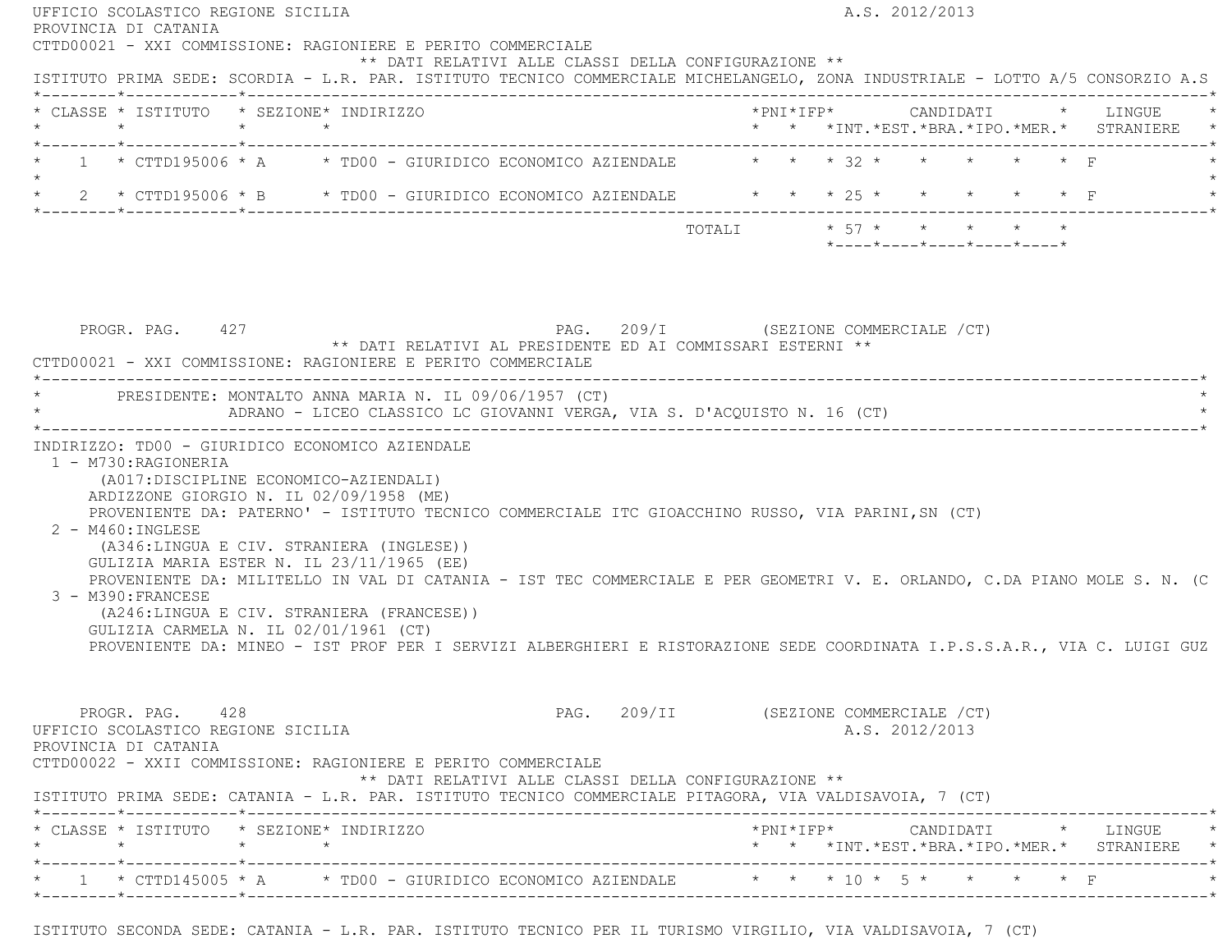| PROVINCIA DI CATANIA                                                                                                                                                                                                                                                                                                                                                                                                                                                                                                                                                                                                                                                       |                                                                                                                                                    |
|----------------------------------------------------------------------------------------------------------------------------------------------------------------------------------------------------------------------------------------------------------------------------------------------------------------------------------------------------------------------------------------------------------------------------------------------------------------------------------------------------------------------------------------------------------------------------------------------------------------------------------------------------------------------------|----------------------------------------------------------------------------------------------------------------------------------------------------|
| CTTD00021 - XXI COMMISSIONE: RAGIONIERE E PERITO COMMERCIALE<br>** DATI RELATIVI ALLE CLASSI DELLA CONFIGURAZIONE **<br>ISTITUTO PRIMA SEDE: SCORDIA - L.R. PAR. ISTITUTO TECNICO COMMERCIALE MICHELANGELO, ZONA INDUSTRIALE - LOTTO A/5 CONSORZIO A.S                                                                                                                                                                                                                                                                                                                                                                                                                     |                                                                                                                                                    |
| * CLASSE * ISTITUTO * SEZIONE* INDIRIZZO                                                                                                                                                                                                                                                                                                                                                                                                                                                                                                                                                                                                                                   | * * *INT. *EST. *BRA. *IPO. *MER. * STRANIERE *                                                                                                    |
| * 1 * CTTD195006 * A * TD00 - GIURIDICO ECONOMICO AZIENDALE * * * 32 * * * * * * * F<br>$\star$                                                                                                                                                                                                                                                                                                                                                                                                                                                                                                                                                                            |                                                                                                                                                    |
| * 2 * CTTD195006 * B * TD00 - GIURIDICO ECONOMICO AZIENDALE * * * * 25 * * * * * * * F                                                                                                                                                                                                                                                                                                                                                                                                                                                                                                                                                                                     |                                                                                                                                                    |
|                                                                                                                                                                                                                                                                                                                                                                                                                                                                                                                                                                                                                                                                            | TOTALI * 57 * * * * * *<br>$*$ ---- $*$ ---- $*$ ---- $*$ ---- $*$ ---- $*$                                                                        |
| PAG. 209/I (SEZIONE COMMERCIALE / CT)<br>PROGR. PAG. 427<br>** DATI RELATIVI AL PRESIDENTE ED AI COMMISSARI ESTERNI **<br>CTTD00021 - XXI COMMISSIONE: RAGIONIERE E PERITO COMMERCIALE                                                                                                                                                                                                                                                                                                                                                                                                                                                                                     |                                                                                                                                                    |
| * PRESIDENTE: MONTALTO ANNA MARIA N. IL 09/06/1957 (CT)<br>ADRANO - LICEO CLASSICO LC GIOVANNI VERGA, VIA S. D'ACQUISTO N. 16 (CT)                                                                                                                                                                                                                                                                                                                                                                                                                                                                                                                                         |                                                                                                                                                    |
| 1 - M730: RAGIONERIA                                                                                                                                                                                                                                                                                                                                                                                                                                                                                                                                                                                                                                                       |                                                                                                                                                    |
| (A017:DISCIPLINE ECONOMICO-AZIENDALI)<br>ARDIZZONE GIORGIO N. IL 02/09/1958 (ME)<br>PROVENIENTE DA: PATERNO' - ISTITUTO TECNICO COMMERCIALE ITC GIOACCHINO RUSSO, VIA PARINI, SN (CT)<br>$2 - M460$ : INGLESE<br>(A346:LINGUA E CIV. STRANIERA (INGLESE))<br>GULIZIA MARIA ESTER N. IL 23/11/1965 (EE)<br>PROVENIENTE DA: MILITELLO IN VAL DI CATANIA - IST TEC COMMERCIALE E PER GEOMETRI V. E. ORLANDO, C.DA PIANO MOLE S. N. (C<br>3 - M390: FRANCESE<br>(A246:LINGUA E CIV. STRANIERA (FRANCESE))<br>GULIZIA CARMELA N. IL 02/01/1961 (CT)<br>PROVENIENTE DA: MINEO - IST PROF PER I SERVIZI ALBERGHIERI E RISTORAZIONE SEDE COORDINATA I.P.S.S.A.R., VIA C. LUIGI GUZ |                                                                                                                                                    |
| PROGR. PAG. 428<br>UFFICIO SCOLASTICO REGIONE SICILIA<br>PROVINCIA DI CATANIA<br>CTTD00022 - XXII COMMISSIONE: RAGIONIERE E PERITO COMMERCIALE<br>** DATI RELATIVI ALLE CLASSI DELLA CONFIGURAZIONE **<br>ISTITUTO PRIMA SEDE: CATANIA - L.R. PAR. ISTITUTO TECNICO COMMERCIALE PITAGORA, VIA VALDISAVOIA, 7 (CT)                                                                                                                                                                                                                                                                                                                                                          | PAG. 209/II (SEZIONE COMMERCIALE /CT)<br>A.S. 2012/2013                                                                                            |
| * CLASSE * ISTITUTO * SEZIONE* INDIRIZZO                                                                                                                                                                                                                                                                                                                                                                                                                                                                                                                                                                                                                                   | $*PNI*IFP* \qquad \qquad \text{CANDIDATI} \qquad \qquad * \qquad \text{LINGUE} \qquad \qquad *$<br>* * *INT. *EST. *BRA. *IPO. *MER. * STRANIERE * |

ISTITUTO SECONDA SEDE: CATANIA - L.R. PAR. ISTITUTO TECNICO PER IL TURISMO VIRGILIO, VIA VALDISAVOIA, 7 (CT)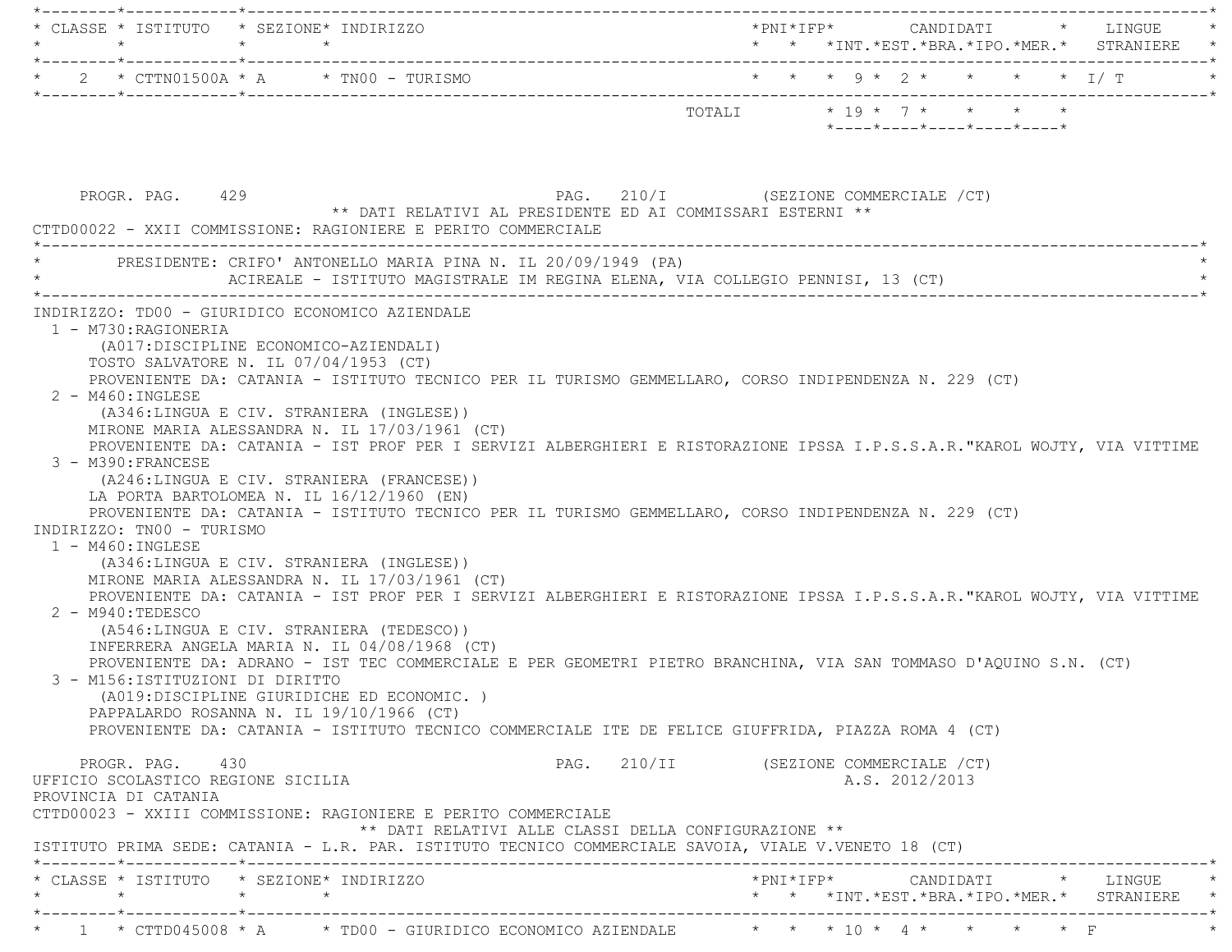| $\star$                                                                                                                                                                           | * CLASSE * ISTITUTO * SEZIONE* INDIRIZZO<br>$\star$<br>$\star$                                                                                                                                                                                                                                                                                                                                                                                                                                                                                          | * * *INT.*EST.*BRA.*IPO.*MER.* STRANIERE *                                                                                                                                                                                                                                                                                                                                                                                                                                                                                                                                                                                                                                                    |
|-----------------------------------------------------------------------------------------------------------------------------------------------------------------------------------|---------------------------------------------------------------------------------------------------------------------------------------------------------------------------------------------------------------------------------------------------------------------------------------------------------------------------------------------------------------------------------------------------------------------------------------------------------------------------------------------------------------------------------------------------------|-----------------------------------------------------------------------------------------------------------------------------------------------------------------------------------------------------------------------------------------------------------------------------------------------------------------------------------------------------------------------------------------------------------------------------------------------------------------------------------------------------------------------------------------------------------------------------------------------------------------------------------------------------------------------------------------------|
|                                                                                                                                                                                   | $\star$ 2 $\star$ CTTN01500A $\star$ A $\star$ TN00 - TURISMO                                                                                                                                                                                                                                                                                                                                                                                                                                                                                           | * * * 9 * 2 * * * * * I/ T                                                                                                                                                                                                                                                                                                                                                                                                                                                                                                                                                                                                                                                                    |
|                                                                                                                                                                                   |                                                                                                                                                                                                                                                                                                                                                                                                                                                                                                                                                         | $*$ ---- $*$ ---- $*$ ---- $*$ ---- $*$                                                                                                                                                                                                                                                                                                                                                                                                                                                                                                                                                                                                                                                       |
| PROGR. PAG. 429                                                                                                                                                                   | ** DATI RELATIVI AL PRESIDENTE ED AI COMMISSARI ESTERNI **<br>CTTD00022 - XXII COMMISSIONE: RAGIONIERE E PERITO COMMERCIALE                                                                                                                                                                                                                                                                                                                                                                                                                             | PAG. 210/I (SEZIONE COMMERCIALE /CT)                                                                                                                                                                                                                                                                                                                                                                                                                                                                                                                                                                                                                                                          |
|                                                                                                                                                                                   | PRESIDENTE: CRIFO' ANTONELLO MARIA PINA N. IL 20/09/1949 (PA)<br>ACIREALE - ISTITUTO MAGISTRALE IM REGINA ELENA, VIA COLLEGIO PENNISI, 13 (CT)                                                                                                                                                                                                                                                                                                                                                                                                          |                                                                                                                                                                                                                                                                                                                                                                                                                                                                                                                                                                                                                                                                                               |
| 1 - M730: RAGIONERIA<br>$2 - M460 : INGLESE$<br>3 - M390: FRANCESE<br>INDIRIZZO: TN00 - TURISMO<br>$1 - M460$ : INGLESE<br>$2 - M940:TEDESCO$<br>3 - M156: ISTITUZIONI DI DIRITTO | (A017:DISCIPLINE ECONOMICO-AZIENDALI)<br>TOSTO SALVATORE N. IL 07/04/1953 (CT)<br>(A346:LINGUA E CIV. STRANIERA (INGLESE))<br>MIRONE MARIA ALESSANDRA N. IL 17/03/1961 (CT)<br>(A246:LINGUA E CIV. STRANIERA (FRANCESE))<br>LA PORTA BARTOLOMEA N. IL 16/12/1960 (EN)<br>(A346:LINGUA E CIV. STRANIERA (INGLESE))<br>MIRONE MARIA ALESSANDRA N. IL 17/03/1961 (CT)<br>(A546:LINGUA E CIV. STRANIERA (TEDESCO))<br>INFERRERA ANGELA MARIA N. IL 04/08/1968 (CT)<br>(A019:DISCIPLINE GIURIDICHE ED ECONOMIC.)<br>PAPPALARDO ROSANNA N. IL 19/10/1966 (CT) | PROVENIENTE DA: CATANIA - ISTITUTO TECNICO PER IL TURISMO GEMMELLARO, CORSO INDIPENDENZA N. 229 (CT)<br>PROVENIENTE DA: CATANIA - IST PROF PER I SERVIZI ALBERGHIERI E RISTORAZIONE IPSSA I.P.S.S.A.R. "KAROL WOJTY, VIA VITTIME<br>PROVENIENTE DA: CATANIA - ISTITUTO TECNICO PER IL TURISMO GEMMELLARO, CORSO INDIPENDENZA N. 229 (CT)<br>PROVENIENTE DA: CATANIA - IST PROF PER I SERVIZI ALBERGHIERI E RISTORAZIONE IPSSA I.P.S.S.A.R."KAROL WOJTY, VIA VITTIME<br>PROVENIENTE DA: ADRANO - IST TEC COMMERCIALE E PER GEOMETRI PIETRO BRANCHINA, VIA SAN TOMMASO D'AQUINO S.N. (CT)<br>PROVENIENTE DA: CATANIA - ISTITUTO TECNICO COMMERCIALE ITE DE FELICE GIUFFRIDA, PIAZZA ROMA 4 (CT) |
| PROGR. PAG. 430<br>UFFICIO SCOLASTICO REGIONE SICILIA<br>PROVINCIA DI CATANIA                                                                                                     | CTTD00023 - XXIII COMMISSIONE: RAGIONIERE E PERITO COMMERCIALE<br>** DATI RELATIVI ALLE CLASSI DELLA CONFIGURAZIONE **                                                                                                                                                                                                                                                                                                                                                                                                                                  | PAG. 210/II (SEZIONE COMMERCIALE /CT)<br>A.S. 2012/2013                                                                                                                                                                                                                                                                                                                                                                                                                                                                                                                                                                                                                                       |
|                                                                                                                                                                                   | ISTITUTO PRIMA SEDE: CATANIA - L.R. PAR. ISTITUTO TECNICO COMMERCIALE SAVOIA, VIALE V.VENETO 18 (CT)                                                                                                                                                                                                                                                                                                                                                                                                                                                    |                                                                                                                                                                                                                                                                                                                                                                                                                                                                                                                                                                                                                                                                                               |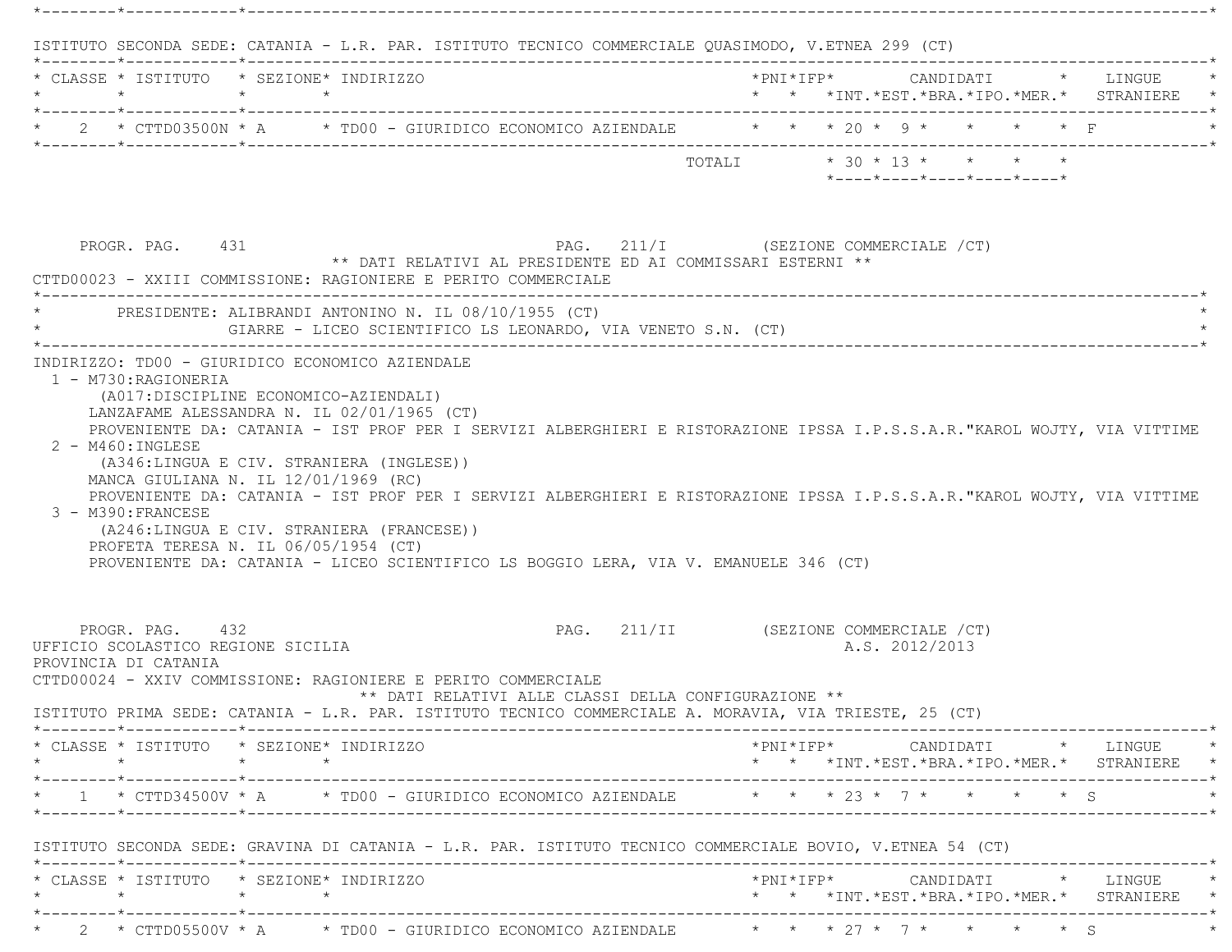|         | * CLASSE * ISTITUTO * SEZIONE* INDIRIZZO                                                                                |                 |                                                                                                                                                                                                                                                                                                          |                                                      |                                       |  |                |  |                            |                                                                                                                                                                  |
|---------|-------------------------------------------------------------------------------------------------------------------------|-----------------|----------------------------------------------------------------------------------------------------------------------------------------------------------------------------------------------------------------------------------------------------------------------------------------------------------|------------------------------------------------------|---------------------------------------|--|----------------|--|----------------------------|------------------------------------------------------------------------------------------------------------------------------------------------------------------|
|         | $\star$ $\star$ $\star$ $\star$                                                                                         |                 |                                                                                                                                                                                                                                                                                                          |                                                      |                                       |  |                |  |                            | * * *INT.*EST.*BRA.*IPO.*MER.* STRANIERE *                                                                                                                       |
|         |                                                                                                                         |                 | 2 * CTTD03500N * A * TD00 - GIURIDICO ECONOMICO AZIENDALE * * * 20 * 9 * * * * * F                                                                                                                                                                                                                       |                                                      |                                       |  |                |  |                            |                                                                                                                                                                  |
|         |                                                                                                                         |                 |                                                                                                                                                                                                                                                                                                          |                                                      |                                       |  |                |  | *----*----*----*----*----* |                                                                                                                                                                  |
|         | PROGR. PAG. 431                                                                                                         |                 | ** DATI RELATIVI AL PRESIDENTE ED AI COMMISSARI ESTERNI **<br>CTTD00023 - XXIII COMMISSIONE: RAGIONIERE E PERITO COMMERCIALE                                                                                                                                                                             |                                                      | PAG. 211/I (SEZIONE COMMERCIALE /CT)  |  |                |  |                            |                                                                                                                                                                  |
|         |                                                                                                                         |                 | PRESIDENTE: ALIBRANDI ANTONINO N. IL 08/10/1955 (CT)<br>GIARRE - LICEO SCIENTIFICO LS LEONARDO, VIA VENETO S.N. (CT)                                                                                                                                                                                     |                                                      |                                       |  |                |  |                            |                                                                                                                                                                  |
|         | 2 - M460: INGLESE<br>MANCA GIULIANA N. IL 12/01/1969 (RC)<br>3 - M390: FRANCESE<br>PROFETA TERESA N. IL 06/05/1954 (CT) |                 | (A346:LINGUA E CIV. STRANIERA (INGLESE))<br>PROVENIENTE DA: CATANIA - IST PROF PER I SERVIZI ALBERGHIERI E RISTORAZIONE IPSSA I.P.S.S.A.R."KAROL WOJTY, VIA VITTIME<br>(A246:LINGUA E CIV. STRANIERA (FRANCESE))<br>PROVENIENTE DA: CATANIA - LICEO SCIENTIFICO LS BOGGIO LERA, VIA V. EMANUELE 346 (CT) |                                                      |                                       |  |                |  |                            |                                                                                                                                                                  |
|         | PROGR. PAG. 432<br>UFFICIO SCOLASTICO REGIONE SICILIA<br>PROVINCIA DI CATANIA                                           |                 | CTTD00024 - XXIV COMMISSIONE: RAGIONIERE E PERITO COMMERCIALE                                                                                                                                                                                                                                            | ** DATI RELATIVI ALLE CLASSI DELLA CONFIGURAZIONE ** | PAG. 211/II (SEZIONE COMMERCIALE /CT) |  | A.S. 2012/2013 |  |                            |                                                                                                                                                                  |
|         |                                                                                                                         |                 | ISTITUTO PRIMA SEDE: CATANIA - L.R. PAR. ISTITUTO TECNICO COMMERCIALE A. MORAVIA, VIA TRIESTE, 25 (CT)                                                                                                                                                                                                   |                                                      |                                       |  |                |  |                            |                                                                                                                                                                  |
| $\star$ | * CLASSE * ISTITUTO * SEZIONE* INDIRIZZO                                                                                | $\star$ $\star$ |                                                                                                                                                                                                                                                                                                          |                                                      |                                       |  |                |  |                            | $\text{\tt *PNI*IFP*} \qquad \qquad \text{CANDIDATI} \qquad \text{\tt *} \qquad \text{LINGUE} \qquad \text{\tt *}$<br>* * *INT.*EST.*BRA.*IPO.*MER.* STRANIERE * |
|         |                                                                                                                         |                 | * 1 * CTTD34500V * A * TD00 - GIURIDICO ECONOMICO AZIENDALE * * * 23 * 7 * * * * * \$                                                                                                                                                                                                                    |                                                      |                                       |  |                |  |                            |                                                                                                                                                                  |
|         |                                                                                                                         |                 | ISTITUTO SECONDA SEDE: GRAVINA DI CATANIA - L.R. PAR. ISTITUTO TECNICO COMMERCIALE BOVIO, V.ETNEA 54 (CT)                                                                                                                                                                                                |                                                      |                                       |  |                |  |                            |                                                                                                                                                                  |
|         |                                                                                                                         |                 |                                                                                                                                                                                                                                                                                                          |                                                      |                                       |  |                |  |                            |                                                                                                                                                                  |
|         | $\star$                                                                                                                 |                 | * CLASSE * ISTITUTO * SEZIONE* INDIRIZZO                                                                                                                                                                                                                                                                 |                                                      |                                       |  |                |  |                            | * * *INT.*EST.*BRA.*IPO.*MER.* STRANIERE *                                                                                                                       |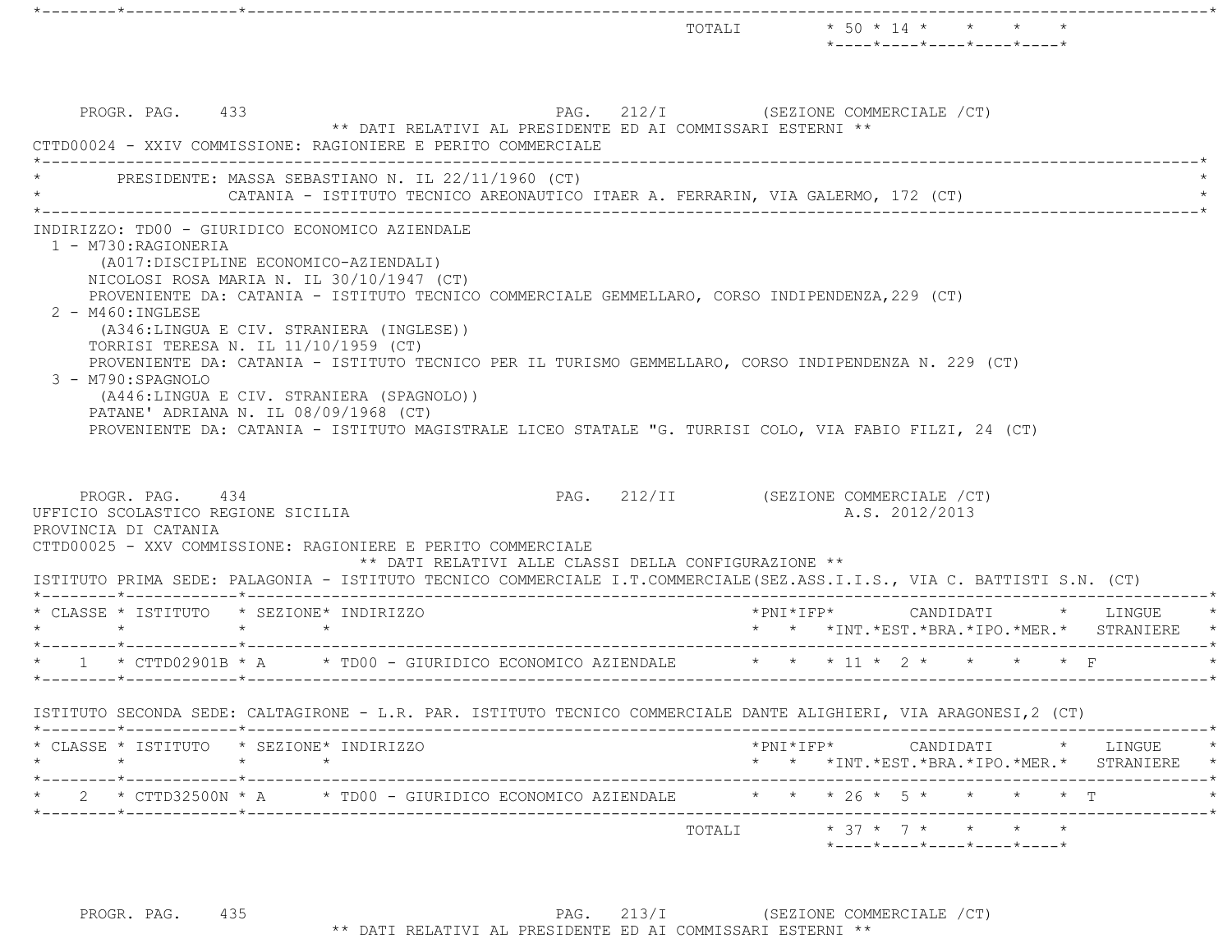|         |                                                                               |                                                                                                                                                                                                                                                                                                                                                                                                                                                                                                                                                                                                                                      | TOTALI $\star$ 50 $\star$ 14 $\star$ $\star$ $\star$<br>$*$ ---- $*$ ---- $*$ ---- $*$ ---- $*$ ---- $*$                                                                            |
|---------|-------------------------------------------------------------------------------|--------------------------------------------------------------------------------------------------------------------------------------------------------------------------------------------------------------------------------------------------------------------------------------------------------------------------------------------------------------------------------------------------------------------------------------------------------------------------------------------------------------------------------------------------------------------------------------------------------------------------------------|-------------------------------------------------------------------------------------------------------------------------------------------------------------------------------------|
|         | PROGR. PAG. 433                                                               | ** DATI RELATIVI AL PRESIDENTE ED AI COMMISSARI ESTERNI **<br>CTTD00024 - XXIV COMMISSIONE: RAGIONIERE E PERITO COMMERCIALE                                                                                                                                                                                                                                                                                                                                                                                                                                                                                                          | PAG. 212/I (SEZIONE COMMERCIALE /CT)                                                                                                                                                |
|         |                                                                               | PRESIDENTE: MASSA SEBASTIANO N. IL 22/11/1960 (CT)<br>CATANIA - ISTITUTO TECNICO AREONAUTICO ITAER A. FERRARIN, VIA GALERMO, 172 (CT)                                                                                                                                                                                                                                                                                                                                                                                                                                                                                                |                                                                                                                                                                                     |
|         | 1 - M730:RAGIONERIA<br>2 - M460: INGLESE<br>3 - M790:SPAGNOLO                 | INDIRIZZO: TD00 - GIURIDICO ECONOMICO AZIENDALE<br>(A017:DISCIPLINE ECONOMICO-AZIENDALI)<br>NICOLOSI ROSA MARIA N. IL 30/10/1947 (CT)<br>PROVENIENTE DA: CATANIA - ISTITUTO TECNICO COMMERCIALE GEMMELLARO, CORSO INDIPENDENZA, 229 (CT)<br>(A346:LINGUA E CIV. STRANIERA (INGLESE))<br>TORRISI TERESA N. IL 11/10/1959 (CT)<br>PROVENIENTE DA: CATANIA - ISTITUTO TECNICO PER IL TURISMO GEMMELLARO, CORSO INDIPENDENZA N. 229 (CT)<br>(A446:LINGUA E CIV. STRANIERA (SPAGNOLO))<br>PATANE' ADRIANA N. IL 08/09/1968 (CT)<br>PROVENIENTE DA: CATANIA - ISTITUTO MAGISTRALE LICEO STATALE "G. TURRISI COLO, VIA FABIO FILZI, 24 (CT) |                                                                                                                                                                                     |
|         | PROGR. PAG. 434<br>UFFICIO SCOLASTICO REGIONE SICILIA<br>PROVINCIA DI CATANIA | CTTD00025 - XXV COMMISSIONE: RAGIONIERE E PERITO COMMERCIALE<br>** DATI RELATIVI ALLE CLASSI DELLA CONFIGURAZIONE **                                                                                                                                                                                                                                                                                                                                                                                                                                                                                                                 | PAG. 212/II (SEZIONE COMMERCIALE /CT)<br>A.S. 2012/2013<br>ISTITUTO PRIMA SEDE: PALAGONIA - ISTITUTO TECNICO COMMERCIALE I.T.COMMERCIALE (SEZ.ASS.I.I.S., VIA C. BATTISTI S.N. (CT) |
|         | $\star$ $\star$ $\star$                                                       | * CLASSE * ISTITUTO * SEZIONE* INDIRIZZO<br>$\star$                                                                                                                                                                                                                                                                                                                                                                                                                                                                                                                                                                                  | $*$ PNI $*$ IFP $*$<br>CANDIDATI * LINGUE<br>* * *INT. *EST. *BRA. *IPO. *MER. * STRANIERE                                                                                          |
|         |                                                                               | * 1 * CTTD02901B * A * TD00 - GIURIDICO ECONOMICO AZIENDALE * * * 11 * 2 * * *                                                                                                                                                                                                                                                                                                                                                                                                                                                                                                                                                       | $\star$ $\Gamma$                                                                                                                                                                    |
| $\star$ |                                                                               | ISTITUTO SECONDA SEDE: CALTAGIRONE - L.R. PAR. ISTITUTO TECNICO COMMERCIALE DANTE ALIGHIERI, VIA ARAGONESI,2 (CT)<br>* CLASSE * ISTITUTO * SEZIONE* INDIRIZZO<br>$\star$<br>$\star$                                                                                                                                                                                                                                                                                                                                                                                                                                                  | $*PNI*IFP* \qquad \qquad \text{CANDIDATI} \qquad \qquad * \qquad \text{LINGUE} \qquad \qquad *$<br>* * *INT. *EST. *BRA. *IPO. *MER. * STRANIERE *                                  |
|         |                                                                               | * 2 * CTTD32500N * A * TD00 - GIURIDICO ECONOMICO AZIENDALE * * * 26 * 5 * * * * * T                                                                                                                                                                                                                                                                                                                                                                                                                                                                                                                                                 | ________________________                                                                                                                                                            |
|         |                                                                               |                                                                                                                                                                                                                                                                                                                                                                                                                                                                                                                                                                                                                                      | -------------*<br>TOTALI * 37 * 7 * * * * *<br>$*$ - - - - $*$ - - - - $*$ - - - - $*$ - - - - $*$ - - - - $*$                                                                      |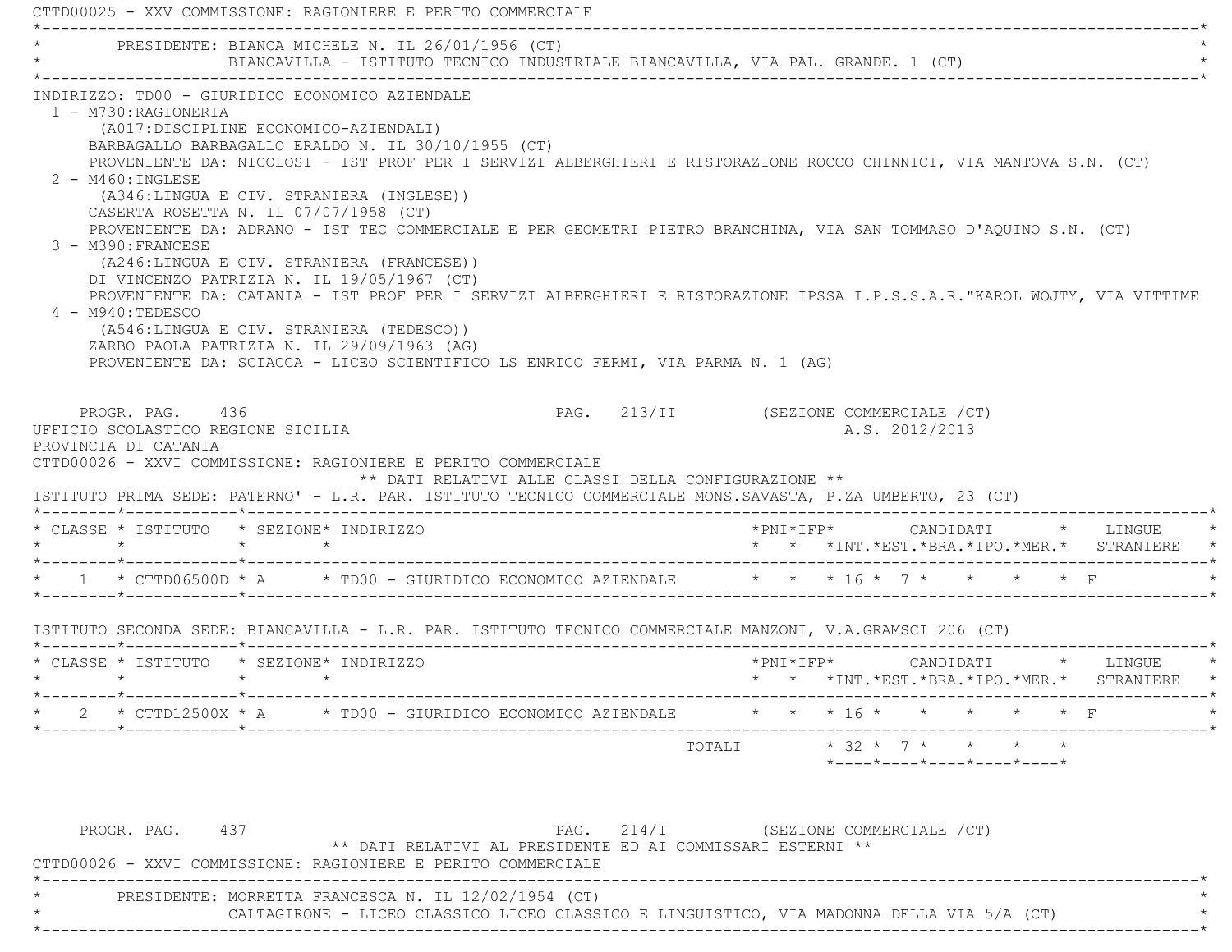|                                                                                        | PRESIDENTE: BIANCA MICHELE N. IL 26/01/1956 (CT)<br>BIANCAVILLA - ISTITUTO TECNICO INDUSTRIALE BIANCAVILLA, VIA PAL. GRANDE. 1 (CT)                                                                                                                                                                                                                                                                                                                                                                                                                                                                                                                                                                                                                                                                                                                                                |                                                      |                                       |                         |           |                |  |                                                                  |
|----------------------------------------------------------------------------------------|------------------------------------------------------------------------------------------------------------------------------------------------------------------------------------------------------------------------------------------------------------------------------------------------------------------------------------------------------------------------------------------------------------------------------------------------------------------------------------------------------------------------------------------------------------------------------------------------------------------------------------------------------------------------------------------------------------------------------------------------------------------------------------------------------------------------------------------------------------------------------------|------------------------------------------------------|---------------------------------------|-------------------------|-----------|----------------|--|------------------------------------------------------------------|
| 1 - M730:RAGIONERIA<br>$2 - M460$ : INGLESE<br>3 - M390: FRANCESE<br>4 - M940: TEDESCO | INDIRIZZO: TD00 - GIURIDICO ECONOMICO AZIENDALE<br>(A017:DISCIPLINE ECONOMICO-AZIENDALI)<br>BARBAGALLO BARBAGALLO ERALDO N. IL 30/10/1955 (CT)<br>PROVENIENTE DA: NICOLOSI - IST PROF PER I SERVIZI ALBERGHIERI E RISTORAZIONE ROCCO CHINNICI, VIA MANTOVA S.N. (CT)<br>(A346:LINGUA E CIV. STRANIERA (INGLESE))<br>CASERTA ROSETTA N. IL 07/07/1958 (CT)<br>PROVENIENTE DA: ADRANO - IST TEC COMMERCIALE E PER GEOMETRI PIETRO BRANCHINA, VIA SAN TOMMASO D'AQUINO S.N. (CT)<br>(A246:LINGUA E CIV. STRANIERA (FRANCESE))<br>DI VINCENZO PATRIZIA N. IL 19/05/1967 (CT)<br>PROVENIENTE DA: CATANIA - IST PROF PER I SERVIZI ALBERGHIERI E RISTORAZIONE IPSSA I.P.S.S.A.R. "KAROL WOJTY, VIA VITTIME<br>(A546:LINGUA E CIV. STRANIERA (TEDESCO))<br>ZARBO PAOLA PATRIZIA N. IL 29/09/1963 (AG)<br>PROVENIENTE DA: SCIACCA - LICEO SCIENTIFICO LS ENRICO FERMI, VIA PARMA N. 1 (AG) |                                                      |                                       |                         |           |                |  |                                                                  |
| PROGR, PAG, 436<br>UFFICIO SCOLASTICO REGIONE SICILIA<br>PROVINCIA DI CATANIA          | CTTD00026 - XXVI COMMISSIONE: RAGIONIERE E PERITO COMMERCIALE<br>ISTITUTO PRIMA SEDE: PATERNO' - L.R. PAR. ISTITUTO TECNICO COMMERCIALE MONS. SAVASTA, P.ZA UMBERTO, 23 (CT)                                                                                                                                                                                                                                                                                                                                                                                                                                                                                                                                                                                                                                                                                                       | ** DATI RELATIVI ALLE CLASSI DELLA CONFIGURAZIONE ** | PAG. 213/II (SEZIONE COMMERCIALE /CT) |                         |           | A.S. 2012/2013 |  |                                                                  |
| * CLASSE * ISTITUTO * SEZIONE* INDIRIZZO                                               | $\star$ $\star$                                                                                                                                                                                                                                                                                                                                                                                                                                                                                                                                                                                                                                                                                                                                                                                                                                                                    |                                                      |                                       |                         |           |                |  | *PNI*IFP*     CANDIDATI    *   LINGUE                            |
|                                                                                        | * 1 * CTTD06500D * A * TD00 - GIURIDICO ECONOMICO AZIENDALE * * * 16 * 7 * * * * * * F                                                                                                                                                                                                                                                                                                                                                                                                                                                                                                                                                                                                                                                                                                                                                                                             |                                                      |                                       |                         |           |                |  |                                                                  |
|                                                                                        | ISTITUTO SECONDA SEDE: BIANCAVILLA - L.R. PAR. ISTITUTO TECNICO COMMERCIALE MANZONI, V.A.GRAMSCI 206 (CT)                                                                                                                                                                                                                                                                                                                                                                                                                                                                                                                                                                                                                                                                                                                                                                          |                                                      |                                       |                         |           |                |  |                                                                  |
| * CLASSE * ISTITUTO * SEZIONE* INDIRIZZO                                               |                                                                                                                                                                                                                                                                                                                                                                                                                                                                                                                                                                                                                                                                                                                                                                                                                                                                                    |                                                      |                                       |                         | *PNI*IFP* |                |  | CANDIDATI * LINGUE<br>* * *INT.*EST.*BRA.*IPO.*MER.* STRANIERE * |
|                                                                                        |                                                                                                                                                                                                                                                                                                                                                                                                                                                                                                                                                                                                                                                                                                                                                                                                                                                                                    |                                                      |                                       |                         |           |                |  |                                                                  |
|                                                                                        | * CTTD12500X * A * TD00 - GIURIDICO ECONOMICO AZIENDALE                                                                                                                                                                                                                                                                                                                                                                                                                                                                                                                                                                                                                                                                                                                                                                                                                            |                                                      |                                       | * * * 16 * * * * * * F  |           |                |  |                                                                  |
| PROGR. PAG. 437                                                                        | ** DATI RELATIVI AL PRESIDENTE ED AI COMMISSARI ESTERNI **                                                                                                                                                                                                                                                                                                                                                                                                                                                                                                                                                                                                                                                                                                                                                                                                                         |                                                      | PAG. 214/I (SEZIONE COMMERCIALE /CT)  | TOTALI * 32 * 7 * * * * |           |                |  | $*$ ---- $*$ ---- $*$ ---- $*$ ---- $*$ ---- $*$                 |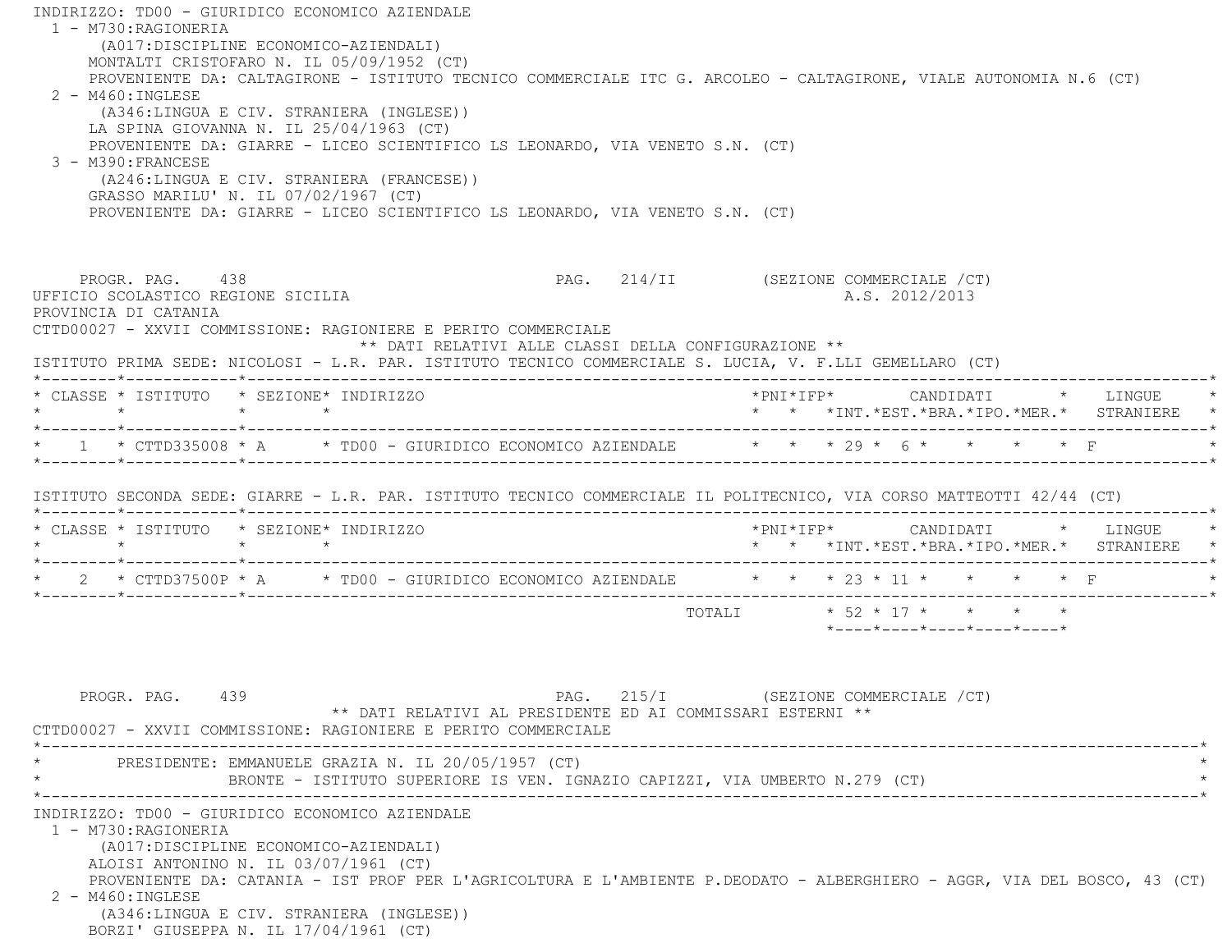INDIRIZZO: TD00 - GIURIDICO ECONOMICO AZIENDALE 1 - M730:RAGIONERIA (A017:DISCIPLINE ECONOMICO-AZIENDALI) MONTALTI CRISTOFARO N. IL 05/09/1952 (CT) PROVENIENTE DA: CALTAGIRONE - ISTITUTO TECNICO COMMERCIALE ITC G. ARCOLEO - CALTAGIRONE, VIALE AUTONOMIA N.6 (CT) 2 - M460:INGLESE (A346:LINGUA E CIV. STRANIERA (INGLESE)) LA SPINA GIOVANNA N. IL 25/04/1963 (CT) PROVENIENTE DA: GIARRE - LICEO SCIENTIFICO LS LEONARDO, VIA VENETO S.N. (CT) 3 - M390:FRANCESE (A246:LINGUA E CIV. STRANIERA (FRANCESE)) GRASSO MARILU' N. IL 07/02/1967 (CT) PROVENIENTE DA: GIARRE - LICEO SCIENTIFICO LS LEONARDO, VIA VENETO S.N. (CT) PROGR. PAG. 438 PAG. 214/II (SEZIONE COMMERCIALE / CT) UFFICIO SCOLASTICO REGIONE SICILIA A.S. 2012/2013 PROVINCIA DI CATANIA CTTD00027 - XXVII COMMISSIONE: RAGIONIERE E PERITO COMMERCIALE \*\* DATI RELATIVI ALLE CLASSI DELLA CONFIGURAZIONE \*\* ISTITUTO PRIMA SEDE: NICOLOSI - L.R. PAR. ISTITUTO TECNICO COMMERCIALE S. LUCIA, V. F.LLI GEMELLARO (CT) \*--------\*------------\*-------------------------------------------------------------------------------------------------------\* \* CLASSE \* ISTITUTO \* SEZIONE\* INDIRIZZO \*PNI\*IFP\* CANDIDATI \* LINGUE \* \* \* \* \* \* \* \*INT.\*EST.\*BRA.\*IPO.\*MER.\* STRANIERE \* \*--------\*------------\*-------------------------------------------------------------------------------------------------------\*\* 1 \* CTTD335008 \* A \* TD00 - GIURIDICO ECONOMICO AZIENDALE \* \* \* 29 \* 6 \* \* \* \* \* F \*--------\*------------\*-------------------------------------------------------------------------------------------------------\* ISTITUTO SECONDA SEDE: GIARRE - L.R. PAR. ISTITUTO TECNICO COMMERCIALE IL POLITECNICO, VIA CORSO MATTEOTTI 42/44 (CT) \*--------\*------------\*-------------------------------------------------------------------------------------------------------\* \* CLASSE \* ISTITUTO \* SEZIONE\* INDIRIZZO \*PNI\*IFP\* CANDIDATI \* LINGUE \* \* \* \* \* \* \* \*INT.\*EST.\*BRA.\*IPO.\*MER.\* STRANIERE \* \*--------\*------------\*-------------------------------------------------------------------------------------------------------\*\* 2 \* CTTD37500P \* A \* TD00 - GIURIDICO ECONOMICO AZIENDALE \* \* \* 23 \* 11 \* \* \* \* \* F \*--------\*------------\*-------------------------------------------------------------------------------------------------------\* TOTALI \* 52 \* 17 \* \* \* \* \*----\*----\*----\*----\*----\*PROGR. PAG. 439 PAG. 215/I (SEZIONE COMMERCIALE / CT) \*\* DATI RELATIVI AL PRESIDENTE ED AI COMMISSARI ESTERNI \*\* CTTD00027 - XXVII COMMISSIONE: RAGIONIERE E PERITO COMMERCIALE \*----------------------------------------------------------------------------------------------------------------------------\*PRESIDENTE: EMMANUELE GRAZIA N. IL 20/05/1957 (CT) BRONTE - ISTITUTO SUPERIORE IS VEN. IGNAZIO CAPIZZI, VIA UMBERTO N.279 (CT) \*----------------------------------------------------------------------------------------------------------------------------\* INDIRIZZO: TD00 - GIURIDICO ECONOMICO AZIENDALE 1 - M730:RAGIONERIA (A017:DISCIPLINE ECONOMICO-AZIENDALI) ALOISI ANTONINO N. IL 03/07/1961 (CT) PROVENIENTE DA: CATANIA - IST PROF PER L'AGRICOLTURA E L'AMBIENTE P.DEODATO - ALBERGHIERO - AGGR, VIA DEL BOSCO, 43 (CT) 2 - M460:INGLESE (A346:LINGUA E CIV. STRANIERA (INGLESE)) BORZI' GIUSEPPA N. IL 17/04/1961 (CT)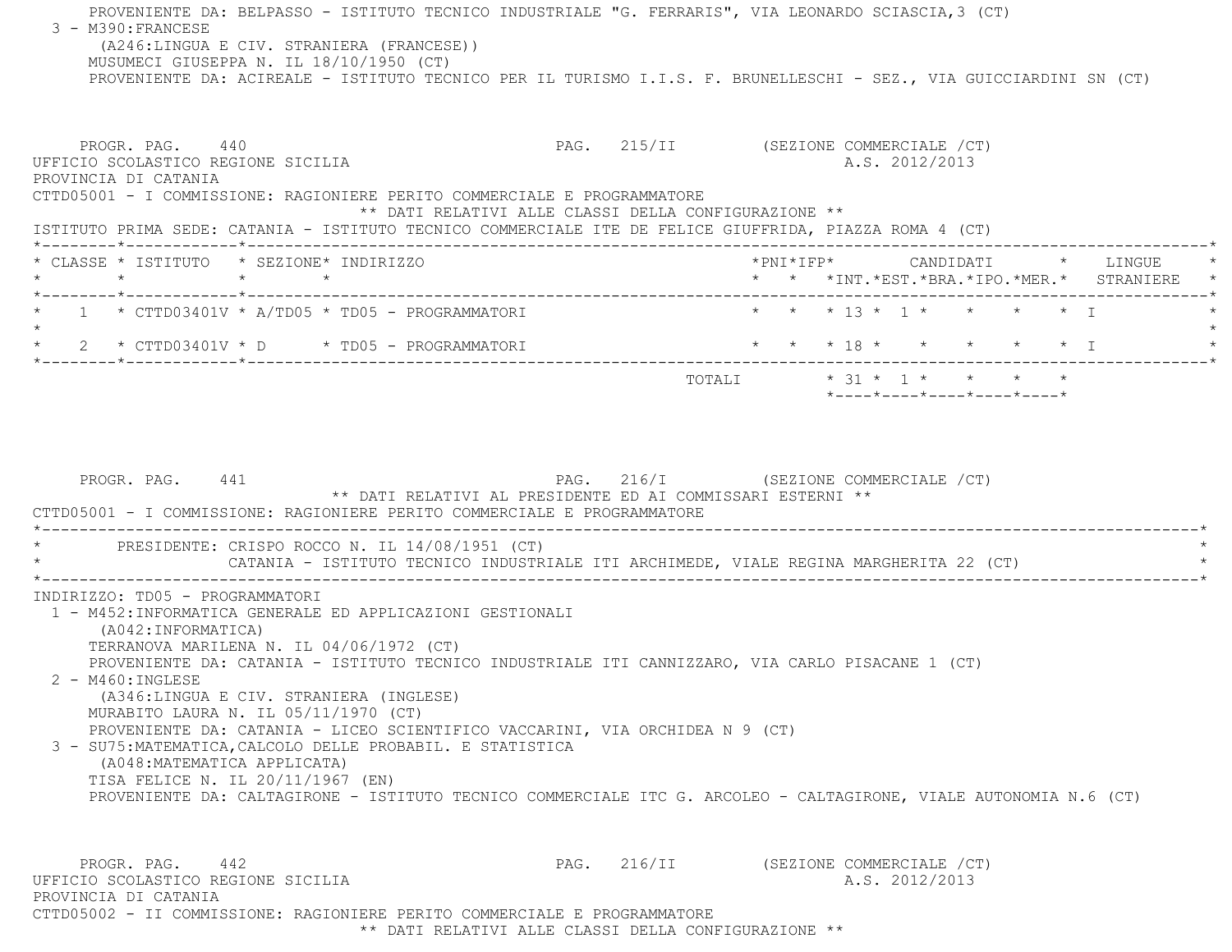PROVENIENTE DA: BELPASSO - ISTITUTO TECNICO INDUSTRIALE "G. FERRARIS", VIA LEONARDO SCIASCIA,3 (CT) 3 - M390:FRANCESE (A246:LINGUA E CIV. STRANIERA (FRANCESE)) MUSUMECI GIUSEPPA N. IL 18/10/1950 (CT) PROVENIENTE DA: ACIREALE - ISTITUTO TECNICO PER IL TURISMO I.I.S. F. BRUNELLESCHI - SEZ., VIA GUICCIARDINI SN (CT) PROGR. PAG. 440 **PAG.** PAG. 215/II (SEZIONE COMMERCIALE /CT) UFFICIO SCOLASTICO REGIONE SICILIA A.S. 2012/2013 PROVINCIA DI CATANIA CTTD05001 - I COMMISSIONE: RAGIONIERE PERITO COMMERCIALE E PROGRAMMATORE \*\* DATI RELATIVI ALLE CLASSI DELLA CONFIGURAZIONE \*\* ISTITUTO PRIMA SEDE: CATANIA - ISTITUTO TECNICO COMMERCIALE ITE DE FELICE GIUFFRIDA, PIAZZA ROMA 4 (CT) \*--------\*------------\*-------------------------------------------------------------------------------------------------------\* \* CLASSE \* ISTITUTO \* SEZIONE\* INDIRIZZO \*PNI\*IFP\* CANDIDATI \* LINGUE \* \* \* \* \* \* \* \*INT.\*EST.\*BRA.\*IPO.\*MER.\* STRANIERE \* \*--------\*------------\*-------------------------------------------------------------------------------------------------------\*\* 1 \* CTTD03401V \* A/TD05 \* TD05 - PROGRAMMATORI \* \* \* \* \* 13 \* 1 \* \* \* \* \* \* T  $\star$  \* 2 \* CTTD03401V \* D \* TD05 - PROGRAMMATORI \* \* \* 18 \* \* \* \* \* I \* \*--------\*------------\*-------------------------------------------------------------------------------------------------------\* $\texttt{TOTAL} \qquad \qquad \star \quad 31 \; \star \quad \ 1 \; \star \qquad \star \qquad \star \qquad \star \qquad \star$  \*----\*----\*----\*----\*----\*PROGR. PAG. 441 **PROGR. PAG.** 216/I (SEZIONE COMMERCIALE /CT) \*\* DATI RELATIVI AL PRESIDENTE ED AI COMMISSARI ESTERNI \*\* CTTD05001 - I COMMISSIONE: RAGIONIERE PERITO COMMERCIALE E PROGRAMMATORE $\star$ PRESIDENTE: CRISPO ROCCO N. IL 14/08/1951 (CT) CATANIA - ISTITUTO TECNICO INDUSTRIALE ITI ARCHIMEDE, VIALE REGINA MARGHERITA 22 (CT) \*----------------------------------------------------------------------------------------------------------------------------\* INDIRIZZO: TD05 - PROGRAMMATORI 1 - M452:INFORMATICA GENERALE ED APPLICAZIONI GESTIONALI (A042:INFORMATICA) TERRANOVA MARILENA N. IL 04/06/1972 (CT) PROVENIENTE DA: CATANIA - ISTITUTO TECNICO INDUSTRIALE ITI CANNIZZARO, VIA CARLO PISACANE 1 (CT) 2 - M460:INGLESE (A346:LINGUA E CIV. STRANIERA (INGLESE) MURABITO LAURA N. IL 05/11/1970 (CT) PROVENIENTE DA: CATANIA - LICEO SCIENTIFICO VACCARINI, VIA ORCHIDEA N 9 (CT) 3 - SU75:MATEMATICA,CALCOLO DELLE PROBABIL. E STATISTICA (A048:MATEMATICA APPLICATA) TISA FELICE N. IL 20/11/1967 (EN) PROVENIENTE DA: CALTAGIRONE - ISTITUTO TECNICO COMMERCIALE ITC G. ARCOLEO - CALTAGIRONE, VIALE AUTONOMIA N.6 (CT) PROGR. PAG. 442 PAG. 216/II (SEZIONE COMMERCIALE /CT) UFFICIO SCOLASTICO REGIONE SICILIA A.S. 2012/2013 PROVINCIA DI CATANIACTTD05002 - II COMMISSIONE: RAGIONIERE PERITO COMMERCIALE E PROGRAMMATORE

\*\* DATI RELATIVI ALLE CLASSI DELLA CONFIGURAZIONE \*\*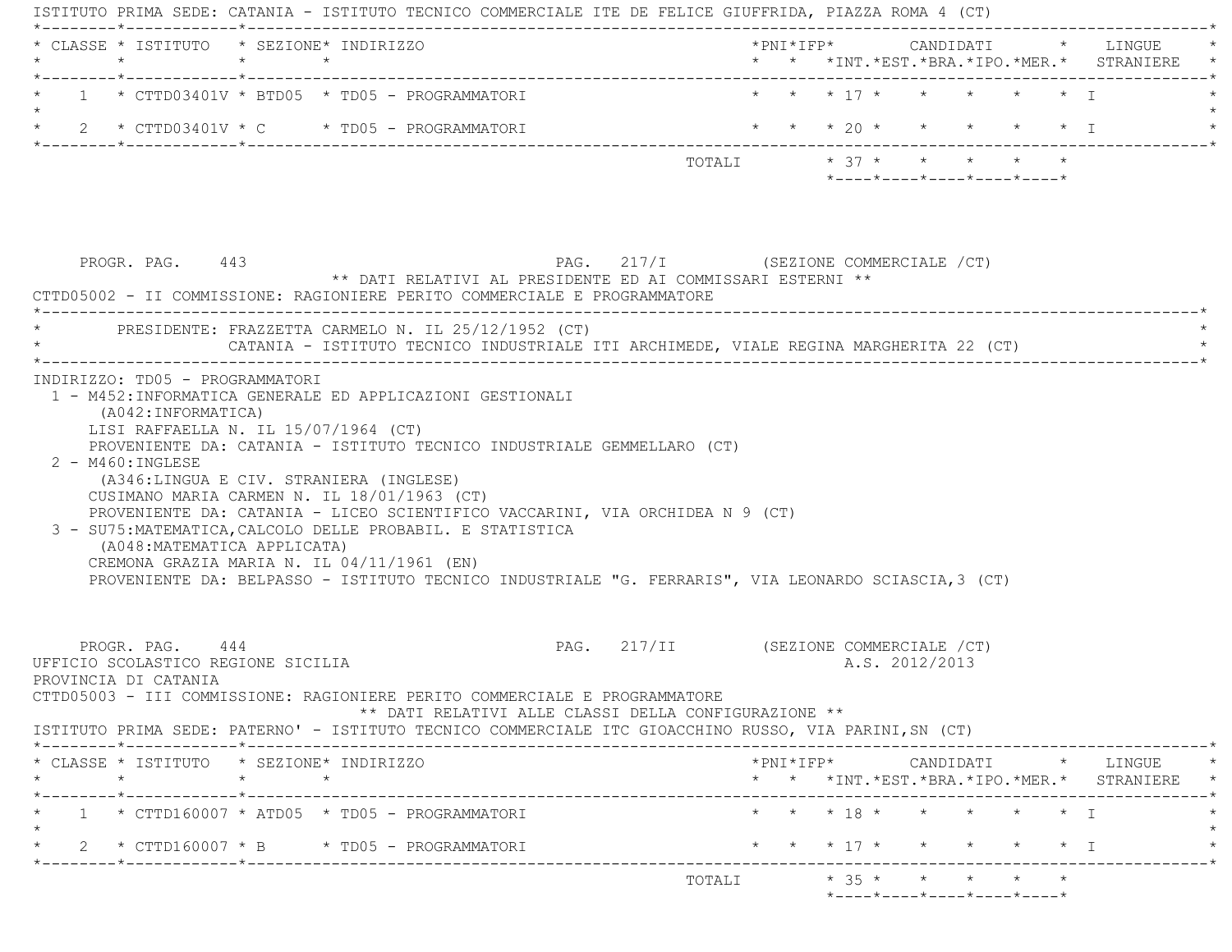ISTITUTO PRIMA SEDE: CATANIA - ISTITUTO TECNICO COMMERCIALE ITE DE FELICE GIUFFRIDA, PIAZZA ROMA 4 (CT) \*--------\*------------\*-------------------------------------------------------------------------------------------------------\* \* CLASSE \* ISTITUTO \* SEZIONE\* INDIRIZZO \*PNI\*IFP\* CANDIDATI \* LINGUE \* \* \* \* \* \* \* \*INT.\*EST.\*BRA.\*IPO.\*MER.\* STRANIERE \* \*--------\*------------\*-------------------------------------------------------------------------------------------------------\*1 \* CTTD03401V \* BTD05 \* TD05 - PROGRAMMATORI \* \* \* \* \* \* \* \* \* \* \* \* \* \* I \* \* \* I  $\star$ \* 2 \* CTTD03401V \* C \* TD05 - PROGRAMMATORI \* \* \* \* 20 \* \* \* \* \* \* \* I \*--------\*------------\*-------------------------------------------------------------------------------------------------------\*TOTALI  $\star$  37  $\star$   $\star$   $\star$   $\star$   $\star$  \*----\*----\*----\*----\*----\* PROGR. PAG. 443 PAG. 217/I (SEZIONE COMMERCIALE /CT) \*\* DATI RELATIVI AL PRESIDENTE ED AI COMMISSARI ESTERNI \*\* CTTD05002 - II COMMISSIONE: RAGIONIERE PERITO COMMERCIALE E PROGRAMMATORE \*----------------------------------------------------------------------------------------------------------------------------\*PRESIDENTE: FRAZZETTA CARMELO N. IL 25/12/1952 (CT) CATANIA - ISTITUTO TECNICO INDUSTRIALE ITI ARCHIMEDE, VIALE REGINA MARGHERITA 22 (CT) \*----------------------------------------------------------------------------------------------------------------------------\* INDIRIZZO: TD05 - PROGRAMMATORI 1 - M452:INFORMATICA GENERALE ED APPLICAZIONI GESTIONALI (A042:INFORMATICA) LISI RAFFAELLA N. IL 15/07/1964 (CT) PROVENIENTE DA: CATANIA - ISTITUTO TECNICO INDUSTRIALE GEMMELLARO (CT) 2 - M460:INGLESE (A346:LINGUA E CIV. STRANIERA (INGLESE) CUSIMANO MARIA CARMEN N. IL 18/01/1963 (CT) PROVENIENTE DA: CATANIA - LICEO SCIENTIFICO VACCARINI, VIA ORCHIDEA N 9 (CT) 3 - SU75:MATEMATICA,CALCOLO DELLE PROBABIL. E STATISTICA (A048:MATEMATICA APPLICATA) CREMONA GRAZIA MARIA N. IL 04/11/1961 (EN) PROVENIENTE DA: BELPASSO - ISTITUTO TECNICO INDUSTRIALE "G. FERRARIS", VIA LEONARDO SCIASCIA,3 (CT) PROGR. PAG. 444 4 PAG. 217/II (SEZIONE COMMERCIALE / CT) UFFICIO SCOLASTICO REGIONE SICILIA A.S. 2012/2013 PROVINCIA DI CATANIA CTTD05003 - III COMMISSIONE: RAGIONIERE PERITO COMMERCIALE E PROGRAMMATORE \*\* DATI RELATIVI ALLE CLASSI DELLA CONFIGURAZIONE \*\* ISTITUTO PRIMA SEDE: PATERNO' - ISTITUTO TECNICO COMMERCIALE ITC GIOACCHINO RUSSO, VIA PARINI,SN (CT) \*--------\*------------\*-------------------------------------------------------------------------------------------------------\* \* CLASSE \* ISTITUTO \* SEZIONE\* INDIRIZZO \*PNI\*IFP\* CANDIDATI \* LINGUE \* \* \* \* \* \* \* \*INT.\*EST.\*BRA.\*IPO.\*MER.\* STRANIERE \* \*--------\*------------\*-------------------------------------------------------------------------------------------------------\*1 \* CTTD160007 \* ATD05 \* TD05 - PROGRAMMATORI \* \* \* \* \* \* \* \* \* \* \* \* \* \* I \* \* \* I  $\star$ \* 2 \* CTTD160007 \* B \* TD05 - PROGRAMMATORI \* \* \* \* 17 \* \* \* \* \* \* \* \* I \*--------\*------------\*-------------------------------------------------------------------------------------------------------\*TOTALI  $* 35 * * * * * * * * * *$ \*----\*----\*----\*----\*----\*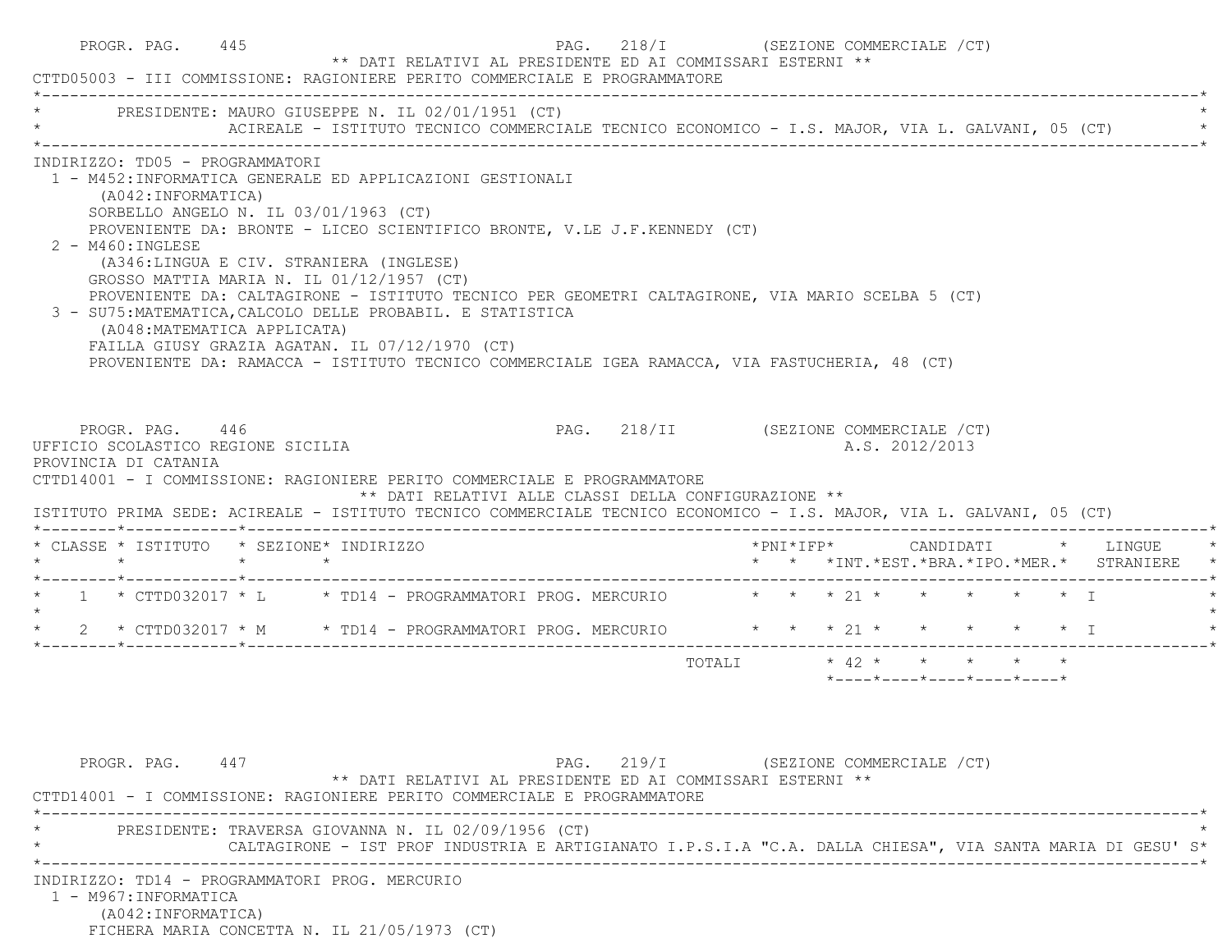| CTTD05003 - III COMMISSIONE: RAGIONIERE PERITO COMMERCIALE E PROGRAMMATORE                                                                                                                                                                                                                                                                                                                                                                                                                                                                                                                                                                                                                               | PROGR. PAG. 445 | ** DATI RELATIVI AL PRESIDENTE ED AI COMMISSARI ESTERNI **                                                                                                       | PAG. 218/I (SEZIONE COMMERCIALE /CT)  |        |  |                       |                |                                                                                                |  |                                                                |  |
|----------------------------------------------------------------------------------------------------------------------------------------------------------------------------------------------------------------------------------------------------------------------------------------------------------------------------------------------------------------------------------------------------------------------------------------------------------------------------------------------------------------------------------------------------------------------------------------------------------------------------------------------------------------------------------------------------------|-----------------|------------------------------------------------------------------------------------------------------------------------------------------------------------------|---------------------------------------|--------|--|-----------------------|----------------|------------------------------------------------------------------------------------------------|--|----------------------------------------------------------------|--|
| PRESIDENTE: MAURO GIUSEPPE N. IL 02/01/1951 (CT)                                                                                                                                                                                                                                                                                                                                                                                                                                                                                                                                                                                                                                                         |                 | ACIREALE - ISTITUTO TECNICO COMMERCIALE TECNICO ECONOMICO - I.S. MAJOR, VIA L. GALVANI, 05 (CT)                                                                  |                                       |        |  |                       |                |                                                                                                |  |                                                                |  |
| INDIRIZZO: TD05 - PROGRAMMATORI<br>1 - M452:INFORMATICA GENERALE ED APPLICAZIONI GESTIONALI<br>(A042:INFORMATICA)<br>SORBELLO ANGELO N. IL 03/01/1963 (CT)<br>PROVENIENTE DA: BRONTE - LICEO SCIENTIFICO BRONTE, V.LE J.F.KENNEDY (CT)<br>2 - M460: INGLESE<br>(A346:LINGUA E CIV. STRANIERA (INGLESE)<br>GROSSO MATTIA MARIA N. IL 01/12/1957 (CT)<br>PROVENIENTE DA: CALTAGIRONE - ISTITUTO TECNICO PER GEOMETRI CALTAGIRONE, VIA MARIO SCELBA 5 (CT)<br>3 - SU75: MATEMATICA, CALCOLO DELLE PROBABIL. E STATISTICA<br>(A048: MATEMATICA APPLICATA)<br>FAILLA GIUSY GRAZIA AGATAN. IL 07/12/1970 (CT)<br>PROVENIENTE DA: RAMACCA - ISTITUTO TECNICO COMMERCIALE IGEA RAMACCA, VIA FASTUCHERIA, 48 (CT) |                 |                                                                                                                                                                  |                                       |        |  |                       |                |                                                                                                |  |                                                                |  |
| PROGR. PAG. 446<br>UFFICIO SCOLASTICO REGIONE SICILIA<br>PROVINCIA DI CATANIA<br>CTTD14001 - I COMMISSIONE: RAGIONIERE PERITO COMMERCIALE E PROGRAMMATORE                                                                                                                                                                                                                                                                                                                                                                                                                                                                                                                                                |                 |                                                                                                                                                                  | PAG. 218/II (SEZIONE COMMERCIALE /CT) |        |  |                       | A.S. 2012/2013 |                                                                                                |  |                                                                |  |
|                                                                                                                                                                                                                                                                                                                                                                                                                                                                                                                                                                                                                                                                                                          |                 | ** DATI RELATIVI ALLE CLASSI DELLA CONFIGURAZIONE **                                                                                                             |                                       |        |  |                       |                |                                                                                                |  |                                                                |  |
|                                                                                                                                                                                                                                                                                                                                                                                                                                                                                                                                                                                                                                                                                                          | $\star$ $\star$ |                                                                                                                                                                  |                                       |        |  | $*$ PNI $*$ I F P $*$ |                |                                                                                                |  | CANDIDATI * LINGUE<br>* * *INT.*EST.*BRA.*IPO.*MER.* STRANIERE |  |
| ISTITUTO PRIMA SEDE: ACIREALE - ISTITUTO TECNICO COMMERCIALE TECNICO ECONOMICO - I.S. MAJOR, VIA L. GALVANI, 05 (CT)<br>* CLASSE * ISTITUTO * SEZIONE* INDIRIZZO<br>$\star$ $\star$<br>* 1 * CTTD032017 * L * TD14 - PROGRAMMATORI PROG. MERCURIO * * * 21 * * * * * * * I                                                                                                                                                                                                                                                                                                                                                                                                                               |                 |                                                                                                                                                                  |                                       |        |  |                       |                |                                                                                                |  |                                                                |  |
| 2 * CTTD032017 * M * TD14 - PROGRAMMATORI PROG. MERCURIO * * * 21 * * * * * * * I<br>$\star$                                                                                                                                                                                                                                                                                                                                                                                                                                                                                                                                                                                                             |                 |                                                                                                                                                                  |                                       |        |  |                       |                |                                                                                                |  |                                                                |  |
|                                                                                                                                                                                                                                                                                                                                                                                                                                                                                                                                                                                                                                                                                                          |                 |                                                                                                                                                                  |                                       | TOTALI |  |                       |                | $\star$ 42 $\star$ $\star$ $\star$ $\star$<br>$*$ ---- $*$ ---- $*$ ---- $*$ ---- $*$ ---- $*$ |  |                                                                |  |
| PROGR. PAG. 447<br>CTTD14001 - I COMMISSIONE: RAGIONIERE PERITO COMMERCIALE E PROGRAMMATORE                                                                                                                                                                                                                                                                                                                                                                                                                                                                                                                                                                                                              |                 | ** DATI RELATIVI AL PRESIDENTE ED AI COMMISSARI ESTERNI **                                                                                                       | PAG. 219/I (SEZIONE COMMERCIALE /CT)  |        |  |                       |                |                                                                                                |  |                                                                |  |
|                                                                                                                                                                                                                                                                                                                                                                                                                                                                                                                                                                                                                                                                                                          |                 | PRESIDENTE: TRAVERSA GIOVANNA N. IL 02/09/1956 (CT)<br>CALTAGIRONE - IST PROF INDUSTRIA E ARTIGIANATO I.P.S.I.A "C.A. DALLA CHIESA", VIA SANTA MARIA DI GESU' S* |                                       |        |  |                       |                |                                                                                                |  |                                                                |  |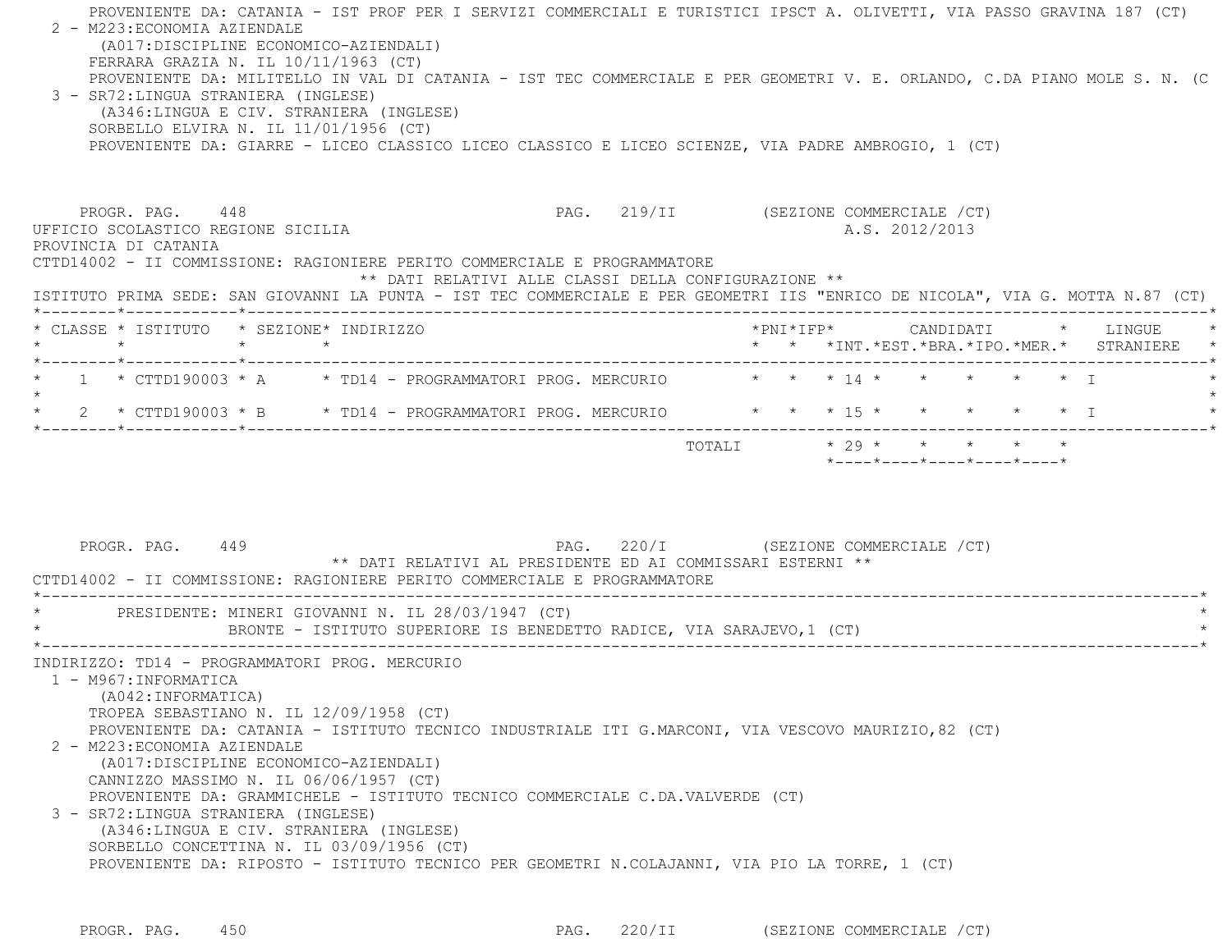PROVENIENTE DA: CATANIA - IST PROF PER I SERVIZI COMMERCIALI E TURISTICI IPSCT A. OLIVETTI, VIA PASSO GRAVINA 187 (CT) 2 - M223:ECONOMIA AZIENDALE (A017:DISCIPLINE ECONOMICO-AZIENDALI) FERRARA GRAZIA N. IL 10/11/1963 (CT) PROVENIENTE DA: MILITELLO IN VAL DI CATANIA - IST TEC COMMERCIALE E PER GEOMETRI V. E. ORLANDO, C.DA PIANO MOLE S. N. (C 3 - SR72:LINGUA STRANIERA (INGLESE) (A346:LINGUA E CIV. STRANIERA (INGLESE) SORBELLO ELVIRA N. IL 11/01/1956 (CT) PROVENIENTE DA: GIARRE - LICEO CLASSICO LICEO CLASSICO E LICEO SCIENZE, VIA PADRE AMBROGIO, 1 (CT) PROGR. PAG. 448 CHARL 219/II (SEZIONE COMMERCIALE / CT) UFFICIO SCOLASTICO REGIONE SICILIA A.S. 2012/2013 PROVINCIA DI CATANIA CTTD14002 - II COMMISSIONE: RAGIONIERE PERITO COMMERCIALE E PROGRAMMATORE \*\* DATI RELATIVI ALLE CLASSI DELLA CONFIGURAZIONE \*\* ISTITUTO PRIMA SEDE: SAN GIOVANNI LA PUNTA - IST TEC COMMERCIALE E PER GEOMETRI IIS "ENRICO DE NICOLA", VIA G. MOTTA N.87 (CT) \*--------\*------------\*-------------------------------------------------------------------------------------------------------\* \* CLASSE \* ISTITUTO \* SEZIONE\* INDIRIZZO \*PNI\*IFP\* CANDIDATI \* LINGUE \* \* \* \* \* \* \* \*INT.\*EST.\*BRA.\*IPO.\*MER.\* STRANIERE \* \*--------\*------------\*-------------------------------------------------------------------------------------------------------\* $1$  \* CTTD190003 \* A  $\quad$  \* TD14 - PROGRAMMATORI PROG. MERCURIO  $\quad$  \* \* \* 14 \* \* \* \* \* \* \* \* I  $\star$ \* 2 \* CTTD190003 \* B \* TD14 - PROGRAMMATORI PROG. MERCURIO \* \* \* \* 15 \* \* \* \* \* \* \* I \*--------\*------------\*-------------------------------------------------------------------------------------------------------\*TOTALI  $* 29 * * * * * * * * * *$  \*----\*----\*----\*----\*----\*PROGR. PAG. 449 **PROGR. PAG. 220/I** (SEZIONE COMMERCIALE /CT) \*\* DATI RELATIVI AL PRESIDENTE ED AI COMMISSARI ESTERNI \*\* CTTD14002 - II COMMISSIONE: RAGIONIERE PERITO COMMERCIALE E PROGRAMMATORE \*----------------------------------------------------------------------------------------------------------------------------\*PRESIDENTE: MINERI GIOVANNI N. IL 28/03/1947 (CT) BRONTE - ISTITUTO SUPERIORE IS BENEDETTO RADICE, VIA SARAJEVO, 1 (CT) \*----------------------------------------------------------------------------------------------------------------------------\* INDIRIZZO: TD14 - PROGRAMMATORI PROG. MERCURIO 1 - M967:INFORMATICA (A042:INFORMATICA) TROPEA SEBASTIANO N. IL 12/09/1958 (CT) PROVENIENTE DA: CATANIA - ISTITUTO TECNICO INDUSTRIALE ITI G.MARCONI, VIA VESCOVO MAURIZIO,82 (CT) 2 - M223:ECONOMIA AZIENDALE (A017:DISCIPLINE ECONOMICO-AZIENDALI) CANNIZZO MASSIMO N. IL 06/06/1957 (CT) PROVENIENTE DA: GRAMMICHELE - ISTITUTO TECNICO COMMERCIALE C.DA.VALVERDE (CT) 3 - SR72:LINGUA STRANIERA (INGLESE) (A346:LINGUA E CIV. STRANIERA (INGLESE) SORBELLO CONCETTINA N. IL 03/09/1956 (CT) PROVENIENTE DA: RIPOSTO - ISTITUTO TECNICO PER GEOMETRI N.COLAJANNI, VIA PIO LA TORRE, 1 (CT)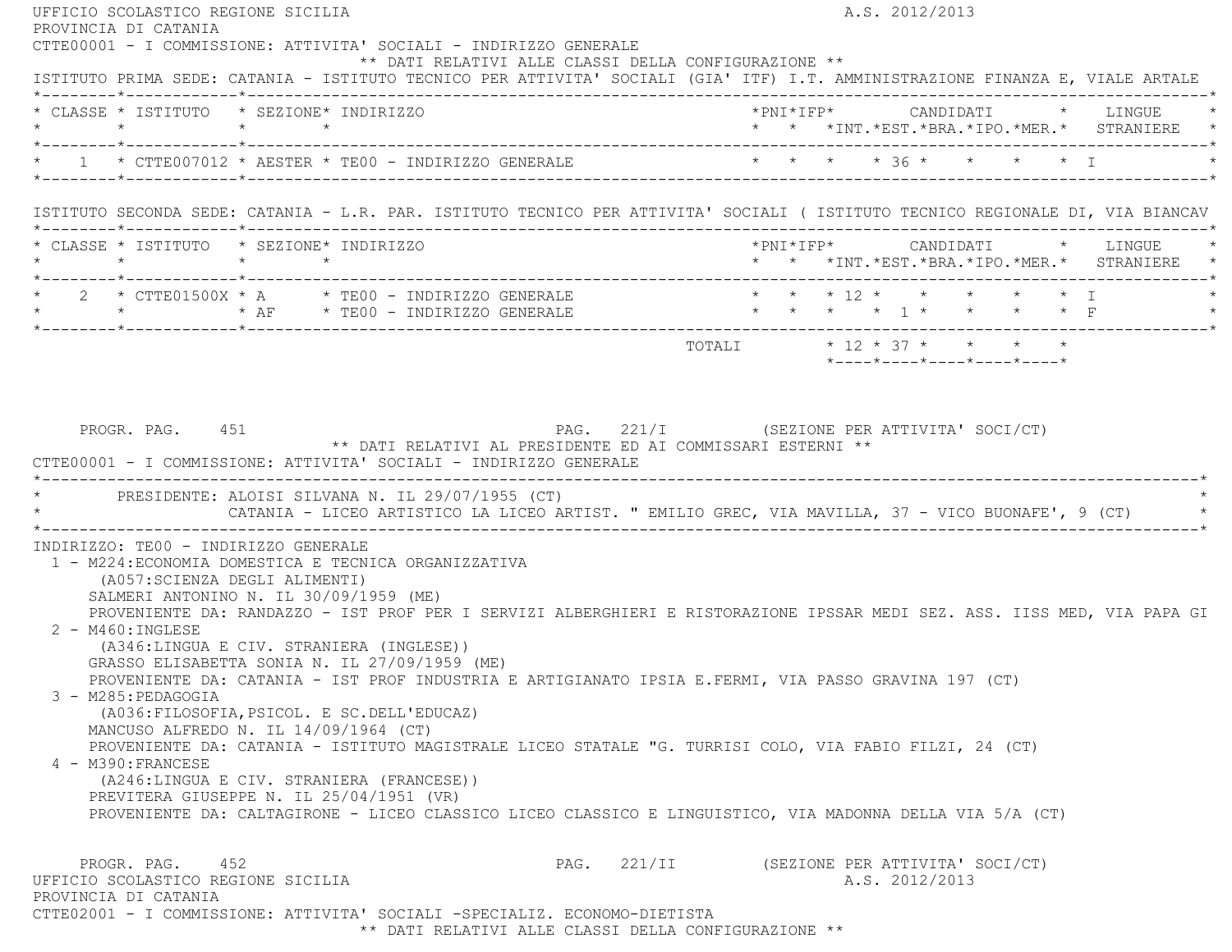| UFFICIO SCOLASTICO REGIONE SICILIA<br>PROVINCIA DI CATANIA                                                                                                                                                                                                       | A.S. 2012/2013                                                                                                           |
|------------------------------------------------------------------------------------------------------------------------------------------------------------------------------------------------------------------------------------------------------------------|--------------------------------------------------------------------------------------------------------------------------|
| CTTE00001 - I COMMISSIONE: ATTIVITA' SOCIALI - INDIRIZZO GENERALE<br>** DATI RELATIVI ALLE CLASSI DELLA CONFIGURAZIONE **<br>ISTITUTO PRIMA SEDE: CATANIA - ISTITUTO TECNICO PER ATTIVITA' SOCIALI (GIA' ITF) I.T. AMMINISTRAZIONE FINANZA E, VIALE ARTALE       |                                                                                                                          |
| * CLASSE * ISTITUTO * SEZIONE* INDIRIZZO                                                                                                                                                                                                                         | * * *INT.*EST.*BRA.*IPO.*MER.* STRANIERE *                                                                               |
| * 1 * CTTE007012 * AESTER * TE00 - INDIRIZZO GENERALE * * * * * * * * * * * * * I                                                                                                                                                                                |                                                                                                                          |
| ISTITUTO SECONDA SEDE: CATANIA - L.R. PAR. ISTITUTO TECNICO PER ATTIVITA' SOCIALI ( ISTITUTO TECNICO REGIONALE DI, VIA BIANCAV                                                                                                                                   |                                                                                                                          |
| * CLASSE * ISTITUTO * SEZIONE* INDIRIZZO                                                                                                                                                                                                                         | *PNI*IFP* CANDIDATI * LINGUE *<br>* * *INT. *EST. *BRA. *IPO. *MER. * STRANIERE *                                        |
| $\begin{array}{ccccccccc} \star & 2 & \star & \text{CTTE01500X} & \star & \text{A} & \star & \text{TE00} & - & \text{INDIRIZZO GENERALE} \\ \star & \star & \star & \star & \star & \text{AF} & \star & \text{TE00} & - & \text{INDIRIZZO GENERALE} \end{array}$ | * * * 12 * * * * * * I<br>* * * * 1 * * * * F                                                                            |
|                                                                                                                                                                                                                                                                  | *----*----*----*----*----*                                                                                               |
| PROGR. PAG. 451<br>** DATI RELATIVI AL PRESIDENTE ED AI COMMISSARI ESTERNI **<br>CTTE00001 - I COMMISSIONE: ATTIVITA' SOCIALI - INDIRIZZO GENERALE<br>* PRESIDENTE: ALOISI SILVANA N. IL 29/07/1955 (CT)                                                         | PAG. 221/I (SEZIONE PER ATTIVITA' SOCI/CT)                                                                               |
|                                                                                                                                                                                                                                                                  | CATANIA - LICEO ARTISTICO LA LICEO ARTIST. " EMILIO GREC, VIA MAVILLA, 37 - VICO BUONAFE', 9 (CT)                        |
| INDIRIZZO: TEOO - INDIRIZZO GENERALE<br>1 - M224: ECONOMIA DOMESTICA E TECNICA ORGANIZZATIVA                                                                                                                                                                     |                                                                                                                          |
| (A057:SCIENZA DEGLI ALIMENTI)<br>SALMERI ANTONINO N. IL 30/09/1959 (ME)                                                                                                                                                                                          |                                                                                                                          |
| 2 - M460: INGLESE<br>(A346:LINGUA E CIV. STRANIERA (INGLESE))                                                                                                                                                                                                    | PROVENIENTE DA: RANDAZZO - IST PROF PER I SERVIZI ALBERGHIERI E RISTORAZIONE IPSSAR MEDI SEZ. ASS. IISS MED, VIA PAPA GI |
| GRASSO ELISABETTA SONIA N. IL 27/09/1959 (ME)<br>PROVENIENTE DA: CATANIA - IST PROF INDUSTRIA E ARTIGIANATO IPSIA E.FERMI, VIA PASSO GRAVINA 197 (CT)<br>3 - M285: PEDAGOGIA                                                                                     |                                                                                                                          |
| (A036: FILOSOFIA, PSICOL. E SC. DELL'EDUCAZ)<br>MANCUSO ALFREDO N. IL 14/09/1964 (CT)                                                                                                                                                                            |                                                                                                                          |
| PROVENIENTE DA: CATANIA - ISTITUTO MAGISTRALE LICEO STATALE "G. TURRISI COLO, VIA FABIO FILZI, 24 (CT)<br>4 - M390: FRANCESE<br>(A246:LINGUA E CIV. STRANIERA (FRANCESE))                                                                                        |                                                                                                                          |
| PREVITERA GIUSEPPE N. IL 25/04/1951 (VR)<br>PROVENIENTE DA: CALTAGIRONE - LICEO CLASSICO LICEO CLASSICO E LINGUISTICO, VIA MADONNA DELLA VIA 5/A (CT)                                                                                                            |                                                                                                                          |

\*\* DATI RELATIVI ALLE CLASSI DELLA CONFIGURAZIONE \*\*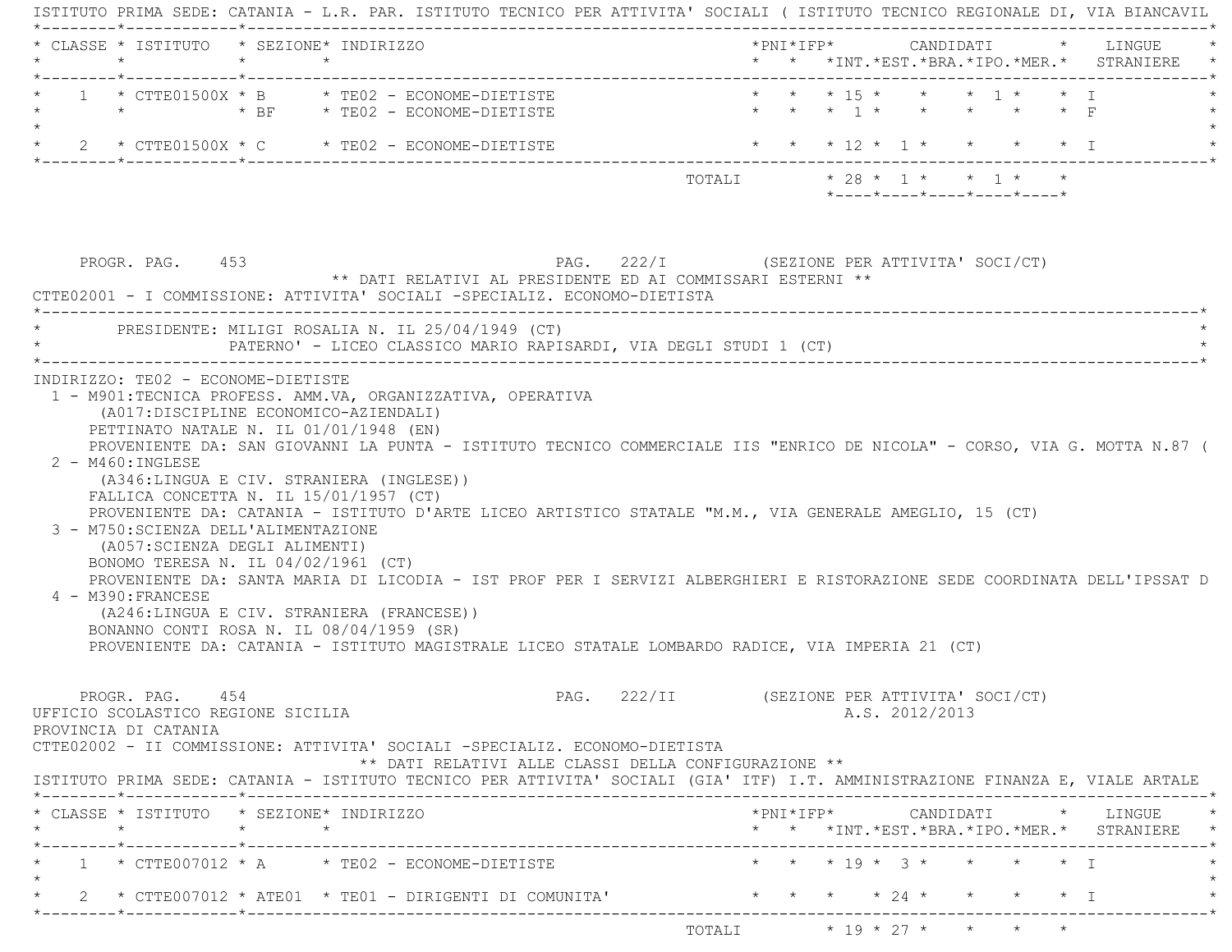| * * * 15 * * * * 1 * * I<br>$1 \times$ CTTE01500X $*$ B $*$ TE02 - ECONOME-DIETISTE<br>* * * 1 * * * * * * F<br>* * * 12 * 1 * * * * * I<br>$\star$ 2 $\star$ CTTE01500X $\star$ C $\star$ TE02 - ECONOME-DIETISTE<br>*----*----*----*----*----*<br>PAG. 222/I (SEZIONE PER ATTIVITA' SOCI/CT)<br>PROGR. PAG. 453<br>$^{\star\star}$ DATI RELATIVI AL PRESIDENTE ED AI COMMISSARI ESTERNI $^{\star\star}$<br>PATERNO' - LICEO CLASSICO MARIO RAPISARDI, VIA DEGLI STUDI 1 (CT)<br>1 - M901:TECNICA PROFESS. AMM.VA, ORGANIZZATIVA, OPERATIVA<br>(A017: DISCIPLINE ECONOMICO-AZIENDALI)<br>PETTINATO NATALE N. IL 01/01/1948 (EN)<br>PROVENIENTE DA: SAN GIOVANNI LA PUNTA - ISTITUTO TECNICO COMMERCIALE IIS "ENRICO DE NICOLA" - CORSO, VIA G. MOTTA N.87 (<br>$2 - M460$ : INGLESE<br>(A346:LINGUA E CIV. STRANIERA (INGLESE))<br>FALLICA CONCETTA N. IL $15/01/1957$ (CT)<br>PROVENIENTE DA: CATANIA - ISTITUTO D'ARTE LICEO ARTISTICO STATALE "M.M., VIA GENERALE AMEGLIO, 15 (CT)<br>3 - M750: SCIENZA DELL'ALIMENTAZIONE<br>(A057: SCIENZA DEGLI ALIMENTI)<br>BONOMO TERESA N. IL 04/02/1961 (CT)<br>PROVENIENTE DA: SANTA MARIA DI LICODIA - IST PROF PER I SERVIZI ALBERGHIERI E RISTORAZIONE SEDE COORDINATA DELL'IPSSAT D<br>4 - M390: FRANCESE<br>(A246:LINGUA E CIV. STRANIERA (FRANCESE))<br>BONANNO CONTI ROSA N. IL 08/04/1959 (SR)<br>PROVENIENTE DA: CATANIA - ISTITUTO MAGISTRALE LICEO STATALE LOMBARDO RADICE, VIA IMPERIA 21 (CT)<br>PROGR. PAG. 454<br>PAG. 222/II (SEZIONE PER ATTIVITA' SOCI/CT)<br>A.S. 2012/2013<br>** DATI RELATIVI ALLE CLASSI DELLA CONFIGURAZIONE **<br>$*$ PNI $*$ IFP $*$ CANDIDATI $*$ LINGUE $*$<br>* * *INT.*EST.*BRA.*IPO.*MER.* STRANIERE *<br>. _ _ _ _ _ * _ _ _ _ _ _ _ _ _ _ _ _ * _ _ _ _ _ _ _ _ _<br>* * * 19 * 3 * * * * * I<br>$1 \times$ CTTE007012 $\star$ A $\star$ TE02 - ECONOME-DIETISTE<br>2 * CTTE007012 * ATE01 * TE01 - DIRIGENTI DI COMUNITA' * * * * * * * * * * * * * * * I | * CLASSE * ISTITUTO * SEZIONE* INDIRIZZO<br>$\star$ | $\star$ | $\star$ |  |  |  |  |  |  | * * *INT.*EST.*BRA.*IPO.*MER.* STRANIERE |
|--------------------------------------------------------------------------------------------------------------------------------------------------------------------------------------------------------------------------------------------------------------------------------------------------------------------------------------------------------------------------------------------------------------------------------------------------------------------------------------------------------------------------------------------------------------------------------------------------------------------------------------------------------------------------------------------------------------------------------------------------------------------------------------------------------------------------------------------------------------------------------------------------------------------------------------------------------------------------------------------------------------------------------------------------------------------------------------------------------------------------------------------------------------------------------------------------------------------------------------------------------------------------------------------------------------------------------------------------------------------------------------------------------------------------------------------------------------------------------------------------------------------------------------------------------------------------------------------------------------------------------------------------------------------------------------------------------------------------------------------------------------------------------------------------------------------------------------------------------------------------------------------------------------------------------------------------------|-----------------------------------------------------|---------|---------|--|--|--|--|--|--|------------------------------------------|
|                                                                                                                                                                                                                                                                                                                                                                                                                                                                                                                                                                                                                                                                                                                                                                                                                                                                                                                                                                                                                                                                                                                                                                                                                                                                                                                                                                                                                                                                                                                                                                                                                                                                                                                                                                                                                                                                                                                                                        |                                                     |         |         |  |  |  |  |  |  |                                          |
|                                                                                                                                                                                                                                                                                                                                                                                                                                                                                                                                                                                                                                                                                                                                                                                                                                                                                                                                                                                                                                                                                                                                                                                                                                                                                                                                                                                                                                                                                                                                                                                                                                                                                                                                                                                                                                                                                                                                                        |                                                     |         |         |  |  |  |  |  |  |                                          |
| CTTE02001 - I COMMISSIONE: ATTIVITA' SOCIALI -SPECIALIZ. ECONOMO-DIETISTA                                                                                                                                                                                                                                                                                                                                                                                                                                                                                                                                                                                                                                                                                                                                                                                                                                                                                                                                                                                                                                                                                                                                                                                                                                                                                                                                                                                                                                                                                                                                                                                                                                                                                                                                                                                                                                                                              |                                                     |         |         |  |  |  |  |  |  |                                          |
| * PRESIDENTE: MILIGI ROSALIA N. IL 25/04/1949 (CT)<br>INDIRIZZO: TE02 - ECONOME-DIETISTE<br>UFFICIO SCOLASTICO REGIONE SICILIA<br>PROVINCIA DI CATANIA<br>CTTE02002 - II COMMISSIONE: ATTIVITA' SOCIALI -SPECIALIZ. ECONOMO-DIETISTA<br>ISTITUTO PRIMA SEDE: CATANIA - ISTITUTO TECNICO PER ATTIVITA' SOCIALI (GIA' ITF) I.T. AMMINISTRAZIONE FINANZA E, VIALE ARTALE<br>* CLASSE * ISTITUTO * SEZIONE* INDIRIZZO                                                                                                                                                                                                                                                                                                                                                                                                                                                                                                                                                                                                                                                                                                                                                                                                                                                                                                                                                                                                                                                                                                                                                                                                                                                                                                                                                                                                                                                                                                                                      |                                                     |         |         |  |  |  |  |  |  |                                          |
|                                                                                                                                                                                                                                                                                                                                                                                                                                                                                                                                                                                                                                                                                                                                                                                                                                                                                                                                                                                                                                                                                                                                                                                                                                                                                                                                                                                                                                                                                                                                                                                                                                                                                                                                                                                                                                                                                                                                                        |                                                     |         |         |  |  |  |  |  |  |                                          |
|                                                                                                                                                                                                                                                                                                                                                                                                                                                                                                                                                                                                                                                                                                                                                                                                                                                                                                                                                                                                                                                                                                                                                                                                                                                                                                                                                                                                                                                                                                                                                                                                                                                                                                                                                                                                                                                                                                                                                        |                                                     |         |         |  |  |  |  |  |  |                                          |
|                                                                                                                                                                                                                                                                                                                                                                                                                                                                                                                                                                                                                                                                                                                                                                                                                                                                                                                                                                                                                                                                                                                                                                                                                                                                                                                                                                                                                                                                                                                                                                                                                                                                                                                                                                                                                                                                                                                                                        |                                                     |         |         |  |  |  |  |  |  |                                          |
|                                                                                                                                                                                                                                                                                                                                                                                                                                                                                                                                                                                                                                                                                                                                                                                                                                                                                                                                                                                                                                                                                                                                                                                                                                                                                                                                                                                                                                                                                                                                                                                                                                                                                                                                                                                                                                                                                                                                                        |                                                     |         |         |  |  |  |  |  |  |                                          |
|                                                                                                                                                                                                                                                                                                                                                                                                                                                                                                                                                                                                                                                                                                                                                                                                                                                                                                                                                                                                                                                                                                                                                                                                                                                                                                                                                                                                                                                                                                                                                                                                                                                                                                                                                                                                                                                                                                                                                        |                                                     |         |         |  |  |  |  |  |  |                                          |
|                                                                                                                                                                                                                                                                                                                                                                                                                                                                                                                                                                                                                                                                                                                                                                                                                                                                                                                                                                                                                                                                                                                                                                                                                                                                                                                                                                                                                                                                                                                                                                                                                                                                                                                                                                                                                                                                                                                                                        |                                                     |         |         |  |  |  |  |  |  |                                          |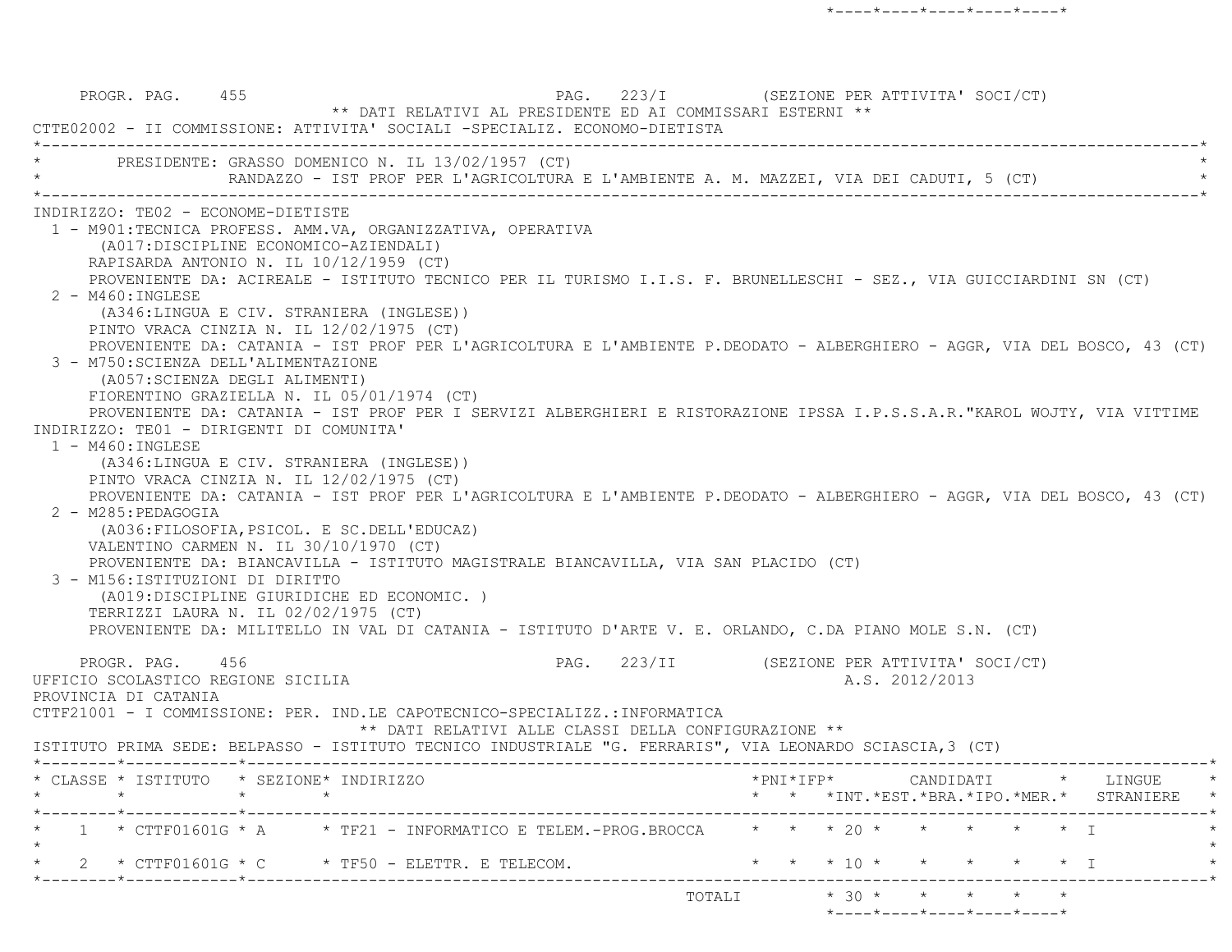PROGR. PAG. 455 223/I (SEZIONE PER ATTIVITA' SOCI/CT) \*\* DATI RELATIVI AL PRESIDENTE ED AI COMMISSARI ESTERNI \*\* CTTE02002 - II COMMISSIONE: ATTIVITA' SOCIALI -SPECIALIZ. ECONOMO-DIETISTA \*----------------------------------------------------------------------------------------------------------------------------\*PRESIDENTE: GRASSO DOMENICO N. IL 13/02/1957 (CT) RANDAZZO - IST PROF PER L'AGRICOLTURA E L'AMBIENTE A. M. MAZZEI, VIA DEI CADUTI, 5 (CT) \*----------------------------------------------------------------------------------------------------------------------------\* INDIRIZZO: TE02 - ECONOME-DIETISTE 1 - M901:TECNICA PROFESS. AMM.VA, ORGANIZZATIVA, OPERATIVA (A017:DISCIPLINE ECONOMICO-AZIENDALI) RAPISARDA ANTONIO N. IL 10/12/1959 (CT) PROVENIENTE DA: ACIREALE - ISTITUTO TECNICO PER IL TURISMO I.I.S. F. BRUNELLESCHI - SEZ., VIA GUICCIARDINI SN (CT) 2 - M460:INGLESE (A346:LINGUA E CIV. STRANIERA (INGLESE)) PINTO VRACA CINZIA N. IL 12/02/1975 (CT) PROVENIENTE DA: CATANIA - IST PROF PER L'AGRICOLTURA E L'AMBIENTE P.DEODATO - ALBERGHIERO - AGGR, VIA DEL BOSCO, 43 (CT) 3 - M750:SCIENZA DELL'ALIMENTAZIONE (A057:SCIENZA DEGLI ALIMENTI) FIORENTINO GRAZIELLA N. IL 05/01/1974 (CT) PROVENIENTE DA: CATANIA - IST PROF PER I SERVIZI ALBERGHIERI E RISTORAZIONE IPSSA I.P.S.S.A.R."KAROL WOJTY, VIA VITTIM E INDIRIZZO: TE01 - DIRIGENTI DI COMUNITA' $1 - M460 : INGLESE$  (A346:LINGUA E CIV. STRANIERA (INGLESE)) PINTO VRACA CINZIA N. IL 12/02/1975 (CT) PROVENIENTE DA: CATANIA - IST PROF PER L'AGRICOLTURA E L'AMBIENTE P.DEODATO - ALBERGHIERO - AGGR, VIA DEL BOSCO, 43 (CT) 2 - M285:PEDAGOGIA (A036:FILOSOFIA,PSICOL. E SC.DELL'EDUCAZ) VALENTINO CARMEN N. IL 30/10/1970 (CT) PROVENIENTE DA: BIANCAVILLA - ISTITUTO MAGISTRALE BIANCAVILLA, VIA SAN PLACIDO (CT) 3 - M156:ISTITUZIONI DI DIRITTO (A019:DISCIPLINE GIURIDICHE ED ECONOMIC. ) TERRIZZI LAURA N. IL 02/02/1975 (CT) PROVENIENTE DA: MILITELLO IN VAL DI CATANIA - ISTITUTO D'ARTE V. E. ORLANDO, C.DA PIANO MOLE S.N. (CT) PROGR. PAG. 456 PAG. 223/II (SEZIONE PER ATTIVITA' SOCI/CT) UFFICIO SCOLASTICO REGIONE SICILIA A.S. 2012/2013 PROVINCIA DI CATANIA CTTF21001 - I COMMISSIONE: PER. IND.LE CAPOTECNICO-SPECIALIZZ.:INFORMATICA \*\* DATI RELATIVI ALLE CLASSI DELLA CONFIGURAZIONE \*\* ISTITUTO PRIMA SEDE: BELPASSO - ISTITUTO TECNICO INDUSTRIALE "G. FERRARIS", VIA LEONARDO SCIASCIA,3 (CT) \*--------\*------------\*-------------------------------------------------------------------------------------------------------\* \* CLASSE \* ISTITUTO \* SEZIONE\* INDIRIZZO \*PNI\*IFP\* CANDIDATI \* LINGUE \* \* \* \* \* \* \* \*INT.\*EST.\*BRA.\*IPO.\*MER.\* STRANIERE \* \*--------\*------------\*-------------------------------------------------------------------------------------------------------\*\* 1 \* CTTF01601G \* A \* TF21 - INFORMATICO E TELEM.-PROG.BROCCA \* \* \* 20 \* \* \* \* \* \* \* I  $\star$ 2 \* CTTF01601G \* C \* TF50 - ELETTR. E TELECOM. \* \* \* \* 10 \* \* \* \* \* \* \* T \*--------\*------------\*-------------------------------------------------------------------------------------------------------\*TOTALI  $* 30 * * * * * * * *$ \*----\*----\*----\*----\*----\*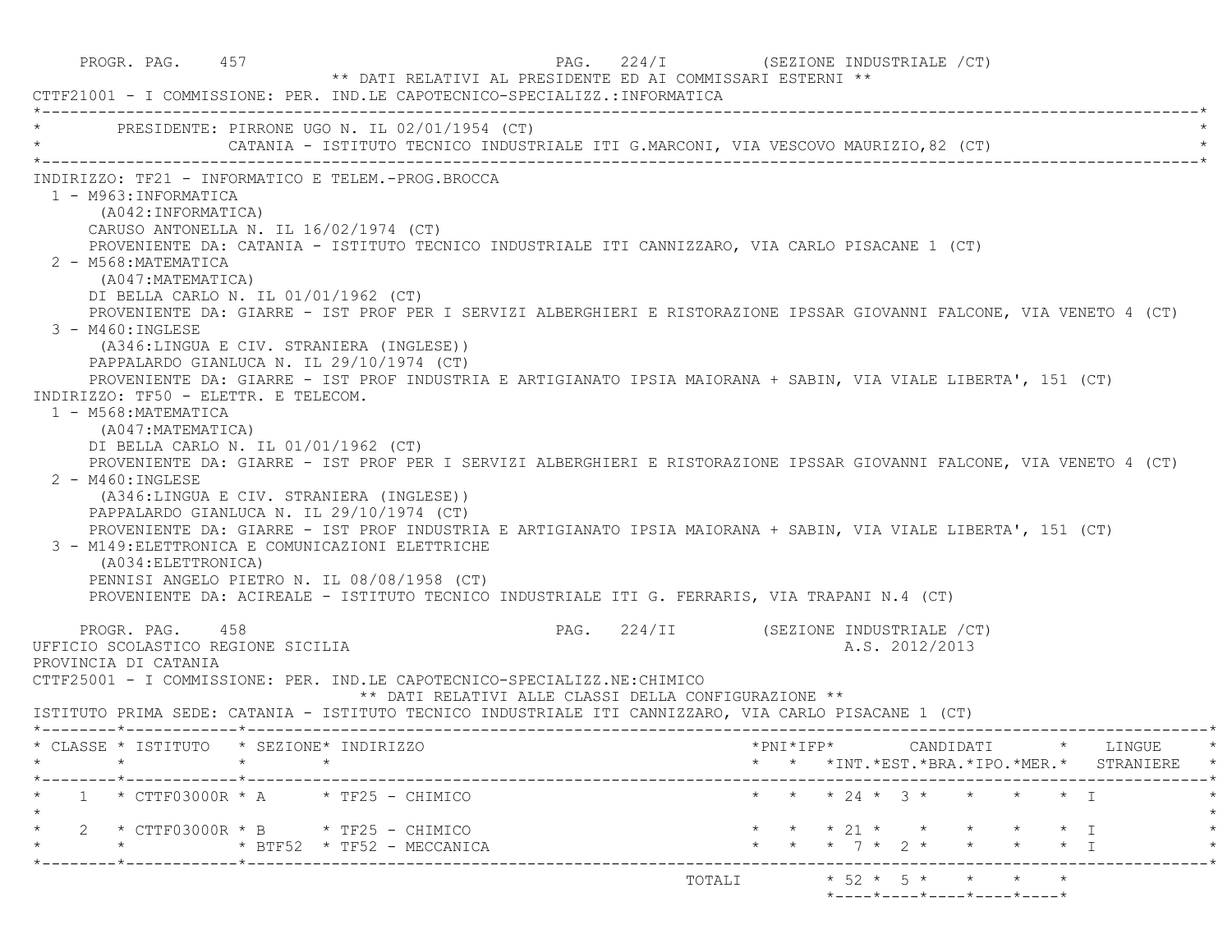| PROGR. PAG. 457<br>CTTF21001 - I COMMISSIONE: PER. IND.LE CAPOTECNICO-SPECIALIZZ.:INFORMATICA                                                                                                                                                                                                                                                                                                                                                                                                                                                                                                                                                                                                                          | PAG. 224/I (SEZIONE INDUSTRIALE /CT)<br>** DATI RELATIVI AL PRESIDENTE ED AI COMMISSARI ESTERNI **                                                                                                                                                                                                                                                                                                                                                                                                                                                                                                                                                                                      |
|------------------------------------------------------------------------------------------------------------------------------------------------------------------------------------------------------------------------------------------------------------------------------------------------------------------------------------------------------------------------------------------------------------------------------------------------------------------------------------------------------------------------------------------------------------------------------------------------------------------------------------------------------------------------------------------------------------------------|-----------------------------------------------------------------------------------------------------------------------------------------------------------------------------------------------------------------------------------------------------------------------------------------------------------------------------------------------------------------------------------------------------------------------------------------------------------------------------------------------------------------------------------------------------------------------------------------------------------------------------------------------------------------------------------------|
| PRESIDENTE: PIRRONE UGO N. IL 02/01/1954 (CT)                                                                                                                                                                                                                                                                                                                                                                                                                                                                                                                                                                                                                                                                          | CATANIA - ISTITUTO TECNICO INDUSTRIALE ITI G.MARCONI, VIA VESCOVO MAURIZIO,82 (CT)                                                                                                                                                                                                                                                                                                                                                                                                                                                                                                                                                                                                      |
| INDIRIZZO: TF21 - INFORMATICO E TELEM.-PROG.BROCCA<br>1 - M963: INFORMATICA<br>(A042: INFORMATICA)<br>CARUSO ANTONELLA N. IL 16/02/1974 (CT)<br>2 - M568: MATEMATICA<br>(A047: MATEMATICA)<br>DI BELLA CARLO N. IL 01/01/1962 (CT)<br>3 - M460: INGLESE<br>(A346:LINGUA E CIV. STRANIERA (INGLESE))<br>PAPPALARDO GIANLUCA N. IL 29/10/1974 (CT)<br>INDIRIZZO: TF50 - ELETTR. E TELECOM.<br>1 - M568: MATEMATICA<br>(A047: MATEMATICA)<br>DI BELLA CARLO N. IL 01/01/1962 (CT)<br>2 - M460: INGLESE<br>(A346:LINGUA E CIV. STRANIERA (INGLESE))<br>PAPPALARDO GIANLUCA N. IL 29/10/1974 (CT)<br>3 - M149: ELETTRONICA E COMUNICAZIONI ELETTRICHE<br>(A034: ELETTRONICA)<br>PENNISI ANGELO PIETRO N. IL 08/08/1958 (CT) | PROVENIENTE DA: CATANIA - ISTITUTO TECNICO INDUSTRIALE ITI CANNIZZARO, VIA CARLO PISACANE 1 (CT)<br>PROVENIENTE DA: GIARRE - IST PROF PER I SERVIZI ALBERGHIERI E RISTORAZIONE IPSSAR GIOVANNI FALCONE, VIA VENETO 4 (CT)<br>PROVENIENTE DA: GIARRE - IST PROF INDUSTRIA E ARTIGIANATO IPSIA MAIORANA + SABIN, VIA VIALE LIBERTA', 151 (CT)<br>PROVENIENTE DA: GIARRE - IST PROF PER I SERVIZI ALBERGHIERI E RISTORAZIONE IPSSAR GIOVANNI FALCONE, VIA VENETO 4 (CT)<br>PROVENIENTE DA: GIARRE - IST PROF INDUSTRIA E ARTIGIANATO IPSIA MAIORANA + SABIN, VIA VIALE LIBERTA', 151 (CT)<br>PROVENIENTE DA: ACIREALE - ISTITUTO TECNICO INDUSTRIALE ITI G. FERRARIS, VIA TRAPANI N.4 (CT) |
| PROGR. PAG. 458<br>UFFICIO SCOLASTICO REGIONE SICILIA<br>PROVINCIA DI CATANIA<br>CTTF25001 - I COMMISSIONE: PER. IND.LE CAPOTECNICO-SPECIALIZZ.NE: CHIMICO                                                                                                                                                                                                                                                                                                                                                                                                                                                                                                                                                             | PAG. 224/II (SEZIONE INDUSTRIALE /CT)<br>A.S. 2012/2013<br>** DATI RELATIVI ALLE CLASSI DELLA CONFIGURAZIONE **<br>ISTITUTO PRIMA SEDE: CATANIA - ISTITUTO TECNICO INDUSTRIALE ITI CANNIZZARO, VIA CARLO PISACANE 1 (CT)                                                                                                                                                                                                                                                                                                                                                                                                                                                                |
| * CLASSE * ISTITUTO * SEZIONE* INDIRIZZO                                                                                                                                                                                                                                                                                                                                                                                                                                                                                                                                                                                                                                                                               | *PNI*IFP*<br>CANDIDATI<br>* LINGUE<br>* * *INT. *EST. *BRA. *IPO. *MER. * STRANIERE *                                                                                                                                                                                                                                                                                                                                                                                                                                                                                                                                                                                                   |
| $1 * CTTF03000R * A * TF25 - CHIMICO$                                                                                                                                                                                                                                                                                                                                                                                                                                                                                                                                                                                                                                                                                  | * * * 24 * 3 * * * * * I                                                                                                                                                                                                                                                                                                                                                                                                                                                                                                                                                                                                                                                                |
| $2 * CTTF03000R * B * TF25 - CHIMICO$<br>* BTF52 * TF52 - MECCANICA                                                                                                                                                                                                                                                                                                                                                                                                                                                                                                                                                                                                                                                    | $\star$ $\star$ 21 $\star$ $\star$ $\star$<br>$\star$ I<br>* * * 7 * 2 * * * * * I                                                                                                                                                                                                                                                                                                                                                                                                                                                                                                                                                                                                      |
|                                                                                                                                                                                                                                                                                                                                                                                                                                                                                                                                                                                                                                                                                                                        | $* 52 * 5 * * * * * * *$<br>TOTALI<br>*----*----*----*----*----*                                                                                                                                                                                                                                                                                                                                                                                                                                                                                                                                                                                                                        |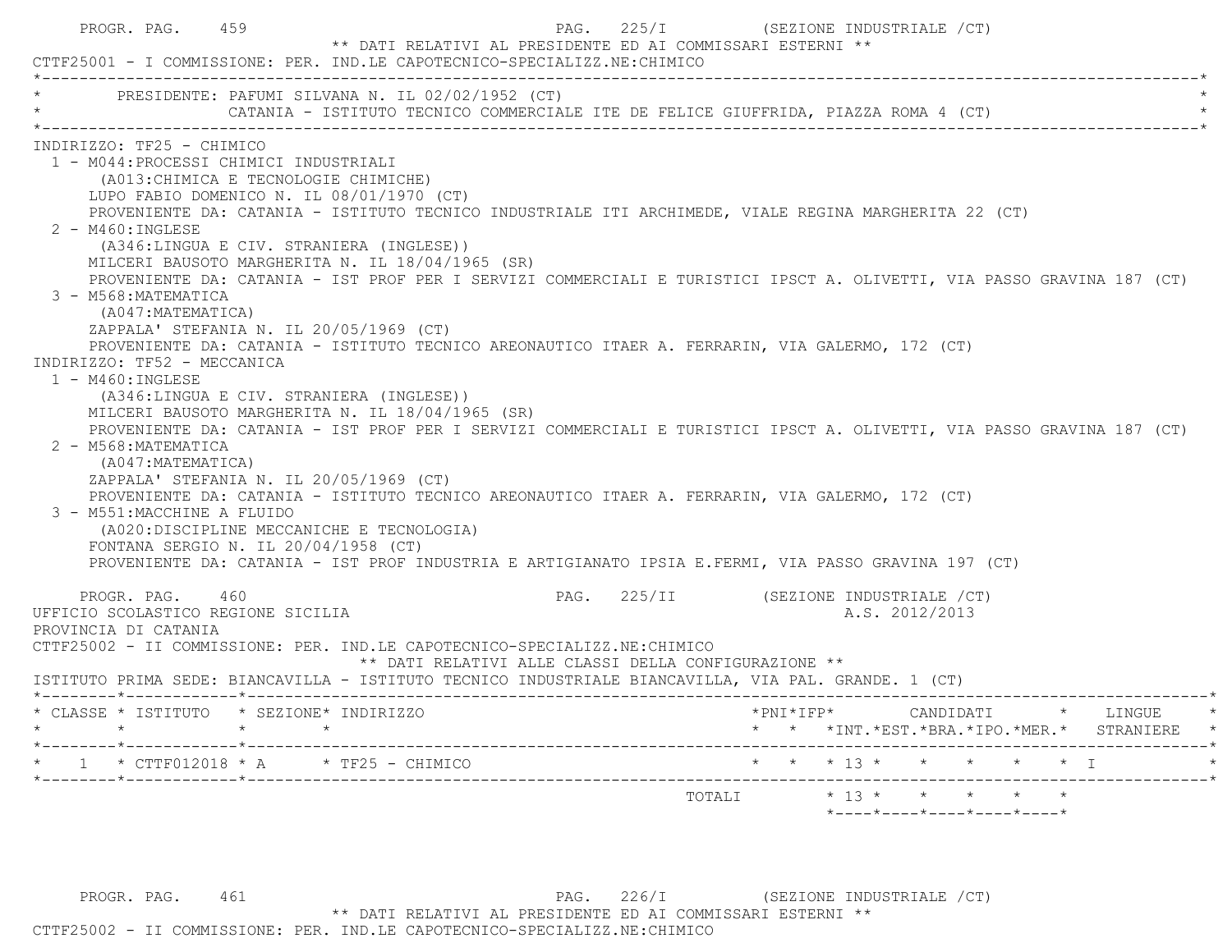|                                        | CTTF25001 - I COMMISSIONE: PER. IND.LE CAPOTECNICO-SPECIALIZZ.NE: CHIMICO                                                              |                                                      | ** DATI RELATIVI AL PRESIDENTE ED AI COMMISSARI ESTERNI **                                                             |
|----------------------------------------|----------------------------------------------------------------------------------------------------------------------------------------|------------------------------------------------------|------------------------------------------------------------------------------------------------------------------------|
|                                        | PRESIDENTE: PAFUMI SILVANA N. IL 02/02/1952 (CT)<br>CATANIA - ISTITUTO TECNICO COMMERCIALE ITE DE FELICE GIUFFRIDA, PIAZZA ROMA 4 (CT) |                                                      |                                                                                                                        |
| INDIRIZZO: TF25 - CHIMICO              |                                                                                                                                        |                                                      |                                                                                                                        |
| 1 - M044: PROCESSI CHIMICI INDUSTRIALI |                                                                                                                                        |                                                      |                                                                                                                        |
|                                        | (A013: CHIMICA E TECNOLOGIE CHIMICHE)                                                                                                  |                                                      |                                                                                                                        |
|                                        | LUPO FABIO DOMENICO N. IL 08/01/1970 (CT)                                                                                              |                                                      |                                                                                                                        |
|                                        |                                                                                                                                        |                                                      | PROVENIENTE DA: CATANIA - ISTITUTO TECNICO INDUSTRIALE ITI ARCHIMEDE, VIALE REGINA MARGHERITA 22 (CT)                  |
| 2 - M460: INGLESE                      |                                                                                                                                        |                                                      |                                                                                                                        |
|                                        | (A346:LINGUA E CIV. STRANIERA (INGLESE))                                                                                               |                                                      |                                                                                                                        |
|                                        | MILCERI BAUSOTO MARGHERITA N. IL 18/04/1965 (SR)                                                                                       |                                                      |                                                                                                                        |
|                                        |                                                                                                                                        |                                                      | PROVENIENTE DA: CATANIA - IST PROF PER I SERVIZI COMMERCIALI E TURISTICI IPSCT A. OLIVETTI, VIA PASSO GRAVINA 187 (CT) |
| 3 - M568: MATEMATICA                   |                                                                                                                                        |                                                      |                                                                                                                        |
| (A047:MATEMATICA)                      |                                                                                                                                        |                                                      |                                                                                                                        |
|                                        | ZAPPALA' STEFANIA N. IL 20/05/1969 (CT)                                                                                                |                                                      |                                                                                                                        |
|                                        | PROVENIENTE DA: CATANIA - ISTITUTO TECNICO AREONAUTICO ITAER A. FERRARIN, VIA GALERMO, 172 (CT)                                        |                                                      |                                                                                                                        |
| INDIRIZZO: TF52 - MECCANICA            |                                                                                                                                        |                                                      |                                                                                                                        |
| $1 - M460$ : INGLESE                   |                                                                                                                                        |                                                      |                                                                                                                        |
|                                        | (A346:LINGUA E CIV. STRANIERA (INGLESE))                                                                                               |                                                      |                                                                                                                        |
|                                        | MILCERI BAUSOTO MARGHERITA N. IL 18/04/1965 (SR)                                                                                       |                                                      |                                                                                                                        |
|                                        |                                                                                                                                        |                                                      | PROVENIENTE DA: CATANIA - IST PROF PER I SERVIZI COMMERCIALI E TURISTICI IPSCT A. OLIVETTI, VIA PASSO GRAVINA 187 (CT) |
| 2 - M568: MATEMATICA                   |                                                                                                                                        |                                                      |                                                                                                                        |
| (A047: MATEMATICA)                     |                                                                                                                                        |                                                      |                                                                                                                        |
|                                        | ZAPPALA' STEFANIA N. IL 20/05/1969 (CT)                                                                                                |                                                      |                                                                                                                        |
|                                        | PROVENIENTE DA: CATANIA - ISTITUTO TECNICO AREONAUTICO ITAER A. FERRARIN, VIA GALERMO, 172 (CT)                                        |                                                      |                                                                                                                        |
| 3 - M551: MACCHINE A FLUIDO            |                                                                                                                                        |                                                      |                                                                                                                        |
|                                        | (A020:DISCIPLINE MECCANICHE E TECNOLOGIA)                                                                                              |                                                      |                                                                                                                        |
|                                        | FONTANA SERGIO N. IL $20/04/1958$ (CT)                                                                                                 |                                                      |                                                                                                                        |
|                                        |                                                                                                                                        |                                                      | PROVENIENTE DA: CATANIA - IST PROF INDUSTRIA E ARTIGIANATO IPSIA E.FERMI, VIA PASSO GRAVINA 197 (CT)                   |
| PROGR. PAG. 460                        |                                                                                                                                        |                                                      |                                                                                                                        |
|                                        |                                                                                                                                        |                                                      | PAG. 225/II (SEZIONE INDUSTRIALE /CT)                                                                                  |
|                                        |                                                                                                                                        |                                                      | A.S. 2012/2013                                                                                                         |
| UFFICIO SCOLASTICO REGIONE SICILIA     |                                                                                                                                        |                                                      |                                                                                                                        |
|                                        |                                                                                                                                        |                                                      |                                                                                                                        |
| PROVINCIA DI CATANIA                   | CTTF25002 - II COMMISSIONE: PER. IND.LE CAPOTECNICO-SPECIALIZZ.NE: CHIMICO                                                             |                                                      |                                                                                                                        |
|                                        |                                                                                                                                        | ** DATI RELATIVI ALLE CLASSI DELLA CONFIGURAZIONE ** |                                                                                                                        |
|                                        | ISTITUTO PRIMA SEDE: BIANCAVILLA - ISTITUTO TECNICO INDUSTRIALE BIANCAVILLA, VIA PAL. GRANDE. 1 (CT)                                   |                                                      |                                                                                                                        |
|                                        |                                                                                                                                        |                                                      |                                                                                                                        |
|                                        | * CLASSE * ISTITUTO * SEZIONE* INDIRIZZO<br>$\star$ $\star$                                                                            |                                                      | $*$ PNI $*$ IFP $*$<br>CANDIDATI * LINGUE                                                                              |
|                                        |                                                                                                                                        |                                                      | * * *INT. *EST. *BRA. *IPO. *MER. * STRANIERE                                                                          |
|                                        |                                                                                                                                        |                                                      |                                                                                                                        |
| $\star$ $\star$                        |                                                                                                                                        |                                                      |                                                                                                                        |
|                                        |                                                                                                                                        |                                                      |                                                                                                                        |

PROGR. PAG. 461 PAG. 226/I (SEZIONE INDUSTRIALE / CT) \*\* DATI RELATIVI AL PRESIDENTE ED AI COMMISSARI ESTERNI \*\* CTTF25002 - II COMMISSIONE: PER. IND.LE CAPOTECNICO-SPECIALIZZ.NE:CHIMICO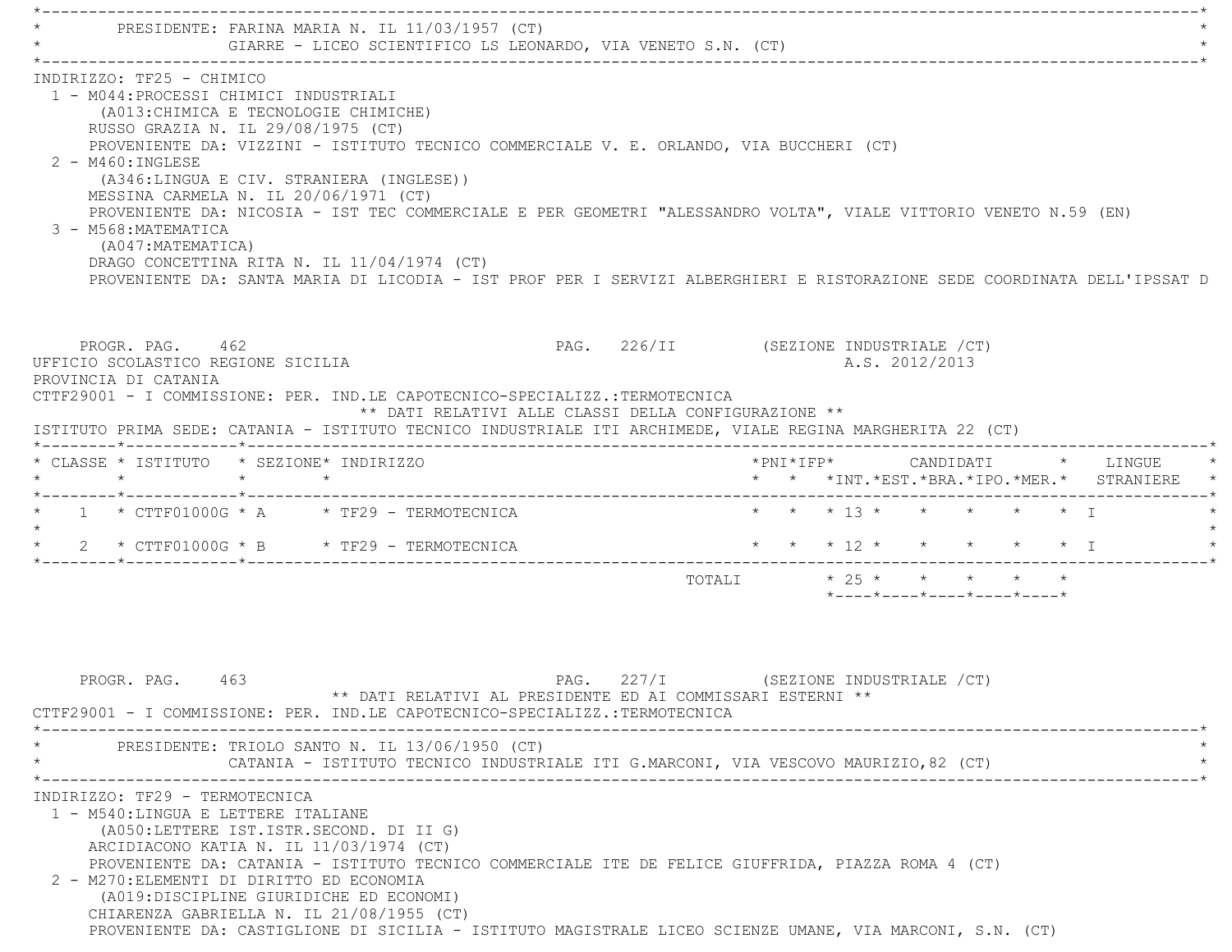PRESIDENTE: FARINA MARIA N. IL 11/03/1957 (CT) GIARRE - LICEO SCIENTIFICO LS LEONARDO, VIA VENETO S.N. (CT) \*----------------------------------------------------------------------------------------------------------------------------\* INDIRIZZO: TF25 - CHIMICO 1 - M044:PROCESSI CHIMICI INDUSTRIALI (A013:CHIMICA E TECNOLOGIE CHIMICHE) RUSSO GRAZIA N. IL 29/08/1975 (CT) PROVENIENTE DA: VIZZINI - ISTITUTO TECNICO COMMERCIALE V. E. ORLANDO, VIA BUCCHERI (CT) 2 - M460:INGLESE (A346:LINGUA E CIV. STRANIERA (INGLESE)) MESSINA CARMELA N. IL 20/06/1971 (CT) PROVENIENTE DA: NICOSIA - IST TEC COMMERCIALE E PER GEOMETRI "ALESSANDRO VOLTA", VIALE VITTORIO VENETO N.59 (EN) 3 - M568:MATEMATICA (A047:MATEMATICA) DRAGO CONCETTINA RITA N. IL 11/04/1974 (CT) PROVENIENTE DA: SANTA MARIA DI LICODIA - IST PROF PER I SERVIZI ALBERGHIERI E RISTORAZIONE SEDE COORDINATA DELL'IPSSAT DPROGR. PAG. 462 PAG. 226/II (SEZIONE INDUSTRIALE / CT) UFFICIO SCOLASTICO REGIONE SICILIA A.S. 2012/2013 PROVINCIA DI CATANIA CTTF29001 - I COMMISSIONE: PER. IND.LE CAPOTECNICO-SPECIALIZZ.:TERMOTECNICA \*\* DATI RELATIVI ALLE CLASSI DELLA CONFIGURAZIONE \*\* ISTITUTO PRIMA SEDE: CATANIA - ISTITUTO TECNICO INDUSTRIALE ITI ARCHIMEDE, VIALE REGINA MARGHERITA 22 (CT) \*--------\*------------\*-------------------------------------------------------------------------------------------------------\* \* CLASSE \* ISTITUTO \* SEZIONE\* INDIRIZZO \*PNI\*IFP\* CANDIDATI \* LINGUE \* \* \* \* \* \* \* \*INT.\*EST.\*BRA.\*IPO.\*MER.\* STRANIERE \* \*--------\*------------\*-------------------------------------------------------------------------------------------------------\*1 \* CTTF01000G \* A \* \* TF29 - TERMOTECNICA \* \* \* \* \* \* \* \* \* \* \* \* \* \* \* I \* \* \* \* \* \* I  $\star$ 2 \* CTTF01000G \* B \* TF29 - TERMOTECNICA \* \* \* \* \* \* \* \* \* \* \* \* \* \* T \*--------\*------------\*-------------------------------------------------------------------------------------------------------\*TOTALI  $\star$  25  $\star$   $\star$   $\star$   $\star$  \*----\*----\*----\*----\*----\*PROGR. PAG. 463 And the set of the set of the set of the set of the set of the set of the set of the set of the set of the set of the set of the set of the set of the set of the set of the set of the set of the set of the \*\* DATI RELATIVI AL PRESIDENTE ED AI COMMISSARI ESTERNI \*\* CTTF29001 - I COMMISSIONE: PER. IND.LE CAPOTECNICO-SPECIALIZZ.:TERMOTECNICA \*----------------------------------------------------------------------------------------------------------------------------\*PRESIDENTE: TRIOLO SANTO N. IL 13/06/1950 (CT) CATANIA - ISTITUTO TECNICO INDUSTRIALE ITI G.MARCONI, VIA VESCOVO MAURIZIO,82 (CT) \*----------------------------------------------------------------------------------------------------------------------------\* INDIRIZZO: TF29 - TERMOTECNICA 1 - M540:LINGUA E LETTERE ITALIANE (A050:LETTERE IST.ISTR.SECOND. DI II G) ARCIDIACONO KATIA N. IL 11/03/1974 (CT) PROVENIENTE DA: CATANIA - ISTITUTO TECNICO COMMERCIALE ITE DE FELICE GIUFFRIDA, PIAZZA ROMA 4 (CT) 2 - M270:ELEMENTI DI DIRITTO ED ECONOMIA (A019:DISCIPLINE GIURIDICHE ED ECONOMI) CHIARENZA GABRIELLA N. IL 21/08/1955 (CT) PROVENIENTE DA: CASTIGLIONE DI SICILIA - ISTITUTO MAGISTRALE LICEO SCIENZE UMANE, VIA MARCONI, S.N. (CT)

\*----------------------------------------------------------------------------------------------------------------------------\*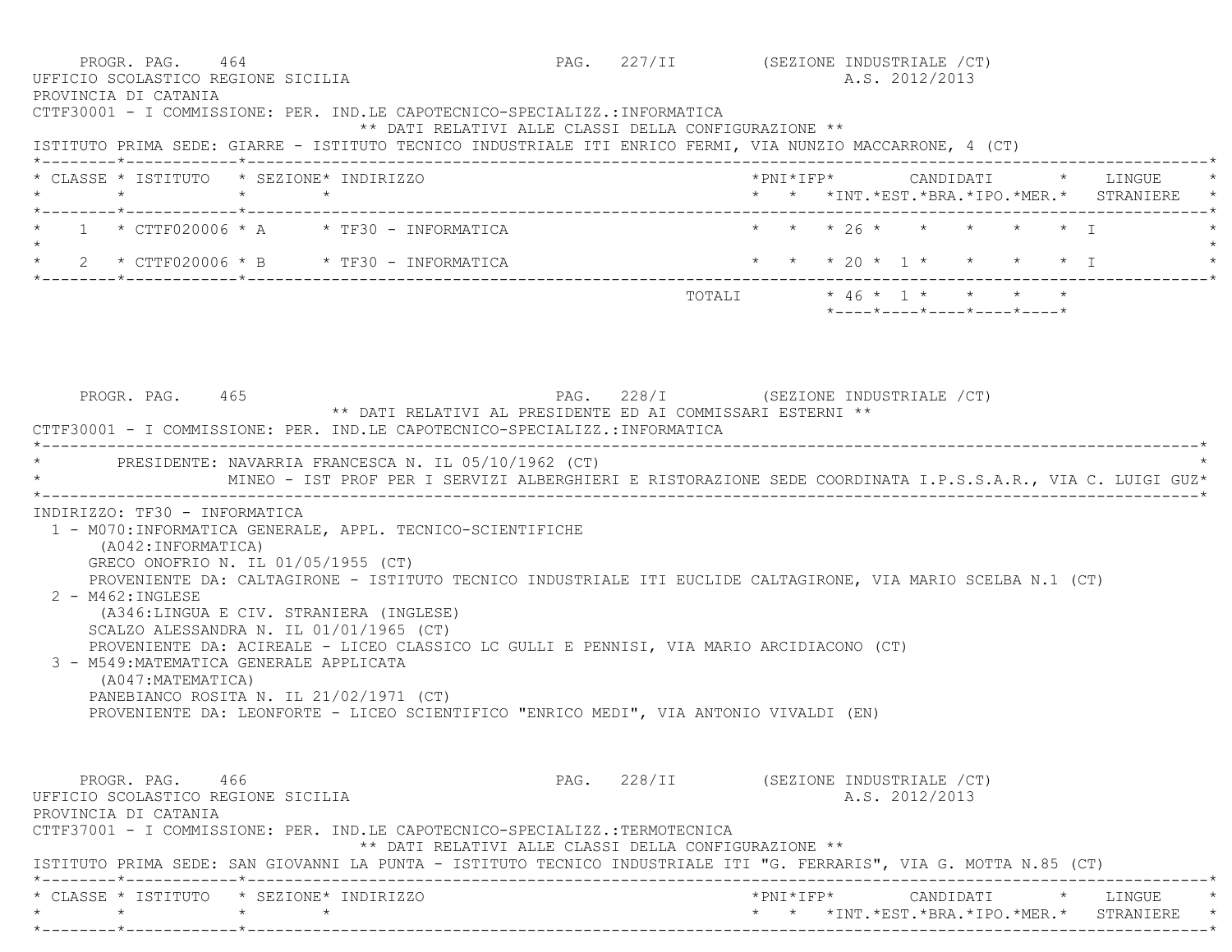| PROGR. PAG. 464<br>UFFICIO SCOLASTICO REGIONE SICILIA<br>PROVINCIA DI CATANIA                                                                                                                                                                    | PAG. 227/II (SEZIONE INDUSTRIALE /CT) |                           |  | A.S. 2012/2013                                   |  |                                               |
|--------------------------------------------------------------------------------------------------------------------------------------------------------------------------------------------------------------------------------------------------|---------------------------------------|---------------------------|--|--------------------------------------------------|--|-----------------------------------------------|
| CTTF30001 - I COMMISSIONE: PER. IND.LE CAPOTECNICO-SPECIALIZZ.:INFORMATICA<br>** DATI RELATIVI ALLE CLASSI DELLA CONFIGURAZIONE **<br>ISTITUTO PRIMA SEDE: GIARRE - ISTITUTO TECNICO INDUSTRIALE ITI ENRICO FERMI, VIA NUNZIO MACCARRONE, 4 (CT) |                                       |                           |  |                                                  |  |                                               |
| * CLASSE * ISTITUTO * SEZIONE* INDIRIZZO<br>$\star$<br>$\star$<br>$\star$                                                                                                                                                                        |                                       |                           |  |                                                  |  | * * *INT. *EST. *BRA. *IPO. *MER. * STRANIERE |
| $1 * CTTF020006 * A * TF30 - INFORMATICA$                                                                                                                                                                                                        |                                       |                           |  | * * * 26 * * * * * * I                           |  |                                               |
| $\star$<br>2 * CTTF020006 * B * TF30 - INFORMATICA                                                                                                                                                                                               |                                       |                           |  |                                                  |  | * * * 20 * 1 * * * * * 1                      |
|                                                                                                                                                                                                                                                  |                                       | TOTALI * 46 * 1 * * * * * |  | $*$ ---- $*$ ---- $*$ ---- $*$ ---- $*$ ---- $*$ |  |                                               |
| PROGR. PAG. 465<br>** DATI RELATIVI AL PRESIDENTE ED AI COMMISSARI ESTERNI **<br>CTTF30001 - I COMMISSIONE: PER. IND.LE CAPOTECNICO-SPECIALIZZ.: INFORMATICA                                                                                     | PAG. 228/I (SEZIONE INDUSTRIALE /CT)  |                           |  |                                                  |  |                                               |
| PRESIDENTE: NAVARRIA FRANCESCA N. IL 05/10/1962 (CT)                                                                                                                                                                                             |                                       |                           |  |                                                  |  |                                               |
|                                                                                                                                                                                                                                                  |                                       |                           |  |                                                  |  |                                               |
| MINEO - IST PROF PER I SERVIZI ALBERGHIERI E RISTORAZIONE SEDE COORDINATA I.P.S.S.A.R., VIA C. LUIGI GUZ*                                                                                                                                        |                                       |                           |  |                                                  |  |                                               |
| INDIRIZZO: TF30 - INFORMATICA<br>1 - M070: INFORMATICA GENERALE, APPL. TECNICO-SCIENTIFICHE<br>(A042: INFORMATICA)<br>GRECO ONOFRIO N. IL 01/05/1955 (CT)                                                                                        |                                       |                           |  |                                                  |  |                                               |
| PROVENIENTE DA: CALTAGIRONE - ISTITUTO TECNICO INDUSTRIALE ITI EUCLIDE CALTAGIRONE, VIA MARIO SCELBA N.1 (CT)<br>$2 - M462 : INGLESE$<br>(A346:LINGUA E CIV. STRANIERA (INGLESE)                                                                 |                                       |                           |  |                                                  |  |                                               |
| SCALZO ALESSANDRA N. IL 01/01/1965 (CT)<br>PROVENIENTE DA: ACIREALE - LICEO CLASSICO LC GULLI E PENNISI, VIA MARIO ARCIDIACONO (CT)<br>3 - M549: MATEMATICA GENERALE APPLICATA<br>(A047: MATEMATICA)                                             |                                       |                           |  |                                                  |  |                                               |
| PANEBIANCO ROSITA N. IL 21/02/1971 (CT)<br>PROVENIENTE DA: LEONFORTE - LICEO SCIENTIFICO "ENRICO MEDI", VIA ANTONIO VIVALDI (EN)                                                                                                                 |                                       |                           |  |                                                  |  |                                               |
| PROGR. PAG. 466<br>UFFICIO SCOLASTICO REGIONE SICILIA<br>PROVINCIA DI CATANIA<br>CTTF37001 - I COMMISSIONE: PER. IND.LE CAPOTECNICO-SPECIALIZZ.:TERMOTECNICA                                                                                     | PAG. 228/II (SEZIONE INDUSTRIALE /CT) |                           |  | A.S. 2012/2013                                   |  |                                               |
| ** DATI RELATIVI ALLE CLASSI DELLA CONFIGURAZIONE **<br>ISTITUTO PRIMA SEDE: SAN GIOVANNI LA PUNTA - ISTITUTO TECNICO INDUSTRIALE ITI "G. FERRARIS", VIA G. MOTTA N.85 (CT)                                                                      |                                       |                           |  |                                                  |  |                                               |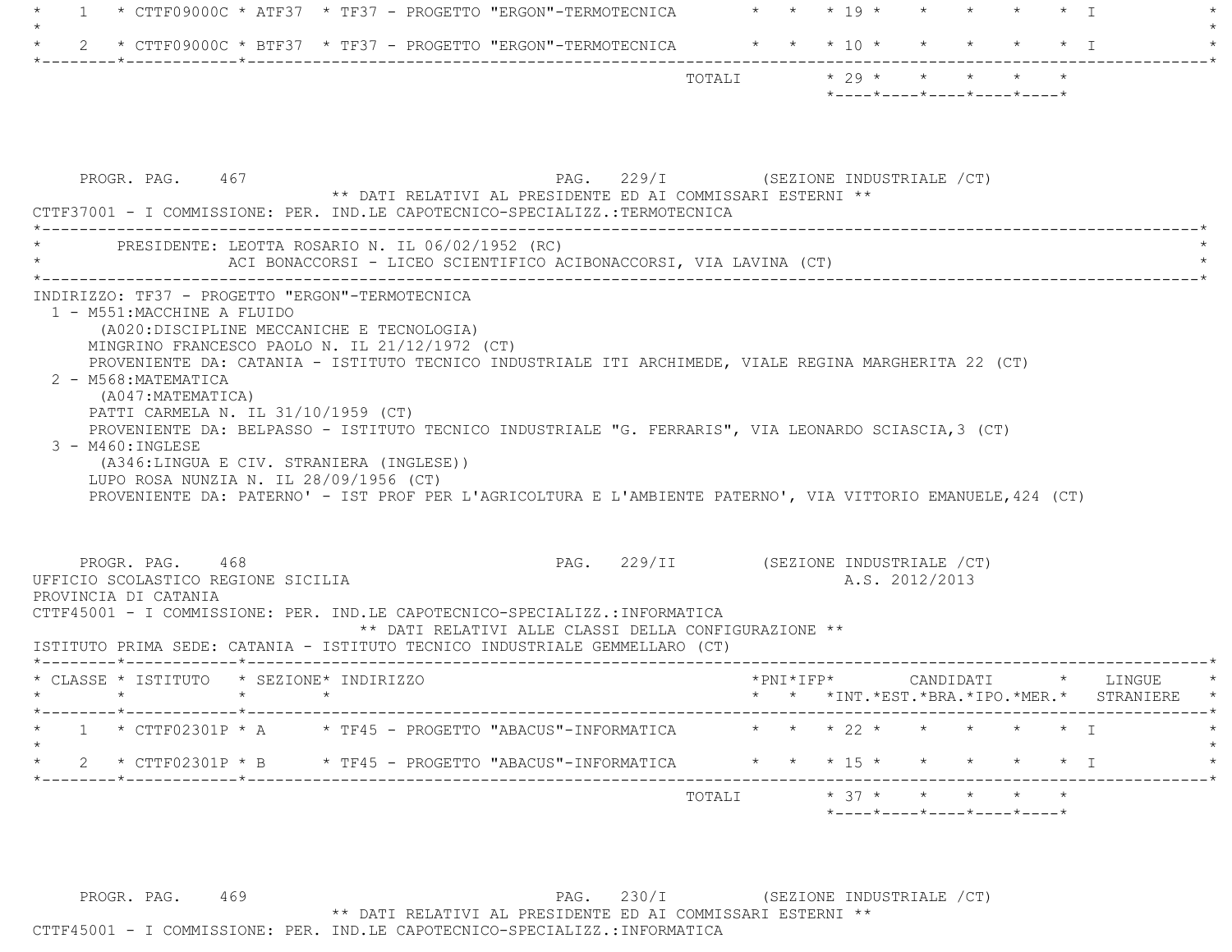| * CTTF09000C * ATF37 * TF37 - PROGETTO "ERGON"-TERMOTECNICA<br>$\mathbf{1}$                                                                                                                                                                                                                                                                                                                                                                                                                                                                                                                                                      | * * * 19 * * * * * * T                                                      |
|----------------------------------------------------------------------------------------------------------------------------------------------------------------------------------------------------------------------------------------------------------------------------------------------------------------------------------------------------------------------------------------------------------------------------------------------------------------------------------------------------------------------------------------------------------------------------------------------------------------------------------|-----------------------------------------------------------------------------|
|                                                                                                                                                                                                                                                                                                                                                                                                                                                                                                                                                                                                                                  |                                                                             |
|                                                                                                                                                                                                                                                                                                                                                                                                                                                                                                                                                                                                                                  | TOTALI * 29 * * * * * *<br>$*$ ---- $*$ ---- $*$ ---- $*$ ---- $*$ ---- $*$ |
| PROGR. PAG. 467<br>** DATI RELATIVI AL PRESIDENTE ED AI COMMISSARI ESTERNI **<br>CTTF37001 - I COMMISSIONE: PER. IND.LE CAPOTECNICO-SPECIALIZZ.:TERMOTECNICA                                                                                                                                                                                                                                                                                                                                                                                                                                                                     | PAG. 229/I (SEZIONE INDUSTRIALE /CT)                                        |
| PRESIDENTE: LEOTTA ROSARIO N. IL 06/02/1952 (RC)<br>ACI BONACCORSI - LICEO SCIENTIFICO ACIBONACCORSI, VIA LAVINA (CT)                                                                                                                                                                                                                                                                                                                                                                                                                                                                                                            |                                                                             |
| (A020: DISCIPLINE MECCANICHE E TECNOLOGIA)<br>MINGRINO FRANCESCO PAOLO N. IL 21/12/1972 (CT)<br>PROVENIENTE DA: CATANIA - ISTITUTO TECNICO INDUSTRIALE ITI ARCHIMEDE, VIALE REGINA MARGHERITA 22 (CT)<br>2 - M568: MATEMATICA<br>(A047: MATEMATICA)<br>PATTI CARMELA N. IL 31/10/1959 (CT)<br>PROVENIENTE DA: BELPASSO - ISTITUTO TECNICO INDUSTRIALE "G. FERRARIS", VIA LEONARDO SCIASCIA, 3 (CT)<br>$3 - M460$ : INGLESE<br>(A346:LINGUA E CIV. STRANIERA (INGLESE))<br>LUPO ROSA NUNZIA N. IL 28/09/1956 (CT)<br>PROVENIENTE DA: PATERNO' - IST PROF PER L'AGRICOLTURA E L'AMBIENTE PATERNO', VIA VITTORIO EMANUELE, 424 (CT) |                                                                             |
| PROGR. PAG. 468<br>UFFICIO SCOLASTICO REGIONE SICILIA<br>PROVINCIA DI CATANIA<br>CTTF45001 - I COMMISSIONE: PER. IND.LE CAPOTECNICO-SPECIALIZZ.:INFORMATICA<br>** DATI RELATIVI ALLE CLASSI DELLA CONFIGURAZIONE **<br>ISTITUTO PRIMA SEDE: CATANIA - ISTITUTO TECNICO INDUSTRIALE GEMMELLARO (CT)                                                                                                                                                                                                                                                                                                                               | PAG. 229/II (SEZIONE INDUSTRIALE /CT)<br>A.S. 2012/2013                     |
| * CLASSE * ISTITUTO * SEZIONE* INDIRIZZO<br>$\star$ $\star$ $\star$ $\star$                                                                                                                                                                                                                                                                                                                                                                                                                                                                                                                                                      | * * *INT.*EST.*BRA.*IPO.*MER.* STRANIERE                                    |
| * CTTF02301P * A * TF45 - PROGETTO "ABACUS"-INFORMATICA<br>2 * CTTF02301P * B * TF45 - PROGETTO "ABACUS"-INFORMATICA                                                                                                                                                                                                                                                                                                                                                                                                                                                                                                             | * * * 22 * * *<br>* * * 15 * * * * * * I                                    |
|                                                                                                                                                                                                                                                                                                                                                                                                                                                                                                                                                                                                                                  | $*$ 37 $*$<br>TOTALI                                                        |

PROGR. PAG. 469 PAG. 230/I (SEZIONE INDUSTRIALE / CT) \*\* DATI RELATIVI AL PRESIDENTE ED AI COMMISSARI ESTERNI \*\* CTTF45001 - I COMMISSIONE: PER. IND.LE CAPOTECNICO-SPECIALIZZ.:INFORMATICA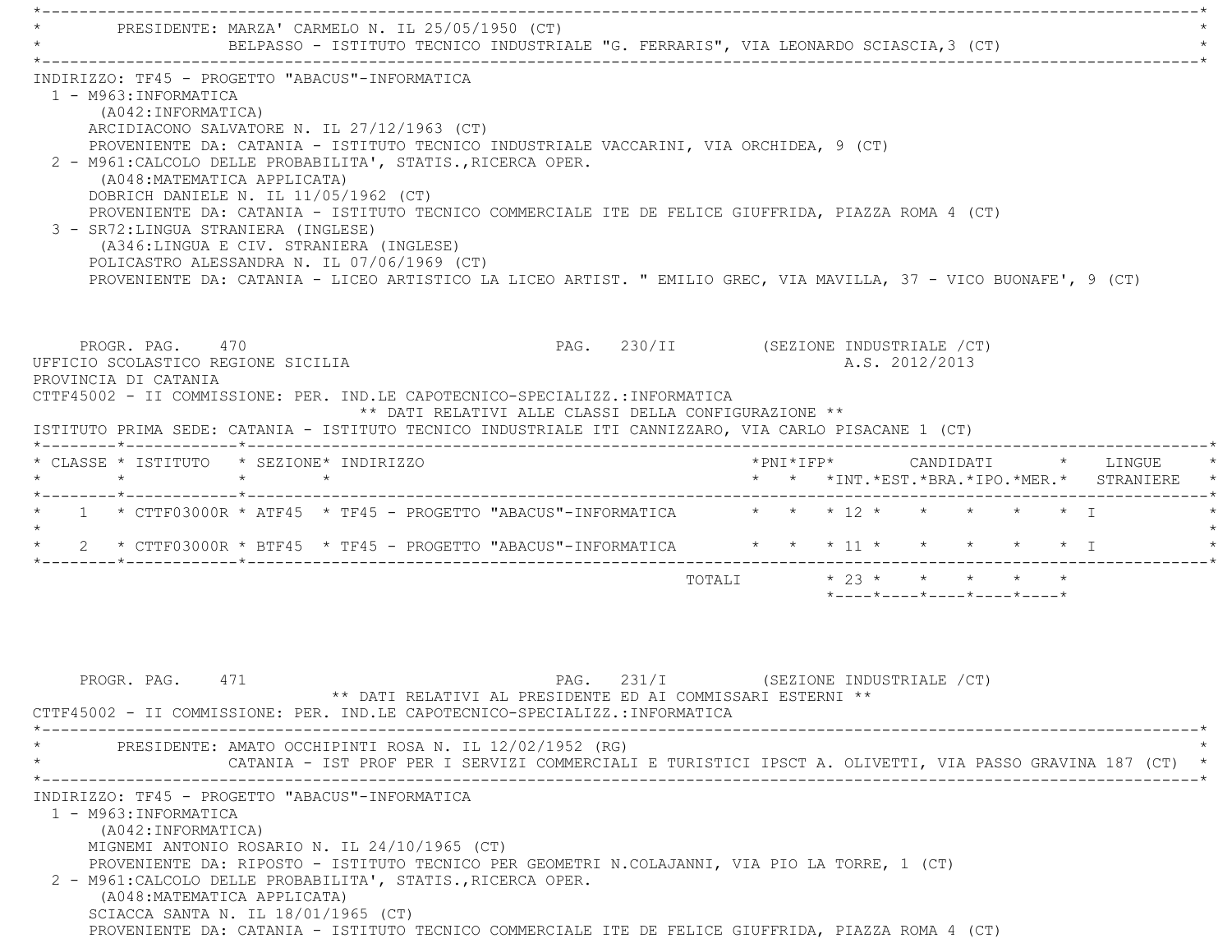\*----------------------------------------------------------------------------------------------------------------------------\*PRESIDENTE: MARZA' CARMELO N. IL 25/05/1950 (CT) BELPASSO - ISTITUTO TECNICO INDUSTRIALE "G. FERRARIS", VIA LEONARDO SCIASCIA, 3 (CT) \*----------------------------------------------------------------------------------------------------------------------------\* INDIRIZZO: TF45 - PROGETTO "ABACUS"-INFORMATICA 1 - M963:INFORMATICA (A042:INFORMATICA) ARCIDIACONO SALVATORE N. IL 27/12/1963 (CT) PROVENIENTE DA: CATANIA - ISTITUTO TECNICO INDUSTRIALE VACCARINI, VIA ORCHIDEA, 9 (CT) 2 - M961:CALCOLO DELLE PROBABILITA', STATIS.,RICERCA OPER. (A048:MATEMATICA APPLICATA) DOBRICH DANIELE N. IL 11/05/1962 (CT) PROVENIENTE DA: CATANIA - ISTITUTO TECNICO COMMERCIALE ITE DE FELICE GIUFFRIDA, PIAZZA ROMA 4 (CT) 3 - SR72:LINGUA STRANIERA (INGLESE) (A346:LINGUA E CIV. STRANIERA (INGLESE) POLICASTRO ALESSANDRA N. IL 07/06/1969 (CT) PROVENIENTE DA: CATANIA - LICEO ARTISTICO LA LICEO ARTIST. " EMILIO GREC, VIA MAVILLA, 37 - VICO BUONAFE', 9 (CT) PROGR. PAG. 470 **PROGR. PAG. 230/II** (SEZIONE INDUSTRIALE /CT) UFFICIO SCOLASTICO REGIONE SICILIA A.S. 2012/2013 PROVINCIA DI CATANIA CTTF45002 - II COMMISSIONE: PER. IND.LE CAPOTECNICO-SPECIALIZZ.:INFORMATICA \*\* DATI RELATIVI ALLE CLASSI DELLA CONFIGURAZIONE \*\* ISTITUTO PRIMA SEDE: CATANIA - ISTITUTO TECNICO INDUSTRIALE ITI CANNIZZARO, VIA CARLO PISACANE 1 (CT) \*--------\*------------\*-------------------------------------------------------------------------------------------------------\* \* CLASSE \* ISTITUTO \* SEZIONE\* INDIRIZZO \*PNI\*IFP\* CANDIDATI \* LINGUE \* \* \* \* \* \* \* \*INT.\*EST.\*BRA.\*IPO.\*MER.\* STRANIERE \* \*--------\*------------\*-------------------------------------------------------------------------------------------------------\* \* 1 \* CTTF03000R \* ATF45 \* TF45 - PROGETTO "ABACUS"-INFORMATICA \* \* \* 12 \* \* \* \* \* I \* $\star$  \* 2 \* CTTF03000R \* BTF45 \* TF45 - PROGETTO "ABACUS"-INFORMATICA \* \* \* 11 \* \* \* \* \* I \*\*--------\*------------\*-------------------------------------------------------------------------------------------------------\*

| PROGR. PAG. 471                              | CTTF45002 - II COMMISSIONE: PER. IND.LE CAPOTECNICO-SPECIALIZZ.:INFORMATICA                                                                                                                                                                                                                                                                                                                                                                    | PAG. 231/I<br>** DATI RELATIVI AL PRESIDENTE ED AI COMMISSARI ESTERNI ** | (SEZIONE INDUSTRIALE /CT) |         |
|----------------------------------------------|------------------------------------------------------------------------------------------------------------------------------------------------------------------------------------------------------------------------------------------------------------------------------------------------------------------------------------------------------------------------------------------------------------------------------------------------|--------------------------------------------------------------------------|---------------------------|---------|
|                                              | PRESIDENTE: AMATO OCCHIPINTI ROSA N. IL 12/02/1952 (RG)<br>CATANIA - IST PROF PER I SERVIZI COMMERCIALI E TURISTICI IPSCT A. OLIVETTI, VIA PASSO GRAVINA 187 (CT)                                                                                                                                                                                                                                                                              |                                                                          |                           | $\star$ |
| 1 - M963: INFORMATICA<br>(A042: INFORMATICA) | INDIRIZZO: TF45 - PROGETTO "ABACUS"-INFORMATICA<br>MIGNEMI ANTONIO ROSARIO N. IL 24/10/1965 (CT)<br>PROVENIENTE DA: RIPOSTO - ISTITUTO TECNICO PER GEOMETRI N.COLAJANNI, VIA PIO LA TORRE, 1 (CT)<br>2 - M961: CALCOLO DELLE PROBABILITA', STATIS., RICERCA OPER.<br>(A048: MATEMATICA APPLICATA)<br>SCIACCA SANTA N. IL 18/01/1965 (CT)<br>PROVENIENTE DA: CATANIA - ISTITUTO TECNICO COMMERCIALE ITE DE FELICE GIUFFRIDA, PIAZZA ROMA 4 (CT) |                                                                          |                           |         |

TOTALI \* 23 \* \* \* \* \* \*

\*----\*----\*----\*----\*----\*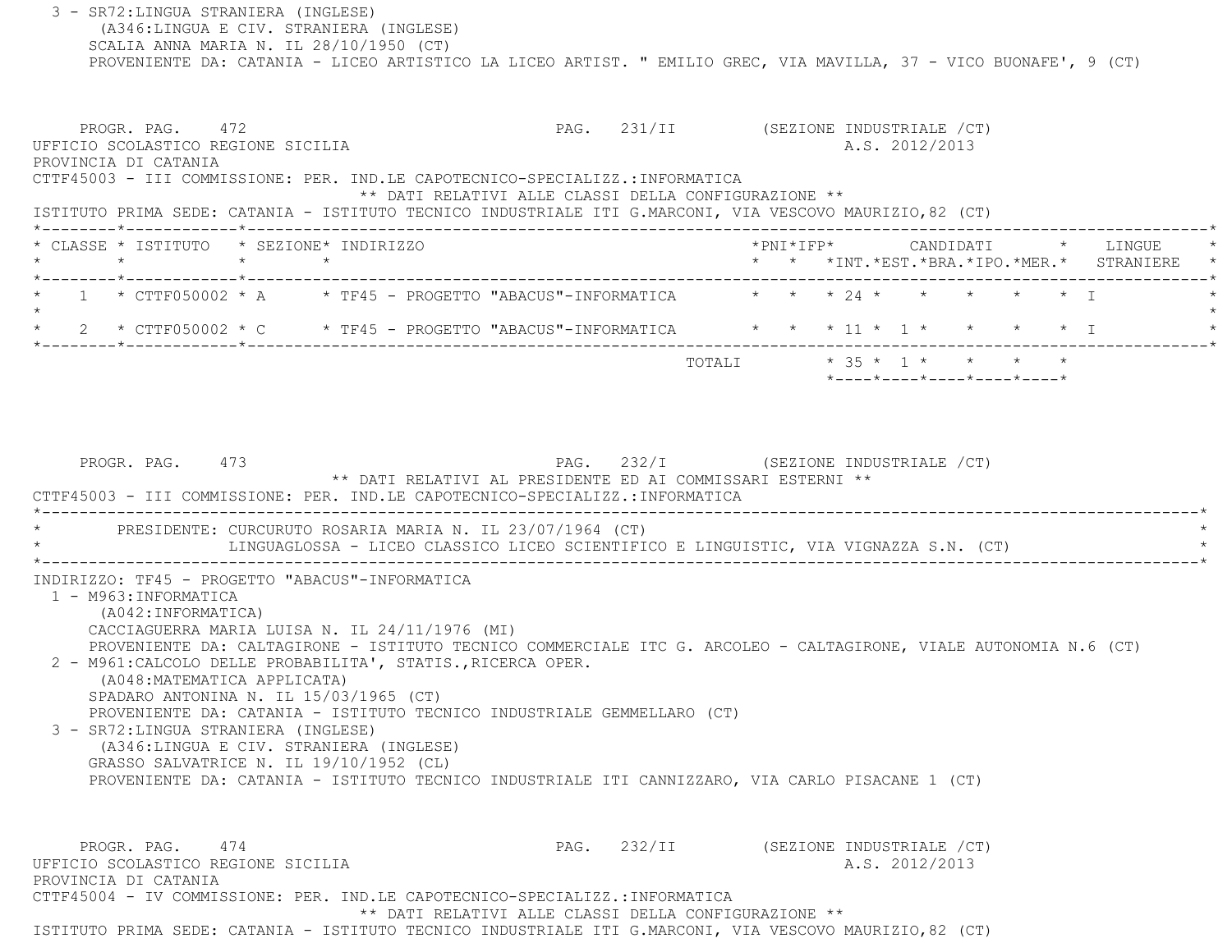3 - SR72:LINGUA STRANIERA (INGLESE) (A346:LINGUA E CIV. STRANIERA (INGLESE) SCALIA ANNA MARIA N. IL 28/10/1950 (CT) PROVENIENTE DA: CATANIA - LICEO ARTISTICO LA LICEO ARTIST. " EMILIO GREC, VIA MAVILLA, 37 - VICO BUONAFE', 9 (CT) PROGR. PAG. 472 **PROGR. PAG. 231/II** (SEZIONE INDUSTRIALE / CT) UFFICIO SCOLASTICO REGIONE SICILIA A.S. 2012/2013 PROVINCIA DI CATANIA CTTF45003 - III COMMISSIONE: PER. IND.LE CAPOTECNICO-SPECIALIZZ.:INFORMATICA \*\* DATI RELATIVI ALLE CLASSI DELLA CONFIGURAZIONE \*\* ISTITUTO PRIMA SEDE: CATANIA - ISTITUTO TECNICO INDUSTRIALE ITI G.MARCONI, VIA VESCOVO MAURIZIO,82 (CT) \*--------\*------------\*-------------------------------------------------------------------------------------------------------\* \* CLASSE \* ISTITUTO \* SEZIONE\* INDIRIZZO \*PNI\*IFP\* CANDIDATI \* LINGUE \* \* \* \* \* \* \* \*INT.\*EST.\*BRA.\*IPO.\*MER.\* STRANIERE \* \*--------\*------------\*-------------------------------------------------------------------------------------------------------\* $1$  \* CTTF050002 \* A  $\quad$  \* TF45 - PROGETTO "ABACUS"-INFORMATICA  $\quad$  \* \* \* 24 \* \* \* \* \* \* \* \*  $\star$ 2 \* CTTF050002 \* C \* TF45 - PROGETTO "ABACUS"-INFORMATICA \* \* \* 11 \* 1 \* \* \* \* \* \* I \*--------\*------------\*-------------------------------------------------------------------------------------------------------\* TOTALI \* 35 \* 1 \* \* \* \* \*----\*----\*----\*----\*----\*PROGR. PAG. 473 PAG. 232/I (SEZIONE INDUSTRIALE / CT) \*\* DATI RELATIVI AL PRESIDENTE ED AI COMMISSARI ESTERNI \*\* CTTF45003 - III COMMISSIONE: PER. IND.LE CAPOTECNICO-SPECIALIZZ.:INFORMATICA \*----------------------------------------------------------------------------------------------------------------------------\*PRESIDENTE: CURCURUTO ROSARIA MARIA N. IL 23/07/1964 (CT) LINGUAGLOSSA - LICEO CLASSICO LICEO SCIENTIFICO E LINGUISTIC, VIA VIGNAZZA S.N. (CT) \*----------------------------------------------------------------------------------------------------------------------------\* INDIRIZZO: TF45 - PROGETTO "ABACUS"-INFORMATICA 1 - M963:INFORMATICA (A042:INFORMATICA) CACCIAGUERRA MARIA LUISA N. IL 24/11/1976 (MI) PROVENIENTE DA: CALTAGIRONE - ISTITUTO TECNICO COMMERCIALE ITC G. ARCOLEO - CALTAGIRONE, VIALE AUTONOMIA N.6 (CT) 2 - M961:CALCOLO DELLE PROBABILITA', STATIS.,RICERCA OPER. (A048:MATEMATICA APPLICATA) SPADARO ANTONINA N. IL 15/03/1965 (CT) PROVENIENTE DA: CATANIA - ISTITUTO TECNICO INDUSTRIALE GEMMELLARO (CT) 3 - SR72:LINGUA STRANIERA (INGLESE) (A346:LINGUA E CIV. STRANIERA (INGLESE) GRASSO SALVATRICE N. IL 19/10/1952 (CL) PROVENIENTE DA: CATANIA - ISTITUTO TECNICO INDUSTRIALE ITI CANNIZZARO, VIA CARLO PISACANE 1 (CT) PROGR. PAG. 474 PAG. 232/II (SEZIONE INDUSTRIALE /CT) UFFICIO SCOLASTICO REGIONE SICILIA A.S. 2012/2013 PROVINCIA DI CATANIA CTTF45004 - IV COMMISSIONE: PER. IND.LE CAPOTECNICO-SPECIALIZZ.:INFORMATICA\*\* DATI RELATIVI ALLE CLASSI DELLA CONFIGURAZIONE \*\*

ISTITUTO PRIMA SEDE: CATANIA - ISTITUTO TECNICO INDUSTRIALE ITI G.MARCONI, VIA VESCOVO MAURIZIO,82 (CT)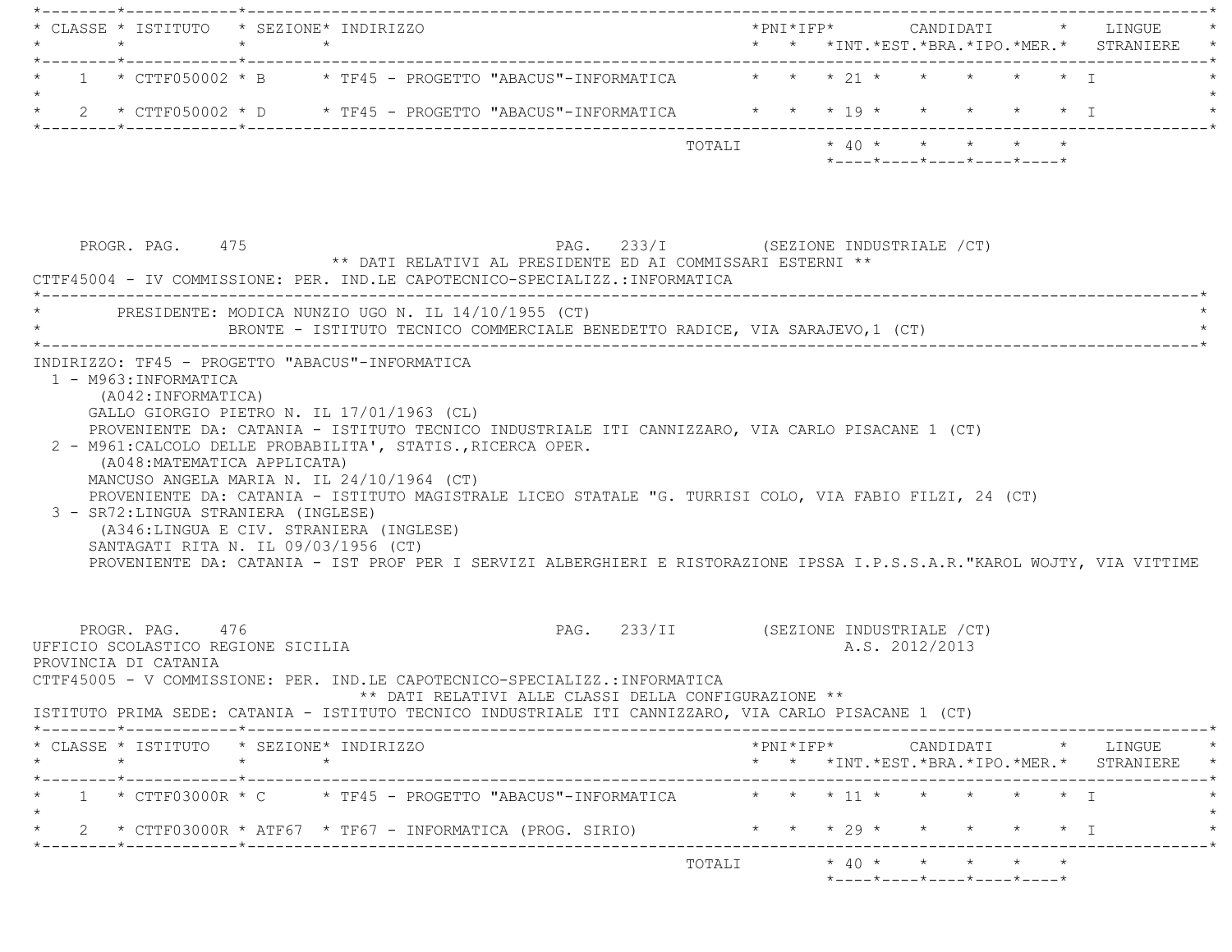| * CLASSE * ISTITUTO * SEZIONE* INDIRIZZO                                                                                                                |                 |                                            |                                                                                                                                                                                                                                    |                                       |                                    |  |                                     |                |                                                                 |                   | *PNI*IFP*     CANDIDATI    *   LINGUE                                                                        |
|---------------------------------------------------------------------------------------------------------------------------------------------------------|-----------------|--------------------------------------------|------------------------------------------------------------------------------------------------------------------------------------------------------------------------------------------------------------------------------------|---------------------------------------|------------------------------------|--|-------------------------------------|----------------|-----------------------------------------------------------------|-------------------|--------------------------------------------------------------------------------------------------------------|
|                                                                                                                                                         |                 |                                            | 1 * CTTF050002 * B * TF45 - PROGETTO "ABACUS"-INFORMATICA * * * 21 * * * * * * * T                                                                                                                                                 |                                       |                                    |  |                                     |                |                                                                 |                   |                                                                                                              |
|                                                                                                                                                         |                 |                                            | * 2 * CTTF050002 * D * TF45 - PROGETTO "ABACUS"-INFORMATICA * * * 19 * * * * * * * I                                                                                                                                               |                                       |                                    |  |                                     |                |                                                                 |                   |                                                                                                              |
|                                                                                                                                                         |                 |                                            |                                                                                                                                                                                                                                    |                                       | TOTALI * 40 * * * * * *            |  |                                     |                | $*$ - - - - $*$ - - - - $*$ - - - - $*$ - - - - $*$ - - - - $*$ |                   |                                                                                                              |
| PROGR. PAG. 475                                                                                                                                         |                 |                                            | PAG. 233/I (SEZIONE INDUSTRIALE /CT)<br>** DATI RELATIVI AL PRESIDENTE ED AI COMMISSARI ESTERNI **<br>CTTF45004 - IV COMMISSIONE: PER. IND.LE CAPOTECNICO-SPECIALIZZ.:INFORMATICA                                                  |                                       |                                    |  |                                     |                |                                                                 |                   |                                                                                                              |
|                                                                                                                                                         |                 |                                            | PRESIDENTE: MODICA NUNZIO UGO N. IL 14/10/1955 (CT)<br>BRONTE - ISTITUTO TECNICO COMMERCIALE BENEDETTO RADICE, VIA SARAJEVO, 1 (CT)                                                                                                |                                       |                                    |  |                                     |                |                                                                 |                   |                                                                                                              |
| (A042:INFORMATICA)                                                                                                                                      |                 | GALLO GIORGIO PIETRO N. IL 17/01/1963 (CL) | PROVENIENTE DA: CATANIA - ISTITUTO TECNICO INDUSTRIALE ITI CANNIZZARO, VIA CARLO PISACANE 1 (CT)<br>2 - M961: CALCOLO DELLE PROBABILITA', STATIS., RICERCA OPER.                                                                   |                                       |                                    |  |                                     |                |                                                                 |                   |                                                                                                              |
| (A048: MATEMATICA APPLICATA)<br>3 - SR72: LINGUA STRANIERA (INGLESE)<br>(A346:LINGUA E CIV. STRANIERA (INGLESE)<br>SANTAGATI RITA N. IL 09/03/1956 (CT) |                 | MANCUSO ANGELA MARIA N. IL 24/10/1964 (CT) | PROVENIENTE DA: CATANIA - ISTITUTO MAGISTRALE LICEO STATALE "G. TURRISI COLO, VIA FABIO FILZI, 24 (CT)<br>PROVENIENTE DA: CATANIA - IST PROF PER I SERVIZI ALBERGHIERI E RISTORAZIONE IPSSA I.P.S.S.A.R. "KAROL WOJTY, VIA VITTIME |                                       |                                    |  |                                     |                |                                                                 |                   |                                                                                                              |
| PROGR. PAG. 476<br>UFFICIO SCOLASTICO REGIONE SICILIA<br>PROVINCIA DI CATANIA                                                                           |                 |                                            | CTTF45005 - V COMMISSIONE: PER. IND.LE CAPOTECNICO-SPECIALIZZ.:INFORMATICA<br>** DATI RELATIVI ALLE CLASSI DELLA CONFIGURAZIONE **                                                                                                 | PAG. 233/II (SEZIONE INDUSTRIALE /CT) |                                    |  |                                     | A.S. 2012/2013 |                                                                 |                   |                                                                                                              |
|                                                                                                                                                         |                 |                                            | ISTITUTO PRIMA SEDE: CATANIA - ISTITUTO TECNICO INDUSTRIALE ITI CANNIZZARO, VIA CARLO PISACANE 1 (CT)                                                                                                                              |                                       |                                    |  |                                     |                |                                                                 |                   |                                                                                                              |
| * CLASSE * ISTITUTO * SEZIONE* INDIRIZZO<br>$\star$                                                                                                     | $\star$ $\star$ |                                            |                                                                                                                                                                                                                                    |                                       |                                    |  |                                     |                |                                                                 |                   |                                                                                                              |
|                                                                                                                                                         |                 |                                            |                                                                                                                                                                                                                                    |                                       |                                    |  |                                     |                |                                                                 |                   | $\verb+'PNI*IFP*~~\verb+ CANDIDATI~~*~~\verb+LINGUE~~*~~$<br>* * *INT. *EST. *BRA. *IPO. *MER. * STRANIERE * |
|                                                                                                                                                         |                 |                                            | 2 $\star$ CTTF03000R $\star$ ATF67 $\star$ TF67 - INFORMATICA (PROG. SIRIO)                                                                                                                                                        |                                       | $\star$ $\star$ $\star$ 29 $\star$ |  | . _ _ _ _ _ _ _ _ _ _ _ _ _ _ _ _ _ |                |                                                                 | $\star$ $\star$ T |                                                                                                              |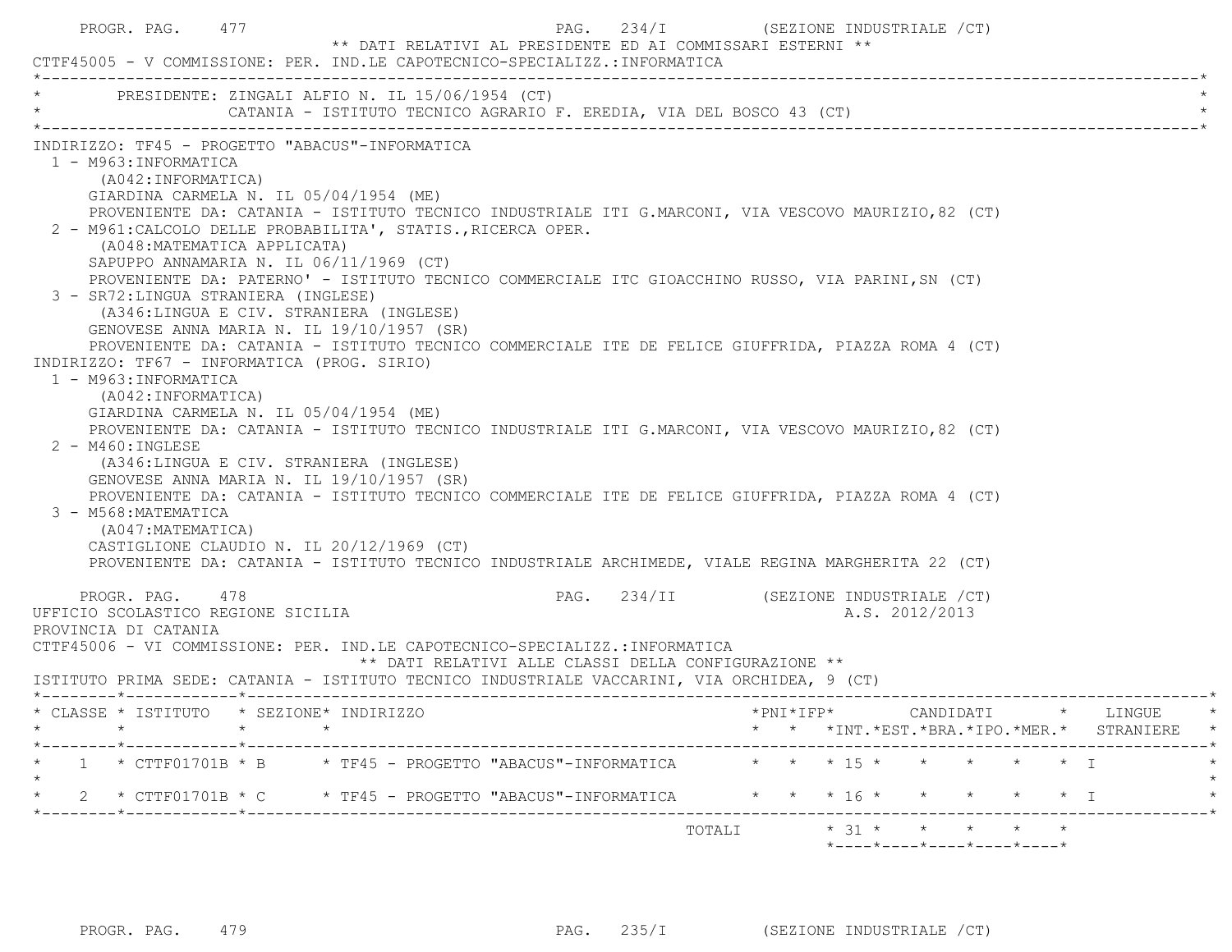| PROGR. PAG. 477                                                                                                                                                                                          | CTTF45005 - V COMMISSIONE: PER. IND.LE CAPOTECNICO-SPECIALIZZ.:INFORMATICA                                                                                                                                                                                                                                                                                                                                                                                                                                                                                                                                                                                                                                                                                                                                                                                                                                                                                                                                                                                                                                                                                                                     | PAG. $234/I$<br>** DATI RELATIVI AL PRESIDENTE ED AI COMMISSARI ESTERNI ** | (SEZIONE INDUSTRIALE /CT)                                                       |  |
|----------------------------------------------------------------------------------------------------------------------------------------------------------------------------------------------------------|------------------------------------------------------------------------------------------------------------------------------------------------------------------------------------------------------------------------------------------------------------------------------------------------------------------------------------------------------------------------------------------------------------------------------------------------------------------------------------------------------------------------------------------------------------------------------------------------------------------------------------------------------------------------------------------------------------------------------------------------------------------------------------------------------------------------------------------------------------------------------------------------------------------------------------------------------------------------------------------------------------------------------------------------------------------------------------------------------------------------------------------------------------------------------------------------|----------------------------------------------------------------------------|---------------------------------------------------------------------------------|--|
|                                                                                                                                                                                                          | * PRESIDENTE: ZINGALI ALFIO N. IL 15/06/1954 (CT)                                                                                                                                                                                                                                                                                                                                                                                                                                                                                                                                                                                                                                                                                                                                                                                                                                                                                                                                                                                                                                                                                                                                              |                                                                            |                                                                                 |  |
| 1 - M963:INFORMATICA<br>(A042: INFORMATICA)<br>3 - SR72: LINGUA STRANIERA (INGLESE)<br>1 - M963: INFORMATICA<br>(A042: INFORMATICA)<br>$2 - M460$ : INGLESE<br>3 - M568: MATEMATICA<br>(A047:MATEMATICA) | INDIRIZZO: TF45 - PROGETTO "ABACUS"-INFORMATICA<br>GIARDINA CARMELA N. IL 05/04/1954 (ME)<br>PROVENIENTE DA: CATANIA - ISTITUTO TECNICO INDUSTRIALE ITI G.MARCONI, VIA VESCOVO MAURIZIO, 82 (CT)<br>2 - M961: CALCOLO DELLE PROBABILITA', STATIS., RICERCA OPER.<br>(A048: MATEMATICA APPLICATA)<br>SAPUPPO ANNAMARIA N. IL 06/11/1969 (CT)<br>PROVENIENTE DA: PATERNO' - ISTITUTO TECNICO COMMERCIALE ITC GIOACCHINO RUSSO, VIA PARINI, SN (CT)<br>(A346:LINGUA E CIV. STRANIERA (INGLESE)<br>GENOVESE ANNA MARIA N. IL 19/10/1957 (SR)<br>PROVENIENTE DA: CATANIA - ISTITUTO TECNICO COMMERCIALE ITE DE FELICE GIUFFRIDA, PIAZZA ROMA 4 (CT)<br>INDIRIZZO: TF67 - INFORMATICA (PROG. SIRIO)<br>GIARDINA CARMELA N. IL 05/04/1954 (ME)<br>PROVENIENTE DA: CATANIA - ISTITUTO TECNICO INDUSTRIALE ITI G.MARCONI, VIA VESCOVO MAURIZIO, 82 (CT)<br>(A346:LINGUA E CIV. STRANIERA (INGLESE)<br>GENOVESE ANNA MARIA N. IL 19/10/1957 (SR)<br>PROVENIENTE DA: CATANIA - ISTITUTO TECNICO COMMERCIALE ITE DE FELICE GIUFFRIDA, PIAZZA ROMA 4 (CT)<br>CASTIGLIONE CLAUDIO N. IL 20/12/1969 (CT)<br>PROVENIENTE DA: CATANIA - ISTITUTO TECNICO INDUSTRIALE ARCHIMEDE, VIALE REGINA MARGHERITA 22 (CT) |                                                                            |                                                                                 |  |
| PROGR. PAG. 478<br>UFFICIO SCOLASTICO REGIONE SICILIA<br>PROVINCIA DI CATANIA                                                                                                                            | CTTF45006 - VI COMMISSIONE: PER. IND.LE CAPOTECNICO-SPECIALIZZ.:INFORMATICA<br>ISTITUTO PRIMA SEDE: CATANIA - ISTITUTO TECNICO INDUSTRIALE VACCARINI, VIA ORCHIDEA, 9 (CT)                                                                                                                                                                                                                                                                                                                                                                                                                                                                                                                                                                                                                                                                                                                                                                                                                                                                                                                                                                                                                     | ** DATI RELATIVI ALLE CLASSI DELLA CONFIGURAZIONE **                       | PAG. 234/II (SEZIONE INDUSTRIALE /CT)<br>A.S. 2012/2013                         |  |
| $\star$<br>______*____________*___________                                                                                                                                                               | * CLASSE * ISTITUTO * SEZIONE* INDIRIZZO                                                                                                                                                                                                                                                                                                                                                                                                                                                                                                                                                                                                                                                                                                                                                                                                                                                                                                                                                                                                                                                                                                                                                       |                                                                            | *PNI*IFP* CANDIDATI * LINGUE<br>* * *INT. *EST. *BRA. *IPO. *MER. * STRANIERE * |  |
|                                                                                                                                                                                                          | 1 * CTTF01701B * B * TF45 - PROGETTO "ABACUS"-INFORMATICA * * * 15 * * * * * * * I                                                                                                                                                                                                                                                                                                                                                                                                                                                                                                                                                                                                                                                                                                                                                                                                                                                                                                                                                                                                                                                                                                             |                                                                            |                                                                                 |  |
| ______*____________*_______                                                                                                                                                                              | 2 * CTTF01701B * C * TF45 - PROGETTO "ABACUS"-INFORMATICA * * * 16 * * * * * * * T                                                                                                                                                                                                                                                                                                                                                                                                                                                                                                                                                                                                                                                                                                                                                                                                                                                                                                                                                                                                                                                                                                             |                                                                            |                                                                                 |  |
|                                                                                                                                                                                                          |                                                                                                                                                                                                                                                                                                                                                                                                                                                                                                                                                                                                                                                                                                                                                                                                                                                                                                                                                                                                                                                                                                                                                                                                |                                                                            | *----*----*----*----*----*                                                      |  |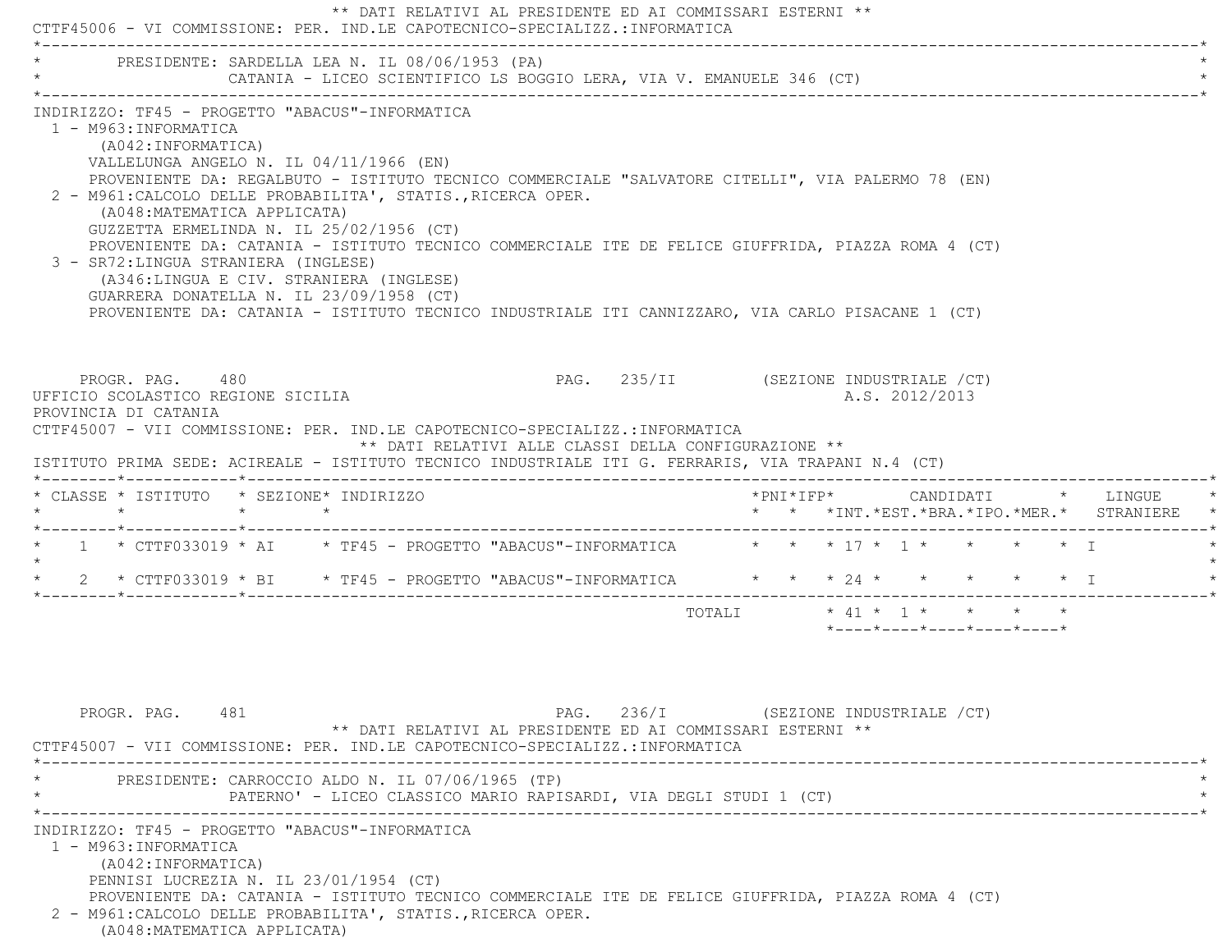| * PRESIDENTE: SARDELLA LEA N. IL 08/06/1953 (PA)                                                                                                                                                                                                                                                                                                                                                                                                                                                                                                                                                                                                                                                                                     |                 |  |                                                                      |                                       |        |  |  |                |                                                                                                          |  |                                               |
|--------------------------------------------------------------------------------------------------------------------------------------------------------------------------------------------------------------------------------------------------------------------------------------------------------------------------------------------------------------------------------------------------------------------------------------------------------------------------------------------------------------------------------------------------------------------------------------------------------------------------------------------------------------------------------------------------------------------------------------|-----------------|--|----------------------------------------------------------------------|---------------------------------------|--------|--|--|----------------|----------------------------------------------------------------------------------------------------------|--|-----------------------------------------------|
|                                                                                                                                                                                                                                                                                                                                                                                                                                                                                                                                                                                                                                                                                                                                      |                 |  | CATANIA - LICEO SCIENTIFICO LS BOGGIO LERA, VIA V. EMANUELE 346 (CT) |                                       |        |  |  |                |                                                                                                          |  |                                               |
| INDIRIZZO: TF45 - PROGETTO "ABACUS"-INFORMATICA<br>1 - M963: INFORMATICA<br>(A042: INFORMATICA)<br>VALLELUNGA ANGELO N. IL 04/11/1966 (EN)<br>PROVENIENTE DA: REGALBUTO - ISTITUTO TECNICO COMMERCIALE "SALVATORE CITELLI", VIA PALERMO 78 (EN)<br>2 - M961: CALCOLO DELLE PROBABILITA', STATIS., RICERCA OPER.<br>(A048: MATEMATICA APPLICATA)<br>GUZZETTA ERMELINDA N. IL 25/02/1956 (CT)<br>PROVENIENTE DA: CATANIA - ISTITUTO TECNICO COMMERCIALE ITE DE FELICE GIUFFRIDA, PIAZZA ROMA 4 (CT)<br>3 - SR72: LINGUA STRANIERA (INGLESE)<br>(A346:LINGUA E CIV. STRANIERA (INGLESE)<br>GUARRERA DONATELLA N. IL 23/09/1958 (CT)<br>PROVENIENTE DA: CATANIA - ISTITUTO TECNICO INDUSTRIALE ITI CANNIZZARO, VIA CARLO PISACANE 1 (CT) |                 |  |                                                                      |                                       |        |  |  |                |                                                                                                          |  |                                               |
| PROGR. PAG. 480<br>UFFICIO SCOLASTICO REGIONE SICILIA<br>PROVINCIA DI CATANIA                                                                                                                                                                                                                                                                                                                                                                                                                                                                                                                                                                                                                                                        |                 |  |                                                                      | PAG. 235/II (SEZIONE INDUSTRIALE /CT) |        |  |  |                |                                                                                                          |  |                                               |
|                                                                                                                                                                                                                                                                                                                                                                                                                                                                                                                                                                                                                                                                                                                                      |                 |  | ** DATI RELATIVI ALLE CLASSI DELLA CONFIGURAZIONE **                 |                                       |        |  |  | A.S. 2012/2013 |                                                                                                          |  |                                               |
|                                                                                                                                                                                                                                                                                                                                                                                                                                                                                                                                                                                                                                                                                                                                      | $\star$ $\star$ |  |                                                                      |                                       |        |  |  |                |                                                                                                          |  | * * *INT. *EST. *BRA. *IPO. *MER. * STRANIERE |
|                                                                                                                                                                                                                                                                                                                                                                                                                                                                                                                                                                                                                                                                                                                                      |                 |  |                                                                      |                                       |        |  |  |                |                                                                                                          |  |                                               |
| 2 * CTTF033019 * BI * TF45 - PROGETTO "ABACUS"-INFORMATICA * * * 24 * * * * * * * I                                                                                                                                                                                                                                                                                                                                                                                                                                                                                                                                                                                                                                                  |                 |  |                                                                      |                                       |        |  |  |                |                                                                                                          |  |                                               |
|                                                                                                                                                                                                                                                                                                                                                                                                                                                                                                                                                                                                                                                                                                                                      |                 |  |                                                                      |                                       | TOTALI |  |  |                | $\star$ 41 $\star$ 1 $\star$ $\star$ $\star$ $\star$<br>$*$ ---- $*$ ---- $*$ ---- $*$ ---- $*$ ---- $*$ |  |                                               |
| PROGR. PAG. 481<br>PRESIDENTE: CARROCCIO ALDO N. IL 07/06/1965 (TP)                                                                                                                                                                                                                                                                                                                                                                                                                                                                                                                                                                                                                                                                  |                 |  | ** DATI RELATIVI AL PRESIDENTE ED AI COMMISSARI ESTERNI **           | PAG. 236/I (SEZIONE INDUSTRIALE /CT)  |        |  |  |                |                                                                                                          |  |                                               |
| CTTF45007 - VII COMMISSIONE: PER. IND.LE CAPOTECNICO-SPECIALIZZ.:INFORMATICA<br>ISTITUTO PRIMA SEDE: ACIREALE - ISTITUTO TECNICO INDUSTRIALE ITI G. FERRARIS, VIA TRAPANI N.4 (CT)<br>* CLASSE * ISTITUTO * SEZIONE* INDIRIZZO<br>$\star$ $\star$<br>* 1 * CTTF033019 * AI * TF45 - PROGETTO "ABACUS"-INFORMATICA * * * 17 * 1 * * * * * T<br>$\star$<br>CTTF45007 - VII COMMISSIONE: PER. IND.LE CAPOTECNICO-SPECIALIZZ.:INFORMATICA<br>INDIRIZZO: TF45 - PROGETTO "ABACUS"-INFORMATICA                                                                                                                                                                                                                                             |                 |  | PATERNO' - LICEO CLASSICO MARIO RAPISARDI, VIA DEGLI STUDI 1 (CT)    |                                       |        |  |  |                |                                                                                                          |  |                                               |

(A048:MATEMATICA APPLICATA)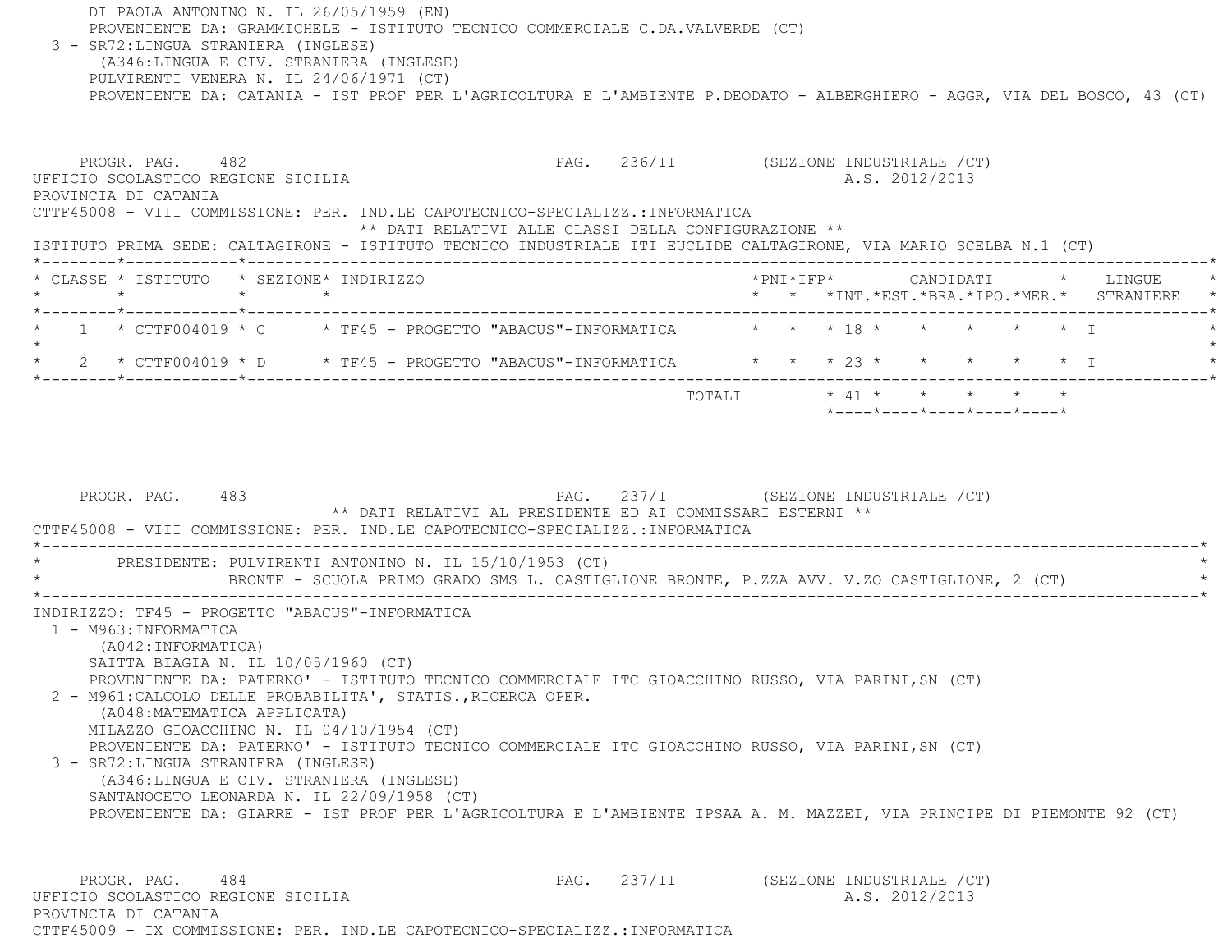DI PAOLA ANTONINO N. IL 26/05/1959 (EN) PROVENIENTE DA: GRAMMICHELE - ISTITUTO TECNICO COMMERCIALE C.DA.VALVERDE (CT) 3 - SR72:LINGUA STRANIERA (INGLESE) (A346:LINGUA E CIV. STRANIERA (INGLESE) PULVIRENTI VENERA N. IL 24/06/1971 (CT) PROVENIENTE DA: CATANIA - IST PROF PER L'AGRICOLTURA E L'AMBIENTE P.DEODATO - ALBERGHIERO - AGGR, VIA DEL BOSCO, 43 (CT) PROGR. PAG. 482 **PAG.** 236/II (SEZIONE INDUSTRIALE /CT) UFFICIO SCOLASTICO REGIONE SICILIA A.S. 2012/2013 PROVINCIA DI CATANIA CTTF45008 - VIII COMMISSIONE: PER. IND.LE CAPOTECNICO-SPECIALIZZ.:INFORMATICA \*\* DATI RELATIVI ALLE CLASSI DELLA CONFIGURAZIONE \*\* ISTITUTO PRIMA SEDE: CALTAGIRONE - ISTITUTO TECNICO INDUSTRIALE ITI EUCLIDE CALTAGIRONE, VIA MARIO SCELBA N.1 (CT) \*--------\*------------\*-------------------------------------------------------------------------------------------------------\* \* CLASSE \* ISTITUTO \* SEZIONE\* INDIRIZZO \*PNI\*IFP\* CANDIDATI \* LINGUE \* \* \* \* \* \* \* \*INT.\*EST.\*BRA.\*IPO.\*MER.\* STRANIERE \* \*--------\*------------\*-------------------------------------------------------------------------------------------------------\* $1$  \* CTTF004019 \* C \* TF45 - PROGETTO "ABACUS"-INFORMATICA  $\qquad$  \* \* \* 18 \* \* \* \* \* \* \* I  $\star$  \* 2 \* CTTF004019 \* D \* TF45 - PROGETTO "ABACUS"-INFORMATICA \* \* \* 23 \* \* \* \* \* I \* \*--------\*------------\*-------------------------------------------------------------------------------------------------------\* TOTALI \* 41 \* \* \* \* \* \*----\*----\*----\*----\*----\*PROGR. PAG. 483 PAG. 237/I (SEZIONE INDUSTRIALE / CT) \*\* DATI RELATIVI AL PRESIDENTE ED AI COMMISSARI ESTERNI \*\* CTTF45008 - VIII COMMISSIONE: PER. IND.LE CAPOTECNICO-SPECIALIZZ.:INFORMATICA \*----------------------------------------------------------------------------------------------------------------------------\*PRESIDENTE: PULVIRENTI ANTONINO N. IL 15/10/1953 (CT) \* BRONTE - SCUOLA PRIMO GRADO SMS L. CASTIGLIONE BRONTE, P.ZZA AVV. V.ZO CASTIGLIONE, 2 (CT) \* \*----------------------------------------------------------------------------------------------------------------------------\* INDIRIZZO: TF45 - PROGETTO "ABACUS"-INFORMATICA 1 - M963:INFORMATICA (A042:INFORMATICA) SAITTA BIAGIA N. IL 10/05/1960 (CT) PROVENIENTE DA: PATERNO' - ISTITUTO TECNICO COMMERCIALE ITC GIOACCHINO RUSSO, VIA PARINI,SN (CT) 2 - M961:CALCOLO DELLE PROBABILITA', STATIS.,RICERCA OPER. (A048:MATEMATICA APPLICATA) MILAZZO GIOACCHINO N. IL 04/10/1954 (CT) PROVENIENTE DA: PATERNO' - ISTITUTO TECNICO COMMERCIALE ITC GIOACCHINO RUSSO, VIA PARINI,SN (CT) 3 - SR72:LINGUA STRANIERA (INGLESE) (A346:LINGUA E CIV. STRANIERA (INGLESE) SANTANOCETO LEONARDA N. IL 22/09/1958 (CT) PROVENIENTE DA: GIARRE - IST PROF PER L'AGRICOLTURA E L'AMBIENTE IPSAA A. M. MAZZEI, VIA PRINCIPE DI PIEMONTE 92 (CT) PROGR. PAG. 484 PROGR. PAG. 237/II (SEZIONE INDUSTRIALE / CT) UFFICIO SCOLASTICO REGIONE SICILIA A.S. 2012/2013 PROVINCIA DI CATANIA

CTTF45009 - IX COMMISSIONE: PER. IND.LE CAPOTECNICO-SPECIALIZZ.:INFORMATICA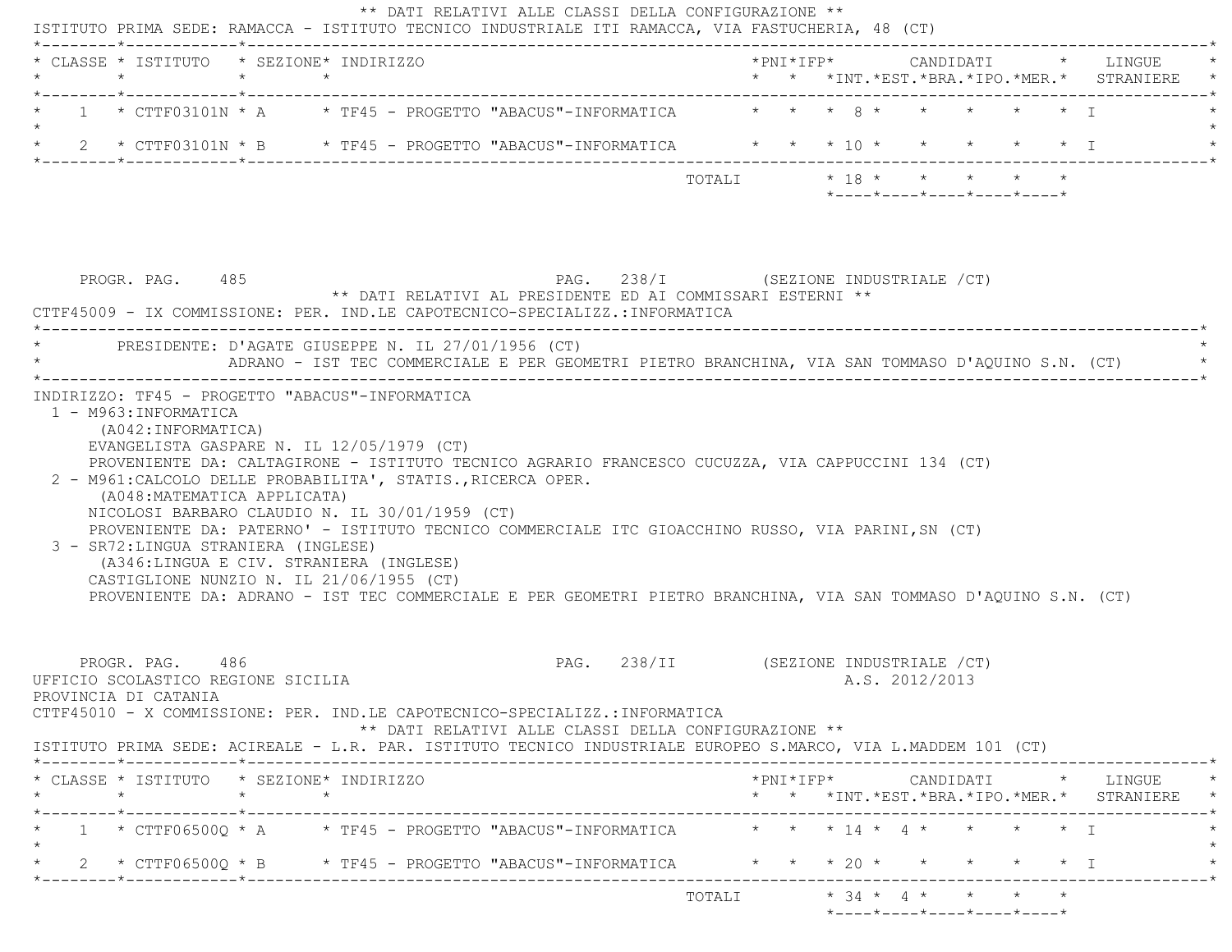| $\star$ $\star$ $\star$ $\star$ $\lambda$<br>$1 \times CTTF03101N \times A \times TF45 - PROGETTO "ABACUS"-INFORMATICA$<br>$\star$ $\star$ $\star$ T<br>$\star$ 18 $\star$ $\star$ $\star$ $\star$ $\star$<br>TOTALI<br>$*$ - - - - $*$ - - - - $*$ - - - - $*$ - - - - $*$ - - - - $*$<br>PAG. 238/I (SEZIONE INDUSTRIALE /CT)<br>PROGR. PAG. 485<br>** DATI RELATIVI AL PRESIDENTE ED AI COMMISSARI ESTERNI **<br>CTTF45009 - IX COMMISSIONE: PER. IND.LE CAPOTECNICO-SPECIALIZZ.:INFORMATICA<br>PRESIDENTE: D'AGATE GIUSEPPE N. IL 27/01/1956 (CT)<br>ADRANO - IST TEC COMMERCIALE E PER GEOMETRI PIETRO BRANCHINA, VIA SAN TOMMASO D'AQUINO S.N. (CT)<br>INDIRIZZO: TF45 - PROGETTO "ABACUS"-INFORMATICA<br>1 - M963: INFORMATICA<br>(A042:INFORMATICA)<br>EVANGELISTA GASPARE N. IL 12/05/1979 (CT)<br>PROVENIENTE DA: CALTAGIRONE - ISTITUTO TECNICO AGRARIO FRANCESCO CUCUZZA, VIA CAPPUCCINI 134 (CT)<br>2 - M961: CALCOLO DELLE PROBABILITA', STATIS., RICERCA OPER.<br>(A048: MATEMATICA APPLICATA)<br>NICOLOSI BARBARO CLAUDIO N. IL 30/01/1959 (CT)<br>PROVENIENTE DA: PATERNO' - ISTITUTO TECNICO COMMERCIALE ITC GIOACCHINO RUSSO, VIA PARINI, SN (CT)<br>3 - SR72: LINGUA STRANIERA (INGLESE)<br>(A346:LINGUA E CIV. STRANIERA (INGLESE)<br>CASTIGLIONE NUNZIO N. IL 21/06/1955 (CT)<br>PROVENIENTE DA: ADRANO - IST TEC COMMERCIALE E PER GEOMETRI PIETRO BRANCHINA, VIA SAN TOMMASO D'AQUINO S.N. (CT)<br>PAG. 238/II (SEZIONE INDUSTRIALE /CT)<br>PROGR. PAG. 486<br>UFFICIO SCOLASTICO REGIONE SICILIA<br>A.S. 2012/2013<br>PROVINCIA DI CATANIA<br>CTTF45010 - X COMMISSIONE: PER. IND.LE CAPOTECNICO-SPECIALIZZ.:INFORMATICA<br>** DATI RELATIVI ALLE CLASSI DELLA CONFIGURAZIONE **<br>ISTITUTO PRIMA SEDE: ACIREALE - L.R. PAR. ISTITUTO TECNICO INDUSTRIALE EUROPEO S.MARCO, VIA L.MADDEM 101 (CT)<br>* CLASSE * ISTITUTO * SEZIONE* INDIRIZZO<br>$*$ PNI $*$ IFP $*$ CANDIDATI $*$ LINGUE $*$<br>$\star$<br>$\star$ $\star$<br>* * *INT.*EST.*BRA.*IPO.*MER.* STRANIERE *<br>1 * CTTF06500Q * A * TF45 - PROGETTO "ABACUS"-INFORMATICA * * * 14 * 4 * * * * * * I<br>* 2 * CTTF06500Q * B * TF45 - PROGETTO "ABACUS"-INFORMATICA * * * 20 * * * * * * T | * CLASSE * ISTITUTO * SEZIONE* INDIRIZZO<br>$\star$ | $\star$ $\star$ |  |  |  |  |  |  |  |  | * * *INT.*EST.*BRA.*IPO.*MER.* STRANIERE |
|----------------------------------------------------------------------------------------------------------------------------------------------------------------------------------------------------------------------------------------------------------------------------------------------------------------------------------------------------------------------------------------------------------------------------------------------------------------------------------------------------------------------------------------------------------------------------------------------------------------------------------------------------------------------------------------------------------------------------------------------------------------------------------------------------------------------------------------------------------------------------------------------------------------------------------------------------------------------------------------------------------------------------------------------------------------------------------------------------------------------------------------------------------------------------------------------------------------------------------------------------------------------------------------------------------------------------------------------------------------------------------------------------------------------------------------------------------------------------------------------------------------------------------------------------------------------------------------------------------------------------------------------------------------------------------------------------------------------------------------------------------------------------------------------------------------------------------------------------------------------------------------------------------------------------------------------------------------------------------------------------------------------------------------------------------------------------------------------------------------------------------------------------------------------------------|-----------------------------------------------------|-----------------|--|--|--|--|--|--|--|--|------------------------------------------|
|                                                                                                                                                                                                                                                                                                                                                                                                                                                                                                                                                                                                                                                                                                                                                                                                                                                                                                                                                                                                                                                                                                                                                                                                                                                                                                                                                                                                                                                                                                                                                                                                                                                                                                                                                                                                                                                                                                                                                                                                                                                                                                                                                                                  |                                                     |                 |  |  |  |  |  |  |  |  |                                          |
|                                                                                                                                                                                                                                                                                                                                                                                                                                                                                                                                                                                                                                                                                                                                                                                                                                                                                                                                                                                                                                                                                                                                                                                                                                                                                                                                                                                                                                                                                                                                                                                                                                                                                                                                                                                                                                                                                                                                                                                                                                                                                                                                                                                  |                                                     |                 |  |  |  |  |  |  |  |  |                                          |
|                                                                                                                                                                                                                                                                                                                                                                                                                                                                                                                                                                                                                                                                                                                                                                                                                                                                                                                                                                                                                                                                                                                                                                                                                                                                                                                                                                                                                                                                                                                                                                                                                                                                                                                                                                                                                                                                                                                                                                                                                                                                                                                                                                                  |                                                     |                 |  |  |  |  |  |  |  |  |                                          |
|                                                                                                                                                                                                                                                                                                                                                                                                                                                                                                                                                                                                                                                                                                                                                                                                                                                                                                                                                                                                                                                                                                                                                                                                                                                                                                                                                                                                                                                                                                                                                                                                                                                                                                                                                                                                                                                                                                                                                                                                                                                                                                                                                                                  |                                                     |                 |  |  |  |  |  |  |  |  |                                          |
|                                                                                                                                                                                                                                                                                                                                                                                                                                                                                                                                                                                                                                                                                                                                                                                                                                                                                                                                                                                                                                                                                                                                                                                                                                                                                                                                                                                                                                                                                                                                                                                                                                                                                                                                                                                                                                                                                                                                                                                                                                                                                                                                                                                  |                                                     |                 |  |  |  |  |  |  |  |  |                                          |
|                                                                                                                                                                                                                                                                                                                                                                                                                                                                                                                                                                                                                                                                                                                                                                                                                                                                                                                                                                                                                                                                                                                                                                                                                                                                                                                                                                                                                                                                                                                                                                                                                                                                                                                                                                                                                                                                                                                                                                                                                                                                                                                                                                                  |                                                     |                 |  |  |  |  |  |  |  |  |                                          |
|                                                                                                                                                                                                                                                                                                                                                                                                                                                                                                                                                                                                                                                                                                                                                                                                                                                                                                                                                                                                                                                                                                                                                                                                                                                                                                                                                                                                                                                                                                                                                                                                                                                                                                                                                                                                                                                                                                                                                                                                                                                                                                                                                                                  |                                                     |                 |  |  |  |  |  |  |  |  |                                          |
|                                                                                                                                                                                                                                                                                                                                                                                                                                                                                                                                                                                                                                                                                                                                                                                                                                                                                                                                                                                                                                                                                                                                                                                                                                                                                                                                                                                                                                                                                                                                                                                                                                                                                                                                                                                                                                                                                                                                                                                                                                                                                                                                                                                  |                                                     |                 |  |  |  |  |  |  |  |  |                                          |
|                                                                                                                                                                                                                                                                                                                                                                                                                                                                                                                                                                                                                                                                                                                                                                                                                                                                                                                                                                                                                                                                                                                                                                                                                                                                                                                                                                                                                                                                                                                                                                                                                                                                                                                                                                                                                                                                                                                                                                                                                                                                                                                                                                                  |                                                     |                 |  |  |  |  |  |  |  |  |                                          |
|                                                                                                                                                                                                                                                                                                                                                                                                                                                                                                                                                                                                                                                                                                                                                                                                                                                                                                                                                                                                                                                                                                                                                                                                                                                                                                                                                                                                                                                                                                                                                                                                                                                                                                                                                                                                                                                                                                                                                                                                                                                                                                                                                                                  |                                                     |                 |  |  |  |  |  |  |  |  |                                          |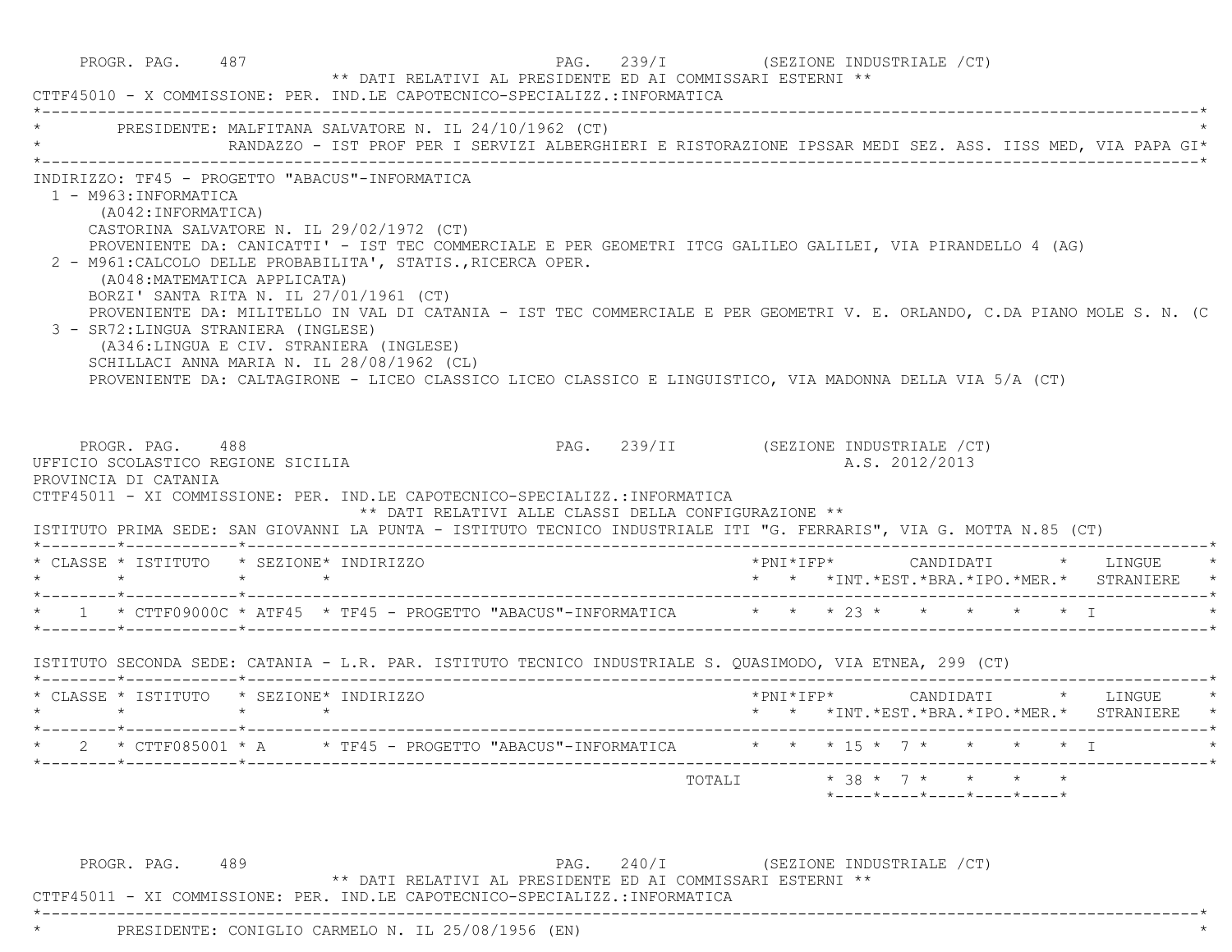|                                                                               | PRESIDENTE: MALFITANA SALVATORE N. IL 24/10/1962 (CT)                                                                                                                                                                                                                                                                                                                                                                                                                                                                                                                                                | RANDAZZO - IST PROF PER I SERVIZI ALBERGHIERI E RISTORAZIONE IPSSAR MEDI SEZ. ASS. IISS MED, VIA PAPA GI*                |
|-------------------------------------------------------------------------------|------------------------------------------------------------------------------------------------------------------------------------------------------------------------------------------------------------------------------------------------------------------------------------------------------------------------------------------------------------------------------------------------------------------------------------------------------------------------------------------------------------------------------------------------------------------------------------------------------|--------------------------------------------------------------------------------------------------------------------------|
| 1 - M963: INFORMATICA<br>(A042:INFORMATICA)                                   | INDIRIZZO: TF45 - PROGETTO "ABACUS"-INFORMATICA<br>CASTORINA SALVATORE N. IL 29/02/1972 (CT)<br>PROVENIENTE DA: CANICATTI' - IST TEC COMMERCIALE E PER GEOMETRI ITCG GALILEO GALILEI, VIA PIRANDELLO 4 (AG)<br>2 - M961: CALCOLO DELLE PROBABILITA', STATIS., RICERCA OPER.<br>(A048: MATEMATICA APPLICATA)<br>BORZI' SANTA RITA N. IL 27/01/1961 (CT)<br>3 - SR72: LINGUA STRANIERA (INGLESE)<br>(A346:LINGUA E CIV. STRANIERA (INGLESE)<br>SCHILLACI ANNA MARIA N. IL 28/08/1962 (CL)<br>PROVENIENTE DA: CALTAGIRONE - LICEO CLASSICO LICEO CLASSICO E LINGUISTICO, VIA MADONNA DELLA VIA 5/A (CT) | PROVENIENTE DA: MILITELLO IN VAL DI CATANIA - IST TEC COMMERCIALE E PER GEOMETRI V. E. ORLANDO, C.DA PIANO MOLE S. N. (C |
| PROGR. PAG. 488                                                               | CTTF45011 - XI COMMISSIONE: PER. IND.LE CAPOTECNICO-SPECIALIZZ.:INFORMATICA<br>** DATI RELATIVI ALLE CLASSI DELLA CONFIGURAZIONE **<br>ISTITUTO PRIMA SEDE: SAN GIOVANNI LA PUNTA - ISTITUTO TECNICO INDUSTRIALE ITI "G. FERRARIS", VIA G. MOTTA N.85 (CT)                                                                                                                                                                                                                                                                                                                                           | PAG. 239/II (SEZIONE INDUSTRIALE /CT)<br>A.S. 2012/2013                                                                  |
| UFFICIO SCOLASTICO REGIONE SICILIA<br>PROVINCIA DI CATANIA<br>$\star$ $\star$ | * CLASSE * ISTITUTO * SEZIONE* INDIRIZZO<br>$\star$ $\star$                                                                                                                                                                                                                                                                                                                                                                                                                                                                                                                                          | *PNI*IFP* CANDIDATI * LINGUE<br>* * *INT. *EST. *BRA. *IPO. *MER. * STRANIERE                                            |
|                                                                               | * 1 * CTTF09000C * ATF45 * TF45 - PROGETTO "ABACUS"-INFORMATICA * * * 23 * * * * * * * T                                                                                                                                                                                                                                                                                                                                                                                                                                                                                                             |                                                                                                                          |
|                                                                               | ISTITUTO SECONDA SEDE: CATANIA - L.R. PAR. ISTITUTO TECNICO INDUSTRIALE S. QUASIMODO, VIA ETNEA, 299 (CT)                                                                                                                                                                                                                                                                                                                                                                                                                                                                                            |                                                                                                                          |
| $\star$ $\star$                                                               | * CLASSE * ISTITUTO * SEZIONE* INDIRIZZO<br>$\star$ $\star$                                                                                                                                                                                                                                                                                                                                                                                                                                                                                                                                          | * * *INT. *EST. *BRA. *IPO. *MER. * STRANIERE *                                                                          |
|                                                                               | * 2 * CTTF085001 * A * TF45 - PROGETTO "ABACUS"-INFORMATICA * * * 15 * 7 * * * * * T                                                                                                                                                                                                                                                                                                                                                                                                                                                                                                                 |                                                                                                                          |

PROGR. PAG. 489 PAG. 240/I (SEZIONE INDUSTRIALE /CT) \*\* DATI RELATIVI AL PRESIDENTE ED AI COMMISSARI ESTERNI \*\*

 CTTF45011 - XI COMMISSIONE: PER. IND.LE CAPOTECNICO-SPECIALIZZ.:INFORMATICA \*----------------------------------------------------------------------------------------------------------------------------\*

\* PRESIDENTE: CONIGLIO CARMELO N. IL 25/08/1956 (EN) \*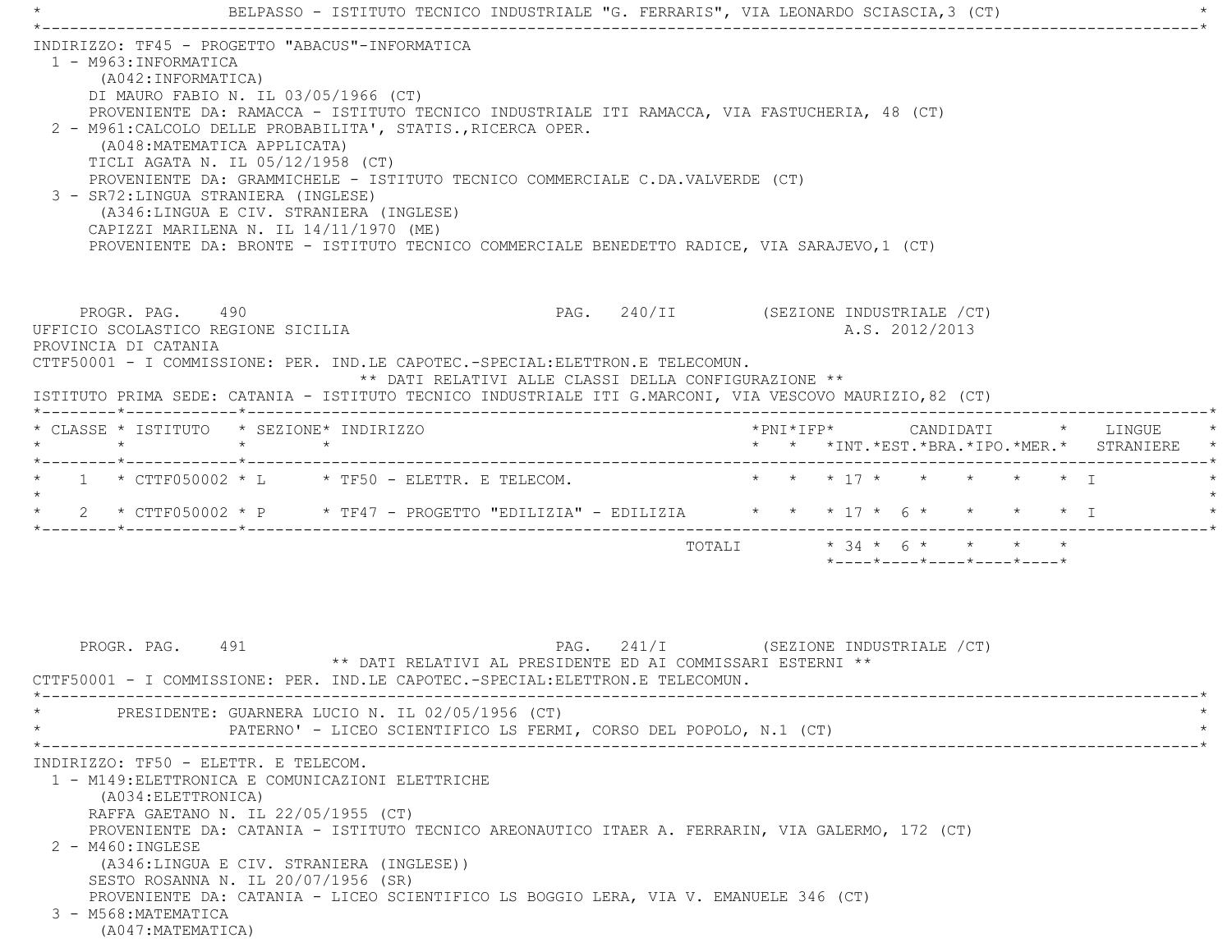|                                                                                                                                                                                                                                                         |                                                                                                                                                                                                                                                                                                                                                                                                                                                                                                        |         |         | BELPASSO - ISTITUTO TECNICO INDUSTRIALE "G. FERRARIS", VIA LEONARDO SCIASCIA, 3 (CT) |  |                                       |                             |                     |  |                |                                         |  |                                               |  |
|---------------------------------------------------------------------------------------------------------------------------------------------------------------------------------------------------------------------------------------------------------|--------------------------------------------------------------------------------------------------------------------------------------------------------------------------------------------------------------------------------------------------------------------------------------------------------------------------------------------------------------------------------------------------------------------------------------------------------------------------------------------------------|---------|---------|--------------------------------------------------------------------------------------|--|---------------------------------------|-----------------------------|---------------------|--|----------------|-----------------------------------------|--|-----------------------------------------------|--|
| INDIRIZZO: TF45 - PROGETTO "ABACUS"-INFORMATICA<br>1 - M963: INFORMATICA<br>2 - M961: CALCOLO DELLE PROBABILITA', STATIS., RICERCA OPER.<br>3 - SR72: LINGUA STRANIERA (INGLESE)                                                                        | (A042: INFORMATICA)<br>DI MAURO FABIO N. IL 03/05/1966 (CT)<br>PROVENIENTE DA: RAMACCA - ISTITUTO TECNICO INDUSTRIALE ITI RAMACCA, VIA FASTUCHERIA, 48 (CT)<br>(A048: MATEMATICA APPLICATA)<br>TICLI AGATA N. IL 05/12/1958 (CT)<br>PROVENIENTE DA: GRAMMICHELE - ISTITUTO TECNICO COMMERCIALE C.DA.VALVERDE (CT)<br>(A346:LINGUA E CIV. STRANIERA (INGLESE)<br>CAPIZZI MARILENA N. IL 14/11/1970 (ME)<br>PROVENIENTE DA: BRONTE - ISTITUTO TECNICO COMMERCIALE BENEDETTO RADICE, VIA SARAJEVO, 1 (CT) |         |         |                                                                                      |  |                                       |                             |                     |  |                |                                         |  |                                               |  |
| UFFICIO SCOLASTICO REGIONE SICILIA<br>PROVINCIA DI CATANIA<br>CTTF50001 - I COMMISSIONE: PER. IND.LE CAPOTEC.-SPECIAL:ELETTRON.E TELECOMUN.<br>ISTITUTO PRIMA SEDE: CATANIA - ISTITUTO TECNICO INDUSTRIALE ITI G.MARCONI, VIA VESCOVO MAURIZIO, 82 (CT) | PROGR. PAG. 490                                                                                                                                                                                                                                                                                                                                                                                                                                                                                        |         |         | ** DATI RELATIVI ALLE CLASSI DELLA CONFIGURAZIONE **                                 |  | PAG. 240/II (SEZIONE INDUSTRIALE /CT) |                             |                     |  | A.S. 2012/2013 |                                         |  |                                               |  |
| * CLASSE * ISTITUTO * SEZIONE* INDIRIZZO                                                                                                                                                                                                                |                                                                                                                                                                                                                                                                                                                                                                                                                                                                                                        |         |         |                                                                                      |  |                                       |                             | $*$ PNI $*$ IFP $*$ |  |                |                                         |  | CANDIDATI * LINGUE                            |  |
| $\star$                                                                                                                                                                                                                                                 |                                                                                                                                                                                                                                                                                                                                                                                                                                                                                                        | $\star$ | $\star$ |                                                                                      |  |                                       |                             |                     |  |                |                                         |  | * * *INT. *EST. *BRA. *IPO. *MER. * STRANIERE |  |
|                                                                                                                                                                                                                                                         | $1 \times CT$ TF050002 $\star$ L $\star$ TF50 - ELETTR. E TELECOM.                                                                                                                                                                                                                                                                                                                                                                                                                                     |         |         |                                                                                      |  |                                       |                             |                     |  |                | * * * 17 * * * * * * T                  |  |                                               |  |
|                                                                                                                                                                                                                                                         | 2 * CTTF050002 * P * TF47 - PROGETTO "EDILIZIA" - EDILIZIA * * * 17 * 6 * * * * * I                                                                                                                                                                                                                                                                                                                                                                                                                    |         |         |                                                                                      |  |                                       |                             |                     |  |                |                                         |  |                                               |  |
|                                                                                                                                                                                                                                                         |                                                                                                                                                                                                                                                                                                                                                                                                                                                                                                        |         |         |                                                                                      |  |                                       | TOTALI $* 34 * 6 * * * * *$ |                     |  |                | $*$ ---- $*$ ---- $*$ ---- $*$ ---- $*$ |  |                                               |  |
| CTTF50001 - I COMMISSIONE: PER. IND.LE CAPOTEC.-SPECIAL: ELETTRON.E TELECOMUN.                                                                                                                                                                          | PROGR. PAG. 491                                                                                                                                                                                                                                                                                                                                                                                                                                                                                        |         |         | ** DATI RELATIVI AL PRESIDENTE ED AI COMMISSARI ESTERNI **                           |  | PAG. 241/I (SEZIONE INDUSTRIALE / CT) |                             |                     |  |                |                                         |  |                                               |  |
|                                                                                                                                                                                                                                                         | PRESIDENTE: GUARNERA LUCIO N. IL 02/05/1956 (CT)                                                                                                                                                                                                                                                                                                                                                                                                                                                       |         |         | PATERNO' - LICEO SCIENTIFICO LS FERMI, CORSO DEL POPOLO, N.1 (CT)                    |  |                                       |                             |                     |  |                |                                         |  |                                               |  |
| INDIRIZZO: TF50 - ELETTR. E TELECOM.<br>1 - M149: ELETTRONICA E COMUNICAZIONI ELETTRICHE<br>2 - M460: INGLESE<br>3 - M568: MATEMATICA<br>(A047: MATEMATICA)                                                                                             | (A034: ELETTRONICA)<br>RAFFA GAETANO N. IL 22/05/1955 (CT)<br>PROVENIENTE DA: CATANIA - ISTITUTO TECNICO AREONAUTICO ITAER A. FERRARIN, VIA GALERMO, 172 (CT)<br>(A346:LINGUA E CIV. STRANIERA (INGLESE))<br>SESTO ROSANNA N. IL 20/07/1956 (SR)<br>PROVENIENTE DA: CATANIA - LICEO SCIENTIFICO LS BOGGIO LERA, VIA V. EMANUELE 346 (CT)                                                                                                                                                               |         |         |                                                                                      |  |                                       |                             |                     |  |                |                                         |  |                                               |  |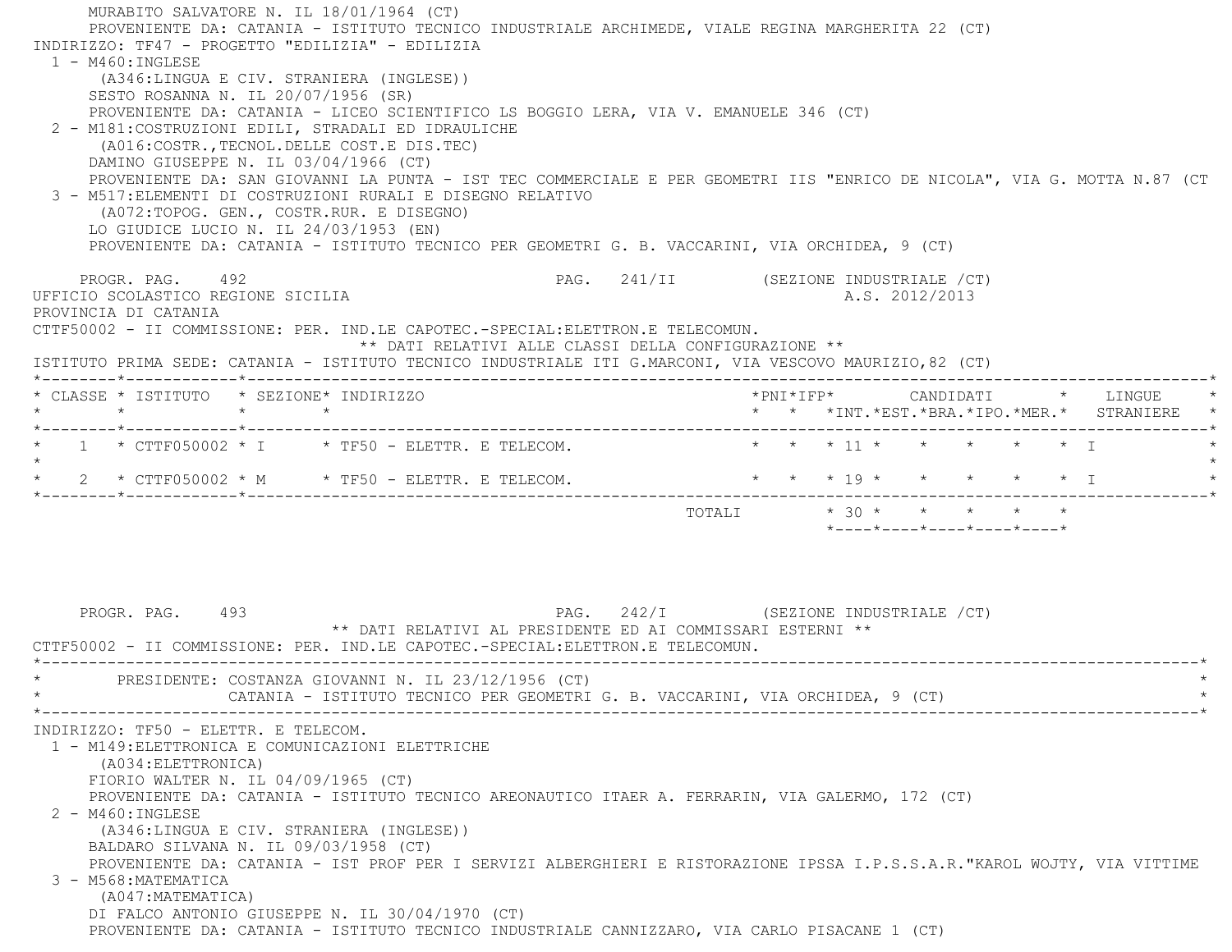MURABITO SALVATORE N. IL 18/01/1964 (CT) PROVENIENTE DA: CATANIA - ISTITUTO TECNICO INDUSTRIALE ARCHIMEDE, VIALE REGINA MARGHERITA 22 (CT) INDIRIZZO: TF47 - PROGETTO "EDILIZIA" - EDILIZIA 1 - M460:INGLESE (A346:LINGUA E CIV. STRANIERA (INGLESE)) SESTO ROSANNA N. IL 20/07/1956 (SR) PROVENIENTE DA: CATANIA - LICEO SCIENTIFICO LS BOGGIO LERA, VIA V. EMANUELE 346 (CT) 2 - M181:COSTRUZIONI EDILI, STRADALI ED IDRAULICHE (A016:COSTR.,TECNOL.DELLE COST.E DIS.TEC) DAMINO GIUSEPPE N. IL 03/04/1966 (CT) PROVENIENTE DA: SAN GIOVANNI LA PUNTA - IST TEC COMMERCIALE E PER GEOMETRI IIS "ENRICO DE NICOLA", VIA G. MOTTA N.87 (CT 3 - M517:ELEMENTI DI COSTRUZIONI RURALI E DISEGNO RELATIVO (A072:TOPOG. GEN., COSTR.RUR. E DISEGNO) LO GIUDICE LUCIO N. IL 24/03/1953 (EN) PROVENIENTE DA: CATANIA - ISTITUTO TECNICO PER GEOMETRI G. B. VACCARINI, VIA ORCHIDEA, 9 (CT) PROGR. PAG. 492 **PROGR. PAG. 241/II** (SEZIONE INDUSTRIALE / CT) UFFICIO SCOLASTICO REGIONE SICILIA A.S. 2012/2013 PROVINCIA DI CATANIA CTTF50002 - II COMMISSIONE: PER. IND.LE CAPOTEC.-SPECIAL:ELETTRON.E TELECOMUN. \*\* DATI RELATIVI ALLE CLASSI DELLA CONFIGURAZIONE \*\* ISTITUTO PRIMA SEDE: CATANIA - ISTITUTO TECNICO INDUSTRIALE ITI G.MARCONI, VIA VESCOVO MAURIZIO,82 (CT) \*--------\*------------\*-------------------------------------------------------------------------------------------------------\* \* CLASSE \* ISTITUTO \* SEZIONE\* INDIRIZZO \*PNI\*IFP\* CANDIDATI \* LINGUE \* \* \* \* \* \* \* \*INT.\*EST.\*BRA.\*IPO.\*MER.\* STRANIERE \* \*--------\*------------\*-------------------------------------------------------------------------------------------------------\*1 \* CTTF050002 \* I \* TF50 - ELETTR. E TELECOM. \* \* \* \* 11 \* \* \* \* \* \* \* \* I  $\star$  \* 2 \* CTTF050002 \* M \* TF50 - ELETTR. E TELECOM. \* \* \* 19 \* \* \* \* \* I \* \*--------\*------------\*-------------------------------------------------------------------------------------------------------\*TOTALI  $* 30 * * * * * * * * * *$  \*----\*----\*----\*----\*----\*PROGR. PAG. 493 PAG. 242/I (SEZIONE INDUSTRIALE / CT) \*\* DATI RELATIVI AL PRESIDENTE ED AI COMMISSARI ESTERNI \*\* CTTF50002 - II COMMISSIONE: PER. IND.LE CAPOTEC.-SPECIAL:ELETTRON.E TELECOMUN. \*----------------------------------------------------------------------------------------------------------------------------\*PRESIDENTE: COSTANZA GIOVANNI N. IL 23/12/1956 (CT) CATANIA - ISTITUTO TECNICO PER GEOMETRI G. B. VACCARINI, VIA ORCHIDEA, 9 (CT) \*----------------------------------------------------------------------------------------------------------------------------\* INDIRIZZO: TF50 - ELETTR. E TELECOM. 1 - M149:ELETTRONICA E COMUNICAZIONI ELETTRICHE (A034:ELETTRONICA) FIORIO WALTER N. IL 04/09/1965 (CT) PROVENIENTE DA: CATANIA - ISTITUTO TECNICO AREONAUTICO ITAER A. FERRARIN, VIA GALERMO, 172 (CT) 2 - M460:INGLESE (A346:LINGUA E CIV. STRANIERA (INGLESE)) BALDARO SILVANA N. IL 09/03/1958 (CT) PROVENIENTE DA: CATANIA - IST PROF PER I SERVIZI ALBERGHIERI E RISTORAZIONE IPSSA I.P.S.S.A.R."KAROL WOJTY, VIA VITTIME 3 - M568:MATEMATICA (A047:MATEMATICA) DI FALCO ANTONIO GIUSEPPE N. IL 30/04/1970 (CT) PROVENIENTE DA: CATANIA - ISTITUTO TECNICO INDUSTRIALE CANNIZZARO, VIA CARLO PISACANE 1 (CT)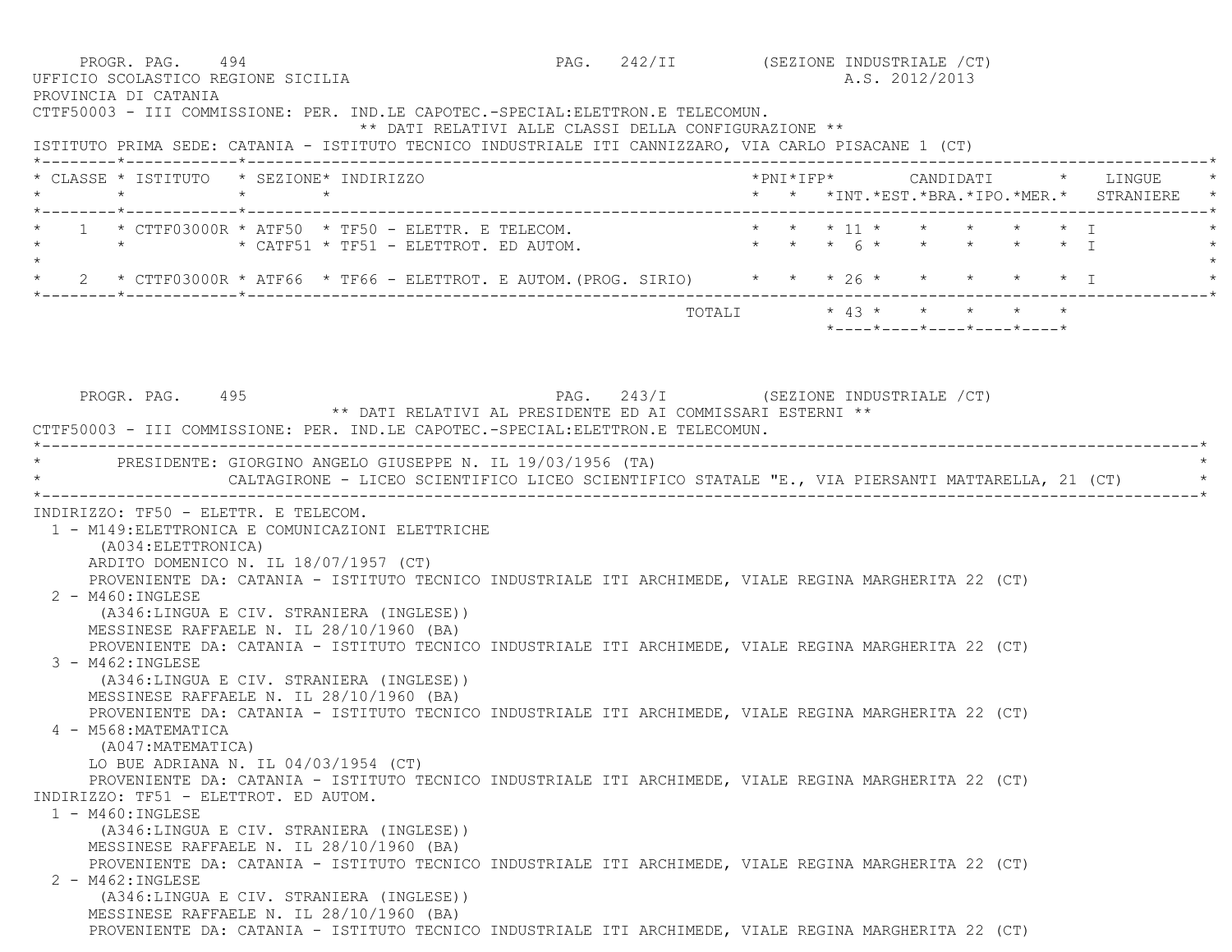PROGR. PAG. 494 CT (SEZIONE INDUSTRIALE  $(CT)$  UFFICIO SCOLASTICO REGIONE SICILIA A.S. 2012/2013 PROVINCIA DI CATANIA CTTF50003 - III COMMISSIONE: PER. IND.LE CAPOTEC.-SPECIAL:ELETTRON.E TELECOMUN. \*\* DATI RELATIVI ALLE CLASSI DELLA CONFIGURAZIONE \*\* ISTITUTO PRIMA SEDE: CATANIA - ISTITUTO TECNICO INDUSTRIALE ITI CANNIZZARO, VIA CARLO PISACANE 1 (CT) \*--------\*------------\*-------------------------------------------------------------------------------------------------------\* \* CLASSE \* ISTITUTO \* SEZIONE\* INDIRIZZO \*PNI\*IFP\* CANDIDATI \* LINGUE \* \* \* \* \* \* \* \*INT.\*EST.\*BRA.\*IPO.\*MER.\* STRANIERE \* \*--------\*------------\*-------------------------------------------------------------------------------------------------------\* \* 1 \* CTTF03000R \* ATF50 \* TF50 - ELETTR. E TELECOM. \* \* \* 11 \* \* \* \* \* I \*\* \* \* \* CATF51 \* TF51 - ELETTROT. ED AUTOM. \* \* \* \* 6 \* \* \* \* \* \* \* I  $\star$ 2 \* CTTF03000R \* ATF66 \* TF66 - ELETTROT. E AUTOM. (PROG. SIRIO) \* \* \* 26 \* \* \* \* \* \* \* \* I \*--------\*------------\*-------------------------------------------------------------------------------------------------------\*TOTALI  $* 43 * * * * * * * * *$  \*----\*----\*----\*----\*----\*PROGR. PAG. 495 PROGR. PAG. 243/I (SEZIONE INDUSTRIALE / CT) \*\* DATI RELATIVI AL PRESIDENTE ED AI COMMISSARI ESTERNI \*\* CTTF50003 - III COMMISSIONE: PER. IND.LE CAPOTEC.-SPECIAL:ELETTRON.E TELECOMUN. \*----------------------------------------------------------------------------------------------------------------------------\*PRESIDENTE: GIORGINO ANGELO GIUSEPPE N. IL 19/03/1956 (TA) \* CALTAGIRONE - LICEO SCIENTIFICO LICEO SCIENTIFICO STATALE "E., VIA PIERSANTI MATTARELLA, 21 (CT) \* \*----------------------------------------------------------------------------------------------------------------------------\* INDIRIZZO: TF50 - ELETTR. E TELECOM. 1 - M149:ELETTRONICA E COMUNICAZIONI ELETTRICHE (A034:ELETTRONICA) ARDITO DOMENICO N. IL 18/07/1957 (CT) PROVENIENTE DA: CATANIA - ISTITUTO TECNICO INDUSTRIALE ITI ARCHIMEDE, VIALE REGINA MARGHERITA 22 (CT) 2 - M460:INGLESE (A346:LINGUA E CIV. STRANIERA (INGLESE)) MESSINESE RAFFAELE N. IL 28/10/1960 (BA) PROVENIENTE DA: CATANIA - ISTITUTO TECNICO INDUSTRIALE ITI ARCHIMEDE, VIALE REGINA MARGHERITA 22 (CT) 3 - M462:INGLESE (A346:LINGUA E CIV. STRANIERA (INGLESE)) MESSINESE RAFFAELE N. IL 28/10/1960 (BA) PROVENIENTE DA: CATANIA - ISTITUTO TECNICO INDUSTRIALE ITI ARCHIMEDE, VIALE REGINA MARGHERITA 22 (CT) 4 - M568:MATEMATICA (A047:MATEMATICA) LO BUE ADRIANA N. IL 04/03/1954 (CT) PROVENIENTE DA: CATANIA - ISTITUTO TECNICO INDUSTRIALE ITI ARCHIMEDE, VIALE REGINA MARGHERITA 22 (CT) INDIRIZZO: TF51 - ELETTROT. ED AUTOM. 1 - M460:INGLESE (A346:LINGUA E CIV. STRANIERA (INGLESE)) MESSINESE RAFFAELE N. IL 28/10/1960 (BA) PROVENIENTE DA: CATANIA - ISTITUTO TECNICO INDUSTRIALE ITI ARCHIMEDE, VIALE REGINA MARGHERITA 22 (CT) 2 - M462:INGLESE (A346:LINGUA E CIV. STRANIERA (INGLESE)) MESSINESE RAFFAELE N. IL 28/10/1960 (BA) PROVENIENTE DA: CATANIA - ISTITUTO TECNICO INDUSTRIALE ITI ARCHIMEDE, VIALE REGINA MARGHERITA 22 (CT)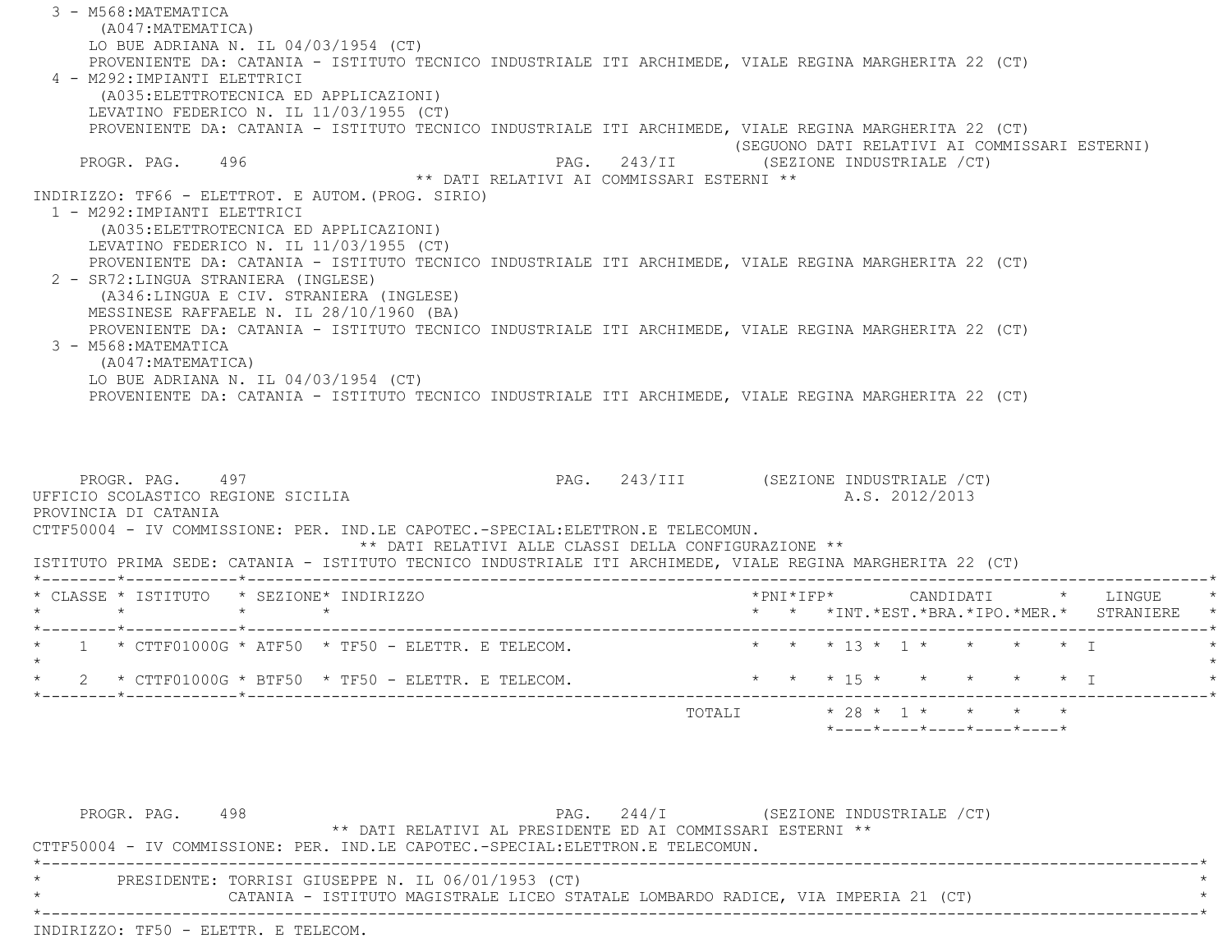3 - M568:MATEMATICA (A047:MATEMATICA) LO BUE ADRIANA N. IL 04/03/1954 (CT) PROVENIENTE DA: CATANIA - ISTITUTO TECNICO INDUSTRIALE ITI ARCHIMEDE, VIALE REGINA MARGHERITA 22 (CT) 4 - M292:IMPIANTI ELETTRICI (A035:ELETTROTECNICA ED APPLICAZIONI) LEVATINO FEDERICO N. IL 11/03/1955 (CT) PROVENIENTE DA: CATANIA - ISTITUTO TECNICO INDUSTRIALE ITI ARCHIMEDE, VIALE REGINA MARGHERITA 22 (CT) (SEGUONO DATI RELATIVI AI COMMISSARI ESTERNI) PROGR. PAG. 496 496 PAG. 243/II (SEZIONE INDUSTRIALE (CT) \*\* DATI RELATIVI AI COMMISSARI ESTERNI \*\* INDIRIZZO: TF66 - ELETTROT. E AUTOM.(PROG. SIRIO) 1 - M292:IMPIANTI ELETTRICI (A035:ELETTROTECNICA ED APPLICAZIONI) LEVATINO FEDERICO N. IL 11/03/1955 (CT) PROVENIENTE DA: CATANIA - ISTITUTO TECNICO INDUSTRIALE ITI ARCHIMEDE, VIALE REGINA MARGHERITA 22 (CT) 2 - SR72:LINGUA STRANIERA (INGLESE) (A346:LINGUA E CIV. STRANIERA (INGLESE) MESSINESE RAFFAELE N. IL 28/10/1960 (BA) PROVENIENTE DA: CATANIA - ISTITUTO TECNICO INDUSTRIALE ITI ARCHIMEDE, VIALE REGINA MARGHERITA 22 (CT) 3 - M568:MATEMATICA (A047:MATEMATICA) LO BUE ADRIANA N. IL 04/03/1954 (CT) PROVENIENTE DA: CATANIA - ISTITUTO TECNICO INDUSTRIALE ITI ARCHIMEDE, VIALE REGINA MARGHERITA 22 (CT) PROGR. PAG. 497 **PROGR. PAG. 243/III** (SEZIONE INDUSTRIALE /CT) UFFICIO SCOLASTICO REGIONE SICILIA A.S. 2012/2013 PROVINCIA DI CATANIA CTTF50004 - IV COMMISSIONE: PER. IND.LE CAPOTEC.-SPECIAL:ELETTRON.E TELECOMUN.\*\* DATI RELATIVI ALLE CLASSI DELLA CONFIGURAZIONE \*\*

ISTITUTO PRIMA SEDE: CATANIA - ISTITUTO TECNICO INDUSTRIALE ITI ARCHIMEDE, VIALE REGINA MARGHERITA 22 (CT)

| * CLASSE * ISTITUTO * SEZIONE* INDIRIZZO                                                                             | $\rightarrow$<br>LINGUE<br>*PNT*TFP*<br>CANDIDATI                                           |
|----------------------------------------------------------------------------------------------------------------------|---------------------------------------------------------------------------------------------|
|                                                                                                                      | * * *INT.*EST.*BRA.*IPO.*MER.* STRANIERE<br>$\star$                                         |
| $\star$ 1 $\star$ CTTF01000G $\star$ ATF50 $\star$ TF50 - ELETTR. E TELECOM.                                         | * * * 13 * 1 * * * * * I                                                                    |
| $2 \times CTTF01000G \times BTF50 \times TF50 - ELETTR. E TELECOM.$<br>_____*___ <b>_________</b> *_________________ | $\star$ $\star$ $\star$ $\uparrow$ $\uparrow$ $\star$ $\star$ $\star$ $\uparrow$ $\uparrow$ |
|                                                                                                                      | $* 28 * 1 * * * * * * *$<br>TOTALI<br>$*$ ---- $*$ ---- $*$ ---- $*$ ---- $*$ ----          |

PROGR. PAG. 498 PAG. 244/I (SEZIONE INDUSTRIALE / CT) \*\* DATI RELATIVI AL PRESIDENTE ED AI COMMISSARI ESTERNI \*\* CTTF50004 - IV COMMISSIONE: PER. IND.LE CAPOTEC.-SPECIAL:ELETTRON.E TELECOMUN. \*----------------------------------------------------------------------------------------------------------------------------\*PRESIDENTE: TORRISI GIUSEPPE N. IL 06/01/1953 (CT) CATANIA - ISTITUTO MAGISTRALE LICEO STATALE LOMBARDO RADICE, VIA IMPERIA 21 (CT) \*----------------------------------------------------------------------------------------------------------------------------\*INDIRIZZO: TF50 - ELETTR. E TELECOM.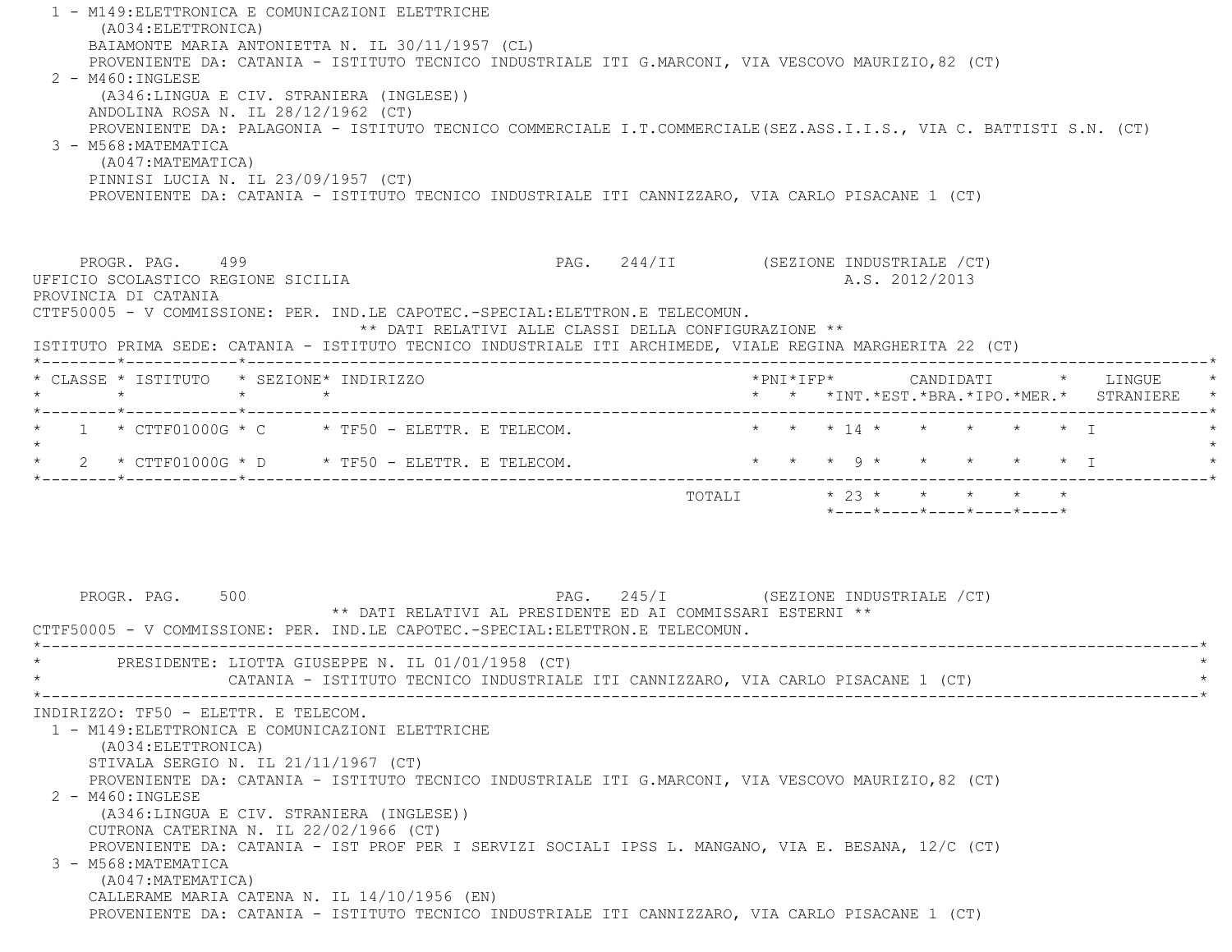1 - M149:ELETTRONICA E COMUNICAZIONI ELETTRICHE (A034:ELETTRONICA) BAIAMONTE MARIA ANTONIETTA N. IL 30/11/1957 (CL) PROVENIENTE DA: CATANIA - ISTITUTO TECNICO INDUSTRIALE ITI G.MARCONI, VIA VESCOVO MAURIZIO,82 (CT) 2 - M460:INGLESE (A346:LINGUA E CIV. STRANIERA (INGLESE)) ANDOLINA ROSA N. IL 28/12/1962 (CT) PROVENIENTE DA: PALAGONIA - ISTITUTO TECNICO COMMERCIALE I.T.COMMERCIALE(SEZ.ASS.I.I.S., VIA C. BATTISTI S.N. (CT) 3 - M568:MATEMATICA (A047:MATEMATICA) PINNISI LUCIA N. IL 23/09/1957 (CT) PROVENIENTE DA: CATANIA - ISTITUTO TECNICO INDUSTRIALE ITI CANNIZZARO, VIA CARLO PISACANE 1 (CT) PROGR. PAG. 499 PAG. 244/II (SEZIONE INDUSTRIALE /CT) UFFICIO SCOLASTICO REGIONE SICILIA A.S. 2012/2013 PROVINCIA DI CATANIA CTTF50005 - V COMMISSIONE: PER. IND.LE CAPOTEC.-SPECIAL:ELETTRON.E TELECOMUN. \*\* DATI RELATIVI ALLE CLASSI DELLA CONFIGURAZIONE \*\* ISTITUTO PRIMA SEDE: CATANIA - ISTITUTO TECNICO INDUSTRIALE ITI ARCHIMEDE, VIALE REGINA MARGHERITA 22 (CT) \*--------\*------------\*-------------------------------------------------------------------------------------------------------\* \* CLASSE \* ISTITUTO \* SEZIONE\* INDIRIZZO \*PNI\*IFP\* CANDIDATI \* LINGUE \* \* \* \* \* \* \* \*INT.\*EST.\*BRA.\*IPO.\*MER.\* STRANIERE \* \*--------\*------------\*-------------------------------------------------------------------------------------------------------\*1 \* CTTF01000G \* C \* TF50 - ELETTR. E TELECOM. \* \* \* \* \* \* \* \* \* \* \* \* \* T  $\star$  \* 2 \* CTTF01000G \* D \* TF50 - ELETTR. E TELECOM. \* \* \* 9 \* \* \* \* \* I \* \*--------\*------------\*-------------------------------------------------------------------------------------------------------\*TOTALI  $* 23 * * * * * * * * *$  \*----\*----\*----\*----\*----\*PROGR. PAG. 500 PAG. 245/I (SEZIONE INDUSTRIALE / CT) \*\* DATI RELATIVI AL PRESIDENTE ED AI COMMISSARI ESTERNI \*\* CTTF50005 - V COMMISSIONE: PER. IND.LE CAPOTEC.-SPECIAL:ELETTRON.E TELECOMUN. \*----------------------------------------------------------------------------------------------------------------------------\*PRESIDENTE: LIOTTA GIUSEPPE N. IL 01/01/1958 (CT) CATANIA - ISTITUTO TECNICO INDUSTRIALE ITI CANNIZZARO, VIA CARLO PISACANE 1 (CT) \*----------------------------------------------------------------------------------------------------------------------------\* INDIRIZZO: TF50 - ELETTR. E TELECOM. 1 - M149:ELETTRONICA E COMUNICAZIONI ELETTRICHE (A034:ELETTRONICA) STIVALA SERGIO N. IL 21/11/1967 (CT) PROVENIENTE DA: CATANIA - ISTITUTO TECNICO INDUSTRIALE ITI G.MARCONI, VIA VESCOVO MAURIZIO,82 (CT) 2 - M460:INGLESE (A346:LINGUA E CIV. STRANIERA (INGLESE)) CUTRONA CATERINA N. IL 22/02/1966 (CT) PROVENIENTE DA: CATANIA - IST PROF PER I SERVIZI SOCIALI IPSS L. MANGANO, VIA E. BESANA, 12/C (CT) 3 - M568:MATEMATICA (A047:MATEMATICA) CALLERAME MARIA CATENA N. IL 14/10/1956 (EN) PROVENIENTE DA: CATANIA - ISTITUTO TECNICO INDUSTRIALE ITI CANNIZZARO, VIA CARLO PISACANE 1 (CT)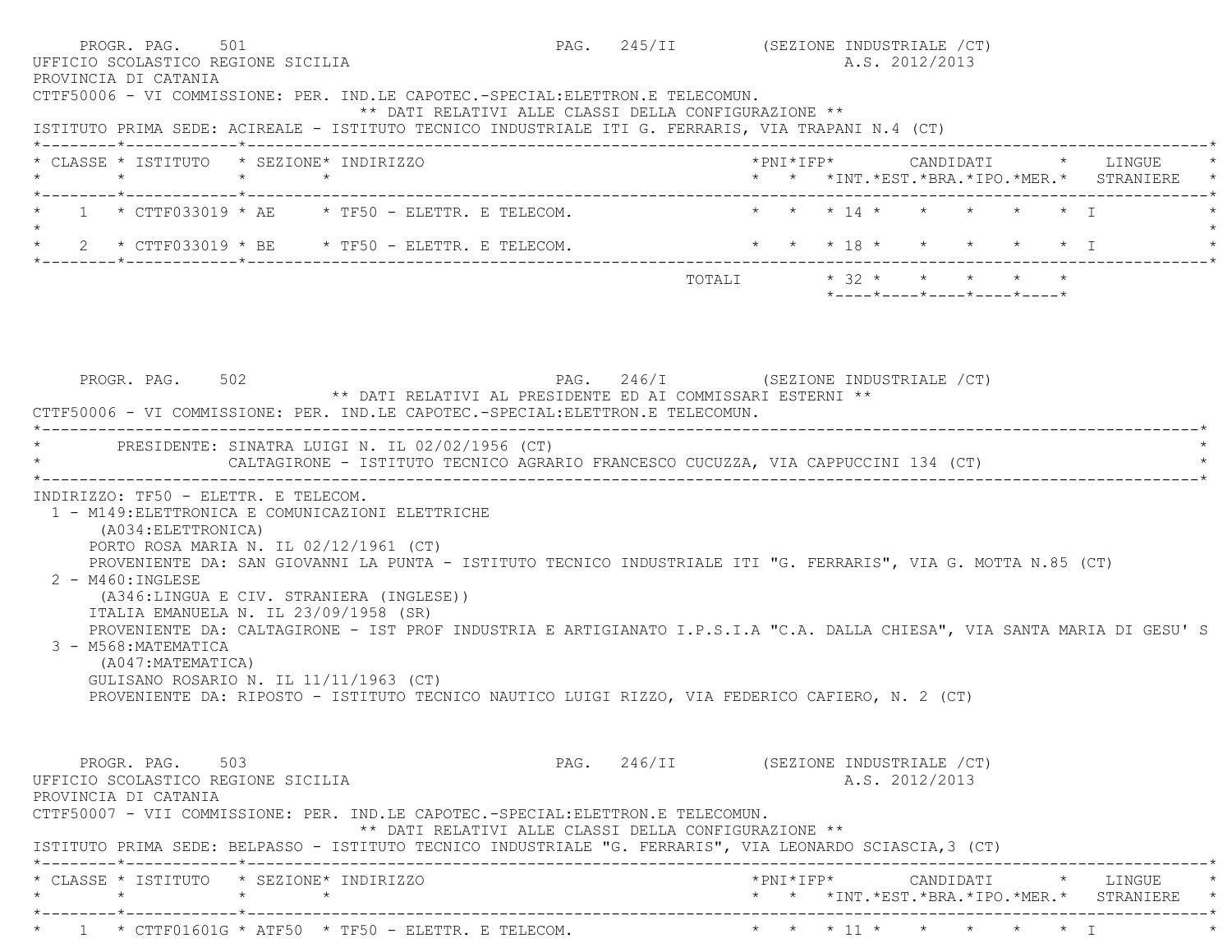| PROGR. PAG. 501<br>UFFICIO SCOLASTICO REGIONE SICILIA<br>PROVINCIA DI CATANIA                                                                                                                                                                                                                                                                                                                                                                                                                                                                                                       |                                                      | PAG. 245/II (SEZIONE INDUSTRIALE / CT)<br>A.S. 2012/2013                                                                |
|-------------------------------------------------------------------------------------------------------------------------------------------------------------------------------------------------------------------------------------------------------------------------------------------------------------------------------------------------------------------------------------------------------------------------------------------------------------------------------------------------------------------------------------------------------------------------------------|------------------------------------------------------|-------------------------------------------------------------------------------------------------------------------------|
| CTTF50006 - VI COMMISSIONE: PER. IND.LE CAPOTEC.-SPECIAL:ELETTRON.E TELECOMUN.<br>ISTITUTO PRIMA SEDE: ACIREALE - ISTITUTO TECNICO INDUSTRIALE ITI G. FERRARIS, VIA TRAPANI N.4 (CT)                                                                                                                                                                                                                                                                                                                                                                                                | ** DATI RELATIVI ALLE CLASSI DELLA CONFIGURAZIONE ** |                                                                                                                         |
| * CLASSE * ISTITUTO * SEZIONE* INDIRIZZO<br>$\star$<br>$\star$ $\star$<br>*--------*------------*------------                                                                                                                                                                                                                                                                                                                                                                                                                                                                       |                                                      | *PNI*IFP*     CANDIDATI    *   LINGUE<br>* * *INT. *EST. *BRA. *IPO. *MER. * STRANIERE                                  |
| $1 \times CTTF033019 \times AE \times TF50 - ELETTR. E TELECOM.$                                                                                                                                                                                                                                                                                                                                                                                                                                                                                                                    |                                                      | * * * 14 * * * * * * T                                                                                                  |
| $\star$ 2 $\star$ CTTF033019 $\star$ BE $\star$ TF50 - ELETTR. E TELECOM.                                                                                                                                                                                                                                                                                                                                                                                                                                                                                                           |                                                      | * * * 18 * * * * * * I                                                                                                  |
|                                                                                                                                                                                                                                                                                                                                                                                                                                                                                                                                                                                     |                                                      | TOTALI $* 32 * * * * * * * * * *$<br>$*$ - - - - $*$ - - - - $*$ - - - - $*$ - - - - $*$ - - - - $*$                    |
|                                                                                                                                                                                                                                                                                                                                                                                                                                                                                                                                                                                     |                                                      |                                                                                                                         |
| PROGR. PAG. 502<br>** DATI RELATIVI AL PRESIDENTE ED AI COMMISSARI ESTERNI **<br>CTTF50006 - VI COMMISSIONE: PER. IND.LE CAPOTEC.-SPECIAL:ELETTRON.E TELECOMUN.                                                                                                                                                                                                                                                                                                                                                                                                                     |                                                      | PAG. 246/I (SEZIONE INDUSTRIALE /CT)                                                                                    |
| PRESIDENTE: SINATRA LUIGI N. IL 02/02/1956 (CT)<br>CALTAGIRONE - ISTITUTO TECNICO AGRARIO FRANCESCO CUCUZZA, VIA CAPPUCCINI 134 (CT)                                                                                                                                                                                                                                                                                                                                                                                                                                                |                                                      |                                                                                                                         |
| INDIRIZZO: TF50 - ELETTR. E TELECOM.<br>1 - M149: ELETTRONICA E COMUNICAZIONI ELETTRICHE<br>(A034:ELETTRONICA)<br>PORTO ROSA MARIA N. IL 02/12/1961 (CT)<br>PROVENIENTE DA: SAN GIOVANNI LA PUNTA - ISTITUTO TECNICO INDUSTRIALE ITI "G. FERRARIS", VIA G. MOTTA N.85 (CT)<br>$2 - M460$ : INGLESE<br>(A346:LINGUA E CIV. STRANIERA (INGLESE))<br>ITALIA EMANUELA N. IL 23/09/1958 (SR)<br>3 - M568:MATEMATICA<br>(A047: MATEMATICA)<br>GULISANO ROSARIO N. IL $11/11/1963$ (CT)<br>PROVENIENTE DA: RIPOSTO - ISTITUTO TECNICO NAUTICO LUIGI RIZZO, VIA FEDERICO CAFIERO, N. 2 (CT) |                                                      | PROVENIENTE DA: CALTAGIRONE - IST PROF INDUSTRIA E ARTIGIANATO I.P.S.I.A "C.A. DALLA CHIESA", VIA SANTA MARIA DI GESU'S |
| PROGR. PAG. 503<br>UFFICIO SCOLASTICO REGIONE SICILIA<br>PROVINCIA DI CATANIA<br>CTTF50007 - VII COMMISSIONE: PER. IND.LE CAPOTEC.-SPECIAL:ELETTRON.E TELECOMUN.                                                                                                                                                                                                                                                                                                                                                                                                                    | ** DATI RELATIVI ALLE CLASSI DELLA CONFIGURAZIONE ** | PAG. 246/II (SEZIONE INDUSTRIALE /CT)<br>A.S. 2012/2013                                                                 |
| ISTITUTO PRIMA SEDE: BELPASSO - ISTITUTO TECNICO INDUSTRIALE "G. FERRARIS", VIA LEONARDO SCIASCIA, 3 (CT)<br>* CLASSE * ISTITUTO * SEZIONE* INDIRIZZO                                                                                                                                                                                                                                                                                                                                                                                                                               |                                                      | *PNI*IFP*      CANDIDATI     *   LINGUE                                                                                 |
| *--------*------------*                                                                                                                                                                                                                                                                                                                                                                                                                                                                                                                                                             |                                                      | * * *INT. *EST. *BRA. *IPO. *MER. * STRANIERE *                                                                         |
| $\star$ 1 $\star$ CTTF01601G $\star$ ATF50 $\star$ TF50 - ELETTR. E TELECOM.                                                                                                                                                                                                                                                                                                                                                                                                                                                                                                        |                                                      | * * * 11 * * * * * * I                                                                                                  |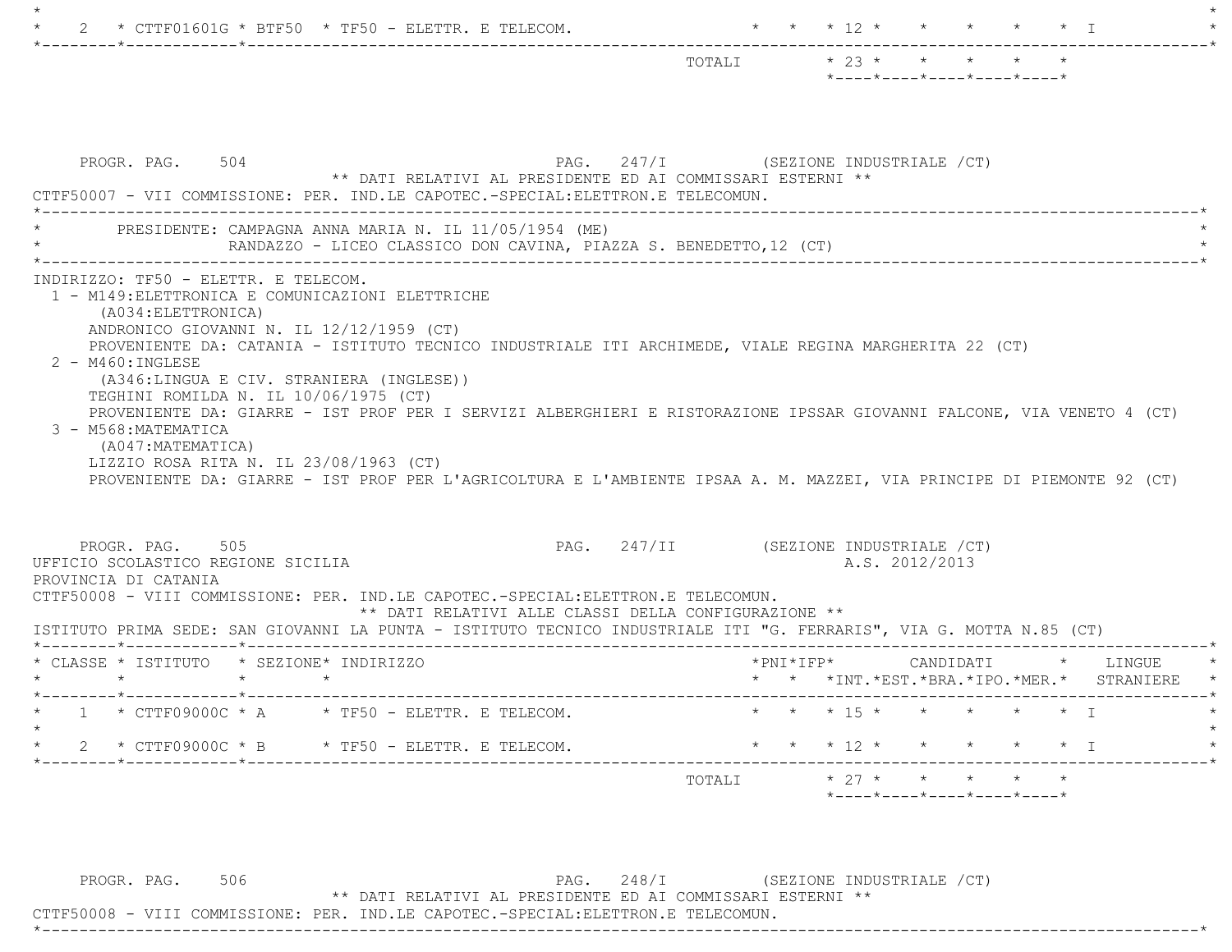| * CTTF01601G * BTF50 * TF50 - ELETTR. E TELECOM.                                                                                                                                                                                                                                                                                                                                                                                                                      | $\star$ $\star$ $\star$ 12 $\star$<br>$\star$ T                                                                                                                                                                                                |
|-----------------------------------------------------------------------------------------------------------------------------------------------------------------------------------------------------------------------------------------------------------------------------------------------------------------------------------------------------------------------------------------------------------------------------------------------------------------------|------------------------------------------------------------------------------------------------------------------------------------------------------------------------------------------------------------------------------------------------|
|                                                                                                                                                                                                                                                                                                                                                                                                                                                                       | $\star$ 23 $\star$ $\star$ $\star$<br>TOTALI<br>$*$ ---- $*$ ---- $*$ ---- $*$ ---- $*$ ---- $*$                                                                                                                                               |
| PROGR. PAG. 504<br>** DATI RELATIVI AL PRESIDENTE ED AI COMMISSARI ESTERNI **<br>CTTF50007 - VII COMMISSIONE: PER. IND.LE CAPOTEC.-SPECIAL:ELETTRON.E TELECOMUN.                                                                                                                                                                                                                                                                                                      | PAG. 247/I (SEZIONE INDUSTRIALE / CT)                                                                                                                                                                                                          |
| PRESIDENTE: CAMPAGNA ANNA MARIA N. IL 11/05/1954 (ME)<br>RANDAZZO - LICEO CLASSICO DON CAVINA, PIAZZA S. BENEDETTO, 12 (CT)                                                                                                                                                                                                                                                                                                                                           |                                                                                                                                                                                                                                                |
| INDIRIZZO: TF50 - ELETTR. E TELECOM.<br>1 - M149: ELETTRONICA E COMUNICAZIONI ELETTRICHE<br>(A034: ELETTRONICA)<br>ANDRONICO GIOVANNI N. IL 12/12/1959 (CT)<br>PROVENIENTE DA: CATANIA - ISTITUTO TECNICO INDUSTRIALE ITI ARCHIMEDE, VIALE REGINA MARGHERITA 22 (CT)<br>2 - M460: INGLESE<br>(A346:LINGUA E CIV. STRANIERA (INGLESE))<br>TEGHINI ROMILDA N. IL 10/06/1975 (CT)<br>3 - M568: MATEMATICA<br>(A047:MATEMATICA)<br>LIZZIO ROSA RITA N. IL 23/08/1963 (CT) | PROVENIENTE DA: GIARRE - IST PROF PER I SERVIZI ALBERGHIERI E RISTORAZIONE IPSSAR GIOVANNI FALCONE, VIA VENETO 4 (CT)<br>PROVENIENTE DA: GIARRE - IST PROF PER L'AGRICOLTURA E L'AMBIENTE IPSAA A. M. MAZZEI, VIA PRINCIPE DI PIEMONTE 92 (CT) |
| PROGR. PAG. 505<br>UFFICIO SCOLASTICO REGIONE SICILIA<br>PROVINCIA DI CATANIA                                                                                                                                                                                                                                                                                                                                                                                         | PAG. 247/II (SEZIONE INDUSTRIALE /CT)<br>A.S. 2012/2013                                                                                                                                                                                        |
| CTTF50008 - VIII COMMISSIONE: PER. IND.LE CAPOTEC.-SPECIAL:ELETTRON.E TELECOMUN.<br>** DATI RELATIVI ALLE CLASSI DELLA CONFIGURAZIONE **<br>ISTITUTO PRIMA SEDE: SAN GIOVANNI LA PUNTA - ISTITUTO TECNICO INDUSTRIALE ITI "G. FERRARIS", VIA G. MOTTA N.85 (CT)                                                                                                                                                                                                       |                                                                                                                                                                                                                                                |
| * CLASSE * ISTITUTO * SEZIONE* INDIRIZZO<br>$\star$ $\star$<br>$\star$ $\star$                                                                                                                                                                                                                                                                                                                                                                                        | $*$ PNI $*$ I F P $*$<br>CANDIDATI * LINGUE<br>$\star$ $\star$ $\star$ $\text{INT} \cdot \text{*EST} \cdot \text{*BRA} \cdot \text{*IPC} \cdot \text{*MER} \cdot \text{*}$ STRANIERE                                                           |
| * $1$ * $CTF09000C$ * A  * $TF50$ - $ELETTR$ . E $TELECOM$ .                                                                                                                                                                                                                                                                                                                                                                                                          | $\star$ $\star$ $\star$ 15 $\star$<br>$\star$ $\star$ $\star$ $\star$ T                                                                                                                                                                        |
| 2 * CTTF09000C * B * TF50 - ELETTR. E TELECOM.                                                                                                                                                                                                                                                                                                                                                                                                                        | $\star$ $\star$ $\star$ $\frac{12}{12}$ $\star$ $\star$ $\star$ $\star$ $\star$ $\frac{1}{12}$                                                                                                                                                 |
|                                                                                                                                                                                                                                                                                                                                                                                                                                                                       | $\star$ 27 $\star$ $\star$ $\star$ $\star$<br>TOTALI                                                                                                                                                                                           |

PROGR. PAG. 506 CHA SURFAGE PAG. 248/I (SEZIONE INDUSTRIALE / CT) \*\* DATI RELATIVI AL PRESIDENTE ED AI COMMISSARI ESTERNI \*\*

\*----------------------------------------------------------------------------------------------------------------------------\*

CTTF50008 - VIII COMMISSIONE: PER. IND.LE CAPOTEC.-SPECIAL:ELETTRON.E TELECOMUN.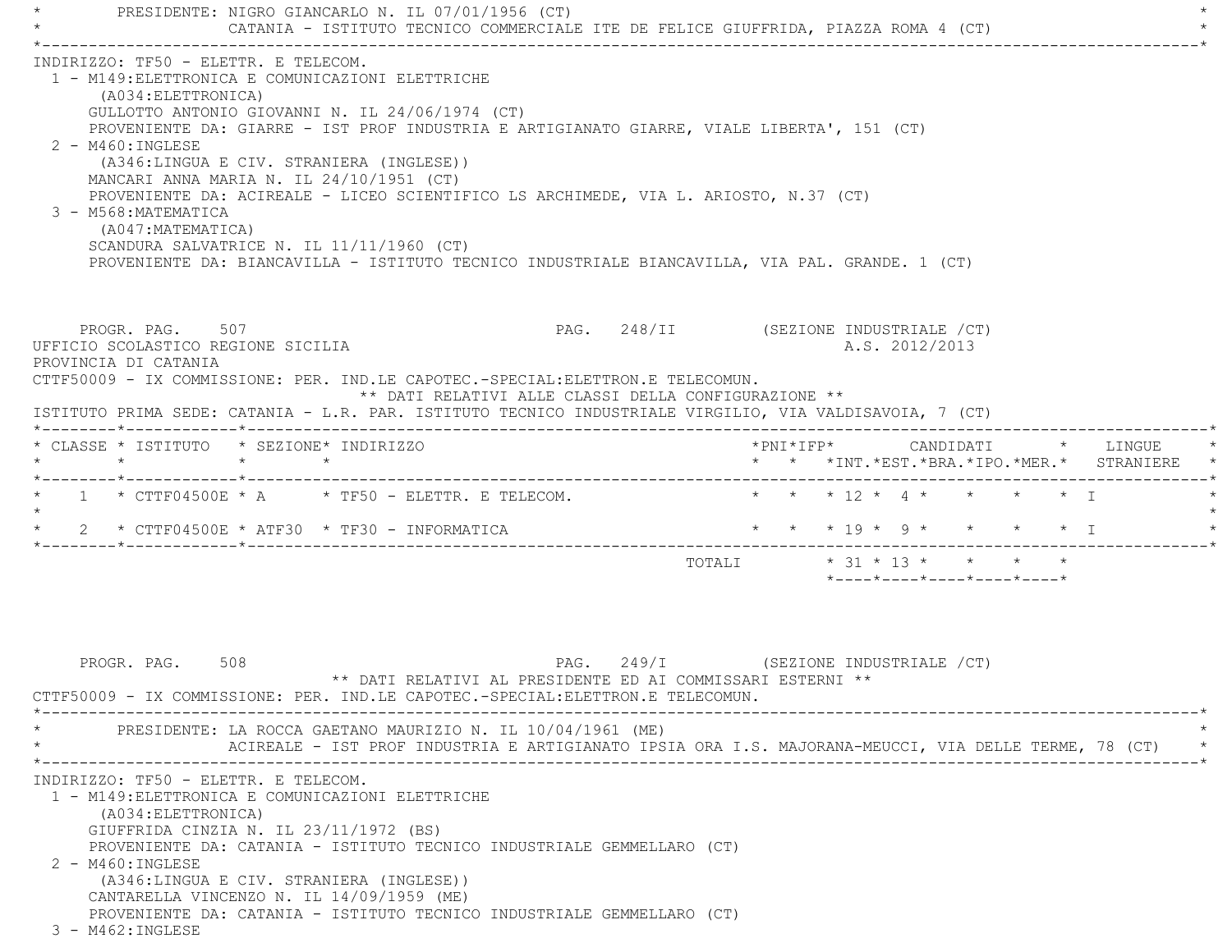PRESIDENTE: NIGRO GIANCARLO N. IL 07/01/1956 (CT) CATANIA - ISTITUTO TECNICO COMMERCIALE ITE DE FELICE GIUFFRIDA, PIAZZA ROMA 4 (CT) \*----------------------------------------------------------------------------------------------------------------------------\* INDIRIZZO: TF50 - ELETTR. E TELECOM. 1 - M149:ELETTRONICA E COMUNICAZIONI ELETTRICHE (A034:ELETTRONICA) GULLOTTO ANTONIO GIOVANNI N. IL 24/06/1974 (CT) PROVENIENTE DA: GIARRE - IST PROF INDUSTRIA E ARTIGIANATO GIARRE, VIALE LIBERTA', 151 (CT) 2 - M460:INGLESE (A346:LINGUA E CIV. STRANIERA (INGLESE)) MANCARI ANNA MARIA N. IL 24/10/1951 (CT) PROVENIENTE DA: ACIREALE - LICEO SCIENTIFICO LS ARCHIMEDE, VIA L. ARIOSTO, N.37 (CT) 3 - M568:MATEMATICA (A047:MATEMATICA) SCANDURA SALVATRICE N. IL 11/11/1960 (CT) PROVENIENTE DA: BIANCAVILLA - ISTITUTO TECNICO INDUSTRIALE BIANCAVILLA, VIA PAL. GRANDE. 1 (CT) PROGR. PAG. 507 STROUGHT SOURCE 248/II (SEZIONE INDUSTRIALE / CT) UFFICIO SCOLASTICO REGIONE SICILIA A.S. 2012/2013 PROVINCIA DI CATANIA CTTF50009 - IX COMMISSIONE: PER. IND.LE CAPOTEC.-SPECIAL:ELETTRON.E TELECOMUN. \*\* DATI RELATIVI ALLE CLASSI DELLA CONFIGURAZIONE \*\* ISTITUTO PRIMA SEDE: CATANIA - L.R. PAR. ISTITUTO TECNICO INDUSTRIALE VIRGILIO, VIA VALDISAVOIA, 7 (CT) \*--------\*------------\*-------------------------------------------------------------------------------------------------------\* \* CLASSE \* ISTITUTO \* SEZIONE\* INDIRIZZO \*PNI\*IFP\* CANDIDATI \* LINGUE \* \* \* \* \* \* \* \*INT.\*EST.\*BRA.\*IPO.\*MER.\* STRANIERE \* \*--------\*------------\*-------------------------------------------------------------------------------------------------------\* $1 * CTTF04500E * A * TF50 - ELETTR. E TELECOM.$  \* \* \* 12 \* 4 \* \* \* \* \* I  $\star$ \* 2 \* CTTF04500E \* ATF30 \* TF30 - INFORMATICA \* \* \* \* \* \* \* \* \* \* \* \* \* \* \* T \*--------\*------------\*-------------------------------------------------------------------------------------------------------\* TOTALI \* 31 \* 13 \* \* \* \* \*----\*----\*----\*----\*----\*PROGR. PAG. 508 **PAG. 249/I** (SEZIONE INDUSTRIALE /CT) \*\* DATI RELATIVI AL PRESIDENTE ED AI COMMISSARI ESTERNI \*\* CTTF50009 - IX COMMISSIONE: PER. IND.LE CAPOTEC.-SPECIAL:ELETTRON.E TELECOMUN. \*----------------------------------------------------------------------------------------------------------------------------\*PRESIDENTE: LA ROCCA GAETANO MAURIZIO N. IL 10/04/1961 (ME) ACIREALE - IST PROF INDUSTRIA E ARTIGIANATO IPSIA ORA I.S. MAJORANA-MEUCCI, VIA DELLE TERME, 78 (CT) \*----------------------------------------------------------------------------------------------------------------------------\* INDIRIZZO: TF50 - ELETTR. E TELECOM. 1 - M149:ELETTRONICA E COMUNICAZIONI ELETTRICHE (A034:ELETTRONICA) GIUFFRIDA CINZIA N. IL 23/11/1972 (BS)

PROVENIENTE DA: CATANIA - ISTITUTO TECNICO INDUSTRIALE GEMMELLARO (CT)

 2 - M460:INGLESE (A346:LINGUA E CIV. STRANIERA (INGLESE)) CANTARELLA VINCENZO N. IL 14/09/1959 (ME)

PROVENIENTE DA: CATANIA - ISTITUTO TECNICO INDUSTRIALE GEMMELLARO (CT)

3 - M462:INGLESE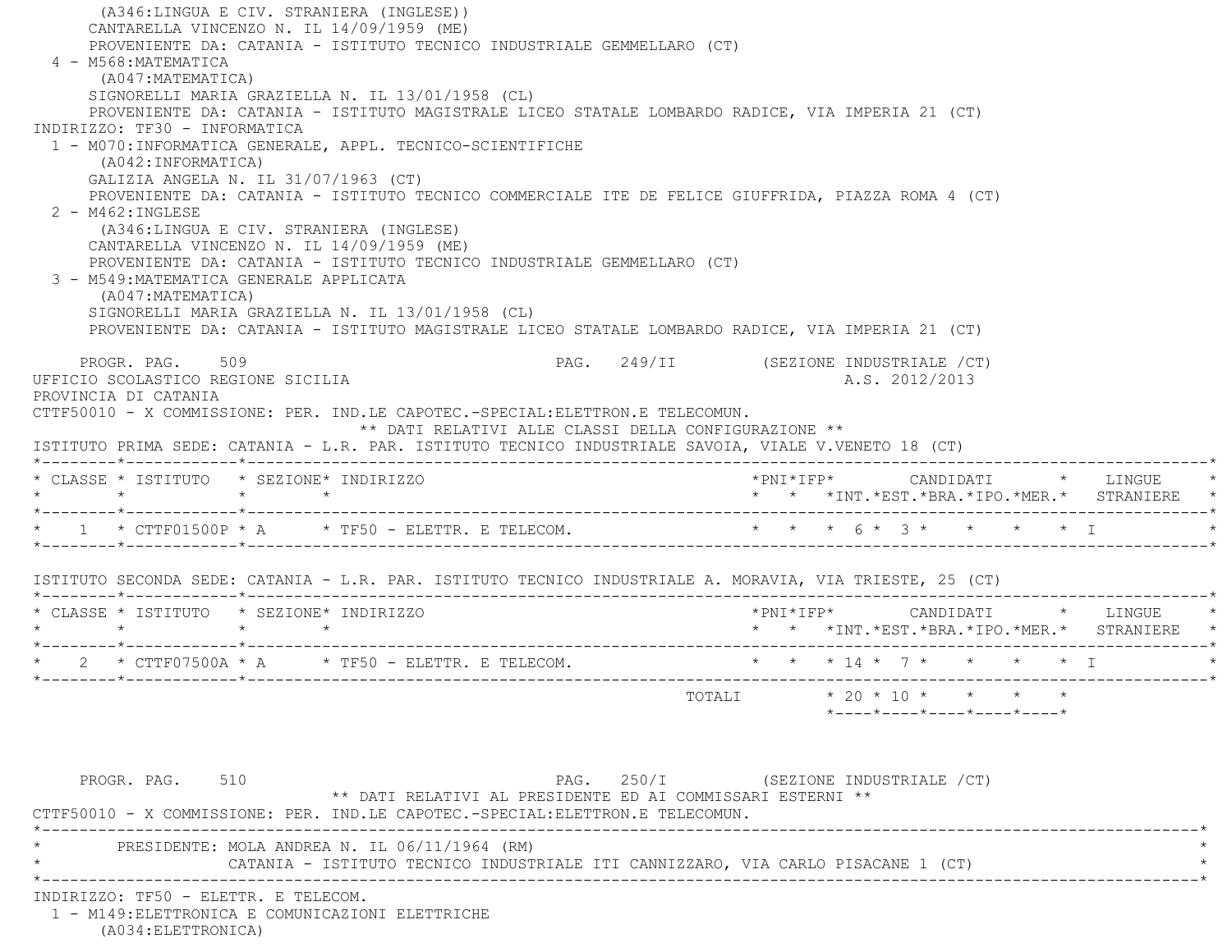(A346:LINGUA E CIV. STRANIERA (INGLESE)) CANTARELLA VINCENZO N. IL 14/09/1959 (ME) PROVENIENTE DA: CATANIA - ISTITUTO TECNICO INDUSTRIALE GEMMELLARO (CT) 4 - M568:MATEMATICA (A047:MATEMATICA) SIGNORELLI MARIA GRAZIELLA N. IL 13/01/1958 (CL) PROVENIENTE DA: CATANIA - ISTITUTO MAGISTRALE LICEO STATALE LOMBARDO RADICE, VIA IMPERIA 21 (CT) INDIRIZZO: TF30 - INFORMATICA 1 - M070:INFORMATICA GENERALE, APPL. TECNICO-SCIENTIFICHE (A042:INFORMATICA) GALIZIA ANGELA N. IL 31/07/1963 (CT) PROVENIENTE DA: CATANIA - ISTITUTO TECNICO COMMERCIALE ITE DE FELICE GIUFFRIDA, PIAZZA ROMA 4 (CT) 2 - M462:INGLESE (A346:LINGUA E CIV. STRANIERA (INGLESE) CANTARELLA VINCENZO N. IL 14/09/1959 (ME) PROVENIENTE DA: CATANIA - ISTITUTO TECNICO INDUSTRIALE GEMMELLARO (CT) 3 - M549:MATEMATICA GENERALE APPLICATA (A047:MATEMATICA) SIGNORELLI MARIA GRAZIELLA N. IL 13/01/1958 (CL) PROVENIENTE DA: CATANIA - ISTITUTO MAGISTRALE LICEO STATALE LOMBARDO RADICE, VIA IMPERIA 21 (CT) PROGR. PAG. 509 **PAG.** 249/II (SEZIONE INDUSTRIALE /CT) UFFICIO SCOLASTICO REGIONE SICILIA A.S. 2012/2013 PROVINCIA DI CATANIA CTTF50010 - X COMMISSIONE: PER. IND.LE CAPOTEC.-SPECIAL:ELETTRON.E TELECOMUN. \*\* DATI RELATIVI ALLE CLASSI DELLA CONFIGURAZIONE \*\* ISTITUTO PRIMA SEDE: CATANIA - L.R. PAR. ISTITUTO TECNICO INDUSTRIALE SAVOIA, VIALE V.VENETO 18 (CT) \*--------\*------------\*-------------------------------------------------------------------------------------------------------\* \* CLASSE \* ISTITUTO \* SEZIONE\* INDIRIZZO \*PNI\*IFP\* CANDIDATI \* LINGUE \* \* \* \* \* \* \* \*INT.\*EST.\*BRA.\*IPO.\*MER.\* STRANIERE \* \*--------\*------------\*-------------------------------------------------------------------------------------------------------\* \* 1 \* CTTF01500P \* A \* TF50 - ELETTR. E TELECOM. \* \* \* 6 \* 3 \* \* \* \* I \* \*--------\*------------\*-------------------------------------------------------------------------------------------------------\* ISTITUTO SECONDA SEDE: CATANIA - L.R. PAR. ISTITUTO TECNICO INDUSTRIALE A. MORAVIA, VIA TRIESTE, 25 (CT) \*--------\*------------\*-------------------------------------------------------------------------------------------------------\* \* CLASSE \* ISTITUTO \* SEZIONE\* INDIRIZZO \*PNI\*IFP\* CANDIDATI \* LINGUE \* \* \* \* \* \* \* \*INT.\*EST.\*BRA.\*IPO.\*MER.\* STRANIERE \* \*--------\*------------\*-------------------------------------------------------------------------------------------------------\* $2 * CTTF07500A * A * TF50 - ELETTR. E TELECOM. * * * * 14 * 7 * * * * * I$  \*--------\*------------\*-------------------------------------------------------------------------------------------------------\* TOTALI \* 20 \* 10 \* \* \* \* \*----\*----\*----\*----\*----\*PROGR. PAG. 510 **PAG.** 250/I (SEZIONE INDUSTRIALE /CT) \*\* DATI RELATIVI AL PRESIDENTE ED AI COMMISSARI ESTERNI \*\* CTTF50010 - X COMMISSIONE: PER. IND.LE CAPOTEC.-SPECIAL:ELETTRON.E TELECOMUN. \*----------------------------------------------------------------------------------------------------------------------------\*PRESIDENTE: MOLA ANDREA N. IL 06/11/1964 (RM) CATANIA - ISTITUTO TECNICO INDUSTRIALE ITI CANNIZZARO, VIA CARLO PISACANE 1 (CT) \*----------------------------------------------------------------------------------------------------------------------------\* INDIRIZZO: TF50 - ELETTR. E TELECOM.1 - M149:ELETTRONICA E COMUNICAZIONI ELETTRICHE

(A034:ELETTRONICA)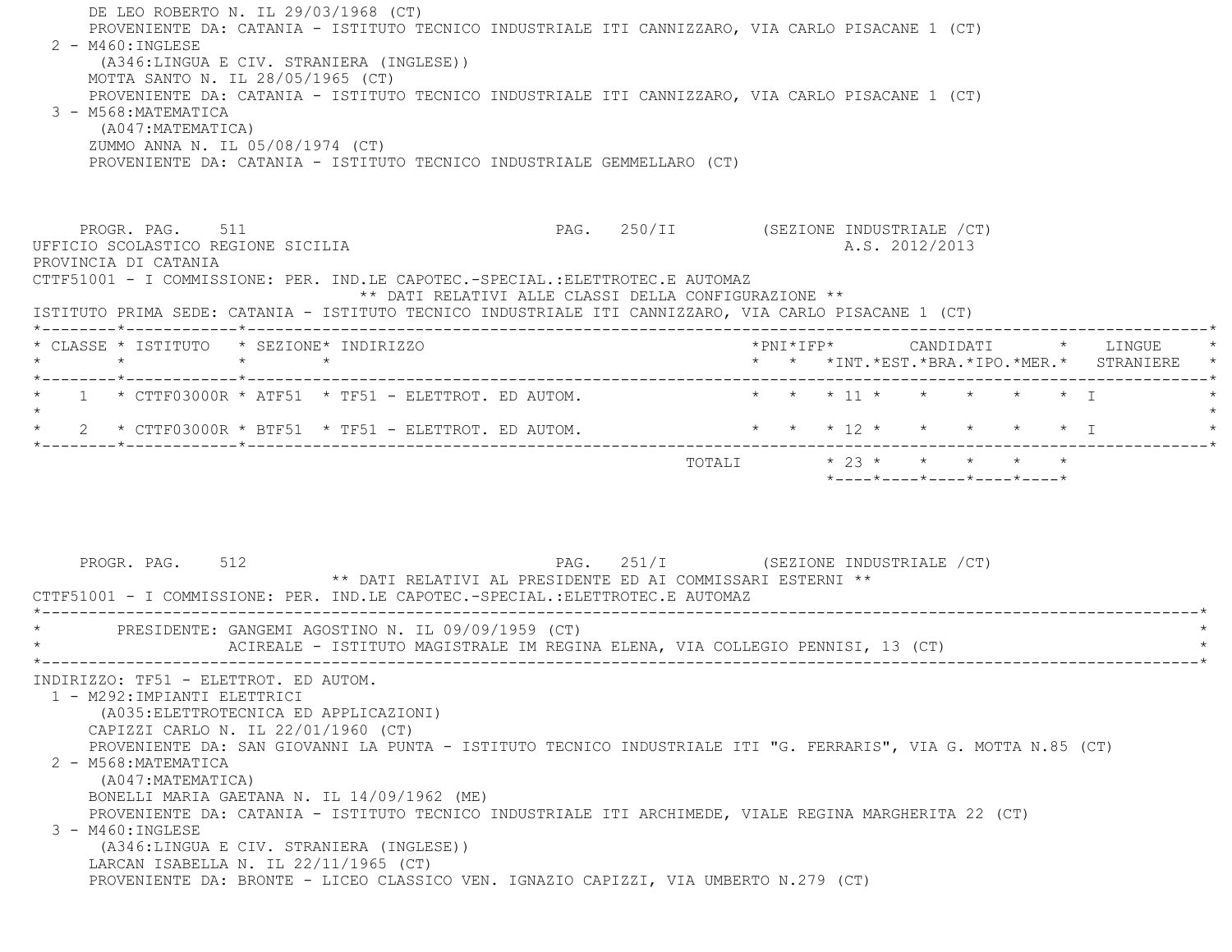| DE LEO ROBERTO N. IL 29/03/1968 (CT)<br>PROVENIENTE DA: CATANIA - ISTITUTO TECNICO INDUSTRIALE ITI CANNIZZARO, VIA CARLO PISACANE 1 (CT)<br>2 - M460: INGLESE<br>(A346:LINGUA E CIV. STRANIERA (INGLESE))<br>MOTTA SANTO N. IL 28/05/1965 (CT)<br>PROVENIENTE DA: CATANIA - ISTITUTO TECNICO INDUSTRIALE ITI CANNIZZARO, VIA CARLO PISACANE 1 (CT)<br>3 - M568:MATEMATICA<br>(A047: MATEMATICA)<br>ZUMMO ANNA N. IL 05/08/1974 (CT)<br>PROVENIENTE DA: CATANIA - ISTITUTO TECNICO INDUSTRIALE GEMMELLARO (CT) |                                                                                                       |
|---------------------------------------------------------------------------------------------------------------------------------------------------------------------------------------------------------------------------------------------------------------------------------------------------------------------------------------------------------------------------------------------------------------------------------------------------------------------------------------------------------------|-------------------------------------------------------------------------------------------------------|
| PROGR. PAG. 511<br>UFFICIO SCOLASTICO REGIONE SICILIA<br>PROVINCIA DI CATANIA<br>CTTF51001 - I COMMISSIONE: PER. IND.LE CAPOTEC.-SPECIAL.:ELETTROTEC.E AUTOMAZ<br>** DATI RELATIVI ALLE CLASSI DELLA CONFIGURAZIONE **<br>ISTITUTO PRIMA SEDE: CATANIA - ISTITUTO TECNICO INDUSTRIALE ITI CANNIZZARO, VIA CARLO PISACANE 1 (CT)                                                                                                                                                                               | PAG. 250/II (SEZIONE INDUSTRIALE /CT)<br>A.S. 2012/2013                                               |
| * CLASSE * ISTITUTO * SEZIONE* INDIRIZZO                                                                                                                                                                                                                                                                                                                                                                                                                                                                      | *PNI*IFP*     CANDIDATI    *   LINGUE<br>* * * *INT.*EST.*BRA.*IPO.*MER.* STRANIERE *                 |
| $1$ * CTTF03000R * ATF51 * TF51 - ELETTROT. ED AUTOM.<br>2 * CTTF03000R * BTF51 * TF51 - ELETTROT. ED AUTOM. * * * * * * * * * * * * * * I<br>PAG. 251/I (SEZIONE INDUSTRIALE / CT)<br>PROGR. PAG. 512<br>** DATI RELATIVI AL PRESIDENTE ED AI COMMISSARI ESTERNI **<br>CTTF51001 - I COMMISSIONE: PER. IND.LE CAPOTEC.-SPECIAL.:ELETTROTEC.E AUTOMAZ                                                                                                                                                         | * * * 11 * * * * * * T<br>TOTALI * 23 * * * * * *<br>$*$ ---- $*$ ---- $*$ ---- $*$ ---- $*$ ---- $*$ |
| PRESIDENTE: GANGEMI AGOSTINO N. IL 09/09/1959 (CT)<br>ACIREALE - ISTITUTO MAGISTRALE IM REGINA ELENA, VIA COLLEGIO PENNISI, 13 (CT)<br>INDIRIZZO: TF51 - ELETTROT. ED AUTOM.<br>1 - M292: IMPIANTI ELETTRICI<br>(A035: ELETTROTECNICA ED APPLICAZIONI)<br>CAPIZZI CARLO N. IL 22/01/1960 (CT)<br>PROVENIENTE DA: SAN GIOVANNI LA PUNTA - ISTITUTO TECNICO INDUSTRIALE ITI "G. FERRARIS", VIA G. MOTTA N.85 (CT)<br>2 - M568: MATEMATICA                                                                       |                                                                                                       |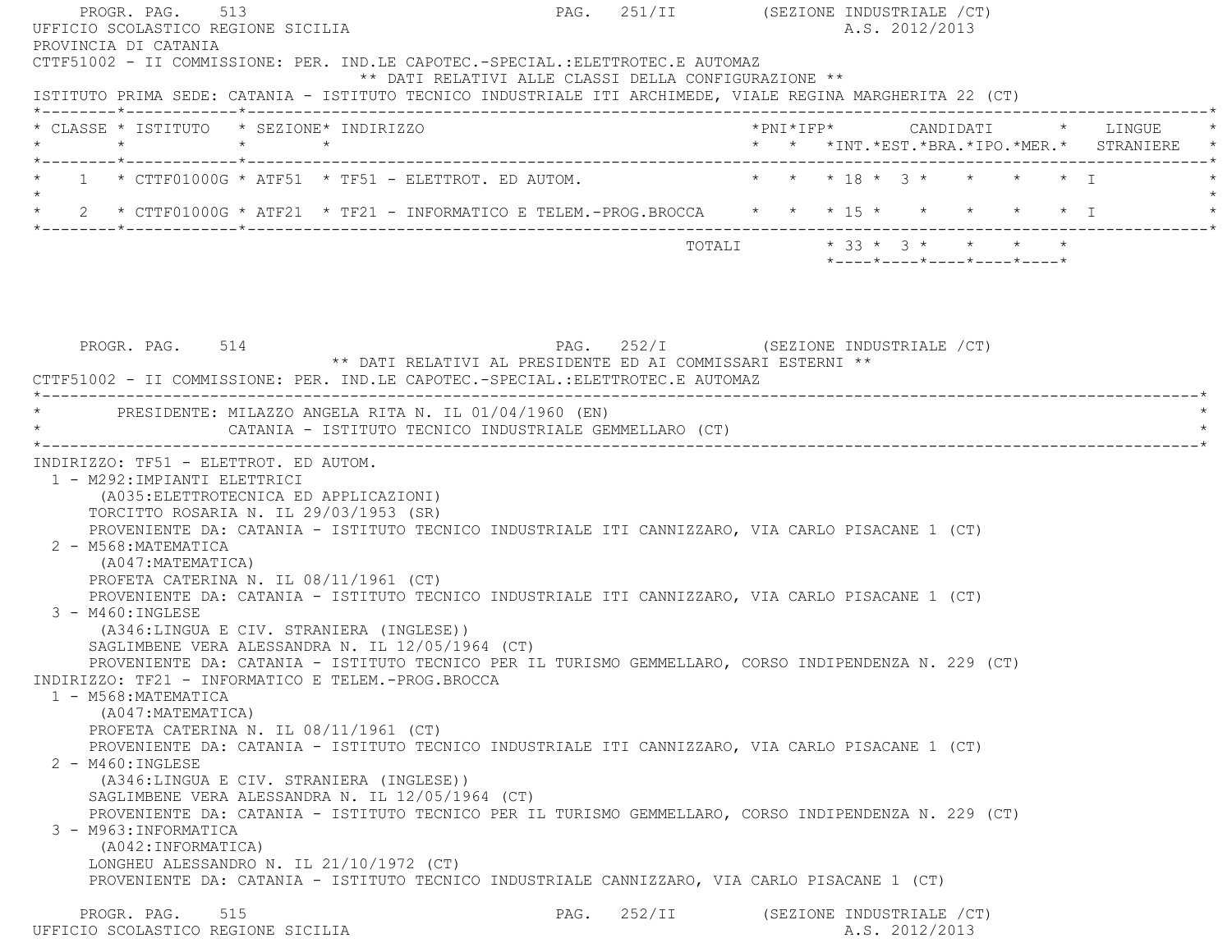PROGR. PAG. 513 PAG. 251/II (SEZIONE INDUSTRIALE /CT) UFFICIO SCOLASTICO REGIONE SICILIA A.S. 2012/2013 PROVINCIA DI CATANIA CTTF51002 - II COMMISSIONE: PER. IND.LE CAPOTEC.-SPECIAL.:ELETTROTEC.E AUTOMAZ \*\* DATI RELATIVI ALLE CLASSI DELLA CONFIGURAZIONE \*\* ISTITUTO PRIMA SEDE: CATANIA - ISTITUTO TECNICO INDUSTRIALE ITI ARCHIMEDE, VIALE REGINA MARGHERITA 22 (CT) \*--------\*------------\*-------------------------------------------------------------------------------------------------------\* \* CLASSE \* ISTITUTO \* SEZIONE\* INDIRIZZO \*PNI\*IFP\* CANDIDATI \* LINGUE \* \* \* \* \* \* \* \*INT.\*EST.\*BRA.\*IPO.\*MER.\* STRANIERE \* \*--------\*------------\*-------------------------------------------------------------------------------------------------------\* $1$  \* CTTF01000G \* ATF51 \* TF51 - ELETTROT. ED AUTOM.  $\qquad$  \* \* \* 18 \* 3 \* \* \* \* \* \* I  $\star$  \* 2 \* CTTF01000G \* ATF21 \* TF21 - INFORMATICO E TELEM.-PROG.BROCCA \* \* \* 15 \* \* \* \* \* I \* \*--------\*------------\*-------------------------------------------------------------------------------------------------------\* $\texttt{TOTAL} \qquad \qquad \star \; \; \; 33 \; \star \; \; \; 3 \; \star \qquad \star \qquad \star \qquad \star \qquad \star$  \*----\*----\*----\*----\*----\*PROGR. PAG. 514 CHASTER SEZIONE INDUSTRIALE (CT) \*\* DATI RELATIVI AL PRESIDENTE ED AI COMMISSARI ESTERNI \*\* CTTF51002 - II COMMISSIONE: PER. IND.LE CAPOTEC.-SPECIAL.:ELETTROTEC.E AUTOMAZ \*----------------------------------------------------------------------------------------------------------------------------\*PRESIDENTE: MILAZZO ANGELA RITA N. IL 01/04/1960 (EN) CATANIA - ISTITUTO TECNICO INDUSTRIALE GEMMELLARO (CT) \*----------------------------------------------------------------------------------------------------------------------------\* INDIRIZZO: TF51 - ELETTROT. ED AUTOM. 1 - M292:IMPIANTI ELETTRICI (A035:ELETTROTECNICA ED APPLICAZIONI) TORCITTO ROSARIA N. IL 29/03/1953 (SR) PROVENIENTE DA: CATANIA - ISTITUTO TECNICO INDUSTRIALE ITI CANNIZZARO, VIA CARLO PISACANE 1 (CT) 2 - M568:MATEMATICA (A047:MATEMATICA) PROFETA CATERINA N. IL 08/11/1961 (CT) PROVENIENTE DA: CATANIA - ISTITUTO TECNICO INDUSTRIALE ITI CANNIZZARO, VIA CARLO PISACANE 1 (CT) 3 - M460:INGLESE (A346:LINGUA E CIV. STRANIERA (INGLESE)) SAGLIMBENE VERA ALESSANDRA N. IL 12/05/1964 (CT) PROVENIENTE DA: CATANIA - ISTITUTO TECNICO PER IL TURISMO GEMMELLARO, CORSO INDIPENDENZA N. 229 (CT) INDIRIZZO: TF21 - INFORMATICO E TELEM.-PROG.BROCCA 1 - M568:MATEMATICA (A047:MATEMATICA) PROFETA CATERINA N. IL 08/11/1961 (CT) PROVENIENTE DA: CATANIA - ISTITUTO TECNICO INDUSTRIALE ITI CANNIZZARO, VIA CARLO PISACANE 1 (CT) 2 - M460:INGLESE (A346:LINGUA E CIV. STRANIERA (INGLESE)) SAGLIMBENE VERA ALESSANDRA N. IL 12/05/1964 (CT) PROVENIENTE DA: CATANIA - ISTITUTO TECNICO PER IL TURISMO GEMMELLARO, CORSO INDIPENDENZA N. 229 (CT) 3 - M963:INFORMATICA (A042:INFORMATICA) LONGHEU ALESSANDRO N. IL 21/10/1972 (CT) PROVENIENTE DA: CATANIA - ISTITUTO TECNICO INDUSTRIALE CANNIZZARO, VIA CARLO PISACANE 1 (CT)

PROGR. PAG. 515 PAG. 252/II (SEZIONE INDUSTRIALE / CT) UFFICIO SCOLASTICO REGIONE SICILIA A.S. 2012/2013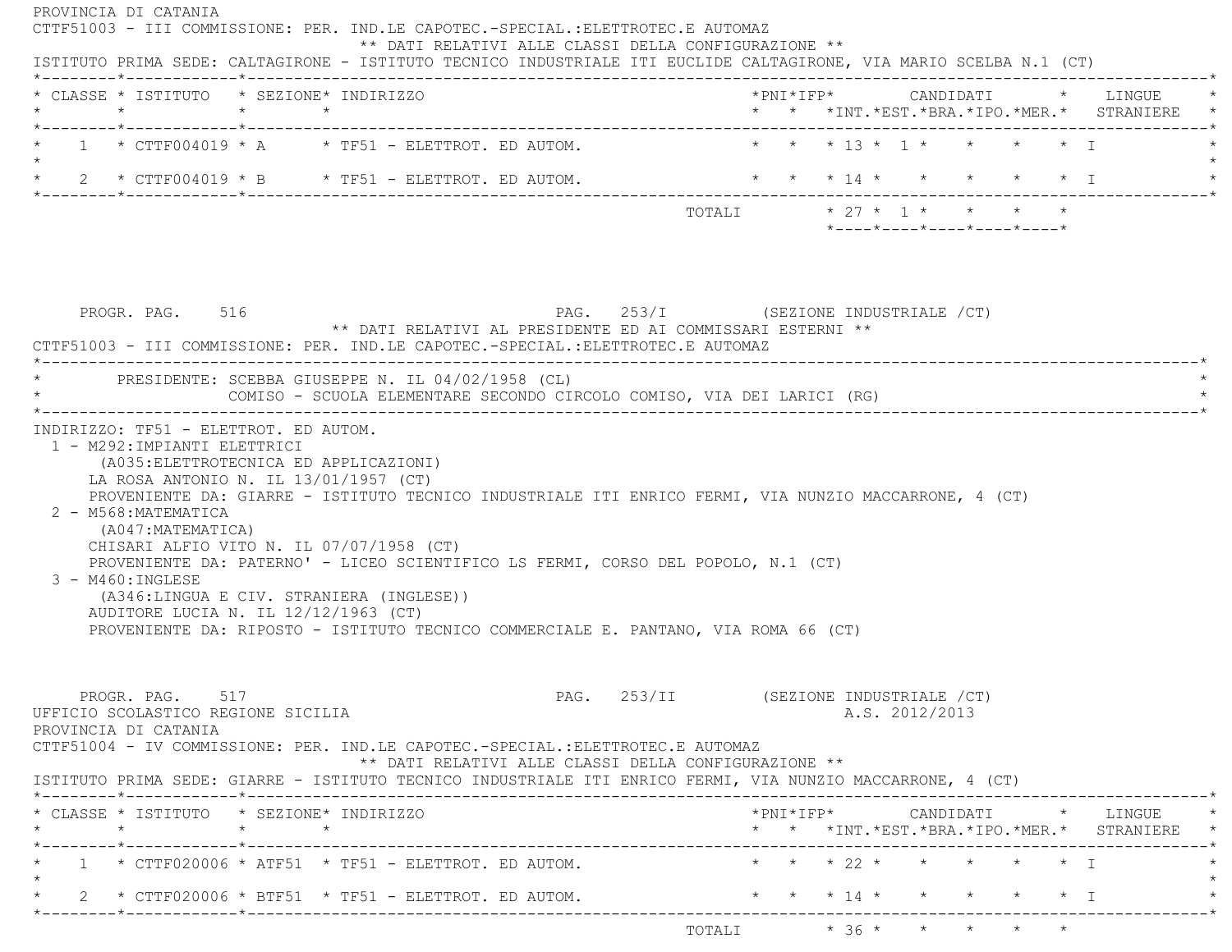PROVINCIA DI CATANIA CTTF51003 - III COMMISSIONE: PER. IND.LE CAPOTEC.-SPECIAL.:ELETTROTEC.E AUTOMAZ \*\* DATI RELATIVI ALLE CLASSI DELLA CONFIGURAZIONE \*\* ISTITUTO PRIMA SEDE: CALTAGIRONE - ISTITUTO TECNICO INDUSTRIALE ITI EUCLIDE CALTAGIRONE, VIA MARIO SCELBA N.1 (CT) \*--------\*------------\*-------------------------------------------------------------------------------------------------------\* \* CLASSE \* ISTITUTO \* SEZIONE\* INDIRIZZO \*PNI\*IFP\* CANDIDATI \* LINGUE \* \* \* \* \* \* \* \*INT.\*EST.\*BRA.\*IPO.\*MER.\* STRANIERE \* \*--------\*------------\*-------------------------------------------------------------------------------------------------------\* $1$  \* CTTF004019 \* A \* TF51 - ELETTROT. ED AUTOM.  $\qquad$  \* \* \* \*13 \* 1 \* \* \* \* \* I  $\star$ \* 2 \* CTTF004019 \* B \* TF51 - ELETTROT. ED AUTOM. \* \* \* \* 14 \* \* \* \* \* \* \* \* I \*--------\*------------\*-------------------------------------------------------------------------------------------------------\*TOTALI \* 27 \* 1 \* \* \* \* \* \*----\*----\*----\*----\*----\*PROGR. PAG. 516 **PAG.** 253/I (SEZIONE INDUSTRIALE /CT) \*\* DATI RELATIVI AL PRESIDENTE ED AI COMMISSARI ESTERNI \*\* CTTF51003 - III COMMISSIONE: PER. IND.LE CAPOTEC.-SPECIAL.:ELETTROTEC.E AUTOMAZ \*----------------------------------------------------------------------------------------------------------------------------\*PRESIDENTE: SCEBBA GIUSEPPE N. IL 04/02/1958 (CL) COMISO - SCUOLA ELEMENTARE SECONDO CIRCOLO COMISO, VIA DEI LARICI (RG) \*----------------------------------------------------------------------------------------------------------------------------\* INDIRIZZO: TF51 - ELETTROT. ED AUTOM. 1 - M292:IMPIANTI ELETTRICI (A035:ELETTROTECNICA ED APPLICAZIONI) LA ROSA ANTONIO N. IL 13/01/1957 (CT) PROVENIENTE DA: GIARRE - ISTITUTO TECNICO INDUSTRIALE ITI ENRICO FERMI, VIA NUNZIO MACCARRONE, 4 (CT) 2 - M568:MATEMATICA (A047:MATEMATICA) CHISARI ALFIO VITO N. IL 07/07/1958 (CT) PROVENIENTE DA: PATERNO' - LICEO SCIENTIFICO LS FERMI, CORSO DEL POPOLO, N.1 (CT) 3 - M460:INGLESE (A346:LINGUA E CIV. STRANIERA (INGLESE)) AUDITORE LUCIA N. IL 12/12/1963 (CT) PROVENIENTE DA: RIPOSTO - ISTITUTO TECNICO COMMERCIALE E. PANTANO, VIA ROMA 66 (CT) PROGR. PAG. 517 CT SURFERIAL EXAMPLE 10 PAG. 253/II (SEZIONE INDUSTRIALE  $/$ CT) UFFICIO SCOLASTICO REGIONE SICILIA A.S. 2012/2013 PROVINCIA DI CATANIA CTTF51004 - IV COMMISSIONE: PER. IND.LE CAPOTEC.-SPECIAL.:ELETTROTEC.E AUTOMAZ \*\* DATI RELATIVI ALLE CLASSI DELLA CONFIGURAZIONE \*\* ISTITUTO PRIMA SEDE: GIARRE - ISTITUTO TECNICO INDUSTRIALE ITI ENRICO FERMI, VIA NUNZIO MACCARRONE, 4 (CT) \*--------\*------------\*-------------------------------------------------------------------------------------------------------\* \* CLASSE \* ISTITUTO \* SEZIONE\* INDIRIZZO \*PNI\*IFP\* CANDIDATI \* LINGUE \* \* \* \* \* \* \* \*INT.\*EST.\*BRA.\*IPO.\*MER.\* STRANIERE \* \*--------\*------------\*-------------------------------------------------------------------------------------------------------\* $1 * \text{CTTF020006} * \text{ATF51} * \text{TF51 - ELETTROT. ED AUTOM.}$  \* \* \* 22 \* \* \* \* \* \* I  $\star$  \* 2 \* CTTF020006 \* BTF51 \* TF51 - ELETTROT. ED AUTOM. \* \* \* 14 \* \* \* \* \* I \* \*--------\*------------\*-------------------------------------------------------------------------------------------------------\*TOTALI \* 36 \* \* \* \* \*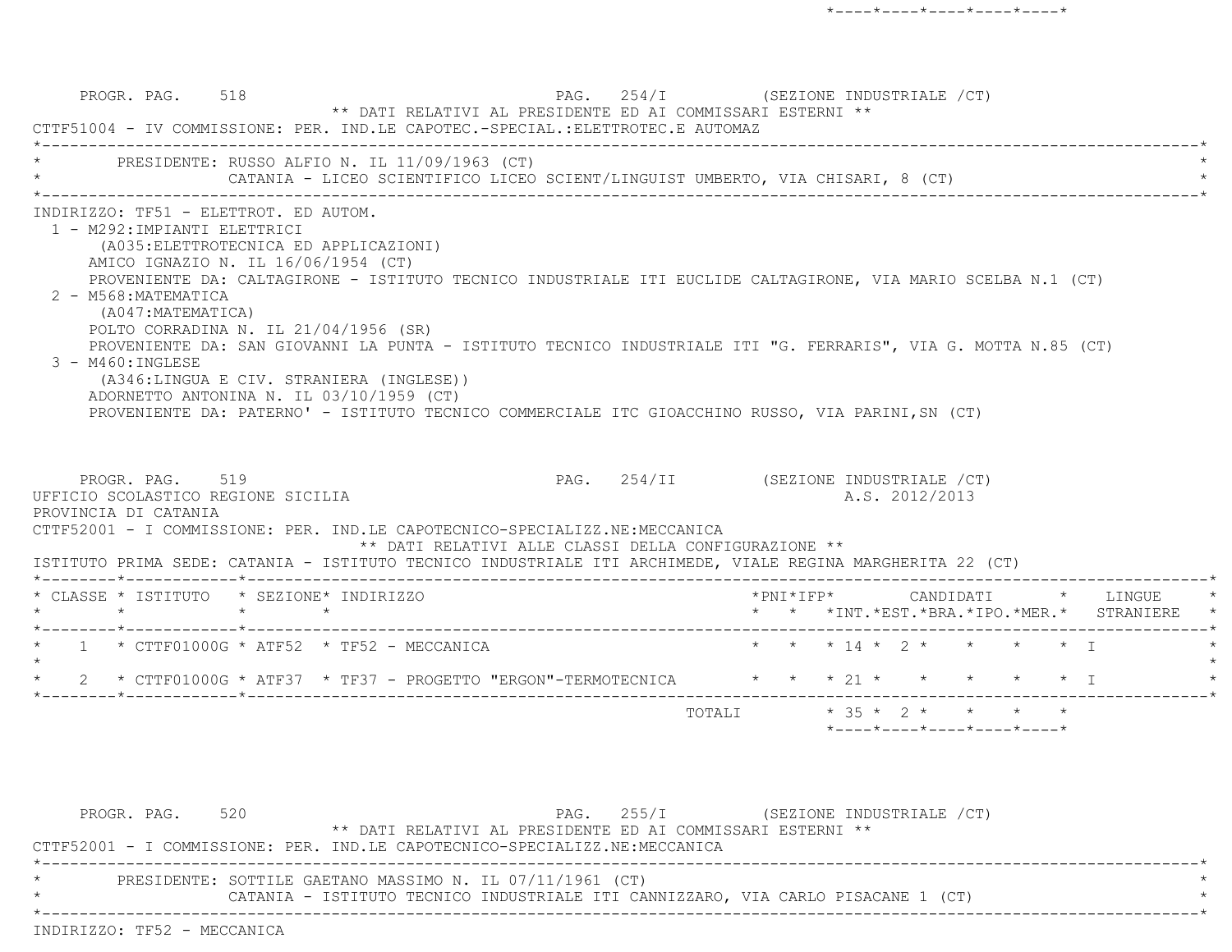PROGR. PAG. 518 **PAG.** 254/I (SEZIONE INDUSTRIALE /CT) \*\* DATI RELATIVI AL PRESIDENTE ED AI COMMISSARI ESTERNI \*\* CTTF51004 - IV COMMISSIONE: PER. IND.LE CAPOTEC.-SPECIAL.:ELETTROTEC.E AUTOMAZ \*----------------------------------------------------------------------------------------------------------------------------\*PRESIDENTE: RUSSO ALFIO N. IL 11/09/1963 (CT) CATANIA - LICEO SCIENTIFICO LICEO SCIENT/LINGUIST UMBERTO, VIA CHISARI, 8 (CT) \*----------------------------------------------------------------------------------------------------------------------------\* INDIRIZZO: TF51 - ELETTROT. ED AUTOM. 1 - M292:IMPIANTI ELETTRICI (A035:ELETTROTECNICA ED APPLICAZIONI) AMICO IGNAZIO N. IL 16/06/1954 (CT) PROVENIENTE DA: CALTAGIRONE - ISTITUTO TECNICO INDUSTRIALE ITI EUCLIDE CALTAGIRONE, VIA MARIO SCELBA N.1 (CT) 2 - M568:MATEMATICA (A047:MATEMATICA) POLTO CORRADINA N. IL 21/04/1956 (SR) PROVENIENTE DA: SAN GIOVANNI LA PUNTA - ISTITUTO TECNICO INDUSTRIALE ITI "G. FERRARIS", VIA G. MOTTA N.85 (CT) 3 - M460:INGLESE (A346:LINGUA E CIV. STRANIERA (INGLESE)) ADORNETTO ANTONINA N. IL 03/10/1959 (CT) PROVENIENTE DA: PATERNO' - ISTITUTO TECNICO COMMERCIALE ITC GIOACCHINO RUSSO, VIA PARINI,SN (CT) PROGR. PAG. 519 **PAG.** 254/II (SEZIONE INDUSTRIALE /CT) UFFICIO SCOLASTICO REGIONE SICILIA A.S. 2012/2013 PROVINCIA DI CATANIA CTTF52001 - I COMMISSIONE: PER. IND.LE CAPOTECNICO-SPECIALIZZ.NE:MECCANICA \*\* DATI RELATIVI ALLE CLASSI DELLA CONFIGURAZIONE \*\* ISTITUTO PRIMA SEDE: CATANIA - ISTITUTO TECNICO INDUSTRIALE ITI ARCHIMEDE, VIALE REGINA MARGHERITA 22 (CT) \*--------\*------------\*-------------------------------------------------------------------------------------------------------\* \* CLASSE \* ISTITUTO \* SEZIONE\* INDIRIZZO \*PNI\*IFP\* CANDIDATI \* LINGUE \* \* \* \* \* \* \* \*INT.\*EST.\*BRA.\*IPO.\*MER.\* STRANIERE \* \*--------\*------------\*-------------------------------------------------------------------------------------------------------\* $1 *$  CTTF01000G \* ATF52 \* TF52 - MECCANICA \* \* \* \* \* \* 14 \* 2 \* \* \* \* \* \* I  $\star$ 2 \* CTTF01000G \* ATF37 \* TF37 - PROGETTO "ERGON"-TERMOTECNICA \* \* \* 21 \* \* \* \* \* \* \* I \*--------\*------------\*-------------------------------------------------------------------------------------------------------\*TOTALI  $* 35 * 2 * * * * * * *$ \*----\*----\*----\*----\*----\*

PROGR. PAG. 520 **PAG.** 255/I (SEZIONE INDUSTRIALE /CT) \*\* DATI RELATIVI AL PRESIDENTE ED AI COMMISSARI ESTERNI \*\* CTTF52001 - I COMMISSIONE: PER. IND.LE CAPOTECNICO-SPECIALIZZ.NE:MECCANICA \*----------------------------------------------------------------------------------------------------------------------------\*PRESIDENTE: SOTTILE GAETANO MASSIMO N. IL 07/11/1961 (CT) CATANIA - ISTITUTO TECNICO INDUSTRIALE ITI CANNIZZARO, VIA CARLO PISACANE 1 (CT) \*----------------------------------------------------------------------------------------------------------------------------\*INDIRIZZO: TF52 - MECCANICA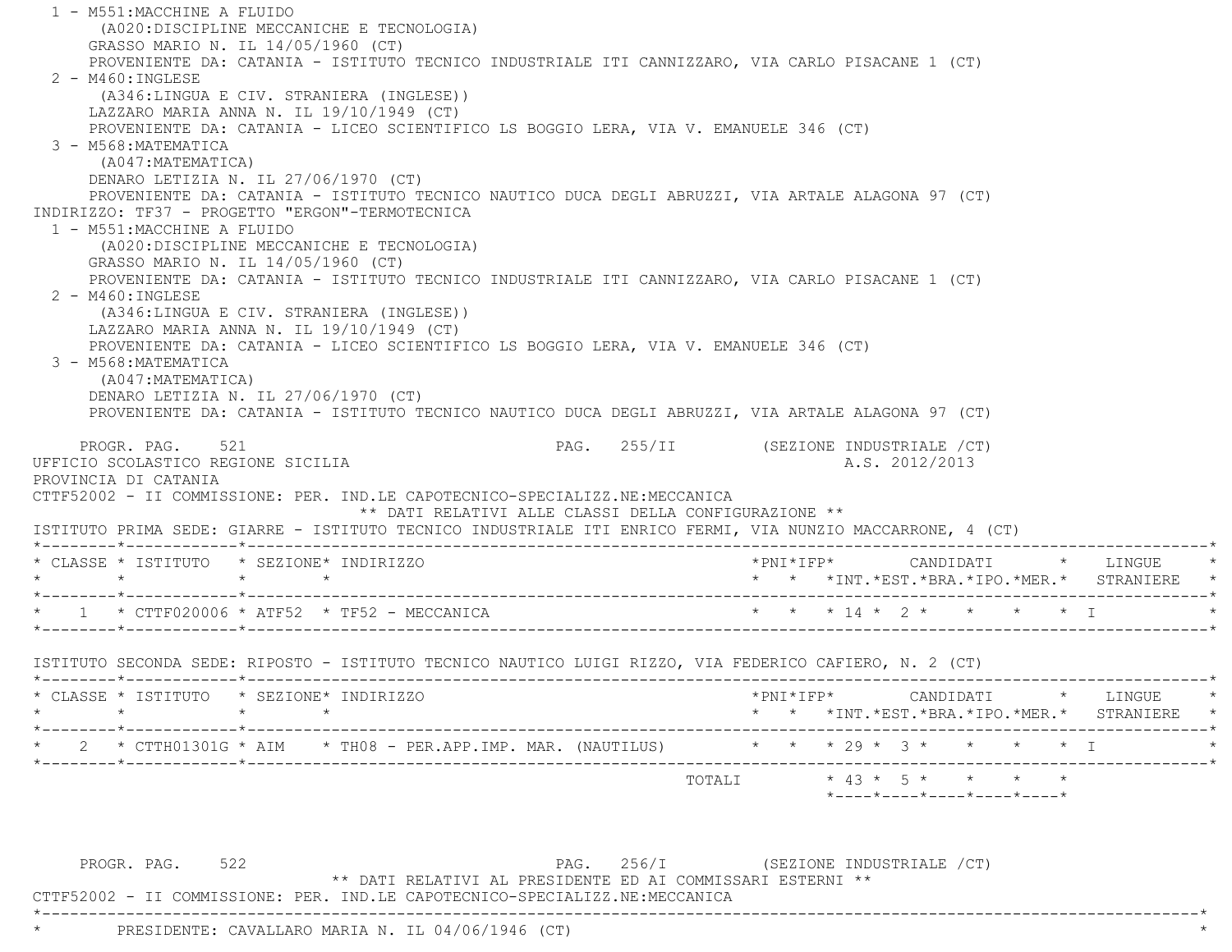1 - M551:MACCHINE A FLUIDO (A020:DISCIPLINE MECCANICHE E TECNOLOGIA) GRASSO MARIO N. IL 14/05/1960 (CT) PROVENIENTE DA: CATANIA - ISTITUTO TECNICO INDUSTRIALE ITI CANNIZZARO, VIA CARLO PISACANE 1 (CT) 2 - M460:INGLESE (A346:LINGUA E CIV. STRANIERA (INGLESE)) LAZZARO MARIA ANNA N. IL 19/10/1949 (CT) PROVENIENTE DA: CATANIA - LICEO SCIENTIFICO LS BOGGIO LERA, VIA V. EMANUELE 346 (CT) 3 - M568:MATEMATICA (A047:MATEMATICA) DENARO LETIZIA N. IL 27/06/1970 (CT) PROVENIENTE DA: CATANIA - ISTITUTO TECNICO NAUTICO DUCA DEGLI ABRUZZI, VIA ARTALE ALAGONA 97 (CT) INDIRIZZO: TF37 - PROGETTO "ERGON"-TERMOTECNICA 1 - M551:MACCHINE A FLUIDO (A020:DISCIPLINE MECCANICHE E TECNOLOGIA) GRASSO MARIO N. IL 14/05/1960 (CT) PROVENIENTE DA: CATANIA - ISTITUTO TECNICO INDUSTRIALE ITI CANNIZZARO, VIA CARLO PISACANE 1 (CT) 2 - M460:INGLESE (A346:LINGUA E CIV. STRANIERA (INGLESE)) LAZZARO MARIA ANNA N. IL 19/10/1949 (CT) PROVENIENTE DA: CATANIA - LICEO SCIENTIFICO LS BOGGIO LERA, VIA V. EMANUELE 346 (CT) 3 - M568:MATEMATICA (A047:MATEMATICA) DENARO LETIZIA N. IL 27/06/1970 (CT) PROVENIENTE DA: CATANIA - ISTITUTO TECNICO NAUTICO DUCA DEGLI ABRUZZI, VIA ARTALE ALAGONA 97 (CT) PROGR. PAG. 521 CHARGE 1988. PAG. 255/II (SEZIONE INDUSTRIALE / CT) UFFICIO SCOLASTICO REGIONE SICILIA A.S. 2012/2013 PROVINCIA DI CATANIA CTTF52002 - II COMMISSIONE: PER. IND.LE CAPOTECNICO-SPECIALIZZ.NE:MECCANICA \*\* DATI RELATIVI ALLE CLASSI DELLA CONFIGURAZIONE \*\* ISTITUTO PRIMA SEDE: GIARRE - ISTITUTO TECNICO INDUSTRIALE ITI ENRICO FERMI, VIA NUNZIO MACCARRONE, 4 (CT) \*--------\*------------\*-------------------------------------------------------------------------------------------------------\* \* CLASSE \* ISTITUTO \* SEZIONE\* INDIRIZZO \*PNI\*IFP\* CANDIDATI \* LINGUE \* \* \* \* \* \* \* \*INT.\*EST.\*BRA.\*IPO.\*MER.\* STRANIERE \* \*--------\*------------\*-------------------------------------------------------------------------------------------------------\*\* 1 \* CTTF020006 \* ATF52 \* TF52 - MECCANICA \* \* \* \* \* \* \* \* \* \* \* \* \* \* \* \* \* T \*--------\*------------\*-------------------------------------------------------------------------------------------------------\* ISTITUTO SECONDA SEDE: RIPOSTO - ISTITUTO TECNICO NAUTICO LUIGI RIZZO, VIA FEDERICO CAFIERO, N. 2 (CT) \*--------\*------------\*-------------------------------------------------------------------------------------------------------\* \* CLASSE \* ISTITUTO \* SEZIONE\* INDIRIZZO \*PNI\*IFP\* CANDIDATI \* LINGUE \* \* \* \* \* \* \* \*INT.\*EST.\*BRA.\*IPO.\*MER.\* STRANIERE \* \*--------\*------------\*-------------------------------------------------------------------------------------------------------\*2 \* CTTH01301G \* AIM \* TH08 - PER.APP.IMP. MAR. (NAUTILUS) \* \* \* \* 29 \* 3 \* \* \* \* \* \* T \*--------\*------------\*-------------------------------------------------------------------------------------------------------\* $\texttt{TOTAL} \qquad \qquad \star \; \; 43 \; \star \; \; 5 \; \star \qquad \star \qquad \star \qquad \star \qquad \star$ \*----\*----\*----\*----\*----\*

PROGR. PAG. 522 **PROGR. PAG.** 256/I (SEZIONE INDUSTRIALE /CT) \*\* DATI RELATIVI AL PRESIDENTE ED AI COMMISSARI ESTERNI \*\*

CTTF52002 - II COMMISSIONE: PER. IND.LE CAPOTECNICO-SPECIALIZZ.NE:MECCANICA

\*----------------------------------------------------------------------------------------------------------------------------\*

PRESIDENTE: CAVALLARO MARIA N. IL 04/06/1946 (CT)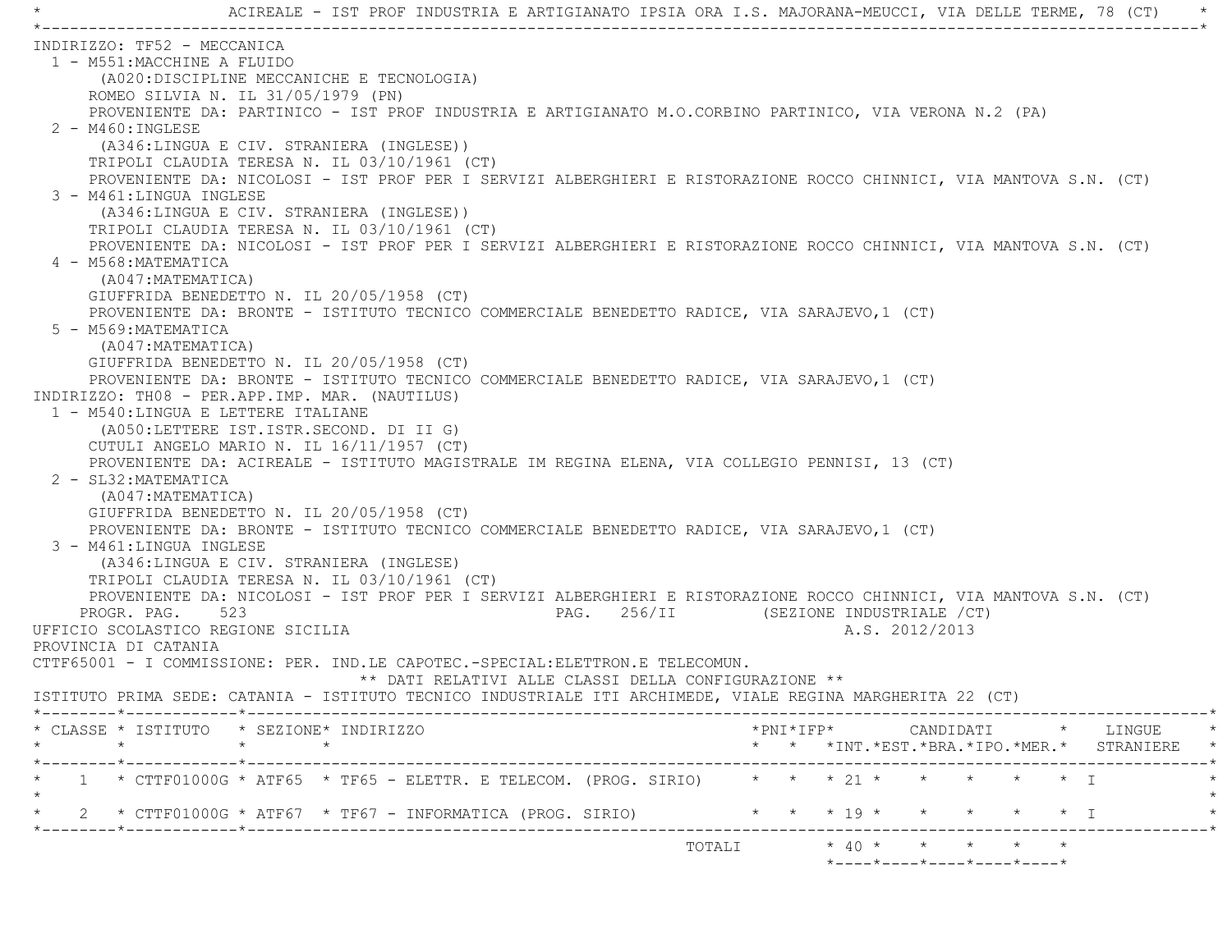\* ACIREALE - IST PROF INDUSTRIA E ARTIGIANATO IPSIA ORA I.S. MAJORANA-MEUCCI, VIA DELLE TERME, 78 (CT) \* \*----------------------------------------------------------------------------------------------------------------------------\* INDIRIZZO: TF52 - MECCANICA 1 - M551:MACCHINE A FLUIDO (A020:DISCIPLINE MECCANICHE E TECNOLOGIA) ROMEO SILVIA N. IL 31/05/1979 (PN) PROVENIENTE DA: PARTINICO - IST PROF INDUSTRIA E ARTIGIANATO M.O.CORBINO PARTINICO, VIA VERONA N.2 (PA) 2 - M460:INGLESE (A346:LINGUA E CIV. STRANIERA (INGLESE)) TRIPOLI CLAUDIA TERESA N. IL 03/10/1961 (CT) PROVENIENTE DA: NICOLOSI - IST PROF PER I SERVIZI ALBERGHIERI E RISTORAZIONE ROCCO CHINNICI, VIA MANTOVA S.N. (CT) 3 - M461:LINGUA INGLESE (A346:LINGUA E CIV. STRANIERA (INGLESE)) TRIPOLI CLAUDIA TERESA N. IL 03/10/1961 (CT) PROVENIENTE DA: NICOLOSI - IST PROF PER I SERVIZI ALBERGHIERI E RISTORAZIONE ROCCO CHINNICI, VIA MANTOVA S.N. (CT) 4 - M568:MATEMATICA (A047:MATEMATICA) GIUFFRIDA BENEDETTO N. IL 20/05/1958 (CT) PROVENIENTE DA: BRONTE - ISTITUTO TECNICO COMMERCIALE BENEDETTO RADICE, VIA SARAJEVO,1 (CT) 5 - M569:MATEMATICA (A047:MATEMATICA) GIUFFRIDA BENEDETTO N. IL 20/05/1958 (CT) PROVENIENTE DA: BRONTE - ISTITUTO TECNICO COMMERCIALE BENEDETTO RADICE, VIA SARAJEVO,1 (CT) INDIRIZZO: TH08 - PER.APP.IMP. MAR. (NAUTILUS) 1 - M540:LINGUA E LETTERE ITALIANE (A050:LETTERE IST.ISTR.SECOND. DI II G) CUTULI ANGELO MARIO N. IL 16/11/1957 (CT) PROVENIENTE DA: ACIREALE - ISTITUTO MAGISTRALE IM REGINA ELENA, VIA COLLEGIO PENNISI, 13 (CT) 2 - SL32:MATEMATICA (A047:MATEMATICA) GIUFFRIDA BENEDETTO N. IL 20/05/1958 (CT) PROVENIENTE DA: BRONTE - ISTITUTO TECNICO COMMERCIALE BENEDETTO RADICE, VIA SARAJEVO,1 (CT) 3 - M461:LINGUA INGLESE (A346:LINGUA E CIV. STRANIERA (INGLESE) TRIPOLI CLAUDIA TERESA N. IL 03/10/1961 (CT) PROVENIENTE DA: NICOLOSI - IST PROF PER I SERVIZI ALBERGHIERI E RISTORAZIONE ROCCO CHINNICI, VIA MANTOVA S.N. (CT) PROGR. PAG. 523 PAG. 256/II (SEZIONE INDUSTRIALE /CT) UFFICIO SCOLASTICO REGIONE SICILIA A.S. 2012/2013 PROVINCIA DI CATANIA CTTF65001 - I COMMISSIONE: PER. IND.LE CAPOTEC.-SPECIAL:ELETTRON.E TELECOMUN. \*\* DATI RELATIVI ALLE CLASSI DELLA CONFIGURAZIONE \*\* ISTITUTO PRIMA SEDE: CATANIA - ISTITUTO TECNICO INDUSTRIALE ITI ARCHIMEDE, VIALE REGINA MARGHERITA 22 (CT) \*--------\*------------\*-------------------------------------------------------------------------------------------------------\* \* CLASSE \* ISTITUTO \* SEZIONE\* INDIRIZZO \*PNI\*IFP\* CANDIDATI \* LINGUE \* \* \* \* \* \* \* \*INT.\*EST.\*BRA.\*IPO.\*MER.\* STRANIERE \* \*--------\*------------\*-------------------------------------------------------------------------------------------------------\* \* 1 \* CTTF01000G \* ATF65 \* TF65 - ELETTR. E TELECOM. (PROG. SIRIO) \* \* \* 21 \* \* \* \* \* I \*  $\star$ \* 2 \* CTTF01000G \* ATF67 \* TF67 - INFORMATICA (PROG. SIRIO) \* \* \* \* 19 \* \* \* \* \* \* \* I  $\star$  +  $\star$  +  $\star$  +  $\star$  +  $\star$  +  $\star$  +  $\star$  +  $\star$  +  $\star$  +  $\star$  +  $\star$  +  $\star$  +  $\star$  +  $\star$  +  $\star$  +  $\star$  +  $\star$  +  $\star$  +  $\star$  +  $\star$  +  $\star$  +  $\star$  +  $\star$  +  $\star$  +  $\star$  +  $\star$  +  $\star$  +  $\star$  +  $\star$  +  $\star$  +  $\star$  +  $\star$ TOTALI \* 40 \* \* \* \* \*

\*----\*----\*----\*----\*----\*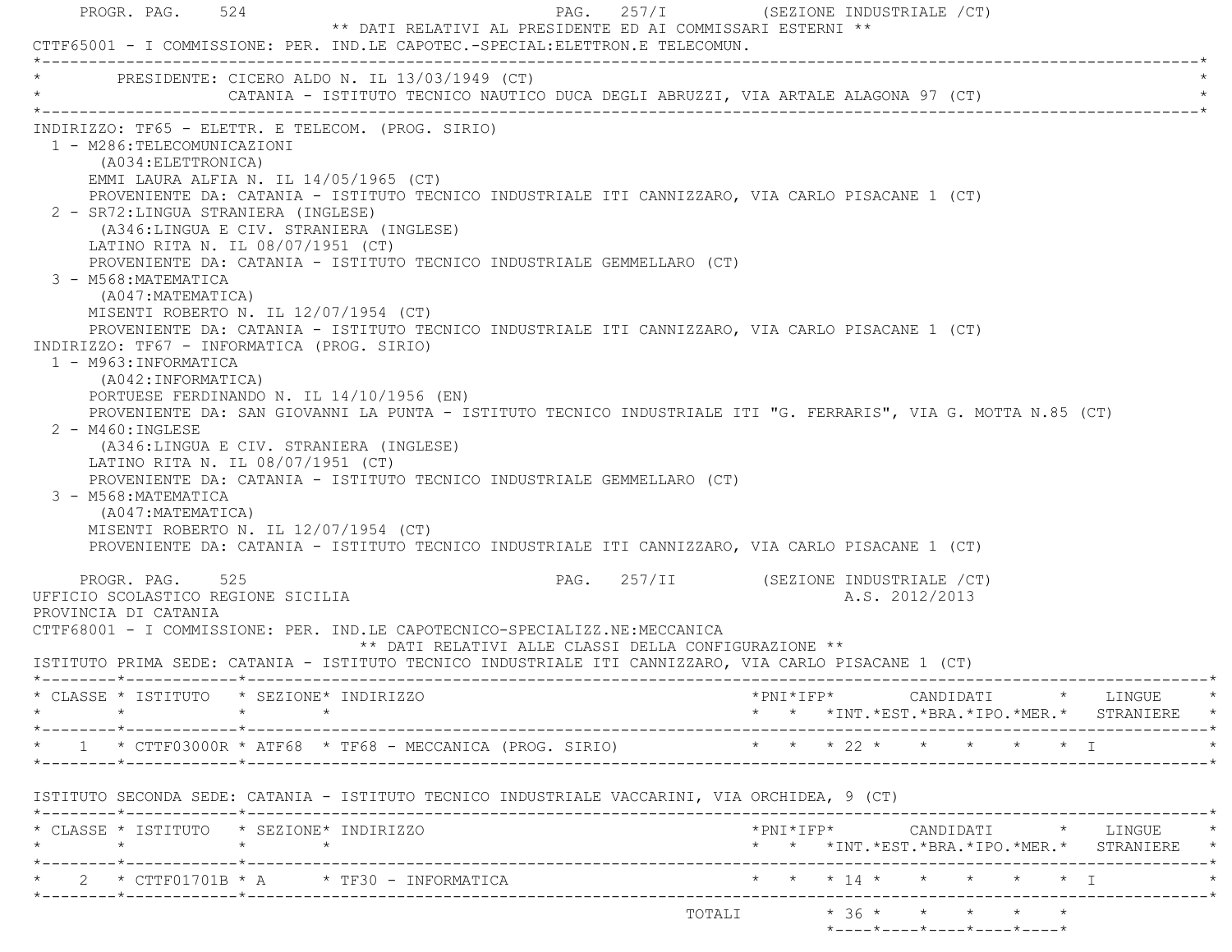| PROGR. PAG. 524<br>** DATI RELATIVI AL PRESIDENTE ED AI COMMISSARI ESTERNI **<br>CTTF65001 - I COMMISSIONE: PER. IND.LE CAPOTEC.-SPECIAL:ELETTRON.E TELECOMUN.                                                                                                                                                                                                                                                                                                                                                                                                                                                                                                                                                                                                                                                                                                                                                                                                                                                                                                                                                                                                                                                                                                                                | PAG. 257/I (SEZIONE INDUSTRIALE /CT)                                                                                                                                  |
|-----------------------------------------------------------------------------------------------------------------------------------------------------------------------------------------------------------------------------------------------------------------------------------------------------------------------------------------------------------------------------------------------------------------------------------------------------------------------------------------------------------------------------------------------------------------------------------------------------------------------------------------------------------------------------------------------------------------------------------------------------------------------------------------------------------------------------------------------------------------------------------------------------------------------------------------------------------------------------------------------------------------------------------------------------------------------------------------------------------------------------------------------------------------------------------------------------------------------------------------------------------------------------------------------|-----------------------------------------------------------------------------------------------------------------------------------------------------------------------|
| PRESIDENTE: CICERO ALDO N. IL 13/03/1949 (CT)<br>CATANIA - ISTITUTO TECNICO NAUTICO DUCA DEGLI ABRUZZI, VIA ARTALE ALAGONA 97 (CT)                                                                                                                                                                                                                                                                                                                                                                                                                                                                                                                                                                                                                                                                                                                                                                                                                                                                                                                                                                                                                                                                                                                                                            |                                                                                                                                                                       |
| INDIRIZZO: TF65 - ELETTR. E TELECOM. (PROG. SIRIO)<br>1 - M286:TELECOMUNICAZIONI<br>(A034: ELETTRONICA)<br>EMMI LAURA ALFIA N. IL 14/05/1965 (CT)<br>PROVENIENTE DA: CATANIA - ISTITUTO TECNICO INDUSTRIALE ITI CANNIZZARO, VIA CARLO PISACANE 1 (CT)<br>2 - SR72: LINGUA STRANIERA (INGLESE)<br>(A346:LINGUA E CIV. STRANIERA (INGLESE)<br>LATINO RITA N. IL 08/07/1951 (CT)<br>PROVENIENTE DA: CATANIA - ISTITUTO TECNICO INDUSTRIALE GEMMELLARO (CT)<br>3 - M568: MATEMATICA<br>(A047: MATEMATICA)<br>MISENTI ROBERTO N. IL 12/07/1954 (CT)<br>PROVENIENTE DA: CATANIA - ISTITUTO TECNICO INDUSTRIALE ITI CANNIZZARO, VIA CARLO PISACANE 1 (CT)<br>INDIRIZZO: TF67 - INFORMATICA (PROG. SIRIO)<br>1 - M963: INFORMATICA<br>(A042: INFORMATICA)<br>PORTUESE FERDINANDO N. IL 14/10/1956 (EN)<br>PROVENIENTE DA: SAN GIOVANNI LA PUNTA - ISTITUTO TECNICO INDUSTRIALE ITI "G. FERRARIS", VIA G. MOTTA N.85 (CT)<br>$2 - M460$ : INGLESE<br>(A346:LINGUA E CIV. STRANIERA (INGLESE)<br>LATINO RITA N. IL 08/07/1951 (CT)<br>PROVENIENTE DA: CATANIA - ISTITUTO TECNICO INDUSTRIALE GEMMELLARO (CT)<br>3 - M568: MATEMATICA<br>(A047: MATEMATICA)<br>MISENTI ROBERTO N. IL 12/07/1954 (CT)<br>PROVENIENTE DA: CATANIA - ISTITUTO TECNICO INDUSTRIALE ITI CANNIZZARO, VIA CARLO PISACANE 1 (CT) |                                                                                                                                                                       |
| PROGR. PAG. 525<br>UFFICIO SCOLASTICO REGIONE SICILIA<br>PROVINCIA DI CATANIA<br>CTTF68001 - I COMMISSIONE: PER. IND.LE CAPOTECNICO-SPECIALIZZ.NE:MECCANICA<br>** DATI RELATIVI ALLE CLASSI DELLA CONFIGURAZIONE **<br>ISTITUTO PRIMA SEDE: CATANIA - ISTITUTO TECNICO INDUSTRIALE ITI CANNIZZARO, VIA CARLO PISACANE 1 (CT)                                                                                                                                                                                                                                                                                                                                                                                                                                                                                                                                                                                                                                                                                                                                                                                                                                                                                                                                                                  | PAG. 257/II (SEZIONE INDUSTRIALE /CT)<br>A.S. 2012/2013                                                                                                               |
| * CLASSE * ISTITUTO * SEZIONE* INDIRIZZO                                                                                                                                                                                                                                                                                                                                                                                                                                                                                                                                                                                                                                                                                                                                                                                                                                                                                                                                                                                                                                                                                                                                                                                                                                                      | $*$ PNI $*$ IFP $*$<br>CANDIDATI<br>* LINGUE                                                                                                                          |
| * 1 * CTTF03000R * ATF68 * TF68 - MECCANICA (PROG. SIRIO) * * * * 22 * * * * * * * I                                                                                                                                                                                                                                                                                                                                                                                                                                                                                                                                                                                                                                                                                                                                                                                                                                                                                                                                                                                                                                                                                                                                                                                                          | * * *INT. *EST. *BRA. *IPO. *MER. * STRANIERE *                                                                                                                       |
| ISTITUTO SECONDA SEDE: CATANIA - ISTITUTO TECNICO INDUSTRIALE VACCARINI, VIA ORCHIDEA, 9 (CT)                                                                                                                                                                                                                                                                                                                                                                                                                                                                                                                                                                                                                                                                                                                                                                                                                                                                                                                                                                                                                                                                                                                                                                                                 |                                                                                                                                                                       |
| * CLASSE * ISTITUTO * SEZIONE* INDIRIZZO<br>$\star$<br>$\star$ $\star$<br>*--------*------------*-------------                                                                                                                                                                                                                                                                                                                                                                                                                                                                                                                                                                                                                                                                                                                                                                                                                                                                                                                                                                                                                                                                                                                                                                                | $\text{\tt *PNI*IFP*} \qquad \qquad \text{CANDIDATI} \qquad \text{\tt *} \qquad \text{LINGUE} \qquad \text{\tt *}$<br>* * *INT. *EST. *BRA. *IPO. *MER. * STRANIERE * |
| 2 * CTTF01701B * A * TF30 - INFORMATICA<br>-----------------------------                                                                                                                                                                                                                                                                                                                                                                                                                                                                                                                                                                                                                                                                                                                                                                                                                                                                                                                                                                                                                                                                                                                                                                                                                      | * * * 14 * * * * * * I                                                                                                                                                |
|                                                                                                                                                                                                                                                                                                                                                                                                                                                                                                                                                                                                                                                                                                                                                                                                                                                                                                                                                                                                                                                                                                                                                                                                                                                                                               | TOTALI * 36 * * * * * *<br>*----*----*----*----*----*                                                                                                                 |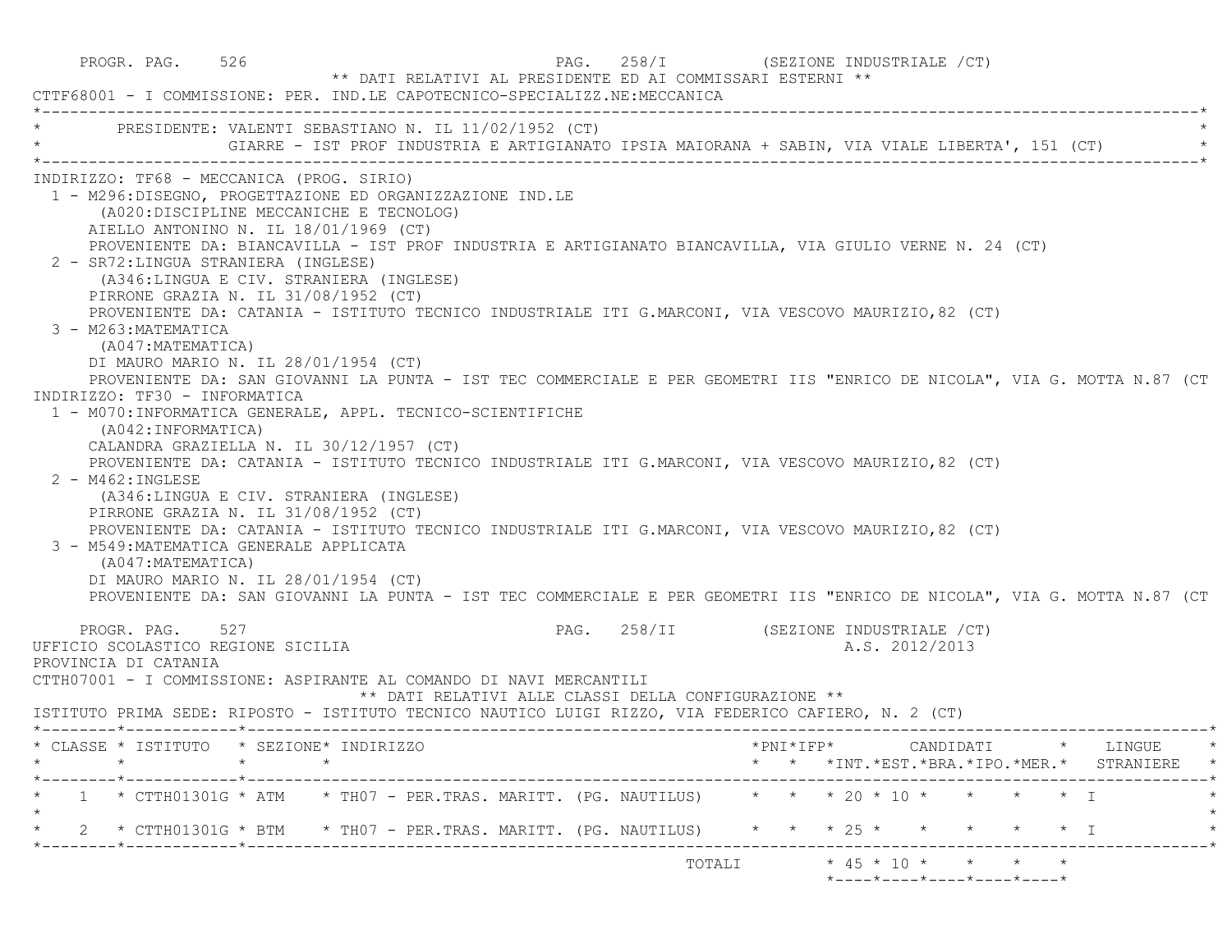PROGR. PAG. 526 CHARGE 258/I (SEZIONE INDUSTRIALE 258 \*\* DATI RELATIVI AL PRESIDENTE ED AI COMMISSARI ESTERNI \*\* CTTF68001 - I COMMISSIONE: PER. IND.LE CAPOTECNICO-SPECIALIZZ.NE:MECCANICA \*----------------------------------------------------------------------------------------------------------------------------\*PRESIDENTE: VALENTI SEBASTIANO N. IL 11/02/1952 (CT) GIARRE - IST PROF INDUSTRIA E ARTIGIANATO IPSIA MAIORANA + SABIN, VIA VIALE LIBERTA', 151 (CT) \*----------------------------------------------------------------------------------------------------------------------------\* INDIRIZZO: TF68 - MECCANICA (PROG. SIRIO) 1 - M296:DISEGNO, PROGETTAZIONE ED ORGANIZZAZIONE IND.LE (A020:DISCIPLINE MECCANICHE E TECNOLOG) AIELLO ANTONINO N. IL 18/01/1969 (CT) PROVENIENTE DA: BIANCAVILLA - IST PROF INDUSTRIA E ARTIGIANATO BIANCAVILLA, VIA GIULIO VERNE N. 24 (CT) 2 - SR72:LINGUA STRANIERA (INGLESE) (A346:LINGUA E CIV. STRANIERA (INGLESE) PIRRONE GRAZIA N. IL 31/08/1952 (CT) PROVENIENTE DA: CATANIA - ISTITUTO TECNICO INDUSTRIALE ITI G.MARCONI, VIA VESCOVO MAURIZIO,82 (CT) 3 - M263:MATEMATICA (A047:MATEMATICA) DI MAURO MARIO N. IL 28/01/1954 (CT) PROVENIENTE DA: SAN GIOVANNI LA PUNTA - IST TEC COMMERCIALE E PER GEOMETRI IIS "ENRICO DE NICOLA", VIA G. MOTTA N.87 (CT INDIRIZZO: TF30 - INFORMATICA 1 - M070:INFORMATICA GENERALE, APPL. TECNICO-SCIENTIFICHE (A042:INFORMATICA) CALANDRA GRAZIELLA N. IL 30/12/1957 (CT) PROVENIENTE DA: CATANIA - ISTITUTO TECNICO INDUSTRIALE ITI G.MARCONI, VIA VESCOVO MAURIZIO,82 (CT)  $2 - M462 \cdot INGI. ESE$  (A346:LINGUA E CIV. STRANIERA (INGLESE) PIRRONE GRAZIA N. IL 31/08/1952 (CT) PROVENIENTE DA: CATANIA - ISTITUTO TECNICO INDUSTRIALE ITI G.MARCONI, VIA VESCOVO MAURIZIO,82 (CT) 3 - M549:MATEMATICA GENERALE APPLICATA (A047:MATEMATICA) DI MAURO MARIO N. IL 28/01/1954 (CT) PROVENIENTE DA: SAN GIOVANNI LA PUNTA - IST TEC COMMERCIALE E PER GEOMETRI IIS "ENRICO DE NICOLA", VIA G. MOTTA N.87 (CT PROGR. PAG. 527 **PAG.** 258/II (SEZIONE INDUSTRIALE /CT) UFFICIO SCOLASTICO REGIONE SICILIA A.S. 2012/2013 PROVINCIA DI CATANIA CTTH07001 - I COMMISSIONE: ASPIRANTE AL COMANDO DI NAVI MERCANTILI \*\* DATI RELATIVI ALLE CLASSI DELLA CONFIGURAZIONE \*\* ISTITUTO PRIMA SEDE: RIPOSTO - ISTITUTO TECNICO NAUTICO LUIGI RIZZO, VIA FEDERICO CAFIERO, N. 2 (CT) \*--------\*------------\*-------------------------------------------------------------------------------------------------------\* \* CLASSE \* ISTITUTO \* SEZIONE\* INDIRIZZO \*PNI\*IFP\* CANDIDATI \* LINGUE \* \* \* \* \* \* \* \*INT.\*EST.\*BRA.\*IPO.\*MER.\* STRANIERE \* \*--------\*------------\*-------------------------------------------------------------------------------------------------------\* $1 \times$  CTTH01301G \* ATM  $\rightarrow$  TH07 - PER.TRAS. MARITT. (PG. NAUTILUS)  $\rightarrow$  \* \* \* 20 \* 10 \* \* \* \* \* I  $\star$  \* 2 \* CTTH01301G \* BTM \* TH07 - PER.TRAS. MARITT. (PG. NAUTILUS) \* \* \* 25 \* \* \* \* \* I \* \*--------\*------------\*-------------------------------------------------------------------------------------------------------\* $\text{TOTALI} \quad * 45 * 10 * * * * * * * *$ \*----\*----\*----\*----\*----\*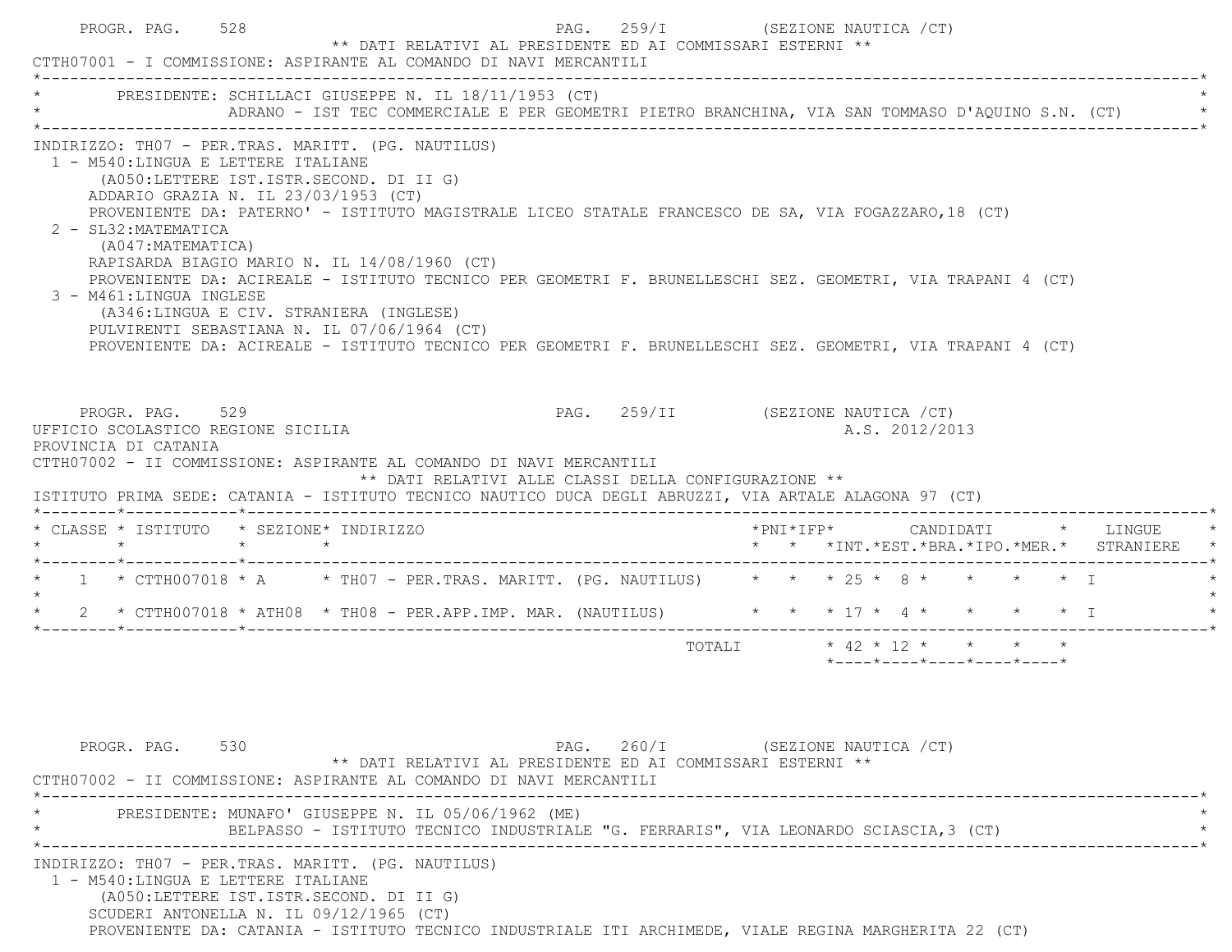|                                                                                                                                                                                                                                                                                                                                                | * PRESIDENTE: SCHILLACI GIUSEPPE N. IL 18/11/1953 (CT)<br>ADRANO - IST TEC COMMERCIALE E PER GEOMETRI PIETRO BRANCHINA, VIA SAN TOMMASO D'AQUINO S.N. (CT)                                                                                                                                                                                                                       |                                   |                            |  |                                                                 |  |                                                                                   |
|------------------------------------------------------------------------------------------------------------------------------------------------------------------------------------------------------------------------------------------------------------------------------------------------------------------------------------------------|----------------------------------------------------------------------------------------------------------------------------------------------------------------------------------------------------------------------------------------------------------------------------------------------------------------------------------------------------------------------------------|-----------------------------------|----------------------------|--|-----------------------------------------------------------------|--|-----------------------------------------------------------------------------------|
| INDIRIZZO: TH07 - PER.TRAS. MARITT. (PG. NAUTILUS)<br>1 - M540:LINGUA E LETTERE ITALIANE<br>(A050:LETTERE IST.ISTR.SECOND. DI II G)<br>ADDARIO GRAZIA N. IL 23/03/1953 (CT)<br>2 - SL32: MATEMATICA<br>(A047: MATEMATICA)<br>3 - M461:LINGUA INGLESE<br>(A346:LINGUA E CIV. STRANIERA (INGLESE)<br>PULVIRENTI SEBASTIANA N. IL 07/06/1964 (CT) | PROVENIENTE DA: PATERNO' - ISTITUTO MAGISTRALE LICEO STATALE FRANCESCO DE SA, VIA FOGAZZARO, 18 (CT)<br>RAPISARDA BIAGIO MARIO N. IL 14/08/1960 (CT)<br>PROVENIENTE DA: ACIREALE - ISTITUTO TECNICO PER GEOMETRI F. BRUNELLESCHI SEZ. GEOMETRI, VIA TRAPANI 4 (CT)<br>PROVENIENTE DA: ACIREALE - ISTITUTO TECNICO PER GEOMETRI F. BRUNELLESCHI SEZ. GEOMETRI, VIA TRAPANI 4 (CT) |                                   |                            |  |                                                                 |  |                                                                                   |
| PROGR. PAG. 529<br>UFFICIO SCOLASTICO REGIONE SICILIA<br>PROVINCIA DI CATANIA                                                                                                                                                                                                                                                                  | CTTH07002 - II COMMISSIONE: ASPIRANTE AL COMANDO DI NAVI MERCANTILI<br>** DATI RELATIVI ALLE CLASSI DELLA CONFIGURAZIONE **<br>ISTITUTO PRIMA SEDE: CATANIA - ISTITUTO TECNICO NAUTICO DUCA DEGLI ABRUZZI, VIA ARTALE ALAGONA 97 (CT)                                                                                                                                            | PAG. 259/II (SEZIONE NAUTICA /CT) |                            |  | A.S. 2012/2013                                                  |  |                                                                                   |
|                                                                                                                                                                                                                                                                                                                                                |                                                                                                                                                                                                                                                                                                                                                                                  |                                   |                            |  |                                                                 |  |                                                                                   |
| * CLASSE * ISTITUTO * SEZIONE* INDIRIZZO                                                                                                                                                                                                                                                                                                       |                                                                                                                                                                                                                                                                                                                                                                                  |                                   |                            |  |                                                                 |  | *PNI*IFP*     CANDIDATI    *   LINGUE<br>* * *INT.*EST.*BRA.*IPO.*MER.* STRANIERE |
|                                                                                                                                                                                                                                                                                                                                                | * 1 * CTTH007018 * A * TH07 - PER.TRAS. MARITT. (PG. NAUTILUS) * * * 25 * 8 * * * * * * I                                                                                                                                                                                                                                                                                        |                                   |                            |  |                                                                 |  |                                                                                   |
| $\star$<br>$\star$                                                                                                                                                                                                                                                                                                                             | 2 * CTTH007018 * ATH08 * TH08 - PER.APP.IMP. MAR. (NAUTILUS) * * * 17 * 4 * * * * * * I                                                                                                                                                                                                                                                                                          |                                   |                            |  |                                                                 |  |                                                                                   |
|                                                                                                                                                                                                                                                                                                                                                |                                                                                                                                                                                                                                                                                                                                                                                  |                                   | TOTALI * 42 * 12 * * * * * |  | $*$ - - - - $*$ - - - - $*$ - - - - $*$ - - - - $*$ - - - - $*$ |  |                                                                                   |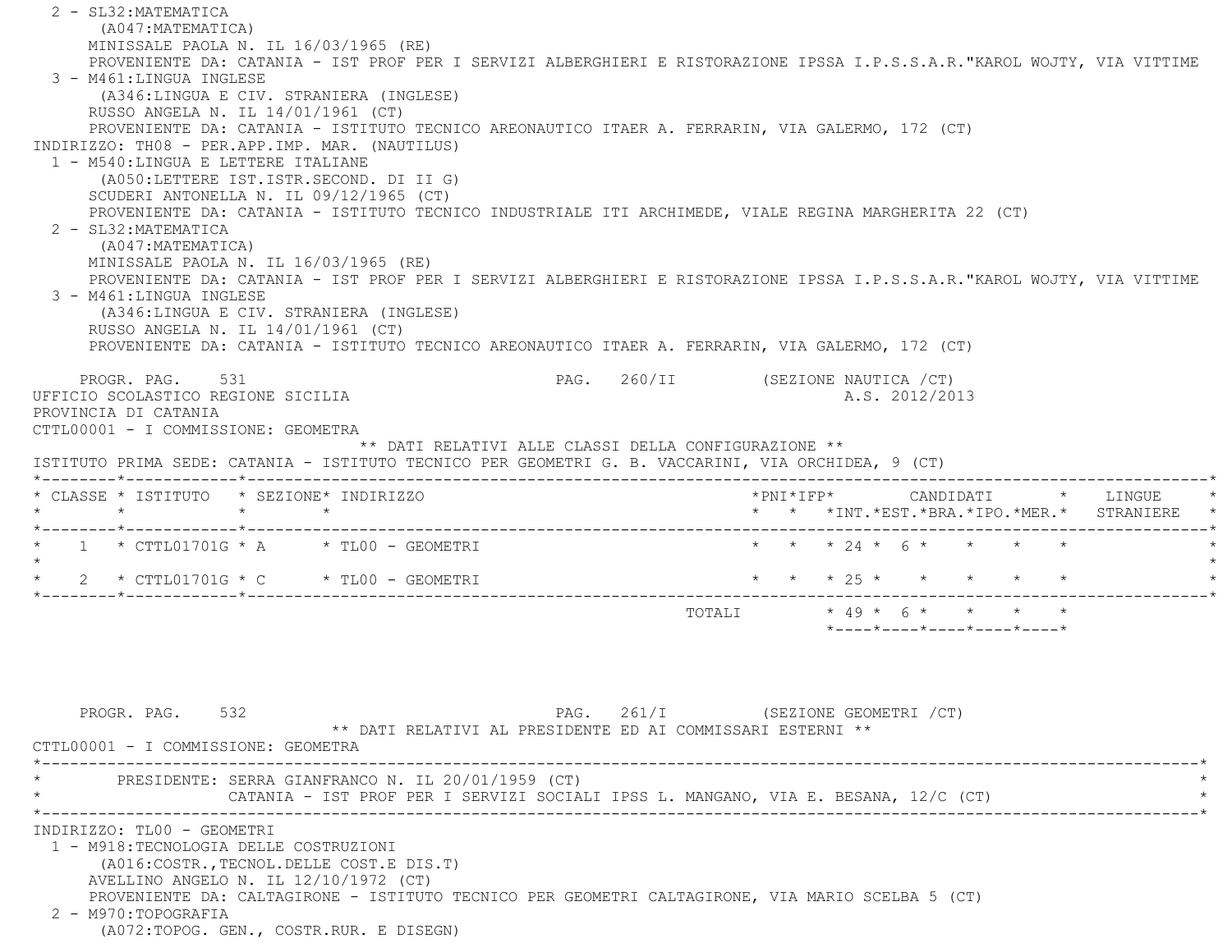2 - SL32:MATEMATICA (A047:MATEMATICA) MINISSALE PAOLA N. IL 16/03/1965 (RE) PROVENIENTE DA: CATANIA - IST PROF PER I SERVIZI ALBERGHIERI E RISTORAZIONE IPSSA I.P.S.S.A.R."KAROL WOJTY, VIA VITTIME 3 - M461:LINGUA INGLESE (A346:LINGUA E CIV. STRANIERA (INGLESE) RUSSO ANGELA N. IL 14/01/1961 (CT) PROVENIENTE DA: CATANIA - ISTITUTO TECNICO AREONAUTICO ITAER A. FERRARIN, VIA GALERMO, 172 (CT) INDIRIZZO: TH08 - PER.APP.IMP. MAR. (NAUTILUS) 1 - M540:LINGUA E LETTERE ITALIANE (A050:LETTERE IST.ISTR.SECOND. DI II G) SCUDERI ANTONELLA N. IL 09/12/1965 (CT) PROVENIENTE DA: CATANIA - ISTITUTO TECNICO INDUSTRIALE ITI ARCHIMEDE, VIALE REGINA MARGHERITA 22 (CT) 2 - SL32:MATEMATICA (A047:MATEMATICA) MINISSALE PAOLA N. IL 16/03/1965 (RE) PROVENIENTE DA: CATANIA - IST PROF PER I SERVIZI ALBERGHIERI E RISTORAZIONE IPSSA I.P.S.S.A.R."KAROL WOJTY, VIA VITTIME 3 - M461:LINGUA INGLESE (A346:LINGUA E CIV. STRANIERA (INGLESE) RUSSO ANGELA N. IL 14/01/1961 (CT) PROVENIENTE DA: CATANIA - ISTITUTO TECNICO AREONAUTICO ITAER A. FERRARIN, VIA GALERMO, 172 (CT) PROGR. PAG. 531 69 PAG. 260/II (SEZIONE NAUTICA / CT) UFFICIO SCOLASTICO REGIONE SICILIA A.S. 2012/2013 PROVINCIA DI CATANIA CTTL00001 - I COMMISSIONE: GEOMETRA \*\* DATI RELATIVI ALLE CLASSI DELLA CONFIGURAZIONE \*\* ISTITUTO PRIMA SEDE: CATANIA - ISTITUTO TECNICO PER GEOMETRI G. B. VACCARINI, VIA ORCHIDEA, 9 (CT) \*--------\*------------\*-------------------------------------------------------------------------------------------------------\* \* CLASSE \* ISTITUTO \* SEZIONE\* INDIRIZZO \*PNI\*IFP\* CANDIDATI \* LINGUE \* \* \* \* \* \* \* \*INT.\*EST.\*BRA.\*IPO.\*MER.\* STRANIERE \* \*--------\*------------\*-------------------------------------------------------------------------------------------------------\* $1 * \text{CTL01701G} * A * \text{TLO0 - GEOMETRYI}$  \* \* \* \* 24 \* 6 \* \* \* \* \*  $\star$  \* 2 \* CTTL01701G \* C \* TL00 - GEOMETRI \* \* \* 25 \* \* \* \* \* \* \*--------\*------------\*-------------------------------------------------------------------------------------------------------\* TOTALI \* 49 \* 6 \* \* \* \* \*----\*----\*----\*----\*----\*PROGR. PAG. 532 **PAG.** 261/I (SEZIONE GEOMETRI / CT) \*\* DATI RELATIVI AL PRESIDENTE ED AI COMMISSARI ESTERNI \*\* CTTL00001 - I COMMISSIONE: GEOMETRA \*----------------------------------------------------------------------------------------------------------------------------\* \* PRESIDENTE: SERRA GIANFRANCO N. IL 20/01/1959 (CT) \* CATANIA - IST PROF PER I SERVIZI SOCIALI IPSS L. MANGANO, VIA E. BESANA, 12/C (CT) \*----------------------------------------------------------------------------------------------------------------------------\* INDIRIZZO: TL00 - GEOMETRI 1 - M918:TECNOLOGIA DELLE COSTRUZIONI (A016:COSTR.,TECNOL.DELLE COST.E DIS.T) AVELLINO ANGELO N. IL 12/10/1972 (CT) PROVENIENTE DA: CALTAGIRONE - ISTITUTO TECNICO PER GEOMETRI CALTAGIRONE, VIA MARIO SCELBA 5 (CT) 2 - M970:TOPOGRAFIA(A072:TOPOG. GEN., COSTR.RUR. E DISEGN)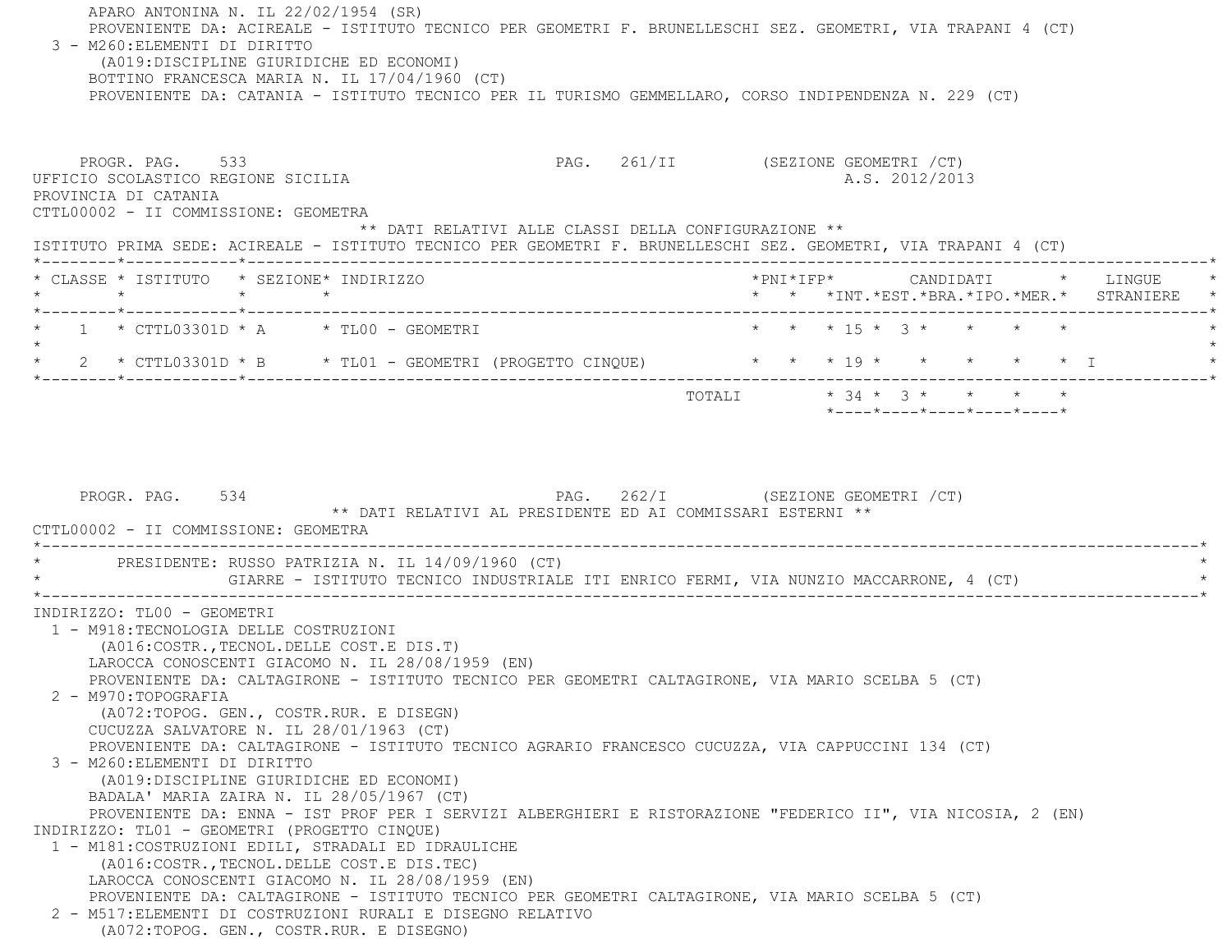APARO ANTONINA N. IL 22/02/1954 (SR) PROVENIENTE DA: ACIREALE - ISTITUTO TECNICO PER GEOMETRI F. BRUNELLESCHI SEZ. GEOMETRI, VIA TRAPANI 4 (CT) 3 - M260:ELEMENTI DI DIRITTO (A019:DISCIPLINE GIURIDICHE ED ECONOMI) BOTTINO FRANCESCA MARIA N. IL 17/04/1960 (CT) PROVENIENTE DA: CATANIA - ISTITUTO TECNICO PER IL TURISMO GEMMELLARO, CORSO INDIPENDENZA N. 229 (CT) PROGR. PAG. 533 **PAG. 261/II** (SEZIONE GEOMETRI / CT) UFFICIO SCOLASTICO REGIONE SICILIA A.S. 2012/2013 PROVINCIA DI CATANIA CTTL00002 - II COMMISSIONE: GEOMETRA \*\* DATI RELATIVI ALLE CLASSI DELLA CONFIGURAZIONE \*\* ISTITUTO PRIMA SEDE: ACIREALE - ISTITUTO TECNICO PER GEOMETRI F. BRUNELLESCHI SEZ. GEOMETRI, VIA TRAPANI 4 (CT) \*--------\*------------\*-------------------------------------------------------------------------------------------------------\* \* CLASSE \* ISTITUTO \* SEZIONE\* INDIRIZZO \*PNI\*IFP\* CANDIDATI \* LINGUE \* \* \* \* \* \* \* \*INT.\*EST.\*BRA.\*IPO.\*MER.\* STRANIERE \* \*--------\*------------\*-------------------------------------------------------------------------------------------------------\* $1 * \text{CTL03301D} * A * \text{TLO0 - GEOMETRYI}$  \* \* \* \* \* \* 15 \* 3 \* \* \* \* \*  $\star$  \* 2 \* CTTL03301D \* B \* TL01 - GEOMETRI (PROGETTO CINQUE) \* \* \* 19 \* \* \* \* \* I \* \*--------\*------------\*-------------------------------------------------------------------------------------------------------\* $\texttt{TOTAL} \qquad \qquad \star \quad 34 \; \star \quad \ 3 \; \star \qquad \star \qquad \star \qquad \star \qquad \star$  \*----\*----\*----\*----\*----\*PROGR. PAG. 534 534 PAG. 262/I (SEZIONE GEOMETRI / CT) \*\* DATI RELATIVI AL PRESIDENTE ED AI COMMISSARI ESTERNI \*\* CTTL00002 - II COMMISSIONE: GEOMETRA \*----------------------------------------------------------------------------------------------------------------------------\*PRESIDENTE: RUSSO PATRIZIA N. IL 14/09/1960 (CT) GIARRE - ISTITUTO TECNICO INDUSTRIALE ITI ENRICO FERMI, VIA NUNZIO MACCARRONE, 4 (CT) \*----------------------------------------------------------------------------------------------------------------------------\* INDIRIZZO: TL00 - GEOMETRI 1 - M918:TECNOLOGIA DELLE COSTRUZIONI (A016:COSTR.,TECNOL.DELLE COST.E DIS.T) LAROCCA CONOSCENTI GIACOMO N. IL 28/08/1959 (EN) PROVENIENTE DA: CALTAGIRONE - ISTITUTO TECNICO PER GEOMETRI CALTAGIRONE, VIA MARIO SCELBA 5 (CT) 2 - M970:TOPOGRAFIA (A072:TOPOG. GEN., COSTR.RUR. E DISEGN) CUCUZZA SALVATORE N. IL 28/01/1963 (CT) PROVENIENTE DA: CALTAGIRONE - ISTITUTO TECNICO AGRARIO FRANCESCO CUCUZZA, VIA CAPPUCCINI 134 (CT) 3 - M260:ELEMENTI DI DIRITTO (A019:DISCIPLINE GIURIDICHE ED ECONOMI) BADALA' MARIA ZAIRA N. IL 28/05/1967 (CT) PROVENIENTE DA: ENNA - IST PROF PER I SERVIZI ALBERGHIERI E RISTORAZIONE "FEDERICO II", VIA NICOSIA, 2 (EN) INDIRIZZO: TL01 - GEOMETRI (PROGETTO CINQUE) 1 - M181:COSTRUZIONI EDILI, STRADALI ED IDRAULICHE (A016:COSTR.,TECNOL.DELLE COST.E DIS.TEC) LAROCCA CONOSCENTI GIACOMO N. IL 28/08/1959 (EN) PROVENIENTE DA: CALTAGIRONE - ISTITUTO TECNICO PER GEOMETRI CALTAGIRONE, VIA MARIO SCELBA 5 (CT) 2 - M517:ELEMENTI DI COSTRUZIONI RURALI E DISEGNO RELATIVO(A072:TOPOG. GEN., COSTR.RUR. E DISEGNO)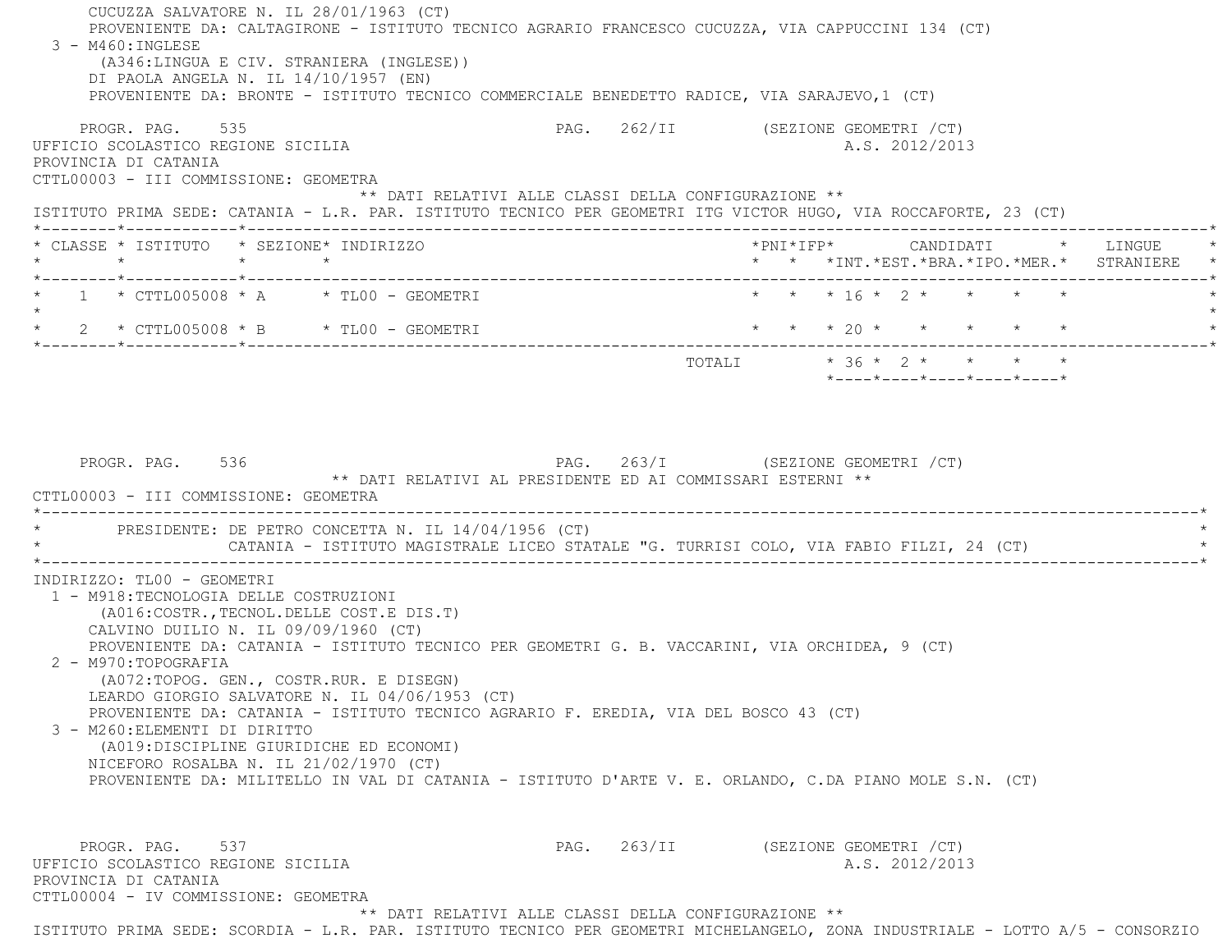CUCUZZA SALVATORE N. IL 28/01/1963 (CT) PROVENIENTE DA: CALTAGIRONE - ISTITUTO TECNICO AGRARIO FRANCESCO CUCUZZA, VIA CAPPUCCINI 134 (CT) 3 - M460:INGLESE (A346:LINGUA E CIV. STRANIERA (INGLESE)) DI PAOLA ANGELA N. IL 14/10/1957 (EN) PROVENIENTE DA: BRONTE - ISTITUTO TECNICO COMMERCIALE BENEDETTO RADICE, VIA SARAJEVO,1 (CT) PROGR. PAG. 535 PAG. 262/II (SEZIONE GEOMETRI / CT) UFFICIO SCOLASTICO REGIONE SICILIA A.S. 2012/2013 PROVINCIA DI CATANIA CTTL00003 - III COMMISSIONE: GEOMETRA \*\* DATI RELATIVI ALLE CLASSI DELLA CONFIGURAZIONE \*\* ISTITUTO PRIMA SEDE: CATANIA - L.R. PAR. ISTITUTO TECNICO PER GEOMETRI ITG VICTOR HUGO, VIA ROCCAFORTE, 23 (CT) \*--------\*------------\*-------------------------------------------------------------------------------------------------------\* \* CLASSE \* ISTITUTO \* SEZIONE\* INDIRIZZO \*PNI\*IFP\* CANDIDATI \* LINGUE \* \* \* \* \* \* \* \*INT.\*EST.\*BRA.\*IPO.\*MER.\* STRANIERE \* \*--------\*------------\*-------------------------------------------------------------------------------------------------------\*1 \* CTTL005008 \* A \* TL00 - GEOMETRI \* \* \* \* \* \* 16 \* 2 \* \* \* \* \* \* \*  $\star$ \* 2 \* CTTL005008 \* B \* TL00 - GEOMETRI \* \* \* \* 20 \* \* \* \* \* \* \* \* \*--------\*------------\*-------------------------------------------------------------------------------------------------------\* $\texttt{TOTALL} \qquad \qquad \star\;\;36\;\star\;\;2\;\star\;\; \qquad \star\;\;\;\;\; \star\;\;\;\;\; \star\;\;\;\;\; \star\;\;\;\;\; \star\;\;\;\;\; \star\;\;\;\;\; \star\;\;\;\;\; \star\;\;\;\;\; \star\;\;\;\;\; \star\;\;\;\; \star\;\;\;\; \star\;\;\;\; \star\;\;\;\; \star\;\;\;\; \star\;\;\;\; \star\;\;\;\; \star\;\;\;\; \star\;\;\;\; \star\;\;\;\; \star\;\;\;\; \star\;\;\;\; \star\;\;\;\; \star\;\;\;\; \star\;\;\;\; \star\;\;\; \$  \*----\*----\*----\*----\*----\*PROGR. PAG. 536 SPAG. 263/I (SEZIONE GEOMETRI / CT) \*\* DATI RELATIVI AL PRESIDENTE ED AI COMMISSARI ESTERNI \*\* CTTL00003 - III COMMISSIONE: GEOMETRA \*----------------------------------------------------------------------------------------------------------------------------\*PRESIDENTE: DE PETRO CONCETTA N. IL 14/04/1956 (CT) \* CATANIA - ISTITUTO MAGISTRALE LICEO STATALE "G. TURRISI COLO, VIA FABIO FILZI, 24 (CT) \* \*----------------------------------------------------------------------------------------------------------------------------\* INDIRIZZO: TL00 - GEOMETRI 1 - M918:TECNOLOGIA DELLE COSTRUZIONI (A016:COSTR.,TECNOL.DELLE COST.E DIS.T) CALVINO DUILIO N. IL 09/09/1960 (CT) PROVENIENTE DA: CATANIA - ISTITUTO TECNICO PER GEOMETRI G. B. VACCARINI, VIA ORCHIDEA, 9 (CT) 2 - M970:TOPOGRAFIA (A072:TOPOG. GEN., COSTR.RUR. E DISEGN) LEARDO GIORGIO SALVATORE N. IL 04/06/1953 (CT) PROVENIENTE DA: CATANIA - ISTITUTO TECNICO AGRARIO F. EREDIA, VIA DEL BOSCO 43 (CT) 3 - M260:ELEMENTI DI DIRITTO (A019:DISCIPLINE GIURIDICHE ED ECONOMI) NICEFORO ROSALBA N. IL 21/02/1970 (CT) PROVENIENTE DA: MILITELLO IN VAL DI CATANIA - ISTITUTO D'ARTE V. E. ORLANDO, C.DA PIANO MOLE S.N. (CT) PROGR. PAG. 537 CHARGE STAGE PAGE 263/II (SEZIONE GEOMETRI / CT) UFFICIO SCOLASTICO REGIONE SICILIA A.S. 2012/2013 PROVINCIA DI CATANIA CTTL00004 - IV COMMISSIONE: GEOMETRA \*\* DATI RELATIVI ALLE CLASSI DELLA CONFIGURAZIONE \*\*ISTITUTO PRIMA SEDE: SCORDIA - L.R. PAR. ISTITUTO TECNICO PER GEOMETRI MICHELANGELO, ZONA INDUSTRIALE - LOTTO A/5 - CONSORZIO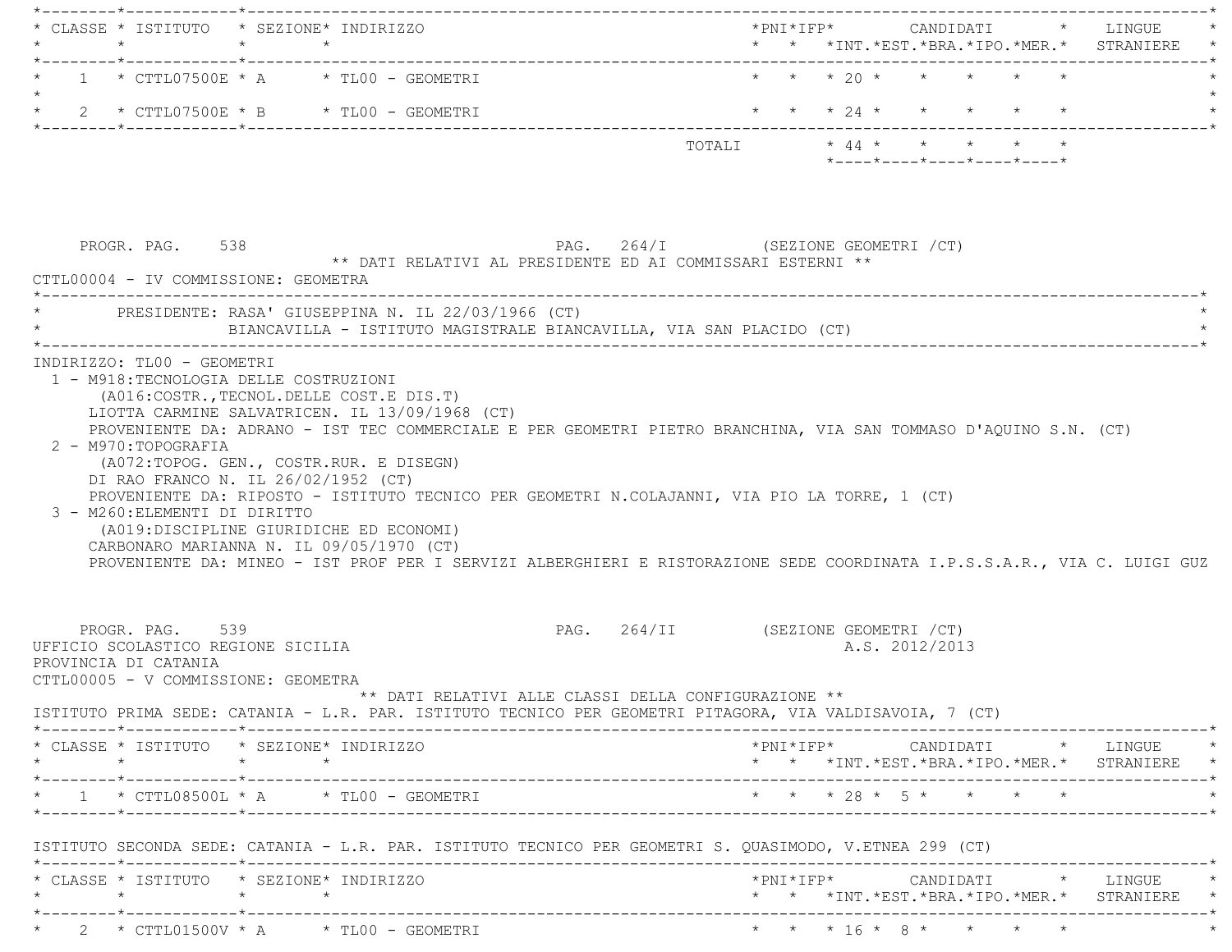| $\star$                                                                                                              | CLASSE * ISTITUTO * SEZIONE* INDIRIZZO<br>$\star$ $\star$                                                                                                                                                                                                                                                                                                                                          | * * *INT. *EST. *BRA. *IPO. *MER. * STRANIERE                                                                                                                   |  |
|----------------------------------------------------------------------------------------------------------------------|----------------------------------------------------------------------------------------------------------------------------------------------------------------------------------------------------------------------------------------------------------------------------------------------------------------------------------------------------------------------------------------------------|-----------------------------------------------------------------------------------------------------------------------------------------------------------------|--|
|                                                                                                                      | $1 * CTTL07500E * A * TLO0 - GEOMETRYI$                                                                                                                                                                                                                                                                                                                                                            | * * * 20 * * * * * *                                                                                                                                            |  |
|                                                                                                                      | * 2 * CTTL07500E * B * TL00 - GEOMETRI                                                                                                                                                                                                                                                                                                                                                             | * * * 24 * * * * * *                                                                                                                                            |  |
|                                                                                                                      |                                                                                                                                                                                                                                                                                                                                                                                                    | TOTALI * 44 * * * * * *<br>$*$ - - - - $*$ - - - - $*$ - - - - $*$ - - - - $*$ - - - - $*$                                                                      |  |
| PROGR. PAG. 538                                                                                                      | PAG. 264/I (SEZIONE GEOMETRI / CT)<br>** DATI RELATIVI AL PRESIDENTE ED AI COMMISSARI ESTERNI **<br>CTTL00004 - IV COMMISSIONE: GEOMETRA                                                                                                                                                                                                                                                           |                                                                                                                                                                 |  |
|                                                                                                                      | PRESIDENTE: RASA' GIUSEPPINA N. IL 22/03/1966 (CT)<br>BIANCAVILLA - ISTITUTO MAGISTRALE BIANCAVILLA, VIA SAN PLACIDO (CT)                                                                                                                                                                                                                                                                          |                                                                                                                                                                 |  |
| 2 - M970: TOPOGRAFIA<br>3 - M260: ELEMENTI DI DIRITTO                                                                | (A072:TOPOG. GEN., COSTR.RUR. E DISEGN)<br>DI RAO FRANCO N. IL 26/02/1952 (CT)<br>PROVENIENTE DA: RIPOSTO - ISTITUTO TECNICO PER GEOMETRI N.COLAJANNI, VIA PIO LA TORRE, 1 (CT)<br>(A019:DISCIPLINE GIURIDICHE ED ECONOMI)<br>CARBONARO MARIANNA N. IL 09/05/1970 (CT)<br>PROVENIENTE DA: MINEO - IST PROF PER I SERVIZI ALBERGHIERI E RISTORAZIONE SEDE COORDINATA I.P.S.S.A.R., VIA C. LUIGI GUZ |                                                                                                                                                                 |  |
| PROGR. PAG. 539<br>UFFICIO SCOLASTICO REGIONE SICILIA<br>PROVINCIA DI CATANIA<br>CTTL00005 - V COMMISSIONE: GEOMETRA | PAG. 264/II (SEZIONE GEOMETRI / CT)<br>$^{\star\star}$ DATI RELATIVI ALLE CLASSI DELLA CONFIGURAZIONE $^{\star\star}$<br>ISTITUTO PRIMA SEDE: CATANIA - L.R. PAR. ISTITUTO TECNICO PER GEOMETRI PITAGORA, VIA VALDISAVOIA, 7 (CT)                                                                                                                                                                  | A.S. 2012/2013                                                                                                                                                  |  |
|                                                                                                                      | * CLASSE * ISTITUTO * SEZIONE* INDIRIZZO                                                                                                                                                                                                                                                                                                                                                           | $\star \texttt{PNI} \star \texttt{IFP} \star \texttt{CANDIDATT} \qquad \star \qquad \texttt{LINGUE} \qquad \star$<br>* * *INT.*EST.*BRA.*IPO.*MER.* STRANIERE * |  |
|                                                                                                                      |                                                                                                                                                                                                                                                                                                                                                                                                    | * * * 28 * 5 * * * * *                                                                                                                                          |  |
|                                                                                                                      | ISTITUTO SECONDA SEDE: CATANIA - L.R. PAR. ISTITUTO TECNICO PER GEOMETRI S. QUASIMODO, V.ETNEA 299 (CT)                                                                                                                                                                                                                                                                                            |                                                                                                                                                                 |  |
| $\star \qquad \qquad \star \qquad \qquad \star \qquad \qquad \star$                                                  | * CLASSE * ISTITUTO * SEZIONE* INDIRIZZO                                                                                                                                                                                                                                                                                                                                                           | $*$ PNI $*$ IFP $*$ CANDIDATI $*$ LINGUE $*$<br>* * *INT.*EST.*BRA.*IPO.*MER.* STRANIERE *                                                                      |  |
|                                                                                                                      |                                                                                                                                                                                                                                                                                                                                                                                                    |                                                                                                                                                                 |  |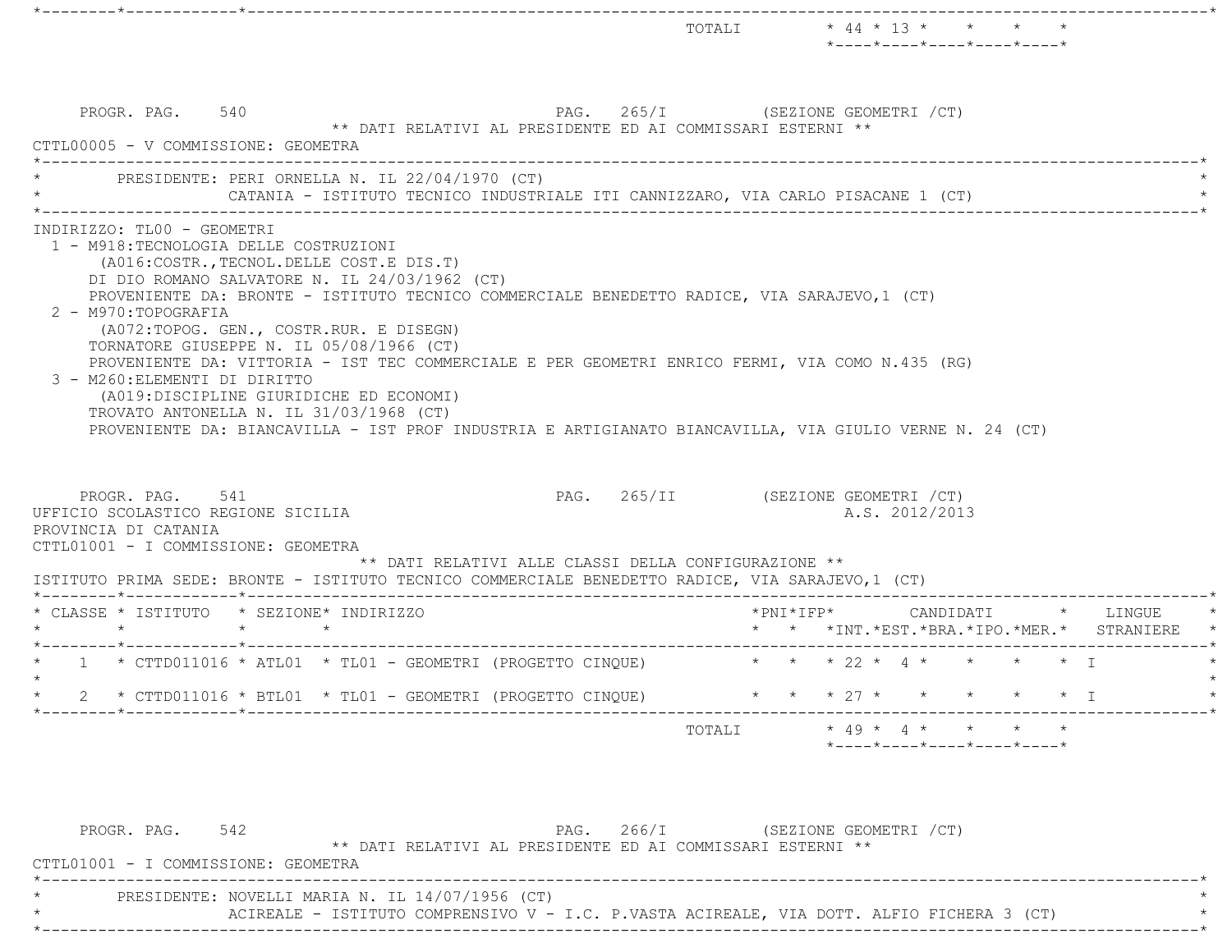|                                                                                                                                                                                                                                                                                                                                                                                                                                                                                                                                                                                                                                                                                                                                                                                                                                                   |                                    |  | TOTALI * 44 * 13 * * * * *<br>*----*----*----*----*----*        |  |                                                                                        |
|---------------------------------------------------------------------------------------------------------------------------------------------------------------------------------------------------------------------------------------------------------------------------------------------------------------------------------------------------------------------------------------------------------------------------------------------------------------------------------------------------------------------------------------------------------------------------------------------------------------------------------------------------------------------------------------------------------------------------------------------------------------------------------------------------------------------------------------------------|------------------------------------|--|-----------------------------------------------------------------|--|----------------------------------------------------------------------------------------|
| PROGR. PAG. 540<br>** DATI RELATIVI AL PRESIDENTE ED AI COMMISSARI ESTERNI **<br>CTTL00005 - V COMMISSIONE: GEOMETRA                                                                                                                                                                                                                                                                                                                                                                                                                                                                                                                                                                                                                                                                                                                              | PAG. 265/I (SEZIONE GEOMETRI / CT) |  |                                                                 |  |                                                                                        |
| PRESIDENTE: PERI ORNELLA N. IL 22/04/1970 (CT)<br>CATANIA - ISTITUTO TECNICO INDUSTRIALE ITI CANNIZZARO, VIA CARLO PISACANE 1 (CT)                                                                                                                                                                                                                                                                                                                                                                                                                                                                                                                                                                                                                                                                                                                |                                    |  |                                                                 |  |                                                                                        |
| INDIRIZZO: TLOO - GEOMETRI<br>1 - M918: TECNOLOGIA DELLE COSTRUZIONI<br>(A016: COSTR., TECNOL. DELLE COST. E DIS. T)<br>DI DIO ROMANO SALVATORE N. IL 24/03/1962 (CT)<br>PROVENIENTE DA: BRONTE - ISTITUTO TECNICO COMMERCIALE BENEDETTO RADICE, VIA SARAJEVO, 1 (CT)<br>2 - M970: TOPOGRAFIA<br>(A072:TOPOG. GEN., COSTR.RUR. E DISEGN)<br>TORNATORE GIUSEPPE N. IL 05/08/1966 (CT)<br>PROVENIENTE DA: VITTORIA - IST TEC COMMERCIALE E PER GEOMETRI ENRICO FERMI, VIA COMO N.435 (RG)<br>3 - M260: ELEMENTI DI DIRITTO<br>(A019:DISCIPLINE GIURIDICHE ED ECONOMI)<br>TROVATO ANTONELLA N. IL 31/03/1968 (CT)<br>PROVENIENTE DA: BIANCAVILLA - IST PROF INDUSTRIA E ARTIGIANATO BIANCAVILLA, VIA GIULIO VERNE N. 24 (CT)<br>PAG. 265/II (SEZIONE GEOMETRI / CT)<br>PROGR. PAG. 541<br>UFFICIO SCOLASTICO REGIONE SICILIA<br>PROVINCIA DI CATANIA |                                    |  | A.S. 2012/2013                                                  |  |                                                                                        |
| CTTL01001 - I COMMISSIONE: GEOMETRA<br>** DATI RELATIVI ALLE CLASSI DELLA CONFIGURAZIONE **<br>ISTITUTO PRIMA SEDE: BRONTE - ISTITUTO TECNICO COMMERCIALE BENEDETTO RADICE, VIA SARAJEVO, 1 (CT)                                                                                                                                                                                                                                                                                                                                                                                                                                                                                                                                                                                                                                                  |                                    |  |                                                                 |  |                                                                                        |
| * CLASSE * ISTITUTO * SEZIONE* INDIRIZZO<br>$\star$ $\star$<br>$\star$                                                                                                                                                                                                                                                                                                                                                                                                                                                                                                                                                                                                                                                                                                                                                                            |                                    |  |                                                                 |  | $*$ PNI $*$ IFP $*$ CANDIDATI $*$ LINGUE<br>* * *INT.*EST.*BRA.*IPO.*MER.* STRANIERE * |
| * 1 * CTTD011016 * ATL01 * TL01 - GEOMETRI (PROGETTO CINQUE) * * * * 22 * 4 * * * * * * * I                                                                                                                                                                                                                                                                                                                                                                                                                                                                                                                                                                                                                                                                                                                                                       |                                    |  |                                                                 |  |                                                                                        |
| * CTTD011016 * BTL01 * TL01 - GEOMETRI (PROGETTO CINQUE)<br>2                                                                                                                                                                                                                                                                                                                                                                                                                                                                                                                                                                                                                                                                                                                                                                                     |                                    |  | * * * 27 * * * * * * I                                          |  |                                                                                        |
|                                                                                                                                                                                                                                                                                                                                                                                                                                                                                                                                                                                                                                                                                                                                                                                                                                                   | TOTALI                             |  | $\star$ 49 $\star$ 4 $\star$ + $\star$ + $\star$                |  |                                                                                        |
|                                                                                                                                                                                                                                                                                                                                                                                                                                                                                                                                                                                                                                                                                                                                                                                                                                                   |                                    |  | $*$ - - - - $*$ - - - - $*$ - - - - $*$ - - - - $*$ - - - - $*$ |  |                                                                                        |
|                                                                                                                                                                                                                                                                                                                                                                                                                                                                                                                                                                                                                                                                                                                                                                                                                                                   |                                    |  |                                                                 |  |                                                                                        |

| ------------<br>- - - -             | -----<br>____ | , 02320.12 0230.123.12 , 02,                               |  |
|-------------------------------------|---------------|------------------------------------------------------------|--|
|                                     |               | ** DATI RELATIVI AL PRESIDENTE ED AI COMMISSARI ESTERNI ** |  |
| CTTL01001 - I COMMISSIONE: GEOMETRA |               |                                                            |  |
|                                     |               |                                                            |  |

 $PRESIDENTER: NOVELLLI MARIA N. IL 14/07/1956 (CT)$  \*

ACIREALE - ISTITUTO COMPRENSIVO V - I.C. P.VASTA ACIREALE, VIA DOTT. ALFIO FICHERA 3 (CT) \* \*----------------------------------------------------------------------------------------------------------------------------\*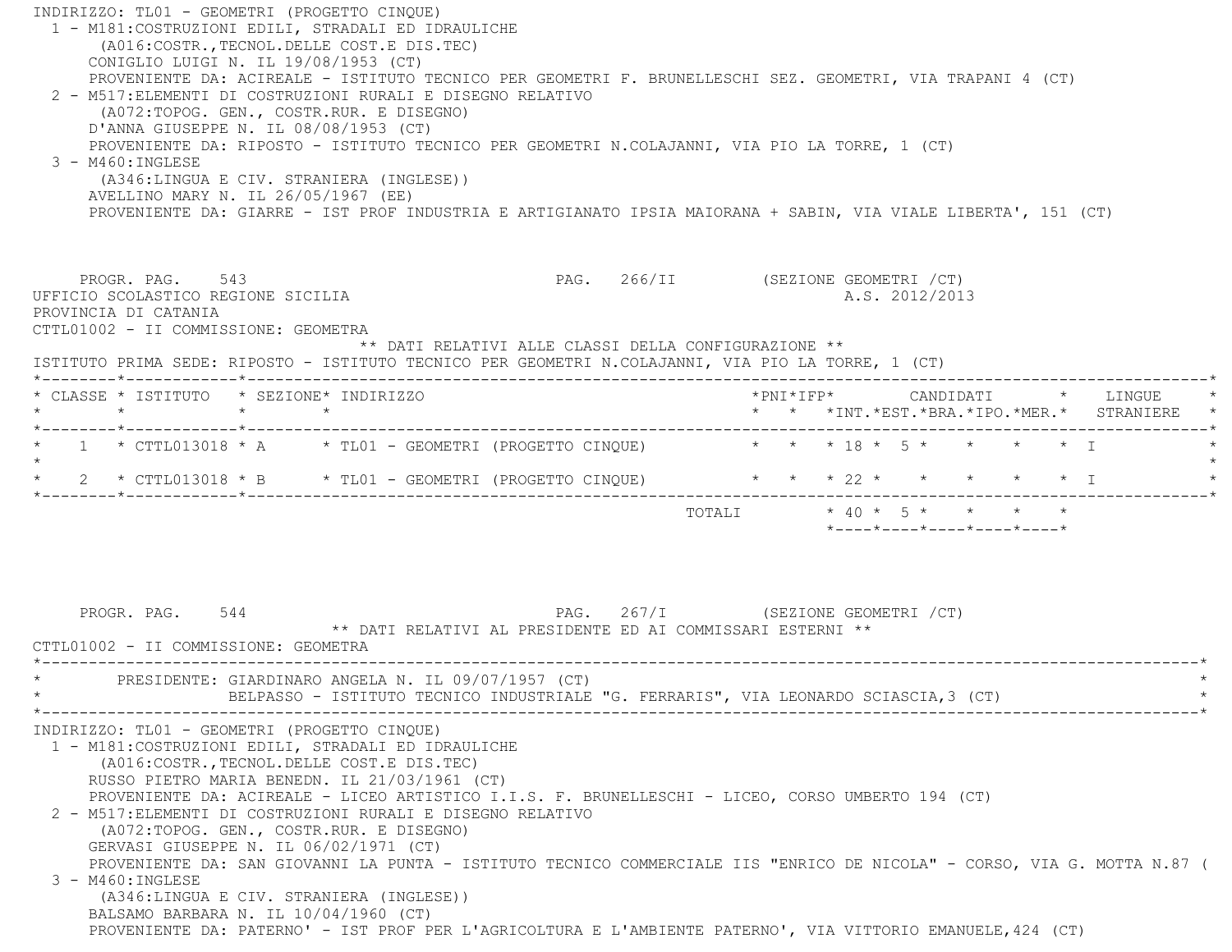| INDIRIZZO: TL01 - GEOMETRI (PROGETTO CINQUE)<br>1 - M181: COSTRUZIONI EDILI, STRADALI ED IDRAULICHE<br>(A016: COSTR., TECNOL. DELLE COST. E DIS. TEC)<br>CONIGLIO LUIGI N. IL 19/08/1953 (CT)<br>PROVENIENTE DA: ACIREALE - ISTITUTO TECNICO PER GEOMETRI F. BRUNELLESCHI SEZ. GEOMETRI, VIA TRAPANI 4 (CT)<br>2 - M517: ELEMENTI DI COSTRUZIONI RURALI E DISEGNO RELATIVO<br>(A072:TOPOG. GEN., COSTR.RUR. E DISEGNO)<br>D'ANNA GIUSEPPE N. IL 08/08/1953 (CT)<br>PROVENIENTE DA: RIPOSTO - ISTITUTO TECNICO PER GEOMETRI N.COLAJANNI, VIA PIO LA TORRE, 1 (CT)<br>$3 - M460$ : INGLESE<br>(A346:LINGUA E CIV. STRANIERA (INGLESE))<br>AVELLINO MARY N. IL 26/05/1967 (EE)<br>PROVENIENTE DA: GIARRE - IST PROF INDUSTRIA E ARTIGIANATO IPSIA MAIORANA + SABIN, VIA VIALE LIBERTA', 151 (CT)                             |                                                                                                                        |
|---------------------------------------------------------------------------------------------------------------------------------------------------------------------------------------------------------------------------------------------------------------------------------------------------------------------------------------------------------------------------------------------------------------------------------------------------------------------------------------------------------------------------------------------------------------------------------------------------------------------------------------------------------------------------------------------------------------------------------------------------------------------------------------------------------------------------|------------------------------------------------------------------------------------------------------------------------|
| PROGR. PAG. 543<br>UFFICIO SCOLASTICO REGIONE SICILIA<br>PROVINCIA DI CATANIA<br>CTTL01002 - II COMMISSIONE: GEOMETRA<br>** DATI RELATIVI ALLE CLASSI DELLA CONFIGURAZIONE **<br>ISTITUTO PRIMA SEDE: RIPOSTO - ISTITUTO TECNICO PER GEOMETRI N.COLAJANNI, VIA PIO LA TORRE, 1 (CT)                                                                                                                                                                                                                                                                                                                                                                                                                                                                                                                                       | PAG. 266/II (SEZIONE GEOMETRI / CT)<br>A.S. 2012/2013                                                                  |
| * CLASSE * ISTITUTO * SEZIONE* INDIRIZZO<br>$\star$<br>$\star$ $\star$                                                                                                                                                                                                                                                                                                                                                                                                                                                                                                                                                                                                                                                                                                                                                    | * * *INT. *EST. *BRA. *IPO. *MER. * STRANIERE                                                                          |
| 1 * CTTL013018 * A * TL01 - GEOMETRI (PROGETTO CINQUE) * * * 18 * 5 * * * * * * T<br>$\star$<br>$2 \times \text{CTL013018} \times B \times \text{TL01} - \text{GEOMETRY}$ (PROGETTO CINQUE)                                                                                                                                                                                                                                                                                                                                                                                                                                                                                                                                                                                                                               | * * * 22 * * * * * * I<br>TOTALI * 40 * 5 * * * * *<br>$*$ - - - - $*$ - - - - $*$ - - - - $*$ - - - - $*$ - - - - $*$ |
| 544<br>PROGR. PAG.<br>** DATI RELATIVI AL PRESIDENTE ED AI COMMISSARI ESTERNI **<br>CTTL01002 - II COMMISSIONE: GEOMETRA                                                                                                                                                                                                                                                                                                                                                                                                                                                                                                                                                                                                                                                                                                  | PAG. 267/I (SEZIONE GEOMETRI / CT)                                                                                     |
| PRESIDENTE: GIARDINARO ANGELA N. IL 09/07/1957 (CT)<br>BELPASSO - ISTITUTO TECNICO INDUSTRIALE "G. FERRARIS", VIA LEONARDO SCIASCIA, 3 (CT)                                                                                                                                                                                                                                                                                                                                                                                                                                                                                                                                                                                                                                                                               | $\star$                                                                                                                |
| INDIRIZZO: TL01 - GEOMETRI (PROGETTO CINOUE)<br>1 - M181: COSTRUZIONI EDILI, STRADALI ED IDRAULICHE<br>(A016: COSTR., TECNOL. DELLE COST. E DIS. TEC)<br>RUSSO PIETRO MARIA BENEDN. IL 21/03/1961 (CT)<br>PROVENIENTE DA: ACIREALE - LICEO ARTISTICO I.I.S. F. BRUNELLESCHI - LICEO, CORSO UMBERTO 194 (CT)<br>2 - M517: ELEMENTI DI COSTRUZIONI RURALI E DISEGNO RELATIVO<br>(A072:TOPOG. GEN., COSTR.RUR. E DISEGNO)<br>GERVASI GIUSEPPE N. IL 06/02/1971 (CT)<br>PROVENIENTE DA: SAN GIOVANNI LA PUNTA - ISTITUTO TECNICO COMMERCIALE IIS "ENRICO DE NICOLA" - CORSO, VIA G. MOTTA N.87 (<br>$3 - M460$ : INGLESE<br>(A346:LINGUA E CIV. STRANIERA (INGLESE))<br>BALSAMO BARBARA N. IL 10/04/1960 (CT)<br>PROVENIENTE DA: PATERNO' - IST PROF PER L'AGRICOLTURA E L'AMBIENTE PATERNO', VIA VITTORIO EMANUELE, 424 (CT) |                                                                                                                        |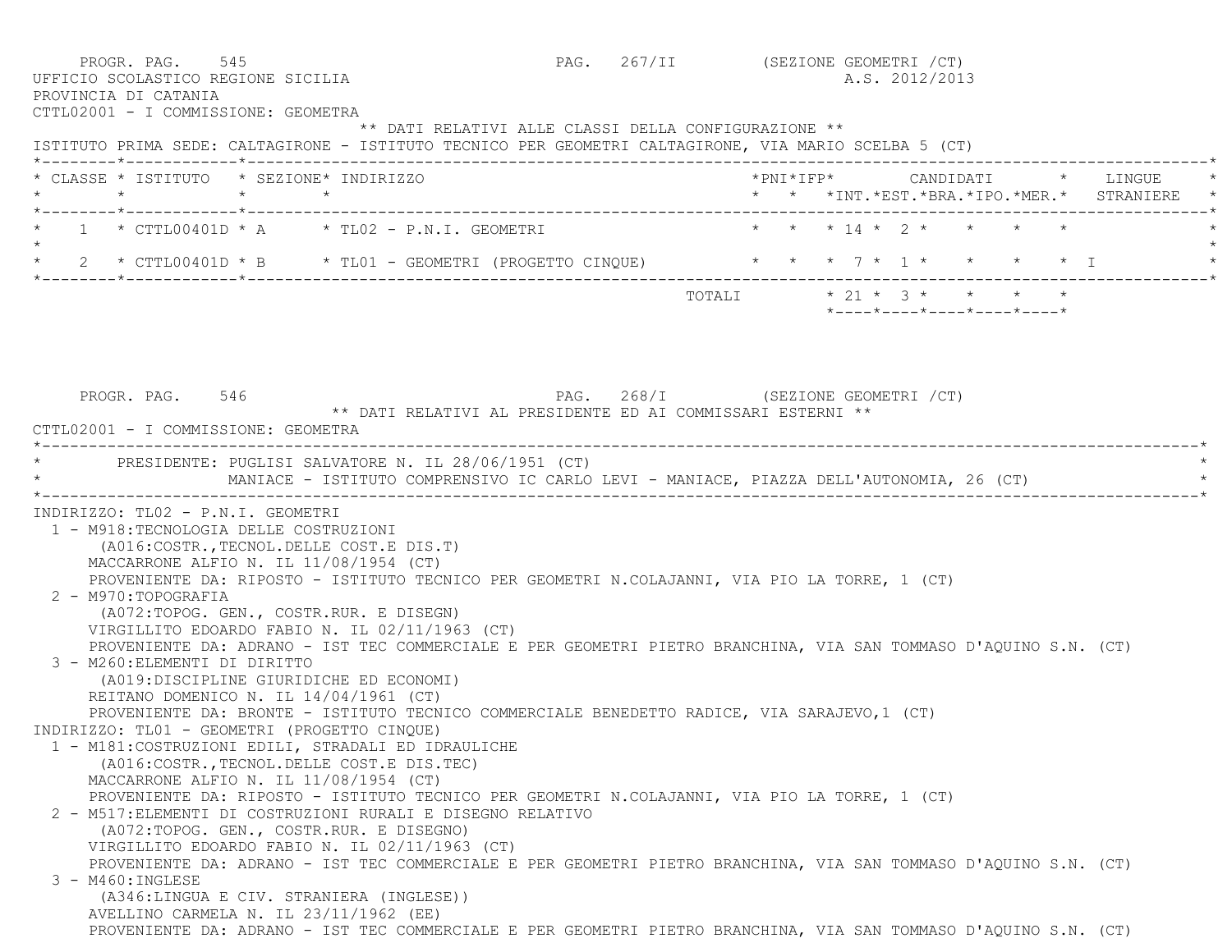| PROGR. PAG. 545<br>UFFICIO SCOLASTICO REGIONE SICILIA<br>PROVINCIA DI CATANIA                                                                  |                                                                                                                                                                                                                                                                                                                                                                                                                                                                                                                                                                                                                                                                                                                                                 |                                                      | PAG. 267/II (SEZIONE GEOMETRI / CT) |                           |  | A.S. 2012/2013 |  |                            |                                                 |
|------------------------------------------------------------------------------------------------------------------------------------------------|-------------------------------------------------------------------------------------------------------------------------------------------------------------------------------------------------------------------------------------------------------------------------------------------------------------------------------------------------------------------------------------------------------------------------------------------------------------------------------------------------------------------------------------------------------------------------------------------------------------------------------------------------------------------------------------------------------------------------------------------------|------------------------------------------------------|-------------------------------------|---------------------------|--|----------------|--|----------------------------|-------------------------------------------------|
| CTTL02001 - I COMMISSIONE: GEOMETRA<br>ISTITUTO PRIMA SEDE: CALTAGIRONE - ISTITUTO TECNICO PER GEOMETRI CALTAGIRONE, VIA MARIO SCELBA 5 (CT)   |                                                                                                                                                                                                                                                                                                                                                                                                                                                                                                                                                                                                                                                                                                                                                 | ** DATI RELATIVI ALLE CLASSI DELLA CONFIGURAZIONE ** |                                     |                           |  |                |  |                            |                                                 |
| * CLASSE * ISTITUTO * SEZIONE* INDIRIZZO                                                                                                       |                                                                                                                                                                                                                                                                                                                                                                                                                                                                                                                                                                                                                                                                                                                                                 |                                                      |                                     |                           |  |                |  |                            |                                                 |
|                                                                                                                                                |                                                                                                                                                                                                                                                                                                                                                                                                                                                                                                                                                                                                                                                                                                                                                 |                                                      |                                     |                           |  |                |  |                            | * * *INT. *EST. *BRA. *IPO. *MER. * STRANIERE * |
| * 1 * CTTL00401D * A * TL02 - P.N.I. GEOMETRI * * * * 14 * 2 * * * * * *                                                                       |                                                                                                                                                                                                                                                                                                                                                                                                                                                                                                                                                                                                                                                                                                                                                 |                                                      |                                     |                           |  |                |  |                            |                                                 |
| * 2 * CTTL00401D * B * TL01 - GEOMETRI (PROGETTO CINQUE) * * * 7 * 1 * * * * * * I                                                             |                                                                                                                                                                                                                                                                                                                                                                                                                                                                                                                                                                                                                                                                                                                                                 |                                                      |                                     |                           |  |                |  |                            |                                                 |
|                                                                                                                                                |                                                                                                                                                                                                                                                                                                                                                                                                                                                                                                                                                                                                                                                                                                                                                 |                                                      |                                     | TOTALI * 21 * 3 * * * * * |  |                |  | *----*----*----*----*----* |                                                 |
|                                                                                                                                                |                                                                                                                                                                                                                                                                                                                                                                                                                                                                                                                                                                                                                                                                                                                                                 |                                                      |                                     |                           |  |                |  |                            |                                                 |
|                                                                                                                                                |                                                                                                                                                                                                                                                                                                                                                                                                                                                                                                                                                                                                                                                                                                                                                 |                                                      |                                     |                           |  |                |  |                            |                                                 |
| PROGR. PAG. 546                                                                                                                                |                                                                                                                                                                                                                                                                                                                                                                                                                                                                                                                                                                                                                                                                                                                                                 | PAG. 268/I (SEZIONE GEOMETRI / CT)                   |                                     |                           |  |                |  |                            |                                                 |
| CTTL02001 - I COMMISSIONE: GEOMETRA                                                                                                            | ** DATI RELATIVI AL PRESIDENTE ED AI COMMISSARI ESTERNI **                                                                                                                                                                                                                                                                                                                                                                                                                                                                                                                                                                                                                                                                                      |                                                      |                                     |                           |  |                |  |                            |                                                 |
|                                                                                                                                                |                                                                                                                                                                                                                                                                                                                                                                                                                                                                                                                                                                                                                                                                                                                                                 |                                                      |                                     |                           |  |                |  |                            |                                                 |
| * PRESIDENTE: PUGLISI SALVATORE N. IL 28/06/1951 (CT)                                                                                          | MANIACE - ISTITUTO COMPRENSIVO IC CARLO LEVI - MANIACE, PIAZZA DELL'AUTONOMIA, 26 (CT)                                                                                                                                                                                                                                                                                                                                                                                                                                                                                                                                                                                                                                                          |                                                      |                                     |                           |  |                |  |                            |                                                 |
| 1 - M918: TECNOLOGIA DELLE COSTRUZIONI<br>2 - M970:TOPOGRAFIA<br>3 - M260: ELEMENTI DI DIRITTO<br>INDIRIZZO: TL01 - GEOMETRI (PROGETTO CINQUE) | (A016: COSTR., TECNOL. DELLE COST. E DIS. T)<br>MACCARRONE ALFIO N. IL 11/08/1954 (CT)<br>PROVENIENTE DA: RIPOSTO - ISTITUTO TECNICO PER GEOMETRI N.COLAJANNI, VIA PIO LA TORRE, 1 (CT)<br>(A072:TOPOG. GEN., COSTR.RUR. E DISEGN)<br>VIRGILLITO EDOARDO FABIO N. IL 02/11/1963 (CT)<br>PROVENIENTE DA: ADRANO - IST TEC COMMERCIALE E PER GEOMETRI PIETRO BRANCHINA, VIA SAN TOMMASO D'AQUINO S.N. (CT)<br>(A019:DISCIPLINE GIURIDICHE ED ECONOMI)<br>REITANO DOMENICO N. IL 14/04/1961 (CT)<br>PROVENIENTE DA: BRONTE - ISTITUTO TECNICO COMMERCIALE BENEDETTO RADICE, VIA SARAJEVO, 1 (CT)<br>1 - M181: COSTRUZIONI EDILI, STRADALI ED IDRAULICHE<br>(A016: COSTR., TECNOL. DELLE COST.E DIS. TEC)<br>MACCARRONE ALFIO N. IL 11/08/1954 (CT) |                                                      |                                     |                           |  |                |  |                            |                                                 |
|                                                                                                                                                | PROVENIENTE DA: RIPOSTO - ISTITUTO TECNICO PER GEOMETRI N.COLAJANNI, VIA PIO LA TORRE, 1 (CT)<br>2 - M517: ELEMENTI DI COSTRUZIONI RURALI E DISEGNO RELATIVO                                                                                                                                                                                                                                                                                                                                                                                                                                                                                                                                                                                    |                                                      |                                     |                           |  |                |  |                            |                                                 |
|                                                                                                                                                | (A072:TOPOG. GEN., COSTR.RUR. E DISEGNO)                                                                                                                                                                                                                                                                                                                                                                                                                                                                                                                                                                                                                                                                                                        |                                                      |                                     |                           |  |                |  |                            |                                                 |
| 3 - M460: INGLESE                                                                                                                              | VIRGILLITO EDOARDO FABIO N. IL 02/11/1963 (CT)                                                                                                                                                                                                                                                                                                                                                                                                                                                                                                                                                                                                                                                                                                  |                                                      |                                     |                           |  |                |  |                            |                                                 |
|                                                                                                                                                | PROVENIENTE DA: ADRANO - IST TEC COMMERCIALE E PER GEOMETRI PIETRO BRANCHINA, VIA SAN TOMMASO D'AQUINO S.N. (CT)                                                                                                                                                                                                                                                                                                                                                                                                                                                                                                                                                                                                                                |                                                      |                                     |                           |  |                |  |                            |                                                 |
|                                                                                                                                                | (A346:LINGUA E CIV. STRANIERA (INGLESE))<br>AVELLINO CARMELA N. IL 23/11/1962 (EE)                                                                                                                                                                                                                                                                                                                                                                                                                                                                                                                                                                                                                                                              |                                                      |                                     |                           |  |                |  |                            |                                                 |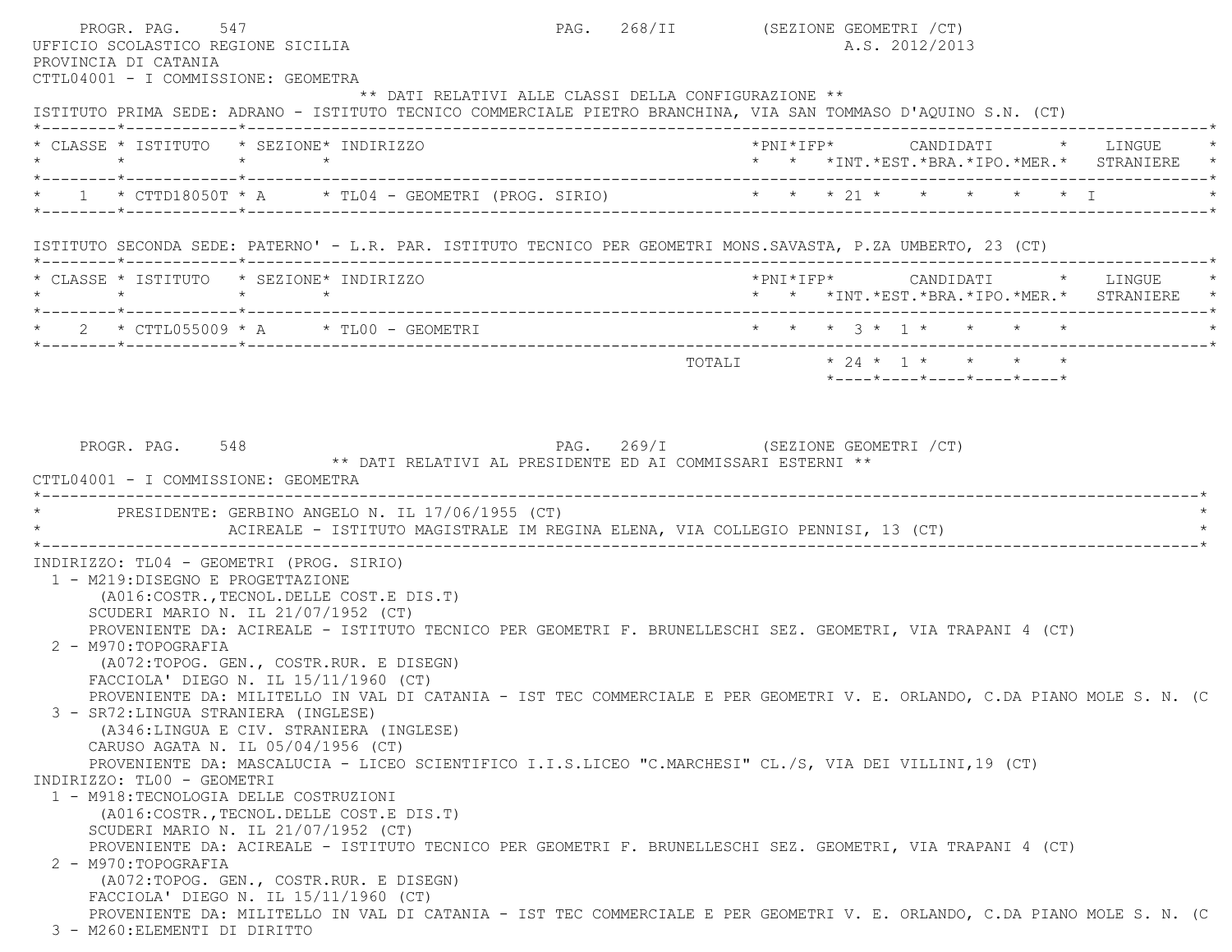PROGR. PAG. 547 CT SALLA PAG. 268/II (SEZIONE GEOMETRI / CT) UFFICIO SCOLASTICO REGIONE SICILIA A.S. 2012/2013 PROVINCIA DI CATANIA CTTL04001 - I COMMISSIONE: GEOMETRA \*\* DATI RELATIVI ALLE CLASSI DELLA CONFIGURAZIONE \*\* ISTITUTO PRIMA SEDE: ADRANO - ISTITUTO TECNICO COMMERCIALE PIETRO BRANCHINA, VIA SAN TOMMASO D'AQUINO S.N. (CT) \*--------\*------------\*-------------------------------------------------------------------------------------------------------\* \* CLASSE \* ISTITUTO \* SEZIONE\* INDIRIZZO \*PNI\*IFP\* CANDIDATI \* LINGUE \* \* \* \* \* \* \* \*INT.\*EST.\*BRA.\*IPO.\*MER.\* STRANIERE \* \*--------\*------------\*-------------------------------------------------------------------------------------------------------\*1 \* CTTD18050T \* A \* TL04 - GEOMETRI (PROG. SIRIO) \* \* \* \* 21 \* \* \* \* \* \* \* I \*--------\*------------\*-------------------------------------------------------------------------------------------------------\* ISTITUTO SECONDA SEDE: PATERNO' - L.R. PAR. ISTITUTO TECNICO PER GEOMETRI MONS.SAVASTA, P.ZA UMBERTO, 23 (CT) \*--------\*------------\*-------------------------------------------------------------------------------------------------------\* \* CLASSE \* ISTITUTO \* SEZIONE\* INDIRIZZO \*PNI\*IFP\* CANDIDATI \* LINGUE \* \* \* \* \* \* \* \*INT.\*EST.\*BRA.\*IPO.\*MER.\* STRANIERE \* \*--------\*------------\*-------------------------------------------------------------------------------------------------------\* \* 2 \* CTTL055009 \* A \* TL00 - GEOMETRI \* \* \* 3 \* 1 \* \* \* \* \* \*--------\*------------\*-------------------------------------------------------------------------------------------------------\* $\texttt{TOTAL} \qquad \qquad \star \;\; 24 \;\; \star \;\; \quad \star \qquad \star \qquad \star \qquad \star \qquad \star \qquad \star$  \*----\*----\*----\*----\*----\* PROGR. PAG. 548 PAG. 269/I (SEZIONE GEOMETRI /CT) \*\* DATI RELATIVI AL PRESIDENTE ED AI COMMISSARI ESTERNI \*\* CTTL04001 - I COMMISSIONE: GEOMETRA \*----------------------------------------------------------------------------------------------------------------------------\*PRESIDENTE: GERBINO ANGELO N. IL 17/06/1955 (CT) ACIREALE - ISTITUTO MAGISTRALE IM REGINA ELENA, VIA COLLEGIO PENNISI, 13 (CT) \*----------------------------------------------------------------------------------------------------------------------------\* INDIRIZZO: TL04 - GEOMETRI (PROG. SIRIO) 1 - M219:DISEGNO E PROGETTAZIONE (A016:COSTR.,TECNOL.DELLE COST.E DIS.T) SCUDERI MARIO N. IL 21/07/1952 (CT) PROVENIENTE DA: ACIREALE - ISTITUTO TECNICO PER GEOMETRI F. BRUNELLESCHI SEZ. GEOMETRI, VIA TRAPANI 4 (CT) 2 - M970:TOPOGRAFIA (A072:TOPOG. GEN., COSTR.RUR. E DISEGN) FACCIOLA' DIEGO N. IL 15/11/1960 (CT) PROVENIENTE DA: MILITELLO IN VAL DI CATANIA - IST TEC COMMERCIALE E PER GEOMETRI V. E. ORLANDO, C.DA PIANO MOLE S. N. (C 3 - SR72:LINGUA STRANIERA (INGLESE) (A346:LINGUA E CIV. STRANIERA (INGLESE) CARUSO AGATA N. IL 05/04/1956 (CT) PROVENIENTE DA: MASCALUCIA - LICEO SCIENTIFICO I.I.S.LICEO "C.MARCHESI" CL./S, VIA DEI VILLINI,19 (CT) INDIRIZZO: TL00 - GEOMETRI 1 - M918:TECNOLOGIA DELLE COSTRUZIONI (A016:COSTR.,TECNOL.DELLE COST.E DIS.T) SCUDERI MARIO N. IL 21/07/1952 (CT) PROVENIENTE DA: ACIREALE - ISTITUTO TECNICO PER GEOMETRI F. BRUNELLESCHI SEZ. GEOMETRI, VIA TRAPANI 4 (CT) 2 - M970:TOPOGRAFIA (A072:TOPOG. GEN., COSTR.RUR. E DISEGN) FACCIOLA' DIEGO N. IL 15/11/1960 (CT) PROVENIENTE DA: MILITELLO IN VAL DI CATANIA - IST TEC COMMERCIALE E PER GEOMETRI V. E. ORLANDO, C.DA PIANO MOLE S. N. (C 3 - M260:ELEMENTI DI DIRITTO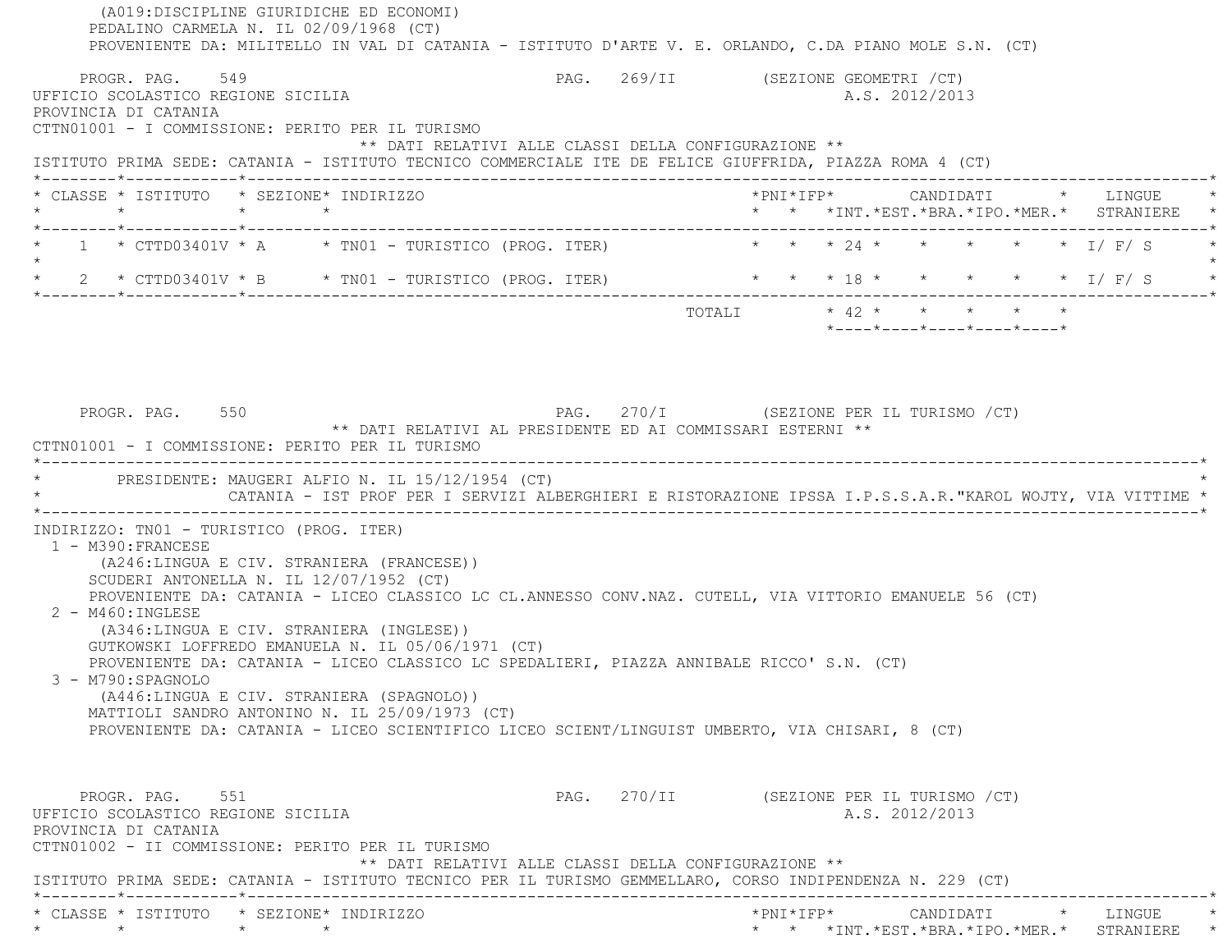(A019:DISCIPLINE GIURIDICHE ED ECONOMI) PEDALINO CARMELA N. IL 02/09/1968 (CT) PROVENIENTE DA: MILITELLO IN VAL DI CATANIA - ISTITUTO D'ARTE V. E. ORLANDO, C.DA PIANO MOLE S.N. (CT) PROGR. PAG. 549 PAG. 269/II (SEZIONE GEOMETRI /CT) UFFICIO SCOLASTICO REGIONE SICILIA A.S. 2012/2013 PROVINCIA DI CATANIA CTTN01001 - I COMMISSIONE: PERITO PER IL TURISMO \*\* DATI RELATIVI ALLE CLASSI DELLA CONFIGURAZIONE \*\* ISTITUTO PRIMA SEDE: CATANIA - ISTITUTO TECNICO COMMERCIALE ITE DE FELICE GIUFFRIDA, PIAZZA ROMA 4 (CT) \*--------\*------------\*-------------------------------------------------------------------------------------------------------\* \* CLASSE \* ISTITUTO \* SEZIONE\* INDIRIZZO \*PNI\*IFP\* CANDIDATI \* LINGUE \* \* \* \* \* \* \* \*INT.\*EST.\*BRA.\*IPO.\*MER.\* STRANIERE \* \*--------\*------------\*-------------------------------------------------------------------------------------------------------\* $1$  \* CTTD03401V \* A  $\qquad$  \* TN01 - TURISTICO (PROG. ITER)  $\qquad$  \* \* \* 24 \* \* \* \* \* \* \* \* I/ F/ S  $\star$ \* 2 \* CTTD03401V \* B \* TN01 - TURISTICO (PROG. ITER) \* \* \* \* 18 \* \* \* \* \* \* \* \* I/ F/ S \*--------\*------------\*-------------------------------------------------------------------------------------------------------\*TOTALI  $\star$  42  $\star$   $\star$   $\star$   $\star$  \*----\*----\*----\*----\*----\*PROGR. PAG. 550 **PAG.** 270/I (SEZIONE PER IL TURISMO /CT) \*\* DATI RELATIVI AL PRESIDENTE ED AI COMMISSARI ESTERNI \*\* CTTN01001 - I COMMISSIONE: PERITO PER IL TURISMO \*----------------------------------------------------------------------------------------------------------------------------\*PRESIDENTE: MAUGERI ALFIO N. IL 15/12/1954 (CT) \* CATANIA - IST PROF PER I SERVIZI ALBERGHIERI E RISTORAZIONE IPSSA I.P.S.S.A.R."KAROL WOJTY, VIA VITTIME \* \*----------------------------------------------------------------------------------------------------------------------------\* INDIRIZZO: TN01 - TURISTICO (PROG. ITER) 1 - M390:FRANCESE (A246:LINGUA E CIV. STRANIERA (FRANCESE)) SCUDERI ANTONELLA N. IL 12/07/1952 (CT) PROVENIENTE DA: CATANIA - LICEO CLASSICO LC CL.ANNESSO CONV.NAZ. CUTELL, VIA VITTORIO EMANUELE 56 (CT) 2 - M460:INGLESE (A346:LINGUA E CIV. STRANIERA (INGLESE)) GUTKOWSKI LOFFREDO EMANUELA N. IL 05/06/1971 (CT) PROVENIENTE DA: CATANIA - LICEO CLASSICO LC SPEDALIERI, PIAZZA ANNIBALE RICCO' S.N. (CT) 3 - M790:SPAGNOLO (A446:LINGUA E CIV. STRANIERA (SPAGNOLO)) MATTIOLI SANDRO ANTONINO N. IL 25/09/1973 (CT) PROVENIENTE DA: CATANIA - LICEO SCIENTIFICO LICEO SCIENT/LINGUIST UMBERTO, VIA CHISARI, 8 (CT) PROGR. PAG. 551 6 PAG. 270/II (SEZIONE PER IL TURISMO / CT) UFFICIO SCOLASTICO REGIONE SICILIA A.S. 2012/2013 PROVINCIA DI CATANIA CTTN01002 - II COMMISSIONE: PERITO PER IL TURISMO \*\* DATI RELATIVI ALLE CLASSI DELLA CONFIGURAZIONE \*\* ISTITUTO PRIMA SEDE: CATANIA - ISTITUTO TECNICO PER IL TURISMO GEMMELLARO, CORSO INDIPENDENZA N. 229 (CT) \*--------\*------------\*-------------------------------------------------------------------------------------------------------\* \* CLASSE \* ISTITUTO \* SEZIONE\* INDIRIZZO \*PNI\*IFP\* CANDIDATI \* LINGUE \*\* \* \* \* \* \* \*INT.\*EST.\*BRA.\*IPO.\*MER.\* STRANIERE \*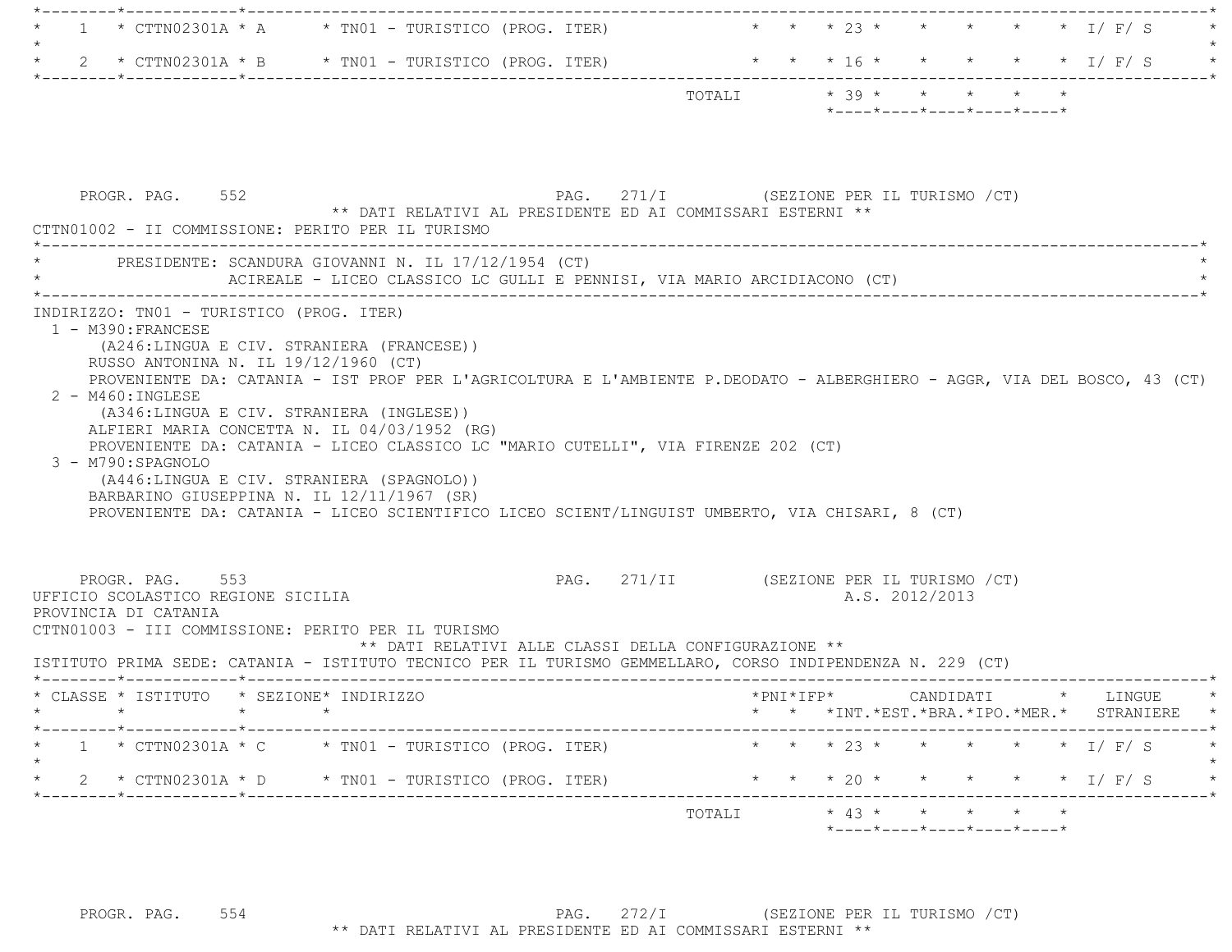|  | $\star$ 1 $\star$ CTTN02301A $\star$ A $\star$ TN01 - TURISTICO (PROG. ITER) |        |  |  |                                                  | * * * 23 * * * * * * T/F/S |         |
|--|------------------------------------------------------------------------------|--------|--|--|--------------------------------------------------|----------------------------|---------|
|  | $\star$ 2 $\star$ CTTN02301A $\star$ B $\star$ TN01 - TURISTICO (PROG. ITER) |        |  |  |                                                  | * * * 16 * * * * * * T/F/S | $\star$ |
|  |                                                                              | TOTALI |  |  | $* 39 * * * * * * * * *$                         |                            |         |
|  |                                                                              |        |  |  | $*$ ---- $*$ ---- $*$ ---- $*$ ---- $*$ ---- $*$ |                            |         |

| PROGR. PAG. 552                                                  | CTTN01002 - II COMMISSIONE: PERITO PER IL TURISMO                                                                                                                                                                                                                                                                                                                                                                                                                                                                                                                                                                                       | ** DATI RELATIVI AL PRESIDENTE ED AI COMMISSARI ESTERNI ** | PAG. 271/I (SEZIONE PER IL TURISMO /CT)  |                                                                 |                                          |
|------------------------------------------------------------------|-----------------------------------------------------------------------------------------------------------------------------------------------------------------------------------------------------------------------------------------------------------------------------------------------------------------------------------------------------------------------------------------------------------------------------------------------------------------------------------------------------------------------------------------------------------------------------------------------------------------------------------------|------------------------------------------------------------|------------------------------------------|-----------------------------------------------------------------|------------------------------------------|
|                                                                  | PRESIDENTE: SCANDURA GIOVANNI N. IL 17/12/1954 (CT)<br>ACIREALE - LICEO CLASSICO LC GULLI E PENNISI, VIA MARIO ARCIDIACONO (CT)                                                                                                                                                                                                                                                                                                                                                                                                                                                                                                         |                                                            |                                          |                                                                 |                                          |
| 1 - M390: FRANCESE<br>$2 - M460: INGLEXSE$<br>3 - M790: SPAGNOLO | INDIRIZZO: TN01 - TURISTICO (PROG. ITER)<br>(A246:LINGUA E CIV. STRANIERA (FRANCESE))<br>RUSSO ANTONINA N. IL 19/12/1960 (CT)<br>PROVENIENTE DA: CATANIA - IST PROF PER L'AGRICOLTURA E L'AMBIENTE P.DEODATO - ALBERGHIERO - AGGR, VIA DEL BOSCO, 43 (CT)<br>(A346:LINGUA E CIV. STRANIERA (INGLESE))<br>ALFIERI MARIA CONCETTA N. IL 04/03/1952 (RG)<br>PROVENIENTE DA: CATANIA - LICEO CLASSICO LC "MARIO CUTELLI", VIA FIRENZE 202 (CT)<br>(A446:LINGUA E CIV. STRANIERA (SPAGNOLO))<br>BARBARINO GIUSEPPINA N. IL 12/11/1967 (SR)<br>PROVENIENTE DA: CATANIA - LICEO SCIENTIFICO LICEO SCIENT/LINGUIST UMBERTO, VIA CHISARI, 8 (CT) |                                                            |                                          |                                                                 |                                          |
| PROGR. PAG. 553<br>PROVINCIA DI CATANIA                          | UFFICIO SCOLASTICO REGIONE SICILIA<br>CTTN01003 - III COMMISSIONE: PERITO PER IL TURISMO<br>ISTITUTO PRIMA SEDE: CATANIA - ISTITUTO TECNICO PER IL TURISMO GEMMELLARO, CORSO INDIPENDENZA N. 229 (CT)                                                                                                                                                                                                                                                                                                                                                                                                                                   | ** DATI RELATIVI ALLE CLASSI DELLA CONFIGURAZIONE **       | PAG. 271/II (SEZIONE PER IL TURISMO /CT) | A.S. 2012/2013                                                  |                                          |
|                                                                  | * CLASSE * ISTITUTO * SEZIONE* INDIRIZZO                                                                                                                                                                                                                                                                                                                                                                                                                                                                                                                                                                                                |                                                            | $*$ $\text{PNI} * \text{IFP} *$          |                                                                 | CANDIDATI * LINGUE                       |
|                                                                  |                                                                                                                                                                                                                                                                                                                                                                                                                                                                                                                                                                                                                                         |                                                            |                                          |                                                                 | * * *INT.*EST.*BRA.*IPO.*MER.* STRANIERE |
|                                                                  | * 1 * CTTN02301A * C * TN01 - TURISTICO (PROG. ITER) * * * * 23 * * * * * * * I/F/S                                                                                                                                                                                                                                                                                                                                                                                                                                                                                                                                                     |                                                            |                                          |                                                                 |                                          |
|                                                                  | $2 \times CTTN02301A \times D \times TN01 - TURISTICO (PROG. TTER)$                                                                                                                                                                                                                                                                                                                                                                                                                                                                                                                                                                     |                                                            | * * * 20 * * * * * * 1/ F/ S             |                                                                 |                                          |
|                                                                  |                                                                                                                                                                                                                                                                                                                                                                                                                                                                                                                                                                                                                                         |                                                            | TOTALI * 43 * * * * * *                  | $*$ - - - - $*$ - - - - $*$ - - - - $*$ - - - - $*$ - - - - $*$ |                                          |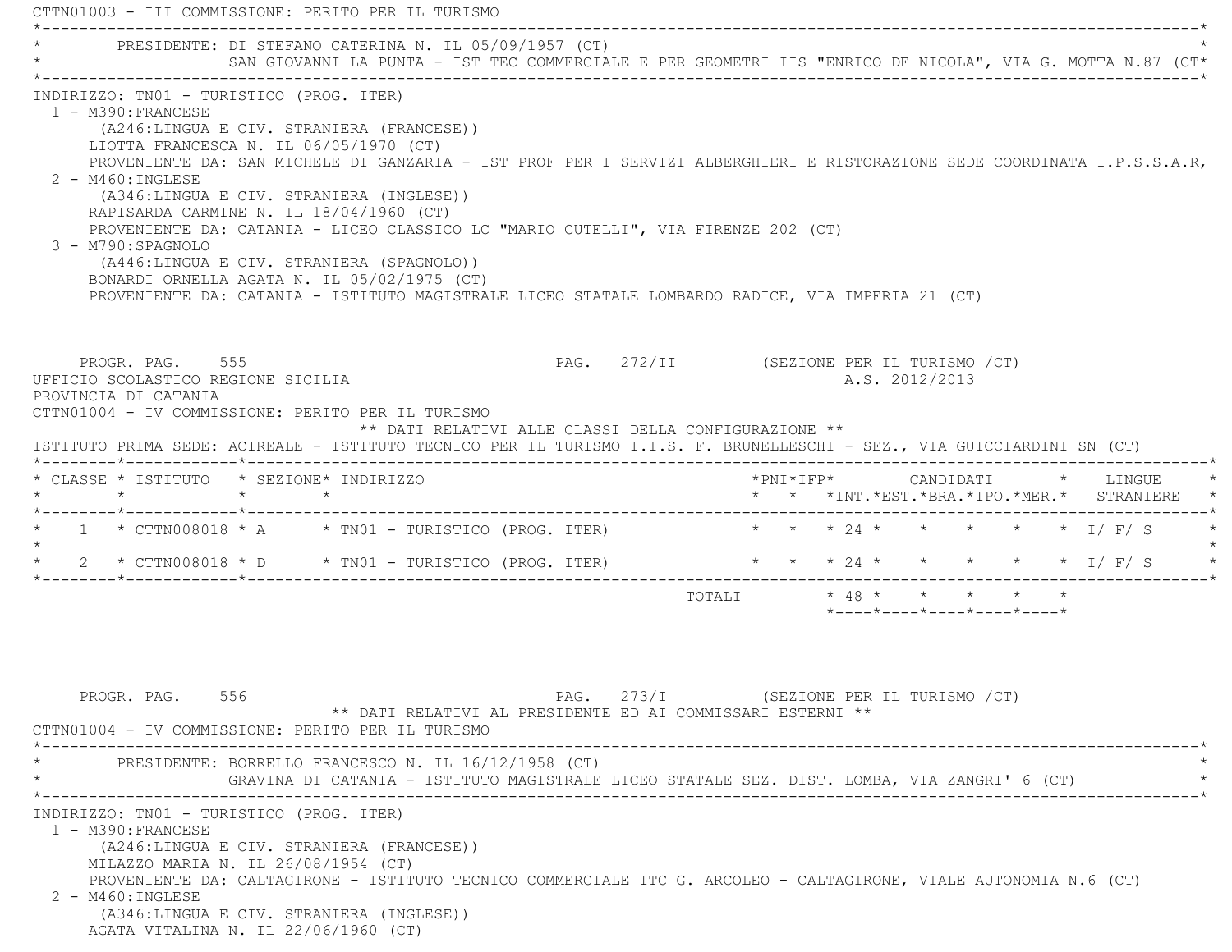CTTN01003 - III COMMISSIONE: PERITO PER IL TURISMO \*----------------------------------------------------------------------------------------------------------------------------\*PRESIDENTE: DI STEFANO CATERINA N. IL 05/09/1957 (CT) \* SAN GIOVANNI LA PUNTA - IST TEC COMMERCIALE E PER GEOMETRI IIS "ENRICO DE NICOLA", VIA G. MOTTA N.87 (CT\* \*----------------------------------------------------------------------------------------------------------------------------\* INDIRIZZO: TN01 - TURISTICO (PROG. ITER) 1 - M390:FRANCESE (A246:LINGUA E CIV. STRANIERA (FRANCESE)) LIOTTA FRANCESCA N. IL 06/05/1970 (CT) PROVENIENTE DA: SAN MICHELE DI GANZARIA - IST PROF PER I SERVIZI ALBERGHIERI E RISTORAZIONE SEDE COORDINATA I.P.S.S.A.R, 2 - M460:INGLESE (A346:LINGUA E CIV. STRANIERA (INGLESE)) RAPISARDA CARMINE N. IL 18/04/1960 (CT) PROVENIENTE DA: CATANIA - LICEO CLASSICO LC "MARIO CUTELLI", VIA FIRENZE 202 (CT) 3 - M790:SPAGNOLO (A446:LINGUA E CIV. STRANIERA (SPAGNOLO)) BONARDI ORNELLA AGATA N. IL 05/02/1975 (CT) PROVENIENTE DA: CATANIA - ISTITUTO MAGISTRALE LICEO STATALE LOMBARDO RADICE, VIA IMPERIA 21 (CT) PROGR. PAG. 555 PAG. 272/II (SEZIONE PER IL TURISMO /CT) UFFICIO SCOLASTICO REGIONE SICILIA A.S. 2012/2013 PROVINCIA DI CATANIA CTTN01004 - IV COMMISSIONE: PERITO PER IL TURISMO \*\* DATI RELATIVI ALLE CLASSI DELLA CONFIGURAZIONE \*\* ISTITUTO PRIMA SEDE: ACIREALE - ISTITUTO TECNICO PER IL TURISMO I.I.S. F. BRUNELLESCHI - SEZ., VIA GUICCIARDINI SN (CT) \*--------\*------------\*-------------------------------------------------------------------------------------------------------\* \* CLASSE \* ISTITUTO \* SEZIONE\* INDIRIZZO \*PNI\*IFP\* CANDIDATI \* LINGUE \* \* \* \* \* \* \* \*INT.\*EST.\*BRA.\*IPO.\*MER.\* STRANIERE \* \*--------\*------------\*-------------------------------------------------------------------------------------------------------\*1 \* CTTN008018 \* A \* TNO1 - TURISTICO (PROG. ITER) \* \* \* \* 24 \* \* \* \* \* \* \* I/ F/ S  $\star$ 2 \* CTTN008018 \* D \* TNO1 - TURISTICO (PROG. ITER) \* \* \* \* 24 \* \* \* \* \* \* \* 1/ F/ S \*--------\*------------\*-------------------------------------------------------------------------------------------------------\*TOTALI  $\star$  48  $\star$   $\star$   $\star$   $\star$   $\star$  \*----\*----\*----\*----\*----\*PROGR. PAG. 556 STROUGH STROUGH PAGE 273/I (SEZIONE PER IL TURISMO / CT) \*\* DATI RELATIVI AL PRESIDENTE ED AI COMMISSARI ESTERNI \*\* CTTN01004 - IV COMMISSIONE: PERITO PER IL TURISMO \*----------------------------------------------------------------------------------------------------------------------------\* \* PRESIDENTE: BORRELLO FRANCESCO N. IL 16/12/1958 (CT) \* \* GRAVINA DI CATANIA - ISTITUTO MAGISTRALE LICEO STATALE SEZ. DIST. LOMBA, VIA ZANGRI' 6 (CT) \* \*----------------------------------------------------------------------------------------------------------------------------\* INDIRIZZO: TN01 - TURISTICO (PROG. ITER) 1 - M390:FRANCESE (A246:LINGUA E CIV. STRANIERA (FRANCESE)) MILAZZO MARIA N. IL 26/08/1954 (CT) PROVENIENTE DA: CALTAGIRONE - ISTITUTO TECNICO COMMERCIALE ITC G. ARCOLEO - CALTAGIRONE, VIALE AUTONOMIA N.6 (CT) 2 - M460:INGLESE(A346:LINGUA E CIV. STRANIERA (INGLESE))

AGATA VITALINA N. IL 22/06/1960 (CT)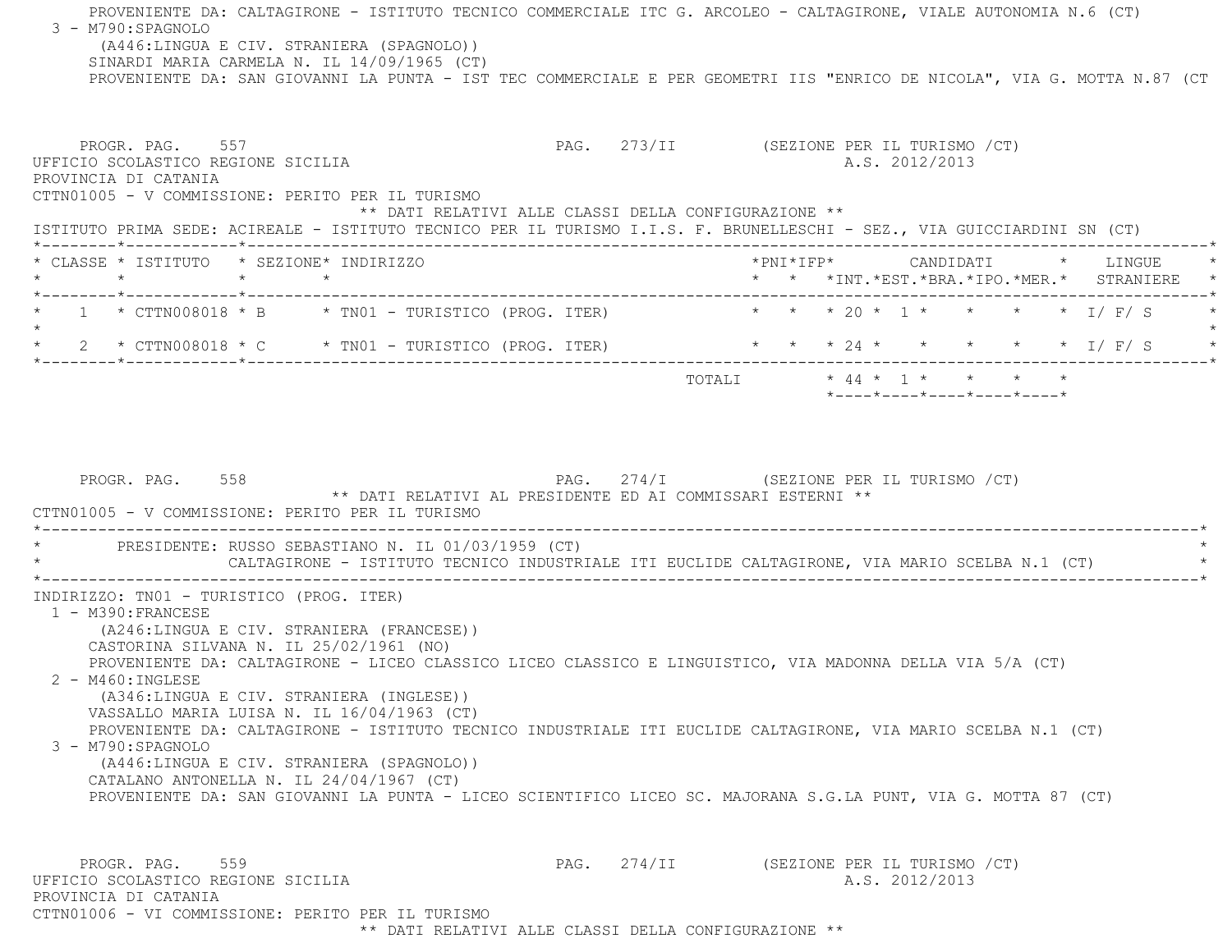PROVENIENTE DA: CALTAGIRONE - ISTITUTO TECNICO COMMERCIALE ITC G. ARCOLEO - CALTAGIRONE, VIALE AUTONOMIA N.6 (CT)  $3 - M790: SPAGNOLO$  (A446:LINGUA E CIV. STRANIERA (SPAGNOLO)) SINARDI MARIA CARMELA N. IL 14/09/1965 (CT) PROVENIENTE DA: SAN GIOVANNI LA PUNTA - IST TEC COMMERCIALE E PER GEOMETRI IIS "ENRICO DE NICOLA", VIA G. MOTTA N.87 (CT PROGR. PAG. 557 CHOROSTER ENGLARISMO PAG. 273/II (SEZIONE PER IL TURISMO / CT) UFFICIO SCOLASTICO REGIONE SICILIA A.S. 2012/2013 PROVINCIA DI CATANIA CTTN01005 - V COMMISSIONE: PERITO PER IL TURISMO \*\* DATI RELATIVI ALLE CLASSI DELLA CONFIGURAZIONE \*\* ISTITUTO PRIMA SEDE: ACIREALE - ISTITUTO TECNICO PER IL TURISMO I.I.S. F. BRUNELLESCHI - SEZ., VIA GUICCIARDINI SN (CT) \*--------\*------------\*-------------------------------------------------------------------------------------------------------\* \* CLASSE \* ISTITUTO \* SEZIONE\* INDIRIZZO \*PNI\*IFP\* CANDIDATI \* LINGUE \* \* \* \* \* \* \* \*INT.\*EST.\*BRA.\*IPO.\*MER.\* STRANIERE \* \*--------\*------------\*-------------------------------------------------------------------------------------------------------\* $1$  \* CTTN008018 \* B \* TN01 - TURISTICO (PROG. ITER) \* \* \* \* 20 \* 1 \* \* \* \* \*  $\pm$  / F/ S  $\star$ \* \* \* 24 \* \* \* \* \* \* I/ F/ S \* \* 2 \* CTTN008018 \* C \* TN01 - TURISTICO (PROG. ITER) \* \* \* 24 \* \* \* \* \* I/ F/ S \* \*--------\*------------\*-------------------------------------------------------------------------------------------------------\* TOTALI \* 44 \* 1 \* \* \* \* \*----\*----\*----\*----\*----\*PROGR. PAG. 558 **PAG.** 274/I (SEZIONE PER IL TURISMO /CT) \*\* DATI RELATIVI AL PRESIDENTE ED AI COMMISSARI ESTERNI \*\* CTTN01005 - V COMMISSIONE: PERITO PER IL TURISMO \*----------------------------------------------------------------------------------------------------------------------------\*PRESIDENTE: RUSSO SEBASTIANO N. IL 01/03/1959 (CT) CALTAGIRONE - ISTITUTO TECNICO INDUSTRIALE ITI EUCLIDE CALTAGIRONE, VIA MARIO SCELBA N.1 (CT) \*----------------------------------------------------------------------------------------------------------------------------\* INDIRIZZO: TN01 - TURISTICO (PROG. ITER) 1 - M390:FRANCESE (A246:LINGUA E CIV. STRANIERA (FRANCESE)) CASTORINA SILVANA N. IL 25/02/1961 (NO) PROVENIENTE DA: CALTAGIRONE - LICEO CLASSICO LICEO CLASSICO E LINGUISTICO, VIA MADONNA DELLA VIA 5/A (CT) 2 - M460:INGLESE (A346:LINGUA E CIV. STRANIERA (INGLESE)) VASSALLO MARIA LUISA N. IL 16/04/1963 (CT) PROVENIENTE DA: CALTAGIRONE - ISTITUTO TECNICO INDUSTRIALE ITI EUCLIDE CALTAGIRONE, VIA MARIO SCELBA N.1 (CT) 3 - M790:SPAGNOLO (A446:LINGUA E CIV. STRANIERA (SPAGNOLO)) CATALANO ANTONELLA N. IL 24/04/1967 (CT) PROVENIENTE DA: SAN GIOVANNI LA PUNTA - LICEO SCIENTIFICO LICEO SC. MAJORANA S.G.LA PUNT, VIA G. MOTTA 87 (CT) PROGR. PAG. 559 **PAG.** 274/II (SEZIONE PER IL TURISMO /CT) UFFICIO SCOLASTICO REGIONE SICILIA A.S. 2012/2013 PROVINCIA DI CATANIACTTN01006 - VI COMMISSIONE: PERITO PER IL TURISMO

\*\* DATI RELATIVI ALLE CLASSI DELLA CONFIGURAZIONE \*\*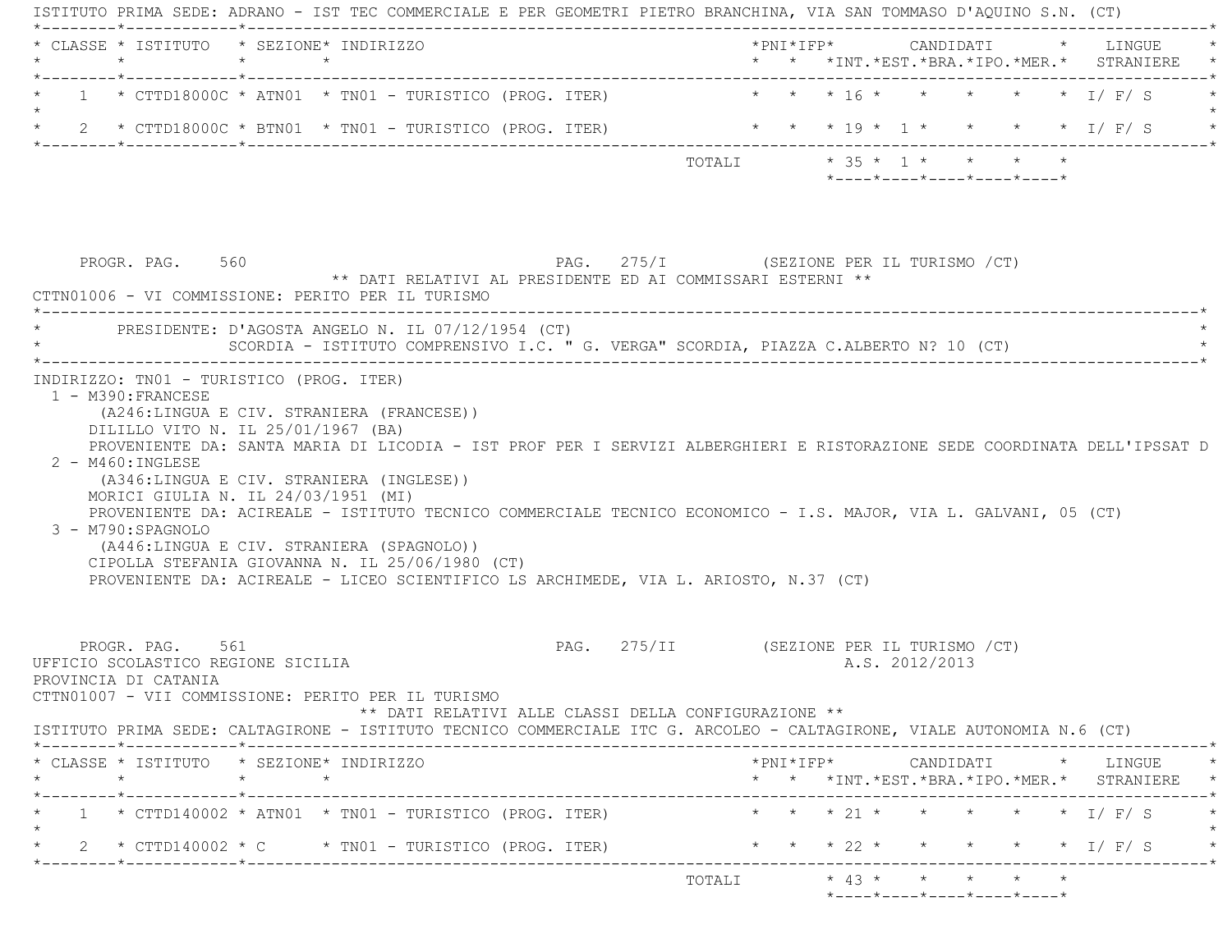ISTITUTO PRIMA SEDE: ADRANO - IST TEC COMMERCIALE E PER GEOMETRI PIETRO BRANCHINA, VIA SAN TOMMASO D'AQUINO S.N. (CT) \*--------\*------------\*-------------------------------------------------------------------------------------------------------\* \* CLASSE \* ISTITUTO \* SEZIONE\* INDIRIZZO \*PNI\*IFP\* CANDIDATI \* LINGUE \* \* \* \* \* \* \* \*INT.\*EST.\*BRA.\*IPO.\*MER.\* STRANIERE \* \*--------\*------------\*-------------------------------------------------------------------------------------------------------\* $1$  \* CTTD18000C \* ATN01 \* TN01 - TURISTICO (PROG. ITER) \* \* \* \* 16 \* \* \* \* \* \* \* I/ F/ S  $\star$ \* 2 \* CTTD18000C \* BTN01 \* TN01 - TURISTICO (PROG. ITER) \* \* \* \* 19 \* 1 \* \* \* \* \* \* 1/ F/ S \*--------\*------------\*-------------------------------------------------------------------------------------------------------\*TOTALI  $\star$  35  $\star$  1  $\star$   $\star$   $\star$   $\star$  \*----\*----\*----\*----\*----\*PROGR. PAG. 560 SERIONE PAG. 275/I (SEZIONE PER IL TURISMO / CT) \*\* DATI RELATIVI AL PRESIDENTE ED AI COMMISSARI ESTERNI \*\* CTTN01006 - VI COMMISSIONE: PERITO PER IL TURISMO \*----------------------------------------------------------------------------------------------------------------------------\*PRESIDENTE: D'AGOSTA ANGELO N. IL 07/12/1954 (CT) SCORDIA - ISTITUTO COMPRENSIVO I.C. " G. VERGA" SCORDIA, PIAZZA C.ALBERTO N? 10 (CT) \*----------------------------------------------------------------------------------------------------------------------------\* INDIRIZZO: TN01 - TURISTICO (PROG. ITER) 1 - M390:FRANCESE (A246:LINGUA E CIV. STRANIERA (FRANCESE)) DILILLO VITO N. IL 25/01/1967 (BA) PROVENIENTE DA: SANTA MARIA DI LICODIA - IST PROF PER I SERVIZI ALBERGHIERI E RISTORAZIONE SEDE COORDINATA DELL'IPSSAT D 2 - M460:INGLESE (A346:LINGUA E CIV. STRANIERA (INGLESE)) MORICI GIULIA N. IL 24/03/1951 (MI) PROVENIENTE DA: ACIREALE - ISTITUTO TECNICO COMMERCIALE TECNICO ECONOMICO - I.S. MAJOR, VIA L. GALVANI, 05 (CT) 3 - M790:SPAGNOLO (A446:LINGUA E CIV. STRANIERA (SPAGNOLO)) CIPOLLA STEFANIA GIOVANNA N. IL 25/06/1980 (CT) PROVENIENTE DA: ACIREALE - LICEO SCIENTIFICO LS ARCHIMEDE, VIA L. ARIOSTO, N.37 (CT) PROGR. PAG. 561 PAG. 275/II (SEZIONE PER IL TURISMO /CT) UFFICIO SCOLASTICO REGIONE SICILIA A.S. 2012/2013 PROVINCIA DI CATANIA CTTN01007 - VII COMMISSIONE: PERITO PER IL TURISMO \*\* DATI RELATIVI ALLE CLASSI DELLA CONFIGURAZIONE \*\* ISTITUTO PRIMA SEDE: CALTAGIRONE - ISTITUTO TECNICO COMMERCIALE ITC G. ARCOLEO - CALTAGIRONE, VIALE AUTONOMIA N.6 (CT) \*--------\*------------\*-------------------------------------------------------------------------------------------------------\* \* CLASSE \* ISTITUTO \* SEZIONE\* INDIRIZZO \*PNI\*IFP\* CANDIDATI \* LINGUE \* \* \* \* \* \* \* \*INT.\*EST.\*BRA.\*IPO.\*MER.\* STRANIERE \* \*--------\*------------\*-------------------------------------------------------------------------------------------------------\*1 \* CTTD140002 \* ATN01 \* TN01 - TURISTICO (PROG. ITER) \* \* \* \* 21 \* \* \* \* \* \* \* \* I/ F/ S  $\star$ \* 2 \* CTTD140002 \* C \* TN01 - TURISTICO (PROG. ITER) \* \* \* \* 22 \* \* \* \* \* \* \* 1/ F/ S \*--------\*------------\*-------------------------------------------------------------------------------------------------------\* TOTALI \* 43 \* \* \* \* \*\*----\*----\*----\*----\*----\*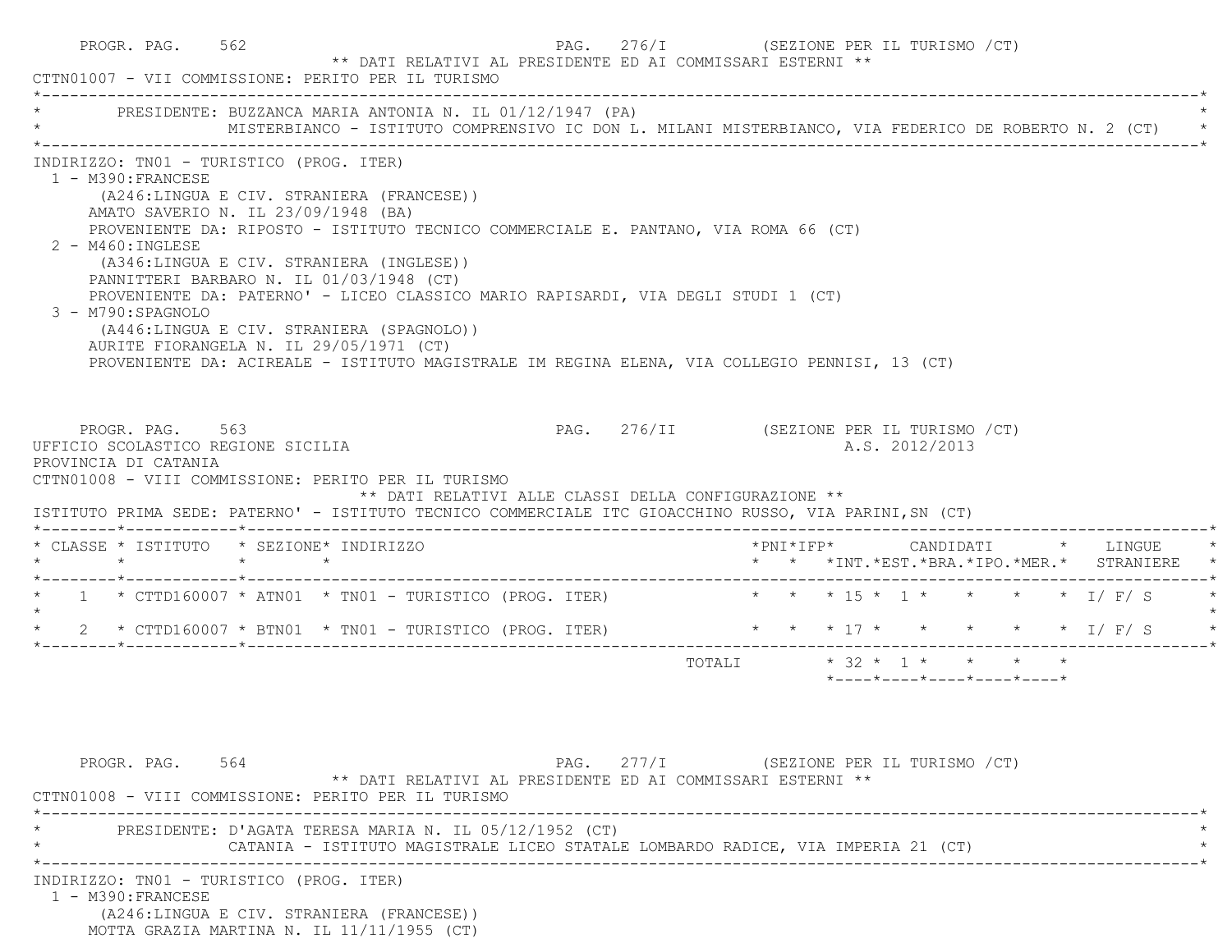| PRESIDENTE: BUZZANCA MARIA ANTONIA N. IL 01/12/1947 (PA)<br>MISTERBIANCO - ISTITUTO COMPRENSIVO IC DON L. MILANI MISTERBIANCO, VIA FEDERICO DE ROBERTO N. 2 (CT) *                                                                                                                                                                                                                                                                                                                                                                                                                                                                                        |                                                                               |
|-----------------------------------------------------------------------------------------------------------------------------------------------------------------------------------------------------------------------------------------------------------------------------------------------------------------------------------------------------------------------------------------------------------------------------------------------------------------------------------------------------------------------------------------------------------------------------------------------------------------------------------------------------------|-------------------------------------------------------------------------------|
|                                                                                                                                                                                                                                                                                                                                                                                                                                                                                                                                                                                                                                                           |                                                                               |
| INDIRIZZO: TN01 - TURISTICO (PROG. ITER)<br>1 - M390: FRANCESE<br>(A246:LINGUA E CIV. STRANIERA (FRANCESE))<br>AMATO SAVERIO N. IL 23/09/1948 (BA)<br>PROVENIENTE DA: RIPOSTO - ISTITUTO TECNICO COMMERCIALE E. PANTANO, VIA ROMA 66 (CT)<br>2 - M460: INGLESE<br>(A346:LINGUA E CIV. STRANIERA (INGLESE))<br>PANNITTERI BARBARO N. IL 01/03/1948 (CT)<br>PROVENIENTE DA: PATERNO' - LICEO CLASSICO MARIO RAPISARDI, VIA DEGLI STUDI 1 (CT)<br>3 - M790:SPAGNOLO<br>(A446:LINGUA E CIV. STRANIERA (SPAGNOLO))<br>AURITE FIORANGELA N. IL 29/05/1971 (CT)<br>PROVENIENTE DA: ACIREALE - ISTITUTO MAGISTRALE IM REGINA ELENA, VIA COLLEGIO PENNISI, 13 (CT) |                                                                               |
| PROGR. PAG. 563<br>UFFICIO SCOLASTICO REGIONE SICILIA<br>PROVINCIA DI CATANIA<br>CTTN01008 - VIII COMMISSIONE: PERITO PER IL TURISMO<br>** DATI RELATIVI ALLE CLASSI DELLA CONFIGURAZIONE **<br>ISTITUTO PRIMA SEDE: PATERNO' - ISTITUTO TECNICO COMMERCIALE ITC GIOACCHINO RUSSO, VIA PARINI, SN (CT)<br>* CLASSE * ISTITUTO * SEZIONE* INDIRIZZO                                                                                                                                                                                                                                                                                                        | PAG. 276/II (SEZIONE PER IL TURISMO /CT)<br>A.S. 2012/2013                    |
| $\star$ $\star$                                                                                                                                                                                                                                                                                                                                                                                                                                                                                                                                                                                                                                           | * * *INT. *EST. *BRA. *IPO. *MER. * STRANIERE                                 |
| * 1 * CTTD160007 * ATN01 * TN01 - TURISTICO (PROG. ITER) * * * * 15 * 1 * * * * * * 1/ F/ S                                                                                                                                                                                                                                                                                                                                                                                                                                                                                                                                                               |                                                                               |
| 2 * CTTD160007 * BTN01 * TN01 - TURISTICO (PROG. ITER) * * * * 17 * * * * * * * 1/ F/ S                                                                                                                                                                                                                                                                                                                                                                                                                                                                                                                                                                   |                                                                               |
|                                                                                                                                                                                                                                                                                                                                                                                                                                                                                                                                                                                                                                                           | TOTALI * 32 * 1 * * * * *<br>$*$ ---- $*$ ---- $*$ ---- $*$ ---- $*$ ---- $*$ |
|                                                                                                                                                                                                                                                                                                                                                                                                                                                                                                                                                                                                                                                           |                                                                               |
| PROGR. PAG. 564<br>** DATI RELATIVI AL PRESIDENTE ED AI COMMISSARI ESTERNI **<br>CTTN01008 - VIII COMMISSIONE: PERITO PER IL TURISMO<br>PRESIDENTE: D'AGATA TERESA MARIA N. IL 05/12/1952 (CT)                                                                                                                                                                                                                                                                                                                                                                                                                                                            | PAG. 277/I (SEZIONE PER IL TURISMO / CT)                                      |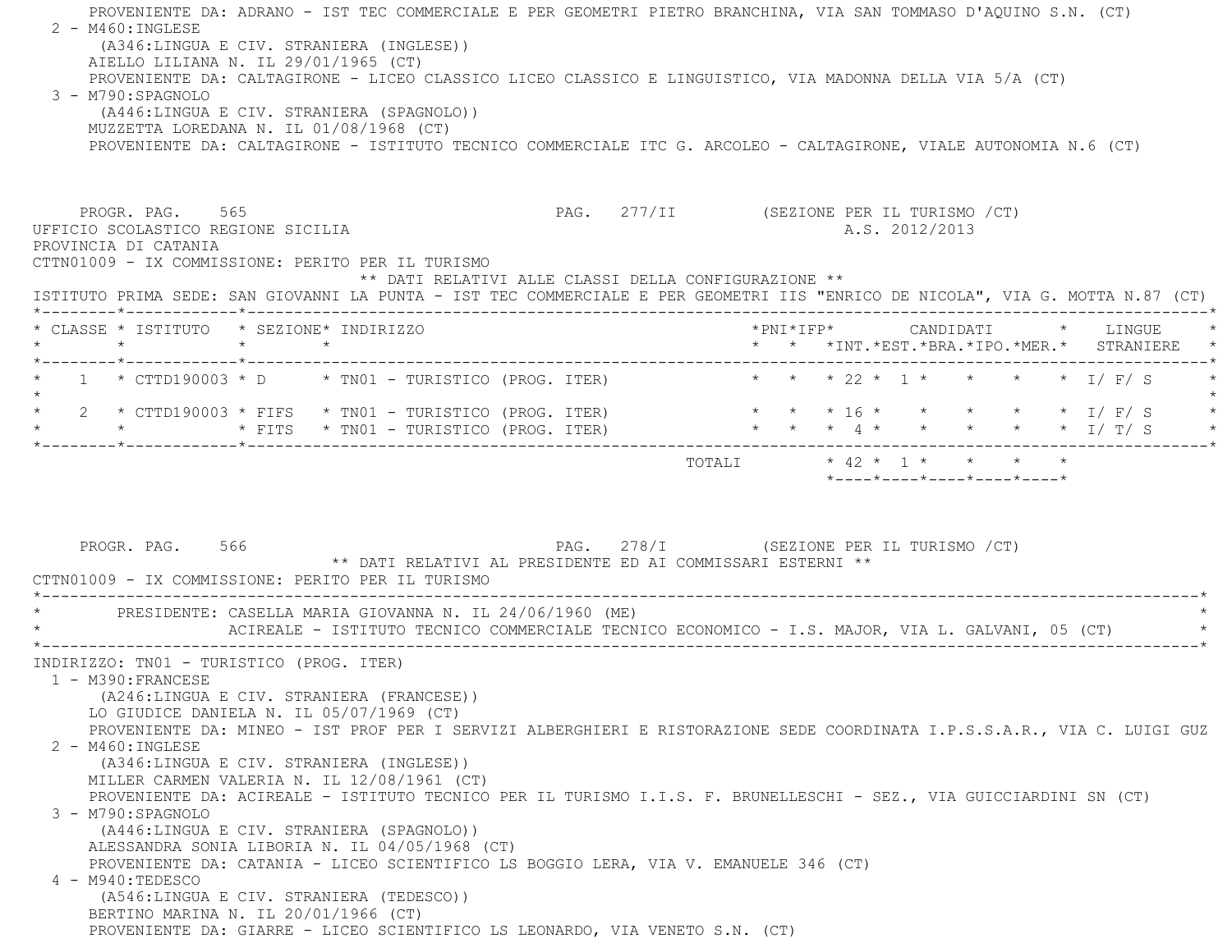PROVENIENTE DA: ADRANO - IST TEC COMMERCIALE E PER GEOMETRI PIETRO BRANCHINA, VIA SAN TOMMASO D'AQUINO S.N. (CT) 2 - M460:INGLESE (A346:LINGUA E CIV. STRANIERA (INGLESE)) AIELLO LILIANA N. IL 29/01/1965 (CT) PROVENIENTE DA: CALTAGIRONE - LICEO CLASSICO LICEO CLASSICO E LINGUISTICO, VIA MADONNA DELLA VIA 5/A (CT) 3 - M790:SPAGNOLO (A446:LINGUA E CIV. STRANIERA (SPAGNOLO)) MUZZETTA LOREDANA N. IL 01/08/1968 (CT) PROVENIENTE DA: CALTAGIRONE - ISTITUTO TECNICO COMMERCIALE ITC G. ARCOLEO - CALTAGIRONE, VIALE AUTONOMIA N.6 (CT) PROGR. PAG. 565 277/II (SEZIONE PER IL TURISMO / CT) UFFICIO SCOLASTICO REGIONE SICILIA and a series of the series of the series of the series of the series of the series of the series of the series of the series of the series of the series of the series of the series of the PROVINCIA DI CATANIA CTTN01009 - IX COMMISSIONE: PERITO PER IL TURISMO \*\* DATI RELATIVI ALLE CLASSI DELLA CONFIGURAZIONE \*\* ISTITUTO PRIMA SEDE: SAN GIOVANNI LA PUNTA - IST TEC COMMERCIALE E PER GEOMETRI IIS "ENRICO DE NICOLA", VIA G. MOTTA N.87 (CT) \*--------\*------------\*-------------------------------------------------------------------------------------------------------\* \* CLASSE \* ISTITUTO \* SEZIONE\* INDIRIZZO \*PNI\*IFP\* CANDIDATI \* LINGUE \* \* \* \* \* \* \* \*INT.\*EST.\*BRA.\*IPO.\*MER.\* STRANIERE \* \*--------\*------------\*-------------------------------------------------------------------------------------------------------\*1 \* CTTD190003 \* D \* TN01 - TURISTICO (PROG. ITER) \* \* \* \* 22 \* 1 \* \* \* \* \* \* 1/ F/ S  $\star$ \* 2 \* CTTD190003 \* FIFS \* TN01 - TURISTICO (PROG. ITER) \* \* \* \* 16 \* \* \* \* \* \* \* \* 1/ F/ S \* \* \* \* FITS \* TN01 - TURISTICO (PROG. ITER) \* \* \* 4 \* \* \* \* \* I/ T/ S \* \*--------\*------------\*-------------------------------------------------------------------------------------------------------\* TOTALI \* 42 \* 1 \* \* \* \* \*----\*----\*----\*----\*----\*PROGR. PAG. 566 68 278/I (SEZIONE PER IL TURISMO / CT) \*\* DATI RELATIVI AL PRESIDENTE ED AI COMMISSARI ESTERNI \*\* CTTN01009 - IX COMMISSIONE: PERITO PER IL TURISMO \*----------------------------------------------------------------------------------------------------------------------------\*PRESIDENTE: CASELLA MARIA GIOVANNA N. IL 24/06/1960 (ME) ACIREALE - ISTITUTO TECNICO COMMERCIALE TECNICO ECONOMICO - I.S. MAJOR, VIA L. GALVANI, 05 (CT) \*----------------------------------------------------------------------------------------------------------------------------\* INDIRIZZO: TN01 - TURISTICO (PROG. ITER) 1 - M390:FRANCESE (A246:LINGUA E CIV. STRANIERA (FRANCESE)) LO GIUDICE DANIELA N. IL 05/07/1969 (CT) PROVENIENTE DA: MINEO - IST PROF PER I SERVIZI ALBERGHIERI E RISTORAZIONE SEDE COORDINATA I.P.S.S.A.R., VIA C. LUIGI GUZ 2 - M460:INGLESE (A346:LINGUA E CIV. STRANIERA (INGLESE)) MILLER CARMEN VALERIA N. IL 12/08/1961 (CT) PROVENIENTE DA: ACIREALE - ISTITUTO TECNICO PER IL TURISMO I.I.S. F. BRUNELLESCHI - SEZ., VIA GUICCIARDINI SN (CT) 3 - M790:SPAGNOLO (A446:LINGUA E CIV. STRANIERA (SPAGNOLO)) ALESSANDRA SONIA LIBORIA N. IL 04/05/1968 (CT) PROVENIENTE DA: CATANIA - LICEO SCIENTIFICO LS BOGGIO LERA, VIA V. EMANUELE 346 (CT) 4 - M940:TEDESCO (A546:LINGUA E CIV. STRANIERA (TEDESCO)) BERTINO MARINA N. IL 20/01/1966 (CT) PROVENIENTE DA: GIARRE - LICEO SCIENTIFICO LS LEONARDO, VIA VENETO S.N. (CT)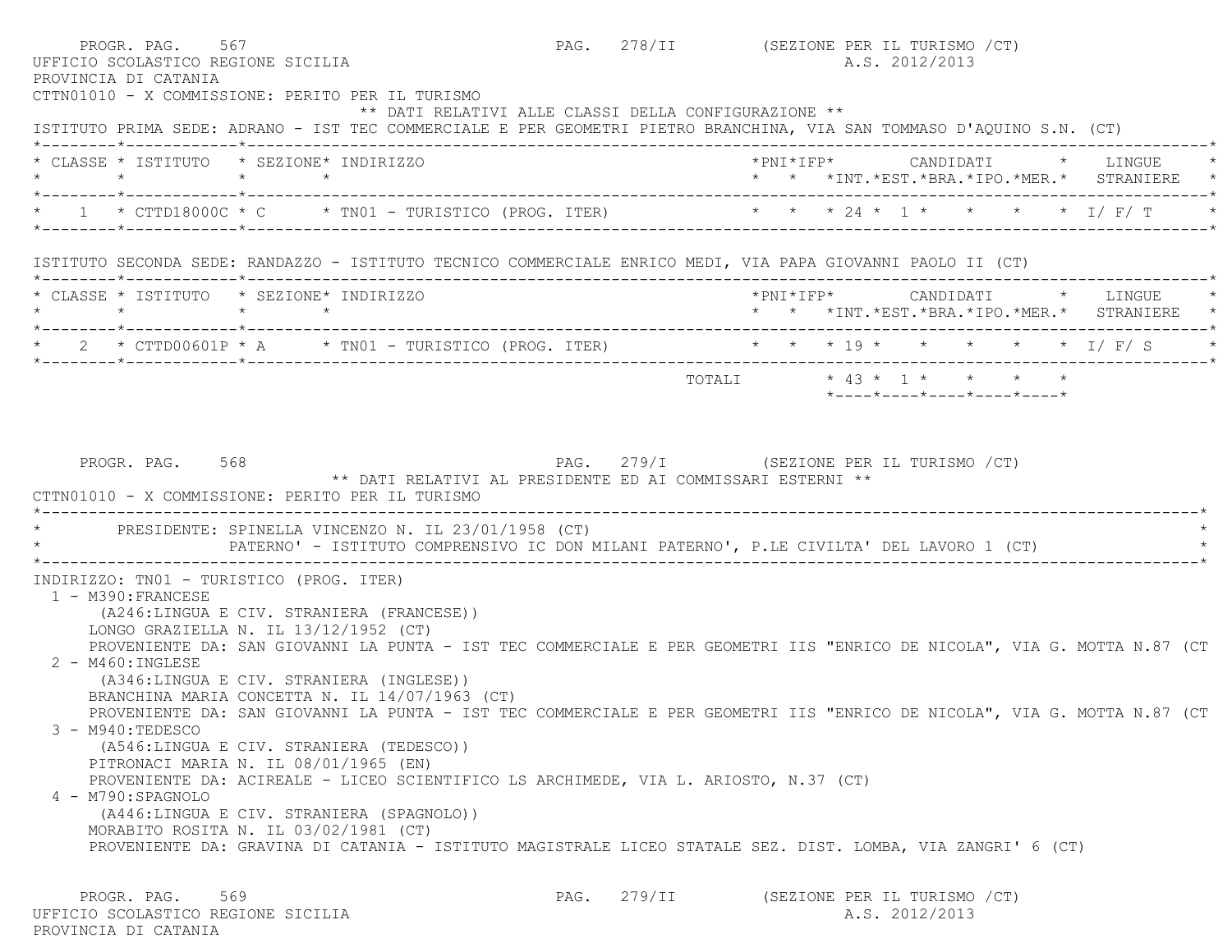| PROVINCIA DI CATANIA                                                                                              | PROGR. PAG. 567<br>UFFICIO SCOLASTICO REGIONE SICILIA<br>CTTN01010 - X COMMISSIONE: PERITO PER IL TURISMO                                                                                                                                                                                 |  | PAG. 278/II (SEZIONE PER IL TURISMO /CT)<br>A.S. 2012/2013                 |  |
|-------------------------------------------------------------------------------------------------------------------|-------------------------------------------------------------------------------------------------------------------------------------------------------------------------------------------------------------------------------------------------------------------------------------------|--|----------------------------------------------------------------------------|--|
|                                                                                                                   | ** DATI RELATIVI ALLE CLASSI DELLA CONFIGURAZIONE **<br>ISTITUTO PRIMA SEDE: ADRANO - IST TEC COMMERCIALE E PER GEOMETRI PIETRO BRANCHINA, VIA SAN TOMMASO D'AQUINO S.N. (CT)                                                                                                             |  |                                                                            |  |
|                                                                                                                   | * CLASSE * ISTITUTO * SEZIONE* INDIRIZZO                                                                                                                                                                                                                                                  |  | * * *INT.*EST.*BRA.*IPO.*MER.* STRANIERE                                   |  |
|                                                                                                                   | * 1 * CTTD18000C * C * TN01 - TURISTICO (PROG. ITER) * * * * 24 * 1 * * * * * 1/ F/ T                                                                                                                                                                                                     |  |                                                                            |  |
|                                                                                                                   | ISTITUTO SECONDA SEDE: RANDAZZO - ISTITUTO TECNICO COMMERCIALE ENRICO MEDI, VIA PAPA GIOVANNI PAOLO II (CT)                                                                                                                                                                               |  |                                                                            |  |
|                                                                                                                   | * CLASSE * ISTITUTO * SEZIONE* INDIRIZZO                                                                                                                                                                                                                                                  |  | *PNI*IFP* CANDIDATI * LINGUE<br>* * *INT.*EST.*BRA.*IPO.*MER.* STRANIERE * |  |
|                                                                                                                   | * 2 * CTTD00601P * A * TN01 - TURISTICO (PROG. ITER) * * * * 19 * * * * * * * I/ F/ S                                                                                                                                                                                                     |  |                                                                            |  |
|                                                                                                                   |                                                                                                                                                                                                                                                                                           |  | *----*----*----*----*----*                                                 |  |
|                                                                                                                   |                                                                                                                                                                                                                                                                                           |  |                                                                            |  |
|                                                                                                                   | PRESIDENTE: SPINELLA VINCENZO N. IL 23/01/1958 (CT)<br>PATERNO' - ISTITUTO COMPRENSIVO IC DON MILANI PATERNO', P.LE CIVILTA' DEL LAVORO 1 (CT)                                                                                                                                            |  |                                                                            |  |
| 1 - M390: FRANCESE<br>2 - M460: INGLESE                                                                           | (A246:LINGUA E CIV. STRANIERA (FRANCESE))<br>LONGO GRAZIELLA N. IL 13/12/1952 (CT)<br>PROVENIENTE DA: SAN GIOVANNI LA PUNTA - IST TEC COMMERCIALE E PER GEOMETRI IIS "ENRICO DE NICOLA", VIA G. MOTTA N.87 (CT<br>(A346:LINGUA E CIV. STRANIERA (INGLESE))                                |  |                                                                            |  |
| 3 - M940:TEDESCO                                                                                                  | BRANCHINA MARIA CONCETTA N. IL 14/07/1963 (CT)<br>PROVENIENTE DA: SAN GIOVANNI LA PUNTA - IST TEC COMMERCIALE E PER GEOMETRI IIS "ENRICO DE NICOLA", VIA G. MOTTA N.87 (CT<br>(A546:LINGUA E CIV. STRANIERA (TEDESCO))<br>PITRONACI MARIA N. IL 08/01/1965 (EN)                           |  |                                                                            |  |
| CTTN01010 - X COMMISSIONE: PERITO PER IL TURISMO<br>INDIRIZZO: TN01 - TURISTICO (PROG. ITER)<br>4 - M790:SPAGNOLO | PROVENIENTE DA: ACIREALE - LICEO SCIENTIFICO LS ARCHIMEDE, VIA L. ARIOSTO, N.37 (CT)<br>(A446:LINGUA E CIV. STRANIERA (SPAGNOLO))<br>MORABITO ROSITA N. IL 03/02/1981 (CT)<br>PROVENIENTE DA: GRAVINA DI CATANIA - ISTITUTO MAGISTRALE LICEO STATALE SEZ. DIST. LOMBA, VIA ZANGRI' 6 (CT) |  |                                                                            |  |

UFFICIO SCOLASTICO REGIONE SICILIA PROVINCIA DI CATANIA

AG. 279/II (SEZIONE PER IL TURISMO /CT)<br>A.S. 2012/2013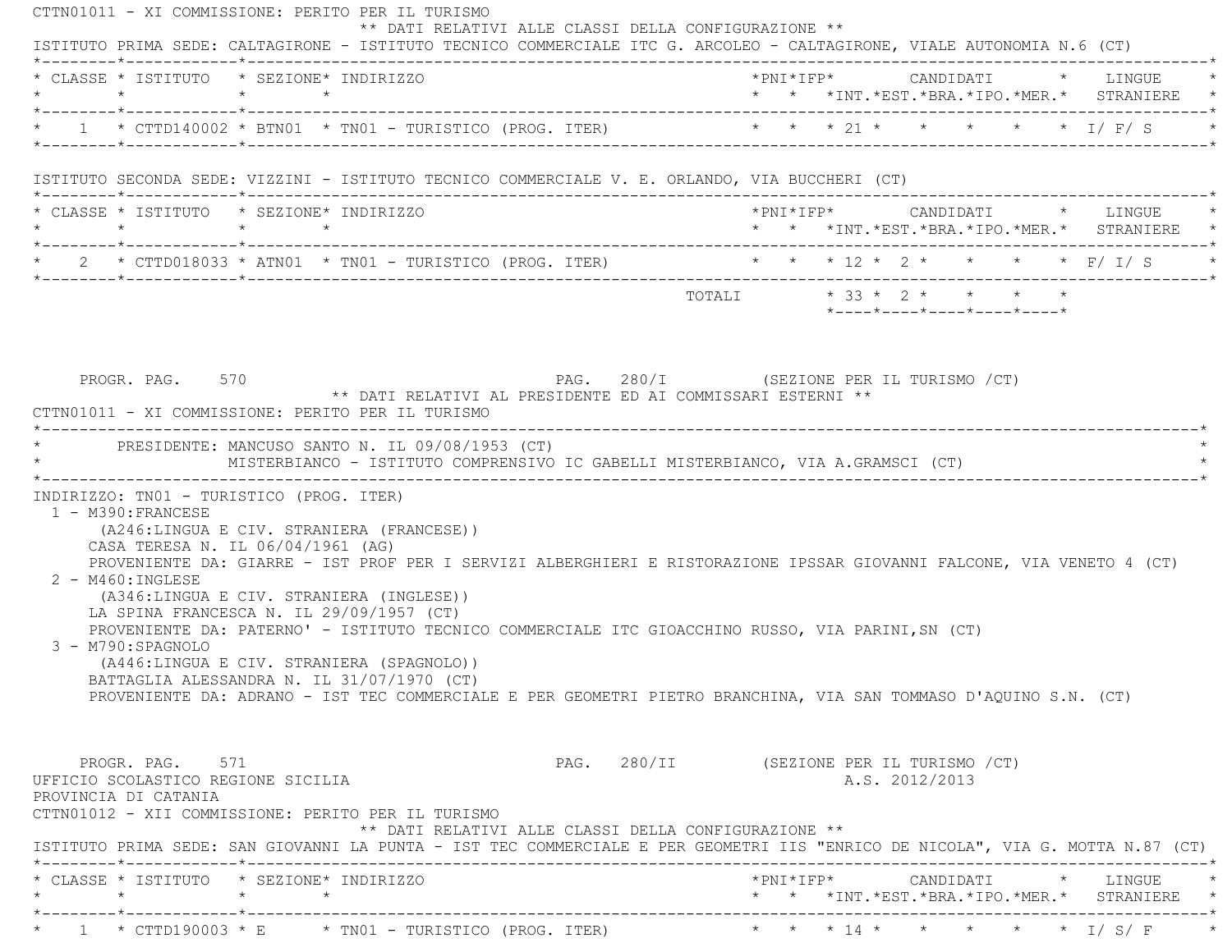CTTN01011 - XI COMMISSIONE: PERITO PER IL TURISMO \*\* DATI RELATIVI ALLE CLASSI DELLA CONFIGURAZIONE \*\* ISTITUTO PRIMA SEDE: CALTAGIRONE - ISTITUTO TECNICO COMMERCIALE ITC G. ARCOLEO - CALTAGIRONE, VIALE AUTONOMIA N.6 (CT) \*--------\*------------\*-------------------------------------------------------------------------------------------------------\* \* CLASSE \* ISTITUTO \* SEZIONE\* INDIRIZZO \*PNI\*IFP\* CANDIDATI \* LINGUE \* \* \* \* \* \* \* \*INT.\*EST.\*BRA.\*IPO.\*MER.\* STRANIERE \* \*--------\*------------\*-------------------------------------------------------------------------------------------------------\*\* 1 \* CTTD140002 \* BTN01 \* TN01 - TURISTICO (PROG. ITER) \* \* \* \* 21 \* \* \* \* \* \* \* \* 1/ F/ S \*--------\*------------\*-------------------------------------------------------------------------------------------------------\* ISTITUTO SECONDA SEDE: VIZZINI - ISTITUTO TECNICO COMMERCIALE V. E. ORLANDO, VIA BUCCHERI (CT) \*--------\*------------\*-------------------------------------------------------------------------------------------------------\* \* CLASSE \* ISTITUTO \* SEZIONE\* INDIRIZZO \*PNI\*IFP\* CANDIDATI \* LINGUE \* \* \* \* \* \* \* \*INT.\*EST.\*BRA.\*IPO.\*MER.\* STRANIERE \* \*--------\*------------\*-------------------------------------------------------------------------------------------------------\* \* 2 \* CTTD018033 \* ATN01 \* TN01 - TURISTICO (PROG. ITER) \* \* \* 12 \* 2 \* \* \* \* F/ I/ S \* \*--------\*------------\*-------------------------------------------------------------------------------------------------------\* $\texttt{TOTAL} \qquad \qquad \star \quad 33 \; \star \; \; 2 \; \star \qquad \star \qquad \star \qquad \star \qquad \star$  \*----\*----\*----\*----\*----\* PROGR. PAG. 570 PAG. 280/I (SEZIONE PER IL TURISMO /CT) \*\* DATI RELATIVI AL PRESIDENTE ED AI COMMISSARI ESTERNI \*\* CTTN01011 - XI COMMISSIONE: PERITO PER IL TURISMO \*----------------------------------------------------------------------------------------------------------------------------\*PRESIDENTE: MANCUSO SANTO N. IL 09/08/1953 (CT) \* MISTERBIANCO - ISTITUTO COMPRENSIVO IC GABELLI MISTERBIANCO, VIA A.GRAMSCI (CT) \* \*----------------------------------------------------------------------------------------------------------------------------\* INDIRIZZO: TN01 - TURISTICO (PROG. ITER) 1 - M390:FRANCESE (A246:LINGUA E CIV. STRANIERA (FRANCESE)) CASA TERESA N. IL 06/04/1961 (AG) PROVENIENTE DA: GIARRE - IST PROF PER I SERVIZI ALBERGHIERI E RISTORAZIONE IPSSAR GIOVANNI FALCONE, VIA VENETO 4 (CT) 2 - M460:INGLESE (A346:LINGUA E CIV. STRANIERA (INGLESE)) LA SPINA FRANCESCA N. IL 29/09/1957 (CT) PROVENIENTE DA: PATERNO' - ISTITUTO TECNICO COMMERCIALE ITC GIOACCHINO RUSSO, VIA PARINI,SN (CT) 3 - M790:SPAGNOLO (A446:LINGUA E CIV. STRANIERA (SPAGNOLO)) BATTAGLIA ALESSANDRA N. IL 31/07/1970 (CT) PROVENIENTE DA: ADRANO - IST TEC COMMERCIALE E PER GEOMETRI PIETRO BRANCHINA, VIA SAN TOMMASO D'AQUINO S.N. (CT) PROGR. PAG. 571 PAG. 280/II (SEZIONE PER IL TURISMO /CT) UFFICIO SCOLASTICO REGIONE SICILIA A.S. 2012/2013 PROVINCIA DI CATANIA CTTN01012 - XII COMMISSIONE: PERITO PER IL TURISMO \*\* DATI RELATIVI ALLE CLASSI DELLA CONFIGURAZIONE \*\* ISTITUTO PRIMA SEDE: SAN GIOVANNI LA PUNTA - IST TEC COMMERCIALE E PER GEOMETRI IIS "ENRICO DE NICOLA", VIA G. MOTTA N.87 (CT) \*--------\*------------\*-------------------------------------------------------------------------------------------------------\* \* CLASSE \* ISTITUTO \* SEZIONE\* INDIRIZZO \*PNI\*IFP\* CANDIDATI \* LINGUE \* \* \* \* \* \* \* \*INT.\*EST.\*BRA.\*IPO.\*MER.\* STRANIERE \* \*--------\*------------\*-------------------------------------------------------------------------------------------------------\*\* 1 \* CTTD190003 \* E \* TN01 - TURISTICO (PROG. ITER) \* \* \* \* 14 \* \* \* \* \* \* \* \* 1/ S/ F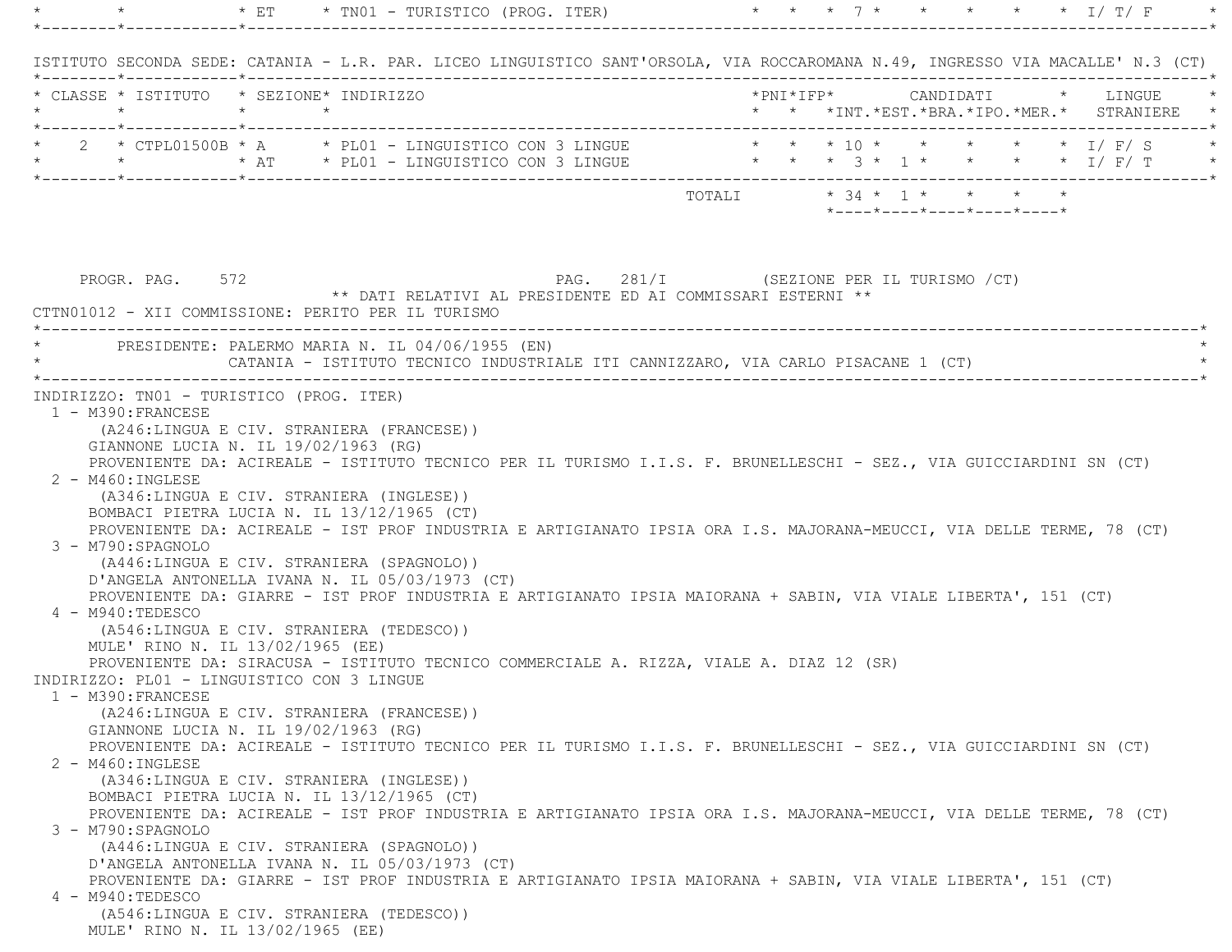|                                                  | $\times$ ET<br>* TN01 - TURISTICO (PROG. ITER)                                          | $\star$ I/T/F                                                                                                                                                                                                                                                                                                                                                                                                                                                                              |
|--------------------------------------------------|-----------------------------------------------------------------------------------------|--------------------------------------------------------------------------------------------------------------------------------------------------------------------------------------------------------------------------------------------------------------------------------------------------------------------------------------------------------------------------------------------------------------------------------------------------------------------------------------------|
|                                                  |                                                                                         | ISTITUTO SECONDA SEDE: CATANIA - L.R. PAR. LICEO LINGUISTICO SANT'ORSOLA, VIA ROCCAROMANA N.49, INGRESSO VIA MACALLE' N.3 (CT)                                                                                                                                                                                                                                                                                                                                                             |
|                                                  | * CLASSE * ISTITUTO * SEZIONE* INDIRIZZO                                                | *PNI*IFP*     CANDIDATI    *   LINGUE                                                                                                                                                                                                                                                                                                                                                                                                                                                      |
| $\star$<br>*--------*------------*-------------- | $\star$ $\star$                                                                         | * * *INT. *EST. *BRA. *IPO. *MER. * STRANIERE *                                                                                                                                                                                                                                                                                                                                                                                                                                            |
|                                                  |                                                                                         | * 2 * CTPL01500B * A * PL01 - LINGUISTICO CON 3 LINGUE * * * 10 * * * * * * * I/ F/ S                                                                                                                                                                                                                                                                                                                                                                                                      |
|                                                  |                                                                                         | * * * * AT * PLO1 - LINGUISTICO CON 3 LINGUE * * * 3 * 1 * * * * * I/ F/ T                                                                                                                                                                                                                                                                                                                                                                                                                 |
|                                                  |                                                                                         | $\texttt{TOTALI}\qquad \qquad \star\;\;34\;\;\star\;\;\;1\;\;\star\;\;\;\;\;\star\;\;\;\;\;\star\;\;\;\;\;\star\;\;\;\;\star\;\;\;\;\star\;\;\;\;\star\;\;\;\;\star\;\;\;\;\star\;\;\;\;\star\;\;\;\;\star\;\;\;\;\star\;\;\;\;\star\;\;\;\star\;\;\;\;\star\;\;\;\star\;\;\;\star\;\;\;\star\;\;\;\star\;\;\;\star\;\;\;\star\;\;\;\star\;\;\;\star\;\;\;\star\;\;\;\star\;\;\;\star\;\;\;\star\;\;\;\star\;\;\;\star\;\;\;\star\;\;\;\star\;\;\;\star\;\;\;\star\;\;\;\star\;\;\;\star\$ |
|                                                  |                                                                                         | *----*----*----*----*----*                                                                                                                                                                                                                                                                                                                                                                                                                                                                 |
|                                                  |                                                                                         |                                                                                                                                                                                                                                                                                                                                                                                                                                                                                            |
| PROGR. PAG. 572                                  | ** DATI RELATIVI AL PRESIDENTE ED AI COMMISSARI ESTERNI **                              | PAG. 281/I (SEZIONE PER IL TURISMO / CT)                                                                                                                                                                                                                                                                                                                                                                                                                                                   |
|                                                  | CTTN01012 - XII COMMISSIONE: PERITO PER IL TURISMO                                      |                                                                                                                                                                                                                                                                                                                                                                                                                                                                                            |
|                                                  | PRESIDENTE: PALERMO MARIA N. IL 04/06/1955 (EN)                                         |                                                                                                                                                                                                                                                                                                                                                                                                                                                                                            |
|                                                  | CATANIA - ISTITUTO TECNICO INDUSTRIALE ITI CANNIZZARO, VIA CARLO PISACANE 1 (CT)        |                                                                                                                                                                                                                                                                                                                                                                                                                                                                                            |
|                                                  | INDIRIZZO: TN01 - TURISTICO (PROG. ITER)                                                |                                                                                                                                                                                                                                                                                                                                                                                                                                                                                            |
| 1 - M390: FRANCESE                               |                                                                                         |                                                                                                                                                                                                                                                                                                                                                                                                                                                                                            |
|                                                  | (A246:LINGUA E CIV. STRANIERA (FRANCESE))                                               |                                                                                                                                                                                                                                                                                                                                                                                                                                                                                            |
|                                                  | GIANNONE LUCIA N. IL 19/02/1963 (RG)                                                    |                                                                                                                                                                                                                                                                                                                                                                                                                                                                                            |
|                                                  |                                                                                         | PROVENIENTE DA: ACIREALE - ISTITUTO TECNICO PER IL TURISMO I.I.S. F. BRUNELLESCHI - SEZ., VIA GUICCIARDINI SN (CT)                                                                                                                                                                                                                                                                                                                                                                         |
| $2 - M460$ : INGLESE                             |                                                                                         |                                                                                                                                                                                                                                                                                                                                                                                                                                                                                            |
|                                                  | (A346:LINGUA E CIV. STRANIERA (INGLESE))                                                |                                                                                                                                                                                                                                                                                                                                                                                                                                                                                            |
|                                                  | BOMBACI PIETRA LUCIA N. IL 13/12/1965 (CT)                                              |                                                                                                                                                                                                                                                                                                                                                                                                                                                                                            |
|                                                  |                                                                                         | PROVENIENTE DA: ACIREALE - IST PROF INDUSTRIA E ARTIGIANATO IPSIA ORA I.S. MAJORANA-MEUCCI, VIA DELLE TERME, 78 (CT)                                                                                                                                                                                                                                                                                                                                                                       |
| 3 - M790: SPAGNOLO                               |                                                                                         |                                                                                                                                                                                                                                                                                                                                                                                                                                                                                            |
|                                                  | (A446:LINGUA E CIV. STRANIERA (SPAGNOLO))                                               |                                                                                                                                                                                                                                                                                                                                                                                                                                                                                            |
|                                                  | D'ANGELA ANTONELLA IVANA N. IL 05/03/1973 (CT)                                          |                                                                                                                                                                                                                                                                                                                                                                                                                                                                                            |
|                                                  |                                                                                         | PROVENIENTE DA: GIARRE - IST PROF INDUSTRIA E ARTIGIANATO IPSIA MAIORANA + SABIN, VIA VIALE LIBERTA', 151 (CT)                                                                                                                                                                                                                                                                                                                                                                             |
| 4 - M940:TEDESCO                                 | (A546:LINGUA E CIV. STRANIERA (TEDESCO))                                                |                                                                                                                                                                                                                                                                                                                                                                                                                                                                                            |
|                                                  |                                                                                         |                                                                                                                                                                                                                                                                                                                                                                                                                                                                                            |
|                                                  |                                                                                         |                                                                                                                                                                                                                                                                                                                                                                                                                                                                                            |
|                                                  | MULE' RINO N. IL 13/02/1965 (EE)                                                        |                                                                                                                                                                                                                                                                                                                                                                                                                                                                                            |
| 1 - M390: FRANCESE                               | PROVENIENTE DA: SIRACUSA - ISTITUTO TECNICO COMMERCIALE A. RIZZA, VIALE A. DIAZ 12 (SR) |                                                                                                                                                                                                                                                                                                                                                                                                                                                                                            |
|                                                  | INDIRIZZO: PL01 - LINGUISTICO CON 3 LINGUE                                              |                                                                                                                                                                                                                                                                                                                                                                                                                                                                                            |
|                                                  | (A246:LINGUA E CIV. STRANIERA (FRANCESE))                                               |                                                                                                                                                                                                                                                                                                                                                                                                                                                                                            |
|                                                  | GIANNONE LUCIA N. IL 19/02/1963 (RG)                                                    |                                                                                                                                                                                                                                                                                                                                                                                                                                                                                            |
|                                                  |                                                                                         | PROVENIENTE DA: ACIREALE - ISTITUTO TECNICO PER IL TURISMO I.I.S. F. BRUNELLESCHI - SEZ., VIA GUICCIARDINI SN (CT)                                                                                                                                                                                                                                                                                                                                                                         |
| 2 - M460: INGLESE                                |                                                                                         |                                                                                                                                                                                                                                                                                                                                                                                                                                                                                            |
|                                                  | (A346:LINGUA E CIV. STRANIERA (INGLESE))                                                |                                                                                                                                                                                                                                                                                                                                                                                                                                                                                            |
|                                                  | BOMBACI PIETRA LUCIA N. IL 13/12/1965 (CT)                                              |                                                                                                                                                                                                                                                                                                                                                                                                                                                                                            |
|                                                  |                                                                                         | PROVENIENTE DA: ACIREALE - IST PROF INDUSTRIA E ARTIGIANATO IPSIA ORA I.S. MAJORANA-MEUCCI, VIA DELLE TERME, 78 (CT)                                                                                                                                                                                                                                                                                                                                                                       |
| 3 - M790:SPAGNOLO                                |                                                                                         |                                                                                                                                                                                                                                                                                                                                                                                                                                                                                            |
|                                                  | (A446:LINGUA E CIV. STRANIERA (SPAGNOLO))                                               |                                                                                                                                                                                                                                                                                                                                                                                                                                                                                            |
|                                                  | D'ANGELA ANTONELLA IVANA N. IL 05/03/1973 (CT)                                          |                                                                                                                                                                                                                                                                                                                                                                                                                                                                                            |
|                                                  |                                                                                         | PROVENIENTE DA: GIARRE - IST PROF INDUSTRIA E ARTIGIANATO IPSIA MAIORANA + SABIN, VIA VIALE LIBERTA', 151 (CT)                                                                                                                                                                                                                                                                                                                                                                             |
| 4 - M940: TEDESCO                                |                                                                                         |                                                                                                                                                                                                                                                                                                                                                                                                                                                                                            |
|                                                  | (A546:LINGUA E CIV. STRANIERA (TEDESCO))<br>MULE' RINO N. IL 13/02/1965 (EE)            |                                                                                                                                                                                                                                                                                                                                                                                                                                                                                            |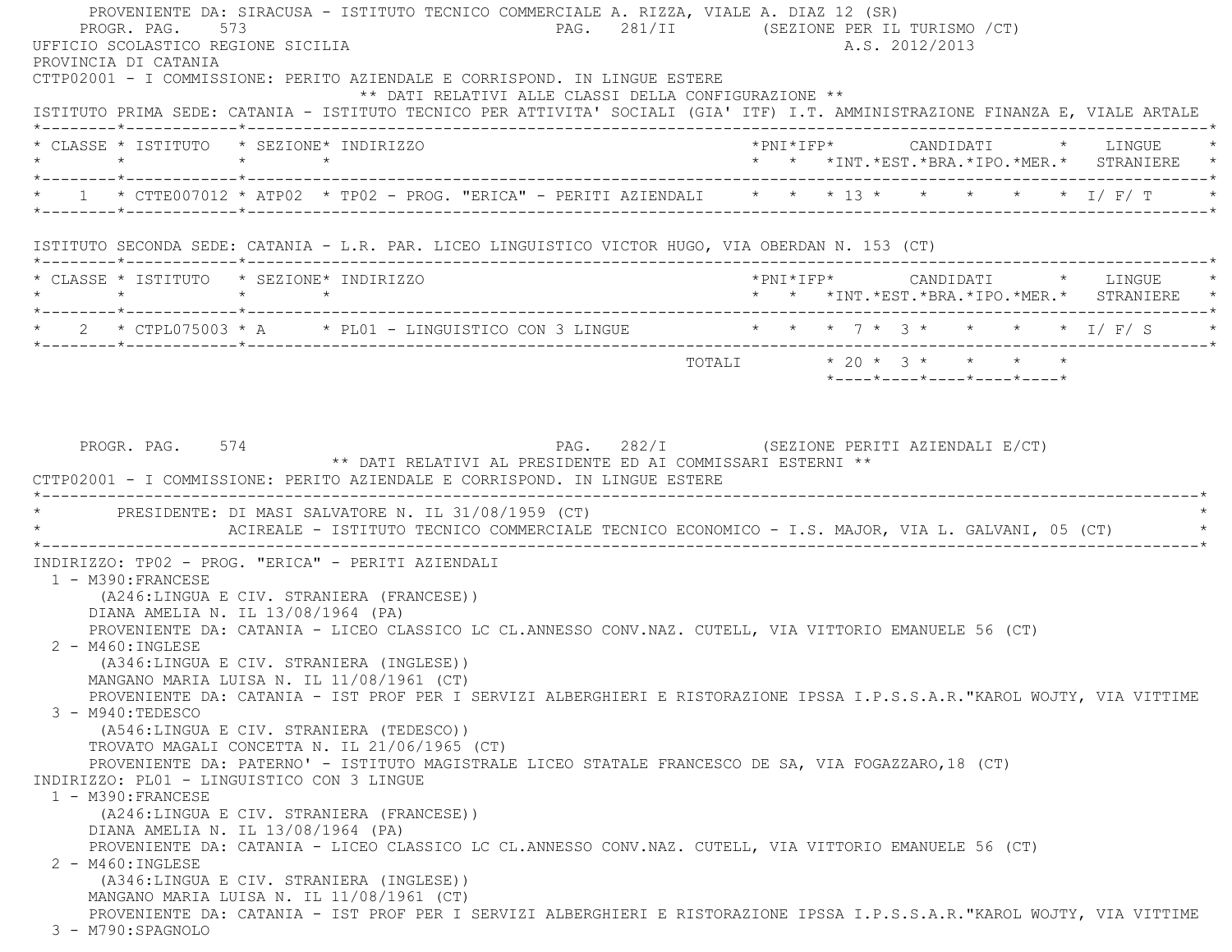PROVENIENTE DA: SIRACUSA - ISTITUTO TECNICO COMMERCIALE A. RIZZA, VIALE A. DIAZ 12 (SR) PROGR. PAG. 573 PAG. 281/II (SEZIONE PER IL TURISMO /CT) UFFICIO SCOLASTICO REGIONE SICILIA A.S. 2012/2013 PROVINCIA DI CATANIA CTTP02001 - I COMMISSIONE: PERITO AZIENDALE E CORRISPOND. IN LINGUE ESTERE \*\* DATI RELATIVI ALLE CLASSI DELLA CONFIGURAZIONE \*\* ISTITUTO PRIMA SEDE: CATANIA - ISTITUTO TECNICO PER ATTIVITA' SOCIALI (GIA' ITF) I.T. AMMINISTRAZIONE FINANZA E, VIALE ARTAL E \*--------\*------------\*-------------------------------------------------------------------------------------------------------\* \* CLASSE \* ISTITUTO \* SEZIONE\* INDIRIZZO \*PNI\*IFP\* CANDIDATI \* LINGUE \* \* \* \* \* \* \* \*INT.\*EST.\*BRA.\*IPO.\*MER.\* STRANIERE \* \*--------\*------------\*-------------------------------------------------------------------------------------------------------\* $^{\star}$  1 \* CTTE007012 \* ATP02 \* TP02 - PROG. "ERICA" - PERITI AZIENDALI \* \* \* 13 \* \* \* \* \* \* \* 1/ F/ T \* \*--------\*------------\*-------------------------------------------------------------------------------------------------------\* ISTITUTO SECONDA SEDE: CATANIA - L.R. PAR. LICEO LINGUISTICO VICTOR HUGO, VIA OBERDAN N. 153 (CT) \*--------\*------------\*-------------------------------------------------------------------------------------------------------\* \* CLASSE \* ISTITUTO \* SEZIONE\* INDIRIZZO \*PNI\*IFP\* CANDIDATI \* LINGUE \* \* \* \* \* \* \* \*INT.\*EST.\*BRA.\*IPO.\*MER.\* STRANIERE \* \*--------\*------------\*-------------------------------------------------------------------------------------------------------\*2 \* CTPL075003 \* A \* PL01 - LINGUISTICO CON 3 LINGUE \* \* \* 7 \* 3 \* \* \* \* \* 1/ F/ S \*--------\*------------\*-------------------------------------------------------------------------------------------------------\*TOTALI  $* 20 * 3 * * * * * * * *$  \*----\*----\*----\*----\*----\*PROGR. PAG. 574 **PROGR. PAG. 282/I** (SEZIONE PERITI AZIENDALI E/CT) \*\* DATI RELATIVI AL PRESIDENTE ED AI COMMISSARI ESTERNI \*\* CTTP02001 - I COMMISSIONE: PERITO AZIENDALE E CORRISPOND. IN LINGUE ESTERE \*----------------------------------------------------------------------------------------------------------------------------\*PRESIDENTE: DI MASI SALVATORE N. IL 31/08/1959 (CT) ACIREALE - ISTITUTO TECNICO COMMERCIALE TECNICO ECONOMICO - I.S. MAJOR, VIA L. GALVANI, 05 (CT) \*----------------------------------------------------------------------------------------------------------------------------\* INDIRIZZO: TP02 - PROG. "ERICA" - PERITI AZIENDALI 1 - M390:FRANCESE (A246:LINGUA E CIV. STRANIERA (FRANCESE)) DIANA AMELIA N. IL 13/08/1964 (PA) PROVENIENTE DA: CATANIA - LICEO CLASSICO LC CL.ANNESSO CONV.NAZ. CUTELL, VIA VITTORIO EMANUELE 56 (CT) 2 - M460:INGLESE (A346:LINGUA E CIV. STRANIERA (INGLESE)) MANGANO MARIA LUISA N. IL 11/08/1961 (CT) PROVENIENTE DA: CATANIA - IST PROF PER I SERVIZI ALBERGHIERI E RISTORAZIONE IPSSA I.P.S.S.A.R."KAROL WOJTY, VIA VITTIM E 3 - M940:TEDESCO (A546:LINGUA E CIV. STRANIERA (TEDESCO)) TROVATO MAGALI CONCETTA N. IL 21/06/1965 (CT) PROVENIENTE DA: PATERNO' - ISTITUTO MAGISTRALE LICEO STATALE FRANCESCO DE SA, VIA FOGAZZARO,18 (CT) INDIRIZZO: PL01 - LINGUISTICO CON 3 LINGUE 1 - M390:FRANCESE (A246:LINGUA E CIV. STRANIERA (FRANCESE)) DIANA AMELIA N. IL 13/08/1964 (PA) PROVENIENTE DA: CATANIA - LICEO CLASSICO LC CL.ANNESSO CONV.NAZ. CUTELL, VIA VITTORIO EMANUELE 56 (CT) 2 - M460:INGLESE (A346:LINGUA E CIV. STRANIERA (INGLESE)) MANGANO MARIA LUISA N. IL 11/08/1961 (CT) PROVENIENTE DA: CATANIA - IST PROF PER I SERVIZI ALBERGHIERI E RISTORAZIONE IPSSA I.P.S.S.A.R."KAROL WOJTY, VIA VITTIM E 3 - M790:SPAGNOLO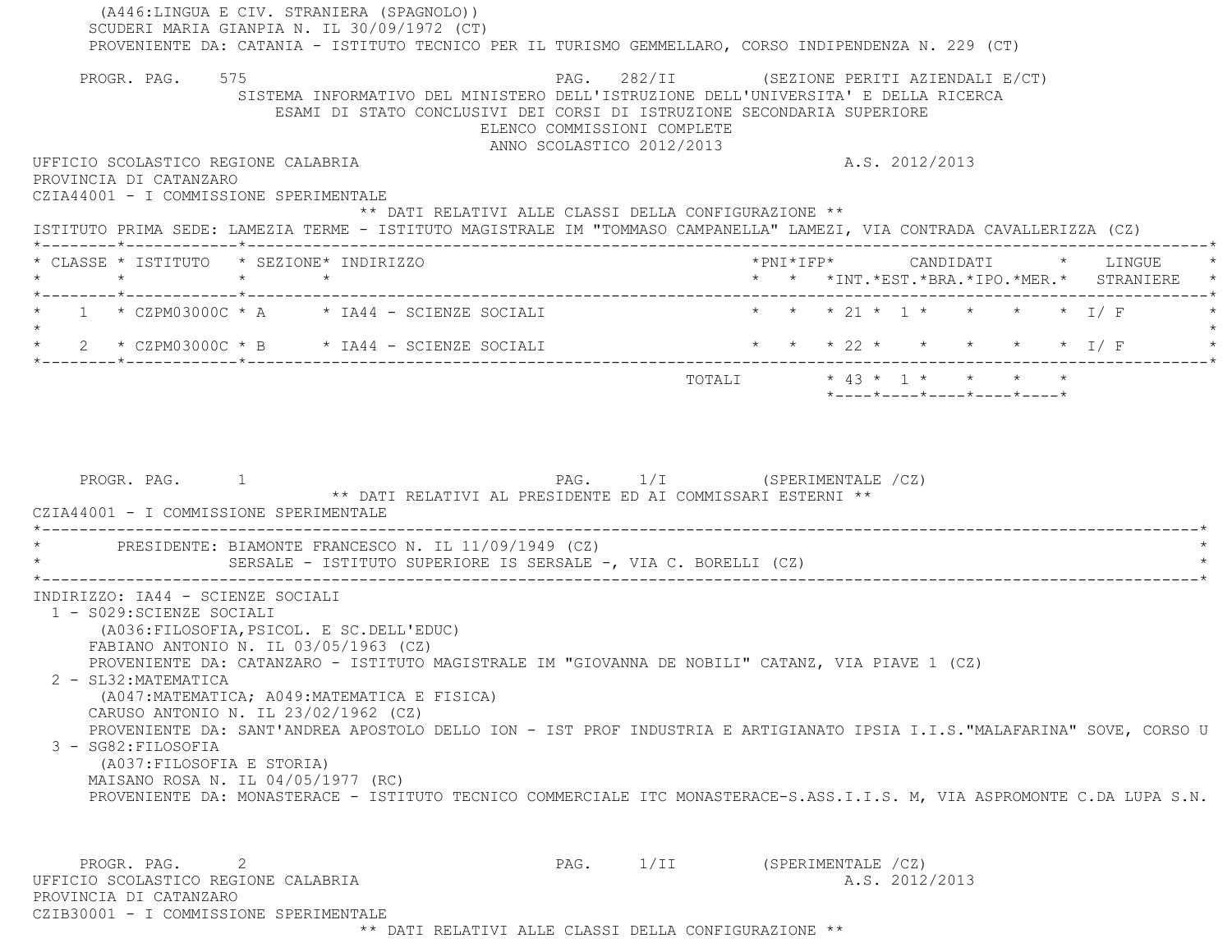(A446:LINGUA E CIV. STRANIERA (SPAGNOLO)) SCUDERI MARIA GIANPIA N. IL 30/09/1972 (CT) PROVENIENTE DA: CATANIA - ISTITUTO TECNICO PER IL TURISMO GEMMELLARO, CORSO INDIPENDENZA N. 229 (CT) PROGR. PAG. 575 PAG. 282/II (SEZIONE PERITI AZIENDALI E/CT) SISTEMA INFORMATIVO DEL MINISTERO DELL'ISTRUZIONE DELL'UNIVERSITA' E DELLA RICERCA ESAMI DI STATO CONCLUSIVI DEI CORSI DI ISTRUZIONE SECONDARIA SUPERIORE ELENCO COMMISSIONI COMPLETE ANNO SCOLASTICO 2012/2013 UFFICIO SCOLASTICO REGIONE CALABRIA AND ANNO 1999 A.S. 2012/2013 PROVINCIA DI CATANZARO CZIA44001 - I COMMISSIONE SPERIMENTALE \*\* DATI RELATIVI ALLE CLASSI DELLA CONFIGURAZIONE \*\* ISTITUTO PRIMA SEDE: LAMEZIA TERME - ISTITUTO MAGISTRALE IM "TOMMASO CAMPANELLA" LAMEZI, VIA CONTRADA CAVALLERIZZA (CZ) \*--------\*------------\*-------------------------------------------------------------------------------------------------------\* \* CLASSE \* ISTITUTO \* SEZIONE\* INDIRIZZO \*PNI\*IFP\* CANDIDATI \* LINGUE \* \* \* \* \* \* \* \*INT.\*EST.\*BRA.\*IPO.\*MER.\* STRANIERE \* \*--------\*------------\*-------------------------------------------------------------------------------------------------------\*1 \* CZPM03000C \* A \* IA44 - SCIENZE SOCIALI \* \* \* \* 21 \* 1 \* \* \* \*  $I/F$  $\star$ \* 2 \* CZPM03000C \* B \* IA44 - SCIENZE SOCIALI \* \* \* \* 22 \* \* \* \* \* \* \* I/ F \*--------\*------------\*-------------------------------------------------------------------------------------------------------\* TOTALI \* 43 \* 1 \* \* \* \* \*----\*----\*----\*----\*----\*PROGR. PAG. 1 1 CHEROGRAPH 2 PAG. 1/I (SPERIMENTALE /CZ) \*\* DATI RELATIVI AL PRESIDENTE ED AI COMMISSARI ESTERNI \*\* CZIA44001 - I COMMISSIONE SPERIMENTALE \*----------------------------------------------------------------------------------------------------------------------------\*PRESIDENTE: BIAMONTE FRANCESCO N. IL 11/09/1949 (CZ) SERSALE - ISTITUTO SUPERIORE IS SERSALE -, VIA C. BORELLI (CZ) \*----------------------------------------------------------------------------------------------------------------------------\* INDIRIZZO: IA44 - SCIENZE SOCIALI 1 - S029:SCIENZE SOCIALI (A036:FILOSOFIA,PSICOL. E SC.DELL'EDUC) FABIANO ANTONIO N. IL 03/05/1963 (CZ) PROVENIENTE DA: CATANZARO - ISTITUTO MAGISTRALE IM "GIOVANNA DE NOBILI" CATANZ, VIA PIAVE 1 (CZ) 2 - SL32:MATEMATICA (A047:MATEMATICA; A049:MATEMATICA E FISICA) CARUSO ANTONIO N. IL 23/02/1962 (CZ) PROVENIENTE DA: SANT'ANDREA APOSTOLO DELLO ION - IST PROF INDUSTRIA E ARTIGIANATO IPSIA I.I.S."MALAFARINA" SOVE, CORSO U 3 - SG82:FILOSOFIA (A037:FILOSOFIA E STORIA) MAISANO ROSA N. IL 04/05/1977 (RC) PROVENIENTE DA: MONASTERACE - ISTITUTO TECNICO COMMERCIALE ITC MONASTERACE-S.ASS.I.I.S. M, VIA ASPROMONTE C.DA LUPA S.N. PROGR. PAG. 2 2 PAG. 1/II (SPERIMENTALE /CZ) UFFICIO SCOLASTICO REGIONE CALABRIA AND ALS. 2012/2013 PROVINCIA DI CATANZAROCZIB30001 - I COMMISSIONE SPERIMENTALE

\*\* DATI RELATIVI ALLE CLASSI DELLA CONFIGURAZIONE \*\*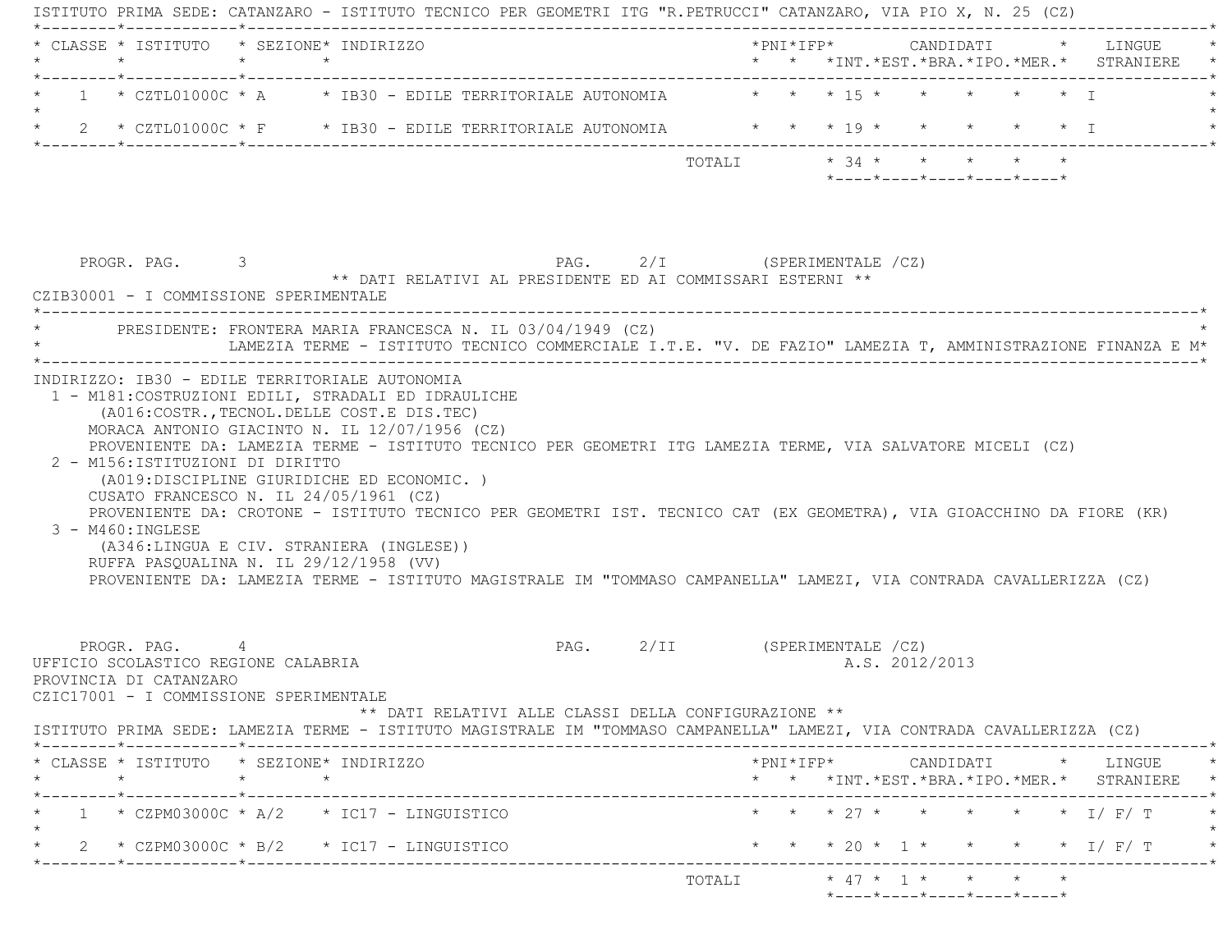|         | * CLASSE * ISTITUTO * SEZIONE* INDIRIZZO                                                                                 |                    |                                                                                                                                                                                                                                                                                                                                     |                                                                                                            |  |  |                |                                                                 |  | *PNI*IFP* CANDIDATI * LINGUE                    |
|---------|--------------------------------------------------------------------------------------------------------------------------|--------------------|-------------------------------------------------------------------------------------------------------------------------------------------------------------------------------------------------------------------------------------------------------------------------------------------------------------------------------------|------------------------------------------------------------------------------------------------------------|--|--|----------------|-----------------------------------------------------------------|--|-------------------------------------------------|
|         |                                                                                                                          |                    | $1 * CZTL01000C * A * IB30 - EDILE TERRITORIALE AUTONOMIA$                                                                                                                                                                                                                                                                          | $\star$ $\star$ $\star$ 15 $\star$                                                                         |  |  |                | $\star$ $\star$ $\star$ $\star$ $\top$                          |  |                                                 |
| $\star$ |                                                                                                                          |                    | 2 * CZTL01000C * F * IB30 - EDILE TERRITORIALE AUTONOMIA * * * * 19 * * * * * * * I                                                                                                                                                                                                                                                 |                                                                                                            |  |  |                |                                                                 |  |                                                 |
|         |                                                                                                                          |                    |                                                                                                                                                                                                                                                                                                                                     |                                                                                                            |  |  |                | $*$ - - - - $*$ - - - - $*$ - - - - $*$ - - - - $*$ - - - - $*$ |  |                                                 |
|         | PROGR. PAG. 3<br>CZIB30001 - I COMMISSIONE SPERIMENTALE                                                                  |                    | ** DATI RELATIVI AL PRESIDENTE ED AI COMMISSARI ESTERNI **                                                                                                                                                                                                                                                                          | PAG. 2/I (SPERIMENTALE /CZ)                                                                                |  |  |                |                                                                 |  |                                                 |
|         |                                                                                                                          |                    | PRESIDENTE: FRONTERA MARIA FRANCESCA N. IL 03/04/1949 (CZ)<br>LAMEZIA TERME - ISTITUTO TECNICO COMMERCIALE I.T.E. "V. DE FAZIO" LAMEZIA T, AMMINISTRAZIONE FINANZA E M*                                                                                                                                                             |                                                                                                            |  |  |                |                                                                 |  |                                                 |
|         | 2 - M156:ISTITUZIONI DI DIRITTO                                                                                          |                    |                                                                                                                                                                                                                                                                                                                                     | PROVENIENTE DA: LAMEZIA TERME - ISTITUTO TECNICO PER GEOMETRI ITG LAMEZIA TERME, VIA SALVATORE MICELI (CZ) |  |  |                |                                                                 |  |                                                 |
|         | CUSATO FRANCESCO N. IL 24/05/1961 (CZ)<br>3 - M460: INGLESE<br>RUFFA PASQUALINA N. IL 29/12/1958 (VV)                    |                    | (A019:DISCIPLINE GIURIDICHE ED ECONOMIC.)<br>PROVENIENTE DA: CROTONE - ISTITUTO TECNICO PER GEOMETRI IST. TECNICO CAT (EX GEOMETRA), VIA GIOACCHINO DA FIORE (KR)<br>(A346:LINGUA E CIV. STRANIERA (INGLESE))<br>PROVENIENTE DA: LAMEZIA TERME - ISTITUTO MAGISTRALE IM "TOMMASO CAMPANELLA" LAMEZI, VIA CONTRADA CAVALLERIZZA (CZ) |                                                                                                            |  |  |                |                                                                 |  |                                                 |
|         | PROGR. PAG. 4<br>UFFICIO SCOLASTICO REGIONE CALABRIA<br>PROVINCIA DI CATANZARO<br>CZIC17001 - I COMMISSIONE SPERIMENTALE |                    | ** DATI RELATIVI ALLE CLASSI DELLA CONFIGURAZIONE **                                                                                                                                                                                                                                                                                | PAG. 2/II (SPERIMENTALE /CZ)                                                                               |  |  | A.S. 2012/2013 |                                                                 |  |                                                 |
|         |                                                                                                                          |                    | ISTITUTO PRIMA SEDE: LAMEZIA TERME - ISTITUTO MAGISTRALE IM "TOMMASO CAMPANELLA" LAMEZI, VIA CONTRADA CAVALLERIZZA (CZ)                                                                                                                                                                                                             |                                                                                                            |  |  |                |                                                                 |  |                                                 |
|         | * CLASSE * ISTITUTO * SEZIONE* INDIRIZZO<br>$\star$                                                                      | $\star$<br>$\star$ |                                                                                                                                                                                                                                                                                                                                     |                                                                                                            |  |  |                |                                                                 |  | * * *INT. *EST. *BRA. *IPO. *MER. * STRANIERE * |
|         |                                                                                                                          |                    | $1 * CZPM03000C * A/2 * IC17 - LINGUISTICO$                                                                                                                                                                                                                                                                                         |                                                                                                            |  |  |                |                                                                 |  | * * * 27 * * * * * * I/F/T                      |
|         |                                                                                                                          |                    | 2 * CZPM03000C * B/2 * IC17 - LINGUISTICO                                                                                                                                                                                                                                                                                           |                                                                                                            |  |  |                |                                                                 |  | * * * 20 * 1 * * * * * I / F / T *              |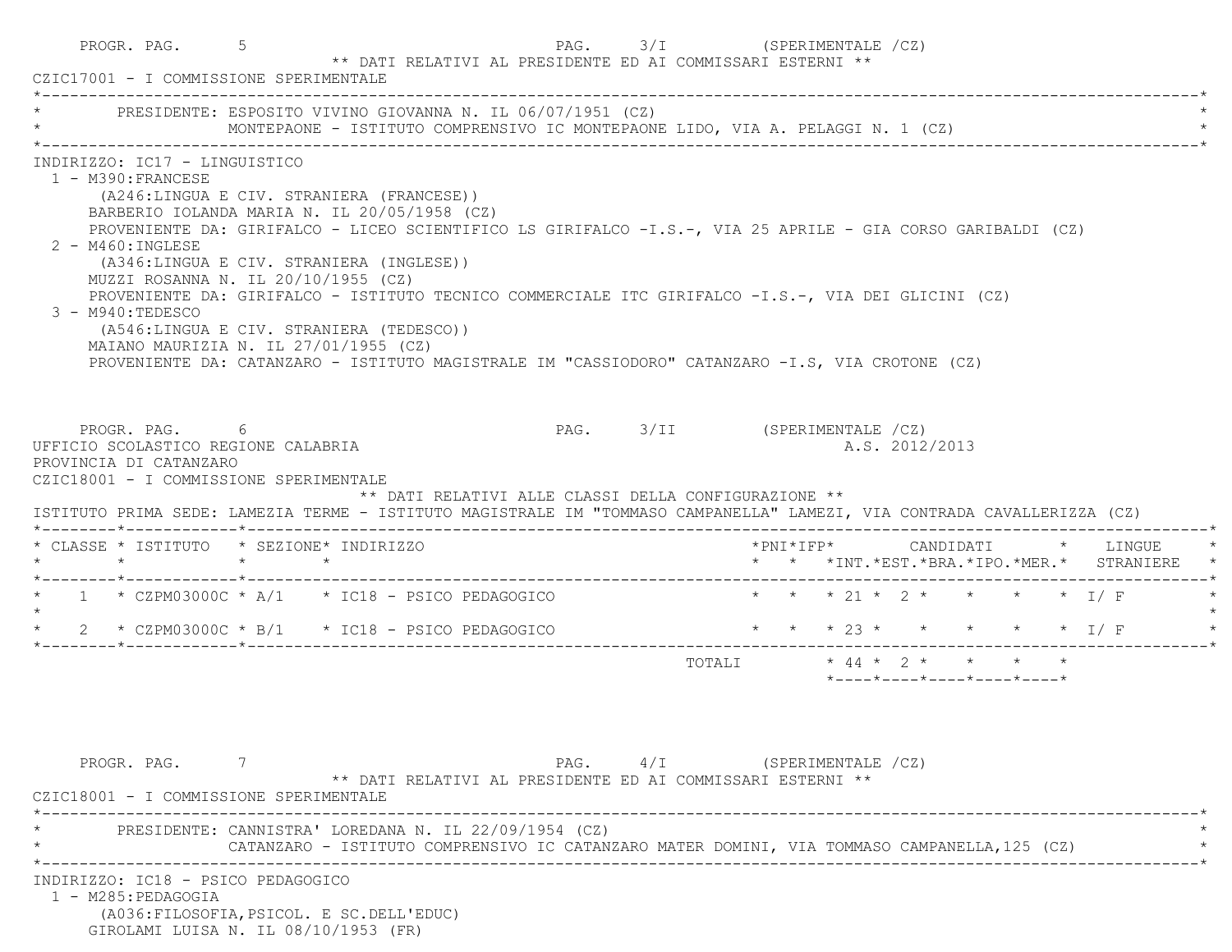|                                                                                                                                                                                                                                                     | CZIC17001 - I COMMISSIONE SPERIMENTALE                                                                                                                                                                                                                                                                                                                                                                                                                                                                      |                              |                            | ** DATI RELATIVI AL PRESIDENTE ED AI COMMISSARI ESTERNI ** |                                                  |  |                                                                               |  |
|-----------------------------------------------------------------------------------------------------------------------------------------------------------------------------------------------------------------------------------------------------|-------------------------------------------------------------------------------------------------------------------------------------------------------------------------------------------------------------------------------------------------------------------------------------------------------------------------------------------------------------------------------------------------------------------------------------------------------------------------------------------------------------|------------------------------|----------------------------|------------------------------------------------------------|--------------------------------------------------|--|-------------------------------------------------------------------------------|--|
|                                                                                                                                                                                                                                                     | PRESIDENTE: ESPOSITO VIVINO GIOVANNA N. IL 06/07/1951 (CZ)<br>MONTEPAONE - ISTITUTO COMPRENSIVO IC MONTEPAONE LIDO, VIA A. PELAGGI N. 1 (CZ)                                                                                                                                                                                                                                                                                                                                                                |                              |                            |                                                            |                                                  |  |                                                                               |  |
| INDIRIZZO: IC17 - LINGUISTICO<br>1 - M390: FRANCESE<br>$2 - M460$ : INGLESE<br>MUZZI ROSANNA N. IL 20/10/1955 (CZ)<br>3 - M940:TEDESCO<br>MAIANO MAURIZIA N. IL 27/01/1955 (CZ)                                                                     | (A246:LINGUA E CIV. STRANIERA (FRANCESE))<br>BARBERIO IOLANDA MARIA N. IL 20/05/1958 (CZ)<br>PROVENIENTE DA: GIRIFALCO - LICEO SCIENTIFICO LS GIRIFALCO -I.S.-, VIA 25 APRILE - GIA CORSO GARIBALDI (CZ)<br>(A346:LINGUA E CIV. STRANIERA (INGLESE))<br>PROVENIENTE DA: GIRIFALCO - ISTITUTO TECNICO COMMERCIALE ITC GIRIFALCO -I.S.-, VIA DEI GLICINI (CZ)<br>(A546:LINGUA E CIV. STRANIERA (TEDESCO))<br>PROVENIENTE DA: CATANZARO - ISTITUTO MAGISTRALE IM "CASSIODORO" CATANZARO -I.S, VIA CROTONE (CZ) |                              |                            |                                                            |                                                  |  |                                                                               |  |
| PROGR. PAG. 6<br>UFFICIO SCOLASTICO REGIONE CALABRIA<br>PROVINCIA DI CATANZARO<br>CZIC18001 - I COMMISSIONE SPERIMENTALE<br>ISTITUTO PRIMA SEDE: LAMEZIA TERME - ISTITUTO MAGISTRALE IM "TOMMASO CAMPANELLA" LAMEZI, VIA CONTRADA CAVALLERIZZA (CZ) | ** DATI RELATIVI ALLE CLASSI DELLA CONFIGURAZIONE **                                                                                                                                                                                                                                                                                                                                                                                                                                                        | PAG. 3/II (SPERIMENTALE /CZ) |                            |                                                            | A.S. 2012/2013                                   |  |                                                                               |  |
| * CLASSE * ISTITUTO * SEZIONE* INDIRIZZO                                                                                                                                                                                                            |                                                                                                                                                                                                                                                                                                                                                                                                                                                                                                             |                              |                            |                                                            |                                                  |  | *PNI*IFP* CANDIDATI * LINGUE<br>* * *INT. *EST. *BRA. *IPO. *MER. * STRANIERE |  |
|                                                                                                                                                                                                                                                     |                                                                                                                                                                                                                                                                                                                                                                                                                                                                                                             |                              |                            |                                                            |                                                  |  |                                                                               |  |
| $\star$ 1 $\star$ CZPM03000C $\star$ A/1 $\star$ IC18 - PSICO PEDAGOGICO                                                                                                                                                                            |                                                                                                                                                                                                                                                                                                                                                                                                                                                                                                             |                              | * * * 21 * 2 * * * * * I/F |                                                            |                                                  |  |                                                                               |  |
| * $2$ * CZPM03000C * B/1 * IC18 - PSICO PEDAGOGICO                                                                                                                                                                                                  |                                                                                                                                                                                                                                                                                                                                                                                                                                                                                                             | * * * 23 * * * * * * I/F     |                            |                                                            |                                                  |  |                                                                               |  |
|                                                                                                                                                                                                                                                     |                                                                                                                                                                                                                                                                                                                                                                                                                                                                                                             |                              |                            |                                                            | $*$ ---- $*$ ---- $*$ ---- $*$ ---- $*$ ---- $*$ |  |                                                                               |  |
| PROGR. PAG. 7<br>CZIC18001 - I COMMISSIONE SPERIMENTALE                                                                                                                                                                                             | ** DATI RELATIVI AL PRESIDENTE ED AI COMMISSARI ESTERNI **                                                                                                                                                                                                                                                                                                                                                                                                                                                  | PAG. 4/I (SPERIMENTALE /CZ)  |                            |                                                            |                                                  |  |                                                                               |  |
|                                                                                                                                                                                                                                                     | PRESIDENTE: CANNISTRA' LOREDANA N. IL 22/09/1954 (CZ)<br>CATANZARO - ISTITUTO COMPRENSIVO IC CATANZARO MATER DOMINI, VIA TOMMASO CAMPANELLA, 125 (CZ)                                                                                                                                                                                                                                                                                                                                                       |                              |                            |                                                            |                                                  |  |                                                                               |  |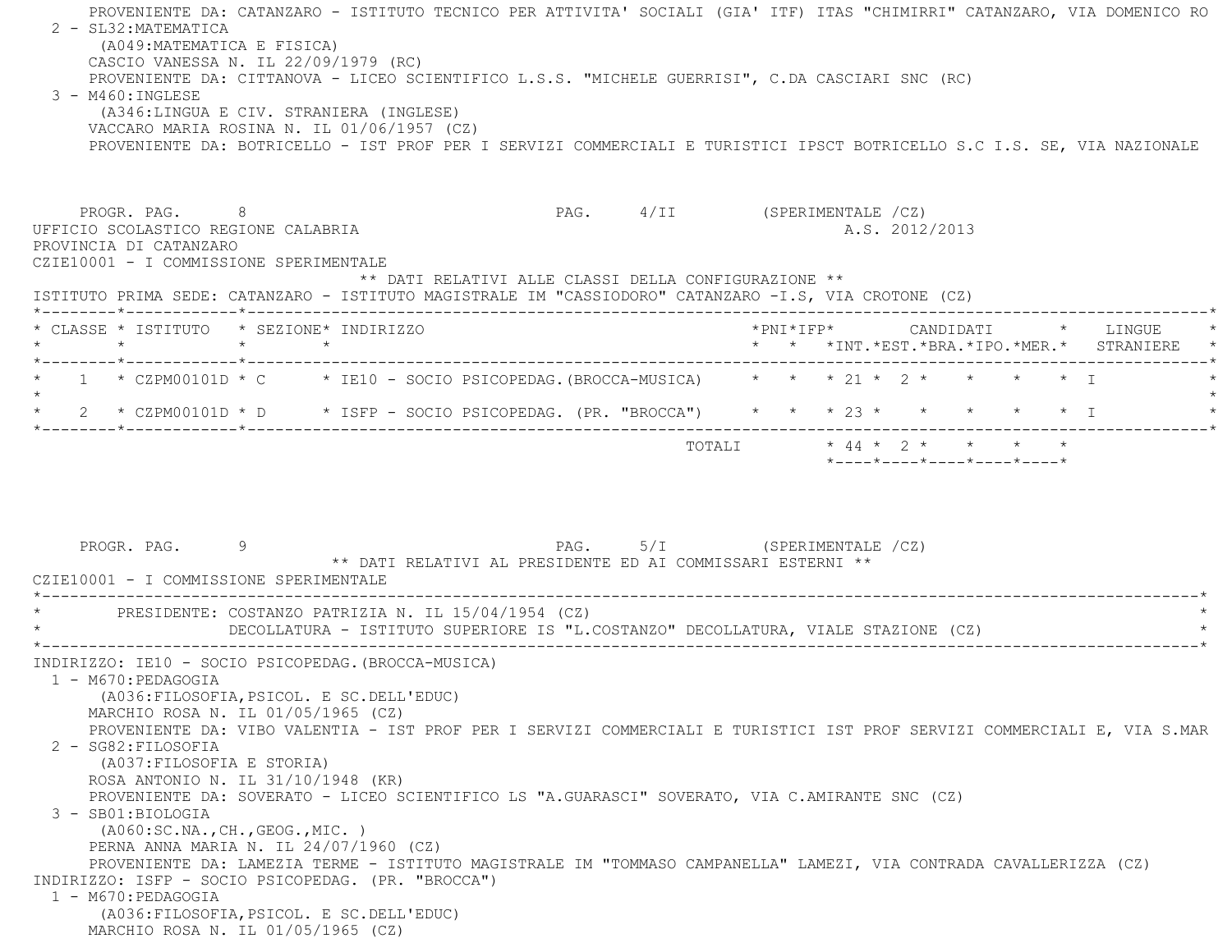PROVENIENTE DA: CATANZARO - ISTITUTO TECNICO PER ATTIVITA' SOCIALI (GIA' ITF) ITAS "CHIMIRRI" CATANZARO, VIA DOMENICO RO 2 - SL32:MATEMATICA (A049:MATEMATICA E FISICA) CASCIO VANESSA N. IL 22/09/1979 (RC) PROVENIENTE DA: CITTANOVA - LICEO SCIENTIFICO L.S.S. "MICHELE GUERRISI", C.DA CASCIARI SNC (RC) 3 - M460:INGLESE (A346:LINGUA E CIV. STRANIERA (INGLESE) VACCARO MARIA ROSINA N. IL 01/06/1957 (CZ) PROVENIENTE DA: BOTRICELLO - IST PROF PER I SERVIZI COMMERCIALI E TURISTICI IPSCT BOTRICELLO S.C I.S. SE, VIA NAZIONAL E PROGR. PAG. 8 PAG. 4/II (SPERIMENTALE /CZ) UFFICIO SCOLASTICO REGIONE CALABRIA AND ALS. 2012/2013 PROVINCIA DI CATANZARO CZIE10001 - I COMMISSIONE SPERIMENTALE \*\* DATI RELATIVI ALLE CLASSI DELLA CONFIGURAZIONE \*\* ISTITUTO PRIMA SEDE: CATANZARO - ISTITUTO MAGISTRALE IM "CASSIODORO" CATANZARO -I.S, VIA CROTONE (CZ) \*--------\*------------\*-------------------------------------------------------------------------------------------------------\* \* CLASSE \* ISTITUTO \* SEZIONE\* INDIRIZZO \*PNI\*IFP\* CANDIDATI \* LINGUE \* \* \* \* \* \* \* \*INT.\*EST.\*BRA.\*IPO.\*MER.\* STRANIERE \* \*--------\*------------\*-------------------------------------------------------------------------------------------------------\*\* 1 \* CZPM00101D \* C \* IE10 - SOCIO PSICOPEDAG. (BROCCA-MUSICA) \* \* \* 21 \* 2 \* \* \* \* \* I  $\star$  \* 2 \* CZPM00101D \* D \* ISFP - SOCIO PSICOPEDAG. (PR. "BROCCA") \* \* \* 23 \* \* \* \* \* I \* \*--------\*------------\*-------------------------------------------------------------------------------------------------------\* TOTALI \* 44 \* 2 \* \* \* \* \*----\*----\*----\*----\*----\* PROGR. PAG. 9 PAG. 5/I (SPERIMENTALE /CZ) \*\* DATI RELATIVI AL PRESIDENTE ED AI COMMISSARI ESTERNI \*\* CZIE10001 - I COMMISSIONE SPERIMENTALE \*----------------------------------------------------------------------------------------------------------------------------\*PRESIDENTE: COSTANZO PATRIZIA N. IL 15/04/1954 (CZ) \* DECOLLATURA - ISTITUTO SUPERIORE IS "L.COSTANZO" DECOLLATURA, VIALE STAZIONE (CZ) \* \*----------------------------------------------------------------------------------------------------------------------------\* INDIRIZZO: IE10 - SOCIO PSICOPEDAG.(BROCCA-MUSICA) 1 - M670:PEDAGOGIA (A036:FILOSOFIA,PSICOL. E SC.DELL'EDUC) MARCHIO ROSA N. IL 01/05/1965 (CZ) PROVENIENTE DA: VIBO VALENTIA - IST PROF PER I SERVIZI COMMERCIALI E TURISTICI IST PROF SERVIZI COMMERCIALI E, VIA S.MAR 2 - SG82:FILOSOFIA (A037:FILOSOFIA E STORIA) ROSA ANTONIO N. IL 31/10/1948 (KR) PROVENIENTE DA: SOVERATO - LICEO SCIENTIFICO LS "A.GUARASCI" SOVERATO, VIA C.AMIRANTE SNC (CZ) 3 - SB01:BIOLOGIA (A060:SC.NA.,CH.,GEOG.,MIC. ) PERNA ANNA MARIA N. IL 24/07/1960 (CZ) PROVENIENTE DA: LAMEZIA TERME - ISTITUTO MAGISTRALE IM "TOMMASO CAMPANELLA" LAMEZI, VIA CONTRADA CAVALLERIZZA (CZ) INDIRIZZO: ISFP - SOCIO PSICOPEDAG. (PR. "BROCCA") 1 - M670:PEDAGOGIA (A036:FILOSOFIA,PSICOL. E SC.DELL'EDUC) MARCHIO ROSA N. IL 01/05/1965 (CZ)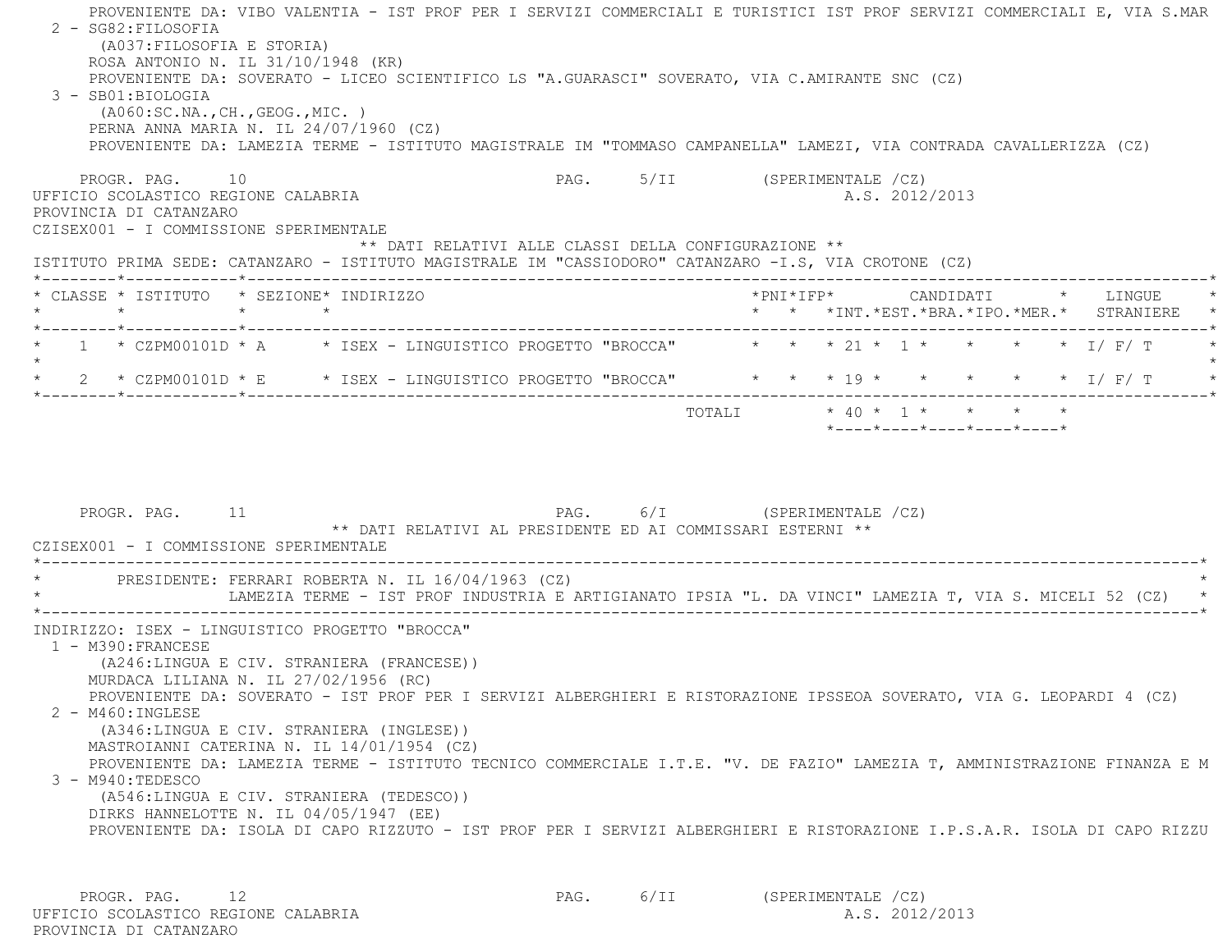PROVENIENTE DA: VIBO VALENTIA - IST PROF PER I SERVIZI COMMERCIALI E TURISTICI IST PROF SERVIZI COMMERCIALI E, VIA S.MAR 2 - SG82:FILOSOFIA (A037:FILOSOFIA E STORIA) ROSA ANTONIO N. IL 31/10/1948 (KR) PROVENIENTE DA: SOVERATO - LICEO SCIENTIFICO LS "A.GUARASCI" SOVERATO, VIA C.AMIRANTE SNC (CZ) 3 - SB01:BIOLOGIA (A060:SC.NA.,CH.,GEOG.,MIC. ) PERNA ANNA MARIA N. IL 24/07/1960 (CZ) PROVENIENTE DA: LAMEZIA TERME - ISTITUTO MAGISTRALE IM "TOMMASO CAMPANELLA" LAMEZI, VIA CONTRADA CAVALLERIZZA (CZ) PROGR. PAG. 10 **PAG.** PAG. 5/II (SPERIMENTALE /CZ) UFFICIO SCOLASTICO REGIONE CALABRIA A.S. 2012/2013 PROVINCIA DI CATANZARO CZISEX001 - I COMMISSIONE SPERIMENTALE \*\* DATI RELATIVI ALLE CLASSI DELLA CONFIGURAZIONE \*\* ISTITUTO PRIMA SEDE: CATANZARO - ISTITUTO MAGISTRALE IM "CASSIODORO" CATANZARO -I.S, VIA CROTONE (CZ) \*--------\*------------\*-------------------------------------------------------------------------------------------------------\* \* CLASSE \* ISTITUTO \* SEZIONE\* INDIRIZZO \*PNI\*IFP\* CANDIDATI \* LINGUE \* \* \* \* \* \* \* \*INT.\*EST.\*BRA.\*IPO.\*MER.\* STRANIERE \* \*--------\*------------\*-------------------------------------------------------------------------------------------------------\*1 \* CZPM00101D \* A \* ISEX - LINGUISTICO PROGETTO "BROCCA" \* \* \* 21 \* 1 \* \* \* \* \* 1/ F/ T  $\star$ \* 2 \* CZPM00101D \* E \* ISEX - LINGUISTICO PROGETTO "BROCCA" \* \* \* 19 \* \* \* \* \* \* \* I/ F/ T \*--------\*------------\*-------------------------------------------------------------------------------------------------------\*TOTALI  $* 40 * 1 * * * * * * * *$  \*----\*----\*----\*----\*----\*PROGR. PAG. 11 PAG. PAG. 6/I (SPERIMENTALE /CZ) \*\* DATI RELATIVI AL PRESIDENTE ED AI COMMISSARI ESTERNI \*\* CZISEX001 - I COMMISSIONE SPERIMENTALE \*----------------------------------------------------------------------------------------------------------------------------\*PRESIDENTE: FERRARI ROBERTA N. IL 16/04/1963 (CZ) LAMEZIA TERME - IST PROF INDUSTRIA E ARTIGIANATO IPSIA "L. DA VINCI" LAMEZIA T, VIA S. MICELI 52 (CZ) \*----------------------------------------------------------------------------------------------------------------------------\* INDIRIZZO: ISEX - LINGUISTICO PROGETTO "BROCCA" 1 - M390:FRANCESE (A246:LINGUA E CIV. STRANIERA (FRANCESE)) MURDACA LILIANA N. IL 27/02/1956 (RC) PROVENIENTE DA: SOVERATO - IST PROF PER I SERVIZI ALBERGHIERI E RISTORAZIONE IPSSEOA SOVERATO, VIA G. LEOPARDI 4 (CZ) 2 - M460:INGLESE (A346:LINGUA E CIV. STRANIERA (INGLESE)) MASTROIANNI CATERINA N. IL 14/01/1954 (CZ) PROVENIENTE DA: LAMEZIA TERME - ISTITUTO TECNICO COMMERCIALE I.T.E. "V. DE FAZIO" LAMEZIA T, AMMINISTRAZIONE FINANZA E M 3 - M940:TEDESCO (A546:LINGUA E CIV. STRANIERA (TEDESCO)) DIRKS HANNELOTTE N. IL 04/05/1947 (EE) PROVENIENTE DA: ISOLA DI CAPO RIZZUTO - IST PROF PER I SERVIZI ALBERGHIERI E RISTORAZIONE I.P.S.A.R. ISOLA DI CAPO RIZZU

PROGR. PAG. 12 **PAG.** PAG. 6/II (SPERIMENTALE /CZ) UFFICIO SCOLASTICO REGIONE CALABRIA A.S. 2012/2013 PROVINCIA DI CATANZARO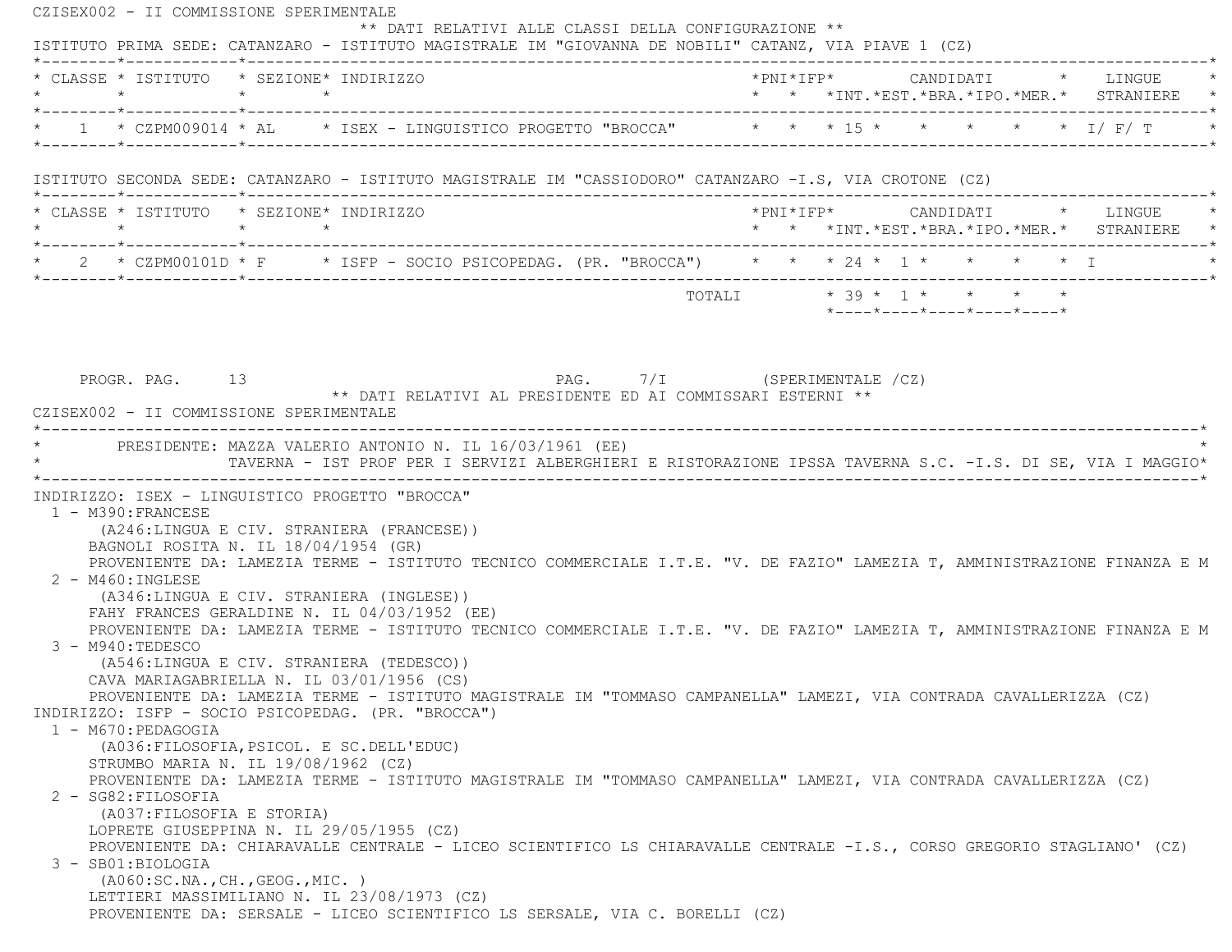CZISEX002 - II COMMISSIONE SPERIMENTALE \*\* DATI RELATIVI ALLE CLASSI DELLA CONFIGURAZIONE \*\* ISTITUTO PRIMA SEDE: CATANZARO - ISTITUTO MAGISTRALE IM "GIOVANNA DE NOBILI" CATANZ, VIA PIAVE 1 (CZ) \*--------\*------------\*-------------------------------------------------------------------------------------------------------\* \* CLASSE \* ISTITUTO \* SEZIONE\* INDIRIZZO \*PNI\*IFP\* CANDIDATI \* LINGUE \* \* \* \* \* \* \* \*INT.\*EST.\*BRA.\*IPO.\*MER.\* STRANIERE \* \*--------\*------------\*-------------------------------------------------------------------------------------------------------\*\* 1 \* CZPM009014 \* AL \* ISEX - LINGUISTICO PROGETTO "BROCCA" \* \* \* 15 \* \* \* \* \* \* \* 1/ F/ T \*--------\*------------\*-------------------------------------------------------------------------------------------------------\* ISTITUTO SECONDA SEDE: CATANZARO - ISTITUTO MAGISTRALE IM "CASSIODORO" CATANZARO -I.S, VIA CROTONE (CZ) \*--------\*------------\*-------------------------------------------------------------------------------------------------------\* \* CLASSE \* ISTITUTO \* SEZIONE\* INDIRIZZO \*PNI\*IFP\* CANDIDATI \* LINGUE \* \* \* \* \* \* \* \*INT.\*EST.\*BRA.\*IPO.\*MER.\* STRANIERE \* \*--------\*------------\*-------------------------------------------------------------------------------------------------------\* \* 2 \* CZPM00101D \* F \* ISFP - SOCIO PSICOPEDAG. (PR. "BROCCA") \* \* \* 24 \* 1 \* \* \* \* I \* \*--------\*------------\*-------------------------------------------------------------------------------------------------------\* $\texttt{TOTAL} \qquad \qquad \star \; \; \; 39 \; \star \; \; \; 1 \; \star \qquad \star \qquad \star \qquad \star \qquad \star$  $*$ ---- $*$ ---- $*$ ---- $*$ ---- $*$ ---- $*$ PROGR. PAG. 13 22 PAG. 2015 PAG. 7/I (SPERIMENTALE  $\overline{C}$  \*\* DATI RELATIVI AL PRESIDENTE ED AI COMMISSARI ESTERNI \*\* CZISEX002 - II COMMISSIONE SPERIMENTALE \*----------------------------------------------------------------------------------------------------------------------------\*PRESIDENTE: MAZZA VALERIO ANTONIO N. IL 16/03/1961 (EE) \* TAVERNA - IST PROF PER I SERVIZI ALBERGHIERI E RISTORAZIONE IPSSA TAVERNA S.C. -I.S. DI SE, VIA I MAGGIO\* \*----------------------------------------------------------------------------------------------------------------------------\* INDIRIZZO: ISEX - LINGUISTICO PROGETTO "BROCCA" 1 - M390:FRANCESE (A246:LINGUA E CIV. STRANIERA (FRANCESE)) BAGNOLI ROSITA N. IL 18/04/1954 (GR) PROVENIENTE DA: LAMEZIA TERME - ISTITUTO TECNICO COMMERCIALE I.T.E. "V. DE FAZIO" LAMEZIA T, AMMINISTRAZIONE FINANZA E M 2 - M460:INGLESE (A346:LINGUA E CIV. STRANIERA (INGLESE)) FAHY FRANCES GERALDINE N. IL 04/03/1952 (EE) PROVENIENTE DA: LAMEZIA TERME - ISTITUTO TECNICO COMMERCIALE I.T.E. "V. DE FAZIO" LAMEZIA T, AMMINISTRAZIONE FINANZA E M 3 - M940:TEDESCO (A546:LINGUA E CIV. STRANIERA (TEDESCO)) CAVA MARIAGABRIELLA N. IL 03/01/1956 (CS) PROVENIENTE DA: LAMEZIA TERME - ISTITUTO MAGISTRALE IM "TOMMASO CAMPANELLA" LAMEZI, VIA CONTRADA CAVALLERIZZA (CZ) INDIRIZZO: ISFP - SOCIO PSICOPEDAG. (PR. "BROCCA") 1 - M670:PEDAGOGIA (A036:FILOSOFIA,PSICOL. E SC.DELL'EDUC) STRUMBO MARIA N. IL 19/08/1962 (CZ) PROVENIENTE DA: LAMEZIA TERME - ISTITUTO MAGISTRALE IM "TOMMASO CAMPANELLA" LAMEZI, VIA CONTRADA CAVALLERIZZA (CZ) 2 - SG82:FILOSOFIA (A037:FILOSOFIA E STORIA) LOPRETE GIUSEPPINA N. IL 29/05/1955 (CZ) PROVENIENTE DA: CHIARAVALLE CENTRALE - LICEO SCIENTIFICO LS CHIARAVALLE CENTRALE -I.S., CORSO GREGORIO STAGLIANO' (CZ) 3 - SB01:BIOLOGIA (A060:SC.NA.,CH.,GEOG.,MIC. ) LETTIERI MASSIMILIANO N. IL 23/08/1973 (CZ) PROVENIENTE DA: SERSALE - LICEO SCIENTIFICO LS SERSALE, VIA C. BORELLI (CZ)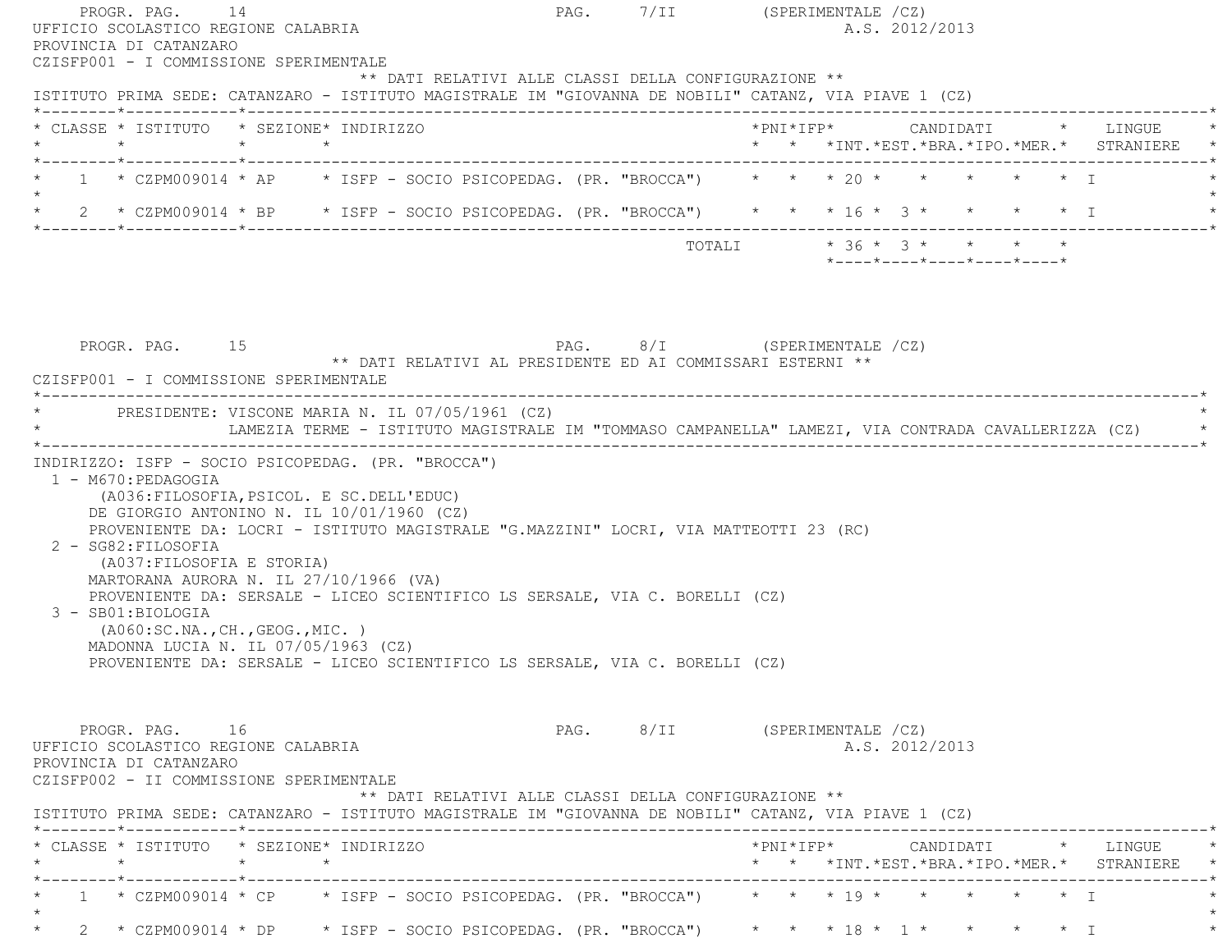| PROVINCIA DI CATANZARO                                                                        | PROGR. PAG. 14<br>UFFICIO SCOLASTICO REGIONE CALABRIA                                                                                                                                                                                                                                                                                                                               |                                                            | PAG. 7/II (SPERIMENTALE /CZ)<br>A.S. 2012/2013                                                                                                          |
|-----------------------------------------------------------------------------------------------|-------------------------------------------------------------------------------------------------------------------------------------------------------------------------------------------------------------------------------------------------------------------------------------------------------------------------------------------------------------------------------------|------------------------------------------------------------|---------------------------------------------------------------------------------------------------------------------------------------------------------|
| CZISFP001 - I COMMISSIONE SPERIMENTALE                                                        |                                                                                                                                                                                                                                                                                                                                                                                     | ** DATI RELATIVI ALLE CLASSI DELLA CONFIGURAZIONE **       | ISTITUTO PRIMA SEDE: CATANZARO - ISTITUTO MAGISTRALE IM "GIOVANNA DE NOBILI" CATANZ, VIA PIAVE 1 (CZ)                                                   |
|                                                                                               | * CLASSE * ISTITUTO * SEZIONE* INDIRIZZO                                                                                                                                                                                                                                                                                                                                            |                                                            | *PNI*IFP*     CANDIDATI    *   LINGUE<br>* * *INT. *EST. *BRA. *IPO. *MER. * STRANIERE *                                                                |
|                                                                                               |                                                                                                                                                                                                                                                                                                                                                                                     |                                                            | 1 * CZPM009014 * AP * ISFP - SOCIO PSICOPEDAG. (PR. "BROCCA") * * * 20 * * * * * * * T                                                                  |
|                                                                                               |                                                                                                                                                                                                                                                                                                                                                                                     |                                                            | 2 * CZPM009014 * BP * ISFP - SOCIO PSICOPEDAG. (PR. "BROCCA") * * * 16 * 3 * * * * * * I                                                                |
|                                                                                               |                                                                                                                                                                                                                                                                                                                                                                                     |                                                            |                                                                                                                                                         |
|                                                                                               |                                                                                                                                                                                                                                                                                                                                                                                     |                                                            | TOTALI * 36 * 3 * * * * *<br>*----*----*----*----*----*                                                                                                 |
| PROGR. PAG. 15<br>CZISFP001 - I COMMISSIONE SPERIMENTALE                                      |                                                                                                                                                                                                                                                                                                                                                                                     | ** DATI RELATIVI AL PRESIDENTE ED AI COMMISSARI ESTERNI ** | PAG. 8/I (SPERIMENTALE /CZ)                                                                                                                             |
|                                                                                               | * PRESIDENTE: VISCONE MARIA N. IL 07/05/1961 (CZ)                                                                                                                                                                                                                                                                                                                                   |                                                            | LAMEZIA TERME - ISTITUTO MAGISTRALE IM "TOMMASO CAMPANELLA" LAMEZI, VIA CONTRADA CAVALLERIZZA (CZ)                                                      |
| 1 - M670: PEDAGOGIA<br>2 - SG82: FILOSOFIA<br>(A037: FILOSOFIA E STORIA)<br>3 - SB01:BIOLOGIA | (A036: FILOSOFIA, PSICOL. E SC. DELL'EDUC)<br>DE GIORGIO ANTONINO N. IL 10/01/1960 (CZ)<br>PROVENIENTE DA: LOCRI - ISTITUTO MAGISTRALE "G.MAZZINI" LOCRI, VIA MATTEOTTI 23 (RC)<br>MARTORANA AURORA N. IL 27/10/1966 (VA)<br>PROVENIENTE DA: SERSALE - LICEO SCIENTIFICO LS SERSALE, VIA C. BORELLI (CZ)<br>(AO60:SC.NA., CH., GEOG., MIC. )<br>MADONNA LUCIA N. IL 07/05/1963 (CZ) |                                                            |                                                                                                                                                         |
|                                                                                               | PROVENIENTE DA: SERSALE - LICEO SCIENTIFICO LS SERSALE, VIA C. BORELLI (CZ)                                                                                                                                                                                                                                                                                                         |                                                            |                                                                                                                                                         |
| PROGR. PAG. 16<br>UFFICIO SCOLASTICO REGIONE CALABRIA<br>PROVINCIA DI CATANZARO               | CZISFP002 - II COMMISSIONE SPERIMENTALE                                                                                                                                                                                                                                                                                                                                             | ** DATI RELATIVI ALLE CLASSI DELLA CONFIGURAZIONE **       | PAG. 8/II (SPERIMENTALE /CZ)<br>A.S. 2012/2013<br>ISTITUTO PRIMA SEDE: CATANZARO - ISTITUTO MAGISTRALE IM "GIOVANNA DE NOBILI" CATANZ, VIA PIAVE 1 (CZ) |
|                                                                                               | * CLASSE * ISTITUTO * SEZIONE* INDIRIZZO                                                                                                                                                                                                                                                                                                                                            |                                                            | * * *INT. *EST. *BRA. *IPO. *MER. * STRANIERE *                                                                                                         |
|                                                                                               |                                                                                                                                                                                                                                                                                                                                                                                     |                                                            | ----------------------------------<br>$1 * CZPM009014 * CP * ISFP - SOCIO PSICOPEDAG. (PR. "BROCCA") * * * 19 * * * * * * * I$                          |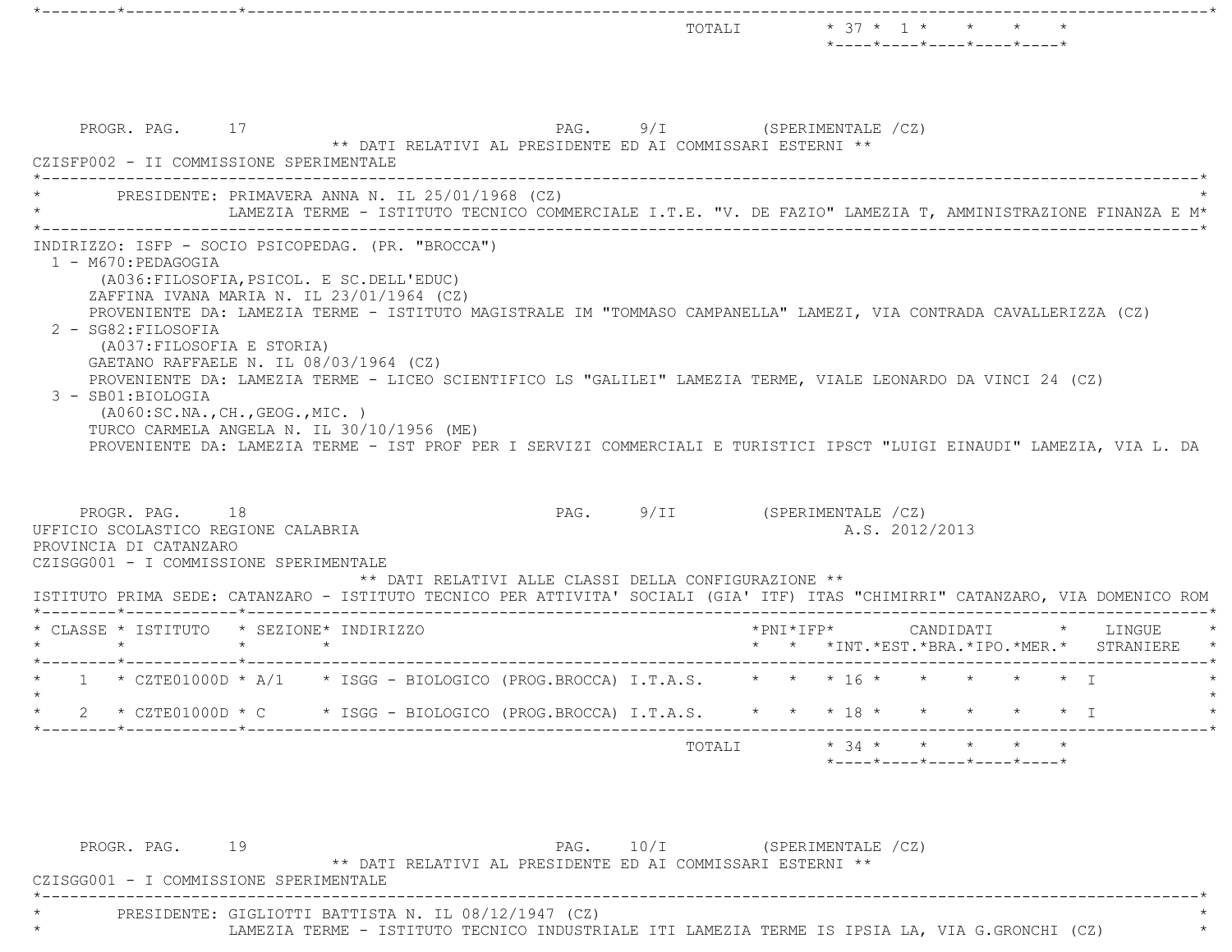\*--------\*------------\*-------------------------------------------------------------------------------------------------------\* $\text{TOTALI} \qquad \qquad \star \quad \text{37} \; \star \quad \text{1} \; \star \qquad \star \qquad \star \qquad \star \qquad \star$  \*----\*----\*----\*----\*----\*PROGR. PAG. 17 17 PAG. 9/I (SPERIMENTALE /CZ) \*\* DATI RELATIVI AL PRESIDENTE ED AI COMMISSARI ESTERNI \*\* CZISFP002 - II COMMISSIONE SPERIMENTALE \*----------------------------------------------------------------------------------------------------------------------------\*PRESIDENTE: PRIMAVERA ANNA N. IL 25/01/1968 (CZ) \* LAMEZIA TERME - ISTITUTO TECNICO COMMERCIALE I.T.E. "V. DE FAZIO" LAMEZIA T, AMMINISTRAZIONE FINANZA E M\* \*----------------------------------------------------------------------------------------------------------------------------\* INDIRIZZO: ISFP - SOCIO PSICOPEDAG. (PR. "BROCCA") 1 - M670:PEDAGOGIA (A036:FILOSOFIA,PSICOL. E SC.DELL'EDUC) ZAFFINA IVANA MARIA N. IL 23/01/1964 (CZ) PROVENIENTE DA: LAMEZIA TERME - ISTITUTO MAGISTRALE IM "TOMMASO CAMPANELLA" LAMEZI, VIA CONTRADA CAVALLERIZZA (CZ) 2 - SG82:FILOSOFIA (A037:FILOSOFIA E STORIA) GAETANO RAFFAELE N. IL 08/03/1964 (CZ) PROVENIENTE DA: LAMEZIA TERME - LICEO SCIENTIFICO LS "GALILEI" LAMEZIA TERME, VIALE LEONARDO DA VINCI 24 (CZ) 3 - SB01:BIOLOGIA (A060:SC.NA.,CH.,GEOG.,MIC. ) TURCO CARMELA ANGELA N. IL 30/10/1956 (ME) PROVENIENTE DA: LAMEZIA TERME - IST PROF PER I SERVIZI COMMERCIALI E TURISTICI IPSCT "LUIGI EINAUDI" LAMEZIA, VIA L. D A PROGR. PAG. 18 18 PAG. PAG. 9/II (SPERIMENTALE /CZ) UFFICIO SCOLASTICO REGIONE CALABRIA A.S. 2012/2013 PROVINCIA DI CATANZARO CZISGG001 - I COMMISSIONE SPERIMENTALE \*\* DATI RELATIVI ALLE CLASSI DELLA CONFIGURAZIONE \*\* ISTITUTO PRIMA SEDE: CATANZARO - ISTITUTO TECNICO PER ATTIVITA' SOCIALI (GIA' ITF) ITAS "CHIMIRRI" CATANZARO, VIA DOMENICO ROM \*--------\*------------\*-------------------------------------------------------------------------------------------------------\* \* CLASSE \* ISTITUTO \* SEZIONE\* INDIRIZZO \*PNI\*IFP\* CANDIDATI \* LINGUE \* \* \* \* \* \* \* \*INT.\*EST.\*BRA.\*IPO.\*MER.\* STRANIERE \* \*--------\*------------\*-------------------------------------------------------------------------------------------------------\* $1 * \text{CZTE01000D} * A/1 * \text{ISGG - BIOLOGICO (PROC).BROCCA) I.T.A.S. * * * 16 * * * * * * * * I$  $\star$ 2 \* CZTE01000D \* C \* ISGG - BIOLOGICO (PROG.BROCCA) I.T.A.S. \* \* \* 18 \* \* \* \* \* \* \* I \*--------\*------------\*-------------------------------------------------------------------------------------------------------\* TOTALI \* 34 \* \* \* \* \* $*$ ---- $*$ ---- $*$ ---- $*$ ---- $*$ 

PROGR. PAG. 19 19 20 19 PAG. 10/I (SPERIMENTALE 202) \*\* DATI RELATIVI AL PRESIDENTE ED AI COMMISSARI ESTERNI \*\* CZISGG001 - I COMMISSIONE SPERIMENTALE \*----------------------------------------------------------------------------------------------------------------------------\*PRESIDENTE: GIGLIOTTI BATTISTA N. IL 08/12/1947 (CZ) LAMEZIA TERME - ISTITUTO TECNICO INDUSTRIALE ITI LAMEZIA TERME IS IPSIA LA, VIA G.GRONCHI (CZ)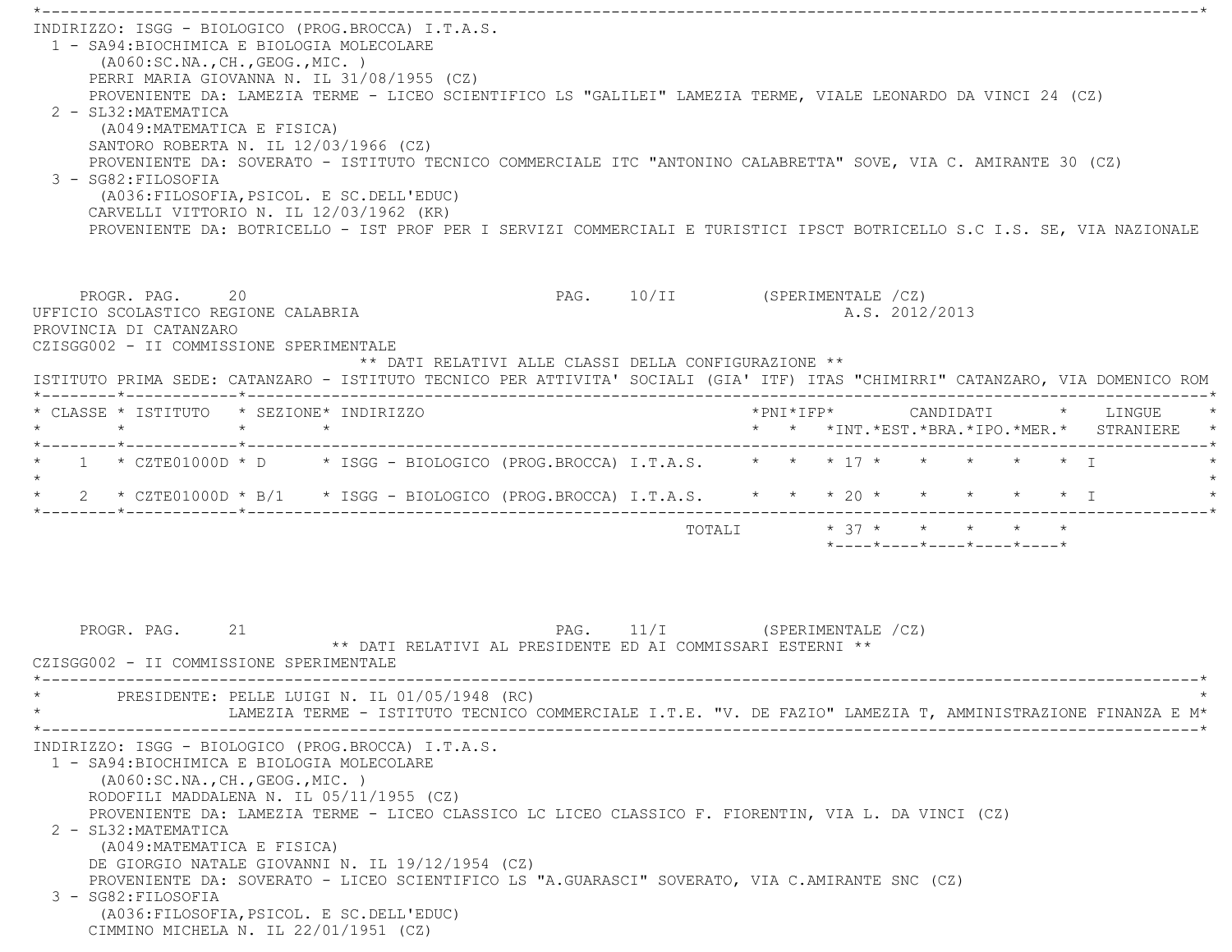\*----------------------------------------------------------------------------------------------------------------------------\* INDIRIZZO: ISGG - BIOLOGICO (PROG.BROCCA) I.T.A.S. 1 - SA94:BIOCHIMICA E BIOLOGIA MOLECOLARE (A060:SC.NA.,CH.,GEOG.,MIC. ) PERRI MARIA GIOVANNA N. IL 31/08/1955 (CZ) PROVENIENTE DA: LAMEZIA TERME - LICEO SCIENTIFICO LS "GALILEI" LAMEZIA TERME, VIALE LEONARDO DA VINCI 24 (CZ) 2 - SL32:MATEMATICA (A049:MATEMATICA E FISICA) SANTORO ROBERTA N. IL 12/03/1966 (CZ) PROVENIENTE DA: SOVERATO - ISTITUTO TECNICO COMMERCIALE ITC "ANTONINO CALABRETTA" SOVE, VIA C. AMIRANTE 30 (CZ) 3 - SG82:FILOSOFIA (A036:FILOSOFIA,PSICOL. E SC.DELL'EDUC) CARVELLI VITTORIO N. IL 12/03/1962 (KR) PROVENIENTE DA: BOTRICELLO - IST PROF PER I SERVIZI COMMERCIALI E TURISTICI IPSCT BOTRICELLO S.C I.S. SE, VIA NAZIONAL EPROGR. PAG. 20 20 PAG. PAG. 10/II (SPERIMENTALE /CZ) UFFICIO SCOLASTICO REGIONE CALABRIA A.S. 2012/2013 PROVINCIA DI CATANZARO CZISGG002 - II COMMISSIONE SPERIMENTALE \*\* DATI RELATIVI ALLE CLASSI DELLA CONFIGURAZIONE \*\* ISTITUTO PRIMA SEDE: CATANZARO - ISTITUTO TECNICO PER ATTIVITA' SOCIALI (GIA' ITF) ITAS "CHIMIRRI" CATANZARO, VIA DOMENICO ROM \*--------\*------------\*-------------------------------------------------------------------------------------------------------\* \* CLASSE \* ISTITUTO \* SEZIONE\* INDIRIZZO \*PNI\*IFP\* CANDIDATI \* LINGUE \* \* \* \* \* \* \* \*INT.\*EST.\*BRA.\*IPO.\*MER.\* STRANIERE \* \*--------\*------------\*-------------------------------------------------------------------------------------------------------\*\* 1 \* CZTE01000D \* D \* ISGG - BIOLOGICO (PROG.BROCCA) I.T.A.S. \* \* \* 17 \* \* \* \* \* \* \* I  $\star$  \* 2 \* CZTE01000D \* B/1 \* ISGG - BIOLOGICO (PROG.BROCCA) I.T.A.S. \* \* \* 20 \* \* \* \* \* I \* \*--------\*------------\*-------------------------------------------------------------------------------------------------------\*TOTALI  $* 37 * * * * * * * * *$  \*----\*----\*----\*----\*----\*PROGR. PAG. 21 21 PAG. 11/I (SPERIMENTALE /CZ) \*\* DATI RELATIVI AL PRESIDENTE ED AI COMMISSARI ESTERNI \*\* CZISGG002 - II COMMISSIONE SPERIMENTALE \*----------------------------------------------------------------------------------------------------------------------------\*PRESIDENTE: PELLE LUIGI N. IL 01/05/1948 (RC) \* LAMEZIA TERME - ISTITUTO TECNICO COMMERCIALE I.T.E. "V. DE FAZIO" LAMEZIA T, AMMINISTRAZIONE FINANZA E M\* \*----------------------------------------------------------------------------------------------------------------------------\* INDIRIZZO: ISGG - BIOLOGICO (PROG.BROCCA) I.T.A.S. 1 - SA94:BIOCHIMICA E BIOLOGIA MOLECOLARE (A060:SC.NA.,CH.,GEOG.,MIC. ) RODOFILI MADDALENA N. IL 05/11/1955 (CZ) PROVENIENTE DA: LAMEZIA TERME - LICEO CLASSICO LC LICEO CLASSICO F. FIORENTIN, VIA L. DA VINCI (CZ) 2 - SL32:MATEMATICA (A049:MATEMATICA E FISICA) DE GIORGIO NATALE GIOVANNI N. IL 19/12/1954 (CZ) PROVENIENTE DA: SOVERATO - LICEO SCIENTIFICO LS "A.GUARASCI" SOVERATO, VIA C.AMIRANTE SNC (CZ) 3 - SG82:FILOSOFIA (A036:FILOSOFIA,PSICOL. E SC.DELL'EDUC) CIMMINO MICHELA N. IL 22/01/1951 (CZ)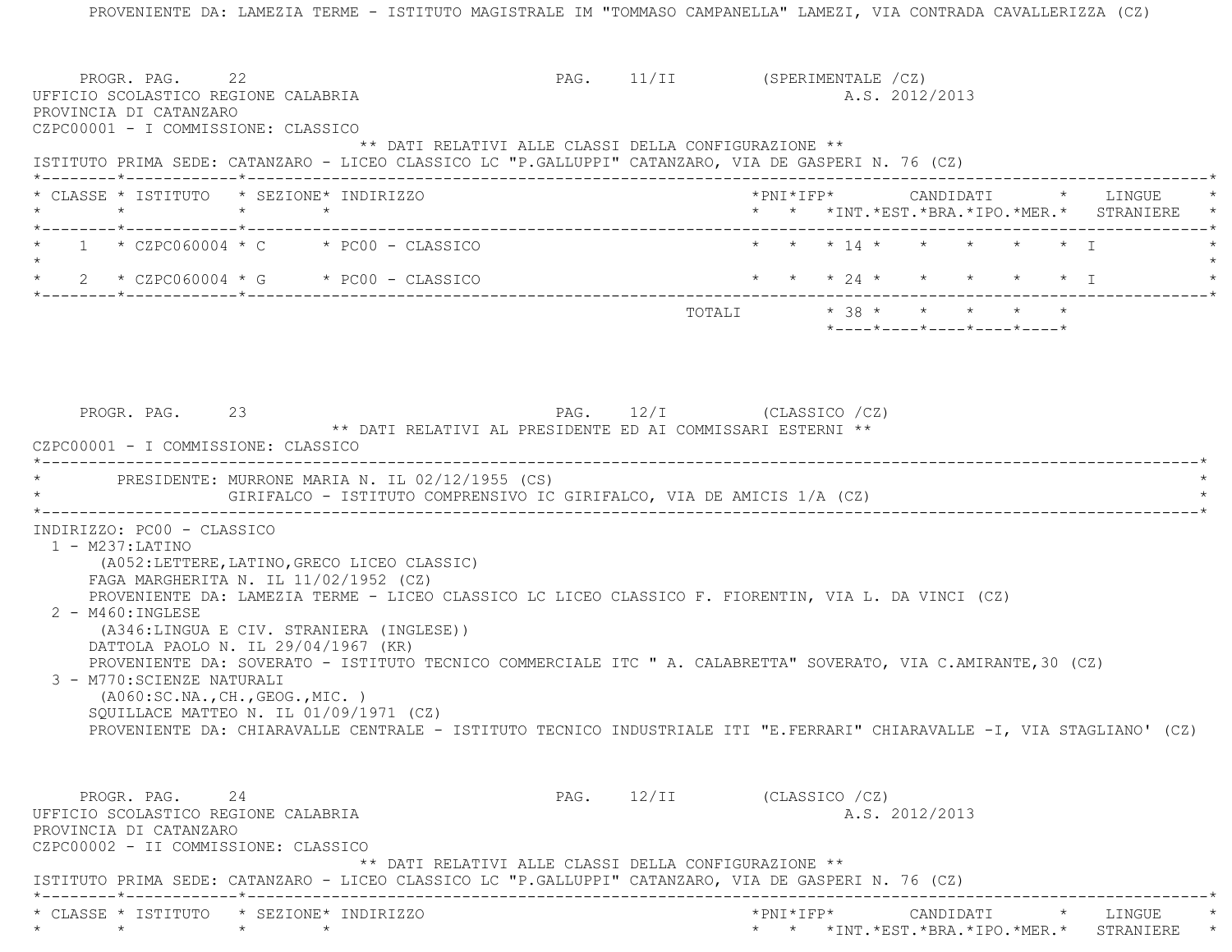PROVENIENTE DA: LAMEZIA TERME - ISTITUTO MAGISTRALE IM "TOMMASO CAMPANELLA" LAMEZI, VIA CONTRADA CAVALLERIZZA (CZ) PROGR. PAG. 22 22 PAG. 11/II (SPERIMENTALE /CZ) UFFICIO SCOLASTICO REGIONE CALABRIA A.S. 2012/2013 PROVINCIA DI CATANZARO CZPC00001 - I COMMISSIONE: CLASSICO \*\* DATI RELATIVI ALLE CLASSI DELLA CONFIGURAZIONE \*\* ISTITUTO PRIMA SEDE: CATANZARO - LICEO CLASSICO LC "P.GALLUPPI" CATANZARO, VIA DE GASPERI N. 76 (CZ) \*--------\*------------\*-------------------------------------------------------------------------------------------------------\* \* CLASSE \* ISTITUTO \* SEZIONE\* INDIRIZZO \*PNI\*IFP\* CANDIDATI \* LINGUE \* \* \* \* \* \* \* \*INT.\*EST.\*BRA.\*IPO.\*MER.\* STRANIERE \* \*--------\*------------\*-------------------------------------------------------------------------------------------------------\* $1 \times$  CZPC060004 \* C  $\rightarrow$  PC00 - CLASSICO  $\rightarrow$  \* \* \* 14 \* \* \* \* \* \* \* \* I  $\star$ 2 \* CZPC060004 \* G \* PC00 - CLASSICO \* \* \* \* 24 \* \* \* \* \* \* \* \* I \*--------\*------------\*-------------------------------------------------------------------------------------------------------\*TOTALI  $* 38 * * * * * * * * * *$  \*----\*----\*----\*----\*----\*PROGR. PAG. 23 PAG. 12/I (CLASSICO /CZ) \*\* DATI RELATIVI AL PRESIDENTE ED AI COMMISSARI ESTERNI \*\* CZPC00001 - I COMMISSIONE: CLASSICO \*----------------------------------------------------------------------------------------------------------------------------\*PRESIDENTE: MURRONE MARIA N. IL 02/12/1955 (CS) GIRIFALCO - ISTITUTO COMPRENSIVO IC GIRIFALCO, VIA DE AMICIS 1/A (CZ) \*----------------------------------------------------------------------------------------------------------------------------\* INDIRIZZO: PC00 - CLASSICO 1 - M237:LATINO (A052:LETTERE,LATINO,GRECO LICEO CLASSIC) FAGA MARGHERITA N. IL 11/02/1952 (CZ) PROVENIENTE DA: LAMEZIA TERME - LICEO CLASSICO LC LICEO CLASSICO F. FIORENTIN, VIA L. DA VINCI (CZ) 2 - M460:INGLESE (A346:LINGUA E CIV. STRANIERA (INGLESE)) DATTOLA PAOLO N. IL 29/04/1967 (KR) PROVENIENTE DA: SOVERATO - ISTITUTO TECNICO COMMERCIALE ITC " A. CALABRETTA" SOVERATO, VIA C.AMIRANTE,30 (CZ) 3 - M770:SCIENZE NATURALI (A060:SC.NA.,CH.,GEOG.,MIC. ) SQUILLACE MATTEO N. IL 01/09/1971 (CZ) PROVENIENTE DA: CHIARAVALLE CENTRALE - ISTITUTO TECNICO INDUSTRIALE ITI "E.FERRARI" CHIARAVALLE -I, VIA STAGLIANO' (CZ) PROGR. PAG. 24 24 PAG. 12/II (CLASSICO /CZ) UFFICIO SCOLASTICO REGIONE CALABRIA AND ALS. 2012/2013 PROVINCIA DI CATANZARO CZPC00002 - II COMMISSIONE: CLASSICO \*\* DATI RELATIVI ALLE CLASSI DELLA CONFIGURAZIONE \*\* ISTITUTO PRIMA SEDE: CATANZARO - LICEO CLASSICO LC "P.GALLUPPI" CATANZARO, VIA DE GASPERI N. 76 (CZ) \*--------\*------------\*-------------------------------------------------------------------------------------------------------\* \* CLASSE \* ISTITUTO \* SEZIONE\* INDIRIZZO \*PNI\*IFP\* CANDIDATI \* LINGUE \*\* \* \* \* \* \* \*INT.\*EST.\*BRA.\*IPO.\*MER.\* STRANIERE \*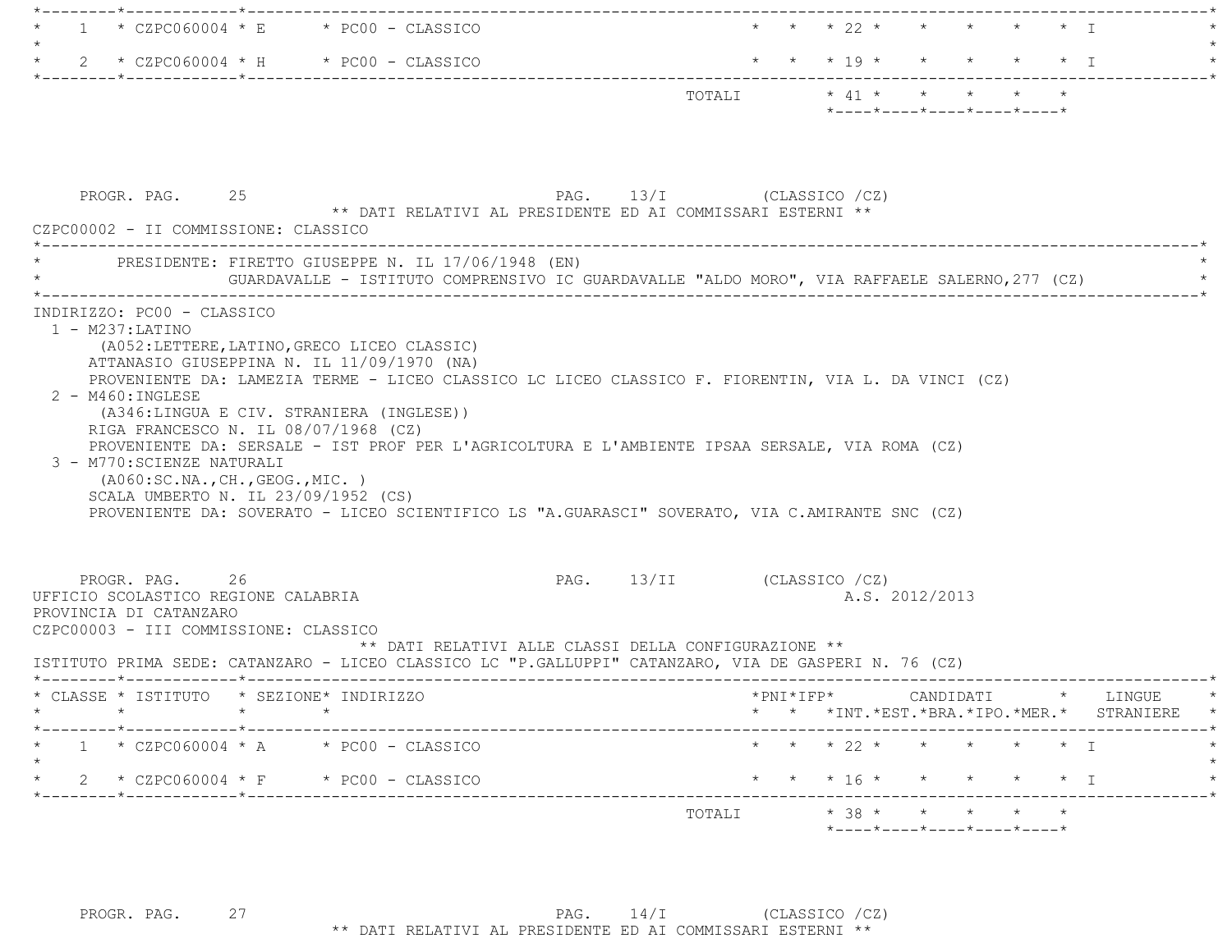| $\mathbf{1}$                                                                                                                                                                                                                     | $\star$ CZPC060004 $\star$ E $\star$ PC00 - CLASSICO                                                                                                                                             |                            | * * * 22 * * * * * * I                                                                       |  |
|----------------------------------------------------------------------------------------------------------------------------------------------------------------------------------------------------------------------------------|--------------------------------------------------------------------------------------------------------------------------------------------------------------------------------------------------|----------------------------|----------------------------------------------------------------------------------------------|--|
| $2 * CZPC060004 * H * PC00 - CLASSICO$                                                                                                                                                                                           |                                                                                                                                                                                                  |                            | * * * 19 * * * * * * I                                                                       |  |
|                                                                                                                                                                                                                                  |                                                                                                                                                                                                  |                            | $*$ - - - - $*$ - - - - $*$ - - - - $*$ - - - - $*$ - - - - $*$                              |  |
| PROGR. PAG. 25                                                                                                                                                                                                                   | ** DATI RELATIVI AL PRESIDENTE ED AI COMMISSARI ESTERNI **                                                                                                                                       | PAG. 13/I (CLASSICO /CZ)   |                                                                                              |  |
| CZPC00002 - II COMMISSIONE: CLASSICO                                                                                                                                                                                             |                                                                                                                                                                                                  |                            |                                                                                              |  |
| PRESIDENTE: FIRETTO GIUSEPPE N. IL 17/06/1948 (EN)                                                                                                                                                                               |                                                                                                                                                                                                  |                            | GUARDAVALLE - ISTITUTO COMPRENSIVO IC GUARDAVALLE "ALDO MORO", VIA RAFFAELE SALERNO,277 (CZ) |  |
| (A346:LINGUA E CIV. STRANIERA (INGLESE))<br>RIGA FRANCESCO N. IL 08/07/1968 (CZ)<br>3 - M770: SCIENZE NATURALI<br>( A060:SC.NA., CH., GEOG., MIC. )<br>SCALA UMBERTO N. IL 23/09/1952 (CS)                                       | PROVENIENTE DA: SERSALE - IST PROF PER L'AGRICOLTURA E L'AMBIENTE IPSAA SERSALE, VIA ROMA (CZ)<br>PROVENIENTE DA: SOVERATO - LICEO SCIENTIFICO LS "A.GUARASCI" SOVERATO, VIA C.AMIRANTE SNC (CZ) |                            |                                                                                              |  |
| PROGR. PAG. 26<br>UFFICIO SCOLASTICO REGIONE CALABRIA<br>PROVINCIA DI CATANZARO<br>CZPC00003 - III COMMISSIONE: CLASSICO<br>ISTITUTO PRIMA SEDE: CATANZARO - LICEO CLASSICO LC "P.GALLUPPI" CATANZARO, VIA DE GASPERI N. 76 (CZ) | ** DATI RELATIVI ALLE CLASSI DELLA CONFIGURAZIONE **                                                                                                                                             | PAG. 13/II (CLASSICO / CZ) | A.S. 2012/2013                                                                               |  |
|                                                                                                                                                                                                                                  |                                                                                                                                                                                                  |                            |                                                                                              |  |
| * CLASSE * ISTITUTO * SEZIONE* INDIRIZZO<br>$\star$                                                                                                                                                                              |                                                                                                                                                                                                  |                            | *PNI*IFP* CANDIDATI * LINGUE<br>* * * INT. *EST. *BRA. *IPO. *MER. * STRANIERE *             |  |
| $1 * CZPC060004 * A * PC00 - CLASSICO$                                                                                                                                                                                           |                                                                                                                                                                                                  |                            | * * * 22 * * * * * * I                                                                       |  |
| $2 * CZPC060004 * F * PC00 - CLASSICO$                                                                                                                                                                                           |                                                                                                                                                                                                  |                            | * * * 16 * * * * * * I                                                                       |  |
|                                                                                                                                                                                                                                  |                                                                                                                                                                                                  |                            | TOTALI * 38 * * * * * *<br>*----*----*----*----*----*                                        |  |
|                                                                                                                                                                                                                                  |                                                                                                                                                                                                  |                            |                                                                                              |  |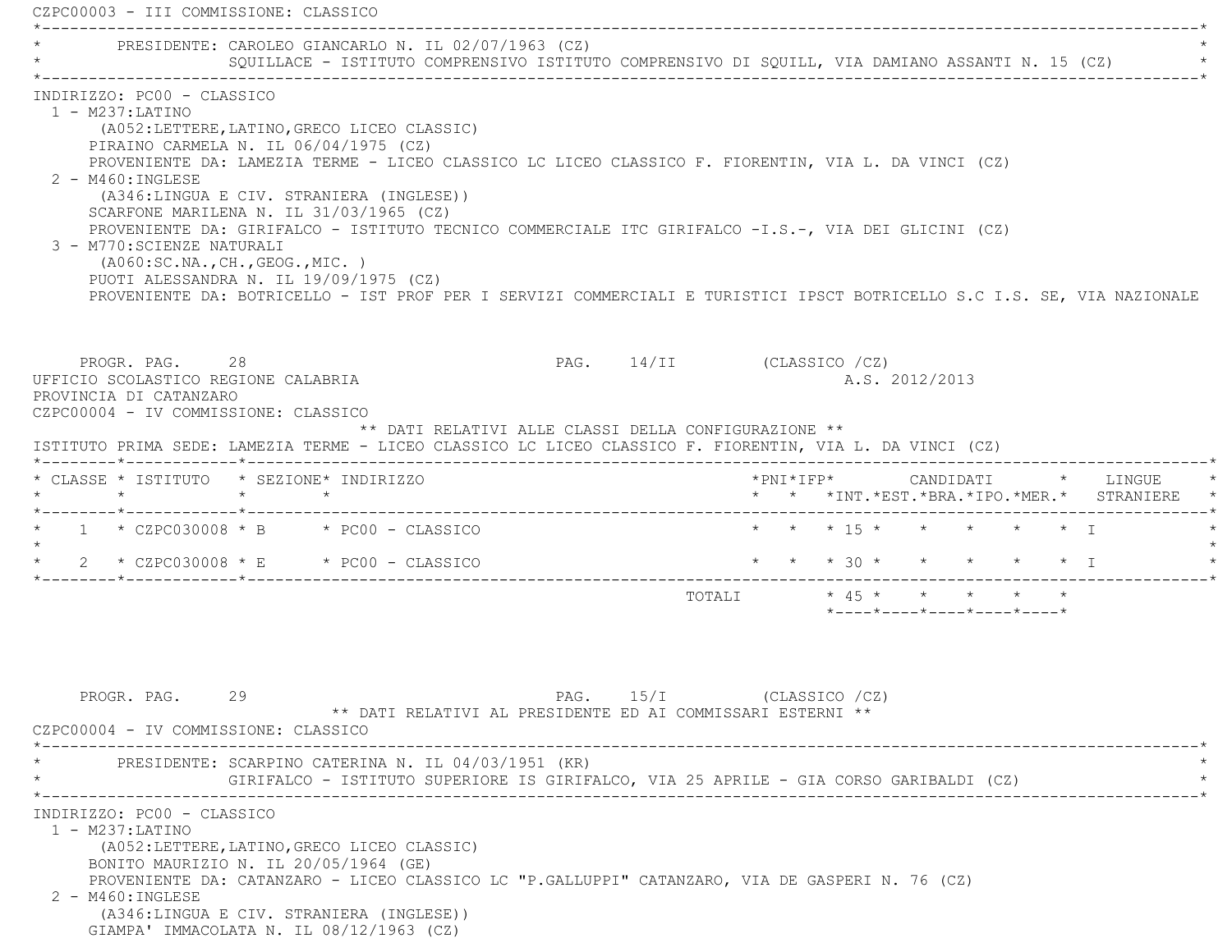CZPC00003 - III COMMISSIONE: CLASSICO \*----------------------------------------------------------------------------------------------------------------------------\*PRESIDENTE: CAROLEO GIANCARLO N. IL 02/07/1963 (CZ) \* SQUILLACE - ISTITUTO COMPRENSIVO ISTITUTO COMPRENSIVO DI SQUILL, VIA DAMIANO ASSANTI N. 15 (CZ) \* \*----------------------------------------------------------------------------------------------------------------------------\* INDIRIZZO: PC00 - CLASSICO 1 - M237:LATINO (A052:LETTERE,LATINO,GRECO LICEO CLASSIC) PIRAINO CARMELA N. IL 06/04/1975 (CZ) PROVENIENTE DA: LAMEZIA TERME - LICEO CLASSICO LC LICEO CLASSICO F. FIORENTIN, VIA L. DA VINCI (CZ) 2 - M460:INGLESE (A346:LINGUA E CIV. STRANIERA (INGLESE)) SCARFONE MARILENA N. IL 31/03/1965 (CZ) PROVENIENTE DA: GIRIFALCO - ISTITUTO TECNICO COMMERCIALE ITC GIRIFALCO -I.S.-, VIA DEI GLICINI (CZ) 3 - M770:SCIENZE NATURALI (A060:SC.NA.,CH.,GEOG.,MIC. ) PUOTI ALESSANDRA N. IL 19/09/1975 (CZ) PROVENIENTE DA: BOTRICELLO - IST PROF PER I SERVIZI COMMERCIALI E TURISTICI IPSCT BOTRICELLO S.C I.S. SE, VIA NAZIONALE PROGR. PAG. 28 28 PAG. 14/II (CLASSICO /CZ) UFFICIO SCOLASTICO REGIONE CALABRIA A.S. 2012/2013 PROVINCIA DI CATANZARO CZPC00004 - IV COMMISSIONE: CLASSICO \*\* DATI RELATIVI ALLE CLASSI DELLA CONFIGURAZIONE \*\* ISTITUTO PRIMA SEDE: LAMEZIA TERME - LICEO CLASSICO LC LICEO CLASSICO F. FIORENTIN, VIA L. DA VINCI (CZ) \*--------\*------------\*-------------------------------------------------------------------------------------------------------\* \* CLASSE \* ISTITUTO \* SEZIONE\* INDIRIZZO \*PNI\*IFP\* CANDIDATI \* LINGUE \* \* \* \* \* \* \* \*INT.\*EST.\*BRA.\*IPO.\*MER.\* STRANIERE \* \*--------\*------------\*-------------------------------------------------------------------------------------------------------\* $1 * CZPC030008 * B * PC00 - CLASSICO$  \* \* \* \* \* \* \* \* \* \* \* \* \* T  $\star$ 2 \* CZPC030008 \* E \* PC00 - CLASSICO \* \* \* \* \* 30 \* \* \* \* \* \* \* I \* \* I \*--------\*------------\*-------------------------------------------------------------------------------------------------------\* TOTALI \* 45 \* \* \* \* \* \*----\*----\*----\*----\*----\*PROGR. PAG. 29 29 PAG. 15/I (CLASSICO /CZ) \*\* DATI RELATIVI AL PRESIDENTE ED AI COMMISSARI ESTERNI \*\* CZPC00004 - IV COMMISSIONE: CLASSICO \*----------------------------------------------------------------------------------------------------------------------------\* \* PRESIDENTE: SCARPINO CATERINA N. IL 04/03/1951 (KR) \* \* GIRIFALCO - ISTITUTO SUPERIORE IS GIRIFALCO, VIA 25 APRILE - GIA CORSO GARIBALDI (CZ) \* \*----------------------------------------------------------------------------------------------------------------------------\* INDIRIZZO: PC00 - CLASSICO 1 - M237:LATINO (A052:LETTERE,LATINO,GRECO LICEO CLASSIC) BONITO MAURIZIO N. IL 20/05/1964 (GE) PROVENIENTE DA: CATANZARO - LICEO CLASSICO LC "P.GALLUPPI" CATANZARO, VIA DE GASPERI N. 76 (CZ) 2 - M460:INGLESE (A346:LINGUA E CIV. STRANIERA (INGLESE)) GIAMPA' IMMACOLATA N. IL 08/12/1963 (CZ)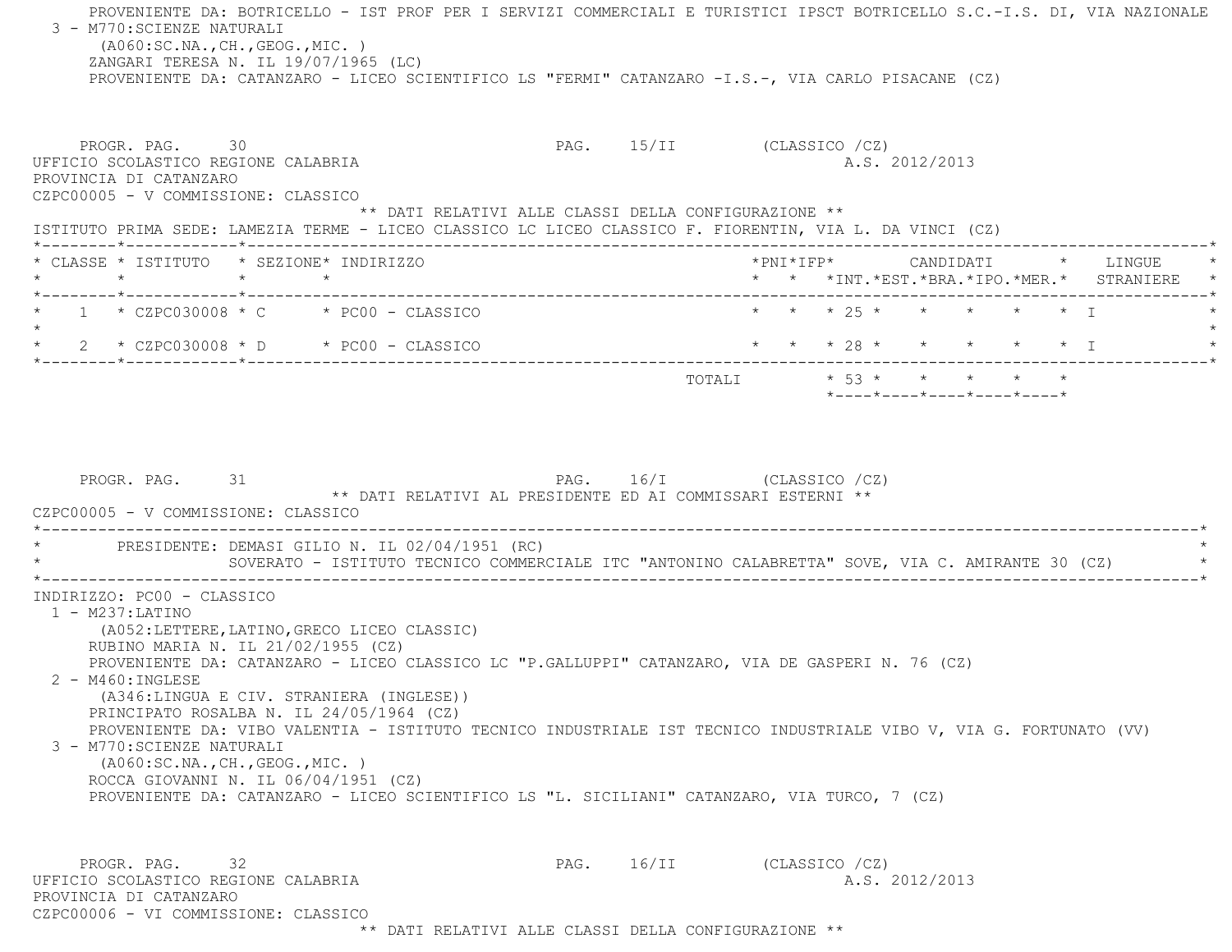PROVENIENTE DA: BOTRICELLO - IST PROF PER I SERVIZI COMMERCIALI E TURISTICI IPSCT BOTRICELLO S.C.-I.S. DI, VIA NAZIONALE 3 - M770:SCIENZE NATURALI (A060:SC.NA.,CH.,GEOG.,MIC. ) ZANGARI TERESA N. IL 19/07/1965 (LC) PROVENIENTE DA: CATANZARO - LICEO SCIENTIFICO LS "FERMI" CATANZARO -I.S.-, VIA CARLO PISACANE (CZ) PROGR. PAG. 30 30 PAG. 15/II (CLASSICO /CZ) UFFICIO SCOLASTICO REGIONE CALABRIA AND ALS. 2012/2013 PROVINCIA DI CATANZARO CZPC00005 - V COMMISSIONE: CLASSICO \*\* DATI RELATIVI ALLE CLASSI DELLA CONFIGURAZIONE \*\* ISTITUTO PRIMA SEDE: LAMEZIA TERME - LICEO CLASSICO LC LICEO CLASSICO F. FIORENTIN, VIA L. DA VINCI (CZ) \*--------\*------------\*-------------------------------------------------------------------------------------------------------\* \* CLASSE \* ISTITUTO \* SEZIONE\* INDIRIZZO \*PNI\*IFP\* CANDIDATI \* LINGUE \* \* \* \* \* \* \* \*INT.\*EST.\*BRA.\*IPO.\*MER.\* STRANIERE \* \*--------\*------------\*-------------------------------------------------------------------------------------------------------\*\* 1 \* CZPC030008 \* C \* PC00 - CLASSICO \* \* \* \* 25 \* \* \* \* \* \* \* \* T  $\star$  \* 2 \* CZPC030008 \* D \* PC00 - CLASSICO \* \* \* 28 \* \* \* \* \* I \* \*--------\*------------\*-------------------------------------------------------------------------------------------------------\* $\texttt{TOTALI} \qquad \qquad \star \quad \texttt{53}\; \star \qquad \star \qquad \star \qquad \star \qquad \star \qquad \star \qquad \star$  \*----\*----\*----\*----\*----\*PROGR. PAG. 31 31 PAG. 16/I (CLASSICO /CZ) \*\* DATI RELATIVI AL PRESIDENTE ED AI COMMISSARI ESTERNI \*\* CZPC00005 - V COMMISSIONE: CLASSICO $*$ PRESIDENTE: DEMASI GILIO N. IL 02/04/1951 (RC) SOVERATO - ISTITUTO TECNICO COMMERCIALE ITC "ANTONINO CALABRETTA" SOVE, VIA C. AMIRANTE 30 (CZ) \*----------------------------------------------------------------------------------------------------------------------------\* INDIRIZZO: PC00 - CLASSICO 1 - M237:LATINO (A052:LETTERE,LATINO,GRECO LICEO CLASSIC) RUBINO MARIA N. IL 21/02/1955 (CZ) PROVENIENTE DA: CATANZARO - LICEO CLASSICO LC "P.GALLUPPI" CATANZARO, VIA DE GASPERI N. 76 (CZ) 2 - M460:INGLESE (A346:LINGUA E CIV. STRANIERA (INGLESE)) PRINCIPATO ROSALBA N. IL 24/05/1964 (CZ) PROVENIENTE DA: VIBO VALENTIA - ISTITUTO TECNICO INDUSTRIALE IST TECNICO INDUSTRIALE VIBO V, VIA G. FORTUNATO (VV) 3 - M770:SCIENZE NATURALI (A060:SC.NA.,CH.,GEOG.,MIC. ) ROCCA GIOVANNI N. IL 06/04/1951 (CZ) PROVENIENTE DA: CATANZARO - LICEO SCIENTIFICO LS "L. SICILIANI" CATANZARO, VIA TURCO, 7 (CZ) PROGR. PAG. 32 32 PAG. 16/II (CLASSICO /CZ) UFFICIO SCOLASTICO REGIONE CALABRIA A.S. 2012/2013 PROVINCIA DI CATANZAROCZPC00006 - VI COMMISSIONE: CLASSICO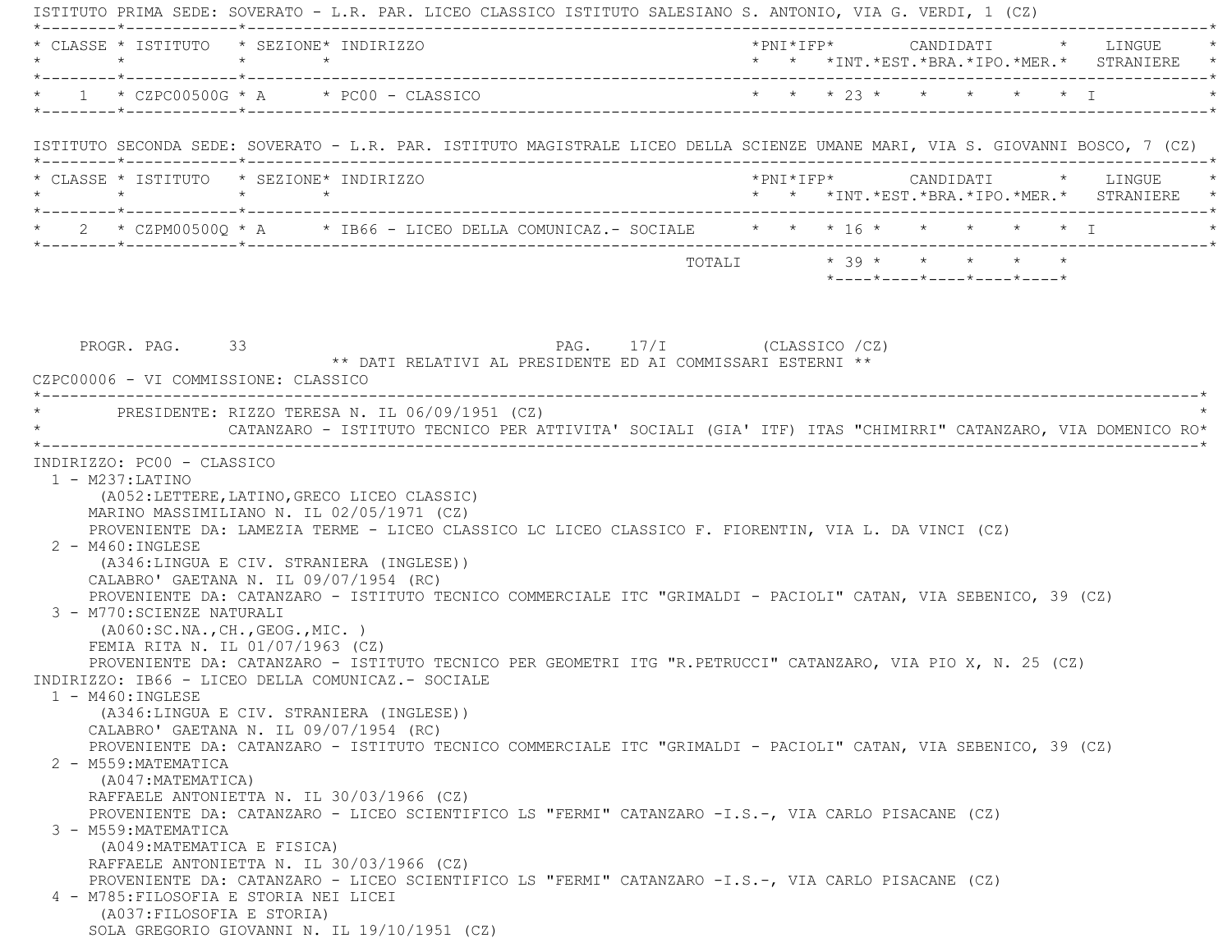ISTITUTO PRIMA SEDE: SOVERATO - L.R. PAR. LICEO CLASSICO ISTITUTO SALESIANO S. ANTONIO, VIA G. VERDI, 1 (CZ) \*--------\*------------\*-------------------------------------------------------------------------------------------------------\* \* CLASSE \* ISTITUTO \* SEZIONE\* INDIRIZZO \*PNI\*IFP\* CANDIDATI \* LINGUE \* \* \* \* \* \* \* \*INT.\*EST.\*BRA.\*IPO.\*MER.\* STRANIERE \* \*--------\*------------\*-------------------------------------------------------------------------------------------------------\* \* 1 \* CZPC00500G \* A \* PC00 - CLASSICO \* \* \* 23 \* \* \* \* \* I \* \*--------\*------------\*-------------------------------------------------------------------------------------------------------\* ISTITUTO SECONDA SEDE: SOVERATO - L.R. PAR. ISTITUTO MAGISTRALE LICEO DELLA SCIENZE UMANE MARI, VIA S. GIOVANNI BOSCO, 7 (CZ) \*--------\*------------\*-------------------------------------------------------------------------------------------------------\* \* CLASSE \* ISTITUTO \* SEZIONE\* INDIRIZZO \*PNI\*IFP\* CANDIDATI \* LINGUE \* \* \* \* \* \* \* \*INT.\*EST.\*BRA.\*IPO.\*MER.\* STRANIERE \* \*--------\*------------\*-------------------------------------------------------------------------------------------------------\*2 \* CZPM00500Q \* A \* IB66 - LICEO DELLA COMUNICAZ.- SOCIALE \* \* \* 16 \* \* \* \* \* \* \* I \*--------\*------------\*-------------------------------------------------------------------------------------------------------\* $\texttt{TOTAL} \qquad \qquad \star\quad 39\;\star\quad \star\quad \star\quad \star\quad \star\quad \star$  \*----\*----\*----\*----\*----\*PROGR. PAG. 33 3 PAG. 17/I (CLASSICO /CZ) \*\* DATI RELATIVI AL PRESIDENTE ED AI COMMISSARI ESTERNI \*\* CZPC00006 - VI COMMISSIONE: CLASSICO \*----------------------------------------------------------------------------------------------------------------------------\*PRESIDENTE: RIZZO TERESA N. IL 06/09/1951 (CZ) \* CATANZARO - ISTITUTO TECNICO PER ATTIVITA' SOCIALI (GIA' ITF) ITAS "CHIMIRRI" CATANZARO, VIA DOMENICO RO\* \*----------------------------------------------------------------------------------------------------------------------------\* INDIRIZZO: PC00 - CLASSICO 1 - M237:LATINO (A052:LETTERE,LATINO,GRECO LICEO CLASSIC) MARINO MASSIMILIANO N. IL 02/05/1971 (CZ) PROVENIENTE DA: LAMEZIA TERME - LICEO CLASSICO LC LICEO CLASSICO F. FIORENTIN, VIA L. DA VINCI (CZ) 2 - M460:INGLESE (A346:LINGUA E CIV. STRANIERA (INGLESE)) CALABRO' GAETANA N. IL 09/07/1954 (RC) PROVENIENTE DA: CATANZARO - ISTITUTO TECNICO COMMERCIALE ITC "GRIMALDI - PACIOLI" CATAN, VIA SEBENICO, 39 (CZ) 3 - M770:SCIENZE NATURALI (A060:SC.NA.,CH.,GEOG.,MIC. ) FEMIA RITA N. IL 01/07/1963 (CZ) PROVENIENTE DA: CATANZARO - ISTITUTO TECNICO PER GEOMETRI ITG "R.PETRUCCI" CATANZARO, VIA PIO X, N. 25 (CZ) INDIRIZZO: IB66 - LICEO DELLA COMUNICAZ.- SOCIALE 1 - M460:INGLESE (A346:LINGUA E CIV. STRANIERA (INGLESE)) CALABRO' GAETANA N. IL 09/07/1954 (RC) PROVENIENTE DA: CATANZARO - ISTITUTO TECNICO COMMERCIALE ITC "GRIMALDI - PACIOLI" CATAN, VIA SEBENICO, 39 (CZ) 2 - M559:MATEMATICA (A047:MATEMATICA) RAFFAELE ANTONIETTA N. IL 30/03/1966 (CZ) PROVENIENTE DA: CATANZARO - LICEO SCIENTIFICO LS "FERMI" CATANZARO -I.S.-, VIA CARLO PISACANE (CZ) 3 - M559:MATEMATICA (A049:MATEMATICA E FISICA) RAFFAELE ANTONIETTA N. IL 30/03/1966 (CZ) PROVENIENTE DA: CATANZARO - LICEO SCIENTIFICO LS "FERMI" CATANZARO -I.S.-, VIA CARLO PISACANE (CZ) 4 - M785:FILOSOFIA E STORIA NEI LICEI (A037:FILOSOFIA E STORIA) SOLA GREGORIO GIOVANNI N. IL 19/10/1951 (CZ)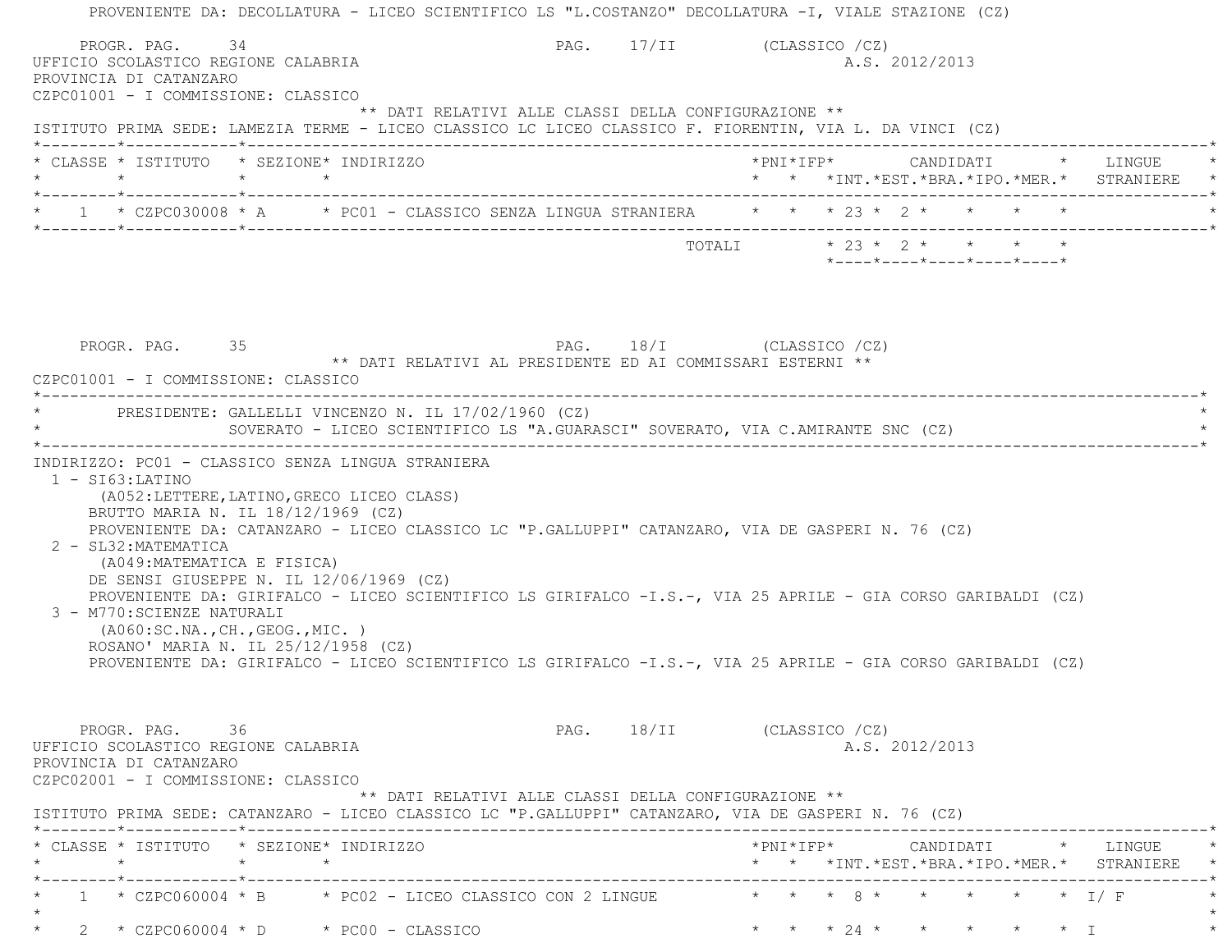| PROVENIENTE DA: DECOLLATURA - LICEO SCIENTIFICO LS "L.COSTANZO" DECOLLATURA -I, VIALE STAZIONE (CZ)                                                                                                                                                                                                                                                                                                                                                                     |                                                                                                                                                                                                                            |
|-------------------------------------------------------------------------------------------------------------------------------------------------------------------------------------------------------------------------------------------------------------------------------------------------------------------------------------------------------------------------------------------------------------------------------------------------------------------------|----------------------------------------------------------------------------------------------------------------------------------------------------------------------------------------------------------------------------|
| PROGR. PAG. 34<br>UFFICIO SCOLASTICO REGIONE CALABRIA<br>PROVINCIA DI CATANZARO<br>CZPC01001 - I COMMISSIONE: CLASSICO                                                                                                                                                                                                                                                                                                                                                  | PAG. 17/II (CLASSICO /CZ)<br>A.S. 2012/2013                                                                                                                                                                                |
| ISTITUTO PRIMA SEDE: LAMEZIA TERME - LICEO CLASSICO LC LICEO CLASSICO F. FIORENTIN, VIA L. DA VINCI (CZ)                                                                                                                                                                                                                                                                                                                                                                | ** DATI RELATIVI ALLE CLASSI DELLA CONFIGURAZIONE **                                                                                                                                                                       |
| * CLASSE * ISTITUTO * SEZIONE* INDIRIZZO<br>$\star \qquad \qquad \star \qquad \qquad \star \qquad \qquad \star$                                                                                                                                                                                                                                                                                                                                                         | * * *INT.*EST.*BRA.*IPO.*MER.* STRANIERE                                                                                                                                                                                   |
| * 1 * CZPC030008 * A * PC01 - CLASSICO SENZA LINGUA STRANIERA * * * 23 * 2 * * * * *                                                                                                                                                                                                                                                                                                                                                                                    |                                                                                                                                                                                                                            |
|                                                                                                                                                                                                                                                                                                                                                                                                                                                                         | TOTALI * 23 * 2 * * * *<br>*----*----*----*----*----*                                                                                                                                                                      |
| PROGR. PAG. 35<br>CZPC01001 - I COMMISSIONE: CLASSICO                                                                                                                                                                                                                                                                                                                                                                                                                   | PAG. 18/I (CLASSICO /CZ)<br>** DATI RELATIVI AL PRESIDENTE ED AI COMMISSARI ESTERNI **                                                                                                                                     |
| * PRESIDENTE: GALLELLI VINCENZO N. IL 17/02/1960 (CZ)                                                                                                                                                                                                                                                                                                                                                                                                                   | SOVERATO - LICEO SCIENTIFICO LS "A.GUARASCI" SOVERATO, VIA C.AMIRANTE SNC (CZ)                                                                                                                                             |
| INDIRIZZO: PC01 - CLASSICO SENZA LINGUA STRANIERA<br>$1 - ST63:LATINO$<br>(A052:LETTERE, LATINO, GRECO LICEO CLASS)<br>BRUTTO MARIA N. IL 18/12/1969 (CZ)<br>PROVENIENTE DA: CATANZARO - LICEO CLASSICO LC "P.GALLUPPI" CATANZARO, VIA DE GASPERI N. 76 (CZ)<br>2 - SL32: MATEMATICA<br>(A049: MATEMATICA E FISICA)<br>DE SENSI GIUSEPPE N. IL 12/06/1969 (CZ)<br>3 - M770: SCIENZE NATURALI<br>(AO60:SC.NA., CH., GEOG., MIC. )<br>ROSANO' MARIA N. IL 25/12/1958 (CZ) | PROVENIENTE DA: GIRIFALCO - LICEO SCIENTIFICO LS GIRIFALCO -I.S.-, VIA 25 APRILE - GIA CORSO GARIBALDI (CZ)<br>PROVENIENTE DA: GIRIFALCO - LICEO SCIENTIFICO LS GIRIFALCO -I.S.-, VIA 25 APRILE - GIA CORSO GARIBALDI (CZ) |
| PROGR. PAG. 36<br>UFFICIO SCOLASTICO REGIONE CALABRIA<br>PROVINCIA DI CATANZARO<br>CZPC02001 - I COMMISSIONE: CLASSICO                                                                                                                                                                                                                                                                                                                                                  | PAG. 18/II (CLASSICO /CZ)<br>A.S. 2012/2013<br>** DATI RELATIVI ALLE CLASSI DELLA CONFIGURAZIONE **                                                                                                                        |
| ISTITUTO PRIMA SEDE: CATANZARO - LICEO CLASSICO LC "P.GALLUPPI" CATANZARO, VIA DE GASPERI N. 76 (CZ)<br>* CLASSE * ISTITUTO   * SEZIONE* INDIRIZZO<br>$\star$ $\star$<br>$\star$                                                                                                                                                                                                                                                                                        | * * *INT. *EST. *BRA. *IPO. *MER. * STRANIERE                                                                                                                                                                              |
|                                                                                                                                                                                                                                                                                                                                                                                                                                                                         | 1 * CZPC060004 * B * PC02 - LICEO CLASSICO CON 2 LINGUE * * * 8 * * * * * * * * I/F                                                                                                                                        |
| $2 * CZPC060004 * D * PC00 - CLASSICO$                                                                                                                                                                                                                                                                                                                                                                                                                                  | * * * 24 * * * * *                                                                                                                                                                                                         |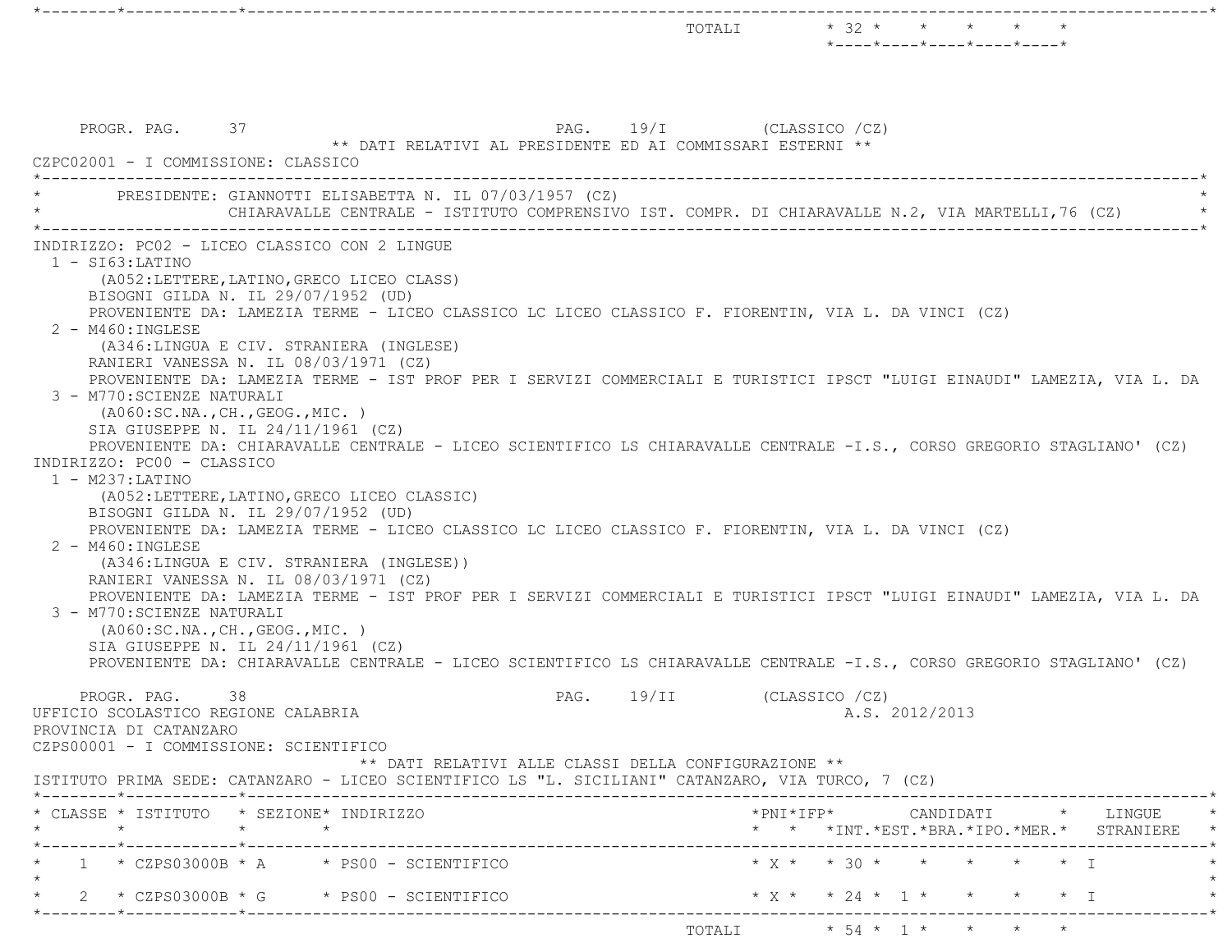|                                                                                                                                                                                                                                                                                                                                                                                                                                                                                                                                                                                                                                                                                                                                                                                                                                                                                                                                                                                                                                                                                                                                                                                                                                                                                                                                                                                                                                                            |      |                                                             | $*$ - - - - $*$ - - - - $*$ - - - - $*$ - - - - $*$ - - - - $*$ |  |  |  |
|------------------------------------------------------------------------------------------------------------------------------------------------------------------------------------------------------------------------------------------------------------------------------------------------------------------------------------------------------------------------------------------------------------------------------------------------------------------------------------------------------------------------------------------------------------------------------------------------------------------------------------------------------------------------------------------------------------------------------------------------------------------------------------------------------------------------------------------------------------------------------------------------------------------------------------------------------------------------------------------------------------------------------------------------------------------------------------------------------------------------------------------------------------------------------------------------------------------------------------------------------------------------------------------------------------------------------------------------------------------------------------------------------------------------------------------------------------|------|-------------------------------------------------------------|-----------------------------------------------------------------|--|--|--|
| PROGR. PAG. 37<br>** DATI RELATIVI AL PRESIDENTE ED AI COMMISSARI ESTERNI **<br>CZPC02001 - I COMMISSIONE: CLASSICO                                                                                                                                                                                                                                                                                                                                                                                                                                                                                                                                                                                                                                                                                                                                                                                                                                                                                                                                                                                                                                                                                                                                                                                                                                                                                                                                        |      | PAG. 19/I (CLASSICO /CZ)                                    |                                                                 |  |  |  |
| --------------------<br>PRESIDENTE: GIANNOTTI ELISABETTA N. IL 07/03/1957 (CZ)<br>CHIARAVALLE CENTRALE - ISTITUTO COMPRENSIVO IST. COMPR. DI CHIARAVALLE N.2, VIA MARTELLI, 76 (CZ)                                                                                                                                                                                                                                                                                                                                                                                                                                                                                                                                                                                                                                                                                                                                                                                                                                                                                                                                                                                                                                                                                                                                                                                                                                                                        |      |                                                             |                                                                 |  |  |  |
| INDIRIZZO: PC02 - LICEO CLASSICO CON 2 LINGUE<br>$1 - SI63:LATINO$<br>(A052:LETTERE, LATINO, GRECO LICEO CLASS)<br>BISOGNI GILDA N. IL 29/07/1952 (UD)<br>PROVENIENTE DA: LAMEZIA TERME - LICEO CLASSICO LC LICEO CLASSICO F. FIORENTIN, VIA L. DA VINCI (CZ)<br>2 - M460: INGLESE<br>(A346:LINGUA E CIV. STRANIERA (INGLESE)<br>RANIERI VANESSA N. IL 08/03/1971 (CZ)<br>PROVENIENTE DA: LAMEZIA TERME - IST PROF PER I SERVIZI COMMERCIALI E TURISTICI IPSCT "LUIGI EINAUDI" LAMEZIA, VIA L. DA<br>3 - M770: SCIENZE NATURALI<br>(AO60:SC.NA., CH., GEOG., MIC. )<br>SIA GIUSEPPE N. IL 24/11/1961 (CZ)<br>PROVENIENTE DA: CHIARAVALLE CENTRALE - LICEO SCIENTIFICO LS CHIARAVALLE CENTRALE -I.S., CORSO GREGORIO STAGLIANO' (CZ)<br>INDIRIZZO: PC00 - CLASSICO<br>$1 - M237: LATINO$<br>(A052:LETTERE, LATINO, GRECO LICEO CLASSIC)<br>BISOGNI GILDA N. IL 29/07/1952 (UD)<br>PROVENIENTE DA: LAMEZIA TERME - LICEO CLASSICO LC LICEO CLASSICO F. FIORENTIN, VIA L. DA VINCI (CZ)<br>2 - M460: INGLESE<br>(A346:LINGUA E CIV. STRANIERA (INGLESE))<br>RANIERI VANESSA N. IL 08/03/1971 (CZ)<br>PROVENIENTE DA: LAMEZIA TERME - IST PROF PER I SERVIZI COMMERCIALI E TURISTICI IPSCT "LUIGI EINAUDI" LAMEZIA, VIA L. DA<br>3 - M770: SCIENZE NATURALI<br>(A060:SC.NA., CH., GEOG., MIC.)<br>SIA GIUSEPPE N. IL 24/11/1961 (CZ)<br>PROVENIENTE DA: CHIARAVALLE CENTRALE - LICEO SCIENTIFICO LS CHIARAVALLE CENTRALE -I.S., CORSO GREGORIO STAGLIANO' (CZ) |      |                                                             |                                                                 |  |  |  |
| 38<br>PROGR. PAG.<br>UFFICIO SCOLASTICO REGIONE CALABRIA<br>PROVINCIA DI CATANZARO<br>CZPS00001 - I COMMISSIONE: SCIENTIFICO<br>** DATI RELATIVI ALLE CLASSI DELLA CONFIGURAZIONE **                                                                                                                                                                                                                                                                                                                                                                                                                                                                                                                                                                                                                                                                                                                                                                                                                                                                                                                                                                                                                                                                                                                                                                                                                                                                       | PAG. | 19/II                                                       | (CLASSICO /CZ)<br>A.S. 2012/2013                                |  |  |  |
| ISTITUTO PRIMA SEDE: CATANZARO - LICEO SCIENTIFICO LS "L. SICILIANI" CATANZARO, VIA TURCO, 7 (CZ)                                                                                                                                                                                                                                                                                                                                                                                                                                                                                                                                                                                                                                                                                                                                                                                                                                                                                                                                                                                                                                                                                                                                                                                                                                                                                                                                                          |      |                                                             |                                                                 |  |  |  |
| * CLASSE * ISTITUTO * SEZIONE* INDIRIZZO                                                                                                                                                                                                                                                                                                                                                                                                                                                                                                                                                                                                                                                                                                                                                                                                                                                                                                                                                                                                                                                                                                                                                                                                                                                                                                                                                                                                                   |      |                                                             | * * *INT. *EST. *BRA. *IPO. *MER. * STRANIERE *                 |  |  |  |
| $1 \times CZPS03000B \times A \times PS00 - SCIENTIFICO$                                                                                                                                                                                                                                                                                                                                                                                                                                                                                                                                                                                                                                                                                                                                                                                                                                                                                                                                                                                                                                                                                                                                                                                                                                                                                                                                                                                                   |      |                                                             |                                                                 |  |  |  |
| $2 \times CZ$ PS03000B * G $\times$ PS00 - SCIENTIFICO                                                                                                                                                                                                                                                                                                                                                                                                                                                                                                                                                                                                                                                                                                                                                                                                                                                                                                                                                                                                                                                                                                                                                                                                                                                                                                                                                                                                     |      |                                                             | * X * * 24 * 1 * * * * * I                                      |  |  |  |
| *--------*------------*---------                                                                                                                                                                                                                                                                                                                                                                                                                                                                                                                                                                                                                                                                                                                                                                                                                                                                                                                                                                                                                                                                                                                                                                                                                                                                                                                                                                                                                           |      | TOTALI $\star$ 54 $\star$ 1 $\star$ $\star$ $\star$ $\star$ |                                                                 |  |  |  |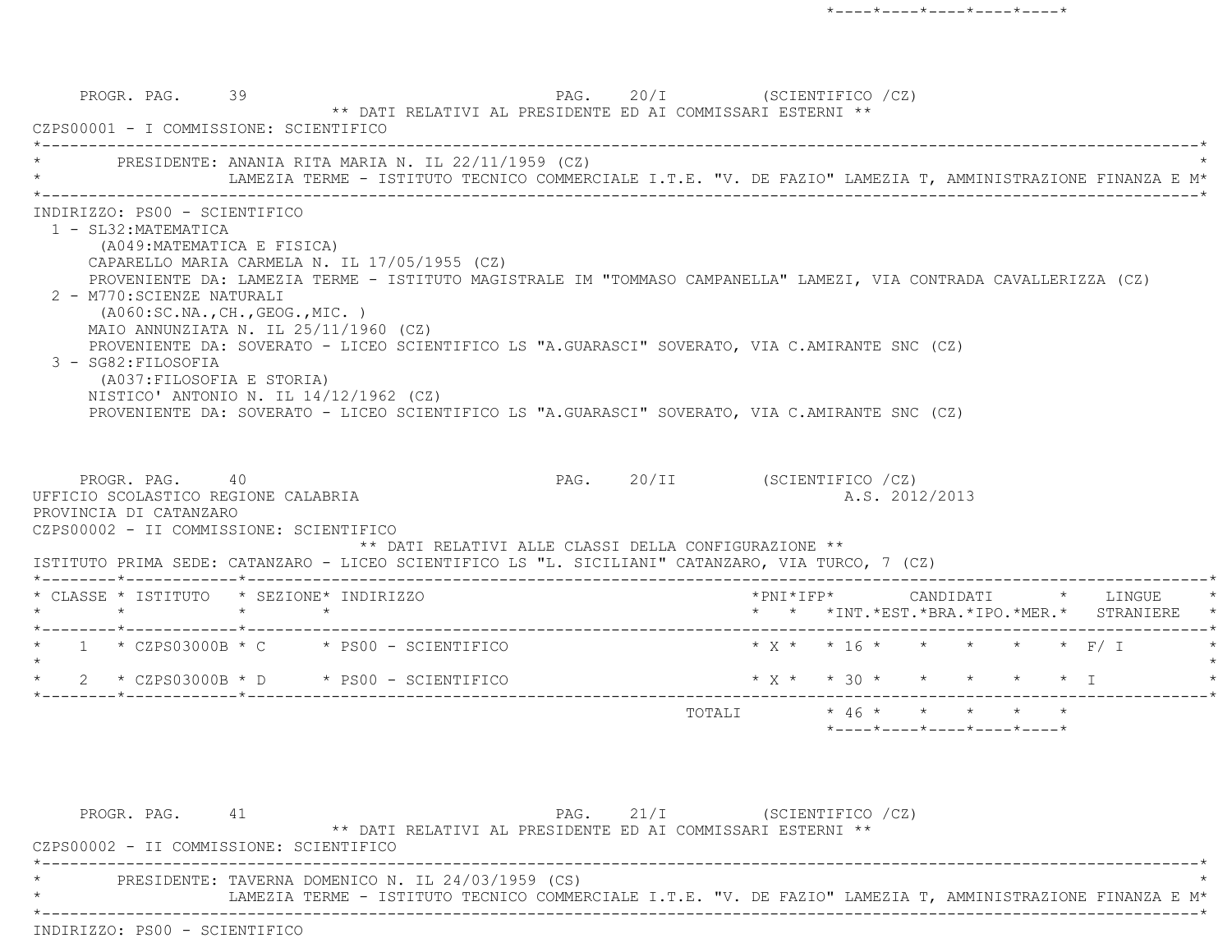PROGR. PAG. 39 39 PAG. 20/I (SCIENTIFICO /CZ) \*\* DATI RELATIVI AL PRESIDENTE ED AI COMMISSARI ESTERNI \*\* CZPS00001 - I COMMISSIONE: SCIENTIFICO \*----------------------------------------------------------------------------------------------------------------------------\*PRESIDENTE: ANANIA RITA MARIA N. IL 22/11/1959 (CZ) LAMEZIA TERME - ISTITUTO TECNICO COMMERCIALE I.T.E. "V. DE FAZIO" LAMEZIA T, AMMINISTRAZIONE FINANZA E M\* \*----------------------------------------------------------------------------------------------------------------------------\* INDIRIZZO: PS00 - SCIENTIFICO 1 - SL32:MATEMATICA (A049:MATEMATICA E FISICA) CAPARELLO MARIA CARMELA N. IL 17/05/1955 (CZ) PROVENIENTE DA: LAMEZIA TERME - ISTITUTO MAGISTRALE IM "TOMMASO CAMPANELLA" LAMEZI, VIA CONTRADA CAVALLERIZZA (CZ) 2 - M770:SCIENZE NATURALI (A060:SC.NA.,CH.,GEOG.,MIC. ) MAIO ANNUNZIATA N. IL 25/11/1960 (CZ) PROVENIENTE DA: SOVERATO - LICEO SCIENTIFICO LS "A.GUARASCI" SOVERATO, VIA C.AMIRANTE SNC (CZ) 3 - SG82:FILOSOFIA (A037:FILOSOFIA E STORIA) NISTICO' ANTONIO N. IL 14/12/1962 (CZ) PROVENIENTE DA: SOVERATO - LICEO SCIENTIFICO LS "A.GUARASCI" SOVERATO, VIA C.AMIRANTE SNC (CZ) PROGR. PAG. 40 40 PAG. 20/II (SCIENTIFICO /CZ) UFFICIO SCOLASTICO REGIONE CALABRIA AND ALS. 2012/2013 PROVINCIA DI CATANZARO CZPS00002 - II COMMISSIONE: SCIENTIFICO \*\* DATI RELATIVI ALLE CLASSI DELLA CONFIGURAZIONE \*\* ISTITUTO PRIMA SEDE: CATANZARO - LICEO SCIENTIFICO LS "L. SICILIANI" CATANZARO, VIA TURCO, 7 (CZ) \*--------\*------------\*-------------------------------------------------------------------------------------------------------\* \* CLASSE \* ISTITUTO \* SEZIONE\* INDIRIZZO \*PNI\*IFP\* CANDIDATI \* LINGUE \* \* \* \* \* \* \* \*INT.\*EST.\*BRA.\*IPO.\*MER.\* STRANIERE \* \*--------\*------------\*-------------------------------------------------------------------------------------------------------\*1 \* CZPS03000B \* C \* PS00 - SCIENTIFICO \* \* X \* \* 16 \* \* \* \* \* \* F/ I  $\star$ \* 2 \* CZPS03000B \* D \* PS00 - SCIENTIFICO \* \* \* \* \* \* \* \* \* \* \* T \*--------\*------------\*-------------------------------------------------------------------------------------------------------\* TOTALI \* 46 \* \* \* \* \*\*----\*----\*----\*----\*----\*

PROGR. PAG. 41 PAG. 21/I (SCIENTIFICO /CZ) \*\* DATI RELATIVI AL PRESIDENTE ED AI COMMISSARI ESTERNI \*\* CZPS00002 - II COMMISSIONE: SCIENTIFICO \*----------------------------------------------------------------------------------------------------------------------------\*PRESIDENTE: TAVERNA DOMENICO N. IL 24/03/1959 (CS) \* LAMEZIA TERME - ISTITUTO TECNICO COMMERCIALE I.T.E. "V. DE FAZIO" LAMEZIA T, AMMINISTRAZIONE FINANZA E M\* \*----------------------------------------------------------------------------------------------------------------------------\*INDIRIZZO: PS00 - SCIENTIFICO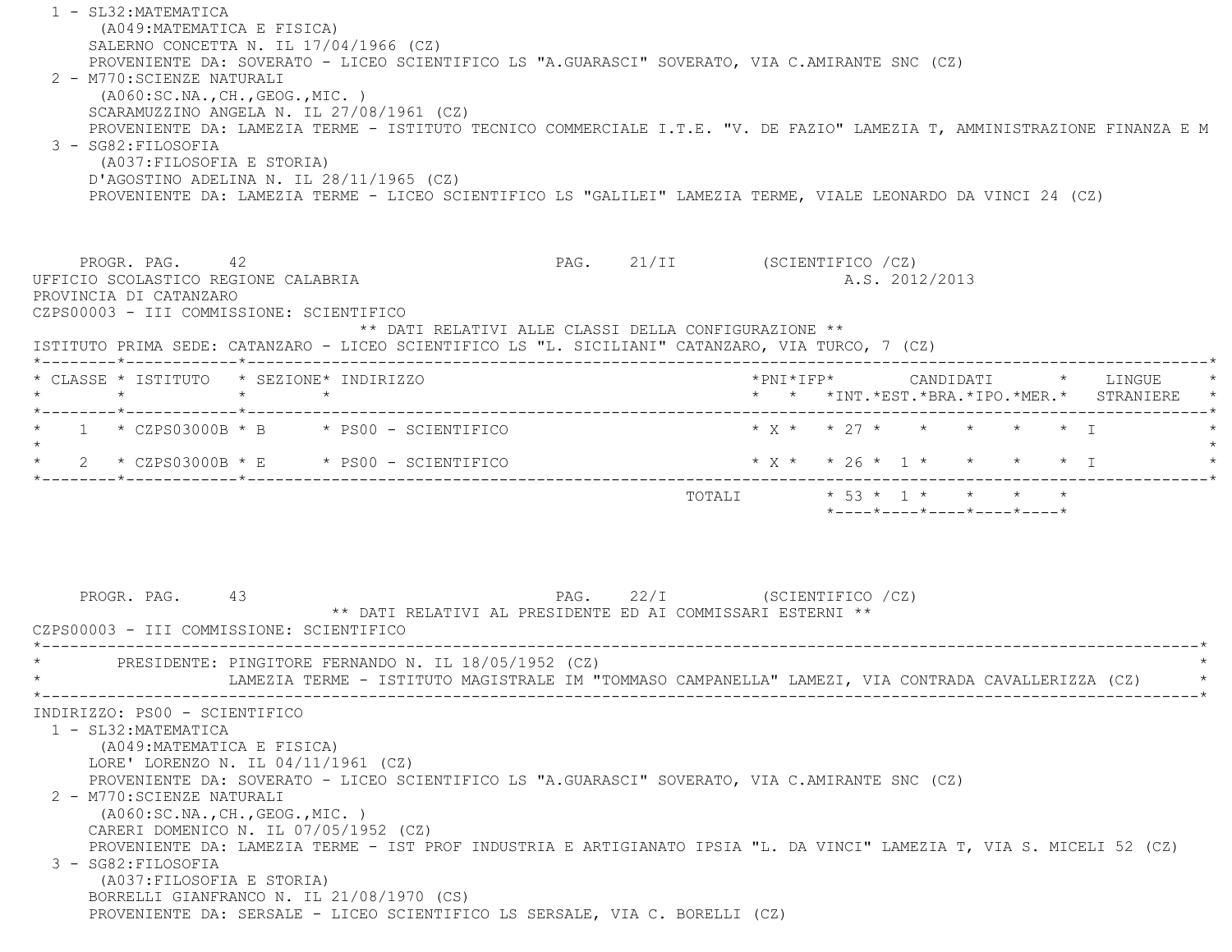1 - SL32:MATEMATICA (A049:MATEMATICA E FISICA) SALERNO CONCETTA N. IL 17/04/1966 (CZ) PROVENIENTE DA: SOVERATO - LICEO SCIENTIFICO LS "A.GUARASCI" SOVERATO, VIA C.AMIRANTE SNC (CZ) 2 - M770:SCIENZE NATURALI (A060:SC.NA.,CH.,GEOG.,MIC. ) SCARAMUZZINO ANGELA N. IL 27/08/1961 (CZ) PROVENIENTE DA: LAMEZIA TERME - ISTITUTO TECNICO COMMERCIALE I.T.E. "V. DE FAZIO" LAMEZIA T, AMMINISTRAZIONE FINANZA E M 3 - SG82:FILOSOFIA (A037:FILOSOFIA E STORIA) D'AGOSTINO ADELINA N. IL 28/11/1965 (CZ) PROVENIENTE DA: LAMEZIA TERME - LICEO SCIENTIFICO LS "GALILEI" LAMEZIA TERME, VIALE LEONARDO DA VINCI 24 (CZ) PROGR. PAG. 42 42 PAG. 21/II (SCIENTIFICO /CZ) UFFICIO SCOLASTICO REGIONE CALABRIA A.S. 2012/2013 PROVINCIA DI CATANZARO CZPS00003 - III COMMISSIONE: SCIENTIFICO \*\* DATI RELATIVI ALLE CLASSI DELLA CONFIGURAZIONE \*\* ISTITUTO PRIMA SEDE: CATANZARO - LICEO SCIENTIFICO LS "L. SICILIANI" CATANZARO, VIA TURCO, 7 (CZ) \*--------\*------------\*-------------------------------------------------------------------------------------------------------\* \* CLASSE \* ISTITUTO \* SEZIONE\* INDIRIZZO \*PNI\*IFP\* CANDIDATI \* LINGUE \* \* \* \* \* \* \* \*INT.\*EST.\*BRA.\*IPO.\*MER.\* STRANIERE \* \*--------\*------------\*-------------------------------------------------------------------------------------------------------\*1 \* CZPS03000B \* B \* PS00 - SCIENTIFICO \* \* \* \* \* \* \* \* \* \* \* \* \* I  $\star$ \* 2 \* CZPS03000B \* E \* PS00 - SCIENTIFICO \* X \* \* 26 \* 1 \* \* \* \* \* \* I \*--------\*------------\*-------------------------------------------------------------------------------------------------------\*TOTALI  $* 53 * 1 * * * * *$  \*----\*----\*----\*----\*----\*PROGR. PAG. 43 And PAG. 22/I (SCIENTIFICO /CZ) \*\* DATI RELATIVI AL PRESIDENTE ED AI COMMISSARI ESTERNI \*\* CZPS00003 - III COMMISSIONE: SCIENTIFICO \*----------------------------------------------------------------------------------------------------------------------------\*PRESIDENTE: PINGITORE FERNANDO N. IL 18/05/1952 (CZ) LAMEZIA TERME - ISTITUTO MAGISTRALE IM "TOMMASO CAMPANELLA" LAMEZI, VIA CONTRADA CAVALLERIZZA (CZ) \*----------------------------------------------------------------------------------------------------------------------------\* INDIRIZZO: PS00 - SCIENTIFICO 1 - SL32:MATEMATICA (A049:MATEMATICA E FISICA) LORE' LORENZO N. IL 04/11/1961 (CZ) PROVENIENTE DA: SOVERATO - LICEO SCIENTIFICO LS "A.GUARASCI" SOVERATO, VIA C.AMIRANTE SNC (CZ) 2 - M770:SCIENZE NATURALI (A060:SC.NA.,CH.,GEOG.,MIC. ) CARERI DOMENICO N. IL 07/05/1952 (CZ) PROVENIENTE DA: LAMEZIA TERME - IST PROF INDUSTRIA E ARTIGIANATO IPSIA "L. DA VINCI" LAMEZIA T, VIA S. MICELI 52 (CZ) 3 - SG82:FILOSOFIA (A037:FILOSOFIA E STORIA) BORRELLI GIANFRANCO N. IL 21/08/1970 (CS) PROVENIENTE DA: SERSALE - LICEO SCIENTIFICO LS SERSALE, VIA C. BORELLI (CZ)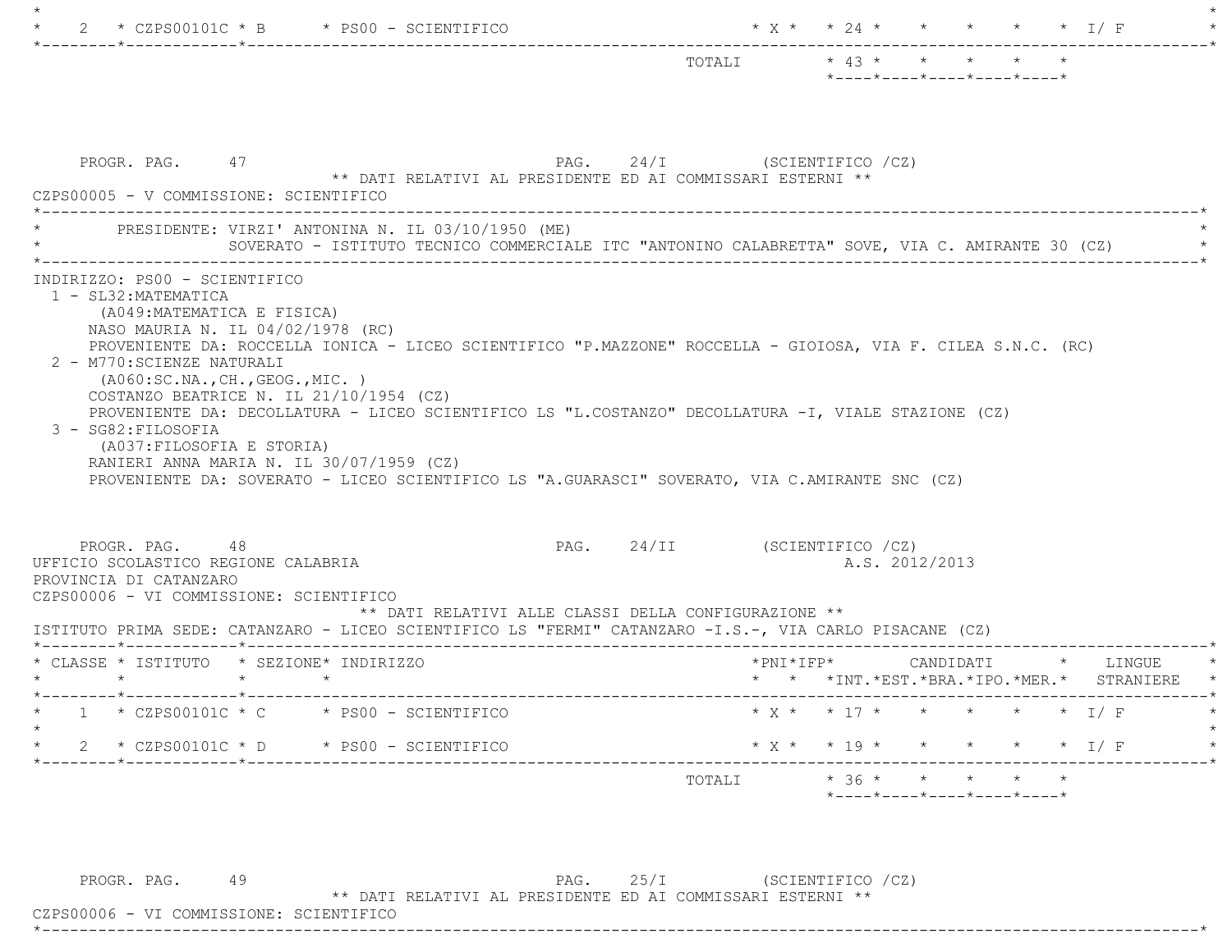|                                                                                                                                                                                                                                                                                                                                                    | $*$ ---- $*$ ---- $*$ ---- $*$ ---- $*$                                                         |  |
|----------------------------------------------------------------------------------------------------------------------------------------------------------------------------------------------------------------------------------------------------------------------------------------------------------------------------------------------------|-------------------------------------------------------------------------------------------------|--|
| PROGR. PAG. 47<br>** DATI RELATIVI AL PRESIDENTE ED AI COMMISSARI ESTERNI **<br>CZPS00005 - V COMMISSIONE: SCIENTIFICO                                                                                                                                                                                                                             | PAG. 24/I (SCIENTIFICO /CZ)                                                                     |  |
| PRESIDENTE: VIRZI' ANTONINA N. IL 03/10/1950 (ME)                                                                                                                                                                                                                                                                                                  | SOVERATO - ISTITUTO TECNICO COMMERCIALE ITC "ANTONINO CALABRETTA" SOVE, VIA C. AMIRANTE 30 (CZ) |  |
| (A049:MATEMATICA E FISICA)<br>NASO MAURIA N. IL 04/02/1978 (RC)<br>PROVENIENTE DA: ROCCELLA IONICA - LICEO SCIENTIFICO "P.MAZZONE" ROCCELLA - GIOIOSA, VIA F. CILEA S.N.C. (RC)<br>2 - M770: SCIENZE NATURALI<br>( A060:SC.NA., CH., GEOG., MIC. )                                                                                                 |                                                                                                 |  |
| COSTANZO BEATRICE N. IL $21/10/1954$ (CZ)<br>PROVENIENTE DA: DECOLLATURA - LICEO SCIENTIFICO LS "L.COSTANZO" DECOLLATURA -I, VIALE STAZIONE (CZ)<br>3 - SG82: FILOSOFIA<br>(A037:FILOSOFIA E STORIA)<br>RANIERI ANNA MARIA N. IL 30/07/1959 (CZ)<br>PROVENIENTE DA: SOVERATO - LICEO SCIENTIFICO LS "A.GUARASCI" SOVERATO, VIA C.AMIRANTE SNC (CZ) |                                                                                                 |  |
| PROGR. PAG. 48<br>** DATI RELATIVI ALLE CLASSI DELLA CONFIGURAZIONE **                                                                                                                                                                                                                                                                             | PAG. 24/II (SCIENTIFICO /CZ)<br>A.S. 2012/2013                                                  |  |
| $\star$ $\star$                                                                                                                                                                                                                                                                                                                                    |                                                                                                 |  |
| UFFICIO SCOLASTICO REGIONE CALABRIA<br>PROVINCIA DI CATANZARO<br>CZPS00006 - VI COMMISSIONE: SCIENTIFICO<br>ISTITUTO PRIMA SEDE: CATANZARO - LICEO SCIENTIFICO LS "FERMI" CATANZARO -I.S.-, VIA CARLO PISACANE (CZ)<br>* CLASSE * ISTITUTO * SEZIONE* INDIRIZZO<br>$1 \times CZPS00101C \times C \times PS00 - SCIENTIFICO$                        | * * *INT. *EST. *BRA. *IPO. *MER. * STRANIERE<br>$* x * * 17 * * * * * * * 1/F$                 |  |
| 2 * CZPS00101C * D * PS00 - SCIENTIFICO                                                                                                                                                                                                                                                                                                            | * X * * 19 * * * * * * 1/ F                                                                     |  |

 PROGR. PAG. 49 PAG. 25/I (SCIENTIFICO /CZ) \*\* DATI RELATIVI AL PRESIDENTE ED AI COMMISSARI ESTERNI \*\*

 CZPS00006 - VI COMMISSIONE: SCIENTIFICO\*----------------------------------------------------------------------------------------------------------------------------\*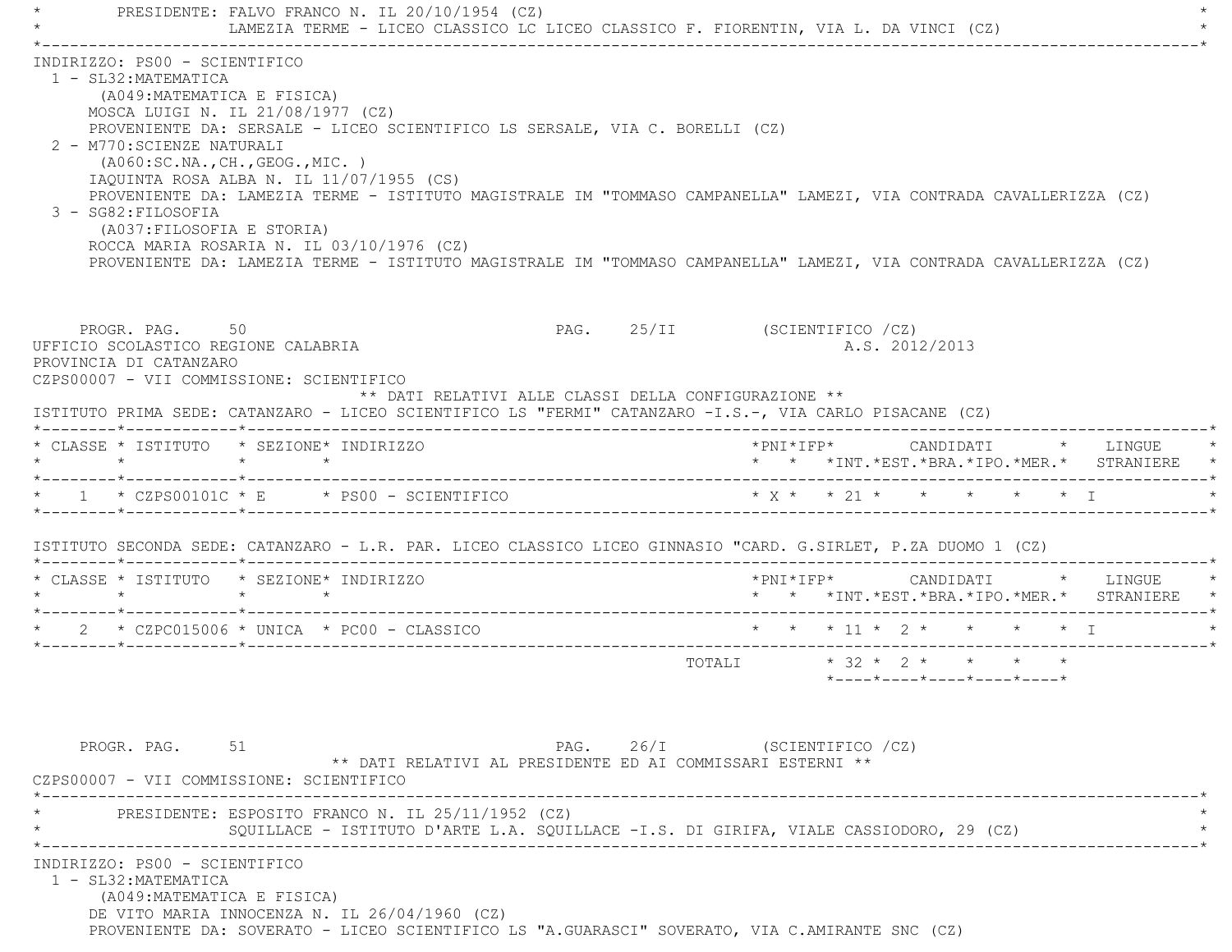PRESIDENTE: FALVO FRANCO N. IL 20/10/1954 (CZ) LAMEZIA TERME - LICEO CLASSICO LC LICEO CLASSICO F. FIORENTIN, VIA L. DA VINCI (CZ) \*----------------------------------------------------------------------------------------------------------------------------\* INDIRIZZO: PS00 - SCIENTIFICO 1 - SL32:MATEMATICA (A049:MATEMATICA E FISICA) MOSCA LUIGI N. IL 21/08/1977 (CZ) PROVENIENTE DA: SERSALE - LICEO SCIENTIFICO LS SERSALE, VIA C. BORELLI (CZ) 2 - M770:SCIENZE NATURALI (A060:SC.NA.,CH.,GEOG.,MIC. ) IAQUINTA ROSA ALBA N. IL 11/07/1955 (CS) PROVENIENTE DA: LAMEZIA TERME - ISTITUTO MAGISTRALE IM "TOMMASO CAMPANELLA" LAMEZI, VIA CONTRADA CAVALLERIZZA (CZ) 3 - SG82:FILOSOFIA (A037:FILOSOFIA E STORIA) ROCCA MARIA ROSARIA N. IL 03/10/1976 (CZ) PROVENIENTE DA: LAMEZIA TERME - ISTITUTO MAGISTRALE IM "TOMMASO CAMPANELLA" LAMEZI, VIA CONTRADA CAVALLERIZZA (CZ) PROGR. PAG. 50 50 PAG. 25/II (SCIENTIFICO /CZ) UFFICIO SCOLASTICO REGIONE CALABRIA A.S. 2012/2013 PROVINCIA DI CATANZARO CZPS00007 - VII COMMISSIONE: SCIENTIFICO \*\* DATI RELATIVI ALLE CLASSI DELLA CONFIGURAZIONE \*\* ISTITUTO PRIMA SEDE: CATANZARO - LICEO SCIENTIFICO LS "FERMI" CATANZARO -I.S.-, VIA CARLO PISACANE (CZ) \*--------\*------------\*-------------------------------------------------------------------------------------------------------\* \* CLASSE \* ISTITUTO \* SEZIONE\* INDIRIZZO \*PNI\*IFP\* CANDIDATI \* LINGUE \* \* \* \* \* \* \* \*INT.\*EST.\*BRA.\*IPO.\*MER.\* STRANIERE \* \*--------\*------------\*-------------------------------------------------------------------------------------------------------\*\* 1 \* CZPS00101C \* E \* PS00 - SCIENTIFICO \* \* \* \* \* \* \* \* \* \* \* \* \* I \*--------\*------------\*-------------------------------------------------------------------------------------------------------\* ISTITUTO SECONDA SEDE: CATANZARO - L.R. PAR. LICEO CLASSICO LICEO GINNASIO "CARD. G.SIRLET, P.ZA DUOMO 1 (CZ) \*--------\*------------\*-------------------------------------------------------------------------------------------------------\* \* CLASSE \* ISTITUTO \* SEZIONE\* INDIRIZZO \*PNI\*IFP\* CANDIDATI \* LINGUE \* \* \* \* \* \* \* \*INT.\*EST.\*BRA.\*IPO.\*MER.\* STRANIERE \* \*--------\*------------\*-------------------------------------------------------------------------------------------------------\*2 \* CZPC015006 \* UNICA \* PC00 - CLASSICO  $\star$  \* \* \* 11 \* 2 \* \* \* \* \* \* T \*--------\*------------\*-------------------------------------------------------------------------------------------------------\* TOTALI \* 32 \* 2 \* \* \* \* \*----\*----\*----\*----\*----\*PROGR. PAG. 51 51 PAG. 26/I (SCIENTIFICO /CZ) \*\* DATI RELATIVI AL PRESIDENTE ED AI COMMISSARI ESTERNI \*\* CZPS00007 - VII COMMISSIONE: SCIENTIFICO \*----------------------------------------------------------------------------------------------------------------------------\*PRESIDENTE: ESPOSITO FRANCO N. IL 25/11/1952 (CZ) SQUILLACE - ISTITUTO D'ARTE L.A. SQUILLACE -I.S. DI GIRIFA, VIALE CASSIODORO, 29 (CZ) \*----------------------------------------------------------------------------------------------------------------------------\* INDIRIZZO: PS00 - SCIENTIFICO 1 - SL32:MATEMATICA (A049:MATEMATICA E FISICA) DE VITO MARIA INNOCENZA N. IL 26/04/1960 (CZ) PROVENIENTE DA: SOVERATO - LICEO SCIENTIFICO LS "A.GUARASCI" SOVERATO, VIA C.AMIRANTE SNC (CZ)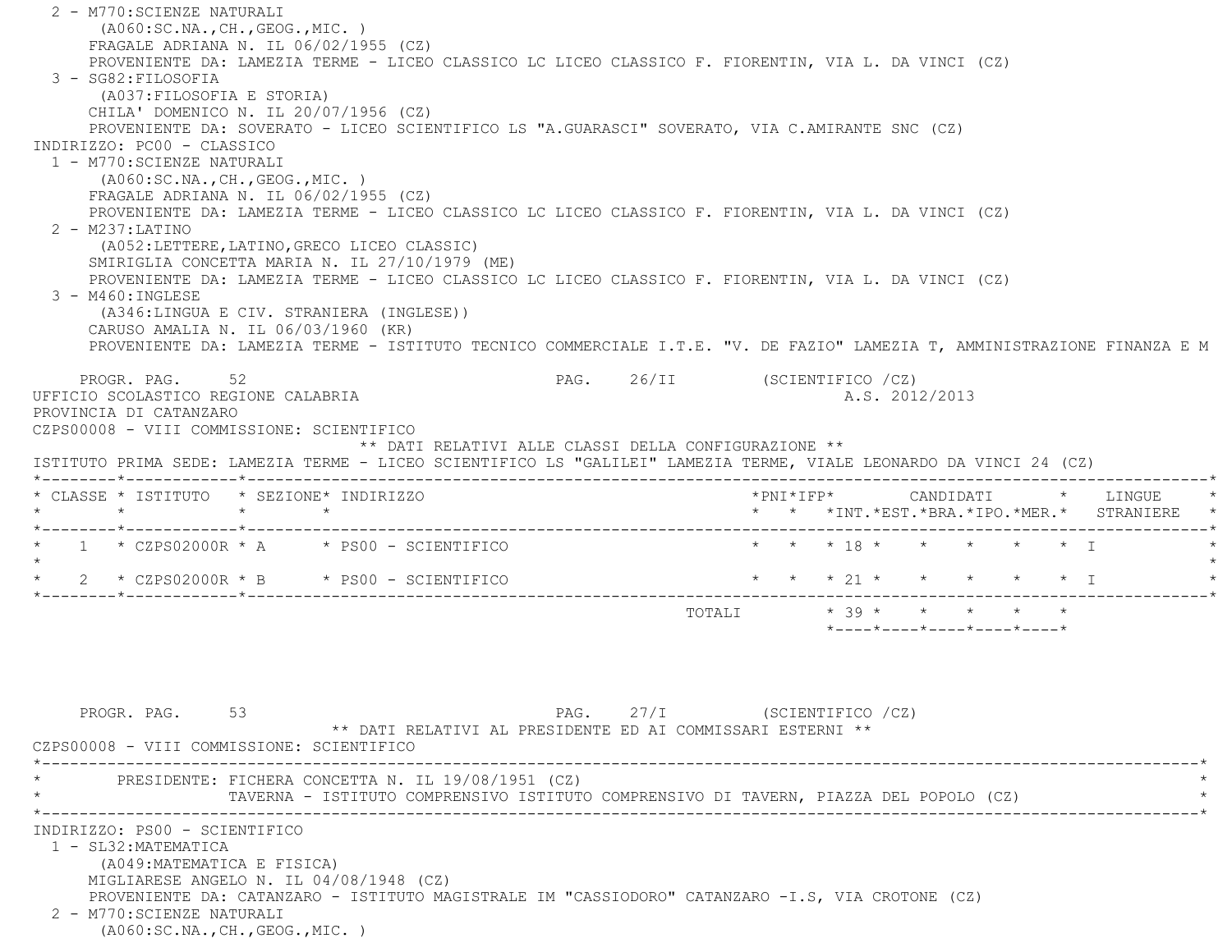2 - M770:SCIENZE NATURALI (A060:SC.NA.,CH.,GEOG.,MIC. ) FRAGALE ADRIANA N. IL 06/02/1955 (CZ) PROVENIENTE DA: LAMEZIA TERME - LICEO CLASSICO LC LICEO CLASSICO F. FIORENTIN, VIA L. DA VINCI (CZ) 3 - SG82:FILOSOFIA (A037:FILOSOFIA E STORIA) CHILA' DOMENICO N. IL 20/07/1956 (CZ) PROVENIENTE DA: SOVERATO - LICEO SCIENTIFICO LS "A.GUARASCI" SOVERATO, VIA C.AMIRANTE SNC (CZ) INDIRIZZO: PC00 - CLASSICO 1 - M770:SCIENZE NATURALI (A060:SC.NA.,CH.,GEOG.,MIC. ) FRAGALE ADRIANA N. IL 06/02/1955 (CZ) PROVENIENTE DA: LAMEZIA TERME - LICEO CLASSICO LC LICEO CLASSICO F. FIORENTIN, VIA L. DA VINCI (CZ) 2 - M237:LATINO (A052:LETTERE,LATINO,GRECO LICEO CLASSIC) SMIRIGLIA CONCETTA MARIA N. IL 27/10/1979 (ME) PROVENIENTE DA: LAMEZIA TERME - LICEO CLASSICO LC LICEO CLASSICO F. FIORENTIN, VIA L. DA VINCI (CZ) 3 - M460:INGLESE (A346:LINGUA E CIV. STRANIERA (INGLESE)) CARUSO AMALIA N. IL 06/03/1960 (KR) PROVENIENTE DA: LAMEZIA TERME - ISTITUTO TECNICO COMMERCIALE I.T.E. "V. DE FAZIO" LAMEZIA T, AMMINISTRAZIONE FINANZA E M PROGR. PAG. 52 52 PAG. 26/II (SCIENTIFICO /CZ) UFFICIO SCOLASTICO REGIONE CALABRIA A.S. 2012/2013 PROVINCIA DI CATANZARO CZPS00008 - VIII COMMISSIONE: SCIENTIFICO \*\* DATI RELATIVI ALLE CLASSI DELLA CONFIGURAZIONE \*\* ISTITUTO PRIMA SEDE: LAMEZIA TERME - LICEO SCIENTIFICO LS "GALILEI" LAMEZIA TERME, VIALE LEONARDO DA VINCI 24 (CZ) \*--------\*------------\*-------------------------------------------------------------------------------------------------------\* \* CLASSE \* ISTITUTO \* SEZIONE\* INDIRIZZO \*PNI\*IFP\* CANDIDATI \* LINGUE \* \* \* \* \* \* \* \*INT.\*EST.\*BRA.\*IPO.\*MER.\* STRANIERE \* \*--------\*------------\*-------------------------------------------------------------------------------------------------------\*1 \* CZPS02000R \* A \* PS00 - SCIENTIFICO \* \* \* \* 18 \* \* \* \* \* \* \* \* I  $\star$ \* 2 \* CZPS02000R \* B \* PS00 - SCIENTIFICO \* \* \* \* 21 \* \* \* \* \* \* \* I \*--------\*------------\*-------------------------------------------------------------------------------------------------------\* TOTALI \* 39 \* \* \* \* \* $*$ ---- $*$ ---- $*$ ---- $*$ ---- $*$ ---- $*$ 

PROGR. PAG. 53 53 PAG. 27/I (SCIENTIFICO /CZ) \*\* DATI RELATIVI AL PRESIDENTE ED AI COMMISSARI ESTERNI \*\* CZPS00008 - VIII COMMISSIONE: SCIENTIFICO \*----------------------------------------------------------------------------------------------------------------------------\*PRESIDENTE: FICHERA CONCETTA N. IL 19/08/1951 (CZ) \* TAVERNA - ISTITUTO COMPRENSIVO ISTITUTO COMPRENSIVO DI TAVERN, PIAZZA DEL POPOLO (CZ) \* \*----------------------------------------------------------------------------------------------------------------------------\* INDIRIZZO: PS00 - SCIENTIFICO 1 - SL32:MATEMATICA (A049:MATEMATICA E FISICA) MIGLIARESE ANGELO N. IL 04/08/1948 (CZ) PROVENIENTE DA: CATANZARO - ISTITUTO MAGISTRALE IM "CASSIODORO" CATANZARO -I.S, VIA CROTONE (CZ) 2 - M770:SCIENZE NATURALI(A060:SC.NA.,CH.,GEOG.,MIC. )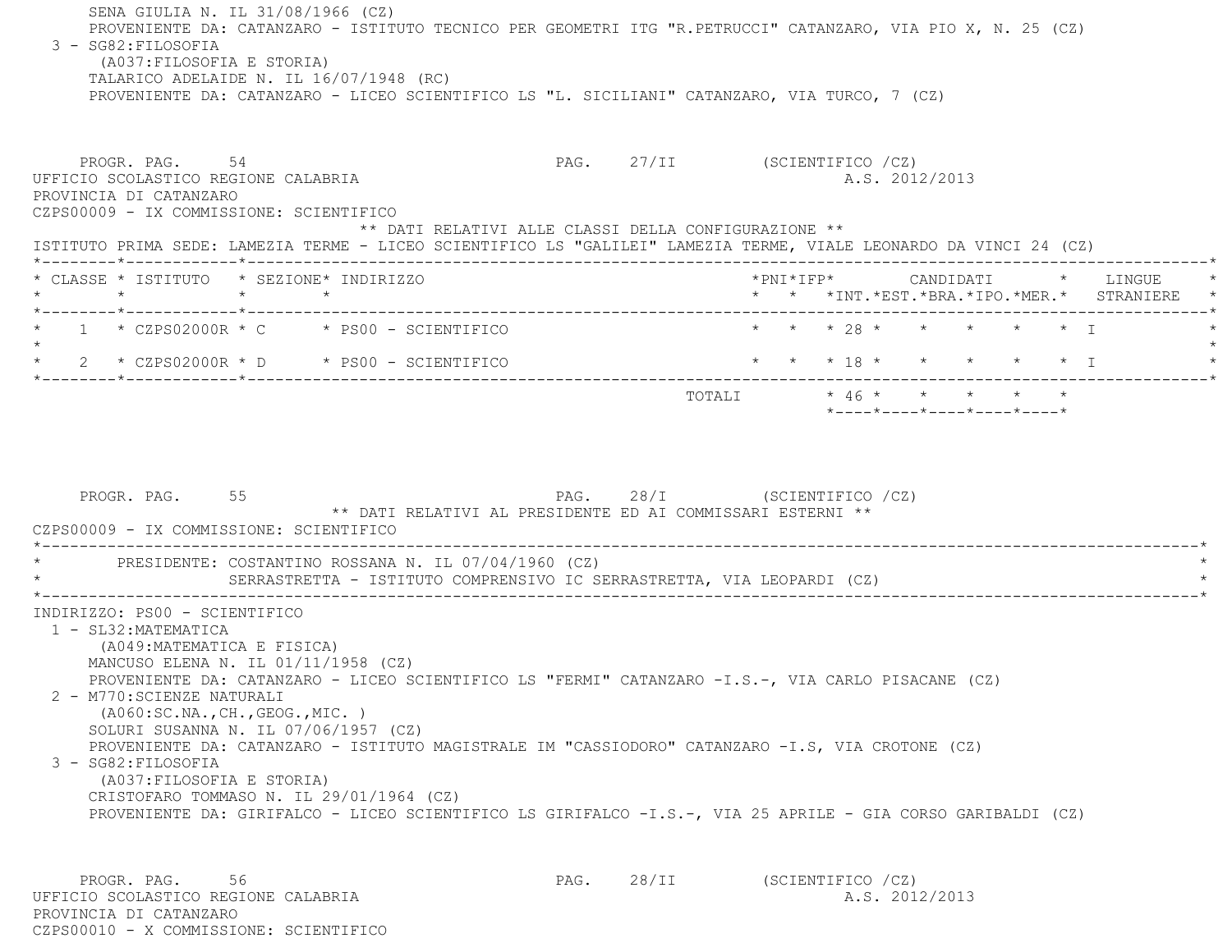SENA GIULIA N. IL 31/08/1966 (CZ) PROVENIENTE DA: CATANZARO - ISTITUTO TECNICO PER GEOMETRI ITG "R.PETRUCCI" CATANZARO, VIA PIO X, N. 25 (CZ) 3 - SG82:FILOSOFIA (A037:FILOSOFIA E STORIA) TALARICO ADELAIDE N. IL 16/07/1948 (RC) PROVENIENTE DA: CATANZARO - LICEO SCIENTIFICO LS "L. SICILIANI" CATANZARO, VIA TURCO, 7 (CZ) PROGR. PAG. 54 SALLA SERIENTIFICO (CZ) UFFICIO SCOLASTICO REGIONE CALABRIA AND ALS. 2012/2013 PROVINCIA DI CATANZARO CZPS00009 - IX COMMISSIONE: SCIENTIFICO \*\* DATI RELATIVI ALLE CLASSI DELLA CONFIGURAZIONE \*\* ISTITUTO PRIMA SEDE: LAMEZIA TERME - LICEO SCIENTIFICO LS "GALILEI" LAMEZIA TERME, VIALE LEONARDO DA VINCI 24 (CZ) \*--------\*------------\*-------------------------------------------------------------------------------------------------------\* \* CLASSE \* ISTITUTO \* SEZIONE\* INDIRIZZO \*PNI\*IFP\* CANDIDATI \* LINGUE \* \* \* \* \* \* \* \*INT.\*EST.\*BRA.\*IPO.\*MER.\* STRANIERE \* \*--------\*------------\*-------------------------------------------------------------------------------------------------------\*1 \* CZPS02000R \* C \* PS00 - SCIENTIFICO \* \* \* \* \* 28 \* \* \* \* \* \* \* \* I  $\star$  \* 2 \* CZPS02000R \* D \* PS00 - SCIENTIFICO \* \* \* 18 \* \* \* \* \* I \* \*--------\*------------\*-------------------------------------------------------------------------------------------------------\*TOTALI  $* 46 * * * * * * * * * *$  \*----\*----\*----\*----\*----\*PROGR. PAG. 55 5 PAG. 28/I (SCIENTIFICO /CZ) \*\* DATI RELATIVI AL PRESIDENTE ED AI COMMISSARI ESTERNI \*\* CZPS00009 - IX COMMISSIONE: SCIENTIFICO \*----------------------------------------------------------------------------------------------------------------------------\*PRESIDENTE: COSTANTINO ROSSANA N. IL 07/04/1960 (CZ) SERRASTRETTA - ISTITUTO COMPRENSIVO IC SERRASTRETTA, VIA LEOPARDI (CZ) \*----------------------------------------------------------------------------------------------------------------------------\* INDIRIZZO: PS00 - SCIENTIFICO 1 - SL32:MATEMATICA (A049:MATEMATICA E FISICA) MANCUSO ELENA N. IL 01/11/1958 (CZ) PROVENIENTE DA: CATANZARO - LICEO SCIENTIFICO LS "FERMI" CATANZARO -I.S.-, VIA CARLO PISACANE (CZ) 2 - M770:SCIENZE NATURALI (A060:SC.NA.,CH.,GEOG.,MIC. ) SOLURI SUSANNA N. IL 07/06/1957 (CZ) PROVENIENTE DA: CATANZARO - ISTITUTO MAGISTRALE IM "CASSIODORO" CATANZARO -I.S, VIA CROTONE (CZ) 3 - SG82:FILOSOFIA (A037:FILOSOFIA E STORIA) CRISTOFARO TOMMASO N. IL 29/01/1964 (CZ) PROVENIENTE DA: GIRIFALCO - LICEO SCIENTIFICO LS GIRIFALCO -I.S.-, VIA 25 APRILE - GIA CORSO GARIBALDI (CZ) PROGR. PAG. 56 56 PAG. 28/II (SCIENTIFICO /CZ)

UFFICIO SCOLASTICO REGIONE CALABRIA A.S. 2012/2013 PROVINCIA DI CATANZAROCZPS00010 - X COMMISSIONE: SCIENTIFICO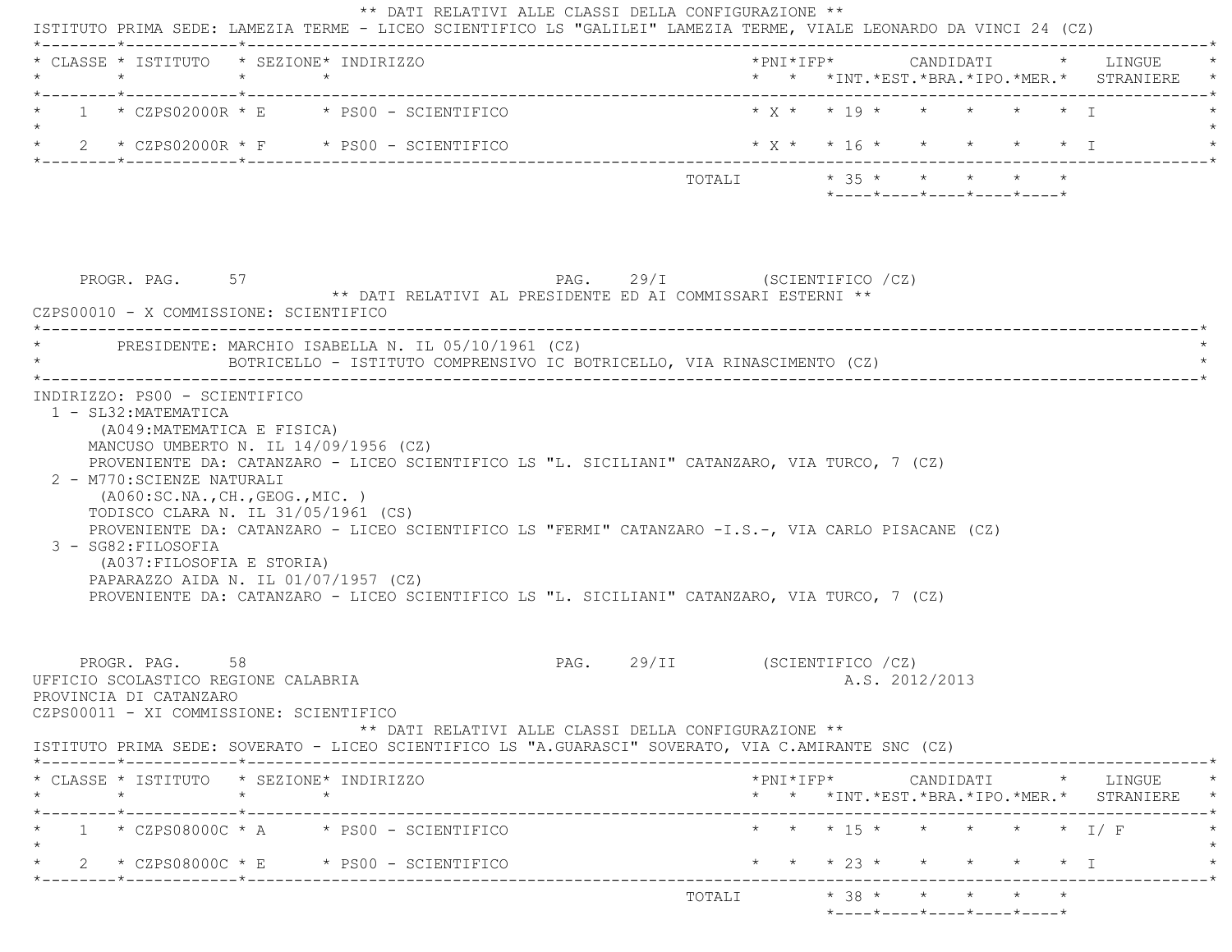|                                                                                                                            | $\star$ $\star$                                               | * CLASSE * ISTITUTO * SEZIONE* INDIRIZZO                                                                                                                                                                                                                                          |                              |                                                                                                                                  |  |  | * * *INT. *EST. *BRA. *IPO. *MER. * STRANIERE                                                   |
|----------------------------------------------------------------------------------------------------------------------------|---------------------------------------------------------------|-----------------------------------------------------------------------------------------------------------------------------------------------------------------------------------------------------------------------------------------------------------------------------------|------------------------------|----------------------------------------------------------------------------------------------------------------------------------|--|--|-------------------------------------------------------------------------------------------------|
|                                                                                                                            |                                                               | $1 \times CZPS02000R \times E \times PS00 - SCIENTIFICO$                                                                                                                                                                                                                          |                              | $\star$ $\chi$ $\star$ $\star$ $\star$ $\uparrow$ $\star$ $\uparrow$ $\star$ $\uparrow$ $\star$ $\uparrow$ $\uparrow$ $\uparrow$ |  |  |                                                                                                 |
|                                                                                                                            |                                                               | * $2$ * CZPS02000R * F * PS00 - SCIENTIFICO                                                                                                                                                                                                                                       |                              |                                                                                                                                  |  |  |                                                                                                 |
|                                                                                                                            |                                                               |                                                                                                                                                                                                                                                                                   |                              | TOTALI * 35 * * * * * *<br>$*$ ---- $*$ ---- $*$ ---- $*$ ---- $*$ ---- $*$                                                      |  |  |                                                                                                 |
| PROGR. PAG. 57<br>CZPS00010 - X COMMISSIONE: SCIENTIFICO                                                                   |                                                               | ** DATI RELATIVI AL PRESIDENTE ED AI COMMISSARI ESTERNI **                                                                                                                                                                                                                        | PAG. 29/I (SCIENTIFICO /CZ)  |                                                                                                                                  |  |  |                                                                                                 |
|                                                                                                                            |                                                               | PRESIDENTE: MARCHIO ISABELLA N. IL 05/10/1961 (CZ)<br>BOTRICELLO - ISTITUTO COMPRENSIVO IC BOTRICELLO, VIA RINASCIMENTO (CZ)                                                                                                                                                      |                              |                                                                                                                                  |  |  |                                                                                                 |
| 3 - SG82: FILOSOFIA                                                                                                        | (AO60:SC.NA., CH., GEOG., MIC. )<br>(A037:FILOSOFIA E STORIA) | TODISCO CLARA N. IL 31/05/1961 (CS)<br>PROVENIENTE DA: CATANZARO - LICEO SCIENTIFICO LS "FERMI" CATANZARO -I.S.-, VIA CARLO PISACANE (CZ)<br>PAPARAZZO AIDA N. IL 01/07/1957 (CZ)<br>PROVENIENTE DA: CATANZARO - LICEO SCIENTIFICO LS "L. SICILIANI" CATANZARO, VIA TURCO, 7 (CZ) |                              |                                                                                                                                  |  |  |                                                                                                 |
|                                                                                                                            |                                                               |                                                                                                                                                                                                                                                                                   | PAG. 29/II (SCIENTIFICO /CZ) | A.S. 2012/2013                                                                                                                   |  |  |                                                                                                 |
| PROGR. PAG. 58<br>UFFICIO SCOLASTICO REGIONE CALABRIA<br>PROVINCIA DI CATANZARO<br>CZPS00011 - XI COMMISSIONE: SCIENTIFICO |                                                               | ** DATI RELATIVI ALLE CLASSI DELLA CONFIGURAZIONE **                                                                                                                                                                                                                              |                              |                                                                                                                                  |  |  |                                                                                                 |
|                                                                                                                            |                                                               | ISTITUTO PRIMA SEDE: SOVERATO - LICEO SCIENTIFICO LS "A.GUARASCI" SOVERATO, VIA C.AMIRANTE SNC (CZ)<br>* CLASSE * ISTITUTO * SEZIONE* INDIRIZZO                                                                                                                                   |                              |                                                                                                                                  |  |  | $*PNI*IFP* \qquad \qquad \text{CANDIDATI} \qquad \qquad * \qquad \text{LINGUE} \qquad \qquad *$ |
|                                                                                                                            |                                                               |                                                                                                                                                                                                                                                                                   |                              |                                                                                                                                  |  |  | * * *INT.*EST.*BRA.*IPO.*MER.* STRANIERE *                                                      |
|                                                                                                                            |                                                               | $1 \times CZPS08000C \times A \times PS00 - SCIENTIFICO$                                                                                                                                                                                                                          |                              | * * * 15 * * * * * * 1/ F                                                                                                        |  |  |                                                                                                 |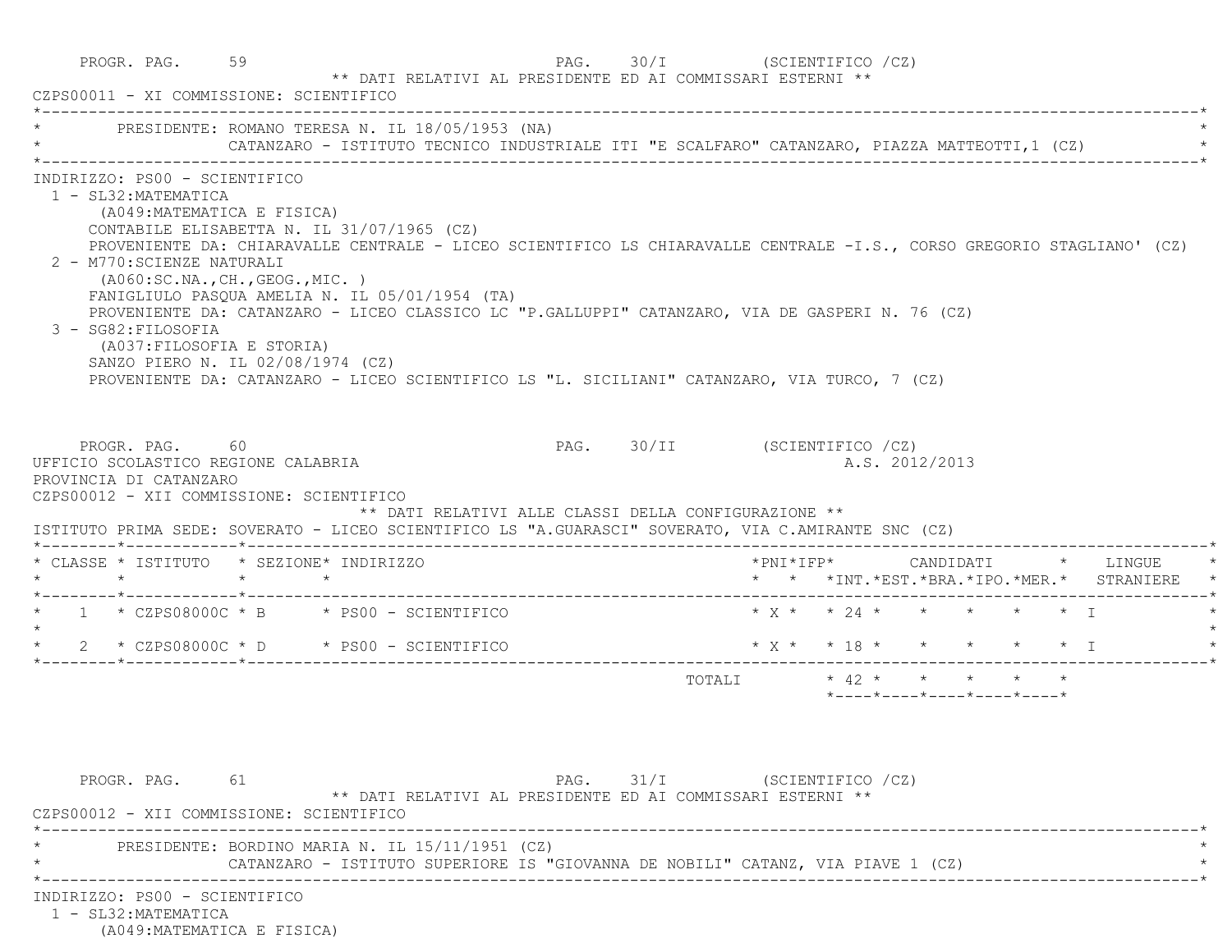|                                                                                                                                                                                                                                                   | * PRESIDENTE: ROMANO TERESA N. IL 18/05/1953 (NA)<br>CATANZARO - ISTITUTO TECNICO INDUSTRIALE ITI "E SCALFARO" CATANZARO, PIAZZA MATTEOTTI,1 (CZ)                                                                                                                                                                                                                                                                         |                              |                                |                                                                 |                |  |                                                                                             |
|---------------------------------------------------------------------------------------------------------------------------------------------------------------------------------------------------------------------------------------------------|---------------------------------------------------------------------------------------------------------------------------------------------------------------------------------------------------------------------------------------------------------------------------------------------------------------------------------------------------------------------------------------------------------------------------|------------------------------|--------------------------------|-----------------------------------------------------------------|----------------|--|---------------------------------------------------------------------------------------------|
| INDIRIZZO: PS00 - SCIENTIFICO<br>1 - SL32: MATEMATICA<br>(A049: MATEMATICA E FISICA)<br>2 - M770: SCIENZE NATURALI<br>( A060:SC.NA., CH., GEOG., MIC. )<br>3 - SG82: FILOSOFIA<br>(A037: FILOSOFIA E STORIA)<br>SANZO PIERO N. IL 02/08/1974 (CZ) | CONTABILE ELISABETTA N. IL 31/07/1965 (CZ)<br>PROVENIENTE DA: CHIARAVALLE CENTRALE - LICEO SCIENTIFICO LS CHIARAVALLE CENTRALE -I.S., CORSO GREGORIO STAGLIANO' (CZ)<br>FANIGLIULO PASQUA AMELIA N. IL 05/01/1954 (TA)<br>PROVENIENTE DA: CATANZARO - LICEO CLASSICO LC "P.GALLUPPI" CATANZARO, VIA DE GASPERI N. 76 (CZ)<br>PROVENIENTE DA: CATANZARO - LICEO SCIENTIFICO LS "L. SICILIANI" CATANZARO, VIA TURCO, 7 (CZ) |                              |                                |                                                                 |                |  |                                                                                             |
|                                                                                                                                                                                                                                                   |                                                                                                                                                                                                                                                                                                                                                                                                                           |                              |                                |                                                                 |                |  |                                                                                             |
| PROGR. PAG. 60<br>UFFICIO SCOLASTICO REGIONE CALABRIA<br>PROVINCIA DI CATANZARO<br>CZPS00012 - XII COMMISSIONE: SCIENTIFICO                                                                                                                       | ** DATI RELATIVI ALLE CLASSI DELLA CONFIGURAZIONE **<br>ISTITUTO PRIMA SEDE: SOVERATO - LICEO SCIENTIFICO LS "A.GUARASCI" SOVERATO, VIA C.AMIRANTE SNC (CZ)                                                                                                                                                                                                                                                               | PAG. 30/II (SCIENTIFICO /CZ) |                                |                                                                 | A.S. 2012/2013 |  |                                                                                             |
| * CLASSE * ISTITUTO * SEZIONE* INDIRIZZO<br>$\star$ $\star$ $\star$                                                                                                                                                                               |                                                                                                                                                                                                                                                                                                                                                                                                                           |                              |                                |                                                                 |                |  | * * *INT. *EST. *BRA. *IPO. *MER. * STRANIERE                                               |
|                                                                                                                                                                                                                                                   | * $1$ * CZPS08000C * B * PS00 - SCIENTIFICO                                                                                                                                                                                                                                                                                                                                                                               |                              | $* x * x * 24 * * * * * * * T$ |                                                                 |                |  |                                                                                             |
|                                                                                                                                                                                                                                                   | $\star$ 2 $\star$ CZPS08000C $\star$ D $\star$ PS00 - SCIENTIFICO                                                                                                                                                                                                                                                                                                                                                         |                              |                                |                                                                 |                |  | $\star$ x $\star$ $\star$ 18 $\star$ $\star$ $\star$ $\star$ $\star$ $\star$ $\downarrow$ I |
|                                                                                                                                                                                                                                                   |                                                                                                                                                                                                                                                                                                                                                                                                                           |                              | TOTALI * 42 * * * * * *        | $*$ - - - - $*$ - - - - $*$ - - - - $*$ - - - - $*$ - - - - $*$ |                |  |                                                                                             |
| PROGR. PAG. 61<br>CZPS00012 - XII COMMISSIONE: SCIENTIFICO                                                                                                                                                                                        | ** DATI RELATIVI AL PRESIDENTE ED AI COMMISSARI ESTERNI **                                                                                                                                                                                                                                                                                                                                                                | PAG. 31/I (SCIENTIFICO /CZ)  |                                |                                                                 |                |  |                                                                                             |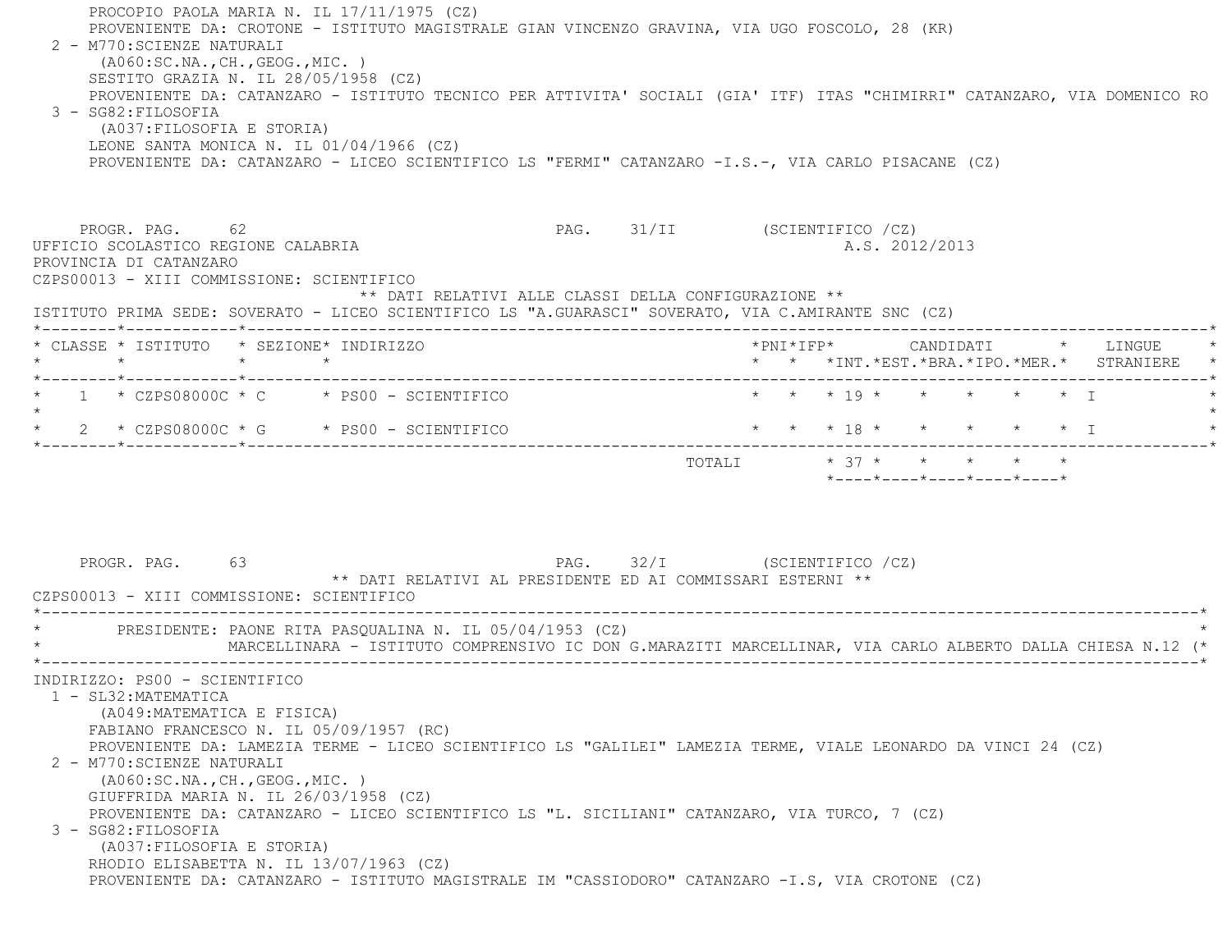PROCOPIO PAOLA MARIA N. IL 17/11/1975 (CZ) PROVENIENTE DA: CROTONE - ISTITUTO MAGISTRALE GIAN VINCENZO GRAVINA, VIA UGO FOSCOLO, 28 (KR) 2 - M770:SCIENZE NATURALI (A060:SC.NA.,CH.,GEOG.,MIC. ) SESTITO GRAZIA N. IL 28/05/1958 (CZ) PROVENIENTE DA: CATANZARO - ISTITUTO TECNICO PER ATTIVITA' SOCIALI (GIA' ITF) ITAS "CHIMIRRI" CATANZARO, VIA DOMENICO RO 3 - SG82:FILOSOFIA (A037:FILOSOFIA E STORIA) LEONE SANTA MONICA N. IL 01/04/1966 (CZ) PROVENIENTE DA: CATANZARO - LICEO SCIENTIFICO LS "FERMI" CATANZARO -I.S.-, VIA CARLO PISACANE (CZ) PROGR. PAG. 62 62 RAG. 931/II (SCIENTIFICO / CZ) UFFICIO SCOLASTICO REGIONE CALABRIA A.S. 2012/2013 PROVINCIA DI CATANZARO CZPS00013 - XIII COMMISSIONE: SCIENTIFICO \*\* DATI RELATIVI ALLE CLASSI DELLA CONFIGURAZIONE \*\* ISTITUTO PRIMA SEDE: SOVERATO - LICEO SCIENTIFICO LS "A.GUARASCI" SOVERATO, VIA C.AMIRANTE SNC (CZ) \*--------\*------------\*-------------------------------------------------------------------------------------------------------\* \* CLASSE \* ISTITUTO \* SEZIONE\* INDIRIZZO \*PNI\*IFP\* CANDIDATI \* LINGUE \* \* \* \* \* \* \* \*INT.\*EST.\*BRA.\*IPO.\*MER.\* STRANIERE \* \*--------\*------------\*-------------------------------------------------------------------------------------------------------\*\* 1 \* CZPS08000C \* C \* PS00 - SCIENTIFICO \* \* \* \* 19 \* \* \* \* \* \* \* I  $\star$ \* 2 \* CZPS08000C \* G \* PS00 - SCIENTIFICO \* \* \* \* 18 \* \* \* \* \* \* \* \* I \*--------\*------------\*-------------------------------------------------------------------------------------------------------\* TOTALI \* 37 \* \* \* \* \* \*----\*----\*----\*----\*----\*PROGR. PAG. 63 63 PAG. 32/I (SCIENTIFICO / CZ) \*\* DATI RELATIVI AL PRESIDENTE ED AI COMMISSARI ESTERNI \*\* CZPS00013 - XIII COMMISSIONE: SCIENTIFICO \*----------------------------------------------------------------------------------------------------------------------------\*PRESIDENTE: PAONE RITA PASOUALINA N. IL 05/04/1953 (CZ) \* MARCELLINARA - ISTITUTO COMPRENSIVO IC DON G.MARAZITI MARCELLINAR, VIA CARLO ALBERTO DALLA CHIESA N.12 (\* \*----------------------------------------------------------------------------------------------------------------------------\* INDIRIZZO: PS00 - SCIENTIFICO 1 - SL32:MATEMATICA (A049:MATEMATICA E FISICA) FABIANO FRANCESCO N. IL 05/09/1957 (RC) PROVENIENTE DA: LAMEZIA TERME - LICEO SCIENTIFICO LS "GALILEI" LAMEZIA TERME, VIALE LEONARDO DA VINCI 24 (CZ) 2 - M770:SCIENZE NATURALI (A060:SC.NA.,CH.,GEOG.,MIC. ) GIUFFRIDA MARIA N. IL 26/03/1958 (CZ) PROVENIENTE DA: CATANZARO - LICEO SCIENTIFICO LS "L. SICILIANI" CATANZARO, VIA TURCO, 7 (CZ) 3 - SG82:FILOSOFIA (A037:FILOSOFIA E STORIA) RHODIO ELISABETTA N. IL 13/07/1963 (CZ) PROVENIENTE DA: CATANZARO - ISTITUTO MAGISTRALE IM "CASSIODORO" CATANZARO -I.S, VIA CROTONE (CZ)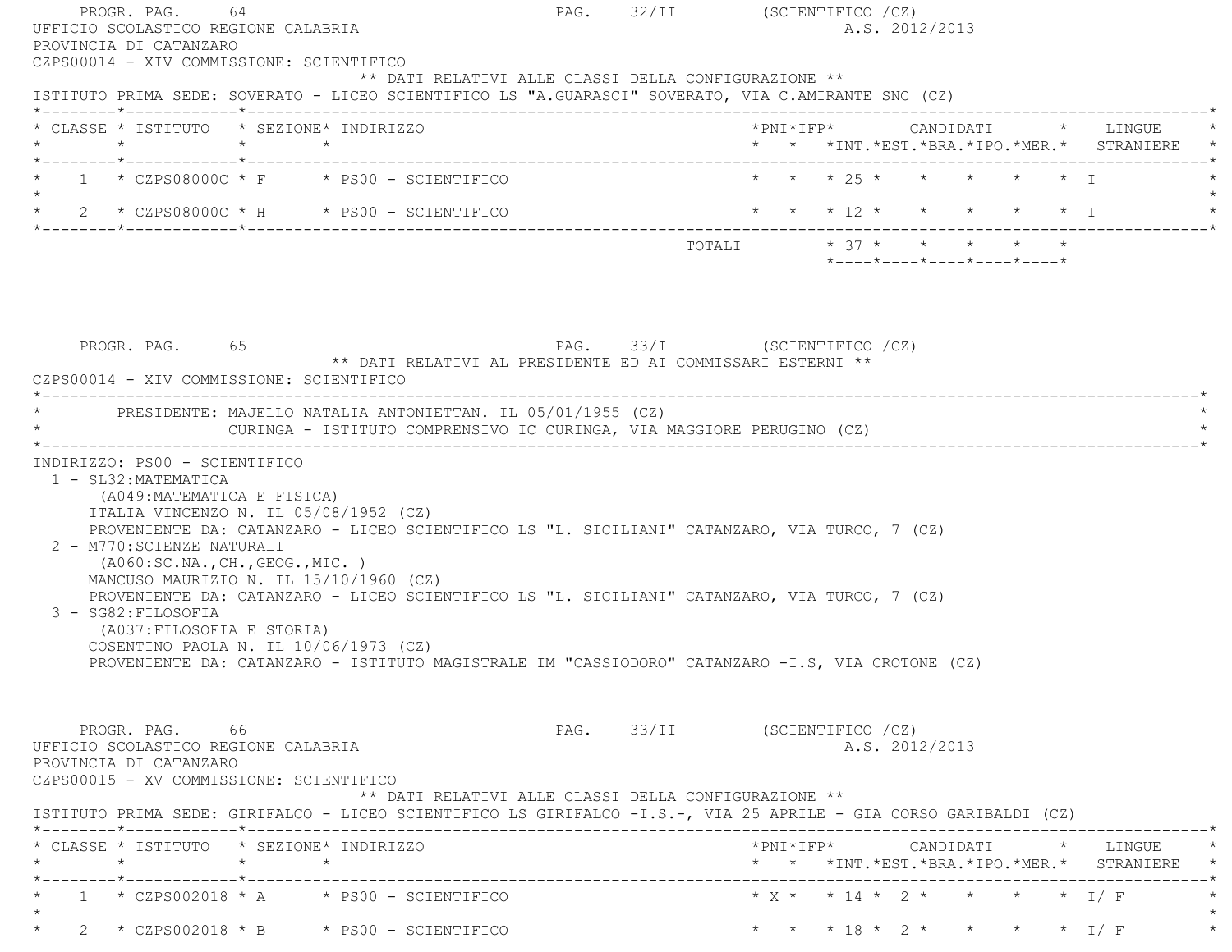| PROVINCIA DI CATANZARO<br>CZPS00014 - XIV COMMISSIONE: SCIENTIFICO                                                                                                                                                                                                                             | ** DATI RELATIVI ALLE CLASSI DELLA CONFIGURAZIONE **                                      |                               |                              | A.S. 2012/2013 |                   |                                                                                      |
|------------------------------------------------------------------------------------------------------------------------------------------------------------------------------------------------------------------------------------------------------------------------------------------------|-------------------------------------------------------------------------------------------|-------------------------------|------------------------------|----------------|-------------------|--------------------------------------------------------------------------------------|
| ISTITUTO PRIMA SEDE: SOVERATO - LICEO SCIENTIFICO LS "A.GUARASCI" SOVERATO, VIA C.AMIRANTE SNC (CZ)                                                                                                                                                                                            |                                                                                           |                               |                              |                |                   |                                                                                      |
| * CLASSE * ISTITUTO * SEZIONE* INDIRIZZO                                                                                                                                                                                                                                                       |                                                                                           |                               |                              |                |                   | *PNI*IFP*      CANDIDATI    *   LINGUE<br>* * *INT.*EST.*BRA.*IPO.*MER.* STRANIERE * |
| $*$ 1 $*$ CZPS08000C $*$ F $*$ PS00 - SCIENTIFICO                                                                                                                                                                                                                                              |                                                                                           |                               | * * * 2.5 * * *              |                | $\star$ $\star$ T |                                                                                      |
|                                                                                                                                                                                                                                                                                                |                                                                                           |                               |                              |                |                   |                                                                                      |
| * 2 * CZPS08000C * H * PS00 - SCIENTIFICO * * * * 12 * * * * * * * * * * * * * T                                                                                                                                                                                                               |                                                                                           |                               |                              |                |                   |                                                                                      |
| PROGR. PAG. 65<br>CZPS00014 - XIV COMMISSIONE: SCIENTIFICO                                                                                                                                                                                                                                     | PAG. 33/I (SCIENTIFICO /CZ)<br>** DATI RELATIVI AL PRESIDENTE ED AI COMMISSARI ESTERNI ** |                               |                              |                |                   |                                                                                      |
| * PRESIDENTE: MAJELLO NATALIA ANTONIETTAN. IL 05/01/1955 (CZ)<br>INDIRIZZO: PS00 - SCIENTIFICO<br>1 - SL32: MATEMATICA<br>(A049: MATEMATICA E FISICA)<br>ITALIA VINCENZO N. IL 05/08/1952 (CZ)                                                                                                 | CURINGA - ISTITUTO COMPRENSIVO IC CURINGA, VIA MAGGIORE PERUGINO (CZ)                     |                               |                              |                |                   |                                                                                      |
| PROVENIENTE DA: CATANZARO - LICEO SCIENTIFICO LS "L. SICILIANI" CATANZARO, VIA TURCO, 7 (CZ)<br>2 - M770: SCIENZE NATURALI<br>(AO60:SC.NA., CH., GEOG., MIC. )<br>MANCUSO MAURIZIO N. IL 15/10/1960 (CZ)                                                                                       |                                                                                           |                               |                              |                |                   |                                                                                      |
| PROVENIENTE DA: CATANZARO - LICEO SCIENTIFICO LS "L. SICILIANI" CATANZARO, VIA TURCO, 7 (CZ)<br>3 - SG82: FILOSOFIA<br>(A037: FILOSOFIA E STORIA)<br>COSENTINO PAOLA N. IL 10/06/1973 (CZ)<br>PROVENIENTE DA: CATANZARO - ISTITUTO MAGISTRALE IM "CASSIODORO" CATANZARO -I.S, VIA CROTONE (CZ) |                                                                                           |                               |                              |                |                   |                                                                                      |
| PROGR. PAG. 66<br>UFFICIO SCOLASTICO REGIONE CALABRIA<br>PROVINCIA DI CATANZARO<br>CZPS00015 - XV COMMISSIONE: SCIENTIFICO<br>ISTITUTO PRIMA SEDE: GIRIFALCO - LICEO SCIENTIFICO LS GIRIFALCO -I.S.-, VIA 25 APRILE - GIA CORSO GARIBALDI (CZ)                                                 | ** DATI RELATIVI ALLE CLASSI DELLA CONFIGURAZIONE **                                      | PAG. 33/II (SCIENTIFICO / CZ) |                              | A.S. 2012/2013 |                   |                                                                                      |
|                                                                                                                                                                                                                                                                                                |                                                                                           |                               |                              |                |                   | * * *INT. *EST. *BRA. *IPO. *MER. * STRANIERE *                                      |
| * CLASSE * ISTITUTO * SEZIONE* INDIRIZZO<br>$1 * C2PS002018 * A * PS00 - SCIENTIFICO$                                                                                                                                                                                                          |                                                                                           |                               | * X * * 14 * 2 * * * * * I/F |                |                   |                                                                                      |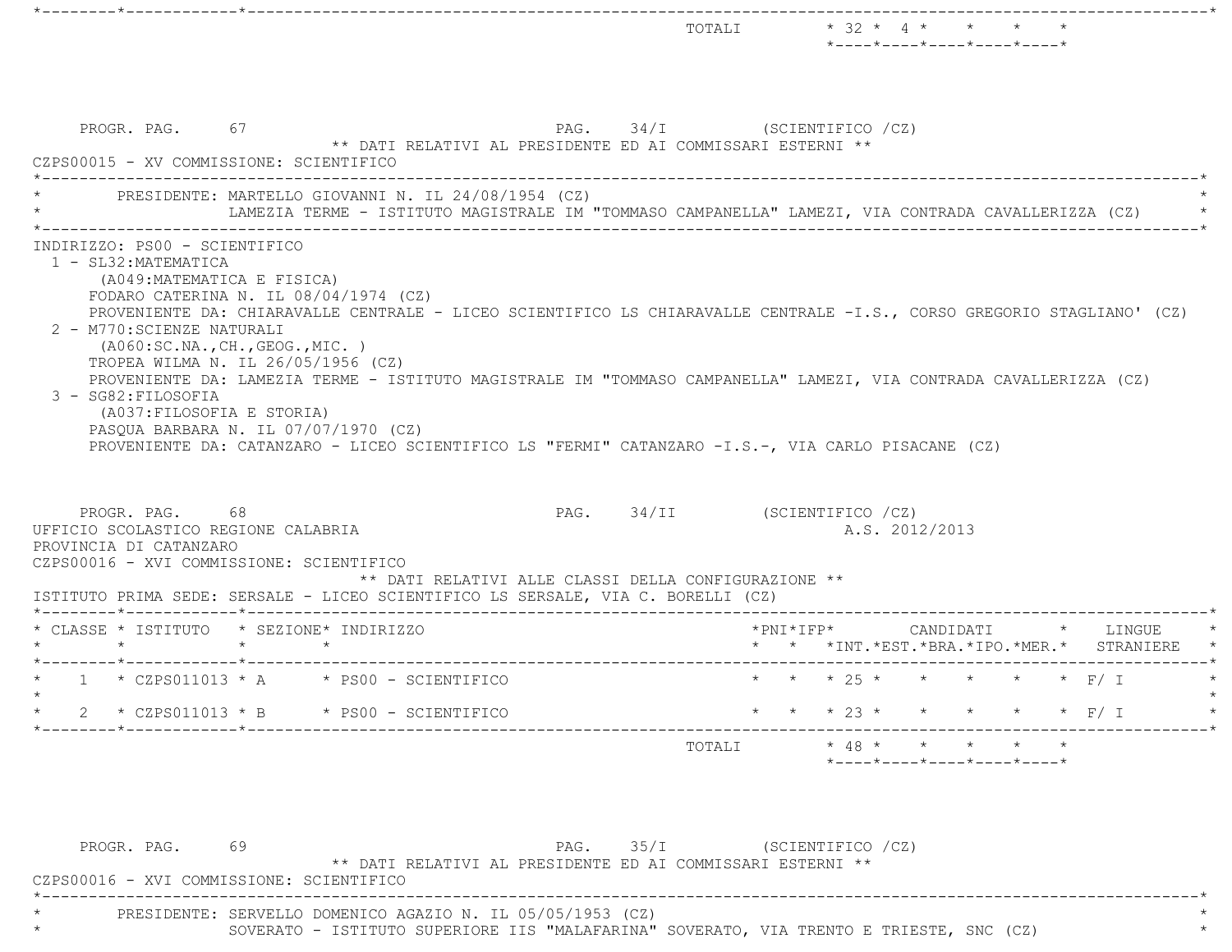|                                                                                                                                                                          |                                                                                      |                          |                                                     |                                             | TOTALI                                                                                                                                                                                                                                       |        |  | $* 32 * 4 *$<br>*----*----*----*----*----*       |  |                                                                                           |
|--------------------------------------------------------------------------------------------------------------------------------------------------------------------------|--------------------------------------------------------------------------------------|--------------------------|-----------------------------------------------------|---------------------------------------------|----------------------------------------------------------------------------------------------------------------------------------------------------------------------------------------------------------------------------------------------|--------|--|--------------------------------------------------|--|-------------------------------------------------------------------------------------------|
| CZPS00015 - XV COMMISSIONE: SCIENTIFICO                                                                                                                                  | PROGR. PAG. 67                                                                       |                          |                                                     |                                             | PAG. 34/I (SCIENTIFICO /CZ)<br>** DATI RELATIVI AL PRESIDENTE ED AI COMMISSARI ESTERNI **                                                                                                                                                    |        |  |                                                  |  |                                                                                           |
|                                                                                                                                                                          |                                                                                      |                          | PRESIDENTE: MARTELLO GIOVANNI N. IL 24/08/1954 (CZ) |                                             | LAMEZIA TERME - ISTITUTO MAGISTRALE IM "TOMMASO CAMPANELLA" LAMEZI, VIA CONTRADA CAVALLERIZZA (CZ) *                                                                                                                                         |        |  |                                                  |  |                                                                                           |
| 2 - M770: SCIENZE NATURALI<br>3 - SG82: FILOSOFIA                                                                                                                        | ( A060:SC.NA., CH., GEOG., MIC. )<br>TROPEA WILMA N. IL 26/05/1956 (CZ)              |                          |                                                     |                                             | PROVENIENTE DA: CHIARAVALLE CENTRALE - LICEO SCIENTIFICO LS CHIARAVALLE CENTRALE -I.S., CORSO GREGORIO STAGLIANO' (CZ)<br>PROVENIENTE DA: LAMEZIA TERME - ISTITUTO MAGISTRALE IM "TOMMASO CAMPANELLA" LAMEZI, VIA CONTRADA CAVALLERIZZA (CZ) |        |  |                                                  |  |                                                                                           |
|                                                                                                                                                                          | (A037: FILOSOFIA E STORIA)<br>PASQUA BARBARA N. IL 07/07/1970 (CZ)<br>PROGR. PAG. 68 |                          |                                                     |                                             | PROVENIENTE DA: CATANZARO - LICEO SCIENTIFICO LS "FERMI" CATANZARO -I.S.-, VIA CARLO PISACANE (CZ)<br>PAG. 34/II (SCIENTIFICO /CZ)                                                                                                           |        |  | A.S. 2012/2013                                   |  |                                                                                           |
|                                                                                                                                                                          |                                                                                      |                          |                                                     |                                             | ** DATI RELATIVI ALLE CLASSI DELLA CONFIGURAZIONE **<br>ISTITUTO PRIMA SEDE: SERSALE - LICEO SCIENTIFICO LS SERSALE, VIA C. BORELLI (CZ)                                                                                                     |        |  |                                                  |  |                                                                                           |
|                                                                                                                                                                          |                                                                                      | $\star$ $\qquad$ $\star$ |                                                     |                                             |                                                                                                                                                                                                                                              |        |  |                                                  |  | *PNI*IFP*      CANDIDATI     *    LINGUE<br>* * *INT. *EST. *BRA. *IPO. *MER. * STRANIERE |
|                                                                                                                                                                          |                                                                                      |                          |                                                     | * $1$ * CZPS011013 * A * PS00 - SCIENTIFICO |                                                                                                                                                                                                                                              |        |  | * * * 25 * * * * * * F/ I                        |  |                                                                                           |
|                                                                                                                                                                          |                                                                                      |                          | $2 * CZPS011013 * B * PS00 - SCIENTIFICO$           |                                             |                                                                                                                                                                                                                                              |        |  |                                                  |  | * * * 23 * * * * * * F/ I                                                                 |
| UFFICIO SCOLASTICO REGIONE CALABRIA<br>PROVINCIA DI CATANZARO<br>CZPS00016 - XVI COMMISSIONE: SCIENTIFICO<br>* CLASSE * ISTITUTO * SEZIONE* INDIRIZZO<br>$\star$ $\star$ |                                                                                      |                          |                                                     |                                             |                                                                                                                                                                                                                                              | TOTALI |  | $*$ 48 * * * * * *<br>*----*----*----*----*----* |  |                                                                                           |

 \*----------------------------------------------------------------------------------------------------------------------------\* \* PRESIDENTE: SERVELLO DOMENICO AGAZIO N. IL 05/05/1953 (CZ) \* \* SOVERATO - ISTITUTO SUPERIORE IIS "MALAFARINA" SOVERATO, VIA TRENTO E TRIESTE, SNC (CZ) \*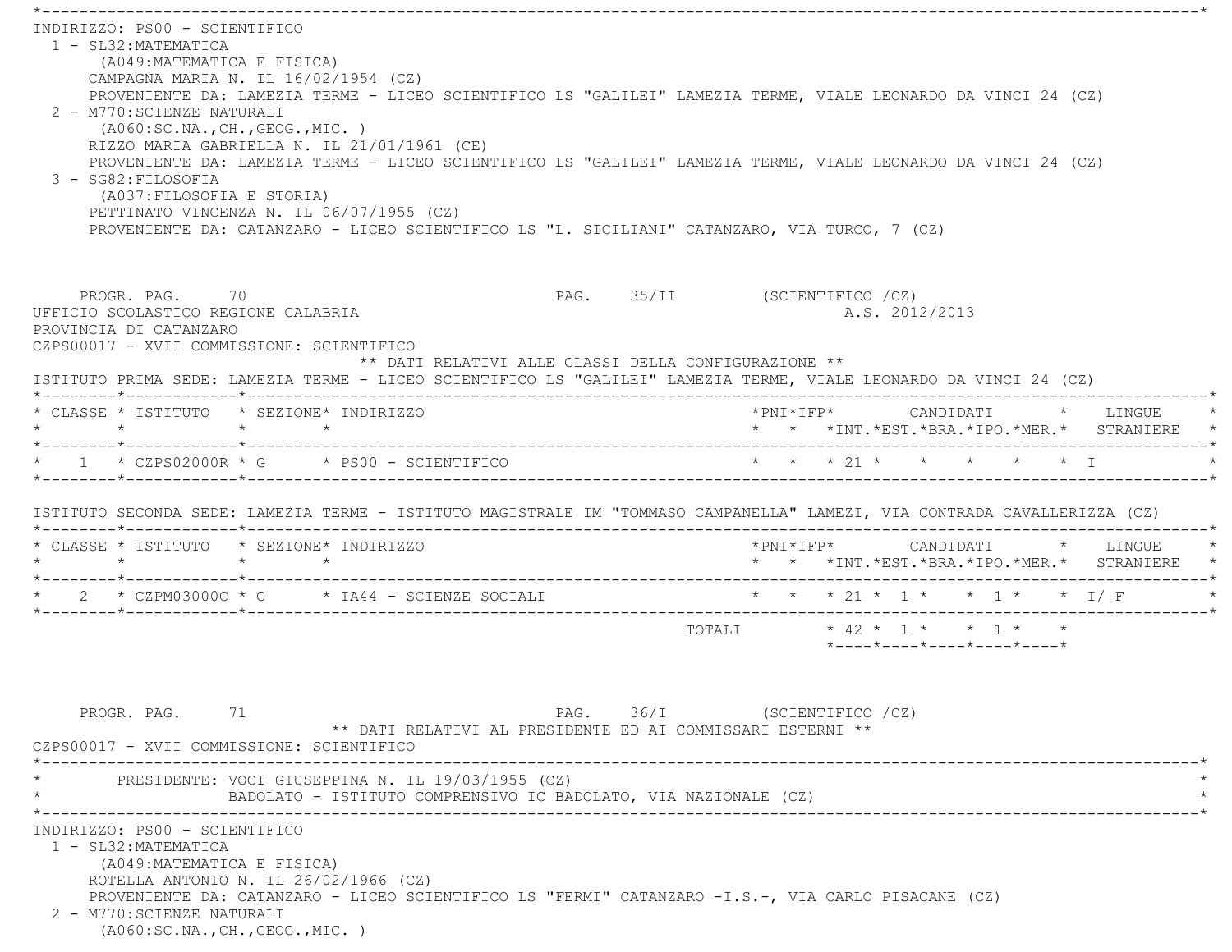\*----------------------------------------------------------------------------------------------------------------------------\* INDIRIZZO: PS00 - SCIENTIFICO 1 - SL32:MATEMATICA (A049:MATEMATICA E FISICA) CAMPAGNA MARIA N. IL 16/02/1954 (CZ) PROVENIENTE DA: LAMEZIA TERME - LICEO SCIENTIFICO LS "GALILEI" LAMEZIA TERME, VIALE LEONARDO DA VINCI 24 (CZ) 2 - M770:SCIENZE NATURALI (A060:SC.NA.,CH.,GEOG.,MIC. ) RIZZO MARIA GABRIELLA N. IL 21/01/1961 (CE) PROVENIENTE DA: LAMEZIA TERME - LICEO SCIENTIFICO LS "GALILEI" LAMEZIA TERME, VIALE LEONARDO DA VINCI 24 (CZ) 3 - SG82:FILOSOFIA (A037:FILOSOFIA E STORIA) PETTINATO VINCENZA N. IL 06/07/1955 (CZ) PROVENIENTE DA: CATANZARO - LICEO SCIENTIFICO LS "L. SICILIANI" CATANZARO, VIA TURCO, 7 (CZ) PROGR. PAG. 70 70 PAG. 35/II (SCIENTIFICO /CZ) UFFICIO SCOLASTICO REGIONE CALABRIA A.S. 2012/2013 PROVINCIA DI CATANZARO CZPS00017 - XVII COMMISSIONE: SCIENTIFICO \*\* DATI RELATIVI ALLE CLASSI DELLA CONFIGURAZIONE \*\* ISTITUTO PRIMA SEDE: LAMEZIA TERME - LICEO SCIENTIFICO LS "GALILEI" LAMEZIA TERME, VIALE LEONARDO DA VINCI 24 (CZ) \*--------\*------------\*-------------------------------------------------------------------------------------------------------\* \* CLASSE \* ISTITUTO \* SEZIONE\* INDIRIZZO \*PNI\*IFP\* CANDIDATI \* LINGUE \* \* \* \* \* \* \* \*INT.\*EST.\*BRA.\*IPO.\*MER.\* STRANIERE \* \*--------\*------------\*-------------------------------------------------------------------------------------------------------\*\* 1 \* CZPS02000R \* G \* PS00 - SCIENTIFICO \* \* \* \* 21 \* \* \* \* \* \* \* T \*--------\*------------\*-------------------------------------------------------------------------------------------------------\* ISTITUTO SECONDA SEDE: LAMEZIA TERME - ISTITUTO MAGISTRALE IM "TOMMASO CAMPANELLA" LAMEZI, VIA CONTRADA CAVALLERIZZA (CZ) \*--------\*------------\*-------------------------------------------------------------------------------------------------------\* \* CLASSE \* ISTITUTO \* SEZIONE\* INDIRIZZO \*PNI\*IFP\* CANDIDATI \* LINGUE \* \* \* \* \* \* \* \*INT.\*EST.\*BRA.\*IPO.\*MER.\* STRANIERE \* \*--------\*------------\*-------------------------------------------------------------------------------------------------------\*2 \* CZPM03000C \* C \* IA44 - SCIENZE SOCIALI \* \* \* \* 21 \* 1 \* \* 1 \* \* 1/ F \*--------\*------------\*-------------------------------------------------------------------------------------------------------\* $\texttt{TOTAL} \qquad \qquad \star \; \; 42 \; \star \; \; \; 1 \; \star \qquad \star \quad \; 1 \; \star \qquad \star$  \*----\*----\*----\*----\*----\*PROGR. PAG. 71 PAG. 36/I (SCIENTIFICO /CZ) \*\* DATI RELATIVI AL PRESIDENTE ED AI COMMISSARI ESTERNI \*\* CZPS00017 - XVII COMMISSIONE: SCIENTIFICO \*----------------------------------------------------------------------------------------------------------------------------\* \* PRESIDENTE: VOCI GIUSEPPINA N. IL 19/03/1955 (CZ) \* BADOLATO - ISTITUTO COMPRENSIVO IC BADOLATO, VIA NAZIONALE (CZ) \*----------------------------------------------------------------------------------------------------------------------------\* INDIRIZZO: PS00 - SCIENTIFICO 1 - SL32:MATEMATICA (A049:MATEMATICA E FISICA) ROTELLA ANTONIO N. IL 26/02/1966 (CZ) PROVENIENTE DA: CATANZARO - LICEO SCIENTIFICO LS "FERMI" CATANZARO -I.S.-, VIA CARLO PISACANE (CZ) 2 - M770:SCIENZE NATURALI(A060:SC.NA.,CH.,GEOG.,MIC. )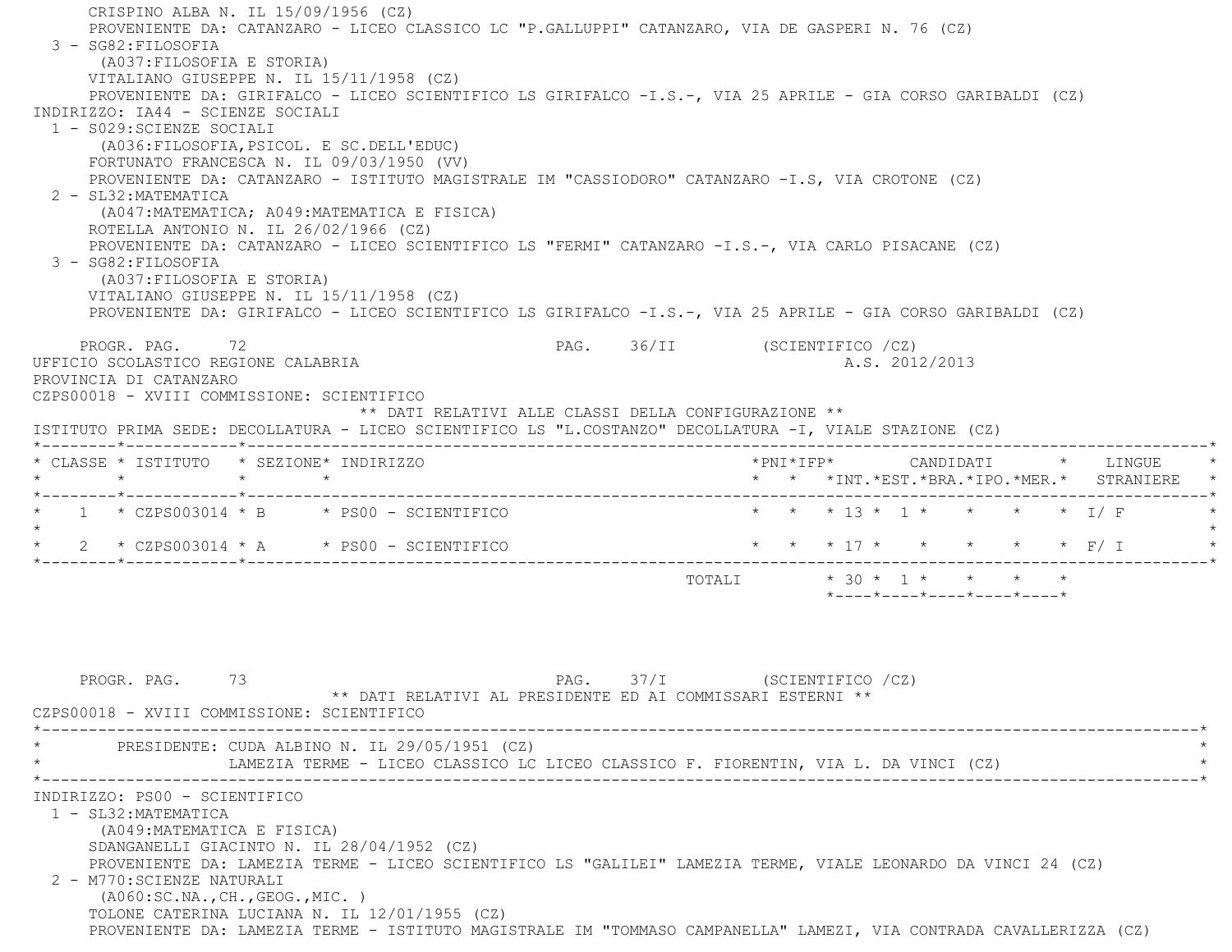CRISPINO ALBA N. IL 15/09/1956 (CZ) PROVENIENTE DA: CATANZARO - LICEO CLASSICO LC "P.GALLUPPI" CATANZARO, VIA DE GASPERI N. 76 (CZ) 3 - SG82:FILOSOFIA (A037:FILOSOFIA E STORIA) VITALIANO GIUSEPPE N. IL 15/11/1958 (CZ) PROVENIENTE DA: GIRIFALCO - LICEO SCIENTIFICO LS GIRIFALCO -I.S.-, VIA 25 APRILE - GIA CORSO GARIBALDI (CZ) INDIRIZZO: IA44 - SCIENZE SOCIALI 1 - S029:SCIENZE SOCIALI (A036:FILOSOFIA,PSICOL. E SC.DELL'EDUC) FORTUNATO FRANCESCA N. IL 09/03/1950 (VV) PROVENIENTE DA: CATANZARO - ISTITUTO MAGISTRALE IM "CASSIODORO" CATANZARO -I.S, VIA CROTONE (CZ) 2 - SL32:MATEMATICA (A047:MATEMATICA; A049:MATEMATICA E FISICA) ROTELLA ANTONIO N. IL 26/02/1966 (CZ) PROVENIENTE DA: CATANZARO - LICEO SCIENTIFICO LS "FERMI" CATANZARO -I.S.-, VIA CARLO PISACANE (CZ) 3 - SG82:FILOSOFIA (A037:FILOSOFIA E STORIA) VITALIANO GIUSEPPE N. IL 15/11/1958 (CZ) PROVENIENTE DA: GIRIFALCO - LICEO SCIENTIFICO LS GIRIFALCO -I.S.-, VIA 25 APRILE - GIA CORSO GARIBALDI (CZ) PROGR. PAG. 72 **PAG.** 96/II (SCIENTIFICO /CZ) UFFICIO SCOLASTICO REGIONE CALABRIA AND ALS. 2012/2013 PROVINCIA DI CATANZARO CZPS00018 - XVIII COMMISSIONE: SCIENTIFICO \*\* DATI RELATIVI ALLE CLASSI DELLA CONFIGURAZIONE \*\* ISTITUTO PRIMA SEDE: DECOLLATURA - LICEO SCIENTIFICO LS "L.COSTANZO" DECOLLATURA -I, VIALE STAZIONE (CZ) \*--------\*------------\*-------------------------------------------------------------------------------------------------------\* \* CLASSE \* ISTITUTO \* SEZIONE\* INDIRIZZO \*PNI\*IFP\* CANDIDATI \* LINGUE \* \* \* \* \* \* \* \*INT.\*EST.\*BRA.\*IPO.\*MER.\* STRANIERE \* \*--------\*------------\*-------------------------------------------------------------------------------------------------------\*1 \* CZPS003014 \* B \* PS00 - SCIENTIFICO \* \* \* \* 13 \* 1 \* \* \* \* \* I/ F  $\star$  \* 2 \* CZPS003014 \* A \* PS00 - SCIENTIFICO \* \* \* 17 \* \* \* \* \* F/ I \* \*--------\*------------\*-------------------------------------------------------------------------------------------------------\*TOTALI  $* 30 * 1 * * * * * * * *$  \*----\*----\*----\*----\*----\*PROGR. PAG. 73 **PAG.** PAG. 37/I (SCIENTIFICO /CZ) \*\* DATI RELATIVI AL PRESIDENTE ED AI COMMISSARI ESTERNI \*\* CZPS00018 - XVIII COMMISSIONE: SCIENTIFICO \*----------------------------------------------------------------------------------------------------------------------------\*PRESIDENTE: CUDA ALBINO N. IL 29/05/1951 (CZ) LAMEZIA TERME - LICEO CLASSICO LC LICEO CLASSICO F. FIORENTIN, VIA L. DA VINCI (CZ) \*----------------------------------------------------------------------------------------------------------------------------\* INDIRIZZO: PS00 - SCIENTIFICO 1 - SL32:MATEMATICA (A049:MATEMATICA E FISICA) SDANGANELLI GIACINTO N. IL 28/04/1952 (CZ) PROVENIENTE DA: LAMEZIA TERME - LICEO SCIENTIFICO LS "GALILEI" LAMEZIA TERME, VIALE LEONARDO DA VINCI 24 (CZ) 2 - M770:SCIENZE NATURALI (A060:SC.NA.,CH.,GEOG.,MIC. ) TOLONE CATERINA LUCIANA N. IL 12/01/1955 (CZ)

PROVENIENTE DA: LAMEZIA TERME - ISTITUTO MAGISTRALE IM "TOMMASO CAMPANELLA" LAMEZI, VIA CONTRADA CAVALLERIZZA (CZ)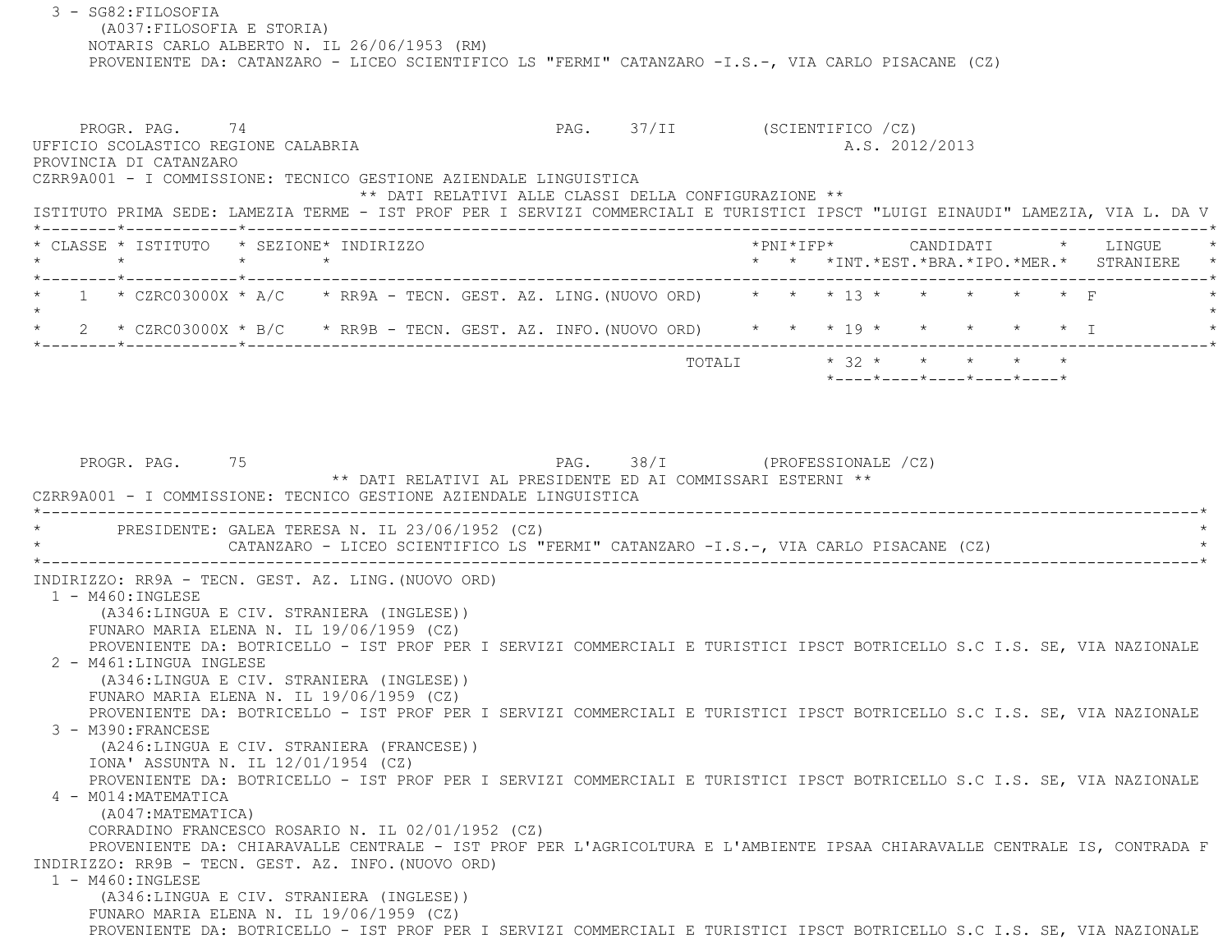(A037:FILOSOFIA E STORIA) NOTARIS CARLO ALBERTO N. IL 26/06/1953 (RM) PROVENIENTE DA: CATANZARO - LICEO SCIENTIFICO LS "FERMI" CATANZARO -I.S.-, VIA CARLO PISACANE (CZ) PROGR. PAG. 74 74 PAG. 37/II (SCIENTIFICO /CZ) UFFICIO SCOLASTICO REGIONE CALABRIA A.S. 2012/2013 PROVINCIA DI CATANZARO CZRR9A001 - I COMMISSIONE: TECNICO GESTIONE AZIENDALE LINGUISTICA \*\* DATI RELATIVI ALLE CLASSI DELLA CONFIGURAZIONE \*\* ISTITUTO PRIMA SEDE: LAMEZIA TERME - IST PROF PER I SERVIZI COMMERCIALI E TURISTICI IPSCT "LUIGI EINAUDI" LAMEZIA, VIA L. DA V \*--------\*------------\*-------------------------------------------------------------------------------------------------------\* \* CLASSE \* ISTITUTO \* SEZIONE\* INDIRIZZO \*PNI\*IFP\* CANDIDATI \* LINGUE \* \* \* \* \* \* \* \*INT.\*EST.\*BRA.\*IPO.\*MER.\* STRANIERE \* \*--------\*------------\*-------------------------------------------------------------------------------------------------------\* $1 \rightarrow$  CZRC03000X \* A/C  $\rightarrow$  RR9A - TECN. GEST. AZ. LING. (NUOVO ORD)  $\rightarrow$  \* \* \* 13 \* \* \* \* \* \* F  $\star$ 2 \* CZRC03000X \* B/C \* RR9B - TECN. GEST. AZ. INFO. (NUOVO ORD) \* \* \* 19 \* \* \* \* \* \* \* I \*--------\*------------\*-------------------------------------------------------------------------------------------------------\* TOTALI \* 32 \* \* \* \* \* \*----\*----\*----\*----\*----\*PROGR. PAG. 75 28/I (PROFESSIONALE /CZ) \*\* DATI RELATIVI AL PRESIDENTE ED AI COMMISSARI ESTERNI \*\* CZRR9A001 - I COMMISSIONE: TECNICO GESTIONE AZIENDALE LINGUISTICA \*----------------------------------------------------------------------------------------------------------------------------\*PRESIDENTE: GALEA TERESA N. IL 23/06/1952 (CZ) CATANZARO - LICEO SCIENTIFICO LS "FERMI" CATANZARO -I.S.-, VIA CARLO PISACANE (CZ) \*----------------------------------------------------------------------------------------------------------------------------\* INDIRIZZO: RR9A - TECN. GEST. AZ. LING.(NUOVO ORD) 1 - M460:INGLESE (A346:LINGUA E CIV. STRANIERA (INGLESE)) FUNARO MARIA ELENA N. IL 19/06/1959 (CZ) PROVENIENTE DA: BOTRICELLO - IST PROF PER I SERVIZI COMMERCIALI E TURISTICI IPSCT BOTRICELLO S.C I.S. SE, VIA NAZIONALE 2 - M461:LINGUA INGLESE (A346:LINGUA E CIV. STRANIERA (INGLESE)) FUNARO MARIA ELENA N. IL 19/06/1959 (CZ) PROVENIENTE DA: BOTRICELLO - IST PROF PER I SERVIZI COMMERCIALI E TURISTICI IPSCT BOTRICELLO S.C I.S. SE, VIA NAZIONALE 3 - M390:FRANCESE (A246:LINGUA E CIV. STRANIERA (FRANCESE)) IONA' ASSUNTA N. IL 12/01/1954 (CZ) PROVENIENTE DA: BOTRICELLO - IST PROF PER I SERVIZI COMMERCIALI E TURISTICI IPSCT BOTRICELLO S.C I.S. SE, VIA NAZIONALE 4 - M014:MATEMATICA (A047:MATEMATICA) CORRADINO FRANCESCO ROSARIO N. IL 02/01/1952 (CZ) PROVENIENTE DA: CHIARAVALLE CENTRALE - IST PROF PER L'AGRICOLTURA E L'AMBIENTE IPSAA CHIARAVALLE CENTRALE IS, CONTRADA F INDIRIZZO: RR9B - TECN. GEST. AZ. INFO.(NUOVO ORD) 1 - M460:INGLESE (A346:LINGUA E CIV. STRANIERA (INGLESE)) FUNARO MARIA ELENA N. IL 19/06/1959 (CZ) PROVENIENTE DA: BOTRICELLO - IST PROF PER I SERVIZI COMMERCIALI E TURISTICI IPSCT BOTRICELLO S.C I.S. SE, VIA NAZIONALE

3 - SG82:FILOSOFIA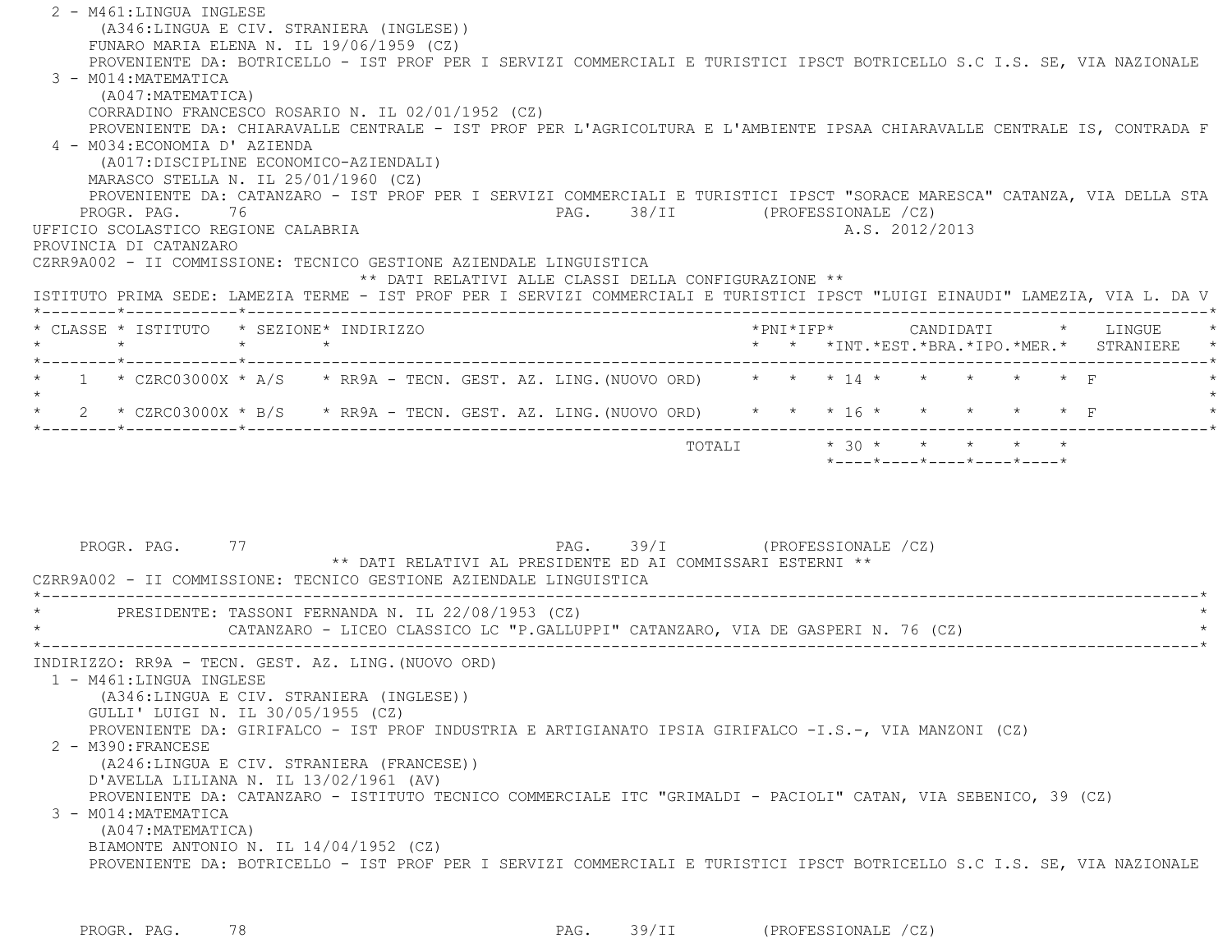| 2 - M461:LINGUA INGLESE<br>(A346:LINGUA E CIV. STRANIERA (INGLESE))                                                                                                           |                                               |
|-------------------------------------------------------------------------------------------------------------------------------------------------------------------------------|-----------------------------------------------|
| FUNARO MARIA ELENA N. IL 19/06/1959 (CZ)<br>PROVENIENTE DA: BOTRICELLO - IST PROF PER I SERVIZI COMMERCIALI E TURISTICI IPSCT BOTRICELLO S.C I.S. SE, VIA NAZIONALE           |                                               |
| 3 - M014: MATEMATICA<br>(A047:MATEMATICA)                                                                                                                                     |                                               |
| CORRADINO FRANCESCO ROSARIO N. IL 02/01/1952 (CZ)<br>PROVENIENTE DA: CHIARAVALLE CENTRALE - IST PROF PER L'AGRICOLTURA E L'AMBIENTE IPSAA CHIARAVALLE CENTRALE IS, CONTRADA F |                                               |
| 4 - M034: ECONOMIA D' AZIENDA                                                                                                                                                 |                                               |
| (A017: DISCIPLINE ECONOMICO-AZIENDALI)                                                                                                                                        |                                               |
| MARASCO STELLA N. IL 25/01/1960 (CZ)                                                                                                                                          |                                               |
| PROVENIENTE DA: CATANZARO - IST PROF PER I SERVIZI COMMERCIALI E TURISTICI IPSCT "SORACE MARESCA" CATANZA, VIA DELLA STA<br>PROGR. PAG. 76                                    | PAG. 38/II (PROFESSIONALE /CZ)                |
| UFFICIO SCOLASTICO REGIONE CALABRIA                                                                                                                                           | A.S. 2012/2013                                |
| PROVINCIA DI CATANZARO                                                                                                                                                        |                                               |
| CZRR9A002 - II COMMISSIONE: TECNICO GESTIONE AZIENDALE LINGUISTICA<br>** DATI RELATIVI ALLE CLASSI DELLA CONFIGURAZIONE **                                                    |                                               |
| ISTITUTO PRIMA SEDE: LAMEZIA TERME - IST PROF PER I SERVIZI COMMERCIALI E TURISTICI IPSCT "LUIGI EINAUDI" LAMEZIA, VIA L. DA V                                                |                                               |
|                                                                                                                                                                               |                                               |
| * CLASSE * ISTITUTO * SEZIONE* INDIRIZZO<br>$\star$<br>$\star$ $\qquad$ $\star$                                                                                               | *PNI*IFP* CANDIDATI * LINGUE                  |
|                                                                                                                                                                               | * * *INT. *EST. *BRA. *IPO. *MER. * STRANIERE |
| 1 * CZRC03000X * A/S * RR9A - TECN. GEST. AZ. LING. (NUOVO ORD) * * * 14 *                                                                                                    | $\star$ $\star$ $\Gamma$<br>$\star$ $\star$   |
| 2 * CZRC03000X * B/S * RR9A - TECN. GEST. AZ. LING. (NUOVO ORD) * * * 16 * * * * * * * F                                                                                      |                                               |
|                                                                                                                                                                               | TOTALI * 30 * * * * * *                       |
|                                                                                                                                                                               | *----*----*----*----*----*                    |
|                                                                                                                                                                               |                                               |
|                                                                                                                                                                               |                                               |
|                                                                                                                                                                               |                                               |
| PROGR. PAG. 77                                                                                                                                                                | PAG. 39/I (PROFESSIONALE /CZ)                 |
| ** DATI RELATIVI AL PRESIDENTE ED AI COMMISSARI ESTERNI **                                                                                                                    |                                               |
| CZRR9A002 - II COMMISSIONE: TECNICO GESTIONE AZIENDALE LINGUISTICA                                                                                                            |                                               |
| * PRESIDENTE: TASSONI FERNANDA N. IL 22/08/1953 (CZ)                                                                                                                          |                                               |
| CATANZARO - LICEO CLASSICO LC "P.GALLUPPI" CATANZARO, VIA DE GASPERI N. 76 (CZ)                                                                                               |                                               |
|                                                                                                                                                                               |                                               |
| INDIRIZZO: RR9A - TECN. GEST. AZ. LING. (NUOVO ORD)<br>1 - M461:LINGUA INGLESE                                                                                                |                                               |
| (A346:LINGUA E CIV. STRANIERA (INGLESE))                                                                                                                                      |                                               |
| GULLI' LUIGI N. IL 30/05/1955 (CZ)                                                                                                                                            |                                               |
| PROVENIENTE DA: GIRIFALCO - IST PROF INDUSTRIA E ARTIGIANATO IPSIA GIRIFALCO -I.S.-, VIA MANZONI (CZ)                                                                         |                                               |
| 2 - M390: FRANCESE                                                                                                                                                            |                                               |
| (A246:LINGUA E CIV. STRANIERA (FRANCESE))<br>D'AVELLA LILIANA N. IL $13/02/1961$ (AV)                                                                                         |                                               |
| PROVENIENTE DA: CATANZARO - ISTITUTO TECNICO COMMERCIALE ITC "GRIMALDI - PACIOLI" CATAN, VIA SEBENICO, 39 (CZ)                                                                |                                               |
| 3 - M014: MATEMATICA                                                                                                                                                          |                                               |
| (A047: MATEMATICA)                                                                                                                                                            |                                               |
| BIAMONTE ANTONIO N. IL 14/04/1952 (CZ)                                                                                                                                        |                                               |
| PROVENIENTE DA: BOTRICELLO - IST PROF PER I SERVIZI COMMERCIALI E TURISTICI IPSCT BOTRICELLO S.C I.S. SE, VIA NAZIONALE                                                       |                                               |
|                                                                                                                                                                               |                                               |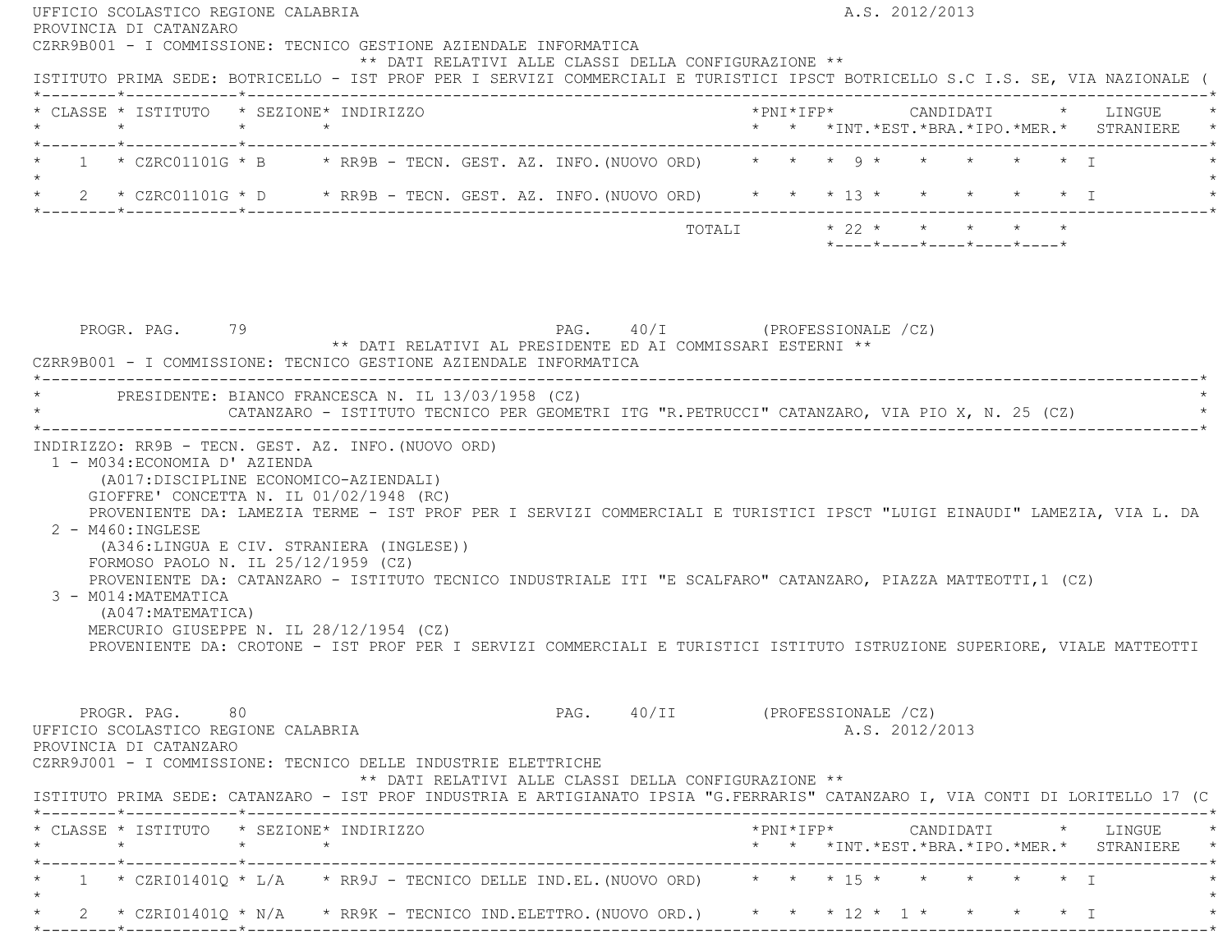| * CLASSE * ISTITUTO * SEZIONE* INDIRIZZO                                                                                                                                                                                                                                                                                                                                                                                                                                                                                                                                                                                                                     |  |  |                                                                                             |                       |  |                |                            |  | * * *INT.*EST.*BRA.*IPO.*MER.* STRANIERE * |
|--------------------------------------------------------------------------------------------------------------------------------------------------------------------------------------------------------------------------------------------------------------------------------------------------------------------------------------------------------------------------------------------------------------------------------------------------------------------------------------------------------------------------------------------------------------------------------------------------------------------------------------------------------------|--|--|---------------------------------------------------------------------------------------------|-----------------------|--|----------------|----------------------------|--|--------------------------------------------|
| * 1 * CZRC01101G * B * RR9B - TECN. GEST. AZ. INFO. (NUOVO ORD) * * * 9 * * * * * * * I<br>$\star$                                                                                                                                                                                                                                                                                                                                                                                                                                                                                                                                                           |  |  |                                                                                             |                       |  |                |                            |  |                                            |
| * 2 * CZRC01101G * D * RR9B - TECN. GEST. AZ. INFO. (NUOVO ORD) * * * 13 * * * * * * * I                                                                                                                                                                                                                                                                                                                                                                                                                                                                                                                                                                     |  |  |                                                                                             |                       |  |                |                            |  |                                            |
|                                                                                                                                                                                                                                                                                                                                                                                                                                                                                                                                                                                                                                                              |  |  |                                                                                             | TOTALI * 22 * * * * * |  |                | *----*----*----*----*----* |  |                                            |
|                                                                                                                                                                                                                                                                                                                                                                                                                                                                                                                                                                                                                                                              |  |  |                                                                                             |                       |  |                |                            |  |                                            |
| CZRR9B001 - I COMMISSIONE: TECNICO GESTIONE AZIENDALE INFORMATICA<br>* PRESIDENTE: BIANCO FRANCESCA N. IL 13/03/1958 (CZ)<br>INDIRIZZO: RR9B - TECN. GEST. AZ. INFO. (NUOVO ORD)<br>1 - M034: ECONOMIA D' AZIENDA                                                                                                                                                                                                                                                                                                                                                                                                                                            |  |  | CATANZARO - ISTITUTO TECNICO PER GEOMETRI ITG "R.PETRUCCI" CATANZARO, VIA PIO X, N. 25 (CZ) |                       |  |                |                            |  |                                            |
| (A017:DISCIPLINE ECONOMICO-AZIENDALI)<br>GIOFFRE' CONCETTA N. IL $01/02/1948$ (RC)<br>PROVENIENTE DA: LAMEZIA TERME - IST PROF PER I SERVIZI COMMERCIALI E TURISTICI IPSCT "LUIGI EINAUDI" LAMEZIA, VIA L. DA<br>$2 - M460$ : INGLESE<br>(A346:LINGUA E CIV. STRANIERA (INGLESE))<br>FORMOSO PAOLO N. IL 25/12/1959 (CZ)<br>PROVENIENTE DA: CATANZARO - ISTITUTO TECNICO INDUSTRIALE ITI "E SCALFARO" CATANZARO, PIAZZA MATTEOTTI, 1 (CZ)<br>3 - M014: MATEMATICA<br>(A047:MATEMATICA)<br>MERCURIO GIUSEPPE N. IL 28/12/1954 (CZ)<br>PROVENIENTE DA: CROTONE - IST PROF PER I SERVIZI COMMERCIALI E TURISTICI ISTITUTO ISTRUZIONE SUPERIORE, VIALE MATTEOTTI |  |  |                                                                                             |                       |  |                |                            |  |                                            |
| PROGR. PAG. 80<br>UFFICIO SCOLASTICO REGIONE CALABRIA<br>PROVINCIA DI CATANZARO<br>CZRR9J001 - I COMMISSIONE: TECNICO DELLE INDUSTRIE ELETTRICHE<br>ISTITUTO PRIMA SEDE: CATANZARO - IST PROF INDUSTRIA E ARTIGIANATO IPSIA "G.FERRARIS" CATANZARO I, VIA CONTI DI LORITELLO 17 (C                                                                                                                                                                                                                                                                                                                                                                           |  |  | PAG. 40/II (PROFESSIONALE /CZ)<br>** DATI RELATIVI ALLE CLASSI DELLA CONFIGURAZIONE **      |                       |  | A.S. 2012/2013 |                            |  |                                            |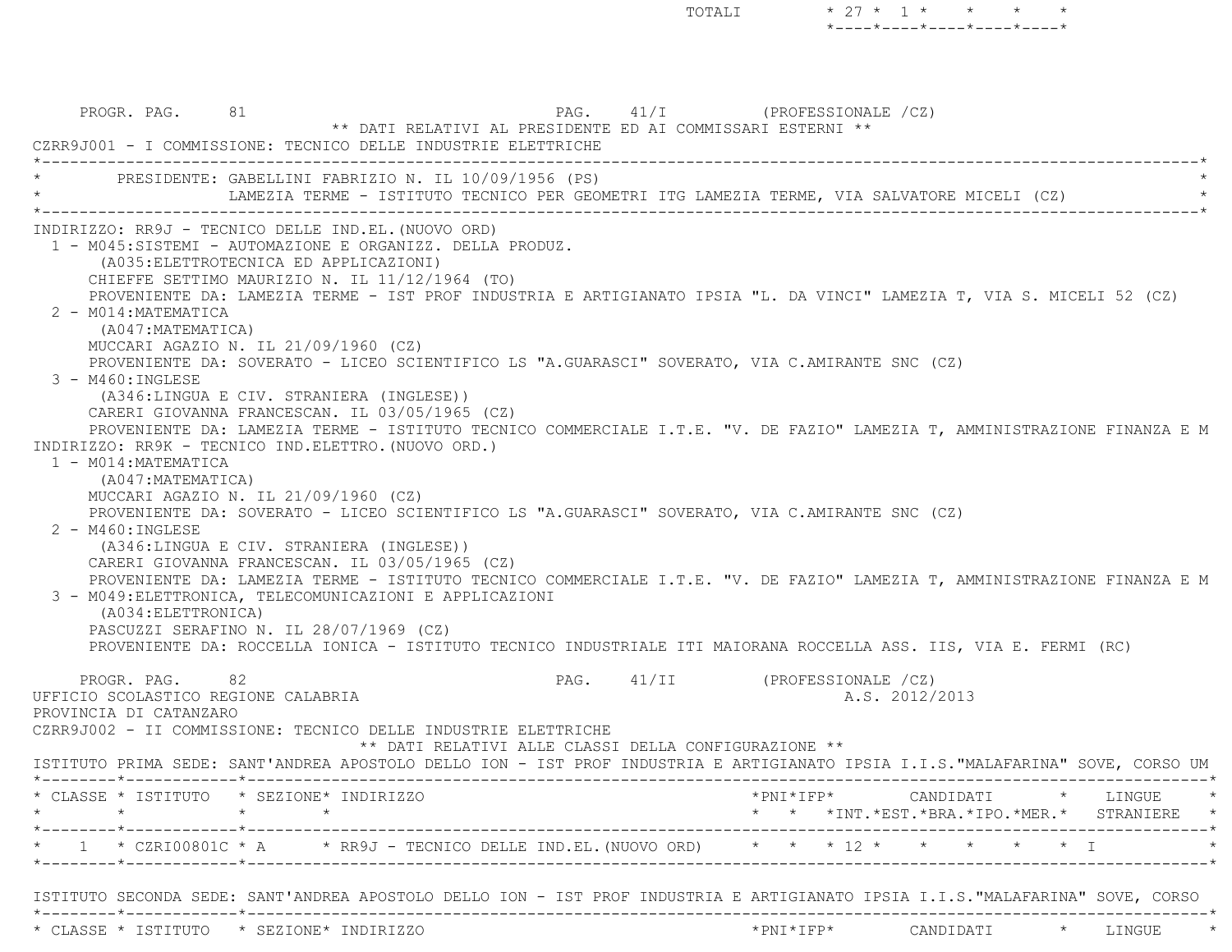PROGR. PAG. 81 81 PAG. 41/I (PROFESSIONALE /CZ) \*\* DATI RELATIVI AL PRESIDENTE ED AI COMMISSARI ESTERNI \*\* CZRR9J001 - I COMMISSIONE: TECNICO DELLE INDUSTRIE ELETTRICHE \*----------------------------------------------------------------------------------------------------------------------------\*PRESIDENTE: GABELLINI FABRIZIO N. IL 10/09/1956 (PS) LAMEZIA TERME - ISTITUTO TECNICO PER GEOMETRI ITG LAMEZIA TERME, VIA SALVATORE MICELI (CZ) \*----------------------------------------------------------------------------------------------------------------------------\* INDIRIZZO: RR9J - TECNICO DELLE IND.EL.(NUOVO ORD) 1 - M045:SISTEMI - AUTOMAZIONE E ORGANIZZ. DELLA PRODUZ. (A035:ELETTROTECNICA ED APPLICAZIONI) CHIEFFE SETTIMO MAURIZIO N. IL 11/12/1964 (TO) PROVENIENTE DA: LAMEZIA TERME - IST PROF INDUSTRIA E ARTIGIANATO IPSIA "L. DA VINCI" LAMEZIA T, VIA S. MICELI 52 (CZ) 2 - M014:MATEMATICA (A047:MATEMATICA) MUCCARI AGAZIO N. IL 21/09/1960 (CZ) PROVENIENTE DA: SOVERATO - LICEO SCIENTIFICO LS "A.GUARASCI" SOVERATO, VIA C.AMIRANTE SNC (CZ) 3 - M460:INGLESE (A346:LINGUA E CIV. STRANIERA (INGLESE)) CARERI GIOVANNA FRANCESCAN. IL 03/05/1965 (CZ) PROVENIENTE DA: LAMEZIA TERME - ISTITUTO TECNICO COMMERCIALE I.T.E. "V. DE FAZIO" LAMEZIA T, AMMINISTRAZIONE FINANZA E M INDIRIZZO: RR9K - TECNICO IND.ELETTRO.(NUOVO ORD.) 1 - M014:MATEMATICA (A047:MATEMATICA) MUCCARI AGAZIO N. IL 21/09/1960 (CZ) PROVENIENTE DA: SOVERATO - LICEO SCIENTIFICO LS "A.GUARASCI" SOVERATO, VIA C.AMIRANTE SNC (CZ) 2 - M460:INGLESE (A346:LINGUA E CIV. STRANIERA (INGLESE)) CARERI GIOVANNA FRANCESCAN. IL 03/05/1965 (CZ) PROVENIENTE DA: LAMEZIA TERME - ISTITUTO TECNICO COMMERCIALE I.T.E. "V. DE FAZIO" LAMEZIA T, AMMINISTRAZIONE FINANZA E M 3 - M049:ELETTRONICA, TELECOMUNICAZIONI E APPLICAZIONI (A034:ELETTRONICA) PASCUZZI SERAFINO N. IL 28/07/1969 (CZ) PROVENIENTE DA: ROCCELLA IONICA - ISTITUTO TECNICO INDUSTRIALE ITI MAIORANA ROCCELLA ASS. IIS, VIA E. FERMI (RC) PROGR. PAG. 82 82 PAG. 41/II (PROFESSIONALE /CZ) UFFICIO SCOLASTICO REGIONE CALABRIA A.S. 2012/2013 PROVINCIA DI CATANZARO CZRR9J002 - II COMMISSIONE: TECNICO DELLE INDUSTRIE ELETTRICHE \*\* DATI RELATIVI ALLE CLASSI DELLA CONFIGURAZIONE \*\* ISTITUTO PRIMA SEDE: SANT'ANDREA APOSTOLO DELLO ION - IST PROF INDUSTRIA E ARTIGIANATO IPSIA I.I.S."MALAFARINA" SOVE, CORSO UM \*--------\*------------\*-------------------------------------------------------------------------------------------------------\* \* CLASSE \* ISTITUTO \* SEZIONE\* INDIRIZZO \*PNI\*IFP\* CANDIDATI \* LINGUE \* \* \* \* \* \* \* \*INT.\*EST.\*BRA.\*IPO.\*MER.\* STRANIERE \* \*--------\*------------\*-------------------------------------------------------------------------------------------------------\*1 \* CZRI00801C \* A \* RR9J - TECNICO DELLE IND.EL.(NUOVO ORD) \* \* \* 12 \* \*--------\*------------\*-------------------------------------------------------------------------------------------------------\* ISTITUTO SECONDA SEDE: SANT'ANDREA APOSTOLO DELLO ION - IST PROF INDUSTRIA E ARTIGIANATO IPSIA I.I.S."MALAFARINA" SOVE, CORS O \*--------\*------------\*-------------------------------------------------------------------------------------------------------\*

\* CLASSE \* ISTITUTO \* SEZIONE\* INDIRIZZO \*PNI\*IFP\* CANDIDATI \* LINGUE \*

\*----\*----\*----\*----\*----\*

TOTALI  $* 27 * 1 * * * * * *$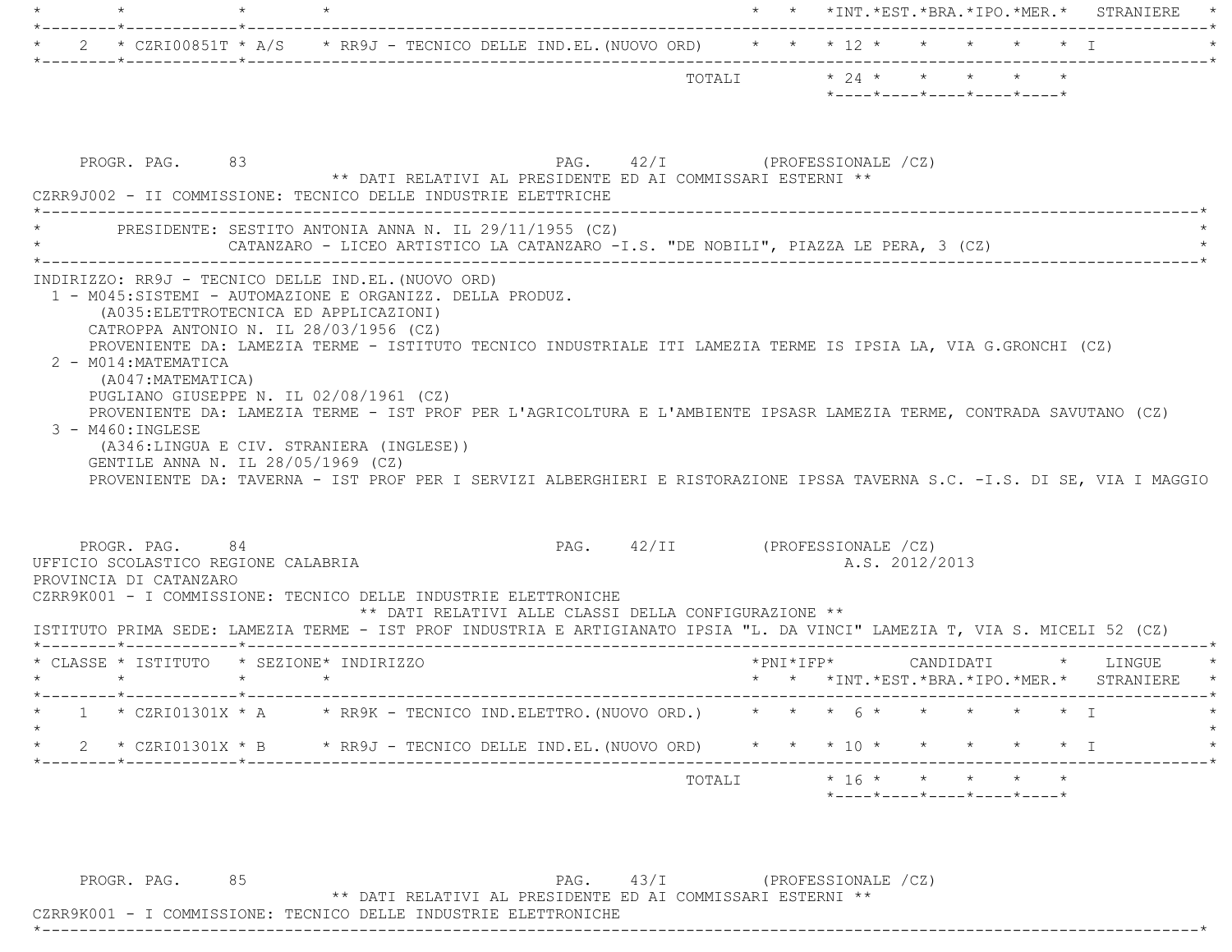|         |                                                                                                         |                 |                                                                                                                                                                                                                                                                                                                                                                                                                                                                                                     |                                                      |                                |                         |                                                                                                                   |                |                                                                                    |           | * * *INT.*EST.*BRA.*IPO.*MER.* STRANIERE                          |
|---------|---------------------------------------------------------------------------------------------------------|-----------------|-----------------------------------------------------------------------------------------------------------------------------------------------------------------------------------------------------------------------------------------------------------------------------------------------------------------------------------------------------------------------------------------------------------------------------------------------------------------------------------------------------|------------------------------------------------------|--------------------------------|-------------------------|-------------------------------------------------------------------------------------------------------------------|----------------|------------------------------------------------------------------------------------|-----------|-------------------------------------------------------------------|
|         |                                                                                                         |                 | 2 * CZRI00851T * A/S * RR9J - TECNICO DELLE IND.EL. (NUOVO ORD) * * * 12 * * * * * * * *                                                                                                                                                                                                                                                                                                                                                                                                            |                                                      |                                |                         |                                                                                                                   |                |                                                                                    |           |                                                                   |
|         |                                                                                                         |                 |                                                                                                                                                                                                                                                                                                                                                                                                                                                                                                     |                                                      |                                | TOTALI * 24 * * * * * * | *----*----*----*----*----*                                                                                        |                |                                                                                    |           |                                                                   |
|         | PROGR. PAG. 83                                                                                          |                 | PAG. 42/I (PROFESSIONALE /CZ)<br>** DATI RELATIVI AL PRESIDENTE ED AI COMMISSARI ESTERNI **<br>CZRR9J002 - II COMMISSIONE: TECNICO DELLE INDUSTRIE ELETTRICHE                                                                                                                                                                                                                                                                                                                                       |                                                      |                                |                         |                                                                                                                   |                |                                                                                    |           |                                                                   |
|         |                                                                                                         |                 | * PRESIDENTE: SESTITO ANTONIA ANNA N. IL 29/11/1955 (CZ)<br>CATANZARO - LICEO ARTISTICO LA CATANZARO -I.S. "DE NOBILI", PIAZZA LE PERA, 3 (CZ)                                                                                                                                                                                                                                                                                                                                                      |                                                      |                                |                         |                                                                                                                   |                |                                                                                    |           |                                                                   |
|         | 2 - M014: MATEMATICA<br>(A047:MATEMATICA)<br>$3 - M460$ : INGLESE<br>GENTILE ANNA N. IL 28/05/1969 (CZ) |                 | CATROPPA ANTONIO N. IL 28/03/1956 (CZ)<br>PROVENIENTE DA: LAMEZIA TERME - ISTITUTO TECNICO INDUSTRIALE ITI LAMEZIA TERME IS IPSIA LA, VIA G.GRONCHI (CZ)<br>PUGLIANO GIUSEPPE N. IL 02/08/1961 (CZ)<br>PROVENIENTE DA: LAMEZIA TERME - IST PROF PER L'AGRICOLTURA E L'AMBIENTE IPSASR LAMEZIA TERME, CONTRADA SAVUTANO (CZ)<br>(A346:LINGUA E CIV. STRANIERA (INGLESE))<br>PROVENIENTE DA: TAVERNA - IST PROF PER I SERVIZI ALBERGHIERI E RISTORAZIONE IPSSA TAVERNA S.C. -I.S. DI SE, VIA I MAGGIO |                                                      |                                |                         |                                                                                                                   |                |                                                                                    |           |                                                                   |
|         | PROGR. PAG. 84<br>UFFICIO SCOLASTICO REGIONE CALABRIA<br>PROVINCIA DI CATANZARO                         |                 | CZRR9K001 - I COMMISSIONE: TECNICO DELLE INDUSTRIE ELETTRONICHE<br>ISTITUTO PRIMA SEDE: LAMEZIA TERME - IST PROF INDUSTRIA E ARTIGIANATO IPSIA "L. DA VINCI" LAMEZIA T, VIA S. MICELI 52 (CZ)                                                                                                                                                                                                                                                                                                       | ** DATI RELATIVI ALLE CLASSI DELLA CONFIGURAZIONE ** | PAG. 42/II (PROFESSIONALE /CZ) |                         |                                                                                                                   | A.S. 2012/2013 |                                                                                    |           |                                                                   |
| $\star$ |                                                                                                         | $\star$ $\star$ | * CLASSE * ISTITUTO * SEZIONE* INDIRIZZO                                                                                                                                                                                                                                                                                                                                                                                                                                                            |                                                      |                                |                         | *PNI*IFP*                                                                                                         |                |                                                                                    |           | CANDIDATI * LINGUE<br>*  *  *INT.*EST.*BRA.*IPO.*MER.*  STRANIERE |
|         |                                                                                                         |                 | * $CZRIO1301X$ * A $\rightarrow$ RR9K - TECNICO IND. ELETTRO. (NUOVO ORD.)                                                                                                                                                                                                                                                                                                                                                                                                                          |                                                      |                                |                         | $\star$ $\star$ $\star$ $\uparrow$ $\uparrow$ $\star$ $\downarrow$ $\star$ $\downarrow$ $\downarrow$ $\downarrow$ |                |                                                                                    |           |                                                                   |
| 2       | * CZRI01301X * B                                                                                        |                 | * RR9J - TECNICO DELLE IND.EL. (NUOVO ORD)                                                                                                                                                                                                                                                                                                                                                                                                                                                          |                                                      |                                |                         | $*$ 10 $*$                                                                                                        |                |                                                                                    | $\star$ I |                                                                   |
|         |                                                                                                         |                 |                                                                                                                                                                                                                                                                                                                                                                                                                                                                                                     |                                                      |                                | TOTALI                  | $*$ 16 $*$                                                                                                        |                | $\star$ $\star$<br>$*$ - - - - $*$ - - - - $*$ - - - - $*$ - - - - $*$ - - - - $*$ |           |                                                                   |

\*----------------------------------------------------------------------------------------------------------------------------\*

PROGR. PAG. 85 PROGR. PAG. 85 PAG. 43/I (PROFESSIONALE /CZ) \*\* DATI RELATIVI AL PRESIDENTE ED AI COMMISSARI ESTERNI \*\*

CZRR9K001 - I COMMISSIONE: TECNICO DELLE INDUSTRIE ELETTRONICHE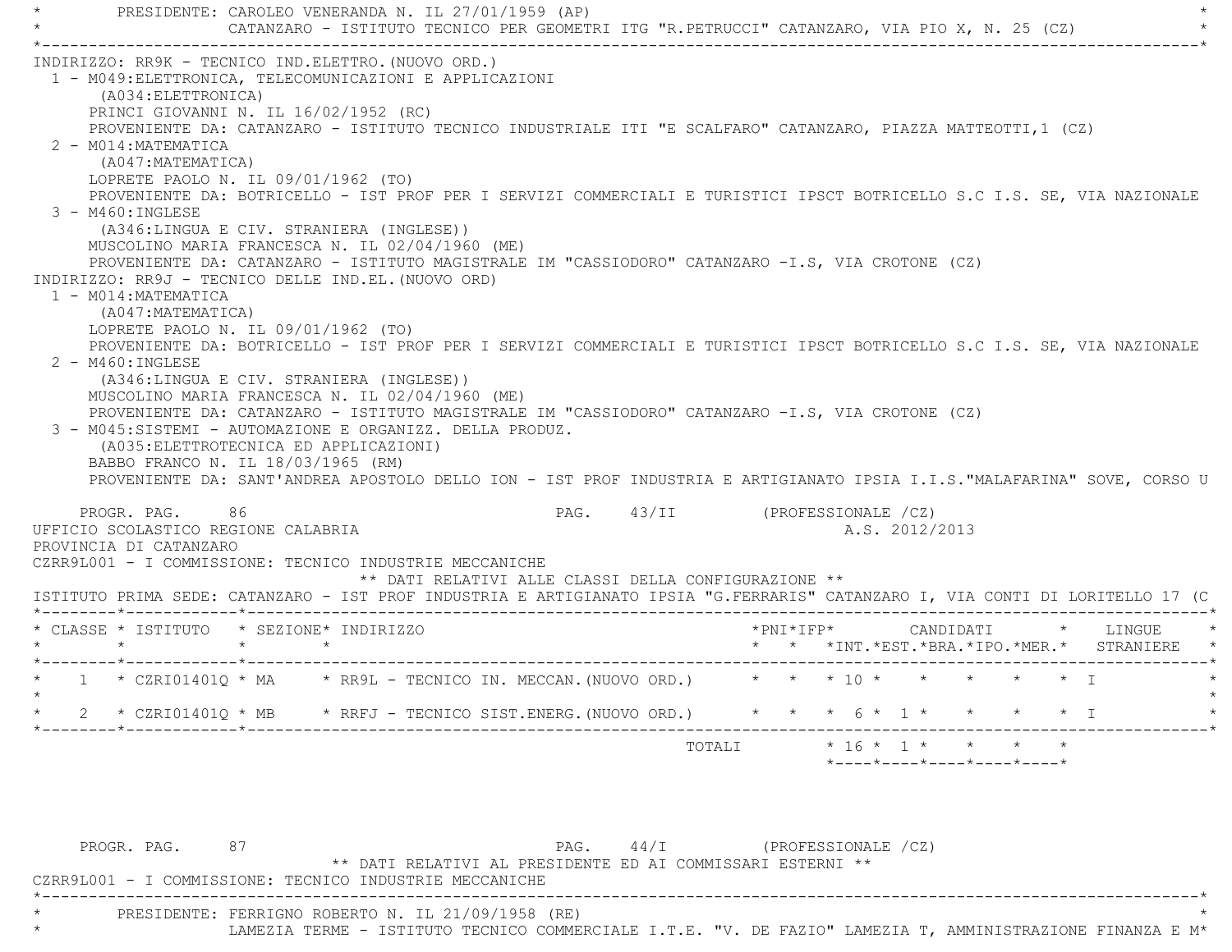PRESIDENTE: CAROLEO VENERANDA N. IL 27/01/1959 (AP) CATANZARO - ISTITUTO TECNICO PER GEOMETRI ITG "R.PETRUCCI" CATANZARO, VIA PIO X, N. 25 (CZ) \*----------------------------------------------------------------------------------------------------------------------------\* INDIRIZZO: RR9K - TECNICO IND.ELETTRO.(NUOVO ORD.) 1 - M049:ELETTRONICA, TELECOMUNICAZIONI E APPLICAZIONI (A034:ELETTRONICA) PRINCI GIOVANNI N. IL 16/02/1952 (RC) PROVENIENTE DA: CATANZARO - ISTITUTO TECNICO INDUSTRIALE ITI "E SCALFARO" CATANZARO, PIAZZA MATTEOTTI,1 (CZ) 2 - M014:MATEMATICA (A047:MATEMATICA) LOPRETE PAOLO N. IL 09/01/1962 (TO) PROVENIENTE DA: BOTRICELLO - IST PROF PER I SERVIZI COMMERCIALI E TURISTICI IPSCT BOTRICELLO S.C I.S. SE, VIA NAZIONAL E 3 - M460:INGLESE (A346:LINGUA E CIV. STRANIERA (INGLESE)) MUSCOLINO MARIA FRANCESCA N. IL 02/04/1960 (ME) PROVENIENTE DA: CATANZARO - ISTITUTO MAGISTRALE IM "CASSIODORO" CATANZARO -I.S, VIA CROTONE (CZ) INDIRIZZO: RR9J - TECNICO DELLE IND.EL.(NUOVO ORD) 1 - M014:MATEMATICA (A047:MATEMATICA) LOPRETE PAOLO N. IL 09/01/1962 (TO) PROVENIENTE DA: BOTRICELLO - IST PROF PER I SERVIZI COMMERCIALI E TURISTICI IPSCT BOTRICELLO S.C I.S. SE, VIA NAZIONAL E 2 - M460:INGLESE (A346:LINGUA E CIV. STRANIERA (INGLESE)) MUSCOLINO MARIA FRANCESCA N. IL 02/04/1960 (ME) PROVENIENTE DA: CATANZARO - ISTITUTO MAGISTRALE IM "CASSIODORO" CATANZARO -I.S, VIA CROTONE (CZ) 3 - M045:SISTEMI - AUTOMAZIONE E ORGANIZZ. DELLA PRODUZ. (A035:ELETTROTECNICA ED APPLICAZIONI) BABBO FRANCO N. IL 18/03/1965 (RM) PROVENIENTE DA: SANT'ANDREA APOSTOLO DELLO ION - IST PROF INDUSTRIA E ARTIGIANATO IPSIA I.I.S."MALAFARINA" SOVE, CORSO U PROGR. PAG. 86 86 PAG. 43/II (PROFESSIONALE /CZ) UFFICIO SCOLASTICO REGIONE CALABRIA AND ANNO 1999 A.S. 2012/2013 PROVINCIA DI CATANZARO CZRR9L001 - I COMMISSIONE: TECNICO INDUSTRIE MECCANICHE \*\* DATI RELATIVI ALLE CLASSI DELLA CONFIGURAZIONE \*\* ISTITUTO PRIMA SEDE: CATANZARO - IST PROF INDUSTRIA E ARTIGIANATO IPSIA "G.FERRARIS" CATANZARO I, VIA CONTI DI LORITELLO 17 (C \*--------\*------------\*-------------------------------------------------------------------------------------------------------\* \* CLASSE \* ISTITUTO \* SEZIONE\* INDIRIZZO \*PNI\*IFP\* CANDIDATI \* LINGUE \* \* \* \* \* \* \* \*INT.\*EST.\*BRA.\*IPO.\*MER.\* STRANIERE \* \*--------\*------------\*-------------------------------------------------------------------------------------------------------\* $1 \times \text{CZRIO1401O} \times \text{MA} \times \text{RR9L}$  - TECNICO IN. MECCAN.(NUOVO ORD.)  $\star \star \star \star 10 \star \star \star \star \star \star \star \star \star \star \star$  $\star$ 2 \* CZRI01401O \* MB \* RRFJ - TECNICO SIST.ENERG.(NUOVO ORD.) \* \* \* 6 \* 1 \* \* \* \* \* \* I \*--------\*------------\*-------------------------------------------------------------------------------------------------------\*TOTALI  $* 16 * 1 * * * * * *$ \*----\*----\*----\*----\*----\*

PROGR. PAG. 87 87 PAG. 44/I (PROFESSIONALE /CZ) \*\* DATI RELATIVI AL PRESIDENTE ED AI COMMISSARI ESTERNI \*\* CZRR9L001 - I COMMISSIONE: TECNICO INDUSTRIE MECCANICHE \*----------------------------------------------------------------------------------------------------------------------------\* \* PRESIDENTE: FERRIGNO ROBERTO N. IL 21/09/1958 (RE) \* LAMEZIA TERME - ISTITUTO TECNICO COMMERCIALE I.T.E. "V. DE FAZIO" LAMEZIA T, AMMINISTRAZIONE FINANZA E M\*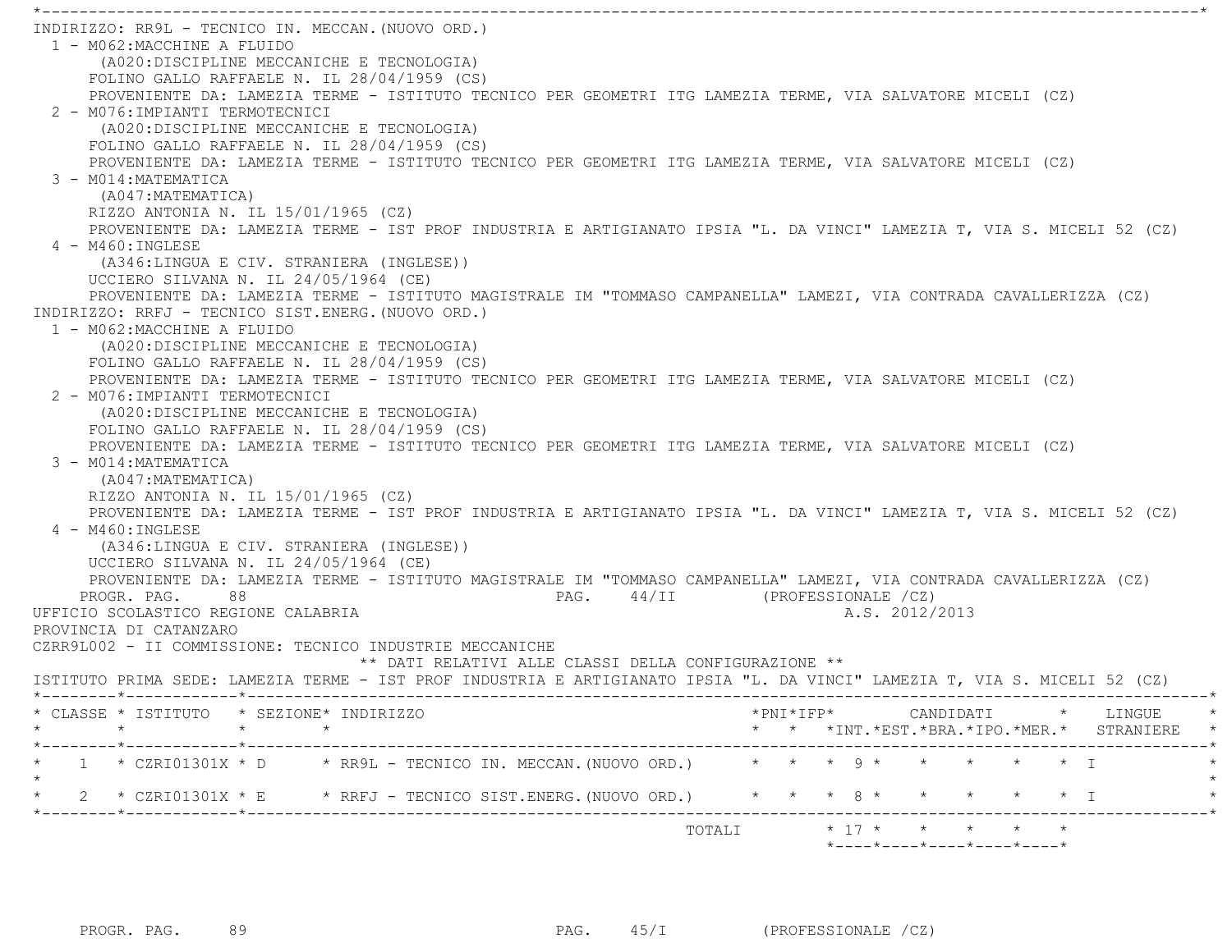\*----------------------------------------------------------------------------------------------------------------------------\* INDIRIZZO: RR9L - TECNICO IN. MECCAN.(NUOVO ORD.) 1 - M062:MACCHINE A FLUIDO (A020:DISCIPLINE MECCANICHE E TECNOLOGIA) FOLINO GALLO RAFFAELE N. IL 28/04/1959 (CS) PROVENIENTE DA: LAMEZIA TERME - ISTITUTO TECNICO PER GEOMETRI ITG LAMEZIA TERME, VIA SALVATORE MICELI (CZ) 2 - M076:IMPIANTI TERMOTECNICI (A020:DISCIPLINE MECCANICHE E TECNOLOGIA) FOLINO GALLO RAFFAELE N. IL 28/04/1959 (CS) PROVENIENTE DA: LAMEZIA TERME - ISTITUTO TECNICO PER GEOMETRI ITG LAMEZIA TERME, VIA SALVATORE MICELI (CZ) 3 - M014:MATEMATICA (A047:MATEMATICA) RIZZO ANTONIA N. IL 15/01/1965 (CZ) PROVENIENTE DA: LAMEZIA TERME - IST PROF INDUSTRIA E ARTIGIANATO IPSIA "L. DA VINCI" LAMEZIA T, VIA S. MICELI 52 (CZ) 4 - M460:INGLESE (A346:LINGUA E CIV. STRANIERA (INGLESE)) UCCIERO SILVANA N. IL 24/05/1964 (CE) PROVENIENTE DA: LAMEZIA TERME - ISTITUTO MAGISTRALE IM "TOMMASO CAMPANELLA" LAMEZI, VIA CONTRADA CAVALLERIZZA (CZ) INDIRIZZO: RRFJ - TECNICO SIST.ENERG.(NUOVO ORD.) 1 - M062:MACCHINE A FLUIDO (A020:DISCIPLINE MECCANICHE E TECNOLOGIA) FOLINO GALLO RAFFAELE N. IL 28/04/1959 (CS) PROVENIENTE DA: LAMEZIA TERME - ISTITUTO TECNICO PER GEOMETRI ITG LAMEZIA TERME, VIA SALVATORE MICELI (CZ) 2 - M076:IMPIANTI TERMOTECNICI (A020:DISCIPLINE MECCANICHE E TECNOLOGIA) FOLINO GALLO RAFFAELE N. IL 28/04/1959 (CS) PROVENIENTE DA: LAMEZIA TERME - ISTITUTO TECNICO PER GEOMETRI ITG LAMEZIA TERME, VIA SALVATORE MICELI (CZ) 3 - M014:MATEMATICA (A047:MATEMATICA) RIZZO ANTONIA N. IL 15/01/1965 (CZ) PROVENIENTE DA: LAMEZIA TERME - IST PROF INDUSTRIA E ARTIGIANATO IPSIA "L. DA VINCI" LAMEZIA T, VIA S. MICELI 52 (CZ) 4 - M460:INGLESE (A346:LINGUA E CIV. STRANIERA (INGLESE)) UCCIERO SILVANA N. IL 24/05/1964 (CE) PROVENIENTE DA: LAMEZIA TERME - ISTITUTO MAGISTRALE IM "TOMMASO CAMPANELLA" LAMEZI, VIA CONTRADA CAVALLERIZZA (CZ) PROGR. PAG. 88 8 PAG. 44/II (PROFESSIONALE /CZ) UFFICIO SCOLASTICO REGIONE CALABRIA A.S. 2012/2013 PROVINCIA DI CATANZARO CZRR9L002 - II COMMISSIONE: TECNICO INDUSTRIE MECCANICHE \*\* DATI RELATIVI ALLE CLASSI DELLA CONFIGURAZIONE \*\* ISTITUTO PRIMA SEDE: LAMEZIA TERME - IST PROF INDUSTRIA E ARTIGIANATO IPSIA "L. DA VINCI" LAMEZIA T, VIA S. MICELI 52 (CZ) \*--------\*------------\*-------------------------------------------------------------------------------------------------------\* \* CLASSE \* ISTITUTO \* SEZIONE\* INDIRIZZO \*PNI\*IFP\* CANDIDATI \* LINGUE \* \* \* \* \* \* \* \*INT.\*EST.\*BRA.\*IPO.\*MER.\* STRANIERE \* \*--------\*------------\*-------------------------------------------------------------------------------------------------------\*1 \* CZRI01301X \* D \* RR9L - TECNICO IN. MECCAN. (NUOVO ORD.) \* \* \* 9 \* \* \* \* \* \* \* I  $\star$  \* 2 \* CZRI01301X \* E \* RRFJ - TECNICO SIST.ENERG.(NUOVO ORD.) \* \* \* 8 \* \* \* \* \* I \* \*--------\*------------\*-------------------------------------------------------------------------------------------------------\*TOTALI  $* 17 * * * * * * * * *$ 

\*----\*----\*----\*----\*----\*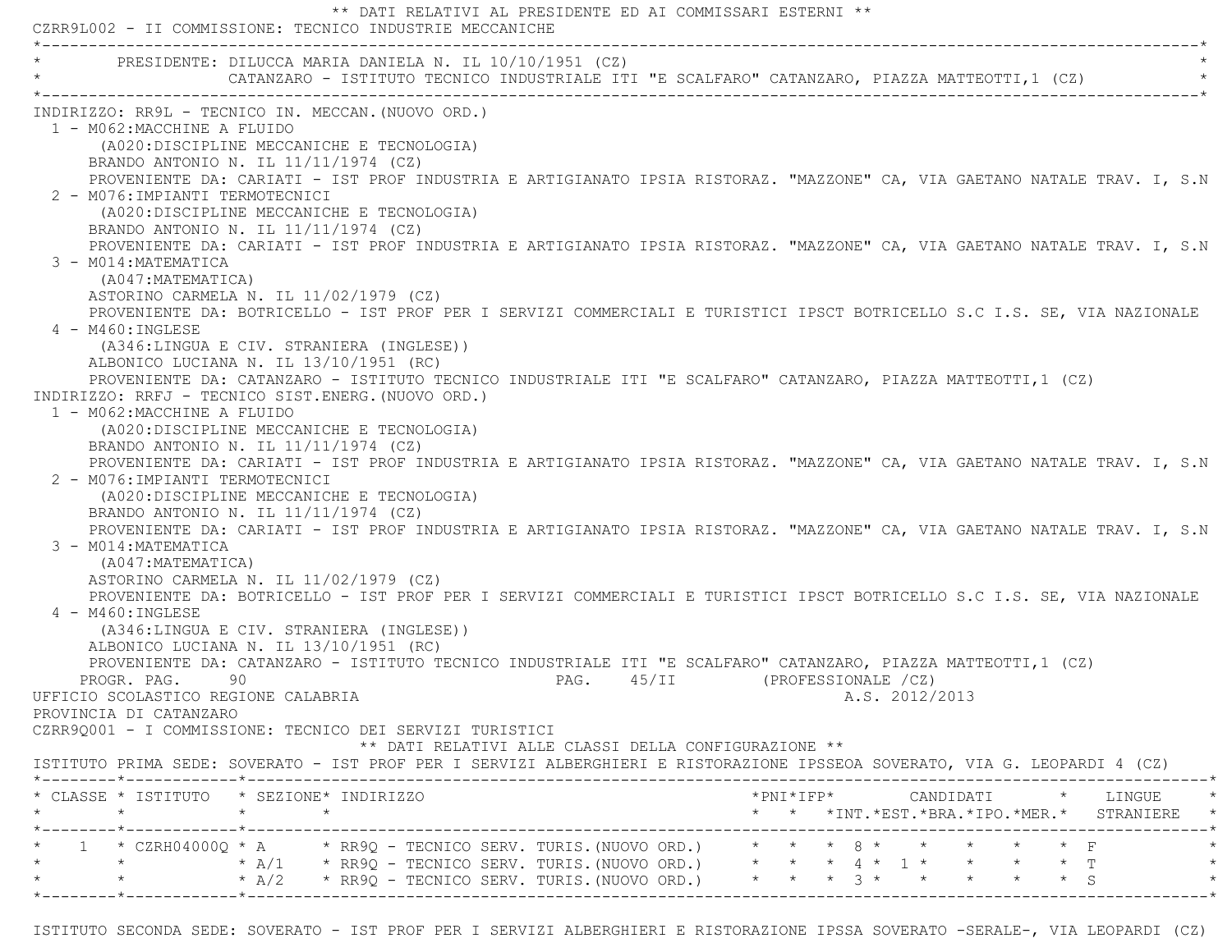\*\* DATI RELATIVI AL PRESIDENTE ED AI COMMISSARI ESTERNI \*\* CZRR9L002 - II COMMISSIONE: TECNICO INDUSTRIE MECCANICHE \*----------------------------------------------------------------------------------------------------------------------------\*PRESIDENTE: DILUCCA MARIA DANIELA N. IL 10/10/1951 (CZ) \* CATANZARO - ISTITUTO TECNICO INDUSTRIALE ITI "E SCALFARO" CATANZARO, PIAZZA MATTEOTTI,1 (CZ) \* \*----------------------------------------------------------------------------------------------------------------------------\* INDIRIZZO: RR9L - TECNICO IN. MECCAN.(NUOVO ORD.) 1 - M062:MACCHINE A FLUIDO (A020:DISCIPLINE MECCANICHE E TECNOLOGIA) BRANDO ANTONIO N. IL 11/11/1974 (CZ) PROVENIENTE DA: CARIATI - IST PROF INDUSTRIA E ARTIGIANATO IPSIA RISTORAZ. "MAZZONE" CA, VIA GAETANO NATALE TRAV. I, S.N 2 - M076:IMPIANTI TERMOTECNICI (A020:DISCIPLINE MECCANICHE E TECNOLOGIA) BRANDO ANTONIO N. IL 11/11/1974 (CZ) PROVENIENTE DA: CARIATI - IST PROF INDUSTRIA E ARTIGIANATO IPSIA RISTORAZ. "MAZZONE" CA, VIA GAETANO NATALE TRAV. I, S.N 3 - M014:MATEMATICA (A047:MATEMATICA) ASTORINO CARMELA N. IL 11/02/1979 (CZ) PROVENIENTE DA: BOTRICELLO - IST PROF PER I SERVIZI COMMERCIALI E TURISTICI IPSCT BOTRICELLO S.C I.S. SE, VIA NAZIONAL E 4 - M460:INGLESE (A346:LINGUA E CIV. STRANIERA (INGLESE)) ALBONICO LUCIANA N. IL 13/10/1951 (RC) PROVENIENTE DA: CATANZARO - ISTITUTO TECNICO INDUSTRIALE ITI "E SCALFARO" CATANZARO, PIAZZA MATTEOTTI,1 (CZ) INDIRIZZO: RRFJ - TECNICO SIST.ENERG.(NUOVO ORD.) 1 - M062:MACCHINE A FLUIDO (A020:DISCIPLINE MECCANICHE E TECNOLOGIA) BRANDO ANTONIO N. IL 11/11/1974 (CZ) PROVENIENTE DA: CARIATI - IST PROF INDUSTRIA E ARTIGIANATO IPSIA RISTORAZ. "MAZZONE" CA, VIA GAETANO NATALE TRAV. I, S.N 2 - M076:IMPIANTI TERMOTECNICI (A020:DISCIPLINE MECCANICHE E TECNOLOGIA) BRANDO ANTONIO N. IL 11/11/1974 (CZ) PROVENIENTE DA: CARIATI - IST PROF INDUSTRIA E ARTIGIANATO IPSIA RISTORAZ. "MAZZONE" CA, VIA GAETANO NATALE TRAV. I, S.N 3 - M014:MATEMATICA (A047:MATEMATICA) ASTORINO CARMELA N. IL 11/02/1979 (CZ) PROVENIENTE DA: BOTRICELLO - IST PROF PER I SERVIZI COMMERCIALI E TURISTICI IPSCT BOTRICELLO S.C I.S. SE, VIA NAZIONAL E 4 - M460:INGLESE (A346:LINGUA E CIV. STRANIERA (INGLESE)) ALBONICO LUCIANA N. IL 13/10/1951 (RC) PROVENIENTE DA: CATANZARO - ISTITUTO TECNICO INDUSTRIALE ITI "E SCALFARO" CATANZARO, PIAZZA MATTEOTTI,1 (CZ) PROGR. PAG. 90 90 PAG. 45/II (PROFESSIONALE /CZ) UFFICIO SCOLASTICO REGIONE CALABRIA A.S. 2012/2013 PROVINCIA DI CATANZARO CZRR9Q001 - I COMMISSIONE: TECNICO DEI SERVIZI TURISTICI \*\* DATI RELATIVI ALLE CLASSI DELLA CONFIGURAZIONE \*\* ISTITUTO PRIMA SEDE: SOVERATO - IST PROF PER I SERVIZI ALBERGHIERI E RISTORAZIONE IPSSEOA SOVERATO, VIA G. LEOPARDI 4 (CZ) \*--------\*------------\*-------------------------------------------------------------------------------------------------------\* \* CLASSE \* ISTITUTO \* SEZIONE\* INDIRIZZO \*PNI\*IFP\* CANDIDATI \* LINGUE \* \* \* \* \* \* \* \*INT.\*EST.\*BRA.\*IPO.\*MER.\* STRANIERE \* \*--------\*------------\*-------------------------------------------------------------------------------------------------------\* \* 1 \* CZRH04000Q \* A \* RR9Q - TECNICO SERV. TURIS.(NUOVO ORD.) \* \* \* 8 \* \* \* \* \* F \* \* \* A/1 \* RR9Q - TECNICO SERV. TURIS. (NUOVO ORD.) \* \* 4 \* 1 \* \* \* \* \* T \* \* A/2 \* RR9Q - TECNICO SERV. TURIS. (NUOVO ORD.) \* \* \* 3 \* \* \* \* \* \* \* \* S \*--------\*------------\*-------------------------------------------------------------------------------------------------------\*

ISTITUTO SECONDA SEDE: SOVERATO - IST PROF PER I SERVIZI ALBERGHIERI E RISTORAZIONE IPSSA SOVERATO -SERALE-, VIA LEOPARDI (CZ)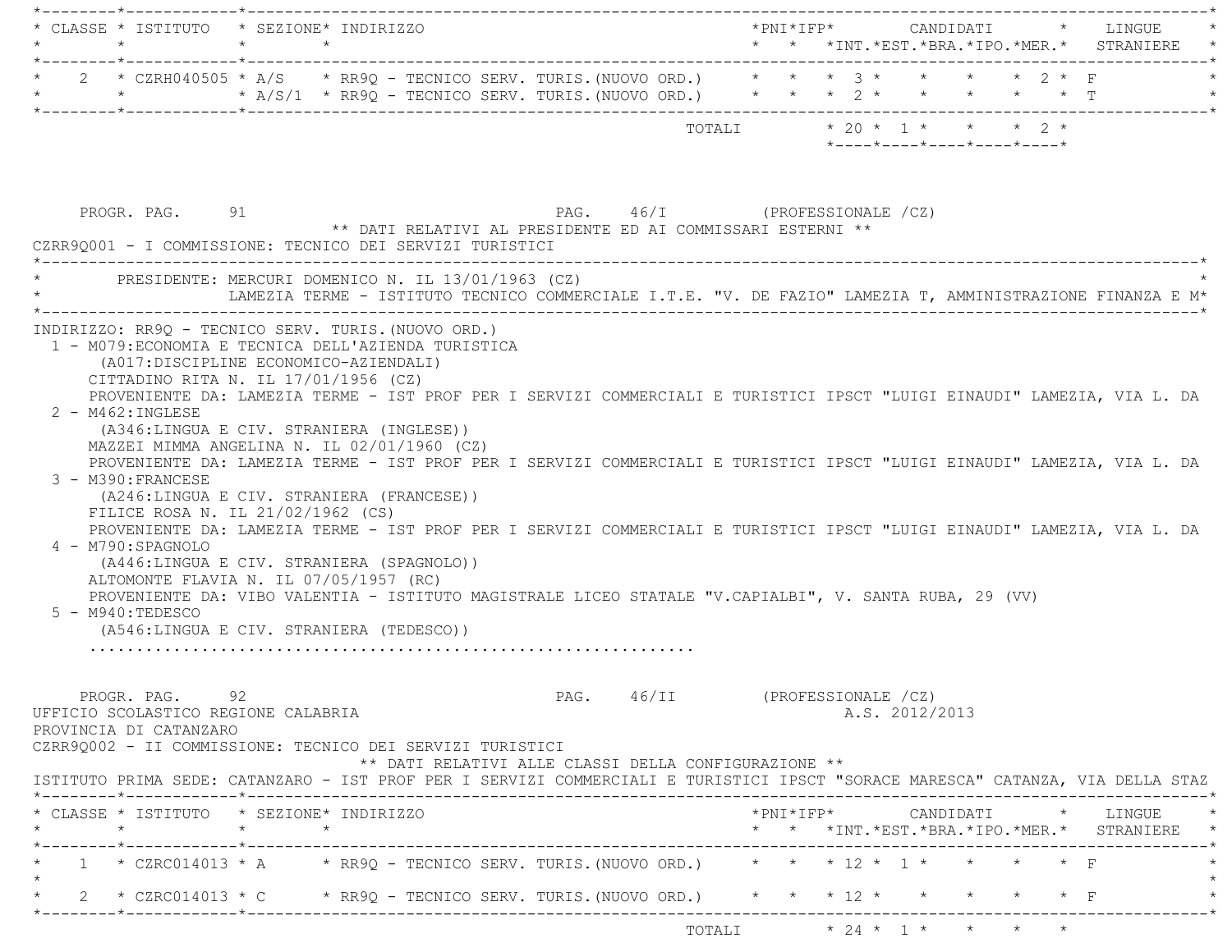|                                                                                       | * CLASSE * ISTITUTO * SEZIONE* INDIRIZZO                                                                                                                                                                                                                                                                                                                                                                                                                                                                                                                                                                                                                                                                                                                                                                                                                                                                                                        |                                                                                        |        |                                                                                           | *PNI*IFP*     CANDIDATI    *   LINGUE |
|---------------------------------------------------------------------------------------|-------------------------------------------------------------------------------------------------------------------------------------------------------------------------------------------------------------------------------------------------------------------------------------------------------------------------------------------------------------------------------------------------------------------------------------------------------------------------------------------------------------------------------------------------------------------------------------------------------------------------------------------------------------------------------------------------------------------------------------------------------------------------------------------------------------------------------------------------------------------------------------------------------------------------------------------------|----------------------------------------------------------------------------------------|--------|-------------------------------------------------------------------------------------------|---------------------------------------|
|                                                                                       | * 2 * CZRH040505 * A/S * RR9Q - TECNICO SERV. TURIS. (NUOVO ORD.) * * * 3 * * * * * 2 * F<br>* * * * A/S/1 * RR9Q - TECNICO SERV. TURIS. (NUOVO ORD.) * * * 2 * * * * * * * T                                                                                                                                                                                                                                                                                                                                                                                                                                                                                                                                                                                                                                                                                                                                                                   |                                                                                        |        |                                                                                           |                                       |
|                                                                                       |                                                                                                                                                                                                                                                                                                                                                                                                                                                                                                                                                                                                                                                                                                                                                                                                                                                                                                                                                 |                                                                                        | TOTALI | $* 20 * 1 * * * * 2 *$<br>$*$ - - - - $*$ - - - - $*$ - - - - $*$ - - - - $*$ - - - - $*$ |                                       |
| PROGR. PAG. 91                                                                        | ** DATI RELATIVI AL PRESIDENTE ED AI COMMISSARI ESTERNI **<br>CZRR90001 - I COMMISSIONE: TECNICO DEI SERVIZI TURISTICI                                                                                                                                                                                                                                                                                                                                                                                                                                                                                                                                                                                                                                                                                                                                                                                                                          | PAG. 46/I (PROFESSIONALE /CZ)                                                          |        |                                                                                           |                                       |
|                                                                                       | PRESIDENTE: MERCURI DOMENICO N. IL 13/01/1963 (CZ)<br>LAMEZIA TERME - ISTITUTO TECNICO COMMERCIALE I.T.E. "V. DE FAZIO" LAMEZIA T, AMMINISTRAZIONE FINANZA E M*                                                                                                                                                                                                                                                                                                                                                                                                                                                                                                                                                                                                                                                                                                                                                                                 |                                                                                        |        |                                                                                           |                                       |
| $2 - M462 : INGLESE$<br>3 - M390: FRANCESE<br>4 - M790:SPAGNOLO<br>$5 - M940:TEDESCO$ | 1 - M079: ECONOMIA E TECNICA DELL'AZIENDA TURISTICA<br>(A017:DISCIPLINE ECONOMICO-AZIENDALI)<br>CITTADINO RITA N. IL 17/01/1956 (CZ)<br>PROVENIENTE DA: LAMEZIA TERME - IST PROF PER I SERVIZI COMMERCIALI E TURISTICI IPSCT "LUIGI EINAUDI" LAMEZIA, VIA L. DA<br>(A346:LINGUA E CIV. STRANIERA (INGLESE))<br>MAZZEI MIMMA ANGELINA N. IL 02/01/1960 (CZ)<br>PROVENIENTE DA: LAMEZIA TERME - IST PROF PER I SERVIZI COMMERCIALI E TURISTICI IPSCT "LUIGI EINAUDI" LAMEZIA, VIA L. DA<br>(A246:LINGUA E CIV. STRANIERA (FRANCESE))<br>FILICE ROSA N. IL 21/02/1962 (CS)<br>PROVENIENTE DA: LAMEZIA TERME - IST PROF PER I SERVIZI COMMERCIALI E TURISTICI IPSCT "LUIGI EINAUDI" LAMEZIA, VIA L. DA<br>(A446:LINGUA E CIV. STRANIERA (SPAGNOLO))<br>ALTOMONTE FLAVIA N. IL 07/05/1957 (RC)<br>PROVENIENTE DA: VIBO VALENTIA - ISTITUTO MAGISTRALE LICEO STATALE "V.CAPIALBI", V. SANTA RUBA, 29 (VV)<br>(A546:LINGUA E CIV. STRANIERA (TEDESCO)) |                                                                                        |        |                                                                                           |                                       |
| PROGR. PAG. 92<br>PROVINCIA DI CATANZARO                                              | UFFICIO SCOLASTICO REGIONE CALABRIA<br>CZRR9Q002 - II COMMISSIONE: TECNICO DEI SERVIZI TURISTICI<br>ISTITUTO PRIMA SEDE: CATANZARO - IST PROF PER I SERVIZI COMMERCIALI E TURISTICI IPSCT "SORACE MARESCA" CATANZA, VIA DELLA STAZ                                                                                                                                                                                                                                                                                                                                                                                                                                                                                                                                                                                                                                                                                                              | PAG. 46/II (PROFESSIONALE /CZ)<br>** DATI RELATIVI ALLE CLASSI DELLA CONFIGURAZIONE ** |        | A.S. 2012/2013                                                                            |                                       |
| $\star$ $\star$ $\star$                                                               | * CLASSE * ISTITUTO * SEZIONE* INDIRIZZO                                                                                                                                                                                                                                                                                                                                                                                                                                                                                                                                                                                                                                                                                                                                                                                                                                                                                                        |                                                                                        |        | * * *INT.*EST.*BRA.*IPO.*MER.* STRANIERE *                                                |                                       |
|                                                                                       | _______*____________*______________<br>1 * CZRC014013 * A * RR9Q - TECNICO SERV. TURIS. (NUOVO ORD.) * * * 12 * 1 * * * * * F<br>2 * CZRC014013 * C $\rightarrow$ RR9Q - TECNICO SERV. TURIS. (NUOVO ORD.) $\rightarrow$ * * * 12 * *                                                                                                                                                                                                                                                                                                                                                                                                                                                                                                                                                                                                                                                                                                           |                                                                                        |        |                                                                                           |                                       |
|                                                                                       |                                                                                                                                                                                                                                                                                                                                                                                                                                                                                                                                                                                                                                                                                                                                                                                                                                                                                                                                                 |                                                                                        |        |                                                                                           |                                       |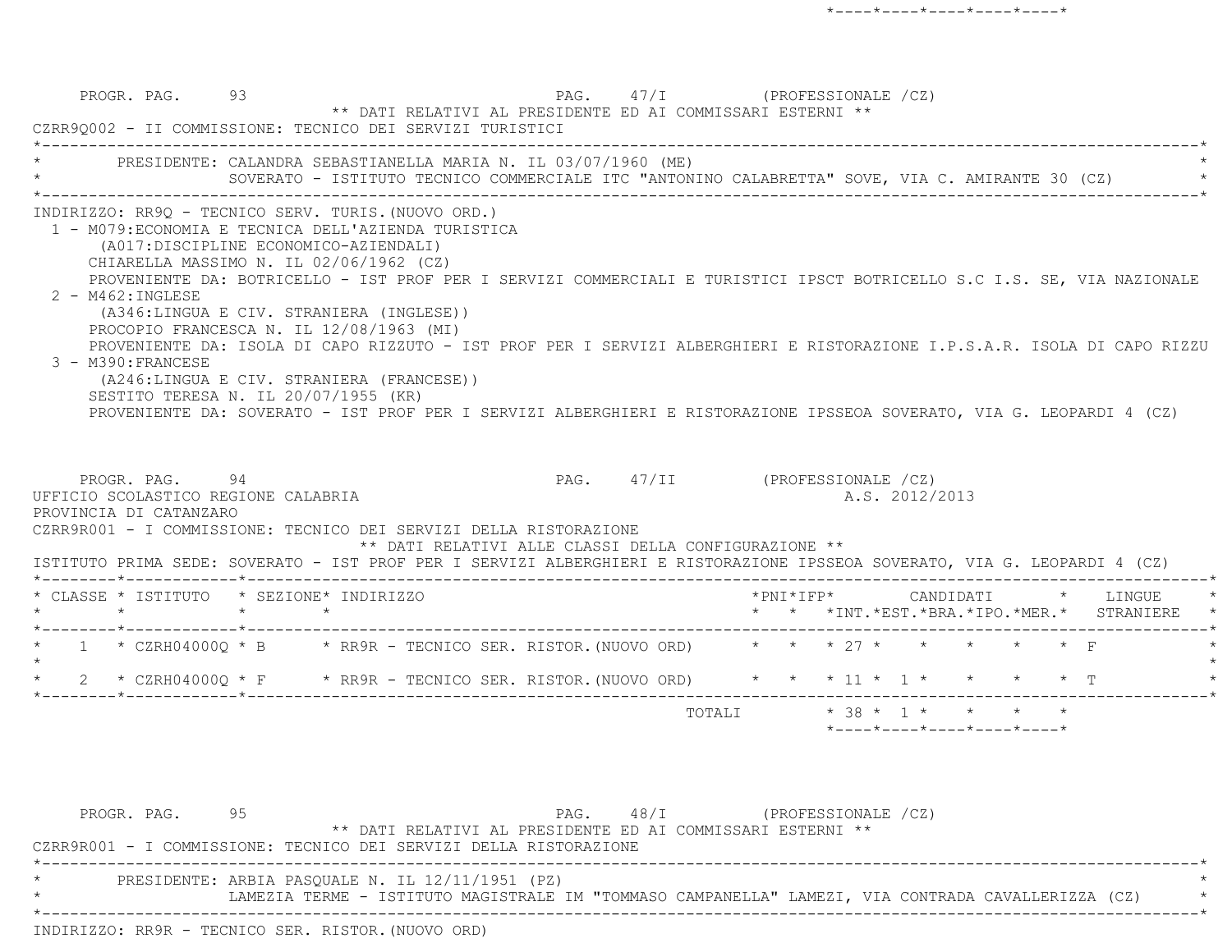PROGR. PAG. 93 93 PAG. 47/I (PROFESSIONALE /CZ) \*\* DATI RELATIVI AL PRESIDENTE ED AI COMMISSARI ESTERNI \*\* CZRR9Q002 - II COMMISSIONE: TECNICO DEI SERVIZI TURISTICI \*----------------------------------------------------------------------------------------------------------------------------\*PRESIDENTE: CALANDRA SEBASTIANELLA MARIA N. IL 03/07/1960 (ME) SOVERATO - ISTITUTO TECNICO COMMERCIALE ITC "ANTONINO CALABRETTA" SOVE, VIA C. AMIRANTE 30 (CZ) \*----------------------------------------------------------------------------------------------------------------------------\* INDIRIZZO: RR9Q - TECNICO SERV. TURIS.(NUOVO ORD.) 1 - M079:ECONOMIA E TECNICA DELL'AZIENDA TURISTICA (A017:DISCIPLINE ECONOMICO-AZIENDALI) CHIARELLA MASSIMO N. IL 02/06/1962 (CZ) PROVENIENTE DA: BOTRICELLO - IST PROF PER I SERVIZI COMMERCIALI E TURISTICI IPSCT BOTRICELLO S.C I.S. SE, VIA NAZIONAL E 2 - M462:INGLESE (A346:LINGUA E CIV. STRANIERA (INGLESE)) PROCOPIO FRANCESCA N. IL 12/08/1963 (MI) PROVENIENTE DA: ISOLA DI CAPO RIZZUTO - IST PROF PER I SERVIZI ALBERGHIERI E RISTORAZIONE I.P.S.A.R. ISOLA DI CAPO RIZZU 3 - M390:FRANCESE (A246:LINGUA E CIV. STRANIERA (FRANCESE)) SESTITO TERESA N. IL 20/07/1955 (KR) PROVENIENTE DA: SOVERATO - IST PROF PER I SERVIZI ALBERGHIERI E RISTORAZIONE IPSSEOA SOVERATO, VIA G. LEOPARDI 4 (CZ) PROGR. PAG. 94 PAG. 47/II (PROFESSIONALE /CZ) UFFICIO SCOLASTICO REGIONE CALABRIA A.S. 2012/2013 PROVINCIA DI CATANZARO CZRR9R001 - I COMMISSIONE: TECNICO DEI SERVIZI DELLA RISTORAZIONE \*\* DATI RELATIVI ALLE CLASSI DELLA CONFIGURAZIONE \*\* ISTITUTO PRIMA SEDE: SOVERATO - IST PROF PER I SERVIZI ALBERGHIERI E RISTORAZIONE IPSSEOA SOVERATO, VIA G. LEOPARDI 4 (CZ) \*--------\*------------\*-------------------------------------------------------------------------------------------------------\*CLASSE \* ISTITUTO \* SEZIONE\* INDIRIZZO \* \* \* \* \* \* \* \* \* \* \* \* \* \* \* LINGUE \* \* \* LINGUE \* \* \* \* LINGUE \* \* \* \* LINGUE \* \* \* \* \* \* \*INT.\*EST.\*BRA.\*IPO.\*MER.\* STRANIERE \* \*--------\*------------\*-------------------------------------------------------------------------------------------------------\*1 \* CZRH04000Q \* B \* RR9R - TECNICO SER. RISTOR. (NUOVO ORD) \* \* \* \* 27 \* \* \* \* \* \* F  $\star$  \* 2 \* CZRH04000Q \* F \* RR9R - TECNICO SER. RISTOR.(NUOVO ORD) \* \* \* 11 \* 1 \* \* \* \* T \* \*--------\*------------\*-------------------------------------------------------------------------------------------------------\*TOTALI  $* 38 * 1 * * * * * * *$ \*----\*----\*----\*----\*----\*

PROGR. PAG. 95 95 PAG. 48/I (PROFESSIONALE /CZ) \*\* DATI RELATIVI AL PRESIDENTE ED AI COMMISSARI ESTERNI \*\* CZRR9R001 - I COMMISSIONE: TECNICO DEI SERVIZI DELLA RISTORAZIONE \*----------------------------------------------------------------------------------------------------------------------------\*PRESIDENTE: ARBIA PASQUALE N. IL 12/11/1951 (PZ) \* LAMEZIA TERME - ISTITUTO MAGISTRALE IM "TOMMASO CAMPANELLA" LAMEZI, VIA CONTRADA CAVALLERIZZA (CZ) \* \*----------------------------------------------------------------------------------------------------------------------------\*INDIRIZZO: RR9R - TECNICO SER. RISTOR.(NUOVO ORD)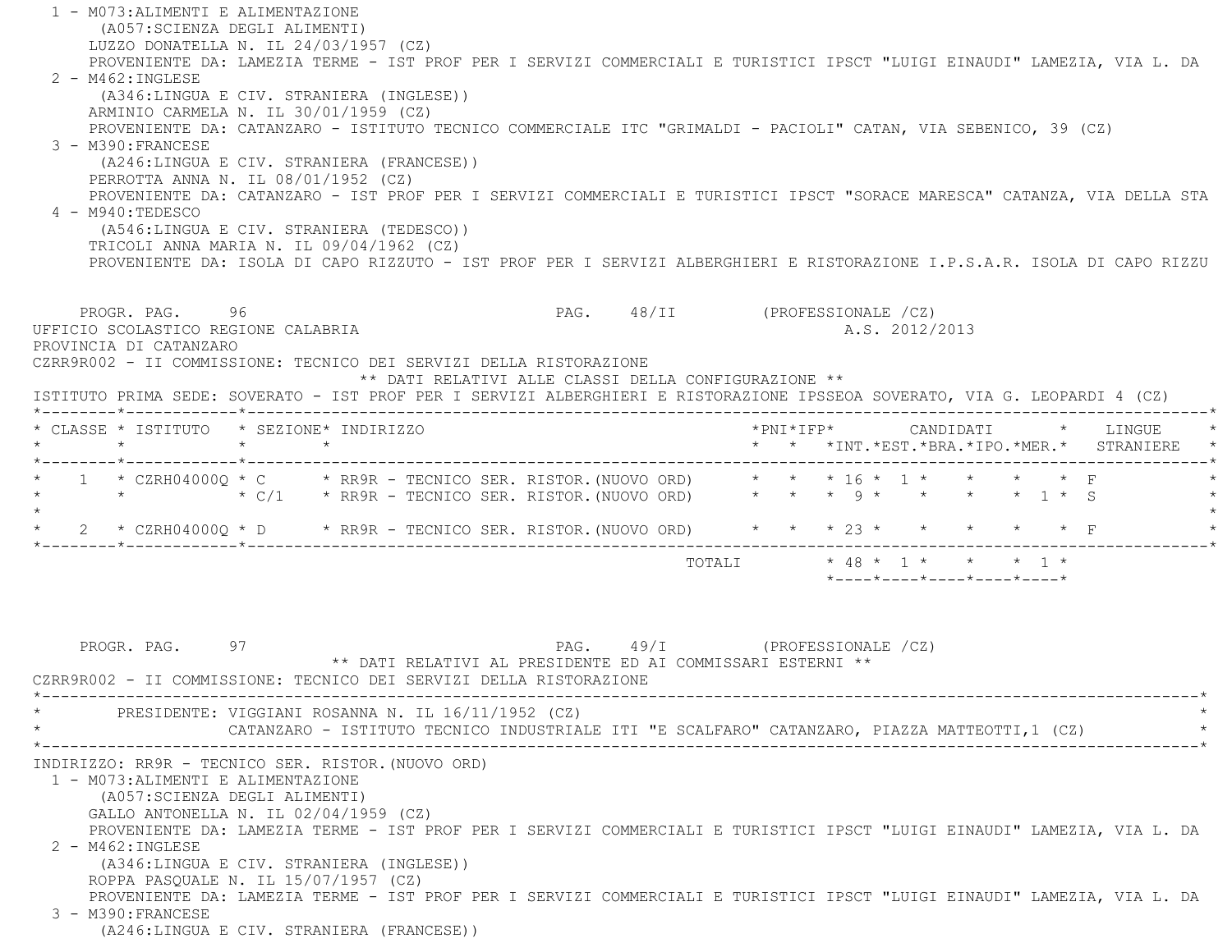1 - M073:ALIMENTI E ALIMENTAZIONE (A057:SCIENZA DEGLI ALIMENTI) LUZZO DONATELLA N. IL 24/03/1957 (CZ) PROVENIENTE DA: LAMEZIA TERME - IST PROF PER I SERVIZI COMMERCIALI E TURISTICI IPSCT "LUIGI EINAUDI" LAMEZIA, VIA L. DA 2 - M462:INGLESE (A346:LINGUA E CIV. STRANIERA (INGLESE)) ARMINIO CARMELA N. IL 30/01/1959 (CZ) PROVENIENTE DA: CATANZARO - ISTITUTO TECNICO COMMERCIALE ITC "GRIMALDI - PACIOLI" CATAN, VIA SEBENICO, 39 (CZ) 3 - M390:FRANCESE (A246:LINGUA E CIV. STRANIERA (FRANCESE)) PERROTTA ANNA N. IL 08/01/1952 (CZ) PROVENIENTE DA: CATANZARO - IST PROF PER I SERVIZI COMMERCIALI E TURISTICI IPSCT "SORACE MARESCA" CATANZA, VIA DELLA STA 4 - M940:TEDESCO (A546:LINGUA E CIV. STRANIERA (TEDESCO)) TRICOLI ANNA MARIA N. IL 09/04/1962 (CZ) PROVENIENTE DA: ISOLA DI CAPO RIZZUTO - IST PROF PER I SERVIZI ALBERGHIERI E RISTORAZIONE I.P.S.A.R. ISOLA DI CAPO RIZZUPROGR. PAG. 96 96 PAG. 48/II (PROFESSIONALE /CZ) UFFICIO SCOLASTICO REGIONE CALABRIA A.S. 2012/2013 PROVINCIA DI CATANZARO CZRR9R002 - II COMMISSIONE: TECNICO DEI SERVIZI DELLA RISTORAZIONE \*\* DATI RELATIVI ALLE CLASSI DELLA CONFIGURAZIONE \*\* ISTITUTO PRIMA SEDE: SOVERATO - IST PROF PER I SERVIZI ALBERGHIERI E RISTORAZIONE IPSSEOA SOVERATO, VIA G. LEOPARDI 4 (CZ) \*--------\*------------\*-------------------------------------------------------------------------------------------------------\* \* CLASSE \* ISTITUTO \* SEZIONE\* INDIRIZZO \*PNI\*IFP\* CANDIDATI \* LINGUE \* \* \* \* \* \* \* \*INT.\*EST.\*BRA.\*IPO.\*MER.\* STRANIERE \* \*--------\*------------\*-------------------------------------------------------------------------------------------------------\*1 \* CZRH04000Q \* C \* RR9R - TECNICO SER. RISTOR.(NUOVO ORD) \* \* \* 16 \* 1 \* \* \* \* \* F \* \* \* C/1 \* RR9R - TECNICO SER. RISTOR.(NUOVO ORD) \* \* \* 9 \* \* \* \* 1 \* S \*  $\star$  \* 2 \* CZRH04000Q \* D \* RR9R - TECNICO SER. RISTOR.(NUOVO ORD) \* \* \* 23 \* \* \* \* \* F \* \*--------\*------------\*-------------------------------------------------------------------------------------------------------\* $\text{TOTAT}$  \* 48 \* 1 \* \* \* 1 \* \*----\*----\*----\*----\*----\*PROGR. PAG. 97 97 PAG. 49/I (PROFESSIONALE /CZ) \*\* DATI RELATIVI AL PRESIDENTE ED AI COMMISSARI ESTERNI \*\* CZRR9R002 - II COMMISSIONE: TECNICO DEI SERVIZI DELLA RISTORAZIONE \*----------------------------------------------------------------------------------------------------------------------------\*PRESIDENTE: VIGGIANI ROSANNA N. IL 16/11/1952 (CZ) CATANZARO - ISTITUTO TECNICO INDUSTRIALE ITI "E SCALFARO" CATANZARO, PIAZZA MATTEOTTI,1 (CZ) \*----------------------------------------------------------------------------------------------------------------------------\* INDIRIZZO: RR9R - TECNICO SER. RISTOR.(NUOVO ORD) 1 - M073:ALIMENTI E ALIMENTAZIONE (A057:SCIENZA DEGLI ALIMENTI) GALLO ANTONELLA N. IL 02/04/1959 (CZ) PROVENIENTE DA: LAMEZIA TERME - IST PROF PER I SERVIZI COMMERCIALI E TURISTICI IPSCT "LUIGI EINAUDI" LAMEZIA, VIA L. DA 2 - M462:INGLESE (A346:LINGUA E CIV. STRANIERA (INGLESE)) ROPPA PASQUALE N. IL 15/07/1957 (CZ) PROVENIENTE DA: LAMEZIA TERME - IST PROF PER I SERVIZI COMMERCIALI E TURISTICI IPSCT "LUIGI EINAUDI" LAMEZIA, VIA L. DA 3 - M390:FRANCESE(A246:LINGUA E CIV. STRANIERA (FRANCESE))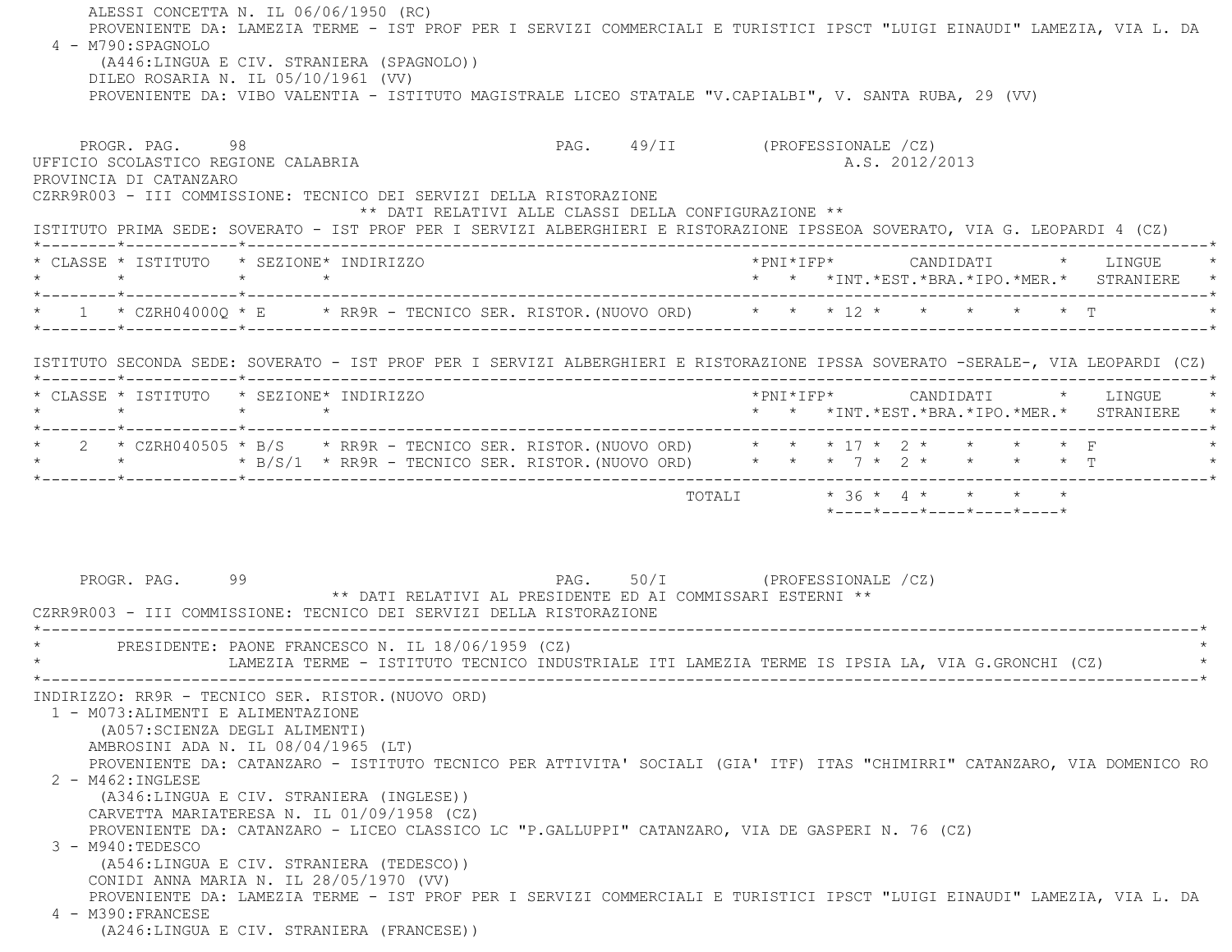ALESSI CONCETTA N. IL 06/06/1950 (RC) PROVENIENTE DA: LAMEZIA TERME - IST PROF PER I SERVIZI COMMERCIALI E TURISTICI IPSCT "LUIGI EINAUDI" LAMEZIA, VIA L. DA 4 - M790:SPAGNOLO (A446:LINGUA E CIV. STRANIERA (SPAGNOLO)) DILEO ROSARIA N. IL 05/10/1961 (VV) PROVENIENTE DA: VIBO VALENTIA - ISTITUTO MAGISTRALE LICEO STATALE "V.CAPIALBI", V. SANTA RUBA, 29 (VV) PROGR. PAG. 98 98 PAG. 49/II (PROFESSIONALE /CZ) UFFICIO SCOLASTICO REGIONE CALABRIA AND ALS 2012/2013 PROVINCIA DI CATANZARO CZRR9R003 - III COMMISSIONE: TECNICO DEI SERVIZI DELLA RISTORAZIONE \*\* DATI RELATIVI ALLE CLASSI DELLA CONFIGURAZIONE \*\* ISTITUTO PRIMA SEDE: SOVERATO - IST PROF PER I SERVIZI ALBERGHIERI E RISTORAZIONE IPSSEOA SOVERATO, VIA G. LEOPARDI 4 (CZ) \*--------\*------------\*-------------------------------------------------------------------------------------------------------\* \* CLASSE \* ISTITUTO \* SEZIONE\* INDIRIZZO \*PNI\*IFP\* CANDIDATI \* LINGUE \* \* \* \* \* \* \* \*INT.\*EST.\*BRA.\*IPO.\*MER.\* STRANIERE \* \*--------\*------------\*-------------------------------------------------------------------------------------------------------\*\* 1 \* CZRH040000 \* E \* RR9R - TECNICO SER. RISTOR. (NUOVO ORD) \* \* \* 12 \* \* \* \* \* \* \* T \*--------\*------------\*-------------------------------------------------------------------------------------------------------\* ISTITUTO SECONDA SEDE: SOVERATO - IST PROF PER I SERVIZI ALBERGHIERI E RISTORAZIONE IPSSA SOVERATO -SERALE-, VIA LEOPARDI (CZ) \*--------\*------------\*-------------------------------------------------------------------------------------------------------\* \* CLASSE \* ISTITUTO \* SEZIONE\* INDIRIZZO \*PNI\*IFP\* CANDIDATI \* LINGUE \* \* \* \* \* \* \* \*INT.\*EST.\*BRA.\*IPO.\*MER.\* STRANIERE \* \*--------\*------------\*-------------------------------------------------------------------------------------------------------\*2 \* CZRH040505 \* B/S \* RR9R - TECNICO SER. RISTOR.(NUOVO ORD) \* \* \* 17 \* 2 \* \* \* \* \* F \* \* \* B/S/1 \* RR9R - TECNICO SER. RISTOR.(NUOVO ORD) \* \* \* 7 \* 2 \* \* \* \* T \* \*--------\*------------\*-------------------------------------------------------------------------------------------------------\*TOTALI  $* 36 * 4 * * * * * * *$  \*----\*----\*----\*----\*----\*PROGR. PAG. 99 9 22 PAG. 50/I (PROFESSIONALE /CZ) \*\* DATI RELATIVI AL PRESIDENTE ED AI COMMISSARI ESTERNI \*\* CZRR9R003 - III COMMISSIONE: TECNICO DEI SERVIZI DELLA RISTORAZIONE \*----------------------------------------------------------------------------------------------------------------------------\*PRESIDENTE: PAONE FRANCESCO N. IL 18/06/1959 (CZ) \* LAMEZIA TERME - ISTITUTO TECNICO INDUSTRIALE ITI LAMEZIA TERME IS IPSIA LA, VIA G.GRONCHI (CZ) \* \*----------------------------------------------------------------------------------------------------------------------------\* INDIRIZZO: RR9R - TECNICO SER. RISTOR.(NUOVO ORD) 1 - M073:ALIMENTI E ALIMENTAZIONE (A057:SCIENZA DEGLI ALIMENTI) AMBROSINI ADA N. IL 08/04/1965 (LT) PROVENIENTE DA: CATANZARO - ISTITUTO TECNICO PER ATTIVITA' SOCIALI (GIA' ITF) ITAS "CHIMIRRI" CATANZARO, VIA DOMENICO RO 2 - M462:INGLESE (A346:LINGUA E CIV. STRANIERA (INGLESE)) CARVETTA MARIATERESA N. IL 01/09/1958 (CZ) PROVENIENTE DA: CATANZARO - LICEO CLASSICO LC "P.GALLUPPI" CATANZARO, VIA DE GASPERI N. 76 (CZ) 3 - M940:TEDESCO (A546:LINGUA E CIV. STRANIERA (TEDESCO)) CONIDI ANNA MARIA N. IL 28/05/1970 (VV) PROVENIENTE DA: LAMEZIA TERME - IST PROF PER I SERVIZI COMMERCIALI E TURISTICI IPSCT "LUIGI EINAUDI" LAMEZIA, VIA L. DA 4 - M390:FRANCESE(A246:LINGUA E CIV. STRANIERA (FRANCESE))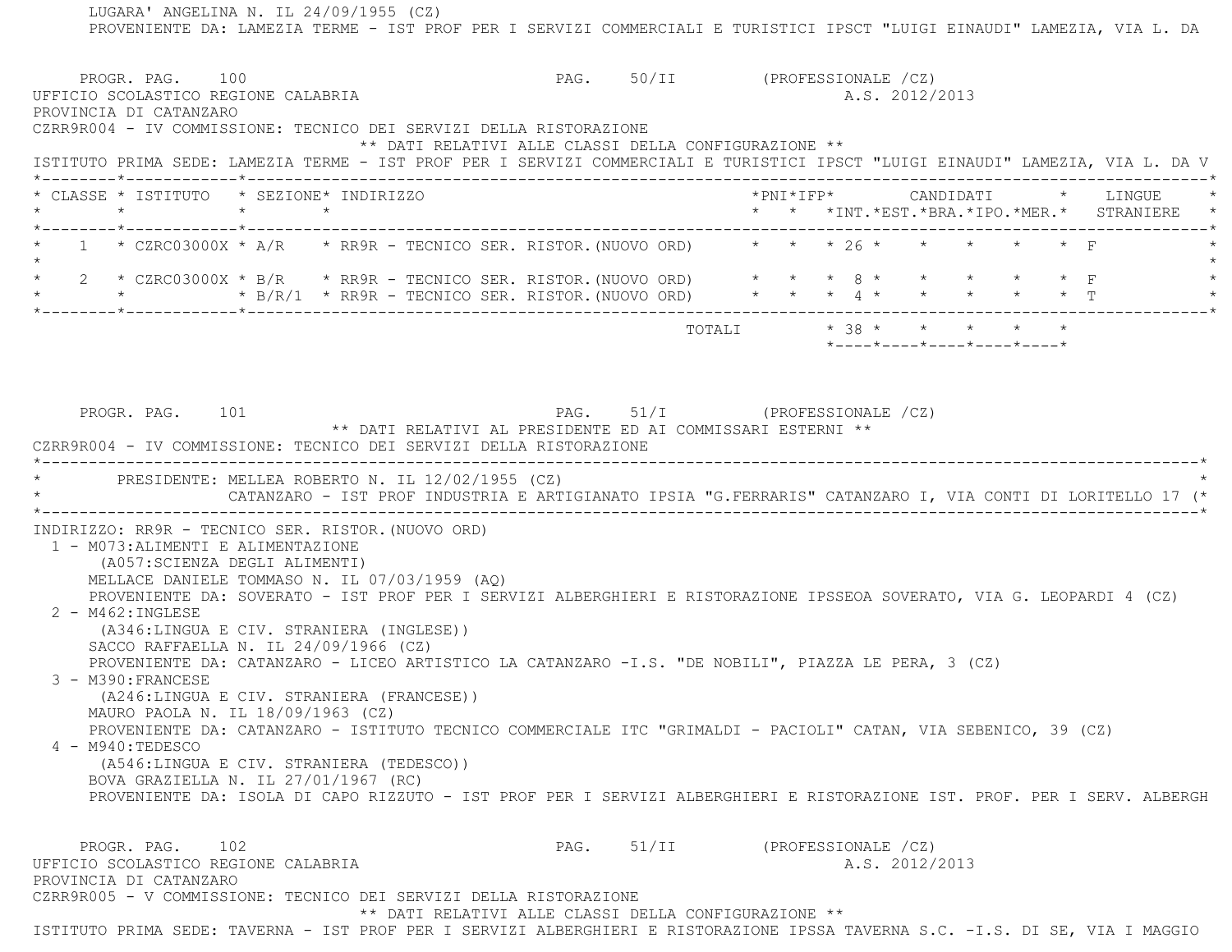LUGARA' ANGELINA N. IL 24/09/1955 (CZ) PROVENIENTE DA: LAMEZIA TERME - IST PROF PER I SERVIZI COMMERCIALI E TURISTICI IPSCT "LUIGI EINAUDI" LAMEZIA, VIA L. DA PROGR. PAG. 100 PAG. 50/II (PROFESSIONALE /CZ) UFFICIO SCOLASTICO REGIONE CALABRIA A.S. 2012/2013 PROVINCIA DI CATANZARO CZRR9R004 - IV COMMISSIONE: TECNICO DEI SERVIZI DELLA RISTORAZIONE \*\* DATI RELATIVI ALLE CLASSI DELLA CONFIGURAZIONE \*\* ISTITUTO PRIMA SEDE: LAMEZIA TERME - IST PROF PER I SERVIZI COMMERCIALI E TURISTICI IPSCT "LUIGI EINAUDI" LAMEZIA, VIA L. DA V \*--------\*------------\*-------------------------------------------------------------------------------------------------------\* \* CLASSE \* ISTITUTO \* SEZIONE\* INDIRIZZO \*PNI\*IFP\* CANDIDATI \* LINGUE \* \* \* \* \* \* \* \*INT.\*EST.\*BRA.\*IPO.\*MER.\* STRANIERE \* \*--------\*------------\*-------------------------------------------------------------------------------------------------------\*1 \* CZRC03000X \* A/R \* RR9R - TECNICO SER. RISTOR. (NUOVO ORD) \* \* \* 26 \* \* \* \* \* \* \* F  $\star$  \* 2 \* CZRC03000X \* B/R \* RR9R - TECNICO SER. RISTOR.(NUOVO ORD) \* \* \* 8 \* \* \* \* \* F \* \* \* \* B/R/1 \* RR9R - TECNICO SER. RISTOR.(NUOVO ORD) \* \* \* 4 \* \* \* \* \* T \* \*--------\*------------\*-------------------------------------------------------------------------------------------------------\*TOTALI  $* 38 * * * * * * * * * *$  \*----\*----\*----\*----\*----\*PROGR. PAG. 101 **PAG.** 51/I (PROFESSIONALE /CZ) \*\* DATI RELATIVI AL PRESIDENTE ED AI COMMISSARI ESTERNI \*\* CZRR9R004 - IV COMMISSIONE: TECNICO DEI SERVIZI DELLA RISTORAZIONE \*----------------------------------------------------------------------------------------------------------------------------\*PRESIDENTE: MELLEA ROBERTO N. IL 12/02/1955 (CZ) \* CATANZARO - IST PROF INDUSTRIA E ARTIGIANATO IPSIA "G.FERRARIS" CATANZARO I, VIA CONTI DI LORITELLO 17 (\* \*----------------------------------------------------------------------------------------------------------------------------\* INDIRIZZO: RR9R - TECNICO SER. RISTOR.(NUOVO ORD) 1 - M073:ALIMENTI E ALIMENTAZIONE (A057:SCIENZA DEGLI ALIMENTI) MELLACE DANIELE TOMMASO N. IL 07/03/1959 (AQ) PROVENIENTE DA: SOVERATO - IST PROF PER I SERVIZI ALBERGHIERI E RISTORAZIONE IPSSEOA SOVERATO, VIA G. LEOPARDI 4 (CZ) 2 - M462:INGLESE (A346:LINGUA E CIV. STRANIERA (INGLESE)) SACCO RAFFAELLA N. IL 24/09/1966 (CZ) PROVENIENTE DA: CATANZARO - LICEO ARTISTICO LA CATANZARO -I.S. "DE NOBILI", PIAZZA LE PERA, 3 (CZ) 3 - M390:FRANCESE (A246:LINGUA E CIV. STRANIERA (FRANCESE)) MAURO PAOLA N. IL 18/09/1963 (CZ) PROVENIENTE DA: CATANZARO - ISTITUTO TECNICO COMMERCIALE ITC "GRIMALDI - PACIOLI" CATAN, VIA SEBENICO, 39 (CZ) 4 - M940:TEDESCO (A546:LINGUA E CIV. STRANIERA (TEDESCO)) BOVA GRAZIELLA N. IL 27/01/1967 (RC) PROVENIENTE DA: ISOLA DI CAPO RIZZUTO - IST PROF PER I SERVIZI ALBERGHIERI E RISTORAZIONE IST. PROF. PER I SERV. ALBERGHPROGR. PAG. 102 **PAG.** 51/II (PROFESSIONALE /CZ) UFFICIO SCOLASTICO REGIONE CALABRIA A.S. 2012/2013 PROVINCIA DI CATANZARO CZRR9R005 - V COMMISSIONE: TECNICO DEI SERVIZI DELLA RISTORAZIONE\*\* DATI RELATIVI ALLE CLASSI DELLA CONFIGURAZIONE \*\*

ISTITUTO PRIMA SEDE: TAVERNA - IST PROF PER I SERVIZI ALBERGHIERI E RISTORAZIONE IPSSA TAVERNA S.C. -I.S. DI SE, VIA I MAGGIO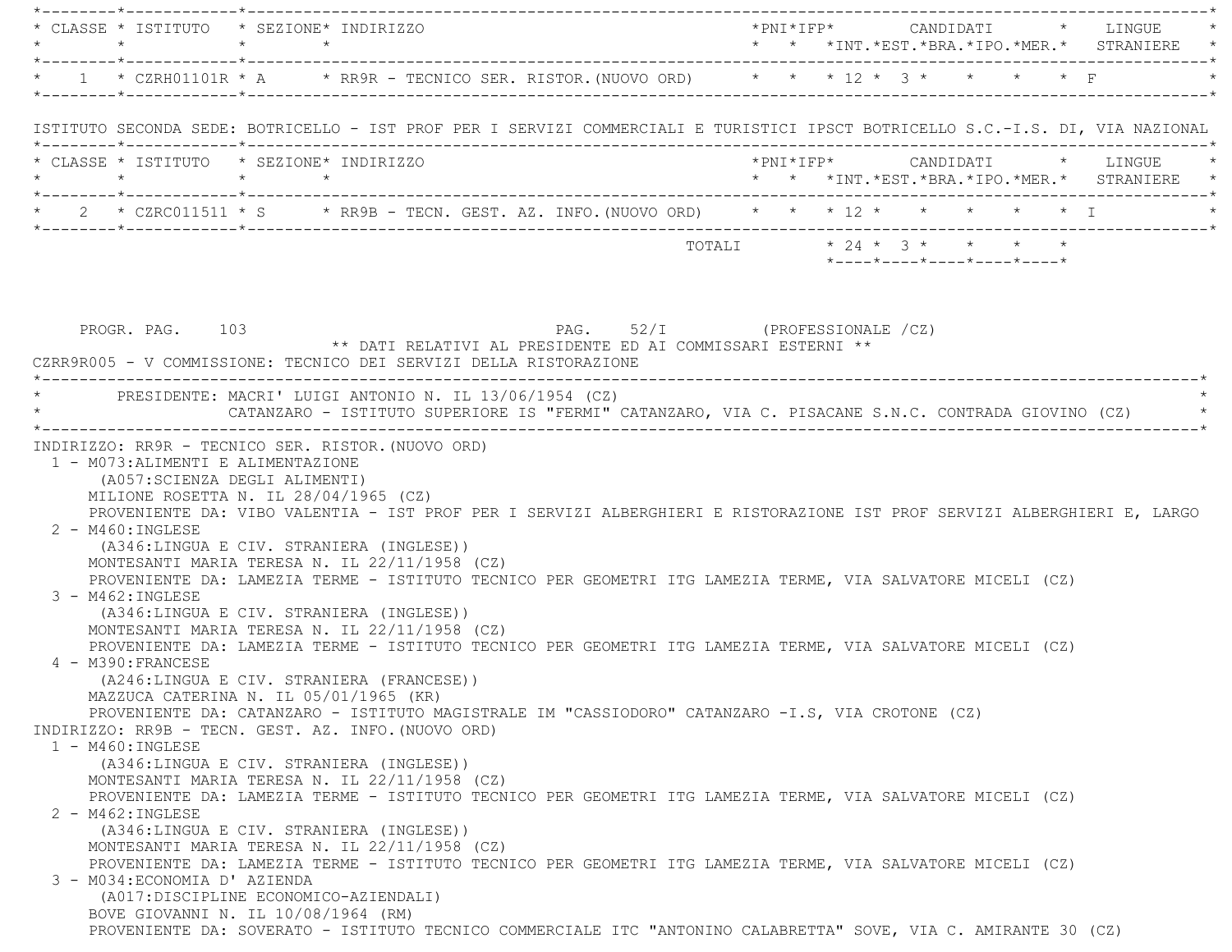|                                                                                                                | * CLASSE * ISTITUTO * SEZIONE* INDIRIZZO                                                                                                                                                                                                                                                                                                                                                                                                                                                                                                                                                                                                                                                                                                                                                                                                                                                                                                                                                                                                               |  |  |                            |  | $*$ PNI $*$ IFP $*$ CANDIDATI $*$ LINGUE $*$                                          |
|----------------------------------------------------------------------------------------------------------------|--------------------------------------------------------------------------------------------------------------------------------------------------------------------------------------------------------------------------------------------------------------------------------------------------------------------------------------------------------------------------------------------------------------------------------------------------------------------------------------------------------------------------------------------------------------------------------------------------------------------------------------------------------------------------------------------------------------------------------------------------------------------------------------------------------------------------------------------------------------------------------------------------------------------------------------------------------------------------------------------------------------------------------------------------------|--|--|----------------------------|--|---------------------------------------------------------------------------------------|
|                                                                                                                |                                                                                                                                                                                                                                                                                                                                                                                                                                                                                                                                                                                                                                                                                                                                                                                                                                                                                                                                                                                                                                                        |  |  |                            |  |                                                                                       |
|                                                                                                                | * 1 * CZRH01101R * A * RR9R - TECNICO SER. RISTOR. (NUOVO ORD) * * * 12 * 3 * * * * * F                                                                                                                                                                                                                                                                                                                                                                                                                                                                                                                                                                                                                                                                                                                                                                                                                                                                                                                                                                |  |  |                            |  |                                                                                       |
|                                                                                                                | ISTITUTO SECONDA SEDE: BOTRICELLO - IST PROF PER I SERVIZI COMMERCIALI E TURISTICI IPSCT BOTRICELLO S.C.-I.S. DI, VIA NAZIONAL                                                                                                                                                                                                                                                                                                                                                                                                                                                                                                                                                                                                                                                                                                                                                                                                                                                                                                                         |  |  |                            |  |                                                                                       |
|                                                                                                                | * CLASSE * ISTITUTO * SEZIONE* INDIRIZZO<br>$\star \qquad \qquad \star \qquad \qquad \star \qquad \qquad \star$                                                                                                                                                                                                                                                                                                                                                                                                                                                                                                                                                                                                                                                                                                                                                                                                                                                                                                                                        |  |  |                            |  | *PNI*IFP*     CANDIDATI    *   LINGUE<br>* * * *INT.*EST.*BRA.*IPO.*MER.* STRANIERE * |
|                                                                                                                | * 2 * CZRC011511 * S * RR9B - TECN. GEST. AZ. INFO. (NUOVO ORD) * * * 12 * * * * * * * * I * * * I                                                                                                                                                                                                                                                                                                                                                                                                                                                                                                                                                                                                                                                                                                                                                                                                                                                                                                                                                     |  |  |                            |  |                                                                                       |
|                                                                                                                |                                                                                                                                                                                                                                                                                                                                                                                                                                                                                                                                                                                                                                                                                                                                                                                                                                                                                                                                                                                                                                                        |  |  | *----*----*----*----*----* |  |                                                                                       |
| PROGR. PAG. 103                                                                                                | PAG. 52/I (PROFESSIONALE /CZ)<br>** DATI RELATIVI AL PRESIDENTE ED AI COMMISSARI ESTERNI **<br>CZRR9R005 - V COMMISSIONE: TECNICO DEI SERVIZI DELLA RISTORAZIONE                                                                                                                                                                                                                                                                                                                                                                                                                                                                                                                                                                                                                                                                                                                                                                                                                                                                                       |  |  |                            |  |                                                                                       |
|                                                                                                                | * PRESIDENTE: MACRI' LUIGI ANTONIO N. IL 13/06/1954 (CZ)<br>CATANZARO - ISTITUTO SUPERIORE IS "FERMI" CATANZARO, VIA C. PISACANE S.N.C. CONTRADA GIOVINO (CZ) *                                                                                                                                                                                                                                                                                                                                                                                                                                                                                                                                                                                                                                                                                                                                                                                                                                                                                        |  |  |                            |  |                                                                                       |
| 2 - M460: INGLESE<br>$3 - M462 : INGLESE$<br>4 - M390: FRANCESE<br>$1 - M460$ : INGLESE<br>$2 - M462 : INGLEX$ | PROVENIENTE DA: VIBO VALENTIA - IST PROF PER I SERVIZI ALBERGHIERI E RISTORAZIONE IST PROF SERVIZI ALBERGHIERI E, LARGO<br>(A346:LINGUA E CIV. STRANIERA (INGLESE))<br>MONTESANTI MARIA TERESA N. IL 22/11/1958 (CZ)<br>PROVENIENTE DA: LAMEZIA TERME - ISTITUTO TECNICO PER GEOMETRI ITG LAMEZIA TERME, VIA SALVATORE MICELI (CZ)<br>(A346:LINGUA E CIV. STRANIERA (INGLESE))<br>MONTESANTI MARIA TERESA N. IL 22/11/1958 (CZ)<br>PROVENIENTE DA: LAMEZIA TERME - ISTITUTO TECNICO PER GEOMETRI ITG LAMEZIA TERME, VIA SALVATORE MICELI (CZ)<br>(A246:LINGUA E CIV. STRANIERA (FRANCESE))<br>MAZZUCA CATERINA N. IL 05/01/1965 (KR)<br>PROVENIENTE DA: CATANZARO - ISTITUTO MAGISTRALE IM "CASSIODORO" CATANZARO -I.S, VIA CROTONE (CZ)<br>INDIRIZZO: RR9B - TECN. GEST. AZ. INFO. (NUOVO ORD)<br>(A346:LINGUA E CIV. STRANIERA (INGLESE))<br>MONTESANTI MARIA TERESA N. IL 22/11/1958 (CZ)<br>PROVENIENTE DA: LAMEZIA TERME - ISTITUTO TECNICO PER GEOMETRI ITG LAMEZIA TERME, VIA SALVATORE MICELI (CZ)<br>(A346:LINGUA E CIV. STRANIERA (INGLESE)) |  |  |                            |  |                                                                                       |
| 3 - M034: ECONOMIA D' AZIENDA                                                                                  | MONTESANTI MARIA TERESA N. IL 22/11/1958 (CZ)<br>PROVENIENTE DA: LAMEZIA TERME - ISTITUTO TECNICO PER GEOMETRI ITG LAMEZIA TERME, VIA SALVATORE MICELI (CZ)<br>(A017: DISCIPLINE ECONOMICO-AZIENDALI)                                                                                                                                                                                                                                                                                                                                                                                                                                                                                                                                                                                                                                                                                                                                                                                                                                                  |  |  |                            |  |                                                                                       |
|                                                                                                                | BOVE GIOVANNI N. IL 10/08/1964 (RM)<br>PROVENIENTE DA: SOVERATO - ISTITUTO TECNICO COMMERCIALE ITC "ANTONINO CALABRETTA" SOVE, VIA C. AMIRANTE 30 (CZ)                                                                                                                                                                                                                                                                                                                                                                                                                                                                                                                                                                                                                                                                                                                                                                                                                                                                                                 |  |  |                            |  |                                                                                       |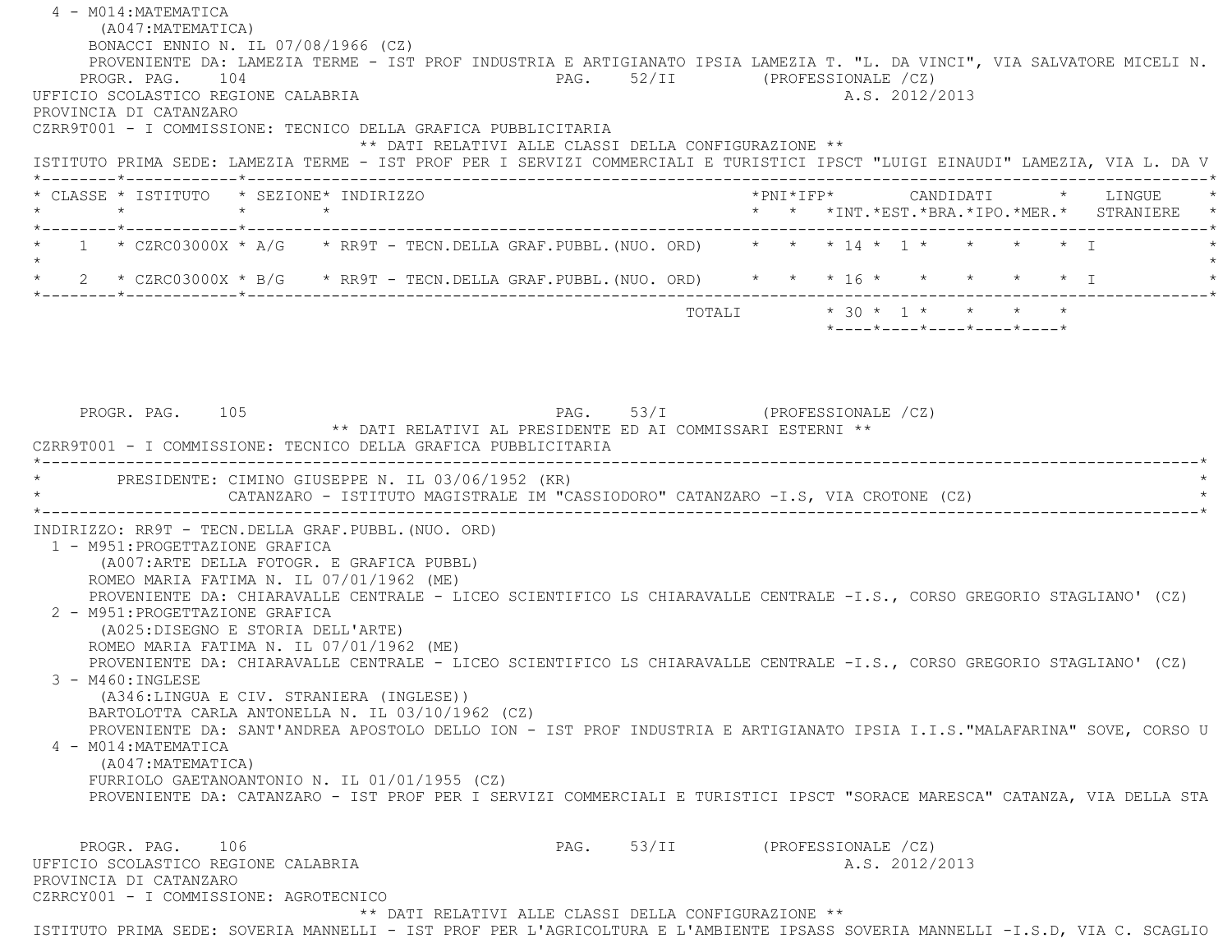4 - M014:MATEMATICA (A047:MATEMATICA) BONACCI ENNIO N. IL 07/08/1966 (CZ) PROVENIENTE DA: LAMEZIA TERME - IST PROF INDUSTRIA E ARTIGIANATO IPSIA LAMEZIA T. "L. DA VINCI", VIA SALVATORE MICELI N. PROGR. PAG. 104 PAG. 52/II (PROFESSIONALE /CZ) UFFICIO SCOLASTICO REGIONE CALABRIA A.S. 2012/2013 PROVINCIA DI CATANZARO CZRR9T001 - I COMMISSIONE: TECNICO DELLA GRAFICA PUBBLICITARIA \*\* DATI RELATIVI ALLE CLASSI DELLA CONFIGURAZIONE \*\* ISTITUTO PRIMA SEDE: LAMEZIA TERME - IST PROF PER I SERVIZI COMMERCIALI E TURISTICI IPSCT "LUIGI EINAUDI" LAMEZIA, VIA L. DA V \*--------\*------------\*-------------------------------------------------------------------------------------------------------\* \* CLASSE \* ISTITUTO \* SEZIONE\* INDIRIZZO \*PNI\*IFP\* CANDIDATI \* LINGUE \* \* \* \* \* \* \* \*INT.\*EST.\*BRA.\*IPO.\*MER.\* STRANIERE \* \*--------\*------------\*-------------------------------------------------------------------------------------------------------\* $1$  \* CZRC03000X \* A/G \* RR9T - TECN.DELLA GRAF.PUBBL.(NUO. ORD) \* \* \* 14 \* 1 \* \* \* \* \* \* I  $\star$  \* 2 \* CZRC03000X \* B/G \* RR9T - TECN.DELLA GRAF.PUBBL.(NUO. ORD) \* \* \* 16 \* \* \* \* \* I \* \*--------\*------------\*-------------------------------------------------------------------------------------------------------\*TOTALI  $* 30 * 1 * * * * * * *$  \*----\*----\*----\*----\*----\*PROGR. PAG. 105 PAG. 53/I (PROFESSIONALE /CZ) \*\* DATI RELATIVI AL PRESIDENTE ED AI COMMISSARI ESTERNI \*\* CZRR9T001 - I COMMISSIONE: TECNICO DELLA GRAFICA PUBBLICITARIA \*----------------------------------------------------------------------------------------------------------------------------\*PRESIDENTE: CIMINO GIUSEPPE N. IL 03/06/1952 (KR) CATANZARO - ISTITUTO MAGISTRALE IM "CASSIODORO" CATANZARO -I.S, VIA CROTONE (CZ) \*----------------------------------------------------------------------------------------------------------------------------\* INDIRIZZO: RR9T - TECN.DELLA GRAF.PUBBL.(NUO. ORD) 1 - M951:PROGETTAZIONE GRAFICA (A007:ARTE DELLA FOTOGR. E GRAFICA PUBBL) ROMEO MARIA FATIMA N. IL 07/01/1962 (ME) PROVENIENTE DA: CHIARAVALLE CENTRALE - LICEO SCIENTIFICO LS CHIARAVALLE CENTRALE -I.S., CORSO GREGORIO STAGLIANO' (CZ) 2 - M951:PROGETTAZIONE GRAFICA (A025:DISEGNO E STORIA DELL'ARTE) ROMEO MARIA FATIMA N. IL 07/01/1962 (ME) PROVENIENTE DA: CHIARAVALLE CENTRALE - LICEO SCIENTIFICO LS CHIARAVALLE CENTRALE -I.S., CORSO GREGORIO STAGLIANO' (CZ) 3 - M460:INGLESE (A346:LINGUA E CIV. STRANIERA (INGLESE)) BARTOLOTTA CARLA ANTONELLA N. IL 03/10/1962 (CZ) PROVENIENTE DA: SANT'ANDREA APOSTOLO DELLO ION - IST PROF INDUSTRIA E ARTIGIANATO IPSIA I.I.S."MALAFARINA" SOVE, CORSO U 4 - M014:MATEMATICA (A047:MATEMATICA) FURRIOLO GAETANOANTONIO N. IL 01/01/1955 (CZ) PROVENIENTE DA: CATANZARO - IST PROF PER I SERVIZI COMMERCIALI E TURISTICI IPSCT "SORACE MARESCA" CATANZA, VIA DELLA STA PROGR. PAG. 106 PAG. 53/II (PROFESSIONALE /CZ) UFFICIO SCOLASTICO REGIONE CALABRIA A.S. 2012/2013 PROVINCIA DI CATANZARO CZRRCY001 - I COMMISSIONE: AGROTECNICO \*\* DATI RELATIVI ALLE CLASSI DELLA CONFIGURAZIONE \*\*ISTITUTO PRIMA SEDE: SOVERIA MANNELLI - IST PROF PER L'AGRICOLTURA E L'AMBIENTE IPSASS SOVERIA MANNELLI -I.S.D, VIA C. SCAGLIO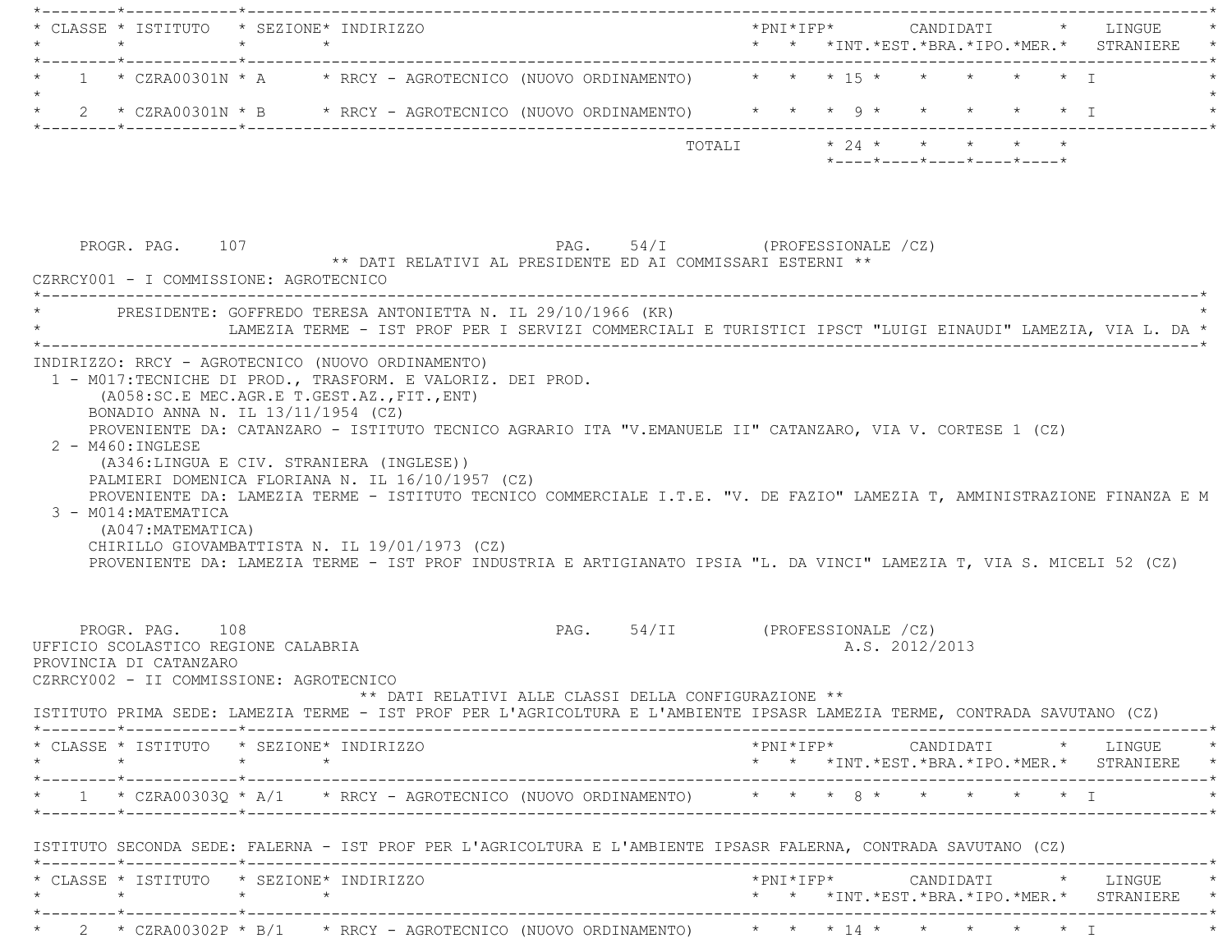|         |                                           | * CLASSE * ISTITUTO * SEZIONE* INDIRIZZO                                                                                                      | *PNI*IFP* CANDIDATI * LINGUE                                                                                                                                                                                                                      |
|---------|-------------------------------------------|-----------------------------------------------------------------------------------------------------------------------------------------------|---------------------------------------------------------------------------------------------------------------------------------------------------------------------------------------------------------------------------------------------------|
|         |                                           | 1 * CZRA00301N * A * RRCY - AGROTECNICO (NUOVO ORDINAMENTO) * * * 15 * * * * * * * T                                                          |                                                                                                                                                                                                                                                   |
|         |                                           | * 2 * CZRA00301N * B * RRCY - AGROTECNICO (NUOVO ORDINAMENTO) * * * 9 * * * * * * * I                                                         |                                                                                                                                                                                                                                                   |
|         |                                           |                                                                                                                                               | TOTALI $\star$ 24 $\star$ $\star$ $\star$ $\star$ $\star$<br>$*$ - - - - $*$ - - - - $*$ - - - - $*$ - - - - $*$ - - - - $*$                                                                                                                      |
|         | PROGR. PAG. 107                           | ** DATI RELATIVI AL PRESIDENTE ED AI COMMISSARI ESTERNI **<br>CZRRCY001 - I COMMISSIONE: AGROTECNICO                                          | PAG. 54/I (PROFESSIONALE /CZ)                                                                                                                                                                                                                     |
|         |                                           | PRESIDENTE: GOFFREDO TERESA ANTONIETTA N. IL 29/10/1966 (KR)                                                                                  | LAMEZIA TERME - IST PROF PER I SERVIZI COMMERCIALI E TURISTICI IPSCT "LUIGI EINAUDI" LAMEZIA, VIA L. DA *                                                                                                                                         |
|         | 3 - M014: MATEMATICA<br>(A047:MATEMATICA) | (A346:LINGUA E CIV. STRANIERA (INGLESE))<br>PALMIERI DOMENICA FLORIANA N. IL 16/10/1957 (CZ)<br>CHIRILLO GIOVAMBATTISTA N. IL 19/01/1973 (CZ) | PROVENIENTE DA: LAMEZIA TERME - ISTITUTO TECNICO COMMERCIALE I.T.E. "V. DE FAZIO" LAMEZIA T, AMMINISTRAZIONE FINANZA E M<br>PROVENIENTE DA: LAMEZIA TERME - IST PROF INDUSTRIA E ARTIGIANATO IPSIA "L. DA VINCI" LAMEZIA T, VIA S. MICELI 52 (CZ) |
|         | PROGR. PAG. 108<br>PROVINCIA DI CATANZARO | UFFICIO SCOLASTICO REGIONE CALABRIA<br>CZRRCY002 - II COMMISSIONE: AGROTECNICO<br>** DATI RELATIVI ALLE CLASSI DELLA CONFIGURAZIONE **        | PAG. 54/II (PROFESSIONALE /CZ)<br>A.S. 2012/2013<br>ISTITUTO PRIMA SEDE: LAMEZIA TERME - IST PROF PER L'AGRICOLTURA E L'AMBIENTE IPSASR LAMEZIA TERME, CONTRADA SAVUTANO (CZ)                                                                     |
| $\star$ |                                           | * CLASSE * ISTITUTO * SEZIONE* INDIRIZZO<br>$\star$ $\star$                                                                                   | *PNI*IFP* CANDIDATI * LINGUE *<br>* * *INT.*EST.*BRA.*IPO.*MER.* STRANIERE *                                                                                                                                                                      |
|         |                                           |                                                                                                                                               | * 1 * CZRA00303Q * A/1 * RRCY - AGROTECNICO (NUOVO ORDINAMENTO) * * * 8 * * * * * * * I                                                                                                                                                           |
|         |                                           | ISTITUTO SECONDA SEDE: FALERNA - IST PROF PER L'AGRICOLTURA E L'AMBIENTE IPSASR FALERNA, CONTRADA SAVUTANO (CZ)                               |                                                                                                                                                                                                                                                   |
|         | $\star$                                   | * CLASSE * ISTITUTO * SEZIONE* INDIRIZZO                                                                                                      | * * *INT.*EST.*BRA.*IPO.*MER.* STRANIERE *                                                                                                                                                                                                        |
|         |                                           | * 2 * CZRA00302P * B/1 * RRCY - AGROTECNICO (NUOVO ORDINAMENTO) * * * 14 * * * * * * * T                                                      |                                                                                                                                                                                                                                                   |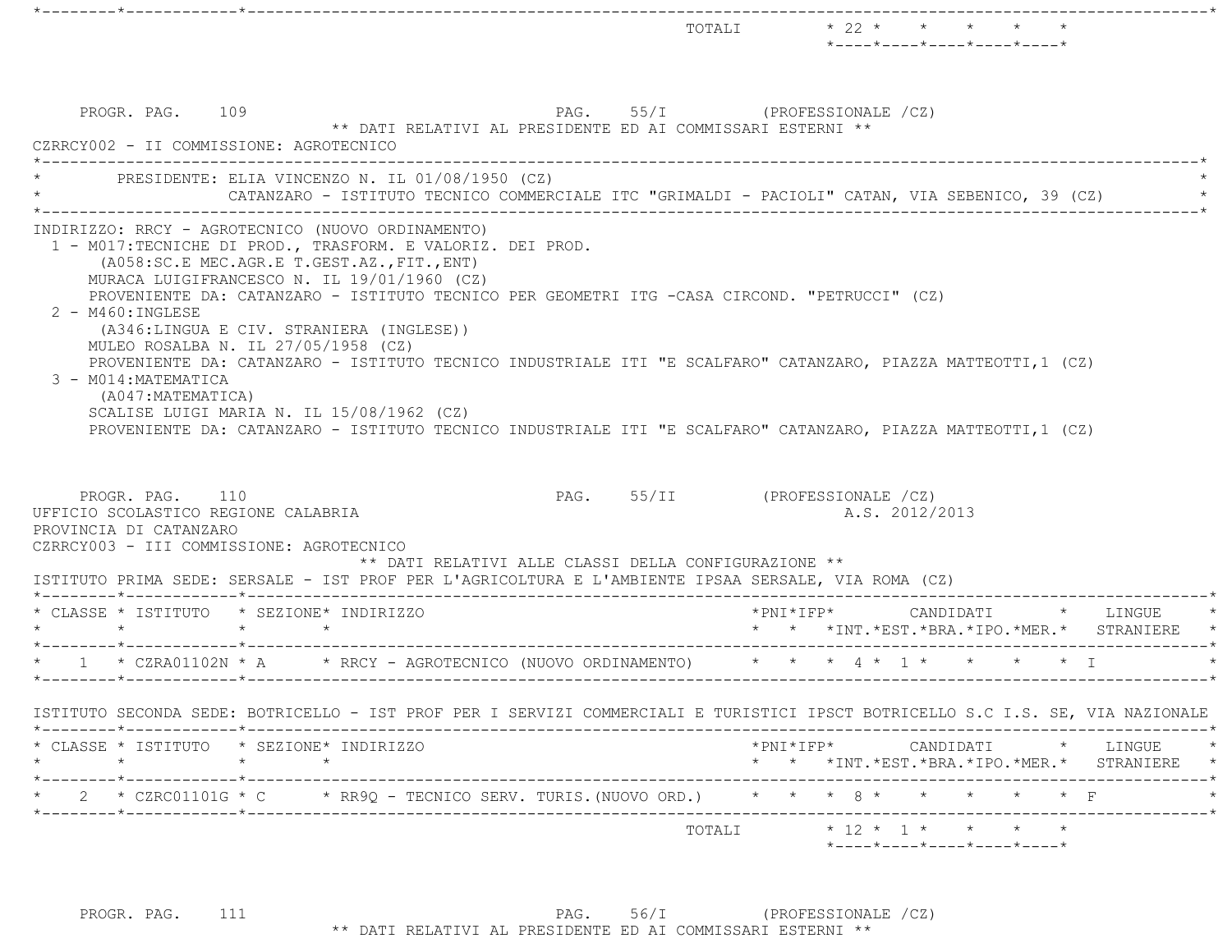|                                                                                                                                                                                                    |                                                                                                                                                                                                                                                                                                                                                                                                                                                                                                                                                                                                                                                                                    |                                |                           | TOTALI * 22 * * * * *<br>$*$ ---- $*$ ---- $*$ ---- $*$ ---- $*$ ---- $*$     |          |
|----------------------------------------------------------------------------------------------------------------------------------------------------------------------------------------------------|------------------------------------------------------------------------------------------------------------------------------------------------------------------------------------------------------------------------------------------------------------------------------------------------------------------------------------------------------------------------------------------------------------------------------------------------------------------------------------------------------------------------------------------------------------------------------------------------------------------------------------------------------------------------------------|--------------------------------|---------------------------|-------------------------------------------------------------------------------|----------|
| PROGR. PAG. 109<br>CZRRCY002 - II COMMISSIONE: AGROTECNICO                                                                                                                                         | PAG. 55/I (PROFESSIONALE /CZ)<br>** DATI RELATIVI AL PRESIDENTE ED AI COMMISSARI ESTERNI **                                                                                                                                                                                                                                                                                                                                                                                                                                                                                                                                                                                        |                                |                           |                                                                               |          |
|                                                                                                                                                                                                    | PRESIDENTE: ELIA VINCENZO N. IL 01/08/1950 (CZ)<br>CATANZARO - ISTITUTO TECNICO COMMERCIALE ITC "GRIMALDI - PACIOLI" CATAN, VIA SEBENICO, 39 (CZ)                                                                                                                                                                                                                                                                                                                                                                                                                                                                                                                                  |                                |                           |                                                                               |          |
| $2 - M460$ : INGLESE<br>3 - M014: MATEMATICA<br>(A047: MATEMATICA)<br>PROGR. PAG. 110<br>UFFICIO SCOLASTICO REGIONE CALABRIA<br>PROVINCIA DI CATANZARO<br>CZRRCY003 - III COMMISSIONE: AGROTECNICO | 1 - M017:TECNICHE DI PROD., TRASFORM. E VALORIZ. DEI PROD.<br>(A058:SC.E MEC.AGR.E T.GEST.AZ., FIT., ENT)<br>MURACA LUIGIFRANCESCO N. IL 19/01/1960 (CZ)<br>PROVENIENTE DA: CATANZARO - ISTITUTO TECNICO PER GEOMETRI ITG -CASA CIRCOND. "PETRUCCI" (CZ)<br>(A346:LINGUA E CIV. STRANIERA (INGLESE))<br>MULEO ROSALBA N. IL 27/05/1958 (CZ)<br>PROVENIENTE DA: CATANZARO - ISTITUTO TECNICO INDUSTRIALE ITI "E SCALFARO" CATANZARO, PIAZZA MATTEOTTI, 1 (CZ)<br>SCALISE LUIGI MARIA N. IL 15/08/1962 (CZ)<br>PROVENIENTE DA: CATANZARO - ISTITUTO TECNICO INDUSTRIALE ITI "E SCALFARO" CATANZARO, PIAZZA MATTEOTTI, 1 (CZ)<br>** DATI RELATIVI ALLE CLASSI DELLA CONFIGURAZIONE ** | PAG. 55/II (PROFESSIONALE /CZ) |                           | A.S. 2012/2013                                                                |          |
| * CLASSE * ISTITUTO * SEZIONE* INDIRIZZO<br>$\star$ $\star$                                                                                                                                        | ISTITUTO PRIMA SEDE: SERSALE - IST PROF PER L'AGRICOLTURA E L'AMBIENTE IPSAA SERSALE, VIA ROMA (CZ)<br>$\star$ $\star$                                                                                                                                                                                                                                                                                                                                                                                                                                                                                                                                                             |                                |                           | *PNI*IFP* CANDIDATI * LINGUE<br>* * *INT. *EST. *BRA. *IPO. *MER. * STRANIERE |          |
|                                                                                                                                                                                                    | 1 * CZRA01102N * A * RRCY - AGROTECNICO (NUOVO ORDINAMENTO) * * * 4 * 1 * * * * * * I                                                                                                                                                                                                                                                                                                                                                                                                                                                                                                                                                                                              |                                |                           |                                                                               |          |
|                                                                                                                                                                                                    | ISTITUTO SECONDA SEDE: BOTRICELLO - IST PROF PER I SERVIZI COMMERCIALI E TURISTICI IPSCT BOTRICELLO S.C I.S. SE, VIA NAZIONALE                                                                                                                                                                                                                                                                                                                                                                                                                                                                                                                                                     |                                |                           |                                                                               |          |
| * CLASSE * ISTITUTO * SEZIONE* INDIRIZZO<br>$\star$                                                                                                                                                | $\star$<br>$\star$                                                                                                                                                                                                                                                                                                                                                                                                                                                                                                                                                                                                                                                                 |                                | *PNI*IFP* CANDIDATI       | * * *INT. *EST. *BRA. *IPO. *MER. * STRANIERE *                               | * LINGUE |
|                                                                                                                                                                                                    | * 2 * CZRC01101G * C * RR9Q - TECNICO SERV. TURIS. (NUOVO ORD.) * * * 8 * * * * * * * F                                                                                                                                                                                                                                                                                                                                                                                                                                                                                                                                                                                            |                                | ------------------------- |                                                                               |          |
|                                                                                                                                                                                                    |                                                                                                                                                                                                                                                                                                                                                                                                                                                                                                                                                                                                                                                                                    |                                |                           | $*$ ---- $*$ ---- $*$ ---- $*$ ---- $*$ ---- $*$                              |          |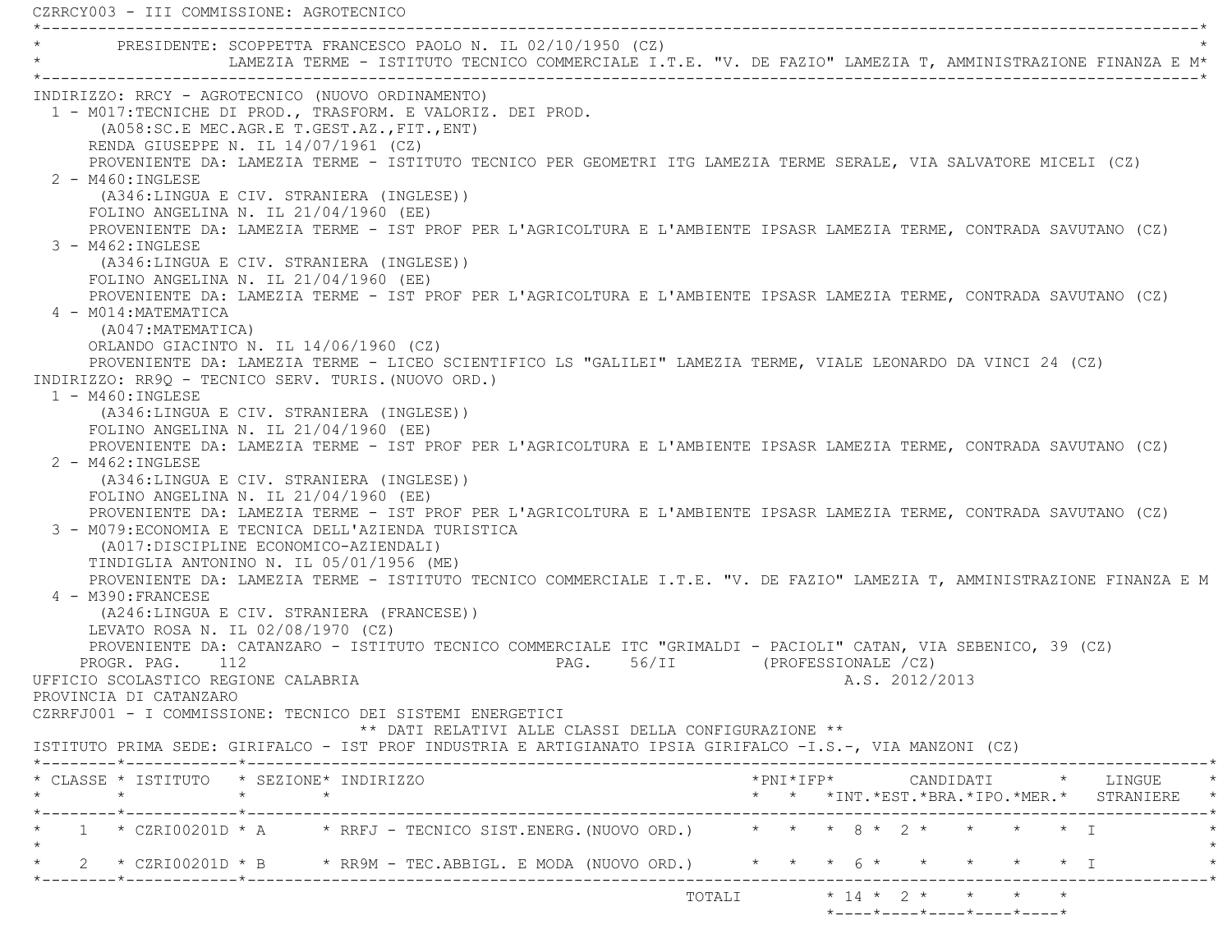| PRESIDENTE: SCOPPETTA FRANCESCO PAOLO N. IL 02/10/1950 (CZ)                                                              | LAMEZIA TERME - ISTITUTO TECNICO COMMERCIALE I.T.E. "V. DE FAZIO" LAMEZIA T, AMMINISTRAZIONE FINANZA E M* |                                                      |                                |        |  |  |                |                            |                         |                                              |
|--------------------------------------------------------------------------------------------------------------------------|-----------------------------------------------------------------------------------------------------------|------------------------------------------------------|--------------------------------|--------|--|--|----------------|----------------------------|-------------------------|----------------------------------------------|
|                                                                                                                          |                                                                                                           |                                                      |                                |        |  |  |                |                            |                         |                                              |
| INDIRIZZO: RRCY - AGROTECNICO (NUOVO ORDINAMENTO)                                                                        |                                                                                                           |                                                      |                                |        |  |  |                |                            |                         |                                              |
| 1 - M017:TECNICHE DI PROD., TRASFORM. E VALORIZ. DEI PROD.                                                               |                                                                                                           |                                                      |                                |        |  |  |                |                            |                         |                                              |
| (A058:SC.E MEC.AGR.E T.GEST.AZ., FIT., ENT)                                                                              |                                                                                                           |                                                      |                                |        |  |  |                |                            |                         |                                              |
| RENDA GIUSEPPE N. IL 14/07/1961 (CZ)                                                                                     |                                                                                                           |                                                      |                                |        |  |  |                |                            |                         |                                              |
| PROVENIENTE DA: LAMEZIA TERME - ISTITUTO TECNICO PER GEOMETRI ITG LAMEZIA TERME SERALE, VIA SALVATORE MICELI (CZ)        |                                                                                                           |                                                      |                                |        |  |  |                |                            |                         |                                              |
| $2 - M460$ : INGLESE                                                                                                     |                                                                                                           |                                                      |                                |        |  |  |                |                            |                         |                                              |
| (A346:LINGUA E CIV. STRANIERA (INGLESE))                                                                                 |                                                                                                           |                                                      |                                |        |  |  |                |                            |                         |                                              |
| FOLINO ANGELINA N. IL $21/04/1960$ (EE)                                                                                  |                                                                                                           |                                                      |                                |        |  |  |                |                            |                         |                                              |
| PROVENIENTE DA: LAMEZIA TERME - IST PROF PER L'AGRICOLTURA E L'AMBIENTE IPSASR LAMEZIA TERME, CONTRADA SAVUTANO (CZ)     |                                                                                                           |                                                      |                                |        |  |  |                |                            |                         |                                              |
| $3 - M462 : INGLESE$                                                                                                     |                                                                                                           |                                                      |                                |        |  |  |                |                            |                         |                                              |
| (A346:LINGUA E CIV. STRANIERA (INGLESE))                                                                                 |                                                                                                           |                                                      |                                |        |  |  |                |                            |                         |                                              |
| FOLINO ANGELINA N. IL $21/04/1960$ (EE)                                                                                  |                                                                                                           |                                                      |                                |        |  |  |                |                            |                         |                                              |
| PROVENIENTE DA: LAMEZIA TERME - IST PROF PER L'AGRICOLTURA E L'AMBIENTE IPSASR LAMEZIA TERME, CONTRADA SAVUTANO (CZ)     |                                                                                                           |                                                      |                                |        |  |  |                |                            |                         |                                              |
| 4 - M014: MATEMATICA                                                                                                     |                                                                                                           |                                                      |                                |        |  |  |                |                            |                         |                                              |
| (A047: MATEMATICA)                                                                                                       |                                                                                                           |                                                      |                                |        |  |  |                |                            |                         |                                              |
| ORLANDO GIACINTO N. IL 14/06/1960 (CZ)                                                                                   |                                                                                                           |                                                      |                                |        |  |  |                |                            |                         |                                              |
| PROVENIENTE DA: LAMEZIA TERME - LICEO SCIENTIFICO LS "GALILEI" LAMEZIA TERME, VIALE LEONARDO DA VINCI 24 (CZ)            |                                                                                                           |                                                      |                                |        |  |  |                |                            |                         |                                              |
| INDIRIZZO: RR90 - TECNICO SERV. TURIS. (NUOVO ORD.)                                                                      |                                                                                                           |                                                      |                                |        |  |  |                |                            |                         |                                              |
| $1 - M460 : INGLESE$                                                                                                     |                                                                                                           |                                                      |                                |        |  |  |                |                            |                         |                                              |
| (A346:LINGUA E CIV. STRANIERA (INGLESE))                                                                                 |                                                                                                           |                                                      |                                |        |  |  |                |                            |                         |                                              |
| FOLINO ANGELINA N. IL $21/04/1960$ (EE)                                                                                  |                                                                                                           |                                                      |                                |        |  |  |                |                            |                         |                                              |
| PROVENIENTE DA: LAMEZIA TERME - IST PROF PER L'AGRICOLTURA E L'AMBIENTE IPSASR LAMEZIA TERME, CONTRADA SAVUTANO (CZ)     |                                                                                                           |                                                      |                                |        |  |  |                |                            |                         |                                              |
| $2 - M462 : INGLESE$                                                                                                     |                                                                                                           |                                                      |                                |        |  |  |                |                            |                         |                                              |
| (A346:LINGUA E CIV. STRANIERA (INGLESE))                                                                                 |                                                                                                           |                                                      |                                |        |  |  |                |                            |                         |                                              |
| FOLINO ANGELINA N. IL $21/04/1960$ (EE)                                                                                  |                                                                                                           |                                                      |                                |        |  |  |                |                            |                         |                                              |
| PROVENIENTE DA: LAMEZIA TERME - IST PROF PER L'AGRICOLTURA E L'AMBIENTE IPSASR LAMEZIA TERME, CONTRADA SAVUTANO (CZ)     |                                                                                                           |                                                      |                                |        |  |  |                |                            |                         |                                              |
| 3 - M079: ECONOMIA E TECNICA DELL'AZIENDA TURISTICA                                                                      |                                                                                                           |                                                      |                                |        |  |  |                |                            |                         |                                              |
| (A017: DISCIPLINE ECONOMICO-AZIENDALI)                                                                                   |                                                                                                           |                                                      |                                |        |  |  |                |                            |                         |                                              |
| TINDIGLIA ANTONINO N. IL 05/01/1956 (ME)                                                                                 |                                                                                                           |                                                      |                                |        |  |  |                |                            |                         |                                              |
| PROVENIENTE DA: LAMEZIA TERME - ISTITUTO TECNICO COMMERCIALE I.T.E. "V. DE FAZIO" LAMEZIA T, AMMINISTRAZIONE FINANZA E M |                                                                                                           |                                                      |                                |        |  |  |                |                            |                         |                                              |
| 4 - M390: FRANCESE                                                                                                       |                                                                                                           |                                                      |                                |        |  |  |                |                            |                         |                                              |
| (A246:LINGUA E CIV. STRANIERA (FRANCESE))                                                                                |                                                                                                           |                                                      |                                |        |  |  |                |                            |                         |                                              |
| LEVATO ROSA N. IL 02/08/1970 (CZ)                                                                                        |                                                                                                           |                                                      |                                |        |  |  |                |                            |                         |                                              |
| PROVENIENTE DA: CATANZARO - ISTITUTO TECNICO COMMERCIALE ITC "GRIMALDI - PACIOLI" CATAN, VIA SEBENICO, 39 (CZ)           |                                                                                                           |                                                      |                                |        |  |  |                |                            |                         |                                              |
| PROGR. PAG. 112                                                                                                          |                                                                                                           |                                                      | PAG. 56/II (PROFESSIONALE /CZ) |        |  |  |                |                            |                         |                                              |
| UFFICIO SCOLASTICO REGIONE CALABRIA                                                                                      |                                                                                                           |                                                      |                                |        |  |  | A.S. 2012/2013 |                            |                         |                                              |
| PROVINCIA DI CATANZARO                                                                                                   |                                                                                                           |                                                      |                                |        |  |  |                |                            |                         |                                              |
| CZRRFJ001 - I COMMISSIONE: TECNICO DEI SISTEMI ENERGETICI                                                                |                                                                                                           |                                                      |                                |        |  |  |                |                            |                         |                                              |
|                                                                                                                          |                                                                                                           | ** DATI RELATIVI ALLE CLASSI DELLA CONFIGURAZIONE ** |                                |        |  |  |                |                            |                         |                                              |
| ISTITUTO PRIMA SEDE: GIRIFALCO - IST PROF INDUSTRIA E ARTIGIANATO IPSIA GIRIFALCO -I.S.-, VIA MANZONI (CZ)               |                                                                                                           |                                                      |                                |        |  |  |                |                            |                         |                                              |
| * CLASSE * ISTITUTO * SEZIONE* INDIRIZZO                                                                                 |                                                                                                           |                                                      |                                |        |  |  |                |                            |                         | $*$ PNI $*$ IFP $*$ CANDIDATI $*$ LINGUE $*$ |
| $\star$                                                                                                                  | $\star$ $\star$                                                                                           |                                                      |                                |        |  |  |                |                            |                         | * * *INT.*EST.*BRA.*IPO.*MER.* STRANIERE *   |
|                                                                                                                          |                                                                                                           |                                                      |                                |        |  |  |                |                            |                         |                                              |
| 1 * CZRI00201D * A * RRFJ - TECNICO SIST.ENERG. (NUOVO ORD.) * * * 8 * 2 * * * * * I                                     |                                                                                                           |                                                      |                                |        |  |  |                |                            |                         |                                              |
|                                                                                                                          |                                                                                                           |                                                      |                                |        |  |  |                |                            |                         |                                              |
| 2 * CZRI00201D * B     * RR9M - TEC.ABBIGL. E MODA (NUOVO ORD.)     *   *   *   6 *   *   *   *                          |                                                                                                           |                                                      |                                |        |  |  |                |                            | $\star$ $\star$ $\perp$ |                                              |
|                                                                                                                          |                                                                                                           |                                                      |                                |        |  |  |                |                            |                         |                                              |
|                                                                                                                          |                                                                                                           |                                                      |                                | TOTALI |  |  |                | $* 14 * 2 * * * * * * *$   |                         |                                              |
|                                                                                                                          |                                                                                                           |                                                      |                                |        |  |  |                | *----*----*----*----*----* |                         |                                              |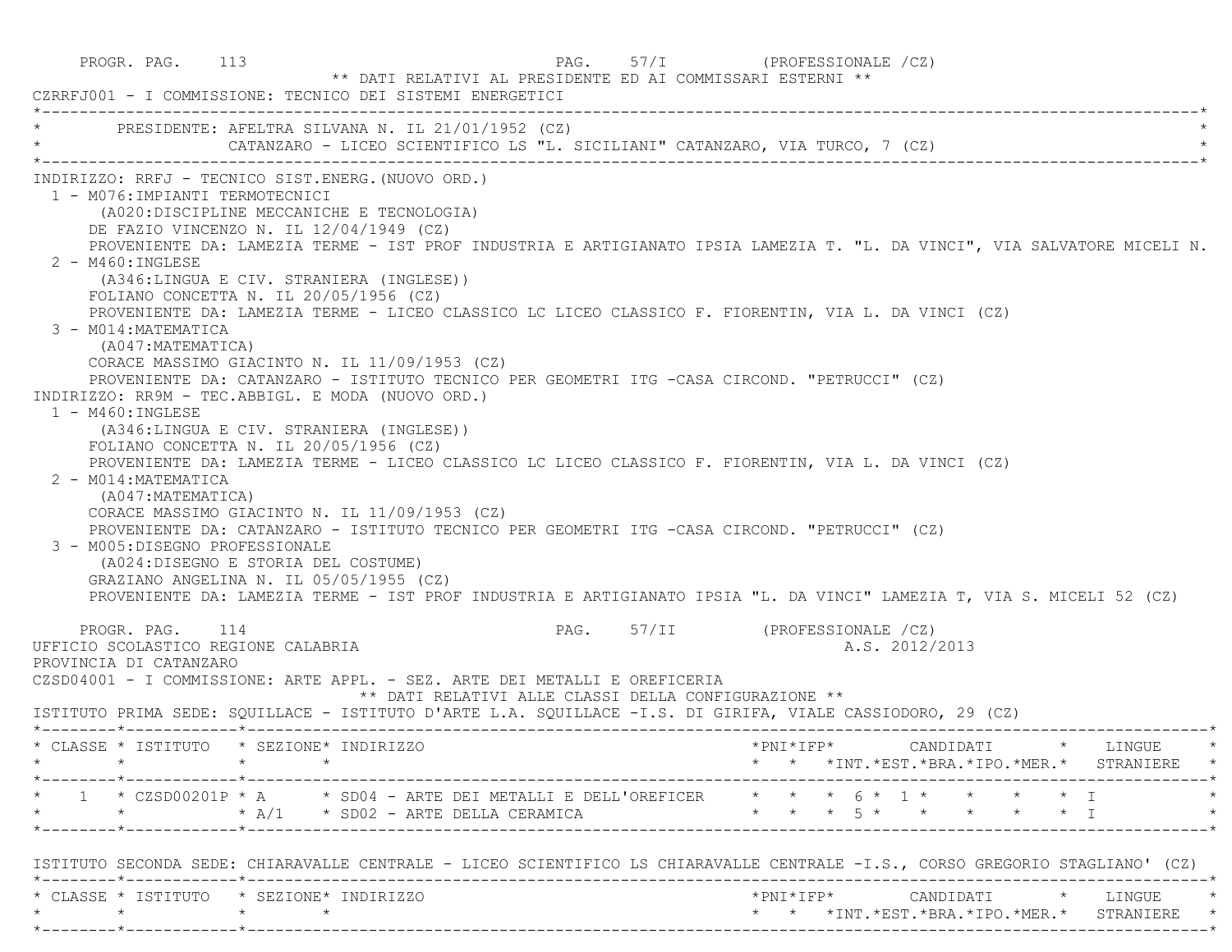PROGR. PAG. 113 PAG. 57/I (PROFESSIONALE /CZ) \*\* DATI RELATIVI AL PRESIDENTE ED AI COMMISSARI ESTERNI \*\* CZRRFJ001 - I COMMISSIONE: TECNICO DEI SISTEMI ENERGETICI \*----------------------------------------------------------------------------------------------------------------------------\*PRESIDENTE: AFELTRA SILVANA N. IL 21/01/1952 (CZ) CATANZARO - LICEO SCIENTIFICO LS "L. SICILIANI" CATANZARO, VIA TURCO, 7 (CZ) \*----------------------------------------------------------------------------------------------------------------------------\* INDIRIZZO: RRFJ - TECNICO SIST.ENERG.(NUOVO ORD.) 1 - M076:IMPIANTI TERMOTECNICI (A020:DISCIPLINE MECCANICHE E TECNOLOGIA) DE FAZIO VINCENZO N. IL 12/04/1949 (CZ) PROVENIENTE DA: LAMEZIA TERME - IST PROF INDUSTRIA E ARTIGIANATO IPSIA LAMEZIA T. "L. DA VINCI", VIA SALVATORE MICELI N. 2 - M460:INGLESE (A346:LINGUA E CIV. STRANIERA (INGLESE)) FOLIANO CONCETTA N. IL 20/05/1956 (CZ) PROVENIENTE DA: LAMEZIA TERME - LICEO CLASSICO LC LICEO CLASSICO F. FIORENTIN, VIA L. DA VINCI (CZ) 3 - M014:MATEMATICA (A047:MATEMATICA) CORACE MASSIMO GIACINTO N. IL 11/09/1953 (CZ) PROVENIENTE DA: CATANZARO - ISTITUTO TECNICO PER GEOMETRI ITG -CASA CIRCOND. "PETRUCCI" (CZ) INDIRIZZO: RR9M - TEC.ABBIGL. E MODA (NUOVO ORD.) 1 - M460:INGLESE (A346:LINGUA E CIV. STRANIERA (INGLESE)) FOLIANO CONCETTA N. IL 20/05/1956 (CZ) PROVENIENTE DA: LAMEZIA TERME - LICEO CLASSICO LC LICEO CLASSICO F. FIORENTIN, VIA L. DA VINCI (CZ) 2 - M014:MATEMATICA (A047:MATEMATICA) CORACE MASSIMO GIACINTO N. IL 11/09/1953 (CZ) PROVENIENTE DA: CATANZARO - ISTITUTO TECNICO PER GEOMETRI ITG -CASA CIRCOND. "PETRUCCI" (CZ) 3 - M005:DISEGNO PROFESSIONALE (A024:DISEGNO E STORIA DEL COSTUME) GRAZIANO ANGELINA N. IL 05/05/1955 (CZ) PROVENIENTE DA: LAMEZIA TERME - IST PROF INDUSTRIA E ARTIGIANATO IPSIA "L. DA VINCI" LAMEZIA T, VIA S. MICELI 52 (CZ) PROGR. PAG. 114 CPROFESSIONALE (CZ) UFFICIO SCOLASTICO REGIONE CALABRIA A.S. 2012/2013 PROVINCIA DI CATANZARO CZSD04001 - I COMMISSIONE: ARTE APPL. - SEZ. ARTE DEI METALLI E OREFICERIA \*\* DATI RELATIVI ALLE CLASSI DELLA CONFIGURAZIONE \*\* ISTITUTO PRIMA SEDE: SQUILLACE - ISTITUTO D'ARTE L.A. SQUILLACE -I.S. DI GIRIFA, VIALE CASSIODORO, 29 (CZ) \*--------\*------------\*-------------------------------------------------------------------------------------------------------\* \* CLASSE \* ISTITUTO \* SEZIONE\* INDIRIZZO \*PNI\*IFP\* CANDIDATI \* LINGUE \* \* \* \* \* \* \* \*INT.\*EST.\*BRA.\*IPO.\*MER.\* STRANIERE \* \*--------\*------------\*-------------------------------------------------------------------------------------------------------\* \* 1 \* CZSD00201P \* A \* SD04 - ARTE DEI METALLI E DELL'OREFICER \* \* \* 6 \* 1 \* \* \* \* I \* \* \* \* A/1 \* SD02 - ARTE DELLA CERAMICA \* \* \* 5 \* \* \* \* \* I \* \*--------\*------------\*-------------------------------------------------------------------------------------------------------\* ISTITUTO SECONDA SEDE: CHIARAVALLE CENTRALE - LICEO SCIENTIFICO LS CHIARAVALLE CENTRALE -I.S., CORSO GREGORIO STAGLIANO' (CZ) \*--------\*------------\*-------------------------------------------------------------------------------------------------------\* \* CLASSE \* ISTITUTO \* SEZIONE\* INDIRIZZO \*PNI\*IFP\* CANDIDATI \* LINGUE \* \* \* \* \* \* \* \*INT.\*EST.\*BRA.\*IPO.\*MER.\* STRANIERE \* \*--------\*------------\*-------------------------------------------------------------------------------------------------------\*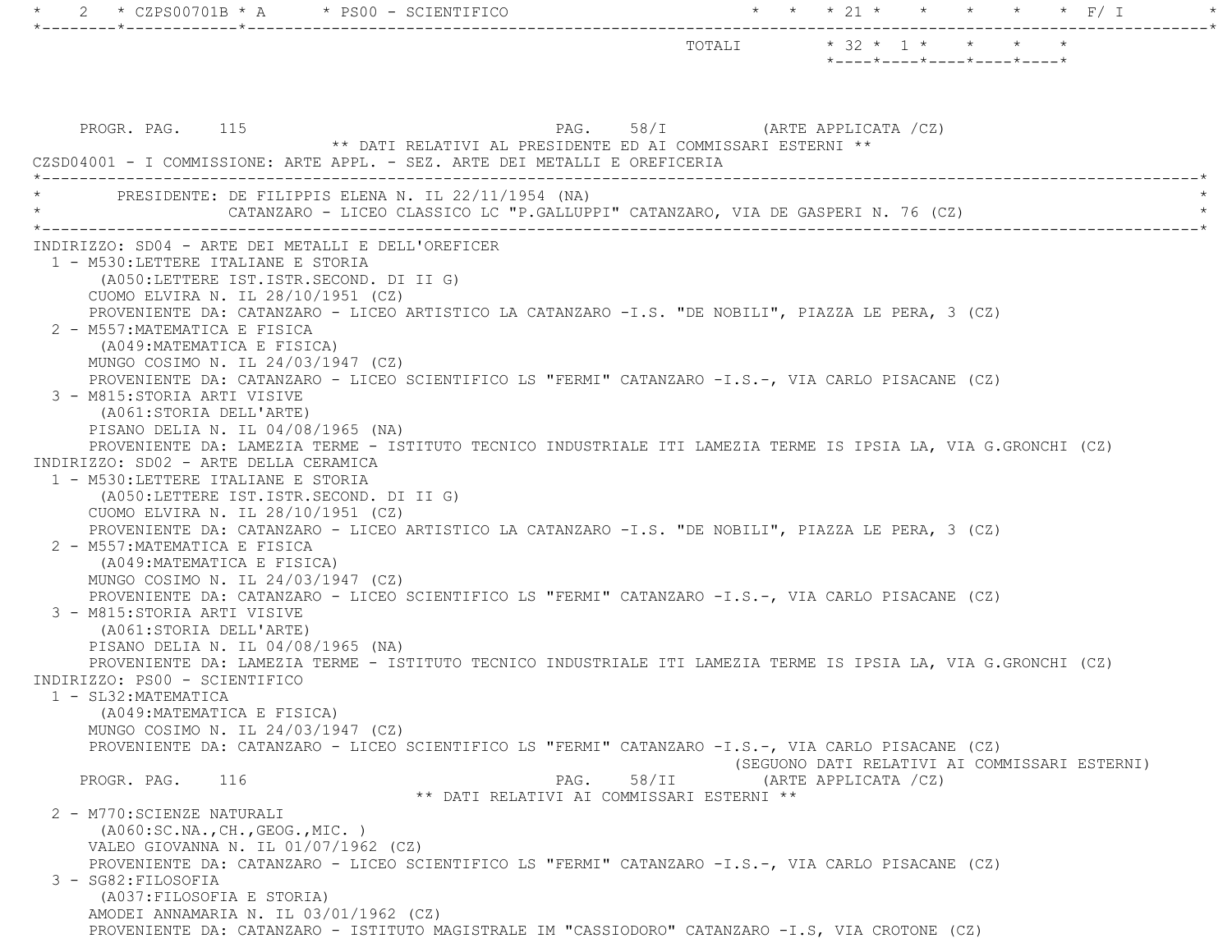2 \* CZPS00701B \* A \* PS00 - SCIENTIFICO \* \* \* \* 21 \* \* \* \* \* \* \* F/ I \*--------\*------------\*-------------------------------------------------------------------------------------------------------\*TOTALI  $* 32 * 1 * * * * * * *$  \*----\*----\*----\*----\*----\* PROGR. PAG. 115 PAG. 58/I (ARTE APPLICATA /CZ) \*\* DATI RELATIVI AL PRESIDENTE ED AI COMMISSARI ESTERNI \*\* CZSD04001 - I COMMISSIONE: ARTE APPL. - SEZ. ARTE DEI METALLI E OREFICERIA \*----------------------------------------------------------------------------------------------------------------------------\*PRESIDENTE: DE FILIPPIS ELENA N. IL 22/11/1954 (NA) CATANZARO - LICEO CLASSICO LC "P.GALLUPPI" CATANZARO, VIA DE GASPERI N. 76 (CZ) \*----------------------------------------------------------------------------------------------------------------------------\* INDIRIZZO: SD04 - ARTE DEI METALLI E DELL'OREFICER 1 - M530:LETTERE ITALIANE E STORIA (A050:LETTERE IST.ISTR.SECOND. DI II G) CUOMO ELVIRA N. IL 28/10/1951 (CZ) PROVENIENTE DA: CATANZARO - LICEO ARTISTICO LA CATANZARO -I.S. "DE NOBILI", PIAZZA LE PERA, 3 (CZ) 2 - M557:MATEMATICA E FISICA (A049:MATEMATICA E FISICA) MUNGO COSIMO N. IL 24/03/1947 (CZ) PROVENIENTE DA: CATANZARO - LICEO SCIENTIFICO LS "FERMI" CATANZARO -I.S.-, VIA CARLO PISACANE (CZ) 3 - M815:STORIA ARTI VISIVE (A061:STORIA DELL'ARTE) PISANO DELIA N. IL 04/08/1965 (NA) PROVENIENTE DA: LAMEZIA TERME - ISTITUTO TECNICO INDUSTRIALE ITI LAMEZIA TERME IS IPSIA LA, VIA G.GRONCHI (CZ) INDIRIZZO: SD02 - ARTE DELLA CERAMICA 1 - M530:LETTERE ITALIANE E STORIA (A050:LETTERE IST.ISTR.SECOND. DI II G) CUOMO ELVIRA N. IL 28/10/1951 (CZ) PROVENIENTE DA: CATANZARO - LICEO ARTISTICO LA CATANZARO -I.S. "DE NOBILI", PIAZZA LE PERA, 3 (CZ) 2 - M557:MATEMATICA E FISICA (A049:MATEMATICA E FISICA) MUNGO COSIMO N. IL 24/03/1947 (CZ) PROVENIENTE DA: CATANZARO - LICEO SCIENTIFICO LS "FERMI" CATANZARO -I.S.-, VIA CARLO PISACANE (CZ) 3 - M815:STORIA ARTI VISIVE (A061:STORIA DELL'ARTE) PISANO DELIA N. IL 04/08/1965 (NA) PROVENIENTE DA: LAMEZIA TERME - ISTITUTO TECNICO INDUSTRIALE ITI LAMEZIA TERME IS IPSIA LA, VIA G.GRONCHI (CZ) INDIRIZZO: PS00 - SCIENTIFICO 1 - SL32:MATEMATICA (A049:MATEMATICA E FISICA) MUNGO COSIMO N. IL 24/03/1947 (CZ) PROVENIENTE DA: CATANZARO - LICEO SCIENTIFICO LS "FERMI" CATANZARO -I.S.-, VIA CARLO PISACANE (CZ) (SEGUONO DATI RELATIVI AI COMMISSARI ESTERNI) PROGR. PAG. 116 CHARGE 2016 PAG. 58/II (ARTE APPLICATA /CZ) \*\* DATI RELATIVI AI COMMISSARI ESTERNI \*\* 2 - M770:SCIENZE NATURALI (A060:SC.NA.,CH.,GEOG.,MIC. ) VALEO GIOVANNA N. IL 01/07/1962 (CZ) PROVENIENTE DA: CATANZARO - LICEO SCIENTIFICO LS "FERMI" CATANZARO -I.S.-, VIA CARLO PISACANE (CZ) 3 - SG82:FILOSOFIA (A037:FILOSOFIA E STORIA) AMODEI ANNAMARIA N. IL 03/01/1962 (CZ) PROVENIENTE DA: CATANZARO - ISTITUTO MAGISTRALE IM "CASSIODORO" CATANZARO -I.S, VIA CROTONE (CZ)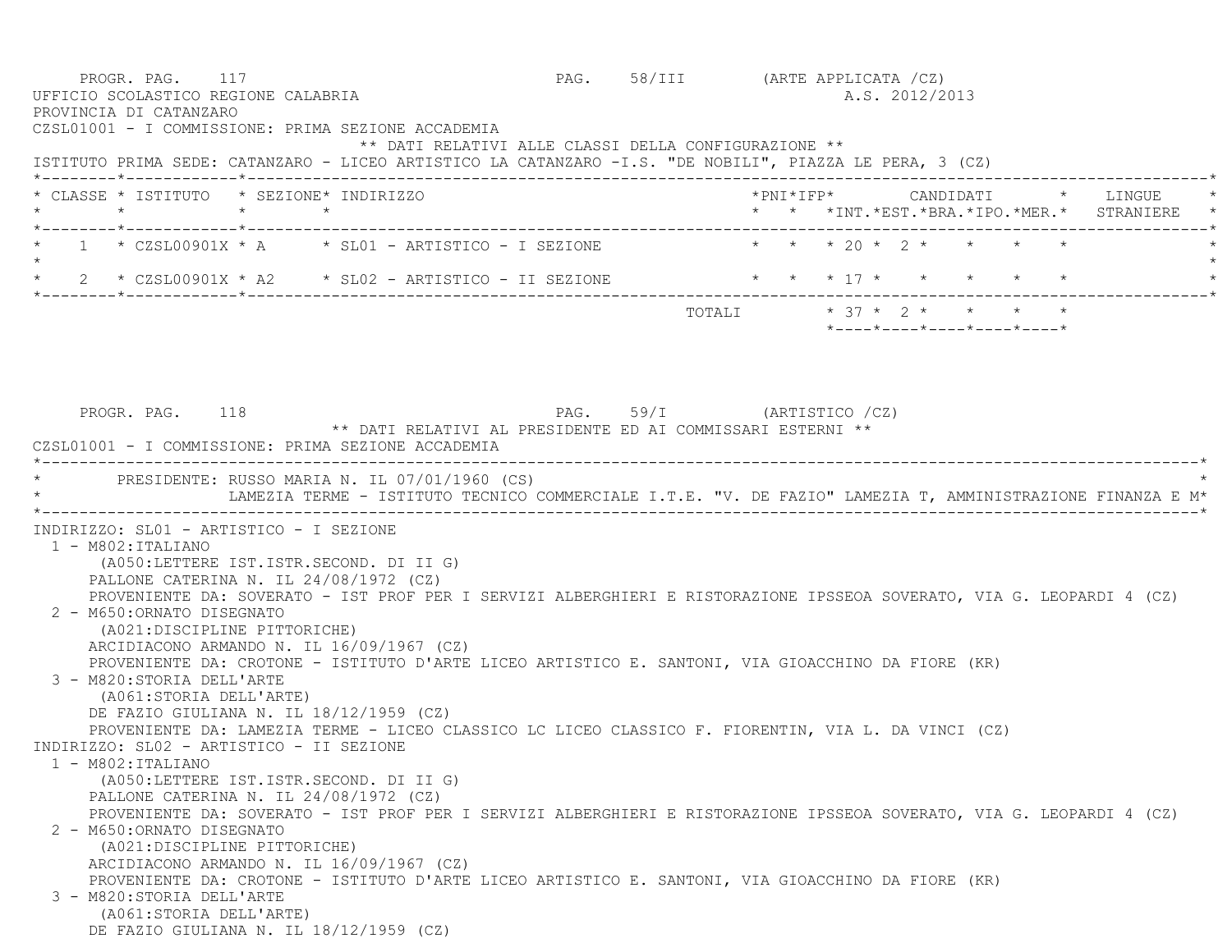PROGR. PAG. 117 **PROGR. PAG.** 58/III (ARTE APPLICATA /CZ) UFFICIO SCOLASTICO REGIONE CALABRIA AND ALS. 2012/2013 PROVINCIA DI CATANZARO CZSL01001 - I COMMISSIONE: PRIMA SEZIONE ACCADEMIA \*\* DATI RELATIVI ALLE CLASSI DELLA CONFIGURAZIONE \*\* ISTITUTO PRIMA SEDE: CATANZARO - LICEO ARTISTICO LA CATANZARO -I.S. "DE NOBILI", PIAZZA LE PERA, 3 (CZ) \*--------\*------------\*-------------------------------------------------------------------------------------------------------\* \* CLASSE \* ISTITUTO \* SEZIONE\* INDIRIZZO \*PNI\*IFP\* CANDIDATI \* LINGUE \* \* \* \* \* \* \* \*INT.\*EST.\*BRA.\*IPO.\*MER.\* STRANIERE \* \*--------\*------------\*-------------------------------------------------------------------------------------------------------\*1 \* CZSL00901X \* A \* SL01 - ARTISTICO - I SEZIONE \* \* \* \* 20 \* 2 \* \* \* \*  $\star$ 2 \* CZSL00901X \* A2 \* SL02 - ARTISTICO - II SEZIONE \* \* \* \* 17 \* \* \* \* \* \* \* \* \*--------\*------------\*-------------------------------------------------------------------------------------------------------\*TOTALI  $* 37 * 2 * * * * * * * *$  \*----\*----\*----\*----\*----\*PROGR. PAG. 118 PAG. 59/I (ARTISTICO /CZ) \*\* DATI RELATIVI AL PRESIDENTE ED AI COMMISSARI ESTERNI \*\* CZSL01001 - I COMMISSIONE: PRIMA SEZIONE ACCADEMIA \*----------------------------------------------------------------------------------------------------------------------------\*PRESIDENTE: RUSSO MARIA N. IL 07/01/1960 (CS) LAMEZIA TERME - ISTITUTO TECNICO COMMERCIALE I.T.E. "V. DE FAZIO" LAMEZIA T, AMMINISTRAZIONE FINANZA E M\* \*----------------------------------------------------------------------------------------------------------------------------\* INDIRIZZO: SL01 - ARTISTICO - I SEZIONE 1 - M802:ITALIANO (A050:LETTERE IST.ISTR.SECOND. DI II G) PALLONE CATERINA N. IL 24/08/1972 (CZ) PROVENIENTE DA: SOVERATO - IST PROF PER I SERVIZI ALBERGHIERI E RISTORAZIONE IPSSEOA SOVERATO, VIA G. LEOPARDI 4 (CZ) 2 - M650:ORNATO DISEGNATO (A021:DISCIPLINE PITTORICHE) ARCIDIACONO ARMANDO N. IL 16/09/1967 (CZ) PROVENIENTE DA: CROTONE - ISTITUTO D'ARTE LICEO ARTISTICO E. SANTONI, VIA GIOACCHINO DA FIORE (KR) 3 - M820:STORIA DELL'ARTE (A061:STORIA DELL'ARTE) DE FAZIO GIULIANA N. IL 18/12/1959 (CZ) PROVENIENTE DA: LAMEZIA TERME - LICEO CLASSICO LC LICEO CLASSICO F. FIORENTIN, VIA L. DA VINCI (CZ) INDIRIZZO: SL02 - ARTISTICO - II SEZIONE 1 - M802:ITALIANO (A050:LETTERE IST.ISTR.SECOND. DI II G) PALLONE CATERINA N. IL 24/08/1972 (CZ) PROVENIENTE DA: SOVERATO - IST PROF PER I SERVIZI ALBERGHIERI E RISTORAZIONE IPSSEOA SOVERATO, VIA G. LEOPARDI 4 (CZ) 2 - M650:ORNATO DISEGNATO (A021:DISCIPLINE PITTORICHE) ARCIDIACONO ARMANDO N. IL 16/09/1967 (CZ) PROVENIENTE DA: CROTONE - ISTITUTO D'ARTE LICEO ARTISTICO E. SANTONI, VIA GIOACCHINO DA FIORE (KR) 3 - M820:STORIA DELL'ARTE (A061:STORIA DELL'ARTE) DE FAZIO GIULIANA N. IL 18/12/1959 (CZ)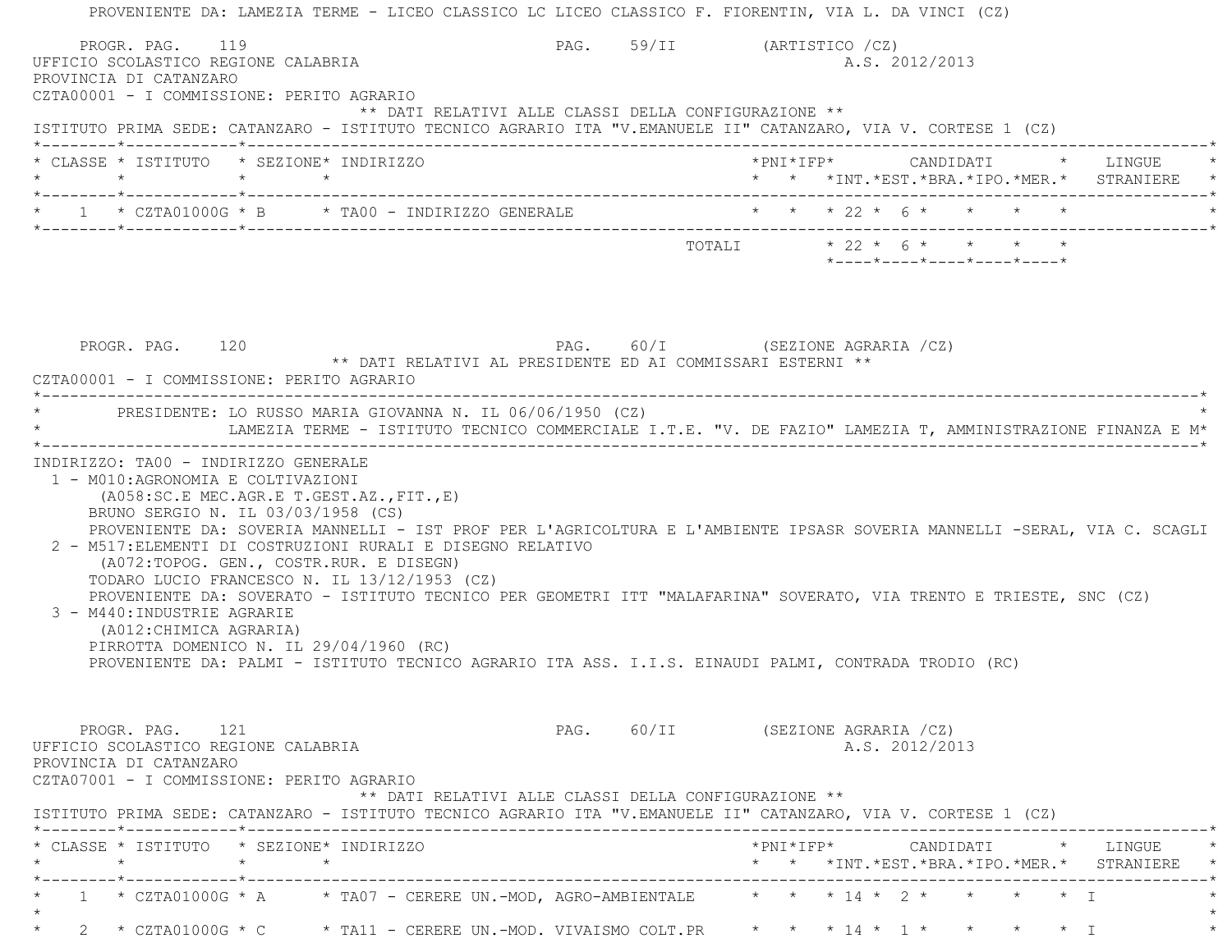PROVENIENTE DA: LAMEZIA TERME - LICEO CLASSICO LC LICEO CLASSICO F. FIORENTIN, VIA L. DA VINCI (CZ) PROGR. PAG. 119 PROGR. PAG. 59/II (ARTISTICO /CZ) UFFICIO SCOLASTICO REGIONE CALABRIA AND ANNO 1999 A.S. 2012/2013 PROVINCIA DI CATANZARO CZTA00001 - I COMMISSIONE: PERITO AGRARIO \*\* DATI RELATIVI ALLE CLASSI DELLA CONFIGURAZIONE \*\* ISTITUTO PRIMA SEDE: CATANZARO - ISTITUTO TECNICO AGRARIO ITA "V.EMANUELE II" CATANZARO, VIA V. CORTESE 1 (CZ) \*--------\*------------\*-------------------------------------------------------------------------------------------------------\* \* CLASSE \* ISTITUTO \* SEZIONE\* INDIRIZZO \*PNI\*IFP\* CANDIDATI \* LINGUE \* \* \* \* \* \* \* \*INT.\*EST.\*BRA.\*IPO.\*MER.\* STRANIERE \* \*--------\*------------\*-------------------------------------------------------------------------------------------------------\*1 \* CZTA01000G \* B \* TA00 - INDIRIZZO GENERALE \* \* \* \* \* 22 \* 6 \* \* \* \* \* \* \*--------\*------------\*-------------------------------------------------------------------------------------------------------\* $\texttt{TOTAL} \qquad \qquad \star \; \; 22 \; \star \; \; 6 \; \star \qquad \star \qquad \star \qquad \star \qquad \star$  \*----\*----\*----\*----\*----\*PROGR. PAG. 120 120 PAG. 60/I (SEZIONE AGRARIA /CZ) \*\* DATI RELATIVI AL PRESIDENTE ED AI COMMISSARI ESTERNI \*\* CZTA00001 - I COMMISSIONE: PERITO AGRARIO \*----------------------------------------------------------------------------------------------------------------------------\*PRESIDENTE: LO RUSSO MARIA GIOVANNA N. IL 06/06/1950 (CZ) \* LAMEZIA TERME - ISTITUTO TECNICO COMMERCIALE I.T.E. "V. DE FAZIO" LAMEZIA T, AMMINISTRAZIONE FINANZA E M\* \*----------------------------------------------------------------------------------------------------------------------------\* INDIRIZZO: TA00 - INDIRIZZO GENERALE 1 - M010:AGRONOMIA E COLTIVAZIONI (A058:SC.E MEC.AGR.E T.GEST.AZ.,FIT.,E) BRUNO SERGIO N. IL 03/03/1958 (CS) PROVENIENTE DA: SOVERIA MANNELLI - IST PROF PER L'AGRICOLTURA E L'AMBIENTE IPSASR SOVERIA MANNELLI -SERAL, VIA C. SCAGLI 2 - M517:ELEMENTI DI COSTRUZIONI RURALI E DISEGNO RELATIVO (A072:TOPOG. GEN., COSTR.RUR. E DISEGN) TODARO LUCIO FRANCESCO N. IL 13/12/1953 (CZ) PROVENIENTE DA: SOVERATO - ISTITUTO TECNICO PER GEOMETRI ITT "MALAFARINA" SOVERATO, VIA TRENTO E TRIESTE, SNC (CZ) 3 - M440:INDUSTRIE AGRARIE (A012:CHIMICA AGRARIA) PIRROTTA DOMENICO N. IL 29/04/1960 (RC) PROVENIENTE DA: PALMI - ISTITUTO TECNICO AGRARIO ITA ASS. I.I.S. EINAUDI PALMI, CONTRADA TRODIO (RC) PROGR. PAG. 121 CHAST 21 PAG. 60/II (SEZIONE AGRARIA /CZ) UFFICIO SCOLASTICO REGIONE CALABRIA AND ALS. 2012/2013 PROVINCIA DI CATANZARO CZTA07001 - I COMMISSIONE: PERITO AGRARIO \*\* DATI RELATIVI ALLE CLASSI DELLA CONFIGURAZIONE \*\* ISTITUTO PRIMA SEDE: CATANZARO - ISTITUTO TECNICO AGRARIO ITA "V.EMANUELE II" CATANZARO, VIA V. CORTESE 1 (CZ) \*--------\*------------\*-------------------------------------------------------------------------------------------------------\* \* CLASSE \* ISTITUTO \* SEZIONE\* INDIRIZZO \*PNI\*IFP\* CANDIDATI \* LINGUE \* \* \* \* \* \* \* \*INT.\*EST.\*BRA.\*IPO.\*MER.\* STRANIERE \* \*--------\*------------\*-------------------------------------------------------------------------------------------------------\* $1$  \* CZTA01000G \* A  $\quad$  \* TA07 - CERERE UN.-MOD, AGRO-AMBIENTALE  $\quad$  \* \* \* 14 \* 2 \* \* \* \* \* I  $\star$ 2 \* CZTA01000G \* C \* TA11 - CERERE UN.-MOD. VIVAISMO COLT.PR \* \* \* 14 \* 1 \* \* \* \* \* \* I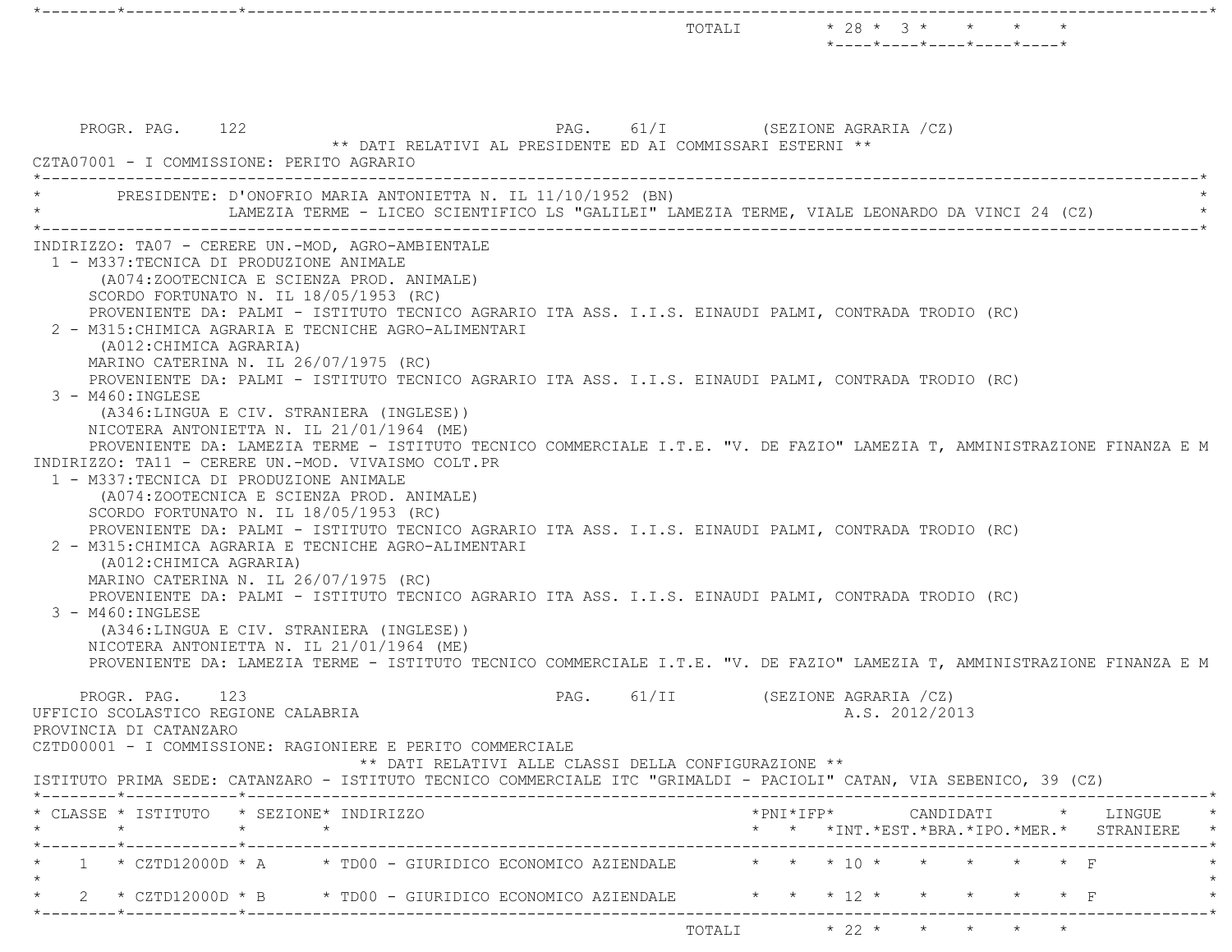|                                                                                                                                                                                                                                                                                                                                                                                                                                                                                                                                                                                                                                                                                                                                                                                                                                                                                                                                                                                                                                                                                                                                                                                                                                                                                                                                                                                                                                                                                                                                                                |                                                                    |       |                        | TOTALI * 28 * 3 * * * * *<br>$*$ - - - - $*$ - - - - $*$ - - - - $*$ - - - - $*$ - - - - $*$ |                                                                                      |
|----------------------------------------------------------------------------------------------------------------------------------------------------------------------------------------------------------------------------------------------------------------------------------------------------------------------------------------------------------------------------------------------------------------------------------------------------------------------------------------------------------------------------------------------------------------------------------------------------------------------------------------------------------------------------------------------------------------------------------------------------------------------------------------------------------------------------------------------------------------------------------------------------------------------------------------------------------------------------------------------------------------------------------------------------------------------------------------------------------------------------------------------------------------------------------------------------------------------------------------------------------------------------------------------------------------------------------------------------------------------------------------------------------------------------------------------------------------------------------------------------------------------------------------------------------------|--------------------------------------------------------------------|-------|------------------------|----------------------------------------------------------------------------------------------|--------------------------------------------------------------------------------------|
| PROGR. PAG. 122<br>CZTA07001 - I COMMISSIONE: PERITO AGRARIO                                                                                                                                                                                                                                                                                                                                                                                                                                                                                                                                                                                                                                                                                                                                                                                                                                                                                                                                                                                                                                                                                                                                                                                                                                                                                                                                                                                                                                                                                                   | PAG.<br>** DATI RELATIVI AL PRESIDENTE ED AI COMMISSARI ESTERNI ** | 61/I  | (SEZIONE AGRARIA /CZ)  |                                                                                              |                                                                                      |
| PRESIDENTE: D'ONOFRIO MARIA ANTONIETTA N. IL 11/10/1952 (BN)<br>LAMEZIA TERME - LICEO SCIENTIFICO LS "GALILEI" LAMEZIA TERME, VIALE LEONARDO DA VINCI 24 (CZ)                                                                                                                                                                                                                                                                                                                                                                                                                                                                                                                                                                                                                                                                                                                                                                                                                                                                                                                                                                                                                                                                                                                                                                                                                                                                                                                                                                                                  |                                                                    |       |                        |                                                                                              |                                                                                      |
| INDIRIZZO: TA07 - CERERE UN.-MOD, AGRO-AMBIENTALE<br>1 - M337:TECNICA DI PRODUZIONE ANIMALE<br>(A074:ZOOTECNICA E SCIENZA PROD. ANIMALE)<br>SCORDO FORTUNATO N. IL $18/05/1953$ (RC)<br>PROVENIENTE DA: PALMI - ISTITUTO TECNICO AGRARIO ITA ASS. I.I.S. EINAUDI PALMI, CONTRADA TRODIO (RC)<br>2 - M315: CHIMICA AGRARIA E TECNICHE AGRO-ALIMENTARI<br>(A012: CHIMICA AGRARIA)<br>MARINO CATERINA N. IL 26/07/1975 (RC)<br>PROVENIENTE DA: PALMI - ISTITUTO TECNICO AGRARIO ITA ASS. I.I.S. EINAUDI PALMI, CONTRADA TRODIO (RC)<br>$3 - M460$ : INGLESE<br>(A346:LINGUA E CIV. STRANIERA (INGLESE))<br>NICOTERA ANTONIETTA N. IL 21/01/1964 (ME)<br>PROVENIENTE DA: LAMEZIA TERME - ISTITUTO TECNICO COMMERCIALE I.T.E. "V. DE FAZIO" LAMEZIA T, AMMINISTRAZIONE FINANZA E M<br>INDIRIZZO: TA11 - CERERE UN.-MOD. VIVAISMO COLT.PR<br>1 - M337: TECNICA DI PRODUZIONE ANIMALE<br>(A074:ZOOTECNICA E SCIENZA PROD. ANIMALE)<br>SCORDO FORTUNATO N. IL 18/05/1953 (RC)<br>PROVENIENTE DA: PALMI - ISTITUTO TECNICO AGRARIO ITA ASS. I.I.S. EINAUDI PALMI, CONTRADA TRODIO (RC)<br>2 - M315: CHIMICA AGRARIA E TECNICHE AGRO-ALIMENTARI<br>(A012: CHIMICA AGRARIA)<br>MARINO CATERINA N. IL 26/07/1975 (RC)<br>PROVENIENTE DA: PALMI - ISTITUTO TECNICO AGRARIO ITA ASS. I.I.S. EINAUDI PALMI, CONTRADA TRODIO (RC)<br>$3 - M460$ : INGLESE<br>(A346:LINGUA E CIV. STRANIERA (INGLESE))<br>NICOTERA ANTONIETTA N. IL 21/01/1964 (ME)<br>PROVENIENTE DA: LAMEZIA TERME - ISTITUTO TECNICO COMMERCIALE I.T.E. "V. DE FAZIO" LAMEZIA T, AMMINISTRAZIONE FINANZA E M |                                                                    |       |                        |                                                                                              |                                                                                      |
| 123<br>PROGR. PAG.<br>UFFICIO SCOLASTICO REGIONE CALABRIA<br>PROVINCIA DI CATANZARO<br>CZTD00001 - I COMMISSIONE: RAGIONIERE E PERITO COMMERCIALE                                                                                                                                                                                                                                                                                                                                                                                                                                                                                                                                                                                                                                                                                                                                                                                                                                                                                                                                                                                                                                                                                                                                                                                                                                                                                                                                                                                                              | PAG.<br>** DATI RELATIVI ALLE CLASSI DELLA CONFIGURAZIONE **       | 61/II | (SEZIONE AGRARIA / CZ) | A.S. 2012/2013                                                                               |                                                                                      |
| ISTITUTO PRIMA SEDE: CATANZARO - ISTITUTO TECNICO COMMERCIALE ITC "GRIMALDI - PACIOLI" CATAN, VIA SEBENICO, 39 (CZ)<br>* CLASSE * ISTITUTO * SEZIONE* INDIRIZZO                                                                                                                                                                                                                                                                                                                                                                                                                                                                                                                                                                                                                                                                                                                                                                                                                                                                                                                                                                                                                                                                                                                                                                                                                                                                                                                                                                                                |                                                                    |       |                        |                                                                                              | $*PNI * IFP * \qquad \qquad \text{CANDIDATI} \qquad * \qquad \text{LINGUE} \qquad *$ |
| 1 * CZTD12000D * A * TD00 - GIURIDICO ECONOMICO AZIENDALE * * * * 10 * * * * * * * F                                                                                                                                                                                                                                                                                                                                                                                                                                                                                                                                                                                                                                                                                                                                                                                                                                                                                                                                                                                                                                                                                                                                                                                                                                                                                                                                                                                                                                                                           |                                                                    |       |                        |                                                                                              | * * *INT. *EST. *BRA. *IPO. *MER. * STRANIERE *                                      |
| 2 * CZTD12000D * B * TD00 - GIURIDICO ECONOMICO AZIENDALE * * * * 12 * *                                                                                                                                                                                                                                                                                                                                                                                                                                                                                                                                                                                                                                                                                                                                                                                                                                                                                                                                                                                                                                                                                                                                                                                                                                                                                                                                                                                                                                                                                       |                                                                    |       |                        |                                                                                              |                                                                                      |
| -------*------------*---------------                                                                                                                                                                                                                                                                                                                                                                                                                                                                                                                                                                                                                                                                                                                                                                                                                                                                                                                                                                                                                                                                                                                                                                                                                                                                                                                                                                                                                                                                                                                           |                                                                    |       |                        | TOTALI * 22 * * * * * *                                                                      |                                                                                      |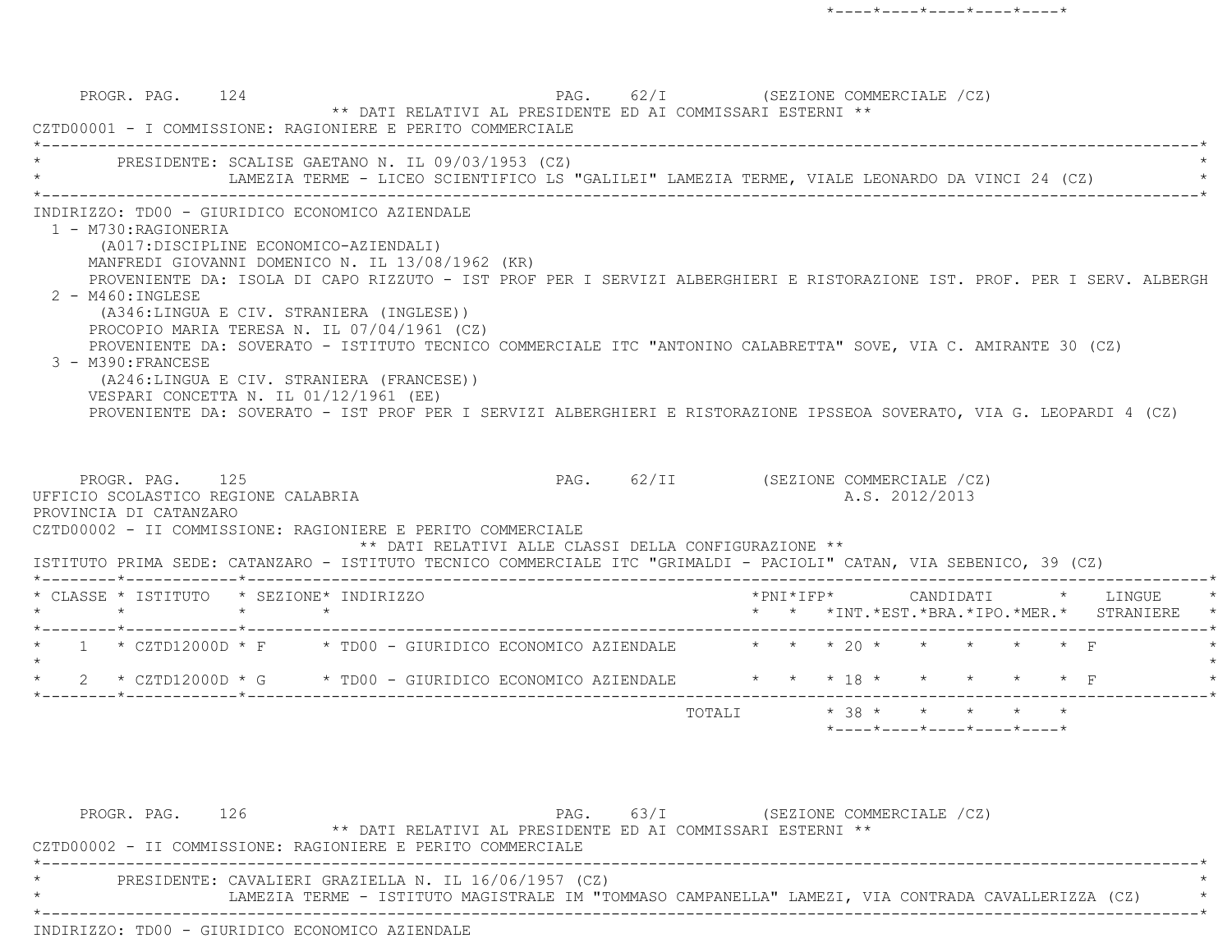PROGR. PAG. 124 PAG. 62/I (SEZIONE COMMERCIALE /CZ) \*\* DATI RELATIVI AL PRESIDENTE ED AI COMMISSARI ESTERNI \*\* CZTD00001 - I COMMISSIONE: RAGIONIERE E PERITO COMMERCIALE \*----------------------------------------------------------------------------------------------------------------------------\*PRESIDENTE: SCALISE GAETANO N. IL 09/03/1953 (CZ) LAMEZIA TERME - LICEO SCIENTIFICO LS "GALILEI" LAMEZIA TERME, VIALE LEONARDO DA VINCI 24 (CZ) \*----------------------------------------------------------------------------------------------------------------------------\* INDIRIZZO: TD00 - GIURIDICO ECONOMICO AZIENDALE 1 - M730:RAGIONERIA (A017:DISCIPLINE ECONOMICO-AZIENDALI) MANFREDI GIOVANNI DOMENICO N. IL 13/08/1962 (KR) PROVENIENTE DA: ISOLA DI CAPO RIZZUTO - IST PROF PER I SERVIZI ALBERGHIERI E RISTORAZIONE IST. PROF. PER I SERV. ALBERGH 2 - M460:INGLESE (A346:LINGUA E CIV. STRANIERA (INGLESE)) PROCOPIO MARIA TERESA N. IL 07/04/1961 (CZ) PROVENIENTE DA: SOVERATO - ISTITUTO TECNICO COMMERCIALE ITC "ANTONINO CALABRETTA" SOVE, VIA C. AMIRANTE 30 (CZ) 3 - M390:FRANCESE (A246:LINGUA E CIV. STRANIERA (FRANCESE)) VESPARI CONCETTA N. IL 01/12/1961 (EE) PROVENIENTE DA: SOVERATO - IST PROF PER I SERVIZI ALBERGHIERI E RISTORAZIONE IPSSEOA SOVERATO, VIA G. LEOPARDI 4 (CZ) PROGR. PAG. 125 PAG. 62/II (SEZIONE COMMERCIALE /CZ) UFFICIO SCOLASTICO REGIONE CALABRIA A.S. 2012/2013 PROVINCIA DI CATANZARO CZTD00002 - II COMMISSIONE: RAGIONIERE E PERITO COMMERCIALE \*\* DATI RELATIVI ALLE CLASSI DELLA CONFIGURAZIONE \*\* ISTITUTO PRIMA SEDE: CATANZARO - ISTITUTO TECNICO COMMERCIALE ITC "GRIMALDI - PACIOLI" CATAN, VIA SEBENICO, 39 (CZ) \*--------\*------------\*-------------------------------------------------------------------------------------------------------\* \* CLASSE \* ISTITUTO \* SEZIONE\* INDIRIZZO \*PNI\*IFP\* CANDIDATI \* LINGUE \* \* \* \* \* \* \* \*INT.\*EST.\*BRA.\*IPO.\*MER.\* STRANIERE \* \*--------\*------------\*-------------------------------------------------------------------------------------------------------\*1 \* CZTD12000D \* F \* TD00 - GIURIDICO ECONOMICO AZIENDALE \* \* \* \* 20 \* \* \* \* \*  $\star$ 2 \* CZTD12000D \* G \* TD00 - GIURIDICO ECONOMICO AZIENDALE \* \* \* 18 \* \* \* \* \* \* \* F \*--------\*------------\*-------------------------------------------------------------------------------------------------------\*TOTALI  $* 38 * * * * * * * * * *$ \*----\*----\*----\*----\*----\*

PROGR. PAG. 126 126 PAG. 63/I (SEZIONE COMMERCIALE /CZ) \*\* DATI RELATIVI AL PRESIDENTE ED AI COMMISSARI ESTERNI \*\* CZTD00002 - II COMMISSIONE: RAGIONIERE E PERITO COMMERCIALE \*----------------------------------------------------------------------------------------------------------------------------\*PRESIDENTE: CAVALIERI GRAZIELLA N. IL 16/06/1957 (CZ) \* LAMEZIA TERME - ISTITUTO MAGISTRALE IM "TOMMASO CAMPANELLA" LAMEZI, VIA CONTRADA CAVALLERIZZA (CZ) \* \*----------------------------------------------------------------------------------------------------------------------------\*INDIRIZZO: TD00 - GIURIDICO ECONOMICO AZIENDALE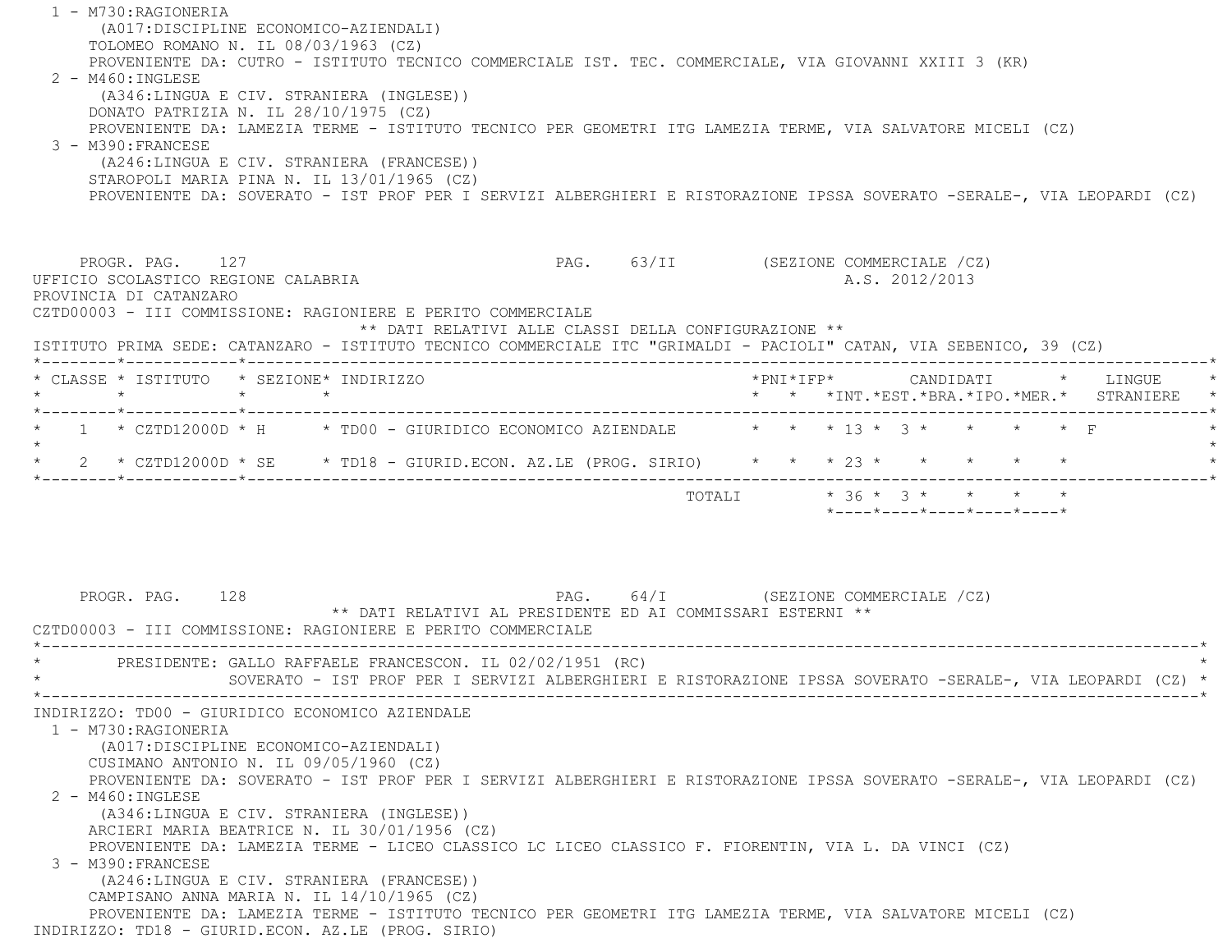1 - M730:RAGIONERIA (A017:DISCIPLINE ECONOMICO-AZIENDALI) TOLOMEO ROMANO N. IL 08/03/1963 (CZ) PROVENIENTE DA: CUTRO - ISTITUTO TECNICO COMMERCIALE IST. TEC. COMMERCIALE, VIA GIOVANNI XXIII 3 (KR) 2 - M460:INGLESE (A346:LINGUA E CIV. STRANIERA (INGLESE)) DONATO PATRIZIA N. IL 28/10/1975 (CZ) PROVENIENTE DA: LAMEZIA TERME - ISTITUTO TECNICO PER GEOMETRI ITG LAMEZIA TERME, VIA SALVATORE MICELI (CZ) 3 - M390:FRANCESE (A246:LINGUA E CIV. STRANIERA (FRANCESE)) STAROPOLI MARIA PINA N. IL 13/01/1965 (CZ) PROVENIENTE DA: SOVERATO - IST PROF PER I SERVIZI ALBERGHIERI E RISTORAZIONE IPSSA SOVERATO -SERALE-, VIA LEOPARDI (CZ) PROGR. PAG. 127 PAG. 63/II (SEZIONE COMMERCIALE /CZ) UFFICIO SCOLASTICO REGIONE CALABRIA A.S. 2012/2013 PROVINCIA DI CATANZARO CZTD00003 - III COMMISSIONE: RAGIONIERE E PERITO COMMERCIALE \*\* DATI RELATIVI ALLE CLASSI DELLA CONFIGURAZIONE \*\* ISTITUTO PRIMA SEDE: CATANZARO - ISTITUTO TECNICO COMMERCIALE ITC "GRIMALDI - PACIOLI" CATAN, VIA SEBENICO, 39 (CZ) \*--------\*------------\*-------------------------------------------------------------------------------------------------------\* \* CLASSE \* ISTITUTO \* SEZIONE\* INDIRIZZO \*PNI\*IFP\* CANDIDATI \* LINGUE \* \* \* \* \* \* \* \*INT.\*EST.\*BRA.\*IPO.\*MER.\* STRANIERE \* \*--------\*------------\*-------------------------------------------------------------------------------------------------------\*\* 1 \* CZTD12000D \* H \* TD00 - GIURIDICO ECONOMICO AZIENDALE  $\qquad$  \* \* \* 13 \* 3 \* \* \* \* \* F  $\star$ \* 2 \* CZTD12000D \* SE \* TD18 - GIURID.ECON. AZ.LE (PROG. SIRIO) \* \* \* \* 23 \* \* \* \* \* \* \*--------\*------------\*-------------------------------------------------------------------------------------------------------\* $\texttt{TOTAL} \qquad \qquad \star\;\; 36\;\star\;\; 3\;\star\;\; \qquad \star\;\; \qquad \star\;\; \qquad \star\;\; \qquad \star\;\; \qquad \star\;\; \qquad \star\;\; \qquad \star$  \*----\*----\*----\*----\*----\*PROGR. PAG. 128 PAG. 64/I (SEZIONE COMMERCIALE /CZ) \*\* DATI RELATIVI AL PRESIDENTE ED AI COMMISSARI ESTERNI \*\* CZTD00003 - III COMMISSIONE: RAGIONIERE E PERITO COMMERCIALE \*----------------------------------------------------------------------------------------------------------------------------\*PRESIDENTE: GALLO RAFFAELE FRANCESCON. IL 02/02/1951 (RC) \* SOVERATO - IST PROF PER I SERVIZI ALBERGHIERI E RISTORAZIONE IPSSA SOVERATO -SERALE-, VIA LEOPARDI (CZ) \* \*----------------------------------------------------------------------------------------------------------------------------\* INDIRIZZO: TD00 - GIURIDICO ECONOMICO AZIENDALE 1 - M730:RAGIONERIA (A017:DISCIPLINE ECONOMICO-AZIENDALI) CUSIMANO ANTONIO N. IL 09/05/1960 (CZ) PROVENIENTE DA: SOVERATO - IST PROF PER I SERVIZI ALBERGHIERI E RISTORAZIONE IPSSA SOVERATO -SERALE-, VIA LEOPARDI (CZ) 2 - M460:INGLESE (A346:LINGUA E CIV. STRANIERA (INGLESE)) ARCIERI MARIA BEATRICE N. IL 30/01/1956 (CZ) PROVENIENTE DA: LAMEZIA TERME - LICEO CLASSICO LC LICEO CLASSICO F. FIORENTIN, VIA L. DA VINCI (CZ) 3 - M390:FRANCESE (A246:LINGUA E CIV. STRANIERA (FRANCESE)) CAMPISANO ANNA MARIA N. IL 14/10/1965 (CZ) PROVENIENTE DA: LAMEZIA TERME - ISTITUTO TECNICO PER GEOMETRI ITG LAMEZIA TERME, VIA SALVATORE MICELI (CZ) INDIRIZZO: TD18 - GIURID.ECON. AZ.LE (PROG. SIRIO)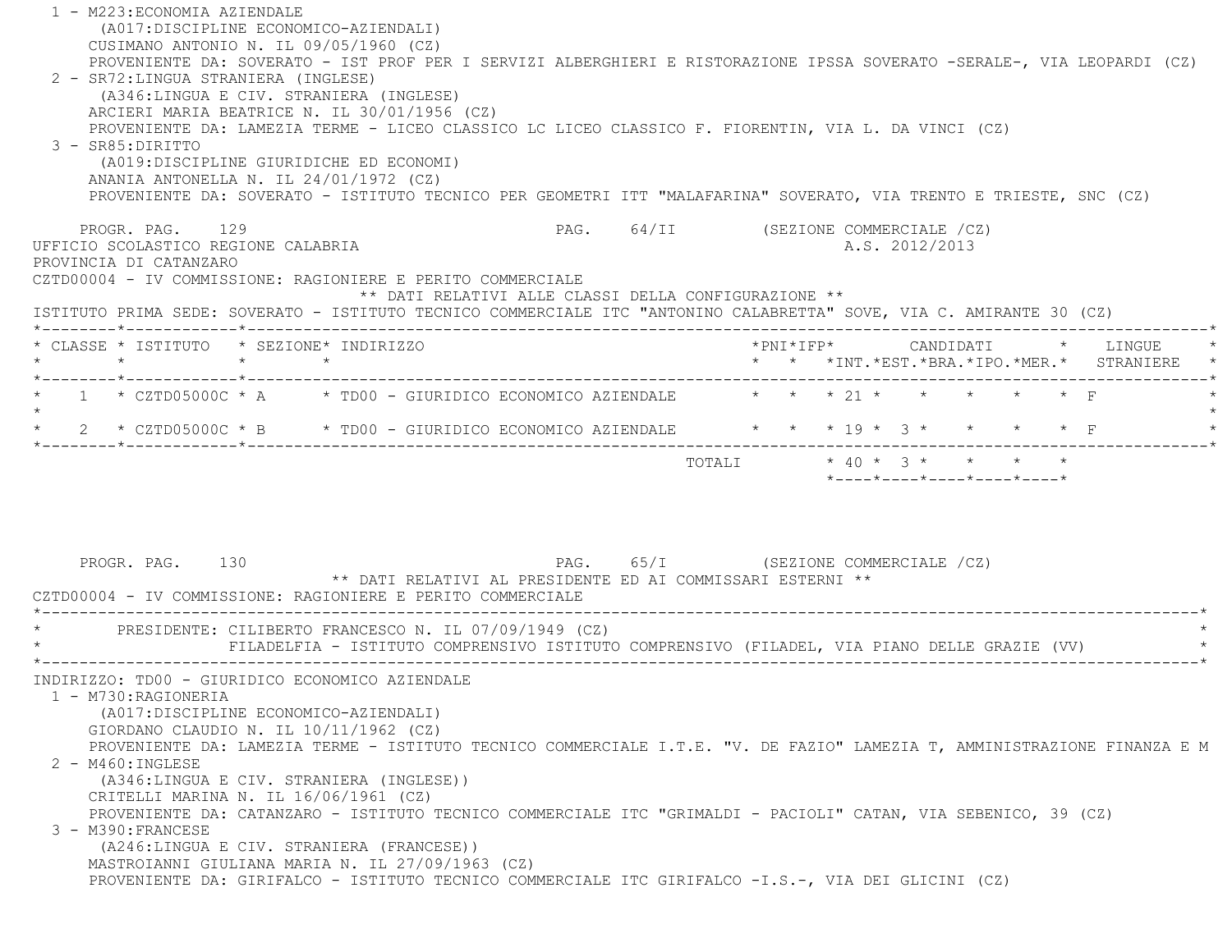| 1 - M223: ECONOMIA AZIENDALE<br>(A017: DISCIPLINE ECONOMICO-AZIENDALI)<br>CUSIMANO ANTONIO N. IL 09/05/1960 (CZ)                                                                                                                                                                                                                                                                                                                                                                                                                                                                                                         |                                                                                                                                              |
|--------------------------------------------------------------------------------------------------------------------------------------------------------------------------------------------------------------------------------------------------------------------------------------------------------------------------------------------------------------------------------------------------------------------------------------------------------------------------------------------------------------------------------------------------------------------------------------------------------------------------|----------------------------------------------------------------------------------------------------------------------------------------------|
| 2 - SR72: LINGUA STRANIERA (INGLESE)<br>(A346:LINGUA E CIV. STRANIERA (INGLESE)<br>ARCIERI MARIA BEATRICE N. IL 30/01/1956 (CZ)<br>PROVENIENTE DA: LAMEZIA TERME - LICEO CLASSICO LC LICEO CLASSICO F. FIORENTIN, VIA L. DA VINCI (CZ)<br>3 - SR85: DIRITTO<br>(A019:DISCIPLINE GIURIDICHE ED ECONOMI)<br>ANANIA ANTONELLA N. IL 24/01/1972 (CZ)<br>PROVENIENTE DA: SOVERATO - ISTITUTO TECNICO PER GEOMETRI ITT "MALAFARINA" SOVERATO, VIA TRENTO E TRIESTE, SNC (CZ)                                                                                                                                                   | PROVENIENTE DA: SOVERATO - IST PROF PER I SERVIZI ALBERGHIERI E RISTORAZIONE IPSSA SOVERATO -SERALE-, VIA LEOPARDI (CZ)                      |
| PROGR. PAG. 129<br>UFFICIO SCOLASTICO REGIONE CALABRIA<br>PROVINCIA DI CATANZARO<br>CZTD00004 - IV COMMISSIONE: RAGIONIERE E PERITO COMMERCIALE<br>** DATI RELATIVI ALLE CLASSI DELLA CONFIGURAZIONE **                                                                                                                                                                                                                                                                                                                                                                                                                  | PAG. 64/II (SEZIONE COMMERCIALE /CZ)<br>A.S. 2012/2013                                                                                       |
| ISTITUTO PRIMA SEDE: SOVERATO - ISTITUTO TECNICO COMMERCIALE ITC "ANTONINO CALABRETTA" SOVE, VIA C. AMIRANTE 30 (CZ)                                                                                                                                                                                                                                                                                                                                                                                                                                                                                                     |                                                                                                                                              |
| * CLASSE * ISTITUTO * SEZIONE* INDIRIZZO<br>$\star$<br>$\star$ $\star$                                                                                                                                                                                                                                                                                                                                                                                                                                                                                                                                                   | * * *INT.*EST.*BRA.*IPO.*MER.* STRANIERE *                                                                                                   |
| 1 * CZTD05000C * A * TD00 - GIURIDICO ECONOMICO AZIENDALE * * * 21 * * * * * * * F<br>2 * CZTD05000C * B * TD00 - GIURIDICO ECONOMICO AZIENDALE * * * 19 * 3 *                                                                                                                                                                                                                                                                                                                                                                                                                                                           |                                                                                                                                              |
| PROGR. PAG. 130                                                                                                                                                                                                                                                                                                                                                                                                                                                                                                                                                                                                          | $* 40 * 3 * * * * * * *$<br>TOTALI<br>$*$ - - - - $*$ - - - - $*$ - - - - $*$ - - - - $*$ - - - - $*$<br>PAG. 65/I (SEZIONE COMMERCIALE /CZ) |
| ** DATI RELATIVI AL PRESIDENTE ED AI COMMISSARI ESTERNI **<br>CZTD00004 - IV COMMISSIONE: RAGIONIERE E PERITO COMMERCIALE                                                                                                                                                                                                                                                                                                                                                                                                                                                                                                |                                                                                                                                              |
| PRESIDENTE: CILIBERTO FRANCESCO N. IL 07/09/1949 (CZ)                                                                                                                                                                                                                                                                                                                                                                                                                                                                                                                                                                    | FILADELFIA - ISTITUTO COMPRENSIVO ISTITUTO COMPRENSIVO (FILADEL, VIA PIANO DELLE GRAZIE (VV)                                                 |
| INDIRIZZO: TD00 - GIURIDICO ECONOMICO AZIENDALE<br>1 - M730:RAGIONERIA<br>(A017:DISCIPLINE ECONOMICO-AZIENDALI)<br>GIORDANO CLAUDIO N. IL $10/11/1962$ (CZ)<br>$2 - M460$ : INGLESE<br>(A346:LINGUA E CIV. STRANIERA (INGLESE))<br>CRITELLI MARINA N. IL 16/06/1961 (CZ)<br>PROVENIENTE DA: CATANZARO - ISTITUTO TECNICO COMMERCIALE ITC "GRIMALDI - PACIOLI" CATAN, VIA SEBENICO, 39 (CZ)<br>3 - M390: FRANCESE<br>(A246:LINGUA E CIV. STRANIERA (FRANCESE))<br>MASTROIANNI GIULIANA MARIA N. IL 27/09/1963 (CZ)<br>PROVENIENTE DA: GIRIFALCO - ISTITUTO TECNICO COMMERCIALE ITC GIRIFALCO -I.S.-, VIA DEI GLICINI (CZ) | PROVENIENTE DA: LAMEZIA TERME - ISTITUTO TECNICO COMMERCIALE I.T.E. "V. DE FAZIO" LAMEZIA T, AMMINISTRAZIONE FINANZA E M                     |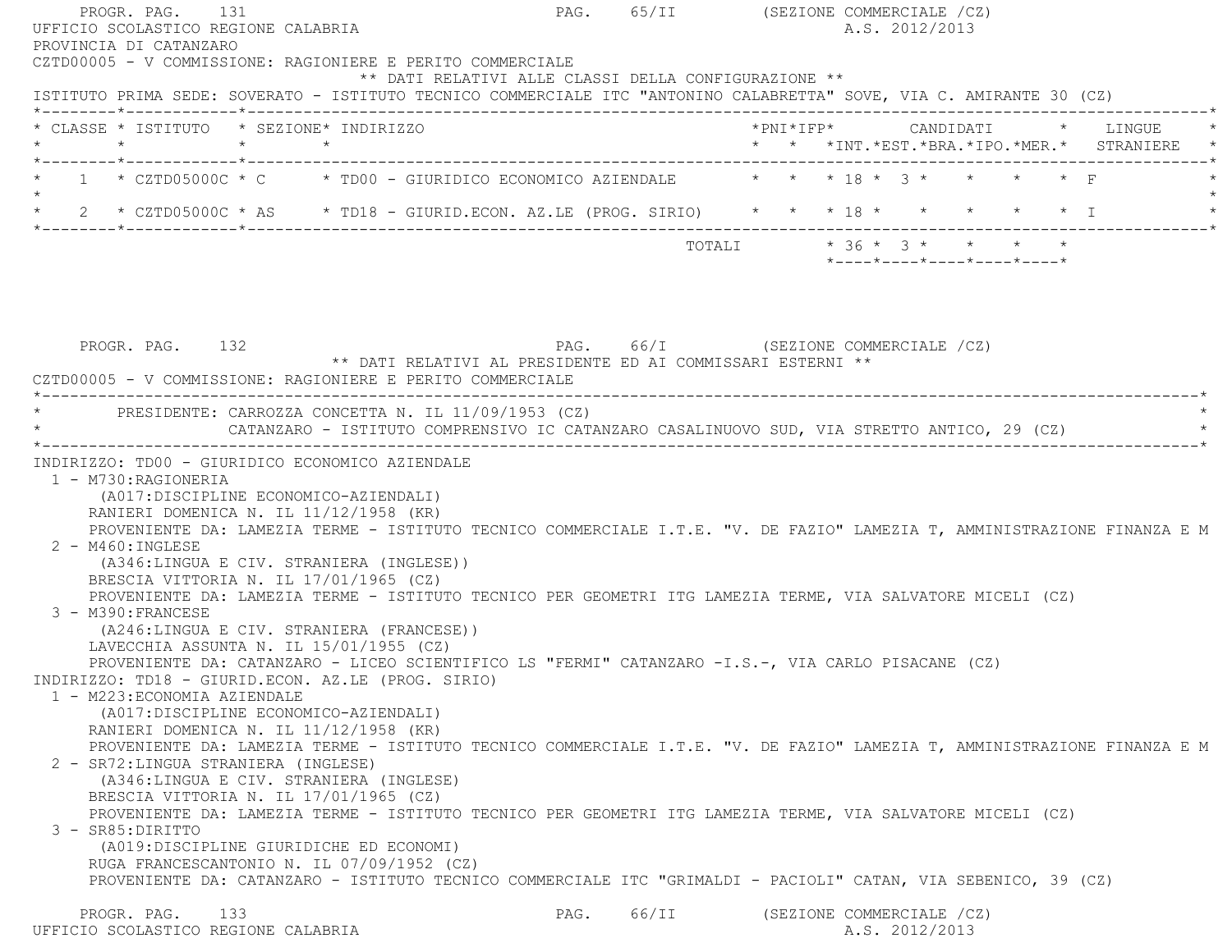PROGR. PAG. 131 **PAG.** 65/II (SEZIONE COMMERCIALE /CZ) UFFICIO SCOLASTICO REGIONE CALABRIA A.S. 2012/2013 PROVINCIA DI CATANZARO CZTD00005 - V COMMISSIONE: RAGIONIERE E PERITO COMMERCIALE \*\* DATI RELATIVI ALLE CLASSI DELLA CONFIGURAZIONE \*\* ISTITUTO PRIMA SEDE: SOVERATO - ISTITUTO TECNICO COMMERCIALE ITC "ANTONINO CALABRETTA" SOVE, VIA C. AMIRANTE 30 (CZ) \*--------\*------------\*-------------------------------------------------------------------------------------------------------\* \* CLASSE \* ISTITUTO \* SEZIONE\* INDIRIZZO \*PNI\*IFP\* CANDIDATI \* LINGUE \* \* \* \* \* \* \* \*INT.\*EST.\*BRA.\*IPO.\*MER.\* STRANIERE \* \*--------\*------------\*-------------------------------------------------------------------------------------------------------\*1 \* CZTD05000C \* C \* TD00 - GIURIDICO ECONOMICO AZIENDALE \* \* \* 18 \* 3 \* \* \* \* \* F  $\star$  \* 2 \* CZTD05000C \* AS \* TD18 - GIURID.ECON. AZ.LE (PROG. SIRIO) \* \* \* 18 \* \* \* \* \* I \* \*--------\*------------\*-------------------------------------------------------------------------------------------------------\* $\texttt{TOTALI} \qquad \qquad \star\;\; 36\;\star\;\; 3\;\star\;\; \qquad \star\;\; \qquad \star\;\; \qquad \star\;\; \qquad \star\;\; \qquad \star\;\; \qquad \star\;\; \qquad \star$  \*----\*----\*----\*----\*----\*PROGR. PAG. 132 PAG. 66/I (SEZIONE COMMERCIALE /CZ) \*\* DATI RELATIVI AL PRESIDENTE ED AI COMMISSARI ESTERNI \*\* CZTD00005 - V COMMISSIONE: RAGIONIERE E PERITO COMMERCIALE \*----------------------------------------------------------------------------------------------------------------------------\*PRESIDENTE: CARROZZA CONCETTA N. IL 11/09/1953 (CZ) CATANZARO - ISTITUTO COMPRENSIVO IC CATANZARO CASALINUOVO SUD, VIA STRETTO ANTICO, 29 (CZ) \*----------------------------------------------------------------------------------------------------------------------------\* INDIRIZZO: TD00 - GIURIDICO ECONOMICO AZIENDALE 1 - M730:RAGIONERIA (A017:DISCIPLINE ECONOMICO-AZIENDALI) RANIERI DOMENICA N. IL 11/12/1958 (KR) PROVENIENTE DA: LAMEZIA TERME - ISTITUTO TECNICO COMMERCIALE I.T.E. "V. DE FAZIO" LAMEZIA T, AMMINISTRAZIONE FINANZA E M 2 - M460:INGLESE (A346:LINGUA E CIV. STRANIERA (INGLESE)) BRESCIA VITTORIA N. IL 17/01/1965 (CZ) PROVENIENTE DA: LAMEZIA TERME - ISTITUTO TECNICO PER GEOMETRI ITG LAMEZIA TERME, VIA SALVATORE MICELI (CZ) 3 - M390:FRANCESE (A246:LINGUA E CIV. STRANIERA (FRANCESE)) LAVECCHIA ASSUNTA N. IL 15/01/1955 (CZ) PROVENIENTE DA: CATANZARO - LICEO SCIENTIFICO LS "FERMI" CATANZARO -I.S.-, VIA CARLO PISACANE (CZ) INDIRIZZO: TD18 - GIURID.ECON. AZ.LE (PROG. SIRIO) 1 - M223:ECONOMIA AZIENDALE (A017:DISCIPLINE ECONOMICO-AZIENDALI) RANIERI DOMENICA N. IL 11/12/1958 (KR) PROVENIENTE DA: LAMEZIA TERME - ISTITUTO TECNICO COMMERCIALE I.T.E. "V. DE FAZIO" LAMEZIA T, AMMINISTRAZIONE FINANZA E M 2 - SR72:LINGUA STRANIERA (INGLESE) (A346:LINGUA E CIV. STRANIERA (INGLESE) BRESCIA VITTORIA N. IL 17/01/1965 (CZ) PROVENIENTE DA: LAMEZIA TERME - ISTITUTO TECNICO PER GEOMETRI ITG LAMEZIA TERME, VIA SALVATORE MICELI (CZ) 3 - SR85:DIRITTO (A019:DISCIPLINE GIURIDICHE ED ECONOMI) RUGA FRANCESCANTONIO N. IL 07/09/1952 (CZ) PROVENIENTE DA: CATANZARO - ISTITUTO TECNICO COMMERCIALE ITC "GRIMALDI - PACIOLI" CATAN, VIA SEBENICO, 39 (CZ) PROGR. PAG. 133 PAG. PAG. 66/II (SEZIONE COMMERCIALE /CZ) UFFICIO SCOLASTICO REGIONE CALABRIA AND ALS. 2012/2013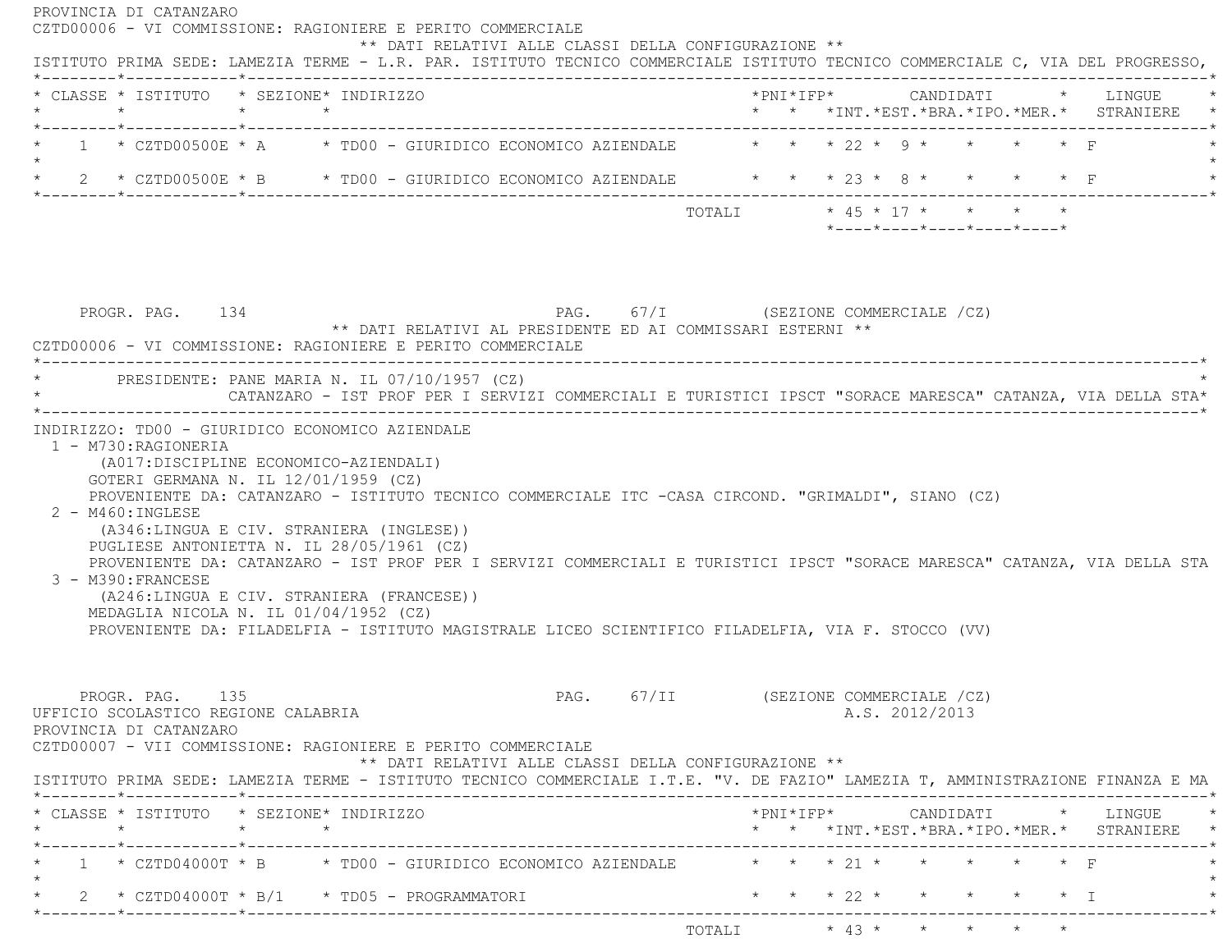| * CLASSE * ISTITUTO * SEZIONE* INDIRIZZO<br>* * *INT. *EST. *BRA. *IPO. *MER. * STRANIERE *<br>*--------*------------*-------------<br>* 1 * CZTD00500E * A * TD00 - GIURIDICO ECONOMICO AZIENDALE * * * 22 * 9 * * * * * F<br>* 2 * CZTD00500E * B * TD00 - GIURIDICO ECONOMICO AZIENDALE * * * 23 * 8 * *<br>$\star$ $\star$ F<br>$*$ ---- $*$ ---- $*$ ---- $*$ ---- $*$ ---- $*$<br>PAG. 67/I (SEZIONE COMMERCIALE /CZ)<br>PROGR. PAG. 134<br>** DATI RELATIVI AL PRESIDENTE ED AI COMMISSARI ESTERNI **<br>CZTD00006 - VI COMMISSIONE: RAGIONIERE E PERITO COMMERCIALE<br>* PRESIDENTE: PANE MARIA N. IL 07/10/1957 (CZ)<br>CATANZARO - IST PROF PER I SERVIZI COMMERCIALI E TURISTICI IPSCT "SORACE MARESCA" CATANZA, VIA DELLA STA*<br>INDIRIZZO: TD00 - GIURIDICO ECONOMICO AZIENDALE<br>1 - M730: RAGIONERIA<br>(A017:DISCIPLINE ECONOMICO-AZIENDALI)<br>GOTERI GERMANA N. IL 12/01/1959 (CZ)<br>PROVENIENTE DA: CATANZARO - ISTITUTO TECNICO COMMERCIALE ITC -CASA CIRCOND. "GRIMALDI", SIANO (CZ)<br>$2 - M460$ : INGLESE<br>(A346:LINGUA E CIV. STRANIERA (INGLESE))<br>PUGLIESE ANTONIETTA N. IL 28/05/1961 (CZ)<br>PROVENIENTE DA: CATANZARO - IST PROF PER I SERVIZI COMMERCIALI E TURISTICI IPSCT "SORACE MARESCA" CATANZA, VIA DELLA STA<br>3 - M390: FRANCESE<br>(A246:LINGUA E CIV. STRANIERA (FRANCESE))<br>MEDAGLIA NICOLA N. IL 01/04/1952 (CZ)<br>PROVENIENTE DA: FILADELFIA - ISTITUTO MAGISTRALE LICEO SCIENTIFICO FILADELFIA, VIA F. STOCCO (VV)<br>PAG. 67/II (SEZIONE COMMERCIALE /CZ)<br>PROGR. PAG. 135<br>A.S. 2012/2013<br>UFFICIO SCOLASTICO REGIONE CALABRIA<br>PROVINCIA DI CATANZARO<br>CZTD00007 - VII COMMISSIONE: RAGIONIERE E PERITO COMMERCIALE<br>** DATI RELATIVI ALLE CLASSI DELLA CONFIGURAZIONE **<br>ISTITUTO PRIMA SEDE: LAMEZIA TERME - ISTITUTO TECNICO COMMERCIALE I.T.E. "V. DE FAZIO" LAMEZIA T, AMMINISTRAZIONE FINANZA E MA<br>* CLASSE * ISTITUTO * SEZIONE* INDIRIZZO<br>* * *INT. *EST. *BRA. *IPO. *MER. * STRANIERE *<br>1 * CZTD04000T * B * TD00 - GIURIDICO ECONOMICO AZIENDALE $\qquad$ * * * 21 * * * * * * * F<br>* * * 22 * * * * * * I<br>* 2 * $CZTD04000T * B/1$ * TD05 - PROGRAMMATORI | ISTITUTO PRIMA SEDE: LAMEZIA TERME - L.R. PAR. ISTITUTO TECNICO COMMERCIALE ISTITUTO TECNICO COMMERCIALE C, VIA DEL PROGRESSO, |  |  |  |  |  |
|---------------------------------------------------------------------------------------------------------------------------------------------------------------------------------------------------------------------------------------------------------------------------------------------------------------------------------------------------------------------------------------------------------------------------------------------------------------------------------------------------------------------------------------------------------------------------------------------------------------------------------------------------------------------------------------------------------------------------------------------------------------------------------------------------------------------------------------------------------------------------------------------------------------------------------------------------------------------------------------------------------------------------------------------------------------------------------------------------------------------------------------------------------------------------------------------------------------------------------------------------------------------------------------------------------------------------------------------------------------------------------------------------------------------------------------------------------------------------------------------------------------------------------------------------------------------------------------------------------------------------------------------------------------------------------------------------------------------------------------------------------------------------------------------------------------------------------------------------------------------------------------------------------------------------------------------------------------------------------------------------------------------------------------------------------------------------------------------------------------------------------------------------------------|--------------------------------------------------------------------------------------------------------------------------------|--|--|--|--|--|
|                                                                                                                                                                                                                                                                                                                                                                                                                                                                                                                                                                                                                                                                                                                                                                                                                                                                                                                                                                                                                                                                                                                                                                                                                                                                                                                                                                                                                                                                                                                                                                                                                                                                                                                                                                                                                                                                                                                                                                                                                                                                                                                                                               |                                                                                                                                |  |  |  |  |  |
|                                                                                                                                                                                                                                                                                                                                                                                                                                                                                                                                                                                                                                                                                                                                                                                                                                                                                                                                                                                                                                                                                                                                                                                                                                                                                                                                                                                                                                                                                                                                                                                                                                                                                                                                                                                                                                                                                                                                                                                                                                                                                                                                                               |                                                                                                                                |  |  |  |  |  |
|                                                                                                                                                                                                                                                                                                                                                                                                                                                                                                                                                                                                                                                                                                                                                                                                                                                                                                                                                                                                                                                                                                                                                                                                                                                                                                                                                                                                                                                                                                                                                                                                                                                                                                                                                                                                                                                                                                                                                                                                                                                                                                                                                               |                                                                                                                                |  |  |  |  |  |
|                                                                                                                                                                                                                                                                                                                                                                                                                                                                                                                                                                                                                                                                                                                                                                                                                                                                                                                                                                                                                                                                                                                                                                                                                                                                                                                                                                                                                                                                                                                                                                                                                                                                                                                                                                                                                                                                                                                                                                                                                                                                                                                                                               |                                                                                                                                |  |  |  |  |  |
|                                                                                                                                                                                                                                                                                                                                                                                                                                                                                                                                                                                                                                                                                                                                                                                                                                                                                                                                                                                                                                                                                                                                                                                                                                                                                                                                                                                                                                                                                                                                                                                                                                                                                                                                                                                                                                                                                                                                                                                                                                                                                                                                                               |                                                                                                                                |  |  |  |  |  |
|                                                                                                                                                                                                                                                                                                                                                                                                                                                                                                                                                                                                                                                                                                                                                                                                                                                                                                                                                                                                                                                                                                                                                                                                                                                                                                                                                                                                                                                                                                                                                                                                                                                                                                                                                                                                                                                                                                                                                                                                                                                                                                                                                               |                                                                                                                                |  |  |  |  |  |
|                                                                                                                                                                                                                                                                                                                                                                                                                                                                                                                                                                                                                                                                                                                                                                                                                                                                                                                                                                                                                                                                                                                                                                                                                                                                                                                                                                                                                                                                                                                                                                                                                                                                                                                                                                                                                                                                                                                                                                                                                                                                                                                                                               |                                                                                                                                |  |  |  |  |  |
|                                                                                                                                                                                                                                                                                                                                                                                                                                                                                                                                                                                                                                                                                                                                                                                                                                                                                                                                                                                                                                                                                                                                                                                                                                                                                                                                                                                                                                                                                                                                                                                                                                                                                                                                                                                                                                                                                                                                                                                                                                                                                                                                                               |                                                                                                                                |  |  |  |  |  |
|                                                                                                                                                                                                                                                                                                                                                                                                                                                                                                                                                                                                                                                                                                                                                                                                                                                                                                                                                                                                                                                                                                                                                                                                                                                                                                                                                                                                                                                                                                                                                                                                                                                                                                                                                                                                                                                                                                                                                                                                                                                                                                                                                               |                                                                                                                                |  |  |  |  |  |
|                                                                                                                                                                                                                                                                                                                                                                                                                                                                                                                                                                                                                                                                                                                                                                                                                                                                                                                                                                                                                                                                                                                                                                                                                                                                                                                                                                                                                                                                                                                                                                                                                                                                                                                                                                                                                                                                                                                                                                                                                                                                                                                                                               |                                                                                                                                |  |  |  |  |  |
|                                                                                                                                                                                                                                                                                                                                                                                                                                                                                                                                                                                                                                                                                                                                                                                                                                                                                                                                                                                                                                                                                                                                                                                                                                                                                                                                                                                                                                                                                                                                                                                                                                                                                                                                                                                                                                                                                                                                                                                                                                                                                                                                                               |                                                                                                                                |  |  |  |  |  |
|                                                                                                                                                                                                                                                                                                                                                                                                                                                                                                                                                                                                                                                                                                                                                                                                                                                                                                                                                                                                                                                                                                                                                                                                                                                                                                                                                                                                                                                                                                                                                                                                                                                                                                                                                                                                                                                                                                                                                                                                                                                                                                                                                               |                                                                                                                                |  |  |  |  |  |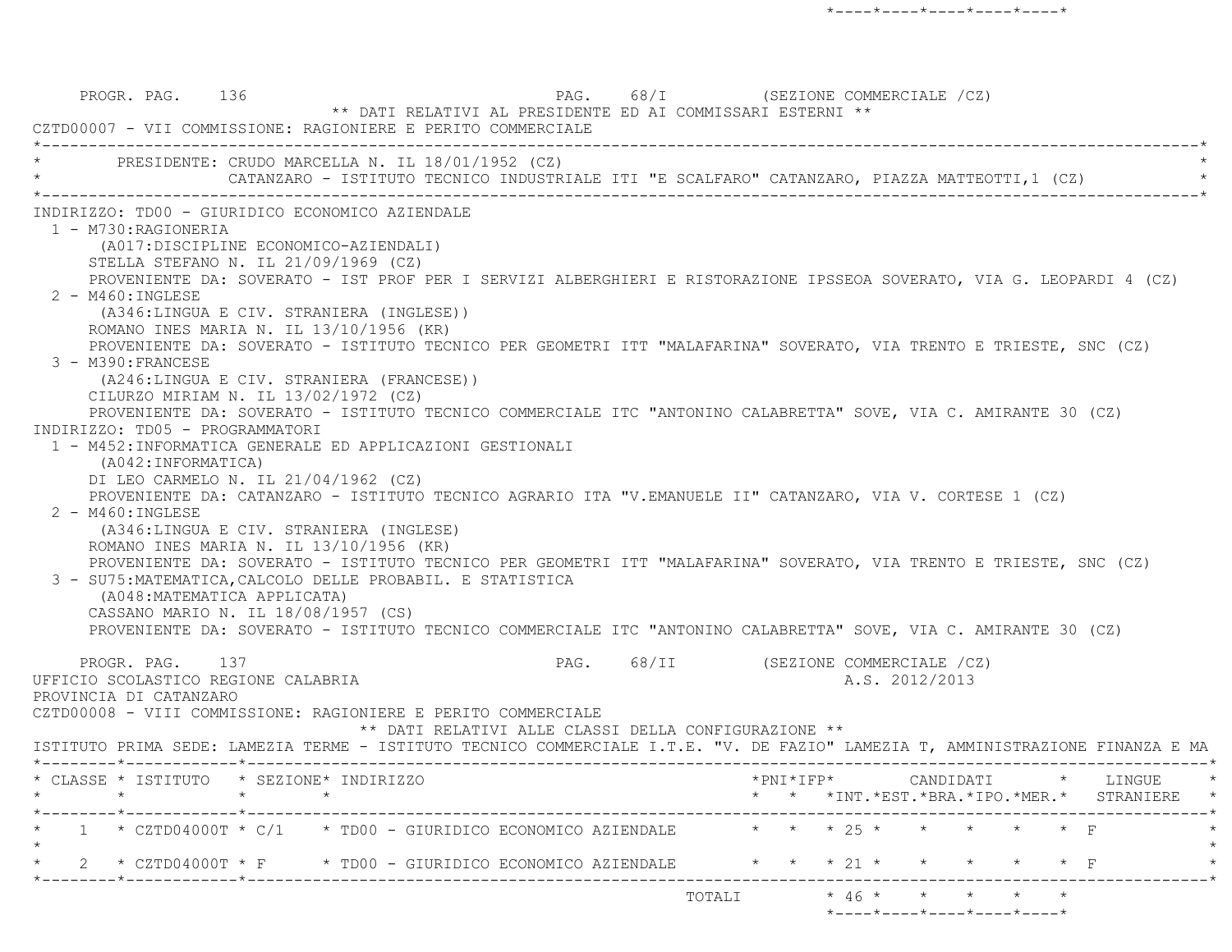PROGR. PAG. 136 CPAGE 136 PAG. 68/I (SEZIONE COMMERCIALE /CZ) \*\* DATI RELATIVI AL PRESIDENTE ED AI COMMISSARI ESTERNI \*\* CZTD00007 - VII COMMISSIONE: RAGIONIERE E PERITO COMMERCIALE \*----------------------------------------------------------------------------------------------------------------------------\*PRESIDENTE: CRUDO MARCELLA N. IL 18/01/1952 (CZ) CATANZARO - ISTITUTO TECNICO INDUSTRIALE ITI "E SCALFARO" CATANZARO, PIAZZA MATTEOTTI,1 (CZ) \*----------------------------------------------------------------------------------------------------------------------------\* INDIRIZZO: TD00 - GIURIDICO ECONOMICO AZIENDALE 1 - M730:RAGIONERIA (A017:DISCIPLINE ECONOMICO-AZIENDALI) STELLA STEFANO N. IL 21/09/1969 (CZ) PROVENIENTE DA: SOVERATO - IST PROF PER I SERVIZI ALBERGHIERI E RISTORAZIONE IPSSEOA SOVERATO, VIA G. LEOPARDI 4 (CZ) 2 - M460:INGLESE (A346:LINGUA E CIV. STRANIERA (INGLESE)) ROMANO INES MARIA N. IL 13/10/1956 (KR) PROVENIENTE DA: SOVERATO - ISTITUTO TECNICO PER GEOMETRI ITT "MALAFARINA" SOVERATO, VIA TRENTO E TRIESTE, SNC (CZ) 3 - M390:FRANCESE (A246:LINGUA E CIV. STRANIERA (FRANCESE)) CILURZO MIRIAM N. IL 13/02/1972 (CZ) PROVENIENTE DA: SOVERATO - ISTITUTO TECNICO COMMERCIALE ITC "ANTONINO CALABRETTA" SOVE, VIA C. AMIRANTE 30 (CZ) INDIRIZZO: TD05 - PROGRAMMATORI 1 - M452:INFORMATICA GENERALE ED APPLICAZIONI GESTIONALI (A042:INFORMATICA) DI LEO CARMELO N. IL 21/04/1962 (CZ) PROVENIENTE DA: CATANZARO - ISTITUTO TECNICO AGRARIO ITA "V.EMANUELE II" CATANZARO, VIA V. CORTESE 1 (CZ) 2 - M460:INGLESE (A346:LINGUA E CIV. STRANIERA (INGLESE) ROMANO INES MARIA N. IL 13/10/1956 (KR) PROVENIENTE DA: SOVERATO - ISTITUTO TECNICO PER GEOMETRI ITT "MALAFARINA" SOVERATO, VIA TRENTO E TRIESTE, SNC (CZ) 3 - SU75:MATEMATICA,CALCOLO DELLE PROBABIL. E STATISTICA (A048:MATEMATICA APPLICATA) CASSANO MARIO N. IL 18/08/1957 (CS) PROVENIENTE DA: SOVERATO - ISTITUTO TECNICO COMMERCIALE ITC "ANTONINO CALABRETTA" SOVE, VIA C. AMIRANTE 30 (CZ) PROGR. PAG. 137 CHARGE 137 PAG. 68/II (SEZIONE COMMERCIALE /CZ) UFFICIO SCOLASTICO REGIONE CALABRIA A.S. 2012/2013 PROVINCIA DI CATANZARO CZTD00008 - VIII COMMISSIONE: RAGIONIERE E PERITO COMMERCIALE \*\* DATI RELATIVI ALLE CLASSI DELLA CONFIGURAZIONE \*\* ISTITUTO PRIMA SEDE: LAMEZIA TERME - ISTITUTO TECNICO COMMERCIALE I.T.E. "V. DE FAZIO" LAMEZIA T, AMMINISTRAZIONE FINANZA E MA \*--------\*------------\*-------------------------------------------------------------------------------------------------------\* \* CLASSE \* ISTITUTO \* SEZIONE\* INDIRIZZO \*PNI\*IFP\* CANDIDATI \* LINGUE \* \* \* \* \* \* \* \*INT.\*EST.\*BRA.\*IPO.\*MER.\* STRANIERE \* \*--------\*------------\*-------------------------------------------------------------------------------------------------------\*\* 1 \* CZTD04000T \* C/1 \* TD00 - GIURIDICO ECONOMICO AZIENDALE \* \* \* 25 \* \* \* \* \* \* F  $\star$ 2 \* CZTD04000T \* F \* TD00 - GIURIDICO ECONOMICO AZIENDALE \* \* \* 21 \* \* \* \* \* \* \* F \*--------\*------------\*-------------------------------------------------------------------------------------------------------\* $\text{TOTALI} \qquad \qquad \star \quad \text{46} \; \star \qquad \star \qquad \star \qquad \star \qquad \star \qquad \star$ \*----\*----\*----\*----\*----\*